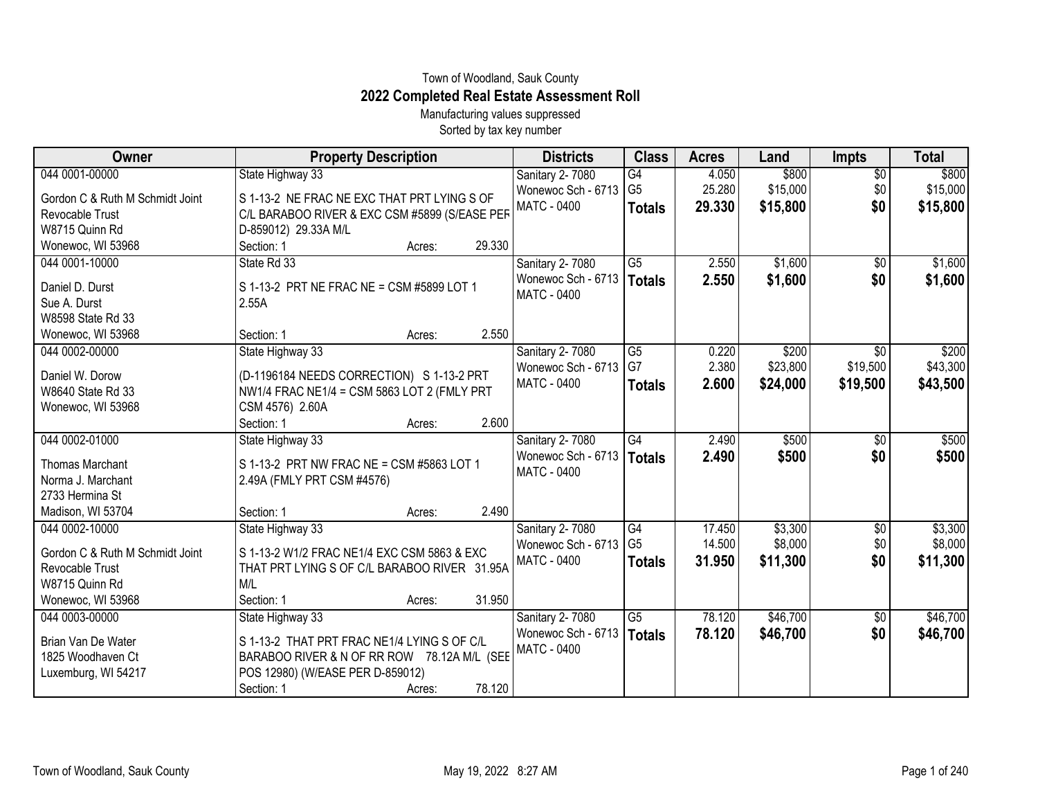## Town of Woodland, Sauk County **2022 Completed Real Estate Assessment Roll**

Manufacturing values suppressed Sorted by tax key number

| Owner                           | <b>Property Description</b>                   | <b>Districts</b>       | <b>Class</b>    | <b>Acres</b> | Land     | <b>Impts</b>    | <b>Total</b> |
|---------------------------------|-----------------------------------------------|------------------------|-----------------|--------------|----------|-----------------|--------------|
| 044 0001-00000                  | State Highway 33                              | <b>Sanitary 2-7080</b> | $\overline{G4}$ | 4.050        | \$800    | $\overline{60}$ | \$800        |
| Gordon C & Ruth M Schmidt Joint | S 1-13-2 NE FRAC NE EXC THAT PRT LYING S OF   | Wonewoc Sch - 6713     | G <sub>5</sub>  | 25.280       | \$15,000 | \$0             | \$15,000     |
| Revocable Trust                 | C/L BARABOO RIVER & EXC CSM #5899 (S/EASE PEF | MATC - 0400            | <b>Totals</b>   | 29.330       | \$15,800 | \$0             | \$15,800     |
| W8715 Quinn Rd                  | D-859012) 29.33A M/L                          |                        |                 |              |          |                 |              |
| Wonewoc, WI 53968               | 29.330<br>Section: 1<br>Acres:                |                        |                 |              |          |                 |              |
| 044 0001-10000                  | State Rd 33                                   | Sanitary 2-7080        | $\overline{G5}$ | 2.550        | \$1,600  | $\overline{60}$ | \$1,600      |
| Daniel D. Durst                 | S 1-13-2 PRT NE FRAC NE = CSM #5899 LOT 1     | Wonewoc Sch - 6713     | <b>Totals</b>   | 2.550        | \$1,600  | \$0             | \$1,600      |
| Sue A. Durst                    | 2.55A                                         | MATC - 0400            |                 |              |          |                 |              |
| W8598 State Rd 33               |                                               |                        |                 |              |          |                 |              |
| Wonewoc, WI 53968               | 2.550<br>Section: 1<br>Acres:                 |                        |                 |              |          |                 |              |
| 044 0002-00000                  | State Highway 33                              | Sanitary 2-7080        | $\overline{G5}$ | 0.220        | \$200    | $\overline{50}$ | \$200        |
| Daniel W. Dorow                 | (D-1196184 NEEDS CORRECTION) S 1-13-2 PRT     | Wonewoc Sch - 6713     | G7              | 2.380        | \$23,800 | \$19,500        | \$43,300     |
| W8640 State Rd 33               | NW1/4 FRAC NE1/4 = CSM 5863 LOT 2 (FMLY PRT   | MATC - 0400            | <b>Totals</b>   | 2.600        | \$24,000 | \$19,500        | \$43,500     |
| Wonewoc, WI 53968               | CSM 4576) 2.60A                               |                        |                 |              |          |                 |              |
|                                 | 2.600<br>Section: 1<br>Acres:                 |                        |                 |              |          |                 |              |
| 044 0002-01000                  | State Highway 33                              | Sanitary 2-7080        | G4              | 2.490        | \$500    | \$0             | \$500        |
| <b>Thomas Marchant</b>          | S 1-13-2 PRT NW FRAC NE = CSM #5863 LOT 1     | Wonewoc Sch - 6713     | Totals          | 2.490        | \$500    | \$0             | \$500        |
| Norma J. Marchant               | 2.49A (FMLY PRT CSM #4576)                    | MATC - 0400            |                 |              |          |                 |              |
| 2733 Hermina St                 |                                               |                        |                 |              |          |                 |              |
| Madison, WI 53704               | 2.490<br>Section: 1<br>Acres:                 |                        |                 |              |          |                 |              |
| 044 0002-10000                  | State Highway 33                              | Sanitary 2-7080        | G <sub>4</sub>  | 17.450       | \$3,300  | \$0             | \$3,300      |
| Gordon C & Ruth M Schmidt Joint | S 1-13-2 W1/2 FRAC NE1/4 EXC CSM 5863 & EXC   | Wonewoc Sch - 6713     | G <sub>5</sub>  | 14.500       | \$8,000  | \$0             | \$8,000      |
| Revocable Trust                 | THAT PRT LYING S OF C/L BARABOO RIVER 31.95A  | MATC - 0400            | <b>Totals</b>   | 31.950       | \$11,300 | \$0             | \$11,300     |
| W8715 Quinn Rd                  | M/L                                           |                        |                 |              |          |                 |              |
| Wonewoc, WI 53968               | 31.950<br>Section: 1<br>Acres:                |                        |                 |              |          |                 |              |
| 044 0003-00000                  | State Highway 33                              | Sanitary 2-7080        | G5              | 78.120       | \$46,700 | \$0             | \$46,700     |
| Brian Van De Water              | S 1-13-2 THAT PRT FRAC NE1/4 LYING S OF C/L   | Wonewoc Sch - 6713     | <b>Totals</b>   | 78.120       | \$46,700 | \$0             | \$46,700     |
| 1825 Woodhaven Ct               | BARABOO RIVER & N OF RR ROW 78.12A M/L (SEE   | MATC - 0400            |                 |              |          |                 |              |
| Luxemburg, WI 54217             | POS 12980) (W/EASE PER D-859012)              |                        |                 |              |          |                 |              |
|                                 | 78.120<br>Section: 1<br>Acres:                |                        |                 |              |          |                 |              |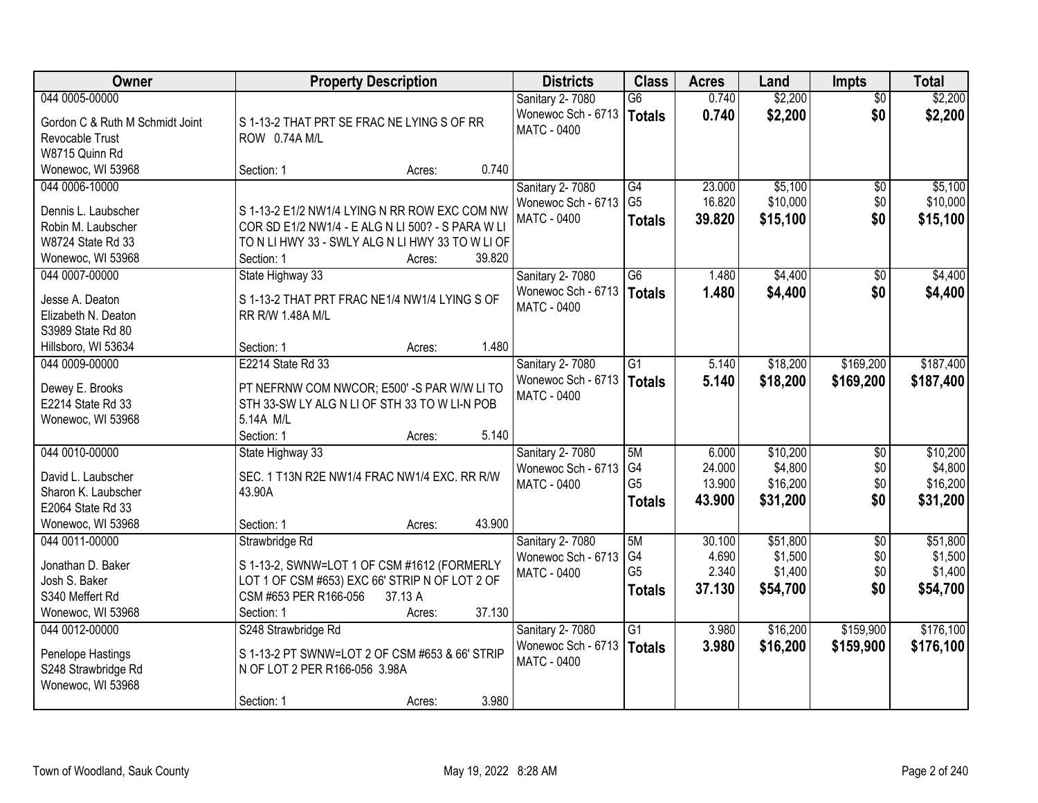| Owner                                             | <b>Property Description</b>                                                                  | <b>Districts</b>                      | <b>Class</b>                     | <b>Acres</b>   | Land               | <b>Impts</b>           | <b>Total</b>       |
|---------------------------------------------------|----------------------------------------------------------------------------------------------|---------------------------------------|----------------------------------|----------------|--------------------|------------------------|--------------------|
| 044 0005-00000<br>Gordon C & Ruth M Schmidt Joint |                                                                                              | Sanitary 2-7080<br>Wonewoc Sch - 6713 | $\overline{G6}$<br><b>Totals</b> | 0.740<br>0.740 | \$2,200<br>\$2,200 | $\overline{50}$<br>\$0 | \$2,200<br>\$2,200 |
| Revocable Trust                                   | S 1-13-2 THAT PRT SE FRAC NE LYING S OF RR<br>ROW 0.74A M/L                                  | <b>MATC - 0400</b>                    |                                  |                |                    |                        |                    |
| W8715 Quinn Rd                                    |                                                                                              |                                       |                                  |                |                    |                        |                    |
| Wonewoc, WI 53968                                 | 0.740<br>Section: 1<br>Acres:                                                                |                                       |                                  |                |                    |                        |                    |
| 044 0006-10000                                    |                                                                                              | Sanitary 2-7080                       | G4                               | 23.000         | \$5,100            | \$0                    | \$5,100            |
|                                                   |                                                                                              | Wonewoc Sch - 6713                    | G <sub>5</sub>                   | 16.820         | \$10,000           | \$0                    | \$10,000           |
| Dennis L. Laubscher                               | S 1-13-2 E1/2 NW1/4 LYING N RR ROW EXC COM NW                                                | <b>MATC - 0400</b>                    | <b>Totals</b>                    | 39.820         | \$15,100           | \$0                    | \$15,100           |
| Robin M. Laubscher                                | COR SD E1/2 NW1/4 - E ALG N LI 500? - S PARA W LI                                            |                                       |                                  |                |                    |                        |                    |
| W8724 State Rd 33                                 | TO N LI HWY 33 - SWLY ALG N LI HWY 33 TO W LI OF                                             |                                       |                                  |                |                    |                        |                    |
| Wonewoc, WI 53968                                 | 39.820<br>Section: 1<br>Acres:                                                               |                                       |                                  |                |                    |                        |                    |
| 044 0007-00000                                    | State Highway 33                                                                             | Sanitary 2-7080                       | G6                               | 1.480          | \$4,400            | \$0                    | \$4,400            |
| Jesse A. Deaton                                   | S 1-13-2 THAT PRT FRAC NE1/4 NW1/4 LYING S OF                                                | Wonewoc Sch - 6713                    | <b>Totals</b>                    | 1.480          | \$4,400            | \$0                    | \$4,400            |
| Elizabeth N. Deaton                               | RR R/W 1.48A M/L                                                                             | <b>MATC - 0400</b>                    |                                  |                |                    |                        |                    |
| S3989 State Rd 80                                 |                                                                                              |                                       |                                  |                |                    |                        |                    |
| Hillsboro, WI 53634                               | 1.480<br>Section: 1<br>Acres:                                                                |                                       |                                  |                |                    |                        |                    |
| 044 0009-00000                                    | E2214 State Rd 33                                                                            | Sanitary 2-7080                       | G1                               | 5.140          | \$18,200           | \$169,200              | \$187,400          |
|                                                   |                                                                                              | Wonewoc Sch - 6713                    | <b>Totals</b>                    | 5.140          | \$18,200           | \$169,200              | \$187,400          |
| Dewey E. Brooks<br>E2214 State Rd 33              | PT NEFRNW COM NWCOR; E500' -S PAR W/W LI TO<br>STH 33-SW LY ALG N LI OF STH 33 TO W LI-N POB | <b>MATC - 0400</b>                    |                                  |                |                    |                        |                    |
| Wonewoc, WI 53968                                 | 5.14A M/L                                                                                    |                                       |                                  |                |                    |                        |                    |
|                                                   | 5.140<br>Section: 1<br>Acres:                                                                |                                       |                                  |                |                    |                        |                    |
| 044 0010-00000                                    | State Highway 33                                                                             | <b>Sanitary 2-7080</b>                | 5M                               | 6.000          | \$10,200           | $\overline{50}$        | \$10,200           |
|                                                   |                                                                                              | Wonewoc Sch - 6713                    | G4                               | 24.000         | \$4,800            | \$0                    | \$4,800            |
| David L. Laubscher                                | SEC. 1 T13N R2E NW1/4 FRAC NW1/4 EXC. RR R/W                                                 | <b>MATC - 0400</b>                    | G <sub>5</sub>                   | 13.900         | \$16,200           | \$0                    | \$16,200           |
| Sharon K. Laubscher                               | 43.90A                                                                                       |                                       | <b>Totals</b>                    | 43.900         | \$31,200           | \$0                    | \$31,200           |
| E2064 State Rd 33                                 |                                                                                              |                                       |                                  |                |                    |                        |                    |
| Wonewoc, WI 53968                                 | 43.900<br>Section: 1<br>Acres:                                                               |                                       |                                  |                |                    |                        |                    |
| 044 0011-00000                                    | Strawbridge Rd                                                                               | Sanitary 2-7080                       | 5M                               | 30.100         | \$51,800           | $\overline{50}$        | \$51,800           |
| Jonathan D. Baker                                 | S 1-13-2, SWNW=LOT 1 OF CSM #1612 (FORMERLY                                                  | Wonewoc Sch - 6713                    | G4                               | 4.690          | \$1,500            | \$0                    | \$1,500            |
| Josh S. Baker                                     | LOT 1 OF CSM #653) EXC 66' STRIP N OF LOT 2 OF                                               | MATC - 0400                           | G <sub>5</sub>                   | 2.340          | \$1,400            | \$0                    | \$1,400            |
| S340 Meffert Rd                                   | CSM #653 PER R166-056<br>37.13 A                                                             |                                       | <b>Totals</b>                    | 37.130         | \$54,700           | \$0                    | \$54,700           |
| Wonewoc, WI 53968                                 | 37.130<br>Section: 1<br>Acres:                                                               |                                       |                                  |                |                    |                        |                    |
| 044 0012-00000                                    | S248 Strawbridge Rd                                                                          | Sanitary 2-7080                       | $\overline{G1}$                  | 3.980          | \$16,200           | \$159,900              | \$176,100          |
|                                                   |                                                                                              | Wonewoc Sch - 6713                    | Totals                           | 3.980          | \$16,200           | \$159,900              | \$176,100          |
| Penelope Hastings                                 | S 1-13-2 PT SWNW=LOT 2 OF CSM #653 & 66' STRIP                                               | <b>MATC - 0400</b>                    |                                  |                |                    |                        |                    |
| S248 Strawbridge Rd<br>Wonewoc, WI 53968          | N OF LOT 2 PER R166-056 3.98A                                                                |                                       |                                  |                |                    |                        |                    |
|                                                   | 3.980<br>Section: 1<br>Acres:                                                                |                                       |                                  |                |                    |                        |                    |
|                                                   |                                                                                              |                                       |                                  |                |                    |                        |                    |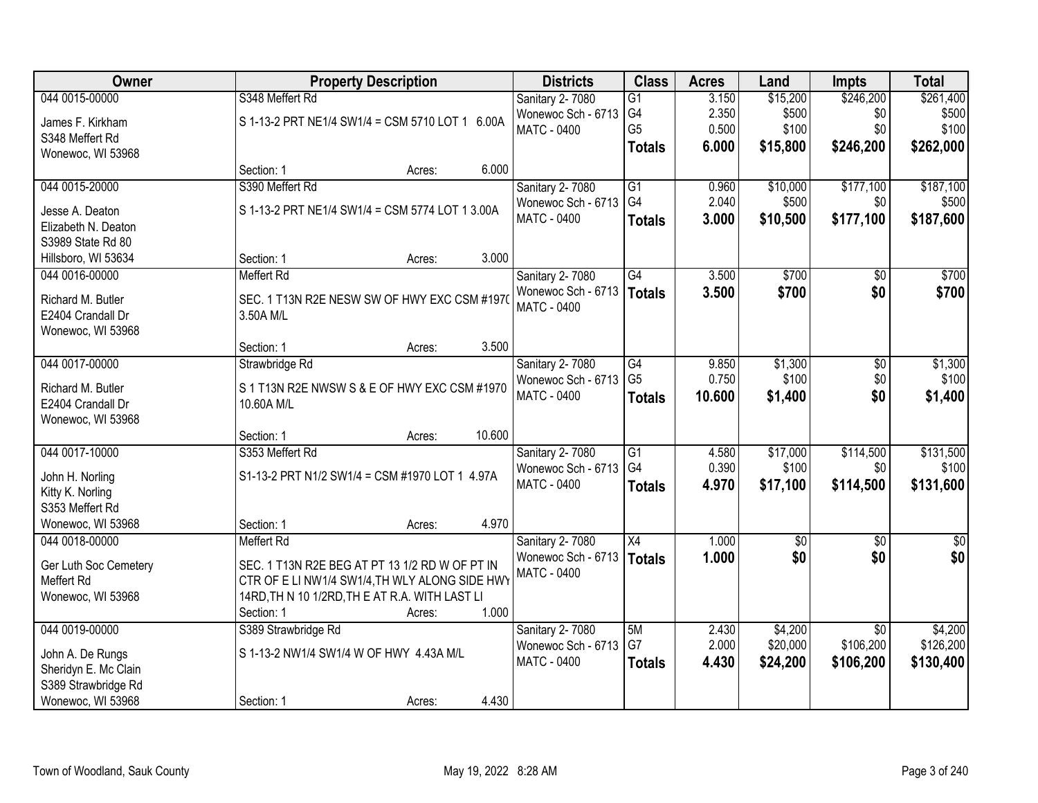| <b>Owner</b>          |                                                 | <b>Property Description</b>                    |        | <b>Districts</b>       | <b>Class</b>    | <b>Acres</b> | Land            | <b>Impts</b>    | <b>Total</b>    |
|-----------------------|-------------------------------------------------|------------------------------------------------|--------|------------------------|-----------------|--------------|-----------------|-----------------|-----------------|
| 044 0015-00000        | S348 Meffert Rd                                 |                                                |        | Sanitary 2-7080        | $\overline{G1}$ | 3.150        | \$15,200        | \$246,200       | \$261,400       |
| James F. Kirkham      | S 1-13-2 PRT NE1/4 SW1/4 = CSM 5710 LOT 1 6.00A |                                                |        | Wonewoc Sch - 6713     | G4              | 2.350        | \$500           | \$0             | \$500           |
| S348 Meffert Rd       |                                                 |                                                |        | <b>MATC - 0400</b>     | G <sub>5</sub>  | 0.500        | \$100           | \$0             | \$100           |
| Wonewoc, WI 53968     |                                                 |                                                |        |                        | <b>Totals</b>   | 6.000        | \$15,800        | \$246,200       | \$262,000       |
|                       | Section: 1                                      | Acres:                                         | 6.000  |                        |                 |              |                 |                 |                 |
| 044 0015-20000        | S390 Meffert Rd                                 |                                                |        | Sanitary 2-7080        | $\overline{G1}$ | 0.960        | \$10,000        | \$177,100       | \$187,100       |
| Jesse A. Deaton       | S 1-13-2 PRT NE1/4 SW1/4 = CSM 5774 LOT 1 3.00A |                                                |        | Wonewoc Sch - 6713     | G4              | 2.040        | \$500           | \$0             | \$500           |
| Elizabeth N. Deaton   |                                                 |                                                |        | MATC - 0400            | <b>Totals</b>   | 3.000        | \$10,500        | \$177,100       | \$187,600       |
| S3989 State Rd 80     |                                                 |                                                |        |                        |                 |              |                 |                 |                 |
| Hillsboro, WI 53634   | Section: 1                                      | Acres:                                         | 3.000  |                        |                 |              |                 |                 |                 |
| 044 0016-00000        | <b>Meffert Rd</b>                               |                                                |        | Sanitary 2-7080        | G4              | 3.500        | \$700           | \$0             | \$700           |
|                       |                                                 |                                                |        | Wonewoc Sch - 6713     | <b>Totals</b>   | 3.500        | \$700           | \$0             | \$700           |
| Richard M. Butler     | SEC. 1 T13N R2E NESW SW OF HWY EXC CSM #1970    |                                                |        | <b>MATC - 0400</b>     |                 |              |                 |                 |                 |
| E2404 Crandall Dr     | 3.50A M/L                                       |                                                |        |                        |                 |              |                 |                 |                 |
| Wonewoc, WI 53968     | Section: 1                                      | Acres:                                         | 3.500  |                        |                 |              |                 |                 |                 |
| 044 0017-00000        | Strawbridge Rd                                  |                                                |        | Sanitary 2-7080        | G4              | 9.850        | \$1,300         | \$0             | \$1,300         |
|                       |                                                 |                                                |        | Wonewoc Sch - 6713     | G <sub>5</sub>  | 0.750        | \$100           | \$0             | \$100           |
| Richard M. Butler     |                                                 | S 1 T13N R2E NWSW S & E OF HWY EXC CSM #1970   |        | <b>MATC - 0400</b>     | <b>Totals</b>   | 10.600       | \$1,400         | \$0             | \$1,400         |
| E2404 Crandall Dr     | 10.60A M/L                                      |                                                |        |                        |                 |              |                 |                 |                 |
| Wonewoc, WI 53968     |                                                 |                                                |        |                        |                 |              |                 |                 |                 |
|                       | Section: 1                                      | Acres:                                         | 10.600 |                        |                 |              |                 |                 |                 |
| 044 0017-10000        | S353 Meffert Rd                                 |                                                |        | <b>Sanitary 2-7080</b> | $\overline{G1}$ | 4.580        | \$17,000        | \$114,500       | \$131,500       |
| John H. Norling       | S1-13-2 PRT N1/2 SW1/4 = CSM #1970 LOT 1 4.97A  |                                                |        | Wonewoc Sch - 6713     | G <sub>4</sub>  | 0.390        | \$100           | \$0             | \$100           |
| Kitty K. Norling      |                                                 |                                                |        | MATC - 0400            | <b>Totals</b>   | 4.970        | \$17,100        | \$114,500       | \$131,600       |
| S353 Meffert Rd       |                                                 |                                                |        |                        |                 |              |                 |                 |                 |
| Wonewoc, WI 53968     | Section: 1                                      | Acres:                                         | 4.970  |                        |                 |              |                 |                 |                 |
| 044 0018-00000        | <b>Meffert Rd</b>                               |                                                |        | Sanitary 2-7080        | $\overline{X4}$ | 1.000        | $\overline{50}$ | $\overline{50}$ | $\overline{50}$ |
| Ger Luth Soc Cemetery | SEC. 1 T13N R2E BEG AT PT 13 1/2 RD W OF PT IN  |                                                |        | Wonewoc Sch - 6713     | <b>Totals</b>   | 1.000        | \$0             | \$0             | \$0             |
| Meffert Rd            | CTR OF E LI NW1/4 SW1/4, TH WLY ALONG SIDE HWY  |                                                |        | MATC - 0400            |                 |              |                 |                 |                 |
| Wonewoc, WI 53968     |                                                 | 14RD, TH N 10 1/2RD, TH E AT R.A. WITH LAST LI |        |                        |                 |              |                 |                 |                 |
|                       | Section: 1                                      | Acres:                                         | 1.000  |                        |                 |              |                 |                 |                 |
| 044 0019-00000        | S389 Strawbridge Rd                             |                                                |        | Sanitary 2-7080        | 5M              | 2.430        | \$4,200         | $\overline{30}$ | \$4,200         |
| John A. De Rungs      | S 1-13-2 NW1/4 SW1/4 W OF HWY 4.43A M/L         |                                                |        | Wonewoc Sch - 6713     | G7              | 2.000        | \$20,000        | \$106,200       | \$126,200       |
| Sheridyn E. Mc Clain  |                                                 |                                                |        | <b>MATC - 0400</b>     | <b>Totals</b>   | 4.430        | \$24,200        | \$106,200       | \$130,400       |
| S389 Strawbridge Rd   |                                                 |                                                |        |                        |                 |              |                 |                 |                 |
| Wonewoc, WI 53968     | Section: 1                                      | Acres:                                         | 4.430  |                        |                 |              |                 |                 |                 |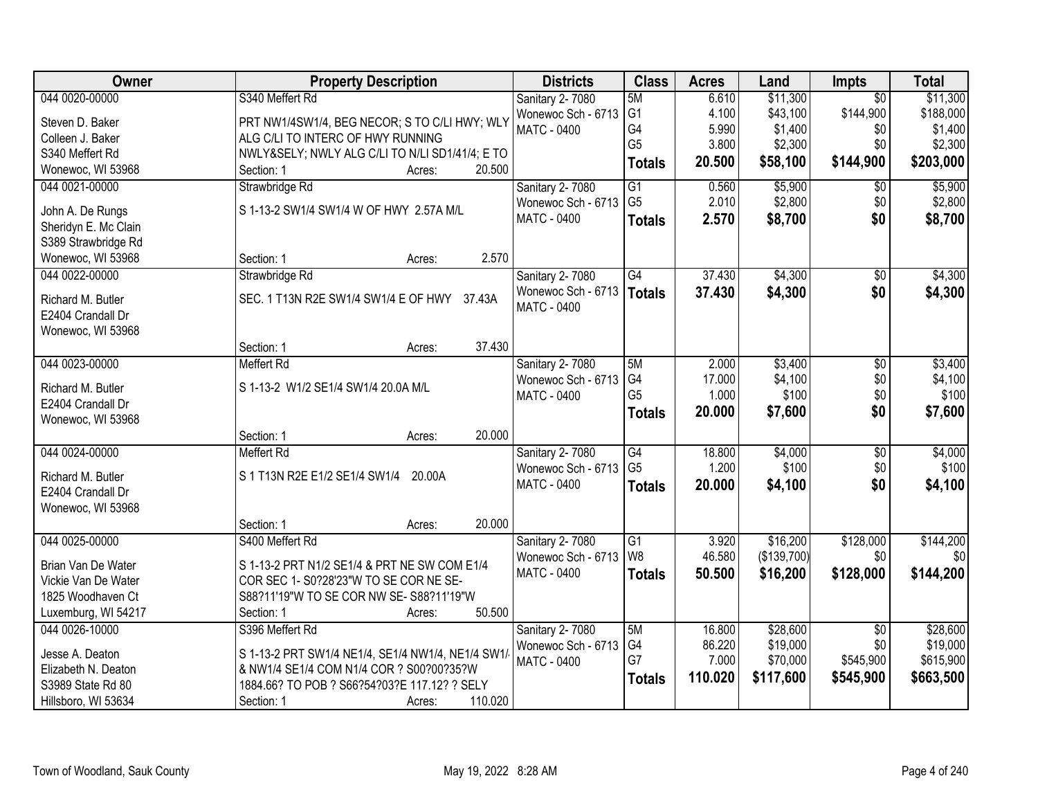| <b>Owner</b>         | <b>Property Description</b>                       | <b>Districts</b>       | <b>Class</b>    | <b>Acres</b> | Land        | Impts           | <b>Total</b> |
|----------------------|---------------------------------------------------|------------------------|-----------------|--------------|-------------|-----------------|--------------|
| 044 0020-00000       | S340 Meffert Rd                                   | <b>Sanitary 2-7080</b> | 5M              | 6.610        | \$11,300    | $\overline{50}$ | \$11,300     |
| Steven D. Baker      | PRT NW1/4SW1/4, BEG NECOR; S TO C/LI HWY; WLY     | Wonewoc Sch - 6713     | G <sub>1</sub>  | 4.100        | \$43,100    | \$144,900       | \$188,000    |
| Colleen J. Baker     | ALG C/LI TO INTERC OF HWY RUNNING                 | <b>MATC - 0400</b>     | G4              | 5.990        | \$1,400     | \$0             | \$1,400      |
| S340 Meffert Rd      | NWLY&SELY NWLY ALG C/LI TO N/LI SD1/41/4; E TO    |                        | G <sub>5</sub>  | 3.800        | \$2,300     | \$0             | \$2,300      |
| Wonewoc, WI 53968    | 20.500<br>Section: 1<br>Acres:                    |                        | <b>Totals</b>   | 20.500       | \$58,100    | \$144,900       | \$203,000    |
| 044 0021-00000       | Strawbridge Rd                                    | Sanitary 2-7080        | $\overline{G1}$ | 0.560        | \$5,900     | $\overline{50}$ | \$5,900      |
|                      |                                                   | Wonewoc Sch - 6713     | G <sub>5</sub>  | 2.010        | \$2,800     | \$0             | \$2,800      |
| John A. De Rungs     | S 1-13-2 SW1/4 SW1/4 W OF HWY 2.57A M/L           | <b>MATC - 0400</b>     | <b>Totals</b>   | 2.570        | \$8,700     | \$0             | \$8,700      |
| Sheridyn E. Mc Clain |                                                   |                        |                 |              |             |                 |              |
| S389 Strawbridge Rd  |                                                   |                        |                 |              |             |                 |              |
| Wonewoc, WI 53968    | 2.570<br>Section: 1<br>Acres:                     |                        |                 |              |             |                 |              |
| 044 0022-00000       | Strawbridge Rd                                    | Sanitary 2-7080        | $\overline{G4}$ | 37.430       | \$4,300     | $\overline{50}$ | \$4,300      |
| Richard M. Butler    | SEC. 1 T13N R2E SW1/4 SW1/4 E OF HWY<br>37.43A    | Wonewoc Sch - 6713     | <b>Totals</b>   | 37.430       | \$4,300     | \$0             | \$4,300      |
| E2404 Crandall Dr    |                                                   | <b>MATC - 0400</b>     |                 |              |             |                 |              |
| Wonewoc, WI 53968    |                                                   |                        |                 |              |             |                 |              |
|                      | 37.430<br>Section: 1<br>Acres:                    |                        |                 |              |             |                 |              |
| 044 0023-00000       | <b>Meffert Rd</b>                                 | Sanitary 2-7080        | 5M              | 2.000        | \$3,400     | \$0             | \$3,400      |
|                      |                                                   | Wonewoc Sch - 6713     | G4              | 17.000       | \$4,100     | \$0             | \$4,100      |
| Richard M. Butler    | S 1-13-2 W1/2 SE1/4 SW1/4 20.0A M/L               | <b>MATC - 0400</b>     | G <sub>5</sub>  | 1.000        | \$100       | \$0             | \$100        |
| E2404 Crandall Dr    |                                                   |                        | <b>Totals</b>   | 20.000       | \$7,600     | \$0             | \$7,600      |
| Wonewoc, WI 53968    |                                                   |                        |                 |              |             |                 |              |
|                      | 20.000<br>Section: 1<br>Acres:                    |                        |                 |              |             |                 |              |
| 044 0024-00000       | <b>Meffert Rd</b>                                 | <b>Sanitary 2-7080</b> | $\overline{G4}$ | 18.800       | \$4,000     | $\overline{50}$ | \$4,000      |
| Richard M. Butler    | S 1 T13N R2E E1/2 SE1/4 SW1/4<br>20.00A           | Wonewoc Sch - 6713     | G <sub>5</sub>  | 1.200        | \$100       | \$0             | \$100        |
| E2404 Crandall Dr    |                                                   | MATC - 0400            | <b>Totals</b>   | 20.000       | \$4,100     | \$0             | \$4,100      |
| Wonewoc, WI 53968    |                                                   |                        |                 |              |             |                 |              |
|                      | 20.000<br>Section: 1<br>Acres:                    |                        |                 |              |             |                 |              |
| 044 0025-00000       | S400 Meffert Rd                                   | Sanitary 2-7080        | G1              | 3.920        | \$16,200    | \$128,000       | \$144,200    |
| Brian Van De Water   | S 1-13-2 PRT N1/2 SE1/4 & PRT NE SW COM E1/4      | Wonewoc Sch - 6713     | W <sub>8</sub>  | 46.580       | (\$139,700) | \$0             | \$0          |
| Vickie Van De Water  | COR SEC 1- S0?28'23"W TO SE COR NE SE-            | MATC - 0400            | <b>Totals</b>   | 50.500       | \$16,200    | \$128,000       | \$144,200    |
| 1825 Woodhaven Ct    | S88?11'19"W TO SE COR NW SE- S88?11'19"W          |                        |                 |              |             |                 |              |
| Luxemburg, WI 54217  | 50.500<br>Section: 1<br>Acres:                    |                        |                 |              |             |                 |              |
| 044 0026-10000       | S396 Meffert Rd                                   | <b>Sanitary 2-7080</b> | 5M              | 16.800       | \$28,600    | $\overline{50}$ | \$28,600     |
|                      |                                                   | Wonewoc Sch - 6713     | G4              | 86.220       | \$19,000    | \$0             | \$19,000     |
| Jesse A. Deaton      | S 1-13-2 PRT SW1/4 NE1/4, SE1/4 NW1/4, NE1/4 SW1/ | <b>MATC - 0400</b>     | G7              | 7.000        | \$70,000    | \$545,900       | \$615,900    |
| Elizabeth N. Deaton  | & NW1/4 SE1/4 COM N1/4 COR ? S00?00?35?W          |                        | <b>Totals</b>   | 110.020      | \$117,600   | \$545,900       | \$663,500    |
| S3989 State Rd 80    | 1884.66? TO POB ? S66?54?03?E 117.12? ? SELY      |                        |                 |              |             |                 |              |
| Hillsboro, WI 53634  | 110.020<br>Section: 1<br>Acres:                   |                        |                 |              |             |                 |              |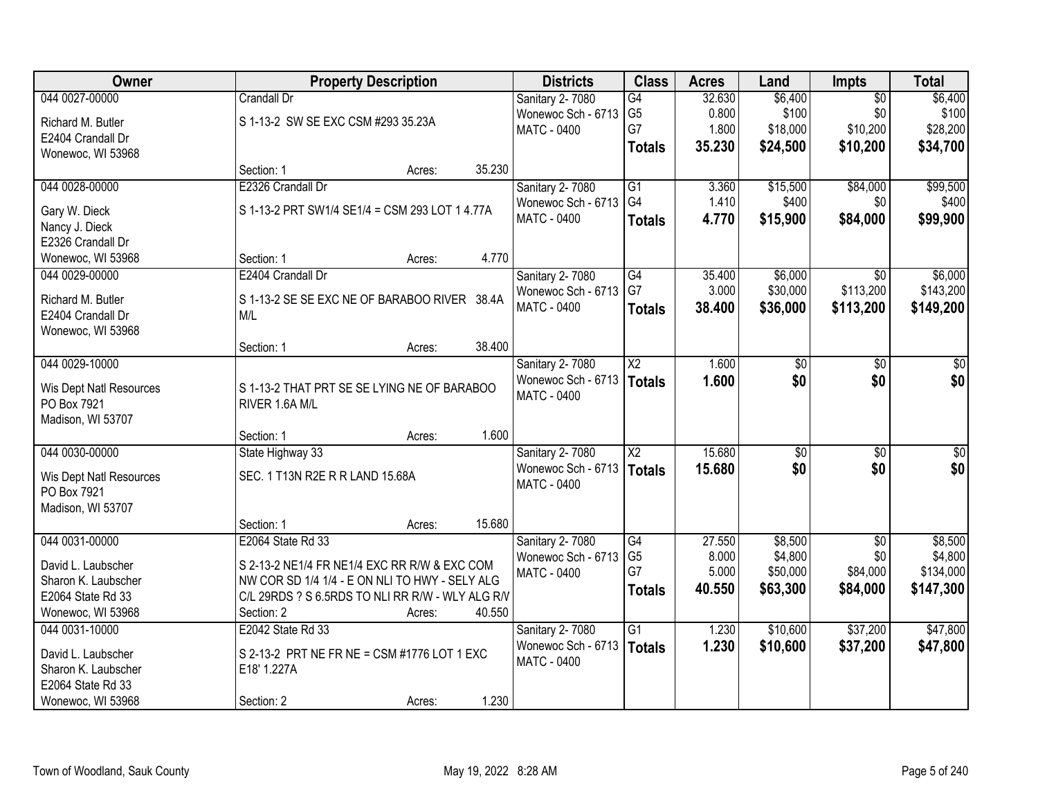| <b>Owner</b>            | <b>Property Description</b>                      | <b>Districts</b>                      | <b>Class</b>           | <b>Acres</b> | Land            | Impts           | <b>Total</b>     |
|-------------------------|--------------------------------------------------|---------------------------------------|------------------------|--------------|-----------------|-----------------|------------------|
| 044 0027-00000          | <b>Crandall Dr</b>                               | Sanitary 2-7080                       | G4                     | 32.630       | \$6,400         | $\overline{50}$ | \$6,400          |
| Richard M. Butler       | S 1-13-2 SW SE EXC CSM #293 35.23A               | Wonewoc Sch - 6713                    | G <sub>5</sub>         | 0.800        | \$100           | \$0             | \$100            |
| E2404 Crandall Dr       |                                                  | <b>MATC - 0400</b>                    | G7                     | 1.800        | \$18,000        | \$10,200        | \$28,200         |
| Wonewoc, WI 53968       |                                                  |                                       | <b>Totals</b>          | 35.230       | \$24,500        | \$10,200        | \$34,700         |
|                         | 35.230<br>Section: 1<br>Acres:                   |                                       |                        |              |                 |                 |                  |
| 044 0028-00000          | E2326 Crandall Dr                                | Sanitary 2-7080                       | G1                     | 3.360        | \$15,500        | \$84,000        | \$99,500         |
| Gary W. Dieck           | S 1-13-2 PRT SW1/4 SE1/4 = CSM 293 LOT 1 4.77A   | Wonewoc Sch - 6713                    | G <sub>4</sub>         | 1.410        | \$400           | \$0             | \$400            |
| Nancy J. Dieck          |                                                  | <b>MATC - 0400</b>                    | <b>Totals</b>          | 4.770        | \$15,900        | \$84,000        | \$99,900         |
| E2326 Crandall Dr       |                                                  |                                       |                        |              |                 |                 |                  |
| Wonewoc, WI 53968       | 4.770<br>Section: 1<br>Acres:                    |                                       |                        |              |                 |                 |                  |
| 044 0029-00000          | E2404 Crandall Dr                                | Sanitary 2-7080                       | G4                     | 35.400       | \$6,000         | $\overline{50}$ | \$6,000          |
|                         |                                                  | Wonewoc Sch - 6713                    | G7                     | 3.000        | \$30,000        | \$113,200       | \$143,200        |
| Richard M. Butler       | S 1-13-2 SE SE EXC NE OF BARABOO RIVER 38.4A     | <b>MATC - 0400</b>                    | <b>Totals</b>          | 38.400       | \$36,000        | \$113,200       | \$149,200        |
| E2404 Crandall Dr       | M/L                                              |                                       |                        |              |                 |                 |                  |
| Wonewoc, WI 53968       | 38.400                                           |                                       |                        |              |                 |                 |                  |
| 044 0029-10000          | Section: 1<br>Acres:                             |                                       | $\overline{\text{X2}}$ | 1.600        |                 | \$0             |                  |
|                         |                                                  | Sanitary 2-7080<br>Wonewoc Sch - 6713 |                        | 1.600        | \$0<br>\$0      | \$0             | \$0<br>\$0       |
| Wis Dept Natl Resources | S 1-13-2 THAT PRT SE SE LYING NE OF BARABOO      | MATC - 0400                           | Totals                 |              |                 |                 |                  |
| PO Box 7921             | RIVER 1.6A M/L                                   |                                       |                        |              |                 |                 |                  |
| Madison, WI 53707       |                                                  |                                       |                        |              |                 |                 |                  |
|                         | 1.600<br>Section: 1<br>Acres:                    |                                       |                        |              |                 |                 |                  |
| 044 0030-00000          | State Highway 33                                 | Sanitary 2-7080                       | $\overline{\text{X2}}$ | 15.680       | $\overline{50}$ | $\overline{50}$ | $\overline{\$0}$ |
| Wis Dept Natl Resources | SEC. 1 T13N R2E R R LAND 15.68A                  | Wonewoc Sch - 6713   Totals           |                        | 15.680       | \$0             | \$0             | \$0              |
| PO Box 7921             |                                                  | MATC - 0400                           |                        |              |                 |                 |                  |
| Madison, WI 53707       |                                                  |                                       |                        |              |                 |                 |                  |
|                         | 15.680<br>Section: 1<br>Acres:                   |                                       |                        |              |                 |                 |                  |
| 044 0031-00000          | E2064 State Rd 33                                | Sanitary 2-7080                       | G4                     | 27.550       | \$8,500         | $\overline{50}$ | \$8,500          |
| David L. Laubscher      | S 2-13-2 NE1/4 FR NE1/4 EXC RR R/W & EXC COM     | Wonewoc Sch - 6713                    | G <sub>5</sub>         | 8.000        | \$4,800         | \$0             | \$4,800          |
| Sharon K. Laubscher     | NW COR SD 1/4 1/4 - E ON NLI TO HWY - SELY ALG   | <b>MATC - 0400</b>                    | G7                     | 5.000        | \$50,000        | \$84,000        | \$134,000        |
| E2064 State Rd 33       | C/L 29RDS ? S 6.5RDS TO NLI RR R/W - WLY ALG R/V |                                       | <b>Totals</b>          | 40.550       | \$63,300        | \$84,000        | \$147,300        |
| Wonewoc, WI 53968       | 40.550<br>Section: 2<br>Acres:                   |                                       |                        |              |                 |                 |                  |
| 044 0031-10000          | E2042 State Rd 33                                | Sanitary 2-7080                       | $\overline{G1}$        | 1.230        | \$10,600        | \$37,200        | \$47,800         |
| David L. Laubscher      | S 2-13-2 PRT NE FR NE = CSM #1776 LOT 1 EXC      | Wonewoc Sch - 6713                    | Totals                 | 1.230        | \$10,600        | \$37,200        | \$47,800         |
| Sharon K. Laubscher     | E18' 1.227A                                      | MATC - 0400                           |                        |              |                 |                 |                  |
| E2064 State Rd 33       |                                                  |                                       |                        |              |                 |                 |                  |
| Wonewoc, WI 53968       | 1.230<br>Section: 2<br>Acres:                    |                                       |                        |              |                 |                 |                  |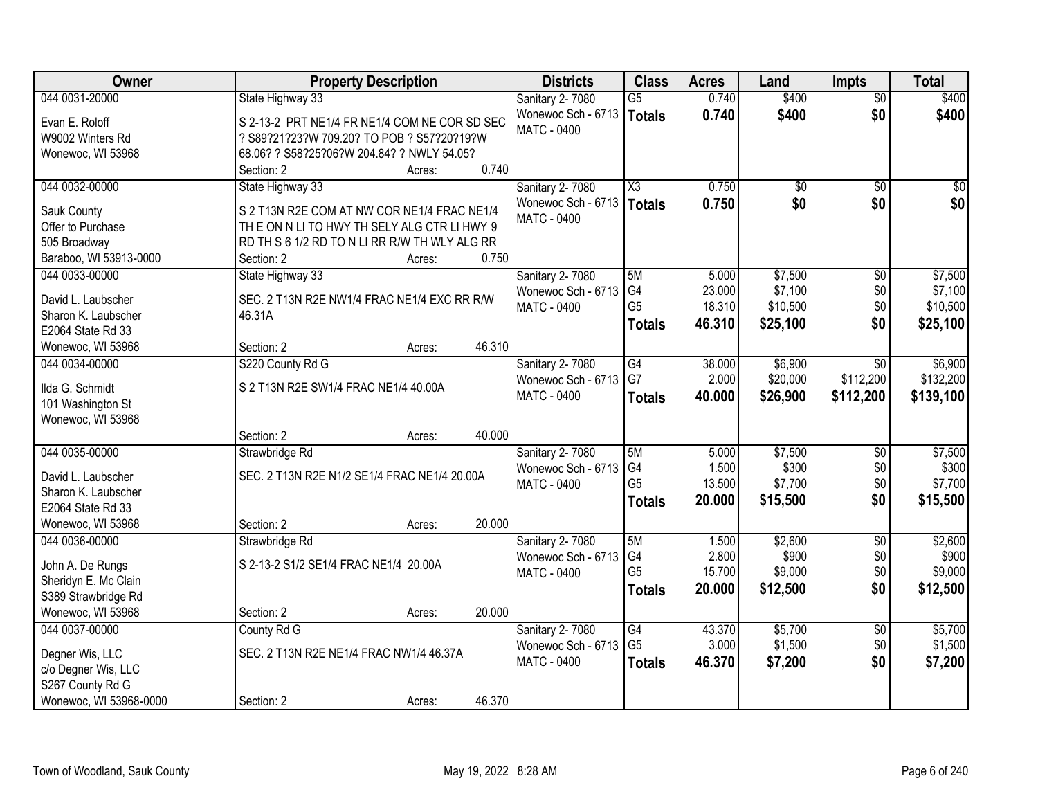| Owner                  | <b>Property Description</b>                   |        |        | <b>Districts</b>            | <b>Class</b>           | <b>Acres</b> | Land     | <b>Impts</b>    | <b>Total</b> |
|------------------------|-----------------------------------------------|--------|--------|-----------------------------|------------------------|--------------|----------|-----------------|--------------|
| 044 0031-20000         | State Highway 33                              |        |        | Sanitary 2-7080             | $\overline{G5}$        | 0.740        | \$400    | $\overline{50}$ | \$400        |
| Evan E. Roloff         | S 2-13-2 PRT NE1/4 FR NE1/4 COM NE COR SD SEC |        |        | Wonewoc Sch - 6713          | <b>Totals</b>          | 0.740        | \$400    | \$0             | \$400        |
| W9002 Winters Rd       | ? S89?21?23?W 709.20? TO POB ? S57?20?19?W    |        |        | <b>MATC - 0400</b>          |                        |              |          |                 |              |
| Wonewoc, WI 53968      | 68.06? ? S58?25?06?W 204.84? ? NWLY 54.05?    |        |        |                             |                        |              |          |                 |              |
|                        | Section: 2                                    | Acres: | 0.740  |                             |                        |              |          |                 |              |
| 044 0032-00000         | State Highway 33                              |        |        | Sanitary 2-7080             | $\overline{\text{X3}}$ | 0.750        | \$0      | \$0             | \$0          |
| Sauk County            | S 2 T13N R2E COM AT NW COR NE1/4 FRAC NE1/4   |        |        | Wonewoc Sch - 6713   Totals |                        | 0.750        | \$0      | \$0             | \$0          |
| Offer to Purchase      | THE ON N LITO HWY TH SELY ALG CTR LIHWY 9     |        |        | <b>MATC - 0400</b>          |                        |              |          |                 |              |
| 505 Broadway           | RD TH S 6 1/2 RD TO N LI RR R/W TH WLY ALG RR |        |        |                             |                        |              |          |                 |              |
| Baraboo, WI 53913-0000 | Section: 2                                    | Acres: | 0.750  |                             |                        |              |          |                 |              |
| 044 0033-00000         | State Highway 33                              |        |        | <b>Sanitary 2-7080</b>      | 5M                     | 5.000        | \$7,500  | $\overline{60}$ | \$7,500      |
|                        |                                               |        |        | Wonewoc Sch - 6713          | G4                     | 23.000       | \$7,100  | \$0             | \$7,100      |
| David L. Laubscher     | SEC. 2 T13N R2E NW1/4 FRAC NE1/4 EXC RR R/W   |        |        | <b>MATC - 0400</b>          | G <sub>5</sub>         | 18.310       | \$10,500 | \$0             | \$10,500     |
| Sharon K. Laubscher    | 46.31A                                        |        |        |                             | <b>Totals</b>          | 46.310       | \$25,100 | \$0             | \$25,100     |
| E2064 State Rd 33      |                                               |        |        |                             |                        |              |          |                 |              |
| Wonewoc, WI 53968      | Section: 2                                    | Acres: | 46.310 |                             |                        |              |          |                 |              |
| 044 0034-00000         | S220 County Rd G                              |        |        | Sanitary 2-7080             | $\overline{G4}$        | 38.000       | \$6,900  | $\sqrt[6]{}$    | \$6,900      |
| Ilda G. Schmidt        | S 2 T13N R2E SW1/4 FRAC NE1/4 40.00A          |        |        | Wonewoc Sch - 6713          | G7                     | 2.000        | \$20,000 | \$112,200       | \$132,200    |
| 101 Washington St      |                                               |        |        | <b>MATC - 0400</b>          | <b>Totals</b>          | 40.000       | \$26,900 | \$112,200       | \$139,100    |
| Wonewoc, WI 53968      |                                               |        |        |                             |                        |              |          |                 |              |
|                        | Section: 2                                    | Acres: | 40.000 |                             |                        |              |          |                 |              |
| 044 0035-00000         | Strawbridge Rd                                |        |        | Sanitary 2-7080             | 5M                     | 5.000        | \$7,500  | \$0             | \$7,500      |
|                        |                                               |        |        | Wonewoc Sch - 6713          | G <sub>4</sub>         | 1.500        | \$300    | \$0             | \$300        |
| David L. Laubscher     | SEC. 2 T13N R2E N1/2 SE1/4 FRAC NE1/4 20.00A  |        |        | <b>MATC - 0400</b>          | G <sub>5</sub>         | 13.500       | \$7,700  | \$0             | \$7,700      |
| Sharon K. Laubscher    |                                               |        |        |                             | <b>Totals</b>          | 20.000       | \$15,500 | \$0             | \$15,500     |
| E2064 State Rd 33      |                                               |        |        |                             |                        |              |          |                 |              |
| Wonewoc, WI 53968      | Section: 2                                    | Acres: | 20.000 |                             |                        |              |          |                 |              |
| 044 0036-00000         | Strawbridge Rd                                |        |        | Sanitary 2-7080             | 5M                     | 1.500        | \$2,600  | $\sqrt{6}$      | \$2,600      |
| John A. De Rungs       | S 2-13-2 S1/2 SE1/4 FRAC NE1/4 20.00A         |        |        | Wonewoc Sch - 6713          | G4                     | 2.800        | \$900    | \$0             | \$900        |
| Sheridyn E. Mc Clain   |                                               |        |        | MATC - 0400                 | G <sub>5</sub>         | 15.700       | \$9,000  | \$0             | \$9,000      |
| S389 Strawbridge Rd    |                                               |        |        |                             | <b>Totals</b>          | 20,000       | \$12,500 | \$0             | \$12,500     |
| Wonewoc, WI 53968      | Section: 2                                    | Acres: | 20.000 |                             |                        |              |          |                 |              |
| 044 0037-00000         | County Rd G                                   |        |        | Sanitary 2-7080             | $\overline{G4}$        | 43.370       | \$5,700  | $\overline{60}$ | \$5,700      |
|                        |                                               |        |        | Wonewoc Sch - 6713          | G <sub>5</sub>         | 3.000        | \$1,500  | \$0             | \$1,500      |
| Degner Wis, LLC        | SEC. 2 T13N R2E NE1/4 FRAC NW1/4 46.37A       |        |        | <b>MATC - 0400</b>          | <b>Totals</b>          | 46.370       | \$7,200  | \$0             | \$7,200      |
| c/o Degner Wis, LLC    |                                               |        |        |                             |                        |              |          |                 |              |
| S267 County Rd G       |                                               |        |        |                             |                        |              |          |                 |              |
| Wonewoc, WI 53968-0000 | Section: 2                                    | Acres: | 46.370 |                             |                        |              |          |                 |              |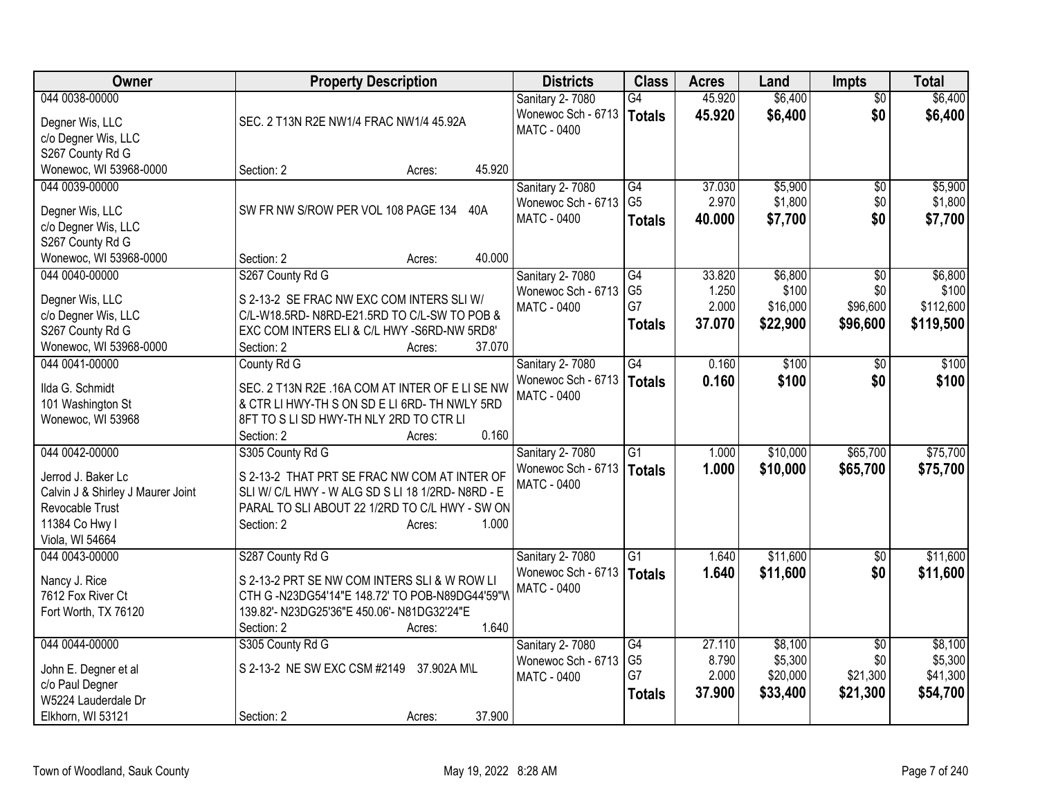| Owner                             | <b>Property Description</b>                      | <b>Districts</b>                         | <b>Class</b>         | <b>Acres</b>     | Land                | <b>Impts</b>           | <b>Total</b>        |
|-----------------------------------|--------------------------------------------------|------------------------------------------|----------------------|------------------|---------------------|------------------------|---------------------|
| 044 0038-00000<br>Degner Wis, LLC | SEC. 2 T13N R2E NW1/4 FRAC NW1/4 45.92A          | Sanitary 2-7080<br>Wonewoc Sch - 6713    | G4<br>Totals         | 45.920<br>45.920 | \$6,400<br>\$6,400  | $\overline{50}$<br>\$0 | \$6,400<br>\$6,400  |
| c/o Degner Wis, LLC               |                                                  | <b>MATC - 0400</b>                       |                      |                  |                     |                        |                     |
| S267 County Rd G                  |                                                  |                                          |                      |                  |                     |                        |                     |
| Wonewoc, WI 53968-0000            | 45.920<br>Section: 2<br>Acres:                   |                                          |                      |                  |                     |                        |                     |
| 044 0039-00000                    |                                                  | Sanitary 2-7080                          | G4                   | 37.030           | \$5,900             | \$0                    | \$5,900             |
| Degner Wis, LLC                   | SW FR NW S/ROW PER VOL 108 PAGE 134<br>40A       | Wonewoc Sch - 6713                       | G <sub>5</sub>       | 2.970            | \$1,800             | \$0                    | \$1,800             |
| c/o Degner Wis, LLC               |                                                  | <b>MATC - 0400</b>                       | <b>Totals</b>        | 40.000           | \$7,700             | \$0                    | \$7,700             |
| S267 County Rd G                  |                                                  |                                          |                      |                  |                     |                        |                     |
| Wonewoc, WI 53968-0000            | 40.000<br>Section: 2<br>Acres:                   |                                          |                      |                  |                     |                        |                     |
| 044 0040-00000                    | S267 County Rd G                                 | Sanitary 2-7080                          | G4                   | 33.820           | \$6,800             | $\sqrt{6}$             | \$6,800             |
| Degner Wis, LLC                   | S 2-13-2 SE FRAC NW EXC COM INTERS SLIW/         | Wonewoc Sch - 6713                       | G <sub>5</sub><br>G7 | 1.250            | \$100               | \$0                    | \$100               |
| c/o Degner Wis, LLC               | C/L-W18.5RD-N8RD-E21.5RD TO C/L-SW TO POB &      | <b>MATC - 0400</b>                       |                      | 2.000<br>37.070  | \$16,000            | \$96,600               | \$112,600           |
| S267 County Rd G                  | EXC COM INTERS ELI & C/L HWY -S6RD-NW 5RD8'      |                                          | <b>Totals</b>        |                  | \$22,900            | \$96,600               | \$119,500           |
| Wonewoc, WI 53968-0000            | 37.070<br>Section: 2<br>Acres:                   |                                          |                      |                  |                     |                        |                     |
| 044 0041-00000                    | County Rd G                                      | Sanitary 2-7080                          | $\overline{G4}$      | 0.160            | \$100               | $\sqrt{6}$             | \$100               |
| Ilda G. Schmidt                   | SEC. 2 T13N R2E .16A COM AT INTER OF E LI SE NW  | Wonewoc Sch - 6713                       | Totals               | 0.160            | \$100               | \$0                    | \$100               |
| 101 Washington St                 | & CTR LI HWY-TH S ON SD E LI 6RD- TH NWLY 5RD    | MATC - 0400                              |                      |                  |                     |                        |                     |
| Wonewoc, WI 53968                 | 8FT TO S LI SD HWY-TH NLY 2RD TO CTR LI          |                                          |                      |                  |                     |                        |                     |
|                                   | 0.160<br>Section: 2<br>Acres:                    |                                          |                      |                  |                     |                        |                     |
| 044 0042-00000                    | S305 County Rd G                                 | Sanitary 2-7080                          | G1                   | 1.000            | \$10,000            | \$65,700               | \$75,700            |
| Jerrod J. Baker Lc                | S 2-13-2 THAT PRT SE FRAC NW COM AT INTER OF     | Wonewoc Sch - 6713                       | Totals               | 1.000            | \$10,000            | \$65,700               | \$75,700            |
| Calvin J & Shirley J Maurer Joint | SLI W/ C/L HWY - W ALG SD S LI 18 1/2RD-N8RD - E | <b>MATC - 0400</b>                       |                      |                  |                     |                        |                     |
| Revocable Trust                   | PARAL TO SLI ABOUT 22 1/2RD TO C/L HWY - SW ON   |                                          |                      |                  |                     |                        |                     |
| 11384 Co Hwy I                    | 1.000<br>Section: 2<br>Acres:                    |                                          |                      |                  |                     |                        |                     |
| Viola, WI 54664                   |                                                  |                                          |                      |                  |                     |                        |                     |
| 044 0043-00000                    | S287 County Rd G                                 | Sanitary 2-7080                          | $\overline{G1}$      | 1.640            | \$11,600            | \$0                    | \$11,600            |
| Nancy J. Rice                     | S 2-13-2 PRT SE NW COM INTERS SLI & W ROW LI     | Wonewoc Sch - 6713<br><b>MATC - 0400</b> | <b>Totals</b>        | 1.640            | \$11,600            | \$0                    | \$11,600            |
| 7612 Fox River Ct                 | CTH G -N23DG54'14"E 148.72' TO POB-N89DG44'59"W  |                                          |                      |                  |                     |                        |                     |
| Fort Worth, TX 76120              | 139.82'- N23DG25'36"E 450.06'- N81DG32'24"E      |                                          |                      |                  |                     |                        |                     |
|                                   | 1.640<br>Section: 2<br>Acres:                    |                                          |                      |                  |                     |                        |                     |
| 044 0044-00000                    | S305 County Rd G                                 | Sanitary 2-7080                          | G4                   | 27.110           | \$8,100             | $\overline{50}$        | \$8,100             |
| John E. Degner et al              | S 2-13-2 NE SW EXC CSM #2149 37.902A M\L         | Wonewoc Sch - 6713                       | G <sub>5</sub><br>G7 | 8.790<br>2.000   | \$5,300<br>\$20,000 | \$0<br>\$21,300        | \$5,300<br>\$41,300 |
| c/o Paul Degner                   |                                                  | MATC - 0400                              |                      | 37.900           | \$33,400            | \$21,300               | \$54,700            |
| W5224 Lauderdale Dr               |                                                  |                                          | <b>Totals</b>        |                  |                     |                        |                     |
| Elkhorn, WI 53121                 | 37.900<br>Section: 2<br>Acres:                   |                                          |                      |                  |                     |                        |                     |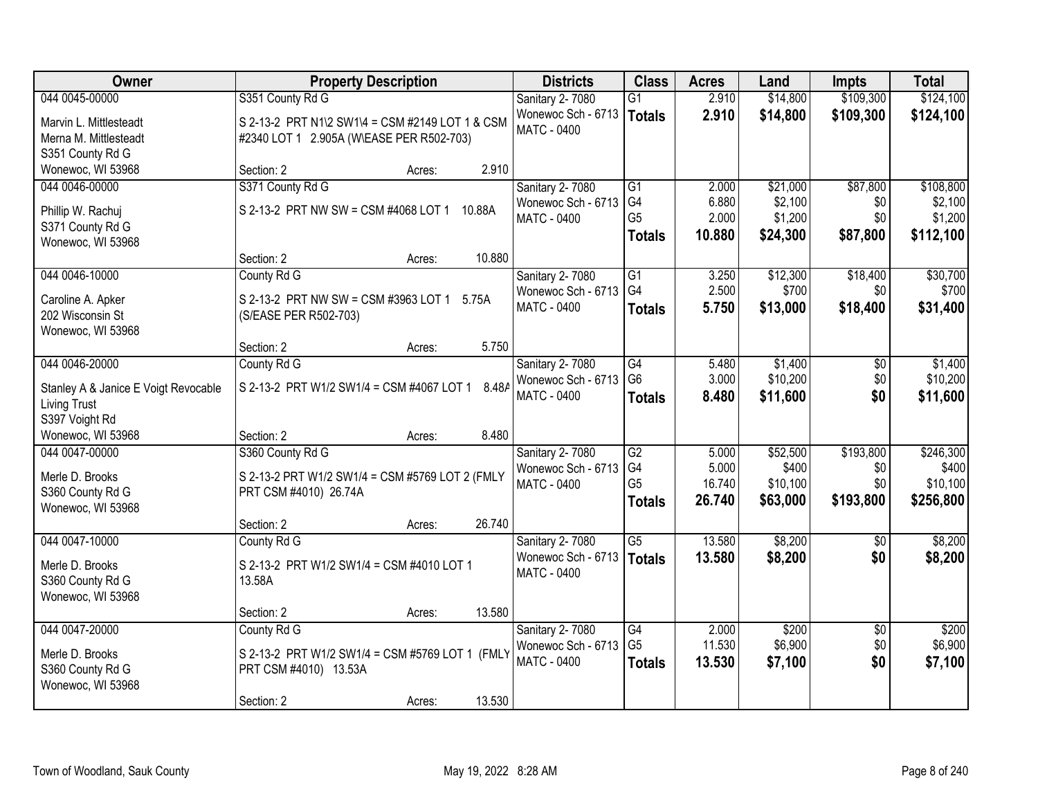| Owner                                | <b>Property Description</b>                     |        | <b>Districts</b>   | <b>Class</b>    | <b>Acres</b> | Land     | <b>Impts</b>    | <b>Total</b> |
|--------------------------------------|-------------------------------------------------|--------|--------------------|-----------------|--------------|----------|-----------------|--------------|
| 044 0045-00000                       | S351 County Rd G                                |        | Sanitary 2-7080    | $\overline{G1}$ | 2.910        | \$14,800 | \$109,300       | \$124,100    |
| Marvin L. Mittlesteadt               | S 2-13-2 PRT N1\2 SW1\4 = CSM #2149 LOT 1 & CSM |        | Wonewoc Sch - 6713 | Totals          | 2.910        | \$14,800 | \$109,300       | \$124,100    |
| Merna M. Mittlesteadt                | #2340 LOT 1 2.905A (W\EASE PER R502-703)        |        | MATC - 0400        |                 |              |          |                 |              |
| S351 County Rd G                     |                                                 |        |                    |                 |              |          |                 |              |
| Wonewoc, WI 53968                    | Section: 2<br>Acres:                            | 2.910  |                    |                 |              |          |                 |              |
| 044 0046-00000                       | S371 County Rd G                                |        | Sanitary 2-7080    | $\overline{G1}$ | 2.000        | \$21,000 | \$87,800        | \$108,800    |
| Phillip W. Rachuj                    | S 2-13-2 PRT NW SW = CSM #4068 LOT 1            | 10.88A | Wonewoc Sch - 6713 | G <sub>4</sub>  | 6.880        | \$2,100  | \$0             | \$2,100      |
| S371 County Rd G                     |                                                 |        | <b>MATC - 0400</b> | G <sub>5</sub>  | 2.000        | \$1,200  | \$0             | \$1,200      |
| Wonewoc, WI 53968                    |                                                 |        |                    | <b>Totals</b>   | 10.880       | \$24,300 | \$87,800        | \$112,100    |
|                                      | Section: 2<br>Acres:                            | 10.880 |                    |                 |              |          |                 |              |
| 044 0046-10000                       | County Rd G                                     |        | Sanitary 2-7080    | G1              | 3.250        | \$12,300 | \$18,400        | \$30,700     |
| Caroline A. Apker                    | S 2-13-2 PRT NW SW = CSM #3963 LOT 1            | 5.75A  | Wonewoc Sch - 6713 | G <sub>4</sub>  | 2.500        | \$700    | \$0             | \$700        |
| 202 Wisconsin St                     | (S/EASE PER R502-703)                           |        | MATC - 0400        | <b>Totals</b>   | 5.750        | \$13,000 | \$18,400        | \$31,400     |
| Wonewoc, WI 53968                    |                                                 |        |                    |                 |              |          |                 |              |
|                                      | Section: 2<br>Acres:                            | 5.750  |                    |                 |              |          |                 |              |
| 044 0046-20000                       | County Rd G                                     |        | Sanitary 2-7080    | $\overline{G4}$ | 5.480        | \$1,400  | \$0             | \$1,400      |
| Stanley A & Janice E Voigt Revocable | S 2-13-2 PRT W1/2 SW1/4 = CSM #4067 LOT 1       | 8.48A  | Wonewoc Sch - 6713 | G <sub>6</sub>  | 3.000        | \$10,200 | \$0             | \$10,200     |
| <b>Living Trust</b>                  |                                                 |        | MATC - 0400        | <b>Totals</b>   | 8.480        | \$11,600 | \$0             | \$11,600     |
| S397 Voight Rd                       |                                                 |        |                    |                 |              |          |                 |              |
| Wonewoc, WI 53968                    | Section: 2<br>Acres:                            | 8.480  |                    |                 |              |          |                 |              |
| 044 0047-00000                       | S360 County Rd G                                |        | Sanitary 2-7080    | $\overline{G2}$ | 5.000        | \$52,500 | \$193,800       | \$246,300    |
| Merle D. Brooks                      | S 2-13-2 PRT W1/2 SW1/4 = CSM #5769 LOT 2 (FMLY |        | Wonewoc Sch - 6713 | G4              | 5.000        | \$400    | \$0             | \$400        |
| S360 County Rd G                     | PRT CSM #4010) 26.74A                           |        | <b>MATC - 0400</b> | G <sub>5</sub>  | 16.740       | \$10,100 | \$0             | \$10,100     |
| Wonewoc, WI 53968                    |                                                 |        |                    | <b>Totals</b>   | 26.740       | \$63,000 | \$193,800       | \$256,800    |
|                                      | Section: 2<br>Acres:                            | 26.740 |                    |                 |              |          |                 |              |
| 044 0047-10000                       | County Rd G                                     |        | Sanitary 2-7080    | $\overline{G5}$ | 13.580       | \$8,200  | \$0             | \$8,200      |
| Merle D. Brooks                      | S 2-13-2 PRT W1/2 SW1/4 = CSM #4010 LOT 1       |        | Wonewoc Sch - 6713 | <b>Totals</b>   | 13.580       | \$8,200  | \$0             | \$8,200      |
| S360 County Rd G                     | 13.58A                                          |        | MATC - 0400        |                 |              |          |                 |              |
| Wonewoc, WI 53968                    |                                                 |        |                    |                 |              |          |                 |              |
|                                      | Section: 2<br>Acres:                            | 13.580 |                    |                 |              |          |                 |              |
| 044 0047-20000                       | County Rd G                                     |        | Sanitary 2-7080    | G4              | 2.000        | \$200    | $\overline{50}$ | \$200        |
| Merle D. Brooks                      | S 2-13-2 PRT W1/2 SW1/4 = CSM #5769 LOT 1 (FMLY |        | Wonewoc Sch - 6713 | G <sub>5</sub>  | 11.530       | \$6,900  | \$0             | \$6,900      |
| S360 County Rd G                     | PRT CSM #4010) 13.53A                           |        | MATC - 0400        | <b>Totals</b>   | 13.530       | \$7,100  | \$0             | \$7,100      |
| Wonewoc, WI 53968                    |                                                 |        |                    |                 |              |          |                 |              |
|                                      | Section: 2<br>Acres:                            | 13.530 |                    |                 |              |          |                 |              |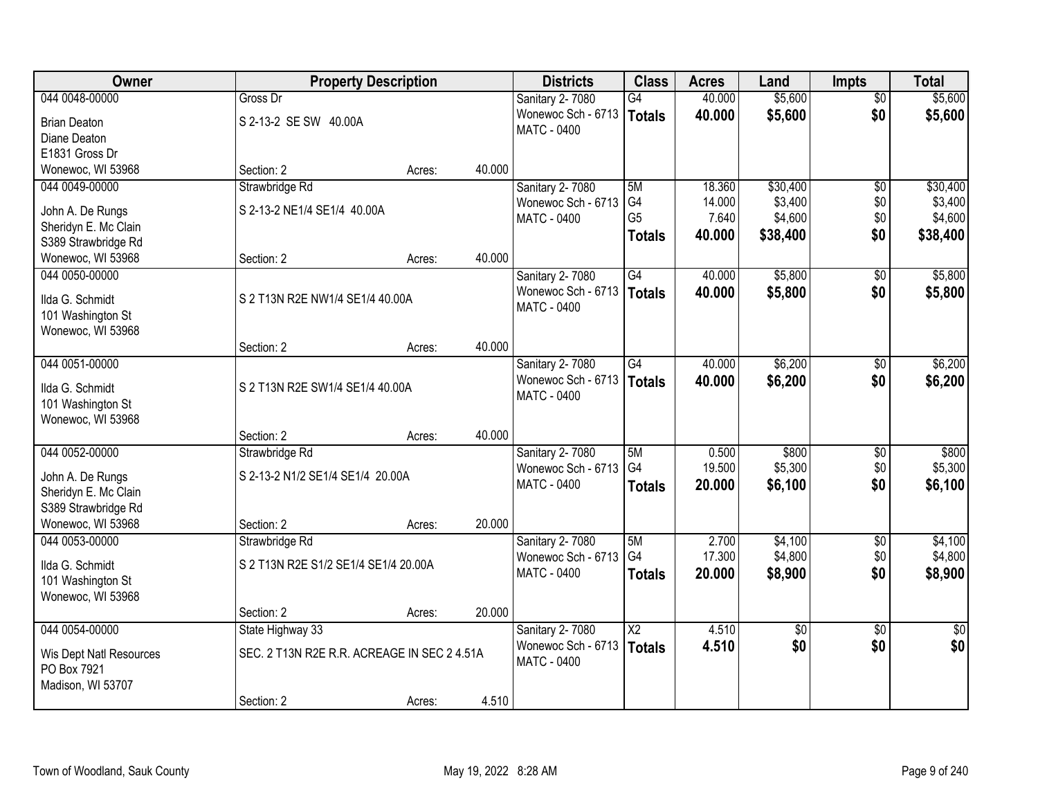| Owner                   |                                             | <b>Property Description</b> |        | <b>Districts</b>       | <b>Class</b>    | <b>Acres</b> | Land            | <b>Impts</b>    | <b>Total</b>    |
|-------------------------|---------------------------------------------|-----------------------------|--------|------------------------|-----------------|--------------|-----------------|-----------------|-----------------|
| 044 0048-00000          | Gross Dr                                    |                             |        | Sanitary 2-7080        | $\overline{G4}$ | 40.000       | \$5,600         | $\overline{50}$ | \$5,600         |
| <b>Brian Deaton</b>     | S 2-13-2 SE SW 40.00A                       |                             |        | Wonewoc Sch - 6713     | Totals          | 40.000       | \$5,600         | \$0             | \$5,600         |
| Diane Deaton            |                                             |                             |        | <b>MATC - 0400</b>     |                 |              |                 |                 |                 |
| E1831 Gross Dr          |                                             |                             |        |                        |                 |              |                 |                 |                 |
| Wonewoc, WI 53968       | Section: 2                                  | Acres:                      | 40.000 |                        |                 |              |                 |                 |                 |
| 044 0049-00000          | Strawbridge Rd                              |                             |        | <b>Sanitary 2-7080</b> | 5M              | 18.360       | \$30,400        | $\overline{50}$ | \$30,400        |
| John A. De Rungs        | S 2-13-2 NE1/4 SE1/4 40.00A                 |                             |        | Wonewoc Sch - 6713     | G <sub>4</sub>  | 14.000       | \$3,400         | \$0             | \$3,400         |
| Sheridyn E. Mc Clain    |                                             |                             |        | <b>MATC - 0400</b>     | G <sub>5</sub>  | 7.640        | \$4,600         | \$0             | \$4,600         |
| S389 Strawbridge Rd     |                                             |                             |        |                        | <b>Totals</b>   | 40.000       | \$38,400        | \$0             | \$38,400        |
| Wonewoc, WI 53968       | Section: 2                                  | Acres:                      | 40.000 |                        |                 |              |                 |                 |                 |
| 044 0050-00000          |                                             |                             |        | Sanitary 2-7080        | G4              | 40.000       | \$5,800         | \$0             | \$5,800         |
| Ilda G. Schmidt         | S 2 T13N R2E NW1/4 SE1/4 40.00A             |                             |        | Wonewoc Sch - 6713     | Totals          | 40.000       | \$5,800         | \$0             | \$5,800         |
| 101 Washington St       |                                             |                             |        | MATC - 0400            |                 |              |                 |                 |                 |
| Wonewoc, WI 53968       |                                             |                             |        |                        |                 |              |                 |                 |                 |
|                         | Section: 2                                  | Acres:                      | 40.000 |                        |                 |              |                 |                 |                 |
| 044 0051-00000          |                                             |                             |        | Sanitary 2-7080        | G4              | 40.000       | \$6,200         | $\sqrt[6]{}$    | \$6,200         |
| Ilda G. Schmidt         | S 2 T13N R2E SW1/4 SE1/4 40.00A             |                             |        | Wonewoc Sch - 6713     | Totals          | 40,000       | \$6,200         | \$0             | \$6,200         |
| 101 Washington St       |                                             |                             |        | <b>MATC - 0400</b>     |                 |              |                 |                 |                 |
| Wonewoc, WI 53968       |                                             |                             |        |                        |                 |              |                 |                 |                 |
|                         | Section: 2                                  | Acres:                      | 40.000 |                        |                 |              |                 |                 |                 |
| 044 0052-00000          | Strawbridge Rd                              |                             |        | Sanitary 2-7080        | 5M              | 0.500        | \$800           | $\overline{50}$ | \$800           |
| John A. De Rungs        | S 2-13-2 N1/2 SE1/4 SE1/4 20.00A            |                             |        | Wonewoc Sch - 6713     | G <sub>4</sub>  | 19.500       | \$5,300         | \$0             | \$5,300         |
| Sheridyn E. Mc Clain    |                                             |                             |        | MATC - 0400            | <b>Totals</b>   | 20.000       | \$6,100         | \$0             | \$6,100         |
| S389 Strawbridge Rd     |                                             |                             |        |                        |                 |              |                 |                 |                 |
| Wonewoc, WI 53968       | Section: 2                                  | Acres:                      | 20.000 |                        |                 |              |                 |                 |                 |
| 044 0053-00000          | Strawbridge Rd                              |                             |        | Sanitary 2-7080        | 5M              | 2.700        | \$4,100         | $\overline{50}$ | \$4,100         |
| Ilda G. Schmidt         | S 2 T13N R2E S1/2 SE1/4 SE1/4 20.00A        |                             |        | Wonewoc Sch - 6713     | G4              | 17.300       | \$4,800         | \$0             | \$4,800         |
| 101 Washington St       |                                             |                             |        | MATC - 0400            | <b>Totals</b>   | 20,000       | \$8,900         | \$0             | \$8,900         |
| Wonewoc, WI 53968       |                                             |                             |        |                        |                 |              |                 |                 |                 |
|                         | Section: 2                                  | Acres:                      | 20.000 |                        |                 |              |                 |                 |                 |
| 044 0054-00000          | State Highway 33                            |                             |        | Sanitary 2-7080        | $\overline{X2}$ | 4.510        | $\overline{50}$ | $\overline{50}$ | $\overline{50}$ |
| Wis Dept Natl Resources | SEC. 2 T13N R2E R.R. ACREAGE IN SEC 2 4.51A |                             |        | Wonewoc Sch - 6713     | Totals          | 4.510        | \$0             | \$0             | \$0             |
| PO Box 7921             |                                             |                             |        | MATC - 0400            |                 |              |                 |                 |                 |
| Madison, WI 53707       |                                             |                             |        |                        |                 |              |                 |                 |                 |
|                         | Section: 2                                  | Acres:                      | 4.510  |                        |                 |              |                 |                 |                 |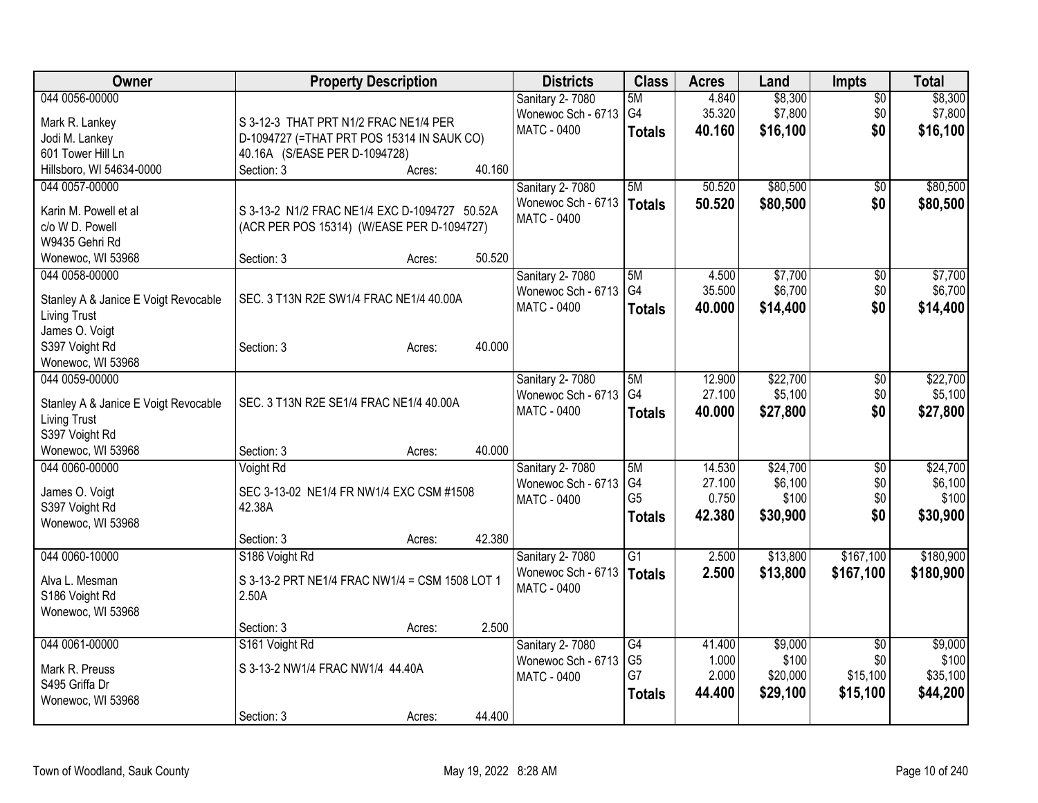| Owner                                | <b>Property Description</b>                    | <b>Districts</b>                      | <b>Class</b>    | <b>Acres</b> | Land     | <b>Impts</b>    | <b>Total</b> |
|--------------------------------------|------------------------------------------------|---------------------------------------|-----------------|--------------|----------|-----------------|--------------|
| 044 0056-00000                       |                                                | Sanitary 2-7080                       | 5M              | 4.840        | \$8,300  | $\overline{50}$ | \$8,300      |
| Mark R. Lankey                       | S 3-12-3 THAT PRT N1/2 FRAC NE1/4 PER          | Wonewoc Sch - 6713                    | G4              | 35.320       | \$7,800  | \$0             | \$7,800      |
| Jodi M. Lankey                       | D-1094727 (=THAT PRT POS 15314 IN SAUK CO)     | <b>MATC - 0400</b>                    | <b>Totals</b>   | 40.160       | \$16,100 | \$0             | \$16,100     |
| 601 Tower Hill Ln                    | 40.16A (S/EASE PER D-1094728)                  |                                       |                 |              |          |                 |              |
| Hillsboro, WI 54634-0000             | 40.160<br>Section: 3<br>Acres:                 |                                       |                 |              |          |                 |              |
| 044 0057-00000                       |                                                | Sanitary 2-7080                       | 5M              | 50.520       | \$80,500 | $\overline{50}$ | \$80,500     |
|                                      |                                                | Wonewoc Sch - 6713                    | Totals          | 50.520       | \$80,500 | \$0             | \$80,500     |
| Karin M. Powell et al                | S 3-13-2 N1/2 FRAC NE1/4 EXC D-1094727 50.52A  | <b>MATC - 0400</b>                    |                 |              |          |                 |              |
| c/o W D. Powell                      | (ACR PER POS 15314) (W/EASE PER D-1094727)     |                                       |                 |              |          |                 |              |
| W9435 Gehri Rd                       | 50.520                                         |                                       |                 |              |          |                 |              |
| Wonewoc, WI 53968<br>044 0058-00000  | Section: 3<br>Acres:                           |                                       | 5M              | 4.500        | \$7,700  |                 | \$7,700      |
|                                      |                                                | Sanitary 2-7080<br>Wonewoc Sch - 6713 | G <sub>4</sub>  | 35.500       | \$6,700  | \$0<br>\$0      | \$6,700      |
| Stanley A & Janice E Voigt Revocable | SEC. 3 T13N R2E SW1/4 FRAC NE1/4 40.00A        | MATC - 0400                           | <b>Totals</b>   | 40.000       | \$14,400 | \$0             | \$14,400     |
| <b>Living Trust</b>                  |                                                |                                       |                 |              |          |                 |              |
| James O. Voigt                       |                                                |                                       |                 |              |          |                 |              |
| S397 Voight Rd                       | 40.000<br>Section: 3<br>Acres:                 |                                       |                 |              |          |                 |              |
| Wonewoc, WI 53968                    |                                                |                                       |                 |              |          |                 |              |
| 044 0059-00000                       |                                                | Sanitary 2-7080                       | 5M              | 12.900       | \$22,700 | $\overline{50}$ | \$22,700     |
| Stanley A & Janice E Voigt Revocable | SEC. 3 T13N R2E SE1/4 FRAC NE1/4 40.00A        | Wonewoc Sch - 6713                    | G <sub>4</sub>  | 27.100       | \$5,100  | \$0             | \$5,100      |
| Living Trust                         |                                                | <b>MATC - 0400</b>                    | <b>Totals</b>   | 40.000       | \$27,800 | \$0             | \$27,800     |
| S397 Voight Rd                       |                                                |                                       |                 |              |          |                 |              |
| Wonewoc, WI 53968                    | 40.000<br>Section: 3<br>Acres:                 |                                       |                 |              |          |                 |              |
| 044 0060-00000                       | Voight Rd                                      | Sanitary 2-7080                       | 5M              | 14.530       | \$24,700 | \$0             | \$24,700     |
|                                      |                                                | Wonewoc Sch - 6713                    | G4              | 27.100       | \$6,100  | \$0             | \$6,100      |
| James O. Voigt                       | SEC 3-13-02 NE1/4 FR NW1/4 EXC CSM #1508       | MATC - 0400                           | G <sub>5</sub>  | 0.750        | \$100    | \$0             | \$100        |
| S397 Voight Rd                       | 42.38A                                         |                                       | <b>Totals</b>   | 42.380       | \$30,900 | \$0             | \$30,900     |
| Wonewoc, WI 53968                    |                                                |                                       |                 |              |          |                 |              |
|                                      | 42.380<br>Section: 3<br>Acres:                 |                                       |                 |              |          |                 |              |
| 044 0060-10000                       | S186 Voight Rd                                 | Sanitary 2-7080                       | $\overline{G1}$ | 2.500        | \$13,800 | \$167,100       | \$180,900    |
| Alva L. Mesman                       | S 3-13-2 PRT NE1/4 FRAC NW1/4 = CSM 1508 LOT 1 | Wonewoc Sch - 6713                    | Totals          | 2.500        | \$13,800 | \$167,100       | \$180,900    |
| S186 Voight Rd                       | 2.50A                                          | <b>MATC - 0400</b>                    |                 |              |          |                 |              |
| Wonewoc, WI 53968                    |                                                |                                       |                 |              |          |                 |              |
|                                      | 2.500<br>Section: 3<br>Acres:                  |                                       |                 |              |          |                 |              |
| 044 0061-00000                       | S161 Voight Rd                                 | Sanitary 2-7080                       | G4              | 41.400       | \$9,000  | $\overline{50}$ | \$9,000      |
|                                      | S 3-13-2 NW1/4 FRAC NW1/4 44.40A               | Wonewoc Sch - 6713                    | G <sub>5</sub>  | 1.000        | \$100    | \$0             | \$100        |
| Mark R. Preuss<br>S495 Griffa Dr     |                                                | MATC - 0400                           | G7              | 2.000        | \$20,000 | \$15,100        | \$35,100     |
| Wonewoc, WI 53968                    |                                                |                                       | <b>Totals</b>   | 44.400       | \$29,100 | \$15,100        | \$44,200     |
|                                      | 44.400<br>Section: 3<br>Acres:                 |                                       |                 |              |          |                 |              |
|                                      |                                                |                                       |                 |              |          |                 |              |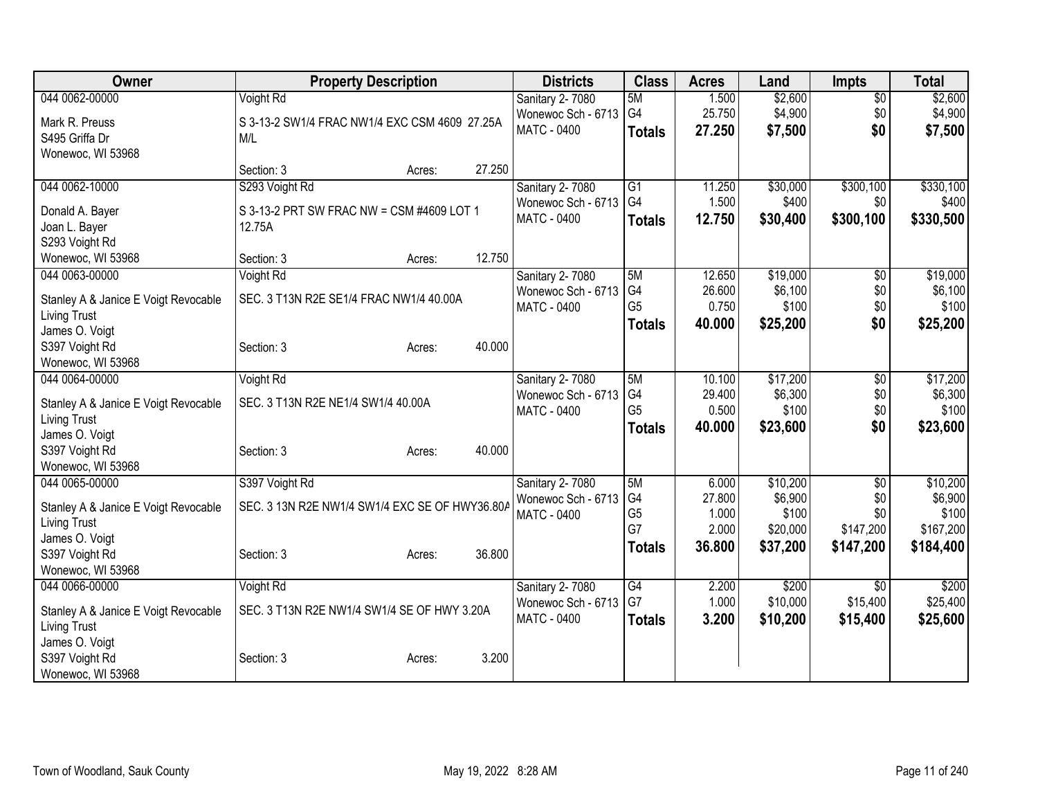| Owner                                | <b>Property Description</b>                    | <b>Districts</b>                      | <b>Class</b>                     | <b>Acres</b>    | Land              | <b>Impts</b>    | <b>Total</b>      |
|--------------------------------------|------------------------------------------------|---------------------------------------|----------------------------------|-----------------|-------------------|-----------------|-------------------|
| 044 0062-00000                       | Voight Rd                                      | Sanitary 2-7080                       | 5M                               | 1.500           | \$2,600           | $\overline{50}$ | \$2,600           |
| Mark R. Preuss                       | S 3-13-2 SW1/4 FRAC NW1/4 EXC CSM 4609 27.25A  | Wonewoc Sch - 6713                    | G4                               | 25.750          | \$4,900           | \$0             | \$4,900           |
| S495 Griffa Dr                       | M/L                                            | <b>MATC - 0400</b>                    | <b>Totals</b>                    | 27.250          | \$7,500           | \$0             | \$7,500           |
| Wonewoc, WI 53968                    |                                                |                                       |                                  |                 |                   |                 |                   |
|                                      | 27.250<br>Section: 3<br>Acres:                 |                                       |                                  |                 |                   |                 |                   |
| 044 0062-10000                       | S293 Voight Rd                                 | Sanitary 2-7080                       | G1                               | 11.250          | \$30,000          | \$300,100       | \$330,100         |
| Donald A. Bayer                      | S 3-13-2 PRT SW FRAC NW = CSM #4609 LOT 1      | Wonewoc Sch - 6713                    | G4                               | 1.500           | \$400             | \$0             | \$400             |
| Joan L. Bayer                        | 12.75A                                         | MATC - 0400                           | <b>Totals</b>                    | 12.750          | \$30,400          | \$300,100       | \$330,500         |
| S293 Voight Rd                       |                                                |                                       |                                  |                 |                   |                 |                   |
| Wonewoc, WI 53968                    | 12.750<br>Section: 3<br>Acres:                 |                                       |                                  |                 |                   |                 |                   |
| 044 0063-00000                       | Voight Rd                                      | Sanitary 2-7080                       | 5M                               | 12.650          | \$19,000          | \$0             | \$19,000          |
| Stanley A & Janice E Voigt Revocable | SEC. 3 T13N R2E SE1/4 FRAC NW1/4 40.00A        | Wonewoc Sch - 6713                    | G4                               | 26.600          | \$6,100           | \$0             | \$6,100           |
| <b>Living Trust</b>                  |                                                | MATC - 0400                           | G <sub>5</sub>                   | 0.750           | \$100             | \$0             | \$100             |
| James O. Voigt                       |                                                |                                       | <b>Totals</b>                    | 40.000          | \$25,200          | \$0             | \$25,200          |
| S397 Voight Rd                       | 40.000<br>Section: 3<br>Acres:                 |                                       |                                  |                 |                   |                 |                   |
| Wonewoc, WI 53968                    |                                                |                                       |                                  |                 |                   |                 |                   |
| 044 0064-00000                       | Voight Rd                                      | <b>Sanitary 2-7080</b>                | 5M                               | 10.100          | \$17,200          | \$0             | \$17,200          |
| Stanley A & Janice E Voigt Revocable | SEC. 3 T13N R2E NE1/4 SW1/4 40.00A             | Wonewoc Sch - 6713                    | G <sub>4</sub><br>G <sub>5</sub> | 29.400          | \$6,300           | \$0             | \$6,300           |
| <b>Living Trust</b>                  |                                                | <b>MATC - 0400</b>                    |                                  | 0.500<br>40.000 | \$100             | \$0<br>\$0      | \$100             |
| James O. Voigt                       |                                                |                                       | <b>Totals</b>                    |                 | \$23,600          |                 | \$23,600          |
| S397 Voight Rd                       | 40.000<br>Section: 3<br>Acres:                 |                                       |                                  |                 |                   |                 |                   |
| Wonewoc, WI 53968                    |                                                |                                       |                                  |                 |                   |                 |                   |
| 044 0065-00000                       | S397 Voight Rd                                 | Sanitary 2-7080                       | 5M                               | 6.000           | \$10,200          | \$0             | \$10,200          |
| Stanley A & Janice E Voigt Revocable | SEC. 3 13N R2E NW1/4 SW1/4 EXC SE OF HWY36.80A | Wonewoc Sch - 6713<br>MATC - 0400     | G <sub>4</sub><br>G <sub>5</sub> | 27.800<br>1.000 | \$6,900<br>\$100  | \$0<br>\$0      | \$6,900<br>\$100  |
| <b>Living Trust</b>                  |                                                |                                       | G7                               | 2.000           | \$20,000          | \$147,200       | \$167,200         |
| James O. Voigt                       |                                                |                                       | <b>Totals</b>                    | 36.800          | \$37,200          | \$147,200       | \$184,400         |
| S397 Voight Rd                       | 36.800<br>Section: 3<br>Acres:                 |                                       |                                  |                 |                   |                 |                   |
| Wonewoc, WI 53968                    |                                                |                                       |                                  |                 |                   |                 |                   |
| 044 0066-00000                       | Voight Rd                                      | Sanitary 2-7080<br>Wonewoc Sch - 6713 | G4<br>G7                         | 2.200<br>1.000  | \$200<br>\$10,000 | \$0<br>\$15,400 | \$200<br>\$25,400 |
| Stanley A & Janice E Voigt Revocable | SEC. 3 T13N R2E NW1/4 SW1/4 SE OF HWY 3.20A    | MATC - 0400                           |                                  | 3.200           | \$10,200          | \$15,400        | \$25,600          |
| <b>Living Trust</b>                  |                                                |                                       | <b>Totals</b>                    |                 |                   |                 |                   |
| James O. Voigt                       |                                                |                                       |                                  |                 |                   |                 |                   |
| S397 Voight Rd                       | 3.200<br>Section: 3<br>Acres:                  |                                       |                                  |                 |                   |                 |                   |
| Wonewoc, WI 53968                    |                                                |                                       |                                  |                 |                   |                 |                   |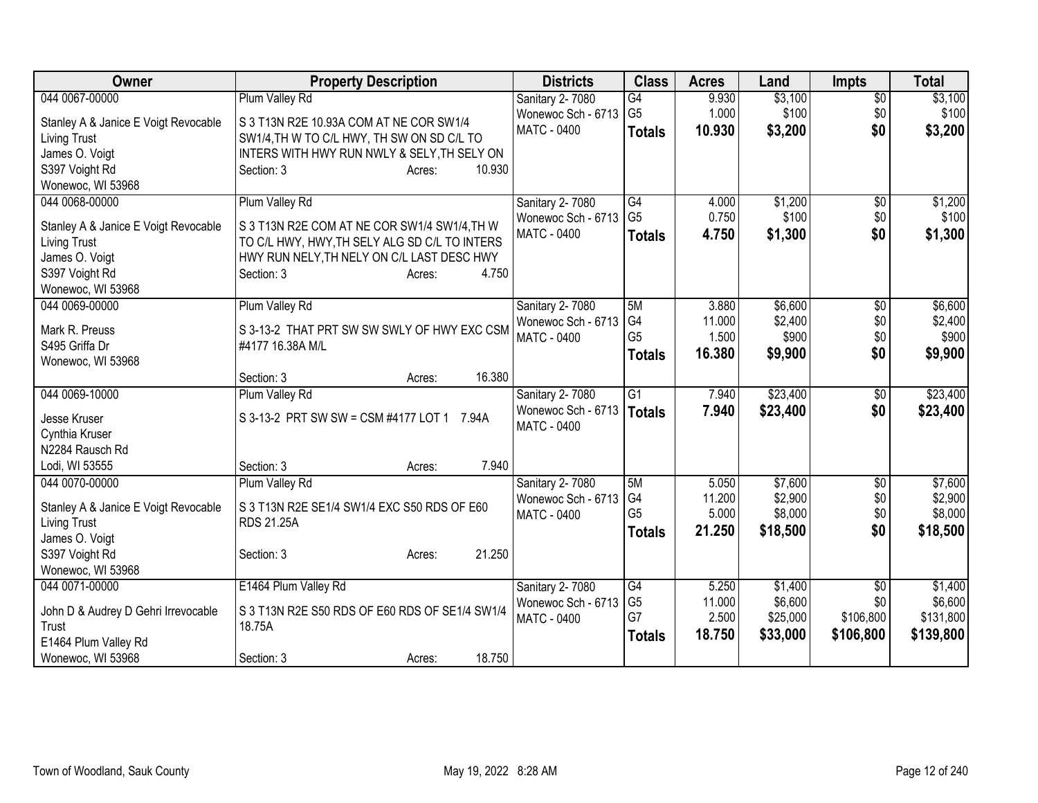| 044 0067-00000<br>Plum Valley Rd<br>\$3,100<br>Sanitary 2-7080<br>G4<br>9.930<br>$\overline{50}$<br>G <sub>5</sub><br>1.000<br>\$100<br>Wonewoc Sch - 6713<br>\$0<br>Stanley A & Janice E Voigt Revocable<br>S 3 T13N R2E 10.93A COM AT NE COR SW1/4<br><b>MATC - 0400</b><br>10.930<br>\$3,200<br>\$0<br><b>Totals</b><br>SW1/4, TH W TO C/L HWY, TH SW ON SD C/L TO<br><b>Living Trust</b> | \$3,100<br>\$100<br>\$3,200 |
|----------------------------------------------------------------------------------------------------------------------------------------------------------------------------------------------------------------------------------------------------------------------------------------------------------------------------------------------------------------------------------------------|-----------------------------|
|                                                                                                                                                                                                                                                                                                                                                                                              |                             |
|                                                                                                                                                                                                                                                                                                                                                                                              |                             |
|                                                                                                                                                                                                                                                                                                                                                                                              |                             |
| James O. Voigt<br>INTERS WITH HWY RUN NWLY & SELY, TH SELY ON                                                                                                                                                                                                                                                                                                                                |                             |
| S397 Voight Rd<br>10.930<br>Section: 3<br>Acres:                                                                                                                                                                                                                                                                                                                                             |                             |
| Wonewoc, WI 53968                                                                                                                                                                                                                                                                                                                                                                            |                             |
| Plum Valley Rd<br>\$1,200<br>044 0068-00000<br>Sanitary 2-7080<br>G4<br>4.000<br>$\overline{50}$                                                                                                                                                                                                                                                                                             | \$1,200                     |
| G <sub>5</sub><br>0.750<br>\$100<br>\$0<br>Wonewoc Sch - 6713                                                                                                                                                                                                                                                                                                                                | \$100                       |
| S 3 T13N R2E COM AT NE COR SW1/4 SW1/4, TH W<br>Stanley A & Janice E Voigt Revocable<br>MATC - 0400<br>4.750<br>\$1,300<br>\$0<br><b>Totals</b>                                                                                                                                                                                                                                              | \$1,300                     |
| TO C/L HWY, HWY, TH SELY ALG SD C/L TO INTERS<br>Living Trust<br>James O. Voigt<br>HWY RUN NELY, TH NELY ON C/L LAST DESC HWY                                                                                                                                                                                                                                                                |                             |
| S397 Voight Rd<br>4.750<br>Section: 3<br>Acres:                                                                                                                                                                                                                                                                                                                                              |                             |
| Wonewoc, WI 53968                                                                                                                                                                                                                                                                                                                                                                            |                             |
| Plum Valley Rd<br>3.880<br>\$6,600<br>044 0069-00000<br>Sanitary 2-7080<br>5M<br>$\overline{50}$                                                                                                                                                                                                                                                                                             | \$6,600                     |
| G <sub>4</sub><br>Wonewoc Sch - 6713<br>11.000<br>\$2,400<br>\$0                                                                                                                                                                                                                                                                                                                             | \$2,400                     |
| Mark R. Preuss<br>S 3-13-2 THAT PRT SW SW SWLY OF HWY EXC CSM<br>G <sub>5</sub><br>1.500<br>\$900<br>\$0<br>MATC - 0400                                                                                                                                                                                                                                                                      | \$900                       |
| S495 Griffa Dr<br>#4177 16.38A M/L<br>16.380<br>\$9,900<br>\$0<br><b>Totals</b>                                                                                                                                                                                                                                                                                                              | \$9,900                     |
| Wonewoc, WI 53968                                                                                                                                                                                                                                                                                                                                                                            |                             |
| 16.380<br>Section: 3<br>Acres:                                                                                                                                                                                                                                                                                                                                                               |                             |
| 044 0069-10000<br>$\overline{G1}$<br>\$23,400<br>Plum Valley Rd<br>Sanitary 2-7080<br>7.940<br>\$0                                                                                                                                                                                                                                                                                           | \$23,400                    |
| Wonewoc Sch - 6713<br>\$23,400<br>7.940<br>\$0<br><b>Totals</b><br>S 3-13-2 PRT SW SW = CSM #4177 LOT 1 7.94A<br>Jesse Kruser                                                                                                                                                                                                                                                                | \$23,400                    |
| MATC - 0400<br>Cynthia Kruser                                                                                                                                                                                                                                                                                                                                                                |                             |
| N2284 Rausch Rd                                                                                                                                                                                                                                                                                                                                                                              |                             |
| 7.940<br>Lodi, WI 53555<br>Section: 3<br>Acres:                                                                                                                                                                                                                                                                                                                                              |                             |
| Plum Valley Rd<br>\$7,600<br>044 0070-00000<br>Sanitary 2-7080<br>5M<br>5.050<br>\$0                                                                                                                                                                                                                                                                                                         | \$7,600                     |
| \$2,900<br>G <sub>4</sub><br>\$0<br>Wonewoc Sch - 6713<br>11.200<br>S 3 T13N R2E SE1/4 SW1/4 EXC S50 RDS OF E60<br>Stanley A & Janice E Voigt Revocable                                                                                                                                                                                                                                      | \$2,900                     |
| G <sub>5</sub><br>5.000<br>\$8,000<br>\$0<br>MATC - 0400<br><b>RDS 21.25A</b><br><b>Living Trust</b>                                                                                                                                                                                                                                                                                         | \$8,000                     |
| \$18,500<br>\$0<br>21.250<br><b>Totals</b><br>James O. Voigt                                                                                                                                                                                                                                                                                                                                 | \$18,500                    |
| 21.250<br>S397 Voight Rd<br>Section: 3<br>Acres:                                                                                                                                                                                                                                                                                                                                             |                             |
| Wonewoc, WI 53968                                                                                                                                                                                                                                                                                                                                                                            |                             |
| E1464 Plum Valley Rd<br>$\overline{G4}$<br>5.250<br>\$1,400<br>$\overline{30}$<br>044 0071-00000<br>Sanitary 2-7080                                                                                                                                                                                                                                                                          | \$1,400                     |
| G <sub>5</sub><br>\$6,600<br>11.000<br>\$0<br>Wonewoc Sch - 6713                                                                                                                                                                                                                                                                                                                             | \$6,600                     |
| S 3 T13N R2E S50 RDS OF E60 RDS OF SE1/4 SW1/4<br>John D & Audrey D Gehri Irrevocable<br>G7<br>2.500<br>\$25,000<br>\$106,800<br>MATC - 0400                                                                                                                                                                                                                                                 | \$131,800                   |
| 18.75A<br>Trust<br>18.750<br>\$33,000<br>\$106,800<br><b>Totals</b><br>E1464 Plum Valley Rd                                                                                                                                                                                                                                                                                                  | \$139,800                   |
| 18.750<br>Wonewoc, WI 53968<br>Section: 3<br>Acres:                                                                                                                                                                                                                                                                                                                                          |                             |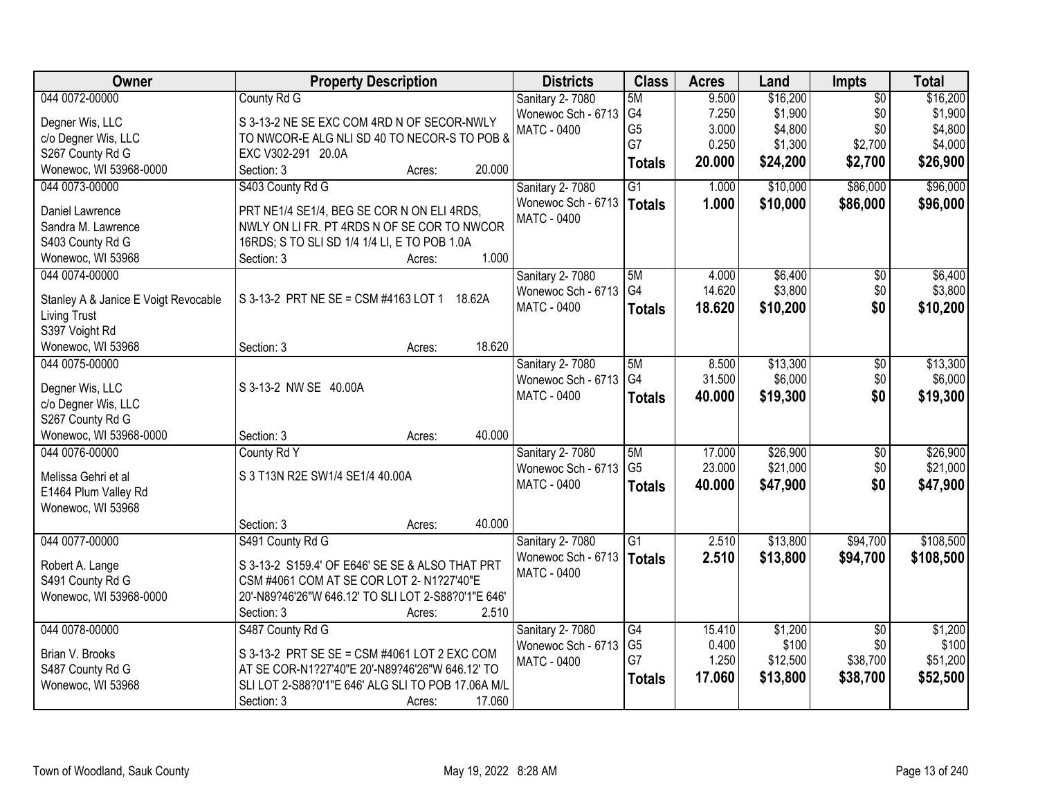| Sanitary 2-7080<br>5M<br>G4<br>\$1,900<br>\$1,900<br>7.250<br>\$0<br>Wonewoc Sch - 6713<br>Degner Wis, LLC<br>S 3-13-2 NE SE EXC COM 4RD N OF SECOR-NWLY<br>G <sub>5</sub><br>\$4,800<br>\$0<br>\$4,800<br>3.000<br><b>MATC - 0400</b><br>TO NWCOR-E ALG NLI SD 40 TO NECOR-S TO POB &<br>c/o Degner Wis, LLC<br>G7<br>0.250<br>\$1,300<br>\$2,700<br>S267 County Rd G<br>EXC V302-291 20.0A<br>\$24,200<br>\$26,900<br>20.000<br>\$2,700<br><b>Totals</b><br>Wonewoc, WI 53968-0000<br>20.000<br>Section: 3<br>Acres:<br>$\overline{G1}$<br>\$86,000<br>\$96,000<br>044 0073-00000<br>S403 County Rd G<br>Sanitary 2-7080<br>1.000<br>\$10,000<br>Wonewoc Sch - 6713<br>1.000<br>\$10,000<br>\$86,000<br><b>Totals</b><br>Daniel Lawrence<br>PRT NE1/4 SE1/4, BEG SE COR N ON ELI 4RDS,<br><b>MATC - 0400</b><br>NWLY ON LI FR. PT 4RDS N OF SE COR TO NWCOR<br>Sandra M. Lawrence<br>S403 County Rd G<br>16RDS; S TO SLI SD 1/4 1/4 LI, E TO POB 1.0A<br>1.000<br>Wonewoc, WI 53968<br>Section: 3<br>Acres:<br>\$6,400<br>044 0074-00000<br><b>Sanitary 2-7080</b><br>5M<br>$\overline{50}$<br>\$6,400<br>4.000<br>G <sub>4</sub><br>\$3,800<br>\$0<br>14.620<br>Wonewoc Sch - 6713<br>S 3-13-2 PRT NE SE = CSM #4163 LOT 1 18.62A<br>Stanley A & Janice E Voigt Revocable<br><b>MATC - 0400</b><br>18.620<br>\$10,200<br>\$0<br><b>Totals</b><br><b>Living Trust</b><br>S397 Voight Rd<br>18.620<br>Wonewoc, WI 53968<br>Section: 3<br>Acres:<br>044 0075-00000<br>\$13,300<br>Sanitary 2-7080<br>5M<br>8.500<br>\$0<br>G4<br>\$6,000<br>31.500<br>\$0<br>Wonewoc Sch - 6713<br>S 3-13-2 NW SE 40.00A<br>Degner Wis, LLC<br>\$0<br>MATC - 0400<br>40.000<br>\$19,300<br><b>Totals</b><br>c/o Degner Wis, LLC<br>S267 County Rd G<br>Wonewoc, WI 53968-0000<br>40.000<br>Section: 3<br>Acres:<br>044 0076-00000<br>5M<br>17.000<br>\$26,900<br>$\overline{50}$<br>County Rd Y<br>Sanitary 2-7080<br>G <sub>5</sub><br>23.000<br>\$21,000<br>\$0<br>Wonewoc Sch - 6713<br>S 3 T13N R2E SW1/4 SE1/4 40.00A<br>Melissa Gehri et al<br>\$0<br>MATC - 0400<br>40.000<br>\$47,900<br>\$47,900<br><b>Totals</b><br>E1464 Plum Valley Rd<br>Wonewoc, WI 53968<br>40.000<br>Section: 3<br>Acres:<br>$\overline{G1}$<br>\$13,800<br>\$94,700<br>044 0077-00000<br>Sanitary 2-7080<br>2.510<br>S491 County Rd G<br>Wonewoc Sch - 6713<br>2.510<br>\$13,800<br>\$94,700<br><b>Totals</b><br>S 3-13-2 S159.4' OF E646' SE SE & ALSO THAT PRT<br>Robert A. Lange<br><b>MATC - 0400</b><br>S491 County Rd G<br>CSM #4061 COM AT SE COR LOT 2- N1?27'40"E<br>Wonewoc, WI 53968-0000<br>20'-N89?46'26"W 646.12' TO SLI LOT 2-S88?0'1"E 646'<br>Section: 3<br>2.510<br>Acres:<br>044 0078-00000<br>S487 County Rd G<br>G4<br>\$1,200<br>\$1,200<br>Sanitary 2-7080<br>15.410<br>$\overline{50}$<br>G <sub>5</sub><br>\$100<br>0.400<br>\$0<br>Wonewoc Sch - 6713<br>Brian V. Brooks<br>S 3-13-2 PRT SE SE = CSM #4061 LOT 2 EXC COM<br>G7<br>1.250<br>\$38,700<br>\$12,500<br><b>MATC - 0400</b><br>AT SE COR-N1?27'40"E 20'-N89?46'26"W 646.12' TO<br>S487 County Rd G<br>\$13,800<br>17.060<br>\$38,700<br>\$52,500<br><b>Totals</b> | Owner             | <b>Property Description</b>                        | <b>Districts</b> | <b>Class</b> | <b>Acres</b> | Land     | Impts           | <b>Total</b> |
|------------------------------------------------------------------------------------------------------------------------------------------------------------------------------------------------------------------------------------------------------------------------------------------------------------------------------------------------------------------------------------------------------------------------------------------------------------------------------------------------------------------------------------------------------------------------------------------------------------------------------------------------------------------------------------------------------------------------------------------------------------------------------------------------------------------------------------------------------------------------------------------------------------------------------------------------------------------------------------------------------------------------------------------------------------------------------------------------------------------------------------------------------------------------------------------------------------------------------------------------------------------------------------------------------------------------------------------------------------------------------------------------------------------------------------------------------------------------------------------------------------------------------------------------------------------------------------------------------------------------------------------------------------------------------------------------------------------------------------------------------------------------------------------------------------------------------------------------------------------------------------------------------------------------------------------------------------------------------------------------------------------------------------------------------------------------------------------------------------------------------------------------------------------------------------------------------------------------------------------------------------------------------------------------------------------------------------------------------------------------------------------------------------------------------------------------------------------------------------------------------------------------------------------------------------------------------------------------------------------------------------------------------------------------------------------------------------------------------------------------------------------------------------------------------------------------------------------------------------------------------------------------------------------------------------------------------------------------------------------------------------------------------------------------------------------------------------------------------------------------|-------------------|----------------------------------------------------|------------------|--------------|--------------|----------|-----------------|--------------|
|                                                                                                                                                                                                                                                                                                                                                                                                                                                                                                                                                                                                                                                                                                                                                                                                                                                                                                                                                                                                                                                                                                                                                                                                                                                                                                                                                                                                                                                                                                                                                                                                                                                                                                                                                                                                                                                                                                                                                                                                                                                                                                                                                                                                                                                                                                                                                                                                                                                                                                                                                                                                                                                                                                                                                                                                                                                                                                                                                                                                                                                                                                                        | 044 0072-00000    | County Rd G                                        |                  |              | 9.500        | \$16,200 | $\overline{50}$ | \$16,200     |
| \$4,000                                                                                                                                                                                                                                                                                                                                                                                                                                                                                                                                                                                                                                                                                                                                                                                                                                                                                                                                                                                                                                                                                                                                                                                                                                                                                                                                                                                                                                                                                                                                                                                                                                                                                                                                                                                                                                                                                                                                                                                                                                                                                                                                                                                                                                                                                                                                                                                                                                                                                                                                                                                                                                                                                                                                                                                                                                                                                                                                                                                                                                                                                                                |                   |                                                    |                  |              |              |          |                 |              |
|                                                                                                                                                                                                                                                                                                                                                                                                                                                                                                                                                                                                                                                                                                                                                                                                                                                                                                                                                                                                                                                                                                                                                                                                                                                                                                                                                                                                                                                                                                                                                                                                                                                                                                                                                                                                                                                                                                                                                                                                                                                                                                                                                                                                                                                                                                                                                                                                                                                                                                                                                                                                                                                                                                                                                                                                                                                                                                                                                                                                                                                                                                                        |                   |                                                    |                  |              |              |          |                 |              |
|                                                                                                                                                                                                                                                                                                                                                                                                                                                                                                                                                                                                                                                                                                                                                                                                                                                                                                                                                                                                                                                                                                                                                                                                                                                                                                                                                                                                                                                                                                                                                                                                                                                                                                                                                                                                                                                                                                                                                                                                                                                                                                                                                                                                                                                                                                                                                                                                                                                                                                                                                                                                                                                                                                                                                                                                                                                                                                                                                                                                                                                                                                                        |                   |                                                    |                  |              |              |          |                 |              |
| \$96,000<br>\$3,800<br>\$10,200<br>\$13,300<br>\$6,000<br>\$19,300<br>\$26,900<br>\$21,000<br>\$108,500<br>\$108,500<br>\$100<br>\$51,200                                                                                                                                                                                                                                                                                                                                                                                                                                                                                                                                                                                                                                                                                                                                                                                                                                                                                                                                                                                                                                                                                                                                                                                                                                                                                                                                                                                                                                                                                                                                                                                                                                                                                                                                                                                                                                                                                                                                                                                                                                                                                                                                                                                                                                                                                                                                                                                                                                                                                                                                                                                                                                                                                                                                                                                                                                                                                                                                                                              |                   |                                                    |                  |              |              |          |                 |              |
|                                                                                                                                                                                                                                                                                                                                                                                                                                                                                                                                                                                                                                                                                                                                                                                                                                                                                                                                                                                                                                                                                                                                                                                                                                                                                                                                                                                                                                                                                                                                                                                                                                                                                                                                                                                                                                                                                                                                                                                                                                                                                                                                                                                                                                                                                                                                                                                                                                                                                                                                                                                                                                                                                                                                                                                                                                                                                                                                                                                                                                                                                                                        |                   |                                                    |                  |              |              |          |                 |              |
|                                                                                                                                                                                                                                                                                                                                                                                                                                                                                                                                                                                                                                                                                                                                                                                                                                                                                                                                                                                                                                                                                                                                                                                                                                                                                                                                                                                                                                                                                                                                                                                                                                                                                                                                                                                                                                                                                                                                                                                                                                                                                                                                                                                                                                                                                                                                                                                                                                                                                                                                                                                                                                                                                                                                                                                                                                                                                                                                                                                                                                                                                                                        |                   |                                                    |                  |              |              |          |                 |              |
|                                                                                                                                                                                                                                                                                                                                                                                                                                                                                                                                                                                                                                                                                                                                                                                                                                                                                                                                                                                                                                                                                                                                                                                                                                                                                                                                                                                                                                                                                                                                                                                                                                                                                                                                                                                                                                                                                                                                                                                                                                                                                                                                                                                                                                                                                                                                                                                                                                                                                                                                                                                                                                                                                                                                                                                                                                                                                                                                                                                                                                                                                                                        |                   |                                                    |                  |              |              |          |                 |              |
|                                                                                                                                                                                                                                                                                                                                                                                                                                                                                                                                                                                                                                                                                                                                                                                                                                                                                                                                                                                                                                                                                                                                                                                                                                                                                                                                                                                                                                                                                                                                                                                                                                                                                                                                                                                                                                                                                                                                                                                                                                                                                                                                                                                                                                                                                                                                                                                                                                                                                                                                                                                                                                                                                                                                                                                                                                                                                                                                                                                                                                                                                                                        |                   |                                                    |                  |              |              |          |                 |              |
|                                                                                                                                                                                                                                                                                                                                                                                                                                                                                                                                                                                                                                                                                                                                                                                                                                                                                                                                                                                                                                                                                                                                                                                                                                                                                                                                                                                                                                                                                                                                                                                                                                                                                                                                                                                                                                                                                                                                                                                                                                                                                                                                                                                                                                                                                                                                                                                                                                                                                                                                                                                                                                                                                                                                                                                                                                                                                                                                                                                                                                                                                                                        |                   |                                                    |                  |              |              |          |                 |              |
|                                                                                                                                                                                                                                                                                                                                                                                                                                                                                                                                                                                                                                                                                                                                                                                                                                                                                                                                                                                                                                                                                                                                                                                                                                                                                                                                                                                                                                                                                                                                                                                                                                                                                                                                                                                                                                                                                                                                                                                                                                                                                                                                                                                                                                                                                                                                                                                                                                                                                                                                                                                                                                                                                                                                                                                                                                                                                                                                                                                                                                                                                                                        |                   |                                                    |                  |              |              |          |                 |              |
|                                                                                                                                                                                                                                                                                                                                                                                                                                                                                                                                                                                                                                                                                                                                                                                                                                                                                                                                                                                                                                                                                                                                                                                                                                                                                                                                                                                                                                                                                                                                                                                                                                                                                                                                                                                                                                                                                                                                                                                                                                                                                                                                                                                                                                                                                                                                                                                                                                                                                                                                                                                                                                                                                                                                                                                                                                                                                                                                                                                                                                                                                                                        |                   |                                                    |                  |              |              |          |                 |              |
|                                                                                                                                                                                                                                                                                                                                                                                                                                                                                                                                                                                                                                                                                                                                                                                                                                                                                                                                                                                                                                                                                                                                                                                                                                                                                                                                                                                                                                                                                                                                                                                                                                                                                                                                                                                                                                                                                                                                                                                                                                                                                                                                                                                                                                                                                                                                                                                                                                                                                                                                                                                                                                                                                                                                                                                                                                                                                                                                                                                                                                                                                                                        |                   |                                                    |                  |              |              |          |                 |              |
|                                                                                                                                                                                                                                                                                                                                                                                                                                                                                                                                                                                                                                                                                                                                                                                                                                                                                                                                                                                                                                                                                                                                                                                                                                                                                                                                                                                                                                                                                                                                                                                                                                                                                                                                                                                                                                                                                                                                                                                                                                                                                                                                                                                                                                                                                                                                                                                                                                                                                                                                                                                                                                                                                                                                                                                                                                                                                                                                                                                                                                                                                                                        |                   |                                                    |                  |              |              |          |                 |              |
|                                                                                                                                                                                                                                                                                                                                                                                                                                                                                                                                                                                                                                                                                                                                                                                                                                                                                                                                                                                                                                                                                                                                                                                                                                                                                                                                                                                                                                                                                                                                                                                                                                                                                                                                                                                                                                                                                                                                                                                                                                                                                                                                                                                                                                                                                                                                                                                                                                                                                                                                                                                                                                                                                                                                                                                                                                                                                                                                                                                                                                                                                                                        |                   |                                                    |                  |              |              |          |                 |              |
|                                                                                                                                                                                                                                                                                                                                                                                                                                                                                                                                                                                                                                                                                                                                                                                                                                                                                                                                                                                                                                                                                                                                                                                                                                                                                                                                                                                                                                                                                                                                                                                                                                                                                                                                                                                                                                                                                                                                                                                                                                                                                                                                                                                                                                                                                                                                                                                                                                                                                                                                                                                                                                                                                                                                                                                                                                                                                                                                                                                                                                                                                                                        |                   |                                                    |                  |              |              |          |                 |              |
|                                                                                                                                                                                                                                                                                                                                                                                                                                                                                                                                                                                                                                                                                                                                                                                                                                                                                                                                                                                                                                                                                                                                                                                                                                                                                                                                                                                                                                                                                                                                                                                                                                                                                                                                                                                                                                                                                                                                                                                                                                                                                                                                                                                                                                                                                                                                                                                                                                                                                                                                                                                                                                                                                                                                                                                                                                                                                                                                                                                                                                                                                                                        |                   |                                                    |                  |              |              |          |                 |              |
|                                                                                                                                                                                                                                                                                                                                                                                                                                                                                                                                                                                                                                                                                                                                                                                                                                                                                                                                                                                                                                                                                                                                                                                                                                                                                                                                                                                                                                                                                                                                                                                                                                                                                                                                                                                                                                                                                                                                                                                                                                                                                                                                                                                                                                                                                                                                                                                                                                                                                                                                                                                                                                                                                                                                                                                                                                                                                                                                                                                                                                                                                                                        |                   |                                                    |                  |              |              |          |                 |              |
|                                                                                                                                                                                                                                                                                                                                                                                                                                                                                                                                                                                                                                                                                                                                                                                                                                                                                                                                                                                                                                                                                                                                                                                                                                                                                                                                                                                                                                                                                                                                                                                                                                                                                                                                                                                                                                                                                                                                                                                                                                                                                                                                                                                                                                                                                                                                                                                                                                                                                                                                                                                                                                                                                                                                                                                                                                                                                                                                                                                                                                                                                                                        |                   |                                                    |                  |              |              |          |                 |              |
|                                                                                                                                                                                                                                                                                                                                                                                                                                                                                                                                                                                                                                                                                                                                                                                                                                                                                                                                                                                                                                                                                                                                                                                                                                                                                                                                                                                                                                                                                                                                                                                                                                                                                                                                                                                                                                                                                                                                                                                                                                                                                                                                                                                                                                                                                                                                                                                                                                                                                                                                                                                                                                                                                                                                                                                                                                                                                                                                                                                                                                                                                                                        |                   |                                                    |                  |              |              |          |                 |              |
|                                                                                                                                                                                                                                                                                                                                                                                                                                                                                                                                                                                                                                                                                                                                                                                                                                                                                                                                                                                                                                                                                                                                                                                                                                                                                                                                                                                                                                                                                                                                                                                                                                                                                                                                                                                                                                                                                                                                                                                                                                                                                                                                                                                                                                                                                                                                                                                                                                                                                                                                                                                                                                                                                                                                                                                                                                                                                                                                                                                                                                                                                                                        |                   |                                                    |                  |              |              |          |                 |              |
|                                                                                                                                                                                                                                                                                                                                                                                                                                                                                                                                                                                                                                                                                                                                                                                                                                                                                                                                                                                                                                                                                                                                                                                                                                                                                                                                                                                                                                                                                                                                                                                                                                                                                                                                                                                                                                                                                                                                                                                                                                                                                                                                                                                                                                                                                                                                                                                                                                                                                                                                                                                                                                                                                                                                                                                                                                                                                                                                                                                                                                                                                                                        |                   |                                                    |                  |              |              |          |                 |              |
|                                                                                                                                                                                                                                                                                                                                                                                                                                                                                                                                                                                                                                                                                                                                                                                                                                                                                                                                                                                                                                                                                                                                                                                                                                                                                                                                                                                                                                                                                                                                                                                                                                                                                                                                                                                                                                                                                                                                                                                                                                                                                                                                                                                                                                                                                                                                                                                                                                                                                                                                                                                                                                                                                                                                                                                                                                                                                                                                                                                                                                                                                                                        |                   |                                                    |                  |              |              |          |                 |              |
|                                                                                                                                                                                                                                                                                                                                                                                                                                                                                                                                                                                                                                                                                                                                                                                                                                                                                                                                                                                                                                                                                                                                                                                                                                                                                                                                                                                                                                                                                                                                                                                                                                                                                                                                                                                                                                                                                                                                                                                                                                                                                                                                                                                                                                                                                                                                                                                                                                                                                                                                                                                                                                                                                                                                                                                                                                                                                                                                                                                                                                                                                                                        |                   |                                                    |                  |              |              |          |                 |              |
|                                                                                                                                                                                                                                                                                                                                                                                                                                                                                                                                                                                                                                                                                                                                                                                                                                                                                                                                                                                                                                                                                                                                                                                                                                                                                                                                                                                                                                                                                                                                                                                                                                                                                                                                                                                                                                                                                                                                                                                                                                                                                                                                                                                                                                                                                                                                                                                                                                                                                                                                                                                                                                                                                                                                                                                                                                                                                                                                                                                                                                                                                                                        |                   |                                                    |                  |              |              |          |                 |              |
|                                                                                                                                                                                                                                                                                                                                                                                                                                                                                                                                                                                                                                                                                                                                                                                                                                                                                                                                                                                                                                                                                                                                                                                                                                                                                                                                                                                                                                                                                                                                                                                                                                                                                                                                                                                                                                                                                                                                                                                                                                                                                                                                                                                                                                                                                                                                                                                                                                                                                                                                                                                                                                                                                                                                                                                                                                                                                                                                                                                                                                                                                                                        |                   |                                                    |                  |              |              |          |                 |              |
|                                                                                                                                                                                                                                                                                                                                                                                                                                                                                                                                                                                                                                                                                                                                                                                                                                                                                                                                                                                                                                                                                                                                                                                                                                                                                                                                                                                                                                                                                                                                                                                                                                                                                                                                                                                                                                                                                                                                                                                                                                                                                                                                                                                                                                                                                                                                                                                                                                                                                                                                                                                                                                                                                                                                                                                                                                                                                                                                                                                                                                                                                                                        |                   |                                                    |                  |              |              |          |                 |              |
|                                                                                                                                                                                                                                                                                                                                                                                                                                                                                                                                                                                                                                                                                                                                                                                                                                                                                                                                                                                                                                                                                                                                                                                                                                                                                                                                                                                                                                                                                                                                                                                                                                                                                                                                                                                                                                                                                                                                                                                                                                                                                                                                                                                                                                                                                                                                                                                                                                                                                                                                                                                                                                                                                                                                                                                                                                                                                                                                                                                                                                                                                                                        |                   |                                                    |                  |              |              |          |                 |              |
|                                                                                                                                                                                                                                                                                                                                                                                                                                                                                                                                                                                                                                                                                                                                                                                                                                                                                                                                                                                                                                                                                                                                                                                                                                                                                                                                                                                                                                                                                                                                                                                                                                                                                                                                                                                                                                                                                                                                                                                                                                                                                                                                                                                                                                                                                                                                                                                                                                                                                                                                                                                                                                                                                                                                                                                                                                                                                                                                                                                                                                                                                                                        |                   |                                                    |                  |              |              |          |                 |              |
|                                                                                                                                                                                                                                                                                                                                                                                                                                                                                                                                                                                                                                                                                                                                                                                                                                                                                                                                                                                                                                                                                                                                                                                                                                                                                                                                                                                                                                                                                                                                                                                                                                                                                                                                                                                                                                                                                                                                                                                                                                                                                                                                                                                                                                                                                                                                                                                                                                                                                                                                                                                                                                                                                                                                                                                                                                                                                                                                                                                                                                                                                                                        |                   |                                                    |                  |              |              |          |                 |              |
|                                                                                                                                                                                                                                                                                                                                                                                                                                                                                                                                                                                                                                                                                                                                                                                                                                                                                                                                                                                                                                                                                                                                                                                                                                                                                                                                                                                                                                                                                                                                                                                                                                                                                                                                                                                                                                                                                                                                                                                                                                                                                                                                                                                                                                                                                                                                                                                                                                                                                                                                                                                                                                                                                                                                                                                                                                                                                                                                                                                                                                                                                                                        |                   |                                                    |                  |              |              |          |                 |              |
|                                                                                                                                                                                                                                                                                                                                                                                                                                                                                                                                                                                                                                                                                                                                                                                                                                                                                                                                                                                                                                                                                                                                                                                                                                                                                                                                                                                                                                                                                                                                                                                                                                                                                                                                                                                                                                                                                                                                                                                                                                                                                                                                                                                                                                                                                                                                                                                                                                                                                                                                                                                                                                                                                                                                                                                                                                                                                                                                                                                                                                                                                                                        |                   |                                                    |                  |              |              |          |                 |              |
|                                                                                                                                                                                                                                                                                                                                                                                                                                                                                                                                                                                                                                                                                                                                                                                                                                                                                                                                                                                                                                                                                                                                                                                                                                                                                                                                                                                                                                                                                                                                                                                                                                                                                                                                                                                                                                                                                                                                                                                                                                                                                                                                                                                                                                                                                                                                                                                                                                                                                                                                                                                                                                                                                                                                                                                                                                                                                                                                                                                                                                                                                                                        |                   |                                                    |                  |              |              |          |                 |              |
|                                                                                                                                                                                                                                                                                                                                                                                                                                                                                                                                                                                                                                                                                                                                                                                                                                                                                                                                                                                                                                                                                                                                                                                                                                                                                                                                                                                                                                                                                                                                                                                                                                                                                                                                                                                                                                                                                                                                                                                                                                                                                                                                                                                                                                                                                                                                                                                                                                                                                                                                                                                                                                                                                                                                                                                                                                                                                                                                                                                                                                                                                                                        |                   |                                                    |                  |              |              |          |                 |              |
|                                                                                                                                                                                                                                                                                                                                                                                                                                                                                                                                                                                                                                                                                                                                                                                                                                                                                                                                                                                                                                                                                                                                                                                                                                                                                                                                                                                                                                                                                                                                                                                                                                                                                                                                                                                                                                                                                                                                                                                                                                                                                                                                                                                                                                                                                                                                                                                                                                                                                                                                                                                                                                                                                                                                                                                                                                                                                                                                                                                                                                                                                                                        |                   |                                                    |                  |              |              |          |                 |              |
|                                                                                                                                                                                                                                                                                                                                                                                                                                                                                                                                                                                                                                                                                                                                                                                                                                                                                                                                                                                                                                                                                                                                                                                                                                                                                                                                                                                                                                                                                                                                                                                                                                                                                                                                                                                                                                                                                                                                                                                                                                                                                                                                                                                                                                                                                                                                                                                                                                                                                                                                                                                                                                                                                                                                                                                                                                                                                                                                                                                                                                                                                                                        | Wonewoc, WI 53968 | SLI LOT 2-S88?0'1"E 646' ALG SLI TO POB 17.06A M/L |                  |              |              |          |                 |              |
| 17.060<br>Section: 3<br>Acres:                                                                                                                                                                                                                                                                                                                                                                                                                                                                                                                                                                                                                                                                                                                                                                                                                                                                                                                                                                                                                                                                                                                                                                                                                                                                                                                                                                                                                                                                                                                                                                                                                                                                                                                                                                                                                                                                                                                                                                                                                                                                                                                                                                                                                                                                                                                                                                                                                                                                                                                                                                                                                                                                                                                                                                                                                                                                                                                                                                                                                                                                                         |                   |                                                    |                  |              |              |          |                 |              |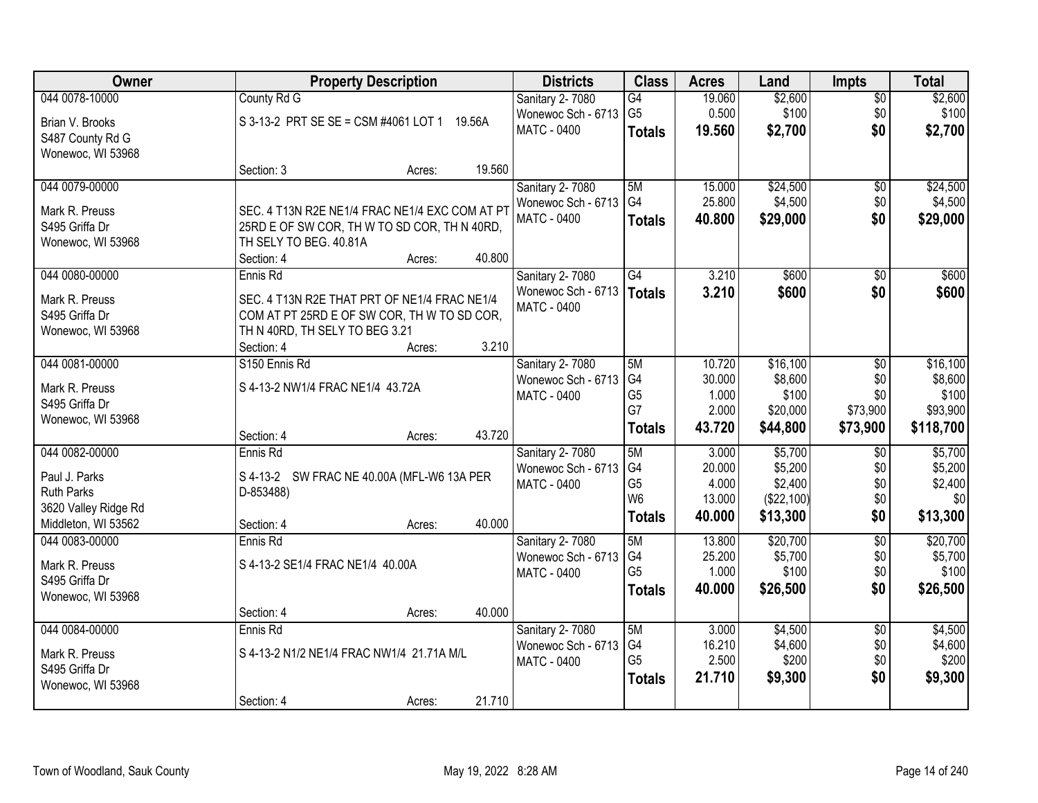| Owner                |                                                | <b>Property Description</b> |        | <b>Districts</b>   | <b>Class</b>    | <b>Acres</b> | Land       | <b>Impts</b>    | <b>Total</b> |
|----------------------|------------------------------------------------|-----------------------------|--------|--------------------|-----------------|--------------|------------|-----------------|--------------|
| 044 0078-10000       | County Rd G                                    |                             |        | Sanitary 2-7080    | $\overline{G4}$ | 19.060       | \$2,600    | $\overline{50}$ | \$2,600      |
| Brian V. Brooks      | S 3-13-2 PRT SE SE = CSM #4061 LOT 1 19.56A    |                             |        | Wonewoc Sch - 6713 | G <sub>5</sub>  | 0.500        | \$100      | \$0             | \$100        |
| S487 County Rd G     |                                                |                             |        | MATC - 0400        | <b>Totals</b>   | 19.560       | \$2,700    | \$0             | \$2,700      |
| Wonewoc, WI 53968    |                                                |                             |        |                    |                 |              |            |                 |              |
|                      | Section: 3                                     | Acres:                      | 19.560 |                    |                 |              |            |                 |              |
| 044 0079-00000       |                                                |                             |        | Sanitary 2-7080    | 5M              | 15.000       | \$24,500   | \$0             | \$24,500     |
| Mark R. Preuss       | SEC. 4 T13N R2E NE1/4 FRAC NE1/4 EXC COM AT PT |                             |        | Wonewoc Sch - 6713 | G4              | 25.800       | \$4,500    | \$0             | \$4,500      |
| S495 Griffa Dr       | 25RD E OF SW COR, TH W TO SD COR, TH N 40RD,   |                             |        | <b>MATC - 0400</b> | <b>Totals</b>   | 40.800       | \$29,000   | \$0             | \$29,000     |
| Wonewoc, WI 53968    | TH SELY TO BEG. 40.81A                         |                             |        |                    |                 |              |            |                 |              |
|                      | Section: 4                                     | Acres:                      | 40.800 |                    |                 |              |            |                 |              |
| 044 0080-00000       | Ennis Rd                                       |                             |        | Sanitary 2-7080    | G4              | 3.210        | \$600      | \$0             | \$600        |
| Mark R. Preuss       | SEC. 4 T13N R2E THAT PRT OF NE1/4 FRAC NE1/4   |                             |        | Wonewoc Sch - 6713 | Totals          | 3.210        | \$600      | \$0             | \$600        |
| S495 Griffa Dr       | COM AT PT 25RD E OF SW COR, TH W TO SD COR,    |                             |        | MATC - 0400        |                 |              |            |                 |              |
| Wonewoc, WI 53968    | TH N 40RD, TH SELY TO BEG 3.21                 |                             |        |                    |                 |              |            |                 |              |
|                      | Section: 4                                     | Acres:                      | 3.210  |                    |                 |              |            |                 |              |
| 044 0081-00000       | S150 Ennis Rd                                  |                             |        | Sanitary 2-7080    | 5M              | 10.720       | \$16,100   | \$0             | \$16,100     |
| Mark R. Preuss       | S 4-13-2 NW1/4 FRAC NE1/4 43.72A               |                             |        | Wonewoc Sch - 6713 | G4              | 30.000       | \$8,600    | \$0             | \$8,600      |
| S495 Griffa Dr       |                                                |                             |        | <b>MATC - 0400</b> | G <sub>5</sub>  | 1.000        | \$100      | \$0             | \$100        |
| Wonewoc, WI 53968    |                                                |                             |        |                    | G7              | 2.000        | \$20,000   | \$73,900        | \$93,900     |
|                      | Section: 4                                     | Acres:                      | 43.720 |                    | <b>Totals</b>   | 43.720       | \$44,800   | \$73,900        | \$118,700    |
| 044 0082-00000       | Ennis Rd                                       |                             |        | Sanitary 2-7080    | 5M              | 3.000        | \$5,700    | $\overline{50}$ | \$5,700      |
| Paul J. Parks        | S 4-13-2 SW FRAC NE 40.00A (MFL-W6 13A PER     |                             |        | Wonewoc Sch - 6713 | G4              | 20.000       | \$5,200    | \$0             | \$5,200      |
| <b>Ruth Parks</b>    | D-853488)                                      |                             |        | MATC - 0400        | G <sub>5</sub>  | 4.000        | \$2,400    | \$0             | \$2,400      |
| 3620 Valley Ridge Rd |                                                |                             |        |                    | W <sub>6</sub>  | 13.000       | (\$22,100) | \$0             | \$0          |
| Middleton, WI 53562  | Section: 4                                     | Acres:                      | 40.000 |                    | <b>Totals</b>   | 40.000       | \$13,300   | \$0             | \$13,300     |
| 044 0083-00000       | Ennis Rd                                       |                             |        | Sanitary 2-7080    | 5M              | 13.800       | \$20,700   | $\overline{60}$ | \$20,700     |
| Mark R. Preuss       | S 4-13-2 SE1/4 FRAC NE1/4 40.00A               |                             |        | Wonewoc Sch - 6713 | G4              | 25.200       | \$5,700    | \$0             | \$5,700      |
| S495 Griffa Dr       |                                                |                             |        | <b>MATC - 0400</b> | G <sub>5</sub>  | 1.000        | \$100      | \$0             | \$100        |
| Wonewoc, WI 53968    |                                                |                             |        |                    | <b>Totals</b>   | 40.000       | \$26,500   | \$0             | \$26,500     |
|                      | Section: 4                                     | Acres:                      | 40.000 |                    |                 |              |            |                 |              |
| 044 0084-00000       | Ennis Rd                                       |                             |        | Sanitary 2-7080    | 5M              | 3.000        | \$4,500    | $\overline{50}$ | \$4,500      |
| Mark R. Preuss       | S 4-13-2 N1/2 NE1/4 FRAC NW1/4 21.71A M/L      |                             |        | Wonewoc Sch - 6713 | G4              | 16.210       | \$4,600    | \$0             | \$4,600      |
| S495 Griffa Dr       |                                                |                             |        | MATC - 0400        | G <sub>5</sub>  | 2.500        | \$200      | \$0             | \$200        |
| Wonewoc, WI 53968    |                                                |                             |        |                    | <b>Totals</b>   | 21.710       | \$9,300    | \$0             | \$9,300      |
|                      | Section: 4                                     | Acres:                      | 21.710 |                    |                 |              |            |                 |              |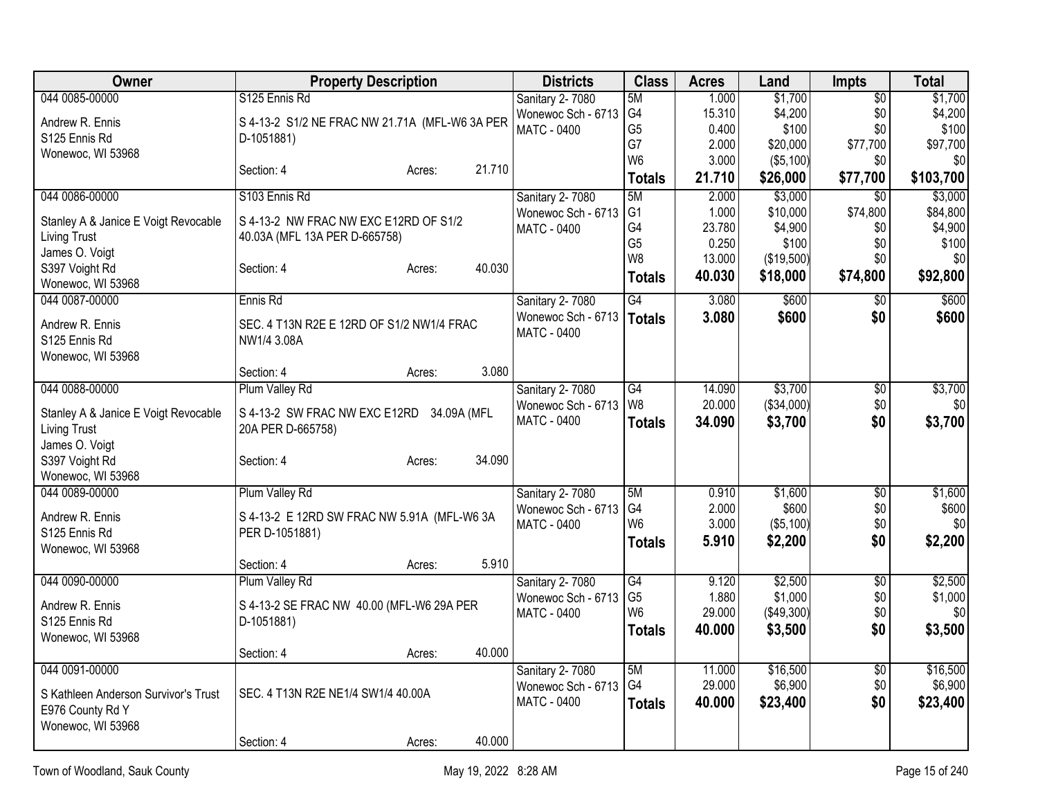| Owner                                | <b>Property Description</b>                    | <b>Districts</b>                         | <b>Class</b>         | <b>Acres</b>     | Land                | Impts                  | <b>Total</b>        |
|--------------------------------------|------------------------------------------------|------------------------------------------|----------------------|------------------|---------------------|------------------------|---------------------|
| 044 0085-00000                       | S125 Ennis Rd                                  | Sanitary 2-7080                          | 5M                   | 1.000            | \$1,700             | $\overline{50}$        | \$1,700             |
| Andrew R. Ennis                      | S 4-13-2 S1/2 NE FRAC NW 21.71A (MFL-W6 3A PER | Wonewoc Sch - 6713                       | G <sub>4</sub>       | 15.310           | \$4,200             | \$0                    | \$4,200             |
| S125 Ennis Rd                        | D-1051881)                                     | <b>MATC - 0400</b>                       | G <sub>5</sub><br>G7 | 0.400<br>2.000   | \$100<br>\$20,000   | \$0<br>\$77,700        | \$100<br>\$97,700   |
| Wonewoc, WI 53968                    |                                                |                                          | W <sub>6</sub>       | 3.000            | ( \$5,100)          | \$0                    | \$0                 |
|                                      | 21.710<br>Section: 4<br>Acres:                 |                                          | <b>Totals</b>        | 21.710           | \$26,000            | \$77,700               | \$103,700           |
| 044 0086-00000                       | S103 Ennis Rd                                  | <b>Sanitary 2-7080</b>                   | 5M                   | 2.000            | \$3,000             | $\overline{30}$        | \$3,000             |
| Stanley A & Janice E Voigt Revocable | S 4-13-2 NW FRAC NW EXC E12RD OF S1/2          | Wonewoc Sch - 6713                       | G <sub>1</sub>       | 1.000            | \$10,000            | \$74,800               | \$84,800            |
| <b>Living Trust</b>                  | 40.03A (MFL 13A PER D-665758)                  | <b>MATC - 0400</b>                       | G4                   | 23.780           | \$4,900             | \$0                    | \$4,900             |
| James O. Voigt                       |                                                |                                          | G <sub>5</sub>       | 0.250            | \$100               | \$0                    | \$100               |
| S397 Voight Rd                       | 40.030<br>Section: 4<br>Acres:                 |                                          | W <sub>8</sub>       | 13.000           | (\$19,500)          | \$0                    | \$0                 |
| Wonewoc, WI 53968                    |                                                |                                          | <b>Totals</b>        | 40.030           | \$18,000            | \$74,800               | \$92,800            |
| 044 0087-00000                       | Ennis Rd                                       | Sanitary 2-7080                          | $\overline{G4}$      | 3.080            | \$600               | $\overline{50}$        | \$600               |
| Andrew R. Ennis                      | SEC. 4 T13N R2E E 12RD OF S1/2 NW1/4 FRAC      | Wonewoc Sch - 6713                       | <b>Totals</b>        | 3.080            | \$600               | \$0                    | \$600               |
| S125 Ennis Rd                        | NW1/4 3.08A                                    | <b>MATC - 0400</b>                       |                      |                  |                     |                        |                     |
| Wonewoc, WI 53968                    |                                                |                                          |                      |                  |                     |                        |                     |
|                                      | 3.080<br>Section: 4<br>Acres:                  |                                          |                      |                  |                     |                        |                     |
| 044 0088-00000                       | Plum Valley Rd                                 | Sanitary 2-7080                          | G4                   | 14.090           | \$3,700             | $\overline{50}$        | \$3,700             |
| Stanley A & Janice E Voigt Revocable | S 4-13-2 SW FRAC NW EXC E12RD 34.09A (MFL      | Wonewoc Sch - 6713                       | W <sub>8</sub>       | 20.000           | (\$34,000)          | \$0                    | \$0]                |
| <b>Living Trust</b>                  | 20A PER D-665758)                              | <b>MATC - 0400</b>                       | <b>Totals</b>        | 34.090           | \$3,700             | \$0                    | \$3,700             |
| James O. Voigt                       |                                                |                                          |                      |                  |                     |                        |                     |
| S397 Voight Rd                       | 34.090<br>Section: 4<br>Acres:                 |                                          |                      |                  |                     |                        |                     |
| Wonewoc, WI 53968                    |                                                |                                          |                      |                  |                     |                        |                     |
| 044 0089-00000                       | Plum Valley Rd                                 | Sanitary 2-7080                          | 5M<br>G4             | 0.910<br>2.000   | \$1,600<br>\$600    | $\overline{50}$<br>\$0 | \$1,600<br>\$600    |
| Andrew R. Ennis                      | S 4-13-2 E 12RD SW FRAC NW 5.91A (MFL-W6 3A    | Wonewoc Sch - 6713<br><b>MATC - 0400</b> | W <sub>6</sub>       | 3.000            | $($ \$5,100) $ $    | \$0                    | \$0                 |
| S125 Ennis Rd                        | PER D-1051881)                                 |                                          | <b>Totals</b>        | 5.910            | \$2,200             | \$0                    | \$2,200             |
| Wonewoc, WI 53968                    |                                                |                                          |                      |                  |                     |                        |                     |
|                                      | 5.910<br>Section: 4<br>Acres:                  |                                          |                      |                  |                     |                        |                     |
| 044 0090-00000                       | Plum Valley Rd                                 | Sanitary 2-7080<br>Wonewoc Sch - 6713    | G4<br>G <sub>5</sub> | 9.120<br>1.880   | \$2,500<br>\$1,000  | $\overline{60}$<br>\$0 | \$2,500<br>\$1,000  |
| Andrew R. Ennis                      | S 4-13-2 SE FRAC NW 40.00 (MFL-W6 29A PER      | <b>MATC - 0400</b>                       | W <sub>6</sub>       | 29.000           | (\$49,300)          | \$0                    | \$0                 |
| S125 Ennis Rd                        | D-1051881)                                     |                                          | <b>Totals</b>        | 40.000           | \$3,500             | \$0                    | \$3,500             |
| Wonewoc, WI 53968                    |                                                |                                          |                      |                  |                     |                        |                     |
|                                      | 40.000<br>Section: 4<br>Acres:                 |                                          |                      |                  |                     |                        |                     |
| 044 0091-00000                       |                                                | Sanitary 2-7080<br>Wonewoc Sch - 6713    | 5M<br>G <sub>4</sub> | 11.000<br>29.000 | \$16,500<br>\$6,900 | \$0<br>\$0             | \$16,500<br>\$6,900 |
| S Kathleen Anderson Survivor's Trust | SEC. 4 T13N R2E NE1/4 SW1/4 40.00A             | <b>MATC - 0400</b>                       | <b>Totals</b>        | 40.000           | \$23,400            | \$0                    | \$23,400            |
| E976 County Rd Y                     |                                                |                                          |                      |                  |                     |                        |                     |
| Wonewoc, WI 53968                    |                                                |                                          |                      |                  |                     |                        |                     |
|                                      | 40.000<br>Section: 4<br>Acres:                 |                                          |                      |                  |                     |                        |                     |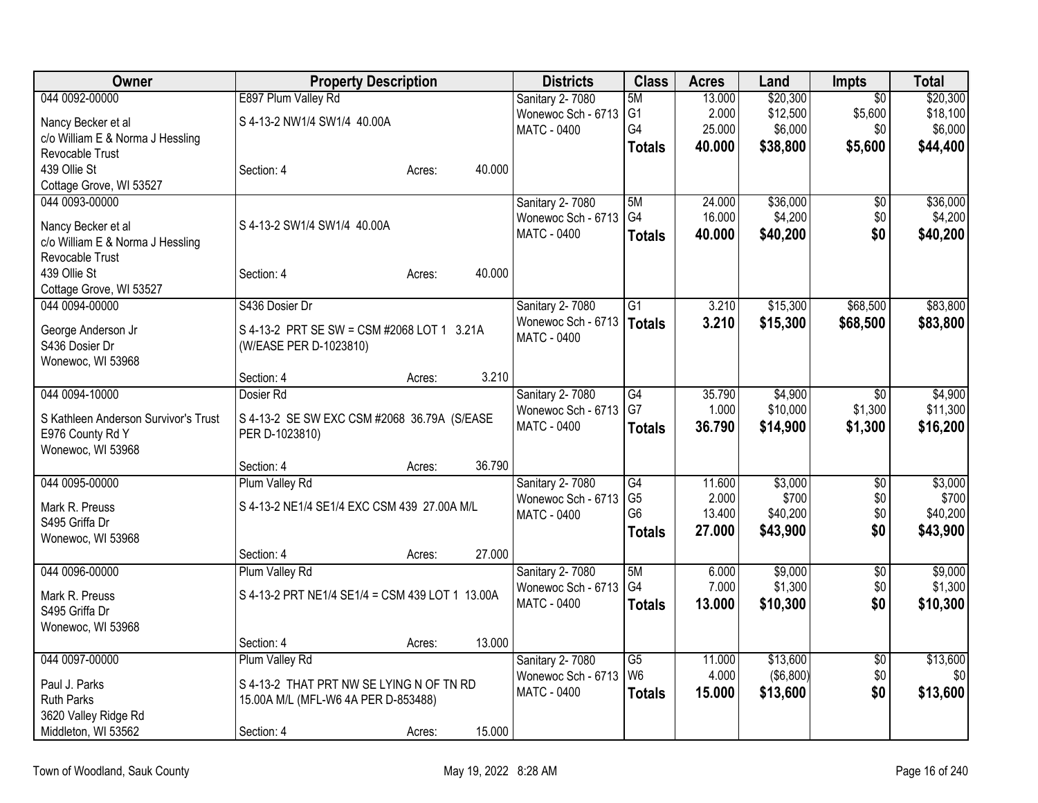| 044 0092-00000<br>E897 Plum Valley Rd<br>\$20,300<br>\$20,300<br>13.000<br>$\overline{50}$<br>Sanitary 2-7080<br>5M<br>G <sub>1</sub><br>2.000<br>\$12,500<br>\$5,600<br>\$18,100<br>Wonewoc Sch - 6713<br>S 4-13-2 NW1/4 SW1/4 40.00A<br>Nancy Becker et al<br>G4<br>25.000<br>\$6,000<br>\$6,000<br>\$0<br><b>MATC - 0400</b><br>c/o William E & Norma J Hessling<br>40.000<br>\$38,800<br>\$5,600<br>\$44,400<br><b>Totals</b><br>Revocable Trust<br>439 Ollie St<br>40.000<br>Section: 4<br>Acres:<br>Cottage Grove, WI 53527<br>\$36,000<br>\$36,000<br>044 0093-00000<br>Sanitary 2-7080<br>5M<br>24.000<br>$\overline{50}$<br>G4<br>16.000<br>\$4,200<br>\$0<br>\$4,200<br>Wonewoc Sch - 6713<br>S 4-13-2 SW1/4 SW1/4 40.00A<br>Nancy Becker et al<br>\$0<br><b>MATC - 0400</b><br>40.000<br>\$40,200<br>\$40,200<br><b>Totals</b><br>c/o William E & Norma J Hessling<br>Revocable Trust<br>439 Ollie St<br>Section: 4<br>40.000<br>Acres:<br>Cottage Grove, WI 53527<br>044 0094-00000<br>\$83,800<br>S436 Dosier Dr<br>3.210<br>\$15,300<br>\$68,500<br>Sanitary 2-7080<br>G1<br>Wonewoc Sch - 6713<br>3.210<br>\$15,300<br>\$68,500<br>\$83,800<br><b>Totals</b><br>S 4-13-2 PRT SE SW = CSM #2068 LOT 1 3.21A<br>George Anderson Jr<br>MATC - 0400<br>S436 Dosier Dr<br>(W/EASE PER D-1023810)<br>Wonewoc, WI 53968<br>3.210<br>Section: 4<br>Acres:<br>044 0094-10000<br>G4<br>35.790<br>\$4,900<br>Dosier Rd<br>Sanitary 2-7080<br>\$0<br>G7<br>1.000<br>\$10,000<br>\$1,300<br>Wonewoc Sch - 6713<br>S 4-13-2 SE SW EXC CSM #2068 36.79A (S/EASE<br>S Kathleen Anderson Survivor's Trust<br>36.790<br>MATC - 0400<br>\$14,900<br>\$1,300<br><b>Totals</b><br>PER D-1023810)<br>E976 County Rd Y<br>Wonewoc, WI 53968<br>36.790<br>Section: 4<br>Acres:<br>044 0095-00000<br>Sanitary 2-7080<br>\$3,000<br>\$3,000<br>Plum Valley Rd<br>$\overline{G4}$<br>11.600<br>$\overline{50}$ | Owner | <b>Property Description</b> | <b>Districts</b>   | <b>Class</b>   | <b>Acres</b> | Land  | Impts | <b>Total</b> |
|----------------------------------------------------------------------------------------------------------------------------------------------------------------------------------------------------------------------------------------------------------------------------------------------------------------------------------------------------------------------------------------------------------------------------------------------------------------------------------------------------------------------------------------------------------------------------------------------------------------------------------------------------------------------------------------------------------------------------------------------------------------------------------------------------------------------------------------------------------------------------------------------------------------------------------------------------------------------------------------------------------------------------------------------------------------------------------------------------------------------------------------------------------------------------------------------------------------------------------------------------------------------------------------------------------------------------------------------------------------------------------------------------------------------------------------------------------------------------------------------------------------------------------------------------------------------------------------------------------------------------------------------------------------------------------------------------------------------------------------------------------------------------------------------------------------------------------------------------------------------------------------------------|-------|-----------------------------|--------------------|----------------|--------------|-------|-------|--------------|
|                                                                                                                                                                                                                                                                                                                                                                                                                                                                                                                                                                                                                                                                                                                                                                                                                                                                                                                                                                                                                                                                                                                                                                                                                                                                                                                                                                                                                                                                                                                                                                                                                                                                                                                                                                                                                                                                                                    |       |                             |                    |                |              |       |       |              |
|                                                                                                                                                                                                                                                                                                                                                                                                                                                                                                                                                                                                                                                                                                                                                                                                                                                                                                                                                                                                                                                                                                                                                                                                                                                                                                                                                                                                                                                                                                                                                                                                                                                                                                                                                                                                                                                                                                    |       |                             |                    |                |              |       |       |              |
|                                                                                                                                                                                                                                                                                                                                                                                                                                                                                                                                                                                                                                                                                                                                                                                                                                                                                                                                                                                                                                                                                                                                                                                                                                                                                                                                                                                                                                                                                                                                                                                                                                                                                                                                                                                                                                                                                                    |       |                             |                    |                |              |       |       |              |
|                                                                                                                                                                                                                                                                                                                                                                                                                                                                                                                                                                                                                                                                                                                                                                                                                                                                                                                                                                                                                                                                                                                                                                                                                                                                                                                                                                                                                                                                                                                                                                                                                                                                                                                                                                                                                                                                                                    |       |                             |                    |                |              |       |       |              |
|                                                                                                                                                                                                                                                                                                                                                                                                                                                                                                                                                                                                                                                                                                                                                                                                                                                                                                                                                                                                                                                                                                                                                                                                                                                                                                                                                                                                                                                                                                                                                                                                                                                                                                                                                                                                                                                                                                    |       |                             |                    |                |              |       |       |              |
|                                                                                                                                                                                                                                                                                                                                                                                                                                                                                                                                                                                                                                                                                                                                                                                                                                                                                                                                                                                                                                                                                                                                                                                                                                                                                                                                                                                                                                                                                                                                                                                                                                                                                                                                                                                                                                                                                                    |       |                             |                    |                |              |       |       |              |
|                                                                                                                                                                                                                                                                                                                                                                                                                                                                                                                                                                                                                                                                                                                                                                                                                                                                                                                                                                                                                                                                                                                                                                                                                                                                                                                                                                                                                                                                                                                                                                                                                                                                                                                                                                                                                                                                                                    |       |                             |                    |                |              |       |       |              |
|                                                                                                                                                                                                                                                                                                                                                                                                                                                                                                                                                                                                                                                                                                                                                                                                                                                                                                                                                                                                                                                                                                                                                                                                                                                                                                                                                                                                                                                                                                                                                                                                                                                                                                                                                                                                                                                                                                    |       |                             |                    |                |              |       |       |              |
|                                                                                                                                                                                                                                                                                                                                                                                                                                                                                                                                                                                                                                                                                                                                                                                                                                                                                                                                                                                                                                                                                                                                                                                                                                                                                                                                                                                                                                                                                                                                                                                                                                                                                                                                                                                                                                                                                                    |       |                             |                    |                |              |       |       |              |
|                                                                                                                                                                                                                                                                                                                                                                                                                                                                                                                                                                                                                                                                                                                                                                                                                                                                                                                                                                                                                                                                                                                                                                                                                                                                                                                                                                                                                                                                                                                                                                                                                                                                                                                                                                                                                                                                                                    |       |                             |                    |                |              |       |       |              |
|                                                                                                                                                                                                                                                                                                                                                                                                                                                                                                                                                                                                                                                                                                                                                                                                                                                                                                                                                                                                                                                                                                                                                                                                                                                                                                                                                                                                                                                                                                                                                                                                                                                                                                                                                                                                                                                                                                    |       |                             |                    |                |              |       |       |              |
|                                                                                                                                                                                                                                                                                                                                                                                                                                                                                                                                                                                                                                                                                                                                                                                                                                                                                                                                                                                                                                                                                                                                                                                                                                                                                                                                                                                                                                                                                                                                                                                                                                                                                                                                                                                                                                                                                                    |       |                             |                    |                |              |       |       |              |
|                                                                                                                                                                                                                                                                                                                                                                                                                                                                                                                                                                                                                                                                                                                                                                                                                                                                                                                                                                                                                                                                                                                                                                                                                                                                                                                                                                                                                                                                                                                                                                                                                                                                                                                                                                                                                                                                                                    |       |                             |                    |                |              |       |       |              |
|                                                                                                                                                                                                                                                                                                                                                                                                                                                                                                                                                                                                                                                                                                                                                                                                                                                                                                                                                                                                                                                                                                                                                                                                                                                                                                                                                                                                                                                                                                                                                                                                                                                                                                                                                                                                                                                                                                    |       |                             |                    |                |              |       |       |              |
| \$4,900<br>\$11,300<br>\$16,200                                                                                                                                                                                                                                                                                                                                                                                                                                                                                                                                                                                                                                                                                                                                                                                                                                                                                                                                                                                                                                                                                                                                                                                                                                                                                                                                                                                                                                                                                                                                                                                                                                                                                                                                                                                                                                                                    |       |                             |                    |                |              |       |       |              |
|                                                                                                                                                                                                                                                                                                                                                                                                                                                                                                                                                                                                                                                                                                                                                                                                                                                                                                                                                                                                                                                                                                                                                                                                                                                                                                                                                                                                                                                                                                                                                                                                                                                                                                                                                                                                                                                                                                    |       |                             |                    |                |              |       |       |              |
|                                                                                                                                                                                                                                                                                                                                                                                                                                                                                                                                                                                                                                                                                                                                                                                                                                                                                                                                                                                                                                                                                                                                                                                                                                                                                                                                                                                                                                                                                                                                                                                                                                                                                                                                                                                                                                                                                                    |       |                             |                    |                |              |       |       |              |
|                                                                                                                                                                                                                                                                                                                                                                                                                                                                                                                                                                                                                                                                                                                                                                                                                                                                                                                                                                                                                                                                                                                                                                                                                                                                                                                                                                                                                                                                                                                                                                                                                                                                                                                                                                                                                                                                                                    |       |                             |                    |                |              |       |       |              |
|                                                                                                                                                                                                                                                                                                                                                                                                                                                                                                                                                                                                                                                                                                                                                                                                                                                                                                                                                                                                                                                                                                                                                                                                                                                                                                                                                                                                                                                                                                                                                                                                                                                                                                                                                                                                                                                                                                    |       |                             |                    |                |              |       |       |              |
|                                                                                                                                                                                                                                                                                                                                                                                                                                                                                                                                                                                                                                                                                                                                                                                                                                                                                                                                                                                                                                                                                                                                                                                                                                                                                                                                                                                                                                                                                                                                                                                                                                                                                                                                                                                                                                                                                                    |       |                             |                    |                |              |       |       |              |
|                                                                                                                                                                                                                                                                                                                                                                                                                                                                                                                                                                                                                                                                                                                                                                                                                                                                                                                                                                                                                                                                                                                                                                                                                                                                                                                                                                                                                                                                                                                                                                                                                                                                                                                                                                                                                                                                                                    |       |                             |                    |                |              |       |       |              |
|                                                                                                                                                                                                                                                                                                                                                                                                                                                                                                                                                                                                                                                                                                                                                                                                                                                                                                                                                                                                                                                                                                                                                                                                                                                                                                                                                                                                                                                                                                                                                                                                                                                                                                                                                                                                                                                                                                    |       |                             |                    |                |              |       |       |              |
|                                                                                                                                                                                                                                                                                                                                                                                                                                                                                                                                                                                                                                                                                                                                                                                                                                                                                                                                                                                                                                                                                                                                                                                                                                                                                                                                                                                                                                                                                                                                                                                                                                                                                                                                                                                                                                                                                                    |       |                             |                    |                |              |       |       |              |
| S 4-13-2 NE1/4 SE1/4 EXC CSM 439 27.00A M/L<br>Mark R. Preuss                                                                                                                                                                                                                                                                                                                                                                                                                                                                                                                                                                                                                                                                                                                                                                                                                                                                                                                                                                                                                                                                                                                                                                                                                                                                                                                                                                                                                                                                                                                                                                                                                                                                                                                                                                                                                                      |       |                             | Wonewoc Sch - 6713 | G <sub>5</sub> | 2.000        | \$700 | \$0   | \$700        |
| G <sub>6</sub><br>\$0<br>13.400<br>\$40,200<br>\$40,200<br><b>MATC - 0400</b><br>S495 Griffa Dr                                                                                                                                                                                                                                                                                                                                                                                                                                                                                                                                                                                                                                                                                                                                                                                                                                                                                                                                                                                                                                                                                                                                                                                                                                                                                                                                                                                                                                                                                                                                                                                                                                                                                                                                                                                                    |       |                             |                    |                |              |       |       |              |
| \$0<br>27.000<br>\$43,900<br>\$43,900<br><b>Totals</b><br>Wonewoc, WI 53968                                                                                                                                                                                                                                                                                                                                                                                                                                                                                                                                                                                                                                                                                                                                                                                                                                                                                                                                                                                                                                                                                                                                                                                                                                                                                                                                                                                                                                                                                                                                                                                                                                                                                                                                                                                                                        |       |                             |                    |                |              |       |       |              |
| 27.000<br>Section: 4<br>Acres:                                                                                                                                                                                                                                                                                                                                                                                                                                                                                                                                                                                                                                                                                                                                                                                                                                                                                                                                                                                                                                                                                                                                                                                                                                                                                                                                                                                                                                                                                                                                                                                                                                                                                                                                                                                                                                                                     |       |                             |                    |                |              |       |       |              |
| \$9,000<br>\$9,000<br>044 0096-00000<br>Plum Valley Rd<br>5M<br>6.000<br>$\overline{50}$<br>Sanitary 2-7080                                                                                                                                                                                                                                                                                                                                                                                                                                                                                                                                                                                                                                                                                                                                                                                                                                                                                                                                                                                                                                                                                                                                                                                                                                                                                                                                                                                                                                                                                                                                                                                                                                                                                                                                                                                        |       |                             |                    |                |              |       |       |              |
| G4<br>7.000<br>\$1,300<br>\$0<br>\$1,300<br>Wonewoc Sch - 6713<br>S 4-13-2 PRT NE1/4 SE1/4 = CSM 439 LOT 1 13.00A<br>Mark R. Preuss                                                                                                                                                                                                                                                                                                                                                                                                                                                                                                                                                                                                                                                                                                                                                                                                                                                                                                                                                                                                                                                                                                                                                                                                                                                                                                                                                                                                                                                                                                                                                                                                                                                                                                                                                                |       |                             |                    |                |              |       |       |              |
| \$0<br>13.000<br>\$10,300<br>\$10,300<br>MATC - 0400<br><b>Totals</b><br>S495 Griffa Dr                                                                                                                                                                                                                                                                                                                                                                                                                                                                                                                                                                                                                                                                                                                                                                                                                                                                                                                                                                                                                                                                                                                                                                                                                                                                                                                                                                                                                                                                                                                                                                                                                                                                                                                                                                                                            |       |                             |                    |                |              |       |       |              |
| Wonewoc, WI 53968                                                                                                                                                                                                                                                                                                                                                                                                                                                                                                                                                                                                                                                                                                                                                                                                                                                                                                                                                                                                                                                                                                                                                                                                                                                                                                                                                                                                                                                                                                                                                                                                                                                                                                                                                                                                                                                                                  |       |                             |                    |                |              |       |       |              |
| 13.000<br>Section: 4<br>Acres:                                                                                                                                                                                                                                                                                                                                                                                                                                                                                                                                                                                                                                                                                                                                                                                                                                                                                                                                                                                                                                                                                                                                                                                                                                                                                                                                                                                                                                                                                                                                                                                                                                                                                                                                                                                                                                                                     |       |                             |                    |                |              |       |       |              |
| 044 0097-00000<br>\$13,600<br>\$13,600<br>Plum Valley Rd<br>Sanitary 2-7080<br>$\overline{G5}$<br>11.000<br>$\overline{50}$                                                                                                                                                                                                                                                                                                                                                                                                                                                                                                                                                                                                                                                                                                                                                                                                                                                                                                                                                                                                                                                                                                                                                                                                                                                                                                                                                                                                                                                                                                                                                                                                                                                                                                                                                                        |       |                             |                    |                |              |       |       |              |
| W <sub>6</sub><br>4.000<br>\$0<br>( \$6,800)<br>\$0<br>Wonewoc Sch - 6713<br>Paul J. Parks<br>S 4-13-2 THAT PRT NW SE LYING N OF TN RD                                                                                                                                                                                                                                                                                                                                                                                                                                                                                                                                                                                                                                                                                                                                                                                                                                                                                                                                                                                                                                                                                                                                                                                                                                                                                                                                                                                                                                                                                                                                                                                                                                                                                                                                                             |       |                             |                    |                |              |       |       |              |
| \$13,600<br>\$13,600<br>\$0<br>MATC - 0400<br>15.000<br><b>Totals</b><br><b>Ruth Parks</b><br>15.00A M/L (MFL-W6 4A PER D-853488)                                                                                                                                                                                                                                                                                                                                                                                                                                                                                                                                                                                                                                                                                                                                                                                                                                                                                                                                                                                                                                                                                                                                                                                                                                                                                                                                                                                                                                                                                                                                                                                                                                                                                                                                                                  |       |                             |                    |                |              |       |       |              |
| 3620 Valley Ridge Rd                                                                                                                                                                                                                                                                                                                                                                                                                                                                                                                                                                                                                                                                                                                                                                                                                                                                                                                                                                                                                                                                                                                                                                                                                                                                                                                                                                                                                                                                                                                                                                                                                                                                                                                                                                                                                                                                               |       |                             |                    |                |              |       |       |              |
| 15.000<br>Middleton, WI 53562<br>Section: 4<br>Acres:                                                                                                                                                                                                                                                                                                                                                                                                                                                                                                                                                                                                                                                                                                                                                                                                                                                                                                                                                                                                                                                                                                                                                                                                                                                                                                                                                                                                                                                                                                                                                                                                                                                                                                                                                                                                                                              |       |                             |                    |                |              |       |       |              |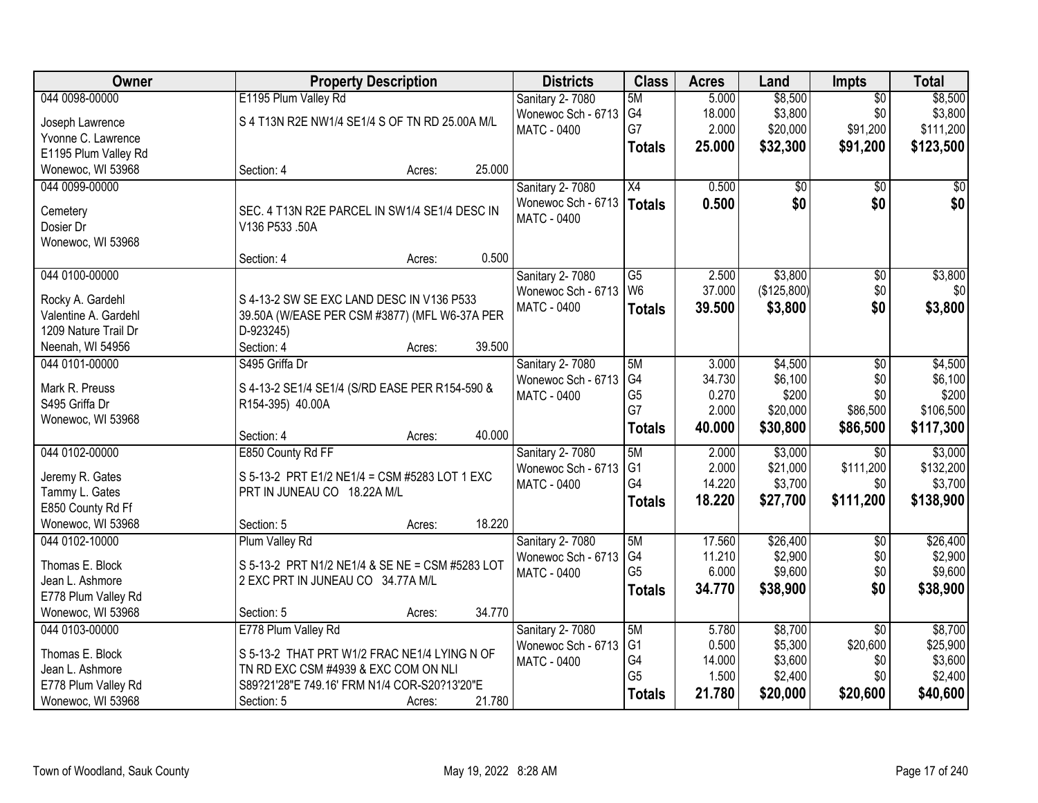| Owner                | <b>Property Description</b>                     | <b>Districts</b>       | <b>Class</b>         | <b>Acres</b>   | Land               | Impts           | <b>Total</b>        |
|----------------------|-------------------------------------------------|------------------------|----------------------|----------------|--------------------|-----------------|---------------------|
| 044 0098-00000       | E1195 Plum Valley Rd                            | Sanitary 2-7080        | 5M                   | 5.000          | \$8,500            | $\overline{50}$ | \$8,500             |
| Joseph Lawrence      | S 4 T13N R2E NW1/4 SE1/4 S OF TN RD 25.00A M/L  | Wonewoc Sch - 6713     | G4                   | 18.000         | \$3,800            | \$0             | \$3,800             |
| Yvonne C. Lawrence   |                                                 | MATC - 0400            | G7                   | 2.000          | \$20,000           | \$91,200        | \$111,200           |
| E1195 Plum Valley Rd |                                                 |                        | <b>Totals</b>        | 25.000         | \$32,300           | \$91,200        | \$123,500           |
| Wonewoc, WI 53968    | 25.000<br>Section: 4<br>Acres:                  |                        |                      |                |                    |                 |                     |
| 044 0099-00000       |                                                 | Sanitary 2-7080        | X4                   | 0.500          | \$0                | $\overline{30}$ | \$0                 |
|                      |                                                 | Wonewoc Sch - 6713     | <b>Totals</b>        | 0.500          | \$0                | \$0             | \$0                 |
| Cemetery             | SEC. 4 T13N R2E PARCEL IN SW1/4 SE1/4 DESC IN   | <b>MATC - 0400</b>     |                      |                |                    |                 |                     |
| Dosier Dr            | V136 P533 .50A                                  |                        |                      |                |                    |                 |                     |
| Wonewoc, WI 53968    | 0.500<br>Section: 4                             |                        |                      |                |                    |                 |                     |
| 044 0100-00000       | Acres:                                          | <b>Sanitary 2-7080</b> | G5                   | 2.500          | \$3,800            | $\overline{50}$ | \$3,800             |
|                      |                                                 | Wonewoc Sch - 6713     | W <sub>6</sub>       | 37.000         | (\$125,800)        | \$0             | \$0                 |
| Rocky A. Gardehl     | S 4-13-2 SW SE EXC LAND DESC IN V136 P533       | <b>MATC - 0400</b>     | <b>Totals</b>        | 39.500         | \$3,800            | \$0             | \$3,800             |
| Valentine A. Gardehl | 39.50A (W/EASE PER CSM #3877) (MFL W6-37A PER   |                        |                      |                |                    |                 |                     |
| 1209 Nature Trail Dr | D-923245)                                       |                        |                      |                |                    |                 |                     |
| Neenah, WI 54956     | 39.500<br>Section: 4<br>Acres:                  |                        |                      |                |                    |                 |                     |
| 044 0101-00000       | S495 Griffa Dr                                  | Sanitary 2-7080        | 5M                   | 3.000          | \$4,500            | \$0             | \$4,500             |
| Mark R. Preuss       | S 4-13-2 SE1/4 SE1/4 (S/RD EASE PER R154-590 &  | Wonewoc Sch - 6713     | G4                   | 34.730         | \$6,100            | \$0             | \$6,100             |
| S495 Griffa Dr       | R154-395) 40.00A                                | <b>MATC - 0400</b>     | G <sub>5</sub>       | 0.270          | \$200              | \$0             | \$200               |
| Wonewoc, WI 53968    |                                                 |                        | G7                   | 2.000          | \$20,000           | \$86,500        | \$106,500           |
|                      | 40.000<br>Section: 4<br>Acres:                  |                        | <b>Totals</b>        | 40.000         | \$30,800           | \$86,500        | \$117,300           |
| 044 0102-00000       | E850 County Rd FF                               | Sanitary 2-7080        | 5M                   | 2.000          | \$3,000            | $\overline{30}$ | \$3,000             |
| Jeremy R. Gates      | S 5-13-2 PRT E1/2 NE1/4 = CSM #5283 LOT 1 EXC   | Wonewoc Sch - 6713     | G <sub>1</sub>       | 2.000          | \$21,000           | \$111,200       | \$132,200           |
| Tammy L. Gates       | PRT IN JUNEAU CO 18.22A M/L                     | MATC - 0400            | G4                   | 14.220         | \$3,700            | \$0             | \$3,700             |
| E850 County Rd Ff    |                                                 |                        | <b>Totals</b>        | 18.220         | \$27,700           | \$111,200       | \$138,900           |
| Wonewoc, WI 53968    | 18.220<br>Section: 5<br>Acres:                  |                        |                      |                |                    |                 |                     |
| 044 0102-10000       | Plum Valley Rd                                  | Sanitary 2-7080        | 5M                   | 17.560         | \$26,400           | $\overline{30}$ | \$26,400            |
|                      |                                                 | Wonewoc Sch - 6713     | G4                   | 11.210         | \$2,900            | \$0             | \$2,900             |
| Thomas E. Block      | S 5-13-2 PRT N1/2 NE1/4 & SE NE = CSM #5283 LOT | <b>MATC - 0400</b>     | G <sub>5</sub>       | 6.000          | \$9,600            | \$0             | \$9,600             |
| Jean L. Ashmore      | 2 EXC PRT IN JUNEAU CO 34.77A M/L               |                        | <b>Totals</b>        | 34.770         | \$38,900           | \$0             | \$38,900            |
| E778 Plum Valley Rd  |                                                 |                        |                      |                |                    |                 |                     |
| Wonewoc, WI 53968    | 34.770<br>Section: 5<br>Acres:                  |                        |                      |                |                    |                 |                     |
| 044 0103-00000       | E778 Plum Valley Rd                             | Sanitary 2-7080        | 5M<br>G <sub>1</sub> | 5.780<br>0.500 | \$8,700            | $\overline{30}$ | \$8,700             |
| Thomas E. Block      | S 5-13-2 THAT PRT W1/2 FRAC NE1/4 LYING N OF    | Wonewoc Sch - 6713     | G4                   | 14.000         | \$5,300<br>\$3,600 | \$20,600<br>\$0 | \$25,900<br>\$3,600 |
| Jean L. Ashmore      | TN RD EXC CSM #4939 & EXC COM ON NLI            | <b>MATC - 0400</b>     | G <sub>5</sub>       | 1.500          | \$2,400            | \$0             | \$2,400             |
| E778 Plum Valley Rd  | S89?21'28"E 749.16' FRM N1/4 COR-S20?13'20"E    |                        |                      | 21.780         | \$20,000           | \$20,600        | \$40,600            |
| Wonewoc, WI 53968    | 21.780<br>Section: 5<br>Acres:                  |                        | <b>Totals</b>        |                |                    |                 |                     |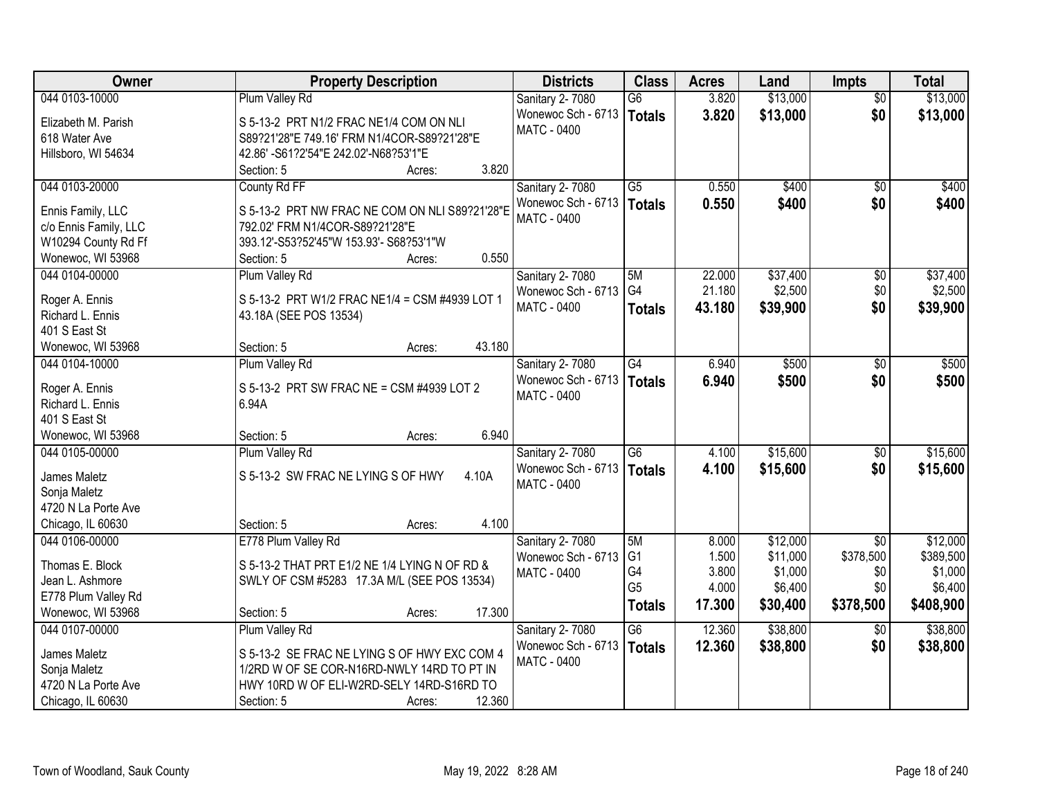| Owner                 | <b>Property Description</b>                    | <b>Districts</b>                         | <b>Class</b>    | <b>Acres</b> | Land     | <b>Impts</b>    | <b>Total</b> |
|-----------------------|------------------------------------------------|------------------------------------------|-----------------|--------------|----------|-----------------|--------------|
| 044 0103-10000        | Plum Valley Rd                                 | Sanitary 2-7080                          | $\overline{G6}$ | 3.820        | \$13,000 | $\overline{50}$ | \$13,000     |
| Elizabeth M. Parish   | S 5-13-2 PRT N1/2 FRAC NE1/4 COM ON NLI        | Wonewoc Sch - 6713                       | Totals          | 3.820        | \$13,000 | \$0             | \$13,000     |
| 618 Water Ave         | S89?21'28"E 749.16' FRM N1/4COR-S89?21'28"E    | MATC - 0400                              |                 |              |          |                 |              |
| Hillsboro, WI 54634   | 42.86' -S61?2'54"E 242.02'-N68?53'1"E          |                                          |                 |              |          |                 |              |
|                       | 3.820<br>Section: 5<br>Acres:                  |                                          |                 |              |          |                 |              |
| 044 0103-20000        | County Rd FF                                   | Sanitary 2-7080                          | $\overline{G5}$ | 0.550        | \$400    | $\overline{50}$ | \$400        |
| Ennis Family, LLC     | S 5-13-2 PRT NW FRAC NE COM ON NLI S89?21'28"E | Wonewoc Sch - 6713                       | Totals          | 0.550        | \$400    | \$0             | \$400        |
| c/o Ennis Family, LLC | 792.02' FRM N1/4COR-S89?21'28"E                | <b>MATC - 0400</b>                       |                 |              |          |                 |              |
| W10294 County Rd Ff   | 393.12'-S53?52'45"W 153.93'- S68?53'1"W        |                                          |                 |              |          |                 |              |
| Wonewoc, WI 53968     | 0.550<br>Section: 5<br>Acres:                  |                                          |                 |              |          |                 |              |
| 044 0104-00000        | Plum Valley Rd                                 | Sanitary 2-7080                          | 5M              | 22.000       | \$37,400 | \$0             | \$37,400     |
|                       |                                                | Wonewoc Sch - 6713                       | G <sub>4</sub>  | 21.180       | \$2,500  | \$0             | \$2,500      |
| Roger A. Ennis        | S 5-13-2 PRT W1/2 FRAC NE1/4 = CSM #4939 LOT 1 | MATC - 0400                              | <b>Totals</b>   | 43.180       | \$39,900 | \$0             | \$39,900     |
| Richard L. Ennis      | 43.18A (SEE POS 13534)                         |                                          |                 |              |          |                 |              |
| 401 S East St         |                                                |                                          |                 |              |          |                 |              |
| Wonewoc, WI 53968     | 43.180<br>Section: 5<br>Acres:                 |                                          |                 |              |          |                 |              |
| 044 0104-10000        | Plum Valley Rd                                 | Sanitary 2-7080                          | $\overline{G4}$ | 6.940        | \$500    | $\frac{1}{20}$  | \$500        |
| Roger A. Ennis        | S 5-13-2 PRT SW FRAC NE = CSM #4939 LOT 2      | Wonewoc Sch - 6713                       | Totals          | 6.940        | \$500    | \$0             | \$500        |
| Richard L. Ennis      | 6.94A                                          | <b>MATC - 0400</b>                       |                 |              |          |                 |              |
| 401 S East St         |                                                |                                          |                 |              |          |                 |              |
| Wonewoc, WI 53968     | 6.940<br>Section: 5<br>Acres:                  |                                          |                 |              |          |                 |              |
| 044 0105-00000        | Plum Valley Rd                                 | Sanitary 2-7080                          | $\overline{G6}$ | 4.100        | \$15,600 | $\overline{50}$ | \$15,600     |
| James Maletz          | S 5-13-2 SW FRAC NE LYING S OF HWY<br>4.10A    | Wonewoc Sch - 6713                       | Totals          | 4.100        | \$15,600 | \$0             | \$15,600     |
| Sonja Maletz          |                                                | MATC - 0400                              |                 |              |          |                 |              |
| 4720 N La Porte Ave   |                                                |                                          |                 |              |          |                 |              |
| Chicago, IL 60630     | 4.100<br>Section: 5<br>Acres:                  |                                          |                 |              |          |                 |              |
| 044 0106-00000        | E778 Plum Valley Rd                            | Sanitary 2-7080                          | 5M              | 8.000        | \$12,000 | $\overline{30}$ | \$12,000     |
|                       |                                                | Wonewoc Sch - 6713                       | G <sub>1</sub>  | 1.500        | \$11,000 | \$378,500       | \$389,500    |
| Thomas E. Block       | S 5-13-2 THAT PRT E1/2 NE 1/4 LYING N OF RD &  | <b>MATC - 0400</b>                       | G4              | 3.800        | \$1,000  | \$0             | \$1,000      |
| Jean L. Ashmore       | SWLY OF CSM #5283 17.3A M/L (SEE POS 13534)    |                                          | G <sub>5</sub>  | 4.000        | \$6,400  | \$0             | \$6,400      |
| E778 Plum Valley Rd   | 17.300                                         |                                          | <b>Totals</b>   | 17.300       | \$30,400 | \$378,500       | \$408,900    |
| Wonewoc, WI 53968     | Section: 5<br>Acres:                           |                                          |                 |              |          |                 |              |
| 044 0107-00000        | Plum Valley Rd                                 | Sanitary 2-7080                          | $\overline{G6}$ | 12.360       | \$38,800 | $\overline{50}$ | \$38,800     |
| James Maletz          | S 5-13-2 SE FRAC NE LYING S OF HWY EXC COM 4   | Wonewoc Sch - 6713<br><b>MATC - 0400</b> | Totals          | 12.360       | \$38,800 | \$0             | \$38,800     |
| Sonja Maletz          | 1/2RD W OF SE COR-N16RD-NWLY 14RD TO PT IN     |                                          |                 |              |          |                 |              |
| 4720 N La Porte Ave   | HWY 10RD W OF ELI-W2RD-SELY 14RD-S16RD TO      |                                          |                 |              |          |                 |              |
| Chicago, IL 60630     | 12.360<br>Section: 5<br>Acres:                 |                                          |                 |              |          |                 |              |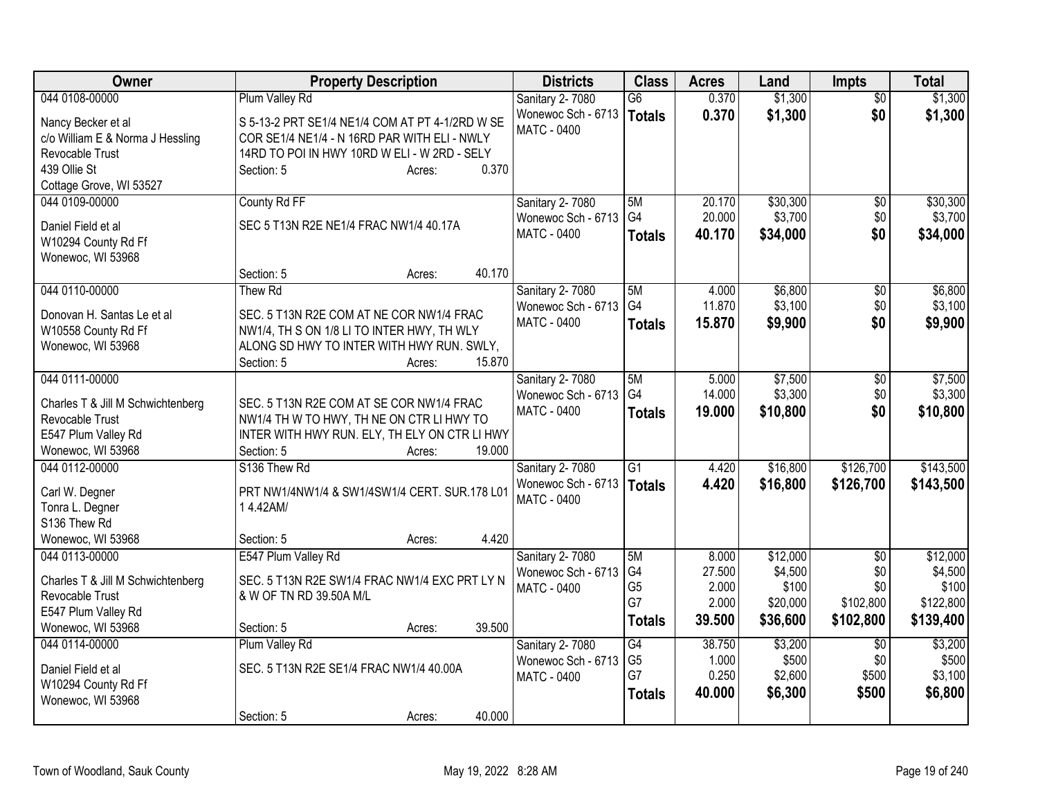| <b>Owner</b>                      | <b>Property Description</b>                     | <b>Districts</b>       | <b>Class</b>    | <b>Acres</b> | Land     | <b>Impts</b>    | <b>Total</b> |
|-----------------------------------|-------------------------------------------------|------------------------|-----------------|--------------|----------|-----------------|--------------|
| 044 0108-00000                    | Plum Valley Rd                                  | Sanitary 2-7080        | $\overline{G6}$ | 0.370        | \$1,300  | \$0             | \$1,300      |
| Nancy Becker et al                | S 5-13-2 PRT SE1/4 NE1/4 COM AT PT 4-1/2RD W SE | Wonewoc Sch - 6713     | <b>Totals</b>   | 0.370        | \$1,300  | \$0             | \$1,300      |
| c/o William E & Norma J Hessling  | COR SE1/4 NE1/4 - N 16RD PAR WITH ELI - NWLY    | MATC - 0400            |                 |              |          |                 |              |
| Revocable Trust                   | 14RD TO POI IN HWY 10RD W ELI - W 2RD - SELY    |                        |                 |              |          |                 |              |
| 439 Ollie St                      | 0.370<br>Section: 5<br>Acres:                   |                        |                 |              |          |                 |              |
| Cottage Grove, WI 53527           |                                                 |                        |                 |              |          |                 |              |
| 044 0109-00000                    | County Rd FF                                    | <b>Sanitary 2-7080</b> | 5M              | 20.170       | \$30,300 | \$0             | \$30,300     |
| Daniel Field et al                | SEC 5 T13N R2E NE1/4 FRAC NW1/4 40.17A          | Wonewoc Sch - 6713     | G <sub>4</sub>  | 20.000       | \$3,700  | \$0             | \$3,700      |
| W10294 County Rd Ff               |                                                 | MATC - 0400            | <b>Totals</b>   | 40.170       | \$34,000 | \$0             | \$34,000     |
| Wonewoc, WI 53968                 |                                                 |                        |                 |              |          |                 |              |
|                                   | 40.170<br>Section: 5<br>Acres:                  |                        |                 |              |          |                 |              |
| 044 0110-00000                    | Thew Rd                                         | Sanitary 2-7080        | 5M              | 4.000        | \$6,800  | $\overline{60}$ | \$6,800      |
|                                   |                                                 | Wonewoc Sch - 6713     | G4              | 11.870       | \$3,100  | \$0             | \$3,100      |
| Donovan H. Santas Le et al        | SEC. 5 T13N R2E COM AT NE COR NW1/4 FRAC        | MATC - 0400            | <b>Totals</b>   | 15,870       | \$9,900  | \$0             | \$9,900      |
| W10558 County Rd Ff               | NW1/4, TH S ON 1/8 LI TO INTER HWY, TH WLY      |                        |                 |              |          |                 |              |
| Wonewoc, WI 53968                 | ALONG SD HWY TO INTER WITH HWY RUN. SWLY,       |                        |                 |              |          |                 |              |
|                                   | 15.870<br>Section: 5<br>Acres:                  |                        |                 |              |          |                 |              |
| 044 0111-00000                    |                                                 | Sanitary 2-7080        | 5M              | 5.000        | \$7,500  | \$0             | \$7,500      |
| Charles T & Jill M Schwichtenberg | SEC. 5 T13N R2E COM AT SE COR NW1/4 FRAC        | Wonewoc Sch - 6713     | G <sub>4</sub>  | 14.000       | \$3,300  | \$0             | \$3,300      |
| Revocable Trust                   | NW1/4 TH W TO HWY, TH NE ON CTR LI HWY TO       | MATC - 0400            | <b>Totals</b>   | 19,000       | \$10,800 | \$0             | \$10,800     |
| E547 Plum Valley Rd               | INTER WITH HWY RUN. ELY, TH ELY ON CTR LI HWY   |                        |                 |              |          |                 |              |
| Wonewoc, WI 53968                 | 19.000<br>Section: 5<br>Acres:                  |                        |                 |              |          |                 |              |
| 044 0112-00000                    | S136 Thew Rd                                    | Sanitary 2-7080        | G1              | 4.420        | \$16,800 | \$126,700       | \$143,500    |
|                                   | PRT NW1/4NW1/4 & SW1/4SW1/4 CERT. SUR.178 L01   | Wonewoc Sch - 6713     | <b>Totals</b>   | 4.420        | \$16,800 | \$126,700       | \$143,500    |
| Carl W. Degner<br>Tonra L. Degner | 14.42AM/                                        | <b>MATC - 0400</b>     |                 |              |          |                 |              |
| S136 Thew Rd                      |                                                 |                        |                 |              |          |                 |              |
| Wonewoc, WI 53968                 | 4.420<br>Section: 5<br>Acres:                   |                        |                 |              |          |                 |              |
| 044 0113-00000                    | E547 Plum Valley Rd                             | Sanitary 2-7080        | 5M              | 8.000        | \$12,000 | $\overline{50}$ | \$12,000     |
|                                   |                                                 | Wonewoc Sch - 6713     | G4              | 27.500       | \$4,500  | \$0             | \$4,500      |
| Charles T & Jill M Schwichtenberg | SEC. 5 T13N R2E SW1/4 FRAC NW1/4 EXC PRT LY N   | MATC - 0400            | G <sub>5</sub>  | 2.000        | \$100    | \$0             | \$100        |
| Revocable Trust                   | & W OF TN RD 39.50A M/L                         |                        | G7              | 2.000        | \$20,000 | \$102,800       | \$122,800    |
| E547 Plum Valley Rd               |                                                 |                        | <b>Totals</b>   | 39.500       | \$36,600 | \$102,800       | \$139,400    |
| Wonewoc, WI 53968                 | 39.500<br>Section: 5<br>Acres:                  |                        |                 |              |          |                 |              |
| 044 0114-00000                    | Plum Valley Rd                                  | <b>Sanitary 2-7080</b> | $\overline{G4}$ | 38.750       | \$3,200  | $\overline{50}$ | \$3,200      |
| Daniel Field et al                | SEC. 5 T13N R2E SE1/4 FRAC NW1/4 40.00A         | Wonewoc Sch - 6713     | G <sub>5</sub>  | 1.000        | \$500    | \$0             | \$500        |
| W10294 County Rd Ff               |                                                 | <b>MATC - 0400</b>     | G7              | 0.250        | \$2,600  | \$500           | \$3,100      |
| Wonewoc, WI 53968                 |                                                 |                        | <b>Totals</b>   | 40,000       | \$6,300  | \$500           | \$6,800      |
|                                   | 40.000<br>Section: 5<br>Acres:                  |                        |                 |              |          |                 |              |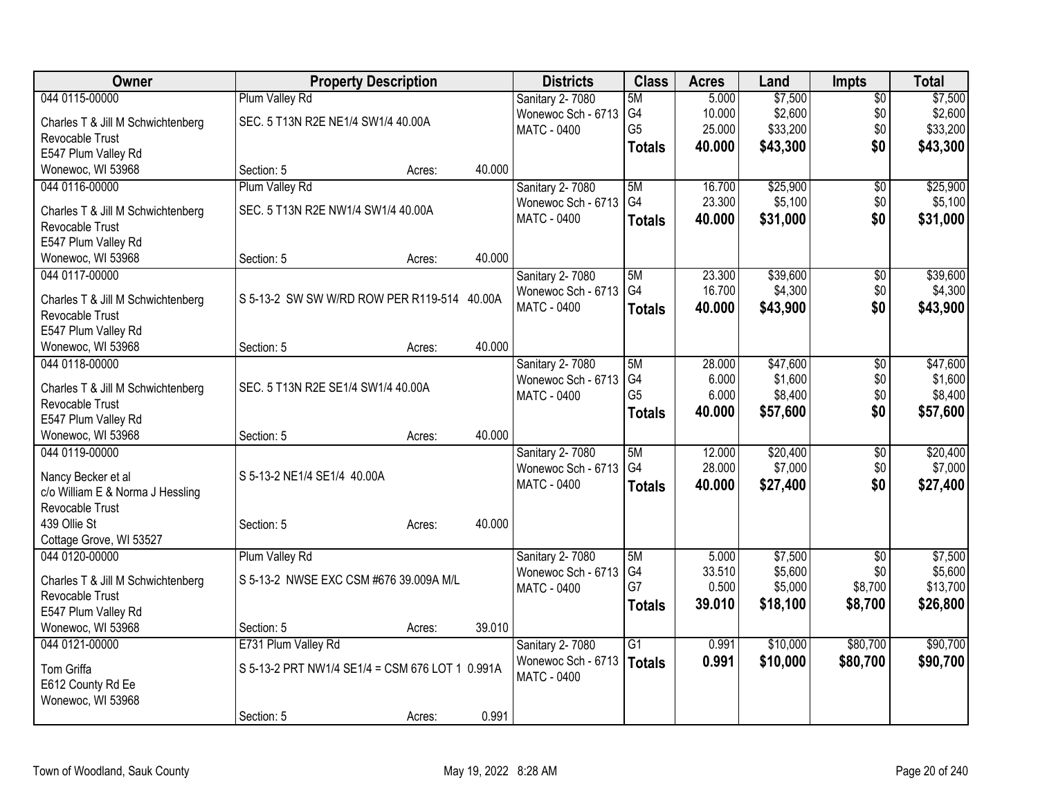| Owner                                                |                                                 | <b>Property Description</b> |        | <b>Districts</b>       | <b>Class</b>    | <b>Acres</b> | Land     | <b>Impts</b>    | <b>Total</b> |
|------------------------------------------------------|-------------------------------------------------|-----------------------------|--------|------------------------|-----------------|--------------|----------|-----------------|--------------|
| 044 0115-00000                                       | Plum Valley Rd                                  |                             |        | Sanitary 2-7080        | 5M              | 5.000        | \$7,500  | $\overline{50}$ | \$7,500      |
| Charles T & Jill M Schwichtenberg                    | SEC. 5 T13N R2E NE1/4 SW1/4 40.00A              |                             |        | Wonewoc Sch - 6713     | G <sub>4</sub>  | 10.000       | \$2,600  | \$0             | \$2,600      |
| Revocable Trust                                      |                                                 |                             |        | MATC - 0400            | G <sub>5</sub>  | 25.000       | \$33,200 | \$0             | \$33,200     |
| E547 Plum Valley Rd                                  |                                                 |                             |        |                        | <b>Totals</b>   | 40.000       | \$43,300 | \$0             | \$43,300     |
| Wonewoc, WI 53968                                    | Section: 5                                      | Acres:                      | 40.000 |                        |                 |              |          |                 |              |
| 044 0116-00000                                       | Plum Valley Rd                                  |                             |        | Sanitary 2-7080        | 5M              | 16.700       | \$25,900 | \$0             | \$25,900     |
|                                                      |                                                 |                             |        | Wonewoc Sch - 6713     | G <sub>4</sub>  | 23.300       | \$5,100  | \$0             | \$5,100      |
| Charles T & Jill M Schwichtenberg                    | SEC. 5 T13N R2E NW1/4 SW1/4 40.00A              |                             |        | MATC - 0400            | <b>Totals</b>   | 40.000       | \$31,000 | \$0             | \$31,000     |
| Revocable Trust                                      |                                                 |                             |        |                        |                 |              |          |                 |              |
| E547 Plum Valley Rd                                  |                                                 |                             |        |                        |                 |              |          |                 |              |
| Wonewoc, WI 53968                                    | Section: 5                                      | Acres:                      | 40.000 |                        |                 |              |          |                 |              |
| 044 0117-00000                                       |                                                 |                             |        | Sanitary 2-7080        | 5M              | 23.300       | \$39,600 | \$0             | \$39,600     |
| Charles T & Jill M Schwichtenberg                    | S 5-13-2 SW SW W/RD ROW PER R119-514 40.00A     |                             |        | Wonewoc Sch - 6713     | G4              | 16.700       | \$4,300  | \$0             | \$4,300      |
| Revocable Trust                                      |                                                 |                             |        | MATC - 0400            | <b>Totals</b>   | 40.000       | \$43,900 | \$0             | \$43,900     |
| E547 Plum Valley Rd                                  |                                                 |                             |        |                        |                 |              |          |                 |              |
| Wonewoc, WI 53968                                    | Section: 5                                      | Acres:                      | 40.000 |                        |                 |              |          |                 |              |
| 044 0118-00000                                       |                                                 |                             |        | Sanitary 2-7080        | 5M              | 28.000       | \$47,600 | $\overline{30}$ | \$47,600     |
|                                                      |                                                 |                             |        | Wonewoc Sch - 6713     | G4              | 6.000        | \$1,600  | \$0             | \$1,600      |
| Charles T & Jill M Schwichtenberg                    | SEC. 5 T13N R2E SE1/4 SW1/4 40.00A              |                             |        | MATC - 0400            | G <sub>5</sub>  | 6.000        | \$8,400  | \$0             | \$8,400      |
| Revocable Trust                                      |                                                 |                             |        |                        | <b>Totals</b>   | 40.000       | \$57,600 | \$0             | \$57,600     |
| E547 Plum Valley Rd                                  |                                                 |                             |        |                        |                 |              |          |                 |              |
| Wonewoc, WI 53968                                    | Section: 5                                      | Acres:                      | 40.000 |                        |                 |              |          |                 |              |
| 044 0119-00000                                       |                                                 |                             |        | <b>Sanitary 2-7080</b> | 5M              | 12.000       | \$20,400 | \$0             | \$20,400     |
| Nancy Becker et al                                   | S 5-13-2 NE1/4 SE1/4 40.00A                     |                             |        | Wonewoc Sch - 6713     | G4              | 28.000       | \$7,000  | \$0             | \$7,000      |
| c/o William E & Norma J Hessling                     |                                                 |                             |        | <b>MATC - 0400</b>     | <b>Totals</b>   | 40.000       | \$27,400 | \$0             | \$27,400     |
| Revocable Trust                                      |                                                 |                             |        |                        |                 |              |          |                 |              |
| 439 Ollie St                                         | Section: 5                                      | Acres:                      | 40.000 |                        |                 |              |          |                 |              |
| Cottage Grove, WI 53527                              |                                                 |                             |        |                        |                 |              |          |                 |              |
| 044 0120-00000                                       | Plum Valley Rd                                  |                             |        | Sanitary 2-7080        | 5M              | 5.000        | \$7,500  | $\overline{50}$ | \$7,500      |
|                                                      | S 5-13-2 NWSE EXC CSM #676 39.009A M/L          |                             |        | Wonewoc Sch - 6713     | G4              | 33.510       | \$5,600  | \$0             | \$5,600      |
| Charles T & Jill M Schwichtenberg<br>Revocable Trust |                                                 |                             |        | MATC - 0400            | G7              | 0.500        | \$5,000  | \$8,700         | \$13,700     |
| E547 Plum Valley Rd                                  |                                                 |                             |        |                        | <b>Totals</b>   | 39.010       | \$18,100 | \$8,700         | \$26,800     |
| Wonewoc, WI 53968                                    | Section: 5                                      | Acres:                      | 39.010 |                        |                 |              |          |                 |              |
| 044 0121-00000                                       | E731 Plum Valley Rd                             |                             |        | Sanitary 2-7080        | $\overline{G1}$ | 0.991        | \$10,000 | \$80,700        | \$90,700     |
|                                                      |                                                 |                             |        | Wonewoc Sch - 6713     |                 | 0.991        | \$10,000 | \$80,700        | \$90,700     |
| Tom Griffa                                           | S 5-13-2 PRT NW1/4 SE1/4 = CSM 676 LOT 1 0.991A |                             |        | <b>MATC - 0400</b>     | Totals          |              |          |                 |              |
| E612 County Rd Ee                                    |                                                 |                             |        |                        |                 |              |          |                 |              |
| Wonewoc, WI 53968                                    |                                                 |                             |        |                        |                 |              |          |                 |              |
|                                                      | Section: 5                                      | Acres:                      | 0.991  |                        |                 |              |          |                 |              |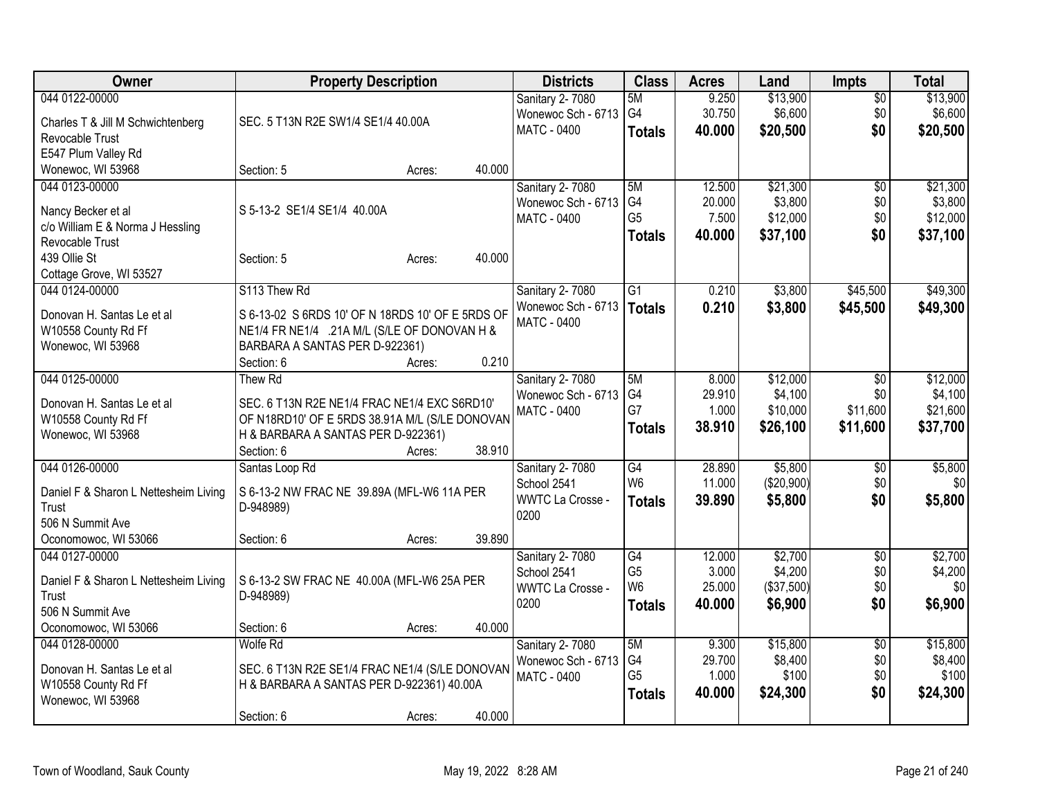| <b>Owner</b>                          | <b>Property Description</b>                      |        |        | <b>Districts</b>         | <b>Class</b>                      | <b>Acres</b>     | Land       | <b>Impts</b>    | <b>Total</b>   |
|---------------------------------------|--------------------------------------------------|--------|--------|--------------------------|-----------------------------------|------------------|------------|-----------------|----------------|
| 044 0122-00000                        |                                                  |        |        | Sanitary 2-7080          | 5M                                | 9.250            | \$13,900   | $\overline{60}$ | \$13,900       |
| Charles T & Jill M Schwichtenberg     | SEC. 5 T13N R2E SW1/4 SE1/4 40.00A               |        |        | Wonewoc Sch - 6713       | G <sub>4</sub>                    | 30.750           | \$6,600    | \$0             | \$6,600        |
| Revocable Trust                       |                                                  |        |        | <b>MATC - 0400</b>       | <b>Totals</b>                     | 40.000           | \$20,500   | \$0             | \$20,500       |
| E547 Plum Valley Rd                   |                                                  |        |        |                          |                                   |                  |            |                 |                |
| Wonewoc, WI 53968                     | Section: 5                                       | Acres: | 40.000 |                          |                                   |                  |            |                 |                |
| 044 0123-00000                        |                                                  |        |        | Sanitary 2-7080          | 5M                                | 12.500           | \$21,300   | \$0             | \$21,300       |
|                                       |                                                  |        |        | Wonewoc Sch - 6713       | G <sub>4</sub>                    | 20.000           | \$3,800    | \$0             | \$3,800        |
| Nancy Becker et al                    | S 5-13-2 SE1/4 SE1/4 40.00A                      |        |        | <b>MATC - 0400</b>       | G <sub>5</sub>                    | 7.500            | \$12,000   | \$0             | \$12,000       |
| c/o William E & Norma J Hessling      |                                                  |        |        |                          | <b>Totals</b>                     | 40.000           | \$37,100   | \$0             | \$37,100       |
| Revocable Trust                       |                                                  |        |        |                          |                                   |                  |            |                 |                |
| 439 Ollie St                          | Section: 5                                       | Acres: | 40.000 |                          |                                   |                  |            |                 |                |
| Cottage Grove, WI 53527               |                                                  |        |        |                          |                                   |                  |            |                 |                |
| 044 0124-00000                        | S113 Thew Rd                                     |        |        | Sanitary 2-7080          | $\overline{G1}$                   | 0.210            | \$3,800    | \$45,500        | \$49,300       |
| Donovan H. Santas Le et al            | S 6-13-02 S 6RDS 10' OF N 18RDS 10' OF E 5RDS OF |        |        | Wonewoc Sch - 6713       | Totals                            | 0.210            | \$3,800    | \$45,500        | \$49,300       |
| W10558 County Rd Ff                   | NE1/4 FR NE1/4 .21A M/L (S/LE OF DONOVAN H &     |        |        | <b>MATC - 0400</b>       |                                   |                  |            |                 |                |
| Wonewoc, WI 53968                     | BARBARA A SANTAS PER D-922361)                   |        |        |                          |                                   |                  |            |                 |                |
|                                       | Section: 6                                       | Acres: | 0.210  |                          |                                   |                  |            |                 |                |
| 044 0125-00000                        | Thew Rd                                          |        |        | Sanitary 2-7080          | 5M                                | 8.000            | \$12,000   | $\overline{50}$ | \$12,000       |
|                                       |                                                  |        |        | Wonewoc Sch - 6713       | G <sub>4</sub>                    | 29.910           | \$4,100    | \$0             | \$4,100        |
| Donovan H. Santas Le et al            | SEC. 6 T13N R2E NE1/4 FRAC NE1/4 EXC S6RD10'     |        |        | MATC - 0400              | G7                                | 1.000            | \$10,000   | \$11,600        | \$21,600       |
| W10558 County Rd Ff                   | OF N18RD10' OF E 5RDS 38.91A M/L (S/LE DONOVAN   |        |        |                          | Totals                            | 38.910           | \$26,100   | \$11,600        | \$37,700       |
| Wonewoc, WI 53968                     | H & BARBARA A SANTAS PER D-922361)               |        | 38.910 |                          |                                   |                  |            |                 |                |
|                                       | Section: 6                                       | Acres: |        |                          |                                   |                  |            |                 |                |
| 044 0126-00000                        | Santas Loop Rd                                   |        |        | Sanitary 2-7080          | $\overline{G4}$<br>W <sub>6</sub> | 28.890<br>11.000 | \$5,800    | $\sqrt[6]{}$    | \$5,800<br>\$0 |
| Daniel F & Sharon L Nettesheim Living | S 6-13-2 NW FRAC NE 39.89A (MFL-W6 11A PER       |        |        | School 2541              |                                   |                  | (\$20,900) | \$0             |                |
| Trust                                 | D-948989)                                        |        |        | WWTC La Crosse -<br>0200 | <b>Totals</b>                     | 39.890           | \$5,800    | \$0             | \$5,800        |
| 506 N Summit Ave                      |                                                  |        |        |                          |                                   |                  |            |                 |                |
| Oconomowoc, WI 53066                  | Section: 6                                       | Acres: | 39.890 |                          |                                   |                  |            |                 |                |
| 044 0127-00000                        |                                                  |        |        | Sanitary 2-7080          | G4                                | 12.000           | \$2,700    | \$0             | \$2,700        |
| Daniel F & Sharon L Nettesheim Living | S 6-13-2 SW FRAC NE 40.00A (MFL-W6 25A PER       |        |        | School 2541              | G <sub>5</sub>                    | 3.000            | \$4,200    | \$0             | \$4,200        |
| Trust                                 | D-948989)                                        |        |        | <b>WWTC La Crosse -</b>  | W <sub>6</sub>                    | 25.000           | (\$37,500) | \$0             | \$0            |
| 506 N Summit Ave                      |                                                  |        |        | 0200                     | <b>Totals</b>                     | 40.000           | \$6,900    | \$0             | \$6,900        |
| Oconomowoc, WI 53066                  | Section: 6                                       | Acres: | 40.000 |                          |                                   |                  |            |                 |                |
| 044 0128-00000                        | <b>Wolfe Rd</b>                                  |        |        | Sanitary 2-7080          | 5M                                | 9.300            | \$15,800   | $\overline{50}$ | \$15,800       |
|                                       |                                                  |        |        | Wonewoc Sch - 6713       | G4                                | 29.700           | \$8,400    | \$0             | \$8,400        |
| Donovan H. Santas Le et al            | SEC. 6 T13N R2E SE1/4 FRAC NE1/4 (S/LE DONOVAN   |        |        | MATC - 0400              | G <sub>5</sub>                    | 1.000            | \$100      | \$0             | \$100          |
| W10558 County Rd Ff                   | H & BARBARA A SANTAS PER D-922361) 40.00A        |        |        |                          | <b>Totals</b>                     | 40.000           | \$24,300   | \$0             | \$24,300       |
| Wonewoc, WI 53968                     |                                                  |        |        |                          |                                   |                  |            |                 |                |
|                                       | Section: 6                                       | Acres: | 40.000 |                          |                                   |                  |            |                 |                |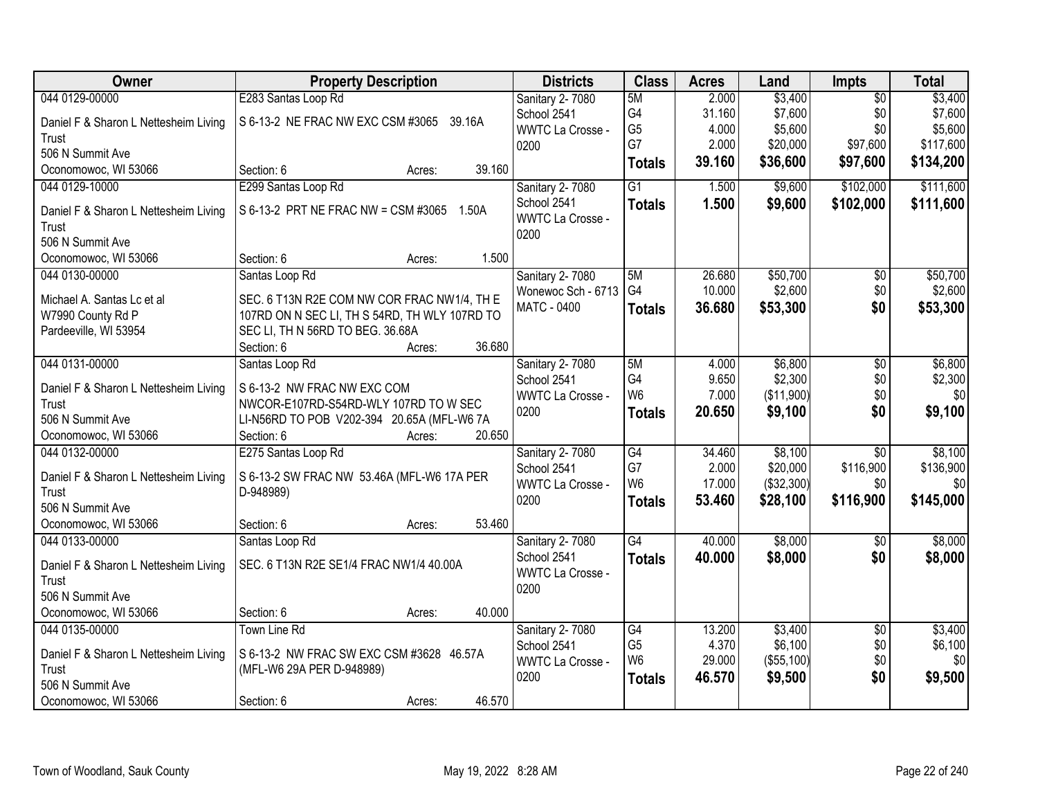| Owner                                                 | <b>Property Description</b>                                          |        | <b>Districts</b>                         | <b>Class</b>    | <b>Acres</b> | Land              | <b>Impts</b>           | <b>Total</b> |
|-------------------------------------------------------|----------------------------------------------------------------------|--------|------------------------------------------|-----------------|--------------|-------------------|------------------------|--------------|
| 044 0129-00000                                        | E283 Santas Loop Rd                                                  |        | Sanitary 2-7080                          | 5M              | 2.000        | \$3,400           | $\overline{50}$        | \$3,400      |
| Daniel F & Sharon L Nettesheim Living                 | S 6-13-2 NE FRAC NW EXC CSM #3065 39.16A                             |        | School 2541                              | G4              | 31.160       | \$7,600           | \$0                    | \$7,600      |
| Trust                                                 |                                                                      |        | <b>WWTC La Crosse -</b>                  | G <sub>5</sub>  | 4.000        | \$5,600           | \$0                    | \$5,600      |
| 506 N Summit Ave                                      |                                                                      |        | 0200                                     | G7              | 2.000        | \$20,000          | \$97,600               | \$117,600    |
| Oconomowoc, WI 53066                                  | Section: 6<br>Acres:                                                 | 39.160 |                                          | <b>Totals</b>   | 39.160       | \$36,600          | \$97,600               | \$134,200    |
| 044 0129-10000                                        | E299 Santas Loop Rd                                                  |        | Sanitary 2-7080                          | $\overline{G1}$ | 1.500        | \$9,600           | \$102,000              | \$111,600    |
|                                                       |                                                                      |        | School 2541                              | <b>Totals</b>   | 1.500        | \$9,600           | \$102,000              | \$111,600    |
| Daniel F & Sharon L Nettesheim Living                 | S 6-13-2 PRT NE FRAC NW = CSM #3065 1.50A                            |        | <b>WWTC La Crosse -</b>                  |                 |              |                   |                        |              |
| Trust                                                 |                                                                      |        | 0200                                     |                 |              |                   |                        |              |
| 506 N Summit Ave                                      | Section: 6                                                           | 1.500  |                                          |                 |              |                   |                        |              |
| Oconomowoc, WI 53066                                  | Acres:                                                               |        |                                          | 5M              | 26.680       | \$50,700          |                        |              |
| 044 0130-00000                                        | Santas Loop Rd                                                       |        | Sanitary 2-7080                          | G <sub>4</sub>  |              | \$2,600           | $\overline{50}$<br>\$0 | \$50,700     |
| Michael A. Santas Lc et al                            | SEC. 6 T13N R2E COM NW COR FRAC NW1/4, TH E                          |        | Wonewoc Sch - 6713<br><b>MATC - 0400</b> |                 | 10.000       |                   |                        | \$2,600      |
| W7990 County Rd P                                     | 107RD ON N SEC LI, TH S 54RD, TH WLY 107RD TO                        |        |                                          | <b>Totals</b>   | 36.680       | \$53,300          | \$0                    | \$53,300     |
| Pardeeville, WI 53954                                 | SEC LI, TH N 56RD TO BEG. 36.68A                                     |        |                                          |                 |              |                   |                        |              |
|                                                       | Section: 6<br>Acres:                                                 | 36.680 |                                          |                 |              |                   |                        |              |
| 044 0131-00000                                        | Santas Loop Rd                                                       |        | Sanitary 2-7080                          | 5M              | 4.000        | \$6,800           | \$0                    | \$6,800      |
|                                                       |                                                                      |        | School 2541                              | G4              | 9.650        | \$2,300           | \$0                    | \$2,300      |
| Daniel F & Sharon L Nettesheim Living<br><b>Trust</b> | S 6-13-2 NW FRAC NW EXC COM<br>NWCOR-E107RD-S54RD-WLY 107RD TO W SEC |        | <b>WWTC La Crosse -</b>                  | W <sub>6</sub>  | 7.000        | (\$11,900)        | \$0                    | \$0          |
| 506 N Summit Ave                                      | LI-N56RD TO POB V202-394 20.65A (MFL-W6 7A                           |        | 0200                                     | <b>Totals</b>   | 20.650       | \$9,100           | \$0                    | \$9,100      |
| Oconomowoc, WI 53066                                  | Section: 6<br>Acres:                                                 | 20.650 |                                          |                 |              |                   |                        |              |
| 044 0132-00000                                        | E275 Santas Loop Rd                                                  |        |                                          | G4              | 34.460       | \$8,100           | $\overline{50}$        | \$8,100      |
|                                                       |                                                                      |        | Sanitary 2-7080<br>School 2541           | G7              | 2.000        | \$20,000          | \$116,900              | \$136,900    |
| Daniel F & Sharon L Nettesheim Living                 | S 6-13-2 SW FRAC NW 53.46A (MFL-W6 17A PER                           |        | <b>WWTC La Crosse -</b>                  | W <sub>6</sub>  | 17.000       | ( \$32, 300)      | \$0                    | \$0          |
| Trust                                                 | D-948989)                                                            |        | 0200                                     |                 | 53.460       | \$28,100          | \$116,900              | \$145,000    |
| 506 N Summit Ave                                      |                                                                      |        |                                          | <b>Totals</b>   |              |                   |                        |              |
| Oconomowoc, WI 53066                                  | Section: 6<br>Acres:                                                 | 53.460 |                                          |                 |              |                   |                        |              |
| 044 0133-00000                                        | Santas Loop Rd                                                       |        | Sanitary 2-7080                          | G4              | 40.000       | \$8,000           | $\sqrt{6}$             | \$8,000      |
| Daniel F & Sharon L Nettesheim Living                 | SEC. 6 T13N R2E SE1/4 FRAC NW1/4 40.00A                              |        | School 2541                              | <b>Totals</b>   | 40.000       | \$8,000           | \$0                    | \$8,000      |
| Trust                                                 |                                                                      |        | <b>WWTC La Crosse -</b>                  |                 |              |                   |                        |              |
| 506 N Summit Ave                                      |                                                                      |        | 0200                                     |                 |              |                   |                        |              |
| Oconomowoc, WI 53066                                  | Section: 6<br>Acres:                                                 | 40.000 |                                          |                 |              |                   |                        |              |
| 044 0135-00000                                        | <b>Town Line Rd</b>                                                  |        | Sanitary 2-7080                          | G4              | 13.200       | \$3,400           | $\overline{50}$        | \$3,400      |
|                                                       |                                                                      |        | School 2541                              | G <sub>5</sub>  | 4.370        | \$6,100           | \$0                    | \$6,100      |
| Daniel F & Sharon L Nettesheim Living                 | S 6-13-2 NW FRAC SW EXC CSM #3628 46.57A                             |        | WWTC La Crosse -                         | W <sub>6</sub>  | 29.000       | $($ \$55,100) $ $ | \$0                    | \$0          |
| <b>Trust</b>                                          | (MFL-W6 29A PER D-948989)                                            |        | 0200                                     | <b>Totals</b>   | 46.570       | \$9,500           | \$0                    | \$9,500      |
| 506 N Summit Ave                                      |                                                                      |        |                                          |                 |              |                   |                        |              |
| Oconomowoc, WI 53066                                  | Section: 6<br>Acres:                                                 | 46.570 |                                          |                 |              |                   |                        |              |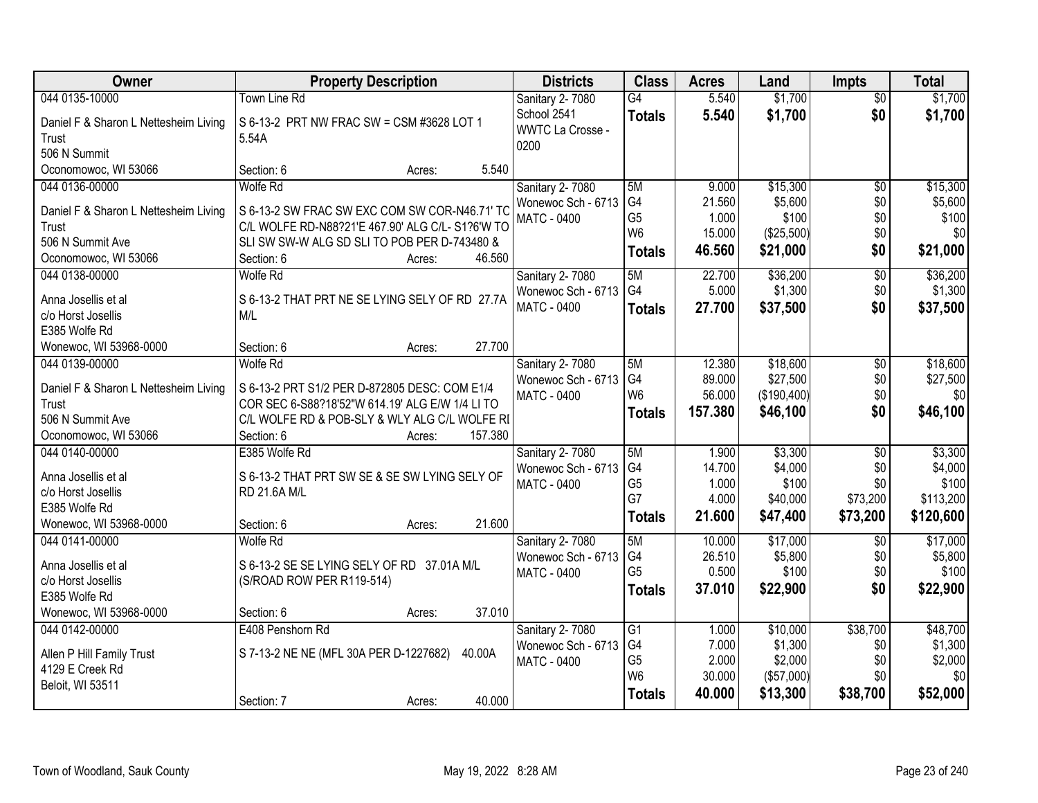| Owner                                          | <b>Property Description</b>                                                                       |         | <b>Districts</b>                         | <b>Class</b>    | <b>Acres</b>    | Land             | <b>Impts</b>    | <b>Total</b>     |
|------------------------------------------------|---------------------------------------------------------------------------------------------------|---------|------------------------------------------|-----------------|-----------------|------------------|-----------------|------------------|
| 044 0135-10000                                 | <b>Town Line Rd</b>                                                                               |         | <b>Sanitary 2-7080</b>                   | $\overline{G4}$ | 5.540           | \$1,700          | $\overline{50}$ | \$1,700          |
| Daniel F & Sharon L Nettesheim Living          | S 6-13-2 PRT NW FRAC SW = CSM #3628 LOT 1                                                         |         | School 2541                              | <b>Totals</b>   | 5.540           | \$1,700          | \$0             | \$1,700          |
| Trust                                          | 5.54A                                                                                             |         | <b>WWTC La Crosse -</b>                  |                 |                 |                  |                 |                  |
| 506 N Summit                                   |                                                                                                   |         | 0200                                     |                 |                 |                  |                 |                  |
| Oconomowoc, WI 53066                           | Section: 6<br>Acres:                                                                              | 5.540   |                                          |                 |                 |                  |                 |                  |
| 044 0136-00000                                 | <b>Wolfe Rd</b>                                                                                   |         | <b>Sanitary 2-7080</b>                   | 5M              | 9.000           | \$15,300         | $\overline{50}$ | \$15,300         |
|                                                |                                                                                                   |         | Wonewoc Sch - 6713                       | G <sub>4</sub>  | 21.560          | \$5,600          | \$0             | \$5,600          |
| Daniel F & Sharon L Nettesheim Living<br>Trust | S 6-13-2 SW FRAC SW EXC COM SW COR-N46.71' TC<br>C/L WOLFE RD-N88?21'E 467.90' ALG C/L- S1?6'W TO |         | <b>MATC - 0400</b>                       | G <sub>5</sub>  | 1.000           | \$100            | \$0             | \$100            |
| 506 N Summit Ave                               | SLI SW SW-W ALG SD SLI TO POB PER D-743480 &                                                      |         |                                          | W <sub>6</sub>  | 15.000          | (\$25,500)       | \$0             | \$0              |
| Oconomowoc, WI 53066                           | Section: 6<br>Acres:                                                                              | 46.560  |                                          | <b>Totals</b>   | 46.560          | \$21,000         | \$0             | \$21,000         |
| 044 0138-00000                                 | <b>Wolfe Rd</b>                                                                                   |         | Sanitary 2- 7080                         | 5M              | 22.700          | \$36,200         | $\overline{50}$ | \$36,200         |
|                                                |                                                                                                   |         | Wonewoc Sch - 6713                       | G <sub>4</sub>  | 5.000           | \$1,300          | \$0             | \$1,300          |
| Anna Josellis et al                            | S 6-13-2 THAT PRT NE SE LYING SELY OF RD 27.7A                                                    |         | <b>MATC - 0400</b>                       | <b>Totals</b>   | 27.700          | \$37,500         | \$0             | \$37,500         |
| c/o Horst Josellis                             | M/L                                                                                               |         |                                          |                 |                 |                  |                 |                  |
| E385 Wolfe Rd                                  |                                                                                                   |         |                                          |                 |                 |                  |                 |                  |
| Wonewoc, WI 53968-0000                         | Section: 6<br>Acres:                                                                              | 27.700  |                                          |                 |                 |                  |                 |                  |
| 044 0139-00000                                 | Wolfe Rd                                                                                          |         | Sanitary 2-7080                          | 5M              | 12.380          | \$18,600         | \$0             | \$18,600         |
| Daniel F & Sharon L Nettesheim Living          | S 6-13-2 PRT S1/2 PER D-872805 DESC: COM E1/4                                                     |         | Wonewoc Sch - 6713                       | G4              | 89.000          | \$27,500         | \$0             | \$27,500         |
| Trust                                          | COR SEC 6-S88?18'52"W 614.19' ALG E/W 1/4 LI TO                                                   |         | <b>MATC - 0400</b>                       | W <sub>6</sub>  | 56.000          | (\$190,400)      | \$0             | \$0              |
| 506 N Summit Ave                               | C/L WOLFE RD & POB-SLY & WLY ALG C/L WOLFE RI                                                     |         |                                          | <b>Totals</b>   | 157.380         | \$46,100         | \$0             | \$46,100         |
| Oconomowoc, WI 53066                           | Section: 6<br>Acres:                                                                              | 157.380 |                                          |                 |                 |                  |                 |                  |
| 044 0140-00000                                 | E385 Wolfe Rd                                                                                     |         | Sanitary 2-7080                          | 5M              | 1.900           | \$3,300          | \$0             | \$3,300          |
|                                                |                                                                                                   |         | Wonewoc Sch - 6713                       | G4              | 14.700          | \$4,000          | \$0             | \$4,000          |
| Anna Josellis et al                            | S 6-13-2 THAT PRT SW SE & SE SW LYING SELY OF                                                     |         | <b>MATC - 0400</b>                       | G <sub>5</sub>  | 1.000           | \$100            | \$0             | \$100            |
| c/o Horst Josellis                             | RD 21.6A M/L                                                                                      |         |                                          | G7              | 4.000           | \$40,000         | \$73,200        | \$113,200        |
| E385 Wolfe Rd                                  |                                                                                                   |         |                                          | <b>Totals</b>   | 21.600          | \$47,400         | \$73,200        | \$120,600        |
| Wonewoc, WI 53968-0000                         | Section: 6<br>Acres:                                                                              | 21.600  |                                          |                 |                 |                  |                 |                  |
| 044 0141-00000                                 | <b>Wolfe Rd</b>                                                                                   |         | Sanitary 2-7080                          | 5M<br>G4        | 10.000          | \$17,000         | $\overline{50}$ | \$17,000         |
| Anna Josellis et al                            | S 6-13-2 SE SE LYING SELY OF RD 37.01A M/L                                                        |         | Wonewoc Sch - 6713<br><b>MATC - 0400</b> | G <sub>5</sub>  | 26.510<br>0.500 | \$5,800<br>\$100 | \$0<br>\$0      | \$5,800<br>\$100 |
| c/o Horst Josellis                             | (S/ROAD ROW PER R119-514)                                                                         |         |                                          |                 | 37.010          | \$22,900         | \$0             | \$22,900         |
| E385 Wolfe Rd                                  |                                                                                                   |         |                                          | <b>Totals</b>   |                 |                  |                 |                  |
| Wonewoc, WI 53968-0000                         | Section: 6<br>Acres:                                                                              | 37.010  |                                          |                 |                 |                  |                 |                  |
| 044 0142-00000                                 | E408 Penshorn Rd                                                                                  |         | Sanitary 2-7080                          | G1              | 1.000           | \$10,000         | \$38,700        | \$48,700         |
| Allen P Hill Family Trust                      | S 7-13-2 NE NE (MFL 30A PER D-1227682)                                                            | 40.00A  | Wonewoc Sch - 6713                       | G4              | 7.000           | \$1,300          | \$0             | \$1,300          |
| 4129 E Creek Rd                                |                                                                                                   |         | <b>MATC - 0400</b>                       | G <sub>5</sub>  | 2.000           | \$2,000          | \$0             | \$2,000          |
| Beloit, WI 53511                               |                                                                                                   |         |                                          | W <sub>6</sub>  | 30.000          | (\$57,000)       | \$0             | \$0              |
|                                                | Section: 7<br>Acres:                                                                              | 40.000  |                                          | <b>Totals</b>   | 40.000          | \$13,300         | \$38,700        | \$52,000         |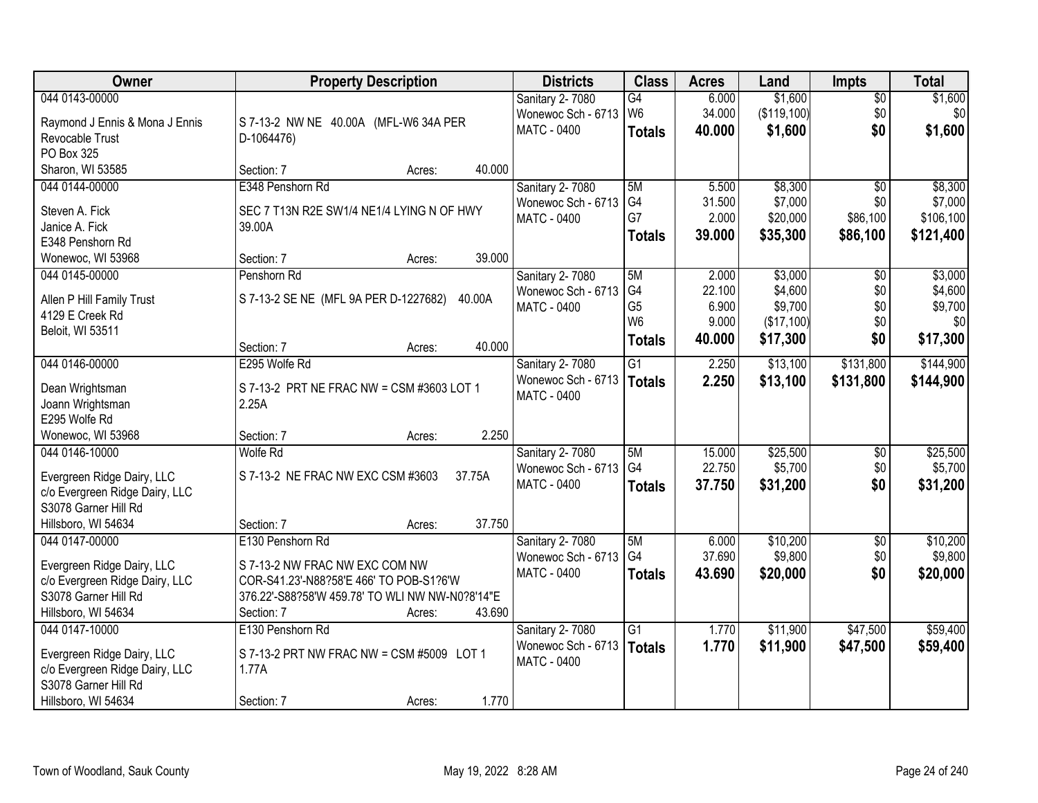| Owner                               | <b>Property Description</b>                     | <b>Districts</b>                  | <b>Class</b>    | <b>Acres</b>    | Land               | <b>Impts</b>    | <b>Total</b>       |
|-------------------------------------|-------------------------------------------------|-----------------------------------|-----------------|-----------------|--------------------|-----------------|--------------------|
| 044 0143-00000                      |                                                 | Sanitary 2-7080                   | $\overline{G4}$ | 6.000           | \$1,600            | $\overline{50}$ | \$1,600            |
| Raymond J Ennis & Mona J Ennis      | S 7-13-2 NW NE 40.00A (MFL-W6 34A PER           | Wonewoc Sch - 6713                | W <sub>6</sub>  | 34.000          | (\$119,100)        | \$0             | \$0 <sub>1</sub>   |
| Revocable Trust                     | D-1064476)                                      | <b>MATC - 0400</b>                | <b>Totals</b>   | 40.000          | \$1,600            | \$0             | \$1,600            |
| PO Box 325                          |                                                 |                                   |                 |                 |                    |                 |                    |
| Sharon, WI 53585                    | 40.000<br>Section: 7<br>Acres:                  |                                   |                 |                 |                    |                 |                    |
| 044 0144-00000                      | E348 Penshorn Rd                                | Sanitary 2-7080                   | 5M              | 5.500           | \$8,300            | $\overline{50}$ | \$8,300            |
|                                     |                                                 | Wonewoc Sch - 6713                | G4              | 31.500          | \$7,000            | \$0             | \$7,000            |
| Steven A. Fick                      | SEC 7 T13N R2E SW1/4 NE1/4 LYING N OF HWY       | MATC - 0400                       | G7              | 2.000           | \$20,000           | \$86,100        | \$106,100          |
| Janice A. Fick                      | 39.00A                                          |                                   | <b>Totals</b>   | 39.000          | \$35,300           | \$86,100        | \$121,400          |
| E348 Penshorn Rd                    | 39.000                                          |                                   |                 |                 |                    |                 |                    |
| Wonewoc, WI 53968                   | Section: 7<br>Acres:                            |                                   |                 |                 |                    |                 |                    |
| 044 0145-00000                      | Penshorn Rd                                     | Sanitary 2-7080                   | 5M<br>G4        | 2.000<br>22.100 | \$3,000<br>\$4,600 | \$0<br>\$0      | \$3,000<br>\$4,600 |
| Allen P Hill Family Trust           | S 7-13-2 SE NE (MFL 9A PER D-1227682)<br>40.00A | Wonewoc Sch - 6713                | G <sub>5</sub>  | 6.900           | \$9,700            | \$0             | \$9,700            |
| 4129 E Creek Rd                     |                                                 | MATC - 0400                       | W <sub>6</sub>  | 9.000           | (\$17,100)         | \$0             | 30                 |
| Beloit, WI 53511                    |                                                 |                                   |                 |                 |                    | \$0             |                    |
|                                     | 40.000<br>Section: 7<br>Acres:                  |                                   | <b>Totals</b>   | 40.000          | \$17,300           |                 | \$17,300           |
| 044 0146-00000                      | E295 Wolfe Rd                                   | Sanitary 2-7080                   | G1              | 2.250           | \$13,100           | \$131,800       | \$144,900          |
|                                     |                                                 | Wonewoc Sch - 6713                | Totals          | 2.250           | \$13,100           | \$131,800       | \$144,900          |
| Dean Wrightsman                     | S 7-13-2 PRT NE FRAC NW = CSM #3603 LOT 1       | MATC - 0400                       |                 |                 |                    |                 |                    |
| Joann Wrightsman<br>E295 Wolfe Rd   | 2.25A                                           |                                   |                 |                 |                    |                 |                    |
|                                     | 2.250                                           |                                   |                 |                 |                    |                 |                    |
| Wonewoc, WI 53968<br>044 0146-10000 | Section: 7<br>Acres:<br>Wolfe Rd                |                                   | 5M              | 15.000          | \$25,500           | \$0             | \$25,500           |
|                                     |                                                 | Sanitary 2-7080                   | G4              | 22.750          | \$5,700            | \$0             | \$5,700            |
| Evergreen Ridge Dairy, LLC          | S 7-13-2 NE FRAC NW EXC CSM #3603<br>37.75A     | Wonewoc Sch - 6713<br>MATC - 0400 |                 |                 |                    | \$0             |                    |
| c/o Evergreen Ridge Dairy, LLC      |                                                 |                                   | <b>Totals</b>   | 37.750          | \$31,200           |                 | \$31,200           |
| S3078 Garner Hill Rd                |                                                 |                                   |                 |                 |                    |                 |                    |
| Hillsboro, WI 54634                 | 37.750<br>Section: 7<br>Acres:                  |                                   |                 |                 |                    |                 |                    |
| 044 0147-00000                      | E130 Penshorn Rd                                | Sanitary 2-7080                   | 5M              | 6.000           | \$10,200           | $\sqrt{$0}$     | \$10,200           |
| Evergreen Ridge Dairy, LLC          | S 7-13-2 NW FRAC NW EXC COM NW                  | Wonewoc Sch - 6713                | G4              | 37.690          | \$9,800            | \$0             | \$9,800            |
| c/o Evergreen Ridge Dairy, LLC      | COR-S41.23'-N88?58'E 466' TO POB-S1?6'W         | MATC - 0400                       | <b>Totals</b>   | 43.690          | \$20,000           | \$0             | \$20,000           |
| S3078 Garner Hill Rd                | 376.22'-S88?58'W 459.78' TO WLI NW NW-N0?8'14"E |                                   |                 |                 |                    |                 |                    |
| Hillsboro, WI 54634                 | 43.690<br>Section: 7<br>Acres:                  |                                   |                 |                 |                    |                 |                    |
| 044 0147-10000                      | E130 Penshorn Rd                                | Sanitary 2-7080                   | $\overline{G1}$ | 1.770           | \$11,900           | \$47,500        | \$59,400           |
|                                     |                                                 | Wonewoc Sch - 6713                | Totals          | 1.770           | \$11,900           | \$47,500        | \$59,400           |
| Evergreen Ridge Dairy, LLC          | S 7-13-2 PRT NW FRAC NW = CSM #5009 LOT 1       | <b>MATC - 0400</b>                |                 |                 |                    |                 |                    |
| c/o Evergreen Ridge Dairy, LLC      | 1.77A                                           |                                   |                 |                 |                    |                 |                    |
| S3078 Garner Hill Rd                |                                                 |                                   |                 |                 |                    |                 |                    |
| Hillsboro, WI 54634                 | 1.770<br>Section: 7<br>Acres:                   |                                   |                 |                 |                    |                 |                    |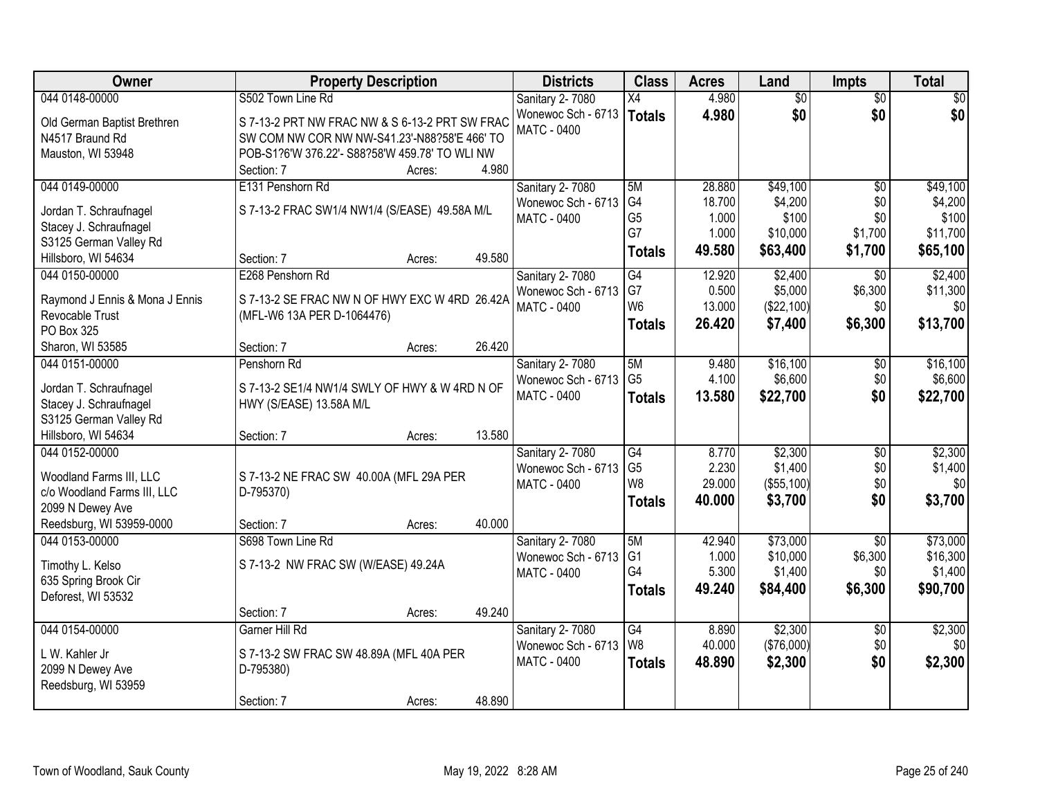| <b>Owner</b>                                           | <b>Property Description</b>                          |        | <b>Districts</b>       | <b>Class</b>    | <b>Acres</b> | Land            | <b>Impts</b>    | <b>Total</b>    |
|--------------------------------------------------------|------------------------------------------------------|--------|------------------------|-----------------|--------------|-----------------|-----------------|-----------------|
| 044 0148-00000                                         | S502 Town Line Rd                                    |        | Sanitary 2-7080        | X4              | 4.980        | $\overline{50}$ | $\overline{50}$ | $\overline{30}$ |
| Old German Baptist Brethren                            | S 7-13-2 PRT NW FRAC NW & S 6-13-2 PRT SW FRAC       |        | Wonewoc Sch - 6713     | <b>Totals</b>   | 4.980        | \$0             | \$0             | \$0             |
| N4517 Braund Rd                                        | SW COM NW COR NW NW-S41.23'-N88?58'E 466' TO         |        | <b>MATC - 0400</b>     |                 |              |                 |                 |                 |
| Mauston, WI 53948                                      | POB-S1?6'W 376.22'- S88?58'W 459.78' TO WLI NW       |        |                        |                 |              |                 |                 |                 |
|                                                        | Section: 7<br>Acres:                                 | 4.980  |                        |                 |              |                 |                 |                 |
| 044 0149-00000                                         | E131 Penshorn Rd                                     |        | Sanitary 2-7080        | 5M              | 28.880       | \$49,100        | $\overline{50}$ | \$49,100        |
|                                                        |                                                      |        | Wonewoc Sch - 6713     | G4              | 18.700       | \$4,200         | \$0             | \$4,200         |
| Jordan T. Schraufnagel<br>Stacey J. Schraufnagel       | S 7-13-2 FRAC SW1/4 NW1/4 (S/EASE) 49.58A M/L        |        | <b>MATC - 0400</b>     | G <sub>5</sub>  | 1.000        | \$100           | \$0             | \$100           |
| S3125 German Valley Rd                                 |                                                      |        |                        | G7              | 1.000        | \$10,000        | \$1,700         | \$11,700        |
| Hillsboro, WI 54634                                    | Section: 7<br>Acres:                                 | 49.580 |                        | <b>Totals</b>   | 49.580       | \$63,400        | \$1,700         | \$65,100        |
| 044 0150-00000                                         | E268 Penshorn Rd                                     |        | Sanitary 2-7080        | G4              | 12.920       | \$2,400         | $\overline{30}$ | \$2,400         |
|                                                        |                                                      |        | Wonewoc Sch - 6713     | G7              | 0.500        | \$5,000         | \$6,300         | \$11,300        |
| Raymond J Ennis & Mona J Ennis                         | S 7-13-2 SE FRAC NW N OF HWY EXC W 4RD 26.42A        |        | <b>MATC - 0400</b>     | W <sub>6</sub>  | 13.000       | (\$22,100)      | \$0             | \$0             |
| Revocable Trust                                        | (MFL-W6 13A PER D-1064476)                           |        |                        | <b>Totals</b>   | 26.420       | \$7,400         | \$6,300         | \$13,700        |
| PO Box 325                                             |                                                      |        |                        |                 |              |                 |                 |                 |
| Sharon, WI 53585                                       | Section: 7<br>Acres:                                 | 26.420 |                        |                 |              |                 |                 |                 |
| 044 0151-00000                                         | Penshorn Rd                                          |        | Sanitary 2-7080        | 5M              | 9.480        | \$16,100        | \$0             | \$16,100        |
| Jordan T. Schraufnagel                                 | S 7-13-2 SE1/4 NW1/4 SWLY OF HWY & W 4RD N OF        |        | Wonewoc Sch - 6713     | G <sub>5</sub>  | 4.100        | \$6,600         | \$0             | \$6,600         |
| Stacey J. Schraufnagel                                 | HWY (S/EASE) 13.58A M/L                              |        | MATC - 0400            | <b>Totals</b>   | 13.580       | \$22,700        | \$0             | \$22,700        |
| S3125 German Valley Rd                                 |                                                      |        |                        |                 |              |                 |                 |                 |
| Hillsboro, WI 54634                                    | Section: 7<br>Acres:                                 | 13.580 |                        |                 |              |                 |                 |                 |
| 044 0152-00000                                         |                                                      |        | Sanitary 2-7080        | $\overline{G4}$ | 8.770        | \$2,300         | $\overline{50}$ | \$2,300         |
|                                                        |                                                      |        | Wonewoc Sch - 6713     | G <sub>5</sub>  | 2.230        | \$1,400         | \$0             | \$1,400         |
| Woodland Farms III, LLC<br>c/o Woodland Farms III, LLC | S 7-13-2 NE FRAC SW 40.00A (MFL 29A PER<br>D-795370) |        | MATC - 0400            | W8              | 29.000       | (\$55,100)      | \$0             | \$0             |
| 2099 N Dewey Ave                                       |                                                      |        |                        | <b>Totals</b>   | 40.000       | \$3,700         | \$0             | \$3,700         |
| Reedsburg, WI 53959-0000                               | Section: 7<br>Acres:                                 | 40.000 |                        |                 |              |                 |                 |                 |
| 044 0153-00000                                         | S698 Town Line Rd                                    |        | Sanitary 2-7080        | 5M              | 42.940       | \$73,000        | $\overline{50}$ | \$73,000        |
|                                                        |                                                      |        | Wonewoc Sch - 6713     | G <sub>1</sub>  | 1.000        | \$10,000        | \$6,300         | \$16,300        |
| Timothy L. Kelso                                       | S 7-13-2 NW FRAC SW (W/EASE) 49.24A                  |        | MATC - 0400            | G4              | 5.300        | \$1,400         | \$0             | \$1,400         |
| 635 Spring Brook Cir                                   |                                                      |        |                        | <b>Totals</b>   | 49.240       | \$84,400        | \$6,300         | \$90,700        |
| Deforest, WI 53532                                     |                                                      |        |                        |                 |              |                 |                 |                 |
|                                                        | Section: 7<br>Acres:                                 | 49.240 |                        |                 |              |                 |                 |                 |
| 044 0154-00000                                         | Garner Hill Rd                                       |        | <b>Sanitary 2-7080</b> | $\overline{G4}$ | 8.890        | \$2,300         | $\overline{30}$ | \$2,300         |
| L W. Kahler Jr                                         | S 7-13-2 SW FRAC SW 48.89A (MFL 40A PER              |        | Wonewoc Sch - 6713     | W <sub>8</sub>  | 40.000       | (\$76,000)      | \$0             | \$0             |
| 2099 N Dewey Ave                                       | D-795380)                                            |        | <b>MATC - 0400</b>     | <b>Totals</b>   | 48.890       | \$2,300         | \$0             | \$2,300         |
| Reedsburg, WI 53959                                    |                                                      |        |                        |                 |              |                 |                 |                 |
|                                                        | Section: 7<br>Acres:                                 | 48.890 |                        |                 |              |                 |                 |                 |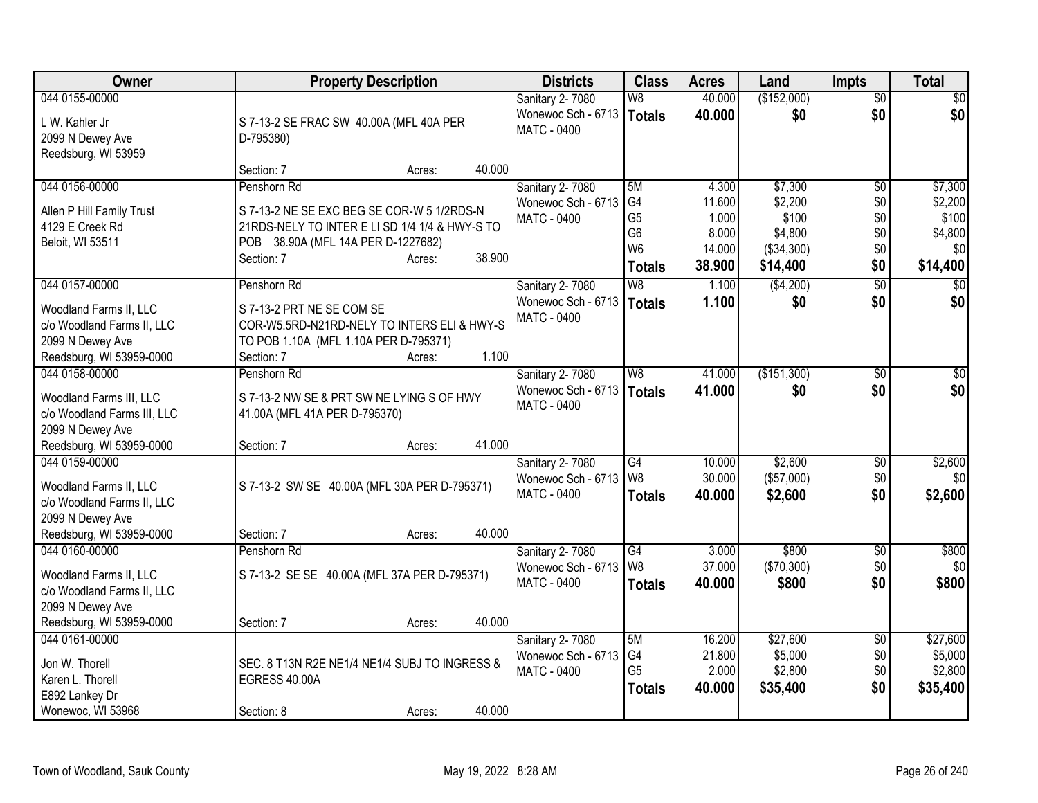| Owner                       | <b>Property Description</b>                    |        |        | <b>Districts</b>                         | <b>Class</b>                     | <b>Acres</b> | Land         | <b>Impts</b>    | <b>Total</b>    |
|-----------------------------|------------------------------------------------|--------|--------|------------------------------------------|----------------------------------|--------------|--------------|-----------------|-----------------|
| 044 0155-00000              |                                                |        |        | Sanitary 2-7080                          | W8                               | 40.000       | (\$152,000)  | $\overline{50}$ | $\overline{30}$ |
| L W. Kahler Jr              | S 7-13-2 SE FRAC SW 40.00A (MFL 40A PER        |        |        | Wonewoc Sch - 6713                       | <b>Totals</b>                    | 40.000       | \$0          | \$0             | \$0             |
| 2099 N Dewey Ave            | D-795380)                                      |        |        | MATC - 0400                              |                                  |              |              |                 |                 |
| Reedsburg, WI 53959         |                                                |        |        |                                          |                                  |              |              |                 |                 |
|                             | Section: 7                                     | Acres: | 40.000 |                                          |                                  |              |              |                 |                 |
| 044 0156-00000              | Penshorn Rd                                    |        |        | Sanitary 2-7080                          | 5M                               | 4.300        | \$7,300      | $\overline{60}$ | \$7,300         |
| Allen P Hill Family Trust   | S 7-13-2 NE SE EXC BEG SE COR-W 5 1/2RDS-N     |        |        | Wonewoc Sch - 6713                       | G4                               | 11.600       | \$2,200      | \$0             | \$2,200         |
| 4129 E Creek Rd             | 21RDS-NELY TO INTER E LI SD 1/4 1/4 & HWY-S TO |        |        | <b>MATC - 0400</b>                       | G <sub>5</sub>                   | 1.000        | \$100        | \$0             | \$100           |
| Beloit, WI 53511            | POB 38.90A (MFL 14A PER D-1227682)             |        |        |                                          | G <sub>6</sub><br>W <sub>6</sub> | 8.000        | \$4,800      | \$0<br>\$0      | \$4,800<br>\$0  |
|                             | Section: 7                                     | Acres: | 38.900 |                                          |                                  | 14.000       | ( \$34, 300) |                 |                 |
|                             |                                                |        |        |                                          | <b>Totals</b>                    | 38.900       | \$14,400     | \$0             | \$14,400        |
| 044 0157-00000              | Penshorn Rd                                    |        |        | <b>Sanitary 2-7080</b>                   | $\overline{W8}$                  | 1.100        | ( \$4,200)   | $\overline{30}$ | $\overline{30}$ |
| Woodland Farms II, LLC      | S 7-13-2 PRT NE SE COM SE                      |        |        | Wonewoc Sch - 6713<br><b>MATC - 0400</b> | <b>Totals</b>                    | 1.100        | \$0          | \$0             | \$0             |
| c/o Woodland Farms II, LLC  | COR-W5.5RD-N21RD-NELY TO INTERS ELI & HWY-S    |        |        |                                          |                                  |              |              |                 |                 |
| 2099 N Dewey Ave            | TO POB 1.10A (MFL 1.10A PER D-795371)          |        |        |                                          |                                  |              |              |                 |                 |
| Reedsburg, WI 53959-0000    | Section: 7                                     | Acres: | 1.100  |                                          |                                  |              |              |                 |                 |
| 044 0158-00000              | Penshorn Rd                                    |        |        | Sanitary 2-7080                          | W8                               | 41.000       | (\$151,300)  | $\overline{50}$ | $\overline{30}$ |
| Woodland Farms III, LLC     | S 7-13-2 NW SE & PRT SW NE LYING S OF HWY      |        |        | Wonewoc Sch - 6713                       | <b>Totals</b>                    | 41.000       | \$0          | \$0             | \$0             |
| c/o Woodland Farms III, LLC | 41.00A (MFL 41A PER D-795370)                  |        |        | MATC - 0400                              |                                  |              |              |                 |                 |
| 2099 N Dewey Ave            |                                                |        |        |                                          |                                  |              |              |                 |                 |
| Reedsburg, WI 53959-0000    | Section: 7                                     | Acres: | 41.000 |                                          |                                  |              |              |                 |                 |
| 044 0159-00000              |                                                |        |        | Sanitary 2-7080                          | G4                               | 10.000       | \$2,600      | $\overline{50}$ | \$2,600         |
| Woodland Farms II, LLC      | S 7-13-2 SW SE 40.00A (MFL 30A PER D-795371)   |        |        | Wonewoc Sch - 6713                       | W <sub>8</sub>                   | 30.000       | (\$57,000)   | \$0             | \$0             |
| c/o Woodland Farms II, LLC  |                                                |        |        | MATC - 0400                              | <b>Totals</b>                    | 40.000       | \$2,600      | \$0             | \$2,600         |
| 2099 N Dewey Ave            |                                                |        |        |                                          |                                  |              |              |                 |                 |
| Reedsburg, WI 53959-0000    | Section: 7                                     | Acres: | 40.000 |                                          |                                  |              |              |                 |                 |
| 044 0160-00000              | Penshorn Rd                                    |        |        | Sanitary 2-7080                          | $\overline{G4}$                  | 3.000        | \$800        | \$0             | \$800           |
| Woodland Farms II, LLC      | S 7-13-2 SE SE 40.00A (MFL 37A PER D-795371)   |        |        | Wonewoc Sch - 6713                       | W <sub>8</sub>                   | 37.000       | ( \$70, 300) | \$0             | \$0             |
| c/o Woodland Farms II, LLC  |                                                |        |        | MATC - 0400                              | <b>Totals</b>                    | 40.000       | \$800        | \$0             | \$800           |
| 2099 N Dewey Ave            |                                                |        |        |                                          |                                  |              |              |                 |                 |
| Reedsburg, WI 53959-0000    | Section: 7                                     | Acres: | 40.000 |                                          |                                  |              |              |                 |                 |
| 044 0161-00000              |                                                |        |        | Sanitary 2-7080                          | 5M                               | 16.200       | \$27,600     | \$0             | \$27,600        |
| Jon W. Thorell              | SEC. 8 T13N R2E NE1/4 NE1/4 SUBJ TO INGRESS &  |        |        | Wonewoc Sch - 6713                       | G <sub>4</sub>                   | 21.800       | \$5,000      | \$0             | \$5,000         |
| Karen L. Thorell            | EGRESS 40.00A                                  |        |        | MATC - 0400                              | G <sub>5</sub>                   | 2.000        | \$2,800      | \$0             | \$2,800         |
| E892 Lankey Dr              |                                                |        |        |                                          | <b>Totals</b>                    | 40.000       | \$35,400     | \$0             | \$35,400        |
| Wonewoc, WI 53968           | Section: 8                                     | Acres: | 40.000 |                                          |                                  |              |              |                 |                 |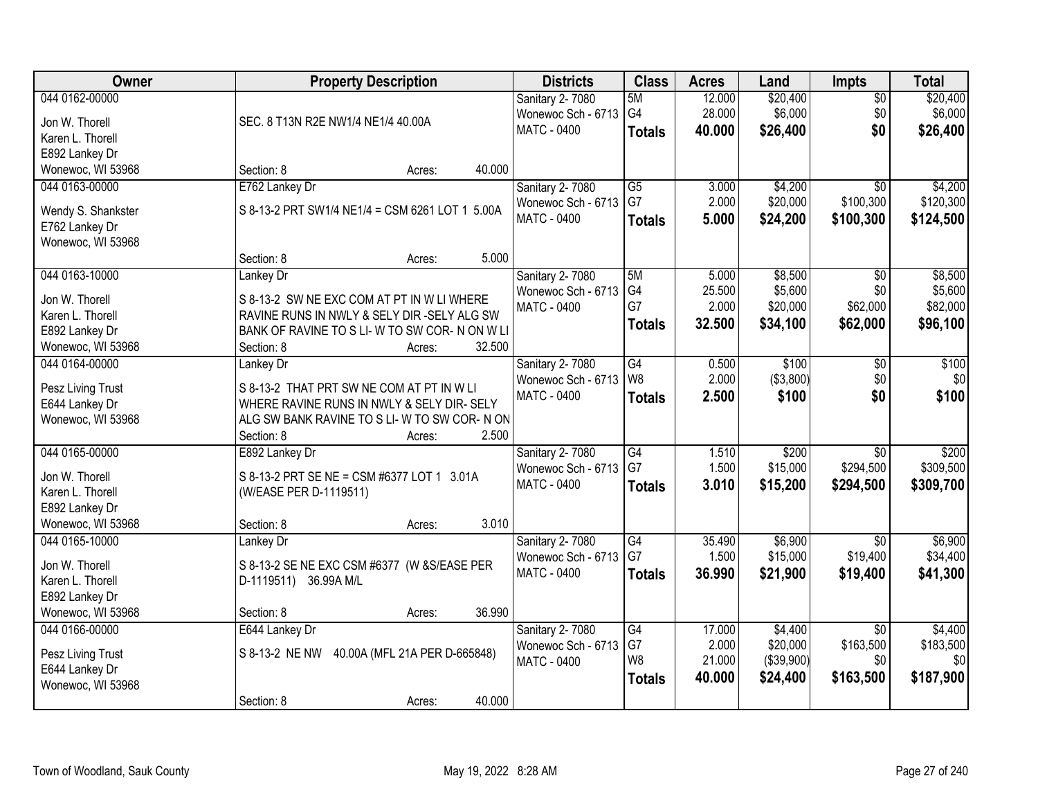| Owner              | <b>Property Description</b>                     | <b>Districts</b>       | <b>Class</b>    | <b>Acres</b> | Land        | Impts           | <b>Total</b> |
|--------------------|-------------------------------------------------|------------------------|-----------------|--------------|-------------|-----------------|--------------|
| 044 0162-00000     |                                                 | Sanitary 2-7080        | 5M              | 12.000       | \$20,400    | $\overline{50}$ | \$20,400     |
| Jon W. Thorell     | SEC. 8 T13N R2E NW1/4 NE1/4 40.00A              | Wonewoc Sch - 6713     | G4              | 28.000       | \$6,000     | \$0             | \$6,000      |
| Karen L. Thorell   |                                                 | <b>MATC - 0400</b>     | <b>Totals</b>   | 40.000       | \$26,400    | \$0             | \$26,400     |
| E892 Lankey Dr     |                                                 |                        |                 |              |             |                 |              |
| Wonewoc, WI 53968  | 40.000<br>Section: 8<br>Acres:                  |                        |                 |              |             |                 |              |
| 044 0163-00000     | E762 Lankey Dr                                  | <b>Sanitary 2-7080</b> | $\overline{G5}$ | 3.000        | \$4,200     | $\overline{30}$ | \$4,200      |
|                    |                                                 | Wonewoc Sch - 6713     | G7              | 2.000        | \$20,000    | \$100,300       | \$120,300    |
| Wendy S. Shankster | S 8-13-2 PRT SW1/4 NE1/4 = CSM 6261 LOT 1 5.00A | <b>MATC - 0400</b>     |                 |              |             |                 |              |
| E762 Lankey Dr     |                                                 |                        | <b>Totals</b>   | 5.000        | \$24,200    | \$100,300       | \$124,500    |
| Wonewoc, WI 53968  |                                                 |                        |                 |              |             |                 |              |
|                    | 5.000<br>Section: 8<br>Acres:                   |                        |                 |              |             |                 |              |
| 044 0163-10000     | Lankey Dr                                       | <b>Sanitary 2-7080</b> | 5M              | 5.000        | \$8,500     | $\overline{50}$ | \$8,500      |
|                    |                                                 | Wonewoc Sch - 6713     | G4              | 25.500       | \$5,600     | \$0             | \$5,600      |
| Jon W. Thorell     | S 8-13-2 SW NE EXC COM AT PT IN W LI WHERE      | <b>MATC - 0400</b>     | G7              | 2.000        | \$20,000    | \$62,000        | \$82,000     |
| Karen L. Thorell   | RAVINE RUNS IN NWLY & SELY DIR -SELY ALG SW     |                        | <b>Totals</b>   | 32.500       | \$34,100    | \$62,000        | \$96,100     |
| E892 Lankey Dr     | BANK OF RAVINE TO S LI-W TO SW COR-N ON W LI    |                        |                 |              |             |                 |              |
| Wonewoc, WI 53968  | 32.500<br>Section: 8<br>Acres:                  |                        |                 |              |             |                 |              |
| 044 0164-00000     | Lankey Dr                                       | Sanitary 2-7080        | G4              | 0.500        | \$100       | \$0             | \$100        |
| Pesz Living Trust  | S 8-13-2 THAT PRT SW NE COM AT PT IN W LI       | Wonewoc Sch - 6713     | W <sub>8</sub>  | 2.000        | ( \$3,800)  | \$0             | \$0          |
| E644 Lankey Dr     | WHERE RAVINE RUNS IN NWLY & SELY DIR- SELY      | <b>MATC - 0400</b>     | <b>Totals</b>   | 2.500        | \$100       | \$0             | \$100        |
| Wonewoc, WI 53968  | ALG SW BANK RAVINE TO S LI- W TO SW COR- N ON   |                        |                 |              |             |                 |              |
|                    | 2.500<br>Section: 8<br>Acres:                   |                        |                 |              |             |                 |              |
| 044 0165-00000     | E892 Lankey Dr                                  | Sanitary 2-7080        | $\overline{G4}$ | 1.510        | \$200       | $\overline{30}$ | \$200        |
|                    |                                                 | Wonewoc Sch - 6713     | G7              | 1.500        | \$15,000    | \$294,500       | \$309,500    |
| Jon W. Thorell     | S 8-13-2 PRT SE NE = CSM #6377 LOT 1 3.01A      | MATC - 0400            | <b>Totals</b>   | 3.010        | \$15,200    | \$294,500       | \$309,700    |
| Karen L. Thorell   | (W/EASE PER D-1119511)                          |                        |                 |              |             |                 |              |
| E892 Lankey Dr     |                                                 |                        |                 |              |             |                 |              |
| Wonewoc, WI 53968  | 3.010<br>Section: 8<br>Acres:                   |                        |                 |              |             |                 |              |
| 044 0165-10000     | Lankey Dr                                       | <b>Sanitary 2-7080</b> | G4              | 35.490       | \$6,900     | $\overline{50}$ | \$6,900      |
| Jon W. Thorell     | S 8-13-2 SE NE EXC CSM #6377 (W & S/EASE PER    | Wonewoc Sch - 6713     | G7              | 1.500        | \$15,000    | \$19,400        | \$34,400     |
| Karen L. Thorell   | D-1119511) 36.99A M/L                           | MATC - 0400            | <b>Totals</b>   | 36.990       | \$21,900    | \$19,400        | \$41,300     |
| E892 Lankey Dr     |                                                 |                        |                 |              |             |                 |              |
| Wonewoc, WI 53968  | 36.990<br>Section: 8<br>Acres:                  |                        |                 |              |             |                 |              |
| 044 0166-00000     | E644 Lankey Dr                                  | <b>Sanitary 2-7080</b> | G4              | 17.000       | \$4,400     | $\overline{50}$ | \$4,400      |
|                    |                                                 | Wonewoc Sch - 6713     | G7              | 2.000        | \$20,000    | \$163,500       | \$183,500    |
| Pesz Living Trust  | S 8-13-2 NE NW<br>40.00A (MFL 21A PER D-665848) | <b>MATC - 0400</b>     | W <sub>8</sub>  | 21.000       | ( \$39,900) | \$0             | \$0          |
| E644 Lankey Dr     |                                                 |                        | <b>Totals</b>   | 40.000       | \$24,400    | \$163,500       | \$187,900    |
| Wonewoc, WI 53968  |                                                 |                        |                 |              |             |                 |              |
|                    | 40.000<br>Section: 8<br>Acres:                  |                        |                 |              |             |                 |              |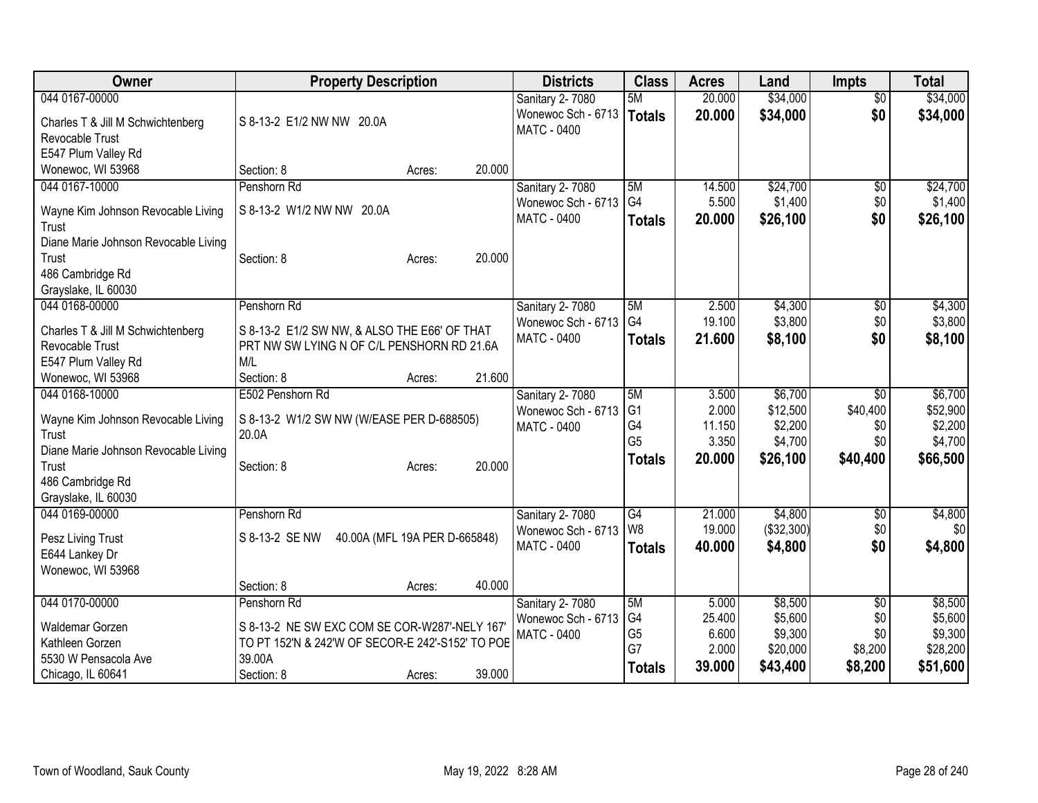| Owner                                 | <b>Property Description</b>                      | <b>Districts</b>                         | <b>Class</b>         | <b>Acres</b>     | Land                  | <b>Impts</b>                | <b>Total</b>        |
|---------------------------------------|--------------------------------------------------|------------------------------------------|----------------------|------------------|-----------------------|-----------------------------|---------------------|
| 044 0167-00000                        |                                                  | Sanitary 2-7080                          | 5M                   | 20.000           | \$34,000              | $\overline{60}$             | \$34,000            |
| Charles T & Jill M Schwichtenberg     | S 8-13-2 E1/2 NW NW 20.0A                        | Wonewoc Sch - 6713<br><b>MATC - 0400</b> | Totals               | 20.000           | \$34,000              | \$0                         | \$34,000            |
| <b>Revocable Trust</b>                |                                                  |                                          |                      |                  |                       |                             |                     |
| E547 Plum Valley Rd                   |                                                  |                                          |                      |                  |                       |                             |                     |
| Wonewoc, WI 53968<br>044 0167-10000   | 20.000<br>Section: 8<br>Acres:                   |                                          |                      |                  |                       |                             |                     |
|                                       | Penshorn Rd                                      | Sanitary 2-7080<br>Wonewoc Sch - 6713    | 5M<br>G4             | 14.500<br>5.500  | \$24,700<br>\$1,400   | \$0<br>\$0                  | \$24,700<br>\$1,400 |
| Wayne Kim Johnson Revocable Living    | S 8-13-2 W1/2 NW NW 20.0A                        | MATC - 0400                              | <b>Totals</b>        | 20.000           | \$26,100              | \$0                         | \$26,100            |
| Trust                                 |                                                  |                                          |                      |                  |                       |                             |                     |
| Diane Marie Johnson Revocable Living  |                                                  |                                          |                      |                  |                       |                             |                     |
| Trust                                 | 20.000<br>Section: 8<br>Acres:                   |                                          |                      |                  |                       |                             |                     |
| 486 Cambridge Rd                      |                                                  |                                          |                      |                  |                       |                             |                     |
| Grayslake, IL 60030<br>044 0168-00000 | Penshorn Rd                                      | Sanitary 2-7080                          | 5M                   | 2.500            | \$4,300               | \$0                         | \$4,300             |
|                                       |                                                  | Wonewoc Sch - 6713                       | G <sub>4</sub>       | 19.100           | \$3,800               | \$0                         | \$3,800             |
| Charles T & Jill M Schwichtenberg     | S 8-13-2 E1/2 SW NW, & ALSO THE E66' OF THAT     | <b>MATC - 0400</b>                       | <b>Totals</b>        | 21.600           | \$8,100               | \$0                         | \$8,100             |
| Revocable Trust                       | PRT NW SW LYING N OF C/L PENSHORN RD 21.6A       |                                          |                      |                  |                       |                             |                     |
| E547 Plum Valley Rd                   | M/L                                              |                                          |                      |                  |                       |                             |                     |
| Wonewoc, WI 53968                     | 21.600<br>Section: 8<br>Acres:                   |                                          |                      |                  |                       |                             |                     |
| 044 0168-10000                        | E502 Penshorn Rd                                 | Sanitary 2-7080                          | 5M<br>G <sub>1</sub> | 3.500<br>2.000   | \$6,700<br>\$12,500   | $\overline{50}$<br>\$40,400 | \$6,700             |
| Wayne Kim Johnson Revocable Living    | S 8-13-2 W1/2 SW NW (W/EASE PER D-688505)        | Wonewoc Sch - 6713<br><b>MATC - 0400</b> | G4                   | 11.150           | \$2,200               | \$0                         | \$52,900<br>\$2,200 |
| Trust                                 | 20.0A                                            |                                          | G <sub>5</sub>       | 3.350            | \$4,700               | \$0                         | \$4,700             |
| Diane Marie Johnson Revocable Living  |                                                  |                                          | <b>Totals</b>        | 20.000           | \$26,100              | \$40,400                    | \$66,500            |
| Trust                                 | 20.000<br>Section: 8<br>Acres:                   |                                          |                      |                  |                       |                             |                     |
| 486 Cambridge Rd                      |                                                  |                                          |                      |                  |                       |                             |                     |
| Grayslake, IL 60030                   |                                                  |                                          |                      |                  |                       |                             |                     |
| 044 0169-00000                        | Penshorn Rd                                      | Sanitary 2-7080<br>Wonewoc Sch - 6713    | G4<br>l w8           | 21.000<br>19.000 | \$4,800<br>(\$32,300) | \$0<br>\$0                  | \$4,800<br>\$0      |
| Pesz Living Trust                     | S 8-13-2 SE NW<br>40.00A (MFL 19A PER D-665848)  | MATC - 0400                              |                      | 40.000           | \$4,800               | \$0                         | \$4,800             |
| E644 Lankey Dr                        |                                                  |                                          | <b>Totals</b>        |                  |                       |                             |                     |
| Wonewoc, WI 53968                     |                                                  |                                          |                      |                  |                       |                             |                     |
|                                       | 40.000<br>Section: 8<br>Acres:                   |                                          |                      |                  |                       |                             |                     |
| 044 0170-00000                        | Penshorn Rd                                      | Sanitary 2-7080                          | 5M                   | 5.000            | \$8,500               | \$0                         | \$8,500             |
| Waldemar Gorzen                       | S 8-13-2 NE SW EXC COM SE COR-W287'-NELY 167     | Wonewoc Sch - 6713                       | G4                   | 25.400           | \$5,600               | \$0                         | \$5,600             |
| Kathleen Gorzen                       | TO PT 152'N & 242'W OF SECOR-E 242'-S152' TO POE | <b>MATC - 0400</b>                       | G <sub>5</sub><br>G7 | 6.600<br>2.000   | \$9,300<br>\$20,000   | \$0<br>\$8,200              | \$9,300<br>\$28,200 |
| 5530 W Pensacola Ave                  | 39.00A                                           |                                          | <b>Totals</b>        | 39,000           | \$43,400              | \$8,200                     | \$51,600            |
| Chicago, IL 60641                     | 39.000<br>Section: 8<br>Acres:                   |                                          |                      |                  |                       |                             |                     |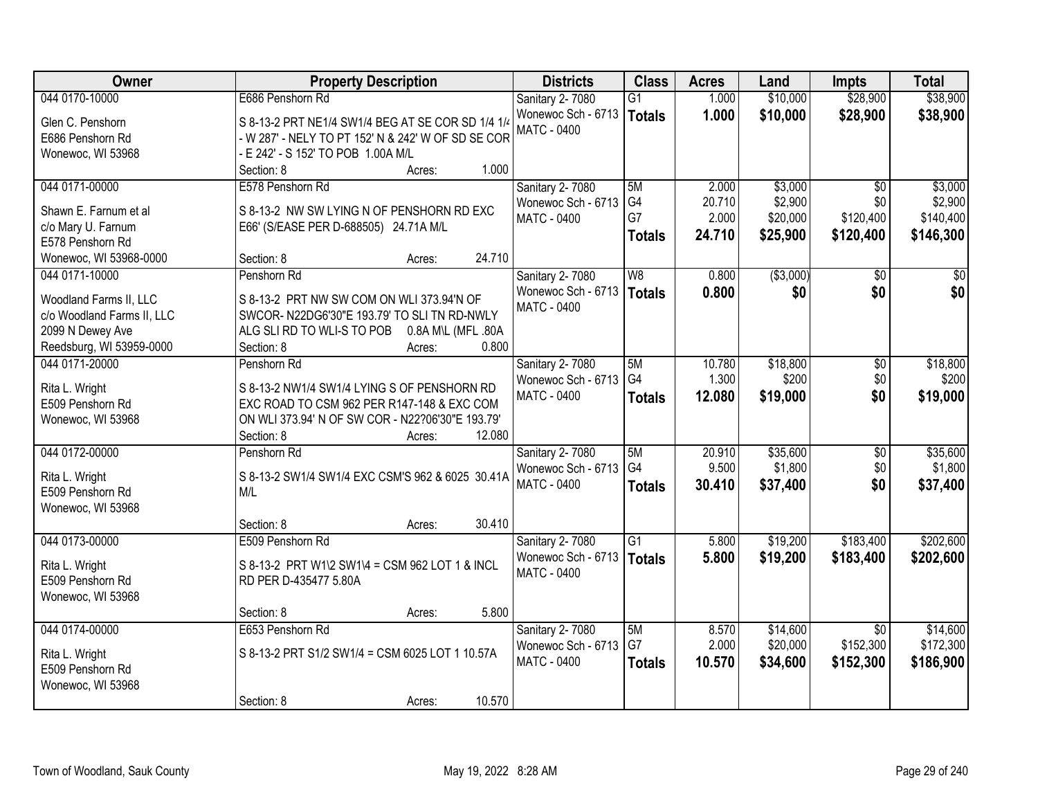| 044 0170-10000<br>E686 Penshorn Rd<br>\$10,000<br>\$28,900<br>\$38,900<br>Sanitary 2-7080<br>$\overline{G1}$<br>1.000<br>Wonewoc Sch - 6713<br>1.000<br>\$10,000<br>\$28,900<br><b>Totals</b><br>Glen C. Penshorn<br>S 8-13-2 PRT NE1/4 SW1/4 BEG AT SE COR SD 1/4 1/4<br><b>MATC - 0400</b><br>- W 287' - NELY TO PT 152' N & 242' W OF SD SE COR<br>E686 Penshorn Rd<br>- E 242' - S 152' TO POB 1.00A M/L<br>Wonewoc, WI 53968<br>1.000<br>Section: 8<br>Acres:<br>044 0171-00000<br>\$3,000<br>E578 Penshorn Rd<br>Sanitary 2-7080<br>5M<br>2.000<br>$\overline{50}$<br>G4<br>\$2,900<br>Wonewoc Sch - 6713<br>20.710<br>\$0<br>S 8-13-2 NW SW LYING N OF PENSHORN RD EXC<br>Shawn E. Farnum et al<br>G7<br>2.000<br>\$120,400<br>\$20,000<br>MATC - 0400<br>c/o Mary U. Farnum<br>E66' (S/EASE PER D-688505) 24.71A M/L<br>24.710<br>\$25,900<br>\$120,400<br><b>Totals</b><br>E578 Penshorn Rd<br>24.710<br>Section: 8<br>Wonewoc, WI 53968-0000<br>Acres:<br>( \$3,000)<br>044 0171-10000<br><b>Sanitary 2-7080</b><br>W8<br>0.800<br>\$0<br>\$0<br>Penshorn Rd<br>Wonewoc Sch - 6713<br>\$0<br>\$0<br>0.800<br><b>Totals</b><br>S 8-13-2 PRT NW SW COM ON WLI 373.94'N OF<br>Woodland Farms II, LLC<br><b>MATC - 0400</b><br>SWCOR-N22DG6'30"E 193.79' TO SLI TN RD-NWLY<br>c/o Woodland Farms II, LLC<br>2099 N Dewey Ave<br>ALG SLI RD TO WLI-S TO POB<br>0.8A M\L (MFL .80A<br>Reedsburg, WI 53959-0000<br>0.800<br>Section: 8<br>Acres:<br>044 0171-20000<br>\$18,800<br>Penshorn Rd<br>Sanitary 2-7080<br>5M<br>10.780<br>\$0<br>G4<br>1.300<br>\$200<br>\$0<br>Wonewoc Sch - 6713<br>Rita L. Wright<br>S 8-13-2 NW1/4 SW1/4 LYING S OF PENSHORN RD<br>\$0<br><b>MATC - 0400</b><br>12.080<br>\$19,000<br><b>Totals</b><br>E509 Penshorn Rd<br>EXC ROAD TO CSM 962 PER R147-148 & EXC COM<br>Wonewoc, WI 53968<br>ON WLI 373.94' N OF SW COR - N22?06'30"E 193.79'<br>Section: 8<br>12.080<br>Acres:<br>\$35,600<br>044 0172-00000<br>Penshorn Rd<br>5M<br>20.910<br>$\overline{50}$<br><b>Sanitary 2-7080</b><br>G <sub>4</sub><br>9.500<br>\$1,800<br>\$0<br>Wonewoc Sch - 6713<br>Rita L. Wright<br>S 8-13-2 SW1/4 SW1/4 EXC CSM'S 962 & 6025 30.41A<br><b>MATC - 0400</b><br>\$37,400<br>\$0<br>30.410<br><b>Totals</b><br>E509 Penshorn Rd<br>M/L<br>Wonewoc, WI 53968<br>30.410<br>Section: 8<br>Acres:<br>044 0173-00000<br>$\overline{G1}$<br>\$183,400<br>E509 Penshorn Rd<br>Sanitary 2-7080<br>5.800<br>\$19,200<br>Wonewoc Sch - 6713<br>5.800<br>\$19,200<br>\$183,400<br><b>Totals</b><br>S 8-13-2 PRT W1\2 SW1\4 = CSM 962 LOT 1 & INCL<br>Rita L. Wright<br>MATC - 0400<br>E509 Penshorn Rd<br>RD PER D-435477 5.80A<br>Wonewoc, WI 53968<br>5.800<br>Section: 8<br>Acres:<br>044 0174-00000<br>\$14,600<br>E653 Penshorn Rd<br>Sanitary 2-7080<br>5M<br>8.570<br>$\overline{30}$<br>G7<br>2.000<br>\$20,000<br>\$152,300<br>Wonewoc Sch - 6713<br>S 8-13-2 PRT S1/2 SW1/4 = CSM 6025 LOT 1 10.57A<br>Rita L. Wright<br><b>MATC - 0400</b><br>10.570<br>\$34,600<br>\$152,300<br>\$186,900<br><b>Totals</b><br>E509 Penshorn Rd<br>Wonewoc, WI 53968 | Owner | <b>Property Description</b> | <b>Districts</b> | <b>Class</b> | <b>Acres</b> | Land | <b>Impts</b> | <b>Total</b> |
|-----------------------------------------------------------------------------------------------------------------------------------------------------------------------------------------------------------------------------------------------------------------------------------------------------------------------------------------------------------------------------------------------------------------------------------------------------------------------------------------------------------------------------------------------------------------------------------------------------------------------------------------------------------------------------------------------------------------------------------------------------------------------------------------------------------------------------------------------------------------------------------------------------------------------------------------------------------------------------------------------------------------------------------------------------------------------------------------------------------------------------------------------------------------------------------------------------------------------------------------------------------------------------------------------------------------------------------------------------------------------------------------------------------------------------------------------------------------------------------------------------------------------------------------------------------------------------------------------------------------------------------------------------------------------------------------------------------------------------------------------------------------------------------------------------------------------------------------------------------------------------------------------------------------------------------------------------------------------------------------------------------------------------------------------------------------------------------------------------------------------------------------------------------------------------------------------------------------------------------------------------------------------------------------------------------------------------------------------------------------------------------------------------------------------------------------------------------------------------------------------------------------------------------------------------------------------------------------------------------------------------------------------------------------------------------------------------------------------------------------------------------------------------------------------------------------------------------------------------------------------------------------------------------------------------------------------------------------------------------------------------------------------------------------------------------------------------------|-------|-----------------------------|------------------|--------------|--------------|------|--------------|--------------|
|                                                                                                                                                                                                                                                                                                                                                                                                                                                                                                                                                                                                                                                                                                                                                                                                                                                                                                                                                                                                                                                                                                                                                                                                                                                                                                                                                                                                                                                                                                                                                                                                                                                                                                                                                                                                                                                                                                                                                                                                                                                                                                                                                                                                                                                                                                                                                                                                                                                                                                                                                                                                                                                                                                                                                                                                                                                                                                                                                                                                                                                                                   |       |                             |                  |              |              |      |              |              |
|                                                                                                                                                                                                                                                                                                                                                                                                                                                                                                                                                                                                                                                                                                                                                                                                                                                                                                                                                                                                                                                                                                                                                                                                                                                                                                                                                                                                                                                                                                                                                                                                                                                                                                                                                                                                                                                                                                                                                                                                                                                                                                                                                                                                                                                                                                                                                                                                                                                                                                                                                                                                                                                                                                                                                                                                                                                                                                                                                                                                                                                                                   |       |                             |                  |              |              |      |              | \$38,900     |
|                                                                                                                                                                                                                                                                                                                                                                                                                                                                                                                                                                                                                                                                                                                                                                                                                                                                                                                                                                                                                                                                                                                                                                                                                                                                                                                                                                                                                                                                                                                                                                                                                                                                                                                                                                                                                                                                                                                                                                                                                                                                                                                                                                                                                                                                                                                                                                                                                                                                                                                                                                                                                                                                                                                                                                                                                                                                                                                                                                                                                                                                                   |       |                             |                  |              |              |      |              |              |
|                                                                                                                                                                                                                                                                                                                                                                                                                                                                                                                                                                                                                                                                                                                                                                                                                                                                                                                                                                                                                                                                                                                                                                                                                                                                                                                                                                                                                                                                                                                                                                                                                                                                                                                                                                                                                                                                                                                                                                                                                                                                                                                                                                                                                                                                                                                                                                                                                                                                                                                                                                                                                                                                                                                                                                                                                                                                                                                                                                                                                                                                                   |       |                             |                  |              |              |      |              |              |
|                                                                                                                                                                                                                                                                                                                                                                                                                                                                                                                                                                                                                                                                                                                                                                                                                                                                                                                                                                                                                                                                                                                                                                                                                                                                                                                                                                                                                                                                                                                                                                                                                                                                                                                                                                                                                                                                                                                                                                                                                                                                                                                                                                                                                                                                                                                                                                                                                                                                                                                                                                                                                                                                                                                                                                                                                                                                                                                                                                                                                                                                                   |       |                             |                  |              |              |      |              |              |
| \$2,900<br>\$140,400<br>\$146,300<br>\$0<br>\$18,800<br>\$200<br>\$35,600<br>\$37,400<br>\$172,300                                                                                                                                                                                                                                                                                                                                                                                                                                                                                                                                                                                                                                                                                                                                                                                                                                                                                                                                                                                                                                                                                                                                                                                                                                                                                                                                                                                                                                                                                                                                                                                                                                                                                                                                                                                                                                                                                                                                                                                                                                                                                                                                                                                                                                                                                                                                                                                                                                                                                                                                                                                                                                                                                                                                                                                                                                                                                                                                                                                |       |                             |                  |              |              |      |              | \$3,000      |
|                                                                                                                                                                                                                                                                                                                                                                                                                                                                                                                                                                                                                                                                                                                                                                                                                                                                                                                                                                                                                                                                                                                                                                                                                                                                                                                                                                                                                                                                                                                                                                                                                                                                                                                                                                                                                                                                                                                                                                                                                                                                                                                                                                                                                                                                                                                                                                                                                                                                                                                                                                                                                                                                                                                                                                                                                                                                                                                                                                                                                                                                                   |       |                             |                  |              |              |      |              |              |
|                                                                                                                                                                                                                                                                                                                                                                                                                                                                                                                                                                                                                                                                                                                                                                                                                                                                                                                                                                                                                                                                                                                                                                                                                                                                                                                                                                                                                                                                                                                                                                                                                                                                                                                                                                                                                                                                                                                                                                                                                                                                                                                                                                                                                                                                                                                                                                                                                                                                                                                                                                                                                                                                                                                                                                                                                                                                                                                                                                                                                                                                                   |       |                             |                  |              |              |      |              |              |
|                                                                                                                                                                                                                                                                                                                                                                                                                                                                                                                                                                                                                                                                                                                                                                                                                                                                                                                                                                                                                                                                                                                                                                                                                                                                                                                                                                                                                                                                                                                                                                                                                                                                                                                                                                                                                                                                                                                                                                                                                                                                                                                                                                                                                                                                                                                                                                                                                                                                                                                                                                                                                                                                                                                                                                                                                                                                                                                                                                                                                                                                                   |       |                             |                  |              |              |      |              |              |
|                                                                                                                                                                                                                                                                                                                                                                                                                                                                                                                                                                                                                                                                                                                                                                                                                                                                                                                                                                                                                                                                                                                                                                                                                                                                                                                                                                                                                                                                                                                                                                                                                                                                                                                                                                                                                                                                                                                                                                                                                                                                                                                                                                                                                                                                                                                                                                                                                                                                                                                                                                                                                                                                                                                                                                                                                                                                                                                                                                                                                                                                                   |       |                             |                  |              |              |      |              |              |
|                                                                                                                                                                                                                                                                                                                                                                                                                                                                                                                                                                                                                                                                                                                                                                                                                                                                                                                                                                                                                                                                                                                                                                                                                                                                                                                                                                                                                                                                                                                                                                                                                                                                                                                                                                                                                                                                                                                                                                                                                                                                                                                                                                                                                                                                                                                                                                                                                                                                                                                                                                                                                                                                                                                                                                                                                                                                                                                                                                                                                                                                                   |       |                             |                  |              |              |      |              |              |
|                                                                                                                                                                                                                                                                                                                                                                                                                                                                                                                                                                                                                                                                                                                                                                                                                                                                                                                                                                                                                                                                                                                                                                                                                                                                                                                                                                                                                                                                                                                                                                                                                                                                                                                                                                                                                                                                                                                                                                                                                                                                                                                                                                                                                                                                                                                                                                                                                                                                                                                                                                                                                                                                                                                                                                                                                                                                                                                                                                                                                                                                                   |       |                             |                  |              |              |      |              |              |
| \$19,000<br>\$1,800<br>\$202,600<br>\$202,600<br>\$14,600                                                                                                                                                                                                                                                                                                                                                                                                                                                                                                                                                                                                                                                                                                                                                                                                                                                                                                                                                                                                                                                                                                                                                                                                                                                                                                                                                                                                                                                                                                                                                                                                                                                                                                                                                                                                                                                                                                                                                                                                                                                                                                                                                                                                                                                                                                                                                                                                                                                                                                                                                                                                                                                                                                                                                                                                                                                                                                                                                                                                                         |       |                             |                  |              |              |      |              |              |
|                                                                                                                                                                                                                                                                                                                                                                                                                                                                                                                                                                                                                                                                                                                                                                                                                                                                                                                                                                                                                                                                                                                                                                                                                                                                                                                                                                                                                                                                                                                                                                                                                                                                                                                                                                                                                                                                                                                                                                                                                                                                                                                                                                                                                                                                                                                                                                                                                                                                                                                                                                                                                                                                                                                                                                                                                                                                                                                                                                                                                                                                                   |       |                             |                  |              |              |      |              |              |
|                                                                                                                                                                                                                                                                                                                                                                                                                                                                                                                                                                                                                                                                                                                                                                                                                                                                                                                                                                                                                                                                                                                                                                                                                                                                                                                                                                                                                                                                                                                                                                                                                                                                                                                                                                                                                                                                                                                                                                                                                                                                                                                                                                                                                                                                                                                                                                                                                                                                                                                                                                                                                                                                                                                                                                                                                                                                                                                                                                                                                                                                                   |       |                             |                  |              |              |      |              |              |
|                                                                                                                                                                                                                                                                                                                                                                                                                                                                                                                                                                                                                                                                                                                                                                                                                                                                                                                                                                                                                                                                                                                                                                                                                                                                                                                                                                                                                                                                                                                                                                                                                                                                                                                                                                                                                                                                                                                                                                                                                                                                                                                                                                                                                                                                                                                                                                                                                                                                                                                                                                                                                                                                                                                                                                                                                                                                                                                                                                                                                                                                                   |       |                             |                  |              |              |      |              |              |
|                                                                                                                                                                                                                                                                                                                                                                                                                                                                                                                                                                                                                                                                                                                                                                                                                                                                                                                                                                                                                                                                                                                                                                                                                                                                                                                                                                                                                                                                                                                                                                                                                                                                                                                                                                                                                                                                                                                                                                                                                                                                                                                                                                                                                                                                                                                                                                                                                                                                                                                                                                                                                                                                                                                                                                                                                                                                                                                                                                                                                                                                                   |       |                             |                  |              |              |      |              |              |
|                                                                                                                                                                                                                                                                                                                                                                                                                                                                                                                                                                                                                                                                                                                                                                                                                                                                                                                                                                                                                                                                                                                                                                                                                                                                                                                                                                                                                                                                                                                                                                                                                                                                                                                                                                                                                                                                                                                                                                                                                                                                                                                                                                                                                                                                                                                                                                                                                                                                                                                                                                                                                                                                                                                                                                                                                                                                                                                                                                                                                                                                                   |       |                             |                  |              |              |      |              |              |
|                                                                                                                                                                                                                                                                                                                                                                                                                                                                                                                                                                                                                                                                                                                                                                                                                                                                                                                                                                                                                                                                                                                                                                                                                                                                                                                                                                                                                                                                                                                                                                                                                                                                                                                                                                                                                                                                                                                                                                                                                                                                                                                                                                                                                                                                                                                                                                                                                                                                                                                                                                                                                                                                                                                                                                                                                                                                                                                                                                                                                                                                                   |       |                             |                  |              |              |      |              |              |
|                                                                                                                                                                                                                                                                                                                                                                                                                                                                                                                                                                                                                                                                                                                                                                                                                                                                                                                                                                                                                                                                                                                                                                                                                                                                                                                                                                                                                                                                                                                                                                                                                                                                                                                                                                                                                                                                                                                                                                                                                                                                                                                                                                                                                                                                                                                                                                                                                                                                                                                                                                                                                                                                                                                                                                                                                                                                                                                                                                                                                                                                                   |       |                             |                  |              |              |      |              |              |
|                                                                                                                                                                                                                                                                                                                                                                                                                                                                                                                                                                                                                                                                                                                                                                                                                                                                                                                                                                                                                                                                                                                                                                                                                                                                                                                                                                                                                                                                                                                                                                                                                                                                                                                                                                                                                                                                                                                                                                                                                                                                                                                                                                                                                                                                                                                                                                                                                                                                                                                                                                                                                                                                                                                                                                                                                                                                                                                                                                                                                                                                                   |       |                             |                  |              |              |      |              |              |
|                                                                                                                                                                                                                                                                                                                                                                                                                                                                                                                                                                                                                                                                                                                                                                                                                                                                                                                                                                                                                                                                                                                                                                                                                                                                                                                                                                                                                                                                                                                                                                                                                                                                                                                                                                                                                                                                                                                                                                                                                                                                                                                                                                                                                                                                                                                                                                                                                                                                                                                                                                                                                                                                                                                                                                                                                                                                                                                                                                                                                                                                                   |       |                             |                  |              |              |      |              |              |
|                                                                                                                                                                                                                                                                                                                                                                                                                                                                                                                                                                                                                                                                                                                                                                                                                                                                                                                                                                                                                                                                                                                                                                                                                                                                                                                                                                                                                                                                                                                                                                                                                                                                                                                                                                                                                                                                                                                                                                                                                                                                                                                                                                                                                                                                                                                                                                                                                                                                                                                                                                                                                                                                                                                                                                                                                                                                                                                                                                                                                                                                                   |       |                             |                  |              |              |      |              |              |
|                                                                                                                                                                                                                                                                                                                                                                                                                                                                                                                                                                                                                                                                                                                                                                                                                                                                                                                                                                                                                                                                                                                                                                                                                                                                                                                                                                                                                                                                                                                                                                                                                                                                                                                                                                                                                                                                                                                                                                                                                                                                                                                                                                                                                                                                                                                                                                                                                                                                                                                                                                                                                                                                                                                                                                                                                                                                                                                                                                                                                                                                                   |       |                             |                  |              |              |      |              |              |
|                                                                                                                                                                                                                                                                                                                                                                                                                                                                                                                                                                                                                                                                                                                                                                                                                                                                                                                                                                                                                                                                                                                                                                                                                                                                                                                                                                                                                                                                                                                                                                                                                                                                                                                                                                                                                                                                                                                                                                                                                                                                                                                                                                                                                                                                                                                                                                                                                                                                                                                                                                                                                                                                                                                                                                                                                                                                                                                                                                                                                                                                                   |       |                             |                  |              |              |      |              |              |
|                                                                                                                                                                                                                                                                                                                                                                                                                                                                                                                                                                                                                                                                                                                                                                                                                                                                                                                                                                                                                                                                                                                                                                                                                                                                                                                                                                                                                                                                                                                                                                                                                                                                                                                                                                                                                                                                                                                                                                                                                                                                                                                                                                                                                                                                                                                                                                                                                                                                                                                                                                                                                                                                                                                                                                                                                                                                                                                                                                                                                                                                                   |       |                             |                  |              |              |      |              |              |
|                                                                                                                                                                                                                                                                                                                                                                                                                                                                                                                                                                                                                                                                                                                                                                                                                                                                                                                                                                                                                                                                                                                                                                                                                                                                                                                                                                                                                                                                                                                                                                                                                                                                                                                                                                                                                                                                                                                                                                                                                                                                                                                                                                                                                                                                                                                                                                                                                                                                                                                                                                                                                                                                                                                                                                                                                                                                                                                                                                                                                                                                                   |       |                             |                  |              |              |      |              |              |
|                                                                                                                                                                                                                                                                                                                                                                                                                                                                                                                                                                                                                                                                                                                                                                                                                                                                                                                                                                                                                                                                                                                                                                                                                                                                                                                                                                                                                                                                                                                                                                                                                                                                                                                                                                                                                                                                                                                                                                                                                                                                                                                                                                                                                                                                                                                                                                                                                                                                                                                                                                                                                                                                                                                                                                                                                                                                                                                                                                                                                                                                                   |       |                             |                  |              |              |      |              |              |
|                                                                                                                                                                                                                                                                                                                                                                                                                                                                                                                                                                                                                                                                                                                                                                                                                                                                                                                                                                                                                                                                                                                                                                                                                                                                                                                                                                                                                                                                                                                                                                                                                                                                                                                                                                                                                                                                                                                                                                                                                                                                                                                                                                                                                                                                                                                                                                                                                                                                                                                                                                                                                                                                                                                                                                                                                                                                                                                                                                                                                                                                                   |       |                             |                  |              |              |      |              |              |
|                                                                                                                                                                                                                                                                                                                                                                                                                                                                                                                                                                                                                                                                                                                                                                                                                                                                                                                                                                                                                                                                                                                                                                                                                                                                                                                                                                                                                                                                                                                                                                                                                                                                                                                                                                                                                                                                                                                                                                                                                                                                                                                                                                                                                                                                                                                                                                                                                                                                                                                                                                                                                                                                                                                                                                                                                                                                                                                                                                                                                                                                                   |       |                             |                  |              |              |      |              |              |
|                                                                                                                                                                                                                                                                                                                                                                                                                                                                                                                                                                                                                                                                                                                                                                                                                                                                                                                                                                                                                                                                                                                                                                                                                                                                                                                                                                                                                                                                                                                                                                                                                                                                                                                                                                                                                                                                                                                                                                                                                                                                                                                                                                                                                                                                                                                                                                                                                                                                                                                                                                                                                                                                                                                                                                                                                                                                                                                                                                                                                                                                                   |       |                             |                  |              |              |      |              |              |
|                                                                                                                                                                                                                                                                                                                                                                                                                                                                                                                                                                                                                                                                                                                                                                                                                                                                                                                                                                                                                                                                                                                                                                                                                                                                                                                                                                                                                                                                                                                                                                                                                                                                                                                                                                                                                                                                                                                                                                                                                                                                                                                                                                                                                                                                                                                                                                                                                                                                                                                                                                                                                                                                                                                                                                                                                                                                                                                                                                                                                                                                                   |       |                             |                  |              |              |      |              |              |
|                                                                                                                                                                                                                                                                                                                                                                                                                                                                                                                                                                                                                                                                                                                                                                                                                                                                                                                                                                                                                                                                                                                                                                                                                                                                                                                                                                                                                                                                                                                                                                                                                                                                                                                                                                                                                                                                                                                                                                                                                                                                                                                                                                                                                                                                                                                                                                                                                                                                                                                                                                                                                                                                                                                                                                                                                                                                                                                                                                                                                                                                                   |       |                             |                  |              |              |      |              |              |
|                                                                                                                                                                                                                                                                                                                                                                                                                                                                                                                                                                                                                                                                                                                                                                                                                                                                                                                                                                                                                                                                                                                                                                                                                                                                                                                                                                                                                                                                                                                                                                                                                                                                                                                                                                                                                                                                                                                                                                                                                                                                                                                                                                                                                                                                                                                                                                                                                                                                                                                                                                                                                                                                                                                                                                                                                                                                                                                                                                                                                                                                                   |       |                             |                  |              |              |      |              |              |
|                                                                                                                                                                                                                                                                                                                                                                                                                                                                                                                                                                                                                                                                                                                                                                                                                                                                                                                                                                                                                                                                                                                                                                                                                                                                                                                                                                                                                                                                                                                                                                                                                                                                                                                                                                                                                                                                                                                                                                                                                                                                                                                                                                                                                                                                                                                                                                                                                                                                                                                                                                                                                                                                                                                                                                                                                                                                                                                                                                                                                                                                                   |       |                             |                  |              |              |      |              |              |
|                                                                                                                                                                                                                                                                                                                                                                                                                                                                                                                                                                                                                                                                                                                                                                                                                                                                                                                                                                                                                                                                                                                                                                                                                                                                                                                                                                                                                                                                                                                                                                                                                                                                                                                                                                                                                                                                                                                                                                                                                                                                                                                                                                                                                                                                                                                                                                                                                                                                                                                                                                                                                                                                                                                                                                                                                                                                                                                                                                                                                                                                                   |       |                             |                  |              |              |      |              |              |
| 10.570<br>Section: 8<br>Acres:                                                                                                                                                                                                                                                                                                                                                                                                                                                                                                                                                                                                                                                                                                                                                                                                                                                                                                                                                                                                                                                                                                                                                                                                                                                                                                                                                                                                                                                                                                                                                                                                                                                                                                                                                                                                                                                                                                                                                                                                                                                                                                                                                                                                                                                                                                                                                                                                                                                                                                                                                                                                                                                                                                                                                                                                                                                                                                                                                                                                                                                    |       |                             |                  |              |              |      |              |              |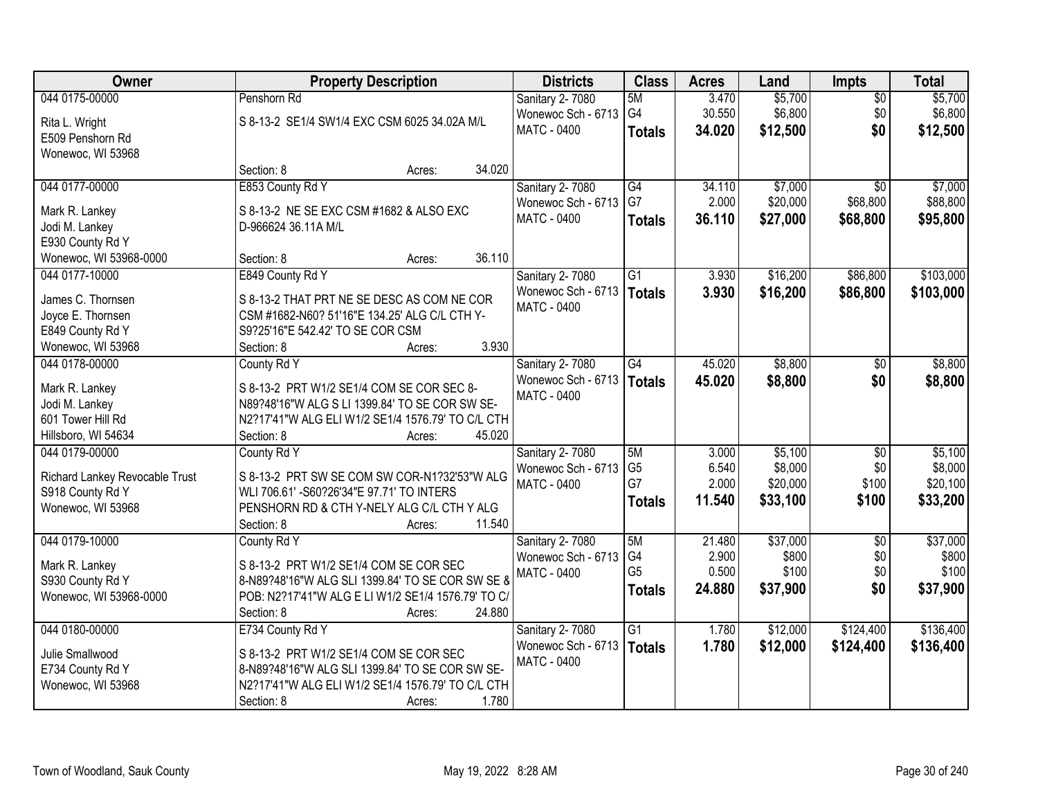| Owner                               | <b>Property Description</b>                                                                         | <b>Districts</b>                      | <b>Class</b>    | <b>Acres</b>    | Land              | Impts                  | <b>Total</b>      |
|-------------------------------------|-----------------------------------------------------------------------------------------------------|---------------------------------------|-----------------|-----------------|-------------------|------------------------|-------------------|
| 044 0175-00000                      | Penshorn Rd                                                                                         | Sanitary 2-7080                       | 5M              | 3.470           | \$5,700           | $\overline{50}$        | \$5,700           |
| Rita L. Wright                      | S 8-13-2 SE1/4 SW1/4 EXC CSM 6025 34.02A M/L                                                        | Wonewoc Sch - 6713                    | G4              | 30.550          | \$6,800           | \$0                    | \$6,800           |
| E509 Penshorn Rd                    |                                                                                                     | MATC - 0400                           | <b>Totals</b>   | 34.020          | \$12,500          | \$0                    | \$12,500          |
| Wonewoc, WI 53968                   |                                                                                                     |                                       |                 |                 |                   |                        |                   |
|                                     | 34.020<br>Section: 8<br>Acres:                                                                      |                                       |                 |                 |                   |                        |                   |
| 044 0177-00000                      | E853 County Rd Y                                                                                    | Sanitary 2-7080                       | G4              | 34.110          | \$7,000           | $\overline{30}$        | \$7,000           |
| Mark R. Lankey                      | S 8-13-2 NE SE EXC CSM #1682 & ALSO EXC                                                             | Wonewoc Sch - 6713                    | G7              | 2.000           | \$20,000          | \$68,800               | \$88,800          |
| Jodi M. Lankey                      | D-966624 36.11A M/L                                                                                 | <b>MATC - 0400</b>                    | <b>Totals</b>   | 36.110          | \$27,000          | \$68,800               | \$95,800          |
| E930 County Rd Y                    |                                                                                                     |                                       |                 |                 |                   |                        |                   |
| Wonewoc, WI 53968-0000              | 36.110<br>Section: 8<br>Acres:                                                                      |                                       |                 |                 |                   |                        |                   |
| 044 0177-10000                      | E849 County Rd Y                                                                                    | <b>Sanitary 2-7080</b>                | $\overline{G1}$ | 3.930           | \$16,200          | \$86,800               | \$103,000         |
| James C. Thornsen                   | S 8-13-2 THAT PRT NE SE DESC AS COM NE COR                                                          | Wonewoc Sch - 6713                    | <b>Totals</b>   | 3.930           | \$16,200          | \$86,800               | \$103,000         |
| Joyce E. Thornsen                   | CSM #1682-N60? 51'16"E 134.25' ALG C/L CTH Y-                                                       | <b>MATC - 0400</b>                    |                 |                 |                   |                        |                   |
| E849 County Rd Y                    | S9?25'16"E 542.42' TO SE COR CSM                                                                    |                                       |                 |                 |                   |                        |                   |
| Wonewoc, WI 53968                   | 3.930<br>Section: 8<br>Acres:                                                                       |                                       |                 |                 |                   |                        |                   |
| 044 0178-00000                      | County Rd Y                                                                                         | Sanitary 2-7080                       | G4              | 45.020          | \$8,800           | $\sqrt[6]{}$           | \$8,800           |
|                                     |                                                                                                     | Wonewoc Sch - 6713                    | <b>Totals</b>   | 45.020          | \$8,800           | \$0                    | \$8,800           |
| Mark R. Lankey                      | S 8-13-2 PRT W1/2 SE1/4 COM SE COR SEC 8-                                                           | <b>MATC - 0400</b>                    |                 |                 |                   |                        |                   |
| Jodi M. Lankey<br>601 Tower Hill Rd | N89?48'16"W ALG S LI 1399.84' TO SE COR SW SE-<br>N2?17'41"W ALG ELI W1/2 SE1/4 1576.79' TO C/L CTH |                                       |                 |                 |                   |                        |                   |
| Hillsboro, WI 54634                 | Section: 8<br>45.020<br>Acres:                                                                      |                                       |                 |                 |                   |                        |                   |
| 044 0179-00000                      | County Rd Y                                                                                         | Sanitary 2-7080                       | 5M              | 3.000           | \$5,100           | $\overline{50}$        | \$5,100           |
|                                     |                                                                                                     | Wonewoc Sch - 6713                    | G <sub>5</sub>  | 6.540           | \$8,000           | \$0                    | \$8,000           |
| Richard Lankey Revocable Trust      | S 8-13-2 PRT SW SE COM SW COR-N1?32'53"W ALG                                                        | <b>MATC - 0400</b>                    | G7              | 2.000           | \$20,000          | \$100                  | \$20,100          |
| S918 County Rd Y                    | WLI 706.61' - S60?26'34"E 97.71' TO INTERS                                                          |                                       | <b>Totals</b>   | 11.540          | \$33,100          | \$100                  | \$33,200          |
| Wonewoc, WI 53968                   | PENSHORN RD & CTH Y-NELY ALG C/L CTH Y ALG                                                          |                                       |                 |                 |                   |                        |                   |
|                                     | 11.540<br>Section: 8<br>Acres:                                                                      |                                       |                 |                 |                   |                        |                   |
| 044 0179-10000                      | County Rd Y                                                                                         | Sanitary 2-7080<br>Wonewoc Sch - 6713 | 5M<br>G4        | 21.480<br>2.900 | \$37,000<br>\$800 | $\overline{50}$<br>\$0 | \$37,000<br>\$800 |
| Mark R. Lankey                      | S 8-13-2 PRT W1/2 SE1/4 COM SE COR SEC                                                              | <b>MATC - 0400</b>                    | G <sub>5</sub>  | 0.500           | \$100             | \$0                    | \$100             |
| S930 County Rd Y                    | 8-N89?48'16"W ALG SLI 1399.84' TO SE COR SW SE &                                                    |                                       | <b>Totals</b>   | 24.880          | \$37,900          | \$0                    | \$37,900          |
| Wonewoc, WI 53968-0000              | POB: N2?17'41"W ALG E LI W1/2 SE1/4 1576.79' TO C/                                                  |                                       |                 |                 |                   |                        |                   |
|                                     | 24.880<br>Section: 8<br>Acres:                                                                      |                                       |                 |                 |                   |                        |                   |
| 044 0180-00000                      | E734 County Rd Y                                                                                    | Sanitary 2-7080                       | $\overline{G1}$ | 1.780           | \$12,000          | \$124,400              | \$136,400         |
| Julie Smallwood                     | S 8-13-2 PRT W1/2 SE1/4 COM SE COR SEC                                                              | Wonewoc Sch - 6713                    | <b>Totals</b>   | 1.780           | \$12,000          | \$124,400              | \$136,400         |
| E734 County Rd Y                    | 8-N89?48'16"W ALG SLI 1399.84' TO SE COR SW SE-                                                     | <b>MATC - 0400</b>                    |                 |                 |                   |                        |                   |
| Wonewoc, WI 53968                   | N2?17'41"W ALG ELI W1/2 SE1/4 1576.79' TO C/L CTH                                                   |                                       |                 |                 |                   |                        |                   |
|                                     | 1.780<br>Section: 8<br>Acres:                                                                       |                                       |                 |                 |                   |                        |                   |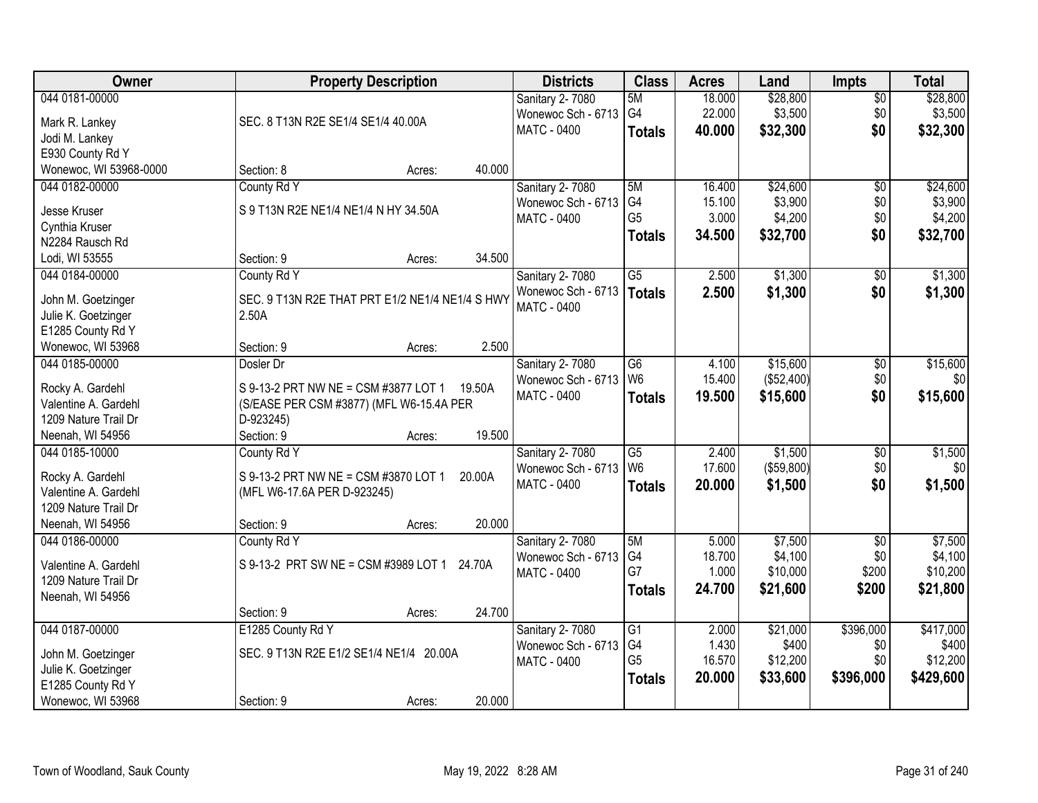| Owner                             |                                                 | <b>Property Description</b> |        | <b>Districts</b>   | <b>Class</b>    | <b>Acres</b>    | Land                | <b>Impts</b>    | <b>Total</b>        |
|-----------------------------------|-------------------------------------------------|-----------------------------|--------|--------------------|-----------------|-----------------|---------------------|-----------------|---------------------|
| 044 0181-00000                    |                                                 |                             |        | Sanitary 2-7080    | 5M              | 18.000          | \$28,800            | $\sqrt{$0}$     | \$28,800            |
| Mark R. Lankey                    | SEC. 8 T13N R2E SE1/4 SE1/4 40.00A              |                             |        | Wonewoc Sch - 6713 | G4              | 22.000          | \$3,500             | \$0             | \$3,500             |
| Jodi M. Lankey                    |                                                 |                             |        | <b>MATC - 0400</b> | <b>Totals</b>   | 40.000          | \$32,300            | \$0             | \$32,300            |
| E930 County Rd Y                  |                                                 |                             |        |                    |                 |                 |                     |                 |                     |
| Wonewoc, WI 53968-0000            | Section: 8                                      | Acres:                      | 40.000 |                    |                 |                 |                     |                 |                     |
| 044 0182-00000                    | County Rd Y                                     |                             |        | Sanitary 2-7080    | 5M              | 16.400          | \$24,600            | \$0             | \$24,600            |
|                                   | S 9 T13N R2E NE1/4 NE1/4 N HY 34.50A            |                             |        | Wonewoc Sch - 6713 | G <sub>4</sub>  | 15.100          | \$3,900             | \$0             | \$3,900             |
| Jesse Kruser                      |                                                 |                             |        | <b>MATC - 0400</b> | G <sub>5</sub>  | 3.000           | \$4,200             | \$0             | \$4,200             |
| Cynthia Kruser<br>N2284 Rausch Rd |                                                 |                             |        |                    | <b>Totals</b>   | 34.500          | \$32,700            | \$0             | \$32,700            |
| Lodi, WI 53555                    | Section: 9                                      | Acres:                      | 34.500 |                    |                 |                 |                     |                 |                     |
| 044 0184-00000                    | County Rd Y                                     |                             |        | Sanitary 2-7080    | $\overline{G5}$ | 2.500           | \$1,300             | \$0             | \$1,300             |
|                                   |                                                 |                             |        | Wonewoc Sch - 6713 |                 |                 |                     | \$0             |                     |
| John M. Goetzinger                | SEC. 9 T13N R2E THAT PRT E1/2 NE1/4 NE1/4 S HWY |                             |        | <b>MATC - 0400</b> | Totals          | 2.500           | \$1,300             |                 | \$1,300             |
| Julie K. Goetzinger               | 2.50A                                           |                             |        |                    |                 |                 |                     |                 |                     |
| E1285 County Rd Y                 |                                                 |                             |        |                    |                 |                 |                     |                 |                     |
| Wonewoc, WI 53968                 | Section: 9                                      | Acres:                      | 2.500  |                    |                 |                 |                     |                 |                     |
| 044 0185-00000                    | Dosler Dr                                       |                             |        | Sanitary 2-7080    | G <sub>6</sub>  | 4.100           | \$15,600            | \$0             | \$15,600            |
| Rocky A. Gardehl                  | S 9-13-2 PRT NW NE = CSM #3877 LOT 1            |                             | 19.50A | Wonewoc Sch - 6713 | W <sub>6</sub>  | 15.400          | (\$52,400)          | \$0             | \$0                 |
| Valentine A. Gardehl              | (S/EASE PER CSM #3877) (MFL W6-15.4A PER        |                             |        | <b>MATC - 0400</b> | <b>Totals</b>   | 19.500          | \$15,600            | \$0             | \$15,600            |
| 1209 Nature Trail Dr              | D-923245)                                       |                             |        |                    |                 |                 |                     |                 |                     |
| Neenah, WI 54956                  | Section: 9                                      | Acres:                      | 19.500 |                    |                 |                 |                     |                 |                     |
| 044 0185-10000                    | County Rd Y                                     |                             |        | Sanitary 2-7080    | $\overline{G5}$ | 2.400           | \$1,500             | $\overline{50}$ | \$1,500             |
|                                   |                                                 |                             |        | Wonewoc Sch - 6713 | W <sub>6</sub>  | 17.600          | (\$59,800)          | \$0             | \$0                 |
| Rocky A. Gardehl                  | S 9-13-2 PRT NW NE = CSM #3870 LOT 1            |                             | 20.00A | MATC - 0400        | <b>Totals</b>   | 20.000          | \$1,500             | \$0             | \$1,500             |
| Valentine A. Gardehl              | (MFL W6-17.6A PER D-923245)                     |                             |        |                    |                 |                 |                     |                 |                     |
| 1209 Nature Trail Dr              |                                                 |                             |        |                    |                 |                 |                     |                 |                     |
| Neenah, WI 54956                  | Section: 9                                      | Acres:                      | 20.000 |                    |                 |                 |                     |                 |                     |
| 044 0186-00000                    | County Rd Y                                     |                             |        | Sanitary 2-7080    | 5M              | 5.000           | \$7,500             | $\sqrt{6}$      | \$7,500             |
| Valentine A. Gardehl              | S 9-13-2 PRT SW NE = CSM #3989 LOT 1 24.70A     |                             |        | Wonewoc Sch - 6713 | G4<br>G7        | 18.700<br>1.000 | \$4,100<br>\$10,000 | \$0<br>\$200    | \$4,100<br>\$10,200 |
| 1209 Nature Trail Dr              |                                                 |                             |        | MATC - 0400        |                 | 24.700          |                     |                 |                     |
| Neenah, WI 54956                  |                                                 |                             |        |                    | <b>Totals</b>   |                 | \$21,600            | \$200           | \$21,800            |
|                                   | Section: 9                                      | Acres:                      | 24.700 |                    |                 |                 |                     |                 |                     |
| 044 0187-00000                    | E1285 County Rd Y                               |                             |        | Sanitary 2-7080    | $\overline{G1}$ | 2.000           | \$21,000            | \$396,000       | \$417,000           |
| John M. Goetzinger                | SEC. 9 T13N R2E E1/2 SE1/4 NE1/4 20.00A         |                             |        | Wonewoc Sch - 6713 | G4              | 1.430           | \$400               | \$0             | \$400               |
| Julie K. Goetzinger               |                                                 |                             |        | MATC - 0400        | G <sub>5</sub>  | 16.570          | \$12,200            | \$0             | \$12,200            |
| E1285 County Rd Y                 |                                                 |                             |        |                    | <b>Totals</b>   | 20.000          | \$33,600            | \$396,000       | \$429,600           |
| Wonewoc, WI 53968                 | Section: 9                                      | Acres:                      | 20.000 |                    |                 |                 |                     |                 |                     |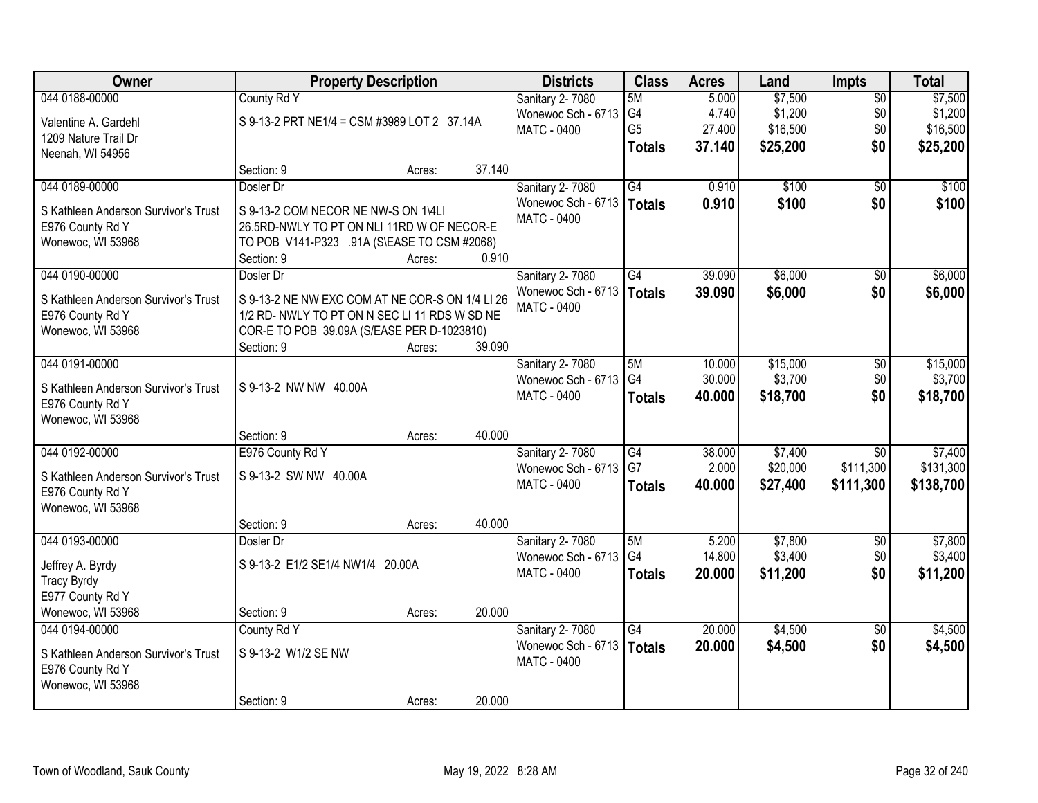| <b>Owner</b>                         | <b>Property Description</b>                     |        |        | <b>Districts</b>       | <b>Class</b>    | <b>Acres</b> | Land     | <b>Impts</b>    | <b>Total</b> |
|--------------------------------------|-------------------------------------------------|--------|--------|------------------------|-----------------|--------------|----------|-----------------|--------------|
| 044 0188-00000                       | County Rd Y                                     |        |        | Sanitary 2-7080        | 5M              | 5.000        | \$7,500  | $\overline{50}$ | \$7,500      |
| Valentine A. Gardehl                 | S 9-13-2 PRT NE1/4 = CSM #3989 LOT 2 37.14A     |        |        | Wonewoc Sch - 6713     | G4              | 4.740        | \$1,200  | \$0             | \$1,200      |
| 1209 Nature Trail Dr                 |                                                 |        |        | MATC - 0400            | G <sub>5</sub>  | 27.400       | \$16,500 | \$0             | \$16,500     |
| Neenah, WI 54956                     |                                                 |        |        |                        | <b>Totals</b>   | 37.140       | \$25,200 | \$0             | \$25,200     |
|                                      | Section: 9                                      | Acres: | 37.140 |                        |                 |              |          |                 |              |
| 044 0189-00000                       | Dosler Dr                                       |        |        | Sanitary 2-7080        | G4              | 0.910        | \$100    | $\overline{50}$ | \$100        |
| S Kathleen Anderson Survivor's Trust | S 9-13-2 COM NECOR NE NW-S ON 1\4LI             |        |        | Wonewoc Sch - 6713     | <b>Totals</b>   | 0.910        | \$100    | \$0             | \$100        |
| E976 County Rd Y                     | 26.5RD-NWLY TO PT ON NLI 11RD W OF NECOR-E      |        |        | <b>MATC - 0400</b>     |                 |              |          |                 |              |
| Wonewoc, WI 53968                    | TO POB V141-P323 .91A (S\EASE TO CSM #2068)     |        |        |                        |                 |              |          |                 |              |
|                                      | Section: 9                                      | Acres: | 0.910  |                        |                 |              |          |                 |              |
| 044 0190-00000                       | Dosler Dr                                       |        |        | Sanitary 2-7080        | G4              | 39.090       | \$6,000  | \$0             | \$6,000      |
| S Kathleen Anderson Survivor's Trust | S 9-13-2 NE NW EXC COM AT NE COR-S ON 1/4 LI 26 |        |        | Wonewoc Sch - 6713     | <b>Totals</b>   | 39.090       | \$6,000  | \$0             | \$6,000      |
| E976 County Rd Y                     | 1/2 RD- NWLY TO PT ON N SEC LI 11 RDS W SD NE   |        |        | <b>MATC - 0400</b>     |                 |              |          |                 |              |
| Wonewoc, WI 53968                    | COR-E TO POB 39.09A (S/EASE PER D-1023810)      |        |        |                        |                 |              |          |                 |              |
|                                      | Section: 9                                      | Acres: | 39.090 |                        |                 |              |          |                 |              |
| 044 0191-00000                       |                                                 |        |        | Sanitary 2-7080        | 5M              | 10.000       | \$15,000 | \$0             | \$15,000     |
| S Kathleen Anderson Survivor's Trust | S 9-13-2 NW NW 40.00A                           |        |        | Wonewoc Sch - 6713     | G4              | 30.000       | \$3,700  | \$0             | \$3,700      |
| E976 County Rd Y                     |                                                 |        |        | MATC - 0400            | <b>Totals</b>   | 40.000       | \$18,700 | \$0             | \$18,700     |
| Wonewoc, WI 53968                    |                                                 |        |        |                        |                 |              |          |                 |              |
|                                      | Section: 9                                      | Acres: | 40.000 |                        |                 |              |          |                 |              |
| 044 0192-00000                       | E976 County Rd Y                                |        |        | <b>Sanitary 2-7080</b> | G4              | 38.000       | \$7,400  | $\overline{50}$ | \$7,400      |
| S Kathleen Anderson Survivor's Trust | S 9-13-2 SW NW 40.00A                           |        |        | Wonewoc Sch - 6713     | G7              | 2.000        | \$20,000 | \$111,300       | \$131,300    |
| E976 County Rd Y                     |                                                 |        |        | MATC - 0400            | <b>Totals</b>   | 40.000       | \$27,400 | \$111,300       | \$138,700    |
| Wonewoc, WI 53968                    |                                                 |        |        |                        |                 |              |          |                 |              |
|                                      | Section: 9                                      | Acres: | 40.000 |                        |                 |              |          |                 |              |
| 044 0193-00000                       | Dosler Dr                                       |        |        | <b>Sanitary 2-7080</b> | 5M              | 5.200        | \$7,800  | $\overline{50}$ | \$7,800      |
| Jeffrey A. Byrdy                     | S 9-13-2 E1/2 SE1/4 NW1/4 20.00A                |        |        | Wonewoc Sch - 6713     | G4              | 14.800       | \$3,400  | \$0             | \$3,400      |
| <b>Tracy Byrdy</b>                   |                                                 |        |        | MATC - 0400            | <b>Totals</b>   | 20.000       | \$11,200 | \$0             | \$11,200     |
| E977 County Rd Y                     |                                                 |        |        |                        |                 |              |          |                 |              |
| Wonewoc, WI 53968                    | Section: 9                                      | Acres: | 20.000 |                        |                 |              |          |                 |              |
| 044 0194-00000                       | County Rd Y                                     |        |        | Sanitary 2-7080        | $\overline{G4}$ | 20.000       | \$4,500  | $\overline{50}$ | \$4,500      |
| S Kathleen Anderson Survivor's Trust | S 9-13-2 W1/2 SE NW                             |        |        | Wonewoc Sch - 6713     | <b>Totals</b>   | 20.000       | \$4,500  | \$0             | \$4,500      |
| E976 County Rd Y                     |                                                 |        |        | <b>MATC - 0400</b>     |                 |              |          |                 |              |
| Wonewoc, WI 53968                    |                                                 |        |        |                        |                 |              |          |                 |              |
|                                      | Section: 9                                      | Acres: | 20.000 |                        |                 |              |          |                 |              |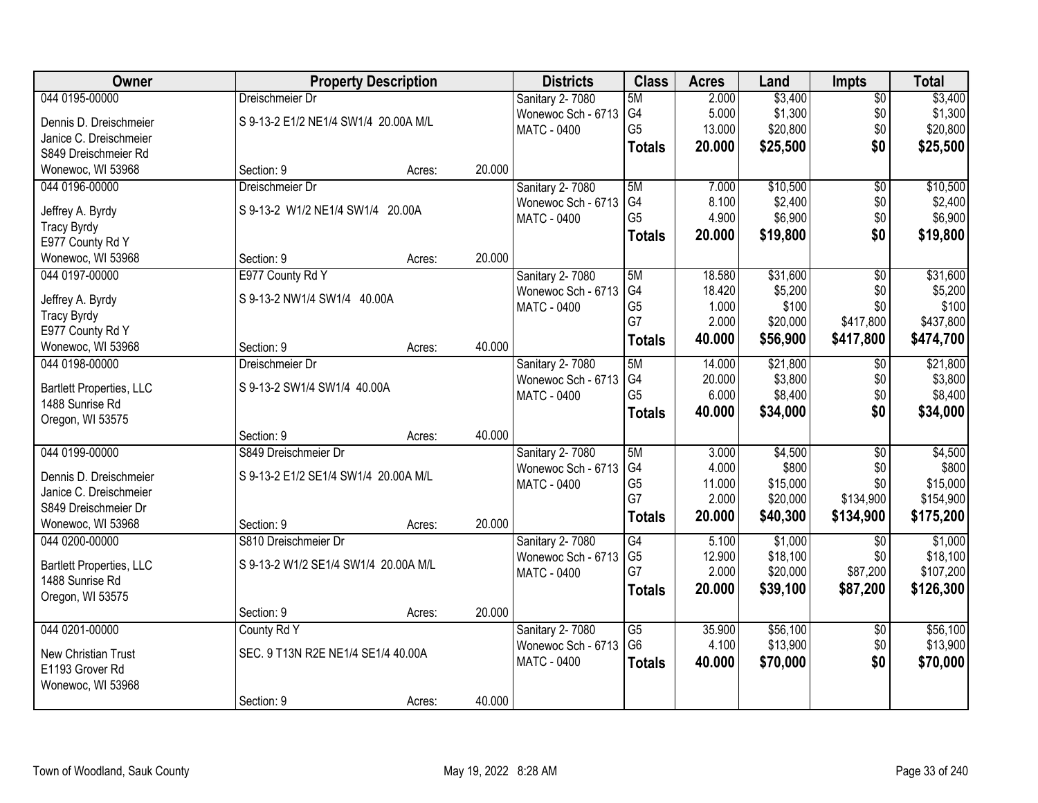| Owner                                  |                                      | <b>Property Description</b> |        | <b>Districts</b>                      | <b>Class</b>    | <b>Acres</b> | Land     | <b>Impts</b>         | <b>Total</b> |
|----------------------------------------|--------------------------------------|-----------------------------|--------|---------------------------------------|-----------------|--------------|----------|----------------------|--------------|
| 044 0195-00000                         | Dreischmeier Dr                      |                             |        | <b>Sanitary 2-7080</b>                | 5M              | 2.000        | \$3,400  | $\overline{$0}$      | \$3,400      |
| Dennis D. Dreischmeier                 | S 9-13-2 E1/2 NE1/4 SW1/4 20.00A M/L |                             |        | Wonewoc Sch - 6713                    | G4              | 5.000        | \$1,300  | \$0                  | \$1,300      |
| Janice C. Dreischmeier                 |                                      |                             |        | MATC - 0400                           | G <sub>5</sub>  | 13.000       | \$20,800 | \$0                  | \$20,800     |
| S849 Dreischmeier Rd                   |                                      |                             |        |                                       | <b>Totals</b>   | 20.000       | \$25,500 | \$0                  | \$25,500     |
| Wonewoc, WI 53968                      | Section: 9                           | Acres:                      | 20.000 |                                       |                 |              |          |                      |              |
| 044 0196-00000                         | Dreischmeier Dr                      |                             |        | Sanitary 2-7080                       | 5M              | 7.000        | \$10,500 | \$0                  | \$10,500     |
|                                        | S 9-13-2 W1/2 NE1/4 SW1/4 20.00A     |                             |        | Wonewoc Sch - 6713                    | G <sub>4</sub>  | 8.100        | \$2,400  | \$0                  | \$2,400      |
| Jeffrey A. Byrdy<br><b>Tracy Byrdy</b> |                                      |                             |        | MATC - 0400                           | G <sub>5</sub>  | 4.900        | \$6,900  | \$0                  | \$6,900      |
| E977 County Rd Y                       |                                      |                             |        |                                       | <b>Totals</b>   | 20.000       | \$19,800 | \$0                  | \$19,800     |
| Wonewoc, WI 53968                      | Section: 9                           | Acres:                      | 20.000 |                                       |                 |              |          |                      |              |
| 044 0197-00000                         | E977 County Rd Y                     |                             |        | Sanitary 2-7080                       | 5M              | 18.580       | \$31,600 | $\overline{50}$      | \$31,600     |
|                                        |                                      |                             |        | Wonewoc Sch - 6713                    | G4              | 18.420       | \$5,200  | \$0                  | \$5,200      |
| Jeffrey A. Byrdy                       | S 9-13-2 NW1/4 SW1/4 40.00A          |                             |        | MATC - 0400                           | G <sub>5</sub>  | 1.000        | \$100    | \$0                  | \$100        |
| <b>Tracy Byrdy</b>                     |                                      |                             |        |                                       | G7              | 2.000        | \$20,000 | \$417,800            | \$437,800    |
| E977 County Rd Y                       |                                      |                             | 40.000 |                                       | <b>Totals</b>   | 40.000       | \$56,900 | \$417,800            | \$474,700    |
| Wonewoc, WI 53968<br>044 0198-00000    | Section: 9<br>Dreischmeier Dr        | Acres:                      |        |                                       | 5M              | 14.000       | \$21,800 |                      | \$21,800     |
|                                        |                                      |                             |        | Sanitary 2-7080<br>Wonewoc Sch - 6713 | G4              | 20.000       | \$3,800  | $\sqrt[6]{3}$<br>\$0 | \$3,800      |
| <b>Bartlett Properties, LLC</b>        | S 9-13-2 SW1/4 SW1/4 40.00A          |                             |        | MATC - 0400                           | G <sub>5</sub>  | 6.000        | \$8,400  | \$0                  | \$8,400      |
| 1488 Sunrise Rd                        |                                      |                             |        |                                       |                 | 40.000       | \$34,000 | \$0                  | \$34,000     |
| Oregon, WI 53575                       |                                      |                             |        |                                       | <b>Totals</b>   |              |          |                      |              |
|                                        | Section: 9                           | Acres:                      | 40.000 |                                       |                 |              |          |                      |              |
| 044 0199-00000                         | S849 Dreischmeier Dr                 |                             |        | Sanitary 2-7080                       | 5M              | 3.000        | \$4,500  | $\overline{50}$      | \$4,500      |
| Dennis D. Dreischmeier                 | S 9-13-2 E1/2 SE1/4 SW1/4 20.00A M/L |                             |        | Wonewoc Sch - 6713                    | G4              | 4.000        | \$800    | \$0                  | \$800        |
| Janice C. Dreischmeier                 |                                      |                             |        | MATC - 0400                           | G <sub>5</sub>  | 11.000       | \$15,000 | \$0                  | \$15,000     |
| S849 Dreischmeier Dr                   |                                      |                             |        |                                       | G7              | 2.000        | \$20,000 | \$134,900            | \$154,900    |
| Wonewoc, WI 53968                      | Section: 9                           | Acres:                      | 20.000 |                                       | <b>Totals</b>   | 20.000       | \$40,300 | \$134,900            | \$175,200    |
| 044 0200-00000                         | S810 Dreischmeier Dr                 |                             |        | Sanitary 2-7080                       | G4              | 5.100        | \$1,000  | \$0                  | \$1,000      |
| <b>Bartlett Properties, LLC</b>        | S 9-13-2 W1/2 SE1/4 SW1/4 20.00A M/L |                             |        | Wonewoc Sch - 6713                    | G <sub>5</sub>  | 12.900       | \$18,100 | \$0                  | \$18,100     |
| 1488 Sunrise Rd                        |                                      |                             |        | MATC - 0400                           | G7              | 2.000        | \$20,000 | \$87,200             | \$107,200    |
| Oregon, WI 53575                       |                                      |                             |        |                                       | <b>Totals</b>   | 20,000       | \$39,100 | \$87,200             | \$126,300    |
|                                        | Section: 9                           | Acres:                      | 20.000 |                                       |                 |              |          |                      |              |
| 044 0201-00000                         | County Rd Y                          |                             |        | Sanitary 2-7080                       | $\overline{G5}$ | 35.900       | \$56,100 | $\overline{60}$      | \$56,100     |
|                                        | SEC. 9 T13N R2E NE1/4 SE1/4 40.00A   |                             |        | Wonewoc Sch - 6713                    | G <sub>6</sub>  | 4.100        | \$13,900 | \$0                  | \$13,900     |
| New Christian Trust<br>E1193 Grover Rd |                                      |                             |        | MATC - 0400                           | <b>Totals</b>   | 40.000       | \$70,000 | \$0                  | \$70,000     |
| Wonewoc, WI 53968                      |                                      |                             |        |                                       |                 |              |          |                      |              |
|                                        | Section: 9                           | Acres:                      | 40.000 |                                       |                 |              |          |                      |              |
|                                        |                                      |                             |        |                                       |                 |              |          |                      |              |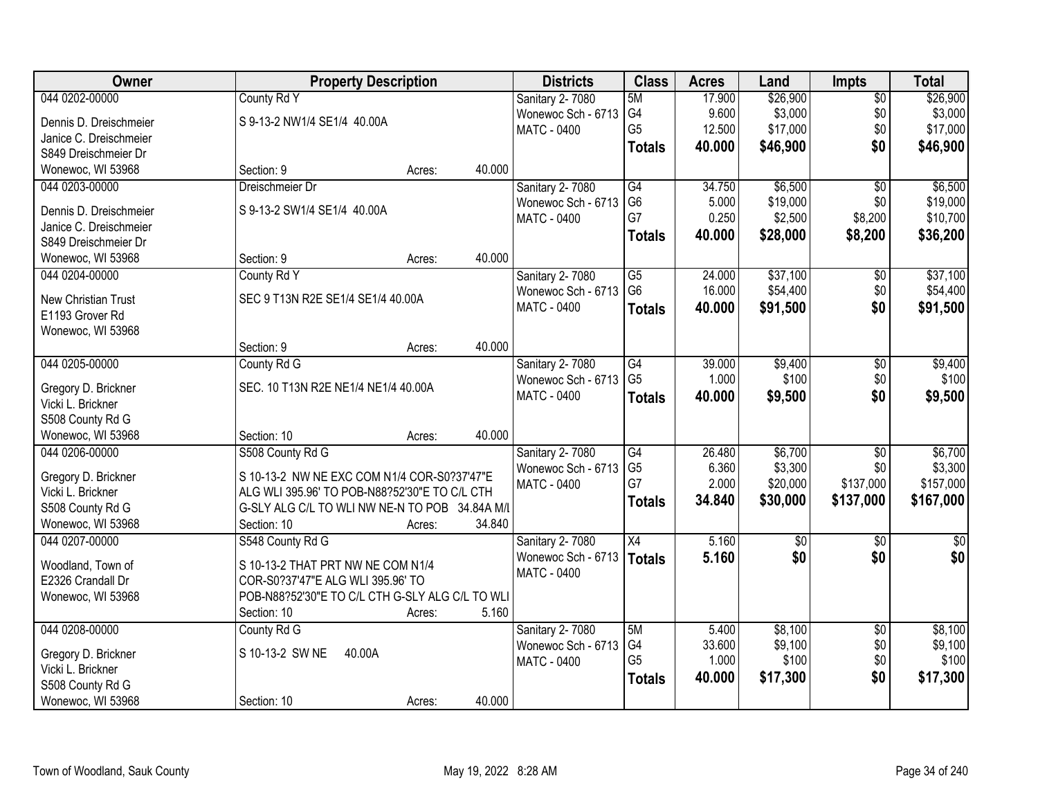| Owner                      | <b>Property Description</b>                     |                  | <b>Districts</b>       | <b>Class</b>    | <b>Acres</b> | Land       | Impts           | <b>Total</b>  |
|----------------------------|-------------------------------------------------|------------------|------------------------|-----------------|--------------|------------|-----------------|---------------|
| 044 0202-00000             | County Rd Y                                     |                  | Sanitary 2-7080        | 5M              | 17.900       | \$26,900   | $\overline{50}$ | \$26,900      |
| Dennis D. Dreischmeier     | S 9-13-2 NW1/4 SE1/4 40.00A                     |                  | Wonewoc Sch - 6713     | G4              | 9.600        | \$3,000    | \$0             | \$3,000       |
| Janice C. Dreischmeier     |                                                 |                  | <b>MATC - 0400</b>     | G <sub>5</sub>  | 12.500       | \$17,000   | \$0             | \$17,000      |
| S849 Dreischmeier Dr       |                                                 |                  |                        | <b>Totals</b>   | 40.000       | \$46,900   | \$0             | \$46,900      |
| Wonewoc, WI 53968          | Section: 9                                      | 40.000<br>Acres: |                        |                 |              |            |                 |               |
| 044 0203-00000             | Dreischmeier Dr                                 |                  | Sanitary 2-7080        | G4              | 34.750       | \$6,500    | $\overline{50}$ | \$6,500       |
|                            |                                                 |                  | Wonewoc Sch - 6713     | G <sub>6</sub>  | 5.000        | \$19,000   | \$0             | \$19,000      |
| Dennis D. Dreischmeier     | S 9-13-2 SW1/4 SE1/4 40.00A                     |                  | <b>MATC - 0400</b>     | G7              | 0.250        | \$2,500    | \$8,200         | \$10,700      |
| Janice C. Dreischmeier     |                                                 |                  |                        | <b>Totals</b>   | 40.000       | \$28,000   | \$8,200         | \$36,200      |
| S849 Dreischmeier Dr       |                                                 |                  |                        |                 |              |            |                 |               |
| Wonewoc, WI 53968          | Section: 9                                      | 40.000<br>Acres: |                        |                 |              |            |                 |               |
| 044 0204-00000             | County Rd Y                                     |                  | <b>Sanitary 2-7080</b> | $\overline{G5}$ | 24.000       | \$37,100   | $\overline{50}$ | \$37,100      |
| <b>New Christian Trust</b> | SEC 9 T13N R2E SE1/4 SE1/4 40.00A               |                  | Wonewoc Sch - 6713     | G <sub>6</sub>  | 16.000       | \$54,400   | \$0             | \$54,400      |
| E1193 Grover Rd            |                                                 |                  | <b>MATC - 0400</b>     | <b>Totals</b>   | 40.000       | \$91,500   | \$0             | \$91,500      |
| Wonewoc, WI 53968          |                                                 |                  |                        |                 |              |            |                 |               |
|                            | Section: 9                                      | 40.000<br>Acres: |                        |                 |              |            |                 |               |
| 044 0205-00000             | County Rd G                                     |                  | Sanitary 2-7080        | G4              | 39.000       | \$9,400    | \$0             | \$9,400       |
| Gregory D. Brickner        | SEC. 10 T13N R2E NE1/4 NE1/4 40.00A             |                  | Wonewoc Sch - 6713     | G <sub>5</sub>  | 1.000        | \$100      | \$0             | \$100         |
| Vicki L. Brickner          |                                                 |                  | <b>MATC - 0400</b>     | <b>Totals</b>   | 40.000       | \$9,500    | \$0             | \$9,500       |
| S508 County Rd G           |                                                 |                  |                        |                 |              |            |                 |               |
| Wonewoc, WI 53968          | Section: 10                                     | 40.000<br>Acres: |                        |                 |              |            |                 |               |
| 044 0206-00000             | S508 County Rd G                                |                  | Sanitary 2-7080        | $\overline{G4}$ | 26.480       | \$6,700    | $\overline{50}$ | \$6,700       |
|                            |                                                 |                  | Wonewoc Sch - 6713     | G <sub>5</sub>  | 6.360        | \$3,300    | \$0             | \$3,300       |
| Gregory D. Brickner        | S 10-13-2 NW NE EXC COM N1/4 COR-S0?37'47"E     |                  | MATC - 0400            | G7              | 2.000        | \$20,000   | \$137,000       | \$157,000     |
| Vicki L. Brickner          | ALG WLI 395.96' TO POB-N88?52'30"E TO C/L CTH   |                  |                        | <b>Totals</b>   | 34.840       | \$30,000   | \$137,000       | \$167,000     |
| S508 County Rd G           | G-SLY ALG C/L TO WLI NW NE-N TO POB 34.84A M/L  |                  |                        |                 |              |            |                 |               |
| Wonewoc, WI 53968          | Section: 10                                     | 34.840<br>Acres: |                        |                 |              |            |                 |               |
| 044 0207-00000             | S548 County Rd G                                |                  | Sanitary 2-7080        | X4              | 5.160        | $\sqrt{6}$ | $\sqrt{6}$      | $\frac{1}{6}$ |
| Woodland, Town of          | S 10-13-2 THAT PRT NW NE COM N1/4               |                  | Wonewoc Sch - 6713     | <b>Totals</b>   | 5.160        | \$0        | \$0             | \$0           |
| E2326 Crandall Dr          | COR-S0?37'47"E ALG WLI 395.96' TO               |                  | <b>MATC - 0400</b>     |                 |              |            |                 |               |
| Wonewoc, WI 53968          | POB-N88?52'30"E TO C/L CTH G-SLY ALG C/L TO WLI |                  |                        |                 |              |            |                 |               |
|                            | Section: 10                                     | 5.160<br>Acres:  |                        |                 |              |            |                 |               |
| 044 0208-00000             | County Rd G                                     |                  | <b>Sanitary 2-7080</b> | 5M              | 5.400        | \$8,100    | $\overline{50}$ | \$8,100       |
|                            |                                                 |                  | Wonewoc Sch - 6713     | G4              | 33.600       | \$9,100    | \$0             | \$9,100       |
| Gregory D. Brickner        | S 10-13-2 SW NE<br>40.00A                       |                  | <b>MATC - 0400</b>     | G <sub>5</sub>  | 1.000        | \$100      | \$0             | \$100         |
| Vicki L. Brickner          |                                                 |                  |                        | <b>Totals</b>   | 40.000       | \$17,300   | \$0             | \$17,300      |
| S508 County Rd G           |                                                 |                  |                        |                 |              |            |                 |               |
| Wonewoc, WI 53968          | Section: 10                                     | 40.000<br>Acres: |                        |                 |              |            |                 |               |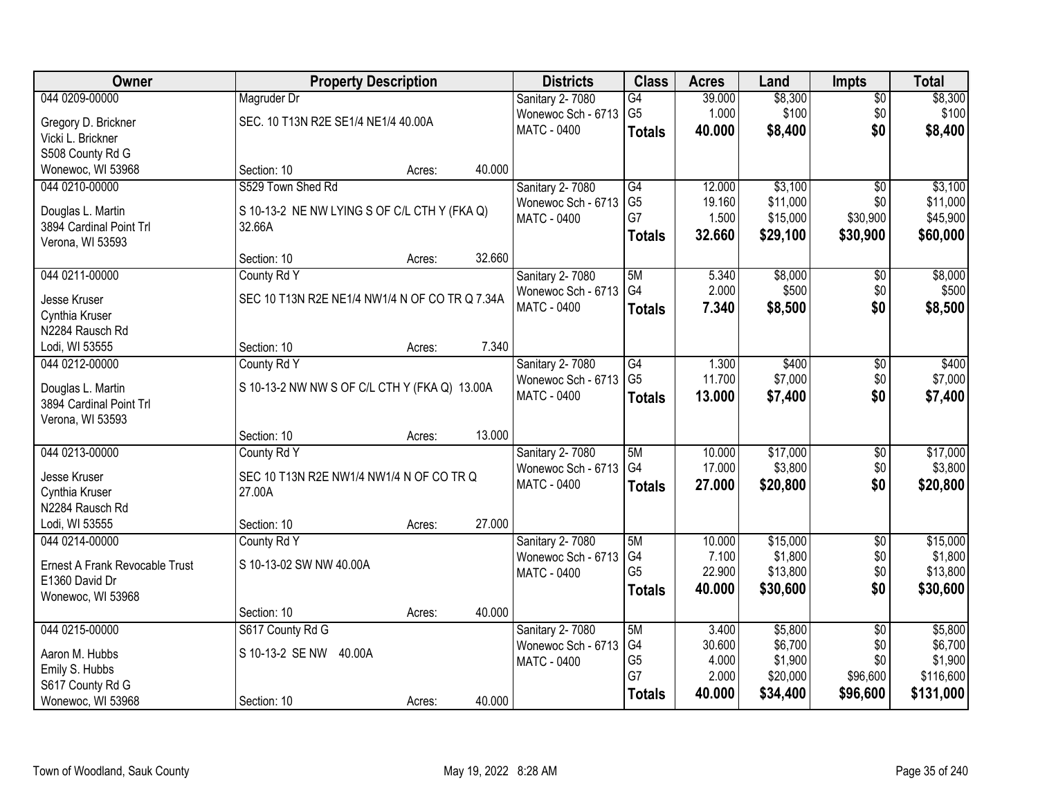| Owner                                       |                                                | <b>Property Description</b> |        | <b>Districts</b>       | <b>Class</b>         | <b>Acres</b>    | Land               | <b>Impts</b>    | <b>Total</b>       |
|---------------------------------------------|------------------------------------------------|-----------------------------|--------|------------------------|----------------------|-----------------|--------------------|-----------------|--------------------|
| 044 0209-00000                              | Magruder Dr                                    |                             |        | <b>Sanitary 2-7080</b> | G4                   | 39.000          | \$8,300            | $\overline{50}$ | \$8,300            |
| Gregory D. Brickner                         | SEC. 10 T13N R2E SE1/4 NE1/4 40.00A            |                             |        | Wonewoc Sch - 6713     | G <sub>5</sub>       | 1.000           | \$100              | \$0             | \$100              |
| Vicki L. Brickner                           |                                                |                             |        | MATC - 0400            | <b>Totals</b>        | 40.000          | \$8,400            | \$0             | \$8,400            |
| S508 County Rd G                            |                                                |                             |        |                        |                      |                 |                    |                 |                    |
| Wonewoc, WI 53968                           | Section: 10                                    | Acres:                      | 40.000 |                        |                      |                 |                    |                 |                    |
| 044 0210-00000                              | S529 Town Shed Rd                              |                             |        | <b>Sanitary 2-7080</b> | G4                   | 12.000          | \$3,100            | $\overline{50}$ | \$3,100            |
|                                             |                                                |                             |        | Wonewoc Sch - 6713     | G <sub>5</sub>       | 19.160          | \$11,000           | \$0             | \$11,000           |
| Douglas L. Martin                           | S 10-13-2 NE NW LYING S OF C/L CTH Y (FKA Q)   |                             |        | MATC - 0400            | G7                   | 1.500           | \$15,000           | \$30,900        | \$45,900           |
| 3894 Cardinal Point Trl<br>Verona, WI 53593 | 32.66A                                         |                             |        |                        | <b>Totals</b>        | 32.660          | \$29,100           | \$30,900        | \$60,000           |
|                                             | Section: 10                                    | Acres:                      | 32.660 |                        |                      |                 |                    |                 |                    |
| 044 0211-00000                              | County Rd Y                                    |                             |        | <b>Sanitary 2-7080</b> | 5M                   | 5.340           | \$8,000            | $\sqrt[6]{}$    | \$8,000            |
|                                             |                                                |                             |        | Wonewoc Sch - 6713     | G4                   | 2.000           | \$500              | \$0             | \$500              |
| Jesse Kruser                                | SEC 10 T13N R2E NE1/4 NW1/4 N OF CO TR Q 7.34A |                             |        | <b>MATC - 0400</b>     | <b>Totals</b>        | 7.340           | \$8,500            | \$0             | \$8,500            |
| Cynthia Kruser                              |                                                |                             |        |                        |                      |                 |                    |                 |                    |
| N2284 Rausch Rd                             |                                                |                             |        |                        |                      |                 |                    |                 |                    |
| Lodi, WI 53555                              | Section: 10                                    | Acres:                      | 7.340  |                        |                      |                 |                    |                 |                    |
| 044 0212-00000                              | County Rd Y                                    |                             |        | Sanitary 2-7080        | G4                   | 1.300           | \$400              | \$0             | \$400              |
| Douglas L. Martin                           | S 10-13-2 NW NW S OF C/L CTH Y (FKA Q) 13.00A  |                             |        | Wonewoc Sch - 6713     | G <sub>5</sub>       | 11.700          | \$7,000            | \$0             | \$7,000            |
| 3894 Cardinal Point Trl                     |                                                |                             |        | <b>MATC - 0400</b>     | <b>Totals</b>        | 13.000          | \$7,400            | \$0             | \$7,400            |
| Verona, WI 53593                            |                                                |                             |        |                        |                      |                 |                    |                 |                    |
|                                             | Section: 10                                    | Acres:                      | 13.000 |                        |                      |                 |                    |                 |                    |
| 044 0213-00000                              | County Rd Y                                    |                             |        | Sanitary 2-7080        | 5M                   | 10.000          | \$17,000           | \$0             | \$17,000           |
| Jesse Kruser                                | SEC 10 T13N R2E NW1/4 NW1/4 N OF CO TR Q       |                             |        | Wonewoc Sch - 6713     | G4                   | 17.000          | \$3,800            | \$0             | \$3,800            |
| Cynthia Kruser                              | 27.00A                                         |                             |        | MATC - 0400            | <b>Totals</b>        | 27.000          | \$20,800           | \$0             | \$20,800           |
| N2284 Rausch Rd                             |                                                |                             |        |                        |                      |                 |                    |                 |                    |
| Lodi, WI 53555                              | Section: 10                                    | Acres:                      | 27.000 |                        |                      |                 |                    |                 |                    |
| 044 0214-00000                              | County Rd Y                                    |                             |        | Sanitary 2-7080        | 5M                   | 10.000          | \$15,000           | $\overline{50}$ | \$15,000           |
|                                             |                                                |                             |        | Wonewoc Sch - 6713     | G4                   | 7.100           | \$1,800            | \$0             | \$1,800            |
| Ernest A Frank Revocable Trust              | S 10-13-02 SW NW 40.00A                        |                             |        | MATC - 0400            | G <sub>5</sub>       | 22.900          | \$13,800           | \$0             | \$13,800           |
| E1360 David Dr                              |                                                |                             |        |                        | <b>Totals</b>        | 40.000          | \$30,600           | \$0             | \$30,600           |
| Wonewoc, WI 53968                           |                                                |                             |        |                        |                      |                 |                    |                 |                    |
|                                             | Section: 10                                    | Acres:                      | 40.000 |                        |                      |                 |                    |                 |                    |
| 044 0215-00000                              | S617 County Rd G                               |                             |        | Sanitary 2-7080        | 5M                   | 3.400           | \$5,800<br>\$6,700 | $\overline{50}$ | \$5,800<br>\$6,700 |
| Aaron M. Hubbs                              | S 10-13-2 SE NW<br>40.00A                      |                             |        | Wonewoc Sch - 6713     | G4<br>G <sub>5</sub> | 30.600<br>4.000 | \$1,900            | \$0<br>\$0      | \$1,900            |
| Emily S. Hubbs                              |                                                |                             |        | <b>MATC - 0400</b>     | G7                   | 2.000           | \$20,000           | \$96,600        | \$116,600          |
| S617 County Rd G                            |                                                |                             |        |                        |                      | 40.000          | \$34,400           | \$96,600        | \$131,000          |
| Wonewoc, WI 53968                           | Section: 10                                    | Acres:                      | 40.000 |                        | <b>Totals</b>        |                 |                    |                 |                    |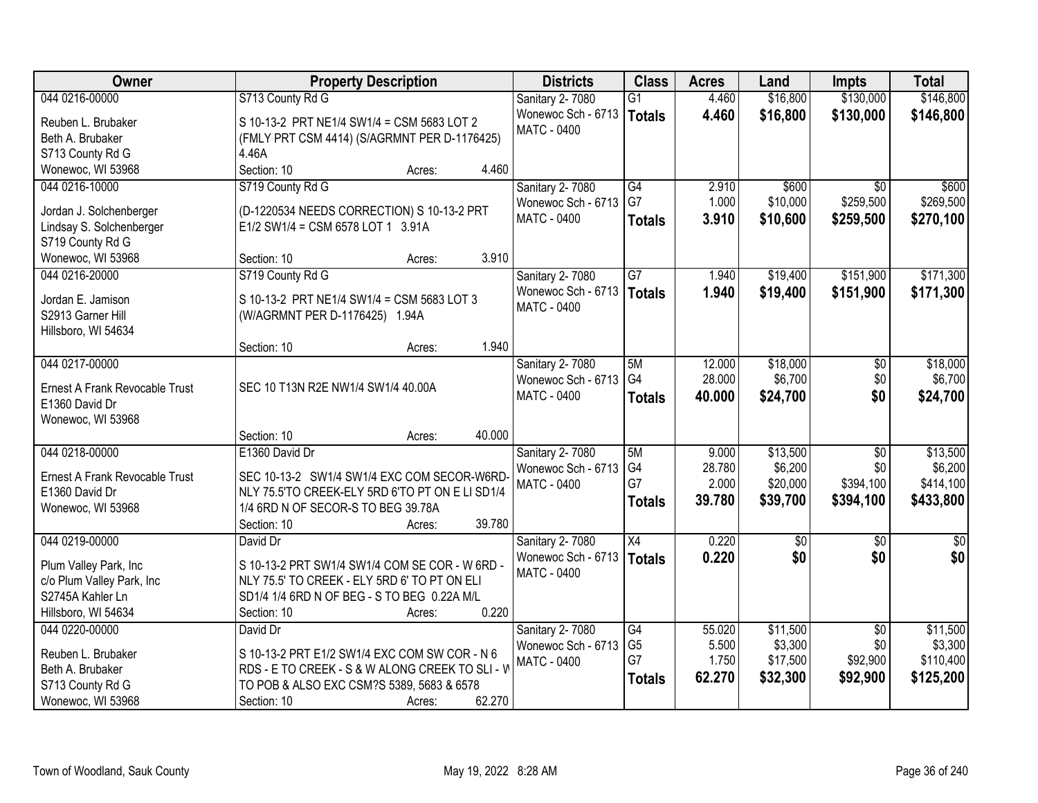| Owner                                        | <b>Property Description</b>                          | <b>Districts</b>                      | <b>Class</b>         | <b>Acres</b>    | Land                | <b>Impts</b>           | <b>Total</b>        |
|----------------------------------------------|------------------------------------------------------|---------------------------------------|----------------------|-----------------|---------------------|------------------------|---------------------|
| 044 0216-00000                               | S713 County Rd G                                     | Sanitary 2-7080                       | $\overline{G1}$      | 4.460           | \$16,800            | \$130,000              | \$146,800           |
| Reuben L. Brubaker                           | S 10-13-2 PRT NE1/4 SW1/4 = CSM 5683 LOT 2           | Wonewoc Sch - 6713                    | <b>Totals</b>        | 4.460           | \$16,800            | \$130,000              | \$146,800           |
| Beth A. Brubaker                             | (FMLY PRT CSM 4414) (S/AGRMNT PER D-1176425)         | <b>MATC - 0400</b>                    |                      |                 |                     |                        |                     |
| S713 County Rd G                             | 4.46A                                                |                                       |                      |                 |                     |                        |                     |
| Wonewoc, WI 53968                            | Section: 10<br>4.460<br>Acres:                       |                                       |                      |                 |                     |                        |                     |
| 044 0216-10000                               | S719 County Rd G                                     | Sanitary 2-7080                       | G4                   | 2.910           | \$600               | $\overline{30}$        | \$600               |
|                                              |                                                      | Wonewoc Sch - 6713                    | G7                   | 1.000           | \$10,000            | \$259,500              | \$269,500           |
| Jordan J. Solchenberger                      | (D-1220534 NEEDS CORRECTION) S 10-13-2 PRT           | <b>MATC - 0400</b>                    | <b>Totals</b>        | 3.910           | \$10,600            | \$259,500              | \$270,100           |
| Lindsay S. Solchenberger<br>S719 County Rd G | E1/2 SW1/4 = CSM 6578 LOT 1 3.91A                    |                                       |                      |                 |                     |                        |                     |
| Wonewoc, WI 53968                            | 3.910<br>Section: 10<br>Acres:                       |                                       |                      |                 |                     |                        |                     |
| 044 0216-20000                               | S719 County Rd G                                     | Sanitary 2-7080                       | G7                   | 1.940           | \$19,400            | \$151,900              | \$171,300           |
|                                              |                                                      | Wonewoc Sch - 6713                    | <b>Totals</b>        | 1.940           | \$19,400            | \$151,900              | \$171,300           |
| Jordan E. Jamison                            | S 10-13-2 PRT NE1/4 SW1/4 = CSM 5683 LOT 3           | <b>MATC - 0400</b>                    |                      |                 |                     |                        |                     |
| S2913 Garner Hill                            | (W/AGRMNT PER D-1176425) 1.94A                       |                                       |                      |                 |                     |                        |                     |
| Hillsboro, WI 54634                          |                                                      |                                       |                      |                 |                     |                        |                     |
|                                              | 1.940<br>Section: 10<br>Acres:                       |                                       |                      |                 |                     |                        |                     |
| 044 0217-00000                               |                                                      | Sanitary 2-7080                       | 5M                   | 12.000          | \$18,000            | \$0                    | \$18,000            |
| Ernest A Frank Revocable Trust               | SEC 10 T13N R2E NW1/4 SW1/4 40.00A                   | Wonewoc Sch - 6713                    | G4                   | 28.000          | \$6,700             | \$0                    | \$6,700             |
| E1360 David Dr                               |                                                      | MATC - 0400                           | <b>Totals</b>        | 40,000          | \$24,700            | \$0                    | \$24,700            |
| Wonewoc, WI 53968                            |                                                      |                                       |                      |                 |                     |                        |                     |
|                                              | 40.000<br>Section: 10<br>Acres:                      |                                       |                      |                 |                     |                        |                     |
| 044 0218-00000                               | E1360 David Dr                                       | Sanitary 2-7080                       | 5M                   | 9.000           | \$13,500            | $\overline{60}$        | \$13,500            |
| Ernest A Frank Revocable Trust               | SEC 10-13-2 SW1/4 SW1/4 EXC COM SECOR-W6RD           | Wonewoc Sch - 6713                    | G4                   | 28.780          | \$6,200             | \$0                    | \$6,200             |
| E1360 David Dr                               | NLY 75.5'TO CREEK-ELY 5RD 6'TO PT ON E LI SD1/4      | <b>MATC - 0400</b>                    | G7                   | 2.000           | \$20,000            | \$394,100              | \$414,100           |
| Wonewoc, WI 53968                            | 1/4 6RD N OF SECOR-S TO BEG 39.78A                   |                                       | <b>Totals</b>        | 39.780          | \$39,700            | \$394,100              | \$433,800           |
|                                              | 39.780<br>Section: 10<br>Acres:                      |                                       |                      |                 |                     |                        |                     |
| 044 0219-00000                               | David Dr                                             | Sanitary 2-7080                       | $\overline{X4}$      | 0.220           | $\overline{50}$     | \$0                    | $\sqrt{30}$         |
|                                              |                                                      | Wonewoc Sch - 6713                    | <b>Totals</b>        | 0.220           | \$0                 | \$0                    | \$0                 |
| Plum Valley Park, Inc                        | S 10-13-2 PRT SW1/4 SW1/4 COM SE COR - W 6RD -       | <b>MATC - 0400</b>                    |                      |                 |                     |                        |                     |
| c/o Plum Valley Park, Inc                    | NLY 75.5' TO CREEK - ELY 5RD 6' TO PT ON ELI         |                                       |                      |                 |                     |                        |                     |
| S2745A Kahler Ln                             | SD1/4 1/4 6RD N OF BEG - S TO BEG 0.22A M/L<br>0.220 |                                       |                      |                 |                     |                        |                     |
| Hillsboro, WI 54634                          | Section: 10<br>Acres:                                |                                       |                      |                 |                     |                        |                     |
| 044 0220-00000                               | David Dr                                             | Sanitary 2-7080<br>Wonewoc Sch - 6713 | G4<br>G <sub>5</sub> | 55.020<br>5.500 | \$11,500<br>\$3,300 | $\overline{50}$<br>\$0 | \$11,500<br>\$3,300 |
| Reuben L. Brubaker                           | S 10-13-2 PRT E1/2 SW1/4 EXC COM SW COR - N 6        | <b>MATC - 0400</b>                    | G7                   | 1.750           | \$17,500            | \$92,900               | \$110,400           |
| Beth A. Brubaker                             | RDS - E TO CREEK - S & W ALONG CREEK TO SLI - W      |                                       |                      | 62.270          | \$32,300            | \$92,900               | \$125,200           |
| S713 County Rd G                             | TO POB & ALSO EXC CSM?S 5389, 5683 & 6578            |                                       | <b>Totals</b>        |                 |                     |                        |                     |
| Wonewoc, WI 53968                            | 62.270<br>Section: 10<br>Acres:                      |                                       |                      |                 |                     |                        |                     |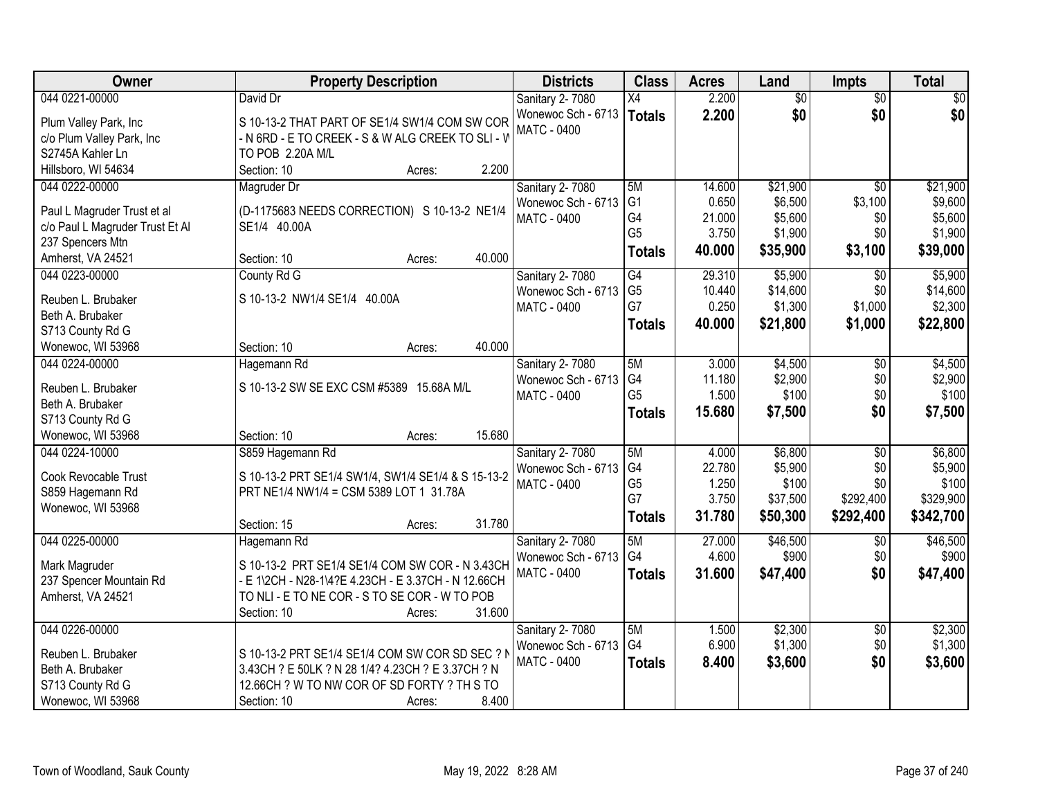| Owner                           | <b>Property Description</b>                         | <b>Districts</b>   | <b>Class</b>   | <b>Acres</b> | Land            | <b>Impts</b>    | <b>Total</b> |
|---------------------------------|-----------------------------------------------------|--------------------|----------------|--------------|-----------------|-----------------|--------------|
| 044 0221-00000                  | David Dr                                            | Sanitary 2-7080    | X4             | 2.200        | $\overline{50}$ | $\overline{50}$ | $\sqrt{50}$  |
| Plum Valley Park, Inc           | S 10-13-2 THAT PART OF SE1/4 SW1/4 COM SW COR       | Wonewoc Sch - 6713 | <b>Totals</b>  | 2.200        | \$0             | \$0             | \$0          |
| c/o Plum Valley Park, Inc       | - N 6RD - E TO CREEK - S & W ALG CREEK TO SLI - V   | MATC - 0400        |                |              |                 |                 |              |
| S2745A Kahler Ln                | TO POB 2.20A M/L                                    |                    |                |              |                 |                 |              |
| Hillsboro, WI 54634             | 2.200<br>Section: 10<br>Acres:                      |                    |                |              |                 |                 |              |
| 044 0222-00000                  | Magruder Dr                                         | Sanitary 2-7080    | 5M             | 14.600       | \$21,900        | $\overline{30}$ | \$21,900     |
|                                 |                                                     | Wonewoc Sch - 6713 | G <sub>1</sub> | 0.650        | \$6,500         | \$3,100         | \$9,600      |
| Paul L Magruder Trust et al     | (D-1175683 NEEDS CORRECTION) S 10-13-2 NE1/4        | <b>MATC - 0400</b> | G4             | 21.000       | \$5,600         | \$0             | \$5,600      |
| c/o Paul L Magruder Trust Et Al | SE1/4 40.00A                                        |                    | G <sub>5</sub> | 3.750        | \$1,900         | \$0             | \$1,900      |
| 237 Spencers Mtn                |                                                     |                    | <b>Totals</b>  | 40.000       | \$35,900        | \$3,100         | \$39,000     |
| Amherst, VA 24521               | 40.000<br>Section: 10<br>Acres:                     |                    |                |              |                 |                 |              |
| 044 0223-00000                  | County Rd G                                         | Sanitary 2- 7080   | G4             | 29.310       | \$5,900         | $\overline{30}$ | \$5,900      |
| Reuben L. Brubaker              | S 10-13-2 NW1/4 SE1/4 40.00A                        | Wonewoc Sch - 6713 | G <sub>5</sub> | 10.440       | \$14,600        | \$0             | \$14,600     |
| Beth A. Brubaker                |                                                     | <b>MATC - 0400</b> | G7             | 0.250        | \$1,300         | \$1,000         | \$2,300      |
| S713 County Rd G                |                                                     |                    | <b>Totals</b>  | 40.000       | \$21,800        | \$1,000         | \$22,800     |
| Wonewoc, WI 53968               | 40.000<br>Section: 10<br>Acres:                     |                    |                |              |                 |                 |              |
| 044 0224-00000                  | Hagemann Rd                                         | Sanitary 2-7080    | 5M             | 3.000        | \$4,500         | \$0             | \$4,500      |
|                                 |                                                     | Wonewoc Sch - 6713 | G4             | 11.180       | \$2,900         | \$0             | \$2,900      |
| Reuben L. Brubaker              | S 10-13-2 SW SE EXC CSM #5389 15.68A M/L            | MATC - 0400        | G <sub>5</sub> | 1.500        | \$100           | \$0             | \$100        |
| Beth A. Brubaker                |                                                     |                    | <b>Totals</b>  | 15.680       | \$7,500         | \$0             | \$7,500      |
| S713 County Rd G                |                                                     |                    |                |              |                 |                 |              |
| Wonewoc, WI 53968               | 15.680<br>Section: 10<br>Acres:                     |                    |                |              |                 |                 |              |
| 044 0224-10000                  | S859 Hagemann Rd                                    | Sanitary 2-7080    | 5M             | 4.000        | \$6,800         | $\overline{30}$ | \$6,800      |
| Cook Revocable Trust            | S 10-13-2 PRT SE1/4 SW1/4, SW1/4 SE1/4 & S 15-13-2  | Wonewoc Sch - 6713 | G4             | 22.780       | \$5,900         | \$0             | \$5,900      |
| S859 Hagemann Rd                | PRT NE1/4 NW1/4 = CSM 5389 LOT 1 31.78A             | MATC - 0400        | G <sub>5</sub> | 1.250        | \$100           | \$0             | \$100        |
| Wonewoc, WI 53968               |                                                     |                    | G7             | 3.750        | \$37,500        | \$292,400       | \$329,900    |
|                                 | 31.780<br>Section: 15<br>Acres:                     |                    | <b>Totals</b>  | 31.780       | \$50,300        | \$292,400       | \$342,700    |
| 044 0225-00000                  | Hagemann Rd                                         | Sanitary 2-7080    | 5M             | 27.000       | \$46,500        | $\overline{50}$ | \$46,500     |
|                                 |                                                     | Wonewoc Sch - 6713 | G4             | 4.600        | \$900           | \$0             | \$900        |
| Mark Magruder                   | S 10-13-2 PRT SE1/4 SE1/4 COM SW COR - N 3.43CH     | <b>MATC - 0400</b> | <b>Totals</b>  | 31.600       | \$47,400        | \$0             | \$47,400     |
| 237 Spencer Mountain Rd         | - E 1\2CH - N28-1\4?E 4.23CH - E 3.37CH - N 12.66CH |                    |                |              |                 |                 |              |
| Amherst, VA 24521               | TO NLI - E TO NE COR - S TO SE COR - W TO POB       |                    |                |              |                 |                 |              |
|                                 | Section: 10<br>31.600<br>Acres:                     |                    |                |              |                 |                 |              |
| 044 0226-00000                  |                                                     | Sanitary 2-7080    | 5M             | 1.500        | \$2,300         | $\overline{30}$ | \$2,300      |
| Reuben L. Brubaker              | S 10-13-2 PRT SE1/4 SE1/4 COM SW COR SD SEC ? N     | Wonewoc Sch - 6713 | G <sub>4</sub> | 6.900        | \$1,300         | \$0             | \$1,300      |
| Beth A. Brubaker                | 3.43CH ? E 50LK ? N 28 1/4? 4.23CH ? E 3.37CH ? N   | <b>MATC - 0400</b> | <b>Totals</b>  | 8.400        | \$3,600         | \$0             | \$3,600      |
| S713 County Rd G                | 12.66CH ? W TO NW COR OF SD FORTY ? TH S TO         |                    |                |              |                 |                 |              |
| Wonewoc, WI 53968               | 8.400<br>Section: 10<br>Acres:                      |                    |                |              |                 |                 |              |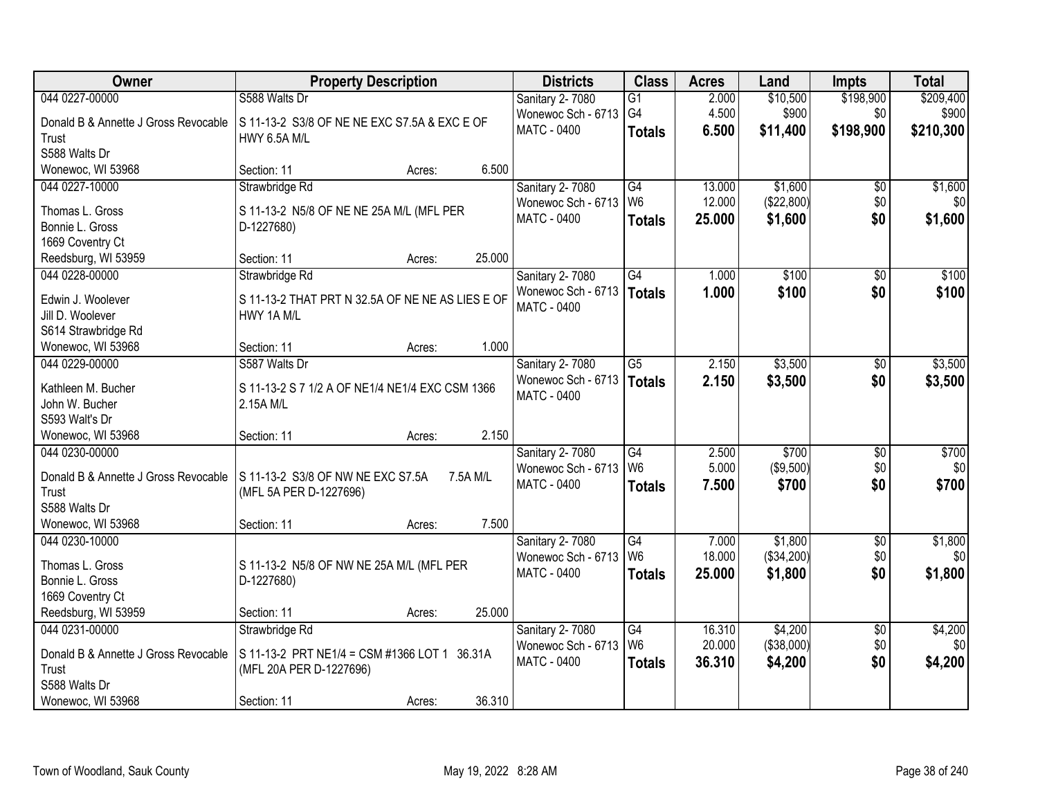| Owner                                 | <b>Property Description</b>                      | <b>Districts</b>                         | <b>Class</b>    | <b>Acres</b> | Land       | <b>Impts</b>    | <b>Total</b> |
|---------------------------------------|--------------------------------------------------|------------------------------------------|-----------------|--------------|------------|-----------------|--------------|
| 044 0227-00000                        | S588 Walts Dr                                    | Sanitary 2-7080                          | $\overline{G1}$ | 2.000        | \$10,500   | \$198,900       | \$209,400    |
| Donald B & Annette J Gross Revocable  | S 11-13-2 S3/8 OF NE NE EXC S7.5A & EXC E OF     | Wonewoc Sch - 6713                       | G4              | 4.500        | \$900      | \$0             | \$900        |
| Trust                                 | <b>HWY 6.5A M/L</b>                              | <b>MATC - 0400</b>                       | <b>Totals</b>   | 6.500        | \$11,400   | \$198,900       | \$210,300    |
| S588 Walts Dr                         |                                                  |                                          |                 |              |            |                 |              |
| Wonewoc, WI 53968                     | 6.500<br>Section: 11<br>Acres:                   |                                          |                 |              |            |                 |              |
| 044 0227-10000                        | Strawbridge Rd                                   | Sanitary 2-7080                          | G4              | 13.000       | \$1,600    | \$0             | \$1,600      |
|                                       |                                                  | Wonewoc Sch - 6713                       | W <sub>6</sub>  | 12.000       | (\$22,800) | \$0             | \$0          |
| Thomas L. Gross                       | S 11-13-2 N5/8 OF NE NE 25A M/L (MFL PER         | <b>MATC - 0400</b>                       | <b>Totals</b>   | 25.000       | \$1,600    | \$0             | \$1,600      |
| Bonnie L. Gross                       | D-1227680)                                       |                                          |                 |              |            |                 |              |
| 1669 Coventry Ct                      | 25.000<br>Section: 11                            |                                          |                 |              |            |                 |              |
| Reedsburg, WI 53959<br>044 0228-00000 | Acres:                                           |                                          | G4              |              | \$100      |                 | \$100        |
|                                       | Strawbridge Rd                                   | Sanitary 2-7080                          |                 | 1.000        |            | $\sqrt[6]{}$    |              |
| Edwin J. Woolever                     | S 11-13-2 THAT PRT N 32.5A OF NE NE AS LIES E OF | Wonewoc Sch - 6713<br><b>MATC - 0400</b> | Totals          | 1.000        | \$100      | \$0             | \$100        |
| Jill D. Woolever                      | HWY 1A M/L                                       |                                          |                 |              |            |                 |              |
| S614 Strawbridge Rd                   |                                                  |                                          |                 |              |            |                 |              |
| Wonewoc, WI 53968                     | 1.000<br>Section: 11<br>Acres:                   |                                          |                 |              |            |                 |              |
| 044 0229-00000                        | S587 Walts Dr                                    | Sanitary 2-7080                          | $\overline{G5}$ | 2.150        | \$3,500    | $\sqrt[6]{}$    | \$3,500      |
| Kathleen M. Bucher                    | S 11-13-2 S 7 1/2 A OF NE1/4 NE1/4 EXC CSM 1366  | Wonewoc Sch - 6713                       | Totals          | 2.150        | \$3,500    | \$0             | \$3,500      |
| John W. Bucher                        | 2.15A M/L                                        | <b>MATC - 0400</b>                       |                 |              |            |                 |              |
| S593 Walt's Dr                        |                                                  |                                          |                 |              |            |                 |              |
| Wonewoc, WI 53968                     | 2.150<br>Section: 11<br>Acres:                   |                                          |                 |              |            |                 |              |
| 044 0230-00000                        |                                                  | Sanitary 2-7080                          | G4              | 2.500        | \$700      | \$0             | \$700        |
|                                       |                                                  | Wonewoc Sch - 6713                       | W <sub>6</sub>  | 5.000        | (\$9,500)  | \$0             | \$0          |
| Donald B & Annette J Gross Revocable  | S 11-13-2 S3/8 OF NW NE EXC S7.5A<br>7.5A M/L    | <b>MATC - 0400</b>                       |                 | 7.500        | \$700      | \$0             | \$700        |
| Trust                                 | (MFL 5A PER D-1227696)                           |                                          | <b>Totals</b>   |              |            |                 |              |
| S588 Walts Dr                         |                                                  |                                          |                 |              |            |                 |              |
| Wonewoc, WI 53968                     | 7.500<br>Section: 11<br>Acres:                   |                                          |                 |              |            |                 |              |
| 044 0230-10000                        |                                                  | Sanitary 2-7080                          | $\overline{G4}$ | 7.000        | \$1,800    | $\overline{$0}$ | \$1,800      |
| Thomas L. Gross                       | S 11-13-2 N5/8 OF NW NE 25A M/L (MFL PER         | Wonewoc Sch - 6713                       | W <sub>6</sub>  | 18.000       | (\$34,200) | \$0             | \$0          |
| Bonnie L. Gross                       | D-1227680)                                       | <b>MATC - 0400</b>                       | <b>Totals</b>   | 25.000       | \$1,800    | \$0             | \$1,800      |
| 1669 Coventry Ct                      |                                                  |                                          |                 |              |            |                 |              |
| Reedsburg, WI 53959                   | 25.000<br>Section: 11<br>Acres:                  |                                          |                 |              |            |                 |              |
| 044 0231-00000                        | Strawbridge Rd                                   | Sanitary 2-7080                          | G4              | 16.310       | \$4,200    | $\overline{60}$ | \$4,200      |
|                                       |                                                  | Wonewoc Sch - 6713                       | W <sub>6</sub>  | 20.000       | (\$38,000) | \$0             | \$0          |
| Donald B & Annette J Gross Revocable  | S 11-13-2 PRT NE1/4 = CSM #1366 LOT 1 36.31A     | MATC - 0400                              | <b>Totals</b>   | 36.310       | \$4,200    | \$0             | \$4,200      |
| Trust                                 | (MFL 20A PER D-1227696)                          |                                          |                 |              |            |                 |              |
| S588 Walts Dr                         |                                                  |                                          |                 |              |            |                 |              |
| Wonewoc, WI 53968                     | 36.310<br>Section: 11<br>Acres:                  |                                          |                 |              |            |                 |              |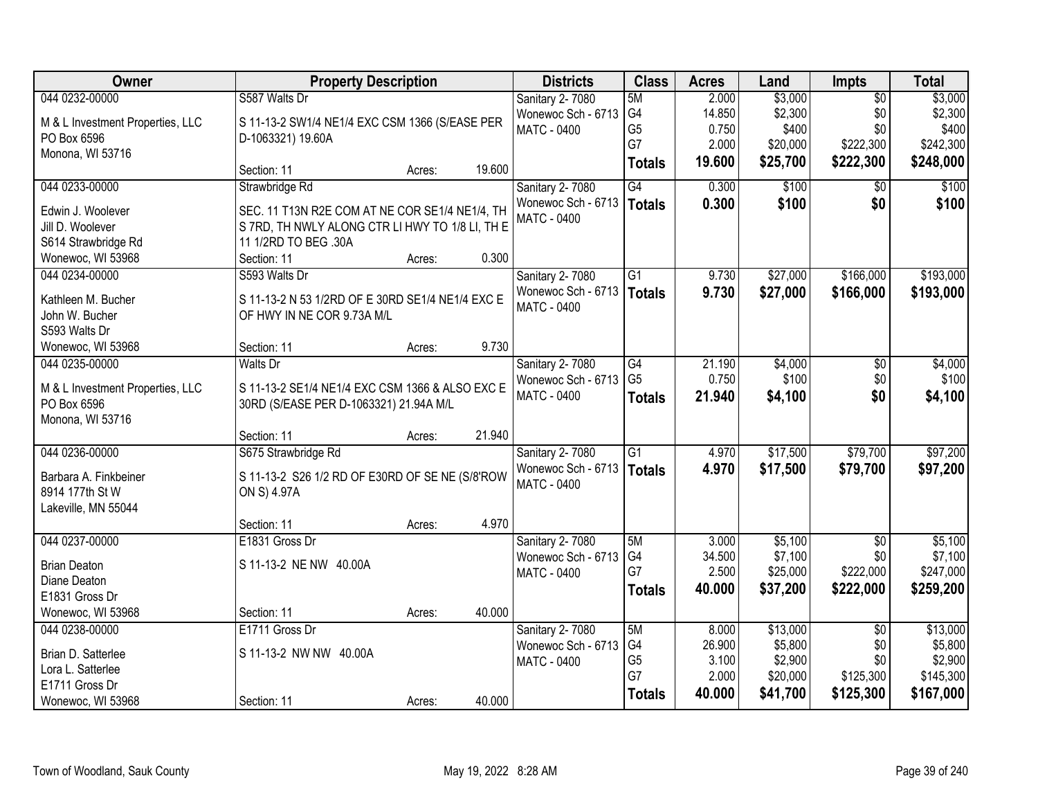| Owner                            |                                                  | <b>Property Description</b> |        | <b>Districts</b>            | <b>Class</b>    | <b>Acres</b> | Land     | Impts           | <b>Total</b> |
|----------------------------------|--------------------------------------------------|-----------------------------|--------|-----------------------------|-----------------|--------------|----------|-----------------|--------------|
| 044 0232-00000                   | S587 Walts Dr                                    |                             |        | Sanitary 2-7080             | 5M              | 2.000        | \$3,000  | $\overline{50}$ | \$3,000      |
| M & L Investment Properties, LLC | S 11-13-2 SW1/4 NE1/4 EXC CSM 1366 (S/EASE PER   |                             |        | Wonewoc Sch - 6713          | G4              | 14.850       | \$2,300  | \$0             | \$2,300      |
| PO Box 6596                      | D-1063321) 19.60A                                |                             |        | <b>MATC - 0400</b>          | G <sub>5</sub>  | 0.750        | \$400    | \$0             | \$400        |
| Monona, WI 53716                 |                                                  |                             |        |                             | G7              | 2.000        | \$20,000 | \$222,300       | \$242,300    |
|                                  | Section: 11                                      | Acres:                      | 19.600 |                             | <b>Totals</b>   | 19.600       | \$25,700 | \$222,300       | \$248,000    |
| 044 0233-00000                   | Strawbridge Rd                                   |                             |        | Sanitary 2-7080             | G4              | 0.300        | \$100    | \$0             | \$100        |
| Edwin J. Woolever                | SEC. 11 T13N R2E COM AT NE COR SE1/4 NE1/4, TH   |                             |        | Wonewoc Sch - 6713          | Totals          | 0.300        | \$100    | \$0             | \$100        |
| Jill D. Woolever                 | S 7RD, TH NWLY ALONG CTR LI HWY TO 1/8 LI, TH E  |                             |        | <b>MATC - 0400</b>          |                 |              |          |                 |              |
| S614 Strawbridge Rd              | 11 1/2RD TO BEG .30A                             |                             |        |                             |                 |              |          |                 |              |
| Wonewoc, WI 53968                | Section: 11                                      | Acres:                      | 0.300  |                             |                 |              |          |                 |              |
| 044 0234-00000                   | S593 Walts Dr                                    |                             |        | Sanitary 2-7080             | $\overline{G1}$ | 9.730        | \$27,000 | \$166,000       | \$193,000    |
| Kathleen M. Bucher               | S 11-13-2 N 53 1/2RD OF E 30RD SE1/4 NE1/4 EXC E |                             |        | Wonewoc Sch - 6713          | Totals          | 9.730        | \$27,000 | \$166,000       | \$193,000    |
| John W. Bucher                   | OF HWY IN NE COR 9.73A M/L                       |                             |        | <b>MATC - 0400</b>          |                 |              |          |                 |              |
| S593 Walts Dr                    |                                                  |                             |        |                             |                 |              |          |                 |              |
| Wonewoc, WI 53968                | Section: 11                                      | Acres:                      | 9.730  |                             |                 |              |          |                 |              |
| 044 0235-00000                   | <b>Walts Dr</b>                                  |                             |        | Sanitary 2-7080             | G4              | 21.190       | \$4,000  | \$0             | \$4,000      |
|                                  |                                                  |                             |        | Wonewoc Sch - 6713          | G <sub>5</sub>  | 0.750        | \$100    | \$0             | \$100        |
| M & L Investment Properties, LLC | S 11-13-2 SE1/4 NE1/4 EXC CSM 1366 & ALSO EXC E  |                             |        | <b>MATC - 0400</b>          | <b>Totals</b>   | 21.940       | \$4,100  | \$0             | \$4,100      |
| PO Box 6596                      | 30RD (S/EASE PER D-1063321) 21.94A M/L           |                             |        |                             |                 |              |          |                 |              |
| Monona, WI 53716                 | Section: 11                                      | Acres:                      | 21.940 |                             |                 |              |          |                 |              |
| 044 0236-00000                   | S675 Strawbridge Rd                              |                             |        | Sanitary 2-7080             | $\overline{G1}$ | 4.970        | \$17,500 | \$79,700        | \$97,200     |
|                                  |                                                  |                             |        | Wonewoc Sch - 6713   Totals |                 | 4.970        |          | \$79,700        | \$97,200     |
| Barbara A. Finkbeiner            | S 11-13-2 S26 1/2 RD OF E30RD OF SE NE (S/8'ROW  |                             |        | MATC - 0400                 |                 |              | \$17,500 |                 |              |
| 8914 177th St W                  | ON S) 4.97A                                      |                             |        |                             |                 |              |          |                 |              |
| Lakeville, MN 55044              |                                                  |                             |        |                             |                 |              |          |                 |              |
|                                  | Section: 11                                      | Acres:                      | 4.970  |                             |                 |              |          |                 |              |
| 044 0237-00000                   | E1831 Gross Dr                                   |                             |        | Sanitary 2-7080             | 5M              | 3.000        | \$5,100  | $\overline{50}$ | \$5,100      |
| <b>Brian Deaton</b>              | S 11-13-2 NE NW 40.00A                           |                             |        | Wonewoc Sch - 6713          | G4              | 34.500       | \$7,100  | \$0             | \$7,100      |
| Diane Deaton                     |                                                  |                             |        | MATC - 0400                 | G7              | 2.500        | \$25,000 | \$222,000       | \$247,000    |
| E1831 Gross Dr                   |                                                  |                             |        |                             | <b>Totals</b>   | 40.000       | \$37,200 | \$222,000       | \$259,200    |
| Wonewoc, WI 53968                | Section: 11                                      | Acres:                      | 40.000 |                             |                 |              |          |                 |              |
| 044 0238-00000                   | E1711 Gross Dr                                   |                             |        | Sanitary 2-7080             | 5M              | 8.000        | \$13,000 | $\overline{50}$ | \$13,000     |
| Brian D. Satterlee               | S 11-13-2 NW NW 40.00A                           |                             |        | Wonewoc Sch - 6713          | G4              | 26.900       | \$5,800  | \$0             | \$5,800      |
| Lora L. Satterlee                |                                                  |                             |        | MATC - 0400                 | G <sub>5</sub>  | 3.100        | \$2,900  | \$0             | \$2,900      |
| E1711 Gross Dr                   |                                                  |                             |        |                             | G7              | 2.000        | \$20,000 | \$125,300       | \$145,300    |
| Wonewoc, WI 53968                | Section: 11                                      | Acres:                      | 40.000 |                             | <b>Totals</b>   | 40.000       | \$41,700 | \$125,300       | \$167,000    |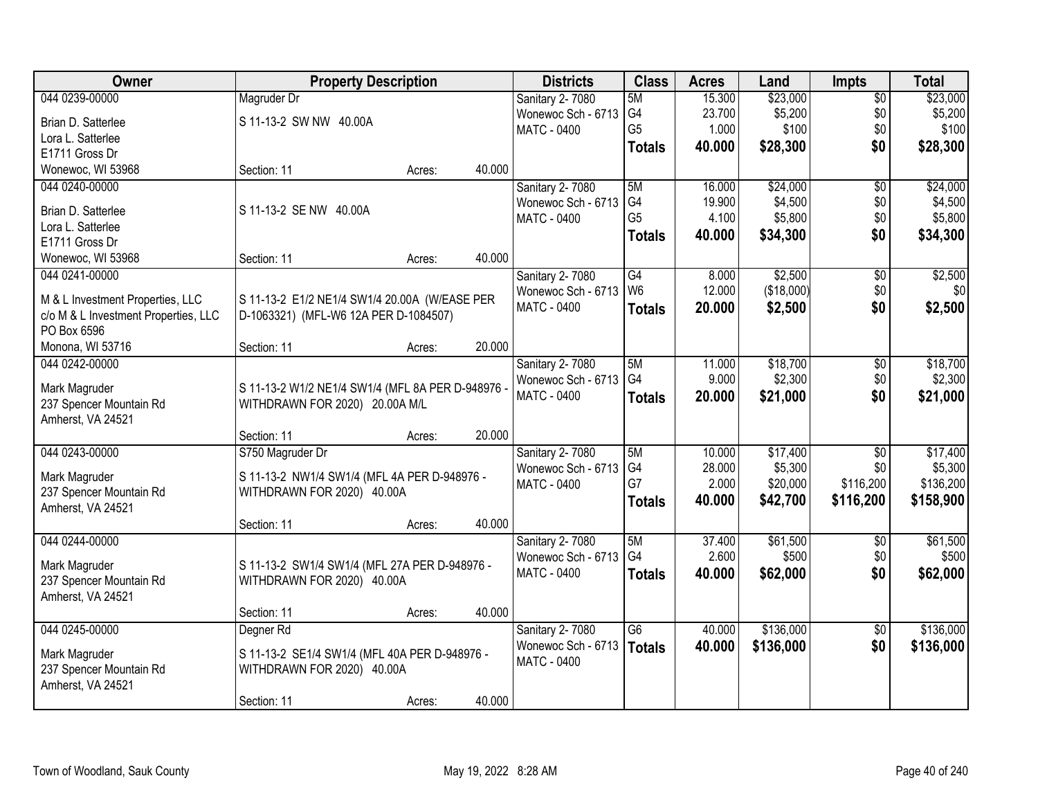| <b>Owner</b>                                 | <b>Property Description</b>                       |        |        | <b>Districts</b>                      | <b>Class</b>    | <b>Acres</b> | Land       | <b>Impts</b>    | <b>Total</b> |
|----------------------------------------------|---------------------------------------------------|--------|--------|---------------------------------------|-----------------|--------------|------------|-----------------|--------------|
| 044 0239-00000                               | Magruder Dr                                       |        |        | Sanitary 2-7080                       | 5M              | 15.300       | \$23,000   | $\overline{50}$ | \$23,000     |
| Brian D. Satterlee                           | S 11-13-2 SW NW 40.00A                            |        |        | Wonewoc Sch - 6713                    | G4              | 23.700       | \$5,200    | \$0             | \$5,200      |
| Lora L. Satterlee                            |                                                   |        |        | <b>MATC - 0400</b>                    | G <sub>5</sub>  | 1.000        | \$100      | \$0             | \$100        |
| E1711 Gross Dr                               |                                                   |        |        |                                       | <b>Totals</b>   | 40.000       | \$28,300   | \$0             | \$28,300     |
| Wonewoc, WI 53968                            | Section: 11                                       | Acres: | 40.000 |                                       |                 |              |            |                 |              |
| 044 0240-00000                               |                                                   |        |        | Sanitary 2-7080                       | 5M              | 16.000       | \$24,000   | $\overline{50}$ | \$24,000     |
|                                              |                                                   |        |        | Wonewoc Sch - 6713                    | G <sub>4</sub>  | 19.900       | \$4,500    | \$0             | \$4,500      |
| Brian D. Satterlee                           | S 11-13-2 SE NW 40.00A                            |        |        | <b>MATC - 0400</b>                    | G <sub>5</sub>  | 4.100        | \$5,800    | \$0             | \$5,800      |
| Lora L. Satterlee                            |                                                   |        |        |                                       | <b>Totals</b>   | 40.000       | \$34,300   | \$0             | \$34,300     |
| E1711 Gross Dr                               |                                                   |        |        |                                       |                 |              |            |                 |              |
| Wonewoc, WI 53968                            | Section: 11                                       | Acres: | 40.000 |                                       |                 |              |            |                 |              |
| 044 0241-00000                               |                                                   |        |        | Sanitary 2-7080                       | G4              | 8.000        | \$2,500    | \$0             | \$2,500      |
| M & L Investment Properties, LLC             | S 11-13-2 E1/2 NE1/4 SW1/4 20.00A (W/EASE PER     |        |        | Wonewoc Sch - 6713                    | W <sub>6</sub>  | 12.000       | (\$18,000) | \$0             | \$0          |
| c/o M & L Investment Properties, LLC         | D-1063321) (MFL-W6 12A PER D-1084507)             |        |        | MATC - 0400                           | <b>Totals</b>   | 20.000       | \$2,500    | \$0             | \$2,500      |
| PO Box 6596                                  |                                                   |        |        |                                       |                 |              |            |                 |              |
| Monona, WI 53716                             | Section: 11                                       | Acres: | 20.000 |                                       |                 |              |            |                 |              |
| 044 0242-00000                               |                                                   |        |        | Sanitary 2-7080                       | 5M              | 11.000       | \$18,700   | \$0             | \$18,700     |
|                                              |                                                   |        |        | Wonewoc Sch - 6713                    | G <sub>4</sub>  | 9.000        | \$2,300    | \$0             | \$2,300      |
| Mark Magruder                                | S 11-13-2 W1/2 NE1/4 SW1/4 (MFL 8A PER D-948976 - |        |        | MATC - 0400                           | <b>Totals</b>   | 20.000       | \$21,000   | \$0             | \$21,000     |
| 237 Spencer Mountain Rd<br>Amherst, VA 24521 | WITHDRAWN FOR 2020) 20.00A M/L                    |        |        |                                       |                 |              |            |                 |              |
|                                              | Section: 11                                       |        | 20.000 |                                       |                 |              |            |                 |              |
| 044 0243-00000                               | S750 Magruder Dr                                  | Acres: |        |                                       | 5M              | 10.000       | \$17,400   | $\overline{50}$ | \$17,400     |
|                                              |                                                   |        |        | Sanitary 2-7080<br>Wonewoc Sch - 6713 | G4              | 28.000       | \$5,300    | \$0             | \$5,300      |
| Mark Magruder                                | S 11-13-2 NW1/4 SW1/4 (MFL 4A PER D-948976 -      |        |        | MATC - 0400                           | G7              | 2.000        | \$20,000   | \$116,200       | \$136,200    |
| 237 Spencer Mountain Rd                      | WITHDRAWN FOR 2020) 40.00A                        |        |        |                                       |                 | 40.000       | \$42,700   | \$116,200       | \$158,900    |
| Amherst, VA 24521                            |                                                   |        |        |                                       | <b>Totals</b>   |              |            |                 |              |
|                                              | Section: 11                                       | Acres: | 40.000 |                                       |                 |              |            |                 |              |
| 044 0244-00000                               |                                                   |        |        | Sanitary 2-7080                       | 5M              | 37.400       | \$61,500   | \$0             | \$61,500     |
| Mark Magruder                                | S 11-13-2 SW1/4 SW1/4 (MFL 27A PER D-948976 -     |        |        | Wonewoc Sch - 6713                    | G4              | 2.600        | \$500      | \$0             | \$500        |
| 237 Spencer Mountain Rd                      | WITHDRAWN FOR 2020) 40.00A                        |        |        | MATC - 0400                           | <b>Totals</b>   | 40.000       | \$62,000   | \$0             | \$62,000     |
| Amherst, VA 24521                            |                                                   |        |        |                                       |                 |              |            |                 |              |
|                                              | Section: 11                                       | Acres: | 40.000 |                                       |                 |              |            |                 |              |
| 044 0245-00000                               | Degner Rd                                         |        |        | Sanitary 2-7080                       | $\overline{G6}$ | 40.000       | \$136,000  | $\overline{30}$ | \$136,000    |
|                                              |                                                   |        |        | Wonewoc Sch - 6713                    | <b>Totals</b>   | 40.000       | \$136,000  | \$0             | \$136,000    |
| Mark Magruder                                | S 11-13-2 SE1/4 SW1/4 (MFL 40A PER D-948976 -     |        |        | MATC - 0400                           |                 |              |            |                 |              |
| 237 Spencer Mountain Rd                      | WITHDRAWN FOR 2020) 40.00A                        |        |        |                                       |                 |              |            |                 |              |
| Amherst, VA 24521                            |                                                   |        |        |                                       |                 |              |            |                 |              |
|                                              | Section: 11                                       | Acres: | 40.000 |                                       |                 |              |            |                 |              |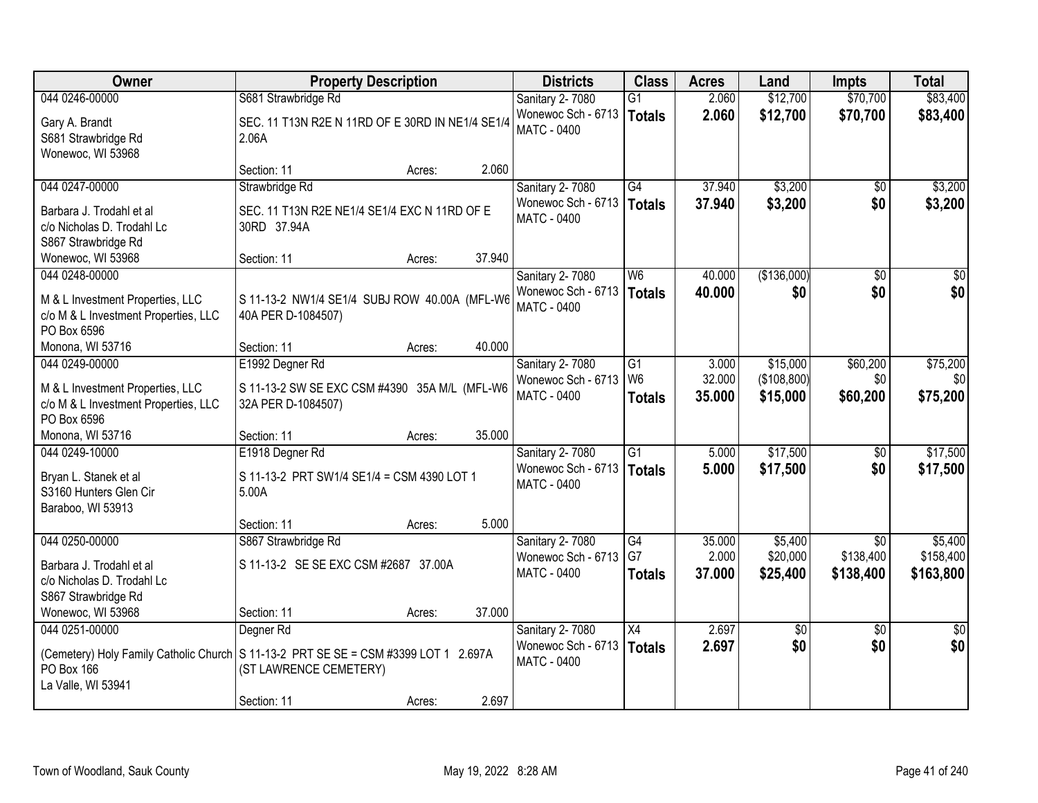| Owner                                                                                   | <b>Property Description</b>                                                                                                                           |        | <b>Districts</b>                                              | <b>Class</b>                    | <b>Acres</b>     | Land                    | <b>Impts</b>           | <b>Total</b>           |
|-----------------------------------------------------------------------------------------|-------------------------------------------------------------------------------------------------------------------------------------------------------|--------|---------------------------------------------------------------|---------------------------------|------------------|-------------------------|------------------------|------------------------|
| 044 0246-00000                                                                          | S681 Strawbridge Rd                                                                                                                                   |        | Sanitary 2-7080                                               | $\overline{G1}$                 | 2.060            | \$12,700                | \$70,700               | \$83,400               |
| Gary A. Brandt<br>S681 Strawbridge Rd<br>Wonewoc, WI 53968                              | SEC. 11 T13N R2E N 11RD OF E 30RD IN NE1/4 SE1/4<br>2.06A                                                                                             |        | Wonewoc Sch - 6713<br><b>MATC - 0400</b>                      | Totals                          | 2.060            | \$12,700                | \$70,700               | \$83,400               |
|                                                                                         | Section: 11<br>Acres:                                                                                                                                 | 2.060  |                                                               |                                 |                  |                         |                        |                        |
| 044 0247-00000                                                                          | Strawbridge Rd                                                                                                                                        |        | Sanitary 2-7080                                               | G4                              | 37.940           | \$3,200                 | \$0                    | \$3,200                |
| Barbara J. Trodahl et al<br>c/o Nicholas D. Trodahl Lc<br>S867 Strawbridge Rd           | SEC. 11 T13N R2E NE1/4 SE1/4 EXC N 11RD OF E<br>30RD 37.94A                                                                                           |        | Wonewoc Sch - 6713   Totals<br><b>MATC - 0400</b>             |                                 | 37.940           | \$3,200                 | \$0                    | \$3,200                |
| Wonewoc, WI 53968                                                                       | Section: 11<br>Acres:                                                                                                                                 | 37.940 |                                                               |                                 |                  |                         |                        |                        |
| 044 0248-00000                                                                          |                                                                                                                                                       |        | Sanitary 2-7080                                               | W <sub>6</sub>                  | 40.000           | (\$136,000)             | \$0                    | \$0                    |
| M & L Investment Properties, LLC<br>c/o M & L Investment Properties, LLC<br>PO Box 6596 | S 11-13-2 NW1/4 SE1/4 SUBJ ROW 40.00A (MFL-W6<br>40A PER D-1084507)                                                                                   |        | Wonewoc Sch - 6713<br><b>MATC - 0400</b>                      | Totals                          | 40.000           | \$0                     | \$0                    | \$0                    |
| Monona, WI 53716                                                                        | Section: 11<br>Acres:                                                                                                                                 | 40.000 |                                                               |                                 |                  |                         |                        |                        |
| 044 0249-00000                                                                          | E1992 Degner Rd                                                                                                                                       |        | Sanitary 2-7080                                               | $\overline{G1}$                 | 3.000            | \$15,000                | \$60,200               | \$75,200               |
| M & L Investment Properties, LLC<br>c/o M & L Investment Properties, LLC<br>PO Box 6596 | S 11-13-2 SW SE EXC CSM #4390 35A M/L (MFL-W6<br>32A PER D-1084507)                                                                                   |        | Wonewoc Sch - 6713<br>MATC - 0400                             | W <sub>6</sub><br><b>Totals</b> | 32.000<br>35.000 | (\$108,800)<br>\$15,000 | \$0<br>\$60,200        | \$0<br>\$75,200        |
| Monona, WI 53716                                                                        | Section: 11<br>Acres:                                                                                                                                 | 35.000 |                                                               |                                 |                  |                         |                        |                        |
| 044 0249-10000<br>Bryan L. Stanek et al<br>S3160 Hunters Glen Cir<br>Baraboo, WI 53913  | E1918 Degner Rd<br>S 11-13-2 PRT SW1/4 SE1/4 = CSM 4390 LOT 1<br>5.00A                                                                                |        | Sanitary 2-7080<br>Wonewoc Sch - 6713<br>MATC - 0400          | $\overline{G1}$<br>Totals       | 5.000<br>5.000   | \$17,500<br>\$17,500    | $\overline{60}$<br>\$0 | \$17,500<br>\$17,500   |
|                                                                                         | Section: 11<br>Acres:                                                                                                                                 | 5.000  |                                                               |                                 |                  |                         |                        |                        |
| 044 0250-00000                                                                          | S867 Strawbridge Rd                                                                                                                                   |        | Sanitary 2-7080                                               | G4                              | 35.000           | \$5,400                 | $\overline{50}$        | \$5,400                |
| Barbara J. Trodahl et al<br>c/o Nicholas D. Trodahl Lc<br>S867 Strawbridge Rd           | S 11-13-2 SE SE EXC CSM #2687 37.00A                                                                                                                  |        | Wonewoc Sch - 6713<br><b>MATC - 0400</b>                      | G7<br><b>Totals</b>             | 2.000<br>37.000  | \$20,000<br>\$25,400    | \$138,400<br>\$138,400 | \$158,400<br>\$163,800 |
| Wonewoc, WI 53968                                                                       | Section: 11<br>Acres:                                                                                                                                 | 37.000 |                                                               |                                 |                  |                         |                        |                        |
| 044 0251-00000<br>PO Box 166<br>La Valle, WI 53941                                      | Degner Rd<br>(Cemetery) Holy Family Catholic Church   S 11-13-2 PRT SE SE = CSM #3399 LOT 1 2.697A<br>(ST LAWRENCE CEMETERY)<br>Section: 11<br>Acres: | 2.697  | Sanitary 2-7080<br>Wonewoc Sch - 6713   Totals<br>MATC - 0400 | X4                              | 2.697<br>2.697   | $\sqrt{$0}$<br>\$0      | $\overline{50}$<br>\$0 | $\overline{50}$<br>\$0 |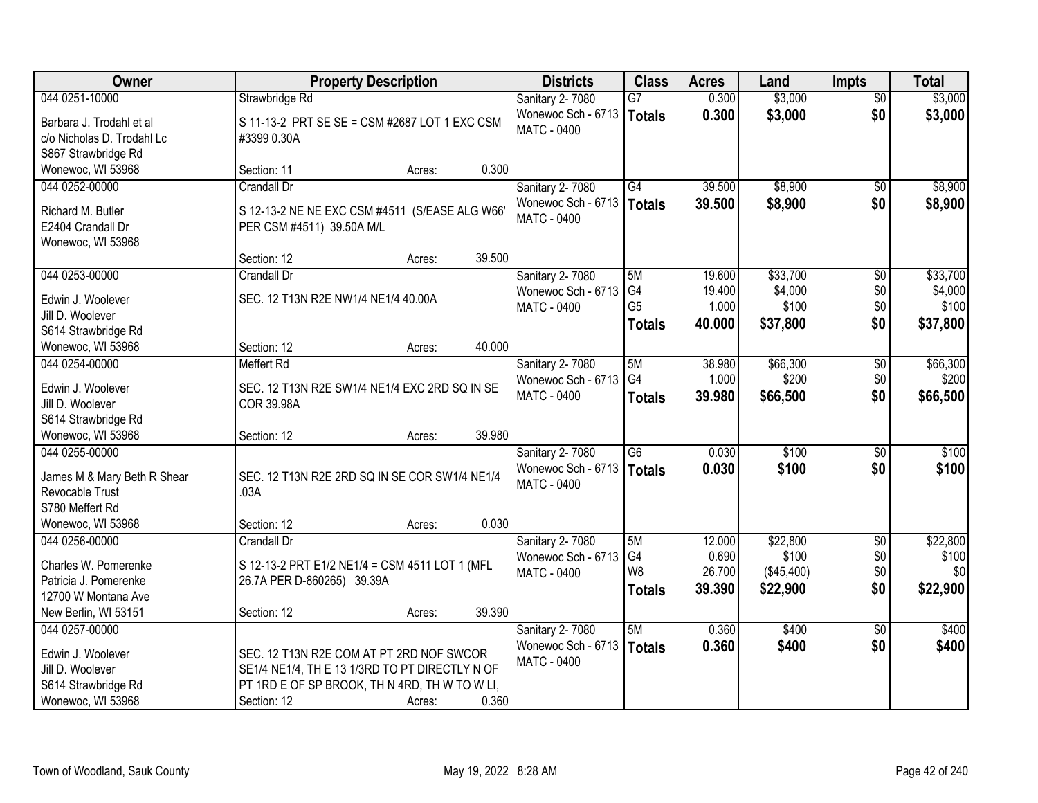| <b>Owner</b>                                                                  | <b>Property Description</b>                                          |                  | <b>Districts</b>                                     | <b>Class</b>                          | <b>Acres</b>              | Land                         | <b>Impts</b>           | <b>Total</b>                 |
|-------------------------------------------------------------------------------|----------------------------------------------------------------------|------------------|------------------------------------------------------|---------------------------------------|---------------------------|------------------------------|------------------------|------------------------------|
| 044 0251-10000                                                                | Strawbridge Rd                                                       |                  | Sanitary 2-7080                                      | $\overline{G7}$                       | 0.300                     | \$3,000                      | \$0                    | \$3,000                      |
| Barbara J. Trodahl et al<br>c/o Nicholas D. Trodahl Lc<br>S867 Strawbridge Rd | S 11-13-2 PRT SE SE = CSM #2687 LOT 1 EXC CSM<br>#3399 0.30A         |                  | Wonewoc Sch - 6713<br><b>MATC - 0400</b>             | <b>Totals</b>                         | 0.300                     | \$3,000                      | \$0                    | \$3,000                      |
| Wonewoc, WI 53968                                                             | Section: 11                                                          | 0.300<br>Acres:  |                                                      |                                       |                           |                              |                        |                              |
| 044 0252-00000<br>Richard M. Butler                                           | <b>Crandall Dr</b><br>S 12-13-2 NE NE EXC CSM #4511 (S/EASE ALG W66' |                  | Sanitary 2-7080<br>Wonewoc Sch - 6713<br>MATC - 0400 | $\overline{G4}$<br>Totals             | 39.500<br>39.500          | \$8,900<br>\$8,900           | $\overline{50}$<br>\$0 | \$8,900<br>\$8,900           |
| E2404 Crandall Dr<br>Wonewoc, WI 53968                                        | PER CSM #4511) 39.50A M/L<br>Section: 12                             | 39.500<br>Acres: |                                                      |                                       |                           |                              |                        |                              |
| 044 0253-00000                                                                | Crandall Dr                                                          |                  | <b>Sanitary 2-7080</b>                               | 5M                                    | 19.600                    | \$33,700                     | \$0                    | \$33,700                     |
| Edwin J. Woolever<br>Jill D. Woolever<br>S614 Strawbridge Rd                  | SEC. 12 T13N R2E NW1/4 NE1/4 40.00A                                  |                  | Wonewoc Sch - 6713<br><b>MATC - 0400</b>             | G4<br>G <sub>5</sub><br><b>Totals</b> | 19.400<br>1.000<br>40.000 | \$4,000<br>\$100<br>\$37,800 | \$0<br>\$0<br>\$0      | \$4,000<br>\$100<br>\$37,800 |
| Wonewoc, WI 53968                                                             | Section: 12                                                          | 40.000<br>Acres: |                                                      |                                       |                           |                              |                        |                              |
| 044 0254-00000                                                                | <b>Meffert Rd</b>                                                    |                  | Sanitary 2-7080<br>Wonewoc Sch - 6713                | 5M<br>G4                              | 38.980<br>1.000           | \$66,300<br>\$200            | \$0<br>\$0             | \$66,300<br>\$200            |
| Edwin J. Woolever<br>Jill D. Woolever<br>S614 Strawbridge Rd                  | SEC. 12 T13N R2E SW1/4 NE1/4 EXC 2RD SQ IN SE<br><b>COR 39.98A</b>   |                  | <b>MATC - 0400</b>                                   | <b>Totals</b>                         | 39.980                    | \$66,500                     | \$0                    | \$66,500                     |
| Wonewoc, WI 53968                                                             | Section: 12                                                          | 39.980<br>Acres: |                                                      |                                       |                           |                              |                        |                              |
| 044 0255-00000<br>James M & Mary Beth R Shear                                 | SEC. 12 T13N R2E 2RD SQ IN SE COR SW1/4 NE1/4                        |                  | <b>Sanitary 2-7080</b><br>Wonewoc Sch - 6713         | $\overline{G6}$<br><b>Totals</b>      | 0.030<br>0.030            | \$100<br>\$100               | \$0<br>\$0             | \$100<br>\$100               |
| Revocable Trust<br>S780 Meffert Rd                                            | .03A                                                                 |                  | MATC - 0400                                          |                                       |                           |                              |                        |                              |
| Wonewoc, WI 53968                                                             | Section: 12                                                          | 0.030<br>Acres:  |                                                      |                                       |                           |                              |                        |                              |
| 044 0256-00000                                                                | Crandall Dr                                                          |                  | <b>Sanitary 2-7080</b>                               | 5M                                    | 12.000                    | \$22,800                     | $\overline{50}$        | \$22,800                     |
| Charles W. Pomerenke                                                          | S 12-13-2 PRT E1/2 NE1/4 = CSM 4511 LOT 1 (MFL                       |                  | Wonewoc Sch - 6713                                   | G4<br>W <sub>8</sub>                  | 0.690<br>26.700           | \$100<br>(\$45,400)          | \$0<br>\$0             | \$100<br>\$0                 |
| Patricia J. Pomerenke                                                         | 26.7A PER D-860265) 39.39A                                           |                  | MATC - 0400                                          | <b>Totals</b>                         | 39.390                    | \$22,900                     | \$0                    | \$22,900                     |
| 12700 W Montana Ave                                                           |                                                                      |                  |                                                      |                                       |                           |                              |                        |                              |
| New Berlin, WI 53151                                                          | Section: 12                                                          | 39.390<br>Acres: |                                                      |                                       |                           |                              |                        |                              |
| 044 0257-00000                                                                |                                                                      |                  | Sanitary 2-7080                                      | 5M                                    | 0.360                     | \$400                        | $\overline{50}$        | \$400                        |
| Edwin J. Woolever                                                             | SEC. 12 T13N R2E COM AT PT 2RD NOF SWCOR                             |                  | Wonewoc Sch - 6713                                   | <b>Totals</b>                         | 0.360                     | \$400                        | \$0                    | \$400                        |
| Jill D. Woolever                                                              | SE1/4 NE1/4, TH E 13 1/3RD TO PT DIRECTLY N OF                       |                  | <b>MATC - 0400</b>                                   |                                       |                           |                              |                        |                              |
| S614 Strawbridge Rd                                                           | PT 1RD E OF SP BROOK, TH N 4RD, TH W TO W LI,                        |                  |                                                      |                                       |                           |                              |                        |                              |
| Wonewoc, WI 53968                                                             | Section: 12                                                          | 0.360<br>Acres:  |                                                      |                                       |                           |                              |                        |                              |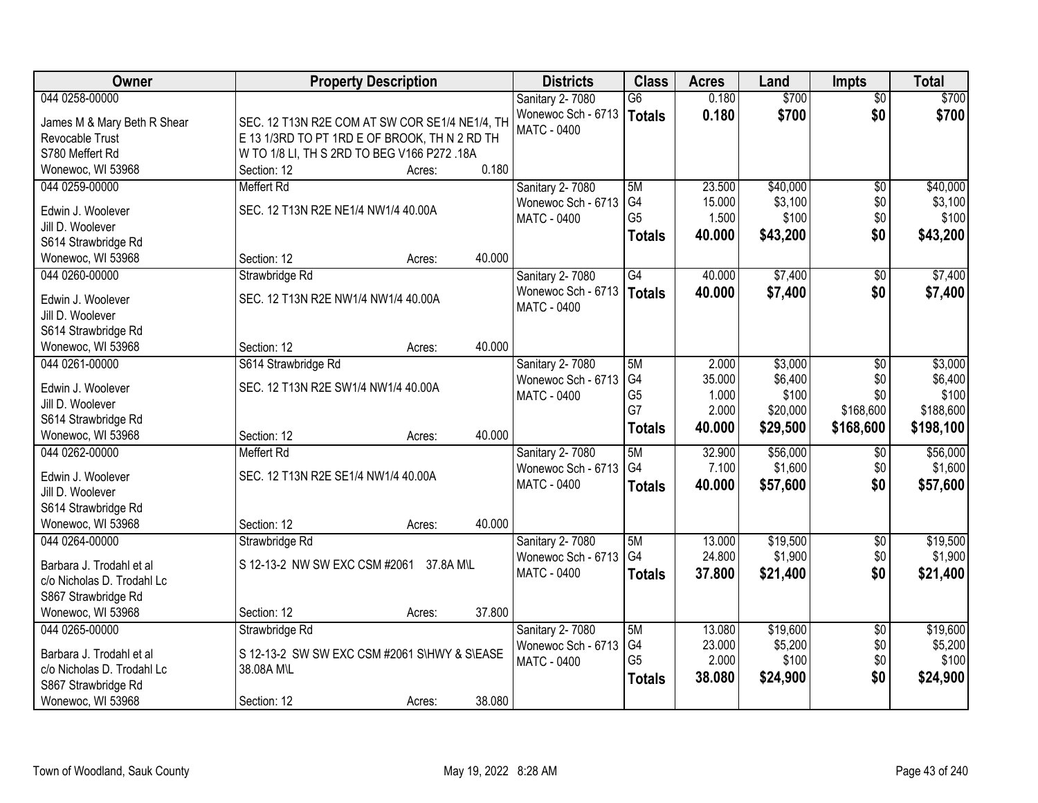| <b>Owner</b>                             | <b>Property Description</b>                    | <b>Districts</b>                  | <b>Class</b>         | <b>Acres</b>    | Land             | <b>Impts</b>    | <b>Total</b>     |
|------------------------------------------|------------------------------------------------|-----------------------------------|----------------------|-----------------|------------------|-----------------|------------------|
| 044 0258-00000                           |                                                | Sanitary 2-7080                   | $\overline{G6}$      | 0.180           | \$700            | $\overline{50}$ | \$700            |
| James M & Mary Beth R Shear              | SEC. 12 T13N R2E COM AT SW COR SE1/4 NE1/4, TH | Wonewoc Sch - 6713                | <b>Totals</b>        | 0.180           | \$700            | \$0             | \$700            |
| Revocable Trust                          | E 13 1/3RD TO PT 1RD E OF BROOK, TH N 2 RD TH  | MATC - 0400                       |                      |                 |                  |                 |                  |
| S780 Meffert Rd                          | W TO 1/8 LI, TH S 2RD TO BEG V166 P272 .18A    |                                   |                      |                 |                  |                 |                  |
| Wonewoc, WI 53968                        | 0.180<br>Section: 12<br>Acres:                 |                                   |                      |                 |                  |                 |                  |
| 044 0259-00000                           | <b>Meffert Rd</b>                              | Sanitary 2-7080                   | 5M                   | 23.500          | \$40,000         | $\overline{50}$ | \$40,000         |
| Edwin J. Woolever                        | SEC. 12 T13N R2E NE1/4 NW1/4 40.00A            | Wonewoc Sch - 6713                | G <sub>4</sub>       | 15.000          | \$3,100          | \$0             | \$3,100          |
| Jill D. Woolever                         |                                                | MATC - 0400                       | G <sub>5</sub>       | 1.500           | \$100            | \$0             | \$100            |
| S614 Strawbridge Rd                      |                                                |                                   | <b>Totals</b>        | 40.000          | \$43,200         | \$0             | \$43,200         |
| Wonewoc, WI 53968                        | 40.000<br>Section: 12<br>Acres:                |                                   |                      |                 |                  |                 |                  |
| 044 0260-00000                           | Strawbridge Rd                                 | <b>Sanitary 2-7080</b>            | G4                   | 40.000          | \$7,400          | $\sqrt[6]{}$    | \$7,400          |
|                                          |                                                | Wonewoc Sch - 6713                | Totals               | 40.000          | \$7,400          | \$0             | \$7,400          |
| Edwin J. Woolever                        | SEC. 12 T13N R2E NW1/4 NW1/4 40.00A            | MATC - 0400                       |                      |                 |                  |                 |                  |
| Jill D. Woolever                         |                                                |                                   |                      |                 |                  |                 |                  |
| S614 Strawbridge Rd                      |                                                |                                   |                      |                 |                  |                 |                  |
| Wonewoc, WI 53968                        | 40.000<br>Section: 12<br>Acres:                |                                   |                      |                 |                  |                 |                  |
| 044 0261-00000                           | S614 Strawbridge Rd                            | Sanitary 2-7080                   | 5M                   | 2.000           | \$3,000          | \$0             | \$3,000          |
| Edwin J. Woolever                        | SEC. 12 T13N R2E SW1/4 NW1/4 40.00A            | Wonewoc Sch - 6713<br>MATC - 0400 | G4<br>G <sub>5</sub> | 35.000<br>1.000 | \$6,400<br>\$100 | \$0<br>\$0      | \$6,400<br>\$100 |
| Jill D. Woolever                         |                                                |                                   | G7                   | 2.000           | \$20,000         | \$168,600       | \$188,600        |
| S614 Strawbridge Rd                      |                                                |                                   | <b>Totals</b>        | 40.000          | \$29,500         | \$168,600       | \$198,100        |
| Wonewoc, WI 53968                        | 40.000<br>Section: 12<br>Acres:                |                                   |                      |                 |                  |                 |                  |
| 044 0262-00000                           | <b>Meffert Rd</b>                              | Sanitary 2-7080                   | 5M                   | 32.900          | \$56,000         | \$0             | \$56,000         |
| Edwin J. Woolever                        | SEC. 12 T13N R2E SE1/4 NW1/4 40.00A            | Wonewoc Sch - 6713                | G4                   | 7.100           | \$1,600          | \$0             | \$1,600          |
| Jill D. Woolever                         |                                                | MATC - 0400                       | <b>Totals</b>        | 40.000          | \$57,600         | \$0             | \$57,600         |
| S614 Strawbridge Rd                      |                                                |                                   |                      |                 |                  |                 |                  |
| Wonewoc, WI 53968                        | 40.000<br>Section: 12<br>Acres:                |                                   |                      |                 |                  |                 |                  |
| 044 0264-00000                           | Strawbridge Rd                                 | Sanitary 2-7080                   | 5M                   | 13.000          | \$19,500         | $\overline{$0}$ | \$19,500         |
|                                          | S 12-13-2 NW SW EXC CSM #2061<br>37.8A M\L     | Wonewoc Sch - 6713                | G4                   | 24.800          | \$1,900          | \$0             | \$1,900          |
| Barbara J. Trodahl et al                 |                                                | <b>MATC - 0400</b>                | <b>Totals</b>        | 37.800          | \$21,400         | \$0             | \$21,400         |
| c/o Nicholas D. Trodahl Lc               |                                                |                                   |                      |                 |                  |                 |                  |
| S867 Strawbridge Rd<br>Wonewoc, WI 53968 | 37.800<br>Section: 12<br>Acres:                |                                   |                      |                 |                  |                 |                  |
| 044 0265-00000                           | Strawbridge Rd                                 | Sanitary 2-7080                   | 5M                   | 13.080          | \$19,600         | $\overline{50}$ | \$19,600         |
|                                          |                                                | Wonewoc Sch - 6713                | G4                   | 23.000          | \$5,200          | \$0             | \$5,200          |
| Barbara J. Trodahl et al                 | S 12-13-2 SW SW EXC CSM #2061 S\HWY & S\EASE   | MATC - 0400                       | G <sub>5</sub>       | 2.000           | \$100            | \$0             | \$100            |
| c/o Nicholas D. Trodahl Lc               | 38.08A M\L                                     |                                   | <b>Totals</b>        | 38.080          | \$24,900         | \$0             | \$24,900         |
| S867 Strawbridge Rd                      |                                                |                                   |                      |                 |                  |                 |                  |
| Wonewoc, WI 53968                        | 38.080<br>Section: 12<br>Acres:                |                                   |                      |                 |                  |                 |                  |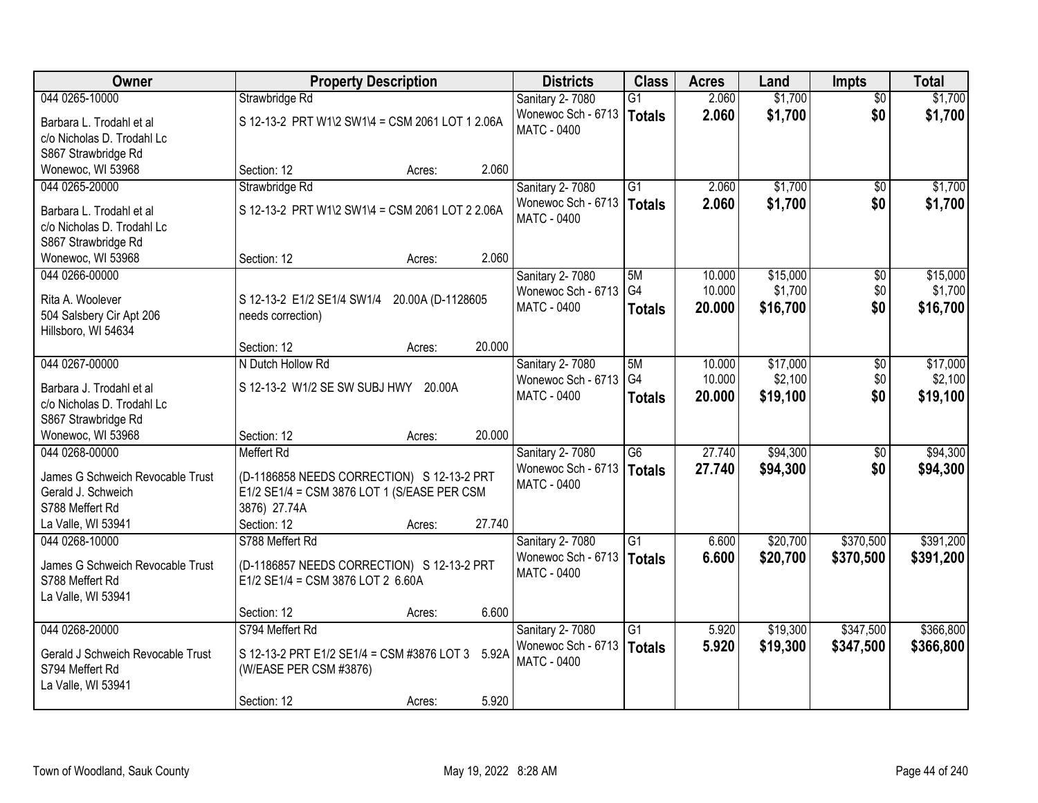| Owner                                                                                        | <b>Property Description</b>                                                                                                    |                   | <b>Districts</b>                                            | <b>Class</b>                     | <b>Acres</b>     | Land                 | <b>Impts</b>           | <b>Total</b>           |
|----------------------------------------------------------------------------------------------|--------------------------------------------------------------------------------------------------------------------------------|-------------------|-------------------------------------------------------------|----------------------------------|------------------|----------------------|------------------------|------------------------|
| 044 0265-10000                                                                               | Strawbridge Rd                                                                                                                 |                   | Sanitary 2-7080                                             | $\overline{G1}$                  | 2.060            | \$1,700              | $\overline{50}$        | \$1,700                |
| Barbara L. Trodahl et al<br>c/o Nicholas D. Trodahl Lc                                       | S 12-13-2 PRT W1\2 SW1\4 = CSM 2061 LOT 1 2.06A                                                                                |                   | Wonewoc Sch - 6713<br><b>MATC - 0400</b>                    | Totals                           | 2.060            | \$1,700              | \$0                    | \$1,700                |
| S867 Strawbridge Rd<br>Wonewoc, WI 53968                                                     | Section: 12                                                                                                                    | 2.060<br>Acres:   |                                                             |                                  |                  |                      |                        |                        |
| 044 0265-20000                                                                               | Strawbridge Rd                                                                                                                 |                   | Sanitary 2-7080                                             | $\overline{G1}$                  | 2.060            | \$1,700              | $\overline{50}$        | \$1,700                |
| Barbara L. Trodahl et al<br>c/o Nicholas D. Trodahl Lc                                       | S 12-13-2 PRT W1\2 SW1\4 = CSM 2061 LOT 2 2.06A                                                                                |                   | Wonewoc Sch - 6713<br>MATC - 0400                           | Totals                           | 2.060            | \$1,700              | \$0                    | \$1,700                |
| S867 Strawbridge Rd<br>Wonewoc, WI 53968                                                     | Section: 12                                                                                                                    | 2.060<br>Acres:   |                                                             |                                  |                  |                      |                        |                        |
| 044 0266-00000                                                                               |                                                                                                                                |                   | Sanitary 2-7080                                             | 5M                               | 10.000           | \$15,000             | \$0                    | \$15,000               |
| Rita A. Woolever<br>504 Salsbery Cir Apt 206<br>Hillsboro, WI 54634                          | S 12-13-2 E1/2 SE1/4 SW1/4<br>needs correction)                                                                                | 20.00A (D-1128605 | Wonewoc Sch - 6713<br>MATC - 0400                           | G4<br><b>Totals</b>              | 10.000<br>20,000 | \$1,700<br>\$16,700  | \$0<br>\$0             | \$1,700<br>\$16,700    |
|                                                                                              | Section: 12                                                                                                                    | 20.000<br>Acres:  |                                                             |                                  |                  |                      |                        |                        |
| 044 0267-00000                                                                               | N Dutch Hollow Rd                                                                                                              |                   | Sanitary 2-7080                                             | 5M                               | 10.000           | \$17,000             | \$0                    | \$17,000               |
| Barbara J. Trodahl et al<br>c/o Nicholas D. Trodahl Lc<br>S867 Strawbridge Rd                | S 12-13-2 W1/2 SE SW SUBJ HWY 20.00A                                                                                           |                   | Wonewoc Sch - 6713<br>MATC - 0400                           | G <sub>4</sub><br><b>Totals</b>  | 10.000<br>20.000 | \$2,100<br>\$19,100  | \$0<br>\$0             | \$2,100<br>\$19,100    |
| Wonewoc, WI 53968                                                                            | Section: 12                                                                                                                    | 20.000<br>Acres:  |                                                             |                                  |                  |                      |                        |                        |
| 044 0268-00000<br>James G Schweich Revocable Trust<br>Gerald J. Schweich<br>S788 Meffert Rd  | <b>Meffert Rd</b><br>(D-1186858 NEEDS CORRECTION) S 12-13-2 PRT<br>E1/2 SE1/4 = CSM 3876 LOT 1 (S/EASE PER CSM<br>3876) 27.74A |                   | Sanitary 2-7080<br>Wonewoc Sch - 6713<br><b>MATC - 0400</b> | $\overline{G6}$<br><b>Totals</b> | 27.740<br>27.740 | \$94,300<br>\$94,300 | $\overline{50}$<br>\$0 | \$94,300<br>\$94,300   |
| La Valle, WI 53941                                                                           | Section: 12                                                                                                                    | 27.740<br>Acres:  |                                                             |                                  |                  |                      |                        |                        |
| 044 0268-10000<br>James G Schweich Revocable Trust<br>S788 Meffert Rd<br>La Valle, WI 53941  | S788 Meffert Rd<br>(D-1186857 NEEDS CORRECTION) S 12-13-2 PRT<br>E1/2 SE1/4 = CSM 3876 LOT 2 6.60A                             |                   | Sanitary 2-7080<br>Wonewoc Sch - 6713<br><b>MATC - 0400</b> | $\overline{G1}$<br><b>Totals</b> | 6.600<br>6.600   | \$20,700<br>\$20,700 | \$370,500<br>\$370,500 | \$391,200<br>\$391,200 |
|                                                                                              | Section: 12                                                                                                                    | 6.600<br>Acres:   |                                                             |                                  |                  |                      |                        |                        |
| 044 0268-20000<br>Gerald J Schweich Revocable Trust<br>S794 Meffert Rd<br>La Valle, WI 53941 | S794 Meffert Rd<br>S 12-13-2 PRT E1/2 SE1/4 = CSM #3876 LOT 3 5.92A<br>(W/EASE PER CSM #3876)<br>Section: 12                   | 5.920<br>Acres:   | Sanitary 2-7080<br>Wonewoc Sch - 6713<br>MATC - 0400        | $\overline{G1}$<br>Totals        | 5.920<br>5.920   | \$19,300<br>\$19,300 | \$347,500<br>\$347,500 | \$366,800<br>\$366,800 |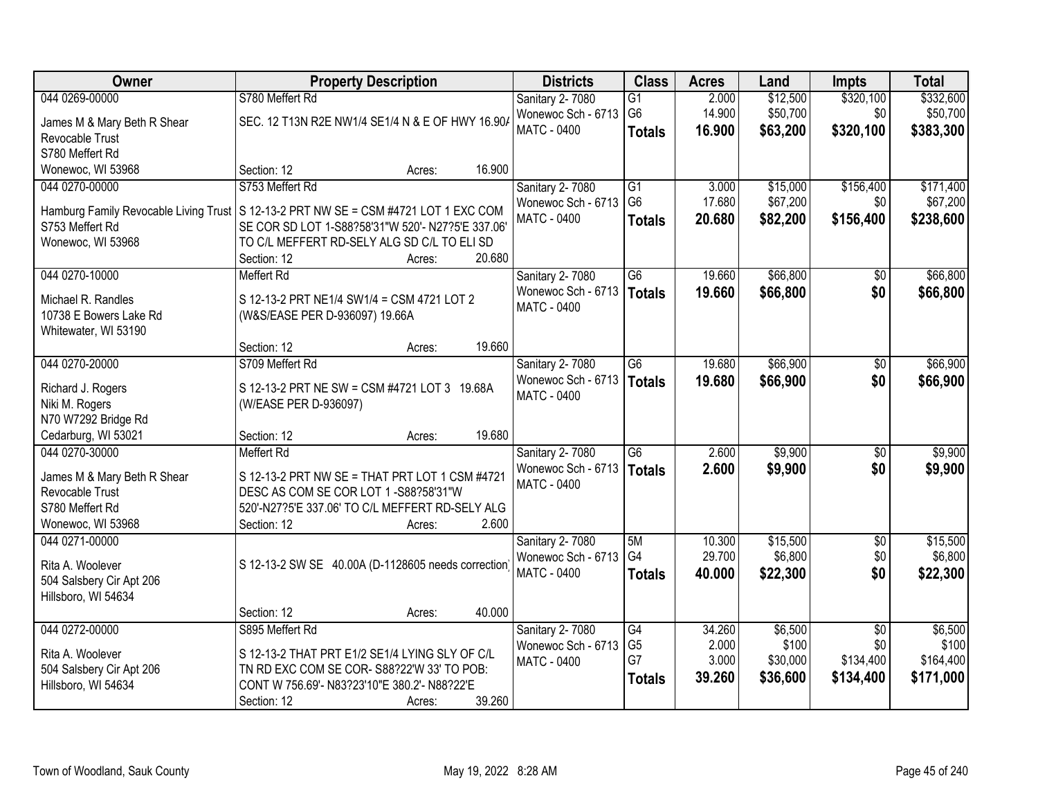| Owner                                                                                 |                                | <b>Property Description</b>                         |        | <b>Districts</b>                      | <b>Class</b>         | <b>Acres</b>     | Land                | <b>Impts</b>           | <b>Total</b>        |
|---------------------------------------------------------------------------------------|--------------------------------|-----------------------------------------------------|--------|---------------------------------------|----------------------|------------------|---------------------|------------------------|---------------------|
| 044 0269-00000                                                                        | S780 Meffert Rd                |                                                     |        | <b>Sanitary 2-7080</b>                | G1                   | 2.000            | \$12,500            | \$320,100              | \$332,600           |
| James M & Mary Beth R Shear                                                           |                                | SEC. 12 T13N R2E NW1/4 SE1/4 N & E OF HWY 16.90/    |        | Wonewoc Sch - 6713                    | G <sub>6</sub>       | 14.900           | \$50,700            | \$0                    | \$50,700            |
| Revocable Trust                                                                       |                                |                                                     |        | MATC - 0400                           | <b>Totals</b>        | 16.900           | \$63,200            | \$320,100              | \$383,300           |
| S780 Meffert Rd                                                                       |                                |                                                     |        |                                       |                      |                  |                     |                        |                     |
| Wonewoc, WI 53968                                                                     | Section: 12                    | Acres:                                              | 16.900 |                                       |                      |                  |                     |                        |                     |
| 044 0270-00000                                                                        | S753 Meffert Rd                |                                                     |        | Sanitary 2-7080                       | $\overline{G1}$      | 3.000            | \$15,000            | \$156,400              | \$171,400           |
| Hamburg Family Revocable Living Trust   S 12-13-2 PRT NW SE = CSM #4721 LOT 1 EXC COM |                                |                                                     |        | Wonewoc Sch - 6713                    | G <sub>6</sub>       | 17.680           | \$67,200            | \$0                    | \$67,200            |
| S753 Meffert Rd                                                                       |                                | SE COR SD LOT 1-S88?58'31"W 520'- N27?5'E 337.06'   |        | MATC - 0400                           | <b>Totals</b>        | 20.680           | \$82,200            | \$156,400              | \$238,600           |
| Wonewoc, WI 53968                                                                     |                                | TO C/L MEFFERT RD-SELY ALG SD C/L TO ELI SD         |        |                                       |                      |                  |                     |                        |                     |
|                                                                                       | Section: 12                    | Acres:                                              | 20.680 |                                       |                      |                  |                     |                        |                     |
| 044 0270-10000                                                                        | <b>Meffert Rd</b>              |                                                     |        | Sanitary 2-7080                       | $\overline{G6}$      | 19.660           | \$66,800            | \$0                    | \$66,800            |
| Michael R. Randles                                                                    |                                |                                                     |        | Wonewoc Sch - 6713                    | <b>Totals</b>        | 19.660           | \$66,800            | \$0                    | \$66,800            |
| 10738 E Bowers Lake Rd                                                                | (W&S/EASE PER D-936097) 19.66A | S 12-13-2 PRT NE1/4 SW1/4 = CSM 4721 LOT 2          |        | <b>MATC - 0400</b>                    |                      |                  |                     |                        |                     |
| Whitewater, WI 53190                                                                  |                                |                                                     |        |                                       |                      |                  |                     |                        |                     |
|                                                                                       | Section: 12                    | Acres:                                              | 19.660 |                                       |                      |                  |                     |                        |                     |
| 044 0270-20000                                                                        | S709 Meffert Rd                |                                                     |        | Sanitary 2-7080                       | $\overline{G6}$      | 19.680           | \$66,900            | \$0                    | \$66,900            |
|                                                                                       |                                |                                                     |        | Wonewoc Sch - 6713                    | <b>Totals</b>        | 19.680           | \$66,900            | \$0                    | \$66,900            |
| Richard J. Rogers                                                                     |                                | S 12-13-2 PRT NE SW = CSM #4721 LOT 3 19.68A        |        | MATC - 0400                           |                      |                  |                     |                        |                     |
| Niki M. Rogers<br>N70 W7292 Bridge Rd                                                 | (W/EASE PER D-936097)          |                                                     |        |                                       |                      |                  |                     |                        |                     |
| Cedarburg, WI 53021                                                                   | Section: 12                    | Acres:                                              | 19.680 |                                       |                      |                  |                     |                        |                     |
| 044 0270-30000                                                                        | <b>Meffert Rd</b>              |                                                     |        | Sanitary 2-7080                       | $\overline{G6}$      | 2.600            | \$9,900             | $\overline{50}$        | \$9,900             |
|                                                                                       |                                |                                                     |        | Wonewoc Sch - 6713                    | <b>Totals</b>        | 2.600            | \$9,900             | \$0                    | \$9,900             |
| James M & Mary Beth R Shear                                                           |                                | S 12-13-2 PRT NW SE = THAT PRT LOT 1 CSM #4721      |        | <b>MATC - 0400</b>                    |                      |                  |                     |                        |                     |
| Revocable Trust                                                                       |                                | DESC AS COM SE COR LOT 1-S88?58'31"W                |        |                                       |                      |                  |                     |                        |                     |
| S780 Meffert Rd                                                                       |                                | 520'-N27?5'E 337.06' TO C/L MEFFERT RD-SELY ALG     |        |                                       |                      |                  |                     |                        |                     |
| Wonewoc, WI 53968                                                                     | Section: 12                    | Acres:                                              | 2.600  |                                       |                      |                  |                     |                        |                     |
| 044 0271-00000                                                                        |                                |                                                     |        | Sanitary 2-7080<br>Wonewoc Sch - 6713 | 5M<br>G4             | 10.300<br>29.700 | \$15,500<br>\$6,800 | $\overline{50}$<br>\$0 | \$15,500<br>\$6,800 |
| Rita A. Woolever                                                                      |                                | S 12-13-2 SW SE 40.00A (D-1128605 needs correction) |        | MATC - 0400                           | <b>Totals</b>        | 40.000           | \$22,300            | \$0                    | \$22,300            |
| 504 Salsbery Cir Apt 206                                                              |                                |                                                     |        |                                       |                      |                  |                     |                        |                     |
| Hillsboro, WI 54634                                                                   |                                |                                                     |        |                                       |                      |                  |                     |                        |                     |
|                                                                                       | Section: 12                    | Acres:                                              | 40.000 |                                       |                      |                  |                     |                        |                     |
| 044 0272-00000                                                                        | S895 Meffert Rd                |                                                     |        | Sanitary 2-7080                       | $\overline{G4}$      | 34.260           | \$6,500             | $\overline{50}$        | \$6,500             |
| Rita A. Woolever                                                                      |                                | S 12-13-2 THAT PRT E1/2 SE1/4 LYING SLY OF C/L      |        | Wonewoc Sch - 6713                    | G <sub>5</sub><br>G7 | 2.000<br>3.000   | \$100               | \$0<br>\$134,400       | \$100               |
| 504 Salsbery Cir Apt 206                                                              |                                | TN RD EXC COM SE COR-S88?22'W 33' TO POB:           |        | <b>MATC - 0400</b>                    |                      | 39.260           | \$30,000            |                        | \$164,400           |
| Hillsboro, WI 54634                                                                   |                                | CONT W 756.69'- N83?23'10"E 380.2'- N88?22'E        |        |                                       | <b>Totals</b>        |                  | \$36,600            | \$134,400              | \$171,000           |
|                                                                                       | Section: 12                    | Acres:                                              | 39.260 |                                       |                      |                  |                     |                        |                     |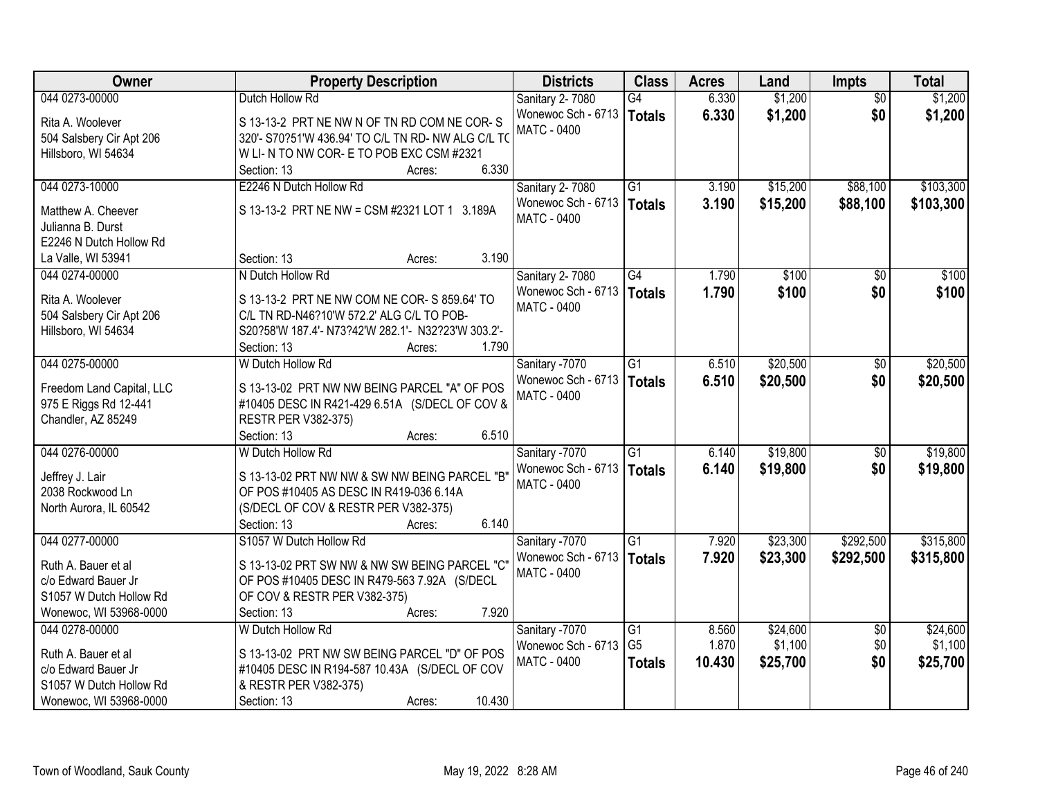| Owner                     | <b>Property Description</b>                        | <b>Districts</b>                         | <b>Class</b>    | <b>Acres</b> | Land     | <b>Impts</b>    | <b>Total</b> |
|---------------------------|----------------------------------------------------|------------------------------------------|-----------------|--------------|----------|-----------------|--------------|
| 044 0273-00000            | Dutch Hollow Rd                                    | Sanitary 2-7080                          | G4              | 6.330        | \$1,200  | $\overline{30}$ | \$1,200      |
| Rita A. Woolever          | S 13-13-2 PRT NE NW N OF TN RD COM NE COR-S        | Wonewoc Sch - 6713                       | <b>Totals</b>   | 6.330        | \$1,200  | \$0             | \$1,200      |
| 504 Salsbery Cir Apt 206  | 320'- S70?51'W 436.94' TO C/L TN RD- NW ALG C/L TO | <b>MATC - 0400</b>                       |                 |              |          |                 |              |
| Hillsboro, WI 54634       | W LI- N TO NW COR- E TO POB EXC CSM #2321          |                                          |                 |              |          |                 |              |
|                           | 6.330<br>Section: 13<br>Acres:                     |                                          |                 |              |          |                 |              |
| 044 0273-10000            | E2246 N Dutch Hollow Rd                            | Sanitary 2-7080                          | $\overline{G1}$ | 3.190        | \$15,200 | \$88,100        | \$103,300    |
|                           |                                                    | Wonewoc Sch - 6713   Totals              |                 | 3.190        | \$15,200 | \$88,100        | \$103,300    |
| Matthew A. Cheever        | S 13-13-2 PRT NE NW = CSM #2321 LOT 1 3.189A       | <b>MATC - 0400</b>                       |                 |              |          |                 |              |
| Julianna B. Durst         |                                                    |                                          |                 |              |          |                 |              |
| E2246 N Dutch Hollow Rd   | 3.190<br>Section: 13                               |                                          |                 |              |          |                 |              |
| La Valle, WI 53941        | Acres:<br>N Dutch Hollow Rd                        |                                          | G4              | 1.790        | \$100    |                 | \$100        |
| 044 0274-00000            |                                                    | Sanitary 2-7080                          |                 |              |          | \$0             |              |
| Rita A. Woolever          | S 13-13-2 PRT NE NW COM NE COR- S 859.64' TO       | Wonewoc Sch - 6713<br>MATC - 0400        | <b>Totals</b>   | 1.790        | \$100    | \$0             | \$100        |
| 504 Salsbery Cir Apt 206  | C/L TN RD-N46?10'W 572.2' ALG C/L TO POB-          |                                          |                 |              |          |                 |              |
| Hillsboro, WI 54634       | S20?58'W 187.4'- N73?42'W 282.1'- N32?23'W 303.2'- |                                          |                 |              |          |                 |              |
|                           | 1.790<br>Section: 13<br>Acres:                     |                                          |                 |              |          |                 |              |
| 044 0275-00000            | W Dutch Hollow Rd                                  | Sanitary -7070                           | $\overline{G1}$ | 6.510        | \$20,500 | $\sqrt[6]{}$    | \$20,500     |
|                           |                                                    | Wonewoc Sch - 6713                       | <b>Totals</b>   | 6.510        | \$20,500 | \$0             | \$20,500     |
| Freedom Land Capital, LLC | S 13-13-02 PRT NW NW BEING PARCEL "A" OF POS       | <b>MATC - 0400</b>                       |                 |              |          |                 |              |
| 975 E Riggs Rd 12-441     | #10405 DESC IN R421-429 6.51A (S/DECL OF COV &     |                                          |                 |              |          |                 |              |
| Chandler, AZ 85249        | <b>RESTR PER V382-375)</b><br>6.510<br>Section: 13 |                                          |                 |              |          |                 |              |
| 044 0276-00000            | Acres:<br>W Dutch Hollow Rd                        |                                          | $\overline{G1}$ | 6.140        | \$19,800 | \$0             | \$19,800     |
|                           |                                                    | Sanitary -7070                           |                 |              |          |                 |              |
| Jeffrey J. Lair           | S 13-13-02 PRT NW NW & SW NW BEING PARCEL "B"      | Wonewoc Sch - 6713<br><b>MATC - 0400</b> | <b>Totals</b>   | 6.140        | \$19,800 | \$0             | \$19,800     |
| 2038 Rockwood Ln          | OF POS #10405 AS DESC IN R419-036 6.14A            |                                          |                 |              |          |                 |              |
| North Aurora, IL 60542    | (S/DECL OF COV & RESTR PER V382-375)               |                                          |                 |              |          |                 |              |
|                           | 6.140<br>Section: 13<br>Acres:                     |                                          |                 |              |          |                 |              |
| 044 0277-00000            | S1057 W Dutch Hollow Rd                            | Sanitary -7070                           | $\overline{G1}$ | 7.920        | \$23,300 | \$292,500       | \$315,800    |
| Ruth A. Bauer et al       | S 13-13-02 PRT SW NW & NW SW BEING PARCEL "C"      | Wonewoc Sch - 6713                       | <b>Totals</b>   | 7.920        | \$23,300 | \$292,500       | \$315,800    |
| c/o Edward Bauer Jr       | OF POS #10405 DESC IN R479-563 7.92A (S/DECL       | MATC - 0400                              |                 |              |          |                 |              |
| S1057 W Dutch Hollow Rd   | OF COV & RESTR PER V382-375)                       |                                          |                 |              |          |                 |              |
| Wonewoc, WI 53968-0000    | 7.920<br>Section: 13<br>Acres:                     |                                          |                 |              |          |                 |              |
| 044 0278-00000            | W Dutch Hollow Rd                                  | Sanitary -7070                           | G1              | 8.560        | \$24,600 | $\overline{30}$ | \$24,600     |
|                           |                                                    | Wonewoc Sch - 6713                       | G <sub>5</sub>  | 1.870        | \$1,100  | \$0             | \$1,100      |
| Ruth A. Bauer et al       | S 13-13-02 PRT NW SW BEING PARCEL "D" OF POS       | MATC - 0400                              |                 | 10.430       | \$25,700 | \$0             | \$25,700     |
| c/o Edward Bauer Jr       | #10405 DESC IN R194-587 10.43A (S/DECL OF COV      |                                          | <b>Totals</b>   |              |          |                 |              |
| S1057 W Dutch Hollow Rd   | & RESTR PER V382-375)                              |                                          |                 |              |          |                 |              |
| Wonewoc, WI 53968-0000    | 10.430<br>Section: 13<br>Acres:                    |                                          |                 |              |          |                 |              |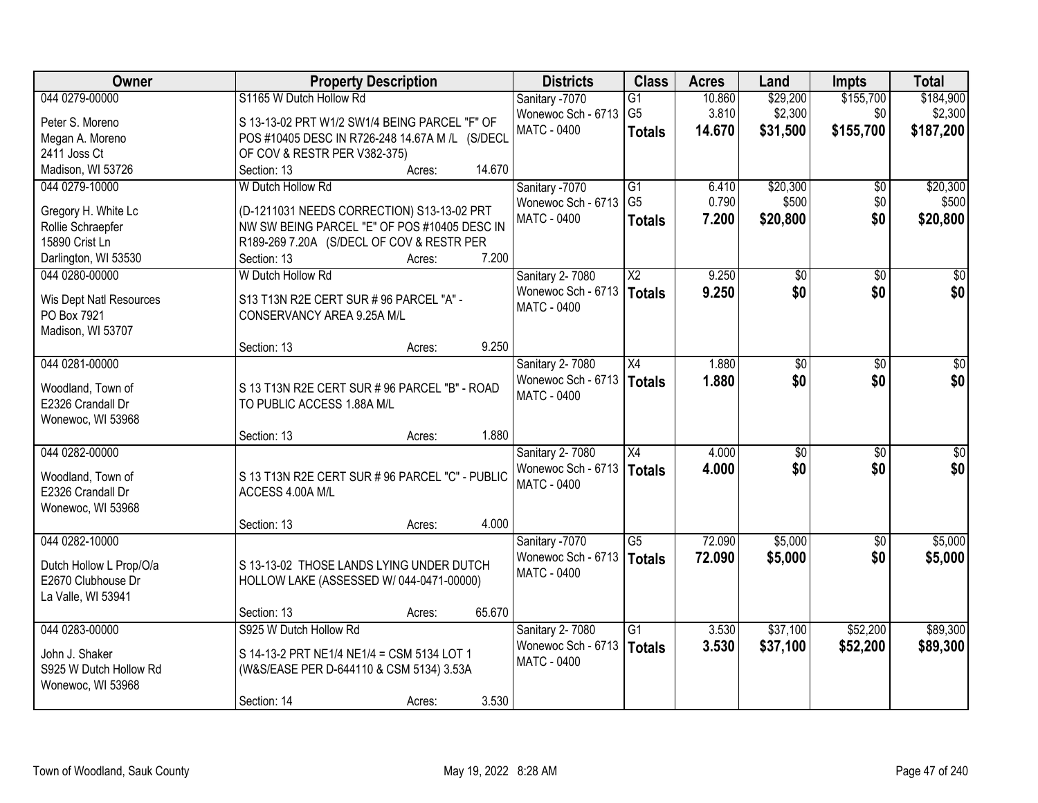| Owner                   | <b>Property Description</b>                     | <b>Districts</b>                                  | <b>Class</b>           | <b>Acres</b> | Land     | <b>Impts</b>    | <b>Total</b> |
|-------------------------|-------------------------------------------------|---------------------------------------------------|------------------------|--------------|----------|-----------------|--------------|
| 044 0279-00000          | S1165 W Dutch Hollow Rd                         | Sanitary -7070                                    | G1                     | 10.860       | \$29,200 | \$155,700       | \$184,900    |
| Peter S. Moreno         | S 13-13-02 PRT W1/2 SW1/4 BEING PARCEL "F" OF   | Wonewoc Sch - 6713 G5                             |                        | 3.810        | \$2,300  | \$0             | \$2,300      |
| Megan A. Moreno         | POS #10405 DESC IN R726-248 14.67A M /L (S/DECL | MATC - 0400                                       | <b>Totals</b>          | 14.670       | \$31,500 | \$155,700       | \$187,200    |
| 2411 Joss Ct            | OF COV & RESTR PER V382-375)                    |                                                   |                        |              |          |                 |              |
| Madison, WI 53726       | 14.670<br>Section: 13<br>Acres:                 |                                                   |                        |              |          |                 |              |
| 044 0279-10000          | W Dutch Hollow Rd                               | Sanitary -7070                                    | G1                     | 6.410        | \$20,300 | \$0             | \$20,300     |
|                         |                                                 | Wonewoc Sch - 6713                                | G <sub>5</sub>         | 0.790        | \$500    | \$0             | \$500        |
| Gregory H. White Lc     | (D-1211031 NEEDS CORRECTION) S13-13-02 PRT      | <b>MATC - 0400</b>                                | <b>Totals</b>          | 7.200        | \$20,800 | \$0             | \$20,800     |
| Rollie Schraepfer       | NW SW BEING PARCEL "E" OF POS #10405 DESC IN    |                                                   |                        |              |          |                 |              |
| 15890 Crist Ln          | R189-269 7.20A (S/DECL OF COV & RESTR PER       |                                                   |                        |              |          |                 |              |
| Darlington, WI 53530    | 7.200<br>Section: 13<br>Acres:                  |                                                   |                        |              |          |                 |              |
| 044 0280-00000          | W Dutch Hollow Rd                               | Sanitary 2-7080                                   | $\overline{\text{X2}}$ | 9.250        | \$0      | \$0             | \$0          |
| Wis Dept Natl Resources | S13 T13N R2E CERT SUR # 96 PARCEL "A" -         | Wonewoc Sch - 6713   Totals                       |                        | 9.250        | \$0      | \$0             | \$0          |
| PO Box 7921             | CONSERVANCY AREA 9.25A M/L                      | <b>MATC - 0400</b>                                |                        |              |          |                 |              |
| Madison, WI 53707       |                                                 |                                                   |                        |              |          |                 |              |
|                         | 9.250<br>Section: 13<br>Acres:                  |                                                   |                        |              |          |                 |              |
| 044 0281-00000          |                                                 | Sanitary 2-7080                                   | X4                     | 1.880        | \$0      | \$0             | \$0          |
|                         |                                                 | Wonewoc Sch - 6713   Totals                       |                        | 1.880        | \$0      | \$0             | \$0          |
| Woodland, Town of       | S 13 T13N R2E CERT SUR # 96 PARCEL "B" - ROAD   | MATC - 0400                                       |                        |              |          |                 |              |
| E2326 Crandall Dr       | TO PUBLIC ACCESS 1.88A M/L                      |                                                   |                        |              |          |                 |              |
| Wonewoc, WI 53968       | 1.880                                           |                                                   |                        |              |          |                 |              |
| 044 0282-00000          | Section: 13<br>Acres:                           |                                                   | X4                     | 4.000        | \$0      | $\overline{50}$ | \$0          |
|                         |                                                 | Sanitary 2-7080                                   |                        |              |          |                 | \$0          |
| Woodland, Town of       | S 13 T13N R2E CERT SUR # 96 PARCEL "C" - PUBLIC | Wonewoc Sch - 6713   Totals<br><b>MATC - 0400</b> |                        | 4.000        | \$0      | \$0             |              |
| E2326 Crandall Dr       | ACCESS 4.00A M/L                                |                                                   |                        |              |          |                 |              |
| Wonewoc, WI 53968       |                                                 |                                                   |                        |              |          |                 |              |
|                         | 4.000<br>Section: 13<br>Acres:                  |                                                   |                        |              |          |                 |              |
| 044 0282-10000          |                                                 | Sanitary -7070                                    | $\overline{G5}$        | 72.090       | \$5,000  | \$0             | \$5,000      |
| Dutch Hollow L Prop/O/a | S 13-13-02 THOSE LANDS LYING UNDER DUTCH        | Wonewoc Sch - 6713                                | <b>Totals</b>          | 72.090       | \$5,000  | \$0             | \$5,000      |
| E2670 Clubhouse Dr      | HOLLOW LAKE (ASSESSED W/044-0471-00000)         | <b>MATC - 0400</b>                                |                        |              |          |                 |              |
| La Valle, WI 53941      |                                                 |                                                   |                        |              |          |                 |              |
|                         | 65.670<br>Section: 13<br>Acres:                 |                                                   |                        |              |          |                 |              |
| 044 0283-00000          | S925 W Dutch Hollow Rd                          | Sanitary 2-7080                                   | $\overline{G1}$        | 3.530        | \$37,100 | \$52,200        | \$89,300     |
|                         |                                                 | Wonewoc Sch - 6713   Totals                       |                        | 3.530        | \$37,100 | \$52,200        | \$89,300     |
| John J. Shaker          | S 14-13-2 PRT NE1/4 NE1/4 = CSM 5134 LOT 1      | <b>MATC - 0400</b>                                |                        |              |          |                 |              |
| S925 W Dutch Hollow Rd  | (W&S/EASE PER D-644110 & CSM 5134) 3.53A        |                                                   |                        |              |          |                 |              |
| Wonewoc, WI 53968       |                                                 |                                                   |                        |              |          |                 |              |
|                         | 3.530<br>Section: 14<br>Acres:                  |                                                   |                        |              |          |                 |              |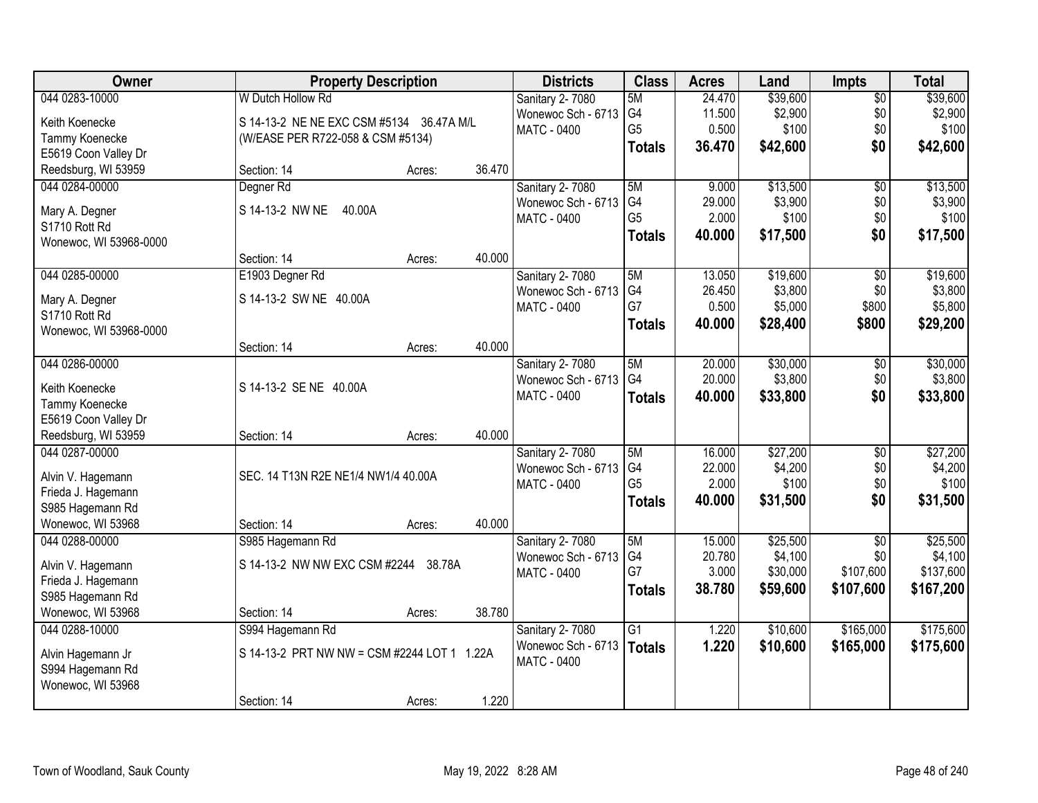| Owner                  |                                             | <b>Property Description</b> |        |                    | <b>Class</b>    | <b>Acres</b> | Land     | <b>Impts</b>    | <b>Total</b> |
|------------------------|---------------------------------------------|-----------------------------|--------|--------------------|-----------------|--------------|----------|-----------------|--------------|
| 044 0283-10000         | W Dutch Hollow Rd                           |                             |        | Sanitary 2-7080    | 5M              | 24.470       | \$39,600 | \$0             | \$39,600     |
| Keith Koenecke         | S 14-13-2 NE NE EXC CSM #5134 36.47A M/L    |                             |        | Wonewoc Sch - 6713 | G4              | 11.500       | \$2,900  | \$0             | \$2,900      |
| Tammy Koenecke         | (W/EASE PER R722-058 & CSM #5134)           |                             |        | MATC - 0400        | G <sub>5</sub>  | 0.500        | \$100    | \$0             | \$100        |
| E5619 Coon Valley Dr   |                                             |                             |        |                    | <b>Totals</b>   | 36.470       | \$42,600 | \$0             | \$42,600     |
| Reedsburg, WI 53959    | Section: 14                                 | Acres:                      | 36.470 |                    |                 |              |          |                 |              |
| 044 0284-00000         | Degner Rd                                   |                             |        | Sanitary 2-7080    | 5M              | 9.000        | \$13,500 | $\overline{50}$ | \$13,500     |
|                        |                                             |                             |        | Wonewoc Sch - 6713 | G <sub>4</sub>  | 29.000       | \$3,900  | \$0             | \$3,900      |
| Mary A. Degner         | S 14-13-2 NW NE<br>40.00A                   |                             |        | MATC - 0400        | G <sub>5</sub>  | 2.000        | \$100    | \$0             | \$100        |
| S1710 Rott Rd          |                                             |                             |        |                    | <b>Totals</b>   | 40.000       | \$17,500 | \$0             | \$17,500     |
| Wonewoc, WI 53968-0000 |                                             |                             |        |                    |                 |              |          |                 |              |
|                        | Section: 14                                 | Acres:                      | 40.000 |                    |                 |              |          |                 |              |
| 044 0285-00000         | E1903 Degner Rd                             |                             |        | Sanitary 2-7080    | 5M              | 13.050       | \$19,600 | \$0             | \$19,600     |
| Mary A. Degner         | S 14-13-2 SW NE 40.00A                      |                             |        | Wonewoc Sch - 6713 | G4<br>G7        | 26.450       | \$3,800  | \$0             | \$3,800      |
| S1710 Rott Rd          |                                             |                             |        | <b>MATC - 0400</b> |                 | 0.500        | \$5,000  | \$800           | \$5,800      |
| Wonewoc, WI 53968-0000 |                                             |                             |        |                    | <b>Totals</b>   | 40.000       | \$28,400 | \$800           | \$29,200     |
|                        | Section: 14                                 | Acres:                      | 40.000 |                    |                 |              |          |                 |              |
| 044 0286-00000         |                                             |                             |        | Sanitary 2-7080    | 5M              | 20.000       | \$30,000 | \$0             | \$30,000     |
| Keith Koenecke         | S 14-13-2 SE NE 40.00A                      |                             |        | Wonewoc Sch - 6713 | G4              | 20.000       | \$3,800  | \$0             | \$3,800      |
| Tammy Koenecke         |                                             |                             |        | <b>MATC - 0400</b> | <b>Totals</b>   | 40.000       | \$33,800 | \$0             | \$33,800     |
| E5619 Coon Valley Dr   |                                             |                             |        |                    |                 |              |          |                 |              |
| Reedsburg, WI 53959    | Section: 14                                 | Acres:                      | 40.000 |                    |                 |              |          |                 |              |
| 044 0287-00000         |                                             |                             |        | Sanitary 2-7080    | 5M              | 16.000       | \$27,200 | $\overline{50}$ | \$27,200     |
|                        |                                             |                             |        | Wonewoc Sch - 6713 | G4              | 22.000       | \$4,200  | \$0             | \$4,200      |
| Alvin V. Hagemann      | SEC. 14 T13N R2E NE1/4 NW1/4 40.00A         |                             |        | <b>MATC - 0400</b> | G <sub>5</sub>  | 2.000        | \$100    | \$0             | \$100        |
| Frieda J. Hagemann     |                                             |                             |        |                    | <b>Totals</b>   | 40.000       | \$31,500 | \$0             | \$31,500     |
| S985 Hagemann Rd       |                                             |                             |        |                    |                 |              |          |                 |              |
| Wonewoc, WI 53968      | Section: 14                                 | Acres:                      | 40.000 |                    |                 |              |          |                 |              |
| 044 0288-00000         | S985 Hagemann Rd                            |                             |        | Sanitary 2-7080    | 5M              | 15.000       | \$25,500 | $\overline{50}$ | \$25,500     |
| Alvin V. Hagemann      | S 14-13-2 NW NW EXC CSM #2244 38.78A        |                             |        | Wonewoc Sch - 6713 | G4              | 20.780       | \$4,100  | \$0             | \$4,100      |
| Frieda J. Hagemann     |                                             |                             |        | <b>MATC - 0400</b> | G7              | 3.000        | \$30,000 | \$107,600       | \$137,600    |
| S985 Hagemann Rd       |                                             |                             |        |                    | <b>Totals</b>   | 38.780       | \$59,600 | \$107,600       | \$167,200    |
| Wonewoc, WI 53968      | Section: 14                                 | Acres:                      | 38.780 |                    |                 |              |          |                 |              |
| 044 0288-10000         | S994 Hagemann Rd                            |                             |        | Sanitary 2-7080    | $\overline{G1}$ | 1.220        | \$10,600 | \$165,000       | \$175,600    |
|                        |                                             |                             |        | Wonewoc Sch - 6713 | Totals          | 1.220        | \$10,600 | \$165,000       | \$175,600    |
| Alvin Hagemann Jr      | S 14-13-2 PRT NW NW = CSM #2244 LOT 1 1.22A |                             |        | <b>MATC - 0400</b> |                 |              |          |                 |              |
| S994 Hagemann Rd       |                                             |                             |        |                    |                 |              |          |                 |              |
| Wonewoc, WI 53968      | Section: 14                                 | Acres:                      | 1.220  |                    |                 |              |          |                 |              |
|                        |                                             |                             |        |                    |                 |              |          |                 |              |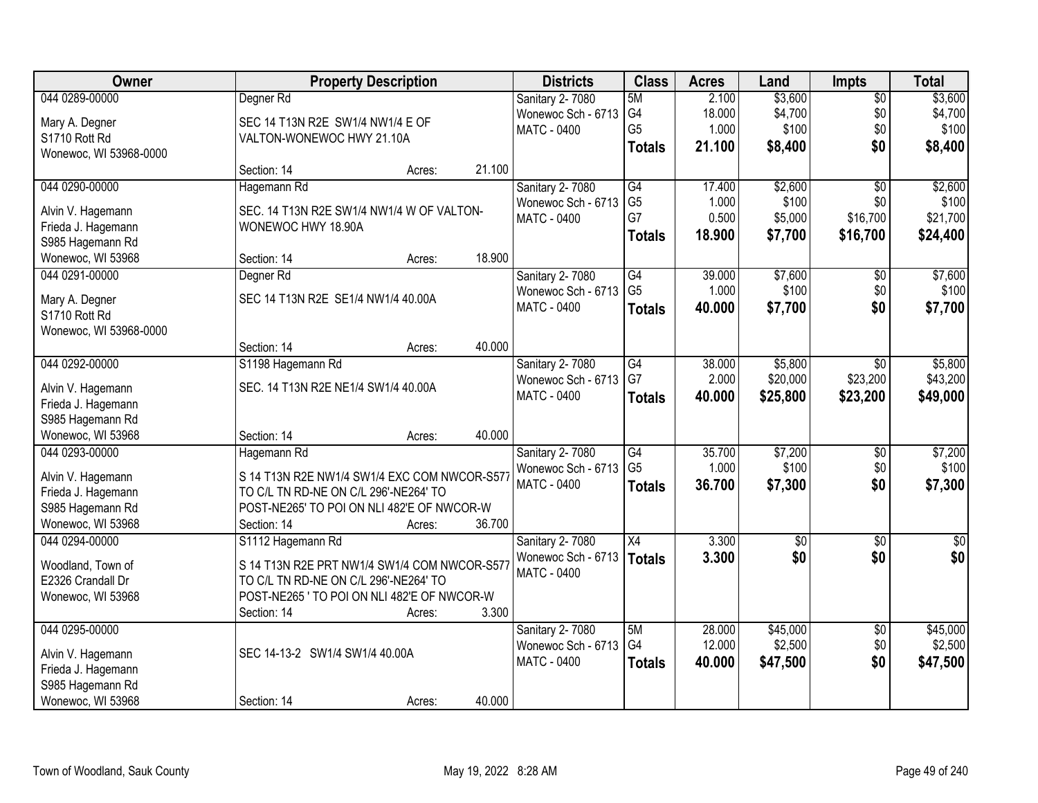| <b>Owner</b>                            | <b>Property Description</b>                  |        | <b>Districts</b>       | <b>Class</b>    | <b>Acres</b> | Land        | Impts           | <b>Total</b> |
|-----------------------------------------|----------------------------------------------|--------|------------------------|-----------------|--------------|-------------|-----------------|--------------|
| 044 0289-00000                          | Degner Rd                                    |        | Sanitary 2-7080        | 5M              | 2.100        | \$3,600     | $\overline{50}$ | \$3,600      |
| Mary A. Degner                          | SEC 14 T13N R2E SW1/4 NW1/4 E OF             |        | Wonewoc Sch - 6713     | G4              | 18.000       | \$4,700     | \$0             | \$4,700      |
| S1710 Rott Rd                           | VALTON-WONEWOC HWY 21.10A                    |        | <b>MATC - 0400</b>     | G <sub>5</sub>  | 1.000        | \$100       | \$0             | \$100        |
| Wonewoc, WI 53968-0000                  |                                              |        |                        | <b>Totals</b>   | 21.100       | \$8,400     | \$0             | \$8,400      |
|                                         | Section: 14<br>Acres:                        | 21.100 |                        |                 |              |             |                 |              |
| 044 0290-00000                          | Hagemann Rd                                  |        | Sanitary 2-7080        | G4              | 17.400       | \$2,600     | $\overline{50}$ | \$2,600      |
| Alvin V. Hagemann                       | SEC. 14 T13N R2E SW1/4 NW1/4 W OF VALTON-    |        | Wonewoc Sch - 6713     | G <sub>5</sub>  | 1.000        | \$100       | \$0             | \$100        |
| Frieda J. Hagemann                      | WONEWOC HWY 18.90A                           |        | <b>MATC - 0400</b>     | G7              | 0.500        | \$5,000     | \$16,700        | \$21,700     |
| S985 Hagemann Rd                        |                                              |        |                        | <b>Totals</b>   | 18.900       | \$7,700     | \$16,700        | \$24,400     |
| Wonewoc, WI 53968                       | Section: 14<br>Acres:                        | 18.900 |                        |                 |              |             |                 |              |
| 044 0291-00000                          | Degner Rd                                    |        | <b>Sanitary 2-7080</b> | G4              | 39.000       | \$7,600     | \$0             | \$7,600      |
|                                         |                                              |        | Wonewoc Sch - 6713     | G <sub>5</sub>  | 1.000        | \$100       | \$0             | \$100        |
| Mary A. Degner                          | SEC 14 T13N R2E SE1/4 NW1/4 40.00A           |        | <b>MATC - 0400</b>     | <b>Totals</b>   | 40.000       | \$7,700     | \$0             | \$7,700      |
| S1710 Rott Rd<br>Wonewoc, WI 53968-0000 |                                              |        |                        |                 |              |             |                 |              |
|                                         | Section: 14<br>Acres:                        | 40.000 |                        |                 |              |             |                 |              |
| 044 0292-00000                          | S1198 Hagemann Rd                            |        | Sanitary 2-7080        | $\overline{G4}$ | 38.000       | \$5,800     | \$0             | \$5,800      |
|                                         |                                              |        | Wonewoc Sch - 6713     | G7              | 2.000        | \$20,000    | \$23,200        | \$43,200     |
| Alvin V. Hagemann                       | SEC. 14 T13N R2E NE1/4 SW1/4 40.00A          |        | MATC - 0400            | <b>Totals</b>   | 40.000       | \$25,800    | \$23,200        | \$49,000     |
| Frieda J. Hagemann                      |                                              |        |                        |                 |              |             |                 |              |
| S985 Hagemann Rd                        |                                              |        |                        |                 |              |             |                 |              |
| Wonewoc, WI 53968                       | Section: 14<br>Acres:                        | 40.000 |                        |                 |              |             |                 |              |
| 044 0293-00000                          | Hagemann Rd                                  |        | <b>Sanitary 2-7080</b> | G4              | 35.700       | \$7,200     | \$0             | \$7,200      |
| Alvin V. Hagemann                       | S 14 T13N R2E NW1/4 SW1/4 EXC COM NWCOR-S577 |        | Wonewoc Sch - 6713     | G <sub>5</sub>  | 1.000        | \$100       | \$0             | \$100        |
| Frieda J. Hagemann                      | TO C/L TN RD-NE ON C/L 296'-NE264' TO        |        | MATC - 0400            | <b>Totals</b>   | 36.700       | \$7,300     | \$0             | \$7,300      |
| S985 Hagemann Rd                        | POST-NE265' TO POI ON NLI 482'E OF NWCOR-W   |        |                        |                 |              |             |                 |              |
| Wonewoc, WI 53968                       | Section: 14<br>Acres:                        | 36.700 |                        |                 |              |             |                 |              |
| 044 0294-00000                          | S1112 Hagemann Rd                            |        | Sanitary 2-7080        | $\overline{X4}$ | 3.300        | $\sqrt{50}$ | $\overline{50}$ | \$0          |
| Woodland, Town of                       | S 14 T13N R2E PRT NW1/4 SW1/4 COM NWCOR-S577 |        | Wonewoc Sch - 6713     | <b>Totals</b>   | 3.300        | \$0         | \$0             | \$0          |
| E2326 Crandall Dr                       | TO C/L TN RD-NE ON C/L 296'-NE264' TO        |        | <b>MATC - 0400</b>     |                 |              |             |                 |              |
| Wonewoc, WI 53968                       | POST-NE265 ' TO POI ON NLI 482'E OF NWCOR-W  |        |                        |                 |              |             |                 |              |
|                                         | Section: 14<br>Acres:                        | 3.300  |                        |                 |              |             |                 |              |
| 044 0295-00000                          |                                              |        | Sanitary 2-7080        | 5M              | 28.000       | \$45,000    | $\overline{50}$ | \$45,000     |
|                                         |                                              |        | Wonewoc Sch - 6713     | G4              | 12.000       | \$2,500     | \$0             | \$2,500      |
| Alvin V. Hagemann                       | SEC 14-13-2 SW1/4 SW1/4 40.00A               |        | <b>MATC - 0400</b>     | <b>Totals</b>   | 40.000       | \$47,500    | \$0             | \$47,500     |
| Frieda J. Hagemann                      |                                              |        |                        |                 |              |             |                 |              |
| S985 Hagemann Rd                        |                                              |        |                        |                 |              |             |                 |              |
| Wonewoc, WI 53968                       | Section: 14<br>Acres:                        | 40.000 |                        |                 |              |             |                 |              |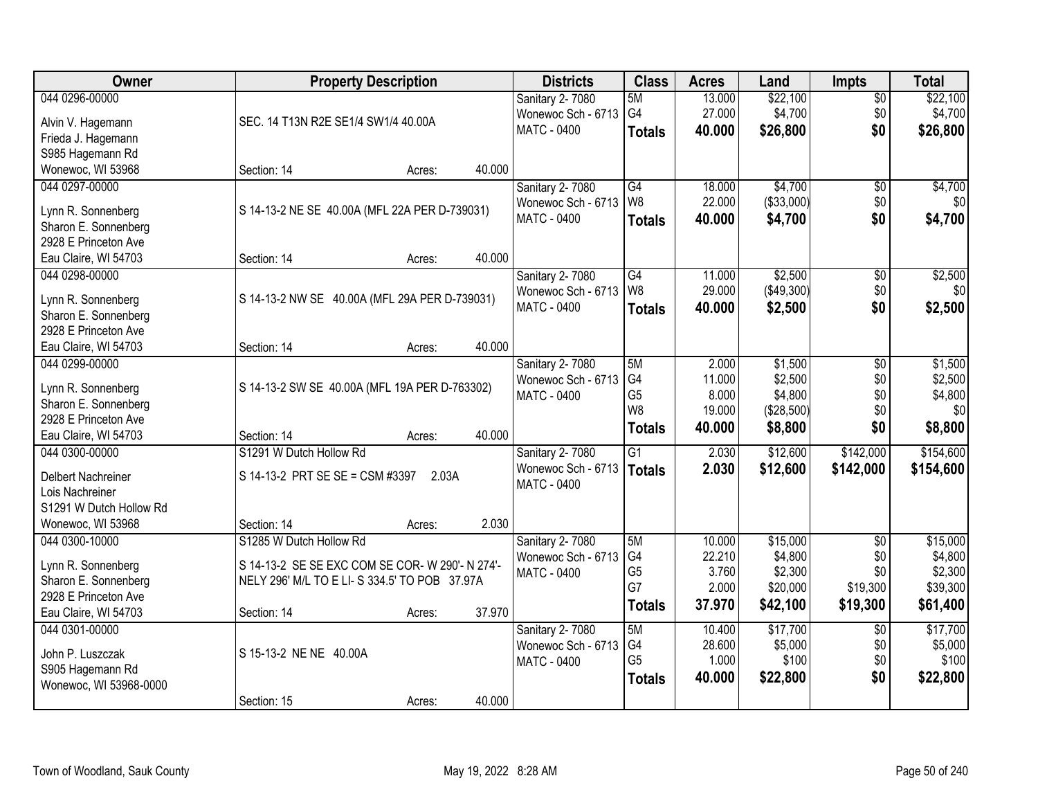| Owner                                        |                                                 | <b>Property Description</b> |        | <b>Districts</b>   | <b>Class</b>         | <b>Acres</b>    | Land       | <b>Impts</b>    | <b>Total</b>   |
|----------------------------------------------|-------------------------------------------------|-----------------------------|--------|--------------------|----------------------|-----------------|------------|-----------------|----------------|
| 044 0296-00000                               |                                                 |                             |        | Sanitary 2-7080    | 5M                   | 13.000          | \$22,100   | $\overline{50}$ | \$22,100       |
| Alvin V. Hagemann                            | SEC. 14 T13N R2E SE1/4 SW1/4 40.00A             |                             |        | Wonewoc Sch - 6713 | G4                   | 27.000          | \$4,700    | \$0             | \$4,700        |
| Frieda J. Hagemann                           |                                                 |                             |        | <b>MATC - 0400</b> | <b>Totals</b>        | 40.000          | \$26,800   | \$0             | \$26,800       |
| S985 Hagemann Rd                             |                                                 |                             |        |                    |                      |                 |            |                 |                |
| Wonewoc, WI 53968                            | Section: 14                                     | Acres:                      | 40.000 |                    |                      |                 |            |                 |                |
| 044 0297-00000                               |                                                 |                             |        | Sanitary 2-7080    | $\overline{G4}$      | 18.000          | \$4,700    | $\overline{50}$ | \$4,700        |
|                                              |                                                 |                             |        | Wonewoc Sch - 6713 | W8                   | 22.000          | (\$33,000) | \$0             | \$0            |
| Lynn R. Sonnenberg                           | S 14-13-2 NE SE 40.00A (MFL 22A PER D-739031)   |                             |        | <b>MATC - 0400</b> |                      |                 |            | \$0             |                |
| Sharon E. Sonnenberg                         |                                                 |                             |        |                    | <b>Totals</b>        | 40.000          | \$4,700    |                 | \$4,700        |
| 2928 E Princeton Ave                         |                                                 |                             |        |                    |                      |                 |            |                 |                |
| Eau Claire, WI 54703                         | Section: 14                                     | Acres:                      | 40.000 |                    |                      |                 |            |                 |                |
| 044 0298-00000                               |                                                 |                             |        | Sanitary 2-7080    | G4                   | 11.000          | \$2,500    | \$0             | \$2,500        |
|                                              |                                                 |                             |        | Wonewoc Sch - 6713 | W8                   | 29.000          | (\$49,300) | \$0             | \$0            |
| Lynn R. Sonnenberg                           | S 14-13-2 NW SE 40.00A (MFL 29A PER D-739031)   |                             |        | MATC - 0400        | <b>Totals</b>        | 40.000          | \$2,500    | \$0             | \$2,500        |
| Sharon E. Sonnenberg<br>2928 E Princeton Ave |                                                 |                             |        |                    |                      |                 |            |                 |                |
|                                              |                                                 |                             | 40.000 |                    |                      |                 |            |                 |                |
| Eau Claire, WI 54703                         | Section: 14                                     | Acres:                      |        |                    |                      |                 |            |                 |                |
| 044 0299-00000                               |                                                 |                             |        | Sanitary 2-7080    | 5M                   | 2.000           | \$1,500    | \$0             | \$1,500        |
| Lynn R. Sonnenberg                           | S 14-13-2 SW SE 40.00A (MFL 19A PER D-763302)   |                             |        | Wonewoc Sch - 6713 | G4                   | 11.000          | \$2,500    | \$0             | \$2,500        |
| Sharon E. Sonnenberg                         |                                                 |                             |        | MATC - 0400        | G <sub>5</sub><br>W8 | 8.000<br>19.000 | \$4,800    | \$0<br>\$0      | \$4,800<br>\$0 |
| 2928 E Princeton Ave                         |                                                 |                             |        |                    |                      |                 | (\$28,500) |                 |                |
| Eau Claire, WI 54703                         | Section: 14                                     | Acres:                      | 40.000 |                    | <b>Totals</b>        | 40.000          | \$8,800    | \$0             | \$8,800        |
| 044 0300-00000                               | S1291 W Dutch Hollow Rd                         |                             |        | Sanitary 2-7080    | $\overline{G1}$      | 2.030           | \$12,600   | \$142,000       | \$154,600      |
|                                              |                                                 |                             |        | Wonewoc Sch - 6713 | <b>Totals</b>        | 2.030           | \$12,600   | \$142,000       | \$154,600      |
| Delbert Nachreiner                           | S 14-13-2 PRT SE SE = CSM #3397                 | 2.03A                       |        | MATC - 0400        |                      |                 |            |                 |                |
| Lois Nachreiner                              |                                                 |                             |        |                    |                      |                 |            |                 |                |
| S1291 W Dutch Hollow Rd                      |                                                 |                             |        |                    |                      |                 |            |                 |                |
| Wonewoc, WI 53968                            | Section: 14                                     | Acres:                      | 2.030  |                    |                      |                 |            |                 |                |
| 044 0300-10000                               | S1285 W Dutch Hollow Rd                         |                             |        | Sanitary 2-7080    | 5M                   | 10.000          | \$15,000   | $\overline{50}$ | \$15,000       |
| Lynn R. Sonnenberg                           | S 14-13-2 SE SE EXC COM SE COR- W 290'- N 274'- |                             |        | Wonewoc Sch - 6713 | G4                   | 22.210          | \$4,800    | \$0             | \$4,800        |
| Sharon E. Sonnenberg                         | NELY 296' M/L TO E LI- S 334.5' TO POB 37.97A   |                             |        | MATC - 0400        | G <sub>5</sub><br>G7 | 3.760<br>2.000  | \$2,300    | \$0<br>\$19,300 | \$2,300        |
| 2928 E Princeton Ave                         |                                                 |                             |        |                    |                      |                 | \$20,000   |                 | \$39,300       |
| Eau Claire, WI 54703                         | Section: 14                                     | Acres:                      | 37.970 |                    | <b>Totals</b>        | 37.970          | \$42,100   | \$19,300        | \$61,400       |
| 044 0301-00000                               |                                                 |                             |        | Sanitary 2-7080    | 5M                   | 10.400          | \$17,700   | $\overline{30}$ | \$17,700       |
|                                              |                                                 |                             |        | Wonewoc Sch - 6713 | G4                   | 28.600          | \$5,000    | \$0             | \$5,000        |
| John P. Luszczak                             | S 15-13-2 NE NE 40.00A                          |                             |        | <b>MATC - 0400</b> | G <sub>5</sub>       | 1.000           | \$100      | \$0             | \$100          |
| S905 Hagemann Rd                             |                                                 |                             |        |                    | <b>Totals</b>        | 40.000          | \$22,800   | \$0             | \$22,800       |
| Wonewoc, WI 53968-0000                       |                                                 |                             |        |                    |                      |                 |            |                 |                |
|                                              | Section: 15                                     | Acres:                      | 40.000 |                    |                      |                 |            |                 |                |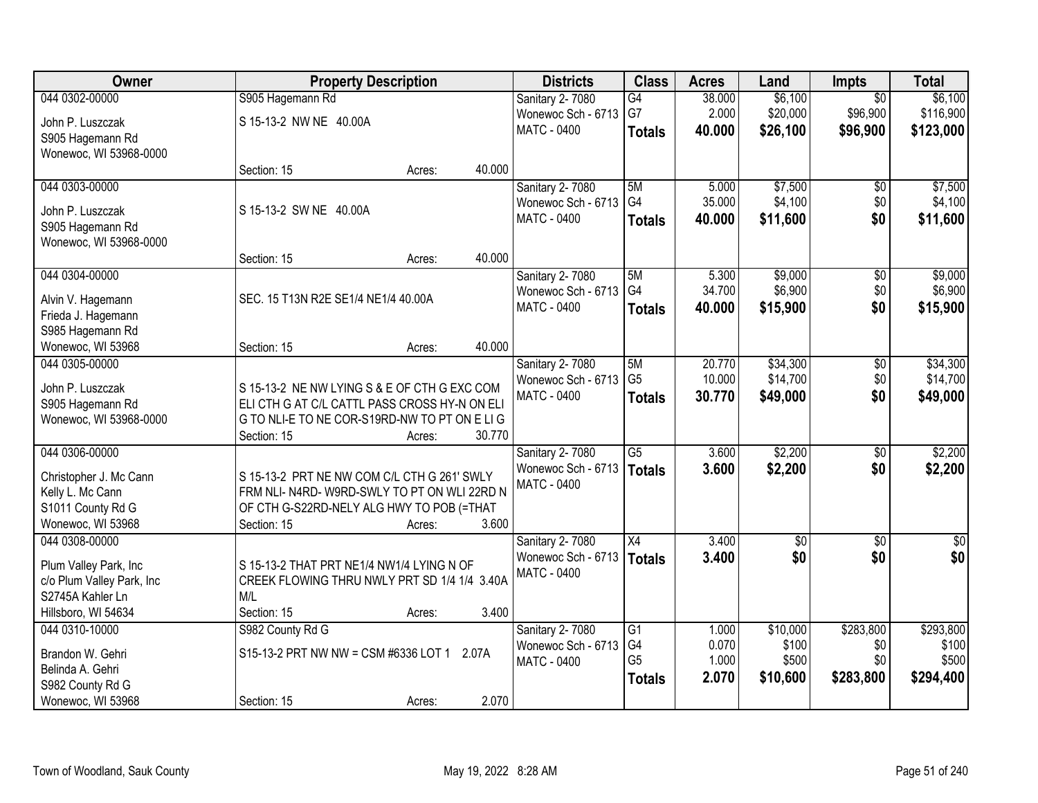| S905 Hagemann Rd<br>\$6,100<br>\$6,100<br>Sanitary 2-7080<br>G4<br>38.000<br>$\overline{50}$<br>G7<br>\$116,900<br>2.000<br>\$20,000<br>\$96,900<br>Wonewoc Sch - 6713<br>S 15-13-2 NW NE 40.00A<br>John P. Luszczak<br><b>MATC - 0400</b><br>40.000<br>\$26,100<br>\$96,900<br>\$123,000<br><b>Totals</b><br>S905 Hagemann Rd<br>Wonewoc, WI 53968-0000<br>40.000<br>Section: 15<br>Acres:<br>\$7,500<br>044 0303-00000<br>Sanitary 2-7080<br>5M<br>5.000<br>\$0<br>G4<br>35.000<br>\$4,100<br>\$0<br>Wonewoc Sch - 6713<br>S 15-13-2 SW NE 40.00A<br>John P. Luszczak<br>\$0<br><b>MATC - 0400</b><br>\$11,600<br>40.000<br><b>Totals</b><br>S905 Hagemann Rd<br>Wonewoc, WI 53968-0000<br>40.000<br>Section: 15<br>Acres:<br>\$9,000<br>044 0304-00000<br><b>Sanitary 2-7080</b><br>5M<br>5.300<br>$\overline{50}$<br>\$6,900<br>\$0<br>G4<br>34.700<br>Wonewoc Sch - 6713<br>SEC. 15 T13N R2E SE1/4 NE1/4 40.00A<br>Alvin V. Hagemann<br><b>MATC - 0400</b><br>\$15,900<br>\$0<br>40.000<br><b>Totals</b><br>Frieda J. Hagemann<br>S985 Hagemann Rd<br>40.000<br>Wonewoc, WI 53968<br>Section: 15<br>Acres:<br>044 0305-00000<br>\$34,300<br>Sanitary 2-7080<br>5M<br>20.770<br>\$0<br>G <sub>5</sub><br>10.000<br>\$14,700<br>\$0<br>Wonewoc Sch - 6713<br>S 15-13-2 NE NW LYING S & E OF CTH G EXC COM<br>John P. Luszczak<br>\$0<br>MATC - 0400<br>30.770<br>\$49,000<br><b>Totals</b><br>ELI CTH G AT C/L CATTL PASS CROSS HY-N ON ELI<br>S905 Hagemann Rd<br>Wonewoc, WI 53968-0000<br>G TO NLI-E TO NE COR-S19RD-NW TO PT ON E LIG<br>30.770<br>Section: 15<br>Acres:<br>$\overline{G5}$<br>\$2,200<br>044 0306-00000<br>3.600<br>$\overline{50}$<br>Sanitary 2-7080<br>\$2,200<br>Wonewoc Sch - 6713<br>3.600<br>\$0<br><b>Totals</b><br>S 15-13-2 PRT NE NW COM C/L CTH G 261' SWLY<br>Christopher J. Mc Cann<br><b>MATC - 0400</b><br>Kelly L. Mc Cann<br>FRM NLI-N4RD-W9RD-SWLY TO PT ON WLI 22RD N<br>S1011 County Rd G<br>OF CTH G-S22RD-NELY ALG HWY TO POB (=THAT<br>Wonewoc, WI 53968<br>3.600<br>Section: 15<br>Acres:<br>044 0308-00000<br>X4<br><b>Sanitary 2-7080</b><br>3.400<br>$\sqrt{6}$<br>$\sqrt{6}$<br>\$0<br>Wonewoc Sch - 6713<br>\$0<br>3.400<br><b>Totals</b><br>S 15-13-2 THAT PRT NE1/4 NW1/4 LYING N OF<br>Plum Valley Park, Inc<br><b>MATC - 0400</b><br>CREEK FLOWING THRU NWLY PRT SD 1/4 1/4 3.40A<br>c/o Plum Valley Park, Inc<br>S2745A Kahler Ln<br>M/L<br>3.400<br>Hillsboro, WI 54634<br>Section: 15<br>Acres:<br>\$283,800<br>S982 County Rd G<br>\$10,000<br>\$293,800<br>044 0310-10000<br><b>Sanitary 2-7080</b><br>G1<br>1.000<br>G4<br>0.070<br>\$100<br>\$0<br>Wonewoc Sch - 6713<br>S15-13-2 PRT NW NW = CSM #6336 LOT 1<br>Brandon W. Gehri<br>2.07A<br>G <sub>5</sub><br>1.000<br>\$500<br>\$0<br><b>MATC - 0400</b><br>Belinda A. Gehri<br>\$283,800<br>\$294,400<br>2.070<br>\$10,600<br><b>Totals</b><br>S982 County Rd G | Owner          | <b>Property Description</b> |  | <b>Districts</b> | <b>Class</b> | <b>Acres</b> | Land | Impts | <b>Total</b> |
|--------------------------------------------------------------------------------------------------------------------------------------------------------------------------------------------------------------------------------------------------------------------------------------------------------------------------------------------------------------------------------------------------------------------------------------------------------------------------------------------------------------------------------------------------------------------------------------------------------------------------------------------------------------------------------------------------------------------------------------------------------------------------------------------------------------------------------------------------------------------------------------------------------------------------------------------------------------------------------------------------------------------------------------------------------------------------------------------------------------------------------------------------------------------------------------------------------------------------------------------------------------------------------------------------------------------------------------------------------------------------------------------------------------------------------------------------------------------------------------------------------------------------------------------------------------------------------------------------------------------------------------------------------------------------------------------------------------------------------------------------------------------------------------------------------------------------------------------------------------------------------------------------------------------------------------------------------------------------------------------------------------------------------------------------------------------------------------------------------------------------------------------------------------------------------------------------------------------------------------------------------------------------------------------------------------------------------------------------------------------------------------------------------------------------------------------------------------------------------------------------------------------------------------------------------------------------------------------------------------------------------------------------------------------------------------------------------------------------------------------------------------------------------------------------------------------------------------------------------------------------------------|----------------|-----------------------------|--|------------------|--------------|--------------|------|-------|--------------|
|                                                                                                                                                                                                                                                                                                                                                                                                                                                                                                                                                                                                                                                                                                                                                                                                                                                                                                                                                                                                                                                                                                                                                                                                                                                                                                                                                                                                                                                                                                                                                                                                                                                                                                                                                                                                                                                                                                                                                                                                                                                                                                                                                                                                                                                                                                                                                                                                                                                                                                                                                                                                                                                                                                                                                                                                                                                                                      | 044 0302-00000 |                             |  |                  |              |              |      |       |              |
|                                                                                                                                                                                                                                                                                                                                                                                                                                                                                                                                                                                                                                                                                                                                                                                                                                                                                                                                                                                                                                                                                                                                                                                                                                                                                                                                                                                                                                                                                                                                                                                                                                                                                                                                                                                                                                                                                                                                                                                                                                                                                                                                                                                                                                                                                                                                                                                                                                                                                                                                                                                                                                                                                                                                                                                                                                                                                      |                |                             |  |                  |              |              |      |       |              |
|                                                                                                                                                                                                                                                                                                                                                                                                                                                                                                                                                                                                                                                                                                                                                                                                                                                                                                                                                                                                                                                                                                                                                                                                                                                                                                                                                                                                                                                                                                                                                                                                                                                                                                                                                                                                                                                                                                                                                                                                                                                                                                                                                                                                                                                                                                                                                                                                                                                                                                                                                                                                                                                                                                                                                                                                                                                                                      |                |                             |  |                  |              |              |      |       |              |
| \$7,500<br>\$4,100<br>\$11,600<br>\$9,000<br>\$6,900<br>\$15,900<br>\$34,300<br>\$49,000<br>\$2,200<br>\$2,200<br>\$0<br>\$100<br>\$500                                                                                                                                                                                                                                                                                                                                                                                                                                                                                                                                                                                                                                                                                                                                                                                                                                                                                                                                                                                                                                                                                                                                                                                                                                                                                                                                                                                                                                                                                                                                                                                                                                                                                                                                                                                                                                                                                                                                                                                                                                                                                                                                                                                                                                                                                                                                                                                                                                                                                                                                                                                                                                                                                                                                              |                |                             |  |                  |              |              |      |       |              |
|                                                                                                                                                                                                                                                                                                                                                                                                                                                                                                                                                                                                                                                                                                                                                                                                                                                                                                                                                                                                                                                                                                                                                                                                                                                                                                                                                                                                                                                                                                                                                                                                                                                                                                                                                                                                                                                                                                                                                                                                                                                                                                                                                                                                                                                                                                                                                                                                                                                                                                                                                                                                                                                                                                                                                                                                                                                                                      |                |                             |  |                  |              |              |      |       |              |
|                                                                                                                                                                                                                                                                                                                                                                                                                                                                                                                                                                                                                                                                                                                                                                                                                                                                                                                                                                                                                                                                                                                                                                                                                                                                                                                                                                                                                                                                                                                                                                                                                                                                                                                                                                                                                                                                                                                                                                                                                                                                                                                                                                                                                                                                                                                                                                                                                                                                                                                                                                                                                                                                                                                                                                                                                                                                                      |                |                             |  |                  |              |              |      |       |              |
|                                                                                                                                                                                                                                                                                                                                                                                                                                                                                                                                                                                                                                                                                                                                                                                                                                                                                                                                                                                                                                                                                                                                                                                                                                                                                                                                                                                                                                                                                                                                                                                                                                                                                                                                                                                                                                                                                                                                                                                                                                                                                                                                                                                                                                                                                                                                                                                                                                                                                                                                                                                                                                                                                                                                                                                                                                                                                      |                |                             |  |                  |              |              |      |       |              |
|                                                                                                                                                                                                                                                                                                                                                                                                                                                                                                                                                                                                                                                                                                                                                                                                                                                                                                                                                                                                                                                                                                                                                                                                                                                                                                                                                                                                                                                                                                                                                                                                                                                                                                                                                                                                                                                                                                                                                                                                                                                                                                                                                                                                                                                                                                                                                                                                                                                                                                                                                                                                                                                                                                                                                                                                                                                                                      |                |                             |  |                  |              |              |      |       |              |
|                                                                                                                                                                                                                                                                                                                                                                                                                                                                                                                                                                                                                                                                                                                                                                                                                                                                                                                                                                                                                                                                                                                                                                                                                                                                                                                                                                                                                                                                                                                                                                                                                                                                                                                                                                                                                                                                                                                                                                                                                                                                                                                                                                                                                                                                                                                                                                                                                                                                                                                                                                                                                                                                                                                                                                                                                                                                                      |                |                             |  |                  |              |              |      |       |              |
|                                                                                                                                                                                                                                                                                                                                                                                                                                                                                                                                                                                                                                                                                                                                                                                                                                                                                                                                                                                                                                                                                                                                                                                                                                                                                                                                                                                                                                                                                                                                                                                                                                                                                                                                                                                                                                                                                                                                                                                                                                                                                                                                                                                                                                                                                                                                                                                                                                                                                                                                                                                                                                                                                                                                                                                                                                                                                      |                |                             |  |                  |              |              |      |       |              |
|                                                                                                                                                                                                                                                                                                                                                                                                                                                                                                                                                                                                                                                                                                                                                                                                                                                                                                                                                                                                                                                                                                                                                                                                                                                                                                                                                                                                                                                                                                                                                                                                                                                                                                                                                                                                                                                                                                                                                                                                                                                                                                                                                                                                                                                                                                                                                                                                                                                                                                                                                                                                                                                                                                                                                                                                                                                                                      |                |                             |  |                  |              |              |      |       |              |
|                                                                                                                                                                                                                                                                                                                                                                                                                                                                                                                                                                                                                                                                                                                                                                                                                                                                                                                                                                                                                                                                                                                                                                                                                                                                                                                                                                                                                                                                                                                                                                                                                                                                                                                                                                                                                                                                                                                                                                                                                                                                                                                                                                                                                                                                                                                                                                                                                                                                                                                                                                                                                                                                                                                                                                                                                                                                                      |                |                             |  |                  |              |              |      |       |              |
|                                                                                                                                                                                                                                                                                                                                                                                                                                                                                                                                                                                                                                                                                                                                                                                                                                                                                                                                                                                                                                                                                                                                                                                                                                                                                                                                                                                                                                                                                                                                                                                                                                                                                                                                                                                                                                                                                                                                                                                                                                                                                                                                                                                                                                                                                                                                                                                                                                                                                                                                                                                                                                                                                                                                                                                                                                                                                      |                |                             |  |                  |              |              |      |       |              |
|                                                                                                                                                                                                                                                                                                                                                                                                                                                                                                                                                                                                                                                                                                                                                                                                                                                                                                                                                                                                                                                                                                                                                                                                                                                                                                                                                                                                                                                                                                                                                                                                                                                                                                                                                                                                                                                                                                                                                                                                                                                                                                                                                                                                                                                                                                                                                                                                                                                                                                                                                                                                                                                                                                                                                                                                                                                                                      |                |                             |  |                  |              |              |      |       |              |
| \$14,700<br>$\frac{6}{3}$                                                                                                                                                                                                                                                                                                                                                                                                                                                                                                                                                                                                                                                                                                                                                                                                                                                                                                                                                                                                                                                                                                                                                                                                                                                                                                                                                                                                                                                                                                                                                                                                                                                                                                                                                                                                                                                                                                                                                                                                                                                                                                                                                                                                                                                                                                                                                                                                                                                                                                                                                                                                                                                                                                                                                                                                                                                            |                |                             |  |                  |              |              |      |       |              |
|                                                                                                                                                                                                                                                                                                                                                                                                                                                                                                                                                                                                                                                                                                                                                                                                                                                                                                                                                                                                                                                                                                                                                                                                                                                                                                                                                                                                                                                                                                                                                                                                                                                                                                                                                                                                                                                                                                                                                                                                                                                                                                                                                                                                                                                                                                                                                                                                                                                                                                                                                                                                                                                                                                                                                                                                                                                                                      |                |                             |  |                  |              |              |      |       |              |
|                                                                                                                                                                                                                                                                                                                                                                                                                                                                                                                                                                                                                                                                                                                                                                                                                                                                                                                                                                                                                                                                                                                                                                                                                                                                                                                                                                                                                                                                                                                                                                                                                                                                                                                                                                                                                                                                                                                                                                                                                                                                                                                                                                                                                                                                                                                                                                                                                                                                                                                                                                                                                                                                                                                                                                                                                                                                                      |                |                             |  |                  |              |              |      |       |              |
|                                                                                                                                                                                                                                                                                                                                                                                                                                                                                                                                                                                                                                                                                                                                                                                                                                                                                                                                                                                                                                                                                                                                                                                                                                                                                                                                                                                                                                                                                                                                                                                                                                                                                                                                                                                                                                                                                                                                                                                                                                                                                                                                                                                                                                                                                                                                                                                                                                                                                                                                                                                                                                                                                                                                                                                                                                                                                      |                |                             |  |                  |              |              |      |       |              |
|                                                                                                                                                                                                                                                                                                                                                                                                                                                                                                                                                                                                                                                                                                                                                                                                                                                                                                                                                                                                                                                                                                                                                                                                                                                                                                                                                                                                                                                                                                                                                                                                                                                                                                                                                                                                                                                                                                                                                                                                                                                                                                                                                                                                                                                                                                                                                                                                                                                                                                                                                                                                                                                                                                                                                                                                                                                                                      |                |                             |  |                  |              |              |      |       |              |
|                                                                                                                                                                                                                                                                                                                                                                                                                                                                                                                                                                                                                                                                                                                                                                                                                                                                                                                                                                                                                                                                                                                                                                                                                                                                                                                                                                                                                                                                                                                                                                                                                                                                                                                                                                                                                                                                                                                                                                                                                                                                                                                                                                                                                                                                                                                                                                                                                                                                                                                                                                                                                                                                                                                                                                                                                                                                                      |                |                             |  |                  |              |              |      |       |              |
|                                                                                                                                                                                                                                                                                                                                                                                                                                                                                                                                                                                                                                                                                                                                                                                                                                                                                                                                                                                                                                                                                                                                                                                                                                                                                                                                                                                                                                                                                                                                                                                                                                                                                                                                                                                                                                                                                                                                                                                                                                                                                                                                                                                                                                                                                                                                                                                                                                                                                                                                                                                                                                                                                                                                                                                                                                                                                      |                |                             |  |                  |              |              |      |       |              |
|                                                                                                                                                                                                                                                                                                                                                                                                                                                                                                                                                                                                                                                                                                                                                                                                                                                                                                                                                                                                                                                                                                                                                                                                                                                                                                                                                                                                                                                                                                                                                                                                                                                                                                                                                                                                                                                                                                                                                                                                                                                                                                                                                                                                                                                                                                                                                                                                                                                                                                                                                                                                                                                                                                                                                                                                                                                                                      |                |                             |  |                  |              |              |      |       |              |
|                                                                                                                                                                                                                                                                                                                                                                                                                                                                                                                                                                                                                                                                                                                                                                                                                                                                                                                                                                                                                                                                                                                                                                                                                                                                                                                                                                                                                                                                                                                                                                                                                                                                                                                                                                                                                                                                                                                                                                                                                                                                                                                                                                                                                                                                                                                                                                                                                                                                                                                                                                                                                                                                                                                                                                                                                                                                                      |                |                             |  |                  |              |              |      |       |              |
|                                                                                                                                                                                                                                                                                                                                                                                                                                                                                                                                                                                                                                                                                                                                                                                                                                                                                                                                                                                                                                                                                                                                                                                                                                                                                                                                                                                                                                                                                                                                                                                                                                                                                                                                                                                                                                                                                                                                                                                                                                                                                                                                                                                                                                                                                                                                                                                                                                                                                                                                                                                                                                                                                                                                                                                                                                                                                      |                |                             |  |                  |              |              |      |       |              |
|                                                                                                                                                                                                                                                                                                                                                                                                                                                                                                                                                                                                                                                                                                                                                                                                                                                                                                                                                                                                                                                                                                                                                                                                                                                                                                                                                                                                                                                                                                                                                                                                                                                                                                                                                                                                                                                                                                                                                                                                                                                                                                                                                                                                                                                                                                                                                                                                                                                                                                                                                                                                                                                                                                                                                                                                                                                                                      |                |                             |  |                  |              |              |      |       |              |
|                                                                                                                                                                                                                                                                                                                                                                                                                                                                                                                                                                                                                                                                                                                                                                                                                                                                                                                                                                                                                                                                                                                                                                                                                                                                                                                                                                                                                                                                                                                                                                                                                                                                                                                                                                                                                                                                                                                                                                                                                                                                                                                                                                                                                                                                                                                                                                                                                                                                                                                                                                                                                                                                                                                                                                                                                                                                                      |                |                             |  |                  |              |              |      |       |              |
|                                                                                                                                                                                                                                                                                                                                                                                                                                                                                                                                                                                                                                                                                                                                                                                                                                                                                                                                                                                                                                                                                                                                                                                                                                                                                                                                                                                                                                                                                                                                                                                                                                                                                                                                                                                                                                                                                                                                                                                                                                                                                                                                                                                                                                                                                                                                                                                                                                                                                                                                                                                                                                                                                                                                                                                                                                                                                      |                |                             |  |                  |              |              |      |       |              |
|                                                                                                                                                                                                                                                                                                                                                                                                                                                                                                                                                                                                                                                                                                                                                                                                                                                                                                                                                                                                                                                                                                                                                                                                                                                                                                                                                                                                                                                                                                                                                                                                                                                                                                                                                                                                                                                                                                                                                                                                                                                                                                                                                                                                                                                                                                                                                                                                                                                                                                                                                                                                                                                                                                                                                                                                                                                                                      |                |                             |  |                  |              |              |      |       |              |
|                                                                                                                                                                                                                                                                                                                                                                                                                                                                                                                                                                                                                                                                                                                                                                                                                                                                                                                                                                                                                                                                                                                                                                                                                                                                                                                                                                                                                                                                                                                                                                                                                                                                                                                                                                                                                                                                                                                                                                                                                                                                                                                                                                                                                                                                                                                                                                                                                                                                                                                                                                                                                                                                                                                                                                                                                                                                                      |                |                             |  |                  |              |              |      |       |              |
|                                                                                                                                                                                                                                                                                                                                                                                                                                                                                                                                                                                                                                                                                                                                                                                                                                                                                                                                                                                                                                                                                                                                                                                                                                                                                                                                                                                                                                                                                                                                                                                                                                                                                                                                                                                                                                                                                                                                                                                                                                                                                                                                                                                                                                                                                                                                                                                                                                                                                                                                                                                                                                                                                                                                                                                                                                                                                      |                |                             |  |                  |              |              |      |       |              |
|                                                                                                                                                                                                                                                                                                                                                                                                                                                                                                                                                                                                                                                                                                                                                                                                                                                                                                                                                                                                                                                                                                                                                                                                                                                                                                                                                                                                                                                                                                                                                                                                                                                                                                                                                                                                                                                                                                                                                                                                                                                                                                                                                                                                                                                                                                                                                                                                                                                                                                                                                                                                                                                                                                                                                                                                                                                                                      |                |                             |  |                  |              |              |      |       |              |
|                                                                                                                                                                                                                                                                                                                                                                                                                                                                                                                                                                                                                                                                                                                                                                                                                                                                                                                                                                                                                                                                                                                                                                                                                                                                                                                                                                                                                                                                                                                                                                                                                                                                                                                                                                                                                                                                                                                                                                                                                                                                                                                                                                                                                                                                                                                                                                                                                                                                                                                                                                                                                                                                                                                                                                                                                                                                                      |                |                             |  |                  |              |              |      |       |              |
|                                                                                                                                                                                                                                                                                                                                                                                                                                                                                                                                                                                                                                                                                                                                                                                                                                                                                                                                                                                                                                                                                                                                                                                                                                                                                                                                                                                                                                                                                                                                                                                                                                                                                                                                                                                                                                                                                                                                                                                                                                                                                                                                                                                                                                                                                                                                                                                                                                                                                                                                                                                                                                                                                                                                                                                                                                                                                      |                |                             |  |                  |              |              |      |       |              |
|                                                                                                                                                                                                                                                                                                                                                                                                                                                                                                                                                                                                                                                                                                                                                                                                                                                                                                                                                                                                                                                                                                                                                                                                                                                                                                                                                                                                                                                                                                                                                                                                                                                                                                                                                                                                                                                                                                                                                                                                                                                                                                                                                                                                                                                                                                                                                                                                                                                                                                                                                                                                                                                                                                                                                                                                                                                                                      |                |                             |  |                  |              |              |      |       |              |
| 2.070<br>Wonewoc, WI 53968<br>Section: 15<br>Acres:                                                                                                                                                                                                                                                                                                                                                                                                                                                                                                                                                                                                                                                                                                                                                                                                                                                                                                                                                                                                                                                                                                                                                                                                                                                                                                                                                                                                                                                                                                                                                                                                                                                                                                                                                                                                                                                                                                                                                                                                                                                                                                                                                                                                                                                                                                                                                                                                                                                                                                                                                                                                                                                                                                                                                                                                                                  |                |                             |  |                  |              |              |      |       |              |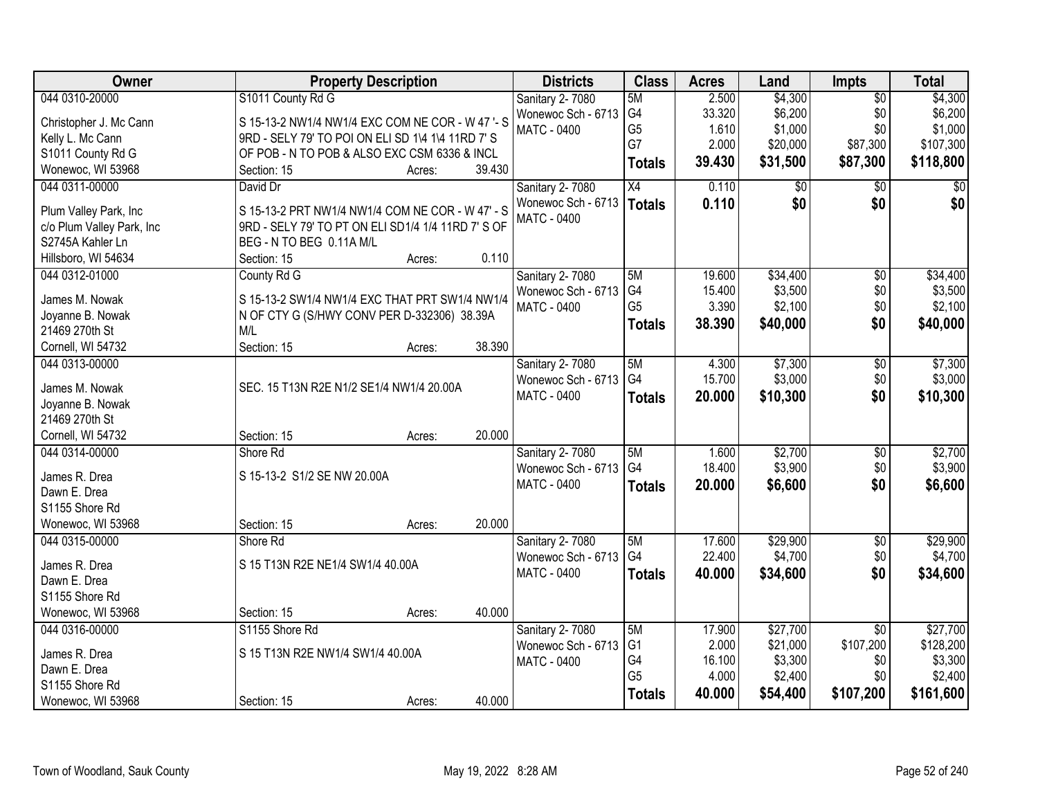| Owner                          | <b>Property Description</b>                        |        |        | <b>Districts</b>       | <b>Class</b>    | <b>Acres</b> | Land        | Impts           | <b>Total</b> |
|--------------------------------|----------------------------------------------------|--------|--------|------------------------|-----------------|--------------|-------------|-----------------|--------------|
| 044 0310-20000                 | S1011 County Rd G                                  |        |        | Sanitary 2-7080        | 5M              | 2.500        | \$4,300     | $\overline{50}$ | \$4,300      |
| Christopher J. Mc Cann         | S 15-13-2 NW1/4 NW1/4 EXC COM NE COR - W 47 '- S   |        |        | Wonewoc Sch - 6713     | G4              | 33.320       | \$6,200     | \$0             | \$6,200      |
| Kelly L. Mc Cann               | 9RD - SELY 79' TO POI ON ELI SD 1\4 1\4 11RD 7' S  |        |        | <b>MATC - 0400</b>     | G <sub>5</sub>  | 1.610        | \$1,000     | \$0             | \$1,000      |
| S1011 County Rd G              | OF POB - N TO POB & ALSO EXC CSM 6336 & INCL       |        |        |                        | G7              | 2.000        | \$20,000    | \$87,300        | \$107,300    |
| Wonewoc, WI 53968              | Section: 15                                        | Acres: | 39.430 |                        | <b>Totals</b>   | 39.430       | \$31,500    | \$87,300        | \$118,800    |
| 044 0311-00000                 | David Dr                                           |        |        | Sanitary 2-7080        | $\overline{X4}$ | 0.110        | $\sqrt{$0}$ | $\overline{50}$ | \$0          |
|                                |                                                    |        |        | Wonewoc Sch - 6713     | <b>Totals</b>   | 0.110        | \$0         | \$0             | \$0          |
| Plum Valley Park, Inc          | S 15-13-2 PRT NW1/4 NW1/4 COM NE COR - W 47' - S   |        |        | <b>MATC - 0400</b>     |                 |              |             |                 |              |
| c/o Plum Valley Park, Inc      | 9RD - SELY 79' TO PT ON ELI SD1/4 1/4 11RD 7' S OF |        |        |                        |                 |              |             |                 |              |
| S2745A Kahler Ln               | BEG - N TO BEG 0.11A M/L                           |        |        |                        |                 |              |             |                 |              |
| Hillsboro, WI 54634            | Section: 15                                        | Acres: | 0.110  |                        |                 |              |             |                 |              |
| 044 0312-01000                 | County Rd G                                        |        |        | Sanitary 2-7080        | 5M              | 19.600       | \$34,400    | $\overline{50}$ | \$34,400     |
| James M. Nowak                 | S 15-13-2 SW1/4 NW1/4 EXC THAT PRT SW1/4 NW1/4     |        |        | Wonewoc Sch - 6713     | G4              | 15.400       | \$3,500     | \$0             | \$3,500      |
| Joyanne B. Nowak               | N OF CTY G (S/HWY CONV PER D-332306) 38.39A        |        |        | <b>MATC - 0400</b>     | G <sub>5</sub>  | 3.390        | \$2,100     | \$0             | \$2,100      |
| 21469 270th St                 | M/L                                                |        |        |                        | <b>Totals</b>   | 38.390       | \$40,000    | \$0             | \$40,000     |
| Cornell, WI 54732              | Section: 15                                        | Acres: | 38.390 |                        |                 |              |             |                 |              |
| 044 0313-00000                 |                                                    |        |        | Sanitary 2-7080        | 5M              | 4.300        | \$7,300     | \$0             | \$7,300      |
|                                |                                                    |        |        | Wonewoc Sch - 6713     | G4              | 15.700       | \$3,000     | \$0             | \$3,000      |
| James M. Nowak                 | SEC. 15 T13N R2E N1/2 SE1/4 NW1/4 20.00A           |        |        | <b>MATC - 0400</b>     | <b>Totals</b>   | 20.000       | \$10,300    | \$0             | \$10,300     |
| Joyanne B. Nowak               |                                                    |        |        |                        |                 |              |             |                 |              |
| 21469 270th St                 |                                                    |        |        |                        |                 |              |             |                 |              |
| Cornell, WI 54732              | Section: 15                                        | Acres: | 20.000 |                        |                 |              |             |                 |              |
| 044 0314-00000                 | Shore Rd                                           |        |        | <b>Sanitary 2-7080</b> | 5M              | 1.600        | \$2,700     | $\overline{50}$ | \$2,700      |
| James R. Drea                  | S 15-13-2 S1/2 SE NW 20.00A                        |        |        | Wonewoc Sch - 6713     | G4              | 18.400       | \$3,900     | \$0             | \$3,900      |
| Dawn E. Drea                   |                                                    |        |        | <b>MATC - 0400</b>     | <b>Totals</b>   | 20.000       | \$6,600     | \$0             | \$6,600      |
| S1155 Shore Rd                 |                                                    |        |        |                        |                 |              |             |                 |              |
| Wonewoc, WI 53968              | Section: 15                                        | Acres: | 20.000 |                        |                 |              |             |                 |              |
| 044 0315-00000                 | Shore Rd                                           |        |        | <b>Sanitary 2-7080</b> | 5M              | 17.600       | \$29,900    | $\overline{50}$ | \$29,900     |
| James R. Drea                  | S 15 T13N R2E NE1/4 SW1/4 40.00A                   |        |        | Wonewoc Sch - 6713     | G4              | 22.400       | \$4,700     | \$0             | \$4,700      |
|                                |                                                    |        |        | MATC - 0400            | <b>Totals</b>   | 40.000       | \$34,600    | \$0             | \$34,600     |
| Dawn E. Drea<br>S1155 Shore Rd |                                                    |        |        |                        |                 |              |             |                 |              |
|                                |                                                    |        |        |                        |                 |              |             |                 |              |
| Wonewoc, WI 53968              | Section: 15                                        | Acres: | 40.000 |                        |                 |              |             |                 |              |
| 044 0316-00000                 | S1155 Shore Rd                                     |        |        | Sanitary 2-7080        | 5M              | 17.900       | \$27,700    | $\overline{50}$ | \$27,700     |
| James R. Drea                  | S 15 T13N R2E NW1/4 SW1/4 40.00A                   |        |        | Wonewoc Sch - 6713     | G <sub>1</sub>  | 2.000        | \$21,000    | \$107,200       | \$128,200    |
| Dawn E. Drea                   |                                                    |        |        | <b>MATC - 0400</b>     | G4              | 16.100       | \$3,300     | \$0             | \$3,300      |
| S1155 Shore Rd                 |                                                    |        |        |                        | G <sub>5</sub>  | 4.000        | \$2,400     | \$0             | \$2,400      |
| Wonewoc, WI 53968              | Section: 15                                        | Acres: | 40.000 |                        | <b>Totals</b>   | 40.000       | \$54,400    | \$107,200       | \$161,600    |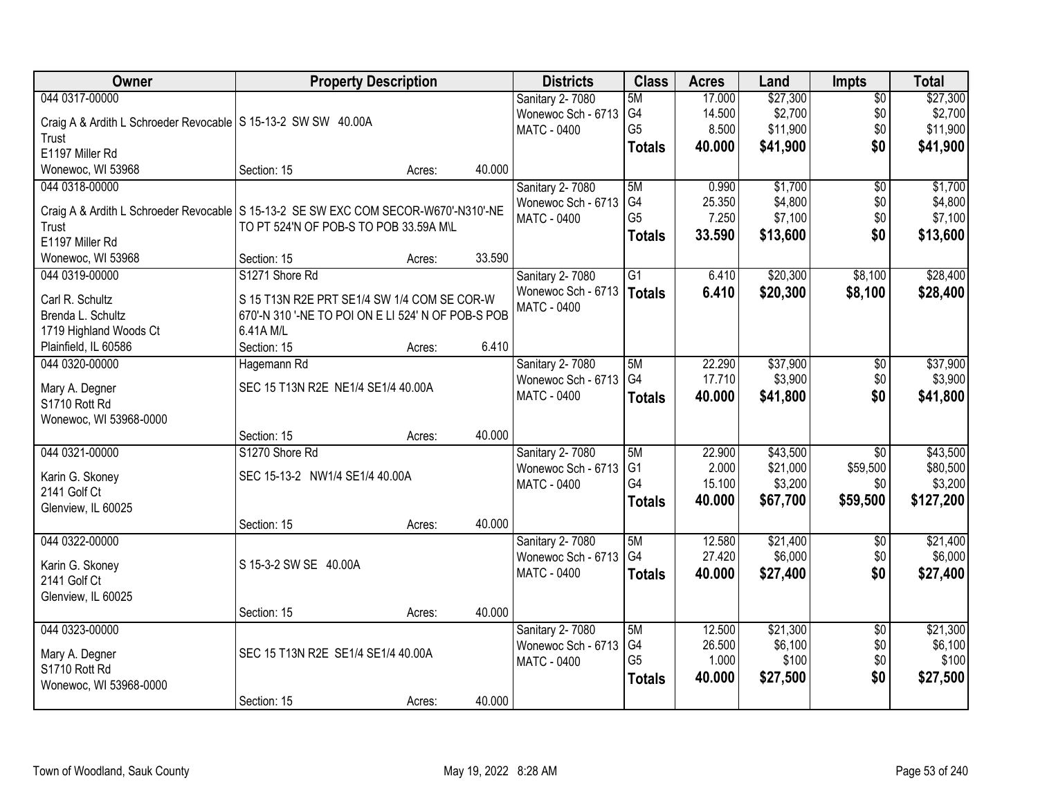| <b>Owner</b>                                                                          | <b>Property Description</b>                        |        |        | <b>Districts</b>       | <b>Class</b>   | <b>Acres</b> | Land     | Impts           | <b>Total</b> |
|---------------------------------------------------------------------------------------|----------------------------------------------------|--------|--------|------------------------|----------------|--------------|----------|-----------------|--------------|
| 044 0317-00000                                                                        |                                                    |        |        | Sanitary 2-7080        | 5M             | 17.000       | \$27,300 | $\overline{50}$ | \$27,300     |
| Craig A & Ardith L Schroeder Revocable   S 15-13-2 SW SW 40.00A                       |                                                    |        |        | Wonewoc Sch - 6713     | G <sub>4</sub> | 14.500       | \$2,700  | \$0             | \$2,700      |
| Trust                                                                                 |                                                    |        |        | <b>MATC - 0400</b>     | G <sub>5</sub> | 8.500        | \$11,900 | \$0             | \$11,900     |
| E1197 Miller Rd                                                                       |                                                    |        |        |                        | <b>Totals</b>  | 40.000       | \$41,900 | \$0             | \$41,900     |
| Wonewoc, WI 53968                                                                     | Section: 15                                        | Acres: | 40.000 |                        |                |              |          |                 |              |
| 044 0318-00000                                                                        |                                                    |        |        | <b>Sanitary 2-7080</b> | 5M             | 0.990        | \$1,700  | $\overline{50}$ | \$1,700      |
|                                                                                       |                                                    |        |        | Wonewoc Sch - 6713     | G4             | 25.350       | \$4,800  | \$0             | \$4,800      |
| Craig A & Ardith L Schroeder Revocable   S 15-13-2 SE SW EXC COM SECOR-W670'-N310'-NE |                                                    |        |        | <b>MATC - 0400</b>     | G <sub>5</sub> | 7.250        | \$7,100  | \$0             | \$7,100      |
| Trust<br>E1197 Miller Rd                                                              | TO PT 524'N OF POB-S TO POB 33.59A M\L             |        |        |                        | <b>Totals</b>  | 33.590       | \$13,600 | \$0             | \$13,600     |
| Wonewoc, WI 53968                                                                     | Section: 15                                        | Acres: | 33.590 |                        |                |              |          |                 |              |
| 044 0319-00000                                                                        | S1271 Shore Rd                                     |        |        | <b>Sanitary 2-7080</b> | G1             | 6.410        | \$20,300 | \$8,100         | \$28,400     |
|                                                                                       |                                                    |        |        | Wonewoc Sch - 6713     |                |              |          |                 |              |
| Carl R. Schultz                                                                       | S 15 T13N R2E PRT SE1/4 SW 1/4 COM SE COR-W        |        |        | <b>MATC - 0400</b>     | <b>Totals</b>  | 6.410        | \$20,300 | \$8,100         | \$28,400     |
| Brenda L. Schultz                                                                     | 670'-N 310 '-NE TO POI ON E LI 524' N OF POB-S POB |        |        |                        |                |              |          |                 |              |
| 1719 Highland Woods Ct                                                                | 6.41A M/L                                          |        |        |                        |                |              |          |                 |              |
| Plainfield, IL 60586                                                                  | Section: 15                                        | Acres: | 6.410  |                        |                |              |          |                 |              |
| 044 0320-00000                                                                        | Hagemann Rd                                        |        |        | Sanitary 2-7080        | 5M             | 22.290       | \$37,900 | \$0             | \$37,900     |
| Mary A. Degner                                                                        | SEC 15 T13N R2E NE1/4 SE1/4 40.00A                 |        |        | Wonewoc Sch - 6713     | G4             | 17.710       | \$3,900  | \$0             | \$3,900      |
| S1710 Rott Rd                                                                         |                                                    |        |        | <b>MATC - 0400</b>     | <b>Totals</b>  | 40.000       | \$41,800 | \$0             | \$41,800     |
| Wonewoc, WI 53968-0000                                                                |                                                    |        |        |                        |                |              |          |                 |              |
|                                                                                       | Section: 15                                        | Acres: | 40.000 |                        |                |              |          |                 |              |
| 044 0321-00000                                                                        | S1270 Shore Rd                                     |        |        | Sanitary 2-7080        | 5M             | 22.900       | \$43,500 | $\overline{50}$ | \$43,500     |
|                                                                                       |                                                    |        |        | Wonewoc Sch - 6713     | G <sub>1</sub> | 2.000        | \$21,000 | \$59,500        | \$80,500     |
| Karin G. Skoney                                                                       | SEC 15-13-2 NW1/4 SE1/4 40.00A                     |        |        | <b>MATC - 0400</b>     | G4             | 15.100       | \$3,200  | \$0             | \$3,200      |
| 2141 Golf Ct                                                                          |                                                    |        |        |                        | <b>Totals</b>  | 40.000       | \$67,700 | \$59,500        | \$127,200    |
| Glenview, IL 60025                                                                    |                                                    |        |        |                        |                |              |          |                 |              |
|                                                                                       | Section: 15                                        | Acres: | 40.000 |                        |                |              |          |                 |              |
| 044 0322-00000                                                                        |                                                    |        |        | <b>Sanitary 2-7080</b> | 5M             | 12.580       | \$21,400 | $\sqrt{6}$      | \$21,400     |
| Karin G. Skoney                                                                       | S 15-3-2 SW SE 40.00A                              |        |        | Wonewoc Sch - 6713     | G4             | 27.420       | \$6,000  | \$0             | \$6,000      |
| 2141 Golf Ct                                                                          |                                                    |        |        | MATC - 0400            | <b>Totals</b>  | 40.000       | \$27,400 | \$0             | \$27,400     |
| Glenview, IL 60025                                                                    |                                                    |        |        |                        |                |              |          |                 |              |
|                                                                                       | Section: 15                                        | Acres: | 40.000 |                        |                |              |          |                 |              |
| 044 0323-00000                                                                        |                                                    |        |        | Sanitary 2-7080        | 5M             | 12.500       | \$21,300 | $\overline{30}$ | \$21,300     |
|                                                                                       |                                                    |        |        | Wonewoc Sch - 6713     | G4             | 26.500       | \$6,100  | \$0             | \$6,100      |
| Mary A. Degner                                                                        | SEC 15 T13N R2E SE1/4 SE1/4 40.00A                 |        |        | <b>MATC - 0400</b>     | G <sub>5</sub> | 1.000        | \$100    | \$0             | \$100        |
| S1710 Rott Rd                                                                         |                                                    |        |        |                        | <b>Totals</b>  | 40.000       | \$27,500 | \$0             | \$27,500     |
| Wonewoc, WI 53968-0000                                                                |                                                    |        |        |                        |                |              |          |                 |              |
|                                                                                       | Section: 15                                        | Acres: | 40.000 |                        |                |              |          |                 |              |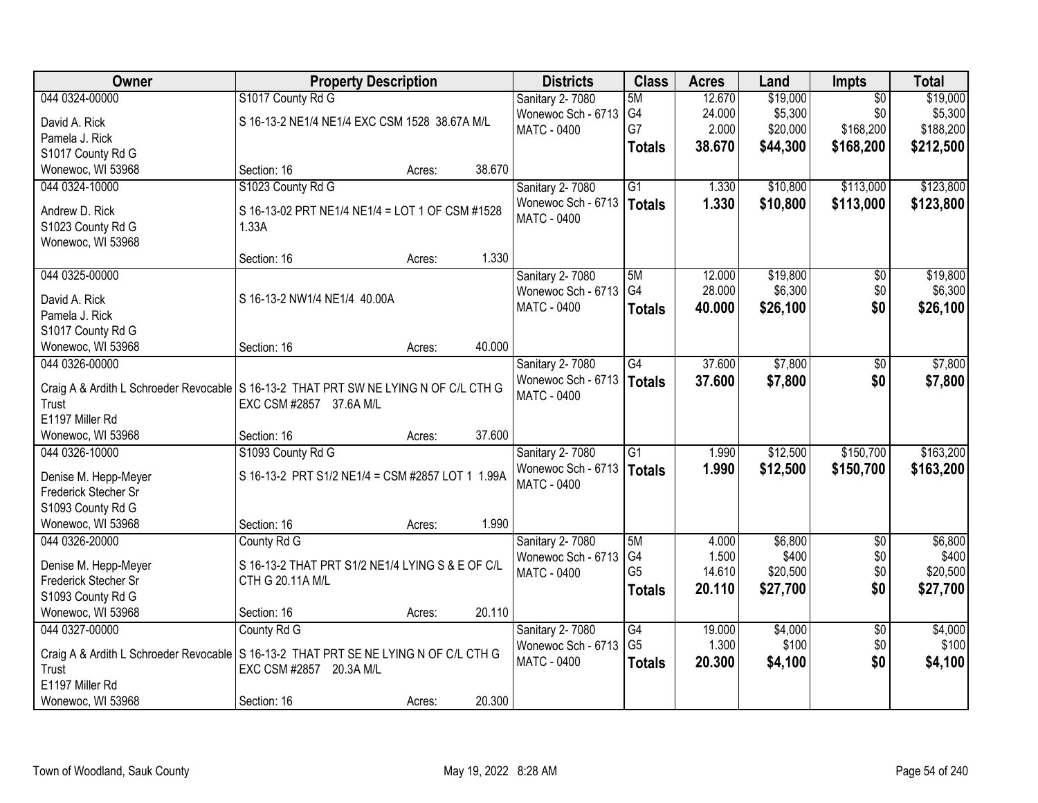| Owner                                                                                  | <b>Property Description</b>                      |        |        | <b>Districts</b>       | <b>Class</b>    | <b>Acres</b> | Land     | Impts           | <b>Total</b> |
|----------------------------------------------------------------------------------------|--------------------------------------------------|--------|--------|------------------------|-----------------|--------------|----------|-----------------|--------------|
| 044 0324-00000                                                                         | S1017 County Rd G                                |        |        | Sanitary 2-7080        | 5M              | 12.670       | \$19,000 | $\overline{50}$ | \$19,000     |
| David A. Rick                                                                          | S 16-13-2 NE1/4 NE1/4 EXC CSM 1528 38.67A M/L    |        |        | Wonewoc Sch - 6713     | G4              | 24.000       | \$5,300  | \$0             | \$5,300      |
| Pamela J. Rick                                                                         |                                                  |        |        | <b>MATC - 0400</b>     | G7              | 2.000        | \$20,000 | \$168,200       | \$188,200    |
| S1017 County Rd G                                                                      |                                                  |        |        |                        | <b>Totals</b>   | 38.670       | \$44,300 | \$168,200       | \$212,500    |
| Wonewoc, WI 53968                                                                      | Section: 16                                      | Acres: | 38.670 |                        |                 |              |          |                 |              |
| 044 0324-10000                                                                         | S1023 County Rd G                                |        |        | Sanitary 2-7080        | $\overline{G1}$ | 1.330        | \$10,800 | \$113,000       | \$123,800    |
|                                                                                        |                                                  |        |        | Wonewoc Sch - 6713     | <b>Totals</b>   | 1.330        | \$10,800 | \$113,000       | \$123,800    |
| Andrew D. Rick                                                                         | S 16-13-02 PRT NE1/4 NE1/4 = LOT 1 OF CSM #1528  |        |        | <b>MATC - 0400</b>     |                 |              |          |                 |              |
| S1023 County Rd G                                                                      | 1.33A                                            |        |        |                        |                 |              |          |                 |              |
| Wonewoc, WI 53968                                                                      |                                                  |        |        |                        |                 |              |          |                 |              |
|                                                                                        | Section: 16                                      | Acres: | 1.330  |                        |                 |              |          |                 |              |
| 044 0325-00000                                                                         |                                                  |        |        | Sanitary 2-7080        | 5M              | 12.000       | \$19,800 | $\overline{50}$ | \$19,800     |
| David A. Rick                                                                          | S 16-13-2 NW1/4 NE1/4 40.00A                     |        |        | Wonewoc Sch - 6713     | G4              | 28.000       | \$6,300  | \$0             | \$6,300      |
| Pamela J. Rick                                                                         |                                                  |        |        | <b>MATC - 0400</b>     | <b>Totals</b>   | 40.000       | \$26,100 | \$0             | \$26,100     |
| S1017 County Rd G                                                                      |                                                  |        |        |                        |                 |              |          |                 |              |
| Wonewoc, WI 53968                                                                      | Section: 16                                      | Acres: | 40.000 |                        |                 |              |          |                 |              |
| 044 0326-00000                                                                         |                                                  |        |        | Sanitary 2-7080        | G4              | 37.600       | \$7,800  | \$0             | \$7,800      |
|                                                                                        |                                                  |        |        | Wonewoc Sch - 6713     | <b>Totals</b>   | 37.600       | \$7,800  | \$0             | \$7,800      |
| Craig A & Ardith L Schroeder Revocable   S 16-13-2 THAT PRT SW NE LYING N OF C/L CTH G |                                                  |        |        | <b>MATC - 0400</b>     |                 |              |          |                 |              |
| Trust                                                                                  | EXC CSM #2857 37.6A M/L                          |        |        |                        |                 |              |          |                 |              |
| E1197 Miller Rd                                                                        |                                                  |        |        |                        |                 |              |          |                 |              |
| Wonewoc, WI 53968                                                                      | Section: 16                                      | Acres: | 37.600 |                        |                 |              |          |                 |              |
| 044 0326-10000                                                                         | S1093 County Rd G                                |        |        | Sanitary 2-7080        | $\overline{G1}$ | 1.990        | \$12,500 | \$150,700       | \$163,200    |
| Denise M. Hepp-Meyer                                                                   | S 16-13-2 PRT S1/2 NE1/4 = CSM #2857 LOT 1 1.99A |        |        | Wonewoc Sch - 6713     | <b>Totals</b>   | 1.990        | \$12,500 | \$150,700       | \$163,200    |
| Frederick Stecher Sr                                                                   |                                                  |        |        | <b>MATC - 0400</b>     |                 |              |          |                 |              |
| S1093 County Rd G                                                                      |                                                  |        |        |                        |                 |              |          |                 |              |
| Wonewoc, WI 53968                                                                      | Section: 16                                      | Acres: | 1.990  |                        |                 |              |          |                 |              |
| 044 0326-20000                                                                         | County Rd G                                      |        |        | <b>Sanitary 2-7080</b> | 5M              | 4.000        | \$6,800  | $\overline{60}$ | \$6,800      |
|                                                                                        |                                                  |        |        | Wonewoc Sch - 6713     | G4              | 1.500        | \$400    | \$0             | \$400        |
| Denise M. Hepp-Meyer                                                                   | S 16-13-2 THAT PRT S1/2 NE1/4 LYING S & E OF C/L |        |        | <b>MATC - 0400</b>     | G <sub>5</sub>  | 14.610       | \$20,500 | \$0             | \$20,500     |
| Frederick Stecher Sr                                                                   | CTH G 20.11A M/L                                 |        |        |                        | <b>Totals</b>   | 20.110       | \$27,700 | \$0             | \$27,700     |
| S1093 County Rd G                                                                      |                                                  |        |        |                        |                 |              |          |                 |              |
| Wonewoc, WI 53968                                                                      | Section: 16                                      | Acres: | 20.110 |                        |                 |              |          |                 |              |
| 044 0327-00000                                                                         | County Rd G                                      |        |        | Sanitary 2-7080        | $\overline{G4}$ | 19.000       | \$4,000  | $\overline{50}$ | \$4,000      |
| Craig A & Ardith L Schroeder Revocable   S 16-13-2 THAT PRT SE NE LYING N OF C/L CTH G |                                                  |        |        | Wonewoc Sch - 6713     | G <sub>5</sub>  | 1.300        | \$100    | \$0             | \$100        |
| Trust                                                                                  | EXC CSM #2857 20.3A M/L                          |        |        | MATC - 0400            | <b>Totals</b>   | 20.300       | \$4,100  | \$0             | \$4,100      |
| E1197 Miller Rd                                                                        |                                                  |        |        |                        |                 |              |          |                 |              |
| Wonewoc, WI 53968                                                                      | Section: 16                                      | Acres: | 20.300 |                        |                 |              |          |                 |              |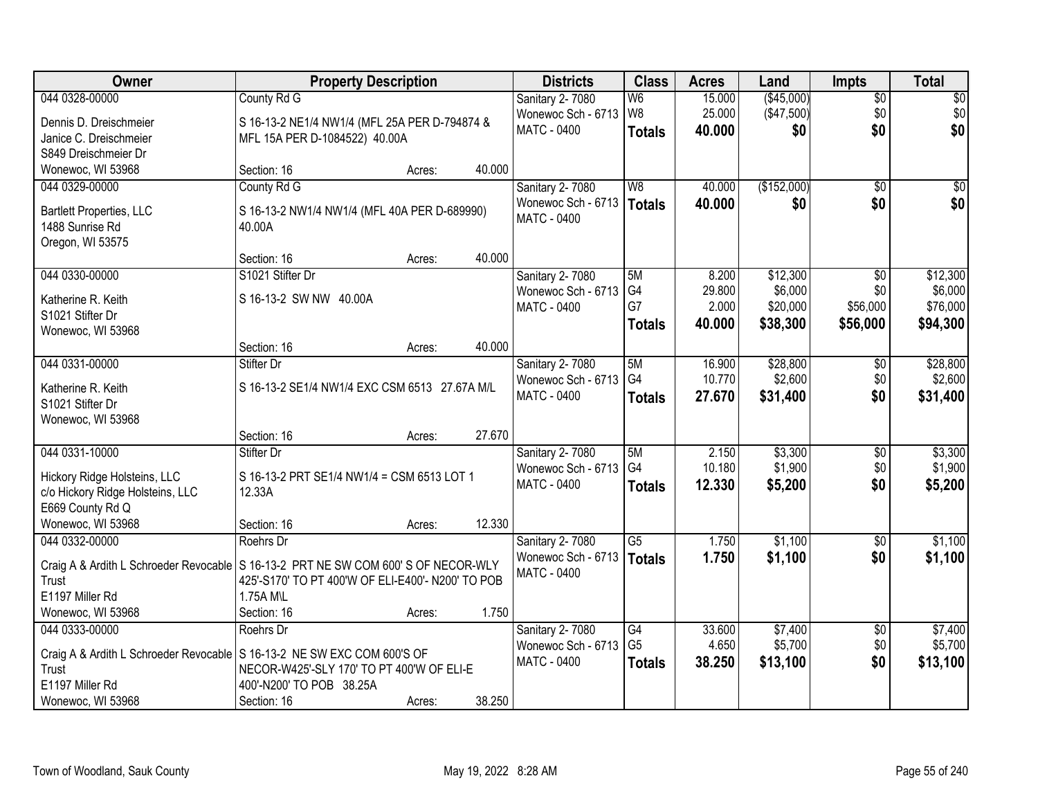| Owner                                                                                | <b>Property Description</b>                       |        |        | <b>Districts</b>                         | <b>Class</b>   | <b>Acres</b> | Land        | <b>Impts</b>    | <b>Total</b> |
|--------------------------------------------------------------------------------------|---------------------------------------------------|--------|--------|------------------------------------------|----------------|--------------|-------------|-----------------|--------------|
| 044 0328-00000                                                                       | County Rd G                                       |        |        | Sanitary 2-7080                          | W <sub>6</sub> | 15.000       | (\$45,000)  | $\overline{$0}$ | \$0          |
| Dennis D. Dreischmeier                                                               | S 16-13-2 NE1/4 NW1/4 (MFL 25A PER D-794874 &     |        |        | Wonewoc Sch - 6713                       | W8             | 25.000       | (\$47,500)  | \$0             | \$0          |
| Janice C. Dreischmeier                                                               | MFL 15A PER D-1084522) 40.00A                     |        |        | <b>MATC - 0400</b>                       | <b>Totals</b>  | 40.000       | \$0         | \$0             | \$0          |
| S849 Dreischmeier Dr                                                                 |                                                   |        |        |                                          |                |              |             |                 |              |
| Wonewoc, WI 53968                                                                    | Section: 16                                       | Acres: | 40.000 |                                          |                |              |             |                 |              |
| 044 0329-00000                                                                       | County Rd G                                       |        |        | Sanitary 2-7080                          | W <sub>8</sub> | 40.000       | (\$152,000) | $\overline{50}$ | \$0          |
|                                                                                      |                                                   |        |        | Wonewoc Sch - 6713                       | Totals         | 40.000       | \$0         | \$0             | \$0          |
| <b>Bartlett Properties, LLC</b>                                                      | S 16-13-2 NW1/4 NW1/4 (MFL 40A PER D-689990)      |        |        | MATC - 0400                              |                |              |             |                 |              |
| 1488 Sunrise Rd                                                                      | 40.00A                                            |        |        |                                          |                |              |             |                 |              |
| Oregon, WI 53575                                                                     | Section: 16                                       |        | 40.000 |                                          |                |              |             |                 |              |
| 044 0330-00000                                                                       | S1021 Stifter Dr                                  | Acres: |        |                                          | 5M             | 8.200        | \$12,300    |                 | \$12,300     |
|                                                                                      |                                                   |        |        | Sanitary 2-7080<br>Wonewoc Sch - 6713    | G4             | 29.800       | \$6,000     | \$0<br>\$0      | \$6,000      |
| Katherine R. Keith                                                                   | S 16-13-2 SW NW 40.00A                            |        |        | MATC - 0400                              | G7             | 2.000        | \$20,000    | \$56,000        | \$76,000     |
| S1021 Stifter Dr                                                                     |                                                   |        |        |                                          | <b>Totals</b>  | 40.000       | \$38,300    | \$56,000        | \$94,300     |
| Wonewoc, WI 53968                                                                    |                                                   |        |        |                                          |                |              |             |                 |              |
|                                                                                      | Section: 16                                       | Acres: | 40.000 |                                          |                |              |             |                 |              |
| 044 0331-00000                                                                       | Stifter Dr                                        |        |        | Sanitary 2-7080                          | 5M             | 16.900       | \$28,800    | $\sqrt[6]{3}$   | \$28,800     |
| Katherine R. Keith                                                                   | S 16-13-2 SE1/4 NW1/4 EXC CSM 6513 27.67A M/L     |        |        | Wonewoc Sch - 6713                       | G <sub>4</sub> | 10.770       | \$2,600     | \$0             | \$2,600      |
| S1021 Stifter Dr                                                                     |                                                   |        |        | MATC - 0400                              | <b>Totals</b>  | 27.670       | \$31,400    | \$0             | \$31,400     |
| Wonewoc, WI 53968                                                                    |                                                   |        |        |                                          |                |              |             |                 |              |
|                                                                                      | Section: 16                                       | Acres: | 27.670 |                                          |                |              |             |                 |              |
| 044 0331-10000                                                                       | Stifter Dr                                        |        |        | Sanitary 2-7080                          | 5M             | 2.150        | \$3,300     | \$0             | \$3,300      |
|                                                                                      |                                                   |        |        | Wonewoc Sch - 6713                       | G <sub>4</sub> | 10.180       | \$1,900     | \$0             | \$1,900      |
| Hickory Ridge Holsteins, LLC                                                         | S 16-13-2 PRT SE1/4 NW1/4 = CSM 6513 LOT 1        |        |        | MATC - 0400                              | <b>Totals</b>  | 12.330       | \$5,200     | \$0             | \$5,200      |
| c/o Hickory Ridge Holsteins, LLC                                                     | 12.33A                                            |        |        |                                          |                |              |             |                 |              |
| E669 County Rd Q                                                                     |                                                   |        |        |                                          |                |              |             |                 |              |
| Wonewoc, WI 53968                                                                    | Section: 16                                       | Acres: | 12.330 |                                          |                |              |             |                 |              |
| 044 0332-00000                                                                       | Roehrs Dr                                         |        |        | Sanitary 2-7080                          | G5             | 1.750        | \$1,100     | \$0             | \$1,100      |
| Craig A & Ardith L Schroeder Revocable   S 16-13-2 PRT NE SW COM 600' S OF NECOR-WLY |                                                   |        |        | Wonewoc Sch - 6713<br><b>MATC - 0400</b> | Totals         | 1.750        | \$1,100     | \$0             | \$1,100      |
| Trust                                                                                | 425'-S170' TO PT 400'W OF ELI-E400'- N200' TO POB |        |        |                                          |                |              |             |                 |              |
| E1197 Miller Rd                                                                      | 1.75A M\L                                         |        |        |                                          |                |              |             |                 |              |
| Wonewoc, WI 53968                                                                    | Section: 16                                       | Acres: | 1.750  |                                          |                |              |             |                 |              |
| 044 0333-00000                                                                       | Roehrs Dr                                         |        |        | Sanitary 2-7080                          | G4             | 33.600       | \$7,400     | $\overline{60}$ | \$7,400      |
| Craig A & Ardith L Schroeder Revocable S 16-13-2 NE SW EXC COM 600'S OF              |                                                   |        |        | Wonewoc Sch - 6713                       | G <sub>5</sub> | 4.650        | \$5,700     | \$0             | \$5,700      |
| Trust                                                                                | NECOR-W425'-SLY 170' TO PT 400'W OF ELI-E         |        |        | <b>MATC - 0400</b>                       | <b>Totals</b>  | 38.250       | \$13,100    | \$0             | \$13,100     |
| E1197 Miller Rd                                                                      | 400'-N200' TO POB 38.25A                          |        |        |                                          |                |              |             |                 |              |
| Wonewoc, WI 53968                                                                    | Section: 16                                       | Acres: | 38.250 |                                          |                |              |             |                 |              |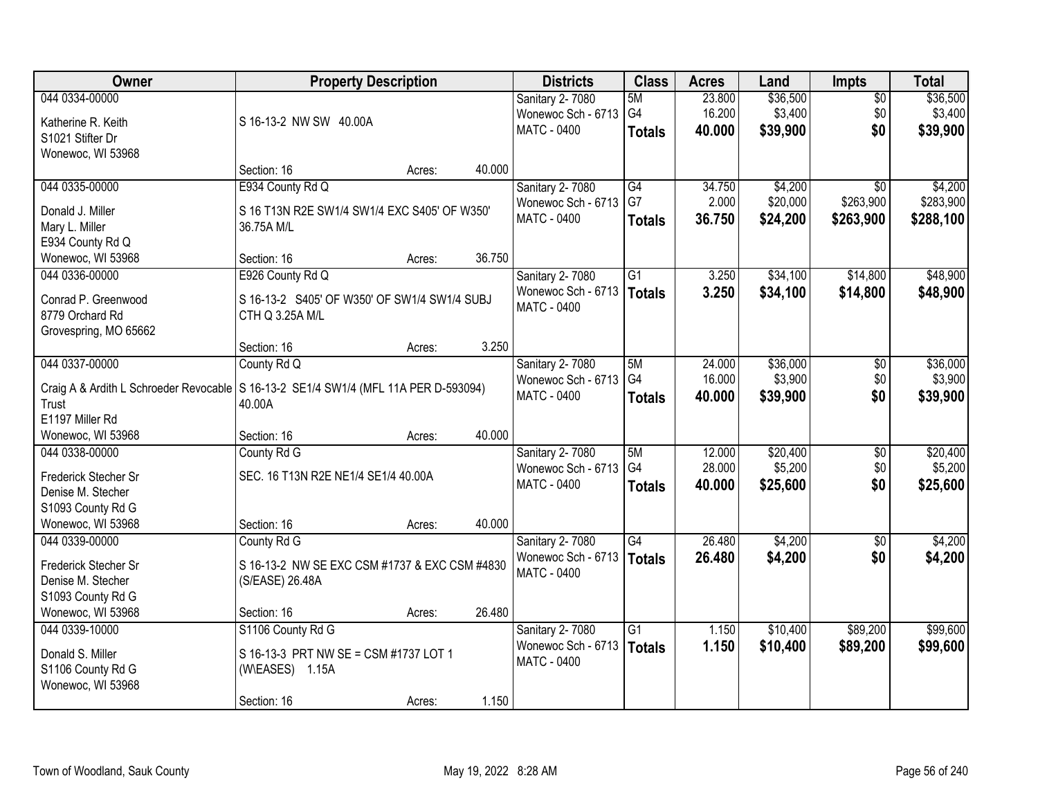| Owner                                           | <b>Property Description</b>                            |        |        | <b>Districts</b>   | <b>Class</b>    | <b>Acres</b> | Land     | <b>Impts</b>    | <b>Total</b> |
|-------------------------------------------------|--------------------------------------------------------|--------|--------|--------------------|-----------------|--------------|----------|-----------------|--------------|
| 044 0334-00000                                  |                                                        |        |        | Sanitary 2-7080    | 5M              | 23.800       | \$36,500 | $\overline{50}$ | \$36,500     |
| Katherine R. Keith                              | S 16-13-2 NW SW 40.00A                                 |        |        | Wonewoc Sch - 6713 | G4              | 16.200       | \$3,400  | \$0             | \$3,400      |
| S1021 Stifter Dr                                |                                                        |        |        | <b>MATC - 0400</b> | <b>Totals</b>   | 40.000       | \$39,900 | \$0             | \$39,900     |
| Wonewoc, WI 53968                               |                                                        |        |        |                    |                 |              |          |                 |              |
|                                                 | Section: 16                                            | Acres: | 40.000 |                    |                 |              |          |                 |              |
| 044 0335-00000                                  | E934 County Rd Q                                       |        |        | Sanitary 2-7080    | G4              | 34.750       | \$4,200  | $\overline{30}$ | \$4,200      |
| Donald J. Miller                                | S 16 T13N R2E SW1/4 SW1/4 EXC S405' OF W350'           |        |        | Wonewoc Sch - 6713 | G7              | 2.000        | \$20,000 | \$263,900       | \$283,900    |
| Mary L. Miller                                  | 36.75A M/L                                             |        |        | MATC - 0400        | <b>Totals</b>   | 36.750       | \$24,200 | \$263,900       | \$288,100    |
| E934 County Rd Q                                |                                                        |        |        |                    |                 |              |          |                 |              |
| Wonewoc, WI 53968                               | Section: 16                                            | Acres: | 36.750 |                    |                 |              |          |                 |              |
| 044 0336-00000                                  | E926 County Rd Q                                       |        |        | Sanitary 2-7080    | G1              | 3.250        | \$34,100 | \$14,800        | \$48,900     |
| Conrad P. Greenwood                             | S 16-13-2 S405' OF W350' OF SW1/4 SW1/4 SUBJ           |        |        | Wonewoc Sch - 6713 | <b>Totals</b>   | 3.250        | \$34,100 | \$14,800        | \$48,900     |
| 8779 Orchard Rd                                 | CTH Q 3.25A M/L                                        |        |        | <b>MATC - 0400</b> |                 |              |          |                 |              |
| Grovespring, MO 65662                           |                                                        |        |        |                    |                 |              |          |                 |              |
|                                                 | Section: 16                                            | Acres: | 3.250  |                    |                 |              |          |                 |              |
| 044 0337-00000                                  | County Rd Q                                            |        |        | Sanitary 2-7080    | 5M              | 24.000       | \$36,000 | $\sqrt[6]{3}$   | \$36,000     |
|                                                 |                                                        |        |        | Wonewoc Sch - 6713 | G4              | 16.000       | \$3,900  | \$0             | \$3,900      |
| Craig A & Ardith L Schroeder Revocable<br>Trust | S 16-13-2 SE1/4 SW1/4 (MFL 11A PER D-593094)<br>40.00A |        |        | <b>MATC - 0400</b> | <b>Totals</b>   | 40.000       | \$39,900 | \$0             | \$39,900     |
| E1197 Miller Rd                                 |                                                        |        |        |                    |                 |              |          |                 |              |
| Wonewoc, WI 53968                               | Section: 16                                            | Acres: | 40.000 |                    |                 |              |          |                 |              |
| 044 0338-00000                                  | County Rd G                                            |        |        | Sanitary 2-7080    | 5M              | 12.000       | \$20,400 | $\overline{30}$ | \$20,400     |
|                                                 |                                                        |        |        | Wonewoc Sch - 6713 | G <sub>4</sub>  | 28.000       | \$5,200  | \$0             | \$5,200      |
| Frederick Stecher Sr                            | SEC. 16 T13N R2E NE1/4 SE1/4 40.00A                    |        |        | MATC - 0400        | <b>Totals</b>   | 40.000       | \$25,600 | \$0             | \$25,600     |
| Denise M. Stecher                               |                                                        |        |        |                    |                 |              |          |                 |              |
| S1093 County Rd G<br>Wonewoc, WI 53968          | Section: 16                                            |        | 40.000 |                    |                 |              |          |                 |              |
| 044 0339-00000                                  | County Rd G                                            | Acres: |        | Sanitary 2-7080    | G4              | 26.480       | \$4,200  | $\sqrt{$0}$     | \$4,200      |
|                                                 |                                                        |        |        | Wonewoc Sch - 6713 | <b>Totals</b>   | 26.480       | \$4,200  | \$0             | \$4,200      |
| Frederick Stecher Sr                            | S 16-13-2 NW SE EXC CSM #1737 & EXC CSM #4830          |        |        | <b>MATC - 0400</b> |                 |              |          |                 |              |
| Denise M. Stecher                               | (S/EASE) 26.48A                                        |        |        |                    |                 |              |          |                 |              |
| S1093 County Rd G                               |                                                        |        |        |                    |                 |              |          |                 |              |
| Wonewoc, WI 53968                               | Section: 16                                            | Acres: | 26.480 |                    |                 |              |          |                 |              |
| 044 0339-10000                                  | S1106 County Rd G                                      |        |        | Sanitary 2-7080    | $\overline{G1}$ | 1.150        | \$10,400 | \$89,200        | \$99,600     |
| Donald S. Miller                                | S 16-13-3 PRT NW SE = CSM #1737 LOT 1                  |        |        | Wonewoc Sch - 6713 | <b>Totals</b>   | 1.150        | \$10,400 | \$89,200        | \$99,600     |
| S1106 County Rd G                               | (W\EASES) 1.15A                                        |        |        | <b>MATC - 0400</b> |                 |              |          |                 |              |
| Wonewoc, WI 53968                               |                                                        |        |        |                    |                 |              |          |                 |              |
|                                                 | Section: 16                                            | Acres: | 1.150  |                    |                 |              |          |                 |              |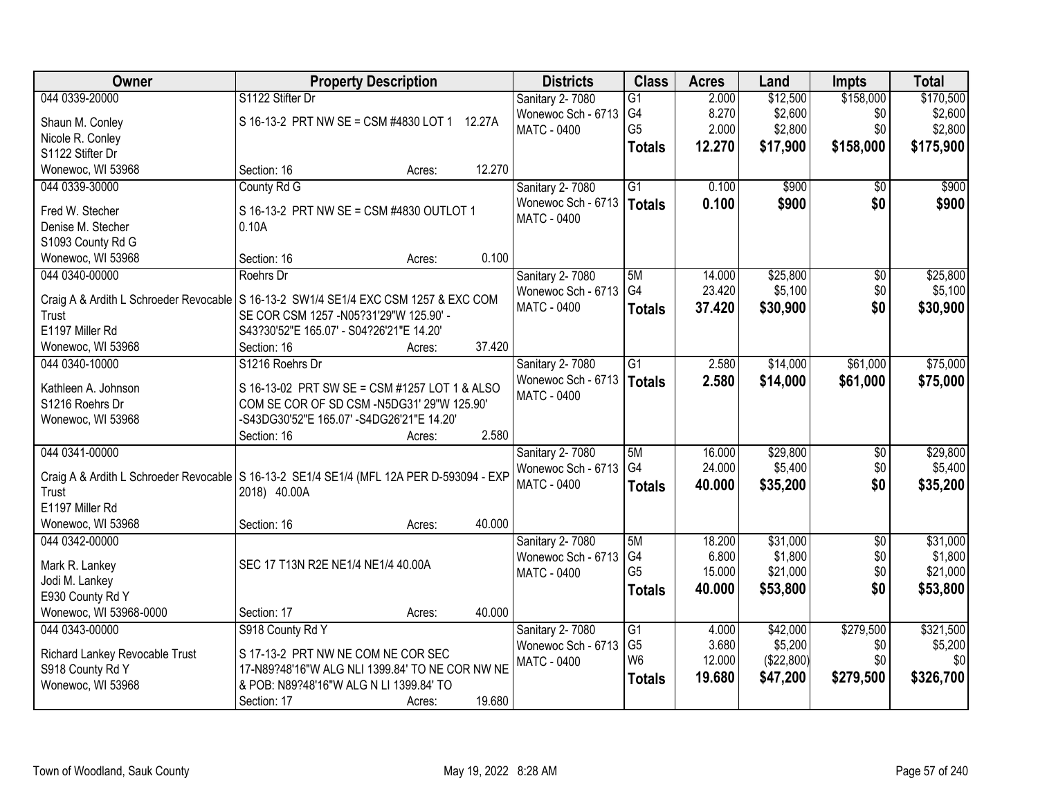| Owner                                                                                    | <b>Property Description</b>                                                             |        |        | <b>Districts</b>            | <b>Class</b>         | <b>Acres</b> | Land       | <b>Impts</b>    | <b>Total</b> |
|------------------------------------------------------------------------------------------|-----------------------------------------------------------------------------------------|--------|--------|-----------------------------|----------------------|--------------|------------|-----------------|--------------|
| 044 0339-20000                                                                           | S1122 Stifter Dr                                                                        |        |        | Sanitary 2-7080             | $\overline{G1}$      | 2.000        | \$12,500   | \$158,000       | \$170,500    |
| Shaun M. Conley                                                                          | S 16-13-2 PRT NW SE = CSM #4830 LOT 1 12.27A                                            |        |        | Wonewoc Sch - 6713          | G4                   | 8.270        | \$2,600    | \$0             | \$2,600      |
| Nicole R. Conley                                                                         |                                                                                         |        |        | <b>MATC - 0400</b>          | G <sub>5</sub>       | 2.000        | \$2,800    | \$0             | \$2,800      |
| S1122 Stifter Dr                                                                         |                                                                                         |        |        |                             | <b>Totals</b>        | 12.270       | \$17,900   | \$158,000       | \$175,900    |
| Wonewoc, WI 53968                                                                        | Section: 16                                                                             | Acres: | 12.270 |                             |                      |              |            |                 |              |
| 044 0339-30000                                                                           | County Rd G                                                                             |        |        | Sanitary 2-7080             | $\overline{G1}$      | 0.100        | \$900      | \$0             | \$900        |
| Fred W. Stecher                                                                          | S 16-13-2 PRT NW SE = CSM #4830 OUTLOT 1                                                |        |        | Wonewoc Sch - 6713   Totals |                      | 0.100        | \$900      | \$0             | \$900        |
| Denise M. Stecher                                                                        | 0.10A                                                                                   |        |        | MATC - 0400                 |                      |              |            |                 |              |
| S1093 County Rd G                                                                        |                                                                                         |        |        |                             |                      |              |            |                 |              |
| Wonewoc, WI 53968                                                                        | Section: 16                                                                             | Acres: | 0.100  |                             |                      |              |            |                 |              |
| 044 0340-00000                                                                           | Roehrs Dr                                                                               |        |        | Sanitary 2-7080             | 5M                   | 14.000       | \$25,800   | $\overline{50}$ | \$25,800     |
|                                                                                          |                                                                                         |        |        | Wonewoc Sch - 6713          | G <sub>4</sub>       | 23.420       | \$5,100    | \$0             | \$5,100      |
| Craig A & Ardith L Schroeder Revocable<br>Trust                                          | S 16-13-2 SW1/4 SE1/4 EXC CSM 1257 & EXC COM<br>SE COR CSM 1257 - N05?31'29"W 125.90' - |        |        | MATC - 0400                 | <b>Totals</b>        | 37.420       | \$30,900   | \$0             | \$30,900     |
| E1197 Miller Rd                                                                          | S43?30'52"E 165.07' - S04?26'21"E 14.20'                                                |        |        |                             |                      |              |            |                 |              |
| Wonewoc, WI 53968                                                                        | Section: 16                                                                             | Acres: | 37.420 |                             |                      |              |            |                 |              |
| 044 0340-10000                                                                           | S1216 Roehrs Dr                                                                         |        |        | Sanitary 2-7080             | $\overline{G1}$      | 2.580        | \$14,000   | \$61,000        | \$75,000     |
|                                                                                          |                                                                                         |        |        | Wonewoc Sch - 6713          | <b>Totals</b>        | 2.580        | \$14,000   | \$61,000        | \$75,000     |
| Kathleen A. Johnson                                                                      | S 16-13-02 PRT SW SE = CSM #1257 LOT 1 & ALSO                                           |        |        | <b>MATC - 0400</b>          |                      |              |            |                 |              |
| S1216 Roehrs Dr                                                                          | COM SE COR OF SD CSM -N5DG31' 29"W 125.90"                                              |        |        |                             |                      |              |            |                 |              |
| Wonewoc, WI 53968                                                                        | -S43DG30'52"E 165.07' -S4DG26'21"E 14.20'                                               |        |        |                             |                      |              |            |                 |              |
|                                                                                          | Section: 16                                                                             | Acres: | 2.580  |                             |                      |              |            |                 |              |
| 044 0341-00000                                                                           |                                                                                         |        |        | Sanitary 2-7080             | 5M<br>G <sub>4</sub> | 16.000       | \$29,800   | $\overline{50}$ | \$29,800     |
| Craig A & Ardith L Schroeder Revocable S 16-13-2 SE1/4 SE1/4 (MFL 12A PER D-593094 - EXP |                                                                                         |        |        | Wonewoc Sch - 6713          |                      | 24.000       | \$5,400    | \$0             | \$5,400      |
| Trust                                                                                    | 2018) 40.00A                                                                            |        |        | <b>MATC - 0400</b>          | <b>Totals</b>        | 40.000       | \$35,200   | \$0             | \$35,200     |
| E1197 Miller Rd                                                                          |                                                                                         |        |        |                             |                      |              |            |                 |              |
| Wonewoc, WI 53968                                                                        | Section: 16                                                                             | Acres: | 40.000 |                             |                      |              |            |                 |              |
| 044 0342-00000                                                                           |                                                                                         |        |        | Sanitary 2-7080             | 5M                   | 18.200       | \$31,000   | $\overline{50}$ | \$31,000     |
| Mark R. Lankey                                                                           | SEC 17 T13N R2E NE1/4 NE1/4 40.00A                                                      |        |        | Wonewoc Sch - 6713          | G <sub>4</sub>       | 6.800        | \$1,800    | \$0             | \$1,800      |
| Jodi M. Lankey                                                                           |                                                                                         |        |        | <b>MATC - 0400</b>          | G <sub>5</sub>       | 15.000       | \$21,000   | \$0             | \$21,000     |
| E930 County Rd Y                                                                         |                                                                                         |        |        |                             | <b>Totals</b>        | 40.000       | \$53,800   | \$0             | \$53,800     |
| Wonewoc, WI 53968-0000                                                                   | Section: 17                                                                             | Acres: | 40.000 |                             |                      |              |            |                 |              |
| 044 0343-00000                                                                           | S918 County Rd Y                                                                        |        |        | Sanitary 2-7080             | G <sub>1</sub>       | 4.000        | \$42,000   | \$279,500       | \$321,500    |
| Richard Lankey Revocable Trust                                                           | S 17-13-2 PRT NW NE COM NE COR SEC                                                      |        |        | Wonewoc Sch - 6713          | G <sub>5</sub>       | 3.680        | \$5,200    | \$0             | \$5,200      |
| S918 County Rd Y                                                                         | 17-N89?48'16"W ALG NLI 1399.84' TO NE COR NW NE                                         |        |        | <b>MATC - 0400</b>          | W <sub>6</sub>       | 12.000       | (\$22,800) | \$0             | \$0          |
| Wonewoc, WI 53968                                                                        | & POB: N89?48'16"W ALG N LI 1399.84' TO                                                 |        |        |                             | <b>Totals</b>        | 19.680       | \$47,200   | \$279,500       | \$326,700    |
|                                                                                          | Section: 17                                                                             | Acres: | 19.680 |                             |                      |              |            |                 |              |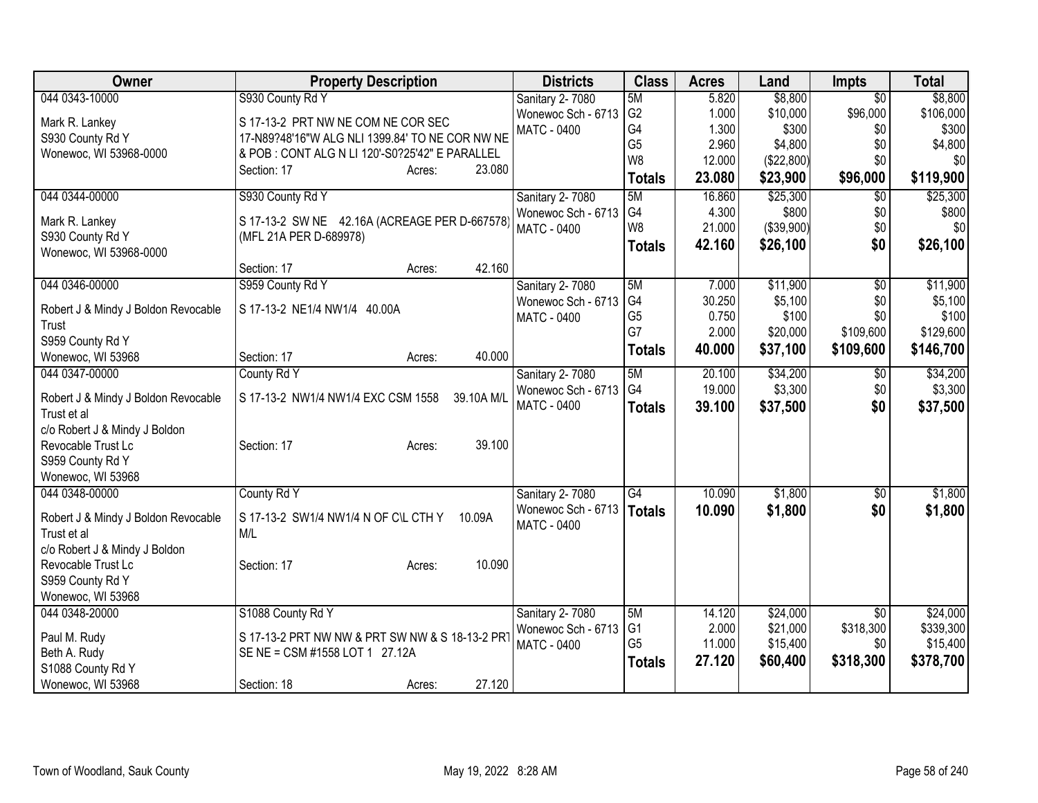| <b>Owner</b>                        | <b>Property Description</b>                      | <b>Districts</b>   | <b>Class</b>   | <b>Acres</b> | Land       | <b>Impts</b>    | <b>Total</b> |
|-------------------------------------|--------------------------------------------------|--------------------|----------------|--------------|------------|-----------------|--------------|
| 044 0343-10000                      | S930 County Rd Y                                 | Sanitary 2-7080    | 5M             | 5.820        | \$8,800    | $\overline{50}$ | \$8,800      |
| Mark R. Lankey                      | S 17-13-2 PRT NW NE COM NE COR SEC               | Wonewoc Sch - 6713 | G <sub>2</sub> | 1.000        | \$10,000   | \$96,000        | \$106,000    |
| S930 County Rd Y                    | 17-N89?48'16"W ALG NLI 1399.84' TO NE COR NW NE  | <b>MATC - 0400</b> | G4             | 1.300        | \$300      | \$0             | \$300        |
| Wonewoc, WI 53968-0000              | & POB : CONT ALG N LI 120'-S0?25'42" E PARALLEL  |                    | G <sub>5</sub> | 2.960        | \$4,800    | \$0             | \$4,800      |
|                                     | 23.080<br>Section: 17<br>Acres:                  |                    | W8             | 12.000       | (\$22,800) | \$0             | \$0          |
|                                     |                                                  |                    | <b>Totals</b>  | 23.080       | \$23,900   | \$96,000        | \$119,900    |
| 044 0344-00000                      | S930 County Rd Y                                 | Sanitary 2-7080    | 5M             | 16.860       | \$25,300   | $\overline{30}$ | \$25,300     |
| Mark R. Lankey                      | S 17-13-2 SW NE 42.16A (ACREAGE PER D-667578     | Wonewoc Sch - 6713 | G4             | 4.300        | \$800      | \$0             | \$800        |
| S930 County Rd Y                    | (MFL 21A PER D-689978)                           | <b>MATC - 0400</b> | W <sub>8</sub> | 21.000       | (\$39,900) | \$0             | \$0          |
| Wonewoc, WI 53968-0000              |                                                  |                    | <b>Totals</b>  | 42.160       | \$26,100   | \$0             | \$26,100     |
|                                     | 42.160<br>Section: 17<br>Acres:                  |                    |                |              |            |                 |              |
| 044 0346-00000                      | S959 County Rd Y                                 | Sanitary 2-7080    | 5M             | 7.000        | \$11,900   | $\overline{50}$ | \$11,900     |
| Robert J & Mindy J Boldon Revocable | S 17-13-2 NE1/4 NW1/4 40.00A                     | Wonewoc Sch - 6713 | G <sub>4</sub> | 30.250       | \$5,100    | \$0             | \$5,100      |
| Trust                               |                                                  | <b>MATC - 0400</b> | G <sub>5</sub> | 0.750        | \$100      | \$0             | \$100        |
| S959 County Rd Y                    |                                                  |                    | G7             | 2.000        | \$20,000   | \$109,600       | \$129,600    |
| Wonewoc, WI 53968                   | 40.000<br>Section: 17<br>Acres:                  |                    | <b>Totals</b>  | 40.000       | \$37,100   | \$109,600       | \$146,700    |
| 044 0347-00000                      | County Rd Y                                      | Sanitary 2-7080    | 5M             | 20.100       | \$34,200   | $\overline{30}$ | \$34,200     |
|                                     |                                                  | Wonewoc Sch - 6713 | G4             | 19.000       | \$3,300    | \$0             | \$3,300      |
| Robert J & Mindy J Boldon Revocable | S 17-13-2 NW1/4 NW1/4 EXC CSM 1558<br>39.10A M/L | <b>MATC - 0400</b> | <b>Totals</b>  | 39.100       | \$37,500   | \$0             | \$37,500     |
| Trust et al                         |                                                  |                    |                |              |            |                 |              |
| c/o Robert J & Mindy J Boldon       |                                                  |                    |                |              |            |                 |              |
| Revocable Trust Lc                  | 39.100<br>Section: 17<br>Acres:                  |                    |                |              |            |                 |              |
| S959 County Rd Y                    |                                                  |                    |                |              |            |                 |              |
| Wonewoc, WI 53968                   |                                                  |                    |                |              |            |                 |              |
| 044 0348-00000                      | County Rd Y                                      | Sanitary 2-7080    | G4             | 10.090       | \$1,800    | $\overline{50}$ | \$1,800      |
| Robert J & Mindy J Boldon Revocable | S 17-13-2 SW1/4 NW1/4 N OF C\L CTH Y<br>10.09A   | Wonewoc Sch - 6713 | <b>Totals</b>  | 10.090       | \$1,800    | \$0             | \$1,800      |
| Trust et al                         | M/L                                              | <b>MATC - 0400</b> |                |              |            |                 |              |
| c/o Robert J & Mindy J Boldon       |                                                  |                    |                |              |            |                 |              |
| Revocable Trust Lc                  | 10.090<br>Section: 17<br>Acres:                  |                    |                |              |            |                 |              |
| S959 County Rd Y                    |                                                  |                    |                |              |            |                 |              |
| Wonewoc, WI 53968                   |                                                  |                    |                |              |            |                 |              |
| 044 0348-20000                      | S1088 County Rd Y                                | Sanitary 2-7080    | 5M             | 14.120       | \$24,000   | $\overline{50}$ | \$24,000     |
| Paul M. Rudy                        | S 17-13-2 PRT NW NW & PRT SW NW & S 18-13-2 PRT  | Wonewoc Sch - 6713 | G <sub>1</sub> | 2.000        | \$21,000   | \$318,300       | \$339,300    |
| Beth A. Rudy                        | SE NE = CSM #1558 LOT 1 27.12A                   | <b>MATC - 0400</b> | G <sub>5</sub> | 11.000       | \$15,400   | \$0             | \$15,400     |
| S1088 County Rd Y                   |                                                  |                    | <b>Totals</b>  | 27.120       | \$60,400   | \$318,300       | \$378,700    |
| Wonewoc, WI 53968                   | 27.120<br>Section: 18<br>Acres:                  |                    |                |              |            |                 |              |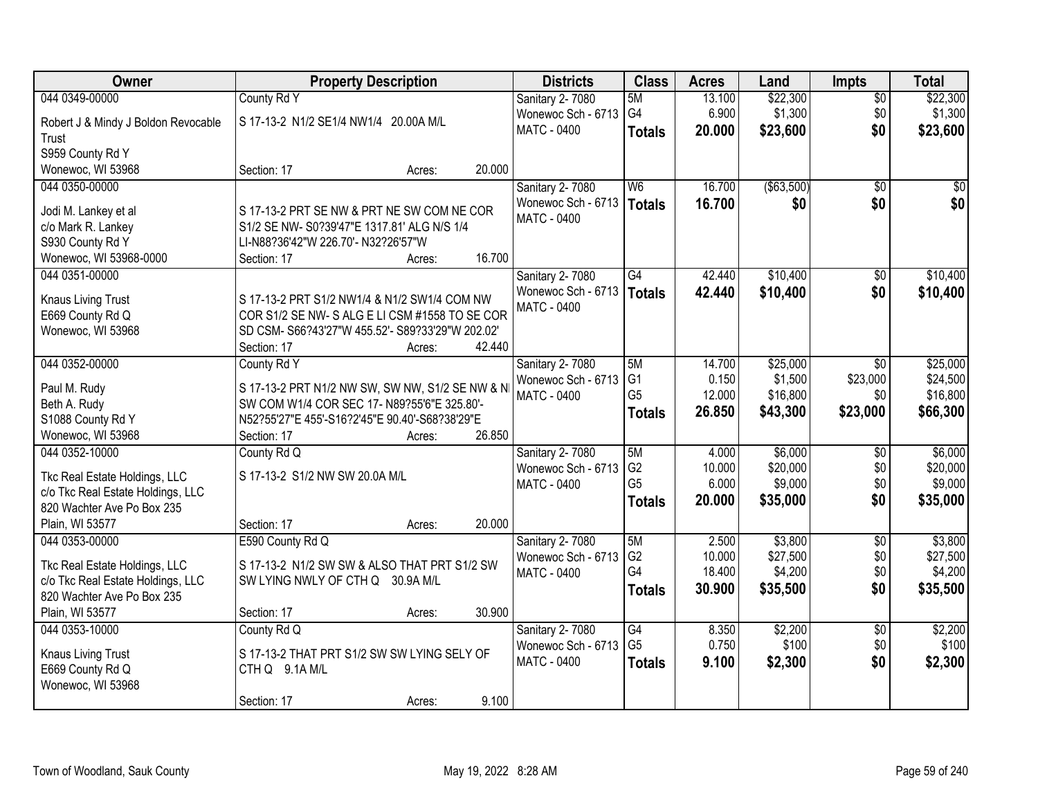| <b>Owner</b>                             | <b>Property Description</b>                      |        |        | <b>Districts</b>                         | <b>Class</b>         | <b>Acres</b>     | Land                | <b>Impts</b>    | <b>Total</b>        |
|------------------------------------------|--------------------------------------------------|--------|--------|------------------------------------------|----------------------|------------------|---------------------|-----------------|---------------------|
| 044 0349-00000                           | County Rd Y                                      |        |        | Sanitary 2-7080                          | 5M                   | 13.100           | \$22,300            | $\overline{50}$ | \$22,300            |
| Robert J & Mindy J Boldon Revocable      | S 17-13-2 N1/2 SE1/4 NW1/4 20.00A M/L            |        |        | Wonewoc Sch - 6713                       | G <sub>4</sub>       | 6.900            | \$1,300             | \$0             | \$1,300             |
| Trust                                    |                                                  |        |        | <b>MATC - 0400</b>                       | <b>Totals</b>        | 20.000           | \$23,600            | \$0             | \$23,600            |
| S959 County Rd Y                         |                                                  |        |        |                                          |                      |                  |                     |                 |                     |
| Wonewoc, WI 53968                        | Section: 17                                      | Acres: | 20.000 |                                          |                      |                  |                     |                 |                     |
| 044 0350-00000                           |                                                  |        |        | Sanitary 2-7080                          | W <sub>6</sub>       | 16.700           | ( \$63,500)         | $\overline{50}$ | $\overline{50}$     |
|                                          |                                                  |        |        | Wonewoc Sch - 6713                       | Totals               | 16.700           | \$0                 | \$0             | \$0                 |
| Jodi M. Lankey et al                     | S 17-13-2 PRT SE NW & PRT NE SW COM NE COR       |        |        | MATC - 0400                              |                      |                  |                     |                 |                     |
| c/o Mark R. Lankey                       | S1/2 SE NW- S0?39'47"E 1317.81' ALG N/S 1/4      |        |        |                                          |                      |                  |                     |                 |                     |
| S930 County Rd Y                         | LI-N88?36'42"W 226.70'- N32?26'57"W              |        |        |                                          |                      |                  |                     |                 |                     |
| Wonewoc, WI 53968-0000<br>044 0351-00000 | Section: 17                                      | Acres: | 16.700 |                                          |                      |                  |                     |                 |                     |
|                                          |                                                  |        |        | Sanitary 2-7080                          | G4                   | 42,440           | \$10,400            | \$0             | \$10,400            |
| Knaus Living Trust                       | S 17-13-2 PRT S1/2 NW1/4 & N1/2 SW1/4 COM NW     |        |        | Wonewoc Sch - 6713<br><b>MATC - 0400</b> | <b>Totals</b>        | 42.440           | \$10,400            | \$0             | \$10,400            |
| E669 County Rd Q                         | COR S1/2 SE NW-S ALG E LI CSM #1558 TO SE COR    |        |        |                                          |                      |                  |                     |                 |                     |
| Wonewoc, WI 53968                        | SD CSM- S66?43'27"W 455.52'- S89?33'29"W 202.02' |        |        |                                          |                      |                  |                     |                 |                     |
|                                          | Section: 17                                      | Acres: | 42.440 |                                          |                      |                  |                     |                 |                     |
| 044 0352-00000                           | County Rd Y                                      |        |        | Sanitary 2-7080                          | 5M                   | 14.700           | \$25,000            | $\sqrt{6}$      | \$25,000            |
| Paul M. Rudy                             | S 17-13-2 PRT N1/2 NW SW, SW NW, S1/2 SE NW & N  |        |        | Wonewoc Sch - 6713                       | G <sub>1</sub>       | 0.150            | \$1,500             | \$23,000        | \$24,500            |
| Beth A. Rudy                             | SW COM W1/4 COR SEC 17- N89?55'6"E 325.80'-      |        |        | MATC - 0400                              | G <sub>5</sub>       | 12.000           | \$16,800            | \$0             | \$16,800            |
| S1088 County Rd Y                        | N52?55'27"E 455'-S16?2'45"E 90.40'-S68?38'29"E   |        |        |                                          | <b>Totals</b>        | 26.850           | \$43,300            | \$23,000        | \$66,300            |
| Wonewoc, WI 53968                        | Section: 17                                      | Acres: | 26.850 |                                          |                      |                  |                     |                 |                     |
| 044 0352-10000                           | County Rd Q                                      |        |        | Sanitary 2-7080                          | 5M                   | 4.000            | \$6,000             | $\overline{50}$ | \$6,000             |
|                                          |                                                  |        |        | Wonewoc Sch - 6713                       | G <sub>2</sub>       | 10.000           | \$20,000            | \$0             | \$20,000            |
| Tkc Real Estate Holdings, LLC            | S 17-13-2 S1/2 NW SW 20.0A M/L                   |        |        | <b>MATC - 0400</b>                       | G <sub>5</sub>       | 6.000            | \$9,000             | \$0             | \$9,000             |
| c/o Tkc Real Estate Holdings, LLC        |                                                  |        |        |                                          | <b>Totals</b>        | 20.000           | \$35,000            | \$0             | \$35,000            |
| 820 Wachter Ave Po Box 235               |                                                  |        |        |                                          |                      |                  |                     |                 |                     |
| Plain, WI 53577                          | Section: 17                                      | Acres: | 20.000 |                                          |                      |                  |                     |                 |                     |
| 044 0353-00000                           | E590 County Rd Q                                 |        |        | Sanitary 2-7080                          | 5M<br>G <sub>2</sub> | 2.500            | \$3,800             | $\overline{50}$ | \$3,800<br>\$27,500 |
| Tkc Real Estate Holdings, LLC            | S 17-13-2 N1/2 SW SW & ALSO THAT PRT S1/2 SW     |        |        | Wonewoc Sch - 6713                       | G4                   | 10.000<br>18.400 | \$27,500<br>\$4,200 | \$0<br>\$0      | \$4,200             |
| c/o Tkc Real Estate Holdings, LLC        | SW LYING NWLY OF CTH Q 30.9A M/L                 |        |        | <b>MATC - 0400</b>                       | <b>Totals</b>        | 30.900           | \$35,500            | \$0             | \$35,500            |
| 820 Wachter Ave Po Box 235               |                                                  |        |        |                                          |                      |                  |                     |                 |                     |
| Plain, WI 53577                          | Section: 17                                      | Acres: | 30.900 |                                          |                      |                  |                     |                 |                     |
| 044 0353-10000                           | County Rd Q                                      |        |        | Sanitary 2-7080                          | G4                   | 8.350            | \$2,200             | $\overline{30}$ | \$2,200             |
| <b>Knaus Living Trust</b>                | S 17-13-2 THAT PRT S1/2 SW SW LYING SELY OF      |        |        | Wonewoc Sch - 6713                       | G <sub>5</sub>       | 0.750            | \$100               | \$0             | \$100               |
| E669 County Rd Q                         | CTH Q 9.1A M/L                                   |        |        | MATC - 0400                              | <b>Totals</b>        | 9.100            | \$2,300             | \$0             | \$2,300             |
| Wonewoc, WI 53968                        |                                                  |        |        |                                          |                      |                  |                     |                 |                     |
|                                          | Section: 17                                      | Acres: | 9.100  |                                          |                      |                  |                     |                 |                     |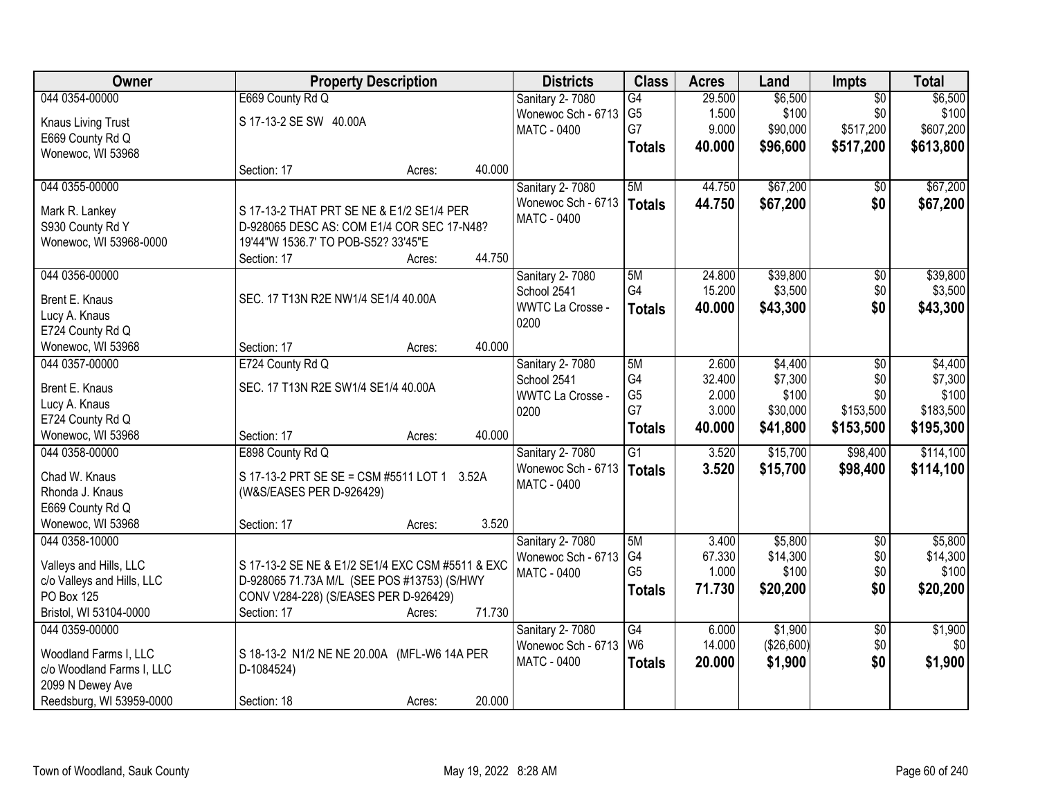| Owner                      |                                                  | <b>Property Description</b> |        | <b>Districts</b>        | <b>Class</b>    | <b>Acres</b> | Land       | Impts           | <b>Total</b> |
|----------------------------|--------------------------------------------------|-----------------------------|--------|-------------------------|-----------------|--------------|------------|-----------------|--------------|
| 044 0354-00000             | E669 County Rd Q                                 |                             |        | Sanitary 2-7080         | G4              | 29.500       | \$6,500    | $\overline{50}$ | \$6,500      |
| <b>Knaus Living Trust</b>  | S 17-13-2 SE SW 40.00A                           |                             |        | Wonewoc Sch - 6713      | G <sub>5</sub>  | 1.500        | \$100      | \$0             | \$100        |
| E669 County Rd Q           |                                                  |                             |        | <b>MATC - 0400</b>      | G7              | 9.000        | \$90,000   | \$517,200       | \$607,200    |
| Wonewoc, WI 53968          |                                                  |                             |        |                         | <b>Totals</b>   | 40.000       | \$96,600   | \$517,200       | \$613,800    |
|                            | Section: 17                                      | Acres:                      | 40.000 |                         |                 |              |            |                 |              |
| 044 0355-00000             |                                                  |                             |        | Sanitary 2-7080         | 5M              | 44.750       | \$67,200   | \$0             | \$67,200     |
| Mark R. Lankey             | S 17-13-2 THAT PRT SE NE & E1/2 SE1/4 PER        |                             |        | Wonewoc Sch - 6713      | <b>Totals</b>   | 44.750       | \$67,200   | \$0             | \$67,200     |
| S930 County Rd Y           | D-928065 DESC AS: COM E1/4 COR SEC 17-N48?       |                             |        | <b>MATC - 0400</b>      |                 |              |            |                 |              |
| Wonewoc, WI 53968-0000     | 19'44"W 1536.7' TO POB-S52? 33'45"E              |                             |        |                         |                 |              |            |                 |              |
|                            | Section: 17                                      | Acres:                      | 44.750 |                         |                 |              |            |                 |              |
| 044 0356-00000             |                                                  |                             |        | <b>Sanitary 2-7080</b>  | 5M              | 24.800       | \$39,800   | $\overline{50}$ | \$39,800     |
| Brent E. Knaus             | SEC. 17 T13N R2E NW1/4 SE1/4 40.00A              |                             |        | School 2541             | G4              | 15.200       | \$3,500    | \$0             | \$3,500      |
| Lucy A. Knaus              |                                                  |                             |        | WWTC La Crosse -        | <b>Totals</b>   | 40.000       | \$43,300   | \$0             | \$43,300     |
| E724 County Rd Q           |                                                  |                             |        | 0200                    |                 |              |            |                 |              |
| Wonewoc, WI 53968          | Section: 17                                      | Acres:                      | 40.000 |                         |                 |              |            |                 |              |
| 044 0357-00000             | E724 County Rd Q                                 |                             |        | Sanitary 2-7080         | 5M              | 2.600        | \$4,400    | \$0             | \$4,400      |
| Brent E. Knaus             | SEC. 17 T13N R2E SW1/4 SE1/4 40.00A              |                             |        | School 2541             | G4              | 32.400       | \$7,300    | \$0             | \$7,300      |
| Lucy A. Knaus              |                                                  |                             |        | <b>WWTC La Crosse -</b> | G <sub>5</sub>  | 2.000        | \$100      | \$0             | \$100        |
| E724 County Rd Q           |                                                  |                             |        | 0200                    | G7              | 3.000        | \$30,000   | \$153,500       | \$183,500    |
| Wonewoc, WI 53968          | Section: 17                                      | Acres:                      | 40.000 |                         | <b>Totals</b>   | 40.000       | \$41,800   | \$153,500       | \$195,300    |
| 044 0358-00000             | E898 County Rd Q                                 |                             |        | <b>Sanitary 2-7080</b>  | $\overline{G1}$ | 3.520        | \$15,700   | \$98,400        | \$114,100    |
| Chad W. Knaus              | S 17-13-2 PRT SE SE = CSM #5511 LOT 1 3.52A      |                             |        | Wonewoc Sch - 6713      | <b>Totals</b>   | 3.520        | \$15,700   | \$98,400        | \$114,100    |
| Rhonda J. Knaus            | (W&S/EASES PER D-926429)                         |                             |        | MATC - 0400             |                 |              |            |                 |              |
| E669 County Rd Q           |                                                  |                             |        |                         |                 |              |            |                 |              |
| Wonewoc, WI 53968          | Section: 17                                      | Acres:                      | 3.520  |                         |                 |              |            |                 |              |
| 044 0358-10000             |                                                  |                             |        | Sanitary 2-7080         | 5M              | 3.400        | \$5,800    | $\overline{50}$ | \$5,800      |
| Valleys and Hills, LLC     | S 17-13-2 SE NE & E1/2 SE1/4 EXC CSM #5511 & EXC |                             |        | Wonewoc Sch - 6713      | G4              | 67.330       | \$14,300   | \$0             | \$14,300     |
| c/o Valleys and Hills, LLC | D-928065 71.73A M/L (SEE POS #13753) (S/HWY      |                             |        | <b>MATC - 0400</b>      | G <sub>5</sub>  | 1.000        | \$100      | \$0             | \$100        |
| PO Box 125                 | CONV V284-228) (S/EASES PER D-926429)            |                             |        |                         | <b>Totals</b>   | 71.730       | \$20,200   | \$0             | \$20,200     |
| Bristol, WI 53104-0000     | Section: 17                                      | Acres:                      | 71.730 |                         |                 |              |            |                 |              |
| 044 0359-00000             |                                                  |                             |        | <b>Sanitary 2-7080</b>  | $\overline{G4}$ | 6.000        | \$1,900    | $\overline{50}$ | \$1,900      |
| Woodland Farms I, LLC      | S 18-13-2 N1/2 NE NE 20.00A (MFL-W6 14A PER      |                             |        | Wonewoc Sch - 6713      | W <sub>6</sub>  | 14.000       | (\$26,600) | \$0             | \$0          |
| c/o Woodland Farms I, LLC  | D-1084524)                                       |                             |        | <b>MATC - 0400</b>      | <b>Totals</b>   | 20.000       | \$1,900    | \$0             | \$1,900      |
| 2099 N Dewey Ave           |                                                  |                             |        |                         |                 |              |            |                 |              |
| Reedsburg, WI 53959-0000   | Section: 18                                      | Acres:                      | 20.000 |                         |                 |              |            |                 |              |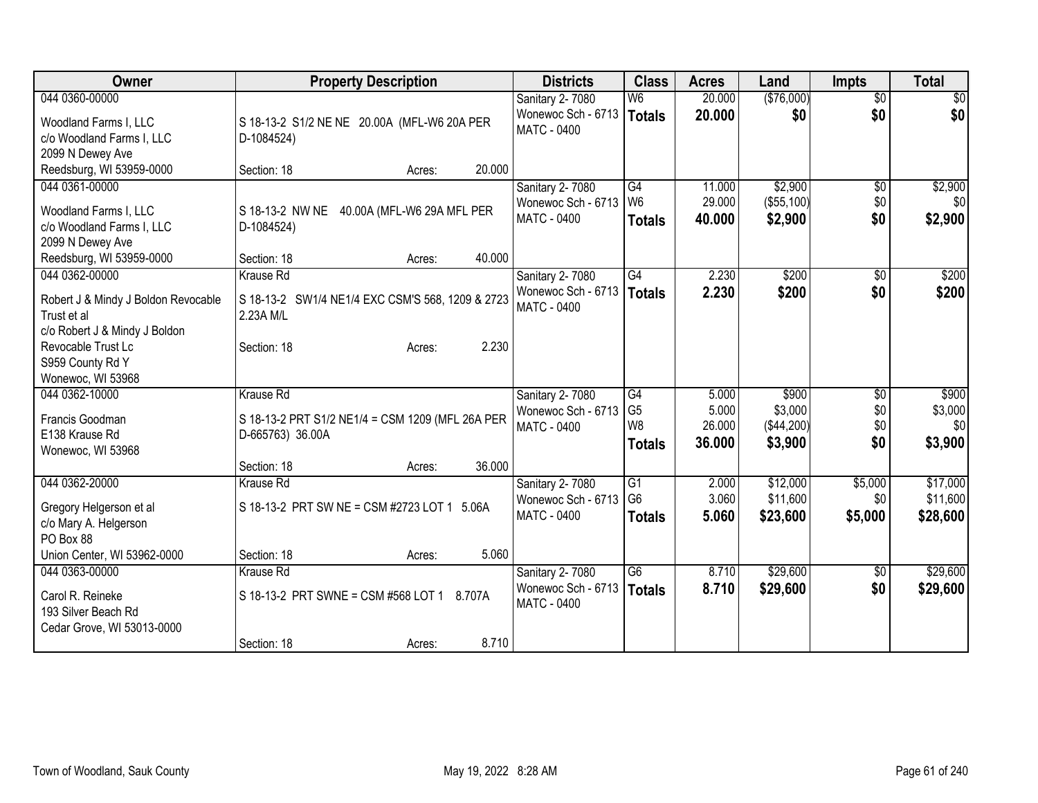| Owner                               | <b>Property Description</b>                      | <b>Districts</b>   | <b>Class</b>                     | <b>Acres</b> | Land       | <b>Impts</b>    | <b>Total</b> |
|-------------------------------------|--------------------------------------------------|--------------------|----------------------------------|--------------|------------|-----------------|--------------|
| 044 0360-00000                      |                                                  | Sanitary 2-7080    | W <sub>6</sub>                   | 20.000       | (\$76,000) | $\overline{50}$ | \$0          |
| Woodland Farms I, LLC               | S 18-13-2 S1/2 NE NE 20.00A (MFL-W6 20A PER      | Wonewoc Sch - 6713 | <b>Totals</b>                    | 20,000       | \$0        | \$0             | \$0          |
| c/o Woodland Farms I, LLC           | D-1084524)                                       | <b>MATC - 0400</b> |                                  |              |            |                 |              |
| 2099 N Dewey Ave                    |                                                  |                    |                                  |              |            |                 |              |
| Reedsburg, WI 53959-0000            | 20.000<br>Section: 18<br>Acres:                  |                    |                                  |              |            |                 |              |
| 044 0361-00000                      |                                                  | Sanitary 2-7080    | G4                               | 11.000       | \$2,900    | \$0             | \$2,900      |
| Woodland Farms I, LLC               | S 18-13-2 NW NE<br>40.00A (MFL-W6 29A MFL PER    | Wonewoc Sch - 6713 | l W6                             | 29.000       | (\$55,100) | \$0             | \$0          |
| c/o Woodland Farms I, LLC           | D-1084524)                                       | MATC - 0400        | <b>Totals</b>                    | 40.000       | \$2,900    | \$0             | \$2,900      |
| 2099 N Dewey Ave                    |                                                  |                    |                                  |              |            |                 |              |
| Reedsburg, WI 53959-0000            | 40.000<br>Section: 18<br>Acres:                  |                    |                                  |              |            |                 |              |
| 044 0362-00000                      | <b>Krause Rd</b>                                 | Sanitary 2-7080    | $\overline{G4}$                  | 2.230        | \$200      | $\sqrt[6]{}$    | \$200        |
| Robert J & Mindy J Boldon Revocable | S 18-13-2 SW1/4 NE1/4 EXC CSM'S 568, 1209 & 2723 | Wonewoc Sch - 6713 | Totals                           | 2.230        | \$200      | \$0             | \$200        |
| Trust et al                         | 2.23A M/L                                        | MATC - 0400        |                                  |              |            |                 |              |
| c/o Robert J & Mindy J Boldon       |                                                  |                    |                                  |              |            |                 |              |
| Revocable Trust Lc                  | 2.230<br>Section: 18<br>Acres:                   |                    |                                  |              |            |                 |              |
| S959 County Rd Y                    |                                                  |                    |                                  |              |            |                 |              |
| Wonewoc, WI 53968                   |                                                  |                    |                                  |              |            |                 |              |
| 044 0362-10000                      | Krause Rd                                        | Sanitary 2-7080    | G4                               | 5.000        | \$900      | \$0             | \$900        |
| Francis Goodman                     | S 18-13-2 PRT S1/2 NE1/4 = CSM 1209 (MFL 26A PER | Wonewoc Sch - 6713 | G <sub>5</sub><br>W <sub>8</sub> | 5.000        | \$3,000    | \$0             | \$3,000      |
| E138 Krause Rd                      | D-665763) 36.00A                                 | <b>MATC - 0400</b> |                                  | 26.000       | (\$44,200) | \$0<br>\$0      | \$0          |
| Wonewoc, WI 53968                   |                                                  |                    | <b>Totals</b>                    | 36.000       | \$3,900    |                 | \$3,900      |
|                                     | 36.000<br>Section: 18<br>Acres:                  |                    |                                  |              |            |                 |              |
| 044 0362-20000                      | <b>Krause Rd</b>                                 | Sanitary 2-7080    | $\overline{G1}$                  | 2.000        | \$12,000   | \$5,000         | \$17,000     |
| Gregory Helgerson et al             | S 18-13-2 PRT SW NE = CSM #2723 LOT 1 5.06A      | Wonewoc Sch - 6713 | G <sub>6</sub>                   | 3.060        | \$11,600   | \$0             | \$11,600     |
| c/o Mary A. Helgerson               |                                                  | MATC - 0400        | <b>Totals</b>                    | 5.060        | \$23,600   | \$5,000         | \$28,600     |
| PO Box 88                           |                                                  |                    |                                  |              |            |                 |              |
| Union Center, WI 53962-0000         | 5.060<br>Section: 18<br>Acres:                   |                    |                                  |              |            |                 |              |
| 044 0363-00000                      | Krause Rd                                        | Sanitary 2-7080    | $\overline{G6}$                  | 8.710        | \$29,600   | $\overline{50}$ | \$29,600     |
| Carol R. Reineke                    | S 18-13-2 PRT SWNE = CSM #568 LOT 1 8.707A       | Wonewoc Sch - 6713 | <b>Totals</b>                    | 8.710        | \$29,600   | \$0             | \$29,600     |
| 193 Silver Beach Rd                 |                                                  | MATC - 0400        |                                  |              |            |                 |              |
| Cedar Grove, WI 53013-0000          |                                                  |                    |                                  |              |            |                 |              |
|                                     | 8.710<br>Section: 18<br>Acres:                   |                    |                                  |              |            |                 |              |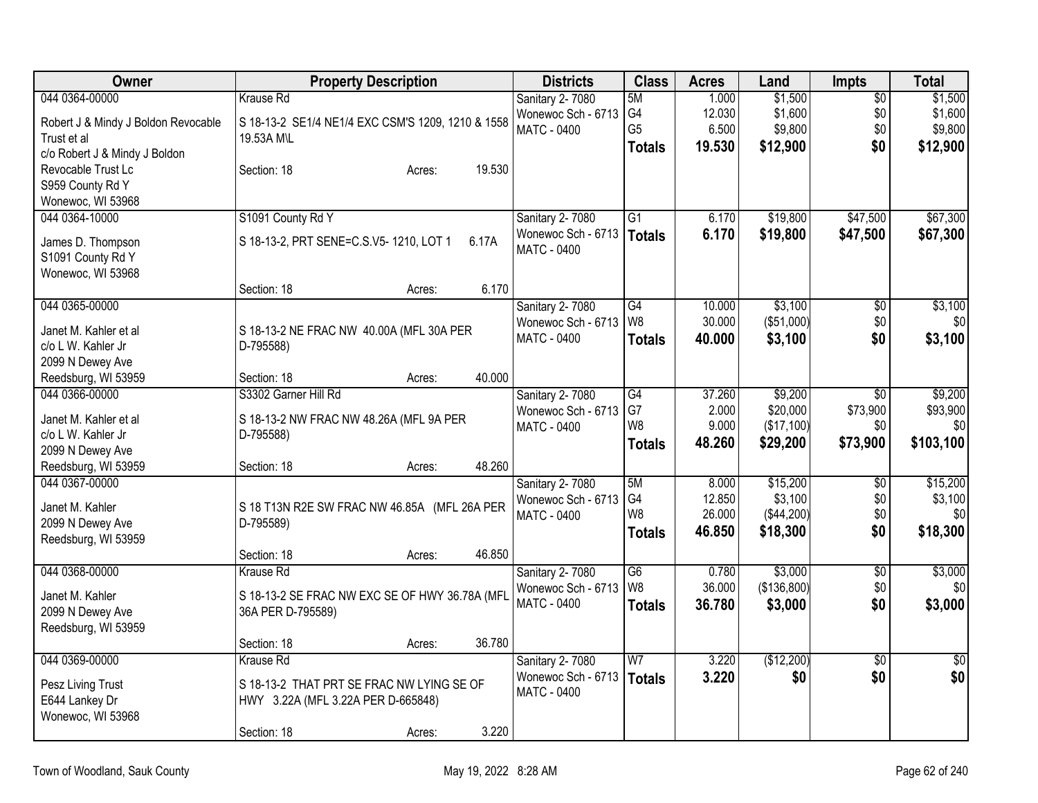| Owner                               | <b>Property Description</b>                       | <b>Districts</b>                      | <b>Class</b>    | <b>Acres</b>    | Land                | <b>Impts</b>    | <b>Total</b>    |
|-------------------------------------|---------------------------------------------------|---------------------------------------|-----------------|-----------------|---------------------|-----------------|-----------------|
| 044 0364-00000                      | <b>Krause Rd</b>                                  | Sanitary 2-7080                       | 5M              | 1.000           | \$1,500             | $\overline{50}$ | \$1,500         |
| Robert J & Mindy J Boldon Revocable | S 18-13-2 SE1/4 NE1/4 EXC CSM'S 1209, 1210 & 1558 | Wonewoc Sch - 6713                    | G <sub>4</sub>  | 12.030          | \$1,600             | \$0             | \$1,600         |
| Trust et al                         | 19.53A M\L                                        | <b>MATC - 0400</b>                    | G <sub>5</sub>  | 6.500           | \$9,800             | \$0             | \$9,800         |
| c/o Robert J & Mindy J Boldon       |                                                   |                                       | <b>Totals</b>   | 19.530          | \$12,900            | \$0             | \$12,900        |
| Revocable Trust Lc                  | 19.530<br>Section: 18<br>Acres:                   |                                       |                 |                 |                     |                 |                 |
| S959 County Rd Y                    |                                                   |                                       |                 |                 |                     |                 |                 |
| Wonewoc, WI 53968                   |                                                   |                                       |                 |                 |                     |                 |                 |
| 044 0364-10000                      | S1091 County Rd Y                                 | Sanitary 2-7080                       | G1              | 6.170           | \$19,800            | \$47,500        | \$67,300        |
|                                     |                                                   | Wonewoc Sch - 6713                    | Totals          | 6.170           | \$19,800            | \$47,500        | \$67,300        |
| James D. Thompson                   | S 18-13-2, PRT SENE=C.S.V5-1210, LOT 1<br>6.17A   | MATC - 0400                           |                 |                 |                     |                 |                 |
| S1091 County Rd Y                   |                                                   |                                       |                 |                 |                     |                 |                 |
| Wonewoc, WI 53968                   |                                                   |                                       |                 |                 |                     |                 |                 |
|                                     | 6.170<br>Section: 18<br>Acres:                    |                                       |                 |                 |                     |                 |                 |
| 044 0365-00000                      |                                                   | Sanitary 2-7080                       | $\overline{G4}$ | 10.000          | \$3,100             | \$0             | \$3,100         |
| Janet M. Kahler et al               | S 18-13-2 NE FRAC NW 40.00A (MFL 30A PER          | Wonewoc Sch - 6713                    | W <sub>8</sub>  | 30.000          | (\$51,000)          | \$0             | \$0             |
| c/o L W. Kahler Jr                  | D-795588)                                         | <b>MATC - 0400</b>                    | <b>Totals</b>   | 40.000          | \$3,100             | \$0             | \$3,100         |
| 2099 N Dewey Ave                    |                                                   |                                       |                 |                 |                     |                 |                 |
| Reedsburg, WI 53959                 | 40.000<br>Section: 18<br>Acres:                   |                                       |                 |                 |                     |                 |                 |
| 044 0366-00000                      | S3302 Garner Hill Rd                              | Sanitary 2-7080                       | G4              | 37.260          | \$9,200             | \$0             | \$9,200         |
|                                     |                                                   | Wonewoc Sch - 6713                    | G7              | 2.000           | \$20,000            | \$73,900        | \$93,900        |
| Janet M. Kahler et al               | S 18-13-2 NW FRAC NW 48.26A (MFL 9A PER           | MATC - 0400                           | W <sub>8</sub>  | 9.000           | (\$17,100)          | \$0             | \$0             |
| c/o L W. Kahler Jr                  | D-795588)                                         |                                       | Totals          | 48.260          | \$29,200            | \$73,900        | \$103,100       |
| 2099 N Dewey Ave                    | 48.260                                            |                                       |                 |                 |                     |                 |                 |
| Reedsburg, WI 53959                 | Section: 18<br>Acres:                             |                                       | 5M              |                 |                     |                 |                 |
| 044 0367-00000                      |                                                   | Sanitary 2-7080<br>Wonewoc Sch - 6713 | G4              | 8.000<br>12.850 | \$15,200<br>\$3,100 | \$0<br>\$0      | \$15,200        |
| Janet M. Kahler                     | S 18 T13N R2E SW FRAC NW 46.85A (MFL 26A PER      | MATC - 0400                           | W <sub>8</sub>  | 26.000          | (\$44,200)          | \$0             | \$3,100<br>\$0  |
| 2099 N Dewey Ave                    | D-795589)                                         |                                       |                 | 46.850          | \$18,300            | \$0             | \$18,300        |
| Reedsburg, WI 53959                 |                                                   |                                       | <b>Totals</b>   |                 |                     |                 |                 |
|                                     | 46.850<br>Section: 18<br>Acres:                   |                                       |                 |                 |                     |                 |                 |
| 044 0368-00000                      | Krause Rd                                         | Sanitary 2-7080                       | $\overline{G6}$ | 0.780           | \$3,000             | $\sqrt{6}$      | \$3,000         |
| Janet M. Kahler                     | S 18-13-2 SE FRAC NW EXC SE OF HWY 36.78A (MFL    | Wonewoc Sch - 6713                    | W <sub>8</sub>  | 36.000          | (\$136,800)         | \$0             | \$0             |
| 2099 N Dewey Ave                    | 36A PER D-795589)                                 | MATC - 0400                           | <b>Totals</b>   | 36.780          | \$3,000             | \$0             | \$3,000         |
| Reedsburg, WI 53959                 |                                                   |                                       |                 |                 |                     |                 |                 |
|                                     | 36.780<br>Section: 18<br>Acres:                   |                                       |                 |                 |                     |                 |                 |
| 044 0369-00000                      | Krause Rd                                         | Sanitary 2-7080                       | W <sub>7</sub>  | 3.220           | (\$12,200)          | $\overline{50}$ | $\overline{50}$ |
|                                     |                                                   | Wonewoc Sch - 6713                    | Totals          | 3.220           | \$0                 | \$0             | \$0             |
| Pesz Living Trust                   | S 18-13-2 THAT PRT SE FRAC NW LYING SE OF         | MATC - 0400                           |                 |                 |                     |                 |                 |
| E644 Lankey Dr                      | HWY 3.22A (MFL 3.22A PER D-665848)                |                                       |                 |                 |                     |                 |                 |
| Wonewoc, WI 53968                   |                                                   |                                       |                 |                 |                     |                 |                 |
|                                     | 3.220<br>Section: 18<br>Acres:                    |                                       |                 |                 |                     |                 |                 |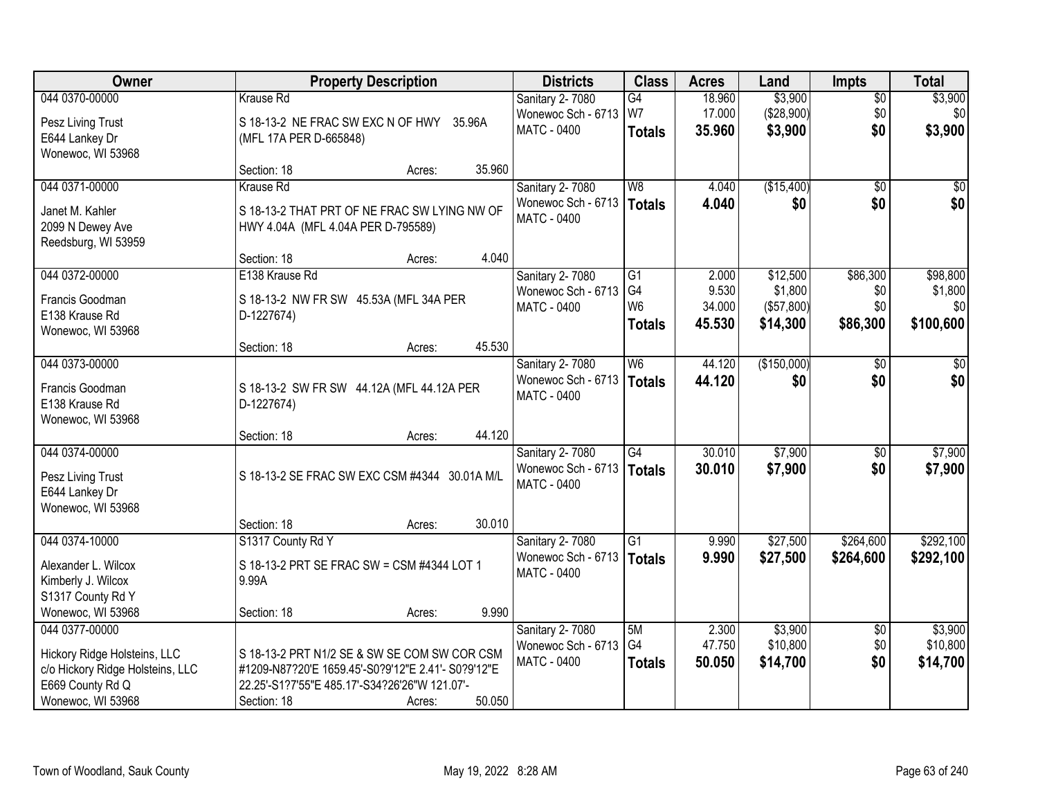| Owner                            | <b>Property Description</b>                        | <b>Districts</b>   | <b>Class</b>    | <b>Acres</b> | Land        | <b>Impts</b>    | <b>Total</b> |
|----------------------------------|----------------------------------------------------|--------------------|-----------------|--------------|-------------|-----------------|--------------|
| 044 0370-00000                   | <b>Krause Rd</b>                                   | Sanitary 2-7080    | G4              | 18.960       | \$3,900     | $\sqrt{$0}$     | \$3,900      |
| Pesz Living Trust                | S 18-13-2 NE FRAC SW EXC N OF HWY 35.96A           | Wonewoc Sch - 6713 | W7              | 17.000       | (\$28,900)  | \$0             | \$0          |
| E644 Lankey Dr                   | (MFL 17A PER D-665848)                             | <b>MATC - 0400</b> | <b>Totals</b>   | 35.960       | \$3,900     | \$0             | \$3,900      |
| Wonewoc, WI 53968                |                                                    |                    |                 |              |             |                 |              |
|                                  | 35.960<br>Section: 18<br>Acres:                    |                    |                 |              |             |                 |              |
| 044 0371-00000                   | Krause Rd                                          | Sanitary 2-7080    | W <sub>8</sub>  | 4.040        | (\$15,400)  | $\overline{50}$ | \$0          |
| Janet M. Kahler                  | S 18-13-2 THAT PRT OF NE FRAC SW LYING NW OF       | Wonewoc Sch - 6713 | Totals          | 4.040        | \$0         | \$0             | \$0          |
| 2099 N Dewey Ave                 | HWY 4.04A (MFL 4.04A PER D-795589)                 | <b>MATC - 0400</b> |                 |              |             |                 |              |
| Reedsburg, WI 53959              |                                                    |                    |                 |              |             |                 |              |
|                                  | 4.040<br>Section: 18<br>Acres:                     |                    |                 |              |             |                 |              |
| 044 0372-00000                   | E138 Krause Rd                                     | Sanitary 2- 7080   | G1              | 2.000        | \$12,500    | \$86,300        | \$98,800     |
| Francis Goodman                  | S 18-13-2 NW FR SW 45.53A (MFL 34A PER             | Wonewoc Sch - 6713 | G <sub>4</sub>  | 9.530        | \$1,800     | \$0             | \$1,800      |
| E138 Krause Rd                   | D-1227674)                                         | MATC - 0400        | W <sub>6</sub>  | 34.000       | (\$57,800)  | \$0             | \$0          |
| Wonewoc, WI 53968                |                                                    |                    | <b>Totals</b>   | 45.530       | \$14,300    | \$86,300        | \$100,600    |
|                                  | 45.530<br>Section: 18<br>Acres:                    |                    |                 |              |             |                 |              |
| 044 0373-00000                   |                                                    | Sanitary 2-7080    | W <sub>6</sub>  | 44.120       | (\$150,000) | $\sqrt[6]{}$    | \$0          |
| Francis Goodman                  | S 18-13-2 SW FR SW 44.12A (MFL 44.12A PER          | Wonewoc Sch - 6713 | <b>Totals</b>   | 44.120       | \$0         | \$0             | \$0          |
| E138 Krause Rd                   | D-1227674)                                         | MATC - 0400        |                 |              |             |                 |              |
| Wonewoc, WI 53968                |                                                    |                    |                 |              |             |                 |              |
|                                  | 44.120<br>Section: 18<br>Acres:                    |                    |                 |              |             |                 |              |
| 044 0374-00000                   |                                                    | Sanitary 2-7080    | $\overline{G4}$ | 30.010       | \$7,900     | \$0             | \$7,900      |
| Pesz Living Trust                | S 18-13-2 SE FRAC SW EXC CSM #4344 30.01A M/L      | Wonewoc Sch - 6713 | Totals          | 30.010       | \$7,900     | \$0             | \$7,900      |
| E644 Lankey Dr                   |                                                    | <b>MATC - 0400</b> |                 |              |             |                 |              |
| Wonewoc, WI 53968                |                                                    |                    |                 |              |             |                 |              |
|                                  | 30.010<br>Section: 18<br>Acres:                    |                    |                 |              |             |                 |              |
| 044 0374-10000                   | S1317 County Rd Y                                  | Sanitary 2-7080    | $\overline{G1}$ | 9.990        | \$27,500    | \$264,600       | \$292,100    |
| Alexander L. Wilcox              | S 18-13-2 PRT SE FRAC SW = CSM #4344 LOT 1         | Wonewoc Sch - 6713 | Totals          | 9.990        | \$27,500    | \$264,600       | \$292,100    |
| Kimberly J. Wilcox               | 9.99A                                              | <b>MATC - 0400</b> |                 |              |             |                 |              |
| S1317 County Rd Y                |                                                    |                    |                 |              |             |                 |              |
| Wonewoc, WI 53968                | 9.990<br>Section: 18<br>Acres:                     |                    |                 |              |             |                 |              |
| 044 0377-00000                   |                                                    | Sanitary 2-7080    | 5M              | 2.300        | \$3,900     | $\overline{60}$ | \$3,900      |
| Hickory Ridge Holsteins, LLC     | S 18-13-2 PRT N1/2 SE & SW SE COM SW COR CSM       | Wonewoc Sch - 6713 | G <sub>4</sub>  | 47.750       | \$10,800    | \$0             | \$10,800     |
| c/o Hickory Ridge Holsteins, LLC | #1209-N87?20'E 1659.45'-S0?9'12"E 2.41'- S0?9'12"E | <b>MATC - 0400</b> | <b>Totals</b>   | 50.050       | \$14,700    | \$0             | \$14,700     |
| E669 County Rd Q                 | 22.25'-S1?7'55"E 485.17'-S34?26'26"W 121.07'-      |                    |                 |              |             |                 |              |
| Wonewoc, WI 53968                | 50.050<br>Section: 18<br>Acres:                    |                    |                 |              |             |                 |              |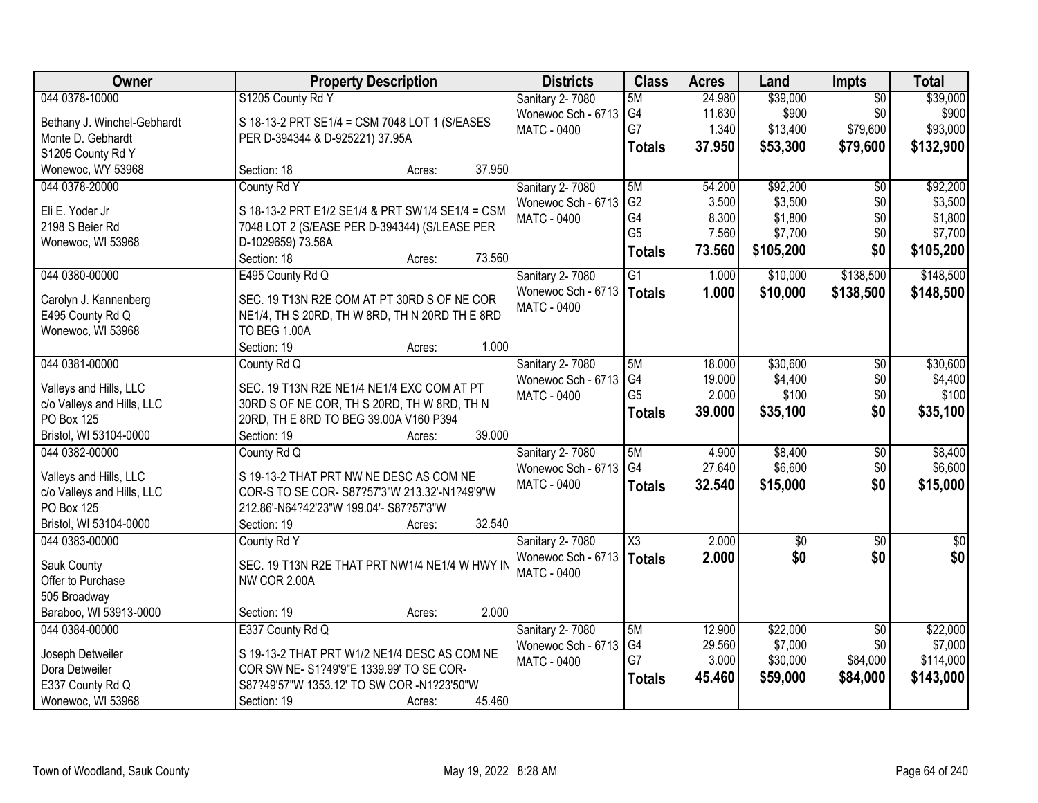| Owner                                                | <b>Property Description</b>                                                               | <b>Districts</b>                  | <b>Class</b>           | <b>Acres</b> | Land            | <b>Impts</b>    | <b>Total</b>    |
|------------------------------------------------------|-------------------------------------------------------------------------------------------|-----------------------------------|------------------------|--------------|-----------------|-----------------|-----------------|
| 044 0378-10000                                       | S1205 County Rd Y                                                                         | Sanitary 2-7080                   | 5M                     | 24.980       | \$39,000        | $\overline{50}$ | \$39,000        |
| Bethany J. Winchel-Gebhardt                          | S 18-13-2 PRT SE1/4 = CSM 7048 LOT 1 (S/EASES                                             | Wonewoc Sch - 6713                | G4                     | 11.630       | \$900           | \$0             | \$900           |
| Monte D. Gebhardt                                    | PER D-394344 & D-925221) 37.95A                                                           | <b>MATC - 0400</b>                | G7                     | 1.340        | \$13,400        | \$79,600        | \$93,000        |
| S1205 County Rd Y                                    |                                                                                           |                                   | <b>Totals</b>          | 37.950       | \$53,300        | \$79,600        | \$132,900       |
| Wonewoc, WY 53968                                    | 37.950<br>Section: 18<br>Acres:                                                           |                                   |                        |              |                 |                 |                 |
| 044 0378-20000                                       | County Rd Y                                                                               | Sanitary 2-7080                   | 5M                     | 54.200       | \$92,200        | $\overline{50}$ | \$92,200        |
|                                                      |                                                                                           | Wonewoc Sch - 6713                | G <sub>2</sub>         | 3.500        | \$3,500         | \$0             | \$3,500         |
| Eli E. Yoder Jr                                      | S 18-13-2 PRT E1/2 SE1/4 & PRT SW1/4 SE1/4 = CSM                                          | <b>MATC - 0400</b>                | G4                     | 8.300        | \$1,800         | \$0             | \$1,800         |
| 2198 S Beier Rd                                      | 7048 LOT 2 (S/EASE PER D-394344) (S/LEASE PER                                             |                                   | G <sub>5</sub>         | 7.560        | \$7,700         | \$0             | \$7,700         |
| Wonewoc, WI 53968                                    | D-1029659) 73.56A                                                                         |                                   | <b>Totals</b>          | 73.560       | \$105,200       | \$0             | \$105,200       |
|                                                      | 73.560<br>Section: 18<br>Acres:                                                           |                                   |                        |              |                 |                 |                 |
| 044 0380-00000                                       | E495 County Rd Q                                                                          | Sanitary 2-7080                   | $\overline{G1}$        | 1.000        | \$10,000        | \$138,500       | \$148,500       |
| Carolyn J. Kannenberg                                | SEC. 19 T13N R2E COM AT PT 30RD S OF NE COR                                               | Wonewoc Sch - 6713<br>MATC - 0400 | Totals                 | 1.000        | \$10,000        | \$138,500       | \$148,500       |
| E495 County Rd Q                                     | NE1/4, TH S 20RD, TH W 8RD, TH N 20RD TH E 8RD                                            |                                   |                        |              |                 |                 |                 |
| Wonewoc, WI 53968                                    | <b>TO BEG 1.00A</b>                                                                       |                                   |                        |              |                 |                 |                 |
|                                                      | 1.000<br>Section: 19<br>Acres:                                                            |                                   |                        |              |                 |                 |                 |
| 044 0381-00000                                       | County Rd Q                                                                               | Sanitary 2-7080                   | 5M                     | 18.000       | \$30,600        | \$0             | \$30,600        |
|                                                      |                                                                                           | Wonewoc Sch - 6713                | G4                     | 19.000       | \$4,400         | \$0             | \$4,400         |
| Valleys and Hills, LLC<br>c/o Valleys and Hills, LLC | SEC. 19 T13N R2E NE1/4 NE1/4 EXC COM AT PT<br>30RD S OF NE COR, TH S 20RD, TH W 8RD, TH N | <b>MATC - 0400</b>                | G <sub>5</sub>         | 2.000        | \$100           | \$0             | \$100           |
| PO Box 125                                           | 20RD, TH E 8RD TO BEG 39.00A V160 P394                                                    |                                   | <b>Totals</b>          | 39.000       | \$35,100        | \$0             | \$35,100        |
| Bristol, WI 53104-0000                               | Section: 19<br>39.000<br>Acres:                                                           |                                   |                        |              |                 |                 |                 |
| 044 0382-00000                                       | County Rd Q                                                                               | Sanitary 2-7080                   | 5M                     | 4.900        | \$8,400         | $\overline{30}$ | \$8,400         |
|                                                      |                                                                                           | Wonewoc Sch - 6713                | G <sub>4</sub>         | 27.640       | \$6,600         | \$0             | \$6,600         |
| Valleys and Hills, LLC                               | S 19-13-2 THAT PRT NW NE DESC AS COM NE                                                   | MATC - 0400                       | <b>Totals</b>          | 32.540       | \$15,000        | \$0             | \$15,000        |
| c/o Valleys and Hills, LLC                           | COR-S TO SE COR- S87?57'3"W 213.32'-N1?49'9"W                                             |                                   |                        |              |                 |                 |                 |
| PO Box 125                                           | 212.86'-N64?42'23"W 199.04'- S87?57'3"W                                                   |                                   |                        |              |                 |                 |                 |
| Bristol, WI 53104-0000                               | 32.540<br>Section: 19<br>Acres:                                                           |                                   |                        |              |                 |                 |                 |
| 044 0383-00000                                       | County Rd Y                                                                               | Sanitary 2-7080                   | $\overline{\text{X3}}$ | 2.000        | $\overline{50}$ | $\sqrt{6}$      | $\overline{30}$ |
| Sauk County                                          | SEC. 19 T13N R2E THAT PRT NW1/4 NE1/4 W HWY IN                                            | Wonewoc Sch - 6713                | <b>Totals</b>          | 2.000        | \$0             | \$0             | \$0             |
| Offer to Purchase                                    | <b>NW COR 2.00A</b>                                                                       | <b>MATC - 0400</b>                |                        |              |                 |                 |                 |
| 505 Broadway                                         |                                                                                           |                                   |                        |              |                 |                 |                 |
| Baraboo, WI 53913-0000                               | 2.000<br>Section: 19<br>Acres:                                                            |                                   |                        |              |                 |                 |                 |
| 044 0384-00000                                       | E337 County Rd Q                                                                          | Sanitary 2-7080                   | 5M                     | 12.900       | \$22,000        | $\overline{50}$ | \$22,000        |
|                                                      |                                                                                           | Wonewoc Sch - 6713                | G4                     | 29.560       | \$7,000         | \$0             | \$7,000         |
| Joseph Detweiler                                     | S 19-13-2 THAT PRT W1/2 NE1/4 DESC AS COM NE                                              | MATC - 0400                       | G7                     | 3.000        | \$30,000        | \$84,000        | \$114,000       |
| Dora Detweiler                                       | COR SW NE- S1?49'9"E 1339.99' TO SE COR-                                                  |                                   | <b>Totals</b>          | 45.460       | \$59,000        | \$84,000        | \$143,000       |
| E337 County Rd Q                                     | S87?49'57"W 1353.12' TO SW COR -N1?23'50"W                                                |                                   |                        |              |                 |                 |                 |
| Wonewoc, WI 53968                                    | 45.460<br>Section: 19<br>Acres:                                                           |                                   |                        |              |                 |                 |                 |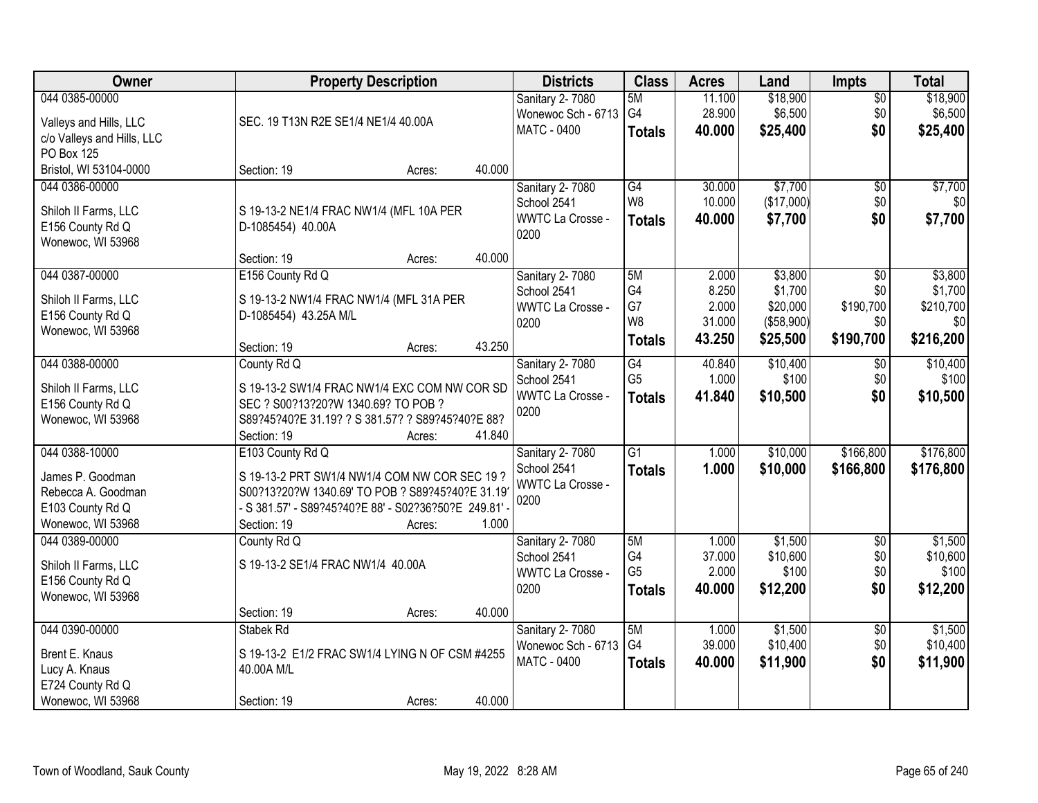| <b>Owner</b>                             | <b>Property Description</b>                                               |        | <b>Districts</b>        | <b>Class</b>    | <b>Acres</b> | Land       | Impts           | <b>Total</b> |
|------------------------------------------|---------------------------------------------------------------------------|--------|-------------------------|-----------------|--------------|------------|-----------------|--------------|
| 044 0385-00000                           |                                                                           |        | Sanitary 2-7080         | 5M              | 11.100       | \$18,900   | $\overline{50}$ | \$18,900     |
| Valleys and Hills, LLC                   | SEC. 19 T13N R2E SE1/4 NE1/4 40.00A                                       |        | Wonewoc Sch - 6713      | G4              | 28.900       | \$6,500    | \$0             | \$6,500      |
| c/o Valleys and Hills, LLC               |                                                                           |        | <b>MATC - 0400</b>      | <b>Totals</b>   | 40.000       | \$25,400   | \$0             | \$25,400     |
| PO Box 125                               |                                                                           |        |                         |                 |              |            |                 |              |
| Bristol, WI 53104-0000                   | Section: 19<br>Acres:                                                     | 40.000 |                         |                 |              |            |                 |              |
| 044 0386-00000                           |                                                                           |        | Sanitary 2-7080         | G4              | 30.000       | \$7,700    | $\overline{60}$ | \$7,700      |
| Shiloh II Farms, LLC                     | S 19-13-2 NE1/4 FRAC NW1/4 (MFL 10A PER                                   |        | School 2541             | W <sub>8</sub>  | 10.000       | (\$17,000) | \$0             | \$0          |
| E156 County Rd Q                         | D-1085454) 40.00A                                                         |        | <b>WWTC La Crosse -</b> | <b>Totals</b>   | 40.000       | \$7,700    | \$0             | \$7,700      |
| Wonewoc, WI 53968                        |                                                                           |        | 0200                    |                 |              |            |                 |              |
|                                          | Section: 19<br>Acres:                                                     | 40.000 |                         |                 |              |            |                 |              |
| 044 0387-00000                           | E156 County Rd Q                                                          |        | <b>Sanitary 2-7080</b>  | 5M              | 2.000        | \$3,800    | $\overline{50}$ | \$3,800      |
|                                          |                                                                           |        | School 2541             | G4              | 8.250        | \$1,700    | \$0             | \$1,700      |
| Shiloh II Farms, LLC<br>E156 County Rd Q | S 19-13-2 NW1/4 FRAC NW1/4 (MFL 31A PER<br>D-1085454) 43.25A M/L          |        | <b>WWTC La Crosse -</b> | G7              | 2.000        | \$20,000   | \$190,700       | \$210,700    |
| Wonewoc, WI 53968                        |                                                                           |        | 0200                    | W <sub>8</sub>  | 31.000       | (\$58,900) | \$0             | \$0          |
|                                          | Section: 19<br>Acres:                                                     | 43.250 |                         | <b>Totals</b>   | 43.250       | \$25,500   | \$190,700       | \$216,200    |
| 044 0388-00000                           | County Rd Q                                                               |        | Sanitary 2-7080         | G4              | 40.840       | \$10,400   | \$0             | \$10,400     |
|                                          |                                                                           |        | School 2541             | G <sub>5</sub>  | 1.000        | \$100      | \$0             | \$100        |
| Shiloh II Farms, LLC                     | S 19-13-2 SW1/4 FRAC NW1/4 EXC COM NW COR SD                              |        | <b>WWTC La Crosse -</b> | <b>Totals</b>   | 41.840       | \$10,500   | \$0             | \$10,500     |
| E156 County Rd Q                         | SEC ? S00?13?20?W 1340.69? TO POB ?                                       |        | 0200                    |                 |              |            |                 |              |
| Wonewoc, WI 53968                        | S89?45?40?E 31.19? ? S 381.57? ? S89?45?40?E 88?<br>Section: 19<br>Acres: | 41.840 |                         |                 |              |            |                 |              |
| 044 0388-10000                           | E103 County Rd Q                                                          |        | Sanitary 2-7080         | $\overline{G1}$ | 1.000        | \$10,000   | \$166,800       | \$176,800    |
|                                          |                                                                           |        | School 2541             | <b>Totals</b>   | 1.000        | \$10,000   | \$166,800       | \$176,800    |
| James P. Goodman                         | S 19-13-2 PRT SW1/4 NW1/4 COM NW COR SEC 19 ?                             |        | <b>WWTC La Crosse -</b> |                 |              |            |                 |              |
| Rebecca A. Goodman                       | S00?13?20?W 1340.69' TO POB ? S89?45?40?E 31.19                           |        | 0200                    |                 |              |            |                 |              |
| E103 County Rd Q                         | - S 381.57' - S89?45?40?E 88' - S02?36?50?E 249.81' -                     |        |                         |                 |              |            |                 |              |
| Wonewoc, WI 53968                        | Section: 19<br>Acres:                                                     | 1.000  |                         |                 |              |            |                 |              |
| 044 0389-00000                           | County Rd Q                                                               |        | <b>Sanitary 2-7080</b>  | 5M              | 1.000        | \$1,500    | $\overline{60}$ | \$1,500      |
| Shiloh II Farms, LLC                     | S 19-13-2 SE1/4 FRAC NW1/4 40.00A                                         |        | School 2541             | G4              | 37.000       | \$10,600   | \$0             | \$10,600     |
| E156 County Rd Q                         |                                                                           |        | <b>WWTC La Crosse -</b> | G <sub>5</sub>  | 2.000        | \$100      | \$0             | \$100        |
| Wonewoc, WI 53968                        |                                                                           |        | 0200                    | <b>Totals</b>   | 40.000       | \$12,200   | \$0             | \$12,200     |
|                                          | Section: 19<br>Acres:                                                     | 40.000 |                         |                 |              |            |                 |              |
| 044 0390-00000                           | Stabek Rd                                                                 |        | Sanitary 2-7080         | 5M              | 1.000        | \$1,500    | $\overline{50}$ | \$1,500      |
| Brent E. Knaus                           | S 19-13-2 E1/2 FRAC SW1/4 LYING N OF CSM #4255                            |        | Wonewoc Sch - 6713      | G4              | 39.000       | \$10,400   | \$0             | \$10,400     |
| Lucy A. Knaus                            | 40.00A M/L                                                                |        | <b>MATC - 0400</b>      | <b>Totals</b>   | 40.000       | \$11,900   | \$0             | \$11,900     |
| E724 County Rd Q                         |                                                                           |        |                         |                 |              |            |                 |              |
| Wonewoc, WI 53968                        | Section: 19<br>Acres:                                                     | 40.000 |                         |                 |              |            |                 |              |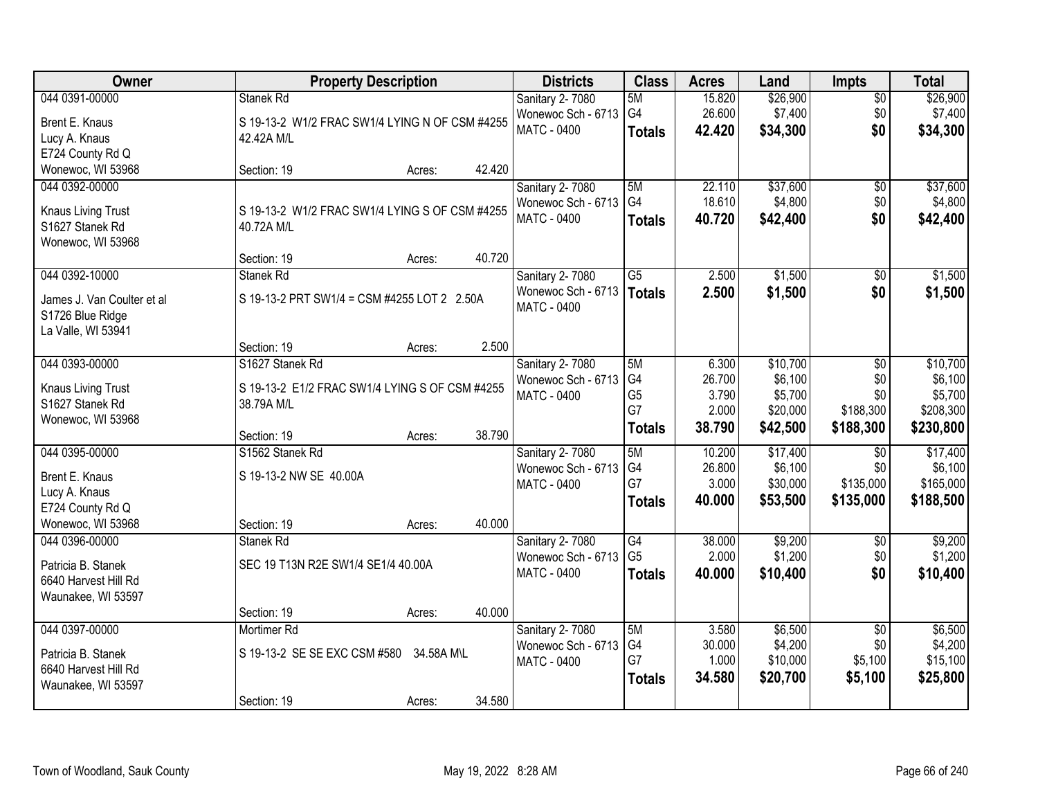| <b>Owner</b>                                 | <b>Property Description</b>                                  |                  | <b>Districts</b>       | <b>Class</b>    | <b>Acres</b>    | Land                | <b>Impts</b>     | <b>Total</b>         |
|----------------------------------------------|--------------------------------------------------------------|------------------|------------------------|-----------------|-----------------|---------------------|------------------|----------------------|
| 044 0391-00000                               | <b>Stanek Rd</b>                                             |                  | <b>Sanitary 2-7080</b> | 5M              | 15.820          | \$26,900            | $\overline{50}$  | \$26,900             |
| Brent E. Knaus                               | S 19-13-2 W1/2 FRAC SW1/4 LYING N OF CSM #4255               |                  | Wonewoc Sch - 6713     | G4              | 26.600          | \$7,400             | \$0              | \$7,400              |
| Lucy A. Knaus                                | 42.42A M/L                                                   |                  | MATC - 0400            | <b>Totals</b>   | 42.420          | \$34,300            | \$0              | \$34,300             |
| E724 County Rd Q                             |                                                              |                  |                        |                 |                 |                     |                  |                      |
| Wonewoc, WI 53968                            | Section: 19                                                  | 42.420<br>Acres: |                        |                 |                 |                     |                  |                      |
| 044 0392-00000                               |                                                              |                  | Sanitary 2-7080        | 5M              | 22.110          | \$37,600            | $\overline{50}$  | \$37,600             |
|                                              |                                                              |                  | Wonewoc Sch - 6713     | G4              | 18.610          | \$4,800             | \$0              | \$4,800              |
| <b>Knaus Living Trust</b><br>S1627 Stanek Rd | S 19-13-2 W1/2 FRAC SW1/4 LYING S OF CSM #4255<br>40.72A M/L |                  | <b>MATC - 0400</b>     | <b>Totals</b>   | 40.720          | \$42,400            | \$0              | \$42,400             |
| Wonewoc, WI 53968                            |                                                              |                  |                        |                 |                 |                     |                  |                      |
|                                              | Section: 19                                                  | 40.720<br>Acres: |                        |                 |                 |                     |                  |                      |
| 044 0392-10000                               | Stanek Rd                                                    |                  | Sanitary 2-7080        | $\overline{G5}$ | 2.500           | \$1,500             | \$0              | \$1,500              |
|                                              |                                                              |                  | Wonewoc Sch - 6713     | <b>Totals</b>   | 2.500           | \$1,500             | \$0              | \$1,500              |
| James J. Van Coulter et al                   | S 19-13-2 PRT SW1/4 = CSM #4255 LOT 2 2.50A                  |                  | <b>MATC - 0400</b>     |                 |                 |                     |                  |                      |
| S1726 Blue Ridge                             |                                                              |                  |                        |                 |                 |                     |                  |                      |
| La Valle, WI 53941                           | Section: 19                                                  | 2.500<br>Acres:  |                        |                 |                 |                     |                  |                      |
| 044 0393-00000                               | S1627 Stanek Rd                                              |                  | Sanitary 2-7080        | 5M              | 6.300           | \$10,700            | \$0              | \$10,700             |
|                                              |                                                              |                  | Wonewoc Sch - 6713     | G4              | 26.700          | \$6,100             | \$0              | \$6,100              |
| <b>Knaus Living Trust</b>                    | S 19-13-2 E1/2 FRAC SW1/4 LYING S OF CSM #4255               |                  | MATC - 0400            | G <sub>5</sub>  | 3.790           | \$5,700             | \$0              | \$5,700              |
| S1627 Stanek Rd                              | 38.79A M/L                                                   |                  |                        | G7              | 2.000           | \$20,000            | \$188,300        | \$208,300            |
| Wonewoc, WI 53968                            |                                                              |                  |                        | <b>Totals</b>   | 38.790          | \$42,500            | \$188,300        | \$230,800            |
|                                              | Section: 19                                                  | 38.790<br>Acres: |                        |                 |                 |                     |                  |                      |
| 044 0395-00000                               | S1562 Stanek Rd                                              |                  | Sanitary 2-7080        | 5M<br>G4        | 10.200          | \$17,400            | $\overline{50}$  | \$17,400             |
| Brent E. Knaus                               | S 19-13-2 NW SE 40.00A                                       |                  | Wonewoc Sch - 6713     | G7              | 26.800<br>3.000 | \$6,100<br>\$30,000 | \$0<br>\$135,000 | \$6,100<br>\$165,000 |
| Lucy A. Knaus                                |                                                              |                  | MATC - 0400            |                 | 40.000          | \$53,500            | \$135,000        | \$188,500            |
| E724 County Rd Q                             |                                                              |                  |                        | <b>Totals</b>   |                 |                     |                  |                      |
| Wonewoc, WI 53968                            | Section: 19                                                  | 40.000<br>Acres: |                        |                 |                 |                     |                  |                      |
| 044 0396-00000                               | Stanek Rd                                                    |                  | <b>Sanitary 2-7080</b> | $\overline{G4}$ | 38.000          | \$9,200             | $\sqrt{6}$       | \$9,200              |
| Patricia B. Stanek                           | SEC 19 T13N R2E SW1/4 SE1/4 40.00A                           |                  | Wonewoc Sch - 6713     | G <sub>5</sub>  | 2.000           | \$1,200             | \$0              | \$1,200              |
| 6640 Harvest Hill Rd                         |                                                              |                  | MATC - 0400            | <b>Totals</b>   | 40.000          | \$10,400            | \$0              | \$10,400             |
| Waunakee, WI 53597                           |                                                              |                  |                        |                 |                 |                     |                  |                      |
|                                              | Section: 19                                                  | 40.000<br>Acres: |                        |                 |                 |                     |                  |                      |
| 044 0397-00000                               | Mortimer Rd                                                  |                  | <b>Sanitary 2-7080</b> | 5M              | 3.580           | \$6,500             | $\overline{50}$  | \$6,500              |
| Patricia B. Stanek                           | S 19-13-2 SE SE EXC CSM #580                                 | 34.58A M\L       | Wonewoc Sch - 6713     | G4              | 30.000          | \$4,200             | \$0              | \$4,200              |
| 6640 Harvest Hill Rd                         |                                                              |                  | <b>MATC - 0400</b>     | G7              | 1.000           | \$10,000            | \$5,100          | \$15,100             |
| Waunakee, WI 53597                           |                                                              |                  |                        | <b>Totals</b>   | 34.580          | \$20,700            | \$5,100          | \$25,800             |
|                                              | Section: 19                                                  | 34.580<br>Acres: |                        |                 |                 |                     |                  |                      |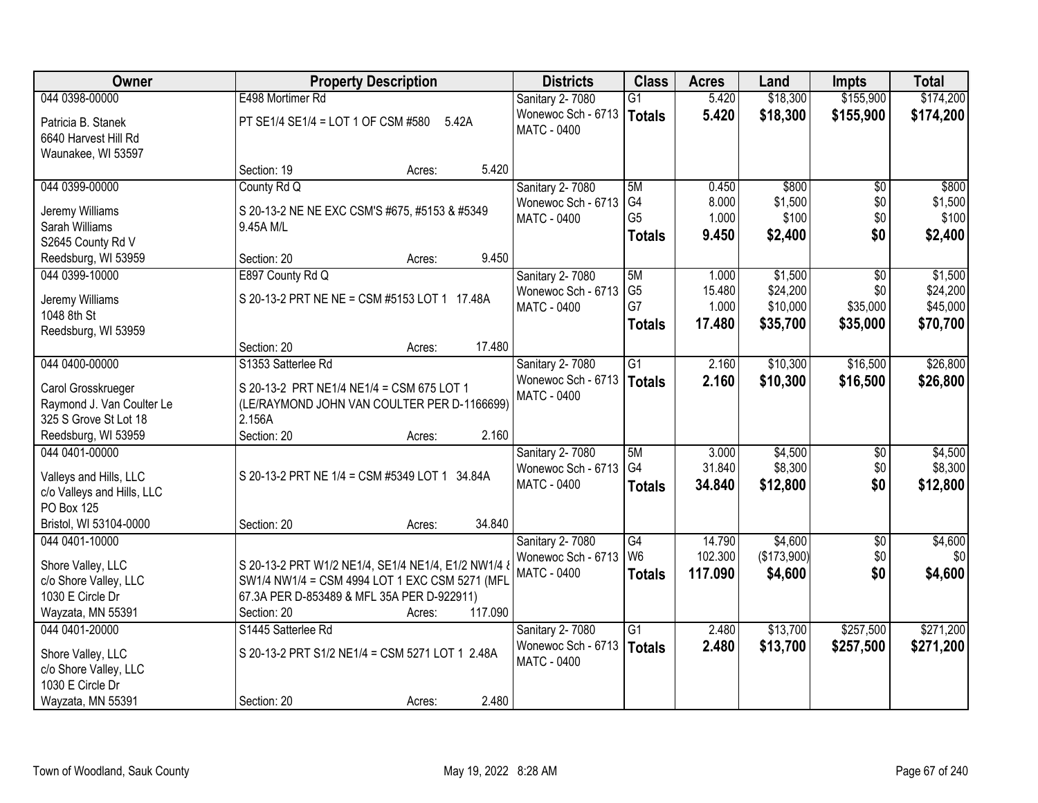| 044 0398-00000<br>\$18,300<br>\$155,900<br>\$174,200<br>E498 Mortimer Rd<br>5.420<br>Sanitary 2-7080<br>G1<br>Wonewoc Sch - 6713<br>5.420<br>\$18,300<br>\$155,900<br>\$174,200<br><b>Totals</b><br>PT SE1/4 SE1/4 = LOT 1 OF CSM #580<br>5.42A<br>Patricia B. Stanek<br><b>MATC - 0400</b><br>6640 Harvest Hill Rd<br>Waunakee, WI 53597<br>5.420<br>Section: 19<br>Acres:<br>\$800<br>044 0399-00000<br>County Rd Q<br>Sanitary 2-7080<br>5M<br>0.450<br>\$800<br>$\overline{50}$<br>G4<br>8.000<br>\$1,500<br>\$0<br>Wonewoc Sch - 6713<br>Jeremy Williams<br>S 20-13-2 NE NE EXC CSM'S #675, #5153 & #5349<br>G <sub>5</sub><br>1.000<br>\$100<br>\$0<br><b>MATC - 0400</b><br>Sarah Williams<br>9.45A M/L<br>\$0<br>9.450<br>\$2,400<br>\$2,400<br><b>Totals</b><br>S2645 County Rd V<br>9.450<br>Reedsburg, WI 53959<br>Section: 20<br>Acres:<br>\$1,500<br>044 0399-10000<br>E897 County Rd Q<br>\$0<br>Sanitary 2-7080<br>5M<br>1.000<br>G <sub>5</sub><br>15.480<br>\$24,200<br>\$0<br>Wonewoc Sch - 6713<br>S 20-13-2 PRT NE NE = CSM #5153 LOT 1 17.48A<br>Jeremy Williams<br>G7<br>\$10,000<br>\$35,000<br>1.000<br>MATC - 0400<br>1048 8th St<br>17.480<br>\$35,700<br>\$35,000<br>\$70,700<br><b>Totals</b><br>Reedsburg, WI 53959<br>17.480<br>Section: 20<br>Acres:<br>044 0400-00000<br>2.160<br>\$10,300<br>\$16,500<br>S1353 Satterlee Rd<br>Sanitary 2-7080<br>G1<br>Wonewoc Sch - 6713<br>2.160<br>\$10,300<br>\$16,500<br>\$26,800<br><b>Totals</b><br>S 20-13-2 PRT NE1/4 NE1/4 = CSM 675 LOT 1<br>Carol Grosskrueger<br><b>MATC - 0400</b><br>Raymond J. Van Coulter Le<br>(LE/RAYMOND JOHN VAN COULTER PER D-1166699)<br>325 S Grove St Lot 18<br>2.156A<br>2.160<br>Reedsburg, WI 53959<br>Section: 20<br>Acres:<br>044 0401-00000<br>5M<br>3.000<br>\$4,500<br>$\overline{50}$<br>Sanitary 2-7080<br>G <sub>4</sub><br>31.840<br>\$8,300<br>\$0<br>Wonewoc Sch - 6713<br>S 20-13-2 PRT NE 1/4 = CSM #5349 LOT 1 34.84A<br>Valleys and Hills, LLC<br>\$12,800<br>\$0<br>MATC - 0400<br>34.840<br>\$12,800<br><b>Totals</b><br>c/o Valleys and Hills, LLC<br>PO Box 125<br>Bristol, WI 53104-0000<br>34.840<br>Section: 20<br>Acres:<br>\$4,600<br>044 0401-10000<br>Sanitary 2-7080<br>G4<br>14.790<br>$\overline{50}$<br>W <sub>6</sub><br>102.300<br>(\$173,900)<br>\$0<br>Wonewoc Sch - 6713<br>Shore Valley, LLC<br>S 20-13-2 PRT W1/2 NE1/4, SE1/4 NE1/4, E1/2 NW1/4 &<br>\$4,600<br>\$0<br><b>MATC - 0400</b><br>117.090<br><b>Totals</b><br>c/o Shore Valley, LLC<br>SW1/4 NW1/4 = CSM 4994 LOT 1 EXC CSM 5271 (MFL<br>1030 E Circle Dr<br>67.3A PER D-853489 & MFL 35A PER D-922911)<br>117.090<br>Wayzata, MN 55391<br>Section: 20<br>Acres:<br>044 0401-20000<br>$\overline{G1}$<br>2.480<br>\$13,700<br>\$257,500<br>S1445 Satterlee Rd<br>Sanitary 2-7080<br>Wonewoc Sch - 6713<br>2.480<br>\$13,700<br><b>Totals</b><br>\$257,500<br>\$271,200<br>S 20-13-2 PRT S1/2 NE1/4 = CSM 5271 LOT 1 2.48A<br>Shore Valley, LLC<br>MATC - 0400<br>c/o Shore Valley, LLC<br>1030 E Circle Dr | Owner             | <b>Property Description</b>    | <b>Districts</b> | <b>Class</b> | <b>Acres</b> | Land | <b>Impts</b> | <b>Total</b> |
|---------------------------------------------------------------------------------------------------------------------------------------------------------------------------------------------------------------------------------------------------------------------------------------------------------------------------------------------------------------------------------------------------------------------------------------------------------------------------------------------------------------------------------------------------------------------------------------------------------------------------------------------------------------------------------------------------------------------------------------------------------------------------------------------------------------------------------------------------------------------------------------------------------------------------------------------------------------------------------------------------------------------------------------------------------------------------------------------------------------------------------------------------------------------------------------------------------------------------------------------------------------------------------------------------------------------------------------------------------------------------------------------------------------------------------------------------------------------------------------------------------------------------------------------------------------------------------------------------------------------------------------------------------------------------------------------------------------------------------------------------------------------------------------------------------------------------------------------------------------------------------------------------------------------------------------------------------------------------------------------------------------------------------------------------------------------------------------------------------------------------------------------------------------------------------------------------------------------------------------------------------------------------------------------------------------------------------------------------------------------------------------------------------------------------------------------------------------------------------------------------------------------------------------------------------------------------------------------------------------------------------------------------------------------------------------------------------------------------------------------------------------------------------------------------------------------------------------------------------------------------------------------------------------------------------------------------------------------------------------------------------------------------|-------------------|--------------------------------|------------------|--------------|--------------|------|--------------|--------------|
|                                                                                                                                                                                                                                                                                                                                                                                                                                                                                                                                                                                                                                                                                                                                                                                                                                                                                                                                                                                                                                                                                                                                                                                                                                                                                                                                                                                                                                                                                                                                                                                                                                                                                                                                                                                                                                                                                                                                                                                                                                                                                                                                                                                                                                                                                                                                                                                                                                                                                                                                                                                                                                                                                                                                                                                                                                                                                                                                                                                                                           |                   |                                |                  |              |              |      |              |              |
|                                                                                                                                                                                                                                                                                                                                                                                                                                                                                                                                                                                                                                                                                                                                                                                                                                                                                                                                                                                                                                                                                                                                                                                                                                                                                                                                                                                                                                                                                                                                                                                                                                                                                                                                                                                                                                                                                                                                                                                                                                                                                                                                                                                                                                                                                                                                                                                                                                                                                                                                                                                                                                                                                                                                                                                                                                                                                                                                                                                                                           |                   |                                |                  |              |              |      |              |              |
| \$1,500<br>\$100<br>\$1,500<br>\$24,200<br>\$45,000<br>\$26,800<br>\$4,500<br>\$4,600<br>\$0<br>\$4,600<br>\$271,200                                                                                                                                                                                                                                                                                                                                                                                                                                                                                                                                                                                                                                                                                                                                                                                                                                                                                                                                                                                                                                                                                                                                                                                                                                                                                                                                                                                                                                                                                                                                                                                                                                                                                                                                                                                                                                                                                                                                                                                                                                                                                                                                                                                                                                                                                                                                                                                                                                                                                                                                                                                                                                                                                                                                                                                                                                                                                                      |                   |                                |                  |              |              |      |              |              |
|                                                                                                                                                                                                                                                                                                                                                                                                                                                                                                                                                                                                                                                                                                                                                                                                                                                                                                                                                                                                                                                                                                                                                                                                                                                                                                                                                                                                                                                                                                                                                                                                                                                                                                                                                                                                                                                                                                                                                                                                                                                                                                                                                                                                                                                                                                                                                                                                                                                                                                                                                                                                                                                                                                                                                                                                                                                                                                                                                                                                                           |                   |                                |                  |              |              |      |              |              |
|                                                                                                                                                                                                                                                                                                                                                                                                                                                                                                                                                                                                                                                                                                                                                                                                                                                                                                                                                                                                                                                                                                                                                                                                                                                                                                                                                                                                                                                                                                                                                                                                                                                                                                                                                                                                                                                                                                                                                                                                                                                                                                                                                                                                                                                                                                                                                                                                                                                                                                                                                                                                                                                                                                                                                                                                                                                                                                                                                                                                                           |                   |                                |                  |              |              |      |              |              |
|                                                                                                                                                                                                                                                                                                                                                                                                                                                                                                                                                                                                                                                                                                                                                                                                                                                                                                                                                                                                                                                                                                                                                                                                                                                                                                                                                                                                                                                                                                                                                                                                                                                                                                                                                                                                                                                                                                                                                                                                                                                                                                                                                                                                                                                                                                                                                                                                                                                                                                                                                                                                                                                                                                                                                                                                                                                                                                                                                                                                                           |                   |                                |                  |              |              |      |              |              |
|                                                                                                                                                                                                                                                                                                                                                                                                                                                                                                                                                                                                                                                                                                                                                                                                                                                                                                                                                                                                                                                                                                                                                                                                                                                                                                                                                                                                                                                                                                                                                                                                                                                                                                                                                                                                                                                                                                                                                                                                                                                                                                                                                                                                                                                                                                                                                                                                                                                                                                                                                                                                                                                                                                                                                                                                                                                                                                                                                                                                                           |                   |                                |                  |              |              |      |              |              |
|                                                                                                                                                                                                                                                                                                                                                                                                                                                                                                                                                                                                                                                                                                                                                                                                                                                                                                                                                                                                                                                                                                                                                                                                                                                                                                                                                                                                                                                                                                                                                                                                                                                                                                                                                                                                                                                                                                                                                                                                                                                                                                                                                                                                                                                                                                                                                                                                                                                                                                                                                                                                                                                                                                                                                                                                                                                                                                                                                                                                                           |                   |                                |                  |              |              |      |              |              |
|                                                                                                                                                                                                                                                                                                                                                                                                                                                                                                                                                                                                                                                                                                                                                                                                                                                                                                                                                                                                                                                                                                                                                                                                                                                                                                                                                                                                                                                                                                                                                                                                                                                                                                                                                                                                                                                                                                                                                                                                                                                                                                                                                                                                                                                                                                                                                                                                                                                                                                                                                                                                                                                                                                                                                                                                                                                                                                                                                                                                                           |                   |                                |                  |              |              |      |              |              |
|                                                                                                                                                                                                                                                                                                                                                                                                                                                                                                                                                                                                                                                                                                                                                                                                                                                                                                                                                                                                                                                                                                                                                                                                                                                                                                                                                                                                                                                                                                                                                                                                                                                                                                                                                                                                                                                                                                                                                                                                                                                                                                                                                                                                                                                                                                                                                                                                                                                                                                                                                                                                                                                                                                                                                                                                                                                                                                                                                                                                                           |                   |                                |                  |              |              |      |              |              |
|                                                                                                                                                                                                                                                                                                                                                                                                                                                                                                                                                                                                                                                                                                                                                                                                                                                                                                                                                                                                                                                                                                                                                                                                                                                                                                                                                                                                                                                                                                                                                                                                                                                                                                                                                                                                                                                                                                                                                                                                                                                                                                                                                                                                                                                                                                                                                                                                                                                                                                                                                                                                                                                                                                                                                                                                                                                                                                                                                                                                                           |                   |                                |                  |              |              |      |              |              |
|                                                                                                                                                                                                                                                                                                                                                                                                                                                                                                                                                                                                                                                                                                                                                                                                                                                                                                                                                                                                                                                                                                                                                                                                                                                                                                                                                                                                                                                                                                                                                                                                                                                                                                                                                                                                                                                                                                                                                                                                                                                                                                                                                                                                                                                                                                                                                                                                                                                                                                                                                                                                                                                                                                                                                                                                                                                                                                                                                                                                                           |                   |                                |                  |              |              |      |              |              |
|                                                                                                                                                                                                                                                                                                                                                                                                                                                                                                                                                                                                                                                                                                                                                                                                                                                                                                                                                                                                                                                                                                                                                                                                                                                                                                                                                                                                                                                                                                                                                                                                                                                                                                                                                                                                                                                                                                                                                                                                                                                                                                                                                                                                                                                                                                                                                                                                                                                                                                                                                                                                                                                                                                                                                                                                                                                                                                                                                                                                                           |                   |                                |                  |              |              |      |              |              |
| \$8,300                                                                                                                                                                                                                                                                                                                                                                                                                                                                                                                                                                                                                                                                                                                                                                                                                                                                                                                                                                                                                                                                                                                                                                                                                                                                                                                                                                                                                                                                                                                                                                                                                                                                                                                                                                                                                                                                                                                                                                                                                                                                                                                                                                                                                                                                                                                                                                                                                                                                                                                                                                                                                                                                                                                                                                                                                                                                                                                                                                                                                   |                   |                                |                  |              |              |      |              |              |
|                                                                                                                                                                                                                                                                                                                                                                                                                                                                                                                                                                                                                                                                                                                                                                                                                                                                                                                                                                                                                                                                                                                                                                                                                                                                                                                                                                                                                                                                                                                                                                                                                                                                                                                                                                                                                                                                                                                                                                                                                                                                                                                                                                                                                                                                                                                                                                                                                                                                                                                                                                                                                                                                                                                                                                                                                                                                                                                                                                                                                           |                   |                                |                  |              |              |      |              |              |
|                                                                                                                                                                                                                                                                                                                                                                                                                                                                                                                                                                                                                                                                                                                                                                                                                                                                                                                                                                                                                                                                                                                                                                                                                                                                                                                                                                                                                                                                                                                                                                                                                                                                                                                                                                                                                                                                                                                                                                                                                                                                                                                                                                                                                                                                                                                                                                                                                                                                                                                                                                                                                                                                                                                                                                                                                                                                                                                                                                                                                           |                   |                                |                  |              |              |      |              |              |
|                                                                                                                                                                                                                                                                                                                                                                                                                                                                                                                                                                                                                                                                                                                                                                                                                                                                                                                                                                                                                                                                                                                                                                                                                                                                                                                                                                                                                                                                                                                                                                                                                                                                                                                                                                                                                                                                                                                                                                                                                                                                                                                                                                                                                                                                                                                                                                                                                                                                                                                                                                                                                                                                                                                                                                                                                                                                                                                                                                                                                           |                   |                                |                  |              |              |      |              |              |
|                                                                                                                                                                                                                                                                                                                                                                                                                                                                                                                                                                                                                                                                                                                                                                                                                                                                                                                                                                                                                                                                                                                                                                                                                                                                                                                                                                                                                                                                                                                                                                                                                                                                                                                                                                                                                                                                                                                                                                                                                                                                                                                                                                                                                                                                                                                                                                                                                                                                                                                                                                                                                                                                                                                                                                                                                                                                                                                                                                                                                           |                   |                                |                  |              |              |      |              |              |
|                                                                                                                                                                                                                                                                                                                                                                                                                                                                                                                                                                                                                                                                                                                                                                                                                                                                                                                                                                                                                                                                                                                                                                                                                                                                                                                                                                                                                                                                                                                                                                                                                                                                                                                                                                                                                                                                                                                                                                                                                                                                                                                                                                                                                                                                                                                                                                                                                                                                                                                                                                                                                                                                                                                                                                                                                                                                                                                                                                                                                           |                   |                                |                  |              |              |      |              |              |
|                                                                                                                                                                                                                                                                                                                                                                                                                                                                                                                                                                                                                                                                                                                                                                                                                                                                                                                                                                                                                                                                                                                                                                                                                                                                                                                                                                                                                                                                                                                                                                                                                                                                                                                                                                                                                                                                                                                                                                                                                                                                                                                                                                                                                                                                                                                                                                                                                                                                                                                                                                                                                                                                                                                                                                                                                                                                                                                                                                                                                           |                   |                                |                  |              |              |      |              |              |
|                                                                                                                                                                                                                                                                                                                                                                                                                                                                                                                                                                                                                                                                                                                                                                                                                                                                                                                                                                                                                                                                                                                                                                                                                                                                                                                                                                                                                                                                                                                                                                                                                                                                                                                                                                                                                                                                                                                                                                                                                                                                                                                                                                                                                                                                                                                                                                                                                                                                                                                                                                                                                                                                                                                                                                                                                                                                                                                                                                                                                           |                   |                                |                  |              |              |      |              |              |
|                                                                                                                                                                                                                                                                                                                                                                                                                                                                                                                                                                                                                                                                                                                                                                                                                                                                                                                                                                                                                                                                                                                                                                                                                                                                                                                                                                                                                                                                                                                                                                                                                                                                                                                                                                                                                                                                                                                                                                                                                                                                                                                                                                                                                                                                                                                                                                                                                                                                                                                                                                                                                                                                                                                                                                                                                                                                                                                                                                                                                           |                   |                                |                  |              |              |      |              |              |
|                                                                                                                                                                                                                                                                                                                                                                                                                                                                                                                                                                                                                                                                                                                                                                                                                                                                                                                                                                                                                                                                                                                                                                                                                                                                                                                                                                                                                                                                                                                                                                                                                                                                                                                                                                                                                                                                                                                                                                                                                                                                                                                                                                                                                                                                                                                                                                                                                                                                                                                                                                                                                                                                                                                                                                                                                                                                                                                                                                                                                           |                   |                                |                  |              |              |      |              |              |
|                                                                                                                                                                                                                                                                                                                                                                                                                                                                                                                                                                                                                                                                                                                                                                                                                                                                                                                                                                                                                                                                                                                                                                                                                                                                                                                                                                                                                                                                                                                                                                                                                                                                                                                                                                                                                                                                                                                                                                                                                                                                                                                                                                                                                                                                                                                                                                                                                                                                                                                                                                                                                                                                                                                                                                                                                                                                                                                                                                                                                           |                   |                                |                  |              |              |      |              |              |
|                                                                                                                                                                                                                                                                                                                                                                                                                                                                                                                                                                                                                                                                                                                                                                                                                                                                                                                                                                                                                                                                                                                                                                                                                                                                                                                                                                                                                                                                                                                                                                                                                                                                                                                                                                                                                                                                                                                                                                                                                                                                                                                                                                                                                                                                                                                                                                                                                                                                                                                                                                                                                                                                                                                                                                                                                                                                                                                                                                                                                           |                   |                                |                  |              |              |      |              |              |
|                                                                                                                                                                                                                                                                                                                                                                                                                                                                                                                                                                                                                                                                                                                                                                                                                                                                                                                                                                                                                                                                                                                                                                                                                                                                                                                                                                                                                                                                                                                                                                                                                                                                                                                                                                                                                                                                                                                                                                                                                                                                                                                                                                                                                                                                                                                                                                                                                                                                                                                                                                                                                                                                                                                                                                                                                                                                                                                                                                                                                           |                   |                                |                  |              |              |      |              |              |
|                                                                                                                                                                                                                                                                                                                                                                                                                                                                                                                                                                                                                                                                                                                                                                                                                                                                                                                                                                                                                                                                                                                                                                                                                                                                                                                                                                                                                                                                                                                                                                                                                                                                                                                                                                                                                                                                                                                                                                                                                                                                                                                                                                                                                                                                                                                                                                                                                                                                                                                                                                                                                                                                                                                                                                                                                                                                                                                                                                                                                           |                   |                                |                  |              |              |      |              |              |
|                                                                                                                                                                                                                                                                                                                                                                                                                                                                                                                                                                                                                                                                                                                                                                                                                                                                                                                                                                                                                                                                                                                                                                                                                                                                                                                                                                                                                                                                                                                                                                                                                                                                                                                                                                                                                                                                                                                                                                                                                                                                                                                                                                                                                                                                                                                                                                                                                                                                                                                                                                                                                                                                                                                                                                                                                                                                                                                                                                                                                           |                   |                                |                  |              |              |      |              |              |
|                                                                                                                                                                                                                                                                                                                                                                                                                                                                                                                                                                                                                                                                                                                                                                                                                                                                                                                                                                                                                                                                                                                                                                                                                                                                                                                                                                                                                                                                                                                                                                                                                                                                                                                                                                                                                                                                                                                                                                                                                                                                                                                                                                                                                                                                                                                                                                                                                                                                                                                                                                                                                                                                                                                                                                                                                                                                                                                                                                                                                           |                   |                                |                  |              |              |      |              |              |
|                                                                                                                                                                                                                                                                                                                                                                                                                                                                                                                                                                                                                                                                                                                                                                                                                                                                                                                                                                                                                                                                                                                                                                                                                                                                                                                                                                                                                                                                                                                                                                                                                                                                                                                                                                                                                                                                                                                                                                                                                                                                                                                                                                                                                                                                                                                                                                                                                                                                                                                                                                                                                                                                                                                                                                                                                                                                                                                                                                                                                           |                   |                                |                  |              |              |      |              |              |
|                                                                                                                                                                                                                                                                                                                                                                                                                                                                                                                                                                                                                                                                                                                                                                                                                                                                                                                                                                                                                                                                                                                                                                                                                                                                                                                                                                                                                                                                                                                                                                                                                                                                                                                                                                                                                                                                                                                                                                                                                                                                                                                                                                                                                                                                                                                                                                                                                                                                                                                                                                                                                                                                                                                                                                                                                                                                                                                                                                                                                           |                   |                                |                  |              |              |      |              |              |
|                                                                                                                                                                                                                                                                                                                                                                                                                                                                                                                                                                                                                                                                                                                                                                                                                                                                                                                                                                                                                                                                                                                                                                                                                                                                                                                                                                                                                                                                                                                                                                                                                                                                                                                                                                                                                                                                                                                                                                                                                                                                                                                                                                                                                                                                                                                                                                                                                                                                                                                                                                                                                                                                                                                                                                                                                                                                                                                                                                                                                           |                   |                                |                  |              |              |      |              |              |
|                                                                                                                                                                                                                                                                                                                                                                                                                                                                                                                                                                                                                                                                                                                                                                                                                                                                                                                                                                                                                                                                                                                                                                                                                                                                                                                                                                                                                                                                                                                                                                                                                                                                                                                                                                                                                                                                                                                                                                                                                                                                                                                                                                                                                                                                                                                                                                                                                                                                                                                                                                                                                                                                                                                                                                                                                                                                                                                                                                                                                           |                   |                                |                  |              |              |      |              |              |
|                                                                                                                                                                                                                                                                                                                                                                                                                                                                                                                                                                                                                                                                                                                                                                                                                                                                                                                                                                                                                                                                                                                                                                                                                                                                                                                                                                                                                                                                                                                                                                                                                                                                                                                                                                                                                                                                                                                                                                                                                                                                                                                                                                                                                                                                                                                                                                                                                                                                                                                                                                                                                                                                                                                                                                                                                                                                                                                                                                                                                           |                   |                                |                  |              |              |      |              |              |
|                                                                                                                                                                                                                                                                                                                                                                                                                                                                                                                                                                                                                                                                                                                                                                                                                                                                                                                                                                                                                                                                                                                                                                                                                                                                                                                                                                                                                                                                                                                                                                                                                                                                                                                                                                                                                                                                                                                                                                                                                                                                                                                                                                                                                                                                                                                                                                                                                                                                                                                                                                                                                                                                                                                                                                                                                                                                                                                                                                                                                           | Wayzata, MN 55391 | 2.480<br>Section: 20<br>Acres: |                  |              |              |      |              |              |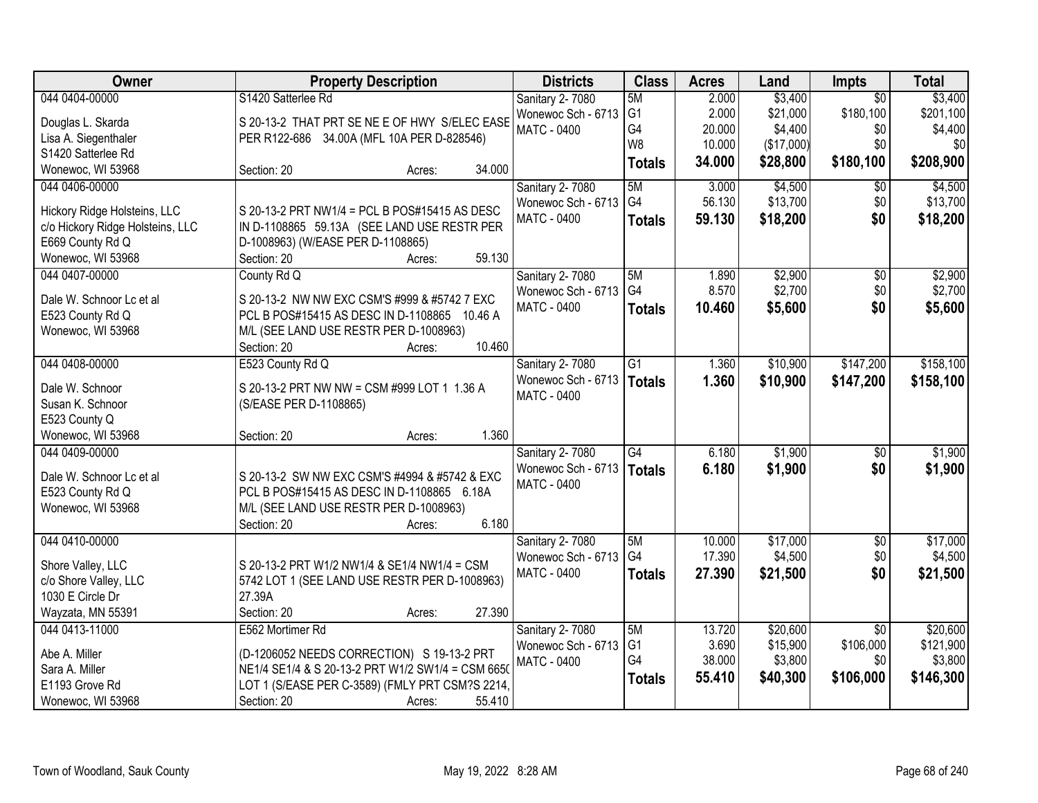| <b>Owner</b>                          | <b>Property Description</b>                                          | <b>Districts</b>                         | <b>Class</b>   | <b>Acres</b>     | Land                | Impts                  | <b>Total</b>        |
|---------------------------------------|----------------------------------------------------------------------|------------------------------------------|----------------|------------------|---------------------|------------------------|---------------------|
| 044 0404-00000                        | S1420 Satterlee Rd                                                   | Sanitary 2-7080                          | 5M             | 2.000            | \$3,400             | $\overline{50}$        | \$3,400             |
| Douglas L. Skarda                     | S 20-13-2 THAT PRT SE NE E OF HWY S/ELEC EASE                        | Wonewoc Sch - 6713                       | G <sub>1</sub> | 2.000            | \$21,000            | \$180,100              | \$201,100           |
| Lisa A. Siegenthaler                  | PER R122-686 34.00A (MFL 10A PER D-828546)                           | <b>MATC - 0400</b>                       | G4             | 20.000           | \$4,400             | \$0                    | \$4,400             |
| S1420 Satterlee Rd                    |                                                                      |                                          | W <sub>8</sub> | 10.000           | (\$17,000)          | \$0                    | \$0                 |
| Wonewoc, WI 53968                     | 34.000<br>Section: 20<br>Acres:                                      |                                          | <b>Totals</b>  | 34.000           | \$28,800            | \$180,100              | \$208,900           |
| 044 0406-00000                        |                                                                      | Sanitary 2-7080                          | 5M             | 3.000            | \$4,500             | $\overline{50}$        | \$4,500             |
|                                       |                                                                      | Wonewoc Sch - 6713                       | G4             | 56.130           | \$13,700            | \$0                    | \$13,700            |
| Hickory Ridge Holsteins, LLC          | S 20-13-2 PRT NW1/4 = PCL B POS#15415 AS DESC                        | <b>MATC - 0400</b>                       | <b>Totals</b>  | 59.130           | \$18,200            | \$0                    | \$18,200            |
| c/o Hickory Ridge Holsteins, LLC      | IN D-1108865 59.13A (SEE LAND USE RESTR PER                          |                                          |                |                  |                     |                        |                     |
| E669 County Rd Q<br>Wonewoc, WI 53968 | D-1008963) (W/EASE PER D-1108865)<br>59.130<br>Section: 20<br>Acres: |                                          |                |                  |                     |                        |                     |
| 044 0407-00000                        | County Rd Q                                                          | Sanitary 2-7080                          | 5M             | 1.890            | \$2,900             | \$0                    | \$2,900             |
|                                       |                                                                      | Wonewoc Sch - 6713                       | G <sub>4</sub> | 8.570            | \$2,700             | \$0                    | \$2,700             |
| Dale W. Schnoor Lc et al              | S 20-13-2 NW NW EXC CSM'S #999 & #5742 7 EXC                         | MATC - 0400                              | <b>Totals</b>  | 10.460           | \$5,600             | \$0                    | \$5,600             |
| E523 County Rd Q                      | PCL B POS#15415 AS DESC IN D-1108865<br>10.46 A                      |                                          |                |                  |                     |                        |                     |
| Wonewoc, WI 53968                     | M/L (SEE LAND USE RESTR PER D-1008963)                               |                                          |                |                  |                     |                        |                     |
|                                       | 10.460<br>Section: 20<br>Acres:                                      |                                          |                |                  |                     |                        |                     |
| 044 0408-00000                        | E523 County Rd Q                                                     | Sanitary 2-7080                          | G1             | 1.360            | \$10,900            | \$147,200              | \$158,100           |
| Dale W. Schnoor                       | S 20-13-2 PRT NW NW = CSM #999 LOT 1 1.36 A                          | Wonewoc Sch - 6713                       | <b>Totals</b>  | 1.360            | \$10,900            | \$147,200              | \$158,100           |
| Susan K. Schnoor                      | (S/EASE PER D-1108865)                                               | <b>MATC - 0400</b>                       |                |                  |                     |                        |                     |
| E523 County Q                         |                                                                      |                                          |                |                  |                     |                        |                     |
| Wonewoc, WI 53968                     | 1.360<br>Section: 20<br>Acres:                                       |                                          |                |                  |                     |                        |                     |
| 044 0409-00000                        |                                                                      | <b>Sanitary 2-7080</b>                   | G4             | 6.180            | \$1,900             | $\overline{50}$        | \$1,900             |
|                                       |                                                                      | Wonewoc Sch - 6713                       | <b>Totals</b>  | 6.180            | \$1,900             | \$0                    | \$1,900             |
| Dale W. Schnoor Lc et al              | S 20-13-2 SW NW EXC CSM'S #4994 & #5742 & EXC                        | MATC - 0400                              |                |                  |                     |                        |                     |
| E523 County Rd Q                      | PCL B POS#15415 AS DESC IN D-1108865 6.18A                           |                                          |                |                  |                     |                        |                     |
| Wonewoc, WI 53968                     | M/L (SEE LAND USE RESTR PER D-1008963)                               |                                          |                |                  |                     |                        |                     |
|                                       | 6.180<br>Section: 20<br>Acres:                                       |                                          |                |                  |                     |                        |                     |
| 044 0410-00000                        |                                                                      | <b>Sanitary 2-7080</b>                   | 5M<br>G4       | 10.000<br>17.390 | \$17,000<br>\$4,500 | $\overline{50}$<br>\$0 | \$17,000<br>\$4,500 |
| Shore Valley, LLC                     | S 20-13-2 PRT W1/2 NW1/4 & SE1/4 NW1/4 = CSM                         | Wonewoc Sch - 6713<br><b>MATC - 0400</b> |                |                  |                     |                        |                     |
| c/o Shore Valley, LLC                 | 5742 LOT 1 (SEE LAND USE RESTR PER D-1008963)                        |                                          | <b>Totals</b>  | 27.390           | \$21,500            | \$0                    | \$21,500            |
| 1030 E Circle Dr                      | 27.39A                                                               |                                          |                |                  |                     |                        |                     |
| Wayzata, MN 55391                     | 27.390<br>Section: 20<br>Acres:                                      |                                          |                |                  |                     |                        |                     |
| 044 0413-11000                        | E562 Mortimer Rd                                                     | <b>Sanitary 2-7080</b>                   | 5M             | 13.720           | \$20,600            | $\overline{50}$        | \$20,600            |
| Abe A. Miller                         | (D-1206052 NEEDS CORRECTION) S 19-13-2 PRT                           | Wonewoc Sch - 6713                       | G <sub>1</sub> | 3.690            | \$15,900            | \$106,000              | \$121,900           |
| Sara A. Miller                        | NE1/4 SE1/4 & S 20-13-2 PRT W1/2 SW1/4 = CSM 6650                    | <b>MATC - 0400</b>                       | G4             | 38.000           | \$3,800             | \$0                    | \$3,800             |
| E1193 Grove Rd                        | LOT 1 (S/EASE PER C-3589) (FMLY PRT CSM?S 2214,                      |                                          | <b>Totals</b>  | 55.410           | \$40,300            | \$106,000              | \$146,300           |
| Wonewoc, WI 53968                     | 55.410<br>Section: 20<br>Acres:                                      |                                          |                |                  |                     |                        |                     |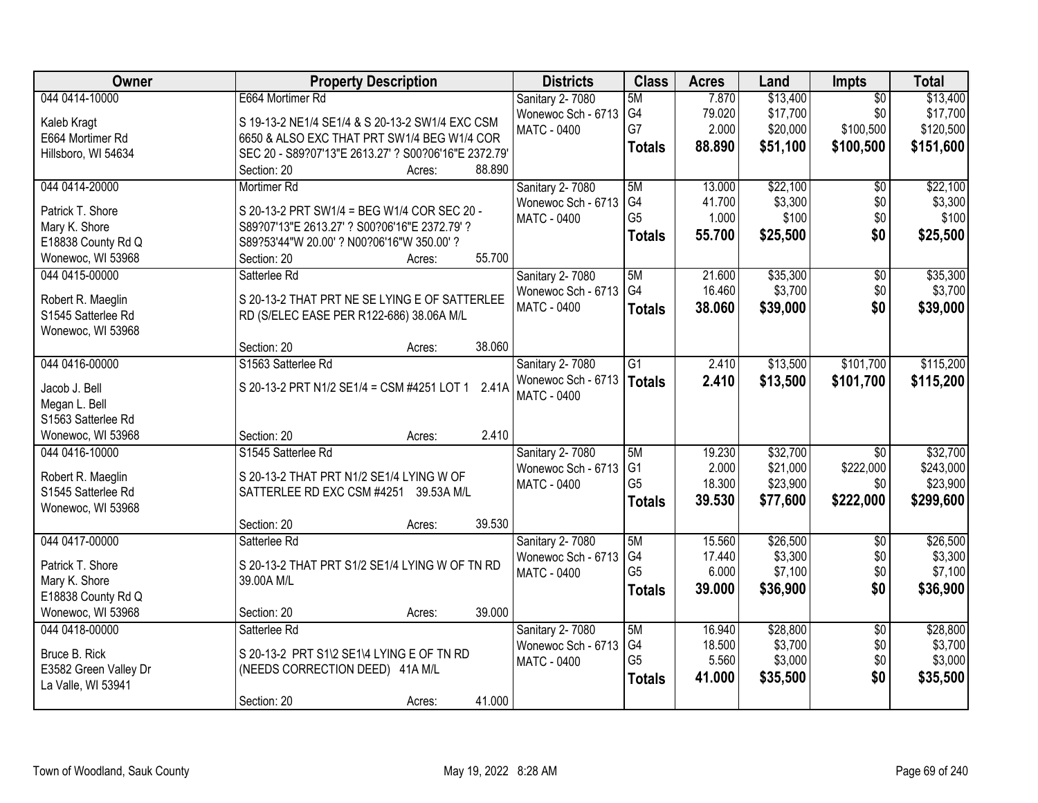| Owner                 | <b>Property Description</b>                          | <b>Districts</b>   | <b>Class</b>    | <b>Acres</b> | Land     | Impts           | <b>Total</b> |
|-----------------------|------------------------------------------------------|--------------------|-----------------|--------------|----------|-----------------|--------------|
| 044 0414-10000        | E664 Mortimer Rd                                     | Sanitary 2-7080    | 5M              | 7.870        | \$13,400 | $\overline{50}$ | \$13,400     |
| Kaleb Kragt           | S 19-13-2 NE1/4 SE1/4 & S 20-13-2 SW1/4 EXC CSM      | Wonewoc Sch - 6713 | G4              | 79.020       | \$17,700 | \$0             | \$17,700     |
| E664 Mortimer Rd      | 6650 & ALSO EXC THAT PRT SW1/4 BEG W1/4 COR          | <b>MATC - 0400</b> | G7              | 2.000        | \$20,000 | \$100,500       | \$120,500    |
| Hillsboro, WI 54634   | SEC 20 - S89?07'13"E 2613.27' ? S00?06'16"E 2372.79' |                    | <b>Totals</b>   | 88.890       | \$51,100 | \$100,500       | \$151,600    |
|                       | 88.890<br>Section: 20<br>Acres:                      |                    |                 |              |          |                 |              |
| 044 0414-20000        | Mortimer Rd                                          | Sanitary 2-7080    | 5M              | 13.000       | \$22,100 | $\overline{50}$ | \$22,100     |
| Patrick T. Shore      | S 20-13-2 PRT SW1/4 = BEG W1/4 COR SEC 20 -          | Wonewoc Sch - 6713 | G4              | 41.700       | \$3,300  | \$0             | \$3,300      |
| Mary K. Shore         | S89?07'13"E 2613.27' ? S00?06'16"E 2372.79' ?        | <b>MATC - 0400</b> | G <sub>5</sub>  | 1.000        | \$100    | \$0             | \$100        |
| E18838 County Rd Q    | S89?53'44"W 20.00' ? N00?06'16"W 350.00' ?           |                    | <b>Totals</b>   | 55.700       | \$25,500 | \$0             | \$25,500     |
| Wonewoc, WI 53968     | 55.700<br>Section: 20<br>Acres:                      |                    |                 |              |          |                 |              |
| 044 0415-00000        | Satterlee Rd                                         | Sanitary 2-7080    | 5M              | 21.600       | \$35,300 | $\overline{50}$ | \$35,300     |
|                       |                                                      | Wonewoc Sch - 6713 | G <sub>4</sub>  | 16.460       | \$3,700  | \$0             | \$3,700      |
| Robert R. Maeglin     | S 20-13-2 THAT PRT NE SE LYING E OF SATTERLEE        | <b>MATC - 0400</b> | <b>Totals</b>   | 38.060       | \$39,000 | \$0             | \$39,000     |
| S1545 Satterlee Rd    | RD (S/ELEC EASE PER R122-686) 38.06A M/L             |                    |                 |              |          |                 |              |
| Wonewoc, WI 53968     | 38.060<br>Section: 20<br>Acres:                      |                    |                 |              |          |                 |              |
| 044 0416-00000        | S1563 Satterlee Rd                                   | Sanitary 2-7080    | $\overline{G1}$ | 2.410        | \$13,500 | \$101,700       | \$115,200    |
|                       |                                                      | Wonewoc Sch - 6713 |                 | 2.410        | \$13,500 | \$101,700       | \$115,200    |
| Jacob J. Bell         | S 20-13-2 PRT N1/2 SE1/4 = CSM #4251 LOT 1<br>2.41A  | <b>MATC - 0400</b> | Totals          |              |          |                 |              |
| Megan L. Bell         |                                                      |                    |                 |              |          |                 |              |
| S1563 Satterlee Rd    |                                                      |                    |                 |              |          |                 |              |
| Wonewoc, WI 53968     | 2.410<br>Section: 20<br>Acres:                       |                    |                 |              |          |                 |              |
| 044 0416-10000        | S1545 Satterlee Rd                                   | Sanitary 2-7080    | 5M              | 19.230       | \$32,700 | $\overline{30}$ | \$32,700     |
| Robert R. Maeglin     | S 20-13-2 THAT PRT N1/2 SE1/4 LYING W OF             | Wonewoc Sch - 6713 | G <sub>1</sub>  | 2.000        | \$21,000 | \$222,000       | \$243,000    |
| S1545 Satterlee Rd    | SATTERLEE RD EXC CSM #4251<br>39.53A M/L             | MATC - 0400        | G <sub>5</sub>  | 18.300       | \$23,900 | \$0             | \$23,900     |
| Wonewoc, WI 53968     |                                                      |                    | <b>Totals</b>   | 39.530       | \$77,600 | \$222,000       | \$299,600    |
|                       | 39.530<br>Section: 20<br>Acres:                      |                    |                 |              |          |                 |              |
| 044 0417-00000        | Satterlee Rd                                         | Sanitary 2-7080    | 5M              | 15.560       | \$26,500 | $\overline{50}$ | \$26,500     |
| Patrick T. Shore      | S 20-13-2 THAT PRT S1/2 SE1/4 LYING W OF TN RD       | Wonewoc Sch - 6713 | G <sub>4</sub>  | 17.440       | \$3,300  | \$0             | \$3,300      |
| Mary K. Shore         | 39.00A M/L                                           | <b>MATC - 0400</b> | G <sub>5</sub>  | 6.000        | \$7,100  | \$0             | \$7,100      |
| E18838 County Rd Q    |                                                      |                    | <b>Totals</b>   | 39,000       | \$36,900 | \$0             | \$36,900     |
| Wonewoc, WI 53968     | 39.000<br>Section: 20<br>Acres:                      |                    |                 |              |          |                 |              |
| 044 0418-00000        | Satterlee Rd                                         | Sanitary 2-7080    | 5M              | 16.940       | \$28,800 | $\overline{50}$ | \$28,800     |
| Bruce B. Rick         | S 20-13-2 PRT S1\2 SE1\4 LYING E OF TN RD            | Wonewoc Sch - 6713 | G4              | 18.500       | \$3,700  | \$0             | \$3,700      |
| E3582 Green Valley Dr | (NEEDS CORRECTION DEED) 41A M/L                      | MATC - 0400        | G <sub>5</sub>  | 5.560        | \$3,000  | \$0             | \$3,000      |
| La Valle, WI 53941    |                                                      |                    | <b>Totals</b>   | 41.000       | \$35,500 | \$0             | \$35,500     |
|                       | 41.000<br>Section: 20<br>Acres:                      |                    |                 |              |          |                 |              |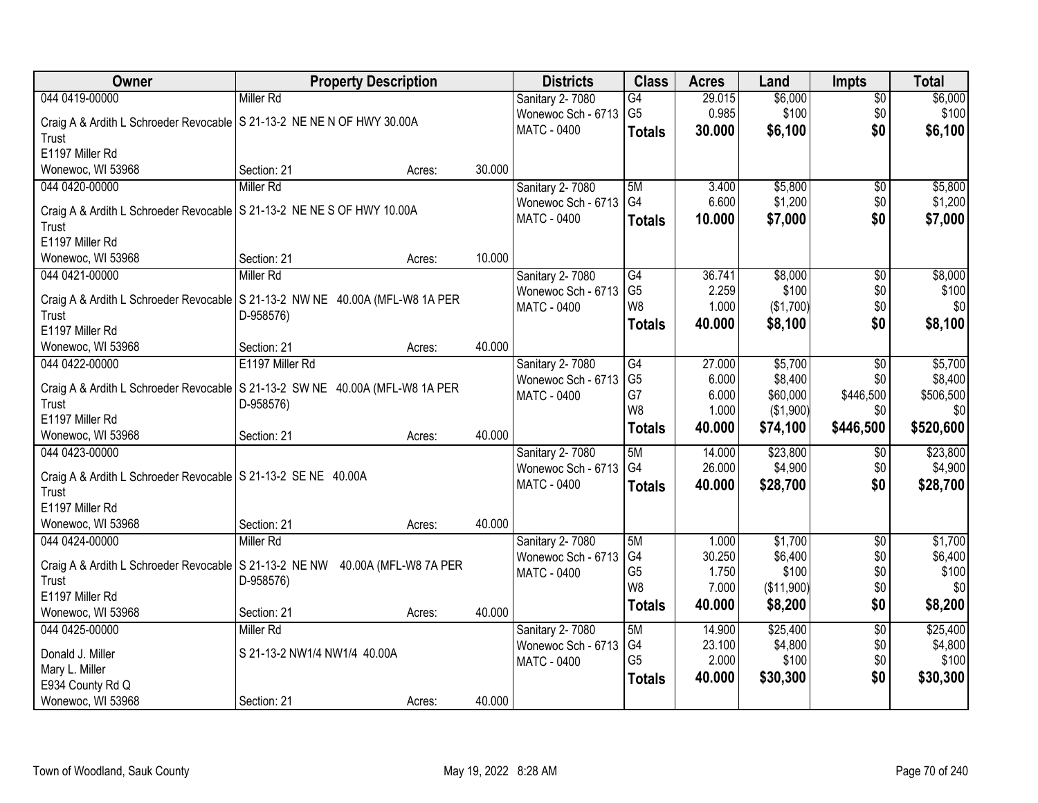| Owner                                                                          | <b>Property Description</b>  |        |        | <b>Districts</b>                      | <b>Class</b>   | <b>Acres</b>    | Land             | <b>Impts</b>           | <b>Total</b>     |
|--------------------------------------------------------------------------------|------------------------------|--------|--------|---------------------------------------|----------------|-----------------|------------------|------------------------|------------------|
| 044 0419-00000                                                                 | <b>Miller Rd</b>             |        |        | Sanitary 2-7080                       | G4             | 29.015          | \$6,000          | $\overline{50}$        | \$6,000          |
| Craig A & Ardith L Schroeder Revocable   S 21-13-2 NE NE N OF HWY 30.00A       |                              |        |        | Wonewoc Sch - 6713                    | G <sub>5</sub> | 0.985           | \$100            | \$0                    | \$100            |
| Trust                                                                          |                              |        |        | MATC - 0400                           | <b>Totals</b>  | 30.000          | \$6,100          | \$0                    | \$6,100          |
| E1197 Miller Rd                                                                |                              |        |        |                                       |                |                 |                  |                        |                  |
| Wonewoc, WI 53968                                                              | Section: 21                  | Acres: | 30.000 |                                       |                |                 |                  |                        |                  |
| 044 0420-00000                                                                 | <b>Miller Rd</b>             |        |        | Sanitary 2-7080                       | 5M             | 3.400           | \$5,800          | $\overline{50}$        | \$5,800          |
|                                                                                |                              |        |        | Wonewoc Sch - 6713                    | G4             | 6.600           | \$1,200          | \$0                    | \$1,200          |
| Craig A & Ardith L Schroeder Revocable   S 21-13-2 NE NE S OF HWY 10.00A       |                              |        |        | <b>MATC - 0400</b>                    | <b>Totals</b>  | 10.000          | \$7,000          | \$0                    | \$7,000          |
| Trust                                                                          |                              |        |        |                                       |                |                 |                  |                        |                  |
| E1197 Miller Rd                                                                | Section: 21                  |        | 10.000 |                                       |                |                 |                  |                        |                  |
| Wonewoc, WI 53968<br>044 0421-00000                                            | <b>Miller Rd</b>             | Acres: |        |                                       | G4             | 36.741          |                  |                        |                  |
|                                                                                |                              |        |        | Sanitary 2-7080<br>Wonewoc Sch - 6713 | G <sub>5</sub> | 2.259           | \$8,000<br>\$100 | \$0<br>\$0             | \$8,000<br>\$100 |
| Craig A & Ardith L Schroeder Revocable   S 21-13-2 NW NE 40.00A (MFL-W8 1A PER |                              |        |        | <b>MATC - 0400</b>                    | W8             | 1.000           | (\$1,700)        | \$0                    | \$0              |
| Trust                                                                          | D-958576)                    |        |        |                                       |                | 40.000          | \$8,100          | \$0                    | \$8,100          |
| E1197 Miller Rd                                                                |                              |        |        |                                       | <b>Totals</b>  |                 |                  |                        |                  |
| Wonewoc, WI 53968                                                              | Section: 21                  | Acres: | 40.000 |                                       |                |                 |                  |                        |                  |
| 044 0422-00000                                                                 | E1197 Miller Rd              |        |        | Sanitary 2-7080                       | G4             | 27.000          | \$5,700          | \$0                    | \$5,700          |
| Craig A & Ardith L Schroeder Revocable   S 21-13-2 SW NE 40.00A (MFL-W8 1A PER |                              |        |        | Wonewoc Sch - 6713                    | G <sub>5</sub> | 6.000           | \$8,400          | \$0                    | \$8,400          |
| Trust                                                                          | D-958576)                    |        |        | MATC - 0400                           | G7             | 6.000           | \$60,000         | \$446,500              | \$506,500        |
| E1197 Miller Rd                                                                |                              |        |        |                                       | W8             | 1.000           | (\$1,900)        | \$0                    | \$0              |
| Wonewoc, WI 53968                                                              | Section: 21                  | Acres: | 40.000 |                                       | <b>Totals</b>  | 40.000          | \$74,100         | \$446,500              | \$520,600        |
| 044 0423-00000                                                                 |                              |        |        | Sanitary 2-7080                       | 5M             | 14.000          | \$23,800         | \$0                    | \$23,800         |
|                                                                                |                              |        |        | Wonewoc Sch - 6713                    | G <sub>4</sub> | 26.000          | \$4,900          | \$0                    | \$4,900          |
| Craig A & Ardith L Schroeder Revocable   S 21-13-2 SE NE 40.00A                |                              |        |        | MATC - 0400                           | <b>Totals</b>  | 40.000          | \$28,700         | \$0                    | \$28,700         |
| Trust<br>E1197 Miller Rd                                                       |                              |        |        |                                       |                |                 |                  |                        |                  |
|                                                                                |                              |        | 40.000 |                                       |                |                 |                  |                        |                  |
| Wonewoc, WI 53968<br>044 0424-00000                                            | Section: 21<br>Miller Rd     | Acres: |        |                                       | 5M             |                 | \$1,700          |                        | \$1,700          |
|                                                                                |                              |        |        | Sanitary 2-7080<br>Wonewoc Sch - 6713 | G4             | 1.000<br>30.250 | \$6,400          | $\overline{60}$<br>\$0 | \$6,400          |
| Craig A & Ardith L Schroeder Revocable   S 21-13-2 NE NW 40.00A (MFL-W8 7A PER |                              |        |        | <b>MATC - 0400</b>                    | G <sub>5</sub> | 1.750           | \$100            | \$0                    | \$100            |
| Trust                                                                          | D-958576)                    |        |        |                                       | W8             | 7.000           | (\$11,900)       | \$0                    | \$0              |
| E1197 Miller Rd                                                                |                              |        |        |                                       | <b>Totals</b>  | 40.000          | \$8,200          | \$0                    | \$8,200          |
| Wonewoc, WI 53968                                                              | Section: 21                  | Acres: | 40.000 |                                       |                |                 |                  |                        |                  |
| 044 0425-00000                                                                 | <b>Miller Rd</b>             |        |        | Sanitary 2-7080                       | 5M             | 14.900          | \$25,400         | $\overline{50}$        | \$25,400         |
| Donald J. Miller                                                               | S 21-13-2 NW1/4 NW1/4 40.00A |        |        | Wonewoc Sch - 6713                    | G4             | 23.100          | \$4,800          | \$0                    | \$4,800          |
| Mary L. Miller                                                                 |                              |        |        | MATC - 0400                           | G <sub>5</sub> | 2.000           | \$100            | \$0                    | \$100            |
| E934 County Rd Q                                                               |                              |        |        |                                       | <b>Totals</b>  | 40.000          | \$30,300         | \$0                    | \$30,300         |
| Wonewoc, WI 53968                                                              | Section: 21                  | Acres: | 40.000 |                                       |                |                 |                  |                        |                  |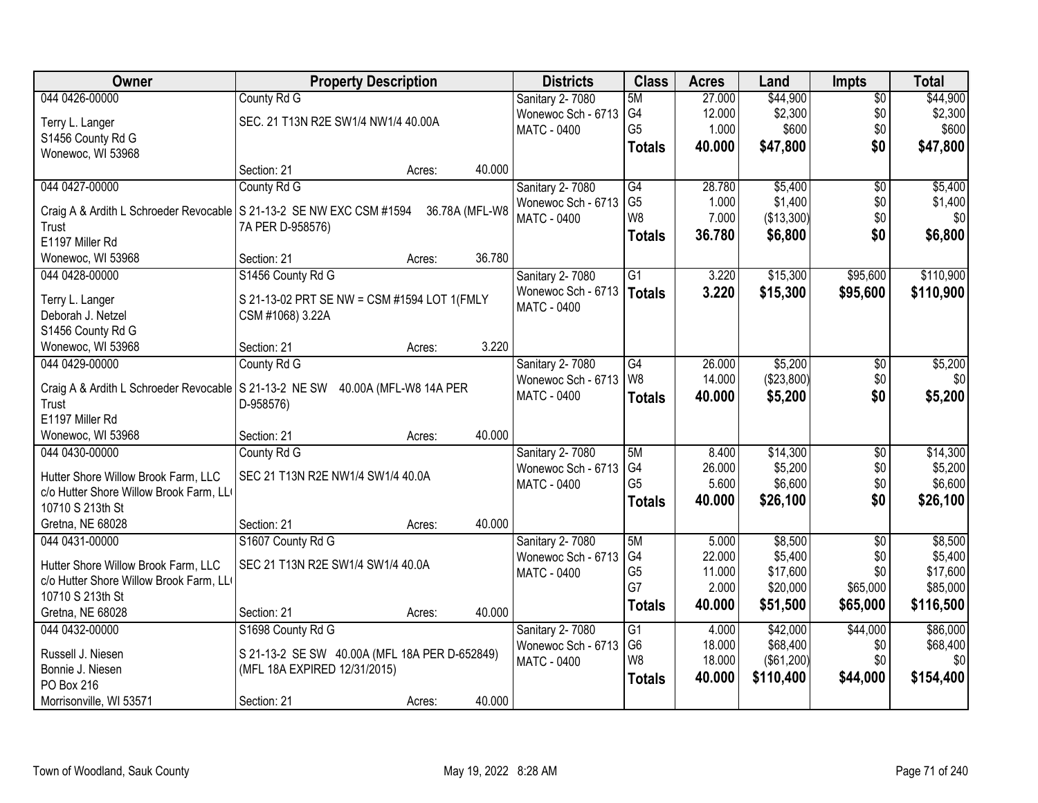| Owner                                                                           | <b>Property Description</b>                   |                        |                | <b>Districts</b>   | <b>Class</b>    | <b>Acres</b> | Land       | <b>Impts</b>    | <b>Total</b> |
|---------------------------------------------------------------------------------|-----------------------------------------------|------------------------|----------------|--------------------|-----------------|--------------|------------|-----------------|--------------|
| 044 0426-00000                                                                  | County Rd G                                   |                        |                | Sanitary 2-7080    | 5M              | 27.000       | \$44,900   | $\overline{50}$ | \$44,900     |
| Terry L. Langer                                                                 | SEC. 21 T13N R2E SW1/4 NW1/4 40.00A           |                        |                | Wonewoc Sch - 6713 | G4              | 12.000       | \$2,300    | \$0             | \$2,300      |
| S1456 County Rd G                                                               |                                               |                        |                | <b>MATC - 0400</b> | G <sub>5</sub>  | 1.000        | \$600      | \$0             | \$600        |
| Wonewoc, WI 53968                                                               |                                               |                        |                |                    | <b>Totals</b>   | 40.000       | \$47,800   | \$0             | \$47,800     |
|                                                                                 | Section: 21                                   | Acres:                 | 40.000         |                    |                 |              |            |                 |              |
| 044 0427-00000                                                                  | County Rd G                                   |                        |                | Sanitary 2-7080    | G4              | 28.780       | \$5,400    | $\overline{50}$ | \$5,400      |
|                                                                                 |                                               |                        |                | Wonewoc Sch - 6713 | G <sub>5</sub>  | 1.000        | \$1,400    | \$0             | \$1,400      |
| Craig A & Ardith L Schroeder Revocable   S 21-13-2 SE NW EXC CSM #1594<br>Trust |                                               |                        | 36.78A (MFL-W8 | <b>MATC - 0400</b> | W <sub>8</sub>  | 7.000        | (\$13,300) | \$0             | \$0          |
| E1197 Miller Rd                                                                 | 7A PER D-958576)                              |                        |                |                    | <b>Totals</b>   | 36.780       | \$6,800    | \$0             | \$6,800      |
| Wonewoc, WI 53968                                                               | Section: 21                                   | Acres:                 | 36.780         |                    |                 |              |            |                 |              |
| 044 0428-00000                                                                  | S1456 County Rd G                             |                        |                | Sanitary 2-7080    | $\overline{G1}$ | 3.220        | \$15,300   | \$95,600        | \$110,900    |
|                                                                                 |                                               |                        |                | Wonewoc Sch - 6713 |                 | 3.220        | \$15,300   | \$95,600        | \$110,900    |
| Terry L. Langer                                                                 | S 21-13-02 PRT SE NW = CSM #1594 LOT 1(FMLY   |                        |                | MATC - 0400        | Totals          |              |            |                 |              |
| Deborah J. Netzel                                                               | CSM #1068) 3.22A                              |                        |                |                    |                 |              |            |                 |              |
| S1456 County Rd G                                                               |                                               |                        |                |                    |                 |              |            |                 |              |
| Wonewoc, WI 53968                                                               | Section: 21                                   | Acres:                 | 3.220          |                    |                 |              |            |                 |              |
| 044 0429-00000                                                                  | County Rd G                                   |                        |                | Sanitary 2-7080    | G4              | 26.000       | \$5,200    | \$0             | \$5,200      |
| Craig A & Ardith L Schroeder Revocable S 21-13-2 NE SW                          |                                               | 40.00A (MFL-W8 14A PER |                | Wonewoc Sch - 6713 | W <sub>8</sub>  | 14.000       | (\$23,800) | \$0             | \$0          |
| Trust                                                                           | D-958576)                                     |                        |                | <b>MATC - 0400</b> | <b>Totals</b>   | 40.000       | \$5,200    | \$0             | \$5,200      |
| E1197 Miller Rd                                                                 |                                               |                        |                |                    |                 |              |            |                 |              |
| Wonewoc, WI 53968                                                               | Section: 21                                   | Acres:                 | 40.000         |                    |                 |              |            |                 |              |
| 044 0430-00000                                                                  | County Rd G                                   |                        |                | Sanitary 2-7080    | 5M              | 8.400        | \$14,300   | $\overline{30}$ | \$14,300     |
|                                                                                 |                                               |                        |                | Wonewoc Sch - 6713 | G4              | 26.000       | \$5,200    | \$0             | \$5,200      |
| Hutter Shore Willow Brook Farm, LLC                                             | SEC 21 T13N R2E NW1/4 SW1/4 40.0A             |                        |                | <b>MATC - 0400</b> | G <sub>5</sub>  | 5.600        | \$6,600    | \$0             | \$6,600      |
| c/o Hutter Shore Willow Brook Farm, LL                                          |                                               |                        |                |                    | <b>Totals</b>   | 40.000       | \$26,100   | \$0             | \$26,100     |
| 10710 S 213th St                                                                |                                               |                        |                |                    |                 |              |            |                 |              |
| Gretna, NE 68028                                                                | Section: 21                                   | Acres:                 | 40.000         |                    |                 |              |            |                 |              |
| 044 0431-00000                                                                  | S1607 County Rd G                             |                        |                | Sanitary 2-7080    | 5M              | 5.000        | \$8,500    | $\overline{50}$ | \$8,500      |
| Hutter Shore Willow Brook Farm, LLC                                             | SEC 21 T13N R2E SW1/4 SW1/4 40.0A             |                        |                | Wonewoc Sch - 6713 | G4              | 22.000       | \$5,400    | \$0             | \$5,400      |
| c/o Hutter Shore Willow Brook Farm, LL                                          |                                               |                        |                | MATC - 0400        | G <sub>5</sub>  | 11.000       | \$17,600   | \$0             | \$17,600     |
| 10710 S 213th St                                                                |                                               |                        |                |                    | G7              | 2.000        | \$20,000   | \$65,000        | \$85,000     |
| Gretna, NE 68028                                                                | Section: 21                                   | Acres:                 | 40.000         |                    | Totals          | 40.000       | \$51,500   | \$65,000        | \$116,500    |
| 044 0432-00000                                                                  | S1698 County Rd G                             |                        |                | Sanitary 2-7080    | $\overline{G1}$ | 4.000        | \$42,000   | \$44,000        | \$86,000     |
|                                                                                 |                                               |                        |                | Wonewoc Sch - 6713 | G <sub>6</sub>  | 18.000       | \$68,400   | \$0             | \$68,400     |
| Russell J. Niesen                                                               | S 21-13-2 SE SW 40.00A (MFL 18A PER D-652849) |                        |                | MATC - 0400        | W <sub>8</sub>  | 18.000       | (\$61,200) | \$0             | \$0          |
| Bonnie J. Niesen                                                                | (MFL 18A EXPIRED 12/31/2015)                  |                        |                |                    | <b>Totals</b>   | 40.000       | \$110,400  | \$44,000        | \$154,400    |
| PO Box 216                                                                      |                                               |                        |                |                    |                 |              |            |                 |              |
| Morrisonville, WI 53571                                                         | Section: 21                                   | Acres:                 | 40.000         |                    |                 |              |            |                 |              |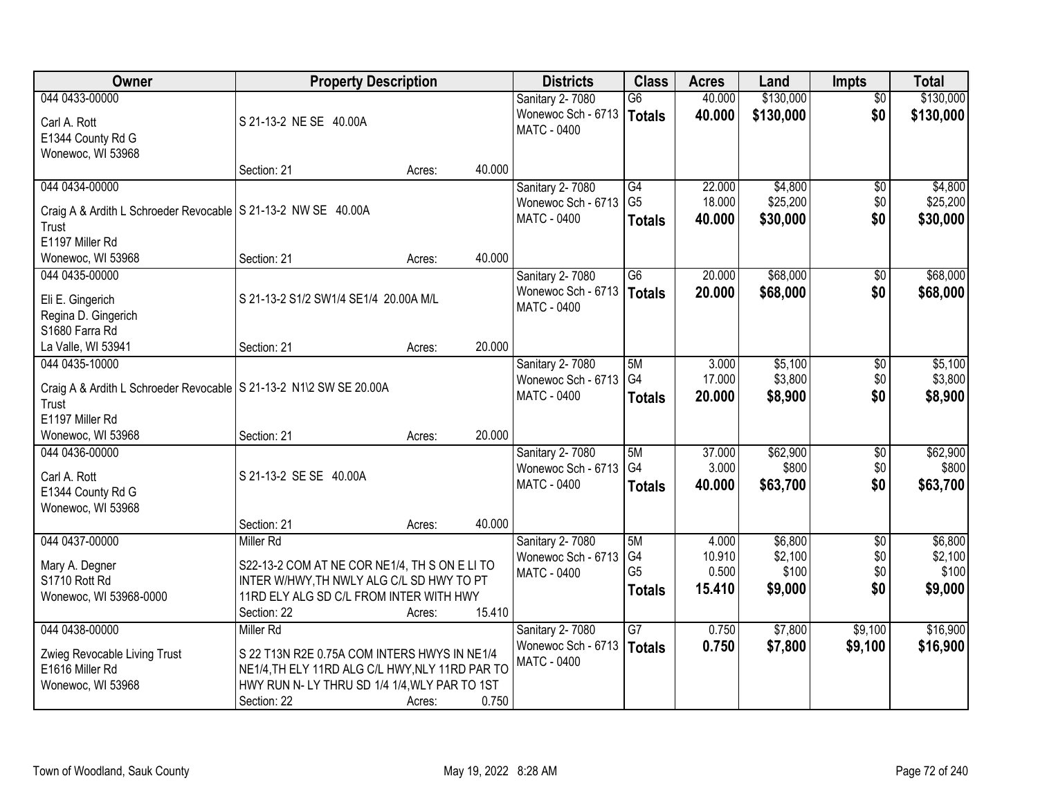| Owner                                                                | <b>Property Description</b>                     |        |        | <b>Districts</b>                      | <b>Class</b>    | <b>Acres</b> | Land      | <b>Impts</b>    | <b>Total</b> |
|----------------------------------------------------------------------|-------------------------------------------------|--------|--------|---------------------------------------|-----------------|--------------|-----------|-----------------|--------------|
| 044 0433-00000                                                       |                                                 |        |        | Sanitary 2-7080                       | $\overline{G6}$ | 40.000       | \$130,000 | $\overline{50}$ | \$130,000    |
| Carl A. Rott                                                         | S 21-13-2 NE SE 40.00A                          |        |        | Wonewoc Sch - 6713                    | <b>Totals</b>   | 40.000       | \$130,000 | \$0             | \$130,000    |
| E1344 County Rd G                                                    |                                                 |        |        | <b>MATC - 0400</b>                    |                 |              |           |                 |              |
| Wonewoc, WI 53968                                                    |                                                 |        |        |                                       |                 |              |           |                 |              |
|                                                                      | Section: 21                                     | Acres: | 40.000 |                                       |                 |              |           |                 |              |
| 044 0434-00000                                                       |                                                 |        |        | Sanitary 2-7080                       | G4              | 22.000       | \$4,800   | \$0             | \$4,800      |
| Craig A & Ardith L Schroeder Revocable   S 21-13-2 NW SE 40.00A      |                                                 |        |        | Wonewoc Sch - 6713                    | G <sub>5</sub>  | 18.000       | \$25,200  | \$0             | \$25,200     |
| Trust                                                                |                                                 |        |        | MATC - 0400                           | <b>Totals</b>   | 40.000       | \$30,000  | \$0             | \$30,000     |
| E1197 Miller Rd                                                      |                                                 |        |        |                                       |                 |              |           |                 |              |
| Wonewoc, WI 53968                                                    | Section: 21                                     | Acres: | 40.000 |                                       |                 |              |           |                 |              |
| 044 0435-00000                                                       |                                                 |        |        | Sanitary 2-7080                       | G6              | 20.000       | \$68,000  | \$0             | \$68,000     |
|                                                                      | S 21-13-2 S1/2 SW1/4 SE1/4 20.00A M/L           |        |        | Wonewoc Sch - 6713                    | <b>Totals</b>   | 20.000       | \$68,000  | \$0             | \$68,000     |
| Eli E. Gingerich<br>Regina D. Gingerich                              |                                                 |        |        | <b>MATC - 0400</b>                    |                 |              |           |                 |              |
| S1680 Farra Rd                                                       |                                                 |        |        |                                       |                 |              |           |                 |              |
| La Valle, WI 53941                                                   | Section: 21                                     | Acres: | 20.000 |                                       |                 |              |           |                 |              |
| 044 0435-10000                                                       |                                                 |        |        | Sanitary 2-7080                       | 5M              | 3.000        | \$5,100   | \$0             | \$5,100      |
|                                                                      |                                                 |        |        | Wonewoc Sch - 6713                    | G4              | 17.000       | \$3,800   | \$0             | \$3,800      |
| Craig A & Ardith L Schroeder Revocable   S 21-13-2 N1\2 SW SE 20.00A |                                                 |        |        | MATC - 0400                           | <b>Totals</b>   | 20.000       | \$8,900   | \$0             | \$8,900      |
| Trust<br>E1197 Miller Rd                                             |                                                 |        |        |                                       |                 |              |           |                 |              |
| Wonewoc, WI 53968                                                    | Section: 21                                     | Acres: | 20.000 |                                       |                 |              |           |                 |              |
| 044 0436-00000                                                       |                                                 |        |        | Sanitary 2-7080                       | 5M              | 37.000       | \$62,900  | \$0             | \$62,900     |
|                                                                      |                                                 |        |        | Wonewoc Sch - 6713                    | G4              | 3.000        | \$800     | \$0             | \$800        |
| Carl A. Rott                                                         | S 21-13-2 SE SE 40.00A                          |        |        | MATC - 0400                           | <b>Totals</b>   | 40.000       | \$63,700  | \$0             | \$63,700     |
| E1344 County Rd G                                                    |                                                 |        |        |                                       |                 |              |           |                 |              |
| Wonewoc, WI 53968                                                    | Section: 21                                     | Acres: | 40.000 |                                       |                 |              |           |                 |              |
| 044 0437-00000                                                       | Miller Rd                                       |        |        | Sanitary 2-7080                       | 5M              | 4.000        | \$6,800   | $\overline{50}$ | \$6,800      |
|                                                                      |                                                 |        |        | Wonewoc Sch - 6713                    | G4              | 10.910       | \$2,100   | \$0             | \$2,100      |
| Mary A. Degner                                                       | S22-13-2 COM AT NE COR NE1/4, TH S ON E LITO    |        |        | MATC - 0400                           | G <sub>5</sub>  | 0.500        | \$100     | \$0             | \$100        |
| S1710 Rott Rd                                                        | INTER W/HWY, TH NWLY ALG C/L SD HWY TO PT       |        |        |                                       | <b>Totals</b>   | 15.410       | \$9,000   | \$0             | \$9,000      |
| Wonewoc, WI 53968-0000                                               | 11RD ELY ALG SD C/L FROM INTER WITH HWY         |        |        |                                       |                 |              |           |                 |              |
|                                                                      | Section: 22                                     | Acres: | 15.410 |                                       | $\overline{G7}$ |              |           |                 |              |
| 044 0438-00000                                                       | Miller Rd                                       |        |        | Sanitary 2-7080<br>Wonewoc Sch - 6713 |                 | 0.750        | \$7,800   | \$9,100         | \$16,900     |
| Zwieg Revocable Living Trust                                         | S 22 T13N R2E 0.75A COM INTERS HWYS IN NE1/4    |        |        | <b>MATC - 0400</b>                    | Totals          | 0.750        | \$7,800   | \$9,100         | \$16,900     |
| E1616 Miller Rd                                                      | NE1/4, TH ELY 11RD ALG C/L HWY, NLY 11RD PAR TO |        |        |                                       |                 |              |           |                 |              |
| Wonewoc, WI 53968                                                    | HWY RUN N- LY THRU SD 1/4 1/4, WLY PAR TO 1ST   |        |        |                                       |                 |              |           |                 |              |
|                                                                      | Section: 22                                     | Acres: | 0.750  |                                       |                 |              |           |                 |              |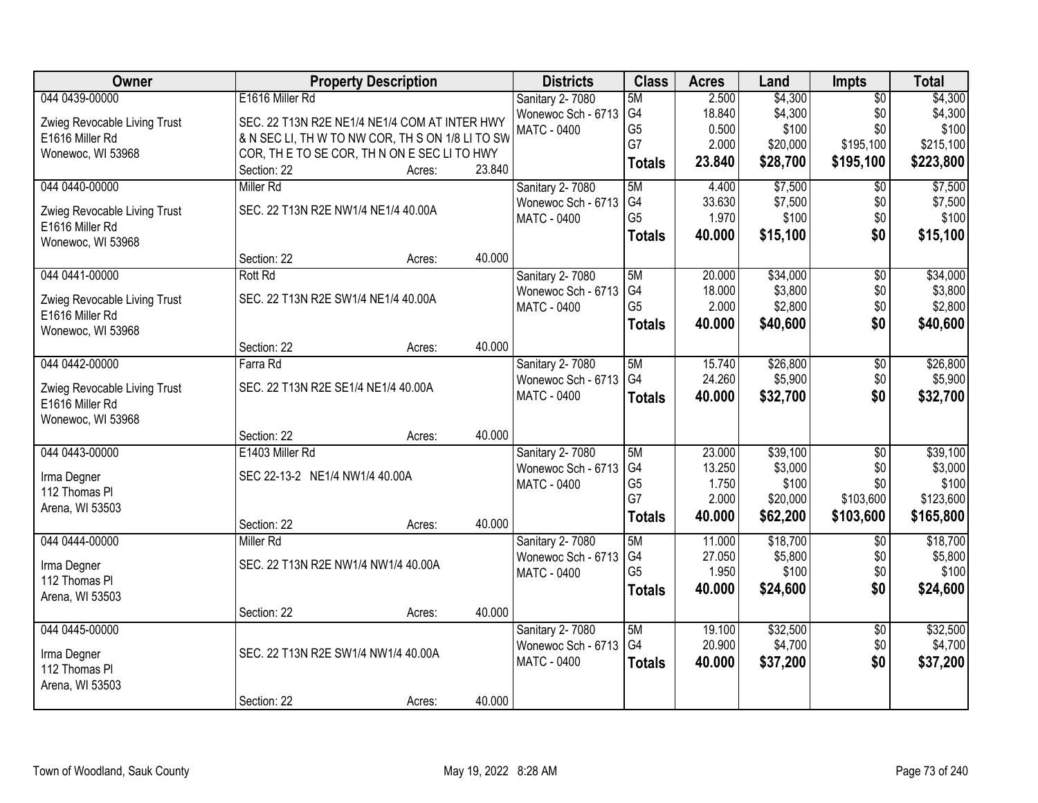| Owner                                           |                                                  | <b>Property Description</b> |        | <b>Districts</b>       | <b>Class</b>   | <b>Acres</b>    | Land             | Impts           | <b>Total</b>     |
|-------------------------------------------------|--------------------------------------------------|-----------------------------|--------|------------------------|----------------|-----------------|------------------|-----------------|------------------|
| 044 0439-00000                                  | E1616 Miller Rd                                  |                             |        | <b>Sanitary 2-7080</b> | 5M             | 2.500           | \$4,300          | $\overline{50}$ | \$4,300          |
| Zwieg Revocable Living Trust                    | SEC. 22 T13N R2E NE1/4 NE1/4 COM AT INTER HWY    |                             |        | Wonewoc Sch - 6713     | G4             | 18.840          | \$4,300          | \$0             | \$4,300          |
| E1616 Miller Rd                                 | & N SEC LI, TH W TO NW COR, TH S ON 1/8 LI TO SW |                             |        | <b>MATC - 0400</b>     | G <sub>5</sub> | 0.500           | \$100            | \$0             | \$100            |
| Wonewoc, WI 53968                               | COR, THE TO SE COR, THIN ON E SECILITO HWY       |                             |        |                        | G7             | 2.000           | \$20,000         | \$195,100       | \$215,100        |
|                                                 | Section: 22                                      | Acres:                      | 23.840 |                        | <b>Totals</b>  | 23.840          | \$28,700         | \$195,100       | \$223,800        |
| 044 0440-00000                                  | Miller Rd                                        |                             |        | Sanitary 2-7080        | 5M             | 4.400           | \$7,500          | $\overline{50}$ | \$7,500          |
| Zwieg Revocable Living Trust                    | SEC. 22 T13N R2E NW1/4 NE1/4 40.00A              |                             |        | Wonewoc Sch - 6713     | G4             | 33.630          | \$7,500          | \$0             | \$7,500          |
| E1616 Miller Rd                                 |                                                  |                             |        | <b>MATC - 0400</b>     | G <sub>5</sub> | 1.970           | \$100            | \$0             | \$100            |
| Wonewoc, WI 53968                               |                                                  |                             |        |                        | <b>Totals</b>  | 40.000          | \$15,100         | \$0             | \$15,100         |
|                                                 | Section: 22                                      | Acres:                      | 40.000 |                        |                |                 |                  |                 |                  |
| 044 0441-00000                                  | <b>Rott Rd</b>                                   |                             |        | <b>Sanitary 2-7080</b> | 5M             | 20.000          | \$34,000         | $\overline{50}$ | \$34,000         |
|                                                 | SEC. 22 T13N R2E SW1/4 NE1/4 40.00A              |                             |        | Wonewoc Sch - 6713     | G4             | 18.000          | \$3,800          | \$0             | \$3,800          |
| Zwieg Revocable Living Trust<br>E1616 Miller Rd |                                                  |                             |        | <b>MATC - 0400</b>     | G <sub>5</sub> | 2.000           | \$2,800          | \$0             | \$2,800          |
| Wonewoc, WI 53968                               |                                                  |                             |        |                        | <b>Totals</b>  | 40.000          | \$40,600         | \$0             | \$40,600         |
|                                                 | Section: 22                                      | Acres:                      | 40.000 |                        |                |                 |                  |                 |                  |
| 044 0442-00000                                  | Farra Rd                                         |                             |        | Sanitary 2-7080        | 5M             | 15.740          | \$26,800         | \$0             | \$26,800         |
|                                                 |                                                  |                             |        | Wonewoc Sch - 6713     | G4             | 24.260          | \$5,900          | \$0             | \$5,900          |
| Zwieg Revocable Living Trust<br>E1616 Miller Rd | SEC. 22 T13N R2E SE1/4 NE1/4 40.00A              |                             |        | <b>MATC - 0400</b>     | <b>Totals</b>  | 40.000          | \$32,700         | \$0             | \$32,700         |
| Wonewoc, WI 53968                               |                                                  |                             |        |                        |                |                 |                  |                 |                  |
|                                                 | Section: 22                                      | Acres:                      | 40.000 |                        |                |                 |                  |                 |                  |
| 044 0443-00000                                  | E1403 Miller Rd                                  |                             |        | Sanitary 2-7080        | 5M             | 23.000          | \$39,100         | $\overline{50}$ | \$39,100         |
|                                                 |                                                  |                             |        | Wonewoc Sch - 6713     | G4             | 13.250          | \$3,000          | \$0             | \$3,000          |
| Irma Degner                                     | SEC 22-13-2 NE1/4 NW1/4 40.00A                   |                             |        | MATC - 0400            | G <sub>5</sub> | 1.750           | \$100            | \$0             | \$100            |
| 112 Thomas PI                                   |                                                  |                             |        |                        | G7             | 2.000           | \$20,000         | \$103,600       | \$123,600        |
| Arena, WI 53503                                 |                                                  |                             |        |                        | <b>Totals</b>  | 40.000          | \$62,200         | \$103,600       | \$165,800        |
|                                                 | Section: 22                                      | Acres:                      | 40.000 |                        |                |                 |                  |                 |                  |
| 044 0444-00000                                  | Miller Rd                                        |                             |        | <b>Sanitary 2-7080</b> | 5M<br>G4       | 11.000          | \$18,700         | $\overline{50}$ | \$18,700         |
| Irma Degner                                     | SEC. 22 T13N R2E NW1/4 NW1/4 40.00A              |                             |        | Wonewoc Sch - 6713     | G <sub>5</sub> | 27.050<br>1.950 | \$5,800<br>\$100 | \$0<br>\$0      | \$5,800<br>\$100 |
| 112 Thomas PI                                   |                                                  |                             |        | <b>MATC - 0400</b>     |                | 40.000          | \$24,600         | \$0             | \$24,600         |
| Arena, WI 53503                                 |                                                  |                             |        |                        | <b>Totals</b>  |                 |                  |                 |                  |
|                                                 | Section: 22                                      | Acres:                      | 40.000 |                        |                |                 |                  |                 |                  |
| 044 0445-00000                                  |                                                  |                             |        | Sanitary 2-7080        | 5M             | 19.100          | \$32,500         | $\overline{50}$ | \$32,500         |
| Irma Degner                                     | SEC. 22 T13N R2E SW1/4 NW1/4 40.00A              |                             |        | Wonewoc Sch - 6713     | G4             | 20.900          | \$4,700          | \$0             | \$4,700          |
| 112 Thomas PI                                   |                                                  |                             |        | <b>MATC - 0400</b>     | <b>Totals</b>  | 40.000          | \$37,200         | \$0             | \$37,200         |
| Arena, WI 53503                                 |                                                  |                             |        |                        |                |                 |                  |                 |                  |
|                                                 | Section: 22                                      | Acres:                      | 40.000 |                        |                |                 |                  |                 |                  |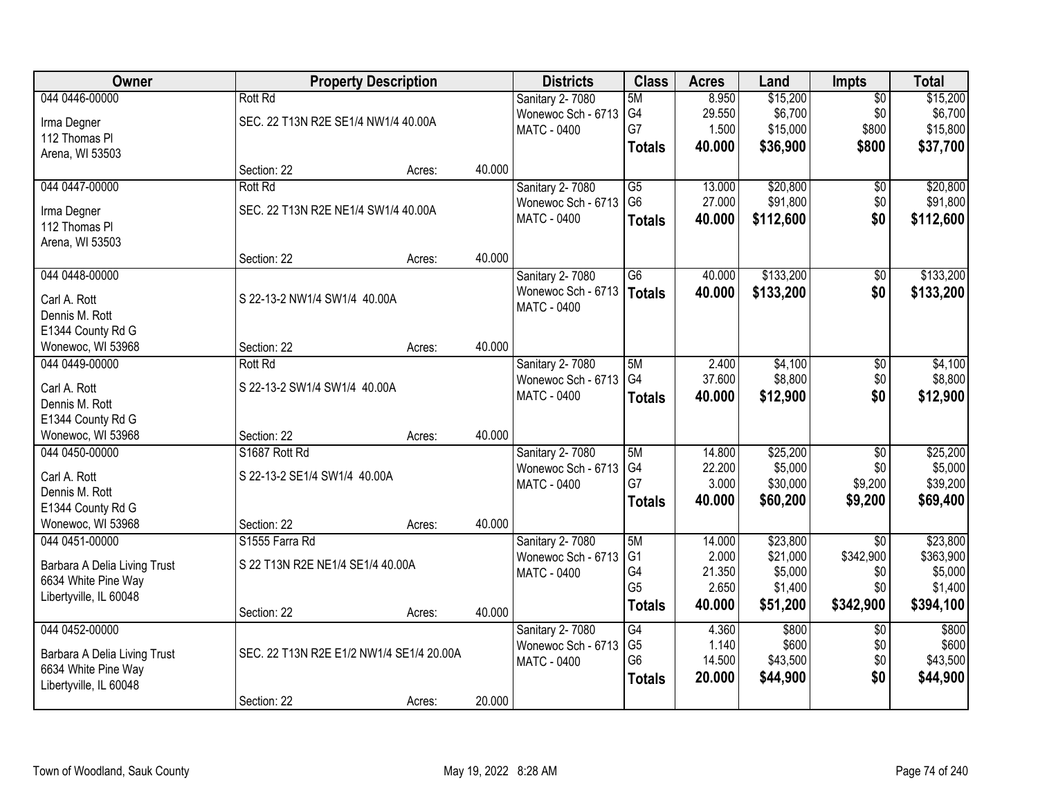| <b>Owner</b>                                        |                                          | <b>Property Description</b> |        | <b>Districts</b>       | <b>Class</b>    | <b>Acres</b> | Land      | Impts           | <b>Total</b> |
|-----------------------------------------------------|------------------------------------------|-----------------------------|--------|------------------------|-----------------|--------------|-----------|-----------------|--------------|
| 044 0446-00000                                      | <b>Rott Rd</b>                           |                             |        | Sanitary 2-7080        | 5M              | 8.950        | \$15,200  | $\overline{50}$ | \$15,200     |
| Irma Degner                                         | SEC. 22 T13N R2E SE1/4 NW1/4 40.00A      |                             |        | Wonewoc Sch - 6713     | G4              | 29.550       | \$6,700   | \$0             | \$6,700      |
| 112 Thomas PI                                       |                                          |                             |        | <b>MATC - 0400</b>     | G7              | 1.500        | \$15,000  | \$800           | \$15,800     |
| Arena, WI 53503                                     |                                          |                             |        |                        | <b>Totals</b>   | 40.000       | \$36,900  | \$800           | \$37,700     |
|                                                     | Section: 22                              | Acres:                      | 40.000 |                        |                 |              |           |                 |              |
| 044 0447-00000                                      | <b>Rott Rd</b>                           |                             |        | Sanitary 2-7080        | G5              | 13.000       | \$20,800  | \$0             | \$20,800     |
| Irma Degner                                         | SEC. 22 T13N R2E NE1/4 SW1/4 40.00A      |                             |        | Wonewoc Sch - 6713     | G <sub>6</sub>  | 27.000       | \$91,800  | \$0             | \$91,800     |
| 112 Thomas PI                                       |                                          |                             |        | <b>MATC - 0400</b>     | <b>Totals</b>   | 40.000       | \$112,600 | \$0             | \$112,600    |
| Arena, WI 53503                                     |                                          |                             |        |                        |                 |              |           |                 |              |
|                                                     | Section: 22                              | Acres:                      | 40.000 |                        |                 |              |           |                 |              |
| 044 0448-00000                                      |                                          |                             |        | Sanitary 2-7080        | $\overline{G6}$ | 40.000       | \$133,200 | $\overline{50}$ | \$133,200    |
| Carl A. Rott                                        | S 22-13-2 NW1/4 SW1/4 40.00A             |                             |        | Wonewoc Sch - 6713     | <b>Totals</b>   | 40.000       | \$133,200 | \$0             | \$133,200    |
| Dennis M. Rott                                      |                                          |                             |        | <b>MATC - 0400</b>     |                 |              |           |                 |              |
| E1344 County Rd G                                   |                                          |                             |        |                        |                 |              |           |                 |              |
| Wonewoc, WI 53968                                   | Section: 22                              | Acres:                      | 40.000 |                        |                 |              |           |                 |              |
| 044 0449-00000                                      | <b>Rott Rd</b>                           |                             |        | Sanitary 2-7080        | 5M              | 2.400        | \$4,100   | \$0             | \$4,100      |
| Carl A. Rott                                        | S 22-13-2 SW1/4 SW1/4 40.00A             |                             |        | Wonewoc Sch - 6713     | G4              | 37.600       | \$8,800   | \$0             | \$8,800      |
| Dennis M. Rott                                      |                                          |                             |        | <b>MATC - 0400</b>     | <b>Totals</b>   | 40.000       | \$12,900  | \$0             | \$12,900     |
| E1344 County Rd G                                   |                                          |                             |        |                        |                 |              |           |                 |              |
| Wonewoc, WI 53968                                   | Section: 22                              | Acres:                      | 40.000 |                        |                 |              |           |                 |              |
| 044 0450-00000                                      | S1687 Rott Rd                            |                             |        | Sanitary 2-7080        | 5M              | 14.800       | \$25,200  | $\overline{50}$ | \$25,200     |
| Carl A. Rott                                        | S 22-13-2 SE1/4 SW1/4 40.00A             |                             |        | Wonewoc Sch - 6713     | G <sub>4</sub>  | 22.200       | \$5,000   | \$0             | \$5,000      |
| Dennis M. Rott                                      |                                          |                             |        | <b>MATC - 0400</b>     | G7              | 3.000        | \$30,000  | \$9,200         | \$39,200     |
| E1344 County Rd G                                   |                                          |                             |        |                        | <b>Totals</b>   | 40.000       | \$60,200  | \$9,200         | \$69,400     |
| Wonewoc, WI 53968                                   | Section: 22                              | Acres:                      | 40.000 |                        |                 |              |           |                 |              |
| 044 0451-00000                                      | S1555 Farra Rd                           |                             |        | <b>Sanitary 2-7080</b> | 5M              | 14.000       | \$23,800  | $\overline{50}$ | \$23,800     |
|                                                     | S 22 T13N R2E NE1/4 SE1/4 40.00A         |                             |        | Wonewoc Sch - 6713     | G <sub>1</sub>  | 2.000        | \$21,000  | \$342,900       | \$363,900    |
| Barbara A Delia Living Trust<br>6634 White Pine Way |                                          |                             |        | MATC - 0400            | G4              | 21.350       | \$5,000   | \$0             | \$5,000      |
| Libertyville, IL 60048                              |                                          |                             |        |                        | G <sub>5</sub>  | 2.650        | \$1,400   | \$0             | \$1,400      |
|                                                     | Section: 22                              | Acres:                      | 40.000 |                        | <b>Totals</b>   | 40.000       | \$51,200  | \$342,900       | \$394,100    |
| 044 0452-00000                                      |                                          |                             |        | Sanitary 2-7080        | G4              | 4.360        | \$800     | $\overline{50}$ | \$800        |
| Barbara A Delia Living Trust                        | SEC. 22 T13N R2E E1/2 NW1/4 SE1/4 20.00A |                             |        | Wonewoc Sch - 6713     | G <sub>5</sub>  | 1.140        | \$600     | \$0             | \$600        |
| 6634 White Pine Way                                 |                                          |                             |        | <b>MATC - 0400</b>     | G <sub>6</sub>  | 14.500       | \$43,500  | \$0             | \$43,500     |
| Libertyville, IL 60048                              |                                          |                             |        |                        | <b>Totals</b>   | 20.000       | \$44,900  | \$0             | \$44,900     |
|                                                     | Section: 22                              | Acres:                      | 20.000 |                        |                 |              |           |                 |              |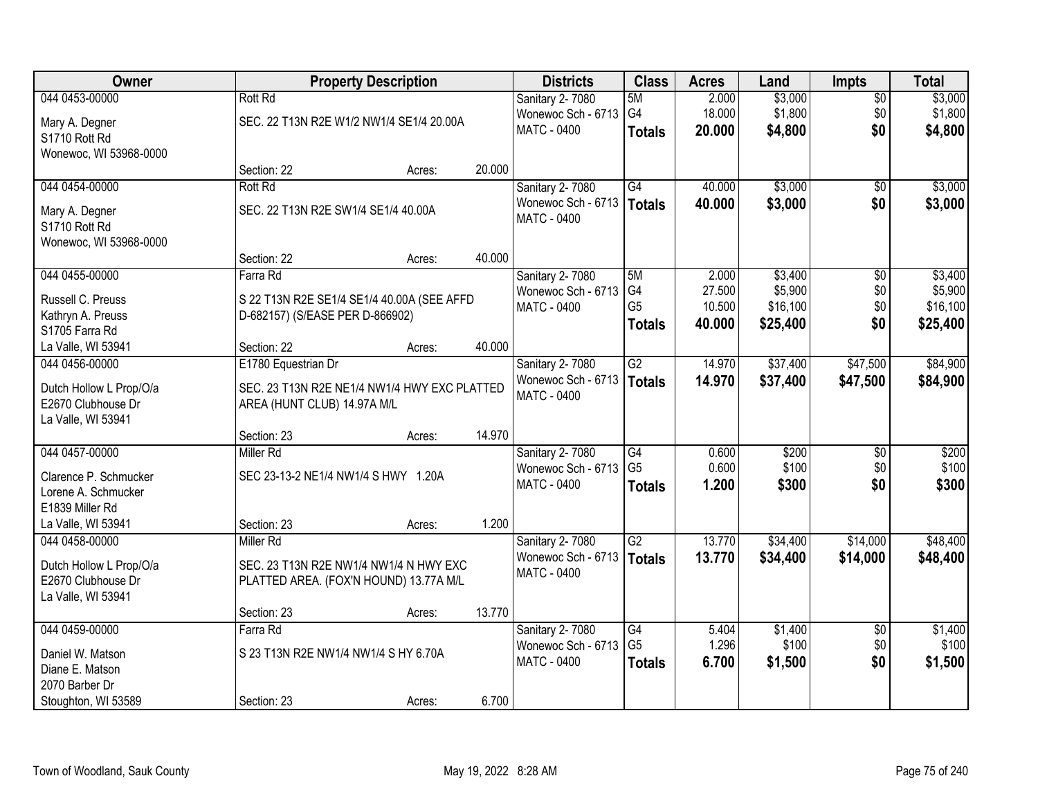| Owner                   |                                      | <b>Property Description</b>                  |        | <b>Districts</b>            | <b>Class</b>    | <b>Acres</b> | Land     | <b>Impts</b>    | <b>Total</b> |
|-------------------------|--------------------------------------|----------------------------------------------|--------|-----------------------------|-----------------|--------------|----------|-----------------|--------------|
| 044 0453-00000          | <b>Rott Rd</b>                       |                                              |        | Sanitary 2-7080             | 5M              | 2.000        | \$3,000  | $\overline{50}$ | \$3,000      |
| Mary A. Degner          |                                      | SEC. 22 T13N R2E W1/2 NW1/4 SE1/4 20.00A     |        | Wonewoc Sch - 6713          | G <sub>4</sub>  | 18.000       | \$1,800  | \$0             | \$1,800      |
| S1710 Rott Rd           |                                      |                                              |        | <b>MATC - 0400</b>          | <b>Totals</b>   | 20.000       | \$4,800  | \$0             | \$4,800      |
| Wonewoc, WI 53968-0000  |                                      |                                              |        |                             |                 |              |          |                 |              |
|                         | Section: 22                          | Acres:                                       | 20.000 |                             |                 |              |          |                 |              |
| 044 0454-00000          | <b>Rott Rd</b>                       |                                              |        | Sanitary 2-7080             | G4              | 40.000       | \$3,000  | $\overline{50}$ | \$3,000      |
| Mary A. Degner          | SEC. 22 T13N R2E SW1/4 SE1/4 40.00A  |                                              |        | Wonewoc Sch - 6713   Totals |                 | 40.000       | \$3,000  | \$0             | \$3,000      |
| S1710 Rott Rd           |                                      |                                              |        | <b>MATC - 0400</b>          |                 |              |          |                 |              |
| Wonewoc, WI 53968-0000  |                                      |                                              |        |                             |                 |              |          |                 |              |
|                         | Section: 22                          | Acres:                                       | 40.000 |                             |                 |              |          |                 |              |
| 044 0455-00000          | Farra Rd                             |                                              |        | Sanitary 2-7080             | 5M              | 2.000        | \$3,400  | \$0             | \$3,400      |
| Russell C. Preuss       |                                      | S 22 T13N R2E SE1/4 SE1/4 40.00A (SEE AFFD   |        | Wonewoc Sch - 6713          | G4              | 27.500       | \$5,900  | \$0             | \$5,900      |
| Kathryn A. Preuss       | D-682157) (S/EASE PER D-866902)      |                                              |        | <b>MATC - 0400</b>          | G <sub>5</sub>  | 10.500       | \$16,100 | \$0             | \$16,100     |
| S1705 Farra Rd          |                                      |                                              |        |                             | <b>Totals</b>   | 40.000       | \$25,400 | \$0             | \$25,400     |
| La Valle, WI 53941      | Section: 22                          | Acres:                                       | 40.000 |                             |                 |              |          |                 |              |
| 044 0456-00000          | E1780 Equestrian Dr                  |                                              |        | Sanitary 2-7080             | $\overline{G2}$ | 14.970       | \$37,400 | \$47,500        | \$84,900     |
| Dutch Hollow L Prop/O/a |                                      | SEC. 23 T13N R2E NE1/4 NW1/4 HWY EXC PLATTED |        | Wonewoc Sch - 6713          | <b>Totals</b>   | 14.970       | \$37,400 | \$47,500        | \$84,900     |
| E2670 Clubhouse Dr      | AREA (HUNT CLUB) 14.97A M/L          |                                              |        | <b>MATC - 0400</b>          |                 |              |          |                 |              |
| La Valle, WI 53941      |                                      |                                              |        |                             |                 |              |          |                 |              |
|                         | Section: 23                          | Acres:                                       | 14.970 |                             |                 |              |          |                 |              |
| 044 0457-00000          | <b>Miller Rd</b>                     |                                              |        | Sanitary 2-7080             | $\overline{G4}$ | 0.600        | \$200    | $\overline{30}$ | \$200        |
| Clarence P. Schmucker   | SEC 23-13-2 NE1/4 NW1/4 S HWY 1.20A  |                                              |        | Wonewoc Sch - 6713          | G <sub>5</sub>  | 0.600        | \$100    | \$0             | \$100        |
| Lorene A. Schmucker     |                                      |                                              |        | MATC - 0400                 | <b>Totals</b>   | 1.200        | \$300    | \$0             | \$300        |
| E1839 Miller Rd         |                                      |                                              |        |                             |                 |              |          |                 |              |
| La Valle, WI 53941      | Section: 23                          | Acres:                                       | 1.200  |                             |                 |              |          |                 |              |
| 044 0458-00000          | <b>Miller Rd</b>                     |                                              |        | Sanitary 2-7080             | $\overline{G2}$ | 13.770       | \$34,400 | \$14,000        | \$48,400     |
| Dutch Hollow L Prop/O/a |                                      | SEC. 23 T13N R2E NW1/4 NW1/4 N HWY EXC       |        | Wonewoc Sch - 6713          | <b>Totals</b>   | 13.770       | \$34,400 | \$14,000        | \$48,400     |
| E2670 Clubhouse Dr      |                                      | PLATTED AREA. (FOX'N HOUND) 13.77A M/L       |        | <b>MATC - 0400</b>          |                 |              |          |                 |              |
| La Valle, WI 53941      |                                      |                                              |        |                             |                 |              |          |                 |              |
|                         | Section: 23                          | Acres:                                       | 13.770 |                             |                 |              |          |                 |              |
| 044 0459-00000          | Farra Rd                             |                                              |        | Sanitary 2-7080             | $\overline{G4}$ | 5.404        | \$1,400  | $\overline{50}$ | \$1,400      |
| Daniel W. Matson        | S 23 T13N R2E NW1/4 NW1/4 S HY 6.70A |                                              |        | Wonewoc Sch - 6713          | G <sub>5</sub>  | 1.296        | \$100    | \$0             | \$100        |
| Diane E. Matson         |                                      |                                              |        | <b>MATC - 0400</b>          | <b>Totals</b>   | 6.700        | \$1,500  | \$0             | \$1,500      |
| 2070 Barber Dr          |                                      |                                              |        |                             |                 |              |          |                 |              |
| Stoughton, WI 53589     | Section: 23                          | Acres:                                       | 6.700  |                             |                 |              |          |                 |              |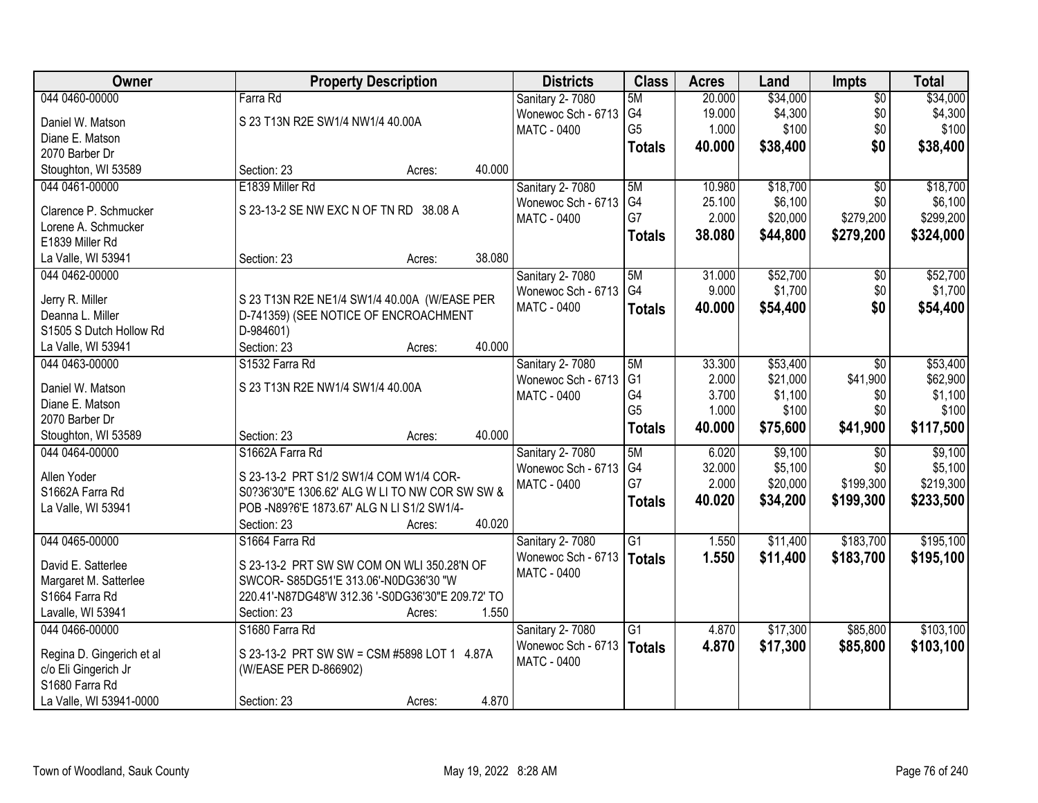| Owner                     | <b>Property Description</b>                       |        | <b>Districts</b>   | <b>Class</b>    | <b>Acres</b> | Land     | <b>Impts</b>    | <b>Total</b> |
|---------------------------|---------------------------------------------------|--------|--------------------|-----------------|--------------|----------|-----------------|--------------|
| 044 0460-00000            | Farra Rd                                          |        | Sanitary 2-7080    | 5M              | 20.000       | \$34,000 | $\overline{50}$ | \$34,000     |
| Daniel W. Matson          | S 23 T13N R2E SW1/4 NW1/4 40.00A                  |        | Wonewoc Sch - 6713 | G4              | 19.000       | \$4,300  | \$0             | \$4,300      |
| Diane E. Matson           |                                                   |        | <b>MATC - 0400</b> | G <sub>5</sub>  | 1.000        | \$100    | \$0             | \$100        |
| 2070 Barber Dr            |                                                   |        |                    | <b>Totals</b>   | 40.000       | \$38,400 | \$0             | \$38,400     |
| Stoughton, WI 53589       | Section: 23<br>Acres:                             | 40.000 |                    |                 |              |          |                 |              |
| 044 0461-00000            | E1839 Miller Rd                                   |        | Sanitary 2-7080    | 5M              | 10.980       | \$18,700 | $\overline{50}$ | \$18,700     |
|                           |                                                   |        | Wonewoc Sch - 6713 | G4              | 25.100       | \$6,100  | \$0             | \$6,100      |
| Clarence P. Schmucker     | S 23-13-2 SE NW EXC N OF TN RD 38.08 A            |        | MATC - 0400        | G7              | 2.000        | \$20,000 | \$279,200       | \$299,200    |
| Lorene A. Schmucker       |                                                   |        |                    |                 |              |          |                 |              |
| E1839 Miller Rd           |                                                   |        |                    | <b>Totals</b>   | 38.080       | \$44,800 | \$279,200       | \$324,000    |
| La Valle, WI 53941        | Section: 23<br>Acres:                             | 38.080 |                    |                 |              |          |                 |              |
| 044 0462-00000            |                                                   |        | Sanitary 2-7080    | 5M              | 31.000       | \$52,700 | \$0             | \$52,700     |
|                           |                                                   |        | Wonewoc Sch - 6713 | G <sub>4</sub>  | 9.000        | \$1,700  | \$0             | \$1,700      |
| Jerry R. Miller           | S 23 T13N R2E NE1/4 SW1/4 40.00A (W/EASE PER      |        | MATC - 0400        | <b>Totals</b>   | 40.000       | \$54,400 | \$0             | \$54,400     |
| Deanna L. Miller          | D-741359) (SEE NOTICE OF ENCROACHMENT             |        |                    |                 |              |          |                 |              |
| S1505 S Dutch Hollow Rd   | D-984601)                                         |        |                    |                 |              |          |                 |              |
| La Valle, WI 53941        | Section: 23<br>Acres:                             | 40.000 |                    |                 |              |          |                 |              |
| 044 0463-00000            | S1532 Farra Rd                                    |        | Sanitary 2-7080    | 5M              | 33.300       | \$53,400 | \$0             | \$53,400     |
| Daniel W. Matson          | S 23 T13N R2E NW1/4 SW1/4 40.00A                  |        | Wonewoc Sch - 6713 | G <sub>1</sub>  | 2.000        | \$21,000 | \$41,900        | \$62,900     |
| Diane E. Matson           |                                                   |        | <b>MATC - 0400</b> | G4              | 3.700        | \$1,100  | \$0             | \$1,100      |
| 2070 Barber Dr            |                                                   |        |                    | G <sub>5</sub>  | 1.000        | \$100    | \$0             | \$100        |
| Stoughton, WI 53589       | Section: 23<br>Acres:                             | 40.000 |                    | <b>Totals</b>   | 40.000       | \$75,600 | \$41,900        | \$117,500    |
| 044 0464-00000            | S1662A Farra Rd                                   |        | Sanitary 2-7080    | 5M              | 6.020        | \$9,100  | $\overline{50}$ | \$9,100      |
|                           |                                                   |        | Wonewoc Sch - 6713 | G4              | 32.000       | \$5,100  | \$0             | \$5,100      |
| Allen Yoder               | S 23-13-2 PRT S1/2 SW1/4 COM W1/4 COR-            |        | MATC - 0400        | G7              | 2.000        | \$20,000 | \$199,300       | \$219,300    |
| S1662A Farra Rd           | S0?36'30"E 1306.62' ALG W LI TO NW COR SW SW &    |        |                    | <b>Totals</b>   | 40.020       | \$34,200 | \$199,300       | \$233,500    |
| La Valle, WI 53941        | POB-N89?6'E 1873.67' ALG N LI S1/2 SW1/4-         |        |                    |                 |              |          |                 |              |
|                           | Section: 23<br>Acres:                             | 40.020 |                    |                 |              |          |                 |              |
| 044 0465-00000            | S1664 Farra Rd                                    |        | Sanitary 2-7080    | $\overline{G1}$ | 1.550        | \$11,400 | \$183,700       | \$195,100    |
| David E. Satterlee        | S 23-13-2 PRT SW SW COM ON WLI 350.28'N OF        |        | Wonewoc Sch - 6713 | Totals          | 1.550        | \$11,400 | \$183,700       | \$195,100    |
| Margaret M. Satterlee     | SWCOR- S85DG51'E 313.06'-N0DG36'30 "W             |        | MATC - 0400        |                 |              |          |                 |              |
| S1664 Farra Rd            | 220.41'-N87DG48'W 312.36 '-S0DG36'30"E 209.72' TO |        |                    |                 |              |          |                 |              |
| Lavalle, WI 53941         | Section: 23<br>Acres:                             | 1.550  |                    |                 |              |          |                 |              |
| 044 0466-00000            | S1680 Farra Rd                                    |        | Sanitary 2-7080    | $\overline{G1}$ | 4.870        | \$17,300 | \$85,800        | \$103,100    |
|                           |                                                   |        | Wonewoc Sch - 6713 | Totals          | 4.870        | \$17,300 | \$85,800        | \$103,100    |
| Regina D. Gingerich et al | S 23-13-2 PRT SW SW = CSM #5898 LOT 1 4.87A       |        | MATC - 0400        |                 |              |          |                 |              |
| c/o Eli Gingerich Jr      | (W/EASE PER D-866902)                             |        |                    |                 |              |          |                 |              |
| S1680 Farra Rd            |                                                   |        |                    |                 |              |          |                 |              |
| La Valle, WI 53941-0000   | Section: 23<br>Acres:                             | 4.870  |                    |                 |              |          |                 |              |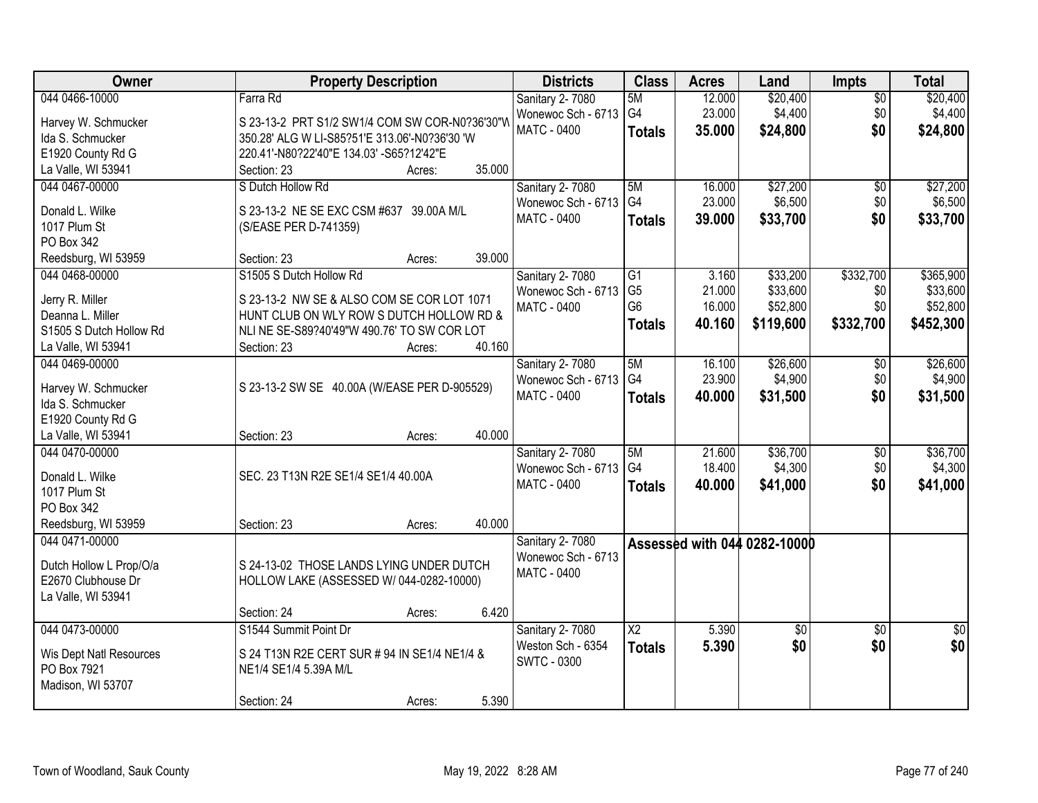| <b>Owner</b>            | <b>Property Description</b>                    |        |        | <b>Districts</b>       | <b>Class</b>           | <b>Acres</b> | Land                         | Impts           | <b>Total</b>    |
|-------------------------|------------------------------------------------|--------|--------|------------------------|------------------------|--------------|------------------------------|-----------------|-----------------|
| 044 0466-10000          | Farra Rd                                       |        |        | <b>Sanitary 2-7080</b> | 5M                     | 12.000       | \$20,400                     | $\sqrt{$0}$     | \$20,400        |
| Harvey W. Schmucker     | S 23-13-2 PRT S1/2 SW1/4 COM SW COR-N0?36'30"W |        |        | Wonewoc Sch - 6713     | G <sub>4</sub>         | 23.000       | \$4,400                      | \$0             | \$4,400         |
| Ida S. Schmucker        | 350.28' ALG W LI-S85?51'E 313.06'-N0?36'30 'W  |        |        | MATC - 0400            | <b>Totals</b>          | 35.000       | \$24,800                     | \$0             | \$24,800        |
| E1920 County Rd G       | 220.41'-N80?22'40"E 134.03' -S65?12'42"E       |        |        |                        |                        |              |                              |                 |                 |
| La Valle, WI 53941      | Section: 23                                    | Acres: | 35.000 |                        |                        |              |                              |                 |                 |
| 044 0467-00000          | S Dutch Hollow Rd                              |        |        | Sanitary 2-7080        | 5M                     | 16.000       | \$27,200                     | \$0             | \$27,200        |
|                         |                                                |        |        | Wonewoc Sch - 6713     | G4                     | 23.000       | \$6,500                      | \$0             | \$6,500         |
| Donald L. Wilke         | S 23-13-2 NE SE EXC CSM #637 39.00A M/L        |        |        | <b>MATC - 0400</b>     | <b>Totals</b>          | 39.000       | \$33,700                     | \$0             | \$33,700        |
| 1017 Plum St            | (S/EASE PER D-741359)                          |        |        |                        |                        |              |                              |                 |                 |
| PO Box 342              |                                                |        |        |                        |                        |              |                              |                 |                 |
| Reedsburg, WI 53959     | Section: 23                                    | Acres: | 39.000 |                        |                        |              |                              |                 |                 |
| 044 0468-00000          | S1505 S Dutch Hollow Rd                        |        |        | Sanitary 2-7080        | G1                     | 3.160        | \$33,200                     | \$332,700       | \$365,900       |
| Jerry R. Miller         | S 23-13-2 NW SE & ALSO COM SE COR LOT 1071     |        |        | Wonewoc Sch - 6713     | G <sub>5</sub>         | 21.000       | \$33,600                     | \$0             | \$33,600        |
| Deanna L. Miller        | HUNT CLUB ON WLY ROW S DUTCH HOLLOW RD &       |        |        | <b>MATC - 0400</b>     | G <sub>6</sub>         | 16.000       | \$52,800                     | \$0             | \$52,800        |
| S1505 S Dutch Hollow Rd | NLI NE SE-S89?40'49"W 490.76' TO SW COR LOT    |        |        |                        | <b>Totals</b>          | 40.160       | \$119,600                    | \$332,700       | \$452,300       |
| La Valle, WI 53941      | Section: 23                                    | Acres: | 40.160 |                        |                        |              |                              |                 |                 |
| 044 0469-00000          |                                                |        |        | Sanitary 2-7080        | 5M                     | 16.100       | \$26,600                     | $\frac{1}{20}$  | \$26,600        |
|                         |                                                |        |        | Wonewoc Sch - 6713     | G4                     | 23.900       | \$4,900                      | \$0             | \$4,900         |
| Harvey W. Schmucker     | S 23-13-2 SW SE 40.00A (W/EASE PER D-905529)   |        |        | <b>MATC - 0400</b>     | <b>Totals</b>          | 40.000       | \$31,500                     | \$0             | \$31,500        |
| Ida S. Schmucker        |                                                |        |        |                        |                        |              |                              |                 |                 |
| E1920 County Rd G       |                                                |        |        |                        |                        |              |                              |                 |                 |
| La Valle, WI 53941      | Section: 23                                    | Acres: | 40.000 |                        |                        |              |                              |                 |                 |
| 044 0470-00000          |                                                |        |        | Sanitary 2-7080        | 5M                     | 21.600       | \$36,700                     | $\overline{50}$ | \$36,700        |
| Donald L. Wilke         | SEC. 23 T13N R2E SE1/4 SE1/4 40.00A            |        |        | Wonewoc Sch - 6713     | G <sub>4</sub>         | 18.400       | \$4,300                      | \$0             | \$4,300         |
| 1017 Plum St            |                                                |        |        | MATC - 0400            | <b>Totals</b>          | 40.000       | \$41,000                     | \$0             | \$41,000        |
| PO Box 342              |                                                |        |        |                        |                        |              |                              |                 |                 |
| Reedsburg, WI 53959     | Section: 23                                    | Acres: | 40.000 |                        |                        |              |                              |                 |                 |
| 044 0471-00000          |                                                |        |        | <b>Sanitary 2-7080</b> |                        |              | Assessed with 044 0282-10000 |                 |                 |
|                         |                                                |        |        | Wonewoc Sch - 6713     |                        |              |                              |                 |                 |
| Dutch Hollow L Prop/O/a | S 24-13-02 THOSE LANDS LYING UNDER DUTCH       |        |        | MATC - 0400            |                        |              |                              |                 |                 |
| E2670 Clubhouse Dr      | HOLLOW LAKE (ASSESSED W/ 044-0282-10000)       |        |        |                        |                        |              |                              |                 |                 |
| La Valle, WI 53941      |                                                |        |        |                        |                        |              |                              |                 |                 |
|                         | Section: 24                                    | Acres: | 6.420  |                        |                        |              |                              |                 |                 |
| 044 0473-00000          | S1544 Summit Point Dr                          |        |        | <b>Sanitary 2-7080</b> | $\overline{\text{X2}}$ | 5.390        | \$0                          | $\overline{30}$ | $\overline{50}$ |
| Wis Dept Natl Resources | S 24 T13N R2E CERT SUR # 94 IN SE1/4 NE1/4 &   |        |        | Weston Sch - 6354      | <b>Totals</b>          | 5.390        | \$0                          | \$0             | \$0             |
| PO Box 7921             | NE1/4 SE1/4 5.39A M/L                          |        |        | <b>SWTC - 0300</b>     |                        |              |                              |                 |                 |
| Madison, WI 53707       |                                                |        |        |                        |                        |              |                              |                 |                 |
|                         | Section: 24                                    | Acres: | 5.390  |                        |                        |              |                              |                 |                 |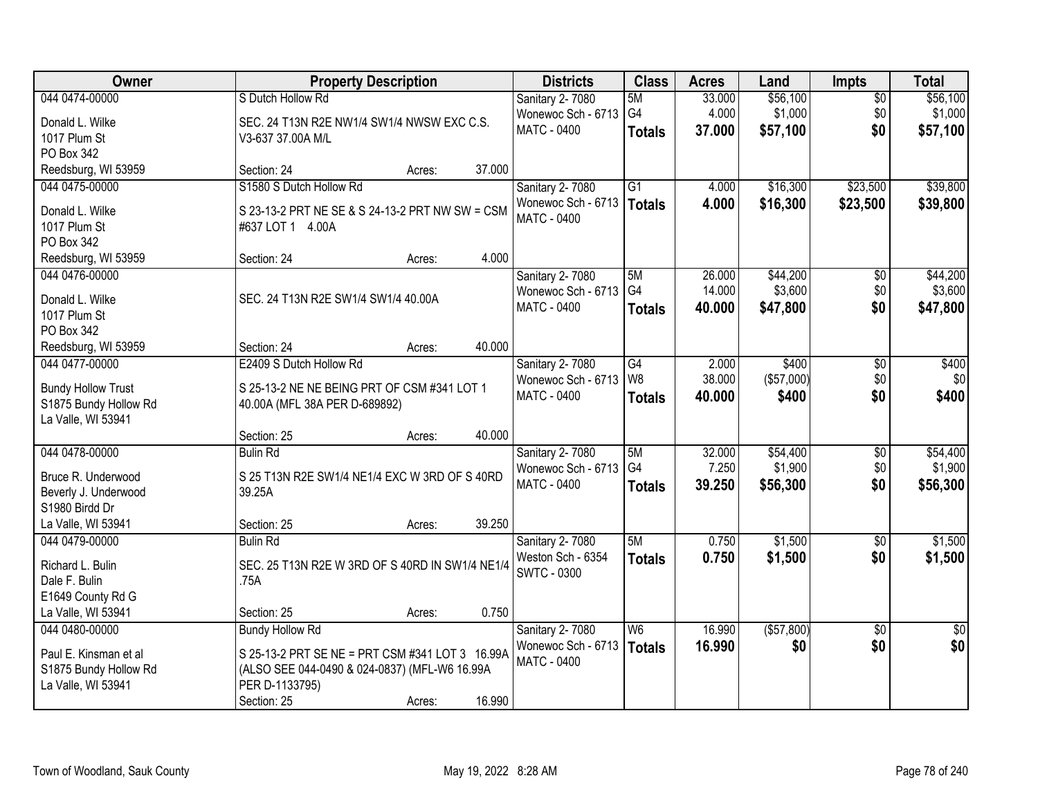| <b>Owner</b>                                | <b>Property Description</b>                     |        |        | <b>Districts</b>            | <b>Class</b>    | <b>Acres</b> | Land       | <b>Impts</b>    | <b>Total</b>    |
|---------------------------------------------|-------------------------------------------------|--------|--------|-----------------------------|-----------------|--------------|------------|-----------------|-----------------|
| 044 0474-00000                              | S Dutch Hollow Rd                               |        |        | <b>Sanitary 2-7080</b>      | 5M              | 33.000       | \$56,100   | $\overline{30}$ | \$56,100        |
| Donald L. Wilke                             | SEC. 24 T13N R2E NW1/4 SW1/4 NWSW EXC C.S.      |        |        | Wonewoc Sch - 6713          | G4              | 4.000        | \$1,000    | \$0             | \$1,000         |
| 1017 Plum St                                | V3-637 37.00A M/L                               |        |        | MATC - 0400                 | <b>Totals</b>   | 37.000       | \$57,100   | \$0             | \$57,100        |
| PO Box 342                                  |                                                 |        |        |                             |                 |              |            |                 |                 |
| Reedsburg, WI 53959                         | Section: 24                                     | Acres: | 37.000 |                             |                 |              |            |                 |                 |
| 044 0475-00000                              | S1580 S Dutch Hollow Rd                         |        |        | Sanitary 2-7080             | $\overline{G1}$ | 4.000        | \$16,300   | \$23,500        | \$39,800        |
|                                             |                                                 |        |        | Wonewoc Sch - 6713   Totals |                 | 4.000        | \$16,300   | \$23,500        | \$39,800        |
| Donald L. Wilke                             | S 23-13-2 PRT NE SE & S 24-13-2 PRT NW SW = CSM |        |        | <b>MATC - 0400</b>          |                 |              |            |                 |                 |
| 1017 Plum St                                | #637 LOT 1 4.00A                                |        |        |                             |                 |              |            |                 |                 |
| PO Box 342                                  |                                                 |        | 4.000  |                             |                 |              |            |                 |                 |
| Reedsburg, WI 53959                         | Section: 24                                     | Acres: |        |                             |                 |              |            |                 |                 |
| 044 0476-00000                              |                                                 |        |        | Sanitary 2-7080             | 5M              | 26.000       | \$44,200   | \$0             | \$44,200        |
| Donald L. Wilke                             | SEC. 24 T13N R2E SW1/4 SW1/4 40.00A             |        |        | Wonewoc Sch - 6713          | G4              | 14.000       | \$3,600    | \$0             | \$3,600         |
| 1017 Plum St                                |                                                 |        |        | MATC - 0400                 | <b>Totals</b>   | 40.000       | \$47,800   | \$0             | \$47,800        |
| PO Box 342                                  |                                                 |        |        |                             |                 |              |            |                 |                 |
| Reedsburg, WI 53959                         | Section: 24                                     | Acres: | 40.000 |                             |                 |              |            |                 |                 |
| 044 0477-00000                              | E2409 S Dutch Hollow Rd                         |        |        | Sanitary 2-7080             | $\overline{G4}$ | 2.000        | \$400      | $\sqrt[6]{3}$   | \$400           |
|                                             |                                                 |        |        | Wonewoc Sch - 6713          | W <sub>8</sub>  | 38.000       | (\$57,000) | \$0             | \$0             |
| <b>Bundy Hollow Trust</b>                   | S 25-13-2 NE NE BEING PRT OF CSM #341 LOT 1     |        |        | <b>MATC - 0400</b>          | <b>Totals</b>   | 40.000       | \$400      | \$0             | \$400           |
| S1875 Bundy Hollow Rd<br>La Valle, WI 53941 | 40.00A (MFL 38A PER D-689892)                   |        |        |                             |                 |              |            |                 |                 |
|                                             | Section: 25                                     | Acres: | 40.000 |                             |                 |              |            |                 |                 |
| 044 0478-00000                              | <b>Bulin Rd</b>                                 |        |        | Sanitary 2-7080             | 5M              | 32.000       | \$54,400   | $\overline{30}$ | \$54,400        |
|                                             |                                                 |        |        | Wonewoc Sch - 6713          | G <sub>4</sub>  | 7.250        | \$1,900    | \$0             | \$1,900         |
| Bruce R. Underwood                          | S 25 T13N R2E SW1/4 NE1/4 EXC W 3RD OF S 40RD   |        |        | MATC - 0400                 |                 | 39.250       | \$56,300   | \$0             | \$56,300        |
| Beverly J. Underwood                        | 39.25A                                          |        |        |                             | <b>Totals</b>   |              |            |                 |                 |
| S1980 Birdd Dr                              |                                                 |        |        |                             |                 |              |            |                 |                 |
| La Valle, WI 53941                          | Section: 25                                     | Acres: | 39.250 |                             |                 |              |            |                 |                 |
| 044 0479-00000                              | <b>Bulin Rd</b>                                 |        |        | Sanitary 2-7080             | 5M              | 0.750        | \$1,500    | $\sqrt{$0}$     | \$1,500         |
| Richard L. Bulin                            | SEC. 25 T13N R2E W 3RD OF S 40RD IN SW1/4 NE1/4 |        |        | Weston Sch - 6354           | <b>Totals</b>   | 0.750        | \$1,500    | \$0             | \$1,500         |
| Dale F. Bulin                               | .75A                                            |        |        | <b>SWTC - 0300</b>          |                 |              |            |                 |                 |
| E1649 County Rd G                           |                                                 |        |        |                             |                 |              |            |                 |                 |
| La Valle, WI 53941                          | Section: 25                                     | Acres: | 0.750  |                             |                 |              |            |                 |                 |
| 044 0480-00000                              | <b>Bundy Hollow Rd</b>                          |        |        | Sanitary 2-7080             | W <sub>6</sub>  | 16.990       | (\$57,800) | $\overline{50}$ | $\overline{50}$ |
|                                             |                                                 |        |        | Wonewoc Sch - 6713          | <b>Totals</b>   | 16.990       | \$0        | \$0             | \$0             |
| Paul E. Kinsman et al                       | S 25-13-2 PRT SE NE = PRT CSM #341 LOT 3 16.99A |        |        | MATC - 0400                 |                 |              |            |                 |                 |
| S1875 Bundy Hollow Rd                       | (ALSO SEE 044-0490 & 024-0837) (MFL-W6 16.99A   |        |        |                             |                 |              |            |                 |                 |
| La Valle, WI 53941                          | PER D-1133795)                                  |        |        |                             |                 |              |            |                 |                 |
|                                             | Section: 25                                     | Acres: | 16.990 |                             |                 |              |            |                 |                 |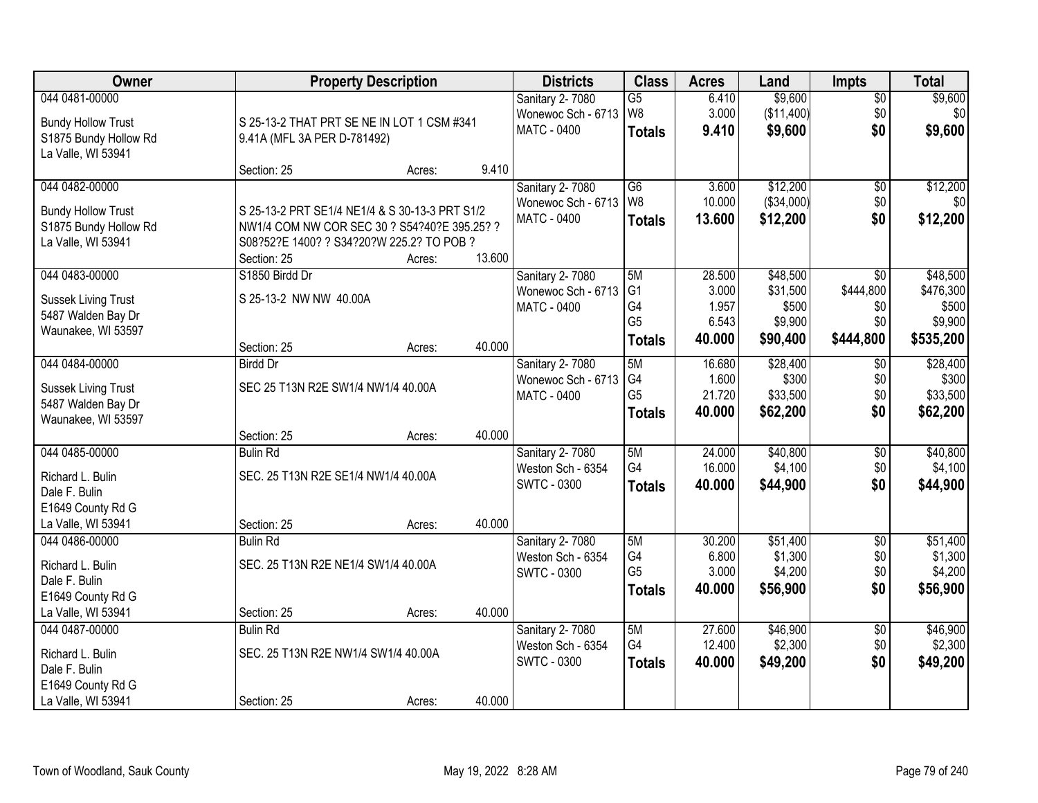| Owner                      |                                                | <b>Property Description</b> |        | <b>Districts</b>   | <b>Class</b>    | <b>Acres</b> | Land       | <b>Impts</b>    | <b>Total</b>     |
|----------------------------|------------------------------------------------|-----------------------------|--------|--------------------|-----------------|--------------|------------|-----------------|------------------|
| 044 0481-00000             |                                                |                             |        | Sanitary 2-7080    | $\overline{G5}$ | 6.410        | \$9,600    | $\overline{50}$ | \$9,600          |
| <b>Bundy Hollow Trust</b>  | S 25-13-2 THAT PRT SE NE IN LOT 1 CSM #341     |                             |        | Wonewoc Sch - 6713 | W8              | 3.000        | (\$11,400) | \$0             | \$0 <sub>1</sub> |
| S1875 Bundy Hollow Rd      | 9.41A (MFL 3A PER D-781492)                    |                             |        | <b>MATC - 0400</b> | <b>Totals</b>   | 9.410        | \$9,600    | \$0             | \$9,600          |
| La Valle, WI 53941         |                                                |                             |        |                    |                 |              |            |                 |                  |
|                            | Section: 25                                    | Acres:                      | 9.410  |                    |                 |              |            |                 |                  |
| 044 0482-00000             |                                                |                             |        | Sanitary 2-7080    | $\overline{G6}$ | 3.600        | \$12,200   | $\overline{50}$ | \$12,200         |
| <b>Bundy Hollow Trust</b>  | S 25-13-2 PRT SE1/4 NE1/4 & S 30-13-3 PRT S1/2 |                             |        | Wonewoc Sch - 6713 | W8              | 10.000       | (\$34,000) | \$0             | \$0              |
| S1875 Bundy Hollow Rd      | NW1/4 COM NW COR SEC 30 ? S54?40?E 395.25? ?   |                             |        | MATC - 0400        | <b>Totals</b>   | 13.600       | \$12,200   | \$0             | \$12,200         |
| La Valle, WI 53941         | S08?52?E 1400? ? S34?20?W 225.2? TO POB ?      |                             |        |                    |                 |              |            |                 |                  |
|                            | Section: 25                                    | Acres:                      | 13.600 |                    |                 |              |            |                 |                  |
| 044 0483-00000             | S1850 Birdd Dr                                 |                             |        | Sanitary 2-7080    | 5M              | 28.500       | \$48,500   | \$0             | \$48,500         |
| <b>Sussek Living Trust</b> | S 25-13-2 NW NW 40.00A                         |                             |        | Wonewoc Sch - 6713 | G <sub>1</sub>  | 3.000        | \$31,500   | \$444,800       | \$476,300        |
| 5487 Walden Bay Dr         |                                                |                             |        | <b>MATC - 0400</b> | G4              | 1.957        | \$500      | \$0             | \$500            |
| Waunakee, WI 53597         |                                                |                             |        |                    | G <sub>5</sub>  | 6.543        | \$9,900    | \$0             | \$9,900          |
|                            | Section: 25                                    | Acres:                      | 40.000 |                    | <b>Totals</b>   | 40.000       | \$90,400   | \$444,800       | \$535,200        |
| 044 0484-00000             | <b>Birdd Dr</b>                                |                             |        | Sanitary 2-7080    | 5M              | 16.680       | \$28,400   | $\sqrt[6]{3}$   | \$28,400         |
| <b>Sussek Living Trust</b> | SEC 25 T13N R2E SW1/4 NW1/4 40.00A             |                             |        | Wonewoc Sch - 6713 | G4              | 1.600        | \$300      | \$0             | \$300            |
| 5487 Walden Bay Dr         |                                                |                             |        | <b>MATC - 0400</b> | G <sub>5</sub>  | 21.720       | \$33,500   | \$0             | \$33,500         |
| Waunakee, WI 53597         |                                                |                             |        |                    | <b>Totals</b>   | 40.000       | \$62,200   | \$0             | \$62,200         |
|                            | Section: 25                                    | Acres:                      | 40.000 |                    |                 |              |            |                 |                  |
| 044 0485-00000             | <b>Bulin Rd</b>                                |                             |        | Sanitary 2-7080    | 5M              | 24.000       | \$40,800   | \$0             | \$40,800         |
| Richard L. Bulin           | SEC. 25 T13N R2E SE1/4 NW1/4 40.00A            |                             |        | Weston Sch - 6354  | G4              | 16.000       | \$4,100    | \$0             | \$4,100          |
| Dale F. Bulin              |                                                |                             |        | SWTC - 0300        | <b>Totals</b>   | 40.000       | \$44,900   | \$0             | \$44,900         |
| E1649 County Rd G          |                                                |                             |        |                    |                 |              |            |                 |                  |
| La Valle, WI 53941         | Section: 25                                    | Acres:                      | 40.000 |                    |                 |              |            |                 |                  |
| 044 0486-00000             | <b>Bulin Rd</b>                                |                             |        | Sanitary 2-7080    | 5M              | 30.200       | \$51,400   | $\sqrt{$0}$     | \$51,400         |
| Richard L. Bulin           | SEC. 25 T13N R2E NE1/4 SW1/4 40.00A            |                             |        | Weston Sch - 6354  | G4              | 6.800        | \$1,300    | \$0             | \$1,300          |
| Dale F. Bulin              |                                                |                             |        | <b>SWTC - 0300</b> | G <sub>5</sub>  | 3.000        | \$4,200    | \$0             | \$4,200          |
| E1649 County Rd G          |                                                |                             |        |                    | <b>Totals</b>   | 40.000       | \$56,900   | \$0             | \$56,900         |
| La Valle, WI 53941         | Section: 25                                    | Acres:                      | 40.000 |                    |                 |              |            |                 |                  |
| 044 0487-00000             | <b>Bulin Rd</b>                                |                             |        | Sanitary 2-7080    | 5M              | 27.600       | \$46,900   | $\overline{60}$ | \$46,900         |
| Richard L. Bulin           | SEC. 25 T13N R2E NW1/4 SW1/4 40.00A            |                             |        | Weston Sch - 6354  | G4              | 12.400       | \$2,300    | \$0             | \$2,300          |
| Dale F. Bulin              |                                                |                             |        | <b>SWTC - 0300</b> | <b>Totals</b>   | 40.000       | \$49,200   | \$0             | \$49,200         |
| E1649 County Rd G          |                                                |                             |        |                    |                 |              |            |                 |                  |
| La Valle, WI 53941         | Section: 25                                    | Acres:                      | 40.000 |                    |                 |              |            |                 |                  |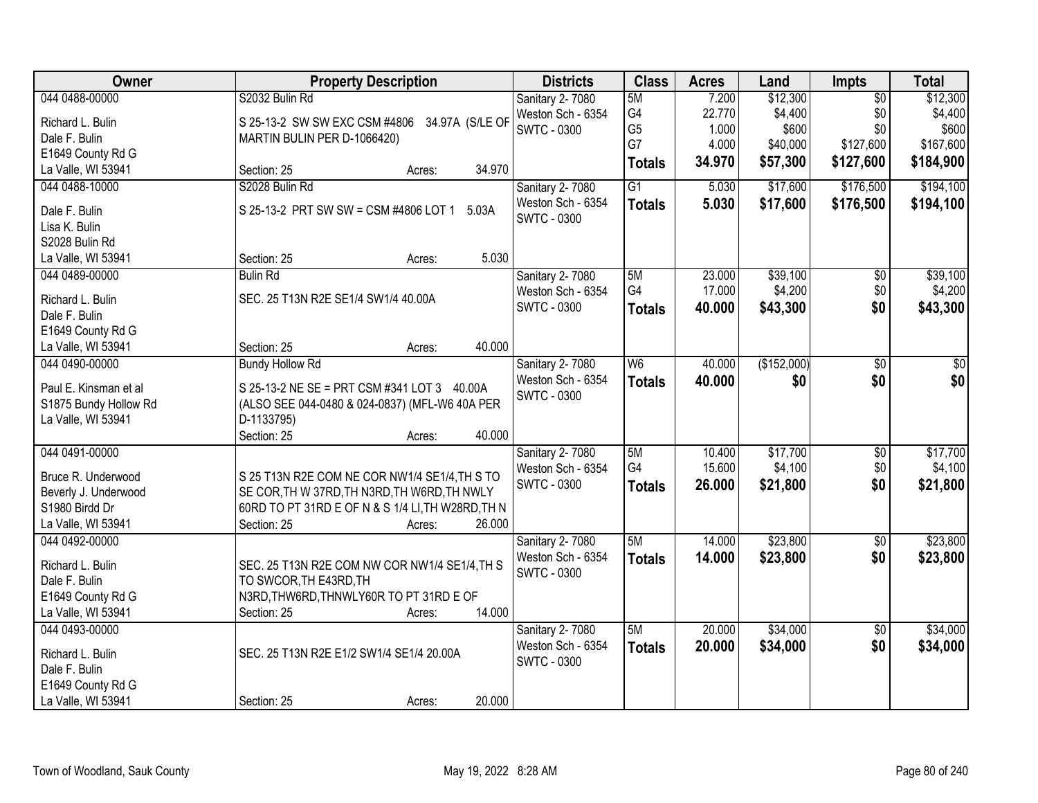| Owner                 | <b>Property Description</b>                       | <b>Districts</b>   | <b>Class</b>   | <b>Acres</b> | Land        | Impts           | <b>Total</b> |
|-----------------------|---------------------------------------------------|--------------------|----------------|--------------|-------------|-----------------|--------------|
| 044 0488-00000        | S2032 Bulin Rd                                    | Sanitary 2-7080    | 5M             | 7.200        | \$12,300    | $\overline{50}$ | \$12,300     |
| Richard L. Bulin      | S 25-13-2 SW SW EXC CSM #4806<br>34.97A (S/LE OF  | Weston Sch - 6354  | G <sub>4</sub> | 22.770       | \$4,400     | \$0             | \$4,400      |
| Dale F. Bulin         | MARTIN BULIN PER D-1066420)                       | <b>SWTC - 0300</b> | G <sub>5</sub> | 1.000        | \$600       | \$0             | \$600        |
| E1649 County Rd G     |                                                   |                    | G7             | 4.000        | \$40,000    | \$127,600       | \$167,600    |
| La Valle, WI 53941    | 34.970<br>Section: 25<br>Acres:                   |                    | <b>Totals</b>  | 34.970       | \$57,300    | \$127,600       | \$184,900    |
| 044 0488-10000        | S2028 Bulin Rd                                    | Sanitary 2-7080    | G1             | 5.030        | \$17,600    | \$176,500       | \$194,100    |
| Dale F. Bulin         | S 25-13-2 PRT SW SW = CSM #4806 LOT 1<br>5.03A    | Weston Sch - 6354  | <b>Totals</b>  | 5.030        | \$17,600    | \$176,500       | \$194,100    |
| Lisa K. Bulin         |                                                   | SWTC - 0300        |                |              |             |                 |              |
| S2028 Bulin Rd        |                                                   |                    |                |              |             |                 |              |
| La Valle, WI 53941    | 5.030<br>Section: 25<br>Acres:                    |                    |                |              |             |                 |              |
| 044 0489-00000        | <b>Bulin Rd</b>                                   | Sanitary 2-7080    | 5M             | 23.000       | \$39,100    | $\overline{50}$ | \$39,100     |
|                       |                                                   | Weston Sch - 6354  | G4             | 17.000       | \$4,200     | \$0             | \$4,200      |
| Richard L. Bulin      | SEC. 25 T13N R2E SE1/4 SW1/4 40.00A               | <b>SWTC - 0300</b> | <b>Totals</b>  | 40.000       | \$43,300    | \$0             | \$43,300     |
| Dale F. Bulin         |                                                   |                    |                |              |             |                 |              |
| E1649 County Rd G     |                                                   |                    |                |              |             |                 |              |
| La Valle, WI 53941    | 40.000<br>Section: 25<br>Acres:                   |                    |                |              |             |                 |              |
| 044 0490-00000        | <b>Bundy Hollow Rd</b>                            | Sanitary 2-7080    | W6             | 40.000       | (\$152,000) | \$0             | \$0          |
| Paul E. Kinsman et al | S 25-13-2 NE SE = PRT CSM #341 LOT 3 40.00A       | Weston Sch - 6354  | <b>Totals</b>  | 40.000       | \$0         | \$0             | \$0          |
| S1875 Bundy Hollow Rd | (ALSO SEE 044-0480 & 024-0837) (MFL-W6 40A PER    | <b>SWTC - 0300</b> |                |              |             |                 |              |
| La Valle, WI 53941    | D-1133795)                                        |                    |                |              |             |                 |              |
|                       | 40.000<br>Section: 25<br>Acres:                   |                    |                |              |             |                 |              |
| 044 0491-00000        |                                                   | Sanitary 2-7080    | 5M             | 10.400       | \$17,700    | $\overline{30}$ | \$17,700     |
|                       |                                                   | Weston Sch - 6354  | G <sub>4</sub> | 15.600       | \$4,100     | \$0             | \$4,100      |
| Bruce R. Underwood    | S 25 T13N R2E COM NE COR NW1/4 SE1/4, TH S TO     | <b>SWTC - 0300</b> | <b>Totals</b>  | 26.000       | \$21,800    | \$0             | \$21,800     |
| Beverly J. Underwood  | SE COR, TH W 37RD, TH N3RD, TH W6RD, TH NWLY      |                    |                |              |             |                 |              |
| S1980 Birdd Dr        | 60RD TO PT 31RD E OF N & S 1/4 LI, TH W28RD, TH N |                    |                |              |             |                 |              |
| La Valle, WI 53941    | Section: 25<br>26.000<br>Acres:                   |                    |                |              |             |                 |              |
| 044 0492-00000        |                                                   | Sanitary 2-7080    | 5M             | 14.000       | \$23,800    | $\sqrt{6}$      | \$23,800     |
| Richard L. Bulin      | SEC. 25 T13N R2E COM NW COR NW1/4 SE1/4, TH S     | Weston Sch - 6354  | <b>Totals</b>  | 14.000       | \$23,800    | \$0             | \$23,800     |
| Dale F. Bulin         | TO SWCOR, TH E43RD, TH                            | <b>SWTC - 0300</b> |                |              |             |                 |              |
| E1649 County Rd G     | N3RD, THW6RD, THNWLY60R TO PT 31RD E OF           |                    |                |              |             |                 |              |
| La Valle, WI 53941    | 14.000<br>Section: 25<br>Acres:                   |                    |                |              |             |                 |              |
| 044 0493-00000        |                                                   | Sanitary 2-7080    | 5M             | 20.000       | \$34,000    | $\overline{50}$ | \$34,000     |
|                       |                                                   | Weston Sch - 6354  | <b>Totals</b>  | 20.000       | \$34,000    | \$0             | \$34,000     |
| Richard L. Bulin      | SEC. 25 T13N R2E E1/2 SW1/4 SE1/4 20.00A          | <b>SWTC - 0300</b> |                |              |             |                 |              |
| Dale F. Bulin         |                                                   |                    |                |              |             |                 |              |
| E1649 County Rd G     | 20.000                                            |                    |                |              |             |                 |              |
| La Valle, WI 53941    | Section: 25<br>Acres:                             |                    |                |              |             |                 |              |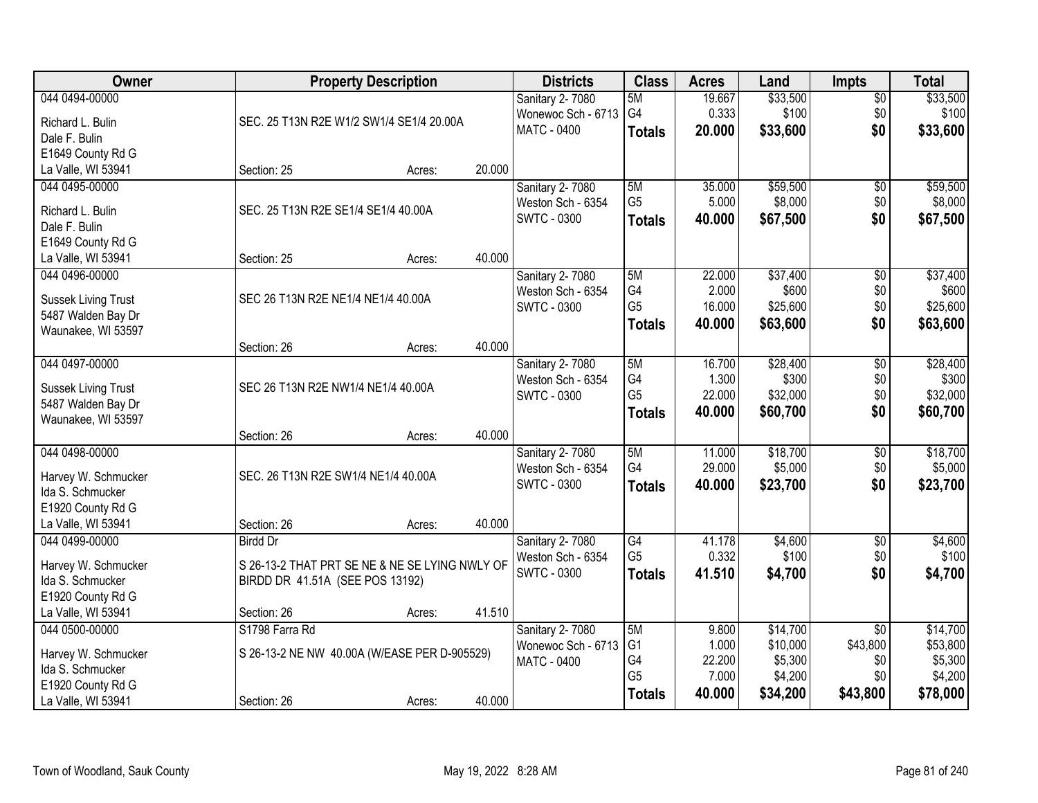| <b>Owner</b>                                     |                                                | <b>Property Description</b> |        | <b>Districts</b>       | <b>Class</b>   | <b>Acres</b> | Land     | <b>Impts</b>    | <b>Total</b> |
|--------------------------------------------------|------------------------------------------------|-----------------------------|--------|------------------------|----------------|--------------|----------|-----------------|--------------|
| 044 0494-00000                                   |                                                |                             |        | Sanitary 2-7080        | 5M             | 19.667       | \$33,500 | \$0             | \$33,500     |
| Richard L. Bulin                                 | SEC. 25 T13N R2E W1/2 SW1/4 SE1/4 20.00A       |                             |        | Wonewoc Sch - 6713     | G4             | 0.333        | \$100    | \$0             | \$100        |
| Dale F. Bulin                                    |                                                |                             |        | <b>MATC - 0400</b>     | <b>Totals</b>  | 20.000       | \$33,600 | \$0             | \$33,600     |
| E1649 County Rd G                                |                                                |                             |        |                        |                |              |          |                 |              |
| La Valle, WI 53941                               | Section: 25                                    | Acres:                      | 20.000 |                        |                |              |          |                 |              |
| 044 0495-00000                                   |                                                |                             |        | Sanitary 2-7080        | 5M             | 35.000       | \$59,500 | \$0             | \$59,500     |
| Richard L. Bulin                                 | SEC. 25 T13N R2E SE1/4 SE1/4 40.00A            |                             |        | Weston Sch - 6354      | G <sub>5</sub> | 5.000        | \$8,000  | \$0             | \$8,000      |
| Dale F. Bulin                                    |                                                |                             |        | <b>SWTC - 0300</b>     | <b>Totals</b>  | 40.000       | \$67,500 | \$0             | \$67,500     |
| E1649 County Rd G                                |                                                |                             |        |                        |                |              |          |                 |              |
| La Valle, WI 53941                               | Section: 25                                    | Acres:                      | 40.000 |                        |                |              |          |                 |              |
| 044 0496-00000                                   |                                                |                             |        | Sanitary 2-7080        | 5M             | 22.000       | \$37,400 | \$0             | \$37,400     |
|                                                  | SEC 26 T13N R2E NE1/4 NE1/4 40.00A             |                             |        | Weston Sch - 6354      | G4             | 2.000        | \$600    | \$0             | \$600        |
| <b>Sussek Living Trust</b><br>5487 Walden Bay Dr |                                                |                             |        | SWTC - 0300            | G <sub>5</sub> | 16.000       | \$25,600 | \$0             | \$25,600     |
| Waunakee, WI 53597                               |                                                |                             |        |                        | <b>Totals</b>  | 40.000       | \$63,600 | \$0             | \$63,600     |
|                                                  | Section: 26                                    | Acres:                      | 40.000 |                        |                |              |          |                 |              |
| 044 0497-00000                                   |                                                |                             |        | Sanitary 2-7080        | 5M             | 16.700       | \$28,400 | \$0             | \$28,400     |
|                                                  |                                                |                             |        | Weston Sch - 6354      | G4             | 1.300        | \$300    | \$0             | \$300        |
| <b>Sussek Living Trust</b><br>5487 Walden Bay Dr | SEC 26 T13N R2E NW1/4 NE1/4 40.00A             |                             |        | <b>SWTC - 0300</b>     | G <sub>5</sub> | 22.000       | \$32,000 | \$0             | \$32,000     |
| Waunakee, WI 53597                               |                                                |                             |        |                        | <b>Totals</b>  | 40.000       | \$60,700 | \$0             | \$60,700     |
|                                                  | Section: 26                                    | Acres:                      | 40.000 |                        |                |              |          |                 |              |
| 044 0498-00000                                   |                                                |                             |        | Sanitary 2-7080        | 5M             | 11.000       | \$18,700 | $\overline{50}$ | \$18,700     |
|                                                  |                                                |                             |        | Weston Sch - 6354      | G4             | 29.000       | \$5,000  | \$0             | \$5,000      |
| Harvey W. Schmucker                              | SEC. 26 T13N R2E SW1/4 NE1/4 40.00A            |                             |        | <b>SWTC - 0300</b>     | <b>Totals</b>  | 40.000       | \$23,700 | \$0             | \$23,700     |
| Ida S. Schmucker<br>E1920 County Rd G            |                                                |                             |        |                        |                |              |          |                 |              |
| La Valle, WI 53941                               | Section: 26                                    | Acres:                      | 40.000 |                        |                |              |          |                 |              |
| 044 0499-00000                                   | <b>Birdd Dr</b>                                |                             |        | <b>Sanitary 2-7080</b> | G4             | 41.178       | \$4,600  | \$0             | \$4,600      |
|                                                  |                                                |                             |        | Weston Sch - 6354      | G <sub>5</sub> | 0.332        | \$100    | \$0             | \$100        |
| Harvey W. Schmucker                              | S 26-13-2 THAT PRT SE NE & NE SE LYING NWLY OF |                             |        | <b>SWTC - 0300</b>     | <b>Totals</b>  | 41.510       | \$4,700  | \$0             | \$4,700      |
| Ida S. Schmucker                                 | BIRDD DR 41.51A (SEE POS 13192)                |                             |        |                        |                |              |          |                 |              |
| E1920 County Rd G<br>La Valle, WI 53941          | Section: 26                                    | Acres:                      | 41.510 |                        |                |              |          |                 |              |
| 044 0500-00000                                   | S1798 Farra Rd                                 |                             |        | Sanitary 2-7080        | 5M             | 9.800        | \$14,700 | $\overline{30}$ | \$14,700     |
|                                                  |                                                |                             |        | Wonewoc Sch - 6713     | G <sub>1</sub> | 1.000        | \$10,000 | \$43,800        | \$53,800     |
| Harvey W. Schmucker                              | S 26-13-2 NE NW 40.00A (W/EASE PER D-905529)   |                             |        | MATC - 0400            | G4             | 22.200       | \$5,300  | \$0             | \$5,300      |
| Ida S. Schmucker                                 |                                                |                             |        |                        | G <sub>5</sub> | 7.000        | \$4,200  | \$0             | \$4,200      |
| E1920 County Rd G                                |                                                |                             | 40.000 |                        | <b>Totals</b>  | 40.000       | \$34,200 | \$43,800        | \$78,000     |
| La Valle, WI 53941                               | Section: 26                                    | Acres:                      |        |                        |                |              |          |                 |              |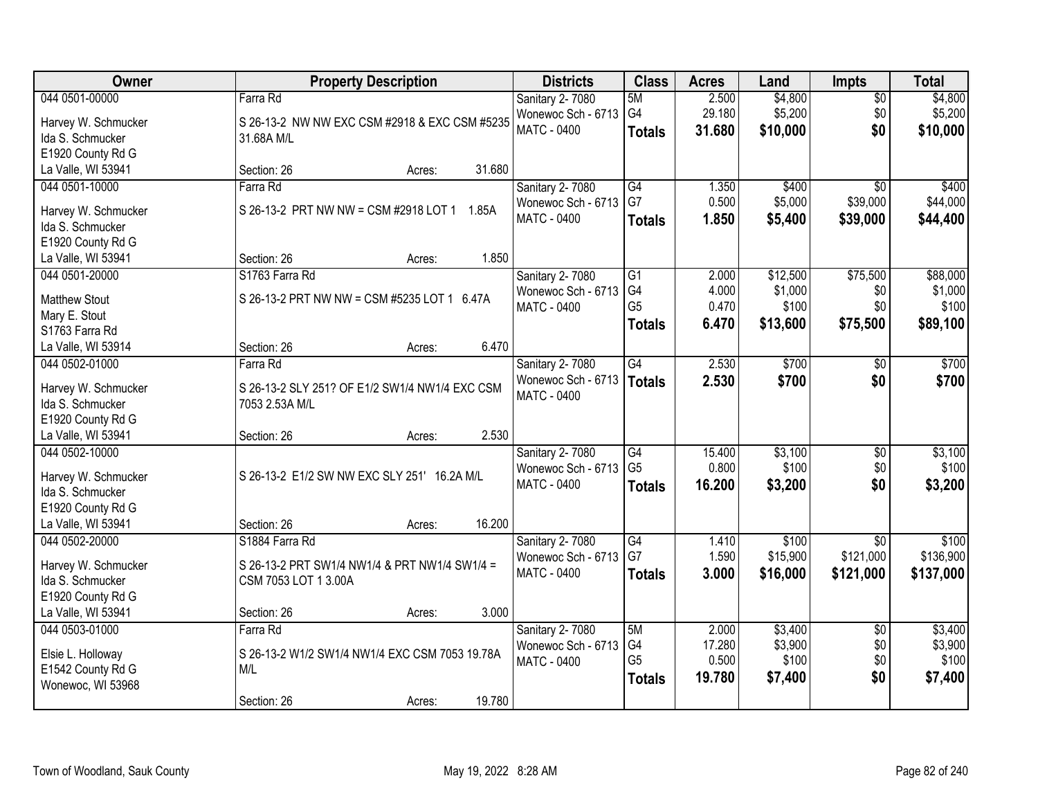| Owner                | <b>Property Description</b>                    | <b>Districts</b>   | <b>Class</b>    | <b>Acres</b> | Land     | <b>Impts</b>    | <b>Total</b> |
|----------------------|------------------------------------------------|--------------------|-----------------|--------------|----------|-----------------|--------------|
| 044 0501-00000       | Farra Rd                                       | Sanitary 2-7080    | 5M              | 2.500        | \$4,800  | $\overline{50}$ | \$4,800      |
| Harvey W. Schmucker  | S 26-13-2 NW NW EXC CSM #2918 & EXC CSM #5235  | Wonewoc Sch - 6713 | G4              | 29.180       | \$5,200  | \$0             | \$5,200      |
| Ida S. Schmucker     | 31.68A M/L                                     | <b>MATC - 0400</b> | <b>Totals</b>   | 31.680       | \$10,000 | \$0             | \$10,000     |
| E1920 County Rd G    |                                                |                    |                 |              |          |                 |              |
| La Valle, WI 53941   | 31.680<br>Section: 26<br>Acres:                |                    |                 |              |          |                 |              |
| 044 0501-10000       | Farra Rd                                       | Sanitary 2-7080    | G4              | 1.350        | \$400    | $\overline{30}$ | \$400        |
|                      |                                                | Wonewoc Sch - 6713 | G7              | 0.500        | \$5,000  | \$39,000        | \$44,000     |
| Harvey W. Schmucker  | S 26-13-2 PRT NW NW = CSM #2918 LOT 1 1.85A    | <b>MATC - 0400</b> | <b>Totals</b>   | 1.850        | \$5,400  | \$39,000        | \$44,400     |
| Ida S. Schmucker     |                                                |                    |                 |              |          |                 |              |
| E1920 County Rd G    |                                                |                    |                 |              |          |                 |              |
| La Valle, WI 53941   | 1.850<br>Section: 26<br>Acres:                 |                    |                 |              |          |                 |              |
| 044 0501-20000       | S1763 Farra Rd                                 | Sanitary 2-7080    | $\overline{G1}$ | 2.000        | \$12,500 | \$75,500        | \$88,000     |
| <b>Matthew Stout</b> | S 26-13-2 PRT NW NW = CSM #5235 LOT 1 6.47A    | Wonewoc Sch - 6713 | G4              | 4.000        | \$1,000  | \$0             | \$1,000      |
| Mary E. Stout        |                                                | MATC - 0400        | G <sub>5</sub>  | 0.470        | \$100    | \$0             | \$100        |
| S1763 Farra Rd       |                                                |                    | <b>Totals</b>   | 6.470        | \$13,600 | \$75,500        | \$89,100     |
| La Valle, WI 53914   | 6.470<br>Section: 26<br>Acres:                 |                    |                 |              |          |                 |              |
| 044 0502-01000       | Farra Rd                                       | Sanitary 2-7080    | G4              | 2.530        | \$700    | \$0             | \$700        |
|                      |                                                | Wonewoc Sch - 6713 | Totals          | 2.530        | \$700    | \$0             | \$700        |
| Harvey W. Schmucker  | S 26-13-2 SLY 251? OF E1/2 SW1/4 NW1/4 EXC CSM | MATC - 0400        |                 |              |          |                 |              |
| Ida S. Schmucker     | 7053 2.53A M/L                                 |                    |                 |              |          |                 |              |
| E1920 County Rd G    |                                                |                    |                 |              |          |                 |              |
| La Valle, WI 53941   | 2.530<br>Section: 26<br>Acres:                 |                    |                 |              |          |                 |              |
| 044 0502-10000       |                                                | Sanitary 2-7080    | $\overline{G4}$ | 15.400       | \$3,100  | $\overline{50}$ | \$3,100      |
| Harvey W. Schmucker  | S 26-13-2 E1/2 SW NW EXC SLY 251' 16.2A M/L    | Wonewoc Sch - 6713 | G <sub>5</sub>  | 0.800        | \$100    | \$0             | \$100        |
| Ida S. Schmucker     |                                                | MATC - 0400        | <b>Totals</b>   | 16.200       | \$3,200  | \$0             | \$3,200      |
| E1920 County Rd G    |                                                |                    |                 |              |          |                 |              |
| La Valle, WI 53941   | 16.200<br>Section: 26<br>Acres:                |                    |                 |              |          |                 |              |
| 044 0502-20000       | S1884 Farra Rd                                 | Sanitary 2-7080    | G4              | 1.410        | \$100    | $\sqrt{6}$      | \$100        |
| Harvey W. Schmucker  | S 26-13-2 PRT SW1/4 NW1/4 & PRT NW1/4 SW1/4 =  | Wonewoc Sch - 6713 | G7              | 1.590        | \$15,900 | \$121,000       | \$136,900    |
| Ida S. Schmucker     | CSM 7053 LOT 1 3.00A                           | MATC - 0400        | <b>Totals</b>   | 3.000        | \$16,000 | \$121,000       | \$137,000    |
| E1920 County Rd G    |                                                |                    |                 |              |          |                 |              |
| La Valle, WI 53941   | 3.000<br>Section: 26<br>Acres:                 |                    |                 |              |          |                 |              |
| 044 0503-01000       | Farra Rd                                       | Sanitary 2-7080    | 5M              | 2.000        | \$3,400  | $\overline{30}$ | \$3,400      |
|                      |                                                | Wonewoc Sch - 6713 | G4              | 17.280       | \$3,900  | \$0             | \$3,900      |
| Elsie L. Holloway    | S 26-13-2 W1/2 SW1/4 NW1/4 EXC CSM 7053 19.78A | MATC - 0400        | G <sub>5</sub>  | 0.500        | \$100    | \$0             | \$100        |
| E1542 County Rd G    | M/L                                            |                    | <b>Totals</b>   | 19.780       | \$7,400  | \$0             | \$7,400      |
| Wonewoc, WI 53968    |                                                |                    |                 |              |          |                 |              |
|                      | 19.780<br>Section: 26<br>Acres:                |                    |                 |              |          |                 |              |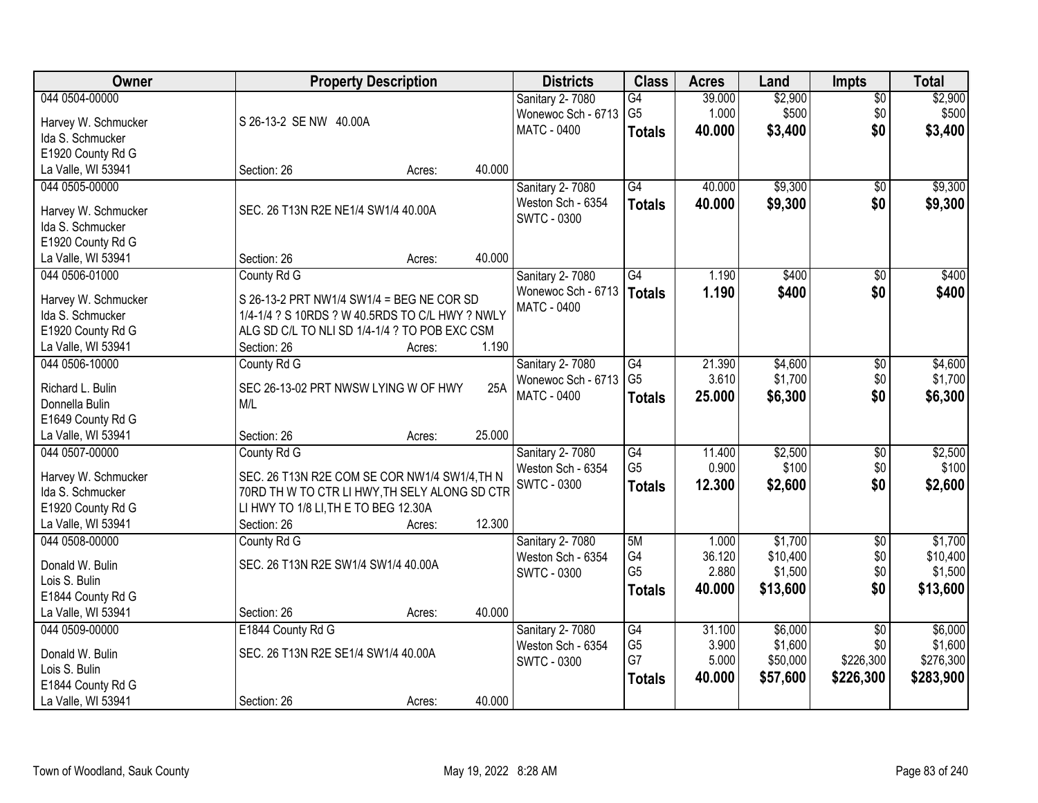| <b>Owner</b>        |                                                 | <b>Property Description</b> |        | <b>Districts</b>                         | <b>Class</b>    | <b>Acres</b> | Land     | <b>Impts</b>    | <b>Total</b> |
|---------------------|-------------------------------------------------|-----------------------------|--------|------------------------------------------|-----------------|--------------|----------|-----------------|--------------|
| 044 0504-00000      |                                                 |                             |        | Sanitary 2-7080                          | $\overline{G4}$ | 39.000       | \$2,900  | $\sqrt{$0}$     | \$2,900      |
| Harvey W. Schmucker | S 26-13-2 SE NW 40.00A                          |                             |        | Wonewoc Sch - 6713                       | G <sub>5</sub>  | 1.000        | \$500    | \$0             | \$500        |
| Ida S. Schmucker    |                                                 |                             |        | <b>MATC - 0400</b>                       | <b>Totals</b>   | 40.000       | \$3,400  | \$0             | \$3,400      |
| E1920 County Rd G   |                                                 |                             |        |                                          |                 |              |          |                 |              |
| La Valle, WI 53941  | Section: 26                                     | Acres:                      | 40.000 |                                          |                 |              |          |                 |              |
| 044 0505-00000      |                                                 |                             |        | Sanitary 2-7080                          | $\overline{G4}$ | 40.000       | \$9,300  | \$0             | \$9,300      |
|                     |                                                 |                             |        | Weston Sch - 6354                        | <b>Totals</b>   | 40.000       | \$9,300  | \$0             | \$9,300      |
| Harvey W. Schmucker | SEC. 26 T13N R2E NE1/4 SW1/4 40.00A             |                             |        | <b>SWTC - 0300</b>                       |                 |              |          |                 |              |
| Ida S. Schmucker    |                                                 |                             |        |                                          |                 |              |          |                 |              |
| E1920 County Rd G   |                                                 |                             | 40.000 |                                          |                 |              |          |                 |              |
| La Valle, WI 53941  | Section: 26                                     | Acres:                      |        |                                          |                 |              |          |                 |              |
| 044 0506-01000      | County Rd G                                     |                             |        | Sanitary 2-7080                          | G4              | 1.190        | \$400    | \$0             | \$400        |
| Harvey W. Schmucker | S 26-13-2 PRT NW1/4 SW1/4 = BEG NE COR SD       |                             |        | Wonewoc Sch - 6713<br><b>MATC - 0400</b> | Totals          | 1.190        | \$400    | \$0             | \$400        |
| Ida S. Schmucker    | 1/4-1/4 ? S 10RDS ? W 40.5RDS TO C/L HWY ? NWLY |                             |        |                                          |                 |              |          |                 |              |
| E1920 County Rd G   | ALG SD C/L TO NLI SD 1/4-1/4 ? TO POB EXC CSM   |                             |        |                                          |                 |              |          |                 |              |
| La Valle, WI 53941  | Section: 26                                     | Acres:                      | 1.190  |                                          |                 |              |          |                 |              |
| 044 0506-10000      | County Rd G                                     |                             |        | Sanitary 2-7080                          | G4              | 21.390       | \$4,600  | $\sqrt[6]{3}$   | \$4,600      |
| Richard L. Bulin    | SEC 26-13-02 PRT NWSW LYING W OF HWY            |                             | 25A    | Wonewoc Sch - 6713                       | G <sub>5</sub>  | 3.610        | \$1,700  | \$0             | \$1,700      |
| Donnella Bulin      | M/L                                             |                             |        | <b>MATC - 0400</b>                       | <b>Totals</b>   | 25.000       | \$6,300  | \$0             | \$6,300      |
| E1649 County Rd G   |                                                 |                             |        |                                          |                 |              |          |                 |              |
| La Valle, WI 53941  | Section: 26                                     | Acres:                      | 25.000 |                                          |                 |              |          |                 |              |
| 044 0507-00000      | County Rd G                                     |                             |        | Sanitary 2-7080                          | $\overline{G4}$ | 11.400       | \$2,500  | $\overline{50}$ | \$2,500      |
|                     |                                                 |                             |        | Weston Sch - 6354                        | G <sub>5</sub>  | 0.900        | \$100    | \$0             | \$100        |
| Harvey W. Schmucker | SEC. 26 T13N R2E COM SE COR NW1/4 SW1/4, TH N   |                             |        | <b>SWTC - 0300</b>                       | <b>Totals</b>   | 12.300       | \$2,600  | \$0             | \$2,600      |
| Ida S. Schmucker    | 70RD TH W TO CTR LI HWY, TH SELY ALONG SD CTR   |                             |        |                                          |                 |              |          |                 |              |
| E1920 County Rd G   | LI HWY TO 1/8 LI, TH E TO BEG 12.30A            |                             |        |                                          |                 |              |          |                 |              |
| La Valle, WI 53941  | Section: 26                                     | Acres:                      | 12.300 |                                          |                 |              |          |                 |              |
| 044 0508-00000      | County Rd G                                     |                             |        | <b>Sanitary 2-7080</b>                   | 5M              | 1.000        | \$1,700  | $\sqrt{6}$      | \$1,700      |
| Donald W. Bulin     | SEC. 26 T13N R2E SW1/4 SW1/4 40.00A             |                             |        | Weston Sch - 6354                        | G4              | 36.120       | \$10,400 | \$0             | \$10,400     |
| Lois S. Bulin       |                                                 |                             |        | <b>SWTC - 0300</b>                       | G <sub>5</sub>  | 2.880        | \$1,500  | \$0             | \$1,500      |
| E1844 County Rd G   |                                                 |                             |        |                                          | <b>Totals</b>   | 40.000       | \$13,600 | \$0             | \$13,600     |
| La Valle, WI 53941  | Section: 26                                     | Acres:                      | 40.000 |                                          |                 |              |          |                 |              |
| 044 0509-00000      | E1844 County Rd G                               |                             |        | Sanitary 2-7080                          | G4              | 31.100       | \$6,000  | $\overline{30}$ | \$6,000      |
| Donald W. Bulin     | SEC. 26 T13N R2E SE1/4 SW1/4 40.00A             |                             |        | Weston Sch - 6354                        | G <sub>5</sub>  | 3.900        | \$1,600  | \$0             | \$1,600      |
| Lois S. Bulin       |                                                 |                             |        | <b>SWTC - 0300</b>                       | G7              | 5.000        | \$50,000 | \$226,300       | \$276,300    |
| E1844 County Rd G   |                                                 |                             |        |                                          | <b>Totals</b>   | 40.000       | \$57,600 | \$226,300       | \$283,900    |
| La Valle, WI 53941  | Section: 26                                     | Acres:                      | 40.000 |                                          |                 |              |          |                 |              |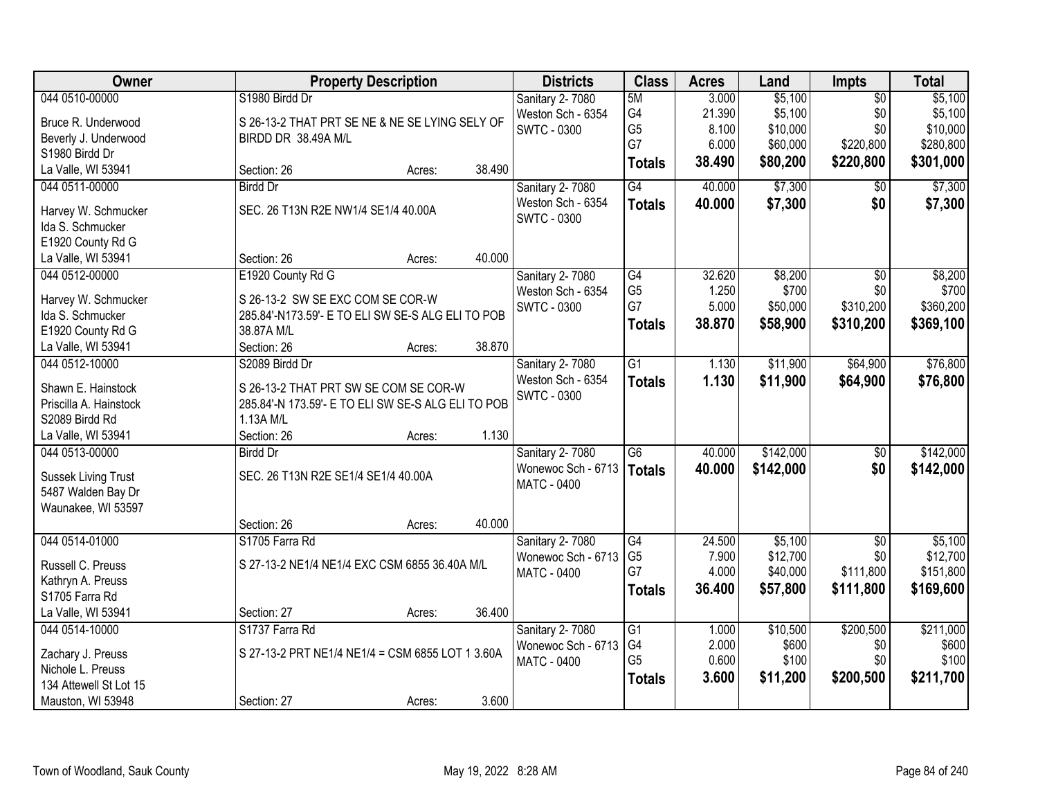| Owner                  | <b>Property Description</b>                        |        |        | <b>Districts</b>       | <b>Class</b>    | <b>Acres</b> | Land      | Impts           | <b>Total</b> |
|------------------------|----------------------------------------------------|--------|--------|------------------------|-----------------|--------------|-----------|-----------------|--------------|
| 044 0510-00000         | S1980 Birdd Dr                                     |        |        | <b>Sanitary 2-7080</b> | 5M              | 3.000        | \$5,100   | $\overline{50}$ | \$5,100      |
| Bruce R. Underwood     | S 26-13-2 THAT PRT SE NE & NE SE LYING SELY OF     |        |        | Weston Sch - 6354      | G4              | 21.390       | \$5,100   | \$0             | \$5,100      |
| Beverly J. Underwood   | BIRDD DR 38.49A M/L                                |        |        | <b>SWTC - 0300</b>     | G <sub>5</sub>  | 8.100        | \$10,000  | \$0             | \$10,000     |
| S1980 Birdd Dr         |                                                    |        |        |                        | G7              | 6.000        | \$60,000  | \$220,800       | \$280,800    |
| La Valle, WI 53941     | Section: 26                                        | Acres: | 38.490 |                        | <b>Totals</b>   | 38.490       | \$80,200  | \$220,800       | \$301,000    |
| 044 0511-00000         | <b>Birdd Dr</b>                                    |        |        | Sanitary 2-7080        | G4              | 40.000       | \$7,300   | \$0             | \$7,300      |
|                        |                                                    |        |        | Weston Sch - 6354      | <b>Totals</b>   | 40.000       | \$7,300   | \$0             | \$7,300      |
| Harvey W. Schmucker    | SEC. 26 T13N R2E NW1/4 SE1/4 40.00A                |        |        | <b>SWTC - 0300</b>     |                 |              |           |                 |              |
| Ida S. Schmucker       |                                                    |        |        |                        |                 |              |           |                 |              |
| E1920 County Rd G      |                                                    |        |        |                        |                 |              |           |                 |              |
| La Valle, WI 53941     | Section: 26                                        | Acres: | 40.000 |                        |                 |              |           |                 |              |
| 044 0512-00000         | E1920 County Rd G                                  |        |        | <b>Sanitary 2-7080</b> | G4              | 32.620       | \$8,200   | $\overline{50}$ | \$8,200      |
| Harvey W. Schmucker    | S 26-13-2 SW SE EXC COM SE COR-W                   |        |        | Weston Sch - 6354      | G <sub>5</sub>  | 1.250        | \$700     | \$0             | \$700        |
| Ida S. Schmucker       | 285.84'-N173.59'- E TO ELI SW SE-S ALG ELI TO POB  |        |        | <b>SWTC - 0300</b>     | G7              | 5.000        | \$50,000  | \$310,200       | \$360,200    |
| E1920 County Rd G      | 38.87A M/L                                         |        |        |                        | <b>Totals</b>   | 38.870       | \$58,900  | \$310,200       | \$369,100    |
| La Valle, WI 53941     | Section: 26                                        | Acres: | 38.870 |                        |                 |              |           |                 |              |
| 044 0512-10000         | S2089 Birdd Dr                                     |        |        | Sanitary 2-7080        | G1              | 1.130        | \$11,900  | \$64,900        | \$76,800     |
|                        |                                                    |        |        | Weston Sch - 6354      | <b>Totals</b>   | 1.130        | \$11,900  | \$64,900        | \$76,800     |
| Shawn E. Hainstock     | S 26-13-2 THAT PRT SW SE COM SE COR-W              |        |        | <b>SWTC - 0300</b>     |                 |              |           |                 |              |
| Priscilla A. Hainstock | 285.84'-N 173.59'- E TO ELI SW SE-S ALG ELI TO POB |        |        |                        |                 |              |           |                 |              |
| S2089 Birdd Rd         | 1.13A M/L                                          |        |        |                        |                 |              |           |                 |              |
| La Valle, WI 53941     | Section: 26                                        | Acres: | 1.130  |                        |                 |              |           |                 |              |
| 044 0513-00000         | <b>Birdd Dr</b>                                    |        |        | Sanitary 2-7080        | $\overline{G6}$ | 40.000       | \$142,000 | $\overline{50}$ | \$142,000    |
| Sussek Living Trust    | SEC. 26 T13N R2E SE1/4 SE1/4 40.00A                |        |        | Wonewoc Sch - 6713     | <b>Totals</b>   | 40.000       | \$142,000 | \$0             | \$142,000    |
| 5487 Walden Bay Dr     |                                                    |        |        | <b>MATC - 0400</b>     |                 |              |           |                 |              |
| Waunakee, WI 53597     |                                                    |        |        |                        |                 |              |           |                 |              |
|                        | Section: 26                                        | Acres: | 40.000 |                        |                 |              |           |                 |              |
| 044 0514-01000         | S1705 Farra Rd                                     |        |        | Sanitary 2-7080        | G4              | 24.500       | \$5,100   | $\sqrt{6}$      | \$5,100      |
| Russell C. Preuss      | S 27-13-2 NE1/4 NE1/4 EXC CSM 6855 36.40A M/L      |        |        | Wonewoc Sch - 6713     | G <sub>5</sub>  | 7.900        | \$12,700  | \$0             | \$12,700     |
| Kathryn A. Preuss      |                                                    |        |        | <b>MATC - 0400</b>     | G7              | 4.000        | \$40,000  | \$111,800       | \$151,800    |
| S1705 Farra Rd         |                                                    |        |        |                        | <b>Totals</b>   | 36.400       | \$57,800  | \$111,800       | \$169,600    |
| La Valle, WI 53941     | Section: 27                                        | Acres: | 36.400 |                        |                 |              |           |                 |              |
| 044 0514-10000         | S1737 Farra Rd                                     |        |        | Sanitary 2-7080        | G1              | 1.000        | \$10,500  | \$200,500       | \$211,000    |
|                        |                                                    |        |        | Wonewoc Sch - 6713     | G4              | 2.000        | \$600     | \$0             | \$600        |
| Zachary J. Preuss      | S 27-13-2 PRT NE1/4 NE1/4 = CSM 6855 LOT 1 3.60A   |        |        | <b>MATC - 0400</b>     | G <sub>5</sub>  | 0.600        | \$100     | \$0             | \$100        |
| Nichole L. Preuss      |                                                    |        |        |                        | <b>Totals</b>   | 3.600        | \$11,200  | \$200,500       | \$211,700    |
| 134 Attewell St Lot 15 |                                                    |        |        |                        |                 |              |           |                 |              |
| Mauston, WI 53948      | Section: 27                                        | Acres: | 3.600  |                        |                 |              |           |                 |              |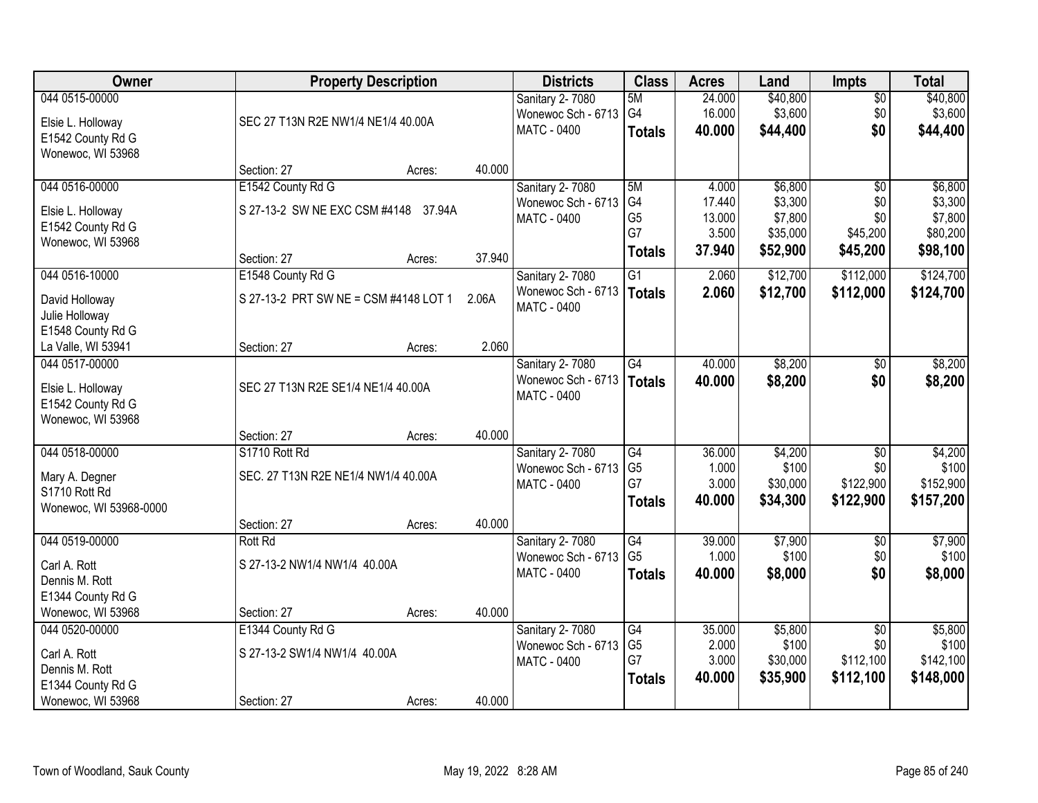| <b>Owner</b>           |                                       | <b>Property Description</b> |        | <b>Districts</b>                         | <b>Class</b>         | <b>Acres</b>    | Land                | <b>Impts</b>           | <b>Total</b>        |
|------------------------|---------------------------------------|-----------------------------|--------|------------------------------------------|----------------------|-----------------|---------------------|------------------------|---------------------|
| 044 0515-00000         |                                       |                             |        | Sanitary 2-7080                          | 5M                   | 24.000          | \$40,800            | $\sqrt{$0}$            | \$40,800            |
| Elsie L. Holloway      | SEC 27 T13N R2E NW1/4 NE1/4 40.00A    |                             |        | Wonewoc Sch - 6713                       | G4                   | 16.000          | \$3,600             | \$0                    | \$3,600             |
| E1542 County Rd G      |                                       |                             |        | MATC - 0400                              | <b>Totals</b>        | 40.000          | \$44,400            | \$0                    | \$44,400            |
| Wonewoc, WI 53968      |                                       |                             |        |                                          |                      |                 |                     |                        |                     |
|                        | Section: 27                           | Acres:                      | 40.000 |                                          |                      |                 |                     |                        |                     |
| 044 0516-00000         | E1542 County Rd G                     |                             |        | Sanitary 2-7080                          | 5M                   | 4.000           | \$6,800             | $\overline{50}$        | \$6,800             |
| Elsie L. Holloway      | S 27-13-2 SW NE EXC CSM #4148 37.94A  |                             |        | Wonewoc Sch - 6713                       | G <sub>4</sub>       | 17.440          | \$3,300             | \$0                    | \$3,300             |
| E1542 County Rd G      |                                       |                             |        | <b>MATC - 0400</b>                       | G <sub>5</sub><br>G7 | 13.000<br>3.500 | \$7,800<br>\$35,000 | \$0                    | \$7,800<br>\$80,200 |
| Wonewoc, WI 53968      |                                       |                             |        |                                          |                      | 37.940          | \$52,900            | \$45,200<br>\$45,200   | \$98,100            |
|                        | Section: 27                           | Acres:                      | 37.940 |                                          | <b>Totals</b>        |                 |                     |                        |                     |
| 044 0516-10000         | E1548 County Rd G                     |                             |        | Sanitary 2-7080                          | $\overline{G1}$      | 2.060           | \$12,700            | \$112,000              | \$124,700           |
| David Holloway         | S 27-13-2 PRT SW NE = CSM #4148 LOT 1 |                             | 2.06A  | Wonewoc Sch - 6713                       | Totals               | 2.060           | \$12,700            | \$112,000              | \$124,700           |
| Julie Holloway         |                                       |                             |        | MATC - 0400                              |                      |                 |                     |                        |                     |
| E1548 County Rd G      |                                       |                             |        |                                          |                      |                 |                     |                        |                     |
| La Valle, WI 53941     | Section: 27                           | Acres:                      | 2.060  |                                          |                      |                 |                     |                        |                     |
| 044 0517-00000         |                                       |                             |        | Sanitary 2-7080                          | $\overline{G4}$      | 40.000          | \$8,200             | $\frac{1}{20}$         | \$8,200             |
| Elsie L. Holloway      | SEC 27 T13N R2E SE1/4 NE1/4 40.00A    |                             |        | Wonewoc Sch - 6713                       | Totals               | 40.000          | \$8,200             | \$0                    | \$8,200             |
| E1542 County Rd G      |                                       |                             |        | MATC - 0400                              |                      |                 |                     |                        |                     |
| Wonewoc, WI 53968      |                                       |                             |        |                                          |                      |                 |                     |                        |                     |
|                        | Section: 27                           | Acres:                      | 40.000 |                                          |                      |                 |                     |                        |                     |
| 044 0518-00000         | S1710 Rott Rd                         |                             |        | Sanitary 2-7080                          | $\overline{G4}$      | 36.000          | \$4,200             | $\overline{50}$        | \$4,200             |
| Mary A. Degner         | SEC. 27 T13N R2E NE1/4 NW1/4 40.00A   |                             |        | Wonewoc Sch - 6713<br>MATC - 0400        | G <sub>5</sub><br>G7 | 1.000<br>3.000  | \$100<br>\$30,000   | \$0<br>\$122,900       | \$100<br>\$152,900  |
| S1710 Rott Rd          |                                       |                             |        |                                          | <b>Totals</b>        | 40.000          | \$34,300            | \$122,900              | \$157,200           |
| Wonewoc, WI 53968-0000 |                                       |                             |        |                                          |                      |                 |                     |                        |                     |
|                        | Section: 27                           | Acres:                      | 40.000 |                                          |                      |                 |                     |                        |                     |
| 044 0519-00000         | <b>Rott Rd</b>                        |                             |        | Sanitary 2-7080                          | G4                   | 39.000          | \$7,900             | \$0                    | \$7,900             |
| Carl A. Rott           | S 27-13-2 NW1/4 NW1/4 40.00A          |                             |        | Wonewoc Sch - 6713<br><b>MATC - 0400</b> | G <sub>5</sub>       | 1.000<br>40.000 | \$100<br>\$8,000    | \$0<br>\$0             | \$100<br>\$8,000    |
| Dennis M. Rott         |                                       |                             |        |                                          | <b>Totals</b>        |                 |                     |                        |                     |
| E1344 County Rd G      |                                       |                             |        |                                          |                      |                 |                     |                        |                     |
| Wonewoc, WI 53968      | Section: 27                           | Acres:                      | 40.000 |                                          |                      |                 |                     |                        |                     |
| 044 0520-00000         | E1344 County Rd G                     |                             |        | Sanitary 2-7080                          | G4<br>G <sub>5</sub> | 35.000<br>2.000 | \$5,800<br>\$100    | $\overline{50}$<br>\$0 | \$5,800<br>\$100    |
| Carl A. Rott           | S 27-13-2 SW1/4 NW1/4 40.00A          |                             |        | Wonewoc Sch - 6713<br>MATC - 0400        | G7                   | 3.000           | \$30,000            | \$112,100              | \$142,100           |
| Dennis M. Rott         |                                       |                             |        |                                          | <b>Totals</b>        | 40.000          | \$35,900            | \$112,100              | \$148,000           |
| E1344 County Rd G      |                                       |                             |        |                                          |                      |                 |                     |                        |                     |
| Wonewoc, WI 53968      | Section: 27                           | Acres:                      | 40.000 |                                          |                      |                 |                     |                        |                     |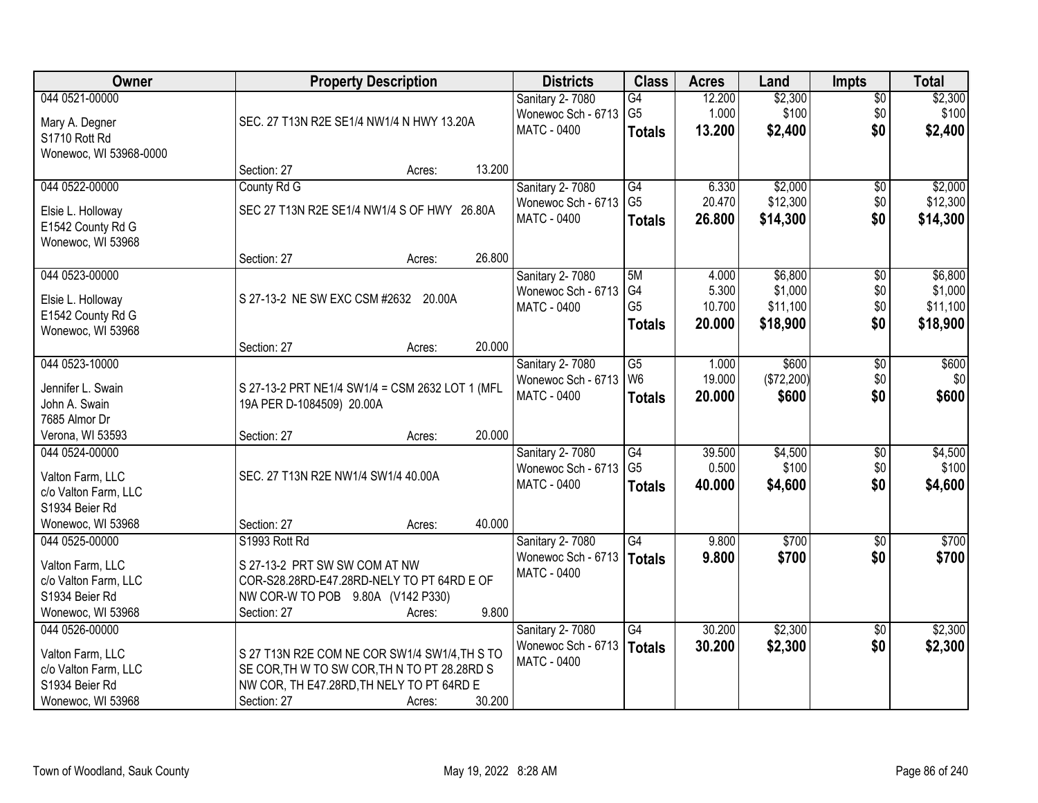| Owner                          | <b>Property Description</b>                     | <b>Districts</b>       | <b>Class</b>    | <b>Acres</b> | Land       | <b>Impts</b>    | <b>Total</b> |
|--------------------------------|-------------------------------------------------|------------------------|-----------------|--------------|------------|-----------------|--------------|
| 044 0521-00000                 |                                                 | Sanitary 2-7080        | $\overline{G4}$ | 12.200       | \$2,300    | $\sqrt{$0}$     | \$2,300      |
| Mary A. Degner                 | SEC. 27 T13N R2E SE1/4 NW1/4 N HWY 13.20A       | Wonewoc Sch - 6713     | G <sub>5</sub>  | 1.000        | \$100      | \$0             | \$100        |
| S1710 Rott Rd                  |                                                 | <b>MATC - 0400</b>     | <b>Totals</b>   | 13.200       | \$2,400    | \$0             | \$2,400      |
| Wonewoc, WI 53968-0000         |                                                 |                        |                 |              |            |                 |              |
|                                | 13.200<br>Section: 27<br>Acres:                 |                        |                 |              |            |                 |              |
| 044 0522-00000                 | County Rd G                                     | Sanitary 2-7080        | G4              | 6.330        | \$2,000    | \$0             | \$2,000      |
| Elsie L. Holloway              | SEC 27 T13N R2E SE1/4 NW1/4 S OF HWY 26.80A     | Wonewoc Sch - 6713     | G <sub>5</sub>  | 20.470       | \$12,300   | \$0             | \$12,300     |
| E1542 County Rd G              |                                                 | MATC - 0400            | <b>Totals</b>   | 26.800       | \$14,300   | \$0             | \$14,300     |
| Wonewoc, WI 53968              |                                                 |                        |                 |              |            |                 |              |
|                                | 26.800<br>Section: 27<br>Acres:                 |                        |                 |              |            |                 |              |
| 044 0523-00000                 |                                                 | Sanitary 2-7080        | 5M              | 4.000        | \$6,800    | \$0             | \$6,800      |
| Elsie L. Holloway              | S 27-13-2 NE SW EXC CSM #2632 20.00A            | Wonewoc Sch - 6713     | G4              | 5.300        | \$1,000    | \$0             | \$1,000      |
| E1542 County Rd G              |                                                 | MATC - 0400            | G <sub>5</sub>  | 10.700       | \$11,100   | \$0             | \$11,100     |
| Wonewoc, WI 53968              |                                                 |                        | <b>Totals</b>   | 20.000       | \$18,900   | \$0             | \$18,900     |
|                                | 20.000<br>Section: 27<br>Acres:                 |                        |                 |              |            |                 |              |
| 044 0523-10000                 |                                                 | Sanitary 2-7080        | $\overline{G5}$ | 1.000        | \$600      | \$0             | \$600        |
|                                |                                                 | Wonewoc Sch - 6713     | W <sub>6</sub>  | 19.000       | (\$72,200) | \$0             | \$0          |
| Jennifer L. Swain              | S 27-13-2 PRT NE1/4 SW1/4 = CSM 2632 LOT 1 (MFL | <b>MATC - 0400</b>     | <b>Totals</b>   | 20.000       | \$600      | \$0             | \$600        |
| John A. Swain<br>7685 Almor Dr | 19A PER D-1084509) 20.00A                       |                        |                 |              |            |                 |              |
| Verona, WI 53593               | 20.000<br>Section: 27<br>Acres:                 |                        |                 |              |            |                 |              |
| 044 0524-00000                 |                                                 | Sanitary 2-7080        | G4              | 39.500       | \$4,500    | $\overline{50}$ | \$4,500      |
|                                |                                                 | Wonewoc Sch - 6713     | G <sub>5</sub>  | 0.500        | \$100      | \$0             | \$100        |
| Valton Farm, LLC               | SEC. 27 T13N R2E NW1/4 SW1/4 40.00A             | MATC - 0400            | <b>Totals</b>   | 40.000       | \$4,600    | \$0             | \$4,600      |
| c/o Valton Farm, LLC           |                                                 |                        |                 |              |            |                 |              |
| S1934 Beier Rd                 |                                                 |                        |                 |              |            |                 |              |
| Wonewoc, WI 53968              | 40.000<br>Section: 27<br>Acres:                 |                        |                 |              |            |                 |              |
| 044 0525-00000                 | S1993 Rott Rd                                   | <b>Sanitary 2-7080</b> | G4              | 9.800        | \$700      | \$0             | \$700        |
| Valton Farm, LLC               | S 27-13-2 PRT SW SW COM AT NW                   | Wonewoc Sch - 6713     | Totals          | 9.800        | \$700      | \$0             | \$700        |
| c/o Valton Farm, LLC           | COR-S28.28RD-E47.28RD-NELY TO PT 64RD E OF      | <b>MATC - 0400</b>     |                 |              |            |                 |              |
| S1934 Beier Rd                 | NW COR-W TO POB 9.80A (V142 P330)               |                        |                 |              |            |                 |              |
| Wonewoc, WI 53968              | 9.800<br>Section: 27<br>Acres:                  |                        |                 |              |            |                 |              |
| 044 0526-00000                 |                                                 | Sanitary 2-7080        | G4              | 30.200       | \$2,300    | $\overline{30}$ | \$2,300      |
| Valton Farm, LLC               | S 27 T13N R2E COM NE COR SW1/4 SW1/4, TH S TO   | Wonewoc Sch - 6713     | Totals          | 30.200       | \$2,300    | \$0             | \$2,300      |
| c/o Valton Farm, LLC           | SE COR, TH W TO SW COR, TH N TO PT 28.28RD S    | MATC - 0400            |                 |              |            |                 |              |
| S1934 Beier Rd                 | NW COR, TH E47.28RD, TH NELY TO PT 64RD E       |                        |                 |              |            |                 |              |
| Wonewoc, WI 53968              | 30.200<br>Section: 27<br>Acres:                 |                        |                 |              |            |                 |              |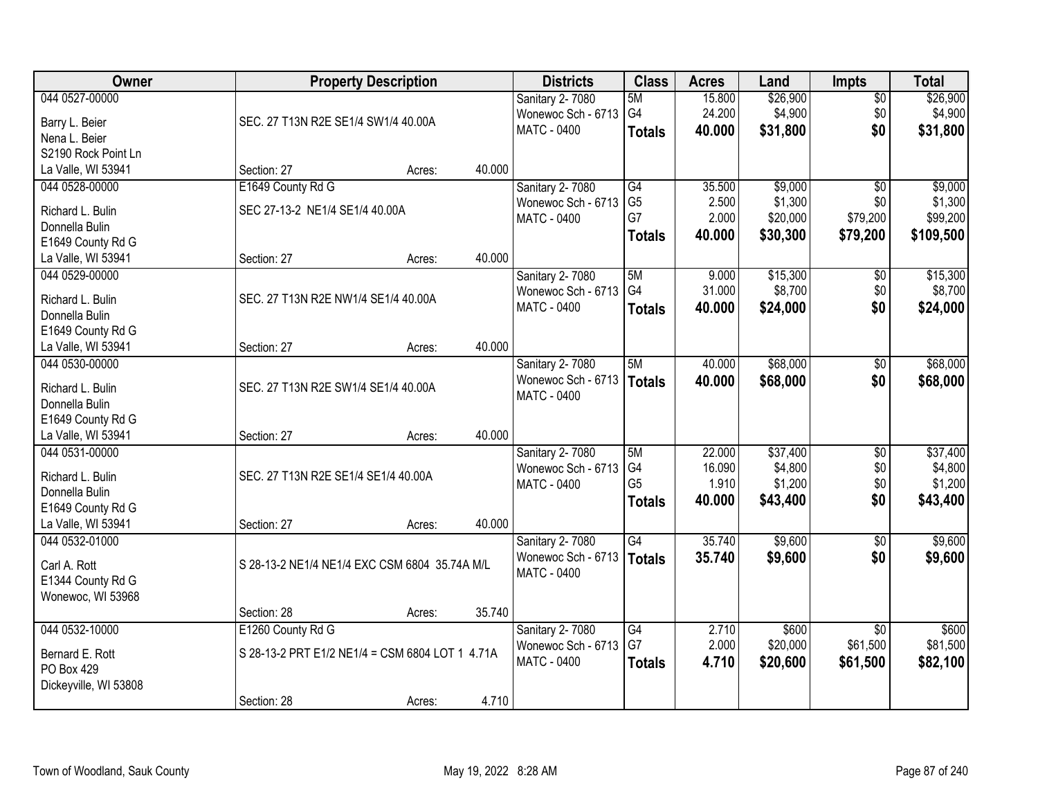| Owner                 |                                                 | <b>Property Description</b> |        | <b>Districts</b>   | <b>Class</b>    | <b>Acres</b> | Land     | <b>Impts</b>    | <b>Total</b> |
|-----------------------|-------------------------------------------------|-----------------------------|--------|--------------------|-----------------|--------------|----------|-----------------|--------------|
| 044 0527-00000        |                                                 |                             |        | Sanitary 2-7080    | 5M              | 15.800       | \$26,900 | $\overline{50}$ | \$26,900     |
| Barry L. Beier        | SEC. 27 T13N R2E SE1/4 SW1/4 40.00A             |                             |        | Wonewoc Sch - 6713 | G <sub>4</sub>  | 24.200       | \$4,900  | \$0             | \$4,900      |
| Nena L. Beier         |                                                 |                             |        | MATC - 0400        | <b>Totals</b>   | 40.000       | \$31,800 | \$0             | \$31,800     |
| S2190 Rock Point Ln   |                                                 |                             |        |                    |                 |              |          |                 |              |
| La Valle, WI 53941    | Section: 27                                     | Acres:                      | 40.000 |                    |                 |              |          |                 |              |
| 044 0528-00000        | E1649 County Rd G                               |                             |        | Sanitary 2-7080    | G4              | 35.500       | \$9,000  | $\overline{30}$ | \$9,000      |
|                       |                                                 |                             |        | Wonewoc Sch - 6713 | G <sub>5</sub>  | 2.500        | \$1,300  | \$0             | \$1,300      |
| Richard L. Bulin      | SEC 27-13-2 NE1/4 SE1/4 40.00A                  |                             |        | <b>MATC - 0400</b> | G7              | 2.000        | \$20,000 | \$79,200        | \$99,200     |
| Donnella Bulin        |                                                 |                             |        |                    | <b>Totals</b>   | 40.000       | \$30,300 | \$79,200        | \$109,500    |
| E1649 County Rd G     |                                                 |                             |        |                    |                 |              |          |                 |              |
| La Valle, WI 53941    | Section: 27                                     | Acres:                      | 40.000 |                    |                 |              |          |                 |              |
| 044 0529-00000        |                                                 |                             |        | Sanitary 2-7080    | 5M              | 9.000        | \$15,300 | \$0             | \$15,300     |
| Richard L. Bulin      | SEC. 27 T13N R2E NW1/4 SE1/4 40.00A             |                             |        | Wonewoc Sch - 6713 | G <sub>4</sub>  | 31.000       | \$8,700  | \$0             | \$8,700      |
| Donnella Bulin        |                                                 |                             |        | MATC - 0400        | <b>Totals</b>   | 40.000       | \$24,000 | \$0             | \$24,000     |
| E1649 County Rd G     |                                                 |                             |        |                    |                 |              |          |                 |              |
| La Valle, WI 53941    | Section: 27                                     | Acres:                      | 40.000 |                    |                 |              |          |                 |              |
| 044 0530-00000        |                                                 |                             |        | Sanitary 2-7080    | 5M              | 40.000       | \$68,000 | \$0             | \$68,000     |
|                       |                                                 |                             |        | Wonewoc Sch - 6713 | Totals          | 40.000       | \$68,000 | \$0             | \$68,000     |
| Richard L. Bulin      | SEC. 27 T13N R2E SW1/4 SE1/4 40.00A             |                             |        | MATC - 0400        |                 |              |          |                 |              |
| Donnella Bulin        |                                                 |                             |        |                    |                 |              |          |                 |              |
| E1649 County Rd G     |                                                 |                             |        |                    |                 |              |          |                 |              |
| La Valle, WI 53941    | Section: 27                                     | Acres:                      | 40.000 |                    |                 |              |          |                 |              |
| 044 0531-00000        |                                                 |                             |        | Sanitary 2-7080    | 5M              | 22.000       | \$37,400 | $\overline{30}$ | \$37,400     |
| Richard L. Bulin      | SEC. 27 T13N R2E SE1/4 SE1/4 40.00A             |                             |        | Wonewoc Sch - 6713 | G4              | 16.090       | \$4,800  | \$0             | \$4,800      |
| Donnella Bulin        |                                                 |                             |        | <b>MATC - 0400</b> | G <sub>5</sub>  | 1.910        | \$1,200  | \$0             | \$1,200      |
| E1649 County Rd G     |                                                 |                             |        |                    | <b>Totals</b>   | 40.000       | \$43,400 | \$0             | \$43,400     |
| La Valle, WI 53941    | Section: 27                                     | Acres:                      | 40.000 |                    |                 |              |          |                 |              |
| 044 0532-01000        |                                                 |                             |        | Sanitary 2-7080    | $\overline{G4}$ | 35.740       | \$9,600  | $\overline{50}$ | \$9,600      |
|                       |                                                 |                             |        | Wonewoc Sch - 6713 | <b>Totals</b>   | 35.740       | \$9,600  | \$0             | \$9,600      |
| Carl A. Rott          | S 28-13-2 NE1/4 NE1/4 EXC CSM 6804 35.74A M/L   |                             |        | MATC - 0400        |                 |              |          |                 |              |
| E1344 County Rd G     |                                                 |                             |        |                    |                 |              |          |                 |              |
| Wonewoc, WI 53968     |                                                 |                             |        |                    |                 |              |          |                 |              |
|                       | Section: 28                                     | Acres:                      | 35.740 |                    |                 |              |          |                 |              |
| 044 0532-10000        | E1260 County Rd G                               |                             |        | Sanitary 2-7080    | G4              | 2.710        | \$600    | $\overline{50}$ | \$600        |
| Bernard E. Rott       | S 28-13-2 PRT E1/2 NE1/4 = CSM 6804 LOT 1 4.71A |                             |        | Wonewoc Sch - 6713 | G7              | 2.000        | \$20,000 | \$61,500        | \$81,500     |
| PO Box 429            |                                                 |                             |        | MATC - 0400        | <b>Totals</b>   | 4.710        | \$20,600 | \$61,500        | \$82,100     |
| Dickeyville, WI 53808 |                                                 |                             |        |                    |                 |              |          |                 |              |
|                       | Section: 28                                     | Acres:                      | 4.710  |                    |                 |              |          |                 |              |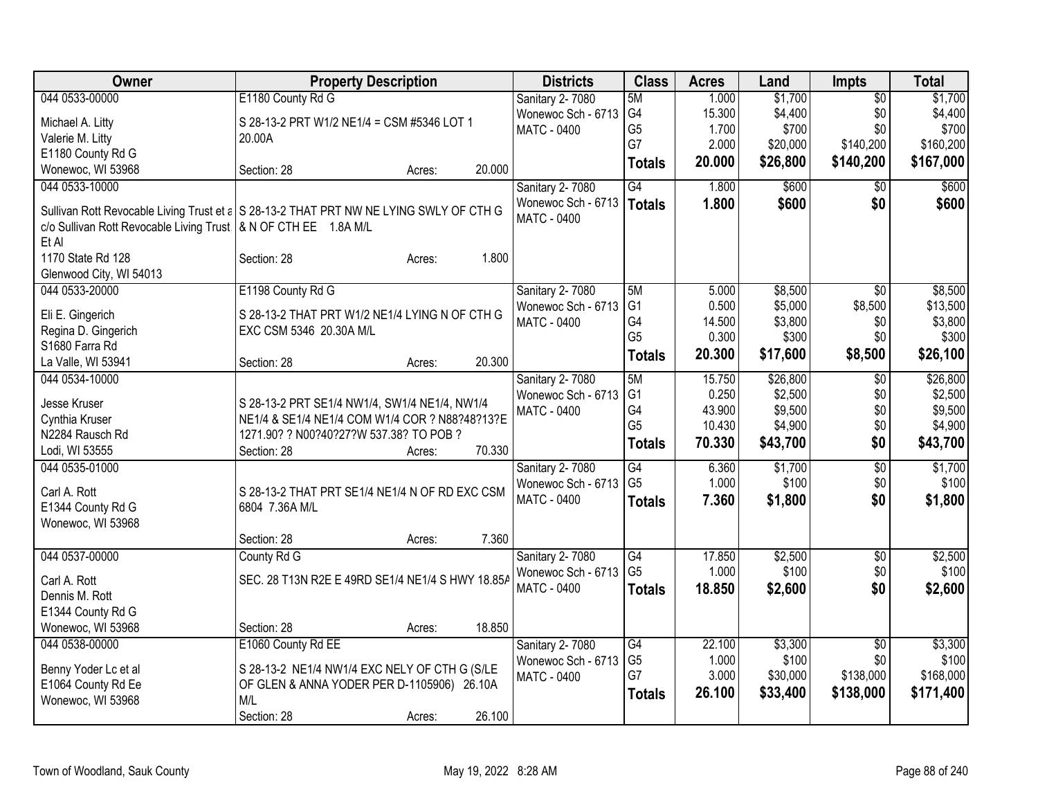| <b>Owner</b>                                                      | <b>Property Description</b>                                                            | <b>Districts</b>   | <b>Class</b>    | <b>Acres</b> | Land     | Impts           | <b>Total</b> |
|-------------------------------------------------------------------|----------------------------------------------------------------------------------------|--------------------|-----------------|--------------|----------|-----------------|--------------|
| 044 0533-00000                                                    | E1180 County Rd G                                                                      | Sanitary 2-7080    | 5M              | 1.000        | \$1,700  | $\overline{50}$ | \$1,700      |
| Michael A. Litty                                                  | S 28-13-2 PRT W1/2 NE1/4 = CSM #5346 LOT 1                                             | Wonewoc Sch - 6713 | G4              | 15.300       | \$4,400  | \$0             | \$4,400      |
| Valerie M. Litty                                                  | 20.00A                                                                                 | <b>MATC - 0400</b> | G <sub>5</sub>  | 1.700        | \$700    | \$0             | \$700        |
| E1180 County Rd G                                                 |                                                                                        |                    | G7              | 2.000        | \$20,000 | \$140,200       | \$160,200    |
| Wonewoc, WI 53968                                                 | 20.000<br>Section: 28<br>Acres:                                                        |                    | <b>Totals</b>   | 20.000       | \$26,800 | \$140,200       | \$167,000    |
| 044 0533-10000                                                    |                                                                                        | Sanitary 2-7080    | G4              | 1.800        | \$600    | $\overline{50}$ | \$600        |
|                                                                   |                                                                                        | Wonewoc Sch - 6713 | <b>Totals</b>   | 1.800        | \$600    | \$0             | \$600        |
|                                                                   | Sullivan Rott Revocable Living Trust et a S 28-13-2 THAT PRT NW NE LYING SWLY OF CTH G | <b>MATC - 0400</b> |                 |              |          |                 |              |
| c/o Sullivan Rott Revocable Living Trust   & N OF CTH EE 1.8A M/L |                                                                                        |                    |                 |              |          |                 |              |
| Et Al<br>1170 State Rd 128                                        | 1.800<br>Section: 28                                                                   |                    |                 |              |          |                 |              |
| Glenwood City, WI 54013                                           | Acres:                                                                                 |                    |                 |              |          |                 |              |
| 044 0533-20000                                                    | E1198 County Rd G                                                                      | Sanitary 2-7080    | 5M              | 5.000        | \$8,500  | $\overline{50}$ | \$8,500      |
|                                                                   |                                                                                        | Wonewoc Sch - 6713 | G <sub>1</sub>  | 0.500        | \$5,000  | \$8,500         | \$13,500     |
| Eli E. Gingerich                                                  | S 28-13-2 THAT PRT W1/2 NE1/4 LYING N OF CTH G                                         | <b>MATC - 0400</b> | G4              | 14.500       | \$3,800  | \$0             | \$3,800      |
| Regina D. Gingerich                                               | EXC CSM 5346 20.30A M/L                                                                |                    | G <sub>5</sub>  | 0.300        | \$300    | \$0             | \$300        |
| S1680 Farra Rd                                                    |                                                                                        |                    | <b>Totals</b>   | 20.300       | \$17,600 | \$8,500         | \$26,100     |
| La Valle, WI 53941                                                | 20.300<br>Section: 28<br>Acres:                                                        |                    |                 |              |          |                 |              |
| 044 0534-10000                                                    |                                                                                        | Sanitary 2-7080    | 5M              | 15.750       | \$26,800 | $\overline{50}$ | \$26,800     |
| Jesse Kruser                                                      | S 28-13-2 PRT SE1/4 NW1/4, SW1/4 NE1/4, NW1/4                                          | Wonewoc Sch - 6713 | G <sub>1</sub>  | 0.250        | \$2,500  | \$0             | \$2,500      |
| Cynthia Kruser                                                    | NE1/4 & SE1/4 NE1/4 COM W1/4 COR ? N88?48?13?E                                         | <b>MATC - 0400</b> | G4              | 43.900       | \$9,500  | \$0             | \$9,500      |
| N2284 Rausch Rd                                                   | 1271.90? ? N00?40?27?W 537.38? TO POB ?                                                |                    | G <sub>5</sub>  | 10.430       | \$4,900  | \$0             | \$4,900      |
| Lodi, WI 53555                                                    | 70.330<br>Section: 28<br>Acres:                                                        |                    | <b>Totals</b>   | 70.330       | \$43,700 | \$0             | \$43,700     |
| 044 0535-01000                                                    |                                                                                        | Sanitary 2-7080    | $\overline{G4}$ | 6.360        | \$1,700  | $\overline{50}$ | \$1,700      |
|                                                                   |                                                                                        | Wonewoc Sch - 6713 | G <sub>5</sub>  | 1.000        | \$100    | \$0             | \$100        |
| Carl A. Rott                                                      | S 28-13-2 THAT PRT SE1/4 NE1/4 N OF RD EXC CSM                                         | <b>MATC - 0400</b> | <b>Totals</b>   | 7.360        | \$1,800  | \$0             | \$1,800      |
| E1344 County Rd G                                                 | 6804 7.36A M/L                                                                         |                    |                 |              |          |                 |              |
| Wonewoc, WI 53968                                                 |                                                                                        |                    |                 |              |          |                 |              |
|                                                                   | 7.360<br>Section: 28<br>Acres:                                                         |                    |                 |              |          |                 |              |
| 044 0537-00000                                                    | County Rd G                                                                            | Sanitary 2-7080    | $\overline{G4}$ | 17.850       | \$2,500  | $\overline{50}$ | \$2,500      |
| Carl A. Rott                                                      | SEC. 28 T13N R2E E 49RD SE1/4 NE1/4 S HWY 18.85A                                       | Wonewoc Sch - 6713 | G <sub>5</sub>  | 1.000        | \$100    | \$0             | \$100        |
| Dennis M. Rott                                                    |                                                                                        | <b>MATC - 0400</b> | <b>Totals</b>   | 18.850       | \$2,600  | \$0             | \$2,600      |
| E1344 County Rd G                                                 |                                                                                        |                    |                 |              |          |                 |              |
| Wonewoc, WI 53968                                                 | 18.850<br>Section: 28<br>Acres:                                                        |                    |                 |              |          |                 |              |
| 044 0538-00000                                                    | E1060 County Rd EE                                                                     | Sanitary 2-7080    | G4              | 22.100       | \$3,300  | $\overline{50}$ | \$3,300      |
|                                                                   |                                                                                        | Wonewoc Sch - 6713 | G <sub>5</sub>  | 1.000        | \$100    | \$0             | \$100        |
| Benny Yoder Lc et al                                              | S 28-13-2 NE1/4 NW1/4 EXC NELY OF CTH G (S/LE                                          | MATC - 0400        | G7              | 3.000        | \$30,000 | \$138,000       | \$168,000    |
| E1064 County Rd Ee                                                | OF GLEN & ANNA YODER PER D-1105906) 26.10A                                             |                    | <b>Totals</b>   | 26.100       | \$33,400 | \$138,000       | \$171,400    |
| Wonewoc, WI 53968                                                 | M/L                                                                                    |                    |                 |              |          |                 |              |
|                                                                   | 26.100<br>Section: 28<br>Acres:                                                        |                    |                 |              |          |                 |              |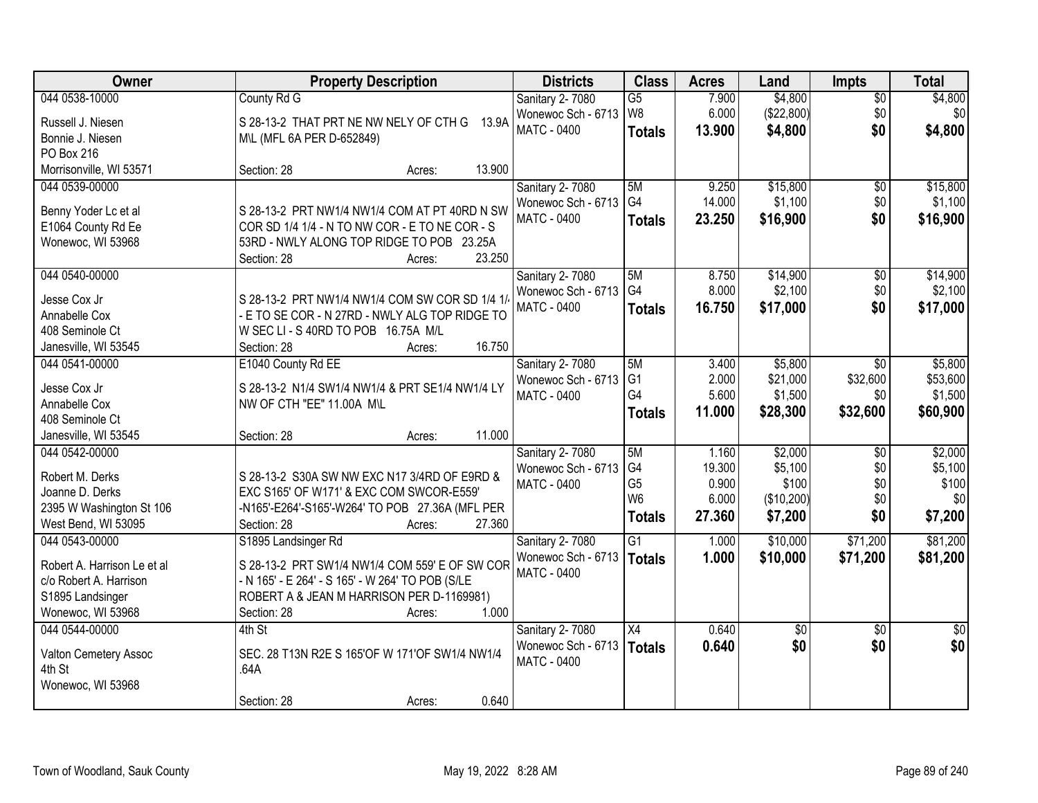| Owner                       | <b>Property Description</b>                      | <b>Districts</b>       | <b>Class</b>    | <b>Acres</b> | Land       | Impts           | <b>Total</b>    |
|-----------------------------|--------------------------------------------------|------------------------|-----------------|--------------|------------|-----------------|-----------------|
| 044 0538-10000              | County Rd G                                      | Sanitary 2-7080        | $\overline{G5}$ | 7.900        | \$4,800    | $\overline{50}$ | \$4,800         |
| Russell J. Niesen           | S 28-13-2 THAT PRT NE NW NELY OF CTH G 13.9A     | Wonewoc Sch - 6713     | W <sub>8</sub>  | 6.000        | (\$22,800) | \$0             | \$0             |
| Bonnie J. Niesen            | M\L (MFL 6A PER D-652849)                        | <b>MATC - 0400</b>     | <b>Totals</b>   | 13.900       | \$4,800    | \$0             | \$4,800         |
| PO Box 216                  |                                                  |                        |                 |              |            |                 |                 |
| Morrisonville, WI 53571     | 13.900<br>Section: 28<br>Acres:                  |                        |                 |              |            |                 |                 |
| 044 0539-00000              |                                                  | Sanitary 2-7080        | 5M              | 9.250        | \$15,800   | $\overline{50}$ | \$15,800        |
|                             |                                                  | Wonewoc Sch - 6713     | G4              | 14.000       | \$1,100    | \$0             | \$1,100         |
| Benny Yoder Lc et al        | S 28-13-2 PRT NW1/4 NW1/4 COM AT PT 40RD N SW    | <b>MATC - 0400</b>     | <b>Totals</b>   | 23.250       | \$16,900   | \$0             | \$16,900        |
| E1064 County Rd Ee          | COR SD 1/4 1/4 - N TO NW COR - E TO NE COR - S   |                        |                 |              |            |                 |                 |
| Wonewoc, WI 53968           | 53RD - NWLY ALONG TOP RIDGE TO POB 23.25A        |                        |                 |              |            |                 |                 |
|                             | 23.250<br>Section: 28<br>Acres:                  |                        |                 |              |            |                 |                 |
| 044 0540-00000              |                                                  | Sanitary 2-7080        | 5M              | 8.750        | \$14,900   | \$0             | \$14,900        |
| Jesse Cox Jr                | S 28-13-2 PRT NW1/4 NW1/4 COM SW COR SD 1/4 1/   | Wonewoc Sch - 6713     | G <sub>4</sub>  | 8.000        | \$2,100    | \$0             | \$2,100         |
| Annabelle Cox               | - E TO SE COR - N 27RD - NWLY ALG TOP RIDGE TO   | <b>MATC - 0400</b>     | <b>Totals</b>   | 16.750       | \$17,000   | \$0             | \$17,000        |
| 408 Seminole Ct             | W SEC LI - S 40RD TO POB 16.75A M/L              |                        |                 |              |            |                 |                 |
| Janesville, WI 53545        | 16.750<br>Section: 28<br>Acres:                  |                        |                 |              |            |                 |                 |
| 044 0541-00000              | E1040 County Rd EE                               | Sanitary 2-7080        | 5M              | 3.400        | \$5,800    | $\sqrt{6}$      | \$5,800         |
|                             |                                                  | Wonewoc Sch - 6713     | G <sub>1</sub>  | 2.000        | \$21,000   | \$32,600        | \$53,600        |
| Jesse Cox Jr                | S 28-13-2 N1/4 SW1/4 NW1/4 & PRT SE1/4 NW1/4 LY  | <b>MATC - 0400</b>     | G4              | 5.600        | \$1,500    | \$0             | \$1,500         |
| Annabelle Cox               | NW OF CTH "EE" 11.00A M\L                        |                        | <b>Totals</b>   | 11.000       | \$28,300   | \$32,600        | \$60,900        |
| 408 Seminole Ct             |                                                  |                        |                 |              |            |                 |                 |
| Janesville, WI 53545        | 11.000<br>Section: 28<br>Acres:                  |                        |                 |              |            |                 |                 |
| 044 0542-00000              |                                                  | Sanitary 2-7080        | 5M              | 1.160        | \$2,000    | \$0             | \$2,000         |
| Robert M. Derks             | S 28-13-2 S30A SW NW EXC N17 3/4RD OF E9RD &     | Wonewoc Sch - 6713     | G4              | 19.300       | \$5,100    | \$0             | \$5,100         |
| Joanne D. Derks             | EXC S165' OF W171' & EXC COM SWCOR-E559'         | <b>MATC - 0400</b>     | G <sub>5</sub>  | 0.900        | \$100      | \$0             | \$100           |
| 2395 W Washington St 106    | -N165'-E264'-S165'-W264' TO POB 27.36A (MFL PER  |                        | W <sub>6</sub>  | 6.000        | (\$10,200) | \$0             | \$0             |
| West Bend, WI 53095         | Section: 28<br>27.360<br>Acres:                  |                        | <b>Totals</b>   | 27.360       | \$7,200    | \$0             | \$7,200         |
| 044 0543-00000              | S1895 Landsinger Rd                              | Sanitary 2-7080        | G1              | 1.000        | \$10,000   | \$71,200        | \$81,200        |
|                             |                                                  | Wonewoc Sch - 6713     | <b>Totals</b>   | 1.000        | \$10,000   | \$71,200        | \$81,200        |
| Robert A. Harrison Le et al | S 28-13-2 PRT SW1/4 NW1/4 COM 559' E OF SW COR   | <b>MATC - 0400</b>     |                 |              |            |                 |                 |
| c/o Robert A. Harrison      | - N 165' - E 264' - S 165' - W 264' TO POB (S/LE |                        |                 |              |            |                 |                 |
| S1895 Landsinger            | ROBERT A & JEAN M HARRISON PER D-1169981)        |                        |                 |              |            |                 |                 |
| Wonewoc, WI 53968           | 1.000<br>Section: 28<br>Acres:                   |                        |                 |              |            |                 |                 |
| 044 0544-00000              | $4th$ St                                         | <b>Sanitary 2-7080</b> | X4              | 0.640        | \$0        | $\overline{50}$ | $\overline{50}$ |
| Valton Cemetery Assoc       | SEC. 28 T13N R2E S 165'OF W 171'OF SW1/4 NW1/4   | Wonewoc Sch - 6713     | <b>Totals</b>   | 0.640        | \$0        | \$0             | \$0             |
| 4th St                      | .64A                                             | <b>MATC - 0400</b>     |                 |              |            |                 |                 |
| Wonewoc, WI 53968           |                                                  |                        |                 |              |            |                 |                 |
|                             | 0.640<br>Section: 28<br>Acres:                   |                        |                 |              |            |                 |                 |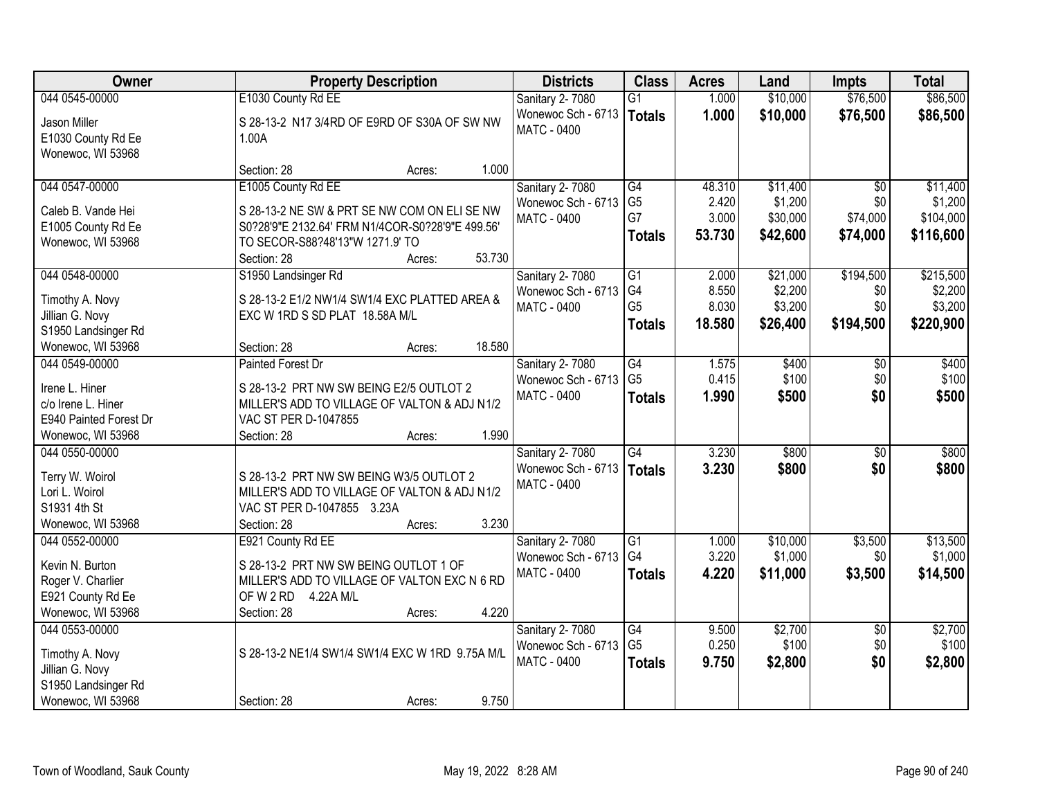| Owner                  | <b>Property Description</b>                      | <b>Districts</b>                  | <b>Class</b>          | <b>Acres</b>   | Land                | <b>Impts</b>    | <b>Total</b> |
|------------------------|--------------------------------------------------|-----------------------------------|-----------------------|----------------|---------------------|-----------------|--------------|
| 044 0545-00000         | E1030 County Rd EE                               | Sanitary 2-7080                   | $\overline{G1}$       | 1.000          | \$10,000            | \$76,500        | \$86,500     |
| Jason Miller           | S 28-13-2 N17 3/4RD OF E9RD OF S30A OF SW NW     | Wonewoc Sch - 6713                | Totals                | 1.000          | \$10,000            | \$76,500        | \$86,500     |
| E1030 County Rd Ee     | 1.00A                                            | <b>MATC - 0400</b>                |                       |                |                     |                 |              |
| Wonewoc, WI 53968      |                                                  |                                   |                       |                |                     |                 |              |
|                        | 1.000<br>Section: 28<br>Acres:                   |                                   |                       |                |                     |                 |              |
| 044 0547-00000         | E1005 County Rd EE                               | Sanitary 2-7080                   | G4                    | 48.310         | \$11,400            | $\overline{50}$ | \$11,400     |
| Caleb B. Vande Hei     | S 28-13-2 NE SW & PRT SE NW COM ON ELI SE NW     | Wonewoc Sch - 6713                | G <sub>5</sub>        | 2.420          | \$1,200             | \$0             | \$1,200      |
| E1005 County Rd Ee     | S0?28'9"E 2132.64' FRM N1/4COR-S0?28'9"E 499.56' | <b>MATC - 0400</b>                | G7                    | 3.000          | \$30,000            | \$74,000        | \$104,000    |
| Wonewoc, WI 53968      | TO SECOR-S88?48'13"W 1271.9' TO                  |                                   | <b>Totals</b>         | 53.730         | \$42,600            | \$74,000        | \$116,600    |
|                        | 53.730<br>Section: 28<br>Acres:                  |                                   |                       |                |                     |                 |              |
| 044 0548-00000         | S1950 Landsinger Rd                              | Sanitary 2-7080                   | G1                    | 2.000          | \$21,000            | \$194,500       | \$215,500    |
| Timothy A. Novy        | S 28-13-2 E1/2 NW1/4 SW1/4 EXC PLATTED AREA &    | Wonewoc Sch - 6713                | G <sub>4</sub>        | 8.550          | \$2,200             | \$0             | \$2,200      |
| Jillian G. Novy        | EXC W 1RD S SD PLAT 18.58A M/L                   | MATC - 0400                       | G <sub>5</sub>        | 8.030          | \$3,200             | \$0             | \$3,200      |
| S1950 Landsinger Rd    |                                                  |                                   | <b>Totals</b>         | 18.580         | \$26,400            | \$194,500       | \$220,900    |
| Wonewoc, WI 53968      | 18.580<br>Section: 28<br>Acres:                  |                                   |                       |                |                     |                 |              |
| 044 0549-00000         | <b>Painted Forest Dr</b>                         | Sanitary 2-7080                   | G4                    | 1.575          | \$400               | \$0             | \$400        |
| Irene L. Hiner         | S 28-13-2 PRT NW SW BEING E2/5 OUTLOT 2          | Wonewoc Sch - 6713                | G <sub>5</sub>        | 0.415          | \$100               | \$0             | \$100        |
| c/o Irene L. Hiner     | MILLER'S ADD TO VILLAGE OF VALTON & ADJ N1/2     | <b>MATC - 0400</b>                | <b>Totals</b>         | 1.990          | \$500               | \$0             | \$500        |
| E940 Painted Forest Dr | VAC ST PER D-1047855                             |                                   |                       |                |                     |                 |              |
| Wonewoc, WI 53968      | 1.990<br>Section: 28<br>Acres:                   |                                   |                       |                |                     |                 |              |
| 044 0550-00000         |                                                  | Sanitary 2-7080                   | $\overline{G4}$       | 3.230          | \$800               | $\overline{30}$ | \$800        |
|                        |                                                  | Wonewoc Sch - 6713                | Totals                | 3.230          | \$800               | \$0             | \$800        |
| Terry W. Woirol        | S 28-13-2 PRT NW SW BEING W3/5 OUTLOT 2          | MATC - 0400                       |                       |                |                     |                 |              |
| Lori L. Woirol         | MILLER'S ADD TO VILLAGE OF VALTON & ADJ N1/2     |                                   |                       |                |                     |                 |              |
| S1931 4th St           | VAC ST PER D-1047855 3.23A                       |                                   |                       |                |                     |                 |              |
| Wonewoc, WI 53968      | Section: 28<br>3.230<br>Acres:                   |                                   |                       |                |                     |                 |              |
| 044 0552-00000         | E921 County Rd EE                                | Sanitary 2-7080                   | $\overline{G1}$<br>G4 | 1.000<br>3.220 | \$10,000<br>\$1,000 | \$3,500         | \$13,500     |
| Kevin N. Burton        | S 28-13-2 PRT NW SW BEING OUTLOT 1 OF            | Wonewoc Sch - 6713<br>MATC - 0400 |                       |                |                     | \$0             | \$1,000      |
| Roger V. Charlier      | MILLER'S ADD TO VILLAGE OF VALTON EXC N 6 RD     |                                   | <b>Totals</b>         | 4.220          | \$11,000            | \$3,500         | \$14,500     |
| E921 County Rd Ee      | OF W 2 RD 4.22A M/L                              |                                   |                       |                |                     |                 |              |
| Wonewoc, WI 53968      | 4.220<br>Section: 28<br>Acres:                   |                                   |                       |                |                     |                 |              |
| 044 0553-00000         |                                                  | Sanitary 2-7080                   | G4                    | 9.500          | \$2,700             | $\overline{50}$ | \$2,700      |
| Timothy A. Novy        | S 28-13-2 NE1/4 SW1/4 SW1/4 EXC W 1RD 9.75A M/L  | Wonewoc Sch - 6713                | G <sub>5</sub>        | 0.250          | \$100               | \$0             | \$100        |
| Jillian G. Novy        |                                                  | MATC - 0400                       | <b>Totals</b>         | 9.750          | \$2,800             | \$0             | \$2,800      |
| S1950 Landsinger Rd    |                                                  |                                   |                       |                |                     |                 |              |
| Wonewoc, WI 53968      | 9.750<br>Section: 28<br>Acres:                   |                                   |                       |                |                     |                 |              |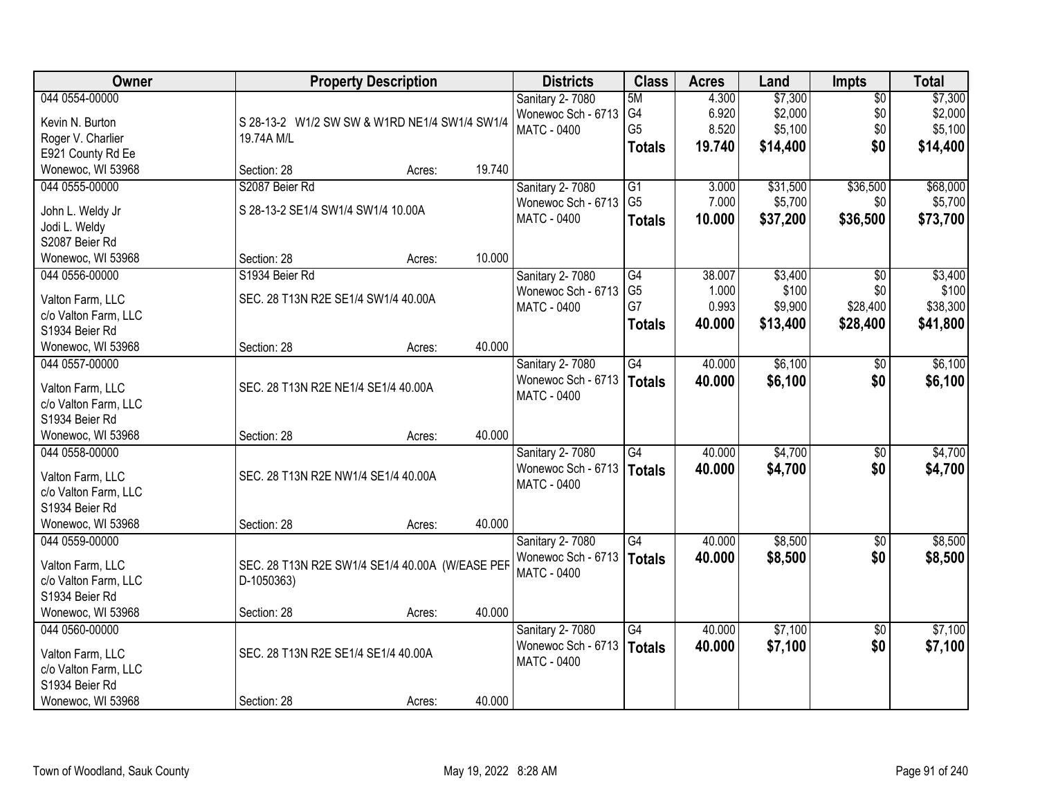| Owner                               | <b>Property Description</b>                     |        |        | <b>Districts</b>                  | <b>Class</b>    | <b>Acres</b> | Land     | <b>Impts</b>    | <b>Total</b> |
|-------------------------------------|-------------------------------------------------|--------|--------|-----------------------------------|-----------------|--------------|----------|-----------------|--------------|
| 044 0554-00000                      |                                                 |        |        | Sanitary 2-7080                   | 5M              | 4.300        | \$7,300  | $\overline{50}$ | \$7,300      |
| Kevin N. Burton                     | S 28-13-2 W1/2 SW SW & W1RD NE1/4 SW1/4 SW1/4   |        |        | Wonewoc Sch - 6713                | G4              | 6.920        | \$2,000  | \$0             | \$2,000      |
| Roger V. Charlier                   | 19.74A M/L                                      |        |        | MATC - 0400                       | G <sub>5</sub>  | 8.520        | \$5,100  | \$0             | \$5,100      |
| E921 County Rd Ee                   |                                                 |        |        |                                   | <b>Totals</b>   | 19.740       | \$14,400 | \$0             | \$14,400     |
| Wonewoc, WI 53968                   | Section: 28                                     | Acres: | 19.740 |                                   |                 |              |          |                 |              |
| 044 0555-00000                      | S2087 Beier Rd                                  |        |        | Sanitary 2-7080                   | $\overline{G1}$ | 3.000        | \$31,500 | \$36,500        | \$68,000     |
|                                     |                                                 |        |        | Wonewoc Sch - 6713                | G <sub>5</sub>  | 7.000        | \$5,700  | \$0             | \$5,700      |
| John L. Weldy Jr                    | S 28-13-2 SE1/4 SW1/4 SW1/4 10.00A              |        |        | <b>MATC - 0400</b>                | <b>Totals</b>   | 10.000       | \$37,200 | \$36,500        | \$73,700     |
| Jodi L. Weldy<br>S2087 Beier Rd     |                                                 |        |        |                                   |                 |              |          |                 |              |
| Wonewoc, WI 53968                   | Section: 28                                     | Acres: | 10.000 |                                   |                 |              |          |                 |              |
| 044 0556-00000                      | S1934 Beier Rd                                  |        |        | <b>Sanitary 2-7080</b>            | G4              | 38.007       | \$3,400  | $\sqrt{50}$     | \$3,400      |
|                                     |                                                 |        |        | Wonewoc Sch - 6713                | G <sub>5</sub>  | 1.000        | \$100    | \$0             | \$100        |
| Valton Farm, LLC                    | SEC. 28 T13N R2E SE1/4 SW1/4 40.00A             |        |        | MATC - 0400                       | G7              | 0.993        | \$9,900  | \$28,400        | \$38,300     |
| c/o Valton Farm, LLC                |                                                 |        |        |                                   | <b>Totals</b>   | 40.000       | \$13,400 | \$28,400        | \$41,800     |
| S1934 Beier Rd                      |                                                 |        |        |                                   |                 |              |          |                 |              |
| Wonewoc, WI 53968                   | Section: 28                                     | Acres: | 40.000 |                                   |                 |              |          |                 |              |
| 044 0557-00000                      |                                                 |        |        | Sanitary 2-7080                   | G4              | 40.000       | \$6,100  | \$0             | \$6,100      |
| Valton Farm, LLC                    | SEC. 28 T13N R2E NE1/4 SE1/4 40.00A             |        |        | Wonewoc Sch - 6713                | Totals          | 40.000       | \$6,100  | \$0             | \$6,100      |
| c/o Valton Farm, LLC                |                                                 |        |        | MATC - 0400                       |                 |              |          |                 |              |
| S1934 Beier Rd                      |                                                 |        |        |                                   |                 |              |          |                 |              |
| Wonewoc, WI 53968                   | Section: 28                                     | Acres: | 40.000 |                                   |                 |              |          |                 |              |
| 044 0558-00000                      |                                                 |        |        | Sanitary 2-7080                   | $\overline{G4}$ | 40.000       | \$4,700  | \$0             | \$4,700      |
|                                     |                                                 |        |        | Wonewoc Sch - 6713                | Totals          | 40.000       | \$4,700  | \$0             | \$4,700      |
| Valton Farm, LLC                    | SEC. 28 T13N R2E NW1/4 SE1/4 40.00A             |        |        | <b>MATC - 0400</b>                |                 |              |          |                 |              |
| c/o Valton Farm, LLC                |                                                 |        |        |                                   |                 |              |          |                 |              |
| S1934 Beier Rd<br>Wonewoc, WI 53968 |                                                 |        | 40.000 |                                   |                 |              |          |                 |              |
| 044 0559-00000                      | Section: 28                                     | Acres: |        |                                   | $\overline{G4}$ | 40.000       | \$8,500  |                 | \$8,500      |
|                                     |                                                 |        |        | Sanitary 2-7080                   |                 |              |          | $\overline{60}$ |              |
| Valton Farm, LLC                    | SEC. 28 T13N R2E SW1/4 SE1/4 40.00A (W/EASE PEF |        |        | Wonewoc Sch - 6713<br>MATC - 0400 | Totals          | 40.000       | \$8,500  | \$0             | \$8,500      |
| c/o Valton Farm, LLC                | D-1050363)                                      |        |        |                                   |                 |              |          |                 |              |
| S1934 Beier Rd                      |                                                 |        |        |                                   |                 |              |          |                 |              |
| Wonewoc, WI 53968                   | Section: 28                                     | Acres: | 40.000 |                                   |                 |              |          |                 |              |
| 044 0560-00000                      |                                                 |        |        | Sanitary 2-7080                   | G4              | 40.000       | \$7,100  | \$0             | \$7,100      |
| Valton Farm, LLC                    | SEC. 28 T13N R2E SE1/4 SE1/4 40.00A             |        |        | Wonewoc Sch - 6713                | Totals          | 40.000       | \$7,100  | \$0             | \$7,100      |
| c/o Valton Farm, LLC                |                                                 |        |        | MATC - 0400                       |                 |              |          |                 |              |
| S1934 Beier Rd                      |                                                 |        |        |                                   |                 |              |          |                 |              |
| Wonewoc, WI 53968                   | Section: 28                                     | Acres: | 40.000 |                                   |                 |              |          |                 |              |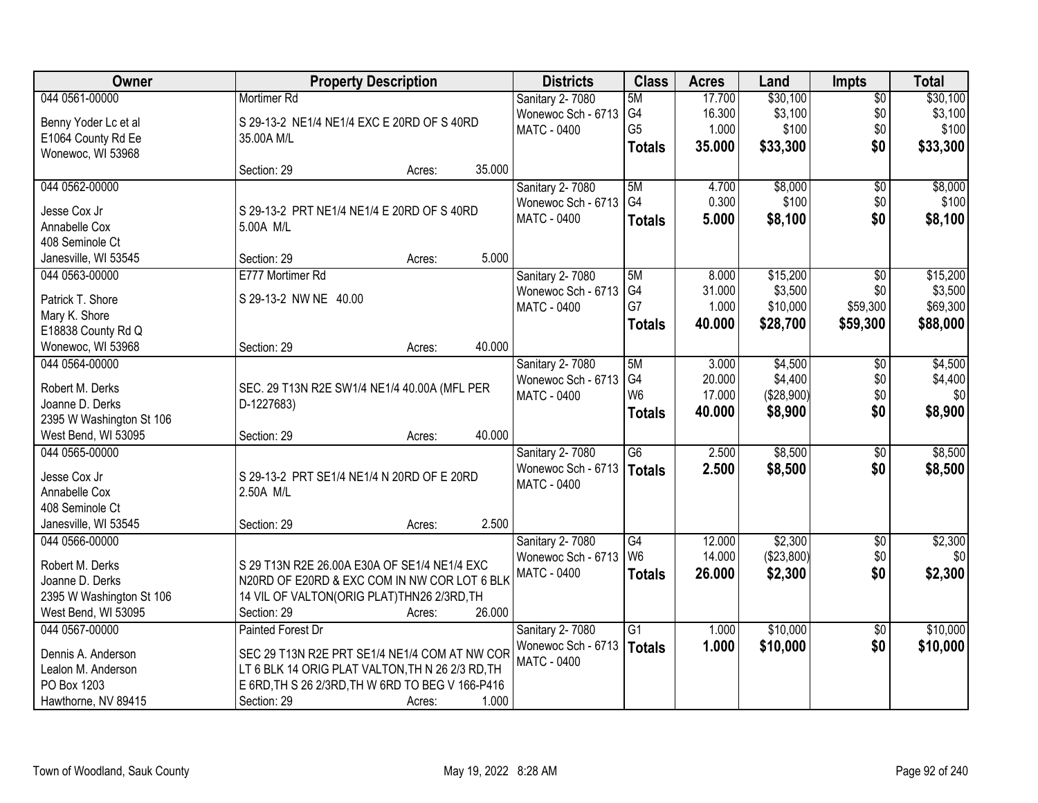| Owner                            | <b>Property Description</b>                      | <b>Districts</b>                             | <b>Class</b>    | <b>Acres</b> | Land       | <b>Impts</b>    | <b>Total</b> |
|----------------------------------|--------------------------------------------------|----------------------------------------------|-----------------|--------------|------------|-----------------|--------------|
| 044 0561-00000                   | Mortimer Rd                                      | Sanitary 2-7080                              | 5M              | 17.700       | \$30,100   | $\overline{50}$ | \$30,100     |
| Benny Yoder Lc et al             | S 29-13-2 NE1/4 NE1/4 EXC E 20RD OF S 40RD       | Wonewoc Sch - 6713                           | G4              | 16.300       | \$3,100    | \$0             | \$3,100      |
| E1064 County Rd Ee               | 35.00A M/L                                       | <b>MATC - 0400</b>                           | G <sub>5</sub>  | 1.000        | \$100      | \$0             | \$100        |
| Wonewoc, WI 53968                |                                                  |                                              | <b>Totals</b>   | 35.000       | \$33,300   | \$0             | \$33,300     |
|                                  | 35.000<br>Section: 29<br>Acres:                  |                                              |                 |              |            |                 |              |
| 044 0562-00000                   |                                                  | <b>Sanitary 2-7080</b>                       | 5M              | 4.700        | \$8,000    | $\overline{50}$ | \$8,000      |
|                                  |                                                  | Wonewoc Sch - 6713                           | G4              | 0.300        | \$100      | \$0             | \$100        |
| Jesse Cox Jr                     | S 29-13-2 PRT NE1/4 NE1/4 E 20RD OF S 40RD       | MATC - 0400                                  | <b>Totals</b>   | 5.000        | \$8,100    | \$0             | \$8,100      |
| Annabelle Cox<br>408 Seminole Ct | 5.00A M/L                                        |                                              |                 |              |            |                 |              |
| Janesville, WI 53545             | 5.000<br>Section: 29                             |                                              |                 |              |            |                 |              |
| 044 0563-00000                   | Acres:<br>E777 Mortimer Rd                       |                                              | 5M              | 8.000        | \$15,200   | $\sqrt{6}$      | \$15,200     |
|                                  |                                                  | <b>Sanitary 2-7080</b><br>Wonewoc Sch - 6713 | G <sub>4</sub>  | 31.000       | \$3,500    | \$0             | \$3,500      |
| Patrick T. Shore                 | S 29-13-2 NW NE 40.00                            | <b>MATC - 0400</b>                           | G7              | 1.000        | \$10,000   | \$59,300        | \$69,300     |
| Mary K. Shore                    |                                                  |                                              |                 | 40.000       |            |                 |              |
| E18838 County Rd Q               |                                                  |                                              | <b>Totals</b>   |              | \$28,700   | \$59,300        | \$88,000     |
| Wonewoc, WI 53968                | 40.000<br>Section: 29<br>Acres:                  |                                              |                 |              |            |                 |              |
| 044 0564-00000                   |                                                  | Sanitary 2-7080                              | 5M              | 3.000        | \$4,500    | \$0             | \$4,500      |
| Robert M. Derks                  | SEC. 29 T13N R2E SW1/4 NE1/4 40.00A (MFL PER     | Wonewoc Sch - 6713                           | G4              | 20.000       | \$4,400    | \$0             | \$4,400      |
| Joanne D. Derks                  | D-1227683)                                       | MATC - 0400                                  | W <sub>6</sub>  | 17.000       | (\$28,900) | \$0             | \$0          |
| 2395 W Washington St 106         |                                                  |                                              | <b>Totals</b>   | 40.000       | \$8,900    | \$0             | \$8,900      |
| West Bend, WI 53095              | 40.000<br>Section: 29<br>Acres:                  |                                              |                 |              |            |                 |              |
| 044 0565-00000                   |                                                  | Sanitary 2-7080                              | $\overline{G6}$ | 2.500        | \$8,500    | \$0             | \$8,500      |
|                                  |                                                  | Wonewoc Sch - 6713                           |                 | 2.500        | \$8,500    |                 |              |
| Jesse Cox Jr                     | S 29-13-2 PRT SE1/4 NE1/4 N 20RD OF E 20RD       | MATC - 0400                                  | Totals          |              |            | \$0             | \$8,500      |
| Annabelle Cox                    | 2.50A M/L                                        |                                              |                 |              |            |                 |              |
| 408 Seminole Ct                  |                                                  |                                              |                 |              |            |                 |              |
| Janesville, WI 53545             | 2.500<br>Section: 29<br>Acres:                   |                                              |                 |              |            |                 |              |
| 044 0566-00000                   |                                                  | Sanitary 2-7080                              | G4              | 12.000       | \$2,300    | $\overline{$0}$ | \$2,300      |
| Robert M. Derks                  | S 29 T13N R2E 26.00A E30A OF SE1/4 NE1/4 EXC     | Wonewoc Sch - 6713                           | W <sub>6</sub>  | 14.000       | (\$23,800) | \$0             | \$0          |
| Joanne D. Derks                  | N20RD OF E20RD & EXC COM IN NW COR LOT 6 BLK     | MATC - 0400                                  | <b>Totals</b>   | 26.000       | \$2,300    | \$0             | \$2,300      |
| 2395 W Washington St 106         | 14 VIL OF VALTON(ORIG PLAT)THN26 2/3RD, TH       |                                              |                 |              |            |                 |              |
| West Bend, WI 53095              | 26.000<br>Section: 29<br>Acres:                  |                                              |                 |              |            |                 |              |
| 044 0567-00000                   | Painted Forest Dr                                | Sanitary 2-7080                              | G1              | 1.000        | \$10,000   | $\overline{50}$ | \$10,000     |
|                                  |                                                  | Wonewoc Sch - 6713                           | <b>Totals</b>   | 1.000        | \$10,000   | \$0             | \$10,000     |
| Dennis A. Anderson               | SEC 29 T13N R2E PRT SE1/4 NE1/4 COM AT NW COR    | <b>MATC - 0400</b>                           |                 |              |            |                 |              |
| Lealon M. Anderson               | LT 6 BLK 14 ORIG PLAT VALTON, TH N 26 2/3 RD, TH |                                              |                 |              |            |                 |              |
| PO Box 1203                      | E 6RD, TH S 26 2/3RD, TH W 6RD TO BEG V 166-P416 |                                              |                 |              |            |                 |              |
| Hawthorne, NV 89415              | 1.000<br>Section: 29<br>Acres:                   |                                              |                 |              |            |                 |              |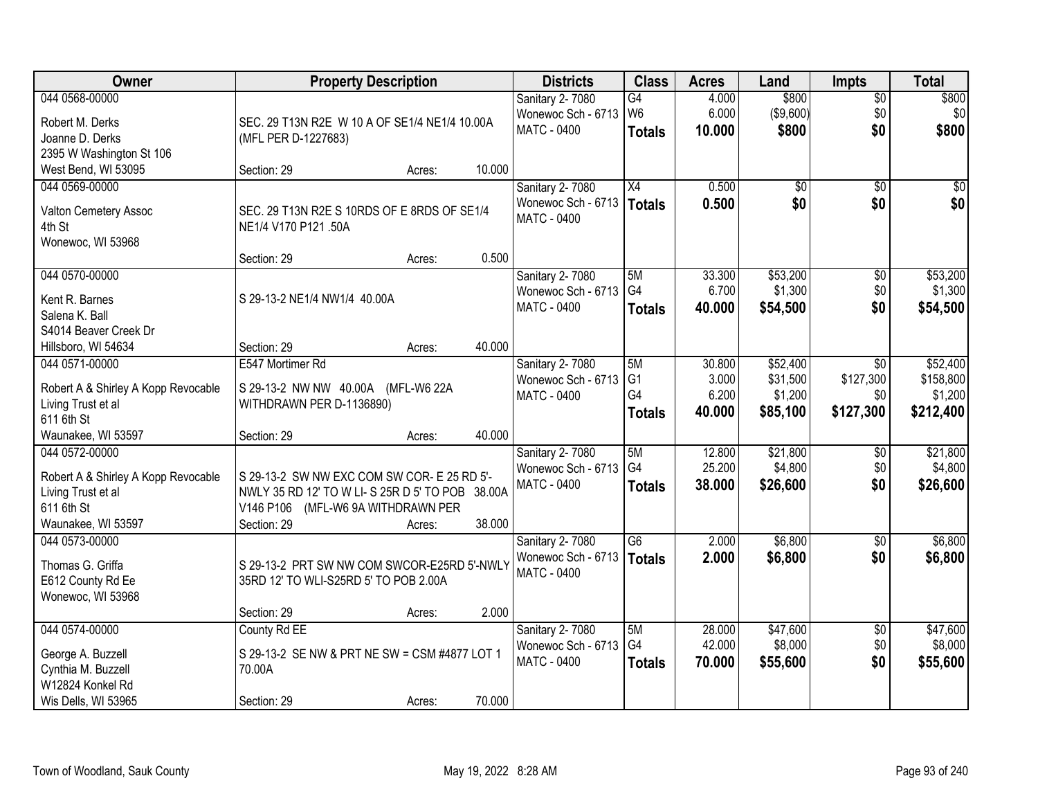| Owner                               | <b>Property Description</b>                     |                          |        | <b>Districts</b>       | <b>Class</b>   | <b>Acres</b> | Land            | <b>Impts</b>    | <b>Total</b> |
|-------------------------------------|-------------------------------------------------|--------------------------|--------|------------------------|----------------|--------------|-----------------|-----------------|--------------|
| 044 0568-00000                      |                                                 |                          |        | Sanitary 2-7080        | G4             | 4.000        | \$800           | $\sqrt{$0}$     | \$800        |
| Robert M. Derks                     | SEC. 29 T13N R2E W 10 A OF SE1/4 NE1/4 10.00A   |                          |        | Wonewoc Sch - 6713     | W <sub>6</sub> | 6.000        | (\$9,600)       | \$0             | \$0          |
| Joanne D. Derks                     | (MFL PER D-1227683)                             |                          |        | <b>MATC - 0400</b>     | <b>Totals</b>  | 10.000       | \$800           | \$0             | \$800        |
| 2395 W Washington St 106            |                                                 |                          |        |                        |                |              |                 |                 |              |
| West Bend, WI 53095                 | Section: 29                                     | Acres:                   | 10.000 |                        |                |              |                 |                 |              |
| 044 0569-00000                      |                                                 |                          |        | Sanitary 2-7080        | X4             | 0.500        | $\overline{50}$ | $\overline{50}$ | \$0          |
| Valton Cemetery Assoc               | SEC. 29 T13N R2E S 10RDS OF E 8RDS OF SE1/4     |                          |        | Wonewoc Sch - 6713     | Totals         | 0.500        | \$0             | \$0             | \$0          |
| 4th St                              | NE1/4 V170 P121 .50A                            |                          |        | <b>MATC - 0400</b>     |                |              |                 |                 |              |
| Wonewoc, WI 53968                   |                                                 |                          |        |                        |                |              |                 |                 |              |
|                                     | Section: 29                                     | Acres:                   | 0.500  |                        |                |              |                 |                 |              |
| 044 0570-00000                      |                                                 |                          |        | <b>Sanitary 2-7080</b> | 5M             | 33.300       | \$53,200        | \$0             | \$53,200     |
| Kent R. Barnes                      | S 29-13-2 NE1/4 NW1/4 40.00A                    |                          |        | Wonewoc Sch - 6713     | G <sub>4</sub> | 6.700        | \$1,300         | \$0             | \$1,300      |
| Salena K. Ball                      |                                                 |                          |        | <b>MATC - 0400</b>     | <b>Totals</b>  | 40.000       | \$54,500        | \$0             | \$54,500     |
| S4014 Beaver Creek Dr               |                                                 |                          |        |                        |                |              |                 |                 |              |
| Hillsboro, WI 54634                 | Section: 29                                     | Acres:                   | 40.000 |                        |                |              |                 |                 |              |
| 044 0571-00000                      | E547 Mortimer Rd                                |                          |        | Sanitary 2-7080        | 5M             | 30.800       | \$52,400        | $\sqrt[6]{}$    | \$52,400     |
|                                     |                                                 |                          |        | Wonewoc Sch - 6713     | G <sub>1</sub> | 3.000        | \$31,500        | \$127,300       | \$158,800    |
| Robert A & Shirley A Kopp Revocable | S 29-13-2 NW NW 40.00A (MFL-W6 22A              |                          |        | <b>MATC - 0400</b>     | G4             | 6.200        | \$1,200         | \$0             | \$1,200      |
| Living Trust et al                  | WITHDRAWN PER D-1136890)                        |                          |        |                        | <b>Totals</b>  | 40.000       | \$85,100        | \$127,300       | \$212,400    |
| 611 6th St<br>Waunakee, WI 53597    | Section: 29                                     |                          | 40.000 |                        |                |              |                 |                 |              |
| 044 0572-00000                      |                                                 | Acres:                   |        | Sanitary 2-7080        | 5M             | 12.800       | \$21,800        | \$0             | \$21,800     |
|                                     |                                                 |                          |        | Wonewoc Sch - 6713     | G4             | 25.200       | \$4,800         | \$0             | \$4,800      |
| Robert A & Shirley A Kopp Revocable | S 29-13-2 SW NW EXC COM SW COR- E 25 RD 5'-     |                          |        | MATC - 0400            | <b>Totals</b>  | 38.000       | \$26,600        | \$0             | \$26,600     |
| Living Trust et al                  | NWLY 35 RD 12' TO W LI-S 25R D 5' TO POB 38.00A |                          |        |                        |                |              |                 |                 |              |
| 611 6th St                          | V146 P106                                       | (MFL-W6 9A WITHDRAWN PER |        |                        |                |              |                 |                 |              |
| Waunakee, WI 53597                  | Section: 29                                     | Acres:                   | 38.000 |                        |                |              |                 |                 |              |
| 044 0573-00000                      |                                                 |                          |        | Sanitary 2-7080        | G6             | 2.000        | \$6,800         | \$0             | \$6,800      |
| Thomas G. Griffa                    | S 29-13-2 PRT SW NW COM SWCOR-E25RD 5'-NWLY     |                          |        | Wonewoc Sch - 6713     | Totals         | 2.000        | \$6,800         | \$0             | \$6,800      |
| E612 County Rd Ee                   | 35RD 12' TO WLI-S25RD 5' TO POB 2.00A           |                          |        | <b>MATC - 0400</b>     |                |              |                 |                 |              |
| Wonewoc, WI 53968                   |                                                 |                          |        |                        |                |              |                 |                 |              |
|                                     | Section: 29                                     | Acres:                   | 2.000  |                        |                |              |                 |                 |              |
| 044 0574-00000                      | County Rd EE                                    |                          |        | Sanitary 2-7080        | 5M             | 28.000       | \$47,600        | $\overline{60}$ | \$47,600     |
| George A. Buzzell                   | S 29-13-2 SE NW & PRT NE SW = CSM #4877 LOT 1   |                          |        | Wonewoc Sch - 6713     | G4             | 42.000       | \$8,000         | \$0             | \$8,000      |
| Cynthia M. Buzzell                  | 70.00A                                          |                          |        | MATC - 0400            | <b>Totals</b>  | 70.000       | \$55,600        | \$0             | \$55,600     |
| W12824 Konkel Rd                    |                                                 |                          |        |                        |                |              |                 |                 |              |
| Wis Dells, WI 53965                 | Section: 29                                     | Acres:                   | 70.000 |                        |                |              |                 |                 |              |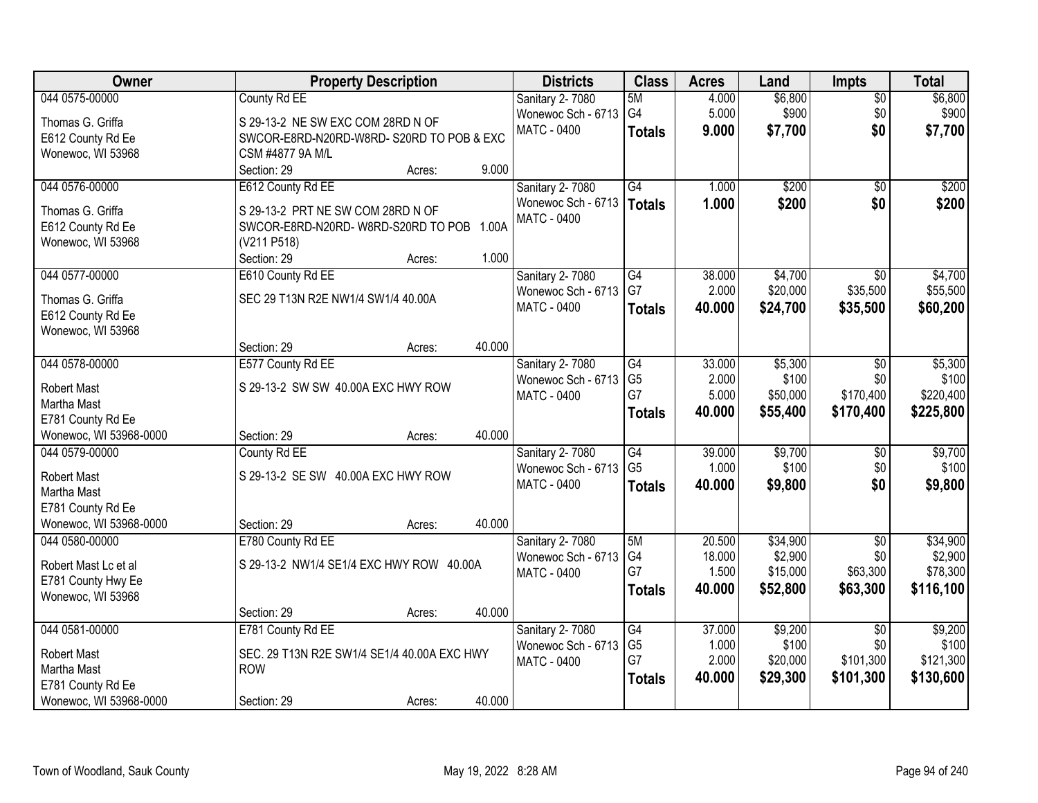| Owner                  | <b>Property Description</b>                 | <b>Districts</b>   | <b>Class</b>    | <b>Acres</b> | Land     | <b>Impts</b>    | <b>Total</b> |
|------------------------|---------------------------------------------|--------------------|-----------------|--------------|----------|-----------------|--------------|
| 044 0575-00000         | County Rd EE                                | Sanitary 2-7080    | 5M              | 4.000        | \$6,800  | $\overline{50}$ | \$6,800      |
| Thomas G. Griffa       | S 29-13-2 NE SW EXC COM 28RD N OF           | Wonewoc Sch - 6713 | G4              | 5.000        | \$900    | \$0             | \$900        |
| E612 County Rd Ee      | SWCOR-E8RD-N20RD-W8RD-S20RD TO POB & EXC    | <b>MATC - 0400</b> | <b>Totals</b>   | 9.000        | \$7,700  | \$0             | \$7,700      |
| Wonewoc, WI 53968      | CSM #4877 9A M/L                            |                    |                 |              |          |                 |              |
|                        | 9.000<br>Section: 29<br>Acres:              |                    |                 |              |          |                 |              |
| 044 0576-00000         | E612 County Rd EE                           | Sanitary 2-7080    | G4              | 1.000        | \$200    | $\overline{50}$ | \$200        |
| Thomas G. Griffa       | S 29-13-2 PRT NE SW COM 28RD N OF           | Wonewoc Sch - 6713 | <b>Totals</b>   | 1.000        | \$200    | \$0             | \$200        |
| E612 County Rd Ee      | SWCOR-E8RD-N20RD-W8RD-S20RD TO POB<br>1.00A | <b>MATC - 0400</b> |                 |              |          |                 |              |
| Wonewoc, WI 53968      | (V211 P518)                                 |                    |                 |              |          |                 |              |
|                        | 1.000<br>Section: 29<br>Acres:              |                    |                 |              |          |                 |              |
| 044 0577-00000         | E610 County Rd EE                           | Sanitary 2-7080    | $\overline{G4}$ | 38.000       | \$4,700  | $\overline{30}$ | \$4,700      |
| Thomas G. Griffa       | SEC 29 T13N R2E NW1/4 SW1/4 40.00A          | Wonewoc Sch - 6713 | G7              | 2.000        | \$20,000 | \$35,500        | \$55,500     |
| E612 County Rd Ee      |                                             | <b>MATC - 0400</b> | <b>Totals</b>   | 40.000       | \$24,700 | \$35,500        | \$60,200     |
| Wonewoc, WI 53968      |                                             |                    |                 |              |          |                 |              |
|                        | 40.000<br>Section: 29<br>Acres:             |                    |                 |              |          |                 |              |
| 044 0578-00000         | E577 County Rd EE                           | Sanitary 2-7080    | G4              | 33.000       | \$5,300  | \$0             | \$5,300      |
| <b>Robert Mast</b>     | S 29-13-2 SW SW 40.00A EXC HWY ROW          | Wonewoc Sch - 6713 | G <sub>5</sub>  | 2.000        | \$100    | \$0             | \$100        |
| Martha Mast            |                                             | <b>MATC - 0400</b> | G7              | 5.000        | \$50,000 | \$170,400       | \$220,400    |
| E781 County Rd Ee      |                                             |                    | <b>Totals</b>   | 40.000       | \$55,400 | \$170,400       | \$225,800    |
| Wonewoc, WI 53968-0000 | 40.000<br>Section: 29<br>Acres:             |                    |                 |              |          |                 |              |
| 044 0579-00000         | County Rd EE                                | Sanitary 2-7080    | $\overline{G4}$ | 39.000       | \$9,700  | \$0             | \$9,700      |
| <b>Robert Mast</b>     | S 29-13-2 SE SW 40.00A EXC HWY ROW          | Wonewoc Sch - 6713 | G <sub>5</sub>  | 1.000        | \$100    | \$0             | \$100        |
| Martha Mast            |                                             | MATC - 0400        | <b>Totals</b>   | 40.000       | \$9,800  | \$0             | \$9,800      |
| E781 County Rd Ee      |                                             |                    |                 |              |          |                 |              |
| Wonewoc, WI 53968-0000 | 40.000<br>Section: 29<br>Acres:             |                    |                 |              |          |                 |              |
| 044 0580-00000         | E780 County Rd EE                           | Sanitary 2-7080    | 5M              | 20.500       | \$34,900 | $\overline{50}$ | \$34,900     |
| Robert Mast Lc et al   | S 29-13-2 NW1/4 SE1/4 EXC HWY ROW 40.00A    | Wonewoc Sch - 6713 | G4              | 18.000       | \$2,900  | \$0             | \$2,900      |
| E781 County Hwy Ee     |                                             | MATC - 0400        | G7              | 1.500        | \$15,000 | \$63,300        | \$78,300     |
| Wonewoc, WI 53968      |                                             |                    | <b>Totals</b>   | 40.000       | \$52,800 | \$63,300        | \$116,100    |
|                        | 40.000<br>Section: 29<br>Acres:             |                    |                 |              |          |                 |              |
| 044 0581-00000         | E781 County Rd EE                           | Sanitary 2-7080    | G4              | 37.000       | \$9,200  | $\overline{30}$ | \$9,200      |
| Robert Mast            | SEC. 29 T13N R2E SW1/4 SE1/4 40.00A EXC HWY | Wonewoc Sch - 6713 | G <sub>5</sub>  | 1.000        | \$100    | \$0             | \$100        |
| Martha Mast            | <b>ROW</b>                                  | <b>MATC - 0400</b> | G7              | 2.000        | \$20,000 | \$101,300       | \$121,300    |
| E781 County Rd Ee      |                                             |                    | <b>Totals</b>   | 40.000       | \$29,300 | \$101,300       | \$130,600    |
| Wonewoc, WI 53968-0000 | 40.000<br>Section: 29<br>Acres:             |                    |                 |              |          |                 |              |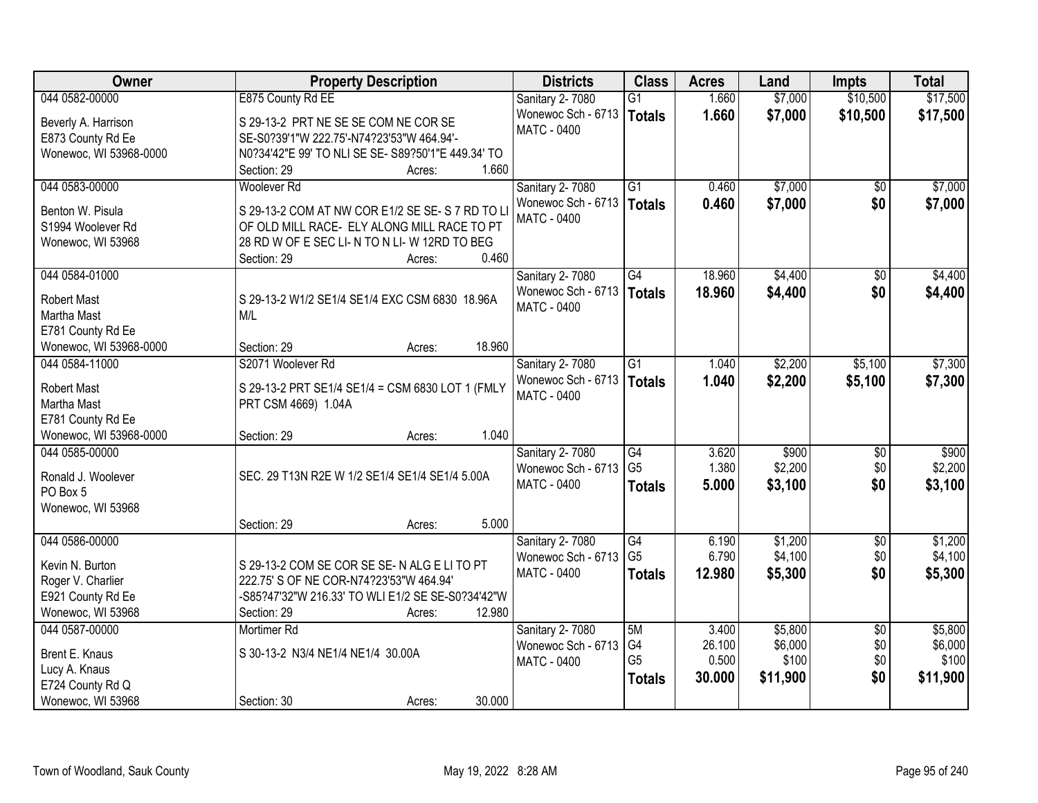| Owner                                 | <b>Property Description</b>                                                                    | <b>Districts</b>       | <b>Class</b>    | <b>Acres</b>    | Land               | <b>Impts</b>           | <b>Total</b>       |
|---------------------------------------|------------------------------------------------------------------------------------------------|------------------------|-----------------|-----------------|--------------------|------------------------|--------------------|
| 044 0582-00000                        | E875 County Rd EE                                                                              | Sanitary 2-7080        | $\overline{G1}$ | 1.660           | \$7,000            | \$10,500               | \$17,500           |
| Beverly A. Harrison                   | S 29-13-2 PRT NE SE SE COM NE COR SE                                                           | Wonewoc Sch - 6713     | <b>Totals</b>   | 1.660           | \$7,000            | \$10,500               | \$17,500           |
| E873 County Rd Ee                     | SE-S0?39'1"W 222.75'-N74?23'53"W 464.94'-                                                      | <b>MATC - 0400</b>     |                 |                 |                    |                        |                    |
| Wonewoc, WI 53968-0000                | N0?34'42"E 99' TO NLI SE SE- S89?50'1"E 449.34' TO                                             |                        |                 |                 |                    |                        |                    |
|                                       | 1.660<br>Section: 29<br>Acres:                                                                 |                        |                 |                 |                    |                        |                    |
| 044 0583-00000                        | Woolever <sub>Rd</sub>                                                                         | Sanitary 2-7080        | $\overline{G1}$ | 0.460           | \$7,000            | $\overline{50}$        | \$7,000            |
|                                       |                                                                                                | Wonewoc Sch - 6713     | <b>Totals</b>   | 0.460           | \$7,000            | \$0                    | \$7,000            |
| Benton W. Pisula<br>S1994 Woolever Rd | S 29-13-2 COM AT NW COR E1/2 SE SE-S 7 RD TO LI<br>OF OLD MILL RACE- ELY ALONG MILL RACE TO PT | <b>MATC - 0400</b>     |                 |                 |                    |                        |                    |
| Wonewoc, WI 53968                     | 28 RD W OF E SEC LI-N TO N LI-W 12RD TO BEG                                                    |                        |                 |                 |                    |                        |                    |
|                                       | 0.460<br>Section: 29<br>Acres:                                                                 |                        |                 |                 |                    |                        |                    |
| 044 0584-01000                        |                                                                                                | Sanitary 2-7080        | G4              | 18.960          | \$4,400            | \$0                    | \$4,400            |
|                                       |                                                                                                | Wonewoc Sch - 6713     | <b>Totals</b>   | 18.960          | \$4,400            | \$0                    | \$4,400            |
| <b>Robert Mast</b>                    | S 29-13-2 W1/2 SE1/4 SE1/4 EXC CSM 6830 18.96A                                                 | MATC - 0400            |                 |                 |                    |                        |                    |
| Martha Mast                           | M/L                                                                                            |                        |                 |                 |                    |                        |                    |
| E781 County Rd Ee                     |                                                                                                |                        |                 |                 |                    |                        |                    |
| Wonewoc, WI 53968-0000                | 18.960<br>Section: 29<br>Acres:                                                                |                        |                 |                 |                    |                        |                    |
| 044 0584-11000                        | S2071 Woolever Rd                                                                              | Sanitary 2-7080        | $\overline{G1}$ | 1.040           | \$2,200            | \$5,100                | \$7,300            |
| Robert Mast                           | S 29-13-2 PRT SE1/4 SE1/4 = CSM 6830 LOT 1 (FMLY                                               | Wonewoc Sch - 6713     | <b>Totals</b>   | 1.040           | \$2,200            | \$5,100                | \$7,300            |
| Martha Mast                           | PRT CSM 4669) 1.04A                                                                            | <b>MATC - 0400</b>     |                 |                 |                    |                        |                    |
| E781 County Rd Ee                     |                                                                                                |                        |                 |                 |                    |                        |                    |
| Wonewoc, WI 53968-0000                | 1.040<br>Section: 29<br>Acres:                                                                 |                        |                 |                 |                    |                        |                    |
| 044 0585-00000                        |                                                                                                | Sanitary 2-7080        | G4              | 3.620           | \$900              | $\overline{50}$        | \$900              |
| Ronald J. Woolever                    | SEC. 29 T13N R2E W 1/2 SE1/4 SE1/4 SE1/4 5.00A                                                 | Wonewoc Sch - 6713     | G <sub>5</sub>  | 1.380           | \$2,200            | \$0                    | \$2,200            |
| PO Box 5                              |                                                                                                | MATC - 0400            | <b>Totals</b>   | 5.000           | \$3,100            | \$0                    | \$3,100            |
| Wonewoc, WI 53968                     |                                                                                                |                        |                 |                 |                    |                        |                    |
|                                       | 5.000<br>Section: 29<br>Acres:                                                                 |                        |                 |                 |                    |                        |                    |
| 044 0586-00000                        |                                                                                                | Sanitary 2-7080        | G4              | 6.190           | \$1,200            | $\overline{50}$        | \$1,200            |
|                                       |                                                                                                | Wonewoc Sch - 6713     | G <sub>5</sub>  | 6.790           | \$4,100            | \$0                    | \$4,100            |
| Kevin N. Burton                       | S 29-13-2 COM SE COR SE SE-N ALG E LI TO PT                                                    | MATC - 0400            | <b>Totals</b>   | 12.980          | \$5,300            | \$0                    | \$5,300            |
| Roger V. Charlier                     | 222.75' S OF NE COR-N74?23'53"W 464.94'                                                        |                        |                 |                 |                    |                        |                    |
| E921 County Rd Ee                     | -S85?47'32"W 216.33' TO WLI E1/2 SE SE-S0?34'42"W                                              |                        |                 |                 |                    |                        |                    |
| Wonewoc, WI 53968                     | 12.980<br>Section: 29<br>Acres:                                                                |                        |                 |                 |                    |                        |                    |
| 044 0587-00000                        | Mortimer Rd                                                                                    | <b>Sanitary 2-7080</b> | 5M<br>G4        | 3.400<br>26.100 | \$5,800<br>\$6,000 | $\overline{50}$<br>\$0 | \$5,800<br>\$6,000 |
| Brent E. Knaus                        | S 30-13-2 N3/4 NE1/4 NE1/4 30.00A                                                              | Wonewoc Sch - 6713     | G <sub>5</sub>  | 0.500           | \$100              | \$0                    | \$100              |
| Lucy A. Knaus                         |                                                                                                | <b>MATC - 0400</b>     |                 | 30.000          |                    | \$0                    | \$11,900           |
| E724 County Rd Q                      |                                                                                                |                        | <b>Totals</b>   |                 | \$11,900           |                        |                    |
| Wonewoc, WI 53968                     | 30.000<br>Section: 30<br>Acres:                                                                |                        |                 |                 |                    |                        |                    |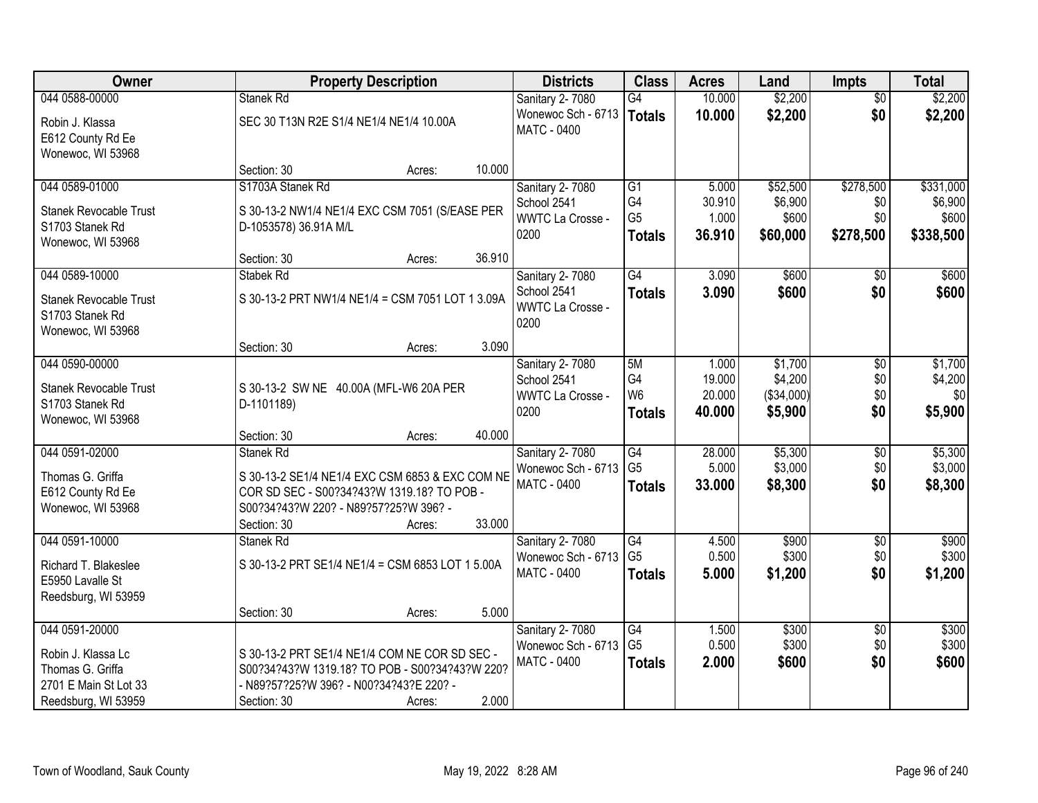| Owner                                                                                                    |                                                                                                                                                                    | <b>Property Description</b> |        | <b>Districts</b>                                                  | <b>Class</b>                                       | <b>Acres</b>                        | Land                                        | <b>Impts</b>                  | <b>Total</b>                         |
|----------------------------------------------------------------------------------------------------------|--------------------------------------------------------------------------------------------------------------------------------------------------------------------|-----------------------------|--------|-------------------------------------------------------------------|----------------------------------------------------|-------------------------------------|---------------------------------------------|-------------------------------|--------------------------------------|
| 044 0588-00000                                                                                           | Stanek Rd                                                                                                                                                          |                             |        | Sanitary 2-7080                                                   | G4                                                 | 10.000                              | \$2,200                                     | $\overline{50}$               | \$2,200                              |
| Robin J. Klassa<br>E612 County Rd Ee<br>Wonewoc, WI 53968                                                | SEC 30 T13N R2E S1/4 NE1/4 NE1/4 10.00A                                                                                                                            |                             |        | Wonewoc Sch - 6713<br><b>MATC - 0400</b>                          | Totals                                             | 10.000                              | \$2,200                                     | \$0                           | \$2,200                              |
|                                                                                                          | Section: 30                                                                                                                                                        | Acres:                      | 10.000 |                                                                   |                                                    |                                     |                                             |                               |                                      |
| 044 0589-01000                                                                                           | S1703A Stanek Rd                                                                                                                                                   |                             |        | Sanitary 2-7080                                                   | $\overline{G1}$                                    | 5.000                               | \$52,500                                    | \$278,500                     | \$331,000                            |
| Stanek Revocable Trust                                                                                   | S 30-13-2 NW1/4 NE1/4 EXC CSM 7051 (S/EASE PER                                                                                                                     |                             |        | School 2541<br>WWTC La Crosse -                                   | G4<br>G <sub>5</sub>                               | 30.910<br>1.000                     | \$6,900<br>\$600                            | \$0<br>\$0                    | \$6,900<br>\$600                     |
| S1703 Stanek Rd                                                                                          | D-1053578) 36.91A M/L                                                                                                                                              |                             |        | 0200                                                              | <b>Totals</b>                                      | 36.910                              | \$60,000                                    | \$278,500                     | \$338,500                            |
| Wonewoc, WI 53968                                                                                        | Section: 30                                                                                                                                                        | Acres:                      | 36.910 |                                                                   |                                                    |                                     |                                             |                               |                                      |
| 044 0589-10000                                                                                           | Stabek Rd                                                                                                                                                          |                             |        | Sanitary 2-7080                                                   | G4                                                 | 3.090                               | \$600                                       | \$0                           | \$600                                |
| <b>Stanek Revocable Trust</b><br>S1703 Stanek Rd<br>Wonewoc, WI 53968                                    | S 30-13-2 PRT NW1/4 NE1/4 = CSM 7051 LOT 1 3.09A                                                                                                                   |                             |        | School 2541<br>WWTC La Crosse -<br>0200                           | <b>Totals</b>                                      | 3.090                               | \$600                                       | \$0                           | \$600                                |
|                                                                                                          | Section: 30                                                                                                                                                        | Acres:                      | 3.090  |                                                                   |                                                    |                                     |                                             |                               |                                      |
| 044 0590-00000<br><b>Stanek Revocable Trust</b><br>S1703 Stanek Rd<br>Wonewoc, WI 53968                  | S 30-13-2 SW NE 40.00A (MFL-W6 20A PER<br>D-1101189)                                                                                                               |                             |        | Sanitary 2-7080<br>School 2541<br><b>WWTC La Crosse -</b><br>0200 | 5M<br>G4<br>W <sub>6</sub><br><b>Totals</b>        | 1.000<br>19.000<br>20.000<br>40.000 | \$1,700<br>\$4,200<br>(\$34,000)<br>\$5,900 | \$0<br>\$0<br>\$0<br>\$0      | \$1,700<br>\$4,200<br>\$0<br>\$5,900 |
|                                                                                                          | Section: 30                                                                                                                                                        | Acres:                      | 40.000 |                                                                   |                                                    |                                     |                                             |                               |                                      |
| 044 0591-02000<br>Thomas G. Griffa<br>E612 County Rd Ee<br>Wonewoc, WI 53968                             | Stanek Rd<br>S 30-13-2 SE1/4 NE1/4 EXC CSM 6853 & EXC COM NE<br>COR SD SEC - S00?34?43?W 1319.18? TO POB -<br>S00?34?43?W 220? - N89?57?25?W 396? -<br>Section: 30 | Acres:                      | 33.000 | Sanitary 2-7080<br>Wonewoc Sch - 6713<br><b>MATC - 0400</b>       | $\overline{G4}$<br>G <sub>5</sub><br><b>Totals</b> | 28.000<br>5.000<br>33.000           | \$5,300<br>\$3,000<br>\$8,300               | \$0<br>\$0<br>\$0             | \$5,300<br>\$3,000<br>\$8,300        |
| 044 0591-10000                                                                                           | Stanek Rd                                                                                                                                                          |                             |        | <b>Sanitary 2-7080</b>                                            | G4                                                 | 4.500                               | \$900                                       | $\overline{$0}$               | \$900                                |
| Richard T. Blakeslee<br>E5950 Lavalle St<br>Reedsburg, WI 53959                                          | S 30-13-2 PRT SE1/4 NE1/4 = CSM 6853 LOT 1 5.00A                                                                                                                   |                             |        | Wonewoc Sch - 6713<br>MATC - 0400                                 | G <sub>5</sub><br><b>Totals</b>                    | 0.500<br>5.000                      | \$300<br>\$1,200                            | \$0<br>\$0                    | \$300<br>\$1,200                     |
|                                                                                                          | Section: 30                                                                                                                                                        | Acres:                      | 5.000  |                                                                   |                                                    |                                     |                                             |                               |                                      |
| 044 0591-20000<br>Robin J. Klassa Lc<br>Thomas G. Griffa<br>2701 E Main St Lot 33<br>Reedsburg, WI 53959 | S 30-13-2 PRT SE1/4 NE1/4 COM NE COR SD SEC -<br>S00?34?43?W 1319.18? TO POB - S00?34?43?W 220?<br>- N89?57?25?W 396? - N00?34?43?E 220? -<br>Section: 30          | Acres:                      | 2.000  | Sanitary 2-7080<br>Wonewoc Sch - 6713<br>MATC - 0400              | G4<br>G <sub>5</sub><br><b>Totals</b>              | 1.500<br>0.500<br>2.000             | \$300<br>\$300<br>\$600                     | $\overline{60}$<br>\$0<br>\$0 | \$300<br>\$300<br>\$600              |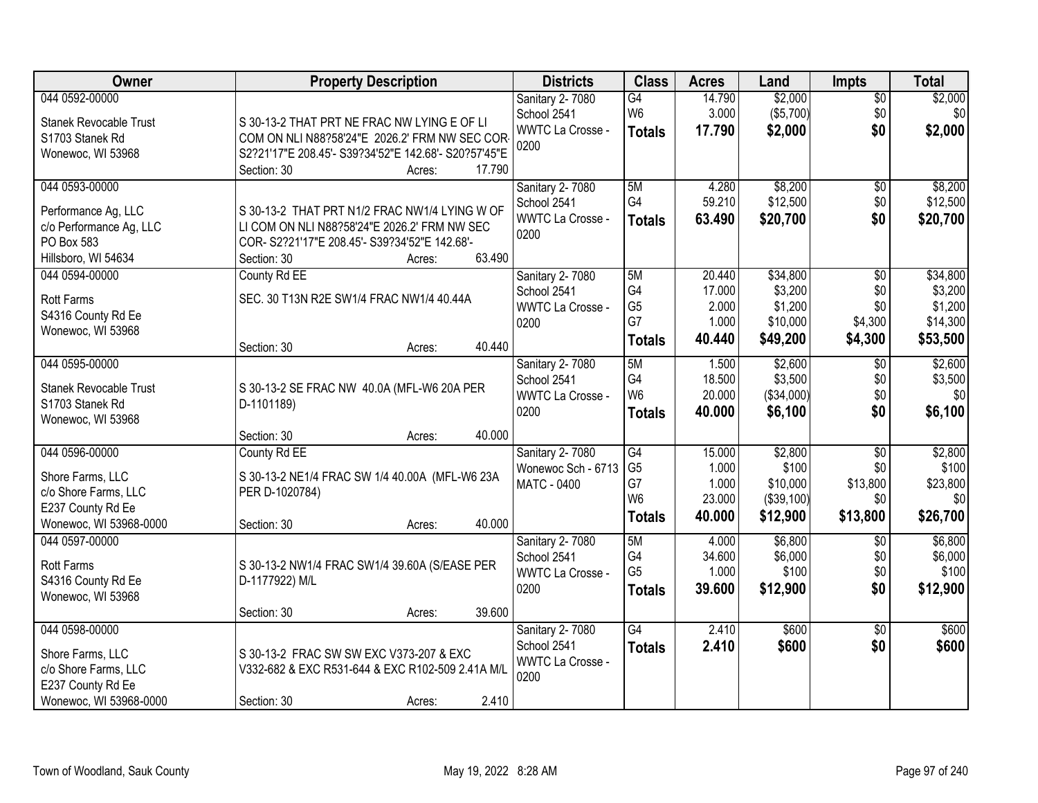| Owner                                   | <b>Property Description</b>                          | <b>Districts</b>        | <b>Class</b>         | <b>Acres</b> | Land       | <b>Impts</b>    | <b>Total</b> |
|-----------------------------------------|------------------------------------------------------|-------------------------|----------------------|--------------|------------|-----------------|--------------|
| 044 0592-00000                          |                                                      | Sanitary 2-7080         | $\overline{G4}$      | 14.790       | \$2,000    | $\overline{50}$ | \$2,000      |
| <b>Stanek Revocable Trust</b>           | S 30-13-2 THAT PRT NE FRAC NW LYING E OF LI          | School 2541             | W <sub>6</sub>       | 3.000        | (\$5,700)  | \$0             | \$0          |
| S1703 Stanek Rd                         | COM ON NLI N88?58'24"E 2026.2' FRM NW SEC COR-       | <b>WWTC La Crosse -</b> | <b>Totals</b>        | 17.790       | \$2,000    | \$0             | \$2,000      |
| Wonewoc, WI 53968                       | S2?21'17"E 208.45'- S39?34'52"E 142.68'- S20?57'45"E | 0200                    |                      |              |            |                 |              |
|                                         | Section: 30<br>17.790<br>Acres:                      |                         |                      |              |            |                 |              |
| 044 0593-00000                          |                                                      | <b>Sanitary 2-7080</b>  | 5M                   | 4.280        | \$8,200    | \$0             | \$8,200      |
| Performance Ag, LLC                     | S 30-13-2 THAT PRT N1/2 FRAC NW1/4 LYING W OF        | School 2541             | G4                   | 59.210       | \$12,500   | \$0             | \$12,500     |
| c/o Performance Ag, LLC                 | LI COM ON NLI N88?58'24"E 2026.2' FRM NW SEC         | <b>WWTC La Crosse -</b> | <b>Totals</b>        | 63.490       | \$20,700   | \$0             | \$20,700     |
| PO Box 583                              | COR-S2?21'17"E 208.45'-S39?34'52"E 142.68'-          | 0200                    |                      |              |            |                 |              |
| Hillsboro, WI 54634                     | 63.490<br>Section: 30<br>Acres:                      |                         |                      |              |            |                 |              |
| 044 0594-00000                          | County Rd EE                                         | Sanitary 2- 7080        | 5M                   | 20.440       | \$34,800   | $\overline{50}$ | \$34,800     |
|                                         | SEC. 30 T13N R2E SW1/4 FRAC NW1/4 40.44A             | School 2541             | G4                   | 17.000       | \$3,200    | \$0             | \$3,200      |
| <b>Rott Farms</b><br>S4316 County Rd Ee |                                                      | WWTC La Crosse -        | G <sub>5</sub>       | 2.000        | \$1,200    | \$0             | \$1,200      |
| Wonewoc, WI 53968                       |                                                      | 0200                    | G7                   | 1.000        | \$10,000   | \$4,300         | \$14,300     |
|                                         | 40.440<br>Section: 30<br>Acres:                      |                         | <b>Totals</b>        | 40.440       | \$49,200   | \$4,300         | \$53,500     |
| 044 0595-00000                          |                                                      | Sanitary 2-7080         | 5M                   | 1.500        | \$2,600    | \$0             | \$2,600      |
|                                         |                                                      | School 2541             | G4                   | 18.500       | \$3,500    | \$0             | \$3,500      |
| Stanek Revocable Trust                  | S 30-13-2 SE FRAC NW 40.0A (MFL-W6 20A PER           | <b>WWTC La Crosse -</b> | W <sub>6</sub>       | 20.000       | (\$34,000) | \$0             | \$0          |
| S1703 Stanek Rd                         | D-1101189)                                           | 0200                    | <b>Totals</b>        | 40.000       | \$6,100    | \$0             | \$6,100      |
| Wonewoc, WI 53968                       | 40.000<br>Section: 30<br>Acres:                      |                         |                      |              |            |                 |              |
| 044 0596-00000                          | County Rd EE                                         | Sanitary 2-7080         | G4                   | 15.000       | \$2,800    | $\overline{30}$ | \$2,800      |
|                                         |                                                      | Wonewoc Sch - 6713      | G <sub>5</sub>       | 1.000        | \$100      | \$0             | \$100        |
| Shore Farms, LLC                        | S 30-13-2 NE1/4 FRAC SW 1/4 40.00A (MFL-W6 23A       | <b>MATC - 0400</b>      | G7                   | 1.000        | \$10,000   | \$13,800        | \$23,800     |
| c/o Shore Farms, LLC                    | PER D-1020784)                                       |                         | W <sub>6</sub>       | 23.000       | (\$39,100) | \$0             | \$0          |
| E237 County Rd Ee                       |                                                      |                         | <b>Totals</b>        | 40.000       | \$12,900   | \$13,800        | \$26,700     |
| Wonewoc, WI 53968-0000                  | 40.000<br>Section: 30<br>Acres:                      |                         |                      |              |            |                 |              |
| 044 0597-00000                          |                                                      | Sanitary 2-7080         | 5M                   | 4.000        | \$6,800    | $\overline{50}$ | \$6,800      |
| <b>Rott Farms</b>                       | S 30-13-2 NW1/4 FRAC SW1/4 39.60A (S/EASE PER        | School 2541             | G4<br>G <sub>5</sub> | 34.600       | \$6,000    | \$0             | \$6,000      |
| S4316 County Rd Ee                      | D-1177922) M/L                                       | WWTC La Crosse -        |                      | 1.000        | \$100      | \$0             | \$100        |
| Wonewoc, WI 53968                       |                                                      | 0200                    | <b>Totals</b>        | 39.600       | \$12,900   | \$0             | \$12,900     |
|                                         | 39.600<br>Section: 30<br>Acres:                      |                         |                      |              |            |                 |              |
| 044 0598-00000                          |                                                      | <b>Sanitary 2-7080</b>  | $\overline{G4}$      | 2.410        | \$600      | $\overline{50}$ | \$600        |
| Shore Farms, LLC                        | S 30-13-2 FRAC SW SW EXC V373-207 & EXC              | School 2541             | <b>Totals</b>        | 2.410        | \$600      | \$0             | \$600        |
| c/o Shore Farms, LLC                    | V332-682 & EXC R531-644 & EXC R102-509 2.41A M/L     | WWTC La Crosse -        |                      |              |            |                 |              |
| E237 County Rd Ee                       |                                                      | 0200                    |                      |              |            |                 |              |
| Wonewoc, WI 53968-0000                  | 2.410<br>Section: 30<br>Acres:                       |                         |                      |              |            |                 |              |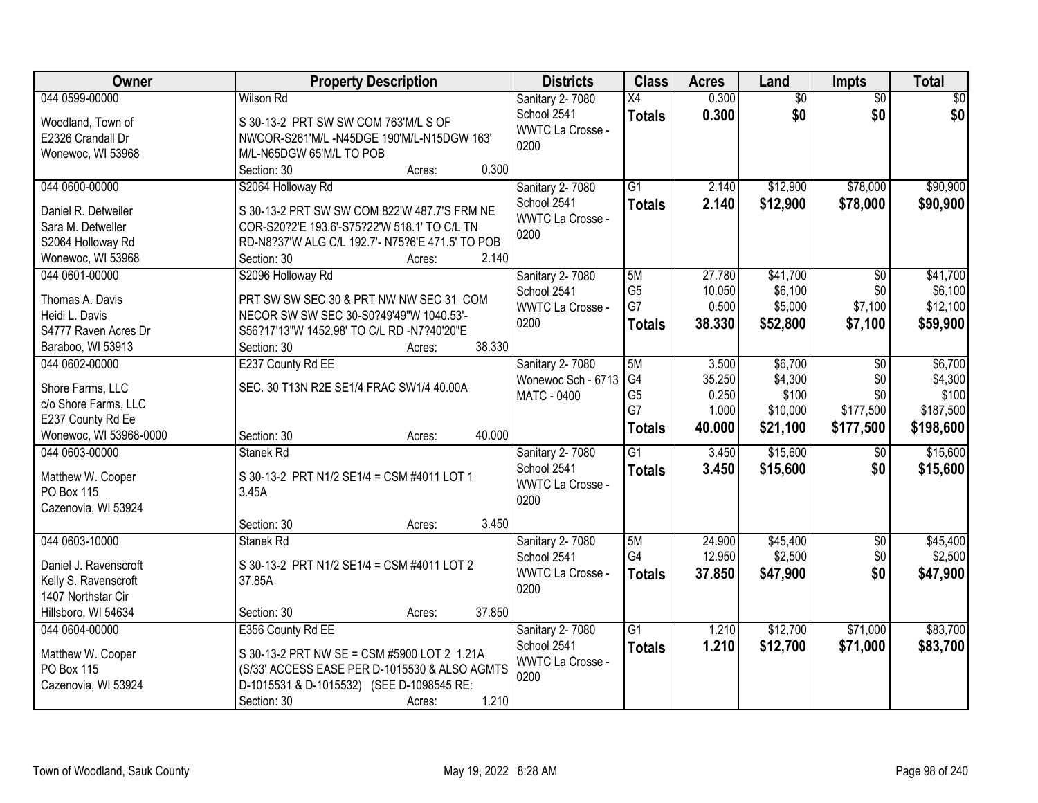| Owner                  | <b>Property Description</b>                      | <b>Districts</b>        | <b>Class</b>    | <b>Acres</b> | Land            | <b>Impts</b>    | <b>Total</b> |
|------------------------|--------------------------------------------------|-------------------------|-----------------|--------------|-----------------|-----------------|--------------|
| 044 0599-00000         | <b>Wilson Rd</b>                                 | Sanitary 2-7080         | $\overline{X4}$ | 0.300        | $\overline{50}$ | $\overline{50}$ | \$0          |
| Woodland, Town of      | S 30-13-2 PRT SW SW COM 763'M/L S OF             | School 2541             | <b>Totals</b>   | 0.300        | \$0             | \$0             | \$0          |
| E2326 Crandall Dr      | NWCOR-S261'M/L-N45DGE 190'M/L-N15DGW 163'        | <b>WWTC La Crosse -</b> |                 |              |                 |                 |              |
| Wonewoc, WI 53968      | M/L-N65DGW 65'M/L TO POB                         | 0200                    |                 |              |                 |                 |              |
|                        | 0.300<br>Section: 30<br>Acres:                   |                         |                 |              |                 |                 |              |
| 044 0600-00000         | S2064 Holloway Rd                                | Sanitary 2-7080         | $\overline{G1}$ | 2.140        | \$12,900        | \$78,000        | \$90,900     |
| Daniel R. Detweiler    | S 30-13-2 PRT SW SW COM 822'W 487.7'S FRM NE     | School 2541             | <b>Totals</b>   | 2.140        | \$12,900        | \$78,000        | \$90,900     |
| Sara M. Detweller      | COR-S20?2'E 193.6'-S75?22'W 518.1' TO C/L TN     | WWTC La Crosse -        |                 |              |                 |                 |              |
| S2064 Holloway Rd      | RD-N8?37'W ALG C/L 192.7'- N75?6'E 471.5' TO POB | 0200                    |                 |              |                 |                 |              |
| Wonewoc, WI 53968      | 2.140<br>Section: 30<br>Acres:                   |                         |                 |              |                 |                 |              |
| 044 0601-00000         | S2096 Holloway Rd                                | Sanitary 2- 7080        | 5M              | 27.780       | \$41,700        | $\sqrt{6}$      | \$41,700     |
|                        |                                                  | School 2541             | G <sub>5</sub>  | 10.050       | \$6,100         | \$0             | \$6,100      |
| Thomas A. Davis        | PRT SW SW SEC 30 & PRT NW NW SEC 31 COM          | WWTC La Crosse -        | G7              | 0.500        | \$5,000         | \$7,100         | \$12,100     |
| Heidi L. Davis         | NECOR SW SW SEC 30-S0?49'49"W 1040.53'-          | 0200                    | <b>Totals</b>   | 38.330       | \$52,800        | \$7,100         | \$59,900     |
| S4777 Raven Acres Dr   | S56?17'13"W 1452.98' TO C/L RD -N7?40'20"E       |                         |                 |              |                 |                 |              |
| Baraboo, WI 53913      | 38.330<br>Section: 30<br>Acres:                  |                         |                 |              |                 |                 |              |
| 044 0602-00000         | E237 County Rd EE                                | Sanitary 2-7080         | 5M              | 3.500        | \$6,700         | \$0             | \$6,700      |
| Shore Farms, LLC       | SEC. 30 T13N R2E SE1/4 FRAC SW1/4 40.00A         | Wonewoc Sch - 6713      | G4              | 35.250       | \$4,300         | \$0             | \$4,300      |
| c/o Shore Farms, LLC   |                                                  | MATC - 0400             | G <sub>5</sub>  | 0.250        | \$100           | \$0             | \$100        |
| E237 County Rd Ee      |                                                  |                         | G7              | 1.000        | \$10,000        | \$177,500       | \$187,500    |
| Wonewoc, WI 53968-0000 | 40.000<br>Section: 30<br>Acres:                  |                         | <b>Totals</b>   | 40.000       | \$21,100        | \$177,500       | \$198,600    |
| 044 0603-00000         | Stanek Rd                                        | Sanitary 2-7080         | $\overline{G1}$ | 3.450        | \$15,600        | $\sqrt[6]{}$    | \$15,600     |
| Matthew W. Cooper      | S 30-13-2 PRT N1/2 SE1/4 = CSM #4011 LOT 1       | School 2541             | <b>Totals</b>   | 3.450        | \$15,600        | \$0             | \$15,600     |
| <b>PO Box 115</b>      | 3.45A                                            | WWTC La Crosse -        |                 |              |                 |                 |              |
| Cazenovia, WI 53924    |                                                  | 0200                    |                 |              |                 |                 |              |
|                        | 3.450<br>Section: 30<br>Acres:                   |                         |                 |              |                 |                 |              |
| 044 0603-10000         | Stanek Rd                                        | Sanitary 2-7080         | 5M              | 24.900       | \$45,400        | $\overline{$0}$ | \$45,400     |
| Daniel J. Ravenscroft  | S 30-13-2 PRT N1/2 SE1/4 = CSM #4011 LOT 2       | School 2541             | G4              | 12.950       | \$2,500         | \$0             | \$2,500      |
| Kelly S. Ravenscroft   | 37.85A                                           | WWTC La Crosse -        | <b>Totals</b>   | 37.850       | \$47,900        | \$0             | \$47,900     |
| 1407 Northstar Cir     |                                                  | 0200                    |                 |              |                 |                 |              |
| Hillsboro, WI 54634    | 37.850<br>Section: 30<br>Acres:                  |                         |                 |              |                 |                 |              |
| 044 0604-00000         | E356 County Rd EE                                | Sanitary 2-7080         | $\overline{G1}$ | 1.210        | \$12,700        | \$71,000        | \$83,700     |
|                        |                                                  | School 2541             | <b>Totals</b>   | 1.210        | \$12,700        | \$71,000        | \$83,700     |
| Matthew W. Cooper      | S 30-13-2 PRT NW SE = CSM #5900 LOT 2 1.21A      | WWTC La Crosse -        |                 |              |                 |                 |              |
| PO Box 115             | (S/33' ACCESS EASE PER D-1015530 & ALSO AGMTS    | 0200                    |                 |              |                 |                 |              |
| Cazenovia, WI 53924    | D-1015531 & D-1015532) (SEE D-1098545 RE:        |                         |                 |              |                 |                 |              |
|                        | 1.210<br>Section: 30<br>Acres:                   |                         |                 |              |                 |                 |              |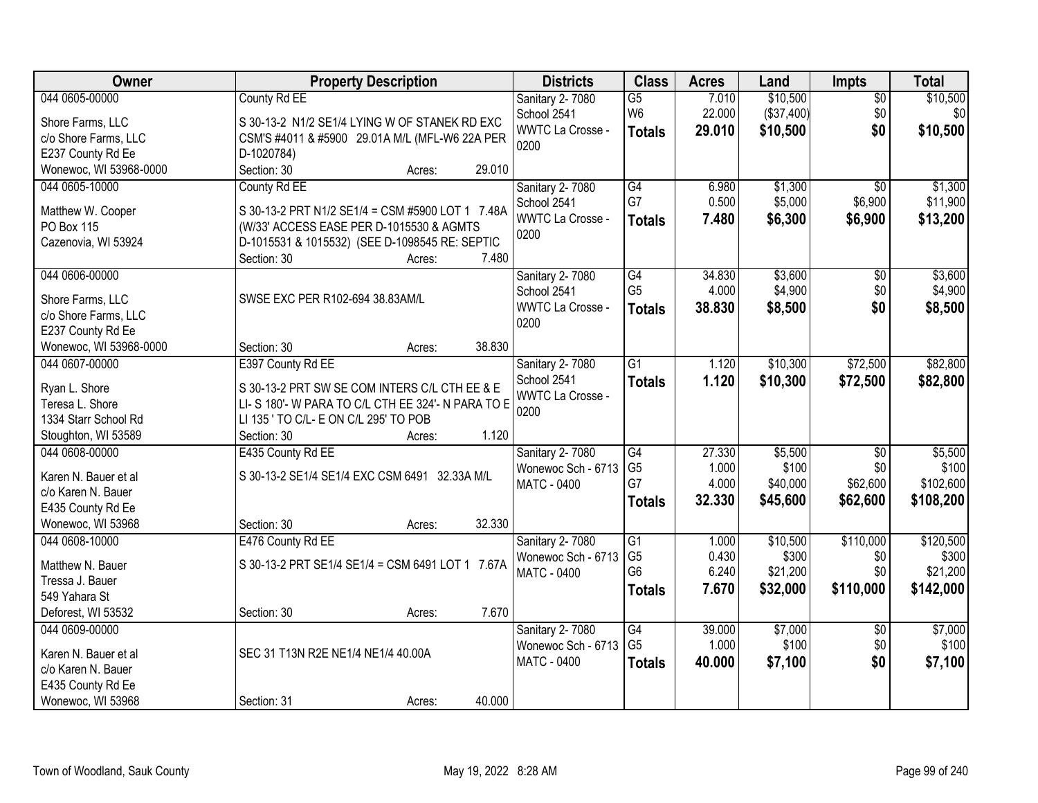| Owner                  | <b>Property Description</b>                      | <b>Districts</b>                       | <b>Class</b>                      | <b>Acres</b>    | Land               | Impts                  | <b>Total</b>       |
|------------------------|--------------------------------------------------|----------------------------------------|-----------------------------------|-----------------|--------------------|------------------------|--------------------|
| 044 0605-00000         | County Rd EE                                     | Sanitary 2-7080                        | $\overline{G5}$                   | 7.010           | \$10,500           | $\overline{50}$        | \$10,500           |
| Shore Farms, LLC       | S 30-13-2 N1/2 SE1/4 LYING W OF STANEK RD EXC    | School 2541                            | W <sub>6</sub>                    | 22.000          | (\$37,400)         | \$0                    | \$0                |
| c/o Shore Farms, LLC   | CSM'S #4011 & #5900 29.01A M/L (MFL-W6 22A PER   | <b>WWTC La Crosse -</b>                | <b>Totals</b>                     | 29.010          | \$10,500           | \$0                    | \$10,500           |
| E237 County Rd Ee      | D-1020784)                                       | 0200                                   |                                   |                 |                    |                        |                    |
| Wonewoc, WI 53968-0000 | 29.010<br>Section: 30<br>Acres:                  |                                        |                                   |                 |                    |                        |                    |
| 044 0605-10000         | County Rd EE                                     | <b>Sanitary 2-7080</b>                 | G4                                | 6.980           | \$1,300            | $\overline{50}$        | \$1,300            |
|                        |                                                  | School 2541                            | G7                                | 0.500           | \$5,000            | \$6,900                | \$11,900           |
| Matthew W. Cooper      | S 30-13-2 PRT N1/2 SE1/4 = CSM #5900 LOT 1 7.48A | <b>WWTC La Crosse -</b>                | <b>Totals</b>                     | 7.480           | \$6,300            | \$6,900                | \$13,200           |
| <b>PO Box 115</b>      | (W/33' ACCESS EASE PER D-1015530 & AGMTS         | 0200                                   |                                   |                 |                    |                        |                    |
| Cazenovia, WI 53924    | D-1015531 & 1015532) (SEE D-1098545 RE: SEPTIC   |                                        |                                   |                 |                    |                        |                    |
|                        | 7.480<br>Section: 30<br>Acres:                   |                                        |                                   |                 |                    |                        |                    |
| 044 0606-00000         |                                                  | <b>Sanitary 2-7080</b>                 | $\overline{G4}$<br>G <sub>5</sub> | 34.830<br>4.000 | \$3,600<br>\$4,900 | $\overline{50}$<br>\$0 | \$3,600<br>\$4,900 |
| Shore Farms, LLC       | SWSE EXC PER R102-694 38.83AM/L                  | School 2541<br><b>WWTC La Crosse -</b> |                                   | 38.830          |                    | \$0                    |                    |
| c/o Shore Farms, LLC   |                                                  | 0200                                   | <b>Totals</b>                     |                 | \$8,500            |                        | \$8,500            |
| E237 County Rd Ee      |                                                  |                                        |                                   |                 |                    |                        |                    |
| Wonewoc, WI 53968-0000 | 38.830<br>Section: 30<br>Acres:                  |                                        |                                   |                 |                    |                        |                    |
| 044 0607-00000         | E397 County Rd EE                                | Sanitary 2-7080                        | $\overline{G1}$                   | 1.120           | \$10,300           | \$72,500               | \$82,800           |
| Ryan L. Shore          | S 30-13-2 PRT SW SE COM INTERS C/L CTH EE & E    | School 2541                            | <b>Totals</b>                     | 1.120           | \$10,300           | \$72,500               | \$82,800           |
| Teresa L. Shore        | LI-S 180'-W PARA TO C/L CTH EE 324'-N PARA TO E  | <b>WWTC La Crosse -</b>                |                                   |                 |                    |                        |                    |
| 1334 Starr School Rd   | LI 135 ' TO C/L- E ON C/L 295' TO POB            | 0200                                   |                                   |                 |                    |                        |                    |
| Stoughton, WI 53589    | 1.120<br>Section: 30<br>Acres:                   |                                        |                                   |                 |                    |                        |                    |
| 044 0608-00000         | E435 County Rd EE                                | Sanitary 2-7080                        | $\overline{G4}$                   | 27.330          | \$5,500            | $\overline{50}$        | \$5,500            |
|                        |                                                  | Wonewoc Sch - 6713                     | G <sub>5</sub>                    | 1.000           | \$100              | \$0                    | \$100              |
| Karen N. Bauer et al   | S 30-13-2 SE1/4 SE1/4 EXC CSM 6491 32.33A M/L    | MATC - 0400                            | G7                                | 4.000           | \$40,000           | \$62,600               | \$102,600          |
| c/o Karen N. Bauer     |                                                  |                                        | <b>Totals</b>                     | 32.330          | \$45,600           | \$62,600               | \$108,200          |
| E435 County Rd Ee      |                                                  |                                        |                                   |                 |                    |                        |                    |
| Wonewoc, WI 53968      | 32.330<br>Section: 30<br>Acres:                  |                                        |                                   |                 |                    |                        |                    |
| 044 0608-10000         | E476 County Rd EE                                | Sanitary 2-7080                        | $\overline{G1}$                   | 1.000           | \$10,500           | \$110,000              | \$120,500          |
| Matthew N. Bauer       | S 30-13-2 PRT SE1/4 SE1/4 = CSM 6491 LOT 1 7.67A | Wonewoc Sch - 6713                     | G <sub>5</sub>                    | 0.430           | \$300              | \$0                    | \$300              |
| Tressa J. Bauer        |                                                  | MATC - 0400                            | G <sub>6</sub>                    | 6.240           | \$21,200           | \$0                    | \$21,200           |
| 549 Yahara St          |                                                  |                                        | <b>Totals</b>                     | 7.670           | \$32,000           | \$110,000              | \$142,000          |
| Deforest, WI 53532     | 7.670<br>Section: 30<br>Acres:                   |                                        |                                   |                 |                    |                        |                    |
| 044 0609-00000         |                                                  | Sanitary 2-7080                        | $\overline{G4}$                   | 39.000          | \$7,000            | $\overline{60}$        | \$7,000            |
|                        |                                                  | Wonewoc Sch - 6713                     | G <sub>5</sub>                    | 1.000           | \$100              | \$0                    | \$100              |
| Karen N. Bauer et al   | SEC 31 T13N R2E NE1/4 NE1/4 40.00A               | <b>MATC - 0400</b>                     | <b>Totals</b>                     | 40.000          | \$7,100            | \$0                    | \$7,100            |
| c/o Karen N. Bauer     |                                                  |                                        |                                   |                 |                    |                        |                    |
| E435 County Rd Ee      | 40.000                                           |                                        |                                   |                 |                    |                        |                    |
| Wonewoc, WI 53968      | Section: 31<br>Acres:                            |                                        |                                   |                 |                    |                        |                    |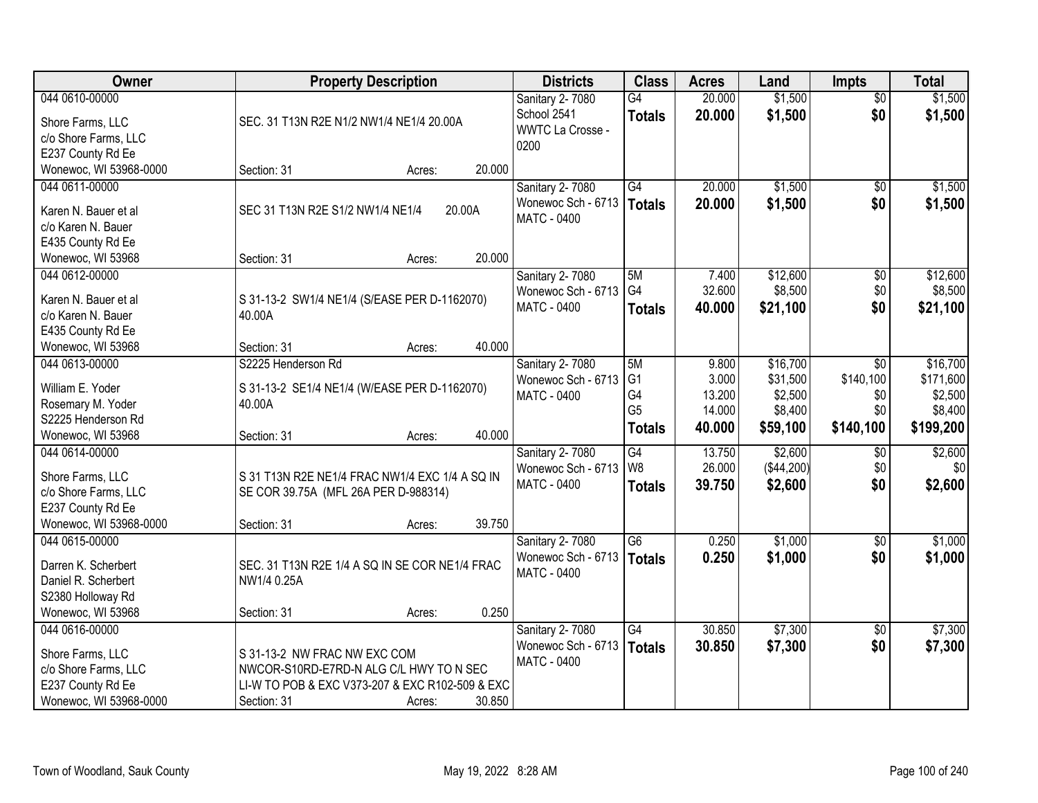| Owner                                                                                                     | <b>Property Description</b>                                                                                                                                   | <b>Districts</b>                                                  | <b>Class</b>                                                  | <b>Acres</b>                                 | Land                                                   | <b>Impts</b>                                | <b>Total</b>                                             |
|-----------------------------------------------------------------------------------------------------------|---------------------------------------------------------------------------------------------------------------------------------------------------------------|-------------------------------------------------------------------|---------------------------------------------------------------|----------------------------------------------|--------------------------------------------------------|---------------------------------------------|----------------------------------------------------------|
| 044 0610-00000<br>Shore Farms, LLC<br>c/o Shore Farms, LLC<br>E237 County Rd Ee                           | SEC. 31 T13N R2E N1/2 NW1/4 NE1/4 20.00A                                                                                                                      | Sanitary 2-7080<br>School 2541<br><b>WWTC La Crosse -</b><br>0200 | $\overline{G4}$<br><b>Totals</b>                              | 20.000<br>20.000                             | \$1,500<br>\$1,500                                     | $\overline{50}$<br>\$0                      | \$1,500<br>\$1,500                                       |
| Wonewoc, WI 53968-0000                                                                                    | 20.000<br>Section: 31<br>Acres:                                                                                                                               |                                                                   |                                                               |                                              |                                                        |                                             |                                                          |
| 044 0611-00000<br>Karen N. Bauer et al<br>c/o Karen N. Bauer<br>E435 County Rd Ee                         | SEC 31 T13N R2E S1/2 NW1/4 NE1/4<br>20.00A                                                                                                                    | Sanitary 2-7080<br>Wonewoc Sch - 6713<br>MATC - 0400              | G4<br>Totals                                                  | 20.000<br>20.000                             | \$1,500<br>\$1,500                                     | $\overline{50}$<br>\$0                      | \$1,500<br>\$1,500                                       |
| Wonewoc, WI 53968                                                                                         | 20.000<br>Section: 31<br>Acres:                                                                                                                               |                                                                   |                                                               |                                              |                                                        |                                             |                                                          |
| 044 0612-00000<br>Karen N. Bauer et al<br>c/o Karen N. Bauer<br>E435 County Rd Ee<br>Wonewoc, WI 53968    | S 31-13-2 SW1/4 NE1/4 (S/EASE PER D-1162070)<br>40.00A<br>40.000<br>Section: 31<br>Acres:                                                                     | Sanitary 2-7080<br>Wonewoc Sch - 6713<br><b>MATC - 0400</b>       | 5M<br>G <sub>4</sub><br><b>Totals</b>                         | 7.400<br>32.600<br>40.000                    | \$12,600<br>\$8,500<br>\$21,100                        | $\overline{50}$<br>\$0<br>\$0               | \$12,600<br>\$8,500<br>\$21,100                          |
| 044 0613-00000<br>William E. Yoder<br>Rosemary M. Yoder<br>S2225 Henderson Rd<br>Wonewoc, WI 53968        | S2225 Henderson Rd<br>S 31-13-2 SE1/4 NE1/4 (W/EASE PER D-1162070)<br>40.00A<br>40.000<br>Section: 31<br>Acres:                                               | Sanitary 2-7080<br>Wonewoc Sch - 6713<br><b>MATC - 0400</b>       | 5M<br>G <sub>1</sub><br>G4<br>G <sub>5</sub><br><b>Totals</b> | 9.800<br>3.000<br>13.200<br>14.000<br>40.000 | \$16,700<br>\$31,500<br>\$2,500<br>\$8,400<br>\$59,100 | \$0<br>\$140,100<br>\$0<br>\$0<br>\$140,100 | \$16,700<br>\$171,600<br>\$2,500<br>\$8,400<br>\$199,200 |
| 044 0614-00000<br>Shore Farms, LLC<br>c/o Shore Farms, LLC<br>E237 County Rd Ee<br>Wonewoc, WI 53968-0000 | S 31 T13N R2E NE1/4 FRAC NW1/4 EXC 1/4 A SQ IN<br>SE COR 39.75A (MFL 26A PER D-988314)<br>39.750<br>Section: 31<br>Acres:                                     | <b>Sanitary 2-7080</b><br>Wonewoc Sch - 6713<br>MATC - 0400       | $\overline{G4}$<br>W <sub>8</sub><br><b>Totals</b>            | 13.750<br>26.000<br>39.750                   | \$2,600<br>(\$44,200)<br>\$2,600                       | \$0<br>\$0<br>\$0                           | \$2,600<br>\$0<br>\$2,600                                |
| 044 0615-00000<br>Darren K. Scherbert<br>Daniel R. Scherbert<br>S2380 Holloway Rd<br>Wonewoc, WI 53968    | SEC. 31 T13N R2E 1/4 A SQ IN SE COR NE1/4 FRAC<br>NW1/4 0.25A<br>0.250<br>Section: 31<br>Acres:                                                               | Sanitary 2-7080<br>Wonewoc Sch - 6713<br>MATC - 0400              | $\overline{G6}$<br>Totals                                     | 0.250<br>0.250                               | \$1,000<br>\$1,000                                     | $\overline{60}$<br>\$0                      | \$1,000<br>\$1,000                                       |
| 044 0616-00000<br>Shore Farms, LLC<br>c/o Shore Farms, LLC<br>E237 County Rd Ee<br>Wonewoc, WI 53968-0000 | S 31-13-2 NW FRAC NW EXC COM<br>NWCOR-S10RD-E7RD-N ALG C/L HWY TO N SEC<br>LI-W TO POB & EXC V373-207 & EXC R102-509 & EXC<br>30.850<br>Section: 31<br>Acres: | Sanitary 2-7080<br>Wonewoc Sch - 6713<br><b>MATC - 0400</b>       | G4<br><b>Totals</b>                                           | 30.850<br>30.850                             | \$7,300<br>\$7,300                                     | $\overline{50}$<br>\$0                      | \$7,300<br>\$7,300                                       |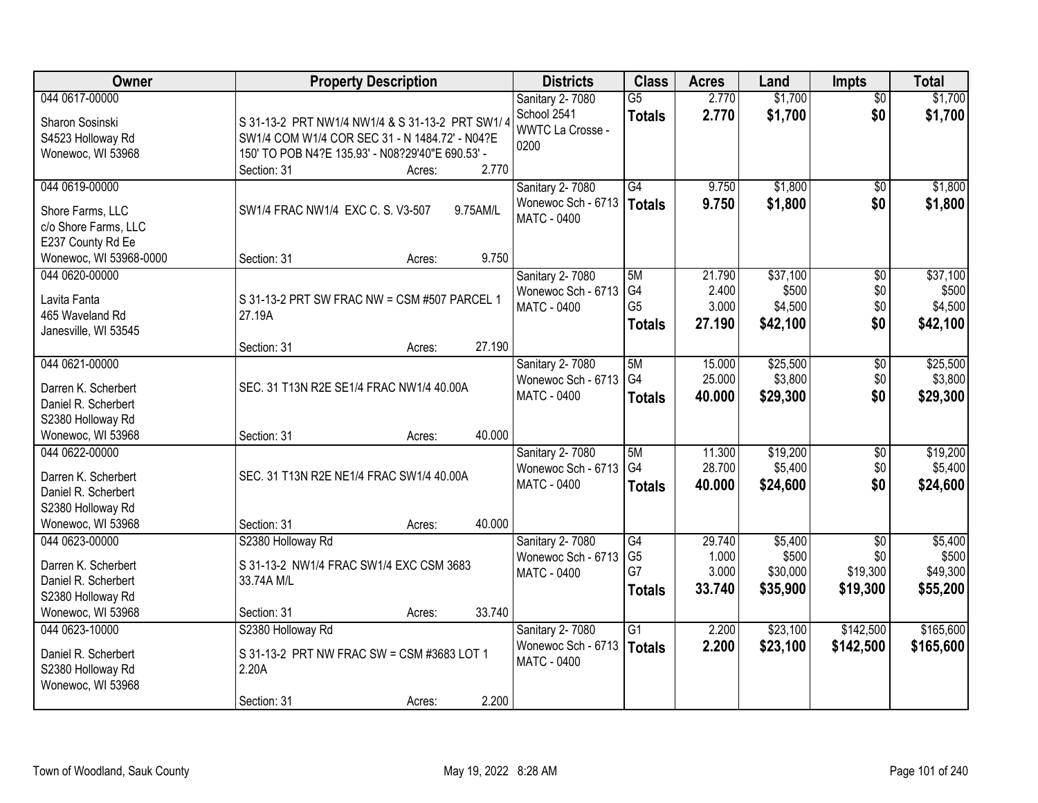| Owner                  | <b>Property Description</b>                      | <b>Districts</b>                      | <b>Class</b>         | <b>Acres</b>     | Land                | <b>Impts</b>    | <b>Total</b>        |
|------------------------|--------------------------------------------------|---------------------------------------|----------------------|------------------|---------------------|-----------------|---------------------|
| 044 0617-00000         |                                                  | Sanitary 2-7080                       | $\overline{G5}$      | 2.770            | \$1,700             | $\overline{50}$ | \$1,700             |
| Sharon Sosinski        | S 31-13-2 PRT NW1/4 NW1/4 & S 31-13-2 PRT SW1/4  | School 2541                           | <b>Totals</b>        | 2.770            | \$1,700             | \$0             | \$1,700             |
| S4523 Holloway Rd      | SW1/4 COM W1/4 COR SEC 31 - N 1484.72' - N04?E   | <b>WWTC La Crosse -</b>               |                      |                  |                     |                 |                     |
| Wonewoc, WI 53968      | 150' TO POB N4?E 135.93' - N08?29'40"E 690.53' - | 0200                                  |                      |                  |                     |                 |                     |
|                        | 2.770<br>Section: 31<br>Acres:                   |                                       |                      |                  |                     |                 |                     |
| 044 0619-00000         |                                                  | Sanitary 2-7080                       | $\overline{G4}$      | 9.750            | \$1,800             | \$0             | \$1,800             |
| Shore Farms, LLC       | SW1/4 FRAC NW1/4 EXC C. S. V3-507<br>9.75AM/L    | Wonewoc Sch - 6713                    | Totals               | 9.750            | \$1,800             | \$0             | \$1,800             |
| c/o Shore Farms, LLC   |                                                  | <b>MATC - 0400</b>                    |                      |                  |                     |                 |                     |
| E237 County Rd Ee      |                                                  |                                       |                      |                  |                     |                 |                     |
| Wonewoc, WI 53968-0000 | 9.750<br>Section: 31<br>Acres:                   |                                       |                      |                  |                     |                 |                     |
| 044 0620-00000         |                                                  | Sanitary 2-7080                       | 5M                   | 21.790           | \$37,100            | $\overline{60}$ | \$37,100            |
|                        |                                                  | Wonewoc Sch - 6713                    | G <sub>4</sub>       | 2.400            | \$500               | \$0             | \$500               |
| Lavita Fanta           | S 31-13-2 PRT SW FRAC NW = CSM #507 PARCEL 1     | MATC - 0400                           | G <sub>5</sub>       | 3.000            | \$4,500             | \$0             | \$4,500             |
| 465 Waveland Rd        | 27.19A                                           |                                       | <b>Totals</b>        | 27.190           | \$42,100            | \$0             | \$42,100            |
| Janesville, WI 53545   |                                                  |                                       |                      |                  |                     |                 |                     |
|                        | 27.190<br>Section: 31<br>Acres:                  |                                       |                      |                  |                     |                 |                     |
| 044 0621-00000         |                                                  | Sanitary 2-7080<br>Wonewoc Sch - 6713 | 5M<br>G <sub>4</sub> | 15.000<br>25.000 | \$25,500<br>\$3,800 | \$0<br>\$0      | \$25,500<br>\$3,800 |
| Darren K. Scherbert    | SEC. 31 T13N R2E SE1/4 FRAC NW1/4 40.00A         | <b>MATC - 0400</b>                    |                      |                  |                     | \$0             |                     |
| Daniel R. Scherbert    |                                                  |                                       | <b>Totals</b>        | 40.000           | \$29,300            |                 | \$29,300            |
| S2380 Holloway Rd      |                                                  |                                       |                      |                  |                     |                 |                     |
| Wonewoc, WI 53968      | 40.000<br>Section: 31<br>Acres:                  |                                       |                      |                  |                     |                 |                     |
| 044 0622-00000         |                                                  | Sanitary 2-7080                       | 5M                   | 11.300           | \$19,200            | $\overline{50}$ | \$19,200            |
| Darren K. Scherbert    | SEC. 31 T13N R2E NE1/4 FRAC SW1/4 40.00A         | Wonewoc Sch - 6713                    | G <sub>4</sub>       | 28.700           | \$5,400             | \$0             | \$5,400             |
| Daniel R. Scherbert    |                                                  | <b>MATC - 0400</b>                    | <b>Totals</b>        | 40.000           | \$24,600            | \$0             | \$24,600            |
| S2380 Holloway Rd      |                                                  |                                       |                      |                  |                     |                 |                     |
| Wonewoc, WI 53968      | 40.000<br>Section: 31<br>Acres:                  |                                       |                      |                  |                     |                 |                     |
| 044 0623-00000         | S2380 Holloway Rd                                | Sanitary 2-7080                       | G4                   | 29.740           | \$5,400             | $\sqrt{$0}$     | \$5,400             |
| Darren K. Scherbert    | S 31-13-2 NW1/4 FRAC SW1/4 EXC CSM 3683          | Wonewoc Sch - 6713                    | G <sub>5</sub>       | 1.000            | \$500               | \$0             | \$500               |
| Daniel R. Scherbert    | 33.74A M/L                                       | <b>MATC - 0400</b>                    | G7                   | 3.000            | \$30,000            | \$19,300        | \$49,300            |
| S2380 Holloway Rd      |                                                  |                                       | <b>Totals</b>        | 33.740           | \$35,900            | \$19,300        | \$55,200            |
| Wonewoc, WI 53968      | 33.740<br>Section: 31<br>Acres:                  |                                       |                      |                  |                     |                 |                     |
| 044 0623-10000         | S2380 Holloway Rd                                | Sanitary 2-7080                       | G <sub>1</sub>       | 2.200            | \$23,100            | \$142,500       | \$165,600           |
|                        |                                                  | Wonewoc Sch - 6713                    | Totals               | 2.200            | \$23,100            | \$142,500       | \$165,600           |
| Daniel R. Scherbert    | S 31-13-2 PRT NW FRAC SW = CSM #3683 LOT 1       | MATC - 0400                           |                      |                  |                     |                 |                     |
| S2380 Holloway Rd      | 2.20A                                            |                                       |                      |                  |                     |                 |                     |
| Wonewoc, WI 53968      |                                                  |                                       |                      |                  |                     |                 |                     |
|                        | 2.200<br>Section: 31<br>Acres:                   |                                       |                      |                  |                     |                 |                     |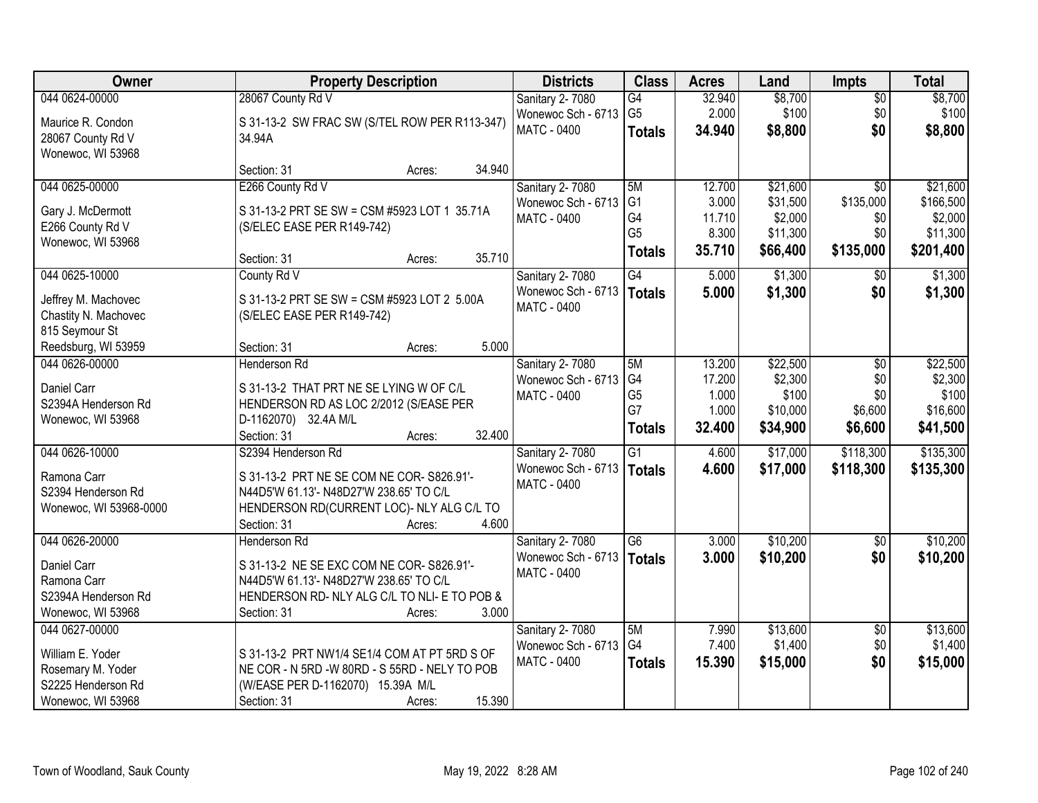| <b>Owner</b>           | <b>Property Description</b>                    | <b>Districts</b>   | <b>Class</b>    | <b>Acres</b> | Land     | <b>Impts</b>    | <b>Total</b> |
|------------------------|------------------------------------------------|--------------------|-----------------|--------------|----------|-----------------|--------------|
| 044 0624-00000         | 28067 County Rd V                              | Sanitary 2-7080    | G4              | 32.940       | \$8,700  | $\sqrt{$0}$     | \$8,700      |
| Maurice R. Condon      | S 31-13-2 SW FRAC SW (S/TEL ROW PER R113-347)  | Wonewoc Sch - 6713 | G <sub>5</sub>  | 2.000        | \$100    | \$0             | \$100        |
| 28067 County Rd V      | 34.94A                                         | <b>MATC - 0400</b> | <b>Totals</b>   | 34.940       | \$8,800  | \$0             | \$8,800      |
| Wonewoc, WI 53968      |                                                |                    |                 |              |          |                 |              |
|                        | 34.940<br>Section: 31<br>Acres:                |                    |                 |              |          |                 |              |
| 044 0625-00000         | E266 County Rd V                               | Sanitary 2-7080    | 5M              | 12.700       | \$21,600 | $\overline{50}$ | \$21,600     |
| Gary J. McDermott      | S 31-13-2 PRT SE SW = CSM #5923 LOT 1 35.71A   | Wonewoc Sch - 6713 | G <sub>1</sub>  | 3.000        | \$31,500 | \$135,000       | \$166,500    |
| E266 County Rd V       | (S/ELEC EASE PER R149-742)                     | <b>MATC - 0400</b> | G4              | 11.710       | \$2,000  | \$0             | \$2,000      |
| Wonewoc, WI 53968      |                                                |                    | G <sub>5</sub>  | 8.300        | \$11,300 | \$0             | \$11,300     |
|                        | 35.710<br>Section: 31<br>Acres:                |                    | <b>Totals</b>   | 35.710       | \$66,400 | \$135,000       | \$201,400    |
| 044 0625-10000         | County Rd V                                    | Sanitary 2-7080    | G4              | 5.000        | \$1,300  | $\sqrt[6]{}$    | \$1,300      |
| Jeffrey M. Machovec    | S 31-13-2 PRT SE SW = CSM #5923 LOT 2 5.00A    | Wonewoc Sch - 6713 | Totals          | 5.000        | \$1,300  | \$0             | \$1,300      |
| Chastity N. Machovec   | (S/ELEC EASE PER R149-742)                     | MATC - 0400        |                 |              |          |                 |              |
| 815 Seymour St         |                                                |                    |                 |              |          |                 |              |
| Reedsburg, WI 53959    | 5.000<br>Section: 31<br>Acres:                 |                    |                 |              |          |                 |              |
| 044 0626-00000         | <b>Henderson Rd</b>                            | Sanitary 2-7080    | 5M              | 13.200       | \$22,500 | $\sqrt[6]{3}$   | \$22,500     |
| Daniel Carr            | S 31-13-2 THAT PRT NE SE LYING W OF C/L        | Wonewoc Sch - 6713 | G <sub>4</sub>  | 17.200       | \$2,300  | \$0             | \$2,300      |
| S2394A Henderson Rd    | HENDERSON RD AS LOC 2/2012 (S/EASE PER         | <b>MATC - 0400</b> | G <sub>5</sub>  | 1.000        | \$100    | \$0             | \$100        |
| Wonewoc, WI 53968      | D-1162070) 32.4A M/L                           |                    | G7              | 1.000        | \$10,000 | \$6,600         | \$16,600     |
|                        | 32.400<br>Section: 31<br>Acres:                |                    | <b>Totals</b>   | 32.400       | \$34,900 | \$6,600         | \$41,500     |
| 044 0626-10000         | S2394 Henderson Rd                             | Sanitary 2-7080    | $\overline{G1}$ | 4.600        | \$17,000 | \$118,300       | \$135,300    |
| Ramona Carr            | S 31-13-2 PRT NE SE COM NE COR- S826.91'-      | Wonewoc Sch - 6713 | Totals          | 4.600        | \$17,000 | \$118,300       | \$135,300    |
| S2394 Henderson Rd     | N44D5'W 61.13'- N48D27'W 238.65' TO C/L        | <b>MATC - 0400</b> |                 |              |          |                 |              |
| Wonewoc, WI 53968-0000 | HENDERSON RD(CURRENT LOC)- NLY ALG C/L TO      |                    |                 |              |          |                 |              |
|                        | 4.600<br>Section: 31<br>Acres:                 |                    |                 |              |          |                 |              |
| 044 0626-20000         | Henderson Rd                                   | Sanitary 2-7080    | G6              | 3.000        | \$10,200 | \$0             | \$10,200     |
| Daniel Carr            | S 31-13-2 NE SE EXC COM NE COR- S826.91'-      | Wonewoc Sch - 6713 | Totals          | 3.000        | \$10,200 | \$0             | \$10,200     |
| Ramona Carr            | N44D5'W 61.13'- N48D27'W 238.65' TO C/L        | MATC - 0400        |                 |              |          |                 |              |
| S2394A Henderson Rd    | HENDERSON RD-NLY ALG C/L TO NLI- E TO POB &    |                    |                 |              |          |                 |              |
| Wonewoc, WI 53968      | 3.000<br>Section: 31<br>Acres:                 |                    |                 |              |          |                 |              |
| 044 0627-00000         |                                                | Sanitary 2-7080    | 5M              | 7.990        | \$13,600 | $\overline{60}$ | \$13,600     |
| William E. Yoder       | S 31-13-2 PRT NW1/4 SE1/4 COM AT PT 5RD S OF   | Wonewoc Sch - 6713 | G4              | 7.400        | \$1,400  | \$0             | \$1,400      |
| Rosemary M. Yoder      | NE COR - N 5RD - W 80RD - S 55RD - NELY TO POB | MATC - 0400        | <b>Totals</b>   | 15.390       | \$15,000 | \$0             | \$15,000     |
| S2225 Henderson Rd     | (W/EASE PER D-1162070) 15.39A M/L              |                    |                 |              |          |                 |              |
| Wonewoc, WI 53968      | 15.390<br>Section: 31<br>Acres:                |                    |                 |              |          |                 |              |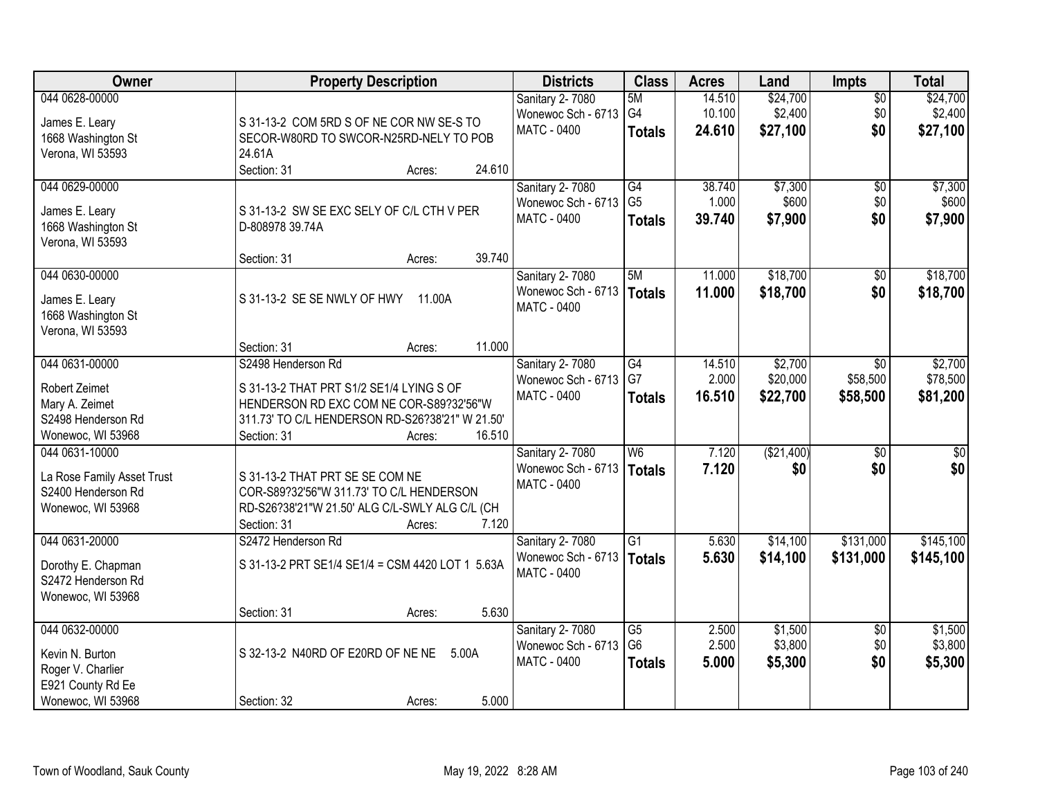| Owner                                                                                            | <b>Property Description</b>                                                                                                                                                                     | <b>Districts</b>                                                   | <b>Class</b>                                       | <b>Acres</b>               | Land                            | <b>Impts</b>                       | <b>Total</b>                    |
|--------------------------------------------------------------------------------------------------|-------------------------------------------------------------------------------------------------------------------------------------------------------------------------------------------------|--------------------------------------------------------------------|----------------------------------------------------|----------------------------|---------------------------------|------------------------------------|---------------------------------|
| 044 0628-00000<br>James E. Leary<br>1668 Washington St<br>Verona, WI 53593                       | S 31-13-2 COM 5RD S OF NE COR NW SE-S TO<br>SECOR-W80RD TO SWCOR-N25RD-NELY TO POB<br>24.61A                                                                                                    | <b>Sanitary 2-7080</b><br>Wonewoc Sch - 6713<br>MATC - 0400        | 5M<br>G <sub>4</sub><br><b>Totals</b>              | 14.510<br>10.100<br>24.610 | \$24,700<br>\$2,400<br>\$27,100 | $\overline{50}$<br>\$0<br>\$0      | \$24,700<br>\$2,400<br>\$27,100 |
|                                                                                                  | 24.610<br>Section: 31<br>Acres:                                                                                                                                                                 |                                                                    |                                                    |                            |                                 |                                    |                                 |
| 044 0629-00000<br>James E. Leary<br>1668 Washington St<br>Verona, WI 53593                       | S 31-13-2 SW SE EXC SELY OF C/L CTH V PER<br>D-808978 39.74A                                                                                                                                    | Sanitary 2-7080<br>Wonewoc Sch - 6713<br><b>MATC - 0400</b>        | G4<br>G <sub>5</sub><br><b>Totals</b>              | 38.740<br>1.000<br>39.740  | \$7,300<br>\$600<br>\$7,900     | $\overline{50}$<br>\$0<br>\$0      | \$7,300<br>\$600<br>\$7,900     |
|                                                                                                  | 39.740<br>Section: 31<br>Acres:                                                                                                                                                                 |                                                                    |                                                    |                            |                                 |                                    |                                 |
| 044 0630-00000<br>James E. Leary<br>1668 Washington St<br>Verona, WI 53593                       | S 31-13-2 SE SE NWLY OF HWY<br>11.00A                                                                                                                                                           | <b>Sanitary 2-7080</b><br>Wonewoc Sch - 6713<br><b>MATC - 0400</b> | 5M<br><b>Totals</b>                                | 11.000<br>11.000           | \$18,700<br>\$18,700            | $\overline{50}$<br>\$0             | \$18,700<br>\$18,700            |
|                                                                                                  | 11.000<br>Section: 31<br>Acres:                                                                                                                                                                 |                                                                    |                                                    |                            |                                 |                                    |                                 |
| 044 0631-00000<br>Robert Zeimet<br>Mary A. Zeimet<br>S2498 Henderson Rd<br>Wonewoc, WI 53968     | S2498 Henderson Rd<br>S 31-13-2 THAT PRT S1/2 SE1/4 LYING S OF<br>HENDERSON RD EXC COM NE COR-S89?32'56"W<br>311.73' TO C/L HENDERSON RD-S26?38'21" W 21.50'<br>16.510<br>Section: 31<br>Acres: | Sanitary 2-7080<br>Wonewoc Sch - 6713<br><b>MATC - 0400</b>        | G4<br>G7<br><b>Totals</b>                          | 14.510<br>2.000<br>16.510  | \$2,700<br>\$20,000<br>\$22,700 | $\sqrt{6}$<br>\$58,500<br>\$58,500 | \$2,700<br>\$78,500<br>\$81,200 |
| 044 0631-10000<br>La Rose Family Asset Trust<br>S2400 Henderson Rd<br>Wonewoc, WI 53968          | S 31-13-2 THAT PRT SE SE COM NE<br>COR-S89?32'56"W 311.73' TO C/L HENDERSON<br>RD-S26?38'21"W 21.50' ALG C/L-SWLY ALG C/L (CH<br>Section: 31<br>7.120<br>Acres:                                 | Sanitary 2-7080<br>Wonewoc Sch - 6713<br><b>MATC - 0400</b>        | $\overline{\mathsf{W6}}$<br><b>Totals</b>          | 7.120<br>7.120             | (\$21,400)<br>\$0               | $\overline{50}$<br>\$0             | $\overline{50}$<br>\$0          |
| 044 0631-20000<br>Dorothy E. Chapman<br>S2472 Henderson Rd<br>Wonewoc, WI 53968                  | S2472 Henderson Rd<br>S 31-13-2 PRT SE1/4 SE1/4 = CSM 4420 LOT 1 5.63A<br>5.630<br>Section: 31<br>Acres:                                                                                        | Sanitary 2-7080<br>Wonewoc Sch - 6713<br><b>MATC - 0400</b>        | G1<br><b>Totals</b>                                | 5.630<br>5.630             | \$14,100<br>\$14,100            | \$131,000<br>\$131,000             | \$145,100<br>\$145,100          |
| 044 0632-00000<br>Kevin N. Burton<br>Roger V. Charlier<br>E921 County Rd Ee<br>Wonewoc, WI 53968 | S 32-13-2 N40RD OF E20RD OF NE NE<br>5.00A<br>5.000<br>Section: 32<br>Acres:                                                                                                                    | Sanitary 2-7080<br>Wonewoc Sch - 6713<br><b>MATC - 0400</b>        | $\overline{G5}$<br>G <sub>6</sub><br><b>Totals</b> | 2.500<br>2.500<br>5.000    | \$1,500<br>\$3,800<br>\$5,300   | $\overline{50}$<br>\$0<br>\$0      | \$1,500<br>\$3,800<br>\$5,300   |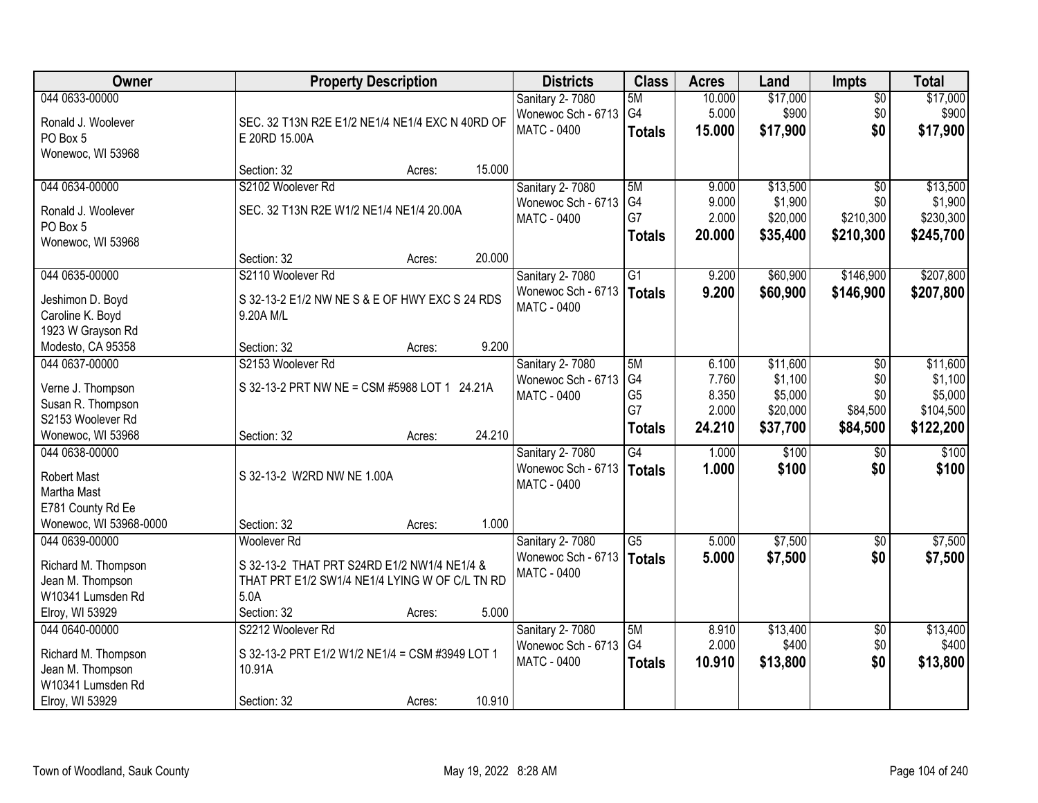| Owner                                  | <b>Property Description</b>                     | <b>Districts</b>                      | <b>Class</b>    | <b>Acres</b> | Land     | <b>Impts</b>    | <b>Total</b> |
|----------------------------------------|-------------------------------------------------|---------------------------------------|-----------------|--------------|----------|-----------------|--------------|
| 044 0633-00000                         |                                                 | Sanitary 2-7080                       | 5M              | 10.000       | \$17,000 | $\sqrt{$0}$     | \$17,000     |
| Ronald J. Woolever                     | SEC. 32 T13N R2E E1/2 NE1/4 NE1/4 EXC N 40RD OF | Wonewoc Sch - 6713                    | G4              | 5.000        | \$900    | \$0             | \$900        |
| PO Box 5                               | E 20RD 15.00A                                   | <b>MATC - 0400</b>                    | <b>Totals</b>   | 15.000       | \$17,900 | \$0             | \$17,900     |
| Wonewoc, WI 53968                      |                                                 |                                       |                 |              |          |                 |              |
|                                        | 15.000<br>Section: 32<br>Acres:                 |                                       |                 |              |          |                 |              |
| 044 0634-00000                         | S2102 Woolever Rd                               | Sanitary 2-7080                       | 5M              | 9.000        | \$13,500 | \$0             | \$13,500     |
| Ronald J. Woolever                     | SEC. 32 T13N R2E W1/2 NE1/4 NE1/4 20.00A        | Wonewoc Sch - 6713                    | G <sub>4</sub>  | 9.000        | \$1,900  | \$0             | \$1,900      |
| PO Box 5                               |                                                 | MATC - 0400                           | G7              | 2.000        | \$20,000 | \$210,300       | \$230,300    |
| Wonewoc, WI 53968                      |                                                 |                                       | <b>Totals</b>   | 20.000       | \$35,400 | \$210,300       | \$245,700    |
|                                        | 20.000<br>Section: 32<br>Acres:                 |                                       |                 |              |          |                 |              |
| 044 0635-00000                         | S2110 Woolever Rd                               | Sanitary 2-7080                       | $\overline{G1}$ | 9.200        | \$60,900 | \$146,900       | \$207,800    |
| Jeshimon D. Boyd                       | S 32-13-2 E1/2 NW NE S & E OF HWY EXC S 24 RDS  | Wonewoc Sch - 6713                    | Totals          | 9.200        | \$60,900 | \$146,900       | \$207,800    |
| Caroline K. Boyd                       | 9.20A M/L                                       | MATC - 0400                           |                 |              |          |                 |              |
| 1923 W Grayson Rd                      |                                                 |                                       |                 |              |          |                 |              |
| Modesto, CA 95358                      | 9.200<br>Section: 32<br>Acres:                  |                                       |                 |              |          |                 |              |
| 044 0637-00000                         | S2153 Woolever Rd                               | Sanitary 2-7080                       | 5M              | 6.100        | \$11,600 | $\sqrt[6]{3}$   | \$11,600     |
|                                        | S 32-13-2 PRT NW NE = CSM #5988 LOT 1 24.21A    | Wonewoc Sch - 6713                    | G4              | 7.760        | \$1,100  | \$0             | \$1,100      |
| Verne J. Thompson<br>Susan R. Thompson |                                                 | MATC - 0400                           | G <sub>5</sub>  | 8.350        | \$5,000  | \$0             | \$5,000      |
| S2153 Woolever Rd                      |                                                 |                                       | G7              | 2.000        | \$20,000 | \$84,500        | \$104,500    |
| Wonewoc, WI 53968                      | 24.210<br>Section: 32<br>Acres:                 |                                       | <b>Totals</b>   | 24.210       | \$37,700 | \$84,500        | \$122,200    |
| 044 0638-00000                         |                                                 | Sanitary 2-7080                       | $\overline{G4}$ | 1.000        | \$100    | $\overline{60}$ | \$100        |
|                                        |                                                 | Wonewoc Sch - 6713                    | <b>Totals</b>   | 1.000        | \$100    | \$0             | \$100        |
| <b>Robert Mast</b>                     | S 32-13-2 W2RD NW NE 1.00A                      | MATC - 0400                           |                 |              |          |                 |              |
| Martha Mast                            |                                                 |                                       |                 |              |          |                 |              |
| E781 County Rd Ee                      |                                                 |                                       |                 |              |          |                 |              |
| Wonewoc, WI 53968-0000                 | 1.000<br>Section: 32<br>Acres:                  |                                       |                 |              |          |                 |              |
| 044 0639-00000                         | Woolever Rd                                     | Sanitary 2-7080<br>Wonewoc Sch - 6713 | $\overline{G5}$ | 5.000        | \$7,500  | \$0<br>\$0      | \$7,500      |
| Richard M. Thompson                    | S 32-13-2 THAT PRT S24RD E1/2 NW1/4 NE1/4 &     | <b>MATC - 0400</b>                    | Totals          | 5.000        | \$7,500  |                 | \$7,500      |
| Jean M. Thompson                       | THAT PRT E1/2 SW1/4 NE1/4 LYING W OF C/L TN RD  |                                       |                 |              |          |                 |              |
| W10341 Lumsden Rd                      | 5.0A                                            |                                       |                 |              |          |                 |              |
| Elroy, WI 53929                        | 5.000<br>Section: 32<br>Acres:                  |                                       |                 |              |          |                 |              |
| 044 0640-00000                         | S2212 Woolever Rd                               | Sanitary 2-7080                       | 5M              | 8.910        | \$13,400 | $\overline{50}$ | \$13,400     |
| Richard M. Thompson                    | S 32-13-2 PRT E1/2 W1/2 NE1/4 = CSM #3949 LOT 1 | Wonewoc Sch - 6713                    | G4              | 2.000        | \$400    | \$0             | \$400        |
| Jean M. Thompson                       | 10.91A                                          | MATC - 0400                           | <b>Totals</b>   | 10.910       | \$13,800 | \$0             | \$13,800     |
| W10341 Lumsden Rd                      |                                                 |                                       |                 |              |          |                 |              |
| Elroy, WI 53929                        | 10.910<br>Section: 32<br>Acres:                 |                                       |                 |              |          |                 |              |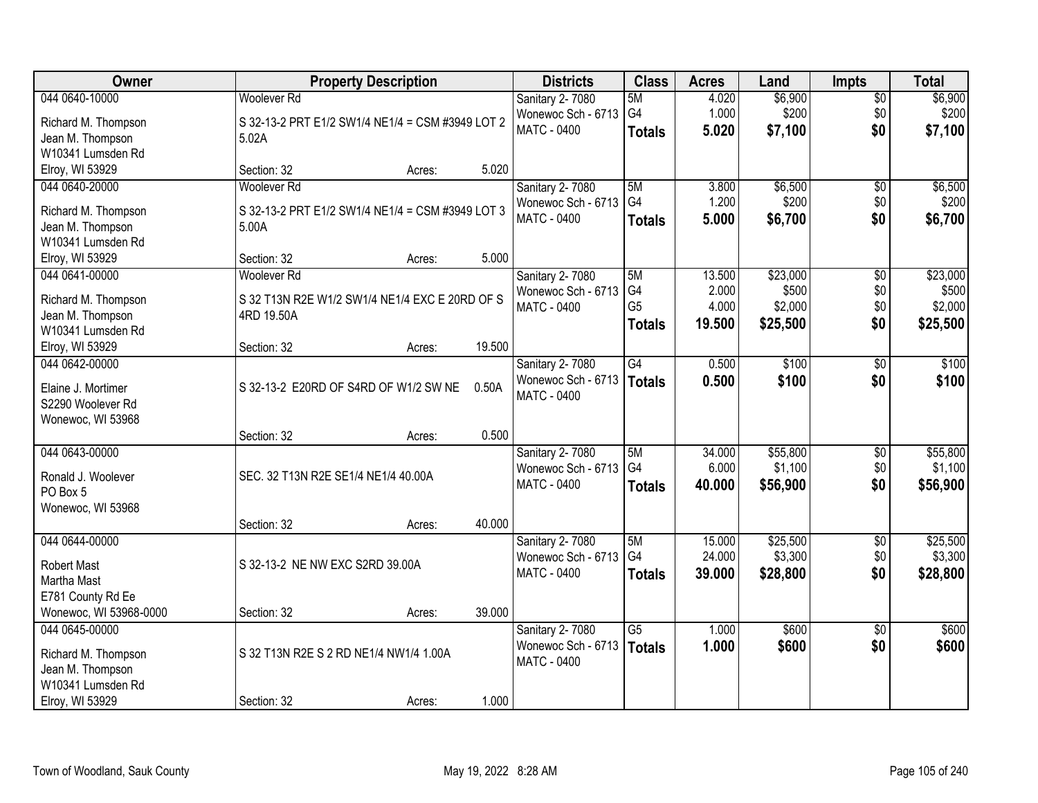| Owner                                 |                                                  | <b>Property Description</b> |        | <b>Districts</b>       | <b>Class</b>         | <b>Acres</b> | Land     | <b>Impts</b>    | <b>Total</b> |
|---------------------------------------|--------------------------------------------------|-----------------------------|--------|------------------------|----------------------|--------------|----------|-----------------|--------------|
| 044 0640-10000                        | <b>Woolever Rd</b>                               |                             |        | Sanitary 2-7080        | 5M                   | 4.020        | \$6,900  | $\overline{50}$ | \$6,900      |
| Richard M. Thompson                   | S 32-13-2 PRT E1/2 SW1/4 NE1/4 = CSM #3949 LOT 2 |                             |        | Wonewoc Sch - 6713     | G4                   | 1.000        | \$200    | \$0             | \$200        |
| Jean M. Thompson                      | 5.02A                                            |                             |        | <b>MATC - 0400</b>     | <b>Totals</b>        | 5.020        | \$7,100  | \$0             | \$7,100      |
| W10341 Lumsden Rd                     |                                                  |                             |        |                        |                      |              |          |                 |              |
| Elroy, WI 53929                       | Section: 32                                      | Acres:                      | 5.020  |                        |                      |              |          |                 |              |
| 044 0640-20000                        | <b>Woolever Rd</b>                               |                             |        | Sanitary 2-7080        | 5M                   | 3.800        | \$6,500  | \$0             | \$6,500      |
| Richard M. Thompson                   | S 32-13-2 PRT E1/2 SW1/4 NE1/4 = CSM #3949 LOT 3 |                             |        | Wonewoc Sch - 6713     | G <sub>4</sub>       | 1.200        | \$200    | \$0             | \$200        |
| Jean M. Thompson                      | 5.00A                                            |                             |        | <b>MATC - 0400</b>     | <b>Totals</b>        | 5.000        | \$6,700  | \$0             | \$6,700      |
| W10341 Lumsden Rd                     |                                                  |                             |        |                        |                      |              |          |                 |              |
| Elroy, WI 53929                       | Section: 32                                      | Acres:                      | 5.000  |                        |                      |              |          |                 |              |
| 044 0641-00000                        | <b>Woolever Rd</b>                               |                             |        | Sanitary 2-7080        | 5M                   | 13.500       | \$23,000 | $\overline{50}$ | \$23,000     |
|                                       |                                                  |                             |        | Wonewoc Sch - 6713     | G4                   | 2.000        | \$500    | \$0             | \$500        |
| Richard M. Thompson                   | S 32 T13N R2E W1/2 SW1/4 NE1/4 EXC E 20RD OF S   |                             |        | <b>MATC - 0400</b>     | G <sub>5</sub>       | 4.000        | \$2,000  | \$0             | \$2,000      |
| Jean M. Thompson<br>W10341 Lumsden Rd | 4RD 19.50A                                       |                             |        |                        | <b>Totals</b>        | 19.500       | \$25,500 | \$0             | \$25,500     |
| Elroy, WI 53929                       | Section: 32                                      | Acres:                      | 19.500 |                        |                      |              |          |                 |              |
| 044 0642-00000                        |                                                  |                             |        | Sanitary 2-7080        | $\overline{G4}$      | 0.500        | \$100    | \$0             | \$100        |
|                                       |                                                  |                             |        | Wonewoc Sch - 6713     | <b>Totals</b>        | 0.500        | \$100    | \$0             | \$100        |
| Elaine J. Mortimer                    | S 32-13-2 E20RD OF S4RD OF W1/2 SW NE            |                             | 0.50A  | <b>MATC - 0400</b>     |                      |              |          |                 |              |
| S2290 Woolever Rd                     |                                                  |                             |        |                        |                      |              |          |                 |              |
| Wonewoc, WI 53968                     |                                                  |                             |        |                        |                      |              |          |                 |              |
|                                       | Section: 32                                      | Acres:                      | 0.500  |                        |                      |              |          |                 |              |
| 044 0643-00000                        |                                                  |                             |        | Sanitary 2-7080        | 5M<br>G <sub>4</sub> | 34.000       | \$55,800 | $\overline{30}$ | \$55,800     |
| Ronald J. Woolever                    | SEC. 32 T13N R2E SE1/4 NE1/4 40.00A              |                             |        | Wonewoc Sch - 6713     |                      | 6.000        | \$1,100  | \$0             | \$1,100      |
| PO Box 5                              |                                                  |                             |        | <b>MATC - 0400</b>     | <b>Totals</b>        | 40.000       | \$56,900 | \$0             | \$56,900     |
| Wonewoc, WI 53968                     |                                                  |                             |        |                        |                      |              |          |                 |              |
|                                       | Section: 32                                      | Acres:                      | 40.000 |                        |                      |              |          |                 |              |
| 044 0644-00000                        |                                                  |                             |        | Sanitary 2-7080        | 5M                   | 15.000       | \$25,500 | $\sqrt{$0}$     | \$25,500     |
| <b>Robert Mast</b>                    | S 32-13-2 NE NW EXC S2RD 39.00A                  |                             |        | Wonewoc Sch - 6713     | G4                   | 24.000       | \$3,300  | \$0             | \$3,300      |
| Martha Mast                           |                                                  |                             |        | <b>MATC - 0400</b>     | <b>Totals</b>        | 39.000       | \$28,800 | \$0             | \$28,800     |
| E781 County Rd Ee                     |                                                  |                             |        |                        |                      |              |          |                 |              |
| Wonewoc, WI 53968-0000                | Section: 32                                      | Acres:                      | 39.000 |                        |                      |              |          |                 |              |
| 044 0645-00000                        |                                                  |                             |        | <b>Sanitary 2-7080</b> | $\overline{G5}$      | 1.000        | \$600    | $\overline{50}$ | \$600        |
| Richard M. Thompson                   | S 32 T13N R2E S 2 RD NE1/4 NW1/4 1.00A           |                             |        | Wonewoc Sch - 6713     | <b>Totals</b>        | 1.000        | \$600    | \$0             | \$600        |
| Jean M. Thompson                      |                                                  |                             |        | <b>MATC - 0400</b>     |                      |              |          |                 |              |
| W10341 Lumsden Rd                     |                                                  |                             |        |                        |                      |              |          |                 |              |
| Elroy, WI 53929                       | Section: 32                                      | Acres:                      | 1.000  |                        |                      |              |          |                 |              |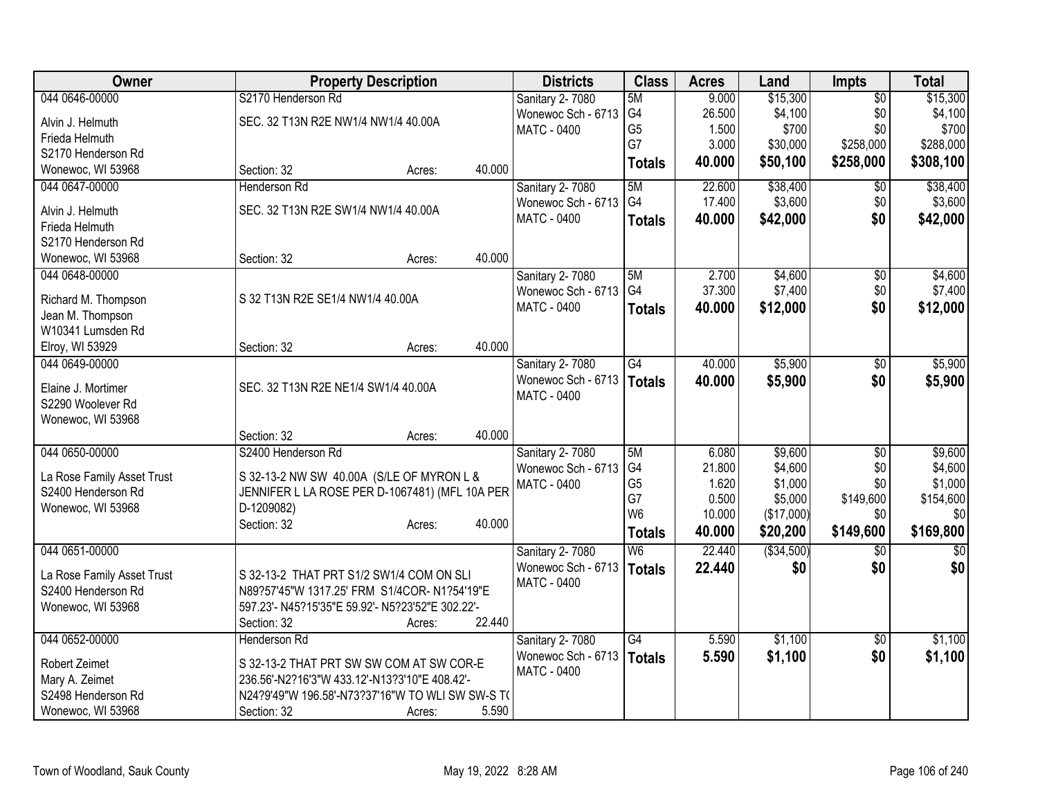| <b>Owner</b>               | <b>Property Description</b>                                | <b>Districts</b>   | <b>Class</b>    | <b>Acres</b> | Land        | Impts           | <b>Total</b> |
|----------------------------|------------------------------------------------------------|--------------------|-----------------|--------------|-------------|-----------------|--------------|
| 044 0646-00000             | S2170 Henderson Rd                                         | Sanitary 2-7080    | 5M              | 9.000        | \$15,300    | $\overline{50}$ | \$15,300     |
| Alvin J. Helmuth           | SEC. 32 T13N R2E NW1/4 NW1/4 40.00A                        | Wonewoc Sch - 6713 | G <sub>4</sub>  | 26.500       | \$4,100     | \$0             | \$4,100      |
| Frieda Helmuth             |                                                            | <b>MATC - 0400</b> | G <sub>5</sub>  | 1.500        | \$700       | \$0             | \$700        |
| S2170 Henderson Rd         |                                                            |                    | G7              | 3.000        | \$30,000    | \$258,000       | \$288,000    |
| Wonewoc, WI 53968          | 40.000<br>Section: 32<br>Acres:                            |                    | <b>Totals</b>   | 40.000       | \$50,100    | \$258,000       | \$308,100    |
| 044 0647-00000             | Henderson Rd                                               | Sanitary 2-7080    | 5M              | 22.600       | \$38,400    | \$0             | \$38,400     |
|                            |                                                            | Wonewoc Sch - 6713 | G4              | 17.400       | \$3,600     | \$0             | \$3,600      |
| Alvin J. Helmuth           | SEC. 32 T13N R2E SW1/4 NW1/4 40.00A                        | <b>MATC - 0400</b> | <b>Totals</b>   | 40.000       | \$42,000    | \$0             | \$42,000     |
| Frieda Helmuth             |                                                            |                    |                 |              |             |                 |              |
| S2170 Henderson Rd         |                                                            |                    |                 |              |             |                 |              |
| Wonewoc, WI 53968          | 40.000<br>Section: 32<br>Acres:                            |                    |                 |              |             |                 |              |
| 044 0648-00000             |                                                            | Sanitary 2-7080    | 5M              | 2.700        | \$4,600     | $\overline{50}$ | \$4,600      |
| Richard M. Thompson        | S 32 T13N R2E SE1/4 NW1/4 40.00A                           | Wonewoc Sch - 6713 | G4              | 37.300       | \$7,400     | \$0             | \$7,400      |
| Jean M. Thompson           |                                                            | <b>MATC - 0400</b> | <b>Totals</b>   | 40.000       | \$12,000    | \$0             | \$12,000     |
| W10341 Lumsden Rd          |                                                            |                    |                 |              |             |                 |              |
| Elroy, WI 53929            | 40.000<br>Section: 32<br>Acres:                            |                    |                 |              |             |                 |              |
| 044 0649-00000             |                                                            | Sanitary 2-7080    | G4              | 40.000       | \$5,900     | \$0             | \$5,900      |
|                            |                                                            | Wonewoc Sch - 6713 | <b>Totals</b>   | 40.000       | \$5,900     | \$0             | \$5,900      |
| Elaine J. Mortimer         | SEC. 32 T13N R2E NE1/4 SW1/4 40.00A                        | <b>MATC - 0400</b> |                 |              |             |                 |              |
| S2290 Woolever Rd          |                                                            |                    |                 |              |             |                 |              |
| Wonewoc, WI 53968          |                                                            |                    |                 |              |             |                 |              |
|                            | 40.000<br>Section: 32<br>Acres:                            |                    |                 |              |             |                 |              |
| 044 0650-00000             | S2400 Henderson Rd                                         | Sanitary 2-7080    | 5M              | 6.080        | \$9,600     | \$0             | \$9,600      |
| La Rose Family Asset Trust | S 32-13-2 NW SW 40.00A (S/LE OF MYRON L &                  | Wonewoc Sch - 6713 | G4              | 21.800       | \$4,600     | \$0             | \$4,600      |
| S2400 Henderson Rd         | JENNIFER L LA ROSE PER D-1067481) (MFL 10A PER             | <b>MATC - 0400</b> | G <sub>5</sub>  | 1.620        | \$1,000     | \$0             | \$1,000      |
| Wonewoc, WI 53968          | D-1209082)                                                 |                    | G7              | 0.500        | \$5,000     | \$149,600       | \$154,600    |
|                            | 40.000<br>Section: 32<br>Acres:                            |                    | W <sub>6</sub>  | 10.000       | (\$17,000)  | \$0             | \$0          |
|                            |                                                            |                    | <b>Totals</b>   | 40.000       | \$20,200    | \$149,600       | \$169,800    |
| 044 0651-00000             |                                                            | Sanitary 2-7080    | W6              | 22.440       | ( \$34,500) | $\overline{50}$ | \$0          |
|                            |                                                            | Wonewoc Sch - 6713 | <b>Totals</b>   | 22.440       | \$0         | \$0             | \$0          |
| La Rose Family Asset Trust | S 32-13-2 THAT PRT S1/2 SW1/4 COM ON SLI                   | <b>MATC - 0400</b> |                 |              |             |                 |              |
| S2400 Henderson Rd         | N89?57'45"W 1317.25' FRM S1/4COR- N1?54'19"E               |                    |                 |              |             |                 |              |
| Wonewoc, WI 53968          | 597.23'- N45?15'35"E 59.92'- N5?23'52"E 302.22'-<br>22.440 |                    |                 |              |             |                 |              |
|                            | Section: 32<br>Acres:                                      |                    |                 |              |             |                 |              |
| 044 0652-00000             | Henderson Rd                                               | Sanitary 2-7080    | $\overline{G4}$ | 5.590        | \$1,100     | $\overline{50}$ | \$1,100      |
| Robert Zeimet              | S 32-13-2 THAT PRT SW SW COM AT SW COR-E                   | Wonewoc Sch - 6713 | <b>Totals</b>   | 5.590        | \$1,100     | \$0             | \$1,100      |
| Mary A. Zeimet             | 236.56'-N2?16'3"W 433.12'-N13?3'10"E 408.42'-              | <b>MATC - 0400</b> |                 |              |             |                 |              |
| S2498 Henderson Rd         | N24?9'49"W 196.58'-N73?37'16"W TO WLI SW SW-S TO           |                    |                 |              |             |                 |              |
| Wonewoc, WI 53968          | 5.590<br>Section: 32<br>Acres:                             |                    |                 |              |             |                 |              |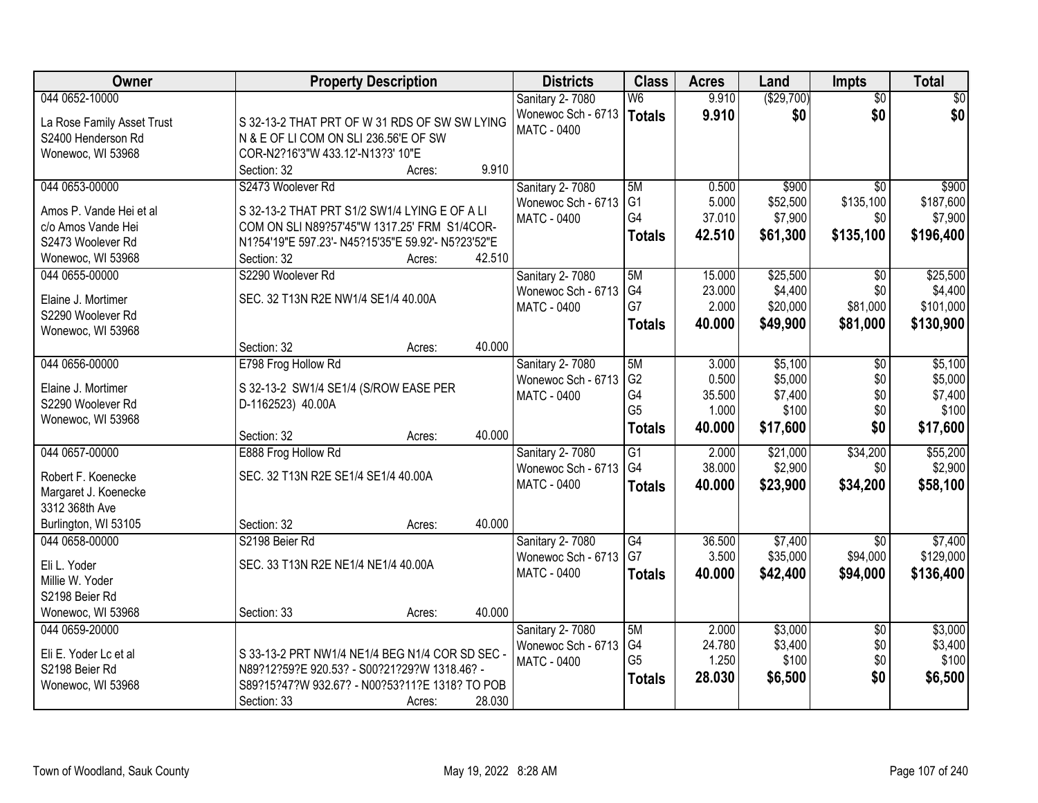| Owner                                         | <b>Property Description</b>                                                                   | <b>Districts</b>                             | <b>Class</b>    | <b>Acres</b> | Land       | <b>Impts</b>    | <b>Total</b> |
|-----------------------------------------------|-----------------------------------------------------------------------------------------------|----------------------------------------------|-----------------|--------------|------------|-----------------|--------------|
| 044 0652-10000                                |                                                                                               | Sanitary 2-7080                              | W <sub>6</sub>  | 9.910        | (\$29,700) | $\overline{50}$ | $\sqrt{50}$  |
| La Rose Family Asset Trust                    | S 32-13-2 THAT PRT OF W 31 RDS OF SW SW LYING                                                 | Wonewoc Sch - 6713                           | <b>Totals</b>   | 9.910        | \$0        | \$0             | \$0          |
| S2400 Henderson Rd                            | N & E OF LI COM ON SLI 236.56'E OF SW                                                         | MATC - 0400                                  |                 |              |            |                 |              |
| Wonewoc, WI 53968                             | COR-N2?16'3"W 433.12'-N13?3' 10"E                                                             |                                              |                 |              |            |                 |              |
|                                               | 9.910<br>Section: 32<br>Acres:                                                                |                                              |                 |              |            |                 |              |
| 044 0653-00000                                | S2473 Woolever Rd                                                                             | Sanitary 2-7080                              | 5M              | 0.500        | \$900      | $\overline{50}$ | \$900        |
|                                               |                                                                                               | Wonewoc Sch - 6713                           | G <sub>1</sub>  | 5.000        | \$52,500   | \$135,100       | \$187,600    |
| Amos P. Vande Hei et al<br>c/o Amos Vande Hei | S 32-13-2 THAT PRT S1/2 SW1/4 LYING E OF A LI<br>COM ON SLI N89?57'45"W 1317.25' FRM S1/4COR- | <b>MATC - 0400</b>                           | G4              | 37.010       | \$7,900    | \$0             | \$7,900      |
| S2473 Woolever Rd                             | N1?54'19"E 597.23'- N45?15'35"E 59.92'- N5?23'52"E                                            |                                              | <b>Totals</b>   | 42.510       | \$61,300   | \$135,100       | \$196,400    |
| Wonewoc, WI 53968                             | 42.510<br>Section: 32                                                                         |                                              |                 |              |            |                 |              |
| 044 0655-00000                                | Acres:<br>S2290 Woolever Rd                                                                   |                                              | 5M              | 15.000       | \$25,500   | \$0             | \$25,500     |
|                                               |                                                                                               | <b>Sanitary 2-7080</b><br>Wonewoc Sch - 6713 | G4              | 23.000       | \$4,400    | \$0             | \$4,400      |
| Elaine J. Mortimer                            | SEC. 32 T13N R2E NW1/4 SE1/4 40.00A                                                           | MATC - 0400                                  | G7              | 2.000        | \$20,000   | \$81,000        | \$101,000    |
| S2290 Woolever Rd                             |                                                                                               |                                              |                 | 40.000       |            |                 |              |
| Wonewoc, WI 53968                             |                                                                                               |                                              | <b>Totals</b>   |              | \$49,900   | \$81,000        | \$130,900    |
|                                               | 40.000<br>Section: 32<br>Acres:                                                               |                                              |                 |              |            |                 |              |
| 044 0656-00000                                | E798 Frog Hollow Rd                                                                           | Sanitary 2-7080                              | 5M              | 3.000        | \$5,100    | \$0             | \$5,100      |
| Elaine J. Mortimer                            | S 32-13-2 SW1/4 SE1/4 (S/ROW EASE PER                                                         | Wonewoc Sch - 6713                           | G <sub>2</sub>  | 0.500        | \$5,000    | \$0             | \$5,000      |
| S2290 Woolever Rd                             | D-1162523) 40.00A                                                                             | <b>MATC - 0400</b>                           | G4              | 35.500       | \$7,400    | \$0             | \$7,400      |
| Wonewoc, WI 53968                             |                                                                                               |                                              | G <sub>5</sub>  | 1.000        | \$100      | \$0             | \$100        |
|                                               | 40.000<br>Section: 32<br>Acres:                                                               |                                              | <b>Totals</b>   | 40.000       | \$17,600   | \$0             | \$17,600     |
| 044 0657-00000                                | E888 Frog Hollow Rd                                                                           | Sanitary 2-7080                              | $\overline{G1}$ | 2.000        | \$21,000   | \$34,200        | \$55,200     |
|                                               |                                                                                               | Wonewoc Sch - 6713                           | G4              | 38.000       | \$2,900    | \$0             | \$2,900      |
| Robert F. Koenecke                            | SEC. 32 T13N R2E SE1/4 SE1/4 40.00A                                                           | MATC - 0400                                  | <b>Totals</b>   | 40.000       | \$23,900   | \$34,200        | \$58,100     |
| Margaret J. Koenecke                          |                                                                                               |                                              |                 |              |            |                 |              |
| 3312 368th Ave                                |                                                                                               |                                              |                 |              |            |                 |              |
| Burlington, WI 53105                          | 40.000<br>Section: 32<br>Acres:                                                               |                                              |                 |              |            |                 |              |
| 044 0658-00000                                | S2198 Beier Rd                                                                                | Sanitary 2-7080                              | $\overline{G4}$ | 36.500       | \$7,400    | $\overline{50}$ | \$7,400      |
| Eli L. Yoder                                  | SEC. 33 T13N R2E NE1/4 NE1/4 40.00A                                                           | Wonewoc Sch - 6713                           | G7              | 3.500        | \$35,000   | \$94,000        | \$129,000    |
| Millie W. Yoder                               |                                                                                               | MATC - 0400                                  | <b>Totals</b>   | 40.000       | \$42,400   | \$94,000        | \$136,400    |
| S2198 Beier Rd                                |                                                                                               |                                              |                 |              |            |                 |              |
| Wonewoc, WI 53968                             | 40.000<br>Section: 33<br>Acres:                                                               |                                              |                 |              |            |                 |              |
| 044 0659-20000                                |                                                                                               | Sanitary 2-7080                              | 5M              | 2.000        | \$3,000    | $\overline{30}$ | \$3,000      |
|                                               |                                                                                               | Wonewoc Sch - 6713                           | G4              | 24.780       | \$3,400    | \$0             | \$3,400      |
| Eli E. Yoder Lc et al                         | S 33-13-2 PRT NW1/4 NE1/4 BEG N1/4 COR SD SEC -                                               | <b>MATC - 0400</b>                           | G <sub>5</sub>  | 1.250        | \$100      | \$0             | \$100        |
| S2198 Beier Rd                                | N89?12?59?E 920.53? - S00?21?29?W 1318.46? -                                                  |                                              | <b>Totals</b>   | 28.030       | \$6,500    | \$0             | \$6,500      |
| Wonewoc, WI 53968                             | S89?15?47?W 932.67? - N00?53?11?E 1318? TO POB                                                |                                              |                 |              |            |                 |              |
|                                               | 28.030<br>Section: 33<br>Acres:                                                               |                                              |                 |              |            |                 |              |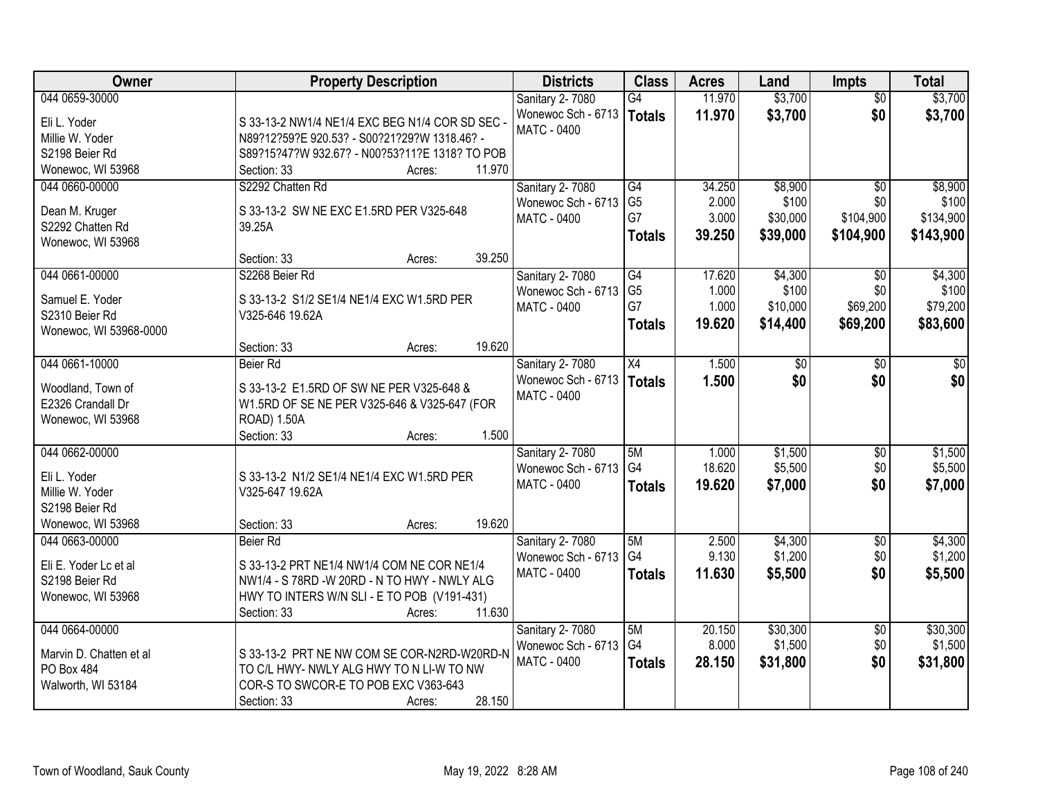| Owner                              | <b>Property Description</b>                     | <b>Districts</b>   | <b>Class</b>    | <b>Acres</b> | Land     | <b>Impts</b>    | <b>Total</b> |
|------------------------------------|-------------------------------------------------|--------------------|-----------------|--------------|----------|-----------------|--------------|
| 044 0659-30000                     |                                                 | Sanitary 2-7080    | $\overline{G4}$ | 11.970       | \$3,700  | $\overline{50}$ | \$3,700      |
| Eli L. Yoder                       | S 33-13-2 NW1/4 NE1/4 EXC BEG N1/4 COR SD SEC - | Wonewoc Sch - 6713 | Totals          | 11.970       | \$3,700  | \$0             | \$3,700      |
| Millie W. Yoder                    | N89?12?59?E 920.53? - S00?21?29?W 1318.46? -    | MATC - 0400        |                 |              |          |                 |              |
| S2198 Beier Rd                     | S89?15?47?W 932.67? - N00?53?11?E 1318? TO POB  |                    |                 |              |          |                 |              |
| Wonewoc, WI 53968                  | 11.970<br>Section: 33<br>Acres:                 |                    |                 |              |          |                 |              |
| 044 0660-00000                     | S2292 Chatten Rd                                | Sanitary 2-7080    | G4              | 34.250       | \$8,900  | \$0             | \$8,900      |
|                                    |                                                 | Wonewoc Sch - 6713 | G <sub>5</sub>  | 2.000        | \$100    | \$0             | \$100        |
| Dean M. Kruger<br>S2292 Chatten Rd | S 33-13-2 SW NE EXC E1.5RD PER V325-648         | <b>MATC - 0400</b> | G7              | 3.000        | \$30,000 | \$104,900       | \$134,900    |
| Wonewoc, WI 53968                  | 39.25A                                          |                    | <b>Totals</b>   | 39.250       | \$39,000 | \$104,900       | \$143,900    |
|                                    | 39.250<br>Section: 33<br>Acres:                 |                    |                 |              |          |                 |              |
| 044 0661-00000                     | S2268 Beier Rd                                  | Sanitary 2-7080    | G4              | 17.620       | \$4,300  | \$0             | \$4,300      |
|                                    |                                                 | Wonewoc Sch - 6713 | G <sub>5</sub>  | 1.000        | \$100    | \$0             | \$100        |
| Samuel E. Yoder                    | S 33-13-2 S1/2 SE1/4 NE1/4 EXC W1.5RD PER       | MATC - 0400        | G7              | 1.000        | \$10,000 | \$69,200        | \$79,200     |
| S2310 Beier Rd                     | V325-646 19.62A                                 |                    | <b>Totals</b>   | 19.620       | \$14,400 | \$69,200        | \$83,600     |
| Wonewoc, WI 53968-0000             | 19.620                                          |                    |                 |              |          |                 |              |
| 044 0661-10000                     | Section: 33<br>Acres:<br>Beier Rd               | Sanitary 2-7080    | X4              | 1.500        | \$0      | $\frac{1}{20}$  | \$0          |
|                                    |                                                 | Wonewoc Sch - 6713 |                 | 1.500        | \$0      | \$0             | \$0          |
| Woodland, Town of                  | S 33-13-2 E1.5RD OF SW NE PER V325-648 &        | <b>MATC - 0400</b> | <b>Totals</b>   |              |          |                 |              |
| E2326 Crandall Dr                  | W1.5RD OF SE NE PER V325-646 & V325-647 (FOR    |                    |                 |              |          |                 |              |
| Wonewoc, WI 53968                  | ROAD) 1.50A                                     |                    |                 |              |          |                 |              |
|                                    | 1.500<br>Section: 33<br>Acres:                  |                    |                 |              |          |                 |              |
| 044 0662-00000                     |                                                 | Sanitary 2-7080    | 5M              | 1.000        | \$1,500  | $\overline{50}$ | \$1,500      |
| Eli L. Yoder                       | S 33-13-2 N1/2 SE1/4 NE1/4 EXC W1.5RD PER       | Wonewoc Sch - 6713 | G <sub>4</sub>  | 18.620       | \$5,500  | \$0             | \$5,500      |
| Millie W. Yoder                    | V325-647 19.62A                                 | MATC - 0400        | <b>Totals</b>   | 19.620       | \$7,000  | \$0             | \$7,000      |
| S2198 Beier Rd                     |                                                 |                    |                 |              |          |                 |              |
| Wonewoc, WI 53968                  | 19.620<br>Section: 33<br>Acres:                 |                    |                 |              |          |                 |              |
| 044 0663-00000                     | Beier Rd                                        | Sanitary 2-7080    | 5M              | 2.500        | \$4,300  | $\sqrt{6}$      | \$4,300      |
| Eli E. Yoder Lc et al              | S 33-13-2 PRT NE1/4 NW1/4 COM NE COR NE1/4      | Wonewoc Sch - 6713 | G4              | 9.130        | \$1,200  | \$0             | \$1,200      |
| S2198 Beier Rd                     | NW1/4 - S 78RD -W 20RD - N TO HWY - NWLY ALG    | MATC - 0400        | <b>Totals</b>   | 11.630       | \$5,500  | \$0             | \$5,500      |
| Wonewoc, WI 53968                  | HWY TO INTERS W/N SLI - E TO POB (V191-431)     |                    |                 |              |          |                 |              |
|                                    | 11.630<br>Section: 33<br>Acres:                 |                    |                 |              |          |                 |              |
| 044 0664-00000                     |                                                 | Sanitary 2-7080    | 5M              | 20.150       | \$30,300 | $\overline{60}$ | \$30,300     |
|                                    |                                                 | Wonewoc Sch - 6713 | G4              | 8.000        | \$1,500  | \$0             | \$1,500      |
| Marvin D. Chatten et al            | S 33-13-2 PRT NE NW COM SE COR-N2RD-W20RD-N     | MATC - 0400        | <b>Totals</b>   | 28.150       | \$31,800 | \$0             | \$31,800     |
| PO Box 484                         | TO C/L HWY- NWLY ALG HWY TO N LI-W TO NW        |                    |                 |              |          |                 |              |
| Walworth, WI 53184                 | COR-S TO SWCOR-E TO POB EXC V363-643            |                    |                 |              |          |                 |              |
|                                    | 28.150<br>Section: 33<br>Acres:                 |                    |                 |              |          |                 |              |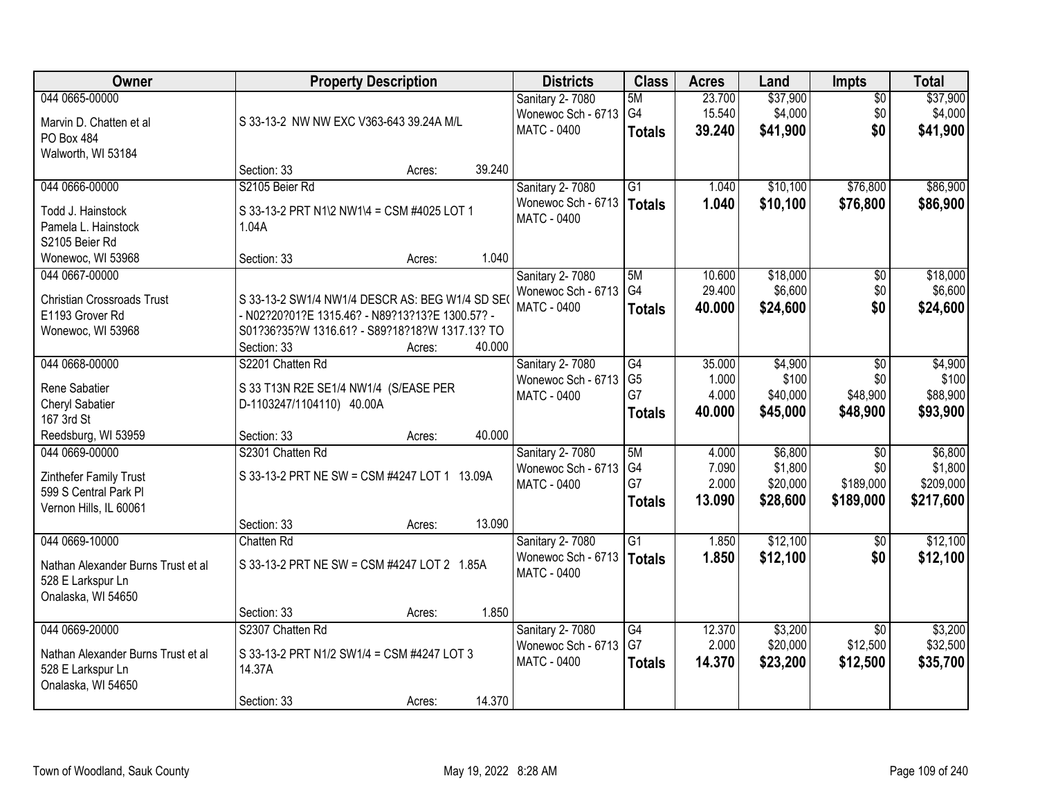| Owner                                                                                           | <b>Property Description</b>                                                                                                                                                             | <b>Districts</b>                                                     | <b>Class</b>                                | <b>Acres</b>                       | Land                                       | Impts                                            | <b>Total</b>                                 |
|-------------------------------------------------------------------------------------------------|-----------------------------------------------------------------------------------------------------------------------------------------------------------------------------------------|----------------------------------------------------------------------|---------------------------------------------|------------------------------------|--------------------------------------------|--------------------------------------------------|----------------------------------------------|
| 044 0665-00000<br>Marvin D. Chatten et al<br>PO Box 484<br>Walworth, WI 53184                   | S 33-13-2 NW NW EXC V363-643 39.24A M/L                                                                                                                                                 | Sanitary 2-7080<br>Wonewoc Sch - 6713 G4<br>MATC - 0400              | 5M<br><b>Totals</b>                         | 23.700<br>15.540<br>39.240         | \$37,900<br>\$4,000<br>\$41,900            | $\overline{50}$<br>\$0<br>\$0                    | \$37,900<br>\$4,000<br>\$41,900              |
|                                                                                                 | 39.240<br>Section: 33<br>Acres:                                                                                                                                                         |                                                                      |                                             |                                    |                                            |                                                  |                                              |
| 044 0666-00000<br>Todd J. Hainstock<br>Pamela L. Hainstock<br>S2105 Beier Rd                    | S2105 Beier Rd<br>S 33-13-2 PRT N1\2 NW1\4 = CSM #4025 LOT 1<br>1.04A                                                                                                                   | Sanitary 2-7080<br>Wonewoc Sch - 6713   Totals<br><b>MATC - 0400</b> | $\overline{G1}$                             | 1.040<br>1.040                     | \$10,100<br>\$10,100                       | \$76,800<br>\$76,800                             | \$86,900<br>\$86,900                         |
| Wonewoc, WI 53968                                                                               | 1.040<br>Section: 33<br>Acres:                                                                                                                                                          |                                                                      |                                             |                                    |                                            |                                                  |                                              |
| 044 0667-00000<br><b>Christian Crossroads Trust</b><br>E1193 Grover Rd<br>Wonewoc, WI 53968     | S 33-13-2 SW1/4 NW1/4 DESCR AS: BEG W1/4 SD SE(<br>- N02?20?01?E 1315.46? - N89?13?13?E 1300.57? -<br>S01?36?35?W 1316.61? - S89?18?18?W 1317.13? TO<br>40.000<br>Section: 33<br>Acres: | Sanitary 2-7080<br>Wonewoc Sch - 6713<br><b>MATC - 0400</b>          | 5M<br>G4<br><b>Totals</b>                   | 10.600<br>29.400<br>40.000         | \$18,000<br>\$6,600<br>\$24,600            | $\overline{50}$<br>\$0<br>\$0                    | \$18,000<br>\$6,600<br>\$24,600              |
| 044 0668-00000<br>Rene Sabatier<br>Cheryl Sabatier<br>167 3rd St                                | S2201 Chatten Rd<br>S 33 T13N R2E SE1/4 NW1/4 (S/EASE PER<br>D-1103247/1104110) 40.00A                                                                                                  | Sanitary 2-7080<br>Wonewoc Sch - 6713<br>MATC - 0400                 | G4<br>G <sub>5</sub><br>G7<br><b>Totals</b> | 35.000<br>1.000<br>4.000<br>40.000 | \$4,900<br>\$100<br>\$40,000<br>\$45,000   | \$0<br>\$0<br>\$48,900<br>\$48,900               | \$4,900<br>\$100<br>\$88,900<br>\$93,900     |
| Reedsburg, WI 53959                                                                             | 40.000<br>Section: 33<br>Acres:                                                                                                                                                         |                                                                      |                                             |                                    |                                            |                                                  |                                              |
| 044 0669-00000<br>Zinthefer Family Trust<br>599 S Central Park Pl<br>Vernon Hills, IL 60061     | S2301 Chatten Rd<br>S 33-13-2 PRT NE SW = CSM #4247 LOT 1 13.09A<br>13.090<br>Section: 33<br>Acres:                                                                                     | Sanitary 2-7080<br>Wonewoc Sch - 6713<br>MATC - 0400                 | 5M<br>G <sub>4</sub><br>G7<br><b>Totals</b> | 4.000<br>7.090<br>2.000<br>13.090  | \$6,800<br>\$1,800<br>\$20,000<br>\$28,600 | $\overline{50}$<br>\$0<br>\$189,000<br>\$189,000 | \$6,800<br>\$1,800<br>\$209,000<br>\$217,600 |
| 044 0669-10000                                                                                  | Chatten Rd                                                                                                                                                                              | Sanitary 2-7080                                                      | G1                                          | 1.850                              | \$12,100                                   | $\overline{50}$                                  | \$12,100                                     |
| Nathan Alexander Burns Trust et al<br>528 E Larkspur Ln<br>Onalaska, WI 54650                   | S 33-13-2 PRT NE SW = CSM #4247 LOT 2 1.85A                                                                                                                                             | Wonewoc Sch - 6713   Totals<br><b>MATC - 0400</b>                    |                                             | 1.850                              | \$12,100                                   | \$0                                              | \$12,100                                     |
|                                                                                                 | 1.850<br>Section: 33<br>Acres:                                                                                                                                                          |                                                                      |                                             |                                    |                                            |                                                  |                                              |
| 044 0669-20000<br>Nathan Alexander Burns Trust et al<br>528 E Larkspur Ln<br>Onalaska, WI 54650 | S2307 Chatten Rd<br>S 33-13-2 PRT N1/2 SW1/4 = CSM #4247 LOT 3<br>14.37A<br>14.370<br>Section: 33<br>Acres:                                                                             | Sanitary 2-7080<br>Wonewoc Sch - 6713<br>MATC - 0400                 | G4<br>G7<br><b>Totals</b>                   | 12.370<br>2.000<br>14.370          | \$3,200<br>\$20,000<br>\$23,200            | $\overline{50}$<br>\$12,500<br>\$12,500          | \$3,200<br>\$32,500<br>\$35,700              |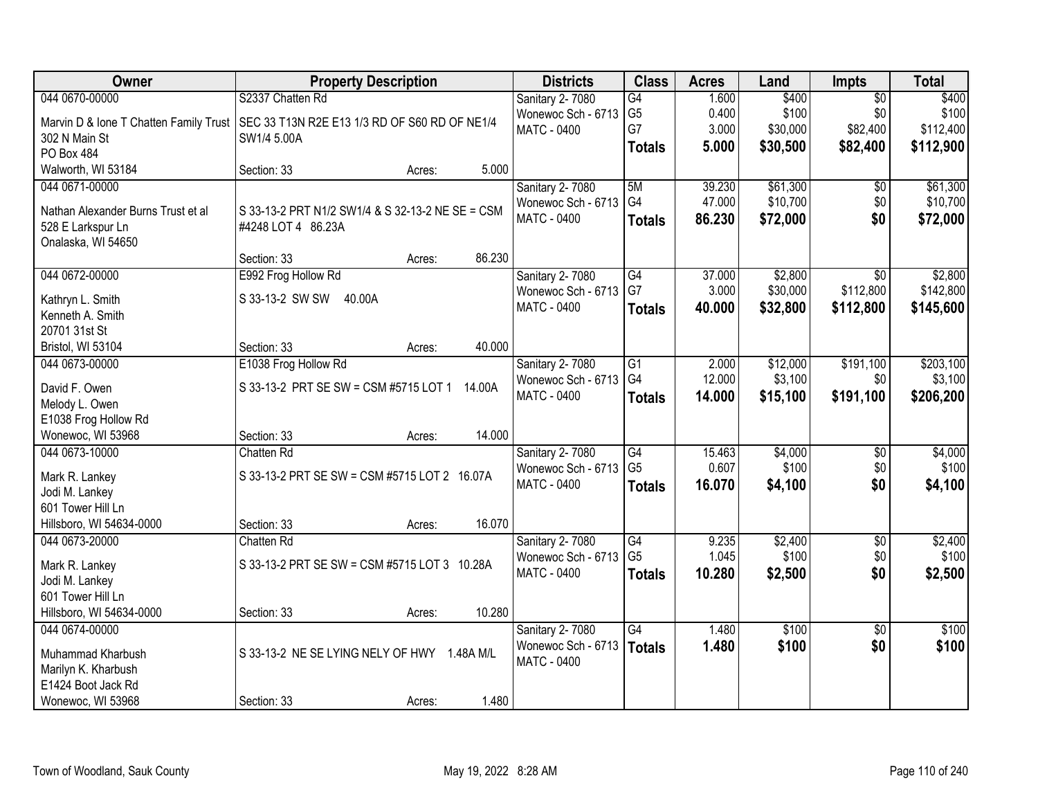| Owner                                  | <b>Property Description</b>                      | <b>Districts</b>   | <b>Class</b>    | <b>Acres</b> | Land     | <b>Impts</b>    | <b>Total</b> |
|----------------------------------------|--------------------------------------------------|--------------------|-----------------|--------------|----------|-----------------|--------------|
| 044 0670-00000                         | S2337 Chatten Rd                                 | Sanitary 2-7080    | $\overline{G4}$ | 1.600        | \$400    | $\overline{50}$ | \$400        |
| Marvin D & Ione T Chatten Family Trust | SEC 33 T13N R2E E13 1/3 RD OF S60 RD OF NE1/4    | Wonewoc Sch - 6713 | G <sub>5</sub>  | 0.400        | \$100    | \$0             | \$100        |
| 302 N Main St                          | SW1/4 5.00A                                      | <b>MATC - 0400</b> | G7              | 3.000        | \$30,000 | \$82,400        | \$112,400    |
| PO Box 484                             |                                                  |                    | <b>Totals</b>   | 5.000        | \$30,500 | \$82,400        | \$112,900    |
| Walworth, WI 53184                     | 5.000<br>Section: 33<br>Acres:                   |                    |                 |              |          |                 |              |
| 044 0671-00000                         |                                                  | Sanitary 2-7080    | 5M              | 39.230       | \$61,300 | \$0             | \$61,300     |
|                                        |                                                  | Wonewoc Sch - 6713 | G4              | 47.000       | \$10,700 | \$0             | \$10,700     |
| Nathan Alexander Burns Trust et al     | S 33-13-2 PRT N1/2 SW1/4 & S 32-13-2 NE SE = CSM | <b>MATC - 0400</b> | <b>Totals</b>   | 86.230       | \$72,000 | \$0             | \$72,000     |
| 528 E Larkspur Ln                      | #4248 LOT 4 86.23A                               |                    |                 |              |          |                 |              |
| Onalaska, WI 54650                     |                                                  |                    |                 |              |          |                 |              |
|                                        | 86.230<br>Section: 33<br>Acres:                  |                    |                 |              |          |                 |              |
| 044 0672-00000                         | E992 Frog Hollow Rd                              | Sanitary 2-7080    | G4              | 37.000       | \$2,800  | \$0             | \$2,800      |
| Kathryn L. Smith                       | S 33-13-2 SW SW<br>40.00A                        | Wonewoc Sch - 6713 | G7              | 3.000        | \$30,000 | \$112,800       | \$142,800    |
| Kenneth A. Smith                       |                                                  | MATC - 0400        | <b>Totals</b>   | 40.000       | \$32,800 | \$112,800       | \$145,600    |
| 20701 31st St                          |                                                  |                    |                 |              |          |                 |              |
| Bristol, WI 53104                      | 40.000<br>Section: 33<br>Acres:                  |                    |                 |              |          |                 |              |
| 044 0673-00000                         | E1038 Frog Hollow Rd                             | Sanitary 2-7080    | $\overline{G1}$ | 2.000        | \$12,000 | \$191,100       | \$203,100    |
| David F. Owen                          | S 33-13-2 PRT SE SW = CSM #5715 LOT 1<br>14.00A  | Wonewoc Sch - 6713 | G4              | 12.000       | \$3,100  | \$0             | \$3,100      |
| Melody L. Owen                         |                                                  | MATC - 0400        | <b>Totals</b>   | 14.000       | \$15,100 | \$191,100       | \$206,200    |
| E1038 Frog Hollow Rd                   |                                                  |                    |                 |              |          |                 |              |
| Wonewoc, WI 53968                      | 14.000<br>Section: 33<br>Acres:                  |                    |                 |              |          |                 |              |
| 044 0673-10000                         | Chatten Rd                                       | Sanitary 2-7080    | $\overline{G4}$ | 15.463       | \$4,000  | \$0             | \$4,000      |
|                                        |                                                  | Wonewoc Sch - 6713 | G <sub>5</sub>  | 0.607        | \$100    | \$0             | \$100        |
| Mark R. Lankey                         | S 33-13-2 PRT SE SW = CSM #5715 LOT 2 16.07A     | <b>MATC - 0400</b> | <b>Totals</b>   | 16.070       | \$4,100  | \$0             | \$4,100      |
| Jodi M. Lankey                         |                                                  |                    |                 |              |          |                 |              |
| 601 Tower Hill Ln                      |                                                  |                    |                 |              |          |                 |              |
| Hillsboro, WI 54634-0000               | 16.070<br>Section: 33<br>Acres:                  |                    |                 |              |          |                 |              |
| 044 0673-20000                         | Chatten Rd                                       | Sanitary 2-7080    | $\overline{G4}$ | 9.235        | \$2,400  | $\overline{60}$ | \$2,400      |
| Mark R. Lankey                         | S 33-13-2 PRT SE SW = CSM #5715 LOT 3 10.28A     | Wonewoc Sch - 6713 | G <sub>5</sub>  | 1.045        | \$100    | \$0             | \$100        |
| Jodi M. Lankey                         |                                                  | MATC - 0400        | <b>Totals</b>   | 10.280       | \$2,500  | \$0             | \$2,500      |
| 601 Tower Hill Ln                      |                                                  |                    |                 |              |          |                 |              |
| Hillsboro, WI 54634-0000               | 10.280<br>Section: 33<br>Acres:                  |                    |                 |              |          |                 |              |
| 044 0674-00000                         |                                                  | Sanitary 2-7080    | G4              | 1.480        | \$100    | $\overline{30}$ | \$100        |
|                                        |                                                  | Wonewoc Sch - 6713 | <b>Totals</b>   | 1.480        | \$100    | \$0             | \$100        |
| Muhammad Kharbush                      | S 33-13-2 NE SE LYING NELY OF HWY<br>1.48A M/L   | MATC - 0400        |                 |              |          |                 |              |
| Marilyn K. Kharbush                    |                                                  |                    |                 |              |          |                 |              |
| E1424 Boot Jack Rd                     |                                                  |                    |                 |              |          |                 |              |
| Wonewoc, WI 53968                      | 1.480<br>Section: 33<br>Acres:                   |                    |                 |              |          |                 |              |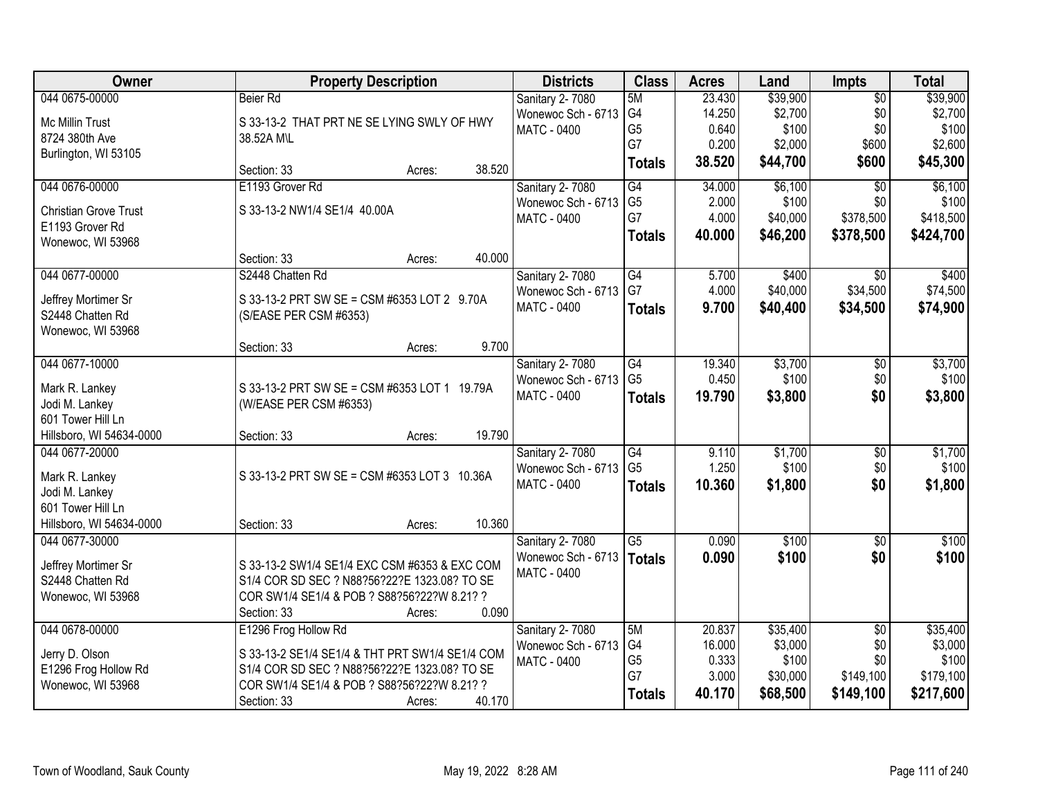| Owner                                         | <b>Property Description</b>                     | <b>Districts</b>                      | <b>Class</b>         | <b>Acres</b>    | Land     | <b>Impts</b>    | <b>Total</b> |
|-----------------------------------------------|-------------------------------------------------|---------------------------------------|----------------------|-----------------|----------|-----------------|--------------|
| 044 0675-00000                                | Beier Rd                                        | Sanitary 2-7080                       | 5M                   | 23.430          | \$39,900 | $\overline{50}$ | \$39,900     |
| Mc Millin Trust                               | S 33-13-2 THAT PRT NE SE LYING SWLY OF HWY      | Wonewoc Sch - 6713                    | G4                   | 14.250          | \$2,700  | \$0             | \$2,700      |
| 8724 380th Ave                                | 38.52A M\L                                      | <b>MATC - 0400</b>                    | G <sub>5</sub>       | 0.640           | \$100    | \$0             | \$100        |
| Burlington, WI 53105                          |                                                 |                                       | G7                   | 0.200           | \$2,000  | \$600           | \$2,600      |
|                                               | Section: 33<br>Acres:                           | 38.520                                | <b>Totals</b>        | 38.520          | \$44,700 | \$600           | \$45,300     |
| 044 0676-00000                                | E1193 Grover Rd                                 | Sanitary 2-7080                       | G4                   | 34.000          | \$6,100  | $\overline{30}$ | \$6,100      |
| <b>Christian Grove Trust</b>                  | S 33-13-2 NW1/4 SE1/4 40.00A                    | Wonewoc Sch - 6713                    | G <sub>5</sub>       | 2.000           | \$100    | \$0             | \$100        |
| E1193 Grover Rd                               |                                                 | <b>MATC - 0400</b>                    | G7                   | 4.000           | \$40,000 | \$378,500       | \$418,500    |
| Wonewoc, WI 53968                             |                                                 |                                       | <b>Totals</b>        | 40.000          | \$46,200 | \$378,500       | \$424,700    |
|                                               | Section: 33<br>Acres:                           | 40.000                                |                      |                 |          |                 |              |
| 044 0677-00000                                | S2448 Chatten Rd                                | Sanitary 2-7080                       | $\overline{G4}$      | 5.700           | \$400    | $\overline{30}$ | \$400        |
| Jeffrey Mortimer Sr                           | S 33-13-2 PRT SW SE = CSM #6353 LOT 2 9.70A     | Wonewoc Sch - 6713                    | G7                   | 4.000           | \$40,000 | \$34,500        | \$74,500     |
| S2448 Chatten Rd                              | (S/EASE PER CSM #6353)                          | <b>MATC - 0400</b>                    | <b>Totals</b>        | 9.700           | \$40,400 | \$34,500        | \$74,900     |
| Wonewoc, WI 53968                             |                                                 |                                       |                      |                 |          |                 |              |
|                                               | Section: 33<br>Acres:                           | 9.700                                 |                      |                 |          |                 |              |
| 044 0677-10000                                |                                                 | Sanitary 2-7080                       | G4                   | 19.340          | \$3,700  | \$0             | \$3,700      |
|                                               | S 33-13-2 PRT SW SE = CSM #6353 LOT 1 19.79A    | Wonewoc Sch - 6713                    | G <sub>5</sub>       | 0.450           | \$100    | \$0             | \$100        |
| Mark R. Lankey<br>Jodi M. Lankey              | (W/EASE PER CSM #6353)                          | MATC - 0400                           | <b>Totals</b>        | 19.790          | \$3,800  | \$0             | \$3,800      |
| 601 Tower Hill Ln                             |                                                 |                                       |                      |                 |          |                 |              |
| Hillsboro, WI 54634-0000                      | Section: 33<br>Acres:                           | 19.790                                |                      |                 |          |                 |              |
| 044 0677-20000                                |                                                 | Sanitary 2-7080                       | $\overline{G4}$      | 9.110           | \$1,700  | \$0             | \$1,700      |
|                                               |                                                 | Wonewoc Sch - 6713                    | G <sub>5</sub>       | 1.250           | \$100    | \$0             | \$100        |
| Mark R. Lankey                                | S 33-13-2 PRT SW SE = CSM #6353 LOT 3 10.36A    | MATC - 0400                           | <b>Totals</b>        | 10.360          | \$1,800  | \$0             | \$1,800      |
| Jodi M. Lankey                                |                                                 |                                       |                      |                 |          |                 |              |
| 601 Tower Hill Ln<br>Hillsboro, WI 54634-0000 |                                                 | 10.360                                |                      |                 |          |                 |              |
| 044 0677-30000                                | Section: 33<br>Acres:                           |                                       | $\overline{G5}$      | 0.090           | \$100    | $\overline{50}$ | \$100        |
|                                               |                                                 | Sanitary 2-7080<br>Wonewoc Sch - 6713 |                      | 0.090           | \$100    | \$0             | \$100        |
| Jeffrey Mortimer Sr                           | S 33-13-2 SW1/4 SE1/4 EXC CSM #6353 & EXC COM   | <b>MATC - 0400</b>                    | <b>Totals</b>        |                 |          |                 |              |
| S2448 Chatten Rd                              | S1/4 COR SD SEC ? N88?56?22?E 1323.08? TO SE    |                                       |                      |                 |          |                 |              |
| Wonewoc, WI 53968                             | COR SW1/4 SE1/4 & POB ? S88?56?22?W 8.21? ?     |                                       |                      |                 |          |                 |              |
|                                               | Section: 33<br>Acres:                           | 0.090                                 |                      |                 |          |                 |              |
| 044 0678-00000                                | E1296 Frog Hollow Rd                            | <b>Sanitary 2-7080</b>                | 5M                   | 20.837          | \$35,400 | $\overline{50}$ | \$35,400     |
| Jerry D. Olson                                | S 33-13-2 SE1/4 SE1/4 & THT PRT SW1/4 SE1/4 COM | Wonewoc Sch - 6713                    | G4                   | 16.000          | \$3,000  | \$0             | \$3,000      |
| E1296 Frog Hollow Rd                          | S1/4 COR SD SEC ? N88?56?22?E 1323.08? TO SE    | <b>MATC - 0400</b>                    | G <sub>5</sub><br>G7 | 0.333           | \$100    | \$0             | \$100        |
| Wonewoc, WI 53968                             | COR SW1/4 SE1/4 & POB ? S88?56?22?W 8.21? ?     |                                       |                      | 3.000<br>40.170 | \$30,000 | \$149,100       | \$179,100    |
|                                               | Section: 33<br>Acres:                           | 40.170                                | <b>Totals</b>        |                 | \$68,500 | \$149,100       | \$217,600    |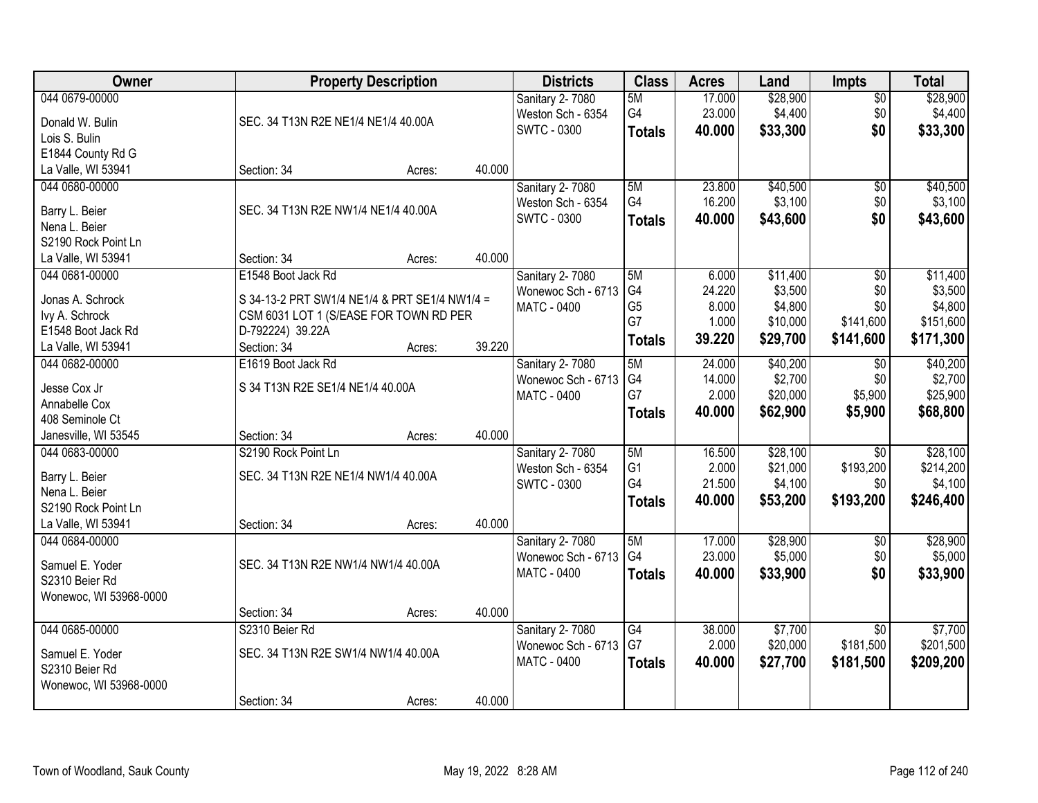| Owner                                |                                               | <b>Property Description</b> |        | <b>Districts</b>                      | <b>Class</b>   | <b>Acres</b> | Land     | <b>Impts</b>    | <b>Total</b> |
|--------------------------------------|-----------------------------------------------|-----------------------------|--------|---------------------------------------|----------------|--------------|----------|-----------------|--------------|
| 044 0679-00000                       |                                               |                             |        | Sanitary 2-7080                       | 5M             | 17.000       | \$28,900 | \$0             | \$28,900     |
| Donald W. Bulin                      | SEC. 34 T13N R2E NE1/4 NE1/4 40.00A           |                             |        | Weston Sch - 6354                     | G4             | 23.000       | \$4,400  | \$0             | \$4,400      |
| Lois S. Bulin                        |                                               |                             |        | <b>SWTC - 0300</b>                    | <b>Totals</b>  | 40.000       | \$33,300 | \$0             | \$33,300     |
| E1844 County Rd G                    |                                               |                             |        |                                       |                |              |          |                 |              |
| La Valle, WI 53941                   | Section: 34                                   | Acres:                      | 40.000 |                                       |                |              |          |                 |              |
| 044 0680-00000                       |                                               |                             |        | Sanitary 2-7080                       | 5M             | 23.800       | \$40,500 | \$0             | \$40,500     |
|                                      |                                               |                             |        | Weston Sch - 6354                     | G4             | 16.200       | \$3,100  | \$0             | \$3,100      |
| Barry L. Beier                       | SEC. 34 T13N R2E NW1/4 NE1/4 40.00A           |                             |        | <b>SWTC - 0300</b>                    | <b>Totals</b>  | 40.000       | \$43,600 | \$0             | \$43,600     |
| Nena L. Beier<br>S2190 Rock Point Ln |                                               |                             |        |                                       |                |              |          |                 |              |
| La Valle, WI 53941                   | Section: 34                                   | Acres:                      | 40.000 |                                       |                |              |          |                 |              |
| 044 0681-00000                       | E1548 Boot Jack Rd                            |                             |        |                                       | 5M             | 6.000        | \$11,400 |                 | \$11,400     |
|                                      |                                               |                             |        | Sanitary 2-7080<br>Wonewoc Sch - 6713 | G <sub>4</sub> | 24.220       | \$3,500  | \$0<br>\$0      | \$3,500      |
| Jonas A. Schrock                     | S 34-13-2 PRT SW1/4 NE1/4 & PRT SE1/4 NW1/4 = |                             |        | MATC - 0400                           | G <sub>5</sub> | 8.000        | \$4,800  | \$0             | \$4,800      |
| Ivy A. Schrock                       | CSM 6031 LOT 1 (S/EASE FOR TOWN RD PER        |                             |        |                                       | G7             | 1.000        | \$10,000 | \$141,600       | \$151,600    |
| E1548 Boot Jack Rd                   | D-792224) 39.22A                              |                             |        |                                       |                | 39.220       | \$29,700 | \$141,600       | \$171,300    |
| La Valle, WI 53941                   | Section: 34                                   | Acres:                      | 39.220 |                                       | <b>Totals</b>  |              |          |                 |              |
| 044 0682-00000                       | E1619 Boot Jack Rd                            |                             |        | Sanitary 2-7080                       | 5M             | 24.000       | \$40,200 | \$0             | \$40,200     |
| Jesse Cox Jr                         | S 34 T13N R2E SE1/4 NE1/4 40.00A              |                             |        | Wonewoc Sch - 6713                    | G4             | 14.000       | \$2,700  | \$0             | \$2,700      |
| Annabelle Cox                        |                                               |                             |        | <b>MATC - 0400</b>                    | G7             | 2.000        | \$20,000 | \$5,900         | \$25,900     |
| 408 Seminole Ct                      |                                               |                             |        |                                       | <b>Totals</b>  | 40.000       | \$62,900 | \$5,900         | \$68,800     |
| Janesville, WI 53545                 | Section: 34                                   | Acres:                      | 40.000 |                                       |                |              |          |                 |              |
| 044 0683-00000                       | S2190 Rock Point Ln                           |                             |        | Sanitary 2-7080                       | 5M             | 16.500       | \$28,100 | $\overline{50}$ | \$28,100     |
|                                      |                                               |                             |        | Weston Sch - 6354                     | G <sub>1</sub> | 2.000        | \$21,000 | \$193,200       | \$214,200    |
| Barry L. Beier                       | SEC. 34 T13N R2E NE1/4 NW1/4 40.00A           |                             |        | <b>SWTC - 0300</b>                    | G4             | 21.500       | \$4,100  | \$0             | \$4,100      |
| Nena L. Beier                        |                                               |                             |        |                                       | <b>Totals</b>  | 40.000       | \$53,200 | \$193,200       | \$246,400    |
| S2190 Rock Point Ln                  |                                               |                             |        |                                       |                |              |          |                 |              |
| La Valle, WI 53941                   | Section: 34                                   | Acres:                      | 40.000 |                                       |                |              |          |                 |              |
| 044 0684-00000                       |                                               |                             |        | Sanitary 2-7080                       | 5M             | 17.000       | \$28,900 | \$0             | \$28,900     |
| Samuel E. Yoder                      | SEC. 34 T13N R2E NW1/4 NW1/4 40.00A           |                             |        | Wonewoc Sch - 6713                    | G4             | 23.000       | \$5,000  | \$0             | \$5,000      |
| S2310 Beier Rd                       |                                               |                             |        | <b>MATC - 0400</b>                    | <b>Totals</b>  | 40.000       | \$33,900 | \$0             | \$33,900     |
| Wonewoc, WI 53968-0000               |                                               |                             |        |                                       |                |              |          |                 |              |
|                                      | Section: 34                                   | Acres:                      | 40.000 |                                       |                |              |          |                 |              |
| 044 0685-00000                       | S2310 Beier Rd                                |                             |        | Sanitary 2-7080                       | G4             | 38.000       | \$7,700  | $\overline{30}$ | \$7,700      |
|                                      |                                               |                             |        | Wonewoc Sch - 6713                    | G7             | 2.000        | \$20,000 | \$181,500       | \$201,500    |
| Samuel E. Yoder                      | SEC. 34 T13N R2E SW1/4 NW1/4 40.00A           |                             |        | MATC - 0400                           | <b>Totals</b>  | 40.000       | \$27,700 | \$181,500       | \$209,200    |
| S2310 Beier Rd                       |                                               |                             |        |                                       |                |              |          |                 |              |
| Wonewoc, WI 53968-0000               |                                               |                             |        |                                       |                |              |          |                 |              |
|                                      | Section: 34                                   | Acres:                      | 40.000 |                                       |                |              |          |                 |              |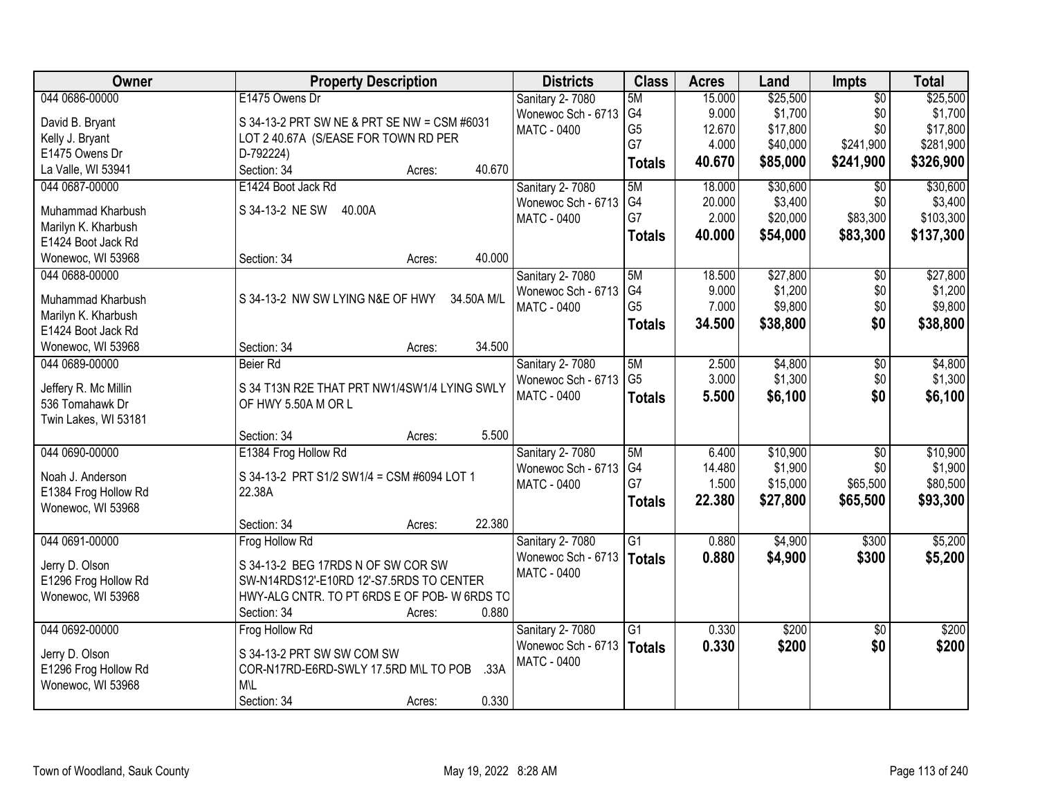| Owner                | <b>Property Description</b>                    | <b>Districts</b>   | <b>Class</b>    | <b>Acres</b> | Land     | <b>Impts</b>      | <b>Total</b> |
|----------------------|------------------------------------------------|--------------------|-----------------|--------------|----------|-------------------|--------------|
| 044 0686-00000       | E1475 Owens Dr                                 | Sanitary 2-7080    | 5M              | 15.000       | \$25,500 | $\overline{50}$   | \$25,500     |
| David B. Bryant      | S 34-13-2 PRT SW NE & PRT SE NW = CSM #6031    | Wonewoc Sch - 6713 | G4              | 9.000        | \$1,700  | \$0               | \$1,700      |
| Kelly J. Bryant      | LOT 2 40.67A (S/EASE FOR TOWN RD PER           | <b>MATC - 0400</b> | G <sub>5</sub>  | 12.670       | \$17,800 | \$0               | \$17,800     |
| E1475 Owens Dr       | D-792224)                                      |                    | G7              | 4.000        | \$40,000 | \$241,900         | \$281,900    |
| La Valle, WI 53941   | 40.670<br>Section: 34<br>Acres:                |                    | <b>Totals</b>   | 40.670       | \$85,000 | \$241,900         | \$326,900    |
|                      |                                                |                    |                 | 18,000       |          |                   |              |
| 044 0687-00000       | E1424 Boot Jack Rd                             | Sanitary 2-7080    | 5M              |              | \$30,600 | \$0               | \$30,600     |
| Muhammad Kharbush    | S 34-13-2 NE SW<br>40.00A                      | Wonewoc Sch - 6713 | G4<br>G7        | 20.000       | \$3,400  | \$0               | \$3,400      |
| Marilyn K. Kharbush  |                                                | <b>MATC - 0400</b> |                 | 2.000        | \$20,000 | \$83,300          | \$103,300    |
| E1424 Boot Jack Rd   |                                                |                    | <b>Totals</b>   | 40.000       | \$54,000 | \$83,300          | \$137,300    |
| Wonewoc, WI 53968    | 40.000<br>Section: 34<br>Acres:                |                    |                 |              |          |                   |              |
| 044 0688-00000       |                                                | Sanitary 2-7080    | 5M              | 18.500       | \$27,800 | $\overline{50}$   | \$27,800     |
|                      |                                                | Wonewoc Sch - 6713 | G4              | 9.000        | \$1,200  | \$0               | \$1,200      |
| Muhammad Kharbush    | S 34-13-2 NW SW LYING N&E OF HWY<br>34.50A M/L | MATC - 0400        | G <sub>5</sub>  | 7.000        | \$9,800  | \$0               | \$9,800      |
| Marilyn K. Kharbush  |                                                |                    | <b>Totals</b>   | 34.500       | \$38,800 | \$0               | \$38,800     |
| E1424 Boot Jack Rd   |                                                |                    |                 |              |          |                   |              |
| Wonewoc, WI 53968    | 34.500<br>Section: 34<br>Acres:                |                    |                 |              |          |                   |              |
| 044 0689-00000       | Beier Rd                                       | Sanitary 2-7080    | 5M              | 2.500        | \$4,800  | \$0               | \$4,800      |
| Jeffery R. Mc Millin | S 34 T13N R2E THAT PRT NW1/4SW1/4 LYING SWLY   | Wonewoc Sch - 6713 | G <sub>5</sub>  | 3.000        | \$1,300  | \$0               | \$1,300      |
| 536 Tomahawk Dr      | OF HWY 5.50A M OR L                            | <b>MATC - 0400</b> | <b>Totals</b>   | 5.500        | \$6,100  | \$0               | \$6,100      |
| Twin Lakes, WI 53181 |                                                |                    |                 |              |          |                   |              |
|                      | 5.500<br>Section: 34<br>Acres:                 |                    |                 |              |          |                   |              |
| 044 0690-00000       | E1384 Frog Hollow Rd                           | Sanitary 2-7080    | 5M              | 6.400        | \$10,900 | $\overline{50}$   | \$10,900     |
|                      |                                                |                    | G <sub>4</sub>  | 14.480       | \$1,900  | \$0               | \$1,900      |
| Noah J. Anderson     | S 34-13-2 PRT S1/2 SW1/4 = CSM #6094 LOT 1     | Wonewoc Sch - 6713 | G7              | 1.500        | \$15,000 | \$65,500          | \$80,500     |
| E1384 Frog Hollow Rd | 22.38A                                         | MATC - 0400        |                 |              |          |                   |              |
| Wonewoc, WI 53968    |                                                |                    | <b>Totals</b>   | 22.380       | \$27,800 | \$65,500          | \$93,300     |
|                      | 22.380<br>Section: 34<br>Acres:                |                    |                 |              |          |                   |              |
| 044 0691-00000       | Frog Hollow Rd                                 | Sanitary 2-7080    | $\overline{G1}$ | 0.880        | \$4,900  | $\overline{$300}$ | \$5,200      |
|                      | S 34-13-2 BEG 17RDS N OF SW COR SW             | Wonewoc Sch - 6713 | <b>Totals</b>   | 0.880        | \$4,900  | \$300             | \$5,200      |
| Jerry D. Olson       |                                                | <b>MATC - 0400</b> |                 |              |          |                   |              |
| E1296 Frog Hollow Rd | SW-N14RDS12'-E10RD 12'-S7.5RDS TO CENTER       |                    |                 |              |          |                   |              |
| Wonewoc, WI 53968    | HWY-ALG CNTR. TO PT 6RDS E OF POB- W 6RDS TO   |                    |                 |              |          |                   |              |
|                      | 0.880<br>Section: 34<br>Acres:                 |                    |                 |              |          |                   |              |
| 044 0692-00000       | Frog Hollow Rd                                 | Sanitary 2-7080    | $\overline{G1}$ | 0.330        | \$200    | $\overline{30}$   | \$200        |
| Jerry D. Olson       | S 34-13-2 PRT SW SW COM SW                     | Wonewoc Sch - 6713 | <b>Totals</b>   | 0.330        | \$200    | \$0               | \$200        |
| E1296 Frog Hollow Rd | COR-N17RD-E6RD-SWLY 17.5RD M\L TO POB<br>.33A  | <b>MATC - 0400</b> |                 |              |          |                   |              |
| Wonewoc, WI 53968    | <b>M\L</b>                                     |                    |                 |              |          |                   |              |
|                      | 0.330<br>Section: 34<br>Acres:                 |                    |                 |              |          |                   |              |
|                      |                                                |                    |                 |              |          |                   |              |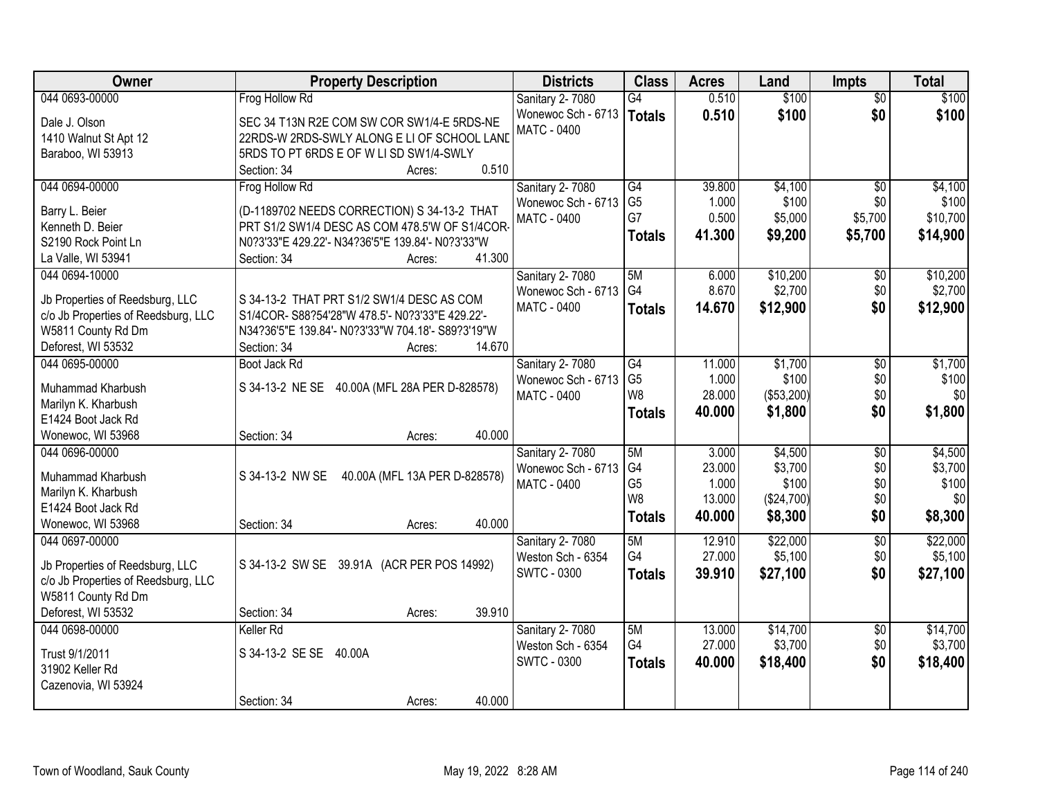| Owner                                     | <b>Property Description</b>                                               | <b>Districts</b>   | <b>Class</b>    | <b>Acres</b> | Land       | <b>Impts</b>    | <b>Total</b> |
|-------------------------------------------|---------------------------------------------------------------------------|--------------------|-----------------|--------------|------------|-----------------|--------------|
| 044 0693-00000                            | Frog Hollow Rd                                                            | Sanitary 2-7080    | G4              | 0.510        | \$100      | $\overline{50}$ | \$100        |
| Dale J. Olson                             | SEC 34 T13N R2E COM SW COR SW1/4-E 5RDS-NE                                | Wonewoc Sch - 6713 | <b>Totals</b>   | 0.510        | \$100      | \$0             | \$100        |
| 1410 Walnut St Apt 12                     | 22RDS-W 2RDS-SWLY ALONG E LI OF SCHOOL LAND                               | <b>MATC - 0400</b> |                 |              |            |                 |              |
| Baraboo, WI 53913                         | 5RDS TO PT 6RDS E OF W LI SD SW1/4-SWLY                                   |                    |                 |              |            |                 |              |
|                                           | 0.510<br>Section: 34<br>Acres:                                            |                    |                 |              |            |                 |              |
| 044 0694-00000                            | Frog Hollow Rd                                                            | Sanitary 2-7080    | $\overline{G4}$ | 39.800       | \$4,100    | $\overline{30}$ | \$4,100      |
|                                           |                                                                           | Wonewoc Sch - 6713 | G <sub>5</sub>  | 1.000        | \$100      | \$0             | \$100        |
| Barry L. Beier                            | (D-1189702 NEEDS CORRECTION) S 34-13-2 THAT                               | <b>MATC - 0400</b> | G7              | 0.500        | \$5,000    | \$5,700         | \$10,700     |
| Kenneth D. Beier                          | PRT S1/2 SW1/4 DESC AS COM 478.5'W OF S1/4COR-                            |                    | <b>Totals</b>   | 41.300       | \$9,200    | \$5,700         | \$14,900     |
| S2190 Rock Point Ln<br>La Valle, WI 53941 | N0?3'33"E 429.22'- N34?36'5"E 139.84'- N0?3'33"W<br>41.300<br>Section: 34 |                    |                 |              |            |                 |              |
| 044 0694-10000                            | Acres:                                                                    | Sanitary 2-7080    | 5M              | 6.000        | \$10,200   | \$0             | \$10,200     |
|                                           |                                                                           | Wonewoc Sch - 6713 | G <sub>4</sub>  | 8.670        | \$2,700    | \$0             | \$2,700      |
| Jb Properties of Reedsburg, LLC           | S 34-13-2 THAT PRT S1/2 SW1/4 DESC AS COM                                 | <b>MATC - 0400</b> |                 | 14.670       | \$12,900   | \$0             |              |
| c/o Jb Properties of Reedsburg, LLC       | S1/4COR-S88?54'28"W 478.5'- N0?3'33"E 429.22'-                            |                    | <b>Totals</b>   |              |            |                 | \$12,900     |
| W5811 County Rd Dm                        | N34?36'5"E 139.84'- N0?3'33"W 704.18'- S89?3'19"W                         |                    |                 |              |            |                 |              |
| Deforest, WI 53532                        | 14.670<br>Section: 34<br>Acres:                                           |                    |                 |              |            |                 |              |
| 044 0695-00000                            | Boot Jack Rd                                                              | Sanitary 2-7080    | G4              | 11.000       | \$1,700    | \$0             | \$1,700      |
| Muhammad Kharbush                         | S 34-13-2 NE SE 40.00A (MFL 28A PER D-828578)                             | Wonewoc Sch - 6713 | G <sub>5</sub>  | 1.000        | \$100      | \$0             | \$100        |
| Marilyn K. Kharbush                       |                                                                           | MATC - 0400        | W8              | 28.000       | (\$53,200) | \$0             | \$0          |
| E1424 Boot Jack Rd                        |                                                                           |                    | <b>Totals</b>   | 40.000       | \$1,800    | \$0             | \$1,800      |
| Wonewoc, WI 53968                         | 40.000<br>Section: 34<br>Acres:                                           |                    |                 |              |            |                 |              |
| 044 0696-00000                            |                                                                           | Sanitary 2-7080    | 5M              | 3.000        | \$4,500    | $\overline{50}$ | \$4,500      |
|                                           |                                                                           | Wonewoc Sch - 6713 | G4              | 23.000       | \$3,700    | \$0             | \$3,700      |
| Muhammad Kharbush                         | S 34-13-2 NW SE<br>40.00A (MFL 13A PER D-828578)                          | <b>MATC - 0400</b> | G <sub>5</sub>  | 1.000        | \$100      | \$0             | \$100        |
| Marilyn K. Kharbush                       |                                                                           |                    | W8              | 13.000       | (\$24,700) | \$0             | \$0          |
| E1424 Boot Jack Rd                        |                                                                           |                    | <b>Totals</b>   | 40.000       | \$8,300    | \$0             | \$8,300      |
| Wonewoc, WI 53968                         | 40.000<br>Section: 34<br>Acres:                                           |                    |                 |              |            |                 |              |
| 044 0697-00000                            |                                                                           | Sanitary 2-7080    | 5M              | 12.910       | \$22,000   | $\overline{60}$ | \$22,000     |
| Jb Properties of Reedsburg, LLC           | S 34-13-2 SW SE 39.91A (ACR PER POS 14992)                                | Weston Sch - 6354  | G4              | 27.000       | \$5,100    | \$0             | \$5,100      |
| c/o Jb Properties of Reedsburg, LLC       |                                                                           | <b>SWTC - 0300</b> | <b>Totals</b>   | 39.910       | \$27,100   | \$0             | \$27,100     |
| W5811 County Rd Dm                        |                                                                           |                    |                 |              |            |                 |              |
| Deforest, WI 53532                        | 39.910<br>Section: 34<br>Acres:                                           |                    |                 |              |            |                 |              |
| 044 0698-00000                            | Keller Rd                                                                 | Sanitary 2-7080    | 5M              | 13.000       | \$14,700   | $\overline{50}$ | \$14,700     |
|                                           |                                                                           | Weston Sch - 6354  | G4              | 27.000       | \$3,700    | \$0             | \$3,700      |
| Trust 9/1/2011                            | S 34-13-2 SE SE<br>40.00A                                                 | <b>SWTC - 0300</b> | <b>Totals</b>   | 40.000       | \$18,400   | \$0             | \$18,400     |
| 31902 Keller Rd                           |                                                                           |                    |                 |              |            |                 |              |
| Cazenovia, WI 53924                       |                                                                           |                    |                 |              |            |                 |              |
|                                           | 40.000<br>Section: 34<br>Acres:                                           |                    |                 |              |            |                 |              |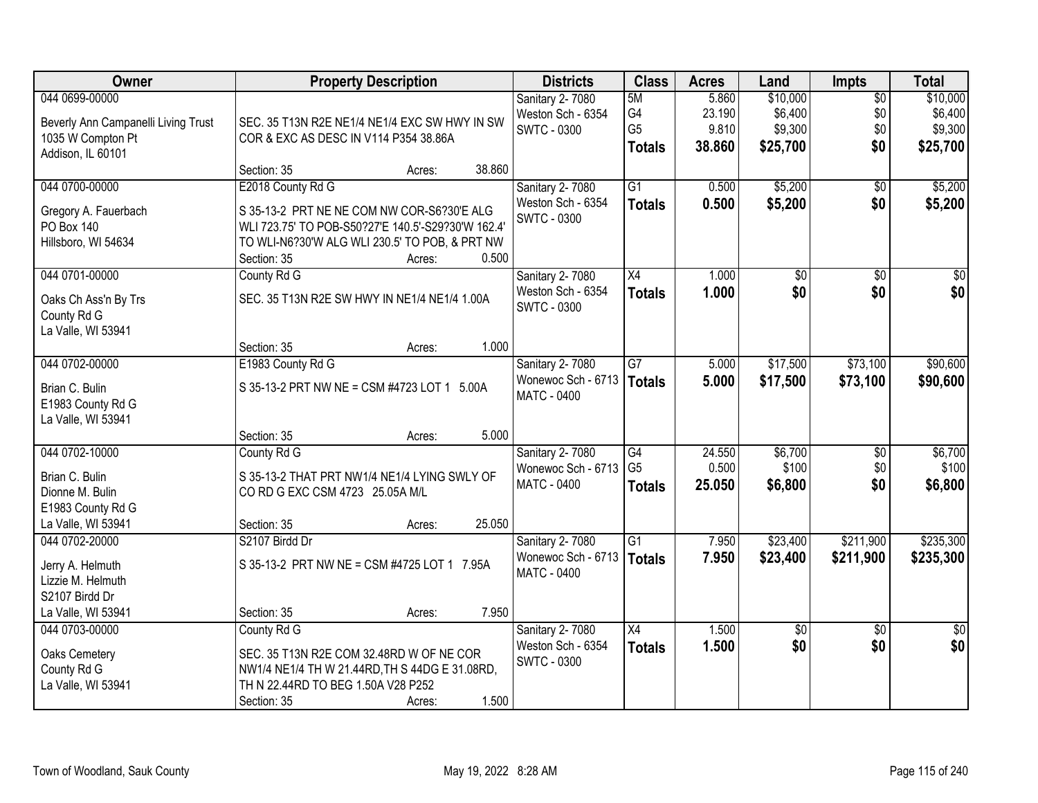| Owner                                                                                           | <b>Property Description</b>                                                                                                                                    |        |        | <b>Districts</b>                                            | <b>Class</b>                                | <b>Acres</b>                       | Land                                       | <b>Impts</b>                         | <b>Total</b>                               |
|-------------------------------------------------------------------------------------------------|----------------------------------------------------------------------------------------------------------------------------------------------------------------|--------|--------|-------------------------------------------------------------|---------------------------------------------|------------------------------------|--------------------------------------------|--------------------------------------|--------------------------------------------|
| 044 0699-00000<br>Beverly Ann Campanelli Living Trust<br>1035 W Compton Pt<br>Addison, IL 60101 | SEC. 35 T13N R2E NE1/4 NE1/4 EXC SW HWY IN SW<br>COR & EXC AS DESC IN V114 P354 38.86A                                                                         |        |        | Sanitary 2-7080<br>Weston Sch - 6354<br><b>SWTC - 0300</b>  | 5M<br>G4<br>G <sub>5</sub><br><b>Totals</b> | 5.860<br>23.190<br>9.810<br>38.860 | \$10,000<br>\$6,400<br>\$9,300<br>\$25,700 | $\overline{50}$<br>\$0<br>\$0<br>\$0 | \$10,000<br>\$6,400<br>\$9,300<br>\$25,700 |
|                                                                                                 | Section: 35                                                                                                                                                    | Acres: | 38.860 |                                                             |                                             |                                    |                                            |                                      |                                            |
| 044 0700-00000<br>Gregory A. Fauerbach<br>PO Box 140                                            | E2018 County Rd G<br>S 35-13-2 PRT NE NE COM NW COR-S6?30'E ALG<br>WLI 723.75' TO POB-S50?27'E 140.5'-S29?30'W 162.4'                                          |        |        | Sanitary 2-7080<br>Weston Sch - 6354<br><b>SWTC - 0300</b>  | $\overline{G1}$<br><b>Totals</b>            | 0.500<br>0.500                     | \$5,200<br>\$5,200                         | $\overline{50}$<br>\$0               | \$5,200<br>\$5,200                         |
| Hillsboro, WI 54634                                                                             | TO WLI-N6?30'W ALG WLI 230.5' TO POB, & PRT NW<br>Section: 35                                                                                                  | Acres: | 0.500  |                                                             |                                             |                                    |                                            |                                      |                                            |
| 044 0701-00000<br>Oaks Ch Ass'n By Trs<br>County Rd G<br>La Valle, WI 53941                     | County Rd G<br>SEC. 35 T13N R2E SW HWY IN NE1/4 NE1/4 1.00A                                                                                                    |        |        | Sanitary 2-7080<br>Weston Sch - 6354<br><b>SWTC - 0300</b>  | $\overline{X4}$<br><b>Totals</b>            | 1.000<br>1.000                     | $\overline{50}$<br>\$0                     | $\overline{50}$<br>\$0               | $\overline{50}$<br>\$0                     |
|                                                                                                 | Section: 35                                                                                                                                                    | Acres: | 1.000  |                                                             |                                             |                                    |                                            |                                      |                                            |
| 044 0702-00000                                                                                  | E1983 County Rd G                                                                                                                                              |        |        | Sanitary 2-7080                                             | $\overline{G7}$                             | 5.000                              | \$17,500                                   | \$73,100                             | \$90,600                                   |
| Brian C. Bulin<br>E1983 County Rd G<br>La Valle, WI 53941                                       | S 35-13-2 PRT NW NE = CSM #4723 LOT 1 5.00A                                                                                                                    |        |        | Wonewoc Sch - 6713<br><b>MATC - 0400</b>                    | <b>Totals</b>                               | 5.000                              | \$17,500                                   | \$73,100                             | \$90,600                                   |
|                                                                                                 | Section: 35                                                                                                                                                    | Acres: | 5.000  |                                                             |                                             |                                    |                                            |                                      |                                            |
| 044 0702-10000<br>Brian C. Bulin<br>Dionne M. Bulin<br>E1983 County Rd G<br>La Valle, WI 53941  | County Rd G<br>S 35-13-2 THAT PRT NW1/4 NE1/4 LYING SWLY OF<br>CO RD G EXC CSM 4723 25.05A M/L<br>Section: 35                                                  | Acres: | 25.050 | <b>Sanitary 2-7080</b><br>Wonewoc Sch - 6713<br>MATC - 0400 | G4<br>G <sub>5</sub><br><b>Totals</b>       | 24.550<br>0.500<br>25.050          | \$6,700<br>\$100<br>\$6,800                | \$0<br>\$0<br>\$0                    | \$6,700<br>\$100<br>\$6,800                |
| 044 0702-20000                                                                                  | S2107 Birdd Dr                                                                                                                                                 |        |        | Sanitary 2-7080                                             | $\overline{G1}$                             | 7.950                              | \$23,400                                   | \$211,900                            | \$235,300                                  |
| Jerry A. Helmuth<br>Lizzie M. Helmuth<br>S2107 Birdd Dr                                         | S 35-13-2 PRT NW NE = CSM #4725 LOT 1 7.95A                                                                                                                    |        |        | Wonewoc Sch - 6713<br>MATC - 0400                           | <b>Totals</b>                               | 7.950                              | \$23,400                                   | \$211,900                            | \$235,300                                  |
| La Valle, WI 53941                                                                              | Section: 35                                                                                                                                                    | Acres: | 7.950  |                                                             |                                             |                                    |                                            |                                      |                                            |
| 044 0703-00000<br>Oaks Cemetery<br>County Rd G<br>La Valle, WI 53941                            | County Rd G<br>SEC. 35 T13N R2E COM 32.48RD W OF NE COR<br>NW1/4 NE1/4 TH W 21.44RD, TH S 44DG E 31.08RD,<br>TH N 22.44RD TO BEG 1.50A V28 P252<br>Section: 35 | Acres: | 1.500  | Sanitary 2-7080<br>Weston Sch - 6354<br><b>SWTC - 0300</b>  | X4<br><b>Totals</b>                         | 1.500<br>1.500                     | \$0<br>\$0                                 | $\overline{30}$<br>\$0               | $\overline{50}$<br>\$0                     |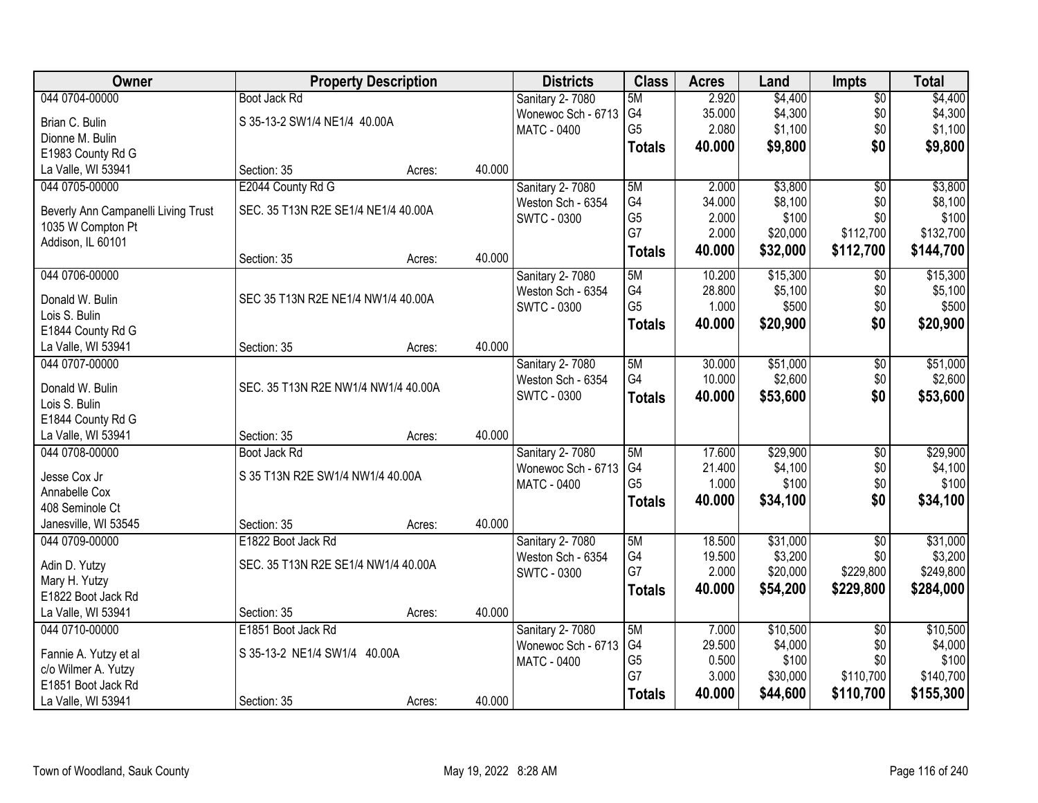| Owner                                   |                                     | <b>Property Description</b> |        | <b>Districts</b>       | <b>Class</b>   | <b>Acres</b> | Land     | <b>Impts</b>    | <b>Total</b> |
|-----------------------------------------|-------------------------------------|-----------------------------|--------|------------------------|----------------|--------------|----------|-----------------|--------------|
| 044 0704-00000                          | Boot Jack Rd                        |                             |        | Sanitary 2-7080        | 5M             | 2.920        | \$4,400  | $\overline{50}$ | \$4,400      |
| Brian C. Bulin                          | S 35-13-2 SW1/4 NE1/4 40.00A        |                             |        | Wonewoc Sch - 6713     | G4             | 35.000       | \$4,300  | \$0             | \$4,300      |
| Dionne M. Bulin                         |                                     |                             |        | <b>MATC - 0400</b>     | G <sub>5</sub> | 2.080        | \$1,100  | \$0             | \$1,100      |
| E1983 County Rd G                       |                                     |                             |        |                        | <b>Totals</b>  | 40.000       | \$9,800  | \$0             | \$9,800      |
| La Valle, WI 53941                      | Section: 35                         | Acres:                      | 40.000 |                        |                |              |          |                 |              |
| 044 0705-00000                          | E2044 County Rd G                   |                             |        | Sanitary 2-7080        | 5M             | 2.000        | \$3,800  | $\overline{50}$ | \$3,800      |
|                                         |                                     |                             |        | Weston Sch - 6354      | G4             | 34.000       | \$8,100  | \$0             | \$8,100      |
| Beverly Ann Campanelli Living Trust     | SEC. 35 T13N R2E SE1/4 NE1/4 40.00A |                             |        | SWTC - 0300            | G <sub>5</sub> | 2.000        | \$100    | \$0             | \$100        |
| 1035 W Compton Pt<br>Addison, IL 60101  |                                     |                             |        |                        | G7             | 2.000        | \$20,000 | \$112,700       | \$132,700    |
|                                         | Section: 35                         | Acres:                      | 40.000 |                        | <b>Totals</b>  | 40.000       | \$32,000 | \$112,700       | \$144,700    |
| 044 0706-00000                          |                                     |                             |        | Sanitary 2- 7080       | 5M             | 10.200       | \$15,300 | $\sqrt[6]{}$    | \$15,300     |
|                                         |                                     |                             |        | Weston Sch - 6354      | G4             | 28.800       | \$5,100  | \$0             | \$5,100      |
| Donald W. Bulin                         | SEC 35 T13N R2E NE1/4 NW1/4 40.00A  |                             |        | <b>SWTC - 0300</b>     | G <sub>5</sub> | 1.000        | \$500    | \$0             | \$500        |
| Lois S. Bulin                           |                                     |                             |        |                        | <b>Totals</b>  | 40.000       | \$20,900 | \$0             | \$20,900     |
| E1844 County Rd G<br>La Valle, WI 53941 | Section: 35                         | Acres:                      | 40.000 |                        |                |              |          |                 |              |
| 044 0707-00000                          |                                     |                             |        | Sanitary 2-7080        | 5M             | 30.000       | \$51,000 | \$0             | \$51,000     |
|                                         |                                     |                             |        | Weston Sch - 6354      | G4             | 10.000       | \$2,600  | \$0             | \$2,600      |
| Donald W. Bulin                         | SEC. 35 T13N R2E NW1/4 NW1/4 40.00A |                             |        | <b>SWTC - 0300</b>     |                | 40.000       | \$53,600 | \$0             | \$53,600     |
| Lois S. Bulin                           |                                     |                             |        |                        | <b>Totals</b>  |              |          |                 |              |
| E1844 County Rd G                       |                                     |                             |        |                        |                |              |          |                 |              |
| La Valle, WI 53941                      | Section: 35                         | Acres:                      | 40.000 |                        |                |              |          |                 |              |
| 044 0708-00000                          | Boot Jack Rd                        |                             |        | <b>Sanitary 2-7080</b> | 5M             | 17.600       | \$29,900 | $\overline{50}$ | \$29,900     |
| Jesse Cox Jr                            | S 35 T13N R2E SW1/4 NW1/4 40.00A    |                             |        | Wonewoc Sch - 6713     | G4             | 21.400       | \$4,100  | \$0             | \$4,100      |
| Annabelle Cox                           |                                     |                             |        | <b>MATC - 0400</b>     | G <sub>5</sub> | 1.000        | \$100    | \$0             | \$100        |
| 408 Seminole Ct                         |                                     |                             |        |                        | <b>Totals</b>  | 40.000       | \$34,100 | \$0             | \$34,100     |
| Janesville, WI 53545                    | Section: 35                         | Acres:                      | 40.000 |                        |                |              |          |                 |              |
| 044 0709-00000                          | E1822 Boot Jack Rd                  |                             |        | Sanitary 2-7080        | 5M             | 18.500       | \$31,000 | $\overline{50}$ | \$31,000     |
| Adin D. Yutzy                           | SEC. 35 T13N R2E SE1/4 NW1/4 40.00A |                             |        | Weston Sch - 6354      | G4             | 19.500       | \$3,200  | \$0             | \$3,200      |
| Mary H. Yutzy                           |                                     |                             |        | <b>SWTC - 0300</b>     | G7             | 2.000        | \$20,000 | \$229,800       | \$249,800    |
| E1822 Boot Jack Rd                      |                                     |                             |        |                        | <b>Totals</b>  | 40.000       | \$54,200 | \$229,800       | \$284,000    |
| La Valle, WI 53941                      | Section: 35                         | Acres:                      | 40.000 |                        |                |              |          |                 |              |
| 044 0710-00000                          | E1851 Boot Jack Rd                  |                             |        | Sanitary 2-7080        | 5M             | 7.000        | \$10,500 | $\overline{60}$ | \$10,500     |
|                                         |                                     |                             |        | Wonewoc Sch - 6713     | G4             | 29.500       | \$4,000  | \$0             | \$4,000      |
| Fannie A. Yutzy et al                   | S 35-13-2 NE1/4 SW1/4 40.00A        |                             |        | <b>MATC - 0400</b>     | G <sub>5</sub> | 0.500        | \$100    | \$0             | \$100        |
| c/o Wilmer A. Yutzy                     |                                     |                             |        |                        | G7             | 3.000        | \$30,000 | \$110,700       | \$140,700    |
| E1851 Boot Jack Rd                      |                                     |                             | 40.000 |                        | <b>Totals</b>  | 40.000       | \$44,600 | \$110,700       | \$155,300    |
| La Valle, WI 53941                      | Section: 35                         | Acres:                      |        |                        |                |              |          |                 |              |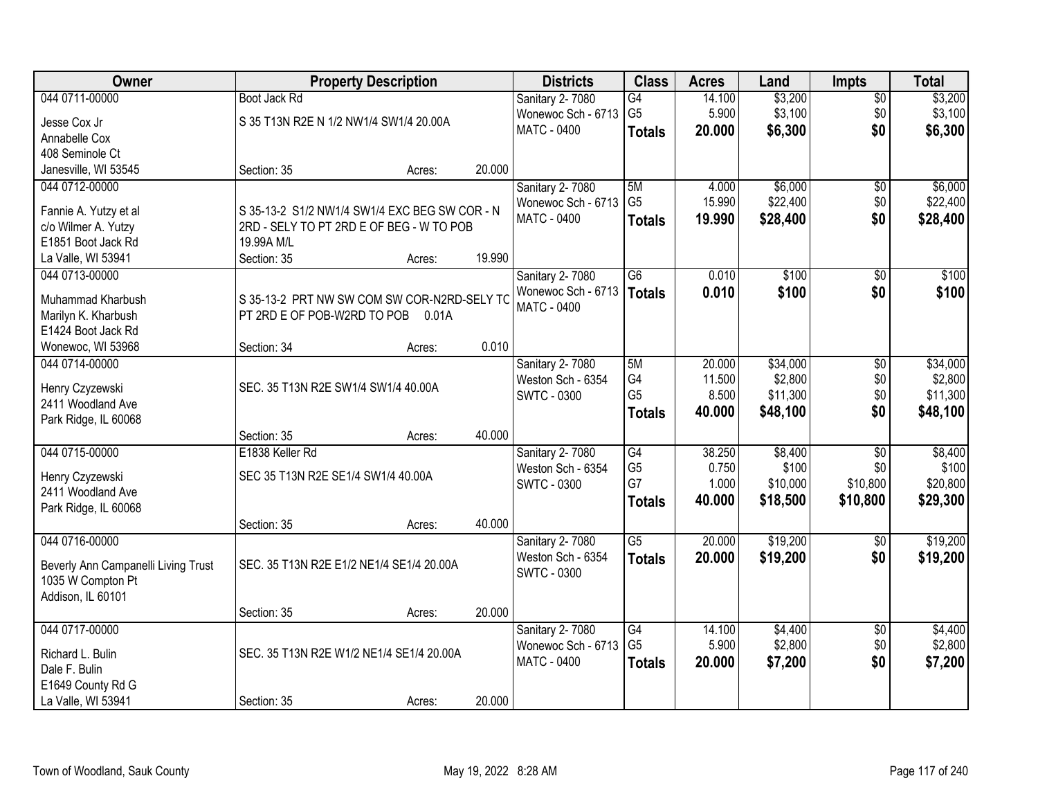| Owner                               |                                               | <b>Property Description</b> |        | <b>Districts</b>   | <b>Class</b>         | <b>Acres</b>    | Land              | <b>Impts</b>    | <b>Total</b>      |
|-------------------------------------|-----------------------------------------------|-----------------------------|--------|--------------------|----------------------|-----------------|-------------------|-----------------|-------------------|
| 044 0711-00000                      | Boot Jack Rd                                  |                             |        | Sanitary 2-7080    | $\overline{G4}$      | 14.100          | \$3,200           | $\overline{50}$ | \$3,200           |
| Jesse Cox Jr                        | S 35 T13N R2E N 1/2 NW1/4 SW1/4 20.00A        |                             |        | Wonewoc Sch - 6713 | G <sub>5</sub>       | 5.900           | \$3,100           | \$0             | \$3,100           |
| Annabelle Cox                       |                                               |                             |        | <b>MATC - 0400</b> | <b>Totals</b>        | 20.000          | \$6,300           | \$0             | \$6,300           |
| 408 Seminole Ct                     |                                               |                             |        |                    |                      |                 |                   |                 |                   |
| Janesville, WI 53545                | Section: 35                                   | Acres:                      | 20.000 |                    |                      |                 |                   |                 |                   |
| 044 0712-00000                      |                                               |                             |        | Sanitary 2-7080    | 5M                   | 4.000           | \$6,000           | \$0             | \$6,000           |
|                                     |                                               |                             |        | Wonewoc Sch - 6713 | G <sub>5</sub>       | 15.990          | \$22,400          | \$0             | \$22,400          |
| Fannie A. Yutzy et al               | S 35-13-2 S1/2 NW1/4 SW1/4 EXC BEG SW COR - N |                             |        | MATC - 0400        | <b>Totals</b>        | 19.990          | \$28,400          | \$0             | \$28,400          |
| c/o Wilmer A. Yutzy                 | 2RD - SELY TO PT 2RD E OF BEG - W TO POB      |                             |        |                    |                      |                 |                   |                 |                   |
| E1851 Boot Jack Rd                  | 19.99A M/L                                    |                             |        |                    |                      |                 |                   |                 |                   |
| La Valle, WI 53941                  | Section: 35                                   | Acres:                      | 19.990 |                    |                      |                 |                   |                 |                   |
| 044 0713-00000                      |                                               |                             |        | Sanitary 2-7080    | $\overline{G6}$      | 0.010           | \$100             | $\overline{50}$ | \$100             |
| Muhammad Kharbush                   | S 35-13-2 PRT NW SW COM SW COR-N2RD-SELY TC   |                             |        | Wonewoc Sch - 6713 | <b>Totals</b>        | 0.010           | \$100             | \$0             | \$100             |
| Marilyn K. Kharbush                 | PT 2RD E OF POB-W2RD TO POB                   | 0.01A                       |        | <b>MATC - 0400</b> |                      |                 |                   |                 |                   |
| E1424 Boot Jack Rd                  |                                               |                             |        |                    |                      |                 |                   |                 |                   |
| Wonewoc, WI 53968                   | Section: 34                                   | Acres:                      | 0.010  |                    |                      |                 |                   |                 |                   |
| 044 0714-00000                      |                                               |                             |        | Sanitary 2-7080    | 5M                   | 20.000          | \$34,000          | \$0             | \$34,000          |
|                                     |                                               |                             |        | Weston Sch - 6354  | G4                   | 11.500          | \$2,800           | \$0             | \$2,800           |
| Henry Czyzewski                     | SEC. 35 T13N R2E SW1/4 SW1/4 40.00A           |                             |        | <b>SWTC - 0300</b> | G <sub>5</sub>       | 8.500           | \$11,300          | \$0             | \$11,300          |
| 2411 Woodland Ave                   |                                               |                             |        |                    | <b>Totals</b>        | 40.000          | \$48,100          | \$0             | \$48,100          |
| Park Ridge, IL 60068                |                                               |                             |        |                    |                      |                 |                   |                 |                   |
|                                     | Section: 35                                   | Acres:                      | 40.000 |                    |                      |                 |                   |                 |                   |
| 044 0715-00000                      | E1838 Keller Rd                               |                             |        | Sanitary 2-7080    | $\overline{G4}$      | 38.250<br>0.750 | \$8,400           | $\overline{30}$ | \$8,400           |
| Henry Czyzewski                     | SEC 35 T13N R2E SE1/4 SW1/4 40.00A            |                             |        | Weston Sch - 6354  | G <sub>5</sub><br>G7 | 1.000           | \$100<br>\$10,000 | \$0<br>\$10,800 | \$100<br>\$20,800 |
| 2411 Woodland Ave                   |                                               |                             |        | <b>SWTC - 0300</b> |                      |                 |                   |                 |                   |
| Park Ridge, IL 60068                |                                               |                             |        |                    | <b>Totals</b>        | 40.000          | \$18,500          | \$10,800        | \$29,300          |
|                                     | Section: 35                                   | Acres:                      | 40.000 |                    |                      |                 |                   |                 |                   |
| 044 0716-00000                      |                                               |                             |        | Sanitary 2-7080    | $\overline{G5}$      | 20.000          | \$19,200          | \$0             | \$19,200          |
| Beverly Ann Campanelli Living Trust | SEC. 35 T13N R2E E1/2 NE1/4 SE1/4 20.00A      |                             |        | Weston Sch - 6354  | <b>Totals</b>        | 20.000          | \$19,200          | \$0             | \$19,200          |
| 1035 W Compton Pt                   |                                               |                             |        | <b>SWTC - 0300</b> |                      |                 |                   |                 |                   |
| Addison, IL 60101                   |                                               |                             |        |                    |                      |                 |                   |                 |                   |
|                                     | Section: 35                                   | Acres:                      | 20.000 |                    |                      |                 |                   |                 |                   |
| 044 0717-00000                      |                                               |                             |        | Sanitary 2-7080    | G4                   | 14.100          | \$4,400           | $\overline{30}$ | \$4,400           |
|                                     |                                               |                             |        | Wonewoc Sch - 6713 | G <sub>5</sub>       | 5.900           | \$2,800           | \$0             | \$2,800           |
| Richard L. Bulin                    | SEC. 35 T13N R2E W1/2 NE1/4 SE1/4 20.00A      |                             |        | <b>MATC - 0400</b> | <b>Totals</b>        | 20.000          | \$7,200           | \$0             | \$7,200           |
| Dale F. Bulin                       |                                               |                             |        |                    |                      |                 |                   |                 |                   |
| E1649 County Rd G                   |                                               |                             |        |                    |                      |                 |                   |                 |                   |
| La Valle, WI 53941                  | Section: 35                                   | Acres:                      | 20.000 |                    |                      |                 |                   |                 |                   |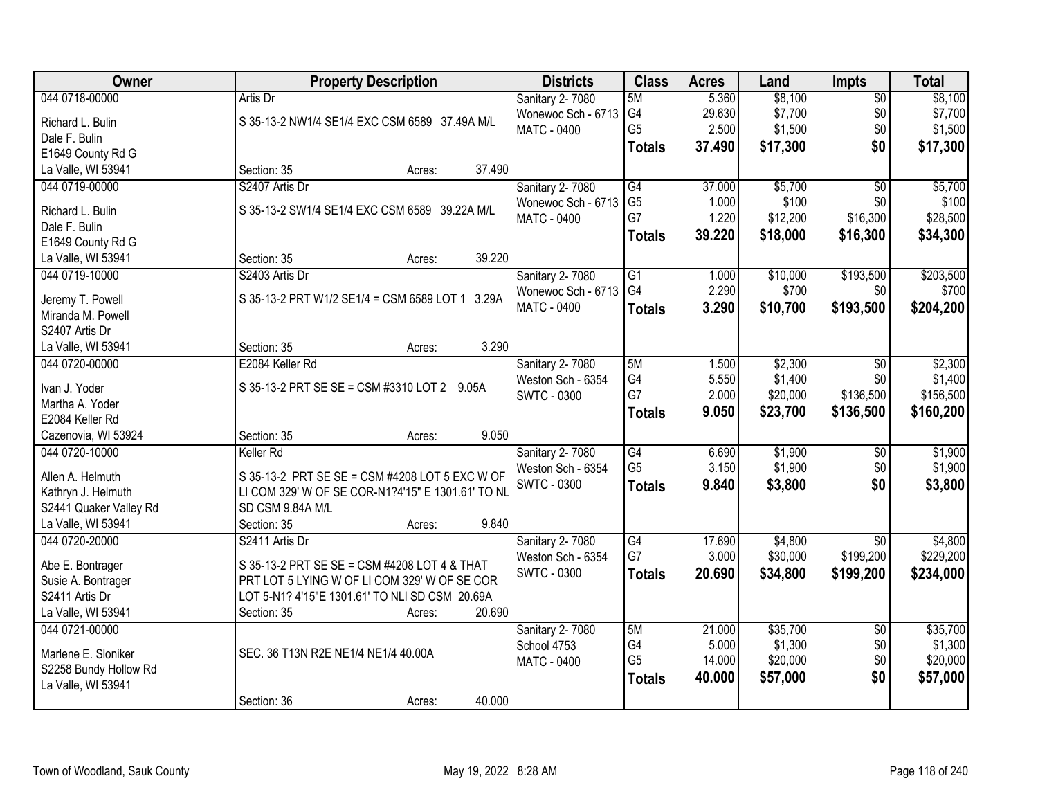| Owner                               | <b>Property Description</b>                       | <b>Districts</b>   | <b>Class</b>    | <b>Acres</b> | Land     | <b>Impts</b>    | <b>Total</b> |
|-------------------------------------|---------------------------------------------------|--------------------|-----------------|--------------|----------|-----------------|--------------|
| 044 0718-00000                      | Artis Dr                                          | Sanitary 2-7080    | 5M              | 5.360        | \$8,100  | $\overline{50}$ | \$8,100      |
| Richard L. Bulin                    | S 35-13-2 NW1/4 SE1/4 EXC CSM 6589 37.49A M/L     | Wonewoc Sch - 6713 | G4              | 29.630       | \$7,700  | \$0             | \$7,700      |
| Dale F. Bulin                       |                                                   | MATC - 0400        | G <sub>5</sub>  | 2.500        | \$1,500  | \$0             | \$1,500      |
| E1649 County Rd G                   |                                                   |                    | <b>Totals</b>   | 37.490       | \$17,300 | \$0             | \$17,300     |
| La Valle, WI 53941                  | 37.490<br>Section: 35<br>Acres:                   |                    |                 |              |          |                 |              |
| 044 0719-00000                      | S2407 Artis Dr                                    | Sanitary 2-7080    | G4              | 37.000       | \$5,700  | $\overline{30}$ | \$5,700      |
|                                     |                                                   | Wonewoc Sch - 6713 | G <sub>5</sub>  | 1.000        | \$100    | \$0             | \$100        |
| Richard L. Bulin                    | S 35-13-2 SW1/4 SE1/4 EXC CSM 6589 39.22A M/L     | MATC - 0400        | G7              | 1.220        | \$12,200 | \$16,300        | \$28,500     |
| Dale F. Bulin                       |                                                   |                    |                 | 39.220       | \$18,000 | \$16,300        |              |
| E1649 County Rd G                   |                                                   |                    | <b>Totals</b>   |              |          |                 | \$34,300     |
| La Valle, WI 53941                  | 39.220<br>Section: 35<br>Acres:                   |                    |                 |              |          |                 |              |
| 044 0719-10000                      | S2403 Artis Dr                                    | Sanitary 2-7080    | $\overline{G1}$ | 1.000        | \$10,000 | \$193,500       | \$203,500    |
|                                     | S 35-13-2 PRT W1/2 SE1/4 = CSM 6589 LOT 1 3.29A   | Wonewoc Sch - 6713 | G4              | 2.290        | \$700    | \$0             | \$700        |
| Jeremy T. Powell                    |                                                   | <b>MATC - 0400</b> | <b>Totals</b>   | 3.290        | \$10,700 | \$193,500       | \$204,200    |
| Miranda M. Powell<br>S2407 Artis Dr |                                                   |                    |                 |              |          |                 |              |
|                                     | 3.290                                             |                    |                 |              |          |                 |              |
| La Valle, WI 53941                  | Section: 35<br>Acres:                             |                    |                 |              |          |                 |              |
| 044 0720-00000                      | E2084 Keller Rd                                   | Sanitary 2-7080    | 5M              | 1.500        | \$2,300  | $\sqrt{6}$      | \$2,300      |
| Ivan J. Yoder                       | S 35-13-2 PRT SE SE = CSM #3310 LOT 2 9.05A       | Weston Sch - 6354  | G4              | 5.550        | \$1,400  | \$0             | \$1,400      |
| Martha A. Yoder                     |                                                   | SWTC - 0300        | G7              | 2.000        | \$20,000 | \$136,500       | \$156,500    |
| E2084 Keller Rd                     |                                                   |                    | <b>Totals</b>   | 9.050        | \$23,700 | \$136,500       | \$160,200    |
| Cazenovia, WI 53924                 | 9.050<br>Section: 35<br>Acres:                    |                    |                 |              |          |                 |              |
| 044 0720-10000                      | Keller Rd                                         | Sanitary 2-7080    | G4              | 6.690        | \$1,900  | $\overline{50}$ | \$1,900      |
|                                     |                                                   | Weston Sch - 6354  | G <sub>5</sub>  | 3.150        | \$1,900  | \$0             | \$1,900      |
| Allen A. Helmuth                    | S 35-13-2 PRT SE SE = CSM #4208 LOT 5 EXC W OF    | <b>SWTC - 0300</b> | <b>Totals</b>   | 9.840        | \$3,800  | \$0             | \$3,800      |
| Kathryn J. Helmuth                  | LI COM 329' W OF SE COR-N1?4'15" E 1301.61' TO NL |                    |                 |              |          |                 |              |
| S2441 Quaker Valley Rd              | SD CSM 9.84A M/L                                  |                    |                 |              |          |                 |              |
| La Valle, WI 53941                  | 9.840<br>Section: 35<br>Acres:                    |                    |                 |              |          |                 |              |
| 044 0720-20000                      | S2411 Artis Dr                                    | Sanitary 2-7080    | G4              | 17.690       | \$4,800  | $\sqrt{6}$      | \$4,800      |
| Abe E. Bontrager                    | S 35-13-2 PRT SE SE = CSM #4208 LOT 4 & THAT      | Weston Sch - 6354  | G7              | 3.000        | \$30,000 | \$199,200       | \$229,200    |
| Susie A. Bontrager                  | PRT LOT 5 LYING W OF LI COM 329' W OF SE COR      | <b>SWTC - 0300</b> | <b>Totals</b>   | 20.690       | \$34,800 | \$199,200       | \$234,000    |
| S2411 Artis Dr                      | LOT 5-N1? 4'15"E 1301.61' TO NLI SD CSM 20.69A    |                    |                 |              |          |                 |              |
| La Valle, WI 53941                  | 20.690<br>Section: 35<br>Acres:                   |                    |                 |              |          |                 |              |
| 044 0721-00000                      |                                                   | Sanitary 2-7080    | 5M              | 21.000       | \$35,700 | $\overline{50}$ | \$35,700     |
|                                     |                                                   | School 4753        | G4              | 5.000        | \$1,300  | \$0             | \$1,300      |
| Marlene E. Sloniker                 | SEC. 36 T13N R2E NE1/4 NE1/4 40.00A               | MATC - 0400        | G <sub>5</sub>  | 14.000       | \$20,000 | \$0             | \$20,000     |
| S2258 Bundy Hollow Rd               |                                                   |                    | <b>Totals</b>   | 40.000       | \$57,000 | \$0             | \$57,000     |
| La Valle, WI 53941                  |                                                   |                    |                 |              |          |                 |              |
|                                     | 40.000<br>Section: 36<br>Acres:                   |                    |                 |              |          |                 |              |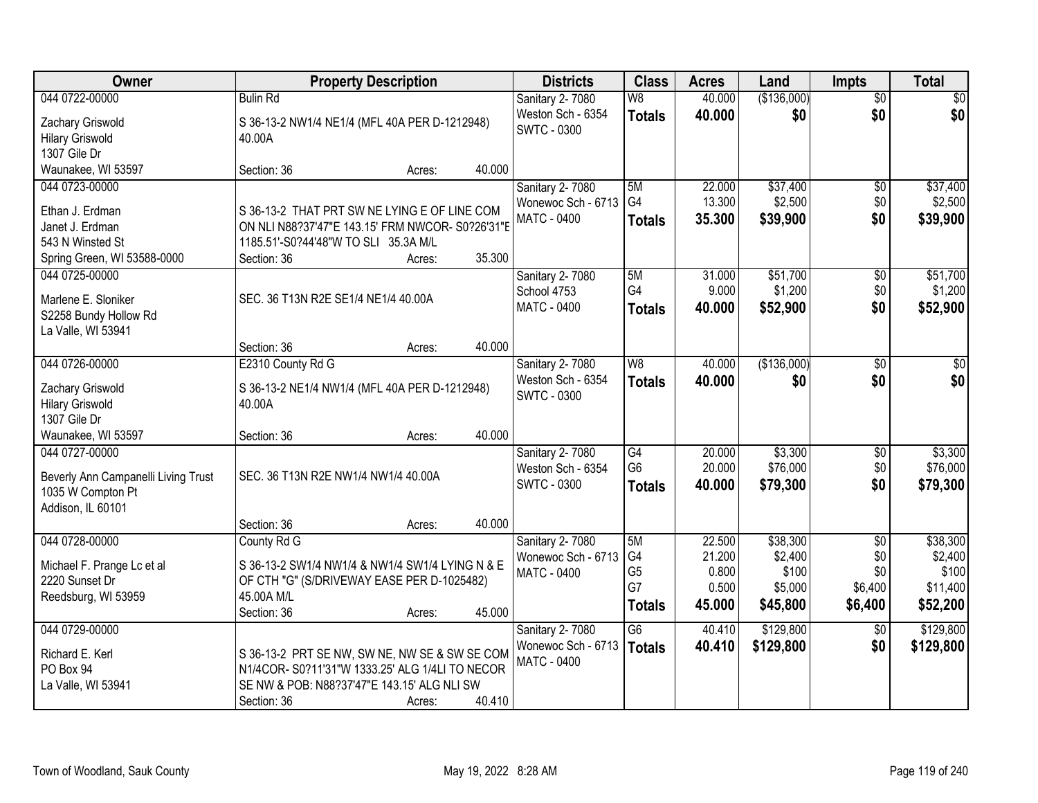| <b>Owner</b>                        |                                                  | <b>Property Description</b> |        | <b>Districts</b>       | <b>Class</b>   | <b>Acres</b> | Land        | <b>Impts</b>    | <b>Total</b> |
|-------------------------------------|--------------------------------------------------|-----------------------------|--------|------------------------|----------------|--------------|-------------|-----------------|--------------|
| 044 0722-00000                      | <b>Bulin Rd</b>                                  |                             |        | Sanitary 2-7080        | W8             | 40.000       | (\$136,000) | $\overline{50}$ | \$0          |
| Zachary Griswold                    | S 36-13-2 NW1/4 NE1/4 (MFL 40A PER D-1212948)    |                             |        | Weston Sch - 6354      | <b>Totals</b>  | 40.000       | \$0         | \$0             | \$0          |
| <b>Hilary Griswold</b>              | 40.00A                                           |                             |        | <b>SWTC - 0300</b>     |                |              |             |                 |              |
| 1307 Gile Dr                        |                                                  |                             |        |                        |                |              |             |                 |              |
| Waunakee, WI 53597                  | Section: 36                                      | Acres:                      | 40.000 |                        |                |              |             |                 |              |
| 044 0723-00000                      |                                                  |                             |        | Sanitary 2-7080        | 5M             | 22.000       | \$37,400    | \$0             | \$37,400     |
| Ethan J. Erdman                     | S 36-13-2 THAT PRT SW NE LYING E OF LINE COM     |                             |        | Wonewoc Sch - 6713     | G4             | 13.300       | \$2,500     | \$0             | \$2,500      |
| Janet J. Erdman                     | ON NLI N88?37'47"E 143.15' FRM NWCOR- S0?26'31"E |                             |        | MATC - 0400            | <b>Totals</b>  | 35.300       | \$39,900    | \$0             | \$39,900     |
| 543 N Winsted St                    | 1185.51'-S0?44'48"W TO SLI 35.3A M/L             |                             |        |                        |                |              |             |                 |              |
| Spring Green, WI 53588-0000         | Section: 36                                      | Acres:                      | 35.300 |                        |                |              |             |                 |              |
| 044 0725-00000                      |                                                  |                             |        | <b>Sanitary 2-7080</b> | 5M             | 31.000       | \$51,700    | \$0             | \$51,700     |
|                                     |                                                  |                             |        | School 4753            | G4             | 9.000        | \$1,200     | \$0             | \$1,200      |
| Marlene E. Sloniker                 | SEC. 36 T13N R2E SE1/4 NE1/4 40.00A              |                             |        | MATC - 0400            | <b>Totals</b>  | 40.000       | \$52,900    | \$0             | \$52,900     |
| S2258 Bundy Hollow Rd               |                                                  |                             |        |                        |                |              |             |                 |              |
| La Valle, WI 53941                  | Section: 36                                      |                             | 40.000 |                        |                |              |             |                 |              |
| 044 0726-00000                      | E2310 County Rd G                                | Acres:                      |        | Sanitary 2-7080        | W8             | 40.000       | (\$136,000) | $\sqrt[6]{3}$   | \$0          |
|                                     |                                                  |                             |        | Weston Sch - 6354      |                | 40.000       | \$0         | \$0             | \$0          |
| Zachary Griswold                    | S 36-13-2 NE1/4 NW1/4 (MFL 40A PER D-1212948)    |                             |        | <b>SWTC - 0300</b>     | <b>Totals</b>  |              |             |                 |              |
| <b>Hilary Griswold</b>              | 40.00A                                           |                             |        |                        |                |              |             |                 |              |
| 1307 Gile Dr                        |                                                  |                             |        |                        |                |              |             |                 |              |
| Waunakee, WI 53597                  | Section: 36                                      | Acres:                      | 40.000 |                        |                |              |             |                 |              |
| 044 0727-00000                      |                                                  |                             |        | Sanitary 2-7080        | G4             | 20.000       | \$3,300     | \$0             | \$3,300      |
| Beverly Ann Campanelli Living Trust | SEC. 36 T13N R2E NW1/4 NW1/4 40.00A              |                             |        | Weston Sch - 6354      | G <sub>6</sub> | 20.000       | \$76,000    | \$0             | \$76,000     |
| 1035 W Compton Pt                   |                                                  |                             |        | <b>SWTC - 0300</b>     | <b>Totals</b>  | 40.000       | \$79,300    | \$0             | \$79,300     |
| Addison, IL 60101                   |                                                  |                             |        |                        |                |              |             |                 |              |
|                                     | Section: 36                                      | Acres:                      | 40.000 |                        |                |              |             |                 |              |
| 044 0728-00000                      | County Rd G                                      |                             |        | Sanitary 2-7080        | 5M             | 22.500       | \$38,300    | $\overline{50}$ | \$38,300     |
| Michael F. Prange Lc et al          | S 36-13-2 SW1/4 NW1/4 & NW1/4 SW1/4 LYING N & E  |                             |        | Wonewoc Sch - 6713     | G4             | 21.200       | \$2,400     | \$0             | \$2,400      |
| 2220 Sunset Dr                      | OF CTH "G" (S/DRIVEWAY EASE PER D-1025482)       |                             |        | MATC - 0400            | G <sub>5</sub> | 0.800        | \$100       | \$0             | \$100        |
| Reedsburg, WI 53959                 | 45.00A M/L                                       |                             |        |                        | G7             | 0.500        | \$5,000     | \$6,400         | \$11,400     |
|                                     | Section: 36                                      | Acres:                      | 45.000 |                        | <b>Totals</b>  | 45.000       | \$45,800    | \$6,400         | \$52,200     |
| 044 0729-00000                      |                                                  |                             |        | Sanitary 2-7080        | G6             | 40.410       | \$129,800   | $\overline{60}$ | \$129,800    |
| Richard E. Kerl                     | S 36-13-2 PRT SE NW, SW NE, NW SE & SW SE COM    |                             |        | Wonewoc Sch - 6713     | <b>Totals</b>  | 40.410       | \$129,800   | \$0             | \$129,800    |
| PO Box 94                           | N1/4COR-S0?11'31"W 1333.25' ALG 1/4LI TO NECOR   |                             |        | <b>MATC - 0400</b>     |                |              |             |                 |              |
| La Valle, WI 53941                  | SE NW & POB: N88?37'47"E 143.15' ALG NLI SW      |                             |        |                        |                |              |             |                 |              |
|                                     | Section: 36                                      | Acres:                      | 40.410 |                        |                |              |             |                 |              |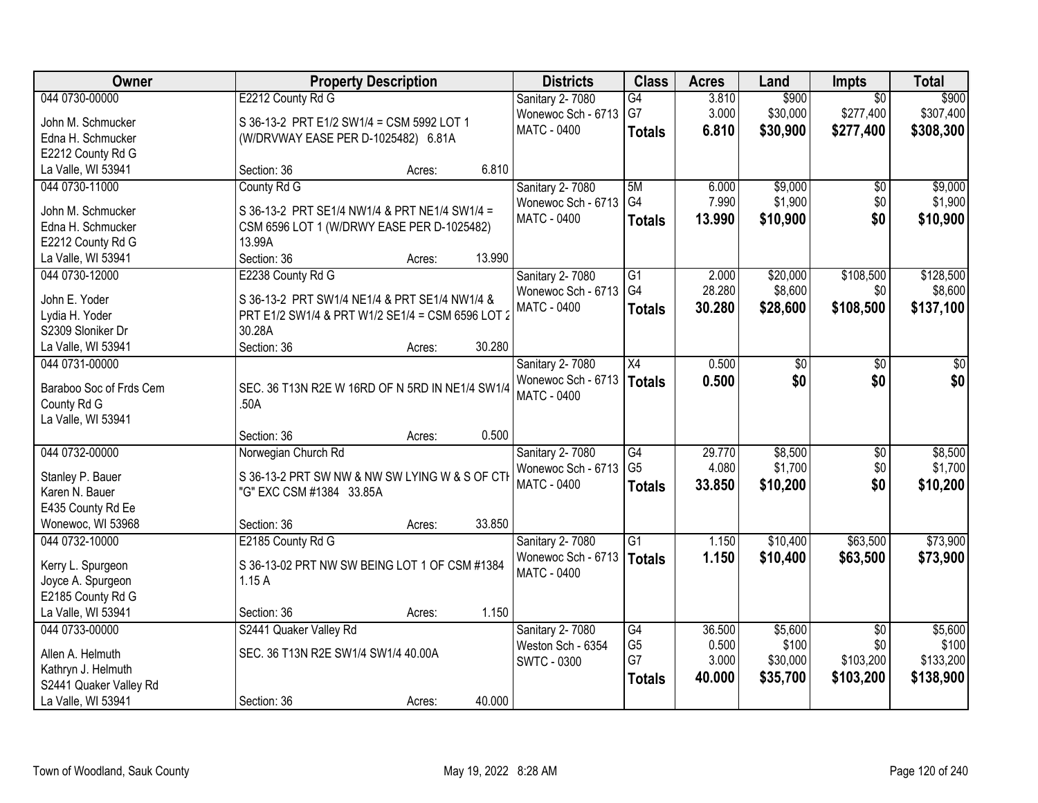| Owner                   | <b>Property Description</b>                      | <b>Districts</b>       | <b>Class</b>    | <b>Acres</b> | Land     | Impts           | <b>Total</b> |
|-------------------------|--------------------------------------------------|------------------------|-----------------|--------------|----------|-----------------|--------------|
| 044 0730-00000          | E2212 County Rd G                                | Sanitary 2-7080        | G4              | 3.810        | \$900    | $\overline{50}$ | \$900        |
| John M. Schmucker       | S 36-13-2 PRT E1/2 SW1/4 = CSM 5992 LOT 1        | Wonewoc Sch - 6713     | G7              | 3.000        | \$30,000 | \$277,400       | \$307,400    |
| Edna H. Schmucker       | (W/DRVWAY EASE PER D-1025482) 6.81A              | <b>MATC - 0400</b>     | <b>Totals</b>   | 6.810        | \$30,900 | \$277,400       | \$308,300    |
| E2212 County Rd G       |                                                  |                        |                 |              |          |                 |              |
| La Valle, WI 53941      | 6.810<br>Section: 36<br>Acres:                   |                        |                 |              |          |                 |              |
| 044 0730-11000          | County Rd G                                      | Sanitary 2-7080        | 5M              | 6.000        | \$9,000  | \$0             | \$9,000      |
|                         |                                                  | Wonewoc Sch - 6713     | G4              | 7.990        | \$1,900  | \$0             | \$1,900      |
| John M. Schmucker       | S 36-13-2 PRT SE1/4 NW1/4 & PRT NE1/4 SW1/4 =    | MATC - 0400            | <b>Totals</b>   | 13.990       | \$10,900 | \$0             | \$10,900     |
| Edna H. Schmucker       | CSM 6596 LOT 1 (W/DRWY EASE PER D-1025482)       |                        |                 |              |          |                 |              |
| E2212 County Rd G       | 13.99A                                           |                        |                 |              |          |                 |              |
| La Valle, WI 53941      | Section: 36<br>13.990<br>Acres:                  |                        |                 |              |          |                 |              |
| 044 0730-12000          | E2238 County Rd G                                | <b>Sanitary 2-7080</b> | G1              | 2.000        | \$20,000 | \$108,500       | \$128,500    |
| John E. Yoder           | S 36-13-2 PRT SW1/4 NE1/4 & PRT SE1/4 NW1/4 &    | Wonewoc Sch - 6713     | G4              | 28.280       | \$8,600  | \$0             | \$8,600      |
| Lydia H. Yoder          | PRT E1/2 SW1/4 & PRT W1/2 SE1/4 = CSM 6596 LOT 2 | <b>MATC - 0400</b>     | <b>Totals</b>   | 30.280       | \$28,600 | \$108,500       | \$137,100    |
| S2309 Sloniker Dr       | 30.28A                                           |                        |                 |              |          |                 |              |
| La Valle, WI 53941      | Section: 36<br>30.280<br>Acres:                  |                        |                 |              |          |                 |              |
| 044 0731-00000          |                                                  | Sanitary 2-7080        | X4              | 0.500        | \$0      | \$0             | \$0          |
|                         |                                                  | Wonewoc Sch - 6713     | <b>Totals</b>   | 0.500        | \$0      | \$0             | \$0          |
| Baraboo Soc of Frds Cem | SEC. 36 T13N R2E W 16RD OF N 5RD IN NE1/4 SW1/4  | <b>MATC - 0400</b>     |                 |              |          |                 |              |
| County Rd G             | .50A                                             |                        |                 |              |          |                 |              |
| La Valle, WI 53941      |                                                  |                        |                 |              |          |                 |              |
|                         | 0.500<br>Section: 36<br>Acres:                   |                        |                 |              |          |                 |              |
| 044 0732-00000          | Norwegian Church Rd                              | Sanitary 2-7080        | $\overline{G4}$ | 29.770       | \$8,500  | $\overline{50}$ | \$8,500      |
| Stanley P. Bauer        | S 36-13-2 PRT SW NW & NW SW LYING W & S OF CTH   | Wonewoc Sch - 6713     | G <sub>5</sub>  | 4.080        | \$1,700  | \$0             | \$1,700      |
| Karen N. Bauer          | "G" EXC CSM #1384 33.85A                         | <b>MATC - 0400</b>     | <b>Totals</b>   | 33.850       | \$10,200 | \$0             | \$10,200     |
| E435 County Rd Ee       |                                                  |                        |                 |              |          |                 |              |
| Wonewoc, WI 53968       | 33.850<br>Section: 36<br>Acres:                  |                        |                 |              |          |                 |              |
| 044 0732-10000          | E2185 County Rd G                                | Sanitary 2-7080        | G1              | 1.150        | \$10,400 | \$63,500        | \$73,900     |
|                         |                                                  | Wonewoc Sch - 6713     |                 | 1.150        | \$10,400 | \$63,500        | \$73,900     |
| Kerry L. Spurgeon       | S 36-13-02 PRT NW SW BEING LOT 1 OF CSM #1384    | <b>MATC - 0400</b>     | <b>Totals</b>   |              |          |                 |              |
| Joyce A. Spurgeon       | 1.15A                                            |                        |                 |              |          |                 |              |
| E2185 County Rd G       |                                                  |                        |                 |              |          |                 |              |
| La Valle, WI 53941      | 1.150<br>Section: 36<br>Acres:                   |                        |                 |              |          |                 |              |
| 044 0733-00000          | S2441 Quaker Valley Rd                           | Sanitary 2-7080        | G4              | 36.500       | \$5,600  | $\overline{50}$ | \$5,600      |
| Allen A. Helmuth        | SEC. 36 T13N R2E SW1/4 SW1/4 40.00A              | Weston Sch - 6354      | G <sub>5</sub>  | 0.500        | \$100    | \$0             | \$100        |
| Kathryn J. Helmuth      |                                                  | <b>SWTC - 0300</b>     | G7              | 3.000        | \$30,000 | \$103,200       | \$133,200    |
| S2441 Quaker Valley Rd  |                                                  |                        | <b>Totals</b>   | 40.000       | \$35,700 | \$103,200       | \$138,900    |
| La Valle, WI 53941      | 40.000<br>Section: 36                            |                        |                 |              |          |                 |              |
|                         | Acres:                                           |                        |                 |              |          |                 |              |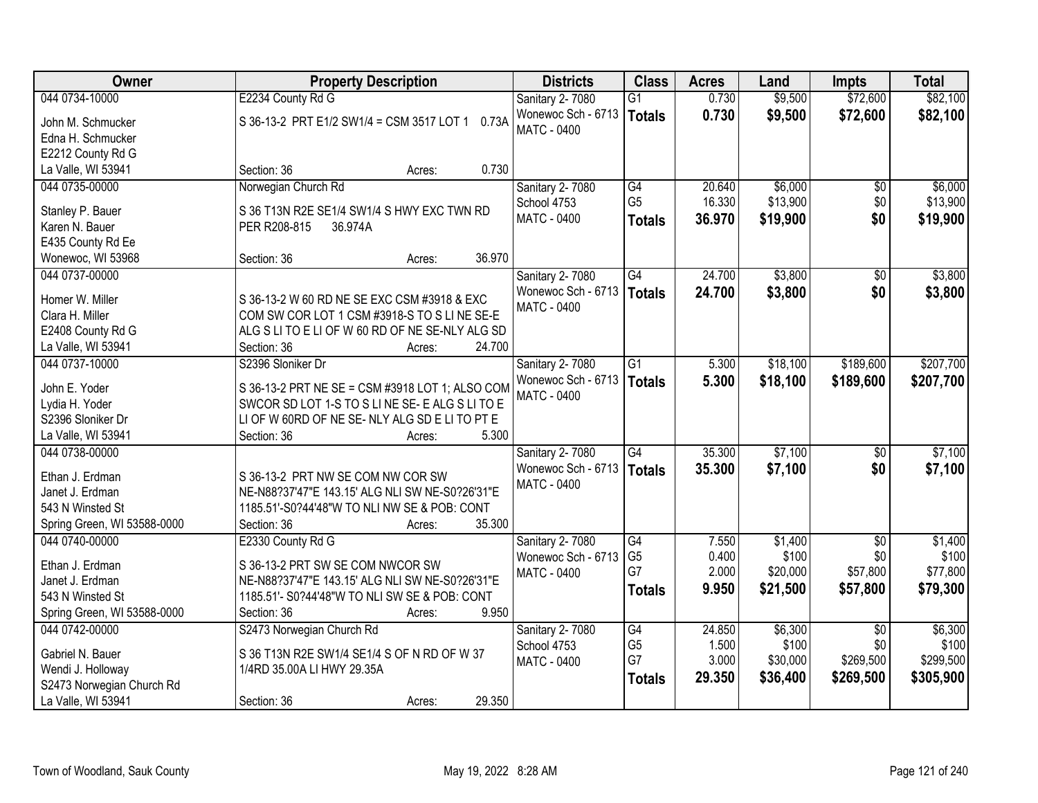| Owner                       | <b>Property Description</b>                     | <b>Districts</b>   | <b>Class</b>    | <b>Acres</b> | Land     | <b>Impts</b>    | <b>Total</b> |
|-----------------------------|-------------------------------------------------|--------------------|-----------------|--------------|----------|-----------------|--------------|
| 044 0734-10000              | E2234 County Rd G                               | Sanitary 2-7080    | $\overline{G1}$ | 0.730        | \$9,500  | \$72,600        | \$82,100     |
| John M. Schmucker           | S 36-13-2 PRT E1/2 SW1/4 = CSM 3517 LOT 1 0.73A | Wonewoc Sch - 6713 | <b>Totals</b>   | 0.730        | \$9,500  | \$72,600        | \$82,100     |
| Edna H. Schmucker           |                                                 | <b>MATC - 0400</b> |                 |              |          |                 |              |
| E2212 County Rd G           |                                                 |                    |                 |              |          |                 |              |
| La Valle, WI 53941          | 0.730<br>Section: 36<br>Acres:                  |                    |                 |              |          |                 |              |
| 044 0735-00000              | Norwegian Church Rd                             | Sanitary 2-7080    | G4              | 20.640       | \$6,000  | \$0             | \$6,000      |
|                             |                                                 | School 4753        | G <sub>5</sub>  | 16.330       | \$13,900 | \$0             | \$13,900     |
| Stanley P. Bauer            | S 36 T13N R2E SE1/4 SW1/4 S HWY EXC TWN RD      | <b>MATC - 0400</b> | <b>Totals</b>   | 36.970       | \$19,900 | \$0             | \$19,900     |
| Karen N. Bauer              | PER R208-815<br>36.974A                         |                    |                 |              |          |                 |              |
| E435 County Rd Ee           |                                                 |                    |                 |              |          |                 |              |
| Wonewoc, WI 53968           | 36.970<br>Section: 36<br>Acres:                 |                    |                 |              |          |                 |              |
| 044 0737-00000              |                                                 | Sanitary 2-7080    | G4              | 24.700       | \$3,800  | \$0             | \$3,800      |
| Homer W. Miller             | S 36-13-2 W 60 RD NE SE EXC CSM #3918 & EXC     | Wonewoc Sch - 6713 | <b>Totals</b>   | 24.700       | \$3,800  | \$0             | \$3,800      |
| Clara H. Miller             | COM SW COR LOT 1 CSM #3918-S TO S LINE SE-E     | MATC - 0400        |                 |              |          |                 |              |
| E2408 County Rd G           | ALG S LITO E LIOF W 60 RD OF NE SE-NLY ALG SD   |                    |                 |              |          |                 |              |
| La Valle, WI 53941          | 24.700<br>Section: 36<br>Acres:                 |                    |                 |              |          |                 |              |
| 044 0737-10000              | S2396 Sloniker Dr                               | Sanitary 2-7080    | $\overline{G1}$ | 5.300        | \$18,100 | \$189,600       | \$207,700    |
|                             |                                                 | Wonewoc Sch - 6713 |                 | 5.300        | \$18,100 | \$189,600       |              |
| John E. Yoder               | S 36-13-2 PRT NE SE = CSM #3918 LOT 1; ALSO COM | <b>MATC - 0400</b> | <b>Totals</b>   |              |          |                 | \$207,700    |
| Lydia H. Yoder              | SWCOR SD LOT 1-S TO S LINE SE-E ALG S LITO E    |                    |                 |              |          |                 |              |
| S2396 Sloniker Dr           | LI OF W 60RD OF NE SE-NLY ALG SD E LI TO PT E   |                    |                 |              |          |                 |              |
| La Valle, WI 53941          | 5.300<br>Section: 36<br>Acres:                  |                    |                 |              |          |                 |              |
| 044 0738-00000              |                                                 | Sanitary 2-7080    | $\overline{G4}$ | 35.300       | \$7,100  | $\overline{50}$ | \$7,100      |
| Ethan J. Erdman             | S 36-13-2 PRT NW SE COM NW COR SW               | Wonewoc Sch - 6713 | <b>Totals</b>   | 35,300       | \$7,100  | \$0             | \$7,100      |
| Janet J. Erdman             | NE-N88?37'47"E 143.15' ALG NLI SW NE-S0?26'31"E | MATC - 0400        |                 |              |          |                 |              |
| 543 N Winsted St            | 1185.51'-S0?44'48"W TO NLI NW SE & POB: CONT    |                    |                 |              |          |                 |              |
| Spring Green, WI 53588-0000 | 35.300<br>Section: 36<br>Acres:                 |                    |                 |              |          |                 |              |
| 044 0740-00000              | E2330 County Rd G                               | Sanitary 2-7080    | G4              | 7.550        | \$1,400  | $\overline{50}$ | \$1,400      |
|                             |                                                 | Wonewoc Sch - 6713 | G <sub>5</sub>  | 0.400        | \$100    | \$0             | \$100        |
| Ethan J. Erdman             | S 36-13-2 PRT SW SE COM NWCOR SW                | MATC - 0400        | G7              | 2.000        | \$20,000 | \$57,800        | \$77,800     |
| Janet J. Erdman             | NE-N88?37'47"E 143.15' ALG NLI SW NE-S0?26'31"E |                    |                 | 9.950        | \$21,500 | \$57,800        | \$79,300     |
| 543 N Winsted St            | 1185.51'- S0?44'48"W TO NLI SW SE & POB: CONT   |                    | <b>Totals</b>   |              |          |                 |              |
| Spring Green, WI 53588-0000 | 9.950<br>Section: 36<br>Acres:                  |                    |                 |              |          |                 |              |
| 044 0742-00000              | S2473 Norwegian Church Rd                       | Sanitary 2-7080    | $\overline{G4}$ | 24.850       | \$6,300  | $\overline{50}$ | \$6,300      |
| Gabriel N. Bauer            | S 36 T13N R2E SW1/4 SE1/4 S OF N RD OF W 37     | School 4753        | G <sub>5</sub>  | 1.500        | \$100    | \$0             | \$100        |
| Wendi J. Holloway           | 1/4RD 35.00A LI HWY 29.35A                      | <b>MATC - 0400</b> | G7              | 3.000        | \$30,000 | \$269,500       | \$299,500    |
| S2473 Norwegian Church Rd   |                                                 |                    | <b>Totals</b>   | 29.350       | \$36,400 | \$269,500       | \$305,900    |
| La Valle, WI 53941          | 29.350                                          |                    |                 |              |          |                 |              |
|                             | Section: 36<br>Acres:                           |                    |                 |              |          |                 |              |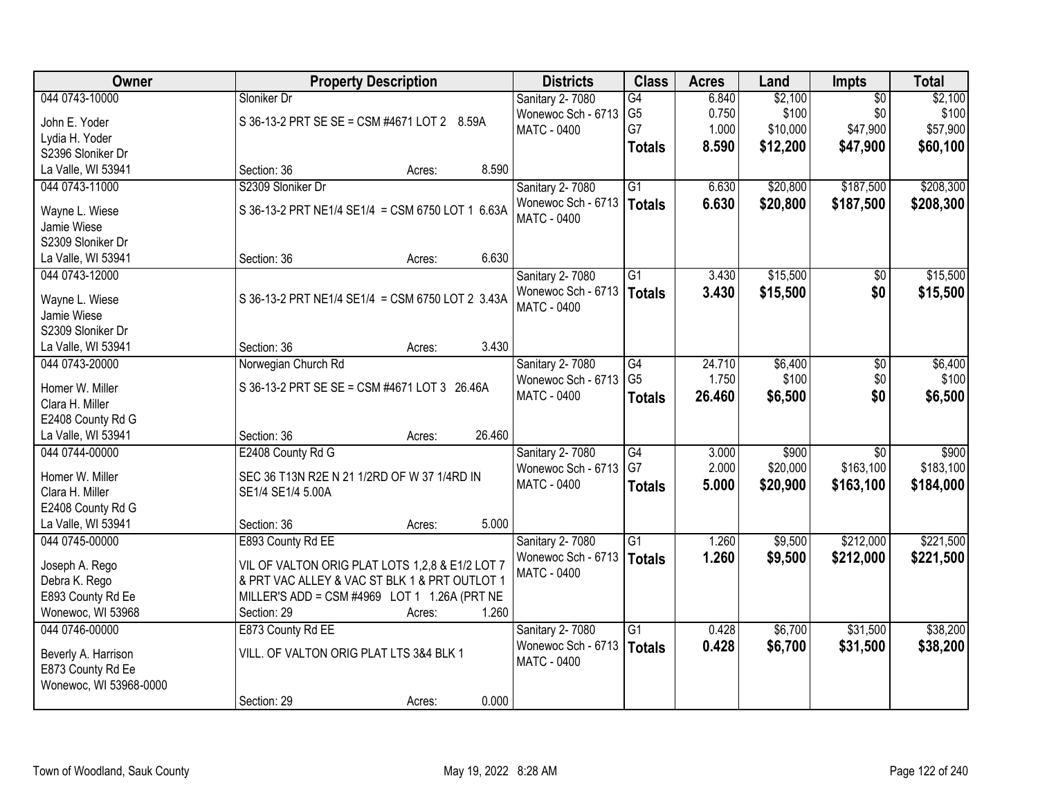| Owner                  | <b>Property Description</b>                           | <b>Districts</b>       | <b>Class</b>    | <b>Acres</b> | Land     | Impts           | <b>Total</b> |
|------------------------|-------------------------------------------------------|------------------------|-----------------|--------------|----------|-----------------|--------------|
| 044 0743-10000         | Sloniker Dr                                           | Sanitary 2-7080        | G4              | 6.840        | \$2,100  | $\overline{50}$ | \$2,100      |
| John E. Yoder          | S 36-13-2 PRT SE SE = CSM #4671 LOT 2 8.59A           | Wonewoc Sch - 6713     | G <sub>5</sub>  | 0.750        | \$100    | \$0             | \$100        |
| Lydia H. Yoder         |                                                       | <b>MATC - 0400</b>     | G7              | 1.000        | \$10,000 | \$47,900        | \$57,900     |
| S2396 Sloniker Dr      |                                                       |                        | <b>Totals</b>   | 8.590        | \$12,200 | \$47,900        | \$60,100     |
| La Valle, WI 53941     | 8.590<br>Section: 36<br>Acres:                        |                        |                 |              |          |                 |              |
| 044 0743-11000         | S2309 Sloniker Dr                                     |                        | $\overline{G1}$ |              | \$20,800 | \$187,500       | \$208,300    |
|                        |                                                       | Sanitary 2-7080        |                 | 6.630        |          |                 |              |
| Wayne L. Wiese         | S 36-13-2 PRT NE1/4 SE1/4 = CSM 6750 LOT 1 6.63A      | Wonewoc Sch - 6713     | <b>Totals</b>   | 6.630        | \$20,800 | \$187,500       | \$208,300    |
| Jamie Wiese            |                                                       | <b>MATC - 0400</b>     |                 |              |          |                 |              |
| S2309 Sloniker Dr      |                                                       |                        |                 |              |          |                 |              |
| La Valle, WI 53941     | 6.630<br>Section: 36<br>Acres:                        |                        |                 |              |          |                 |              |
| 044 0743-12000         |                                                       | Sanitary 2-7080        | $\overline{G1}$ | 3.430        | \$15,500 | \$0             | \$15,500     |
|                        |                                                       | Wonewoc Sch - 6713     | <b>Totals</b>   | 3.430        | \$15,500 | \$0             | \$15,500     |
| Wayne L. Wiese         | S 36-13-2 PRT NE1/4 SE1/4 = CSM 6750 LOT 2 3.43A      | MATC - 0400            |                 |              |          |                 |              |
| Jamie Wiese            |                                                       |                        |                 |              |          |                 |              |
| S2309 Sloniker Dr      |                                                       |                        |                 |              |          |                 |              |
| La Valle, WI 53941     | 3.430<br>Section: 36<br>Acres:                        |                        |                 |              |          |                 |              |
| 044 0743-20000         | Norwegian Church Rd                                   | Sanitary 2-7080        | $\overline{G4}$ | 24.710       | \$6,400  | \$0             | \$6,400      |
| Homer W. Miller        | S 36-13-2 PRT SE SE = CSM #4671 LOT 3 26.46A          | Wonewoc Sch - 6713     | G <sub>5</sub>  | 1.750        | \$100    | \$0             | \$100        |
| Clara H. Miller        |                                                       | MATC - 0400            | <b>Totals</b>   | 26.460       | \$6,500  | \$0             | \$6,500      |
| E2408 County Rd G      |                                                       |                        |                 |              |          |                 |              |
| La Valle, WI 53941     | 26.460<br>Section: 36<br>Acres:                       |                        |                 |              |          |                 |              |
| 044 0744-00000         | E2408 County Rd G                                     | <b>Sanitary 2-7080</b> | G4              | 3.000        | \$900    | $\overline{50}$ | \$900        |
|                        |                                                       | Wonewoc Sch - 6713     | G7              | 2.000        | \$20,000 | \$163,100       | \$183,100    |
| Homer W. Miller        | SEC 36 T13N R2E N 21 1/2RD OF W 37 1/4RD IN           | MATC - 0400            | <b>Totals</b>   | 5.000        | \$20,900 | \$163,100       | \$184,000    |
| Clara H. Miller        | SE1/4 SE1/4 5.00A                                     |                        |                 |              |          |                 |              |
| E2408 County Rd G      |                                                       |                        |                 |              |          |                 |              |
| La Valle, WI 53941     | 5.000<br>Section: 36<br>Acres:                        |                        |                 |              |          |                 |              |
| 044 0745-00000         | E893 County Rd EE                                     | Sanitary 2-7080        | G1              | 1.260        | \$9,500  | \$212,000       | \$221,500    |
|                        | VIL OF VALTON ORIG PLAT LOTS 1,2,8 & E1/2 LOT 7       | Wonewoc Sch - 6713     | <b>Totals</b>   | 1.260        | \$9,500  | \$212,000       | \$221,500    |
| Joseph A. Rego         | & PRT VAC ALLEY & VAC ST BLK 1 & PRT OUTLOT 1         | <b>MATC - 0400</b>     |                 |              |          |                 |              |
| Debra K. Rego          |                                                       |                        |                 |              |          |                 |              |
| E893 County Rd Ee      | MILLER'S ADD = CSM #4969 LOT 1 1.26A (PRT NE<br>1.260 |                        |                 |              |          |                 |              |
| Wonewoc, WI 53968      | Section: 29<br>Acres:                                 |                        |                 |              |          |                 |              |
| 044 0746-00000         | E873 County Rd EE                                     | Sanitary 2-7080        | $\overline{G1}$ | 0.428        | \$6,700  | \$31,500        | \$38,200     |
| Beverly A. Harrison    | VILL. OF VALTON ORIG PLAT LTS 3&4 BLK 1               | Wonewoc Sch - 6713     | <b>Totals</b>   | 0.428        | \$6,700  | \$31,500        | \$38,200     |
| E873 County Rd Ee      |                                                       | <b>MATC - 0400</b>     |                 |              |          |                 |              |
| Wonewoc, WI 53968-0000 |                                                       |                        |                 |              |          |                 |              |
|                        | 0.000<br>Section: 29<br>Acres:                        |                        |                 |              |          |                 |              |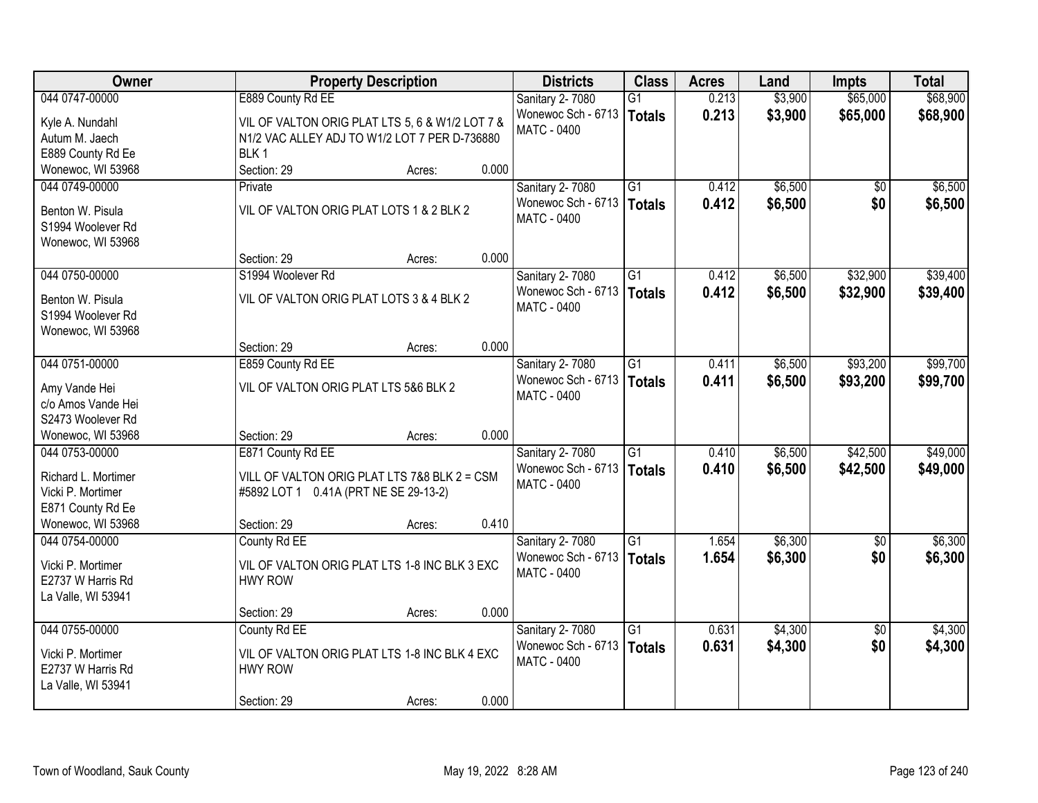| Owner                                    | <b>Property Description</b>                     |        |       | <b>Districts</b>       | <b>Class</b>    | <b>Acres</b> | Land    | <b>Impts</b>    | <b>Total</b> |
|------------------------------------------|-------------------------------------------------|--------|-------|------------------------|-----------------|--------------|---------|-----------------|--------------|
| 044 0747-00000                           | E889 County Rd EE                               |        |       | Sanitary 2-7080        | $\overline{G1}$ | 0.213        | \$3,900 | \$65,000        | \$68,900     |
| Kyle A. Nundahl                          | VIL OF VALTON ORIG PLAT LTS 5, 6 & W1/2 LOT 7 & |        |       | Wonewoc Sch - 6713     | <b>Totals</b>   | 0.213        | \$3,900 | \$65,000        | \$68,900     |
| Autum M. Jaech                           | N1/2 VAC ALLEY ADJ TO W1/2 LOT 7 PER D-736880   |        |       | <b>MATC - 0400</b>     |                 |              |         |                 |              |
| E889 County Rd Ee                        | BLK <sub>1</sub>                                |        |       |                        |                 |              |         |                 |              |
| Wonewoc, WI 53968                        | Section: 29                                     | Acres: | 0.000 |                        |                 |              |         |                 |              |
| 044 0749-00000                           | Private                                         |        |       | <b>Sanitary 2-7080</b> | $\overline{G1}$ | 0.412        | \$6,500 | \$0             | \$6,500      |
|                                          |                                                 |        |       | Wonewoc Sch - 6713     | <b>Totals</b>   | 0.412        | \$6,500 | \$0             | \$6,500      |
| Benton W. Pisula                         | VIL OF VALTON ORIG PLAT LOTS 1 & 2 BLK 2        |        |       | <b>MATC - 0400</b>     |                 |              |         |                 |              |
| S1994 Woolever Rd                        |                                                 |        |       |                        |                 |              |         |                 |              |
| Wonewoc, WI 53968                        | Section: 29                                     | Acres: | 0.000 |                        |                 |              |         |                 |              |
| 044 0750-00000                           | S1994 Woolever Rd                               |        |       | <b>Sanitary 2-7080</b> | G1              | 0.412        | \$6,500 | \$32,900        | \$39,400     |
|                                          |                                                 |        |       | Wonewoc Sch - 6713     |                 | 0.412        | \$6,500 | \$32,900        | \$39,400     |
| Benton W. Pisula                         | VIL OF VALTON ORIG PLAT LOTS 3 & 4 BLK 2        |        |       | <b>MATC - 0400</b>     | <b>Totals</b>   |              |         |                 |              |
| S1994 Woolever Rd                        |                                                 |        |       |                        |                 |              |         |                 |              |
| Wonewoc, WI 53968                        |                                                 |        |       |                        |                 |              |         |                 |              |
|                                          | Section: 29                                     | Acres: | 0.000 |                        |                 |              |         |                 |              |
| 044 0751-00000                           | E859 County Rd EE                               |        |       | Sanitary 2-7080        | $\overline{G1}$ | 0.411        | \$6,500 | \$93,200        | \$99,700     |
| Amy Vande Hei                            | VIL OF VALTON ORIG PLAT LTS 5&6 BLK 2           |        |       | Wonewoc Sch - 6713     | <b>Totals</b>   | 0.411        | \$6,500 | \$93,200        | \$99,700     |
| c/o Amos Vande Hei                       |                                                 |        |       | MATC - 0400            |                 |              |         |                 |              |
| S2473 Woolever Rd                        |                                                 |        |       |                        |                 |              |         |                 |              |
| Wonewoc, WI 53968                        | Section: 29                                     | Acres: | 0.000 |                        |                 |              |         |                 |              |
| 044 0753-00000                           | E871 County Rd EE                               |        |       | Sanitary 2-7080        | $\overline{G1}$ | 0.410        | \$6,500 | \$42,500        | \$49,000     |
|                                          |                                                 |        |       | Wonewoc Sch - 6713     | <b>Totals</b>   | 0.410        | \$6,500 | \$42,500        | \$49,000     |
| Richard L. Mortimer<br>Vicki P. Mortimer | VILL OF VALTON ORIG PLAT LTS 7&8 BLK 2 = CSM    |        |       | MATC - 0400            |                 |              |         |                 |              |
| E871 County Rd Ee                        | #5892 LOT 1 0.41A (PRT NE SE 29-13-2)           |        |       |                        |                 |              |         |                 |              |
| Wonewoc, WI 53968                        | Section: 29                                     | Acres: | 0.410 |                        |                 |              |         |                 |              |
| 044 0754-00000                           | County Rd EE                                    |        |       | <b>Sanitary 2-7080</b> | $\overline{G1}$ | 1.654        | \$6,300 | $\overline{60}$ | \$6,300      |
|                                          |                                                 |        |       | Wonewoc Sch - 6713     | <b>Totals</b>   | 1.654        | \$6,300 | \$0             | \$6,300      |
| Vicki P. Mortimer                        | VIL OF VALTON ORIG PLAT LTS 1-8 INC BLK 3 EXC   |        |       | MATC - 0400            |                 |              |         |                 |              |
| E2737 W Harris Rd                        | <b>HWY ROW</b>                                  |        |       |                        |                 |              |         |                 |              |
| La Valle, WI 53941                       |                                                 |        |       |                        |                 |              |         |                 |              |
|                                          | Section: 29                                     | Acres: | 0.000 |                        |                 |              |         |                 |              |
| 044 0755-00000                           | County Rd EE                                    |        |       | Sanitary 2-7080        | $\overline{G1}$ | 0.631        | \$4,300 | $\overline{50}$ | \$4,300      |
| Vicki P. Mortimer                        | VIL OF VALTON ORIG PLAT LTS 1-8 INC BLK 4 EXC   |        |       | Wonewoc Sch - 6713     | <b>Totals</b>   | 0.631        | \$4,300 | \$0             | \$4,300      |
| E2737 W Harris Rd                        | <b>HWY ROW</b>                                  |        |       | <b>MATC - 0400</b>     |                 |              |         |                 |              |
| La Valle, WI 53941                       |                                                 |        |       |                        |                 |              |         |                 |              |
|                                          | Section: 29                                     | Acres: | 0.000 |                        |                 |              |         |                 |              |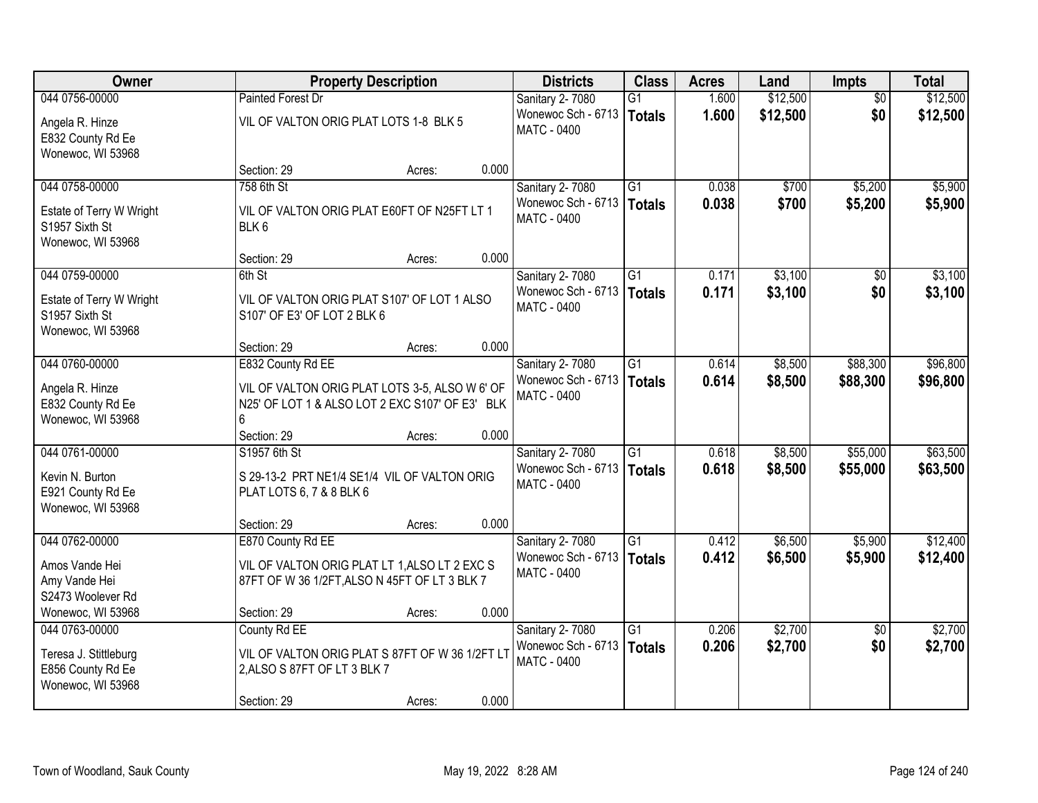| Owner                                                           |                                                                                                        | <b>Property Description</b> |       | <b>Districts</b>                         | <b>Class</b>    | <b>Acres</b> | Land     | <b>Impts</b>    | <b>Total</b> |
|-----------------------------------------------------------------|--------------------------------------------------------------------------------------------------------|-----------------------------|-------|------------------------------------------|-----------------|--------------|----------|-----------------|--------------|
| 044 0756-00000                                                  | <b>Painted Forest Dr</b>                                                                               |                             |       | Sanitary 2-7080                          | $\overline{G1}$ | 1.600        | \$12,500 | $\overline{50}$ | \$12,500     |
| Angela R. Hinze<br>E832 County Rd Ee<br>Wonewoc, WI 53968       | VIL OF VALTON ORIG PLAT LOTS 1-8 BLK 5                                                                 |                             |       | Wonewoc Sch - 6713<br><b>MATC - 0400</b> | <b>Totals</b>   | 1.600        | \$12,500 | \$0             | \$12,500     |
|                                                                 | Section: 29                                                                                            | Acres:                      | 0.000 |                                          |                 |              |          |                 |              |
| 044 0758-00000                                                  | 758 6th St                                                                                             |                             |       | Sanitary 2-7080                          | $\overline{G1}$ | 0.038        | \$700    | \$5,200         | \$5,900      |
| Estate of Terry W Wright<br>S1957 Sixth St<br>Wonewoc, WI 53968 | VIL OF VALTON ORIG PLAT E60FT OF N25FT LT 1<br>BLK <sub>6</sub>                                        |                             |       | Wonewoc Sch - 6713<br>MATC - 0400        | Totals          | 0.038        | \$700    | \$5,200         | \$5,900      |
|                                                                 | Section: 29                                                                                            | Acres:                      | 0.000 |                                          |                 |              |          |                 |              |
| 044 0759-00000                                                  | 6th St                                                                                                 |                             |       | Sanitary 2-7080                          | $\overline{G1}$ | 0.171        | \$3,100  | $\sqrt[6]{}$    | \$3,100      |
| Estate of Terry W Wright<br>S1957 Sixth St<br>Wonewoc, WI 53968 | VIL OF VALTON ORIG PLAT S107' OF LOT 1 ALSO<br>S107' OF E3' OF LOT 2 BLK 6                             |                             |       | Wonewoc Sch - 6713<br>MATC - 0400        | <b>Totals</b>   | 0.171        | \$3,100  | \$0             | \$3,100      |
|                                                                 | Section: 29                                                                                            | Acres:                      | 0.000 |                                          |                 |              |          |                 |              |
| 044 0760-00000                                                  | E832 County Rd EE                                                                                      |                             |       | Sanitary 2-7080                          | $\overline{G1}$ | 0.614        | \$8,500  | \$88,300        | \$96,800     |
| Angela R. Hinze<br>E832 County Rd Ee<br>Wonewoc, WI 53968       | VIL OF VALTON ORIG PLAT LOTS 3-5, ALSO W 6' OF<br>N25' OF LOT 1 & ALSO LOT 2 EXC S107' OF E3' BLK<br>6 |                             |       | Wonewoc Sch - 6713<br>MATC - 0400        | <b>Totals</b>   | 0.614        | \$8,500  | \$88,300        | \$96,800     |
|                                                                 | Section: 29                                                                                            | Acres:                      | 0.000 |                                          |                 |              |          |                 |              |
| 044 0761-00000                                                  | S1957 6th St                                                                                           |                             |       | Sanitary 2-7080                          | $\overline{G1}$ | 0.618        | \$8,500  | \$55,000        | \$63,500     |
| Kevin N. Burton<br>E921 County Rd Ee<br>Wonewoc, WI 53968       | S 29-13-2 PRT NE1/4 SE1/4 VIL OF VALTON ORIG<br>PLAT LOTS 6, 7 & 8 BLK 6                               |                             |       | Wonewoc Sch - 6713<br>MATC - 0400        | <b>Totals</b>   | 0.618        | \$8,500  | \$55,000        | \$63,500     |
|                                                                 | Section: 29                                                                                            | Acres:                      | 0.000 |                                          |                 |              |          |                 |              |
| 044 0762-00000                                                  | E870 County Rd EE                                                                                      |                             |       | Sanitary 2-7080                          | $\overline{G1}$ | 0.412        | \$6,500  | \$5,900         | \$12,400     |
| Amos Vande Hei<br>Amy Vande Hei<br>S2473 Woolever Rd            | VIL OF VALTON ORIG PLAT LT 1, ALSO LT 2 EXC S<br>87FT OF W 36 1/2FT, ALSO N 45FT OF LT 3 BLK 7         |                             |       | Wonewoc Sch - 6713<br>MATC - 0400        | <b>Totals</b>   | 0.412        | \$6,500  | \$5,900         | \$12,400     |
| Wonewoc, WI 53968                                               | Section: 29                                                                                            | Acres:                      | 0.000 |                                          |                 |              |          |                 |              |
| 044 0763-00000                                                  | County Rd EE                                                                                           |                             |       | Sanitary 2-7080                          | $\overline{G1}$ | 0.206        | \$2,700  | $\overline{30}$ | \$2,700      |
| Teresa J. Stittleburg<br>E856 County Rd Ee<br>Wonewoc, WI 53968 | VIL OF VALTON ORIG PLAT S 87FT OF W 36 1/2FT L1<br>2, ALSO S 87FT OF LT 3 BLK 7                        |                             |       | Wonewoc Sch - 6713<br><b>MATC - 0400</b> | <b>Totals</b>   | 0.206        | \$2,700  | \$0             | \$2,700      |
|                                                                 | Section: 29                                                                                            | Acres:                      | 0.000 |                                          |                 |              |          |                 |              |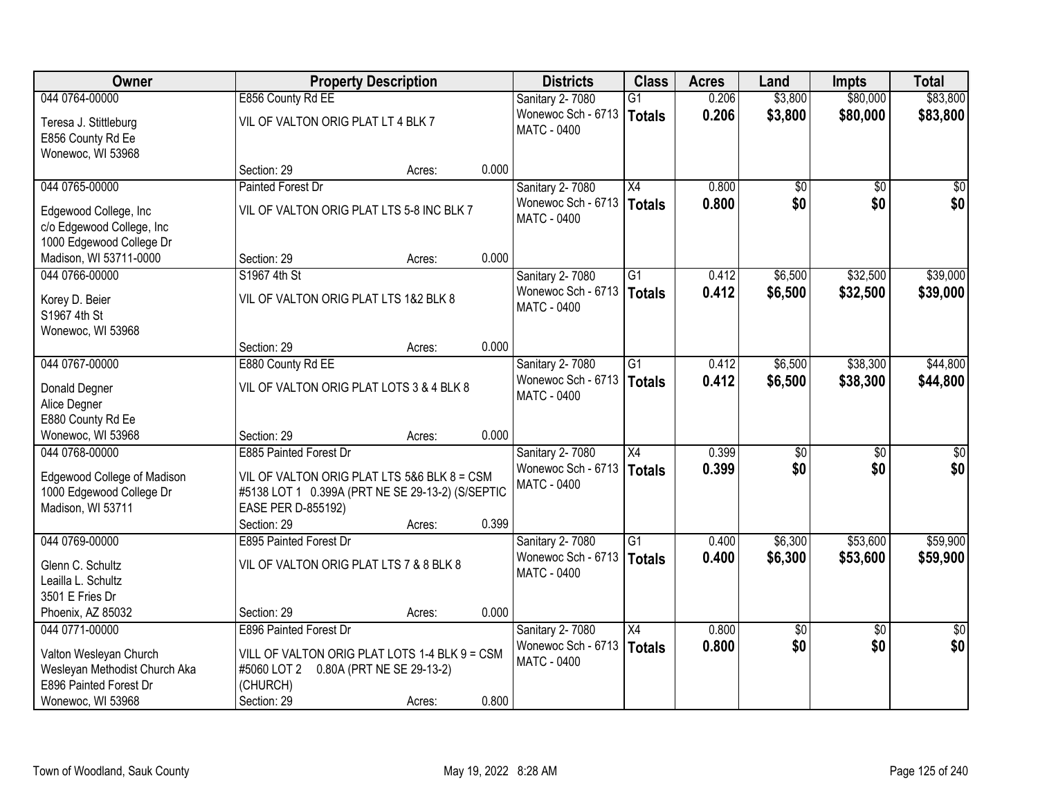| <b>Owner</b>                                            |                                                  | <b>Property Description</b> |       | <b>Districts</b>                             | <b>Class</b>    | <b>Acres</b> | Land    | <b>Impts</b>    | <b>Total</b>    |
|---------------------------------------------------------|--------------------------------------------------|-----------------------------|-------|----------------------------------------------|-----------------|--------------|---------|-----------------|-----------------|
| 044 0764-00000                                          | E856 County Rd EE                                |                             |       | Sanitary 2-7080                              | $\overline{G1}$ | 0.206        | \$3,800 | \$80,000        | \$83,800        |
| Teresa J. Stittleburg<br>E856 County Rd Ee              | VIL OF VALTON ORIG PLAT LT 4 BLK 7               |                             |       | Wonewoc Sch - 6713<br><b>MATC - 0400</b>     | <b>Totals</b>   | 0.206        | \$3,800 | \$80,000        | \$83,800        |
| Wonewoc, WI 53968                                       |                                                  |                             |       |                                              |                 |              |         |                 |                 |
|                                                         | Section: 29                                      | Acres:                      | 0.000 |                                              |                 |              |         |                 |                 |
| 044 0765-00000                                          | <b>Painted Forest Dr</b>                         |                             |       | <b>Sanitary 2-7080</b>                       | $\overline{X4}$ | 0.800        | \$0     | \$0             | \$0             |
| Edgewood College, Inc<br>c/o Edgewood College, Inc      | VIL OF VALTON ORIG PLAT LTS 5-8 INC BLK 7        |                             |       | Wonewoc Sch - 6713<br><b>MATC - 0400</b>     | <b>Totals</b>   | 0.800        | \$0     | \$0             | \$0             |
| 1000 Edgewood College Dr                                |                                                  |                             | 0.000 |                                              |                 |              |         |                 |                 |
| Madison, WI 53711-0000<br>044 0766-00000                | Section: 29<br>S1967 4th St                      | Acres:                      |       |                                              | G1              |              | \$6,500 | \$32,500        | \$39,000        |
|                                                         |                                                  |                             |       | <b>Sanitary 2-7080</b><br>Wonewoc Sch - 6713 |                 | 0.412        |         |                 |                 |
| Korey D. Beier<br>S1967 4th St                          | VIL OF VALTON ORIG PLAT LTS 1&2 BLK 8            |                             |       | <b>MATC - 0400</b>                           | <b>Totals</b>   | 0.412        | \$6,500 | \$32,500        | \$39,000        |
| Wonewoc, WI 53968                                       |                                                  |                             |       |                                              |                 |              |         |                 |                 |
|                                                         | Section: 29                                      | Acres:                      | 0.000 |                                              |                 |              |         |                 |                 |
| 044 0767-00000                                          | E880 County Rd EE                                |                             |       | Sanitary 2-7080                              | G1              | 0.412        | \$6,500 | \$38,300        | \$44,800        |
|                                                         |                                                  |                             |       | Wonewoc Sch - 6713                           | <b>Totals</b>   | 0.412        | \$6,500 | \$38,300        | \$44,800        |
| Donald Degner                                           | VIL OF VALTON ORIG PLAT LOTS 3 & 4 BLK 8         |                             |       | MATC - 0400                                  |                 |              |         |                 |                 |
| Alice Degner                                            |                                                  |                             |       |                                              |                 |              |         |                 |                 |
| E880 County Rd Ee                                       |                                                  |                             |       |                                              |                 |              |         |                 |                 |
| Wonewoc, WI 53968                                       | Section: 29                                      | Acres:                      | 0.000 |                                              |                 |              |         |                 |                 |
| 044 0768-00000                                          | <b>E885 Painted Forest Dr</b>                    |                             |       | <b>Sanitary 2-7080</b>                       | $\overline{X4}$ | 0.399        | \$0     | $\overline{50}$ | \$0             |
| Edgewood College of Madison                             | VIL OF VALTON ORIG PLAT LTS 5&6 BLK 8 = CSM      |                             |       | Wonewoc Sch - 6713                           | <b>Totals</b>   | 0.399        | \$0     | \$0             | \$0             |
| 1000 Edgewood College Dr                                | #5138 LOT 1 0.399A (PRT NE SE 29-13-2) (S/SEPTIC |                             |       | <b>MATC - 0400</b>                           |                 |              |         |                 |                 |
| Madison, WI 53711                                       | EASE PER D-855192)                               |                             |       |                                              |                 |              |         |                 |                 |
|                                                         | Section: 29                                      | Acres:                      | 0.399 |                                              |                 |              |         |                 |                 |
| 044 0769-00000                                          | E895 Painted Forest Dr                           |                             |       | <b>Sanitary 2-7080</b>                       | $\overline{G1}$ | 0.400        | \$6,300 | \$53,600        | \$59,900        |
| Glenn C. Schultz                                        | VIL OF VALTON ORIG PLAT LTS 7 & 8 BLK 8          |                             |       | Wonewoc Sch - 6713                           | <b>Totals</b>   | 0.400        | \$6,300 | \$53,600        | \$59,900        |
| Leailla L. Schultz                                      |                                                  |                             |       | <b>MATC - 0400</b>                           |                 |              |         |                 |                 |
| 3501 E Fries Dr                                         |                                                  |                             |       |                                              |                 |              |         |                 |                 |
| Phoenix, AZ 85032                                       | Section: 29                                      | Acres:                      | 0.000 |                                              |                 |              |         |                 |                 |
| 044 0771-00000                                          | E896 Painted Forest Dr                           |                             |       | Sanitary 2-7080                              | X4              | 0.800        | \$0     | $\overline{30}$ | $\overline{50}$ |
|                                                         |                                                  |                             |       | Wonewoc Sch - 6713                           | <b>Totals</b>   | 0.800        | \$0     | \$0             | \$0             |
| Valton Wesleyan Church                                  | VILL OF VALTON ORIG PLAT LOTS 1-4 BLK 9 = CSM    |                             |       | <b>MATC - 0400</b>                           |                 |              |         |                 |                 |
| Wesleyan Methodist Church Aka<br>E896 Painted Forest Dr | #5060 LOT 2<br>(CHURCH)                          | 0.80A (PRT NE SE 29-13-2)   |       |                                              |                 |              |         |                 |                 |
| Wonewoc, WI 53968                                       | Section: 29                                      |                             | 0.800 |                                              |                 |              |         |                 |                 |
|                                                         |                                                  | Acres:                      |       |                                              |                 |              |         |                 |                 |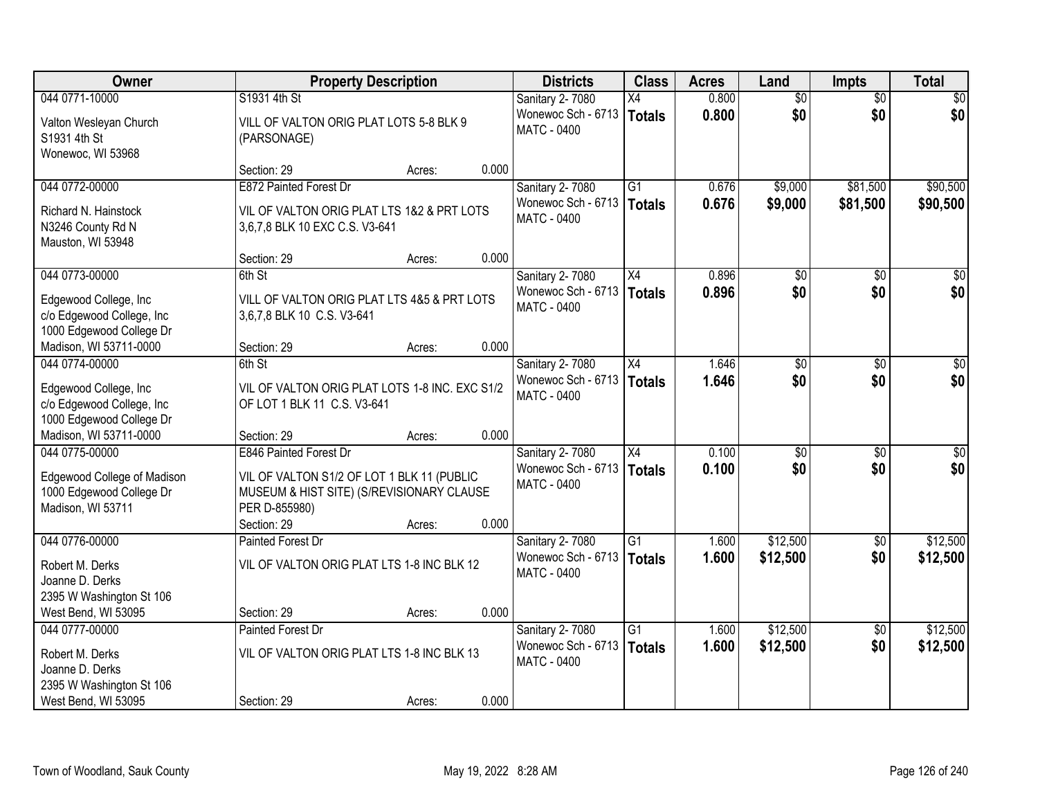| Owner                                                                          |                                                                                                          | <b>Property Description</b> |       | <b>Districts</b>                                                   | <b>Class</b>    | <b>Acres</b>   | Land            | <b>Impts</b>    | <b>Total</b>    |
|--------------------------------------------------------------------------------|----------------------------------------------------------------------------------------------------------|-----------------------------|-------|--------------------------------------------------------------------|-----------------|----------------|-----------------|-----------------|-----------------|
| 044 0771-10000                                                                 | S1931 4th St                                                                                             |                             |       | Sanitary 2-7080                                                    | X4              | 0.800          | $\overline{50}$ | $\overline{50}$ | \$0             |
| Valton Wesleyan Church<br>S1931 4th St<br>Wonewoc, WI 53968                    | VILL OF VALTON ORIG PLAT LOTS 5-8 BLK 9<br>(PARSONAGE)                                                   |                             |       | Wonewoc Sch - 6713<br>MATC - 0400                                  | Totals          | 0.800          | \$0             | \$0             | \$0             |
|                                                                                | Section: 29                                                                                              | Acres:                      | 0.000 |                                                                    |                 |                |                 |                 |                 |
| 044 0772-00000                                                                 | E872 Painted Forest Dr                                                                                   |                             |       | Sanitary 2-7080                                                    | $\overline{G1}$ | 0.676          | \$9,000         | \$81,500        | \$90,500        |
| Richard N. Hainstock<br>N3246 County Rd N<br>Mauston, WI 53948                 | VIL OF VALTON ORIG PLAT LTS 1&2 & PRT LOTS<br>3,6,7,8 BLK 10 EXC C.S. V3-641                             |                             |       | Wonewoc Sch - 6713<br><b>MATC - 0400</b>                           | Totals          | 0.676          | \$9,000         | \$81,500        | \$90,500        |
|                                                                                | Section: 29                                                                                              | Acres:                      | 0.000 |                                                                    |                 |                |                 |                 |                 |
| 044 0773-00000                                                                 | 6th St                                                                                                   |                             |       | Sanitary 2-7080                                                    | X4              | 0.896          | \$0             | \$0             | $\overline{30}$ |
| Edgewood College, Inc<br>c/o Edgewood College, Inc<br>1000 Edgewood College Dr | VILL OF VALTON ORIG PLAT LTS 4&5 & PRT LOTS<br>3,6,7,8 BLK 10 C.S. V3-641                                |                             |       | Wonewoc Sch - 6713<br>MATC - 0400                                  | Totals          | 0.896          | \$0             | \$0             | \$0             |
| Madison, WI 53711-0000                                                         | Section: 29                                                                                              | Acres:                      | 0.000 |                                                                    |                 |                |                 |                 |                 |
| 044 0774-00000                                                                 | 6th St                                                                                                   |                             |       | Sanitary 2-7080                                                    | X4              | 1.646          | \$0             | \$0             | $\sqrt{50}$     |
| Edgewood College, Inc<br>c/o Edgewood College, Inc<br>1000 Edgewood College Dr | VIL OF VALTON ORIG PLAT LOTS 1-8 INC. EXC S1/2<br>OF LOT 1 BLK 11 C.S. V3-641                            |                             |       | Wonewoc Sch - 6713<br>MATC - 0400                                  | Totals          | 1.646          | \$0             | \$0             | \$0             |
| Madison, WI 53711-0000                                                         | Section: 29                                                                                              | Acres:                      | 0.000 |                                                                    |                 |                |                 |                 |                 |
| 044 0775-00000                                                                 | <b>E846 Painted Forest Dr</b>                                                                            |                             |       | Sanitary 2-7080                                                    | $\overline{X4}$ | 0.100          | $\overline{50}$ | \$0             | $\overline{50}$ |
| Edgewood College of Madison<br>1000 Edgewood College Dr<br>Madison, WI 53711   | VIL OF VALTON S1/2 OF LOT 1 BLK 11 (PUBLIC<br>MUSEUM & HIST SITE) (S/REVISIONARY CLAUSE<br>PER D-855980) |                             |       | Wonewoc Sch - 6713<br>MATC - 0400                                  | <b>Totals</b>   | 0.100          | \$0             | \$0             | \$0             |
| 044 0776-00000                                                                 | Section: 29<br>Painted Forest Dr                                                                         | Acres:                      | 0.000 |                                                                    | $\overline{G1}$ |                | \$12,500        |                 | \$12,500        |
| Robert M. Derks<br>Joanne D. Derks<br>2395 W Washington St 106                 | VIL OF VALTON ORIG PLAT LTS 1-8 INC BLK 12                                                               |                             |       | <b>Sanitary 2-7080</b><br>Wonewoc Sch - 6713<br><b>MATC - 0400</b> | Totals          | 1.600<br>1.600 | \$12,500        | \$0<br>\$0      | \$12,500        |
| West Bend, WI 53095                                                            | Section: 29                                                                                              | Acres:                      | 0.000 |                                                                    |                 |                |                 |                 |                 |
| 044 0777-00000                                                                 | Painted Forest Dr                                                                                        |                             |       | Sanitary 2-7080                                                    | $\overline{G1}$ | 1.600          | \$12,500        | $\overline{50}$ | \$12,500        |
| Robert M. Derks<br>Joanne D. Derks<br>2395 W Washington St 106                 | VIL OF VALTON ORIG PLAT LTS 1-8 INC BLK 13                                                               |                             |       | Wonewoc Sch - 6713<br><b>MATC - 0400</b>                           | Totals          | 1.600          | \$12,500        | \$0             | \$12,500        |
| West Bend, WI 53095                                                            | Section: 29                                                                                              | Acres:                      | 0.000 |                                                                    |                 |                |                 |                 |                 |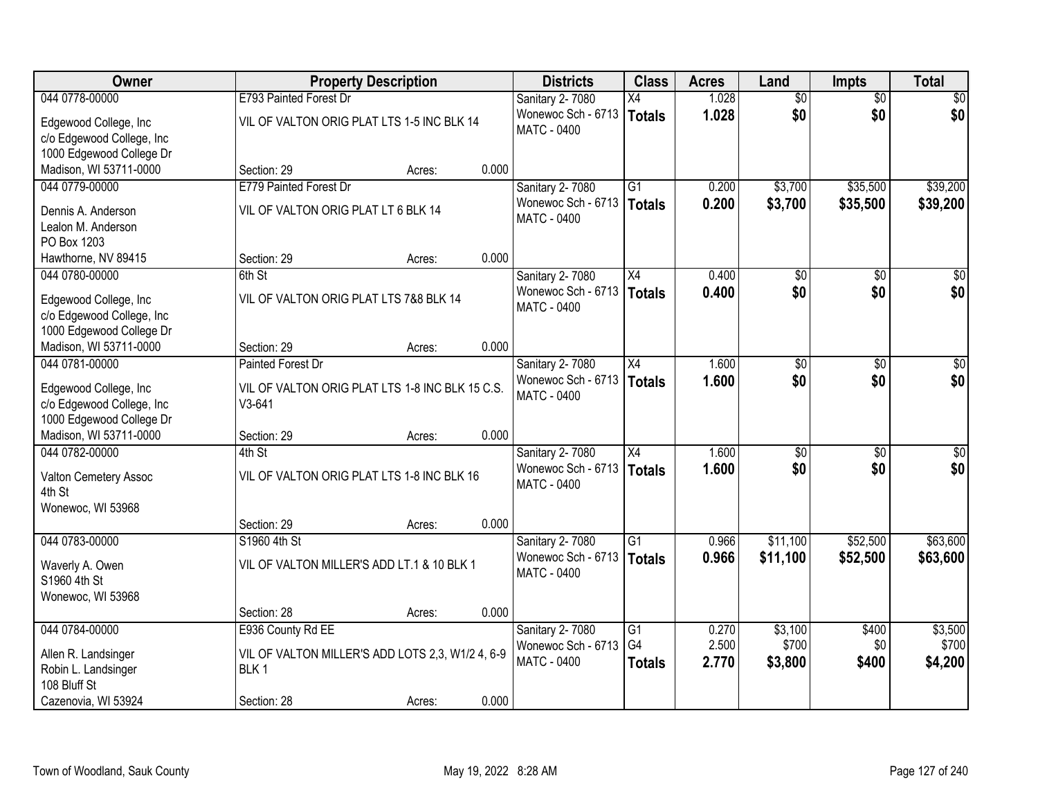| <b>Owner</b>                                                                   | <b>Property Description</b>                                          |                 | <b>Districts</b>                         | <b>Class</b>                    | <b>Acres</b>   | Land             | <b>Impts</b>  | <b>Total</b>     |
|--------------------------------------------------------------------------------|----------------------------------------------------------------------|-----------------|------------------------------------------|---------------------------------|----------------|------------------|---------------|------------------|
| 044 0778-00000                                                                 | E793 Painted Forest Dr                                               |                 | Sanitary 2-7080                          | X4                              | 1.028          | $\overline{50}$  | \$0           | \$0              |
| Edgewood College, Inc<br>c/o Edgewood College, Inc<br>1000 Edgewood College Dr | VIL OF VALTON ORIG PLAT LTS 1-5 INC BLK 14                           |                 | Wonewoc Sch - 6713<br>MATC - 0400        | <b>Totals</b>                   | 1.028          | \$0              | \$0           | \$0              |
| Madison, WI 53711-0000                                                         | Section: 29                                                          | 0.000<br>Acres: |                                          |                                 |                |                  |               |                  |
| 044 0779-00000                                                                 | E779 Painted Forest Dr                                               |                 | Sanitary 2-7080                          | $\overline{G1}$                 | 0.200          | \$3,700          | \$35,500      | \$39,200         |
| Dennis A. Anderson<br>Lealon M. Anderson<br>PO Box 1203                        | VIL OF VALTON ORIG PLAT LT 6 BLK 14                                  |                 | Wonewoc Sch - 6713<br>MATC - 0400        | Totals                          | 0.200          | \$3,700          | \$35,500      | \$39,200         |
| Hawthorne, NV 89415                                                            | Section: 29                                                          | 0.000<br>Acres: |                                          |                                 |                |                  |               |                  |
| 044 0780-00000                                                                 | 6th St                                                               |                 | Sanitary 2-7080                          | X4                              | 0.400          | \$0              | \$0           | \$0              |
| Edgewood College, Inc<br>c/o Edgewood College, Inc<br>1000 Edgewood College Dr | VIL OF VALTON ORIG PLAT LTS 7&8 BLK 14                               |                 | Wonewoc Sch - 6713<br>MATC - 0400        | <b>Totals</b>                   | 0.400          | \$0              | \$0           | \$0              |
| Madison, WI 53711-0000                                                         | Section: 29                                                          | 0.000<br>Acres: |                                          |                                 |                |                  |               |                  |
| 044 0781-00000                                                                 | <b>Painted Forest Dr</b>                                             |                 | Sanitary 2-7080                          | X4                              | 1.600          | \$0              | $\sqrt[6]{3}$ | $\sqrt{50}$      |
| Edgewood College, Inc<br>c/o Edgewood College, Inc<br>1000 Edgewood College Dr | VIL OF VALTON ORIG PLAT LTS 1-8 INC BLK 15 C.S.<br>$V3-641$          |                 | Wonewoc Sch - 6713<br><b>MATC - 0400</b> | <b>Totals</b>                   | 1.600          | \$0              | \$0           | \$0              |
| Madison, WI 53711-0000                                                         | Section: 29                                                          | 0.000<br>Acres: |                                          |                                 |                |                  |               |                  |
| 044 0782-00000                                                                 | 4th St                                                               |                 | <b>Sanitary 2-7080</b>                   | X4                              | 1.600          | \$0              | \$0           | $\sqrt{50}$      |
| Valton Cemetery Assoc<br>4th St<br>Wonewoc, WI 53968                           | VIL OF VALTON ORIG PLAT LTS 1-8 INC BLK 16                           |                 | Wonewoc Sch - 6713<br><b>MATC - 0400</b> | <b>Totals</b>                   | 1.600          | \$0              | \$0           | \$0              |
|                                                                                | Section: 29                                                          | 0.000<br>Acres: |                                          |                                 |                |                  |               |                  |
| 044 0783-00000                                                                 | S1960 4th St                                                         |                 | Sanitary 2-7080                          | $\overline{G1}$                 | 0.966          | \$11,100         | \$52,500      | \$63,600         |
| Waverly A. Owen<br>S1960 4th St<br>Wonewoc, WI 53968                           | VIL OF VALTON MILLER'S ADD LT.1 & 10 BLK 1                           |                 | Wonewoc Sch - 6713<br>MATC - 0400        | Totals                          | 0.966          | \$11,100         | \$52,500      | \$63,600         |
|                                                                                | Section: 28                                                          | 0.000<br>Acres: |                                          |                                 |                |                  |               |                  |
| 044 0784-00000                                                                 | E936 County Rd EE                                                    |                 | Sanitary 2-7080                          | G1                              | 0.270          | \$3,100          | \$400         | \$3,500          |
| Allen R. Landsinger<br>Robin L. Landsinger<br>108 Bluff St                     | VIL OF VALTON MILLER'S ADD LOTS 2,3, W1/2 4, 6-9<br>BLK <sub>1</sub> |                 | Wonewoc Sch - 6713<br>MATC - 0400        | G <sub>4</sub><br><b>Totals</b> | 2.500<br>2.770 | \$700<br>\$3,800 | \$0<br>\$400  | \$700<br>\$4,200 |
| Cazenovia, WI 53924                                                            | Section: 28                                                          | 0.000<br>Acres: |                                          |                                 |                |                  |               |                  |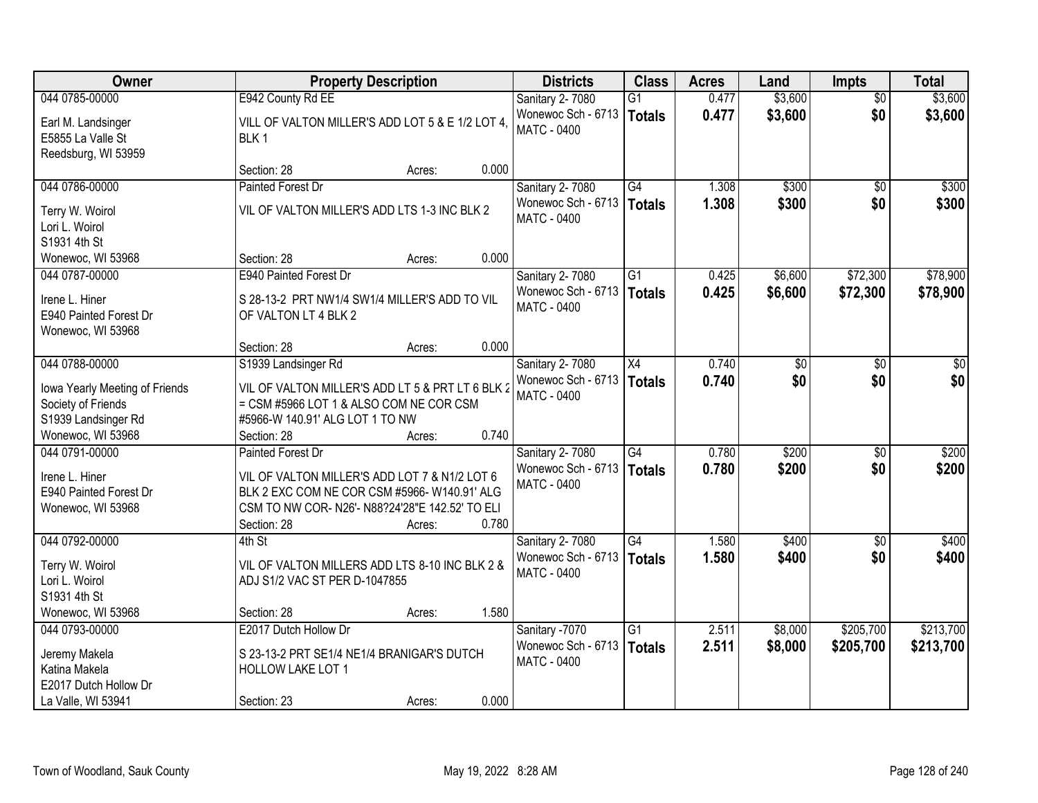| Owner                                                                       |                                                                                                                                                                | <b>Property Description</b> |       | <b>Districts</b>                         | <b>Class</b>    | <b>Acres</b> | Land    | <b>Impts</b>    | <b>Total</b> |
|-----------------------------------------------------------------------------|----------------------------------------------------------------------------------------------------------------------------------------------------------------|-----------------------------|-------|------------------------------------------|-----------------|--------------|---------|-----------------|--------------|
| 044 0785-00000                                                              | E942 County Rd EE                                                                                                                                              |                             |       | <b>Sanitary 2-7080</b>                   | $\overline{G1}$ | 0.477        | \$3,600 | $\overline{50}$ | \$3,600      |
| Earl M. Landsinger<br>E5855 La Valle St<br>Reedsburg, WI 53959              | VILL OF VALTON MILLER'S ADD LOT 5 & E 1/2 LOT 4,<br>BLK <sub>1</sub>                                                                                           |                             |       | Wonewoc Sch - 6713<br>MATC - 0400        | Totals          | 0.477        | \$3,600 | \$0             | \$3,600      |
|                                                                             | Section: 28                                                                                                                                                    | Acres:                      | 0.000 |                                          |                 |              |         |                 |              |
| 044 0786-00000                                                              | <b>Painted Forest Dr</b>                                                                                                                                       |                             |       | Sanitary 2-7080                          | $\overline{G4}$ | 1.308        | \$300   | \$0             | \$300        |
| Terry W. Woirol<br>Lori L. Woirol<br>S1931 4th St                           | VIL OF VALTON MILLER'S ADD LTS 1-3 INC BLK 2                                                                                                                   |                             |       | Wonewoc Sch - 6713<br><b>MATC - 0400</b> | Totals          | 1.308        | \$300   | \$0             | \$300        |
| Wonewoc, WI 53968                                                           | Section: 28                                                                                                                                                    | Acres:                      | 0.000 |                                          |                 |              |         |                 |              |
| 044 0787-00000                                                              | E940 Painted Forest Dr                                                                                                                                         |                             |       | Sanitary 2-7080                          | $\overline{G1}$ | 0.425        | \$6,600 | \$72,300        | \$78,900     |
| Irene L. Hiner<br>E940 Painted Forest Dr<br>Wonewoc, WI 53968               | S 28-13-2 PRT NW1/4 SW1/4 MILLER'S ADD TO VIL<br>OF VALTON LT 4 BLK 2                                                                                          |                             |       | Wonewoc Sch - 6713<br>MATC - 0400        | <b>Totals</b>   | 0.425        | \$6,600 | \$72,300        | \$78,900     |
|                                                                             | Section: 28                                                                                                                                                    | Acres:                      | 0.000 |                                          |                 |              |         |                 |              |
| 044 0788-00000                                                              | S1939 Landsinger Rd                                                                                                                                            |                             |       | Sanitary 2-7080                          | X4              | 0.740        | \$0     | $\sqrt[6]{3}$   | \$0          |
| lowa Yearly Meeting of Friends<br>Society of Friends<br>S1939 Landsinger Rd | VIL OF VALTON MILLER'S ADD LT 5 & PRT LT 6 BLK 2<br>= CSM #5966 LOT 1 & ALSO COM NE COR CSM<br>#5966-W 140.91' ALG LOT 1 TO NW                                 |                             |       | Wonewoc Sch - 6713<br><b>MATC - 0400</b> | Totals          | 0.740        | \$0     | \$0             | \$0          |
| Wonewoc, WI 53968                                                           | Section: 28                                                                                                                                                    | Acres:                      | 0.740 |                                          |                 |              |         |                 |              |
| 044 0791-00000                                                              | <b>Painted Forest Dr</b>                                                                                                                                       |                             |       | Sanitary 2-7080                          | $\overline{G4}$ | 0.780        | \$200   | $\overline{50}$ | \$200        |
| Irene L. Hiner<br>E940 Painted Forest Dr<br>Wonewoc, WI 53968               | VIL OF VALTON MILLER'S ADD LOT 7 & N1/2 LOT 6<br>BLK 2 EXC COM NE COR CSM #5966-W140.91' ALG<br>CSM TO NW COR- N26'- N88?24'28"E 142.52' TO ELI<br>Section: 28 | Acres:                      | 0.780 | Wonewoc Sch - 6713<br>MATC - 0400        | Totals          | 0.780        | \$200   | \$0             | \$200        |
| 044 0792-00000                                                              | 4th St                                                                                                                                                         |                             |       | Sanitary 2-7080                          | $\overline{G4}$ | 1.580        | \$400   | \$0             | \$400        |
| Terry W. Woirol<br>Lori L. Woirol<br>S1931 4th St                           | VIL OF VALTON MILLERS ADD LTS 8-10 INC BLK 2 &<br>ADJ S1/2 VAC ST PER D-1047855                                                                                |                             |       | Wonewoc Sch - 6713<br><b>MATC - 0400</b> | Totals          | 1.580        | \$400   | \$0             | \$400        |
| Wonewoc, WI 53968                                                           | Section: 28                                                                                                                                                    | Acres:                      | 1.580 |                                          |                 |              |         |                 |              |
| 044 0793-00000                                                              | E2017 Dutch Hollow Dr                                                                                                                                          |                             |       | Sanitary -7070                           | $\overline{G1}$ | 2.511        | \$8,000 | \$205,700       | \$213,700    |
| Jeremy Makela<br>Katina Makela<br>E2017 Dutch Hollow Dr                     | S 23-13-2 PRT SE1/4 NE1/4 BRANIGAR'S DUTCH<br>HOLLOW LAKE LOT 1                                                                                                |                             |       | Wonewoc Sch - 6713<br><b>MATC - 0400</b> | <b>Totals</b>   | 2.511        | \$8,000 | \$205,700       | \$213,700    |
| La Valle, WI 53941                                                          | Section: 23                                                                                                                                                    | Acres:                      | 0.000 |                                          |                 |              |         |                 |              |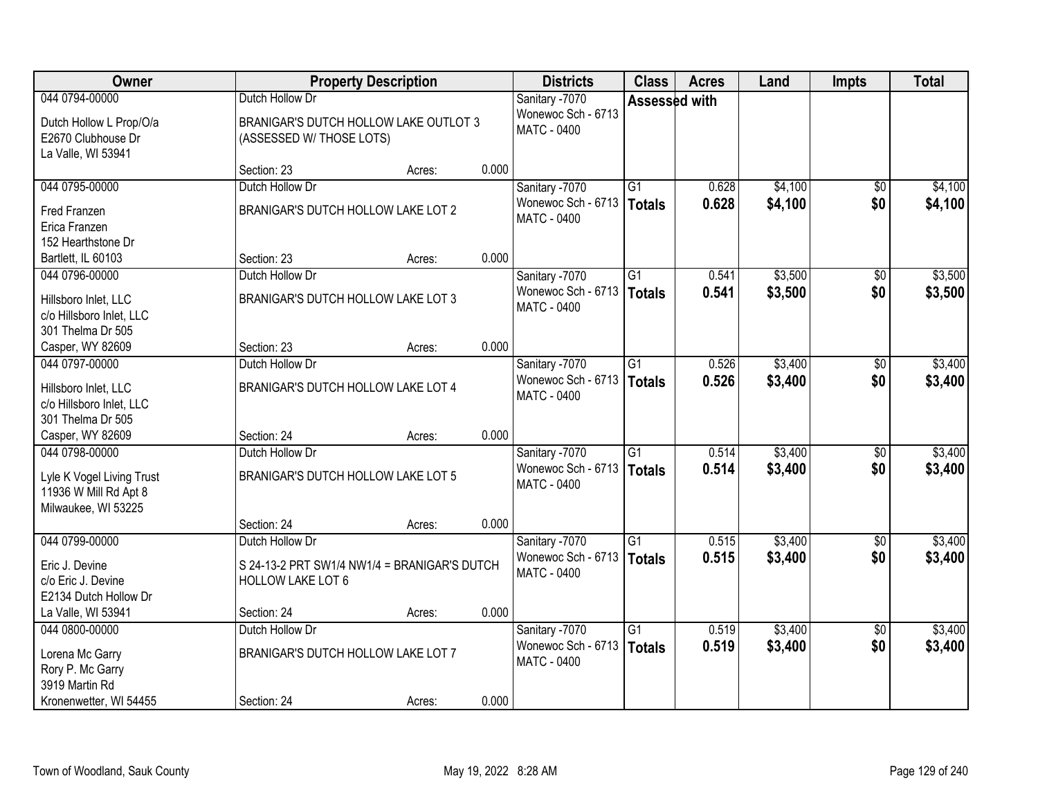| <b>Owner</b>                                       |                                              | <b>Property Description</b> |       | <b>Districts</b>            | <b>Class</b>    | <b>Acres</b> | Land    | <b>Impts</b>    | <b>Total</b> |
|----------------------------------------------------|----------------------------------------------|-----------------------------|-------|-----------------------------|-----------------|--------------|---------|-----------------|--------------|
| 044 0794-00000                                     | Dutch Hollow Dr                              |                             |       | Sanitary -7070              | Assessed with   |              |         |                 |              |
| Dutch Hollow L Prop/O/a                            | BRANIGAR'S DUTCH HOLLOW LAKE OUTLOT 3        |                             |       | Wonewoc Sch - 6713          |                 |              |         |                 |              |
| E2670 Clubhouse Dr                                 | (ASSESSED W/ THOSE LOTS)                     |                             |       | MATC - 0400                 |                 |              |         |                 |              |
| La Valle, WI 53941                                 |                                              |                             |       |                             |                 |              |         |                 |              |
|                                                    | Section: 23                                  | Acres:                      | 0.000 |                             |                 |              |         |                 |              |
| 044 0795-00000                                     | Dutch Hollow Dr                              |                             |       | Sanitary -7070              | $\overline{G1}$ | 0.628        | \$4,100 | \$0             | \$4,100      |
| Fred Franzen                                       | BRANIGAR'S DUTCH HOLLOW LAKE LOT 2           |                             |       | Wonewoc Sch - 6713   Totals |                 | 0.628        | \$4,100 | \$0             | \$4,100      |
| Erica Franzen                                      |                                              |                             |       | <b>MATC - 0400</b>          |                 |              |         |                 |              |
| 152 Hearthstone Dr                                 |                                              |                             |       |                             |                 |              |         |                 |              |
| Bartlett, IL 60103                                 | Section: 23                                  | Acres:                      | 0.000 |                             |                 |              |         |                 |              |
| 044 0796-00000                                     | Dutch Hollow Dr                              |                             |       | Sanitary -7070              | G <sub>1</sub>  | 0.541        | \$3,500 | \$0             | \$3,500      |
| Hillsboro Inlet, LLC                               | BRANIGAR'S DUTCH HOLLOW LAKE LOT 3           |                             |       | Wonewoc Sch - 6713          | Totals          | 0.541        | \$3,500 | \$0             | \$3,500      |
| c/o Hillsboro Inlet, LLC                           |                                              |                             |       | MATC - 0400                 |                 |              |         |                 |              |
| 301 Thelma Dr 505                                  |                                              |                             |       |                             |                 |              |         |                 |              |
| Casper, WY 82609                                   | Section: 23                                  | Acres:                      | 0.000 |                             |                 |              |         |                 |              |
| 044 0797-00000                                     | Dutch Hollow Dr                              |                             |       | Sanitary -7070              | G1              | 0.526        | \$3,400 | \$0             | \$3,400      |
| Hillsboro Inlet, LLC                               | BRANIGAR'S DUTCH HOLLOW LAKE LOT 4           |                             |       | Wonewoc Sch - 6713          | <b>Totals</b>   | 0.526        | \$3,400 | \$0             | \$3,400      |
| c/o Hillsboro Inlet, LLC                           |                                              |                             |       | MATC - 0400                 |                 |              |         |                 |              |
| 301 Thelma Dr 505                                  |                                              |                             |       |                             |                 |              |         |                 |              |
| Casper, WY 82609                                   | Section: 24                                  | Acres:                      | 0.000 |                             |                 |              |         |                 |              |
| 044 0798-00000                                     | Dutch Hollow Dr                              |                             |       | Sanitary -7070              | $\overline{G1}$ | 0.514        | \$3,400 | $\overline{50}$ | \$3,400      |
|                                                    |                                              |                             |       | Wonewoc Sch - 6713   Totals |                 | 0.514        | \$3,400 | \$0             | \$3,400      |
| Lyle K Vogel Living Trust<br>11936 W Mill Rd Apt 8 | BRANIGAR'S DUTCH HOLLOW LAKE LOT 5           |                             |       | MATC - 0400                 |                 |              |         |                 |              |
| Milwaukee, WI 53225                                |                                              |                             |       |                             |                 |              |         |                 |              |
|                                                    | Section: 24                                  | Acres:                      | 0.000 |                             |                 |              |         |                 |              |
| 044 0799-00000                                     | Dutch Hollow Dr                              |                             |       | Sanitary -7070              | $\overline{G1}$ | 0.515        | \$3,400 | $\overline{50}$ | \$3,400      |
|                                                    |                                              |                             |       | Wonewoc Sch - 6713          | <b>Totals</b>   | 0.515        | \$3,400 | \$0             | \$3,400      |
| Eric J. Devine                                     | S 24-13-2 PRT SW1/4 NW1/4 = BRANIGAR'S DUTCH |                             |       | <b>MATC - 0400</b>          |                 |              |         |                 |              |
| c/o Eric J. Devine<br>E2134 Dutch Hollow Dr        | <b>HOLLOW LAKE LOT 6</b>                     |                             |       |                             |                 |              |         |                 |              |
| La Valle, WI 53941                                 | Section: 24                                  | Acres:                      | 0.000 |                             |                 |              |         |                 |              |
| 044 0800-00000                                     | Dutch Hollow Dr                              |                             |       | Sanitary -7070              | $\overline{G1}$ | 0.519        | \$3,400 | $\overline{50}$ | \$3,400      |
|                                                    |                                              |                             |       | Wonewoc Sch - 6713   Totals |                 | 0.519        | \$3,400 | \$0             | \$3,400      |
| Lorena Mc Garry                                    | BRANIGAR'S DUTCH HOLLOW LAKE LOT 7           |                             |       | MATC - 0400                 |                 |              |         |                 |              |
| Rory P. Mc Garry                                   |                                              |                             |       |                             |                 |              |         |                 |              |
| 3919 Martin Rd                                     |                                              |                             | 0.000 |                             |                 |              |         |                 |              |
| Kronenwetter, WI 54455                             | Section: 24                                  | Acres:                      |       |                             |                 |              |         |                 |              |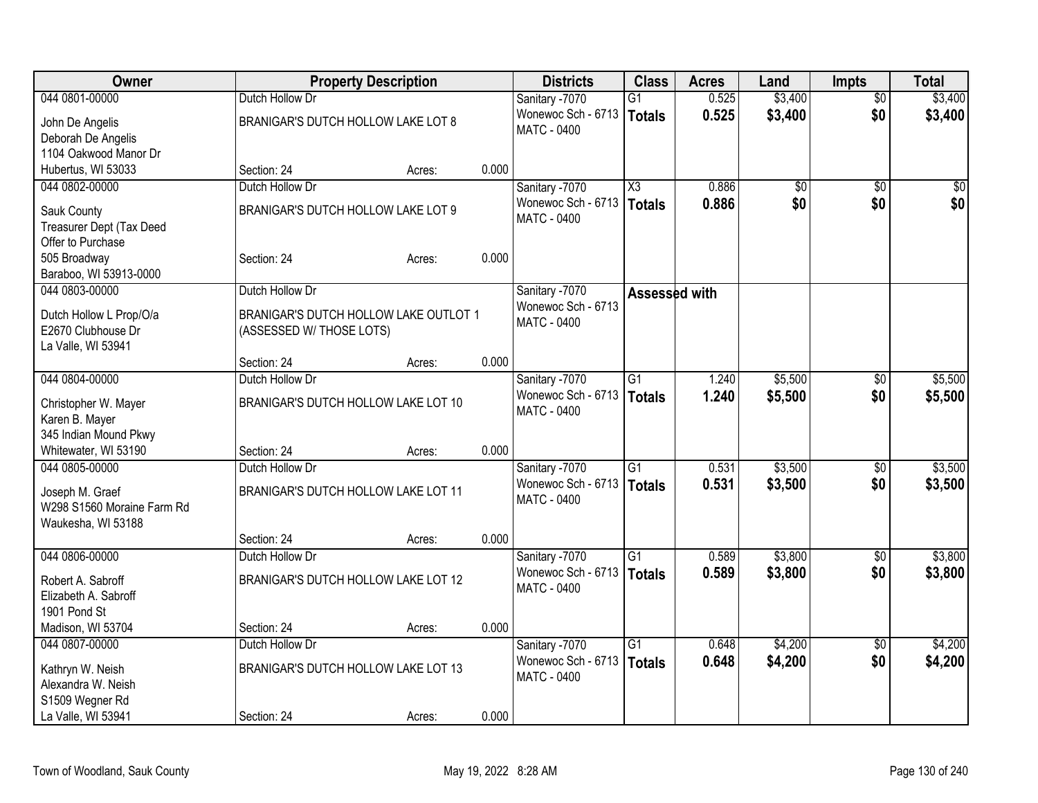| <b>Owner</b>                             |                                       | <b>Property Description</b> |       | <b>Districts</b>                         | <b>Class</b>    | <b>Acres</b> | Land    | <b>Impts</b>    | <b>Total</b> |
|------------------------------------------|---------------------------------------|-----------------------------|-------|------------------------------------------|-----------------|--------------|---------|-----------------|--------------|
| 044 0801-00000                           | Dutch Hollow Dr                       |                             |       | Sanitary -7070                           | $\overline{G1}$ | 0.525        | \$3,400 | $\overline{50}$ | \$3,400      |
| John De Angelis                          | BRANIGAR'S DUTCH HOLLOW LAKE LOT 8    |                             |       | Wonewoc Sch - 6713                       | <b>Totals</b>   | 0.525        | \$3,400 | \$0             | \$3,400      |
| Deborah De Angelis                       |                                       |                             |       | <b>MATC - 0400</b>                       |                 |              |         |                 |              |
| 1104 Oakwood Manor Dr                    |                                       |                             |       |                                          |                 |              |         |                 |              |
| Hubertus, WI 53033                       | Section: 24                           | Acres:                      | 0.000 |                                          |                 |              |         |                 |              |
| 044 0802-00000                           | Dutch Hollow Dr                       |                             |       | Sanitary -7070                           | X3              | 0.886        | \$0     | $\sqrt{50}$     | \$0          |
| Sauk County                              | BRANIGAR'S DUTCH HOLLOW LAKE LOT 9    |                             |       | Wonewoc Sch - 6713                       | <b>Totals</b>   | 0.886        | \$0     | \$0             | \$0          |
| Treasurer Dept (Tax Deed                 |                                       |                             |       | <b>MATC - 0400</b>                       |                 |              |         |                 |              |
| Offer to Purchase                        |                                       |                             |       |                                          |                 |              |         |                 |              |
| 505 Broadway                             | Section: 24                           | Acres:                      | 0.000 |                                          |                 |              |         |                 |              |
| Baraboo, WI 53913-0000                   |                                       |                             |       |                                          |                 |              |         |                 |              |
| 044 0803-00000                           | Dutch Hollow Dr                       |                             |       | Sanitary -7070                           | Assessed with   |              |         |                 |              |
|                                          |                                       |                             |       | Wonewoc Sch - 6713                       |                 |              |         |                 |              |
| Dutch Hollow L Prop/O/a                  | BRANIGAR'S DUTCH HOLLOW LAKE OUTLOT 1 |                             |       | MATC - 0400                              |                 |              |         |                 |              |
| E2670 Clubhouse Dr<br>La Valle, WI 53941 | (ASSESSED W/ THOSE LOTS)              |                             |       |                                          |                 |              |         |                 |              |
|                                          | Section: 24                           | Acres:                      | 0.000 |                                          |                 |              |         |                 |              |
| 044 0804-00000                           | Dutch Hollow Dr                       |                             |       | Sanitary -7070                           | $\overline{G1}$ | 1.240        | \$5,500 | $\sqrt[6]{30}$  | \$5,500      |
|                                          |                                       |                             |       | Wonewoc Sch - 6713                       | <b>Totals</b>   | 1.240        | \$5,500 | \$0             | \$5,500      |
| Christopher W. Mayer                     | BRANIGAR'S DUTCH HOLLOW LAKE LOT 10   |                             |       | MATC - 0400                              |                 |              |         |                 |              |
| Karen B. Mayer                           |                                       |                             |       |                                          |                 |              |         |                 |              |
| 345 Indian Mound Pkwy                    |                                       |                             |       |                                          |                 |              |         |                 |              |
| Whitewater, WI 53190                     | Section: 24                           | Acres:                      | 0.000 |                                          |                 |              |         |                 |              |
| 044 0805-00000                           | Dutch Hollow Dr                       |                             |       | Sanitary -7070                           | $\overline{G1}$ | 0.531        | \$3,500 | \$0             | \$3,500      |
| Joseph M. Graef                          | BRANIGAR'S DUTCH HOLLOW LAKE LOT 11   |                             |       | Wonewoc Sch - 6713<br><b>MATC - 0400</b> | Totals          | 0.531        | \$3,500 | \$0             | \$3,500      |
| W298 S1560 Moraine Farm Rd               |                                       |                             |       |                                          |                 |              |         |                 |              |
| Waukesha, WI 53188                       |                                       |                             |       |                                          |                 |              |         |                 |              |
|                                          | Section: 24                           | Acres:                      | 0.000 |                                          |                 |              |         |                 |              |
| 044 0806-00000                           | Dutch Hollow Dr                       |                             |       | Sanitary -7070                           | $\overline{G1}$ | 0.589        | \$3,800 | $\overline{50}$ | \$3,800      |
| Robert A. Sabroff                        | BRANIGAR'S DUTCH HOLLOW LAKE LOT 12   |                             |       | Wonewoc Sch - 6713                       | Totals          | 0.589        | \$3,800 | \$0             | \$3,800      |
| Elizabeth A. Sabroff                     |                                       |                             |       | MATC - 0400                              |                 |              |         |                 |              |
| 1901 Pond St                             |                                       |                             |       |                                          |                 |              |         |                 |              |
| Madison, WI 53704                        | Section: 24                           | Acres:                      | 0.000 |                                          |                 |              |         |                 |              |
| 044 0807-00000                           | Dutch Hollow Dr                       |                             |       | Sanitary -7070                           | $\overline{G1}$ | 0.648        | \$4,200 | $\overline{50}$ | \$4,200      |
| Kathryn W. Neish                         | BRANIGAR'S DUTCH HOLLOW LAKE LOT 13   |                             |       | Wonewoc Sch - 6713                       | Totals          | 0.648        | \$4,200 | \$0             | \$4,200      |
| Alexandra W. Neish                       |                                       |                             |       | <b>MATC - 0400</b>                       |                 |              |         |                 |              |
| S1509 Wegner Rd                          |                                       |                             |       |                                          |                 |              |         |                 |              |
| La Valle, WI 53941                       | Section: 24                           | Acres:                      | 0.000 |                                          |                 |              |         |                 |              |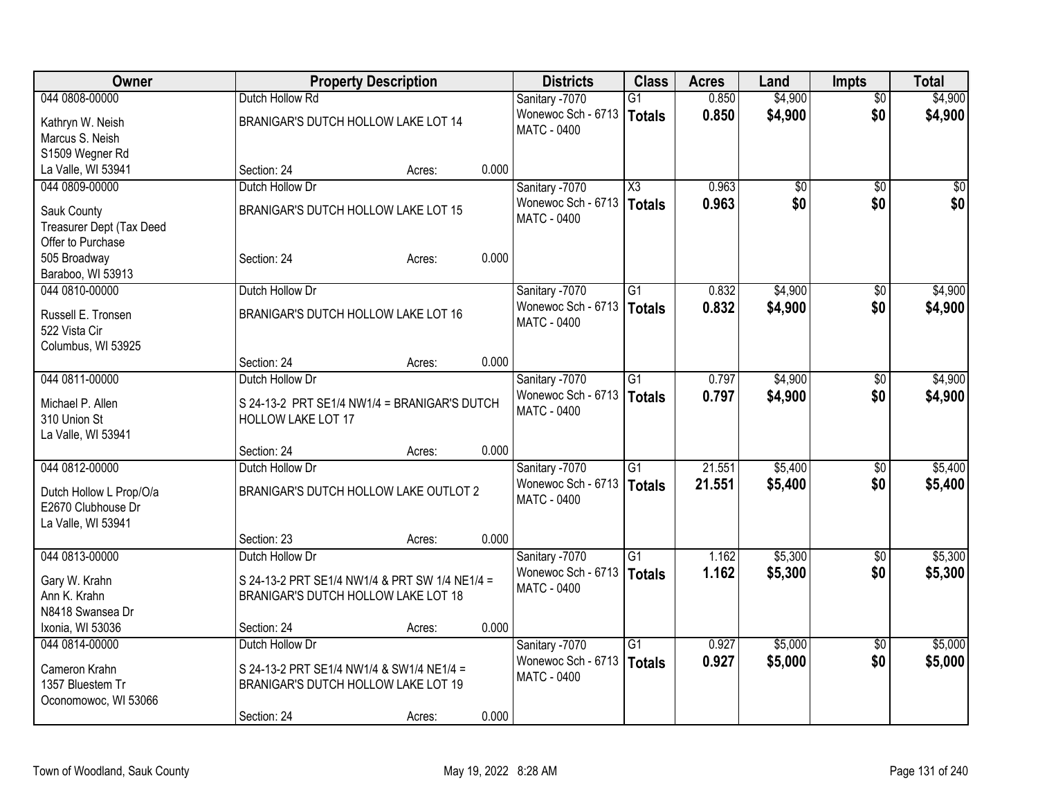| Owner                               |                                                | <b>Property Description</b> |       | <b>Districts</b>                     | <b>Class</b>           | <b>Acres</b> | Land    | <b>Impts</b>    | <b>Total</b> |
|-------------------------------------|------------------------------------------------|-----------------------------|-------|--------------------------------------|------------------------|--------------|---------|-----------------|--------------|
| 044 0808-00000                      | Dutch Hollow Rd                                |                             |       | Sanitary -7070                       | G1                     | 0.850        | \$4,900 | $\overline{50}$ | \$4,900      |
| Kathryn W. Neish                    | BRANIGAR'S DUTCH HOLLOW LAKE LOT 14            |                             |       | Wonewoc Sch - 6713                   | Totals                 | 0.850        | \$4,900 | \$0             | \$4,900      |
| Marcus S. Neish                     |                                                |                             |       | <b>MATC - 0400</b>                   |                        |              |         |                 |              |
| S1509 Wegner Rd                     |                                                |                             |       |                                      |                        |              |         |                 |              |
| La Valle, WI 53941                  | Section: 24                                    | Acres:                      | 0.000 |                                      |                        |              |         |                 |              |
| 044 0809-00000                      | Dutch Hollow Dr                                |                             |       | Sanitary -7070                       | $\overline{\text{X3}}$ | 0.963        | \$0     | $\sqrt{50}$     | \$0          |
| Sauk County                         | BRANIGAR'S DUTCH HOLLOW LAKE LOT 15            |                             |       | Wonewoc Sch - 6713                   | Totals                 | 0.963        | \$0     | \$0             | \$0          |
| Treasurer Dept (Tax Deed            |                                                |                             |       | <b>MATC - 0400</b>                   |                        |              |         |                 |              |
| Offer to Purchase                   |                                                |                             |       |                                      |                        |              |         |                 |              |
| 505 Broadway                        | Section: 24                                    | Acres:                      | 0.000 |                                      |                        |              |         |                 |              |
| Baraboo, WI 53913                   |                                                |                             |       |                                      |                        |              |         |                 |              |
| 044 0810-00000                      | Dutch Hollow Dr                                |                             |       | Sanitary -7070                       | G1                     | 0.832        | \$4,900 | $\sqrt{6}$      | \$4,900      |
|                                     |                                                |                             |       | Wonewoc Sch - 6713                   | Totals                 | 0.832        | \$4,900 | \$0             | \$4,900      |
| Russell E. Tronsen<br>522 Vista Cir | BRANIGAR'S DUTCH HOLLOW LAKE LOT 16            |                             |       | <b>MATC - 0400</b>                   |                        |              |         |                 |              |
| Columbus, WI 53925                  |                                                |                             |       |                                      |                        |              |         |                 |              |
|                                     | Section: 24                                    | Acres:                      | 0.000 |                                      |                        |              |         |                 |              |
| 044 0811-00000                      | Dutch Hollow Dr                                |                             |       | Sanitary -7070                       | $\overline{G1}$        | 0.797        | \$4,900 | $\sqrt[6]{30}$  | \$4,900      |
|                                     |                                                |                             |       | Wonewoc Sch - 6713                   | Totals                 | 0.797        | \$4,900 | \$0             | \$4,900      |
| Michael P. Allen                    | S 24-13-2 PRT SE1/4 NW1/4 = BRANIGAR'S DUTCH   |                             |       | <b>MATC - 0400</b>                   |                        |              |         |                 |              |
| 310 Union St                        | <b>HOLLOW LAKE LOT 17</b>                      |                             |       |                                      |                        |              |         |                 |              |
| La Valle, WI 53941                  |                                                |                             |       |                                      |                        |              |         |                 |              |
|                                     | Section: 24                                    | Acres:                      | 0.000 |                                      | $\overline{G1}$        |              |         |                 |              |
| 044 0812-00000                      | Dutch Hollow Dr                                |                             |       | Sanitary -7070<br>Wonewoc Sch - 6713 |                        | 21.551       | \$5,400 | $\sqrt[6]{}$    | \$5,400      |
| Dutch Hollow L Prop/O/a             | BRANIGAR'S DUTCH HOLLOW LAKE OUTLOT 2          |                             |       | <b>MATC - 0400</b>                   | Totals                 | 21.551       | \$5,400 | \$0             | \$5,400      |
| E2670 Clubhouse Dr                  |                                                |                             |       |                                      |                        |              |         |                 |              |
| La Valle, WI 53941                  |                                                |                             |       |                                      |                        |              |         |                 |              |
|                                     | Section: 23                                    | Acres:                      | 0.000 |                                      |                        |              |         |                 |              |
| 044 0813-00000                      | Dutch Hollow Dr                                |                             |       | Sanitary -7070                       | $\overline{G1}$        | 1.162        | \$5,300 | \$0             | \$5,300      |
| Gary W. Krahn                       | S 24-13-2 PRT SE1/4 NW1/4 & PRT SW 1/4 NE1/4 = |                             |       | Wonewoc Sch - 6713                   | Totals                 | 1.162        | \$5,300 | \$0             | \$5,300      |
| Ann K. Krahn                        | BRANIGAR'S DUTCH HOLLOW LAKE LOT 18            |                             |       | MATC - 0400                          |                        |              |         |                 |              |
| N8418 Swansea Dr                    |                                                |                             |       |                                      |                        |              |         |                 |              |
| Ixonia, WI 53036                    | Section: 24                                    | Acres:                      | 0.000 |                                      |                        |              |         |                 |              |
| 044 0814-00000                      | Dutch Hollow Dr                                |                             |       | Sanitary -7070                       | $\overline{G1}$        | 0.927        | \$5,000 | $\overline{30}$ | \$5,000      |
| Cameron Krahn                       | S 24-13-2 PRT SE1/4 NW1/4 & SW1/4 NE1/4 =      |                             |       | Wonewoc Sch - 6713                   | Totals                 | 0.927        | \$5,000 | \$0             | \$5,000      |
| 1357 Bluestem Tr                    | BRANIGAR'S DUTCH HOLLOW LAKE LOT 19            |                             |       | <b>MATC - 0400</b>                   |                        |              |         |                 |              |
| Oconomowoc, WI 53066                |                                                |                             |       |                                      |                        |              |         |                 |              |
|                                     | Section: 24                                    | Acres:                      | 0.000 |                                      |                        |              |         |                 |              |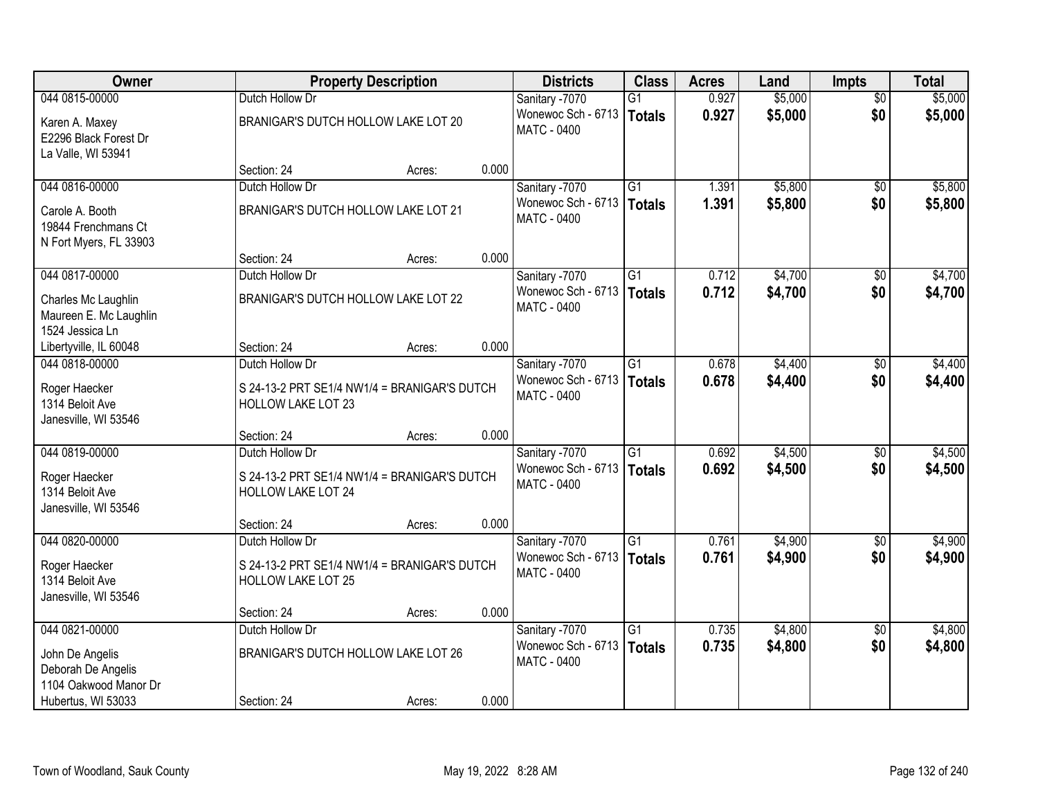| Owner                                                            |                                                                           | <b>Property Description</b> |       | <b>Districts</b>                         | <b>Class</b>    | <b>Acres</b> | Land    | <b>Impts</b>    | <b>Total</b> |
|------------------------------------------------------------------|---------------------------------------------------------------------------|-----------------------------|-------|------------------------------------------|-----------------|--------------|---------|-----------------|--------------|
| 044 0815-00000                                                   | Dutch Hollow Dr                                                           |                             |       | Sanitary -7070                           | $\overline{G1}$ | 0.927        | \$5,000 | $\overline{50}$ | \$5,000      |
| Karen A. Maxey<br>E2296 Black Forest Dr<br>La Valle, WI 53941    | BRANIGAR'S DUTCH HOLLOW LAKE LOT 20                                       |                             |       | Wonewoc Sch - 6713<br><b>MATC - 0400</b> | <b>Totals</b>   | 0.927        | \$5,000 | \$0             | \$5,000      |
|                                                                  | Section: 24                                                               | Acres:                      | 0.000 |                                          |                 |              |         |                 |              |
| 044 0816-00000                                                   | Dutch Hollow Dr                                                           |                             |       | Sanitary -7070                           | $\overline{G1}$ | 1.391        | \$5,800 | $\overline{50}$ | \$5,800      |
| Carole A. Booth<br>19844 Frenchmans Ct<br>N Fort Myers, FL 33903 | BRANIGAR'S DUTCH HOLLOW LAKE LOT 21                                       |                             |       | Wonewoc Sch - 6713<br><b>MATC - 0400</b> | Totals          | 1.391        | \$5,800 | \$0             | \$5,800      |
|                                                                  | Section: 24                                                               | Acres:                      | 0.000 |                                          |                 |              |         |                 |              |
| 044 0817-00000                                                   | Dutch Hollow Dr                                                           |                             |       | Sanitary -7070                           | $\overline{G1}$ | 0.712        | \$4,700 | \$0             | \$4,700      |
| Charles Mc Laughlin<br>Maureen E. Mc Laughlin<br>1524 Jessica Ln | BRANIGAR'S DUTCH HOLLOW LAKE LOT 22                                       |                             |       | Wonewoc Sch - 6713<br>MATC - 0400        | Totals          | 0.712        | \$4,700 | \$0             | \$4,700      |
| Libertyville, IL 60048                                           | Section: 24                                                               | Acres:                      | 0.000 |                                          |                 |              |         |                 |              |
| 044 0818-00000                                                   | Dutch Hollow Dr                                                           |                             |       | Sanitary -7070                           | $\overline{G1}$ | 0.678        | \$4,400 | \$0             | \$4,400      |
| Roger Haecker<br>1314 Beloit Ave<br>Janesville, WI 53546         | S 24-13-2 PRT SE1/4 NW1/4 = BRANIGAR'S DUTCH<br><b>HOLLOW LAKE LOT 23</b> |                             |       | Wonewoc Sch - 6713<br><b>MATC - 0400</b> | Totals          | 0.678        | \$4,400 | \$0             | \$4,400      |
|                                                                  | Section: 24                                                               | Acres:                      | 0.000 |                                          |                 |              |         |                 |              |
| 044 0819-00000                                                   | Dutch Hollow Dr                                                           |                             |       | Sanitary -7070                           | $\overline{G1}$ | 0.692        | \$4,500 | \$0             | \$4,500      |
| Roger Haecker<br>1314 Beloit Ave<br>Janesville, WI 53546         | S 24-13-2 PRT SE1/4 NW1/4 = BRANIGAR'S DUTCH<br><b>HOLLOW LAKE LOT 24</b> |                             |       | Wonewoc Sch - 6713<br>MATC - 0400        | <b>Totals</b>   | 0.692        | \$4,500 | \$0             | \$4,500      |
|                                                                  | Section: 24                                                               | Acres:                      | 0.000 |                                          |                 |              |         |                 |              |
| 044 0820-00000                                                   | Dutch Hollow Dr                                                           |                             |       | Sanitary -7070                           | $\overline{G1}$ | 0.761        | \$4,900 | \$0             | \$4,900      |
| Roger Haecker<br>1314 Beloit Ave<br>Janesville, WI 53546         | S 24-13-2 PRT SE1/4 NW1/4 = BRANIGAR'S DUTCH<br><b>HOLLOW LAKE LOT 25</b> |                             |       | Wonewoc Sch - 6713<br><b>MATC - 0400</b> | Totals          | 0.761        | \$4,900 | \$0             | \$4,900      |
|                                                                  | Section: 24                                                               | Acres:                      | 0.000 |                                          |                 |              |         |                 |              |
| 044 0821-00000                                                   | Dutch Hollow Dr                                                           |                             |       | Sanitary -7070                           | $\overline{G1}$ | 0.735        | \$4,800 | $\overline{50}$ | \$4,800      |
| John De Angelis<br>Deborah De Angelis<br>1104 Oakwood Manor Dr   | BRANIGAR'S DUTCH HOLLOW LAKE LOT 26                                       |                             |       | Wonewoc Sch - 6713<br><b>MATC - 0400</b> | Totals          | 0.735        | \$4,800 | \$0             | \$4,800      |
| Hubertus, WI 53033                                               | Section: 24                                                               | Acres:                      | 0.000 |                                          |                 |              |         |                 |              |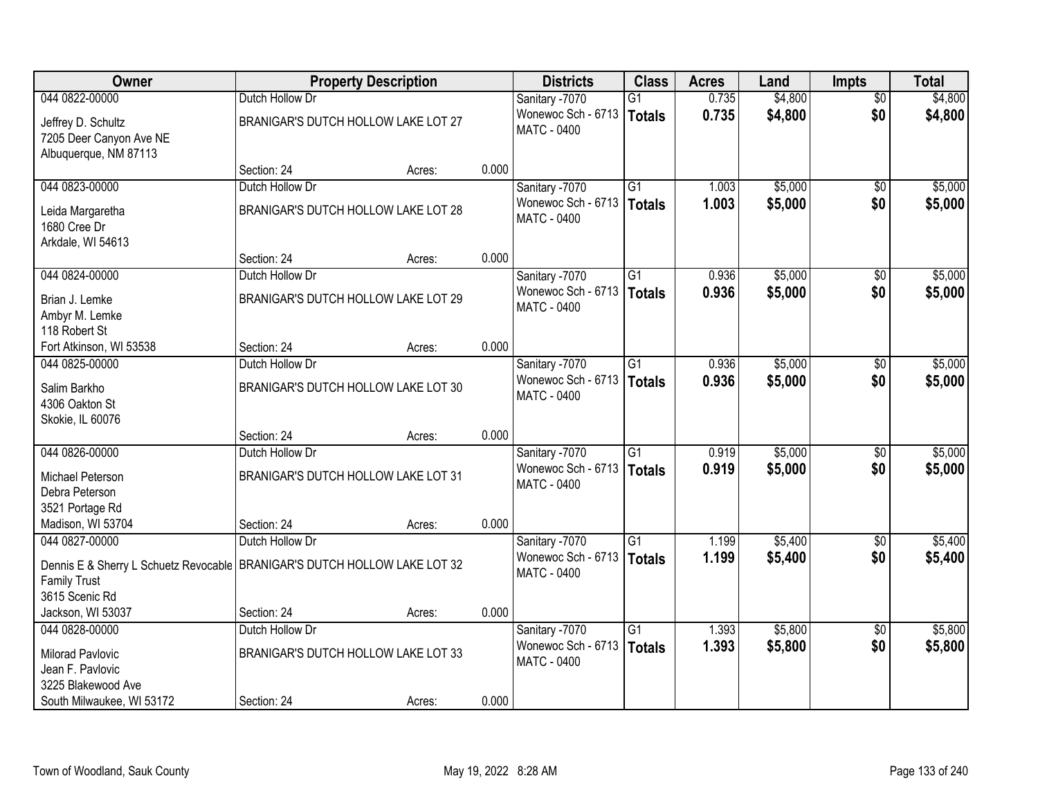| Owner                                                                                                                |                                     | <b>Property Description</b> |       | <b>Districts</b>                         | <b>Class</b>    | <b>Acres</b> | Land    | <b>Impts</b>    | <b>Total</b> |
|----------------------------------------------------------------------------------------------------------------------|-------------------------------------|-----------------------------|-------|------------------------------------------|-----------------|--------------|---------|-----------------|--------------|
| 044 0822-00000                                                                                                       | Dutch Hollow Dr                     |                             |       | Sanitary -7070                           | G1              | 0.735        | \$4,800 | $\overline{50}$ | \$4,800      |
| Jeffrey D. Schultz<br>7205 Deer Canyon Ave NE<br>Albuquerque, NM 87113                                               | BRANIGAR'S DUTCH HOLLOW LAKE LOT 27 |                             |       | Wonewoc Sch - 6713<br>MATC - 0400        | Totals          | 0.735        | \$4,800 | \$0             | \$4,800      |
|                                                                                                                      | Section: 24                         | Acres:                      | 0.000 |                                          |                 |              |         |                 |              |
| 044 0823-00000                                                                                                       | Dutch Hollow Dr                     |                             |       | Sanitary -7070                           | $\overline{G1}$ | 1.003        | \$5,000 | $\overline{50}$ | \$5,000      |
| Leida Margaretha<br>1680 Cree Dr<br>Arkdale, WI 54613                                                                | BRANIGAR'S DUTCH HOLLOW LAKE LOT 28 |                             |       | Wonewoc Sch - 6713<br><b>MATC - 0400</b> | Totals          | 1.003        | \$5,000 | \$0             | \$5,000      |
|                                                                                                                      | Section: 24                         | Acres:                      | 0.000 |                                          |                 |              |         |                 |              |
| 044 0824-00000                                                                                                       | Dutch Hollow Dr                     |                             |       | Sanitary -7070                           | G1              | 0.936        | \$5,000 | $\sqrt[6]{30}$  | \$5,000      |
| Brian J. Lemke<br>Ambyr M. Lemke<br>118 Robert St                                                                    | BRANIGAR'S DUTCH HOLLOW LAKE LOT 29 |                             |       | Wonewoc Sch - 6713<br><b>MATC - 0400</b> | <b>Totals</b>   | 0.936        | \$5,000 | \$0             | \$5,000      |
| Fort Atkinson, WI 53538                                                                                              | Section: 24                         | Acres:                      | 0.000 |                                          |                 |              |         |                 |              |
| 044 0825-00000                                                                                                       | Dutch Hollow Dr                     |                             |       | Sanitary -7070                           | $\overline{G1}$ | 0.936        | \$5,000 | $\sqrt[6]{}$    | \$5,000      |
| Salim Barkho<br>4306 Oakton St<br>Skokie, IL 60076                                                                   | BRANIGAR'S DUTCH HOLLOW LAKE LOT 30 |                             |       | Wonewoc Sch - 6713<br><b>MATC - 0400</b> | Totals          | 0.936        | \$5,000 | \$0             | \$5,000      |
|                                                                                                                      | Section: 24                         | Acres:                      | 0.000 |                                          |                 |              |         |                 |              |
| 044 0826-00000                                                                                                       | Dutch Hollow Dr                     |                             |       | Sanitary -7070                           | $\overline{G1}$ | 0.919        | \$5,000 | \$0             | \$5,000      |
| Michael Peterson<br>Debra Peterson<br>3521 Portage Rd                                                                | BRANIGAR'S DUTCH HOLLOW LAKE LOT 31 |                             |       | Wonewoc Sch - 6713<br>MATC - 0400        | <b>Totals</b>   | 0.919        | \$5,000 | \$0             | \$5,000      |
| Madison, WI 53704                                                                                                    | Section: 24                         | Acres:                      | 0.000 |                                          |                 |              |         |                 |              |
| 044 0827-00000                                                                                                       | Dutch Hollow Dr                     |                             |       | Sanitary -7070                           | $\overline{G1}$ | 1.199        | \$5,400 | \$0             | \$5,400      |
| Dennis E & Sherry L Schuetz Revocable   BRANIGAR'S DUTCH HOLLOW LAKE LOT 32<br><b>Family Trust</b><br>3615 Scenic Rd |                                     |                             |       | Wonewoc Sch - 6713<br><b>MATC - 0400</b> | Totals          | 1.199        | \$5,400 | \$0             | \$5,400      |
| Jackson, WI 53037                                                                                                    | Section: 24                         | Acres:                      | 0.000 |                                          |                 |              |         |                 |              |
| 044 0828-00000                                                                                                       | Dutch Hollow Dr                     |                             |       | Sanitary -7070                           | $\overline{G1}$ | 1.393        | \$5,800 | $\overline{50}$ | \$5,800      |
| <b>Milorad Pavlovic</b><br>Jean F. Pavlovic                                                                          | BRANIGAR'S DUTCH HOLLOW LAKE LOT 33 |                             |       | Wonewoc Sch - 6713<br><b>MATC - 0400</b> | Totals          | 1.393        | \$5,800 | \$0             | \$5,800      |
| 3225 Blakewood Ave<br>South Milwaukee, WI 53172                                                                      | Section: 24                         | Acres:                      | 0.000 |                                          |                 |              |         |                 |              |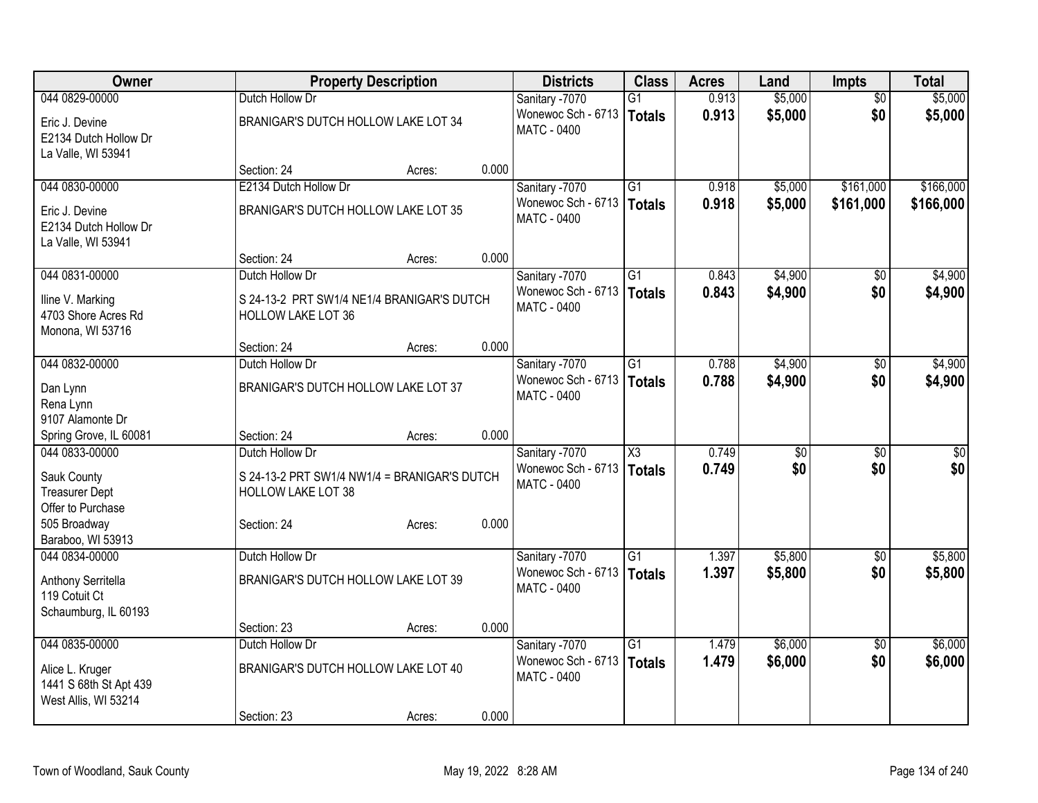| Owner                  |                                     | <b>Property Description</b>                  |       | <b>Districts</b>   | <b>Class</b>           | <b>Acres</b> | Land            | <b>Impts</b>    | <b>Total</b> |
|------------------------|-------------------------------------|----------------------------------------------|-------|--------------------|------------------------|--------------|-----------------|-----------------|--------------|
| 044 0829-00000         | Dutch Hollow Dr                     |                                              |       | Sanitary -7070     | $\overline{G1}$        | 0.913        | \$5,000         | $\overline{50}$ | \$5,000      |
| Eric J. Devine         | BRANIGAR'S DUTCH HOLLOW LAKE LOT 34 |                                              |       | Wonewoc Sch - 6713 | Totals                 | 0.913        | \$5,000         | \$0             | \$5,000      |
| E2134 Dutch Hollow Dr  |                                     |                                              |       | <b>MATC - 0400</b> |                        |              |                 |                 |              |
| La Valle, WI 53941     |                                     |                                              |       |                    |                        |              |                 |                 |              |
|                        | Section: 24                         | Acres:                                       | 0.000 |                    |                        |              |                 |                 |              |
| 044 0830-00000         | E2134 Dutch Hollow Dr               |                                              |       | Sanitary -7070     | G1                     | 0.918        | \$5,000         | \$161,000       | \$166,000    |
| Eric J. Devine         | BRANIGAR'S DUTCH HOLLOW LAKE LOT 35 |                                              |       | Wonewoc Sch - 6713 | Totals                 | 0.918        | \$5,000         | \$161,000       | \$166,000    |
| E2134 Dutch Hollow Dr  |                                     |                                              |       | <b>MATC - 0400</b> |                        |              |                 |                 |              |
| La Valle, WI 53941     |                                     |                                              |       |                    |                        |              |                 |                 |              |
|                        | Section: 24                         | Acres:                                       | 0.000 |                    |                        |              |                 |                 |              |
| 044 0831-00000         | Dutch Hollow Dr                     |                                              |       | Sanitary -7070     | $\overline{G1}$        | 0.843        | \$4,900         | $\overline{50}$ | \$4,900      |
| Iline V. Marking       |                                     | S 24-13-2 PRT SW1/4 NE1/4 BRANIGAR'S DUTCH   |       | Wonewoc Sch - 6713 | Totals                 | 0.843        | \$4,900         | \$0             | \$4,900      |
| 4703 Shore Acres Rd    | <b>HOLLOW LAKE LOT 36</b>           |                                              |       | MATC - 0400        |                        |              |                 |                 |              |
| Monona, WI 53716       |                                     |                                              |       |                    |                        |              |                 |                 |              |
|                        | Section: 24                         | Acres:                                       | 0.000 |                    |                        |              |                 |                 |              |
| 044 0832-00000         | Dutch Hollow Dr                     |                                              |       | Sanitary -7070     | $\overline{G1}$        | 0.788        | \$4,900         | \$0             | \$4,900      |
| Dan Lynn               |                                     | BRANIGAR'S DUTCH HOLLOW LAKE LOT 37          |       | Wonewoc Sch - 6713 | Totals                 | 0.788        | \$4,900         | \$0             | \$4,900      |
| Rena Lynn              |                                     |                                              |       | <b>MATC - 0400</b> |                        |              |                 |                 |              |
| 9107 Alamonte Dr       |                                     |                                              |       |                    |                        |              |                 |                 |              |
| Spring Grove, IL 60081 | Section: 24                         | Acres:                                       | 0.000 |                    |                        |              |                 |                 |              |
| 044 0833-00000         | Dutch Hollow Dr                     |                                              |       | Sanitary -7070     | $\overline{\text{X3}}$ | 0.749        | $\overline{50}$ | $\overline{50}$ | $\sqrt{50}$  |
| Sauk County            |                                     | S 24-13-2 PRT SW1/4 NW1/4 = BRANIGAR'S DUTCH |       | Wonewoc Sch - 6713 | Totals                 | 0.749        | \$0             | \$0             | \$0          |
| <b>Treasurer Dept</b>  | <b>HOLLOW LAKE LOT 38</b>           |                                              |       | <b>MATC - 0400</b> |                        |              |                 |                 |              |
| Offer to Purchase      |                                     |                                              |       |                    |                        |              |                 |                 |              |
| 505 Broadway           | Section: 24                         | Acres:                                       | 0.000 |                    |                        |              |                 |                 |              |
| Baraboo, WI 53913      |                                     |                                              |       |                    |                        |              |                 |                 |              |
| 044 0834-00000         | Dutch Hollow Dr                     |                                              |       | Sanitary -7070     | $\overline{G1}$        | 1.397        | \$5,800         | $\sqrt{6}$      | \$5,800      |
| Anthony Serritella     |                                     | BRANIGAR'S DUTCH HOLLOW LAKE LOT 39          |       | Wonewoc Sch - 6713 | Totals                 | 1.397        | \$5,800         | \$0             | \$5,800      |
| 119 Cotuit Ct          |                                     |                                              |       | <b>MATC - 0400</b> |                        |              |                 |                 |              |
| Schaumburg, IL 60193   |                                     |                                              |       |                    |                        |              |                 |                 |              |
|                        | Section: 23                         | Acres:                                       | 0.000 |                    |                        |              |                 |                 |              |
| 044 0835-00000         | Dutch Hollow Dr                     |                                              |       | Sanitary -7070     | $\overline{G1}$        | 1.479        | \$6,000         | $\overline{30}$ | \$6,000      |
| Alice L. Kruger        | BRANIGAR'S DUTCH HOLLOW LAKE LOT 40 |                                              |       | Wonewoc Sch - 6713 | Totals                 | 1.479        | \$6,000         | \$0             | \$6,000      |
| 1441 S 68th St Apt 439 |                                     |                                              |       | <b>MATC - 0400</b> |                        |              |                 |                 |              |
| West Allis, WI 53214   |                                     |                                              |       |                    |                        |              |                 |                 |              |
|                        | Section: 23                         | Acres:                                       | 0.000 |                    |                        |              |                 |                 |              |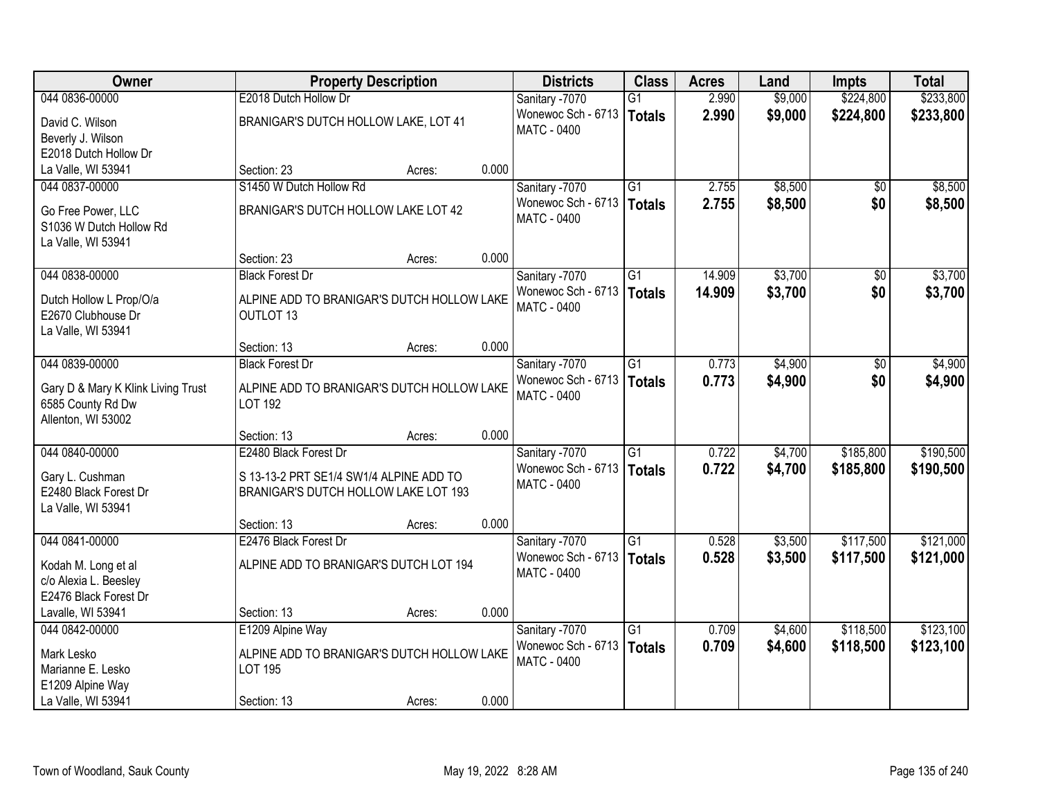| Owner                              |                                            | <b>Property Description</b> |       | <b>Districts</b>   | <b>Class</b>    | <b>Acres</b> | Land    | <b>Impts</b>    | <b>Total</b> |
|------------------------------------|--------------------------------------------|-----------------------------|-------|--------------------|-----------------|--------------|---------|-----------------|--------------|
| 044 0836-00000                     | E2018 Dutch Hollow Dr                      |                             |       | Sanitary -7070     | G1              | 2.990        | \$9,000 | \$224,800       | \$233,800    |
| David C. Wilson                    | BRANIGAR'S DUTCH HOLLOW LAKE, LOT 41       |                             |       | Wonewoc Sch - 6713 | Totals          | 2.990        | \$9,000 | \$224,800       | \$233,800    |
| Beverly J. Wilson                  |                                            |                             |       | <b>MATC - 0400</b> |                 |              |         |                 |              |
| E2018 Dutch Hollow Dr              |                                            |                             |       |                    |                 |              |         |                 |              |
| La Valle, WI 53941                 | Section: 23                                | Acres:                      | 0.000 |                    |                 |              |         |                 |              |
| 044 0837-00000                     | S1450 W Dutch Hollow Rd                    |                             |       | Sanitary -7070     | $\overline{G1}$ | 2.755        | \$8,500 | $\overline{50}$ | \$8,500      |
| Go Free Power, LLC                 | BRANIGAR'S DUTCH HOLLOW LAKE LOT 42        |                             |       | Wonewoc Sch - 6713 | Totals          | 2.755        | \$8,500 | \$0             | \$8,500      |
| S1036 W Dutch Hollow Rd            |                                            |                             |       | MATC - 0400        |                 |              |         |                 |              |
| La Valle, WI 53941                 |                                            |                             |       |                    |                 |              |         |                 |              |
|                                    | Section: 23                                | Acres:                      | 0.000 |                    |                 |              |         |                 |              |
| 044 0838-00000                     | <b>Black Forest Dr</b>                     |                             |       | Sanitary -7070     | $\overline{G1}$ | 14.909       | \$3,700 | \$0             | \$3,700      |
| Dutch Hollow L Prop/O/a            | ALPINE ADD TO BRANIGAR'S DUTCH HOLLOW LAKE |                             |       | Wonewoc Sch - 6713 | <b>Totals</b>   | 14.909       | \$3,700 | \$0             | \$3,700      |
| E2670 Clubhouse Dr                 | <b>OUTLOT 13</b>                           |                             |       | MATC - 0400        |                 |              |         |                 |              |
| La Valle, WI 53941                 |                                            |                             |       |                    |                 |              |         |                 |              |
|                                    | Section: 13                                | Acres:                      | 0.000 |                    |                 |              |         |                 |              |
| 044 0839-00000                     | <b>Black Forest Dr</b>                     |                             |       | Sanitary -7070     | G1              | 0.773        | \$4,900 | \$0             | \$4,900      |
| Gary D & Mary K Klink Living Trust | ALPINE ADD TO BRANIGAR'S DUTCH HOLLOW LAKE |                             |       | Wonewoc Sch - 6713 | Totals          | 0.773        | \$4,900 | \$0             | \$4,900      |
| 6585 County Rd Dw                  | <b>LOT 192</b>                             |                             |       | <b>MATC - 0400</b> |                 |              |         |                 |              |
| Allenton, WI 53002                 |                                            |                             |       |                    |                 |              |         |                 |              |
|                                    | Section: 13                                | Acres:                      | 0.000 |                    |                 |              |         |                 |              |
| 044 0840-00000                     | E2480 Black Forest Dr                      |                             |       | Sanitary -7070     | $\overline{G1}$ | 0.722        | \$4,700 | \$185,800       | \$190,500    |
| Gary L. Cushman                    | S 13-13-2 PRT SE1/4 SW1/4 ALPINE ADD TO    |                             |       | Wonewoc Sch - 6713 | Totals          | 0.722        | \$4,700 | \$185,800       | \$190,500    |
| E2480 Black Forest Dr              | BRANIGAR'S DUTCH HOLLOW LAKE LOT 193       |                             |       | <b>MATC - 0400</b> |                 |              |         |                 |              |
| La Valle, WI 53941                 |                                            |                             |       |                    |                 |              |         |                 |              |
|                                    | Section: 13                                | Acres:                      | 0.000 |                    |                 |              |         |                 |              |
| 044 0841-00000                     | E2476 Black Forest Dr                      |                             |       | Sanitary -7070     | $\overline{G1}$ | 0.528        | \$3,500 | \$117,500       | \$121,000    |
| Kodah M. Long et al                | ALPINE ADD TO BRANIGAR'S DUTCH LOT 194     |                             |       | Wonewoc Sch - 6713 | <b>Totals</b>   | 0.528        | \$3,500 | \$117,500       | \$121,000    |
| c/o Alexia L. Beesley              |                                            |                             |       | <b>MATC - 0400</b> |                 |              |         |                 |              |
| E2476 Black Forest Dr              |                                            |                             |       |                    |                 |              |         |                 |              |
| Lavalle, WI 53941                  | Section: 13                                | Acres:                      | 0.000 |                    |                 |              |         |                 |              |
| 044 0842-00000                     | E1209 Alpine Way                           |                             |       | Sanitary -7070     | $\overline{G1}$ | 0.709        | \$4,600 | \$118,500       | \$123,100    |
| Mark Lesko                         | ALPINE ADD TO BRANIGAR'S DUTCH HOLLOW LAKE |                             |       | Wonewoc Sch - 6713 | Totals          | 0.709        | \$4,600 | \$118,500       | \$123,100    |
| Marianne E. Lesko                  | LOT 195                                    |                             |       | <b>MATC - 0400</b> |                 |              |         |                 |              |
| E1209 Alpine Way                   |                                            |                             |       |                    |                 |              |         |                 |              |
| La Valle, WI 53941                 | Section: 13                                | Acres:                      | 0.000 |                    |                 |              |         |                 |              |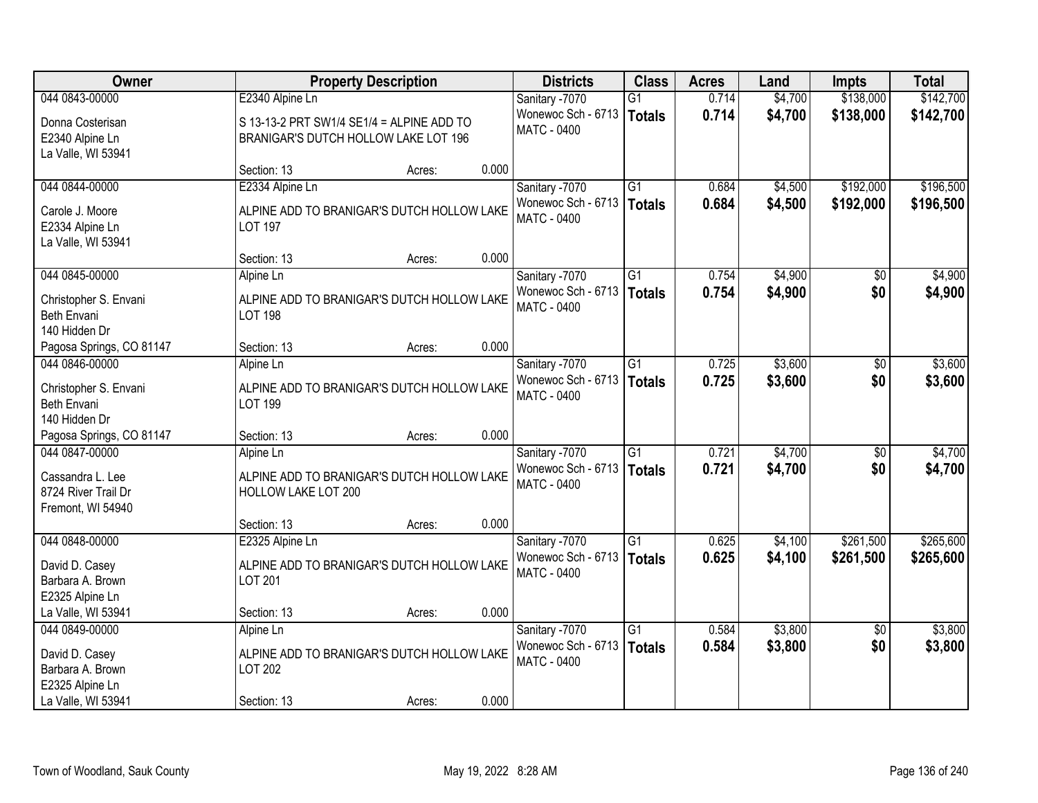| Owner                                                        |                                                                                   | <b>Property Description</b> |       | <b>Districts</b>                         | <b>Class</b>    | <b>Acres</b> | Land    | <b>Impts</b>    | <b>Total</b> |
|--------------------------------------------------------------|-----------------------------------------------------------------------------------|-----------------------------|-------|------------------------------------------|-----------------|--------------|---------|-----------------|--------------|
| 044 0843-00000                                               | E2340 Alpine Ln                                                                   |                             |       | Sanitary -7070                           | $\overline{G1}$ | 0.714        | \$4,700 | \$138,000       | \$142,700    |
| Donna Costerisan<br>E2340 Alpine Ln                          | S 13-13-2 PRT SW1/4 SE1/4 = ALPINE ADD TO<br>BRANIGAR'S DUTCH HOLLOW LAKE LOT 196 |                             |       | Wonewoc Sch - 6713<br>MATC - 0400        | Totals          | 0.714        | \$4,700 | \$138,000       | \$142,700    |
| La Valle, WI 53941                                           |                                                                                   |                             |       |                                          |                 |              |         |                 |              |
|                                                              | Section: 13                                                                       | Acres:                      | 0.000 |                                          |                 |              |         |                 |              |
| 044 0844-00000                                               | E2334 Alpine Ln                                                                   |                             |       | Sanitary -7070                           | $\overline{G1}$ | 0.684        | \$4,500 | \$192,000       | \$196,500    |
| Carole J. Moore<br>E2334 Alpine Ln<br>La Valle, WI 53941     | ALPINE ADD TO BRANIGAR'S DUTCH HOLLOW LAKE<br><b>LOT 197</b>                      |                             |       | Wonewoc Sch - 6713<br><b>MATC - 0400</b> | Totals          | 0.684        | \$4,500 | \$192,000       | \$196,500    |
|                                                              | Section: 13                                                                       | Acres:                      | 0.000 |                                          |                 |              |         |                 |              |
| 044 0845-00000                                               | Alpine Ln                                                                         |                             |       | Sanitary -7070                           | G1              | 0.754        | \$4,900 | \$0             | \$4,900      |
| Christopher S. Envani<br>Beth Envani<br>140 Hidden Dr        | ALPINE ADD TO BRANIGAR'S DUTCH HOLLOW LAKE<br><b>LOT 198</b>                      |                             |       | Wonewoc Sch - 6713<br><b>MATC - 0400</b> | Totals          | 0.754        | \$4,900 | \$0             | \$4,900      |
| Pagosa Springs, CO 81147                                     | Section: 13                                                                       | Acres:                      | 0.000 |                                          |                 |              |         |                 |              |
| 044 0846-00000                                               | Alpine Ln                                                                         |                             |       | Sanitary -7070                           | $\overline{G1}$ | 0.725        | \$3,600 | $\sqrt[6]{3}$   | \$3,600      |
| Christopher S. Envani<br>Beth Envani<br>140 Hidden Dr        | ALPINE ADD TO BRANIGAR'S DUTCH HOLLOW LAKE<br><b>LOT 199</b>                      |                             |       | Wonewoc Sch - 6713<br><b>MATC - 0400</b> | Totals          | 0.725        | \$3,600 | \$0             | \$3,600      |
| Pagosa Springs, CO 81147                                     | Section: 13                                                                       | Acres:                      | 0.000 |                                          |                 |              |         |                 |              |
| 044 0847-00000                                               | Alpine Ln                                                                         |                             |       | Sanitary -7070                           | $\overline{G1}$ | 0.721        | \$4,700 | \$0             | \$4,700      |
| Cassandra L. Lee<br>8724 River Trail Dr<br>Fremont, WI 54940 | ALPINE ADD TO BRANIGAR'S DUTCH HOLLOW LAKE<br>HOLLOW LAKE LOT 200                 |                             |       | Wonewoc Sch - 6713<br>MATC - 0400        | Totals          | 0.721        | \$4,700 | \$0             | \$4,700      |
|                                                              | Section: 13                                                                       | Acres:                      | 0.000 |                                          |                 |              |         |                 |              |
| 044 0848-00000                                               | E2325 Alpine Ln                                                                   |                             |       | Sanitary -7070                           | $\overline{G1}$ | 0.625        | \$4,100 | \$261,500       | \$265,600    |
| David D. Casey<br>Barbara A. Brown<br>E2325 Alpine Ln        | ALPINE ADD TO BRANIGAR'S DUTCH HOLLOW LAKE<br><b>LOT 201</b>                      |                             |       | Wonewoc Sch - 6713<br><b>MATC - 0400</b> | Totals          | 0.625        | \$4,100 | \$261,500       | \$265,600    |
| La Valle, WI 53941                                           | Section: 13                                                                       | Acres:                      | 0.000 |                                          |                 |              |         |                 |              |
| 044 0849-00000                                               | Alpine Ln                                                                         |                             |       | Sanitary -7070                           | $\overline{G1}$ | 0.584        | \$3,800 | $\overline{30}$ | \$3,800      |
| David D. Casey<br>Barbara A. Brown<br>E2325 Alpine Ln        | ALPINE ADD TO BRANIGAR'S DUTCH HOLLOW LAKE<br><b>LOT 202</b>                      |                             |       | Wonewoc Sch - 6713<br><b>MATC - 0400</b> | Totals          | 0.584        | \$3,800 | \$0             | \$3,800      |
| La Valle, WI 53941                                           | Section: 13                                                                       | Acres:                      | 0.000 |                                          |                 |              |         |                 |              |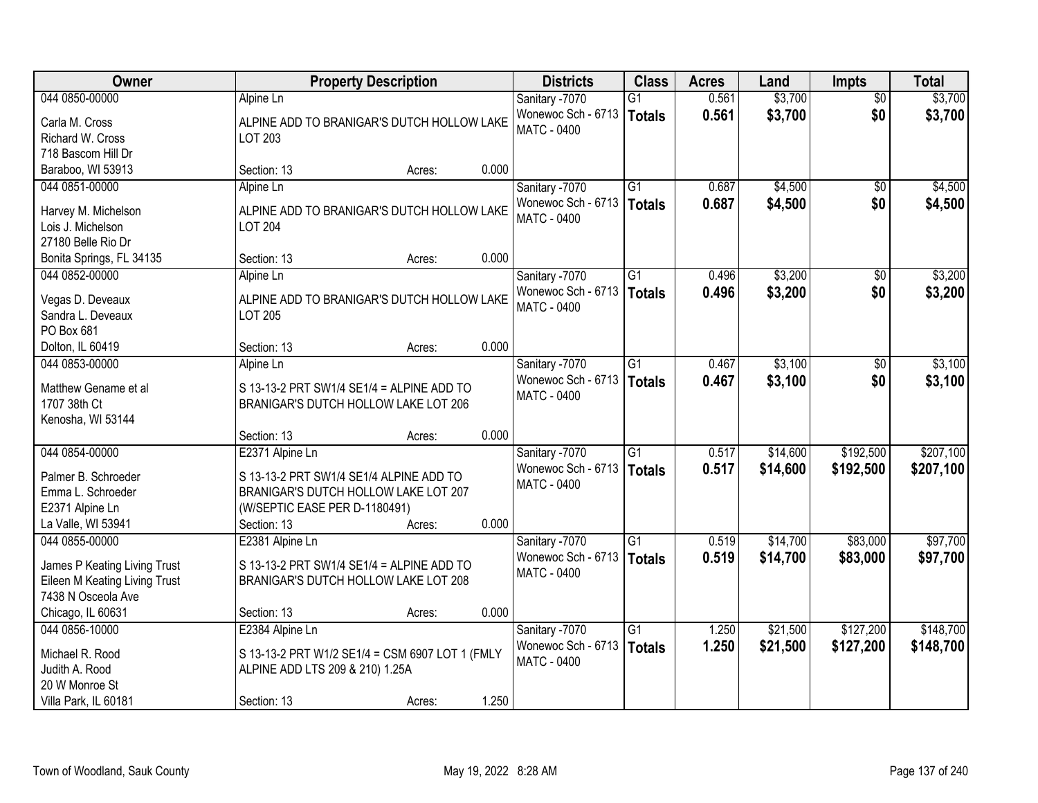| \$3,700<br>044 0850-00000<br>0.561<br>Sanitary -7070<br>$\overline{50}$<br>Alpine Ln<br>G1                                                        | \$3,700   |
|---------------------------------------------------------------------------------------------------------------------------------------------------|-----------|
| \$3,700<br>\$0<br>Wonewoc Sch - 6713<br>0.561<br><b>Totals</b><br>Carla M. Cross<br>ALPINE ADD TO BRANIGAR'S DUTCH HOLLOW LAKE                    | \$3,700   |
| MATC - 0400<br>Richard W. Cross<br>LOT 203                                                                                                        |           |
| 718 Bascom Hill Dr                                                                                                                                |           |
| 0.000<br>Baraboo, WI 53913<br>Section: 13<br>Acres:                                                                                               |           |
| Sanitary -7070<br>$\overline{G1}$<br>0.687<br>\$4,500<br>044 0851-00000<br>$\overline{50}$<br>Alpine Ln                                           | \$4,500   |
| Wonewoc Sch - 6713   Totals<br>0.687<br>\$4,500<br>\$0<br>ALPINE ADD TO BRANIGAR'S DUTCH HOLLOW LAKE<br>Harvey M. Michelson                       | \$4,500   |
| <b>MATC - 0400</b><br>Lois J. Michelson<br><b>LOT 204</b>                                                                                         |           |
| 27180 Belle Rio Dr                                                                                                                                |           |
| 0.000<br>Section: 13<br>Bonita Springs, FL 34135<br>Acres:                                                                                        |           |
| \$3,200<br>044 0852-00000<br>Sanitary -7070<br>$\overline{G1}$<br>0.496<br>\$0<br>Alpine Ln                                                       | \$3,200   |
| \$0<br>Wonewoc Sch - 6713<br>0.496<br>\$3,200<br><b>Totals</b>                                                                                    | \$3,200   |
| Vegas D. Deveaux<br>ALPINE ADD TO BRANIGAR'S DUTCH HOLLOW LAKE<br><b>MATC - 0400</b>                                                              |           |
| <b>LOT 205</b><br>Sandra L. Deveaux                                                                                                               |           |
| PO Box 681                                                                                                                                        |           |
| 0.000<br>Dolton, IL 60419<br>Section: 13<br>Acres:                                                                                                |           |
| \$3,100<br>044 0853-00000<br>Sanitary -7070<br>G1<br>0.467<br>Alpine Ln<br>$\sqrt[6]{3}$                                                          | \$3,100   |
| Wonewoc Sch - 6713<br>\$0<br>0.467<br>\$3,100<br><b>Totals</b><br>Matthew Gename et al<br>S 13-13-2 PRT SW1/4 SE1/4 = ALPINE ADD TO               | \$3,100   |
| <b>MATC - 0400</b><br>1707 38th Ct<br>BRANIGAR'S DUTCH HOLLOW LAKE LOT 206                                                                        |           |
| Kenosha, WI 53144                                                                                                                                 |           |
| 0.000<br>Section: 13<br>Acres:                                                                                                                    |           |
| $\overline{G1}$<br>\$14,600<br>\$192,500<br>044 0854-00000<br>0.517<br>E2371 Alpine Ln<br>Sanitary -7070                                          | \$207,100 |
| Wonewoc Sch - 6713<br>0.517<br>\$14,600<br>\$192,500<br><b>Totals</b>                                                                             | \$207,100 |
| Palmer B. Schroeder<br>S 13-13-2 PRT SW1/4 SE1/4 ALPINE ADD TO<br><b>MATC - 0400</b>                                                              |           |
| Emma L. Schroeder<br>BRANIGAR'S DUTCH HOLLOW LAKE LOT 207                                                                                         |           |
| (W/SEPTIC EASE PER D-1180491)<br>E2371 Alpine Ln                                                                                                  |           |
| 0.000<br>La Valle, WI 53941<br>Section: 13<br>Acres:                                                                                              |           |
| $\overline{G1}$<br>\$14,700<br>\$83,000<br>044 0855-00000<br>Sanitary -7070<br>E2381 Alpine Ln<br>0.519                                           | \$97,700  |
| \$14,700<br>Wonewoc Sch - 6713<br>0.519<br>\$83,000<br><b>Totals</b><br>James P Keating Living Trust<br>S 13-13-2 PRT SW1/4 SE1/4 = ALPINE ADD TO | \$97,700  |
| <b>MATC - 0400</b><br>Eileen M Keating Living Trust<br>BRANIGAR'S DUTCH HOLLOW LAKE LOT 208                                                       |           |
| 7438 N Osceola Ave                                                                                                                                |           |
| 0.000<br>Chicago, IL 60631<br>Section: 13<br>Acres:                                                                                               |           |
| \$127,200<br>$\overline{G1}$<br>\$21,500<br>044 0856-10000<br>E2384 Alpine Ln<br>Sanitary -7070<br>1.250                                          | \$148,700 |
| Wonewoc Sch - 6713<br>1.250<br>\$21,500<br>\$127,200<br><b>Totals</b><br>S 13-13-2 PRT W1/2 SE1/4 = CSM 6907 LOT 1 (FMLY<br>Michael R. Rood       | \$148,700 |
| <b>MATC - 0400</b><br>Judith A. Rood<br>ALPINE ADD LTS 209 & 210) 1.25A                                                                           |           |
| 20 W Monroe St                                                                                                                                    |           |
| 1.250<br>Section: 13<br>Villa Park, IL 60181<br>Acres:                                                                                            |           |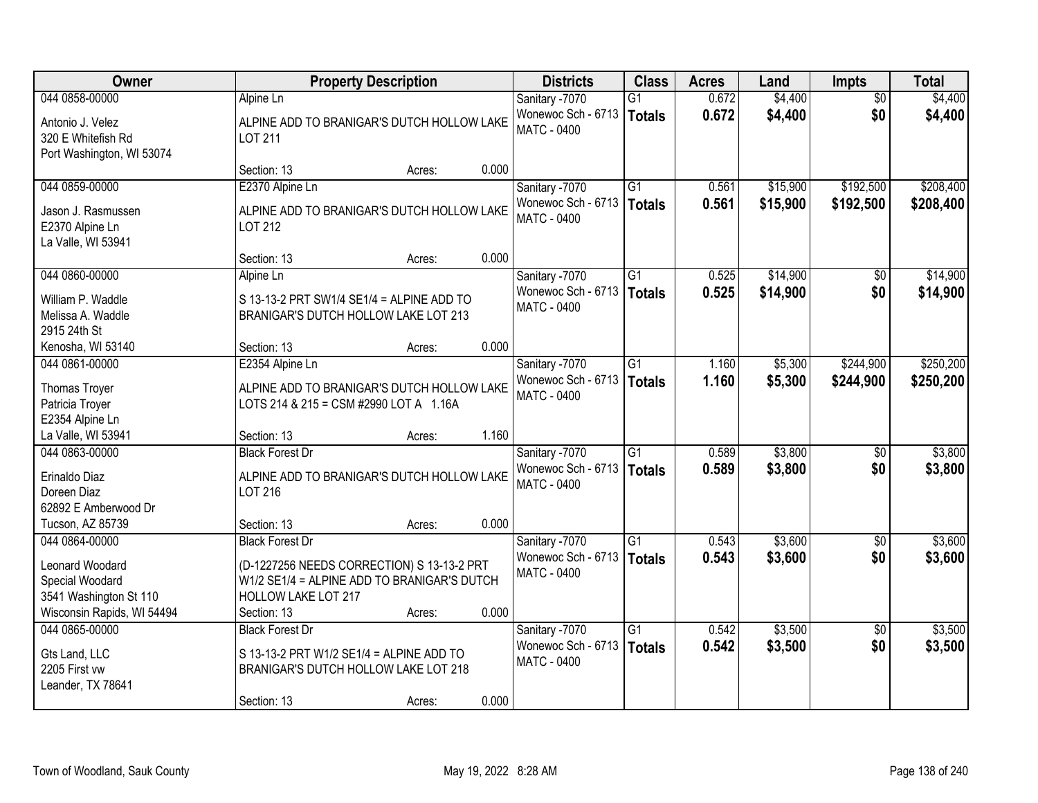| Owner                                                                                      | <b>Property Description</b>                                                                                                                               | <b>Districts</b>                                           | <b>Class</b>                     | <b>Acres</b>   | Land               | <b>Impts</b>    | <b>Total</b>       |
|--------------------------------------------------------------------------------------------|-----------------------------------------------------------------------------------------------------------------------------------------------------------|------------------------------------------------------------|----------------------------------|----------------|--------------------|-----------------|--------------------|
| 044 0858-00000                                                                             | Alpine Ln                                                                                                                                                 | Sanitary -7070                                             | $\overline{G1}$                  | 0.672          | \$4,400            | $\overline{50}$ | \$4,400            |
| Antonio J. Velez<br>320 E Whitefish Rd<br>Port Washington, WI 53074                        | ALPINE ADD TO BRANIGAR'S DUTCH HOLLOW LAKE<br><b>LOT 211</b>                                                                                              | Wonewoc Sch - 6713<br><b>MATC - 0400</b>                   | <b>Totals</b>                    | 0.672          | \$4,400            | \$0             | \$4,400            |
|                                                                                            | 0.000<br>Section: 13<br>Acres:                                                                                                                            |                                                            |                                  |                |                    |                 |                    |
| 044 0859-00000                                                                             | E2370 Alpine Ln                                                                                                                                           | Sanitary -7070                                             | $\overline{G1}$                  | 0.561          | \$15,900           | \$192,500       | \$208,400          |
| Jason J. Rasmussen<br>E2370 Alpine Ln<br>La Valle, WI 53941                                | ALPINE ADD TO BRANIGAR'S DUTCH HOLLOW LAKE<br>LOT 212                                                                                                     | Wonewoc Sch - 6713<br><b>MATC - 0400</b>                   | <b>Totals</b>                    | 0.561          | \$15,900           | \$192,500       | \$208,400          |
|                                                                                            | 0.000<br>Section: 13<br>Acres:                                                                                                                            |                                                            |                                  |                |                    |                 |                    |
| 044 0860-00000                                                                             | Alpine Ln                                                                                                                                                 | Sanitary -7070                                             | $\overline{G1}$                  | 0.525          | \$14,900           | \$0             | \$14,900           |
| William P. Waddle<br>Melissa A. Waddle<br>2915 24th St                                     | S 13-13-2 PRT SW1/4 SE1/4 = ALPINE ADD TO<br>BRANIGAR'S DUTCH HOLLOW LAKE LOT 213                                                                         | Wonewoc Sch - 6713<br><b>MATC - 0400</b>                   | <b>Totals</b>                    | 0.525          | \$14,900           | \$0             | \$14,900           |
| Kenosha, WI 53140                                                                          | 0.000<br>Section: 13<br>Acres:                                                                                                                            |                                                            |                                  |                |                    |                 |                    |
| 044 0861-00000                                                                             | E2354 Alpine Ln                                                                                                                                           | Sanitary -7070                                             | $\overline{G1}$                  | 1.160          | \$5,300            | \$244,900       | \$250,200          |
| Thomas Troyer<br>Patricia Troyer<br>E2354 Alpine Ln                                        | ALPINE ADD TO BRANIGAR'S DUTCH HOLLOW LAKE<br>LOTS 214 & 215 = CSM #2990 LOT A 1.16A                                                                      | Wonewoc Sch - 6713<br><b>MATC - 0400</b>                   | <b>Totals</b>                    | 1.160          | \$5,300            | \$244,900       | \$250,200          |
| La Valle, WI 53941                                                                         | 1.160<br>Section: 13<br>Acres:                                                                                                                            |                                                            |                                  |                |                    |                 |                    |
| 044 0863-00000<br>Erinaldo Diaz<br>Doreen Diaz<br>62892 E Amberwood Dr                     | <b>Black Forest Dr</b><br>ALPINE ADD TO BRANIGAR'S DUTCH HOLLOW LAKE<br>LOT 216                                                                           | Sanitary -7070<br>Wonewoc Sch - 6713<br><b>MATC - 0400</b> | $\overline{G1}$<br><b>Totals</b> | 0.589<br>0.589 | \$3,800<br>\$3,800 | \$0<br>\$0      | \$3,800<br>\$3,800 |
| Tucson, AZ 85739                                                                           | 0.000<br>Section: 13<br>Acres:                                                                                                                            |                                                            |                                  |                |                    |                 |                    |
| 044 0864-00000                                                                             | <b>Black Forest Dr</b>                                                                                                                                    | Sanitary -7070                                             | $\overline{G1}$                  | 0.543          | \$3,600            | $\sqrt{6}$      | \$3,600            |
| Leonard Woodard<br>Special Woodard<br>3541 Washington St 110<br>Wisconsin Rapids, WI 54494 | (D-1227256 NEEDS CORRECTION) S 13-13-2 PRT<br>W1/2 SE1/4 = ALPINE ADD TO BRANIGAR'S DUTCH<br><b>HOLLOW LAKE LOT 217</b><br>0.000<br>Section: 13<br>Acres: | Wonewoc Sch - 6713<br><b>MATC - 0400</b>                   | <b>Totals</b>                    | 0.543          | \$3,600            | \$0             | \$3,600            |
| 044 0865-00000                                                                             | <b>Black Forest Dr</b>                                                                                                                                    | Sanitary -7070                                             | $\overline{G1}$                  | 0.542          | \$3,500            | $\overline{50}$ | \$3,500            |
| Gts Land, LLC<br>2205 First vw<br>Leander, TX 78641                                        | S 13-13-2 PRT W1/2 SE1/4 = ALPINE ADD TO<br>BRANIGAR'S DUTCH HOLLOW LAKE LOT 218<br>0.000<br>Section: 13<br>Acres:                                        | Wonewoc Sch - 6713<br><b>MATC - 0400</b>                   | <b>Totals</b>                    | 0.542          | \$3,500            | \$0             | \$3,500            |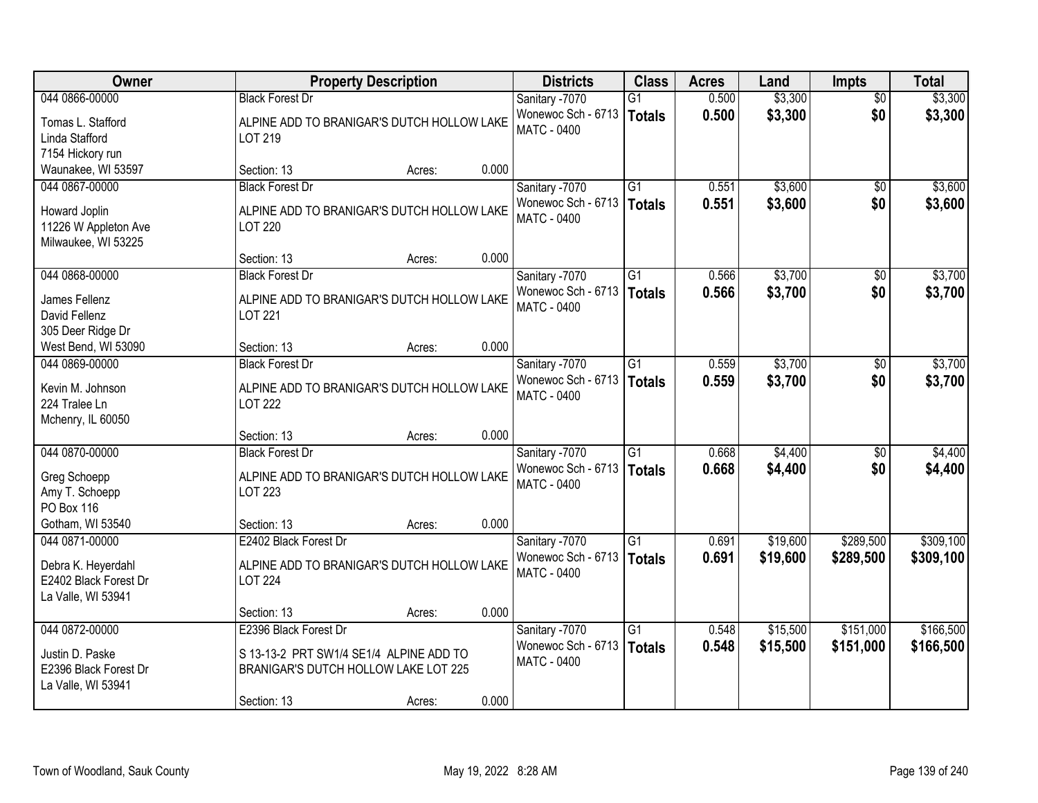| Owner                                                             | <b>Property Description</b>                                                     | <b>Districts</b>                                  | <b>Class</b>    | <b>Acres</b> | Land     | <b>Impts</b>    | <b>Total</b> |
|-------------------------------------------------------------------|---------------------------------------------------------------------------------|---------------------------------------------------|-----------------|--------------|----------|-----------------|--------------|
| 044 0866-00000                                                    | <b>Black Forest Dr</b>                                                          | Sanitary -7070                                    | $\overline{G1}$ | 0.500        | \$3,300  | $\overline{50}$ | \$3,300      |
| Tomas L. Stafford<br>Linda Stafford<br>7154 Hickory run           | ALPINE ADD TO BRANIGAR'S DUTCH HOLLOW LAKE<br>LOT 219                           | Wonewoc Sch - 6713<br><b>MATC - 0400</b>          | <b>Totals</b>   | 0.500        | \$3,300  | \$0             | \$3,300      |
| Waunakee, WI 53597                                                | 0.000<br>Section: 13<br>Acres:                                                  |                                                   |                 |              |          |                 |              |
| 044 0867-00000                                                    | <b>Black Forest Dr</b>                                                          | Sanitary -7070                                    | $\overline{G1}$ | 0.551        | \$3,600  | $\overline{30}$ | \$3,600      |
| Howard Joplin<br>11226 W Appleton Ave<br>Milwaukee, WI 53225      | ALPINE ADD TO BRANIGAR'S DUTCH HOLLOW LAKE<br><b>LOT 220</b>                    | Wonewoc Sch - 6713<br><b>MATC - 0400</b>          | <b>Totals</b>   | 0.551        | \$3,600  | \$0             | \$3,600      |
|                                                                   | Section: 13<br>0.000<br>Acres:                                                  |                                                   |                 |              |          |                 |              |
| 044 0868-00000                                                    | <b>Black Forest Dr</b>                                                          | Sanitary -7070                                    | $\overline{G1}$ | 0.566        | \$3,700  | \$0             | \$3,700      |
| James Fellenz<br>David Fellenz<br>305 Deer Ridge Dr               | ALPINE ADD TO BRANIGAR'S DUTCH HOLLOW LAKE<br><b>LOT 221</b>                    | Wonewoc Sch - 6713<br>MATC - 0400                 | <b>Totals</b>   | 0.566        | \$3,700  | \$0             | \$3,700      |
| West Bend, WI 53090                                               | 0.000<br>Section: 13<br>Acres:                                                  |                                                   |                 |              |          |                 |              |
| 044 0869-00000                                                    | <b>Black Forest Dr</b>                                                          | Sanitary -7070                                    | $\overline{G1}$ | 0.559        | \$3,700  | \$0             | \$3,700      |
| Kevin M. Johnson<br>224 Tralee Ln<br>Mchenry, IL 60050            | ALPINE ADD TO BRANIGAR'S DUTCH HOLLOW LAKE<br><b>LOT 222</b>                    | Wonewoc Sch - 6713<br><b>MATC - 0400</b>          | <b>Totals</b>   | 0.559        | \$3,700  | \$0             | \$3,700      |
|                                                                   | 0.000<br>Section: 13<br>Acres:                                                  |                                                   |                 |              |          |                 |              |
| 044 0870-00000                                                    | <b>Black Forest Dr</b>                                                          | Sanitary -7070                                    | $\overline{G1}$ | 0.668        | \$4,400  | \$0             | \$4,400      |
| Greg Schoepp<br>Amy T. Schoepp<br>PO Box 116                      | ALPINE ADD TO BRANIGAR'S DUTCH HOLLOW LAKE<br>LOT 223                           | Wonewoc Sch - 6713<br><b>MATC - 0400</b>          | <b>Totals</b>   | 0.668        | \$4,400  | \$0             | \$4,400      |
| Gotham, WI 53540                                                  | 0.000<br>Section: 13<br>Acres:                                                  |                                                   |                 |              |          |                 |              |
| 044 0871-00000                                                    | E2402 Black Forest Dr                                                           | Sanitary -7070                                    | $\overline{G1}$ | 0.691        | \$19,600 | \$289,500       | \$309,100    |
| Debra K. Heyerdahl<br>E2402 Black Forest Dr<br>La Valle, WI 53941 | ALPINE ADD TO BRANIGAR'S DUTCH HOLLOW LAKE<br><b>LOT 224</b>                    | Wonewoc Sch - 6713<br><b>MATC - 0400</b>          | <b>Totals</b>   | 0.691        | \$19,600 | \$289,500       | \$309,100    |
|                                                                   | 0.000<br>Section: 13<br>Acres:                                                  |                                                   |                 |              |          |                 |              |
| 044 0872-00000                                                    | E2396 Black Forest Dr                                                           | Sanitary -7070                                    | $\overline{G1}$ | 0.548        | \$15,500 | \$151,000       | \$166,500    |
| Justin D. Paske<br>E2396 Black Forest Dr<br>La Valle, WI 53941    | S 13-13-2 PRT SW1/4 SE1/4 ALPINE ADD TO<br>BRANIGAR'S DUTCH HOLLOW LAKE LOT 225 | Wonewoc Sch - 6713   Totals<br><b>MATC - 0400</b> |                 | 0.548        | \$15,500 | \$151,000       | \$166,500    |
|                                                                   | 0.000<br>Section: 13<br>Acres:                                                  |                                                   |                 |              |          |                 |              |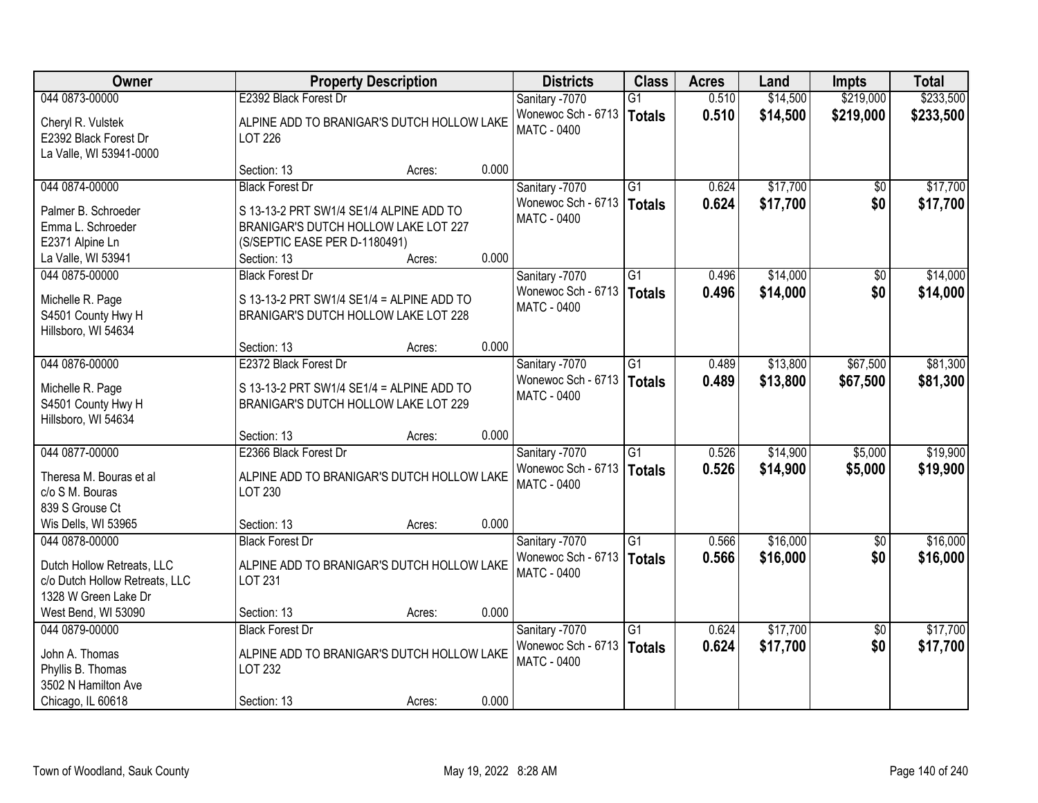| Owner                                                                                                  |                                                                                                                                 | <b>Property Description</b> |       | <b>Districts</b>                                                    | <b>Class</b>    | <b>Acres</b>   | Land                 | <b>Impts</b>           | <b>Total</b>         |
|--------------------------------------------------------------------------------------------------------|---------------------------------------------------------------------------------------------------------------------------------|-----------------------------|-------|---------------------------------------------------------------------|-----------------|----------------|----------------------|------------------------|----------------------|
| 044 0873-00000                                                                                         | E2392 Black Forest Dr                                                                                                           |                             |       | Sanitary -7070                                                      | $\overline{G1}$ | 0.510          | \$14,500             | \$219,000              | \$233,500            |
| Cheryl R. Vulstek<br>E2392 Black Forest Dr<br>La Valle, WI 53941-0000                                  | ALPINE ADD TO BRANIGAR'S DUTCH HOLLOW LAKE<br><b>LOT 226</b>                                                                    |                             |       | Wonewoc Sch - 6713<br><b>MATC - 0400</b>                            | <b>Totals</b>   | 0.510          | \$14,500             | \$219,000              | \$233,500            |
|                                                                                                        | Section: 13                                                                                                                     | Acres:                      | 0.000 |                                                                     |                 |                |                      |                        |                      |
| 044 0874-00000                                                                                         | <b>Black Forest Dr</b>                                                                                                          |                             |       | Sanitary -7070                                                      | $\overline{G1}$ | 0.624          | \$17,700             | \$0                    | \$17,700             |
| Palmer B. Schroeder<br>Emma L. Schroeder<br>E2371 Alpine Ln<br>La Valle, WI 53941                      | S 13-13-2 PRT SW1/4 SE1/4 ALPINE ADD TO<br>BRANIGAR'S DUTCH HOLLOW LAKE LOT 227<br>(S/SEPTIC EASE PER D-1180491)<br>Section: 13 | Acres:                      | 0.000 | Wonewoc Sch - 6713   Totals<br><b>MATC - 0400</b>                   |                 | 0.624          | \$17,700             | \$0                    | \$17,700             |
| 044 0875-00000                                                                                         | <b>Black Forest Dr</b>                                                                                                          |                             |       | Sanitary -7070                                                      | G <sub>1</sub>  | 0.496          | \$14,000             | \$0                    | \$14,000             |
| Michelle R. Page<br>S4501 County Hwy H<br>Hillsboro, WI 54634                                          | S 13-13-2 PRT SW1/4 SE1/4 = ALPINE ADD TO<br>BRANIGAR'S DUTCH HOLLOW LAKE LOT 228                                               |                             |       | Wonewoc Sch - 6713<br><b>MATC - 0400</b>                            | Totals          | 0.496          | \$14,000             | \$0                    | \$14,000             |
|                                                                                                        | Section: 13                                                                                                                     | Acres:                      | 0.000 |                                                                     |                 |                |                      |                        |                      |
| 044 0876-00000                                                                                         | E2372 Black Forest Dr                                                                                                           |                             |       | Sanitary -7070                                                      | $\overline{G1}$ | 0.489          | \$13,800             | \$67,500               | \$81,300             |
| Michelle R. Page<br>S4501 County Hwy H<br>Hillsboro, WI 54634                                          | S 13-13-2 PRT SW1/4 SE1/4 = ALPINE ADD TO<br>BRANIGAR'S DUTCH HOLLOW LAKE LOT 229                                               |                             |       | Wonewoc Sch - 6713<br><b>MATC - 0400</b>                            | <b>Totals</b>   | 0.489          | \$13,800             | \$67,500               | \$81,300             |
|                                                                                                        | Section: 13                                                                                                                     | Acres:                      | 0.000 |                                                                     |                 |                |                      |                        |                      |
| 044 0877-00000<br>Theresa M. Bouras et al<br>c/o S M. Bouras<br>839 S Grouse Ct                        | E2366 Black Forest Dr<br>ALPINE ADD TO BRANIGAR'S DUTCH HOLLOW LAKE<br>LOT 230                                                  |                             |       | Sanitary -7070<br>Wonewoc Sch - 6713   Totals<br><b>MATC - 0400</b> | $\overline{G1}$ | 0.526<br>0.526 | \$14,900<br>\$14,900 | \$5,000<br>\$5,000     | \$19,900<br>\$19,900 |
| Wis Dells, WI 53965                                                                                    | Section: 13                                                                                                                     | Acres:                      | 0.000 |                                                                     |                 |                |                      |                        |                      |
| 044 0878-00000<br>Dutch Hollow Retreats, LLC<br>c/o Dutch Hollow Retreats, LLC<br>1328 W Green Lake Dr | <b>Black Forest Dr</b><br>ALPINE ADD TO BRANIGAR'S DUTCH HOLLOW LAKE<br><b>LOT 231</b>                                          |                             |       | Sanitary -7070<br>Wonewoc Sch - 6713   Totals<br><b>MATC - 0400</b> | $\overline{G1}$ | 0.566<br>0.566 | \$16,000<br>\$16,000 | $\overline{60}$<br>\$0 | \$16,000<br>\$16,000 |
| West Bend, WI 53090                                                                                    | Section: 13                                                                                                                     | Acres:                      | 0.000 |                                                                     |                 |                |                      |                        |                      |
| 044 0879-00000                                                                                         | <b>Black Forest Dr</b>                                                                                                          |                             |       | Sanitary -7070                                                      | $\overline{G1}$ | 0.624          | \$17,700             | $\overline{50}$        | \$17,700             |
| John A. Thomas<br>Phyllis B. Thomas<br>3502 N Hamilton Ave                                             | ALPINE ADD TO BRANIGAR'S DUTCH HOLLOW LAKE<br>LOT 232                                                                           |                             |       | Wonewoc Sch - 6713<br><b>MATC - 0400</b>                            | Totals          | 0.624          | \$17,700             | \$0                    | \$17,700             |
| Chicago, IL 60618                                                                                      | Section: 13                                                                                                                     | Acres:                      | 0.000 |                                                                     |                 |                |                      |                        |                      |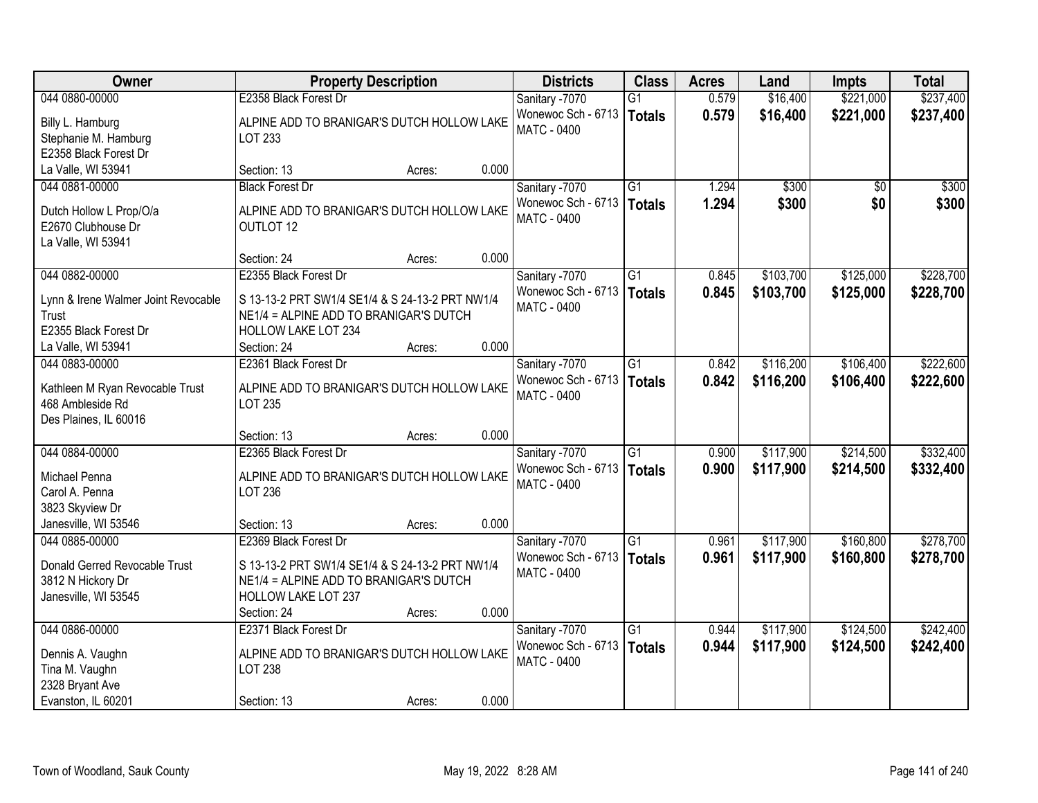| Owner                                     | <b>Property Description</b>                                          |       | <b>Districts</b>   | <b>Class</b>    | <b>Acres</b> | Land      | <b>Impts</b>    | <b>Total</b> |
|-------------------------------------------|----------------------------------------------------------------------|-------|--------------------|-----------------|--------------|-----------|-----------------|--------------|
| 044 0880-00000                            | E2358 Black Forest Dr                                                |       | Sanitary -7070     | $\overline{G1}$ | 0.579        | \$16,400  | \$221,000       | \$237,400    |
| Billy L. Hamburg                          | ALPINE ADD TO BRANIGAR'S DUTCH HOLLOW LAKE                           |       | Wonewoc Sch - 6713 | <b>Totals</b>   | 0.579        | \$16,400  | \$221,000       | \$237,400    |
| Stephanie M. Hamburg                      | LOT 233                                                              |       | <b>MATC - 0400</b> |                 |              |           |                 |              |
| E2358 Black Forest Dr                     |                                                                      |       |                    |                 |              |           |                 |              |
| La Valle, WI 53941                        | Section: 13<br>Acres:                                                | 0.000 |                    |                 |              |           |                 |              |
| 044 0881-00000                            | <b>Black Forest Dr</b>                                               |       | Sanitary -7070     | $\overline{G1}$ | 1.294        | \$300     | $\overline{50}$ | \$300        |
| Dutch Hollow L Prop/O/a                   | ALPINE ADD TO BRANIGAR'S DUTCH HOLLOW LAKE                           |       | Wonewoc Sch - 6713 | <b>Totals</b>   | 1.294        | \$300     | \$0             | \$300        |
| E2670 Clubhouse Dr                        | OUTLOT 12                                                            |       | <b>MATC - 0400</b> |                 |              |           |                 |              |
| La Valle, WI 53941                        |                                                                      |       |                    |                 |              |           |                 |              |
|                                           | Section: 24<br>Acres:                                                | 0.000 |                    |                 |              |           |                 |              |
| 044 0882-00000                            | E2355 Black Forest Dr                                                |       | Sanitary -7070     | G1              | 0.845        | \$103,700 | \$125,000       | \$228,700    |
| Lynn & Irene Walmer Joint Revocable       | S 13-13-2 PRT SW1/4 SE1/4 & S 24-13-2 PRT NW1/4                      |       | Wonewoc Sch - 6713 | <b>Totals</b>   | 0.845        | \$103,700 | \$125,000       | \$228,700    |
| Trust                                     | NE1/4 = ALPINE ADD TO BRANIGAR'S DUTCH                               |       | <b>MATC - 0400</b> |                 |              |           |                 |              |
| E2355 Black Forest Dr                     | <b>HOLLOW LAKE LOT 234</b>                                           |       |                    |                 |              |           |                 |              |
| La Valle, WI 53941                        | Section: 24<br>Acres:                                                | 0.000 |                    |                 |              |           |                 |              |
| 044 0883-00000                            | E2361 Black Forest Dr                                                |       | Sanitary -7070     | $\overline{G1}$ | 0.842        | \$116,200 | \$106,400       | \$222,600    |
| Kathleen M Ryan Revocable Trust           | ALPINE ADD TO BRANIGAR'S DUTCH HOLLOW LAKE                           |       | Wonewoc Sch - 6713 | Totals          | 0.842        | \$116,200 | \$106,400       | \$222,600    |
| 468 Ambleside Rd                          | <b>LOT 235</b>                                                       |       | <b>MATC - 0400</b> |                 |              |           |                 |              |
| Des Plaines, IL 60016                     |                                                                      |       |                    |                 |              |           |                 |              |
|                                           | Section: 13<br>Acres:                                                | 0.000 |                    |                 |              |           |                 |              |
| 044 0884-00000                            | E2365 Black Forest Dr                                                |       | Sanitary -7070     | $\overline{G1}$ | 0.900        | \$117,900 | \$214,500       | \$332,400    |
|                                           |                                                                      |       | Wonewoc Sch - 6713 | <b>Totals</b>   | 0.900        | \$117,900 | \$214,500       | \$332,400    |
| Michael Penna<br>Carol A. Penna           | ALPINE ADD TO BRANIGAR'S DUTCH HOLLOW LAKE<br>LOT 236                |       | <b>MATC - 0400</b> |                 |              |           |                 |              |
| 3823 Skyview Dr                           |                                                                      |       |                    |                 |              |           |                 |              |
| Janesville, WI 53546                      | Section: 13<br>Acres:                                                | 0.000 |                    |                 |              |           |                 |              |
| 044 0885-00000                            | E2369 Black Forest Dr                                                |       | Sanitary -7070     | G1              | 0.961        | \$117,900 | \$160,800       | \$278,700    |
|                                           |                                                                      |       | Wonewoc Sch - 6713 | <b>Totals</b>   | 0.961        | \$117,900 | \$160,800       | \$278,700    |
| Donald Gerred Revocable Trust             | S 13-13-2 PRT SW1/4 SE1/4 & S 24-13-2 PRT NW1/4                      |       | <b>MATC - 0400</b> |                 |              |           |                 |              |
| 3812 N Hickory Dr<br>Janesville, WI 53545 | NE1/4 = ALPINE ADD TO BRANIGAR'S DUTCH<br><b>HOLLOW LAKE LOT 237</b> |       |                    |                 |              |           |                 |              |
|                                           | Section: 24<br>Acres:                                                | 0.000 |                    |                 |              |           |                 |              |
| 044 0886-00000                            | E2371 Black Forest Dr                                                |       | Sanitary -7070     | $\overline{G1}$ | 0.944        | \$117,900 | \$124,500       | \$242,400    |
|                                           |                                                                      |       | Wonewoc Sch - 6713 | <b>Totals</b>   | 0.944        | \$117,900 | \$124,500       | \$242,400    |
| Dennis A. Vaughn                          | ALPINE ADD TO BRANIGAR'S DUTCH HOLLOW LAKE                           |       | <b>MATC - 0400</b> |                 |              |           |                 |              |
| Tina M. Vaughn                            | <b>LOT 238</b>                                                       |       |                    |                 |              |           |                 |              |
| 2328 Bryant Ave                           |                                                                      | 0.000 |                    |                 |              |           |                 |              |
| Evanston, IL 60201                        | Section: 13<br>Acres:                                                |       |                    |                 |              |           |                 |              |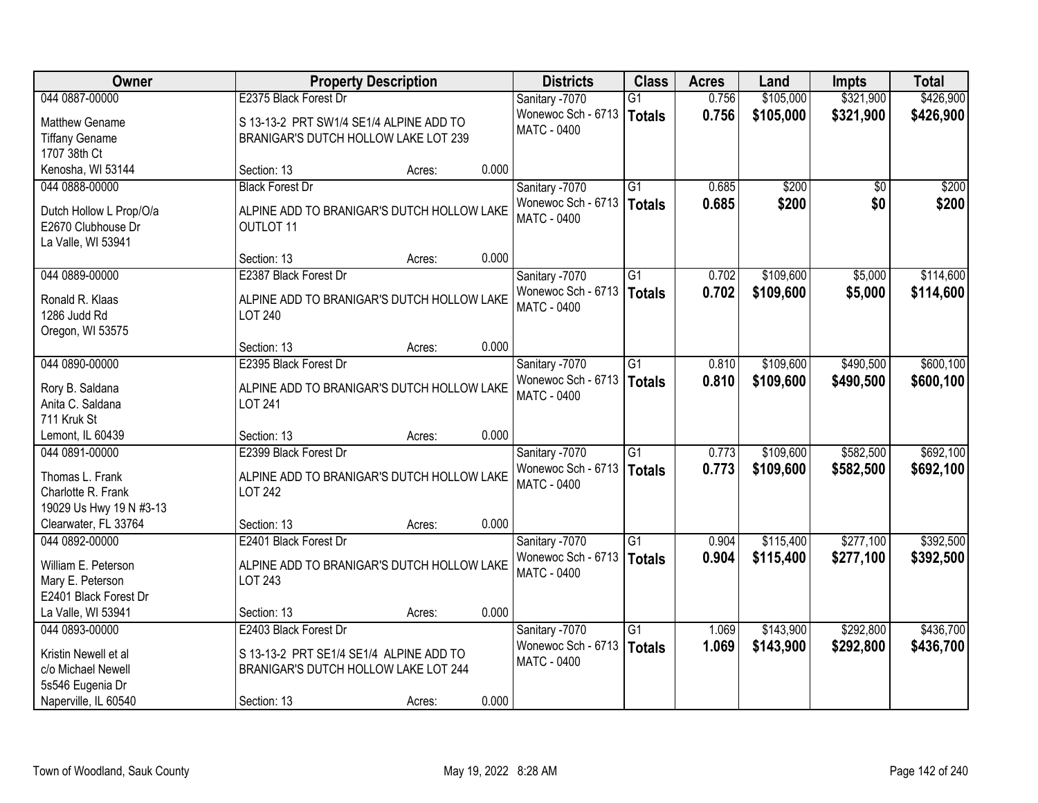| <b>Owner</b>                               |                                                                                 | <b>Property Description</b> |       | <b>Districts</b>            | <b>Class</b>    | <b>Acres</b> | Land      | <b>Impts</b>    | <b>Total</b> |
|--------------------------------------------|---------------------------------------------------------------------------------|-----------------------------|-------|-----------------------------|-----------------|--------------|-----------|-----------------|--------------|
| 044 0887-00000                             | E2375 Black Forest Dr                                                           |                             |       | Sanitary -7070              | $\overline{G1}$ | 0.756        | \$105,000 | \$321,900       | \$426,900    |
| <b>Matthew Gename</b>                      | S 13-13-2 PRT SW1/4 SE1/4 ALPINE ADD TO                                         |                             |       | Wonewoc Sch - 6713          | <b>Totals</b>   | 0.756        | \$105,000 | \$321,900       | \$426,900    |
| <b>Tiffany Gename</b>                      | BRANIGAR'S DUTCH HOLLOW LAKE LOT 239                                            |                             |       | <b>MATC - 0400</b>          |                 |              |           |                 |              |
| 1707 38th Ct                               |                                                                                 |                             |       |                             |                 |              |           |                 |              |
| Kenosha, WI 53144                          | Section: 13                                                                     | Acres:                      | 0.000 |                             |                 |              |           |                 |              |
| 044 0888-00000                             | <b>Black Forest Dr</b>                                                          |                             |       | Sanitary -7070              | $\overline{G1}$ | 0.685        | \$200     | $\overline{50}$ | \$200        |
| Dutch Hollow L Prop/O/a                    | ALPINE ADD TO BRANIGAR'S DUTCH HOLLOW LAKE                                      |                             |       | Wonewoc Sch - 6713   Totals |                 | 0.685        | \$200     | \$0             | \$200        |
| E2670 Clubhouse Dr                         | OUTLOT 11                                                                       |                             |       | <b>MATC - 0400</b>          |                 |              |           |                 |              |
| La Valle, WI 53941                         |                                                                                 |                             |       |                             |                 |              |           |                 |              |
|                                            | Section: 13                                                                     | Acres:                      | 0.000 |                             |                 |              |           |                 |              |
| 044 0889-00000                             | E2387 Black Forest Dr                                                           |                             |       | Sanitary -7070              | G1              | 0.702        | \$109,600 | \$5,000         | \$114,600    |
| Ronald R. Klaas                            | ALPINE ADD TO BRANIGAR'S DUTCH HOLLOW LAKE                                      |                             |       | Wonewoc Sch - 6713          | <b>Totals</b>   | 0.702        | \$109,600 | \$5,000         | \$114,600    |
| 1286 Judd Rd                               | <b>LOT 240</b>                                                                  |                             |       | <b>MATC - 0400</b>          |                 |              |           |                 |              |
| Oregon, WI 53575                           |                                                                                 |                             |       |                             |                 |              |           |                 |              |
|                                            | Section: 13                                                                     | Acres:                      | 0.000 |                             |                 |              |           |                 |              |
| 044 0890-00000                             | E2395 Black Forest Dr                                                           |                             |       | Sanitary -7070              | $\overline{G1}$ | 0.810        | \$109,600 | \$490,500       | \$600,100    |
| Rory B. Saldana                            | ALPINE ADD TO BRANIGAR'S DUTCH HOLLOW LAKE                                      |                             |       | Wonewoc Sch - 6713          | <b>Totals</b>   | 0.810        | \$109,600 | \$490,500       | \$600,100    |
| Anita C. Saldana                           | <b>LOT 241</b>                                                                  |                             |       | MATC - 0400                 |                 |              |           |                 |              |
| 711 Kruk St                                |                                                                                 |                             |       |                             |                 |              |           |                 |              |
| Lemont, IL 60439                           | Section: 13                                                                     | Acres:                      | 0.000 |                             |                 |              |           |                 |              |
| 044 0891-00000                             | E2399 Black Forest Dr                                                           |                             |       | Sanitary -7070              | $\overline{G1}$ | 0.773        | \$109,600 | \$582,500       | \$692,100    |
|                                            |                                                                                 |                             |       | Wonewoc Sch - 6713          | <b>Totals</b>   | 0.773        | \$109,600 | \$582,500       | \$692,100    |
| Thomas L. Frank<br>Charlotte R. Frank      | ALPINE ADD TO BRANIGAR'S DUTCH HOLLOW LAKE<br><b>LOT 242</b>                    |                             |       | <b>MATC - 0400</b>          |                 |              |           |                 |              |
| 19029 Us Hwy 19 N #3-13                    |                                                                                 |                             |       |                             |                 |              |           |                 |              |
| Clearwater, FL 33764                       | Section: 13                                                                     | Acres:                      | 0.000 |                             |                 |              |           |                 |              |
| 044 0892-00000                             | E2401 Black Forest Dr                                                           |                             |       | Sanitary -7070              | $\overline{G1}$ | 0.904        | \$115,400 | \$277,100       | \$392,500    |
|                                            |                                                                                 |                             |       | Wonewoc Sch - 6713          | <b>Totals</b>   | 0.904        | \$115,400 | \$277,100       | \$392,500    |
| William E. Peterson<br>Mary E. Peterson    | ALPINE ADD TO BRANIGAR'S DUTCH HOLLOW LAKE<br>LOT 243                           |                             |       | <b>MATC - 0400</b>          |                 |              |           |                 |              |
| E2401 Black Forest Dr                      |                                                                                 |                             |       |                             |                 |              |           |                 |              |
| La Valle, WI 53941                         | Section: 13                                                                     | Acres:                      | 0.000 |                             |                 |              |           |                 |              |
| 044 0893-00000                             | E2403 Black Forest Dr                                                           |                             |       | Sanitary -7070              | $\overline{G1}$ | 1.069        | \$143,900 | \$292,800       | \$436,700    |
|                                            |                                                                                 |                             |       | Wonewoc Sch - 6713          | <b>Totals</b>   | 1.069        | \$143,900 | \$292,800       | \$436,700    |
| Kristin Newell et al<br>c/o Michael Newell | S 13-13-2 PRT SE1/4 SE1/4 ALPINE ADD TO<br>BRANIGAR'S DUTCH HOLLOW LAKE LOT 244 |                             |       | <b>MATC - 0400</b>          |                 |              |           |                 |              |
| 5s546 Eugenia Dr                           |                                                                                 |                             |       |                             |                 |              |           |                 |              |
| Naperville, IL 60540                       | Section: 13                                                                     | Acres:                      | 0.000 |                             |                 |              |           |                 |              |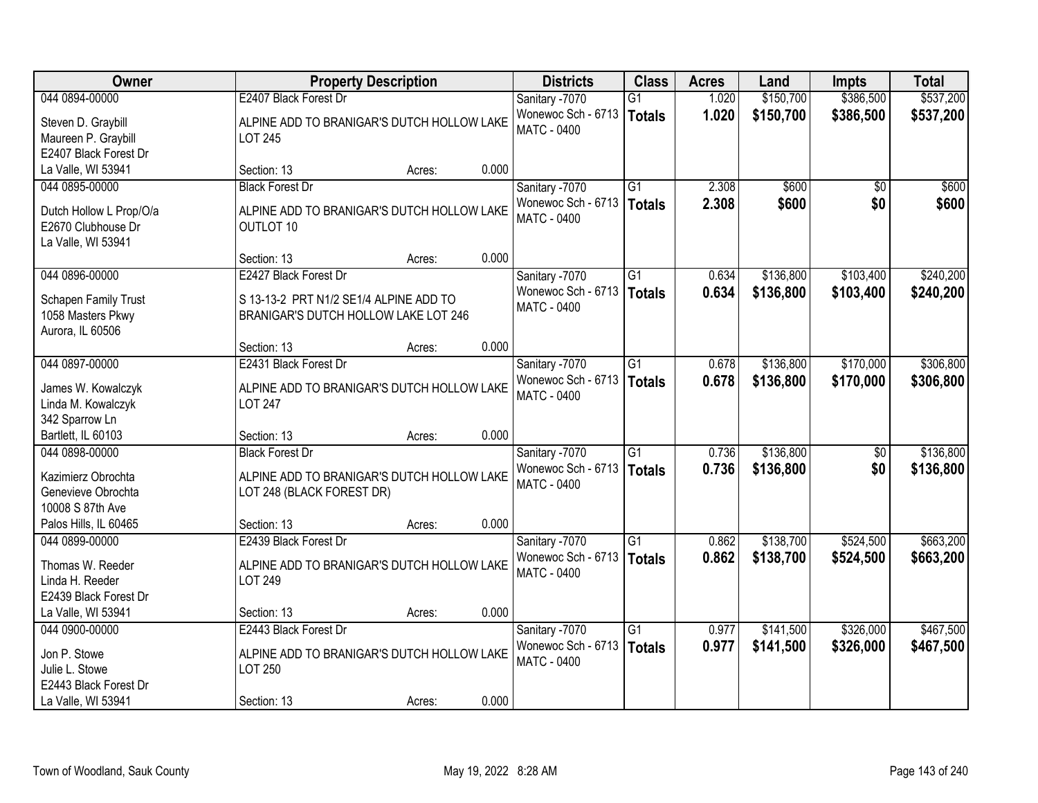| Owner                                                                          | <b>Property Description</b>                                                                       | <b>Districts</b>                                           | <b>Class</b>                     | <b>Acres</b>   | Land                   | <b>Impts</b>           | <b>Total</b>           |
|--------------------------------------------------------------------------------|---------------------------------------------------------------------------------------------------|------------------------------------------------------------|----------------------------------|----------------|------------------------|------------------------|------------------------|
| 044 0894-00000                                                                 | E2407 Black Forest Dr                                                                             | Sanitary -7070                                             | $\overline{G1}$                  | 1.020          | \$150,700              | \$386,500              | \$537,200              |
| Steven D. Graybill<br>Maureen P. Graybill<br>E2407 Black Forest Dr             | ALPINE ADD TO BRANIGAR'S DUTCH HOLLOW LAKE<br><b>LOT 245</b>                                      | Wonewoc Sch - 6713<br><b>MATC - 0400</b>                   | <b>Totals</b>                    | 1.020          | \$150,700              | \$386,500              | \$537,200              |
| La Valle, WI 53941                                                             | 0.000<br>Section: 13<br>Acres:                                                                    |                                                            |                                  |                |                        |                        |                        |
| 044 0895-00000                                                                 | <b>Black Forest Dr</b>                                                                            | Sanitary -7070                                             | $\overline{G1}$                  | 2.308          | \$600                  | \$0                    | \$600                  |
| Dutch Hollow L Prop/O/a<br>E2670 Clubhouse Dr<br>La Valle, WI 53941            | ALPINE ADD TO BRANIGAR'S DUTCH HOLLOW LAKE<br>OUTLOT 10                                           | Wonewoc Sch - 6713<br><b>MATC - 0400</b>                   | <b>Totals</b>                    | 2.308          | \$600                  | \$0                    | \$600                  |
|                                                                                | 0.000<br>Section: 13<br>Acres:                                                                    |                                                            |                                  |                |                        |                        |                        |
| 044 0896-00000                                                                 | E2427 Black Forest Dr                                                                             | Sanitary -7070                                             | G1                               | 0.634          | \$136,800              | \$103,400              | \$240,200              |
| Schapen Family Trust<br>1058 Masters Pkwy<br>Aurora, IL 60506                  | S 13-13-2 PRT N1/2 SE1/4 ALPINE ADD TO<br>BRANIGAR'S DUTCH HOLLOW LAKE LOT 246                    | Wonewoc Sch - 6713<br><b>MATC - 0400</b>                   | <b>Totals</b>                    | 0.634          | \$136,800              | \$103,400              | \$240,200              |
|                                                                                | 0.000<br>Section: 13<br>Acres:                                                                    |                                                            |                                  |                |                        |                        |                        |
| 044 0897-00000                                                                 | E2431 Black Forest Dr                                                                             | Sanitary -7070                                             | G1                               | 0.678          | \$136,800              | \$170,000              | \$306,800              |
| James W. Kowalczyk<br>Linda M. Kowalczyk<br>342 Sparrow Ln                     | ALPINE ADD TO BRANIGAR'S DUTCH HOLLOW LAKE<br><b>LOT 247</b>                                      | Wonewoc Sch - 6713<br><b>MATC - 0400</b>                   | <b>Totals</b>                    | 0.678          | \$136,800              | \$170,000              | \$306,800              |
| Bartlett, IL 60103                                                             | 0.000<br>Section: 13<br>Acres:                                                                    |                                                            |                                  |                |                        |                        |                        |
| 044 0898-00000<br>Kazimierz Obrochta<br>Genevieve Obrochta<br>10008 S 87th Ave | <b>Black Forest Dr</b><br>ALPINE ADD TO BRANIGAR'S DUTCH HOLLOW LAKE<br>LOT 248 (BLACK FOREST DR) | Sanitary -7070<br>Wonewoc Sch - 6713<br><b>MATC - 0400</b> | $\overline{G1}$<br><b>Totals</b> | 0.736<br>0.736 | \$136,800<br>\$136,800 | $\overline{50}$<br>\$0 | \$136,800<br>\$136,800 |
| Palos Hills, IL 60465                                                          | 0.000<br>Section: 13<br>Acres:                                                                    |                                                            |                                  |                |                        |                        |                        |
| 044 0899-00000                                                                 | E2439 Black Forest Dr                                                                             | Sanitary -7070                                             | G1                               | 0.862          | \$138,700              | \$524,500              | \$663,200              |
| Thomas W. Reeder<br>Linda H. Reeder<br>E2439 Black Forest Dr                   | ALPINE ADD TO BRANIGAR'S DUTCH HOLLOW LAKE<br>LOT 249                                             | Wonewoc Sch - 6713<br><b>MATC - 0400</b>                   | <b>Totals</b>                    | 0.862          | \$138,700              | \$524,500              | \$663,200              |
| La Valle, WI 53941                                                             | 0.000<br>Section: 13<br>Acres:                                                                    |                                                            |                                  |                |                        |                        |                        |
| 044 0900-00000                                                                 | E2443 Black Forest Dr                                                                             | Sanitary -7070                                             | $\overline{G1}$                  | 0.977          | \$141,500              | \$326,000              | \$467,500              |
| Jon P. Stowe<br>Julie L. Stowe<br>E2443 Black Forest Dr                        | ALPINE ADD TO BRANIGAR'S DUTCH HOLLOW LAKE<br>LOT 250                                             | Wonewoc Sch - 6713<br>MATC - 0400                          | <b>Totals</b>                    | 0.977          | \$141,500              | \$326,000              | \$467,500              |
| La Valle, WI 53941                                                             | 0.000<br>Section: 13<br>Acres:                                                                    |                                                            |                                  |                |                        |                        |                        |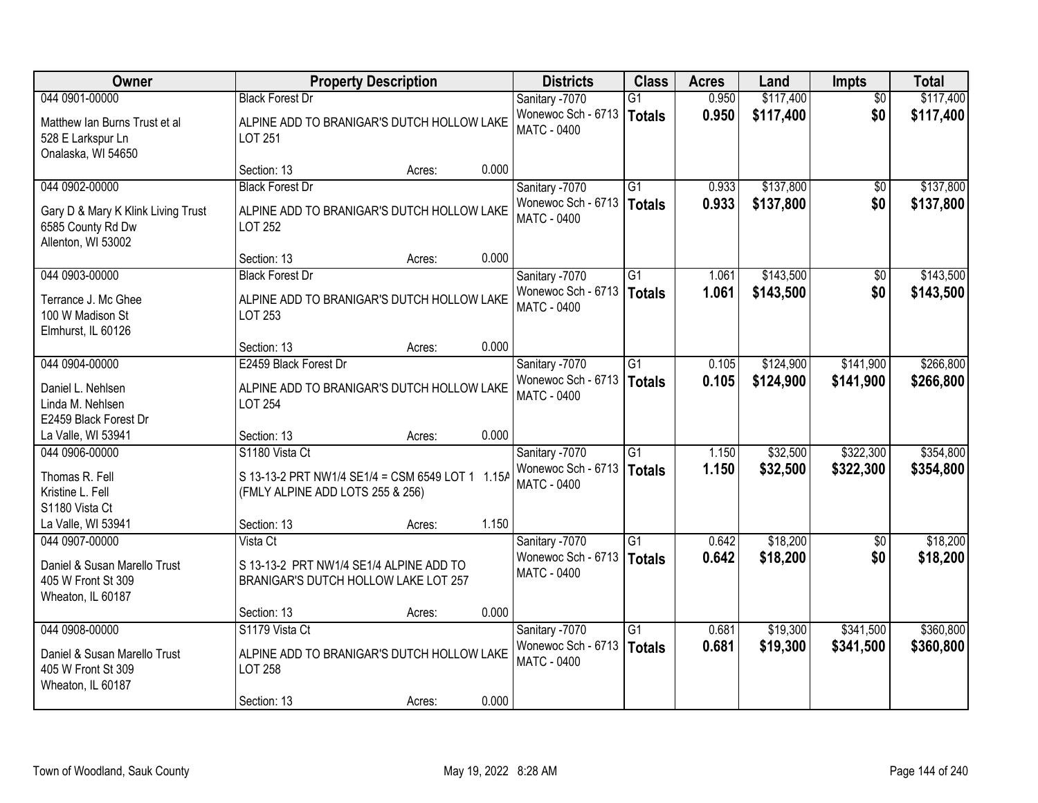| Owner                                                                         |                                                                                      | <b>Property Description</b> |       | <b>Districts</b>                         | <b>Class</b>    | <b>Acres</b> | Land      | <b>Impts</b>    | <b>Total</b> |
|-------------------------------------------------------------------------------|--------------------------------------------------------------------------------------|-----------------------------|-------|------------------------------------------|-----------------|--------------|-----------|-----------------|--------------|
| 044 0901-00000                                                                | <b>Black Forest Dr</b>                                                               |                             |       | Sanitary -7070                           | $\overline{G1}$ | 0.950        | \$117,400 | $\overline{50}$ | \$117,400    |
| Matthew Ian Burns Trust et al<br>528 E Larkspur Ln<br>Onalaska, WI 54650      | ALPINE ADD TO BRANIGAR'S DUTCH HOLLOW LAKE<br>LOT 251                                |                             |       | Wonewoc Sch - 6713<br><b>MATC - 0400</b> | <b>Totals</b>   | 0.950        | \$117,400 | \$0             | \$117,400    |
|                                                                               | Section: 13                                                                          | Acres:                      | 0.000 |                                          |                 |              |           |                 |              |
| 044 0902-00000                                                                | <b>Black Forest Dr</b>                                                               |                             |       | Sanitary -7070                           | $\overline{G1}$ | 0.933        | \$137,800 | \$0             | \$137,800    |
| Gary D & Mary K Klink Living Trust<br>6585 County Rd Dw<br>Allenton, WI 53002 | ALPINE ADD TO BRANIGAR'S DUTCH HOLLOW LAKE<br>LOT 252                                |                             |       | Wonewoc Sch - 6713<br><b>MATC - 0400</b> | <b>Totals</b>   | 0.933        | \$137,800 | \$0             | \$137,800    |
|                                                                               | Section: 13                                                                          | Acres:                      | 0.000 |                                          |                 |              |           |                 |              |
| 044 0903-00000                                                                | <b>Black Forest Dr</b>                                                               |                             |       | Sanitary -7070                           | G1              | 1.061        | \$143,500 | \$0             | \$143,500    |
| Terrance J. Mc Ghee<br>100 W Madison St<br>Elmhurst, IL 60126                 | ALPINE ADD TO BRANIGAR'S DUTCH HOLLOW LAKE<br>LOT 253                                |                             |       | Wonewoc Sch - 6713<br><b>MATC - 0400</b> | <b>Totals</b>   | 1.061        | \$143,500 | \$0             | \$143,500    |
|                                                                               | Section: 13                                                                          | Acres:                      | 0.000 |                                          |                 |              |           |                 |              |
| 044 0904-00000                                                                | E2459 Black Forest Dr                                                                |                             |       | Sanitary -7070                           | $\overline{G1}$ | 0.105        | \$124,900 | \$141,900       | \$266,800    |
| Daniel L. Nehlsen<br>Linda M. Nehlsen<br>E2459 Black Forest Dr                | ALPINE ADD TO BRANIGAR'S DUTCH HOLLOW LAKE<br><b>LOT 254</b>                         |                             |       | Wonewoc Sch - 6713<br>MATC - 0400        | <b>Totals</b>   | 0.105        | \$124,900 | \$141,900       | \$266,800    |
| La Valle, WI 53941                                                            | Section: 13                                                                          | Acres:                      | 0.000 |                                          |                 |              |           |                 |              |
| 044 0906-00000                                                                | S1180 Vista Ct                                                                       |                             |       | Sanitary -7070                           | $\overline{G1}$ | 1.150        | \$32,500  | \$322,300       | \$354,800    |
| Thomas R. Fell<br>Kristine L. Fell<br>S1180 Vista Ct                          | S 13-13-2 PRT NW1/4 SE1/4 = CSM 6549 LOT 1 1.15A<br>(FMLY ALPINE ADD LOTS 255 & 256) |                             |       | Wonewoc Sch - 6713<br><b>MATC - 0400</b> | <b>Totals</b>   | 1.150        | \$32,500  | \$322,300       | \$354,800    |
| La Valle, WI 53941                                                            | Section: 13                                                                          | Acres:                      | 1.150 |                                          |                 |              |           |                 |              |
| 044 0907-00000                                                                | Vista Ct                                                                             |                             |       | Sanitary -7070                           | $\overline{G1}$ | 0.642        | \$18,200  | $\overline{50}$ | \$18,200     |
| Daniel & Susan Marello Trust<br>405 W Front St 309<br>Wheaton, IL 60187       | S 13-13-2 PRT NW1/4 SE1/4 ALPINE ADD TO<br>BRANIGAR'S DUTCH HOLLOW LAKE LOT 257      |                             |       | Wonewoc Sch - 6713<br><b>MATC - 0400</b> | <b>Totals</b>   | 0.642        | \$18,200  | \$0             | \$18,200     |
|                                                                               | Section: 13                                                                          | Acres:                      | 0.000 |                                          |                 |              |           |                 |              |
| 044 0908-00000                                                                | S1179 Vista Ct                                                                       |                             |       | Sanitary -7070                           | $\overline{G1}$ | 0.681        | \$19,300  | \$341,500       | \$360,800    |
| Daniel & Susan Marello Trust<br>405 W Front St 309<br>Wheaton, IL 60187       | ALPINE ADD TO BRANIGAR'S DUTCH HOLLOW LAKE<br>LOT 258                                |                             |       | Wonewoc Sch - 6713<br><b>MATC - 0400</b> | <b>Totals</b>   | 0.681        | \$19,300  | \$341,500       | \$360,800    |
|                                                                               | Section: 13                                                                          | Acres:                      | 0.000 |                                          |                 |              |           |                 |              |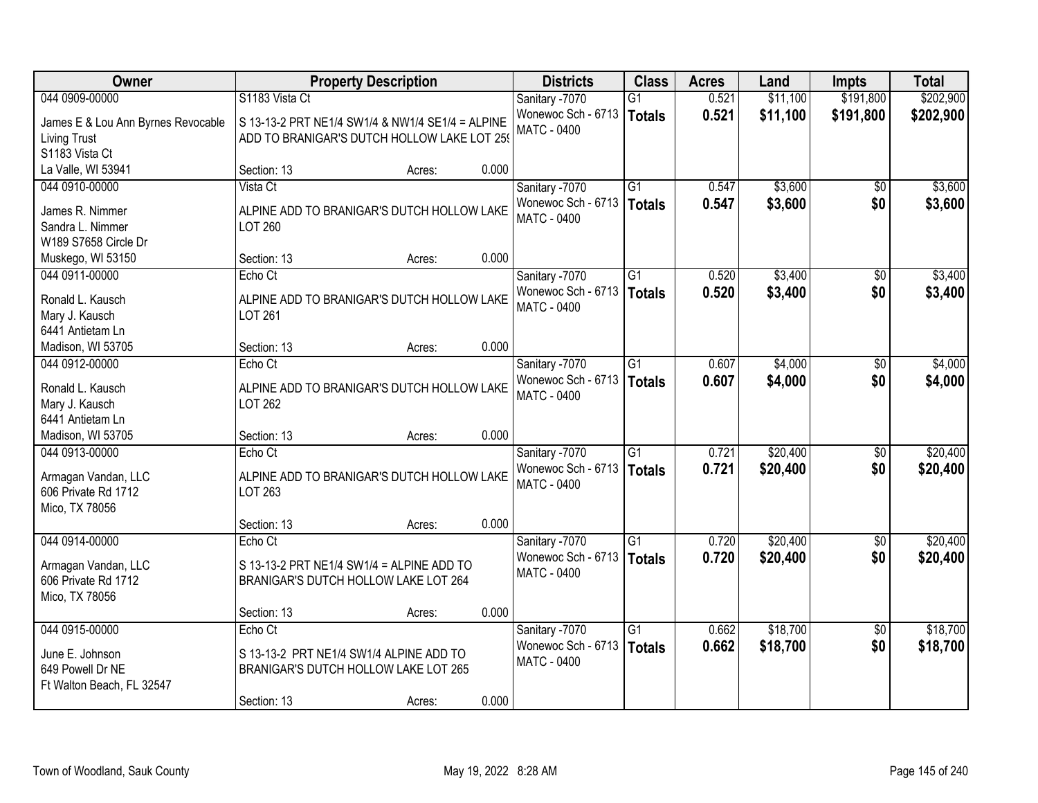| <b>Owner</b>                       | <b>Property Description</b>                      |                 | <b>Districts</b>                         | <b>Class</b>    | <b>Acres</b> | Land     | <b>Impts</b>    | <b>Total</b> |
|------------------------------------|--------------------------------------------------|-----------------|------------------------------------------|-----------------|--------------|----------|-----------------|--------------|
| 044 0909-00000                     | S1183 Vista Ct                                   |                 | Sanitary -7070                           | $\overline{G1}$ | 0.521        | \$11,100 | \$191,800       | \$202,900    |
| James E & Lou Ann Byrnes Revocable | S 13-13-2 PRT NE1/4 SW1/4 & NW1/4 SE1/4 = ALPINE |                 | Wonewoc Sch - 6713<br><b>MATC - 0400</b> | <b>Totals</b>   | 0.521        | \$11,100 | \$191,800       | \$202,900    |
| <b>Living Trust</b>                | ADD TO BRANIGAR'S DUTCH HOLLOW LAKE LOT 259      |                 |                                          |                 |              |          |                 |              |
| S1183 Vista Ct                     |                                                  |                 |                                          |                 |              |          |                 |              |
| La Valle, WI 53941                 | Section: 13                                      | 0.000<br>Acres: |                                          |                 |              |          |                 |              |
| 044 0910-00000                     | Vista Ct                                         |                 | Sanitary -7070                           | $\overline{G1}$ | 0.547        | \$3,600  | $\overline{50}$ | \$3,600      |
| James R. Nimmer                    | ALPINE ADD TO BRANIGAR'S DUTCH HOLLOW LAKE       |                 | Wonewoc Sch - 6713                       | <b>Totals</b>   | 0.547        | \$3,600  | \$0             | \$3,600      |
| Sandra L. Nimmer                   | LOT 260                                          |                 | <b>MATC - 0400</b>                       |                 |              |          |                 |              |
| W189 S7658 Circle Dr               |                                                  |                 |                                          |                 |              |          |                 |              |
| Muskego, WI 53150                  | Section: 13                                      | 0.000<br>Acres: |                                          |                 |              |          |                 |              |
| 044 0911-00000                     | Echo Ct                                          |                 | Sanitary -7070                           | G1              | 0.520        | \$3,400  | \$0             | \$3,400      |
| Ronald L. Kausch                   | ALPINE ADD TO BRANIGAR'S DUTCH HOLLOW LAKE       |                 | Wonewoc Sch - 6713                       | <b>Totals</b>   | 0.520        | \$3,400  | \$0             | \$3,400      |
| Mary J. Kausch                     | LOT 261                                          |                 | <b>MATC - 0400</b>                       |                 |              |          |                 |              |
| 6441 Antietam Ln                   |                                                  |                 |                                          |                 |              |          |                 |              |
| Madison, WI 53705                  | Section: 13                                      | 0.000<br>Acres: |                                          |                 |              |          |                 |              |
| 044 0912-00000                     | Echo Ct                                          |                 | Sanitary -7070                           | $\overline{G1}$ | 0.607        | \$4,000  | \$0             | \$4,000      |
|                                    |                                                  |                 | Wonewoc Sch - 6713                       | <b>Totals</b>   | 0.607        | \$4,000  | \$0             | \$4,000      |
| Ronald L. Kausch                   | ALPINE ADD TO BRANIGAR'S DUTCH HOLLOW LAKE       |                 | MATC - 0400                              |                 |              |          |                 |              |
| Mary J. Kausch                     | LOT 262                                          |                 |                                          |                 |              |          |                 |              |
| 6441 Antietam Ln                   |                                                  |                 |                                          |                 |              |          |                 |              |
| Madison, WI 53705                  | Section: 13                                      | 0.000<br>Acres: |                                          |                 |              |          |                 |              |
| 044 0913-00000                     | Echo Ct                                          |                 | Sanitary -7070                           | $\overline{G1}$ | 0.721        | \$20,400 | \$0             | \$20,400     |
| Armagan Vandan, LLC                | ALPINE ADD TO BRANIGAR'S DUTCH HOLLOW LAKE       |                 | Wonewoc Sch - 6713                       | <b>Totals</b>   | 0.721        | \$20,400 | \$0             | \$20,400     |
| 606 Private Rd 1712                | LOT 263                                          |                 | MATC - 0400                              |                 |              |          |                 |              |
| Mico, TX 78056                     |                                                  |                 |                                          |                 |              |          |                 |              |
|                                    | Section: 13                                      | 0.000<br>Acres: |                                          |                 |              |          |                 |              |
| 044 0914-00000                     | Echo Ct                                          |                 | Sanitary -7070                           | $\overline{G1}$ | 0.720        | \$20,400 | $\overline{50}$ | \$20,400     |
| Armagan Vandan, LLC                | S 13-13-2 PRT NE1/4 SW1/4 = ALPINE ADD TO        |                 | Wonewoc Sch - 6713                       | <b>Totals</b>   | 0.720        | \$20,400 | \$0             | \$20,400     |
| 606 Private Rd 1712                | BRANIGAR'S DUTCH HOLLOW LAKE LOT 264             |                 | <b>MATC - 0400</b>                       |                 |              |          |                 |              |
| Mico, TX 78056                     |                                                  |                 |                                          |                 |              |          |                 |              |
|                                    | Section: 13                                      | 0.000<br>Acres: |                                          |                 |              |          |                 |              |
| 044 0915-00000                     | Echo Ct                                          |                 | Sanitary -7070                           | $\overline{G1}$ | 0.662        | \$18,700 | $\overline{50}$ | \$18,700     |
|                                    |                                                  |                 | Wonewoc Sch - 6713                       |                 | 0.662        | \$18,700 | \$0             | \$18,700     |
| June E. Johnson                    | S 13-13-2 PRT NE1/4 SW1/4 ALPINE ADD TO          |                 | <b>MATC - 0400</b>                       | <b>Totals</b>   |              |          |                 |              |
| 649 Powell Dr NE                   | BRANIGAR'S DUTCH HOLLOW LAKE LOT 265             |                 |                                          |                 |              |          |                 |              |
| Ft Walton Beach, FL 32547          |                                                  |                 |                                          |                 |              |          |                 |              |
|                                    | Section: 13                                      | 0.000<br>Acres: |                                          |                 |              |          |                 |              |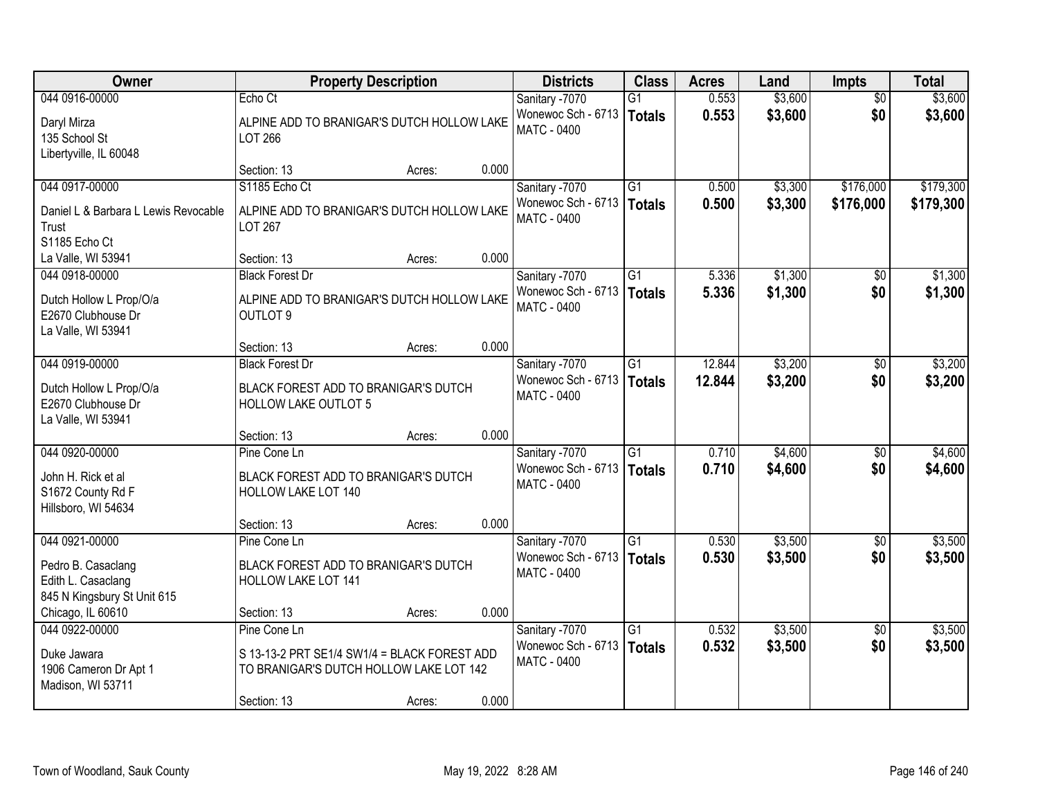| Owner                                | <b>Property Description</b>                  |        |       | <b>Districts</b>   | <b>Class</b>    | <b>Acres</b> | Land    | <b>Impts</b>    | <b>Total</b> |
|--------------------------------------|----------------------------------------------|--------|-------|--------------------|-----------------|--------------|---------|-----------------|--------------|
| 044 0916-00000                       | Echo Ct                                      |        |       | Sanitary -7070     | G1              | 0.553        | \$3,600 | $\overline{50}$ | \$3,600      |
| Daryl Mirza                          | ALPINE ADD TO BRANIGAR'S DUTCH HOLLOW LAKE   |        |       | Wonewoc Sch - 6713 | Totals          | 0.553        | \$3,600 | \$0             | \$3,600      |
| 135 School St                        | LOT 266                                      |        |       | MATC - 0400        |                 |              |         |                 |              |
| Libertyville, IL 60048               |                                              |        |       |                    |                 |              |         |                 |              |
|                                      | Section: 13                                  | Acres: | 0.000 |                    |                 |              |         |                 |              |
| 044 0917-00000                       | S1185 Echo Ct                                |        |       | Sanitary -7070     | $\overline{G1}$ | 0.500        | \$3,300 | \$176,000       | \$179,300    |
| Daniel L & Barbara L Lewis Revocable | ALPINE ADD TO BRANIGAR'S DUTCH HOLLOW LAKE   |        |       | Wonewoc Sch - 6713 | Totals          | 0.500        | \$3,300 | \$176,000       | \$179,300    |
| Trust                                | <b>LOT 267</b>                               |        |       | <b>MATC - 0400</b> |                 |              |         |                 |              |
| S1185 Echo Ct                        |                                              |        |       |                    |                 |              |         |                 |              |
| La Valle, WI 53941                   | Section: 13                                  | Acres: | 0.000 |                    |                 |              |         |                 |              |
| 044 0918-00000                       | <b>Black Forest Dr</b>                       |        |       | Sanitary -7070     | $\overline{G1}$ | 5.336        | \$1,300 | $\sqrt{6}$      | \$1,300      |
| Dutch Hollow L Prop/O/a              | ALPINE ADD TO BRANIGAR'S DUTCH HOLLOW LAKE   |        |       | Wonewoc Sch - 6713 | <b>Totals</b>   | 5.336        | \$1,300 | \$0             | \$1,300      |
| E2670 Clubhouse Dr                   | OUTLOT <sub>9</sub>                          |        |       | MATC - 0400        |                 |              |         |                 |              |
| La Valle, WI 53941                   |                                              |        |       |                    |                 |              |         |                 |              |
|                                      | Section: 13                                  | Acres: | 0.000 |                    |                 |              |         |                 |              |
| 044 0919-00000                       | <b>Black Forest Dr</b>                       |        |       | Sanitary -7070     | G1              | 12.844       | \$3,200 | $\sqrt[6]{}$    | \$3,200      |
| Dutch Hollow L Prop/O/a              | BLACK FOREST ADD TO BRANIGAR'S DUTCH         |        |       | Wonewoc Sch - 6713 | <b>Totals</b>   | 12.844       | \$3,200 | \$0             | \$3,200      |
| E2670 Clubhouse Dr                   | HOLLOW LAKE OUTLOT 5                         |        |       | <b>MATC - 0400</b> |                 |              |         |                 |              |
| La Valle, WI 53941                   |                                              |        |       |                    |                 |              |         |                 |              |
|                                      | Section: 13                                  | Acres: | 0.000 |                    |                 |              |         |                 |              |
| 044 0920-00000                       | Pine Cone Ln                                 |        |       | Sanitary -7070     | $\overline{G1}$ | 0.710        | \$4,600 | $\overline{50}$ | \$4,600      |
| John H. Rick et al                   | BLACK FOREST ADD TO BRANIGAR'S DUTCH         |        |       | Wonewoc Sch - 6713 | <b>Totals</b>   | 0.710        | \$4,600 | \$0             | \$4,600      |
| S1672 County Rd F                    | HOLLOW LAKE LOT 140                          |        |       | MATC - 0400        |                 |              |         |                 |              |
| Hillsboro, WI 54634                  |                                              |        |       |                    |                 |              |         |                 |              |
|                                      | Section: 13                                  | Acres: | 0.000 |                    |                 |              |         |                 |              |
| 044 0921-00000                       | Pine Cone Ln                                 |        |       | Sanitary -7070     | $\overline{G1}$ | 0.530        | \$3,500 | \$0             | \$3,500      |
| Pedro B. Casaclang                   | BLACK FOREST ADD TO BRANIGAR'S DUTCH         |        |       | Wonewoc Sch - 6713 | Totals          | 0.530        | \$3,500 | \$0             | \$3,500      |
| Edith L. Casaclang                   | HOLLOW LAKE LOT 141                          |        |       | <b>MATC - 0400</b> |                 |              |         |                 |              |
| 845 N Kingsbury St Unit 615          |                                              |        |       |                    |                 |              |         |                 |              |
| Chicago, IL 60610                    | Section: 13                                  | Acres: | 0.000 |                    |                 |              |         |                 |              |
| 044 0922-00000                       | Pine Cone Ln                                 |        |       | Sanitary -7070     | $\overline{G1}$ | 0.532        | \$3,500 | $\overline{50}$ | \$3,500      |
| Duke Jawara                          | S 13-13-2 PRT SE1/4 SW1/4 = BLACK FOREST ADD |        |       | Wonewoc Sch - 6713 | <b>Totals</b>   | 0.532        | \$3,500 | \$0             | \$3,500      |
| 1906 Cameron Dr Apt 1                | TO BRANIGAR'S DUTCH HOLLOW LAKE LOT 142      |        |       | MATC - 0400        |                 |              |         |                 |              |
| Madison, WI 53711                    |                                              |        |       |                    |                 |              |         |                 |              |
|                                      | Section: 13                                  | Acres: | 0.000 |                    |                 |              |         |                 |              |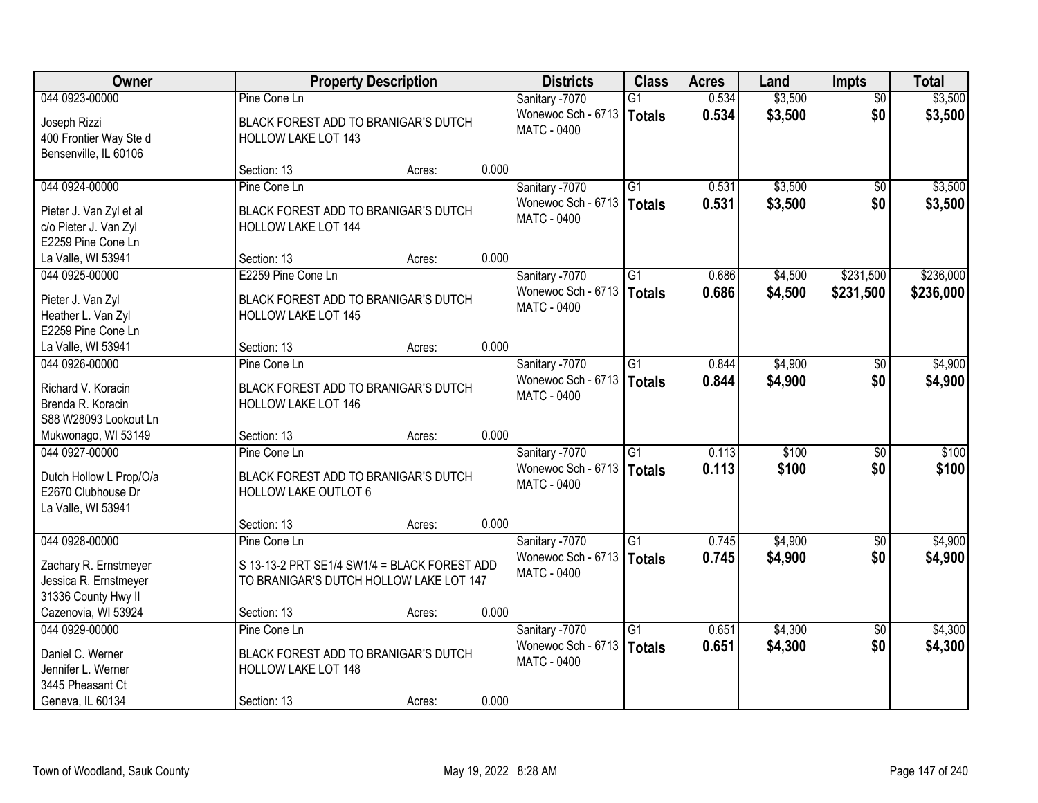| Owner                   | <b>Property Description</b>                  |        |       | <b>Districts</b>   | <b>Class</b>    | <b>Acres</b> | Land    | <b>Impts</b>    | <b>Total</b> |
|-------------------------|----------------------------------------------|--------|-------|--------------------|-----------------|--------------|---------|-----------------|--------------|
| 044 0923-00000          | Pine Cone Ln                                 |        |       | Sanitary -7070     | $\overline{G1}$ | 0.534        | \$3,500 | $\overline{50}$ | \$3,500      |
| Joseph Rizzi            | BLACK FOREST ADD TO BRANIGAR'S DUTCH         |        |       | Wonewoc Sch - 6713 | Totals          | 0.534        | \$3,500 | \$0             | \$3,500      |
| 400 Frontier Way Ste d  | <b>HOLLOW LAKE LOT 143</b>                   |        |       | MATC - 0400        |                 |              |         |                 |              |
| Bensenville, IL 60106   |                                              |        |       |                    |                 |              |         |                 |              |
|                         | Section: 13                                  | Acres: | 0.000 |                    |                 |              |         |                 |              |
| 044 0924-00000          | Pine Cone Ln                                 |        |       | Sanitary -7070     | $\overline{G1}$ | 0.531        | \$3,500 | \$0             | \$3,500      |
| Pieter J. Van Zyl et al | BLACK FOREST ADD TO BRANIGAR'S DUTCH         |        |       | Wonewoc Sch - 6713 | Totals          | 0.531        | \$3,500 | \$0             | \$3,500      |
| c/o Pieter J. Van Zyl   | <b>HOLLOW LAKE LOT 144</b>                   |        |       | <b>MATC - 0400</b> |                 |              |         |                 |              |
| E2259 Pine Cone Ln      |                                              |        |       |                    |                 |              |         |                 |              |
| La Valle, WI 53941      | Section: 13                                  | Acres: | 0.000 |                    |                 |              |         |                 |              |
| 044 0925-00000          | E2259 Pine Cone Ln                           |        |       | Sanitary -7070     | G1              | 0.686        | \$4,500 | \$231,500       | \$236,000    |
| Pieter J. Van Zyl       | BLACK FOREST ADD TO BRANIGAR'S DUTCH         |        |       | Wonewoc Sch - 6713 | <b>Totals</b>   | 0.686        | \$4,500 | \$231,500       | \$236,000    |
| Heather L. Van Zyl      | <b>HOLLOW LAKE LOT 145</b>                   |        |       | <b>MATC - 0400</b> |                 |              |         |                 |              |
| E2259 Pine Cone Ln      |                                              |        |       |                    |                 |              |         |                 |              |
| La Valle, WI 53941      | Section: 13                                  | Acres: | 0.000 |                    |                 |              |         |                 |              |
| 044 0926-00000          | Pine Cone Ln                                 |        |       | Sanitary -7070     | G1              | 0.844        | \$4,900 | $\sqrt[6]{}$    | \$4,900      |
| Richard V. Koracin      | BLACK FOREST ADD TO BRANIGAR'S DUTCH         |        |       | Wonewoc Sch - 6713 | <b>Totals</b>   | 0.844        | \$4,900 | \$0             | \$4,900      |
| Brenda R. Koracin       | HOLLOW LAKE LOT 146                          |        |       | MATC - 0400        |                 |              |         |                 |              |
| S88 W28093 Lookout Ln   |                                              |        |       |                    |                 |              |         |                 |              |
| Mukwonago, WI 53149     | Section: 13                                  | Acres: | 0.000 |                    |                 |              |         |                 |              |
| 044 0927-00000          | Pine Cone Ln                                 |        |       | Sanitary -7070     | $\overline{G1}$ | 0.113        | \$100   | \$0             | \$100        |
|                         |                                              |        |       | Wonewoc Sch - 6713 | Totals          | 0.113        | \$100   | \$0             | \$100        |
| Dutch Hollow L Prop/O/a | BLACK FOREST ADD TO BRANIGAR'S DUTCH         |        |       | MATC - 0400        |                 |              |         |                 |              |
| E2670 Clubhouse Dr      | <b>HOLLOW LAKE OUTLOT 6</b>                  |        |       |                    |                 |              |         |                 |              |
| La Valle, WI 53941      |                                              |        | 0.000 |                    |                 |              |         |                 |              |
| 044 0928-00000          | Section: 13<br>Pine Cone Ln                  | Acres: |       | Sanitary -7070     | $\overline{G1}$ | 0.745        | \$4,900 |                 | \$4,900      |
|                         |                                              |        |       | Wonewoc Sch - 6713 |                 | 0.745        |         | \$0<br>\$0      |              |
| Zachary R. Ernstmeyer   | S 13-13-2 PRT SE1/4 SW1/4 = BLACK FOREST ADD |        |       | MATC - 0400        | <b>Totals</b>   |              | \$4,900 |                 | \$4,900      |
| Jessica R. Ernstmeyer   | TO BRANIGAR'S DUTCH HOLLOW LAKE LOT 147      |        |       |                    |                 |              |         |                 |              |
| 31336 County Hwy II     |                                              |        |       |                    |                 |              |         |                 |              |
| Cazenovia, WI 53924     | Section: 13                                  | Acres: | 0.000 |                    |                 |              |         |                 |              |
| 044 0929-00000          | Pine Cone Ln                                 |        |       | Sanitary -7070     | $\overline{G1}$ | 0.651        | \$4,300 | $\overline{30}$ | \$4,300      |
| Daniel C. Werner        | BLACK FOREST ADD TO BRANIGAR'S DUTCH         |        |       | Wonewoc Sch - 6713 | Totals          | 0.651        | \$4,300 | \$0             | \$4,300      |
| Jennifer L. Werner      | <b>HOLLOW LAKE LOT 148</b>                   |        |       | <b>MATC - 0400</b> |                 |              |         |                 |              |
| 3445 Pheasant Ct        |                                              |        |       |                    |                 |              |         |                 |              |
| Geneva, IL 60134        | Section: 13                                  | Acres: | 0.000 |                    |                 |              |         |                 |              |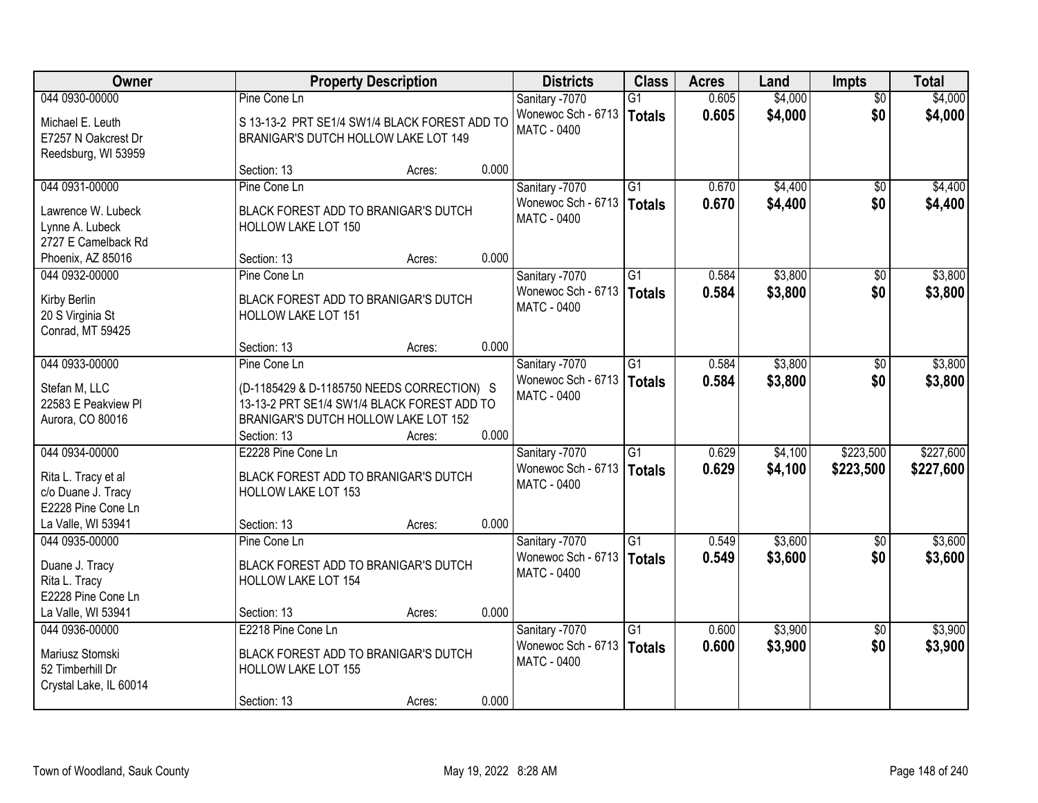| Owner                                                           | <b>Property Description</b>                                                                                                       |        |       | <b>Districts</b>                         | <b>Class</b>              | <b>Acres</b>   | Land               | <b>Impts</b>           | <b>Total</b>       |
|-----------------------------------------------------------------|-----------------------------------------------------------------------------------------------------------------------------------|--------|-------|------------------------------------------|---------------------------|----------------|--------------------|------------------------|--------------------|
| 044 0930-00000                                                  | Pine Cone Ln                                                                                                                      |        |       | Sanitary -7070                           | $\overline{G1}$           | 0.605          | \$4,000            | $\overline{50}$        | \$4,000            |
| Michael E. Leuth<br>E7257 N Oakcrest Dr<br>Reedsburg, WI 53959  | S 13-13-2 PRT SE1/4 SW1/4 BLACK FOREST ADD TO<br>BRANIGAR'S DUTCH HOLLOW LAKE LOT 149                                             |        |       | Wonewoc Sch - 6713<br><b>MATC - 0400</b> | <b>Totals</b>             | 0.605          | \$4,000            | \$0                    | \$4,000            |
|                                                                 | Section: 13                                                                                                                       | Acres: | 0.000 |                                          |                           |                |                    |                        |                    |
| 044 0931-00000                                                  | Pine Cone Ln                                                                                                                      |        |       | Sanitary -7070                           | $\overline{G1}$           | 0.670          | \$4,400            | $\overline{30}$        | \$4,400            |
| Lawrence W. Lubeck<br>Lynne A. Lubeck<br>2727 E Camelback Rd    | BLACK FOREST ADD TO BRANIGAR'S DUTCH<br>HOLLOW LAKE LOT 150                                                                       |        |       | Wonewoc Sch - 6713<br><b>MATC - 0400</b> | <b>Totals</b>             | 0.670          | \$4,400            | \$0                    | \$4,400            |
| Phoenix, AZ 85016                                               | Section: 13                                                                                                                       | Acres: | 0.000 |                                          |                           |                |                    |                        |                    |
| 044 0932-00000                                                  | Pine Cone Ln                                                                                                                      |        |       | Sanitary -7070                           | $\overline{G1}$           | 0.584          | \$3,800            | \$0                    | \$3,800            |
| Kirby Berlin<br>20 S Virginia St<br>Conrad, MT 59425            | BLACK FOREST ADD TO BRANIGAR'S DUTCH<br><b>HOLLOW LAKE LOT 151</b>                                                                |        |       | Wonewoc Sch - 6713<br>MATC - 0400        | <b>Totals</b>             | 0.584          | \$3,800            | \$0                    | \$3,800            |
|                                                                 | Section: 13                                                                                                                       | Acres: | 0.000 |                                          |                           |                |                    |                        |                    |
| 044 0933-00000                                                  | Pine Cone Ln                                                                                                                      |        |       | Sanitary -7070                           | $\overline{G1}$           | 0.584          | \$3,800            | \$0                    | \$3,800            |
| Stefan M, LLC<br>22583 E Peakview Pl<br>Aurora, CO 80016        | (D-1185429 & D-1185750 NEEDS CORRECTION) S<br>13-13-2 PRT SE1/4 SW1/4 BLACK FOREST ADD TO<br>BRANIGAR'S DUTCH HOLLOW LAKE LOT 152 |        |       | Wonewoc Sch - 6713<br>MATC - 0400        | <b>Totals</b>             | 0.584          | \$3,800            | \$0                    | \$3,800            |
|                                                                 | Section: 13                                                                                                                       | Acres: | 0.000 |                                          |                           |                |                    |                        |                    |
| 044 0934-00000                                                  | E2228 Pine Cone Ln                                                                                                                |        |       | Sanitary -7070<br>Wonewoc Sch - 6713     | $\overline{G1}$           | 0.629          | \$4,100            | \$223,500              | \$227,600          |
| Rita L. Tracy et al<br>c/o Duane J. Tracy<br>E2228 Pine Cone Ln | BLACK FOREST ADD TO BRANIGAR'S DUTCH<br><b>HOLLOW LAKE LOT 153</b>                                                                |        |       | MATC - 0400                              | <b>Totals</b>             | 0.629          | \$4,100            | \$223,500              | \$227,600          |
| La Valle, WI 53941                                              | Section: 13                                                                                                                       | Acres: | 0.000 |                                          |                           |                |                    |                        |                    |
| 044 0935-00000                                                  | Pine Cone Ln                                                                                                                      |        |       | Sanitary -7070                           | $\overline{G1}$           | 0.549          | \$3,600            | $\sqrt{6}$             | \$3,600            |
| Duane J. Tracy<br>Rita L. Tracy<br>E2228 Pine Cone Ln           | BLACK FOREST ADD TO BRANIGAR'S DUTCH<br><b>HOLLOW LAKE LOT 154</b>                                                                |        |       | Wonewoc Sch - 6713<br><b>MATC - 0400</b> | <b>Totals</b>             | 0.549          | \$3,600            | \$0                    | \$3,600            |
| La Valle, WI 53941                                              | Section: 13                                                                                                                       | Acres: | 0.000 |                                          |                           |                |                    |                        |                    |
| 044 0936-00000                                                  | E2218 Pine Cone Ln                                                                                                                |        |       | Sanitary -7070<br>Wonewoc Sch - 6713     | $\overline{G1}$<br>Totals | 0.600<br>0.600 | \$3,900<br>\$3,900 | $\overline{30}$<br>\$0 | \$3,900<br>\$3,900 |
| Mariusz Stomski<br>52 Timberhill Dr<br>Crystal Lake, IL 60014   | BLACK FOREST ADD TO BRANIGAR'S DUTCH<br>HOLLOW LAKE LOT 155                                                                       |        |       | <b>MATC - 0400</b>                       |                           |                |                    |                        |                    |
|                                                                 | Section: 13                                                                                                                       | Acres: | 0.000 |                                          |                           |                |                    |                        |                    |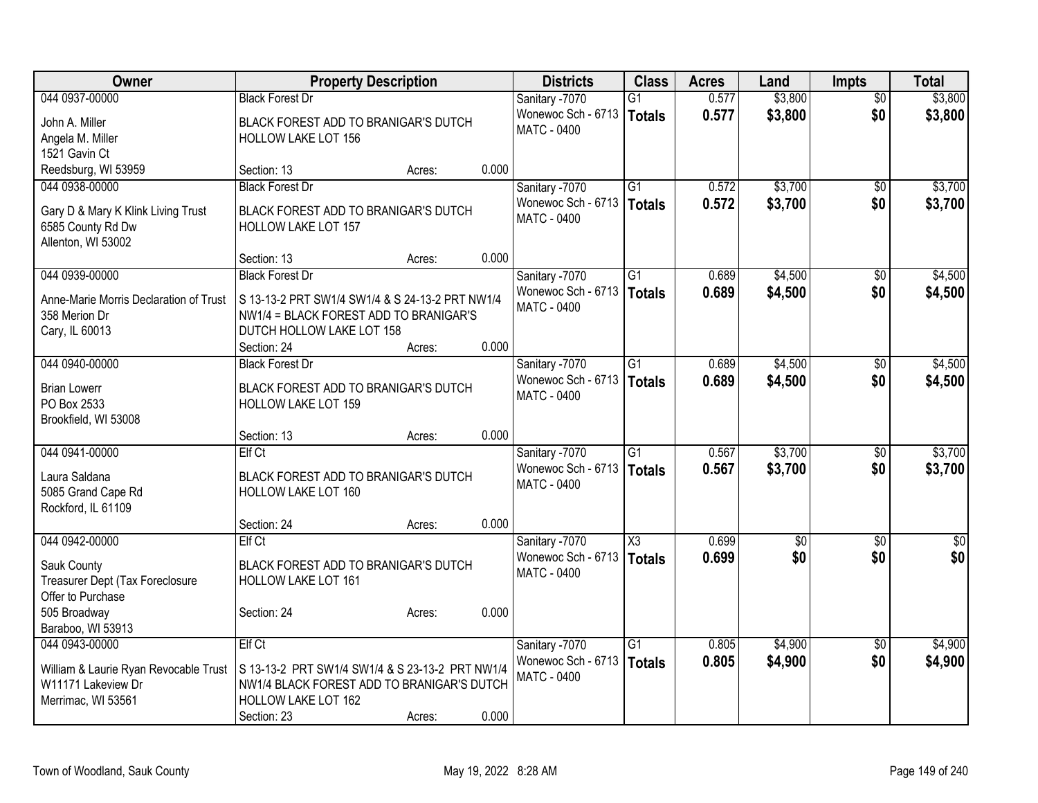| <b>Owner</b>                           | <b>Property Description</b>                     |        |       | <b>Districts</b>                         | <b>Class</b>    | <b>Acres</b> | Land            | <b>Impts</b>    | <b>Total</b>             |
|----------------------------------------|-------------------------------------------------|--------|-------|------------------------------------------|-----------------|--------------|-----------------|-----------------|--------------------------|
| 044 0937-00000                         | <b>Black Forest Dr</b>                          |        |       | Sanitary -7070                           | $\overline{G1}$ | 0.577        | \$3,800         | $\overline{50}$ | \$3,800                  |
| John A. Miller                         | BLACK FOREST ADD TO BRANIGAR'S DUTCH            |        |       | Wonewoc Sch - 6713                       | <b>Totals</b>   | 0.577        | \$3,800         | \$0             | \$3,800                  |
| Angela M. Miller                       | <b>HOLLOW LAKE LOT 156</b>                      |        |       | <b>MATC - 0400</b>                       |                 |              |                 |                 |                          |
| 1521 Gavin Ct                          |                                                 |        |       |                                          |                 |              |                 |                 |                          |
| Reedsburg, WI 53959                    | Section: 13                                     | Acres: | 0.000 |                                          |                 |              |                 |                 |                          |
| 044 0938-00000                         | <b>Black Forest Dr</b>                          |        |       | Sanitary -7070                           | G1              | 0.572        | \$3,700         | $\overline{50}$ | \$3,700                  |
| Gary D & Mary K Klink Living Trust     | BLACK FOREST ADD TO BRANIGAR'S DUTCH            |        |       | Wonewoc Sch - 6713                       | <b>Totals</b>   | 0.572        | \$3,700         | \$0             | \$3,700                  |
| 6585 County Rd Dw                      | HOLLOW LAKE LOT 157                             |        |       | <b>MATC - 0400</b>                       |                 |              |                 |                 |                          |
| Allenton, WI 53002                     |                                                 |        |       |                                          |                 |              |                 |                 |                          |
|                                        | Section: 13                                     | Acres: | 0.000 |                                          |                 |              |                 |                 |                          |
| 044 0939-00000                         | <b>Black Forest Dr</b>                          |        |       | Sanitary -7070                           | $\overline{G1}$ | 0.689        | \$4,500         | \$0             | \$4,500                  |
| Anne-Marie Morris Declaration of Trust | S 13-13-2 PRT SW1/4 SW1/4 & S 24-13-2 PRT NW1/4 |        |       | Wonewoc Sch - 6713                       | <b>Totals</b>   | 0.689        | \$4,500         | \$0             | \$4,500                  |
| 358 Merion Dr                          | NW1/4 = BLACK FOREST ADD TO BRANIGAR'S          |        |       | <b>MATC - 0400</b>                       |                 |              |                 |                 |                          |
| Cary, IL 60013                         | DUTCH HOLLOW LAKE LOT 158                       |        |       |                                          |                 |              |                 |                 |                          |
|                                        | Section: 24                                     | Acres: | 0.000 |                                          |                 |              |                 |                 |                          |
| 044 0940-00000                         | <b>Black Forest Dr</b>                          |        |       | Sanitary -7070                           | $\overline{G1}$ | 0.689        | \$4,500         | \$0             | \$4,500                  |
|                                        |                                                 |        |       | Wonewoc Sch - 6713   Totals              |                 | 0.689        | \$4,500         | \$0             | \$4,500                  |
| <b>Brian Lowerr</b>                    | BLACK FOREST ADD TO BRANIGAR'S DUTCH            |        |       | <b>MATC - 0400</b>                       |                 |              |                 |                 |                          |
| PO Box 2533                            | HOLLOW LAKE LOT 159                             |        |       |                                          |                 |              |                 |                 |                          |
| Brookfield, WI 53008                   | Section: 13                                     | Acres: | 0.000 |                                          |                 |              |                 |                 |                          |
| 044 0941-00000                         | <b>Elf Ct</b>                                   |        |       | Sanitary -7070                           | $\overline{G1}$ | 0.567        | \$3,700         | \$0             | \$3,700                  |
|                                        |                                                 |        |       | Wonewoc Sch - 6713                       | <b>Totals</b>   | 0.567        | \$3,700         | \$0             | \$3,700                  |
| Laura Saldana                          | BLACK FOREST ADD TO BRANIGAR'S DUTCH            |        |       | <b>MATC - 0400</b>                       |                 |              |                 |                 |                          |
| 5085 Grand Cape Rd                     | HOLLOW LAKE LOT 160                             |        |       |                                          |                 |              |                 |                 |                          |
| Rockford, IL 61109                     |                                                 |        |       |                                          |                 |              |                 |                 |                          |
|                                        | Section: 24                                     | Acres: | 0.000 |                                          |                 |              |                 |                 |                          |
| 044 0942-00000                         | Elf Ct                                          |        |       | Sanitary -7070                           | X3              | 0.699        | $\overline{50}$ | $\overline{50}$ | $\overline{\frac{1}{2}}$ |
| Sauk County                            | BLACK FOREST ADD TO BRANIGAR'S DUTCH            |        |       | Wonewoc Sch - 6713<br><b>MATC - 0400</b> | <b>Totals</b>   | 0.699        | \$0             | \$0             | \$0                      |
| Treasurer Dept (Tax Foreclosure        | <b>HOLLOW LAKE LOT 161</b>                      |        |       |                                          |                 |              |                 |                 |                          |
| Offer to Purchase                      |                                                 |        |       |                                          |                 |              |                 |                 |                          |
| 505 Broadway                           | Section: 24                                     | Acres: | 0.000 |                                          |                 |              |                 |                 |                          |
| Baraboo, WI 53913                      |                                                 |        |       |                                          |                 |              |                 |                 |                          |
| 044 0943-00000                         | <b>Elf Ct</b>                                   |        |       | Sanitary -7070                           | $\overline{G1}$ | 0.805        | \$4,900         | $\overline{50}$ | \$4,900                  |
| William & Laurie Ryan Revocable Trust  | S 13-13-2 PRT SW1/4 SW1/4 & S 23-13-2 PRT NW1/4 |        |       | Wonewoc Sch - 6713   Totals              |                 | 0.805        | \$4,900         | \$0             | \$4,900                  |
| W11171 Lakeview Dr                     | NW1/4 BLACK FOREST ADD TO BRANIGAR'S DUTCH      |        |       | <b>MATC - 0400</b>                       |                 |              |                 |                 |                          |
| Merrimac, WI 53561                     | HOLLOW LAKE LOT 162                             |        |       |                                          |                 |              |                 |                 |                          |
|                                        | Section: 23                                     | Acres: | 0.000 |                                          |                 |              |                 |                 |                          |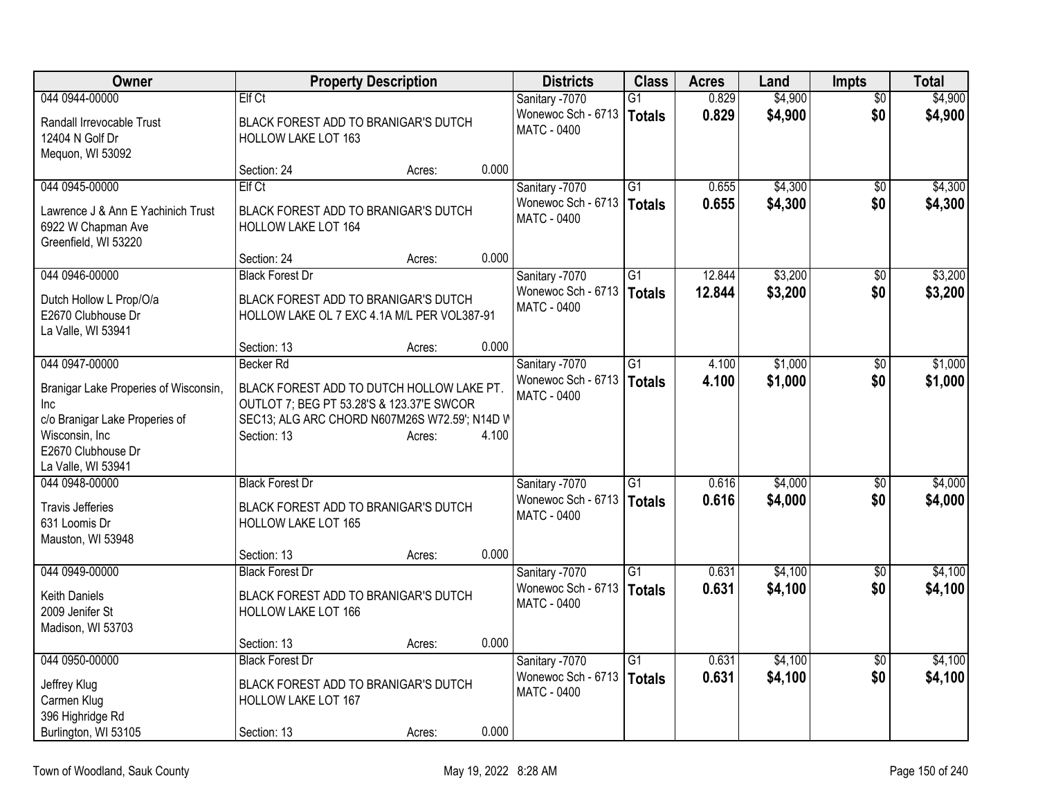| Owner                                        |                                                                                        | <b>Property Description</b> |       | <b>Districts</b>                     | <b>Class</b>    | <b>Acres</b>   | Land               | <b>Impts</b>      | <b>Total</b>       |
|----------------------------------------------|----------------------------------------------------------------------------------------|-----------------------------|-------|--------------------------------------|-----------------|----------------|--------------------|-------------------|--------------------|
| 044 0944-00000                               | <b>Elf Ct</b>                                                                          |                             |       | Sanitary -7070                       | $\overline{G1}$ | 0.829          | \$4,900            | $\overline{50}$   | \$4,900            |
| Randall Irrevocable Trust                    | BLACK FOREST ADD TO BRANIGAR'S DUTCH                                                   |                             |       | Wonewoc Sch - 6713                   | <b>Totals</b>   | 0.829          | \$4,900            | \$0               | \$4,900            |
| 12404 N Golf Dr                              | HOLLOW LAKE LOT 163                                                                    |                             |       | <b>MATC - 0400</b>                   |                 |                |                    |                   |                    |
| Mequon, WI 53092                             |                                                                                        |                             |       |                                      |                 |                |                    |                   |                    |
|                                              | Section: 24                                                                            | Acres:                      | 0.000 |                                      |                 |                |                    |                   |                    |
| 044 0945-00000                               | <b>Elf Ct</b>                                                                          |                             |       | Sanitary -7070                       | $\overline{G1}$ | 0.655          | \$4,300            | \$0               | \$4,300            |
| Lawrence J & Ann E Yachinich Trust           | BLACK FOREST ADD TO BRANIGAR'S DUTCH                                                   |                             |       | Wonewoc Sch - 6713<br>MATC - 0400    | <b>Totals</b>   | 0.655          | \$4,300            | \$0               | \$4,300            |
| 6922 W Chapman Ave                           | HOLLOW LAKE LOT 164                                                                    |                             |       |                                      |                 |                |                    |                   |                    |
| Greenfield, WI 53220                         |                                                                                        |                             |       |                                      |                 |                |                    |                   |                    |
| 044 0946-00000                               | Section: 24<br><b>Black Forest Dr</b>                                                  | Acres:                      | 0.000 | Sanitary -7070                       | $\overline{G1}$ | 12.844         | \$3,200            | \$0               | \$3,200            |
|                                              |                                                                                        |                             |       | Wonewoc Sch - 6713                   | <b>Totals</b>   | 12.844         | \$3,200            | \$0               | \$3,200            |
| Dutch Hollow L Prop/O/a                      | BLACK FOREST ADD TO BRANIGAR'S DUTCH                                                   |                             |       | MATC - 0400                          |                 |                |                    |                   |                    |
| E2670 Clubhouse Dr                           | HOLLOW LAKE OL 7 EXC 4.1A M/L PER VOL387-91                                            |                             |       |                                      |                 |                |                    |                   |                    |
| La Valle, WI 53941                           | Section: 13                                                                            | Acres:                      | 0.000 |                                      |                 |                |                    |                   |                    |
| 044 0947-00000                               | Becker Rd                                                                              |                             |       | Sanitary -7070                       | $\overline{G1}$ | 4.100          | \$1,000            | \$0               | \$1,000            |
|                                              |                                                                                        |                             |       | Wonewoc Sch - 6713                   | <b>Totals</b>   | 4.100          | \$1,000            | \$0               | \$1,000            |
| Branigar Lake Properies of Wisconsin,<br>Inc | BLACK FOREST ADD TO DUTCH HOLLOW LAKE PT.<br>OUTLOT 7; BEG PT 53.28'S & 123.37'E SWCOR |                             |       | <b>MATC - 0400</b>                   |                 |                |                    |                   |                    |
| c/o Branigar Lake Properies of               | SEC13; ALG ARC CHORD N607M26S W72.59'; N14D V                                          |                             |       |                                      |                 |                |                    |                   |                    |
| Wisconsin, Inc                               | Section: 13                                                                            | Acres:                      | 4.100 |                                      |                 |                |                    |                   |                    |
| E2670 Clubhouse Dr                           |                                                                                        |                             |       |                                      |                 |                |                    |                   |                    |
| La Valle, WI 53941                           |                                                                                        |                             |       |                                      |                 |                |                    |                   |                    |
| 044 0948-00000                               | <b>Black Forest Dr</b>                                                                 |                             |       | Sanitary -7070                       | $\overline{G1}$ | 0.616          | \$4,000            | \$0               | \$4,000            |
| <b>Travis Jefferies</b>                      | BLACK FOREST ADD TO BRANIGAR'S DUTCH                                                   |                             |       | Wonewoc Sch - 6713<br>MATC - 0400    | <b>Totals</b>   | 0.616          | \$4,000            | \$0               | \$4,000            |
| 631 Loomis Dr                                | <b>HOLLOW LAKE LOT 165</b>                                                             |                             |       |                                      |                 |                |                    |                   |                    |
| Mauston, WI 53948                            |                                                                                        |                             |       |                                      |                 |                |                    |                   |                    |
|                                              | Section: 13                                                                            | Acres:                      | 0.000 |                                      |                 |                |                    |                   |                    |
| 044 0949-00000                               | <b>Black Forest Dr</b>                                                                 |                             |       | Sanitary -7070<br>Wonewoc Sch - 6713 | $\overline{G1}$ | 0.631<br>0.631 | \$4,100<br>\$4,100 | $\sqrt{6}$<br>\$0 | \$4,100<br>\$4,100 |
| <b>Keith Daniels</b>                         | BLACK FOREST ADD TO BRANIGAR'S DUTCH                                                   |                             |       | <b>MATC - 0400</b>                   | <b>Totals</b>   |                |                    |                   |                    |
| 2009 Jenifer St                              | HOLLOW LAKE LOT 166                                                                    |                             |       |                                      |                 |                |                    |                   |                    |
| Madison, WI 53703                            | Section: 13                                                                            |                             | 0.000 |                                      |                 |                |                    |                   |                    |
| 044 0950-00000                               | <b>Black Forest Dr</b>                                                                 | Acres:                      |       | Sanitary -7070                       | $\overline{G1}$ | 0.631          | \$4,100            | $\overline{50}$   | \$4,100            |
|                                              |                                                                                        |                             |       | Wonewoc Sch - 6713                   | <b>Totals</b>   | 0.631          | \$4,100            | \$0               | \$4,100            |
| Jeffrey Klug                                 | BLACK FOREST ADD TO BRANIGAR'S DUTCH                                                   |                             |       | <b>MATC - 0400</b>                   |                 |                |                    |                   |                    |
| Carmen Klug<br>396 Highridge Rd              | HOLLOW LAKE LOT 167                                                                    |                             |       |                                      |                 |                |                    |                   |                    |
| Burlington, WI 53105                         | Section: 13                                                                            | Acres:                      | 0.000 |                                      |                 |                |                    |                   |                    |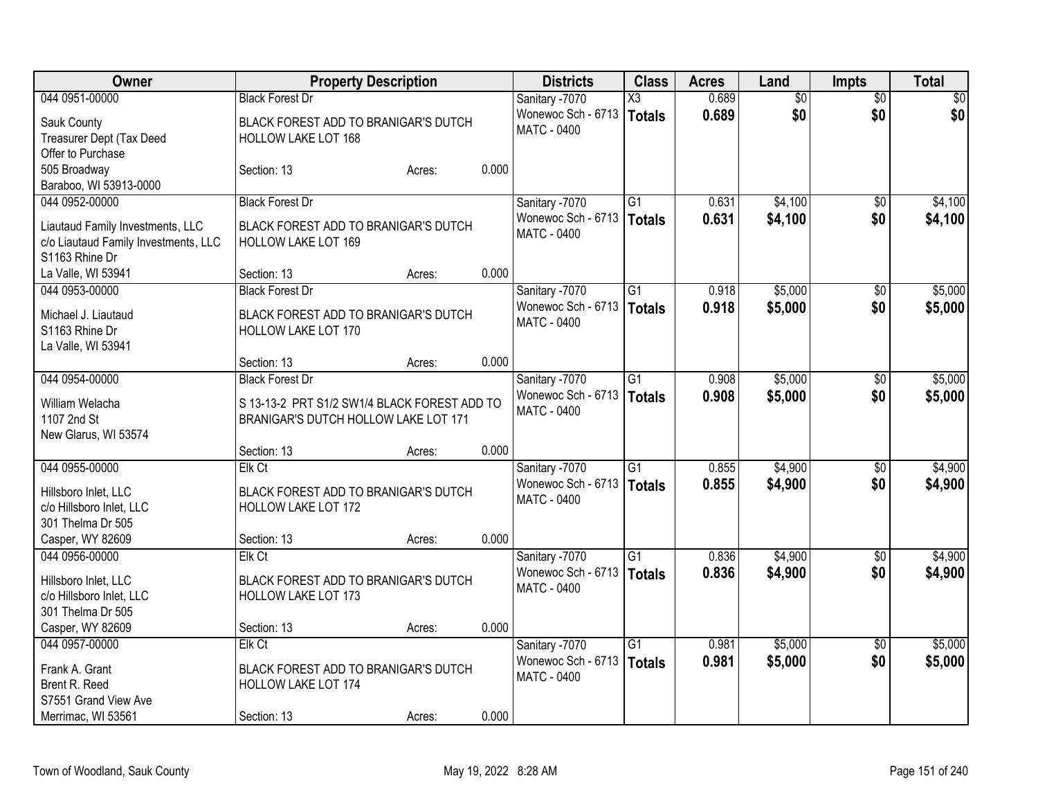| Owner                                         |                                                             | <b>Property Description</b> |       | <b>Districts</b>   | <b>Class</b>    | <b>Acres</b> | Land            | <b>Impts</b>    | <b>Total</b> |
|-----------------------------------------------|-------------------------------------------------------------|-----------------------------|-------|--------------------|-----------------|--------------|-----------------|-----------------|--------------|
| 044 0951-00000                                | <b>Black Forest Dr</b>                                      |                             |       | Sanitary -7070     | X3              | 0.689        | $\overline{50}$ | $\overline{30}$ | $\sqrt{50}$  |
| Sauk County                                   | BLACK FOREST ADD TO BRANIGAR'S DUTCH                        |                             |       | Wonewoc Sch - 6713 | <b>Totals</b>   | 0.689        | \$0             | \$0             | \$0          |
| Treasurer Dept (Tax Deed                      | HOLLOW LAKE LOT 168                                         |                             |       | <b>MATC - 0400</b> |                 |              |                 |                 |              |
| Offer to Purchase                             |                                                             |                             |       |                    |                 |              |                 |                 |              |
| 505 Broadway                                  | Section: 13                                                 | Acres:                      | 0.000 |                    |                 |              |                 |                 |              |
| Baraboo, WI 53913-0000                        |                                                             |                             |       |                    |                 |              |                 |                 |              |
| 044 0952-00000                                | <b>Black Forest Dr</b>                                      |                             |       | Sanitary -7070     | G1              | 0.631        | \$4,100         | $\sqrt{6}$      | \$4,100      |
| Liautaud Family Investments, LLC              | BLACK FOREST ADD TO BRANIGAR'S DUTCH                        |                             |       | Wonewoc Sch - 6713 | <b>Totals</b>   | 0.631        | \$4,100         | \$0             | \$4,100      |
| c/o Liautaud Family Investments, LLC          | HOLLOW LAKE LOT 169                                         |                             |       | <b>MATC - 0400</b> |                 |              |                 |                 |              |
| S1163 Rhine Dr                                |                                                             |                             |       |                    |                 |              |                 |                 |              |
| La Valle, WI 53941                            | Section: 13                                                 | Acres:                      | 0.000 |                    |                 |              |                 |                 |              |
| 044 0953-00000                                | <b>Black Forest Dr</b>                                      |                             |       | Sanitary -7070     | $\overline{G1}$ | 0.918        | \$5,000         | \$0             | \$5,000      |
|                                               |                                                             |                             |       | Wonewoc Sch - 6713 | <b>Totals</b>   | 0.918        | \$5,000         | \$0             | \$5,000      |
| Michael J. Liautaud                           | BLACK FOREST ADD TO BRANIGAR'S DUTCH                        |                             |       | <b>MATC - 0400</b> |                 |              |                 |                 |              |
| S1163 Rhine Dr                                | HOLLOW LAKE LOT 170                                         |                             |       |                    |                 |              |                 |                 |              |
| La Valle, WI 53941                            | Section: 13                                                 |                             | 0.000 |                    |                 |              |                 |                 |              |
| 044 0954-00000                                | <b>Black Forest Dr</b>                                      | Acres:                      |       | Sanitary -7070     | $\overline{G1}$ | 0.908        | \$5,000         | \$0             | \$5,000      |
|                                               |                                                             |                             |       | Wonewoc Sch - 6713 |                 |              |                 | \$0             |              |
| William Welacha                               | S 13-13-2 PRT S1/2 SW1/4 BLACK FOREST ADD TO                |                             |       | <b>MATC - 0400</b> | <b>Totals</b>   | 0.908        | \$5,000         |                 | \$5,000      |
| 1107 2nd St                                   | BRANIGAR'S DUTCH HOLLOW LAKE LOT 171                        |                             |       |                    |                 |              |                 |                 |              |
| New Glarus, WI 53574                          |                                                             |                             |       |                    |                 |              |                 |                 |              |
|                                               | Section: 13                                                 | Acres:                      | 0.000 |                    |                 |              |                 |                 |              |
| 044 0955-00000                                | Elk Ct                                                      |                             |       | Sanitary -7070     | $\overline{G1}$ | 0.855        | \$4,900         | \$0             | \$4,900      |
| Hillsboro Inlet, LLC                          | BLACK FOREST ADD TO BRANIGAR'S DUTCH                        |                             |       | Wonewoc Sch - 6713 | <b>Totals</b>   | 0.855        | \$4,900         | \$0             | \$4,900      |
| c/o Hillsboro Inlet, LLC                      | HOLLOW LAKE LOT 172                                         |                             |       | <b>MATC - 0400</b> |                 |              |                 |                 |              |
| 301 Thelma Dr 505                             |                                                             |                             |       |                    |                 |              |                 |                 |              |
| Casper, WY 82609                              | Section: 13                                                 | Acres:                      | 0.000 |                    |                 |              |                 |                 |              |
| 044 0956-00000                                | Elk Ct                                                      |                             |       | Sanitary -7070     | $\overline{G1}$ | 0.836        | \$4,900         | \$0             | \$4,900      |
|                                               |                                                             |                             |       | Wonewoc Sch - 6713 | <b>Totals</b>   | 0.836        | \$4,900         | \$0             | \$4,900      |
| Hillsboro Inlet, LLC                          | BLACK FOREST ADD TO BRANIGAR'S DUTCH<br>HOLLOW LAKE LOT 173 |                             |       | <b>MATC - 0400</b> |                 |              |                 |                 |              |
| c/o Hillsboro Inlet, LLC<br>301 Thelma Dr 505 |                                                             |                             |       |                    |                 |              |                 |                 |              |
| Casper, WY 82609                              | Section: 13                                                 | Acres:                      | 0.000 |                    |                 |              |                 |                 |              |
| 044 0957-00000                                | Elk Ct                                                      |                             |       | Sanitary -7070     | $\overline{G1}$ | 0.981        | \$5,000         | $\overline{50}$ | \$5,000      |
|                                               |                                                             |                             |       | Wonewoc Sch - 6713 | <b>Totals</b>   | 0.981        | \$5,000         | \$0             | \$5,000      |
| Frank A. Grant                                | BLACK FOREST ADD TO BRANIGAR'S DUTCH                        |                             |       | <b>MATC - 0400</b> |                 |              |                 |                 |              |
| Brent R. Reed                                 | HOLLOW LAKE LOT 174                                         |                             |       |                    |                 |              |                 |                 |              |
| S7551 Grand View Ave                          |                                                             |                             |       |                    |                 |              |                 |                 |              |
| Merrimac, WI 53561                            | Section: 13                                                 | Acres:                      | 0.000 |                    |                 |              |                 |                 |              |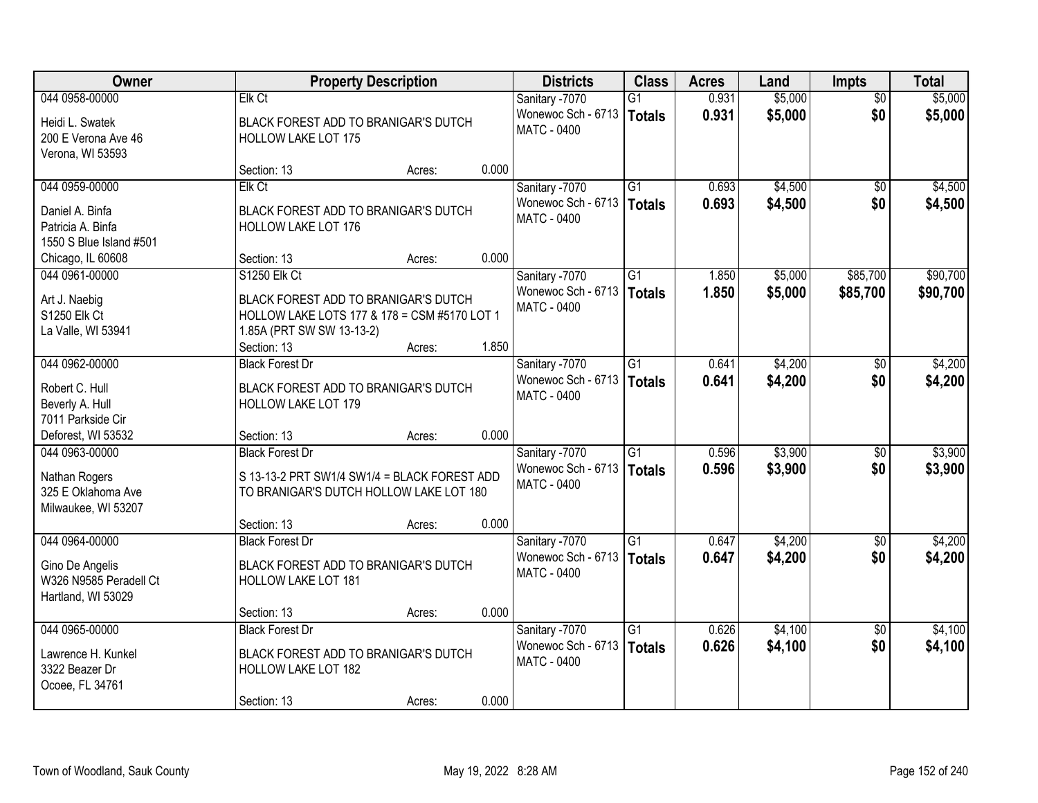| Owner                                                                             |                                                                                                                   | <b>Property Description</b> |       | <b>Districts</b>                                           | <b>Class</b>              | <b>Acres</b>   | Land               | <b>Impts</b>           | <b>Total</b>       |
|-----------------------------------------------------------------------------------|-------------------------------------------------------------------------------------------------------------------|-----------------------------|-------|------------------------------------------------------------|---------------------------|----------------|--------------------|------------------------|--------------------|
| 044 0958-00000                                                                    | Elk Ct                                                                                                            |                             |       | Sanitary -7070                                             | G1                        | 0.931          | \$5,000            | $\overline{50}$        | \$5,000            |
| Heidi L. Swatek<br>200 E Verona Ave 46                                            | BLACK FOREST ADD TO BRANIGAR'S DUTCH<br><b>HOLLOW LAKE LOT 175</b>                                                |                             |       | Wonewoc Sch - 6713<br><b>MATC - 0400</b>                   | Totals                    | 0.931          | \$5,000            | \$0                    | \$5,000            |
| Verona, WI 53593                                                                  | Section: 13                                                                                                       | Acres:                      | 0.000 |                                                            |                           |                |                    |                        |                    |
| 044 0959-00000                                                                    | Elk Ct                                                                                                            |                             |       | Sanitary -7070                                             | $\overline{G1}$           | 0.693          | \$4,500            | \$0                    | \$4,500            |
| Daniel A. Binfa<br>Patricia A. Binfa<br>1550 S Blue Island #501                   | BLACK FOREST ADD TO BRANIGAR'S DUTCH<br><b>HOLLOW LAKE LOT 176</b>                                                |                             |       | Wonewoc Sch - 6713<br><b>MATC - 0400</b>                   | Totals                    | 0.693          | \$4,500            | \$0                    | \$4,500            |
| Chicago, IL 60608                                                                 | Section: 13                                                                                                       | Acres:                      | 0.000 |                                                            |                           |                |                    |                        |                    |
| 044 0961-00000                                                                    | <b>S1250 Elk Ct</b>                                                                                               |                             |       | Sanitary -7070                                             | G1                        | 1.850          | \$5,000            | \$85,700               | \$90,700           |
| Art J. Naebig<br><b>S1250 Elk Ct</b><br>La Valle, WI 53941                        | BLACK FOREST ADD TO BRANIGAR'S DUTCH<br>HOLLOW LAKE LOTS 177 & 178 = CSM #5170 LOT 1<br>1.85A (PRT SW SW 13-13-2) |                             |       | Wonewoc Sch - 6713<br>MATC - 0400                          | <b>Totals</b>             | 1.850          | \$5,000            | \$85,700               | \$90,700           |
|                                                                                   | Section: 13                                                                                                       | Acres:                      | 1.850 |                                                            |                           |                |                    |                        |                    |
| 044 0962-00000                                                                    | <b>Black Forest Dr</b>                                                                                            |                             |       | Sanitary -7070                                             | G1                        | 0.641          | \$4,200            | $\sqrt[6]{3}$          | \$4,200            |
| Robert C. Hull<br>Beverly A. Hull<br>7011 Parkside Cir                            | BLACK FOREST ADD TO BRANIGAR'S DUTCH<br>HOLLOW LAKE LOT 179                                                       |                             |       | Wonewoc Sch - 6713<br><b>MATC - 0400</b>                   | Totals                    | 0.641          | \$4,200            | \$0                    | \$4,200            |
| Deforest, WI 53532                                                                | Section: 13                                                                                                       | Acres:                      | 0.000 |                                                            |                           |                |                    |                        |                    |
| 044 0963-00000<br>Nathan Rogers<br>325 E Oklahoma Ave<br>Milwaukee, WI 53207      | <b>Black Forest Dr</b><br>S 13-13-2 PRT SW1/4 SW1/4 = BLACK FOREST ADD<br>TO BRANIGAR'S DUTCH HOLLOW LAKE LOT 180 |                             |       | Sanitary -7070<br>Wonewoc Sch - 6713<br>MATC - 0400        | $\overline{G1}$<br>Totals | 0.596<br>0.596 | \$3,900<br>\$3,900 | \$0<br>\$0             | \$3,900<br>\$3,900 |
|                                                                                   | Section: 13                                                                                                       | Acres:                      | 0.000 |                                                            |                           |                |                    |                        |                    |
| 044 0964-00000<br>Gino De Angelis<br>W326 N9585 Peradell Ct<br>Hartland, WI 53029 | <b>Black Forest Dr</b><br>BLACK FOREST ADD TO BRANIGAR'S DUTCH<br>HOLLOW LAKE LOT 181                             |                             |       | Sanitary -7070<br>Wonewoc Sch - 6713<br><b>MATC - 0400</b> | $\overline{G1}$<br>Totals | 0.647<br>0.647 | \$4,200<br>\$4,200 | $\overline{30}$<br>\$0 | \$4,200<br>\$4,200 |
|                                                                                   | Section: 13                                                                                                       | Acres:                      | 0.000 |                                                            |                           |                |                    |                        |                    |
| 044 0965-00000<br>Lawrence H. Kunkel<br>3322 Beazer Dr                            | <b>Black Forest Dr</b><br>BLACK FOREST ADD TO BRANIGAR'S DUTCH<br>HOLLOW LAKE LOT 182                             |                             |       | Sanitary -7070<br>Wonewoc Sch - 6713<br><b>MATC - 0400</b> | $\overline{G1}$<br>Totals | 0.626<br>0.626 | \$4,100<br>\$4,100 | $\overline{50}$<br>\$0 | \$4,100<br>\$4,100 |
| Ocoee, FL 34761                                                                   | Section: 13                                                                                                       | Acres:                      | 0.000 |                                                            |                           |                |                    |                        |                    |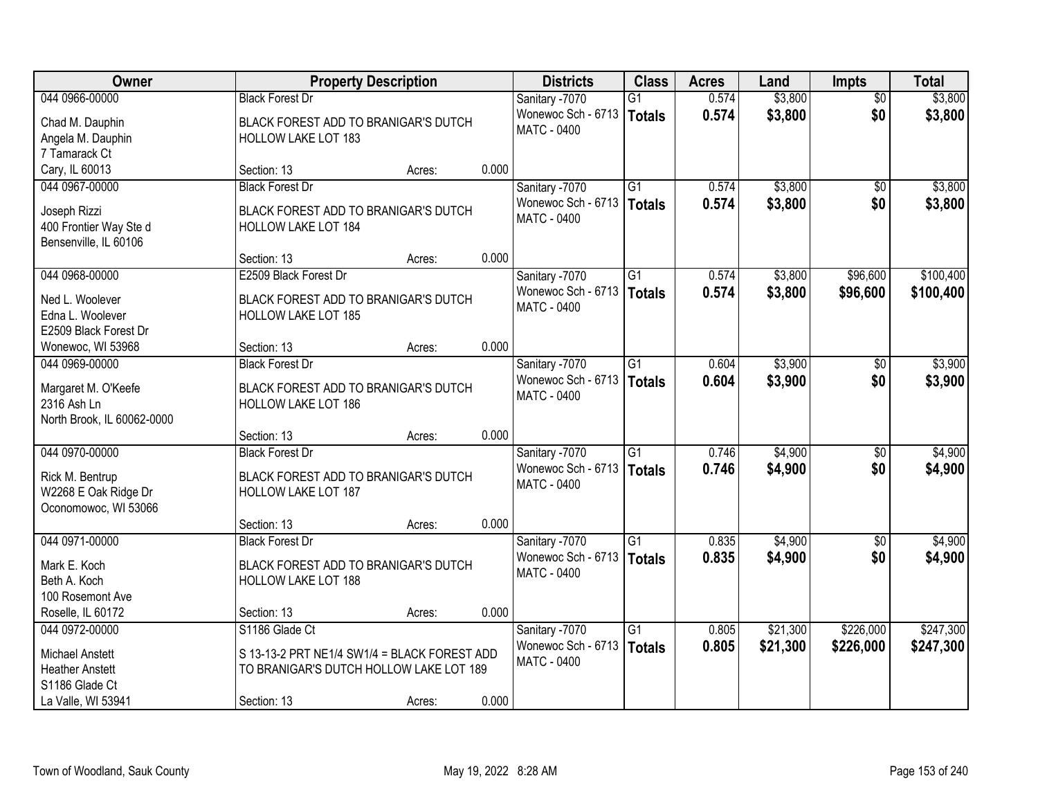| Owner                      |                                              | <b>Property Description</b> |       | <b>Districts</b>   | <b>Class</b>    | <b>Acres</b> | Land     | <b>Impts</b>    | <b>Total</b> |
|----------------------------|----------------------------------------------|-----------------------------|-------|--------------------|-----------------|--------------|----------|-----------------|--------------|
| 044 0966-00000             | <b>Black Forest Dr</b>                       |                             |       | Sanitary -7070     | $\overline{G1}$ | 0.574        | \$3,800  | $\overline{50}$ | \$3,800      |
| Chad M. Dauphin            | BLACK FOREST ADD TO BRANIGAR'S DUTCH         |                             |       | Wonewoc Sch - 6713 | Totals          | 0.574        | \$3,800  | \$0             | \$3,800      |
| Angela M. Dauphin          | <b>HOLLOW LAKE LOT 183</b>                   |                             |       | <b>MATC - 0400</b> |                 |              |          |                 |              |
| 7 Tamarack Ct              |                                              |                             |       |                    |                 |              |          |                 |              |
| Cary, IL 60013             | Section: 13                                  | Acres:                      | 0.000 |                    |                 |              |          |                 |              |
| 044 0967-00000             | <b>Black Forest Dr</b>                       |                             |       | Sanitary -7070     | $\overline{G1}$ | 0.574        | \$3,800  | \$0             | \$3,800      |
| Joseph Rizzi               | BLACK FOREST ADD TO BRANIGAR'S DUTCH         |                             |       | Wonewoc Sch - 6713 | Totals          | 0.574        | \$3,800  | \$0             | \$3,800      |
| 400 Frontier Way Ste d     | HOLLOW LAKE LOT 184                          |                             |       | <b>MATC - 0400</b> |                 |              |          |                 |              |
| Bensenville, IL 60106      |                                              |                             |       |                    |                 |              |          |                 |              |
|                            | Section: 13                                  | Acres:                      | 0.000 |                    |                 |              |          |                 |              |
| 044 0968-00000             | E2509 Black Forest Dr                        |                             |       | Sanitary -7070     | $\overline{G1}$ | 0.574        | \$3,800  | \$96,600        | \$100,400    |
| Ned L. Woolever            | BLACK FOREST ADD TO BRANIGAR'S DUTCH         |                             |       | Wonewoc Sch - 6713 | Totals          | 0.574        | \$3,800  | \$96,600        | \$100,400    |
| Edna L. Woolever           | HOLLOW LAKE LOT 185                          |                             |       | <b>MATC - 0400</b> |                 |              |          |                 |              |
| E2509 Black Forest Dr      |                                              |                             |       |                    |                 |              |          |                 |              |
| Wonewoc, WI 53968          | Section: 13                                  | Acres:                      | 0.000 |                    |                 |              |          |                 |              |
| 044 0969-00000             | <b>Black Forest Dr</b>                       |                             |       | Sanitary -7070     | G1              | 0.604        | \$3,900  | \$0             | \$3,900      |
| Margaret M. O'Keefe        | BLACK FOREST ADD TO BRANIGAR'S DUTCH         |                             |       | Wonewoc Sch - 6713 | <b>Totals</b>   | 0.604        | \$3,900  | \$0             | \$3,900      |
| 2316 Ash Ln                | HOLLOW LAKE LOT 186                          |                             |       | <b>MATC - 0400</b> |                 |              |          |                 |              |
| North Brook, IL 60062-0000 |                                              |                             |       |                    |                 |              |          |                 |              |
|                            | Section: 13                                  | Acres:                      | 0.000 |                    |                 |              |          |                 |              |
| 044 0970-00000             | <b>Black Forest Dr</b>                       |                             |       | Sanitary -7070     | $\overline{G1}$ | 0.746        | \$4,900  | \$0             | \$4,900      |
| Rick M. Bentrup            | BLACK FOREST ADD TO BRANIGAR'S DUTCH         |                             |       | Wonewoc Sch - 6713 | Totals          | 0.746        | \$4,900  | \$0             | \$4,900      |
| W2268 E Oak Ridge Dr       | <b>HOLLOW LAKE LOT 187</b>                   |                             |       | MATC - 0400        |                 |              |          |                 |              |
| Oconomowoc, WI 53066       |                                              |                             |       |                    |                 |              |          |                 |              |
|                            | Section: 13                                  | Acres:                      | 0.000 |                    |                 |              |          |                 |              |
| 044 0971-00000             | <b>Black Forest Dr</b>                       |                             |       | Sanitary -7070     | $\overline{G1}$ | 0.835        | \$4,900  | \$0             | \$4,900      |
| Mark E. Koch               | BLACK FOREST ADD TO BRANIGAR'S DUTCH         |                             |       | Wonewoc Sch - 6713 | Totals          | 0.835        | \$4,900  | \$0             | \$4,900      |
| Beth A. Koch               | HOLLOW LAKE LOT 188                          |                             |       | <b>MATC - 0400</b> |                 |              |          |                 |              |
| 100 Rosemont Ave           |                                              |                             |       |                    |                 |              |          |                 |              |
| Roselle, IL 60172          | Section: 13                                  | Acres:                      | 0.000 |                    |                 |              |          |                 |              |
| 044 0972-00000             | S1186 Glade Ct                               |                             |       | Sanitary -7070     | $\overline{G1}$ | 0.805        | \$21,300 | \$226,000       | \$247,300    |
| <b>Michael Anstett</b>     | S 13-13-2 PRT NE1/4 SW1/4 = BLACK FOREST ADD |                             |       | Wonewoc Sch - 6713 | Totals          | 0.805        | \$21,300 | \$226,000       | \$247,300    |
| <b>Heather Anstett</b>     | TO BRANIGAR'S DUTCH HOLLOW LAKE LOT 189      |                             |       | <b>MATC - 0400</b> |                 |              |          |                 |              |
| S1186 Glade Ct             |                                              |                             |       |                    |                 |              |          |                 |              |
| La Valle, WI 53941         | Section: 13                                  | Acres:                      | 0.000 |                    |                 |              |          |                 |              |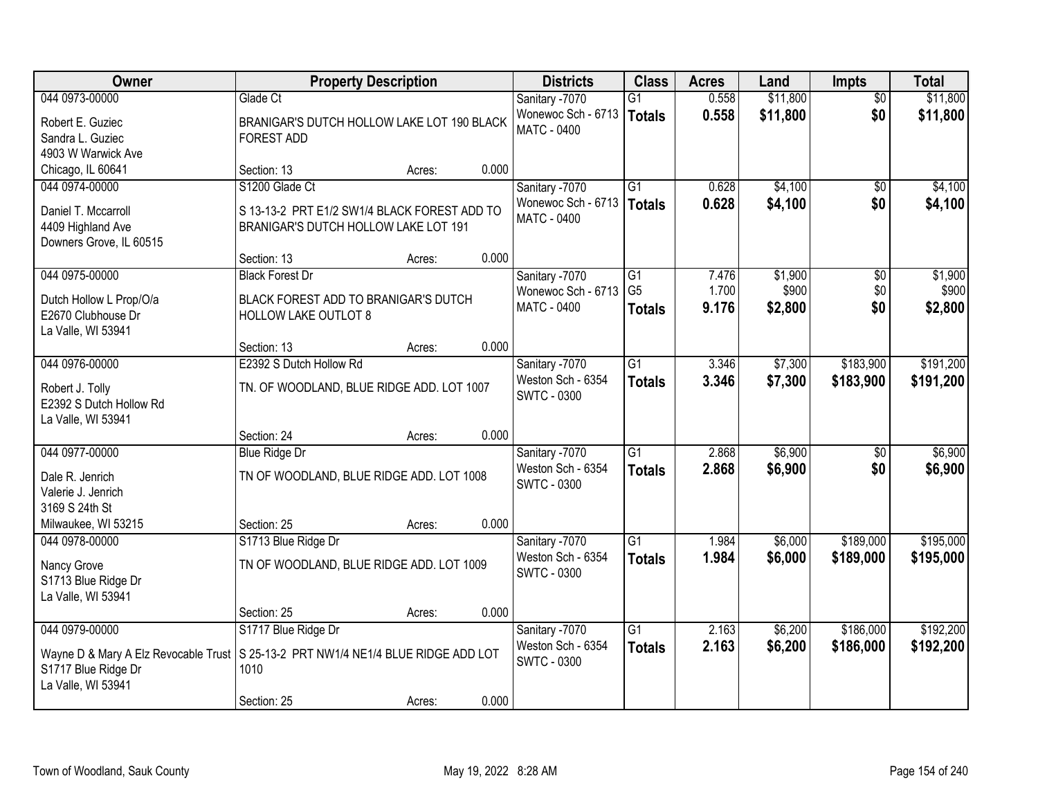| Owner                                                                                                      | <b>Property Description</b>                  |        |       | <b>Districts</b>   | <b>Class</b>    | <b>Acres</b> | Land     | Impts           | <b>Total</b> |
|------------------------------------------------------------------------------------------------------------|----------------------------------------------|--------|-------|--------------------|-----------------|--------------|----------|-----------------|--------------|
| 044 0973-00000                                                                                             | Glade Ct                                     |        |       | Sanitary -7070     | $\overline{G1}$ | 0.558        | \$11,800 | $\overline{50}$ | \$11,800     |
| Robert E. Guziec                                                                                           | BRANIGAR'S DUTCH HOLLOW LAKE LOT 190 BLACK   |        |       | Wonewoc Sch - 6713 | <b>Totals</b>   | 0.558        | \$11,800 | \$0             | \$11,800     |
| Sandra L. Guziec                                                                                           | <b>FOREST ADD</b>                            |        |       | <b>MATC - 0400</b> |                 |              |          |                 |              |
| 4903 W Warwick Ave                                                                                         |                                              |        |       |                    |                 |              |          |                 |              |
| Chicago, IL 60641                                                                                          | Section: 13                                  | Acres: | 0.000 |                    |                 |              |          |                 |              |
| 044 0974-00000                                                                                             | S1200 Glade Ct                               |        |       | Sanitary -7070     | $\overline{G1}$ | 0.628        | \$4,100  | $\overline{50}$ | \$4,100      |
| Daniel T. Mccarroll                                                                                        | S 13-13-2 PRT E1/2 SW1/4 BLACK FOREST ADD TO |        |       | Wonewoc Sch - 6713 | <b>Totals</b>   | 0.628        | \$4,100  | \$0             | \$4,100      |
| 4409 Highland Ave                                                                                          | BRANIGAR'S DUTCH HOLLOW LAKE LOT 191         |        |       | <b>MATC - 0400</b> |                 |              |          |                 |              |
| Downers Grove, IL 60515                                                                                    |                                              |        |       |                    |                 |              |          |                 |              |
|                                                                                                            | Section: 13                                  | Acres: | 0.000 |                    |                 |              |          |                 |              |
| 044 0975-00000                                                                                             | <b>Black Forest Dr</b>                       |        |       | Sanitary -7070     | G1              | 7.476        | \$1,900  | $\overline{50}$ | \$1,900      |
| Dutch Hollow L Prop/O/a                                                                                    | BLACK FOREST ADD TO BRANIGAR'S DUTCH         |        |       | Wonewoc Sch - 6713 | G <sub>5</sub>  | 1.700        | \$900    | \$0             | \$900        |
| E2670 Clubhouse Dr                                                                                         | <b>HOLLOW LAKE OUTLOT 8</b>                  |        |       | <b>MATC - 0400</b> | <b>Totals</b>   | 9.176        | \$2,800  | \$0             | \$2,800      |
| La Valle, WI 53941                                                                                         |                                              |        |       |                    |                 |              |          |                 |              |
|                                                                                                            | Section: 13                                  | Acres: | 0.000 |                    |                 |              |          |                 |              |
| 044 0976-00000                                                                                             | E2392 S Dutch Hollow Rd                      |        |       | Sanitary -7070     | $\overline{G1}$ | 3.346        | \$7,300  | \$183,900       | \$191,200    |
| Robert J. Tolly                                                                                            | TN. OF WOODLAND, BLUE RIDGE ADD. LOT 1007    |        |       | Weston Sch - 6354  | <b>Totals</b>   | 3.346        | \$7,300  | \$183,900       | \$191,200    |
| E2392 S Dutch Hollow Rd                                                                                    |                                              |        |       | <b>SWTC - 0300</b> |                 |              |          |                 |              |
| La Valle, WI 53941                                                                                         |                                              |        |       |                    |                 |              |          |                 |              |
|                                                                                                            | Section: 24                                  | Acres: | 0.000 |                    |                 |              |          |                 |              |
| 044 0977-00000                                                                                             | <b>Blue Ridge Dr</b>                         |        |       | Sanitary -7070     | $\overline{G1}$ | 2.868        | \$6,900  | $\overline{50}$ | \$6,900      |
| Dale R. Jenrich                                                                                            | TN OF WOODLAND, BLUE RIDGE ADD. LOT 1008     |        |       | Weston Sch - 6354  | <b>Totals</b>   | 2.868        | \$6,900  | \$0             | \$6,900      |
| Valerie J. Jenrich                                                                                         |                                              |        |       | <b>SWTC - 0300</b> |                 |              |          |                 |              |
| 3169 S 24th St                                                                                             |                                              |        |       |                    |                 |              |          |                 |              |
| Milwaukee, WI 53215                                                                                        | Section: 25                                  | Acres: | 0.000 |                    |                 |              |          |                 |              |
| 044 0978-00000                                                                                             | S1713 Blue Ridge Dr                          |        |       | Sanitary -7070     | $\overline{G1}$ | 1.984        | \$6,000  | \$189,000       | \$195,000    |
|                                                                                                            | TN OF WOODLAND, BLUE RIDGE ADD. LOT 1009     |        |       | Weston Sch - 6354  | <b>Totals</b>   | 1.984        | \$6,000  | \$189,000       | \$195,000    |
| Nancy Grove<br>S1713 Blue Ridge Dr                                                                         |                                              |        |       | <b>SWTC - 0300</b> |                 |              |          |                 |              |
| La Valle, WI 53941                                                                                         |                                              |        |       |                    |                 |              |          |                 |              |
|                                                                                                            | Section: 25                                  | Acres: | 0.000 |                    |                 |              |          |                 |              |
| 044 0979-00000                                                                                             | S1717 Blue Ridge Dr                          |        |       | Sanitary -7070     | $\overline{G1}$ | 2.163        | \$6,200  | \$186,000       | \$192,200    |
|                                                                                                            |                                              |        |       | Weston Sch - 6354  | <b>Totals</b>   | 2.163        | \$6,200  | \$186,000       | \$192,200    |
| Wayne D & Mary A Elz Revocable Trust   S 25-13-2 PRT NW1/4 NE1/4 BLUE RIDGE ADD LOT<br>S1717 Blue Ridge Dr | 1010                                         |        |       | <b>SWTC - 0300</b> |                 |              |          |                 |              |
| La Valle, WI 53941                                                                                         |                                              |        |       |                    |                 |              |          |                 |              |
|                                                                                                            | Section: 25                                  | Acres: | 0.000 |                    |                 |              |          |                 |              |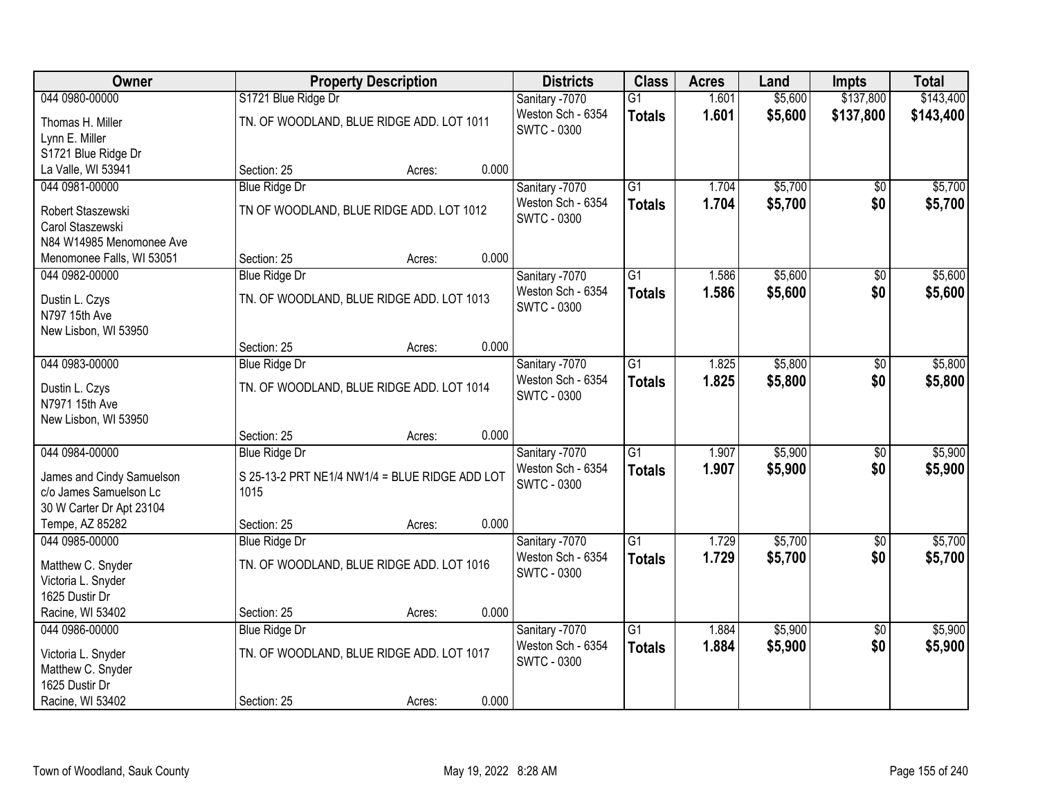| Owner                                 | <b>Property Description</b>                    |        |       | <b>Districts</b>                        | <b>Class</b>    | <b>Acres</b> | Land    | <b>Impts</b>    | <b>Total</b> |
|---------------------------------------|------------------------------------------------|--------|-------|-----------------------------------------|-----------------|--------------|---------|-----------------|--------------|
| 044 0980-00000                        | S1721 Blue Ridge Dr                            |        |       | Sanitary -7070                          | $\overline{G1}$ | 1.601        | \$5,600 | \$137,800       | \$143,400    |
| Thomas H. Miller<br>Lynn E. Miller    | TN. OF WOODLAND, BLUE RIDGE ADD. LOT 1011      |        |       | Weston Sch - 6354<br><b>SWTC - 0300</b> | <b>Totals</b>   | 1.601        | \$5,600 | \$137,800       | \$143,400    |
| S1721 Blue Ridge Dr                   |                                                |        |       |                                         |                 |              |         |                 |              |
| La Valle, WI 53941                    | Section: 25                                    | Acres: | 0.000 |                                         |                 |              |         |                 |              |
| 044 0981-00000                        | <b>Blue Ridge Dr</b>                           |        |       | Sanitary -7070                          | $\overline{G1}$ | 1.704        | \$5,700 | \$0             | \$5,700      |
| Robert Staszewski<br>Carol Staszewski | TN OF WOODLAND, BLUE RIDGE ADD. LOT 1012       |        |       | Weston Sch - 6354<br><b>SWTC - 0300</b> | <b>Totals</b>   | 1.704        | \$5,700 | \$0             | \$5,700      |
| N84 W14985 Menomonee Ave              |                                                |        |       |                                         |                 |              |         |                 |              |
| Menomonee Falls, WI 53051             | Section: 25                                    | Acres: | 0.000 |                                         |                 |              |         |                 |              |
| 044 0982-00000                        | <b>Blue Ridge Dr</b>                           |        |       | Sanitary -7070                          | G1              | 1.586        | \$5,600 | \$0             | \$5,600      |
| Dustin L. Czys<br>N797 15th Ave       | TN. OF WOODLAND, BLUE RIDGE ADD. LOT 1013      |        |       | Weston Sch - 6354<br><b>SWTC - 0300</b> | <b>Totals</b>   | 1.586        | \$5,600 | \$0             | \$5,600      |
| New Lisbon, WI 53950                  |                                                |        |       |                                         |                 |              |         |                 |              |
|                                       | Section: 25                                    | Acres: | 0.000 |                                         |                 |              |         |                 |              |
| 044 0983-00000                        | <b>Blue Ridge Dr</b>                           |        |       | Sanitary -7070                          | $\overline{G1}$ | 1.825        | \$5,800 | \$0             | \$5,800      |
| Dustin L. Czys<br>N7971 15th Ave      | TN. OF WOODLAND, BLUE RIDGE ADD. LOT 1014      |        |       | Weston Sch - 6354<br><b>SWTC - 0300</b> | <b>Totals</b>   | 1.825        | \$5,800 | \$0             | \$5,800      |
| New Lisbon, WI 53950                  |                                                |        |       |                                         |                 |              |         |                 |              |
|                                       | Section: 25                                    | Acres: | 0.000 |                                         |                 |              |         |                 |              |
| 044 0984-00000                        | <b>Blue Ridge Dr</b>                           |        |       | Sanitary -7070                          | $\overline{G1}$ | 1.907        | \$5,900 | $\overline{50}$ | \$5,900      |
| James and Cindy Samuelson             | S 25-13-2 PRT NE1/4 NW1/4 = BLUE RIDGE ADD LOT |        |       | Weston Sch - 6354                       | <b>Totals</b>   | 1.907        | \$5,900 | \$0             | \$5,900      |
| c/o James Samuelson Lc                | 1015                                           |        |       | <b>SWTC - 0300</b>                      |                 |              |         |                 |              |
| 30 W Carter Dr Apt 23104              |                                                |        |       |                                         |                 |              |         |                 |              |
| Tempe, AZ 85282                       | Section: 25                                    | Acres: | 0.000 |                                         |                 |              |         |                 |              |
| 044 0985-00000                        | <b>Blue Ridge Dr</b>                           |        |       | Sanitary -7070                          | $\overline{G1}$ | 1.729        | \$5,700 | $\overline{60}$ | \$5,700      |
| Matthew C. Snyder                     | TN. OF WOODLAND, BLUE RIDGE ADD. LOT 1016      |        |       | Weston Sch - 6354                       | <b>Totals</b>   | 1.729        | \$5,700 | \$0             | \$5,700      |
| Victoria L. Snyder                    |                                                |        |       | <b>SWTC - 0300</b>                      |                 |              |         |                 |              |
| 1625 Dustir Dr                        |                                                |        |       |                                         |                 |              |         |                 |              |
| Racine, WI 53402                      | Section: 25                                    | Acres: | 0.000 |                                         |                 |              |         |                 |              |
| 044 0986-00000                        | <b>Blue Ridge Dr</b>                           |        |       | Sanitary -7070                          | $\overline{G1}$ | 1.884        | \$5,900 | $\overline{50}$ | \$5,900      |
| Victoria L. Snyder                    | TN. OF WOODLAND, BLUE RIDGE ADD. LOT 1017      |        |       | Weston Sch - 6354                       | <b>Totals</b>   | 1.884        | \$5,900 | \$0             | \$5,900      |
| Matthew C. Snyder                     |                                                |        |       | <b>SWTC - 0300</b>                      |                 |              |         |                 |              |
| 1625 Dustir Dr                        |                                                |        |       |                                         |                 |              |         |                 |              |
| Racine, WI 53402                      | Section: 25                                    | Acres: | 0.000 |                                         |                 |              |         |                 |              |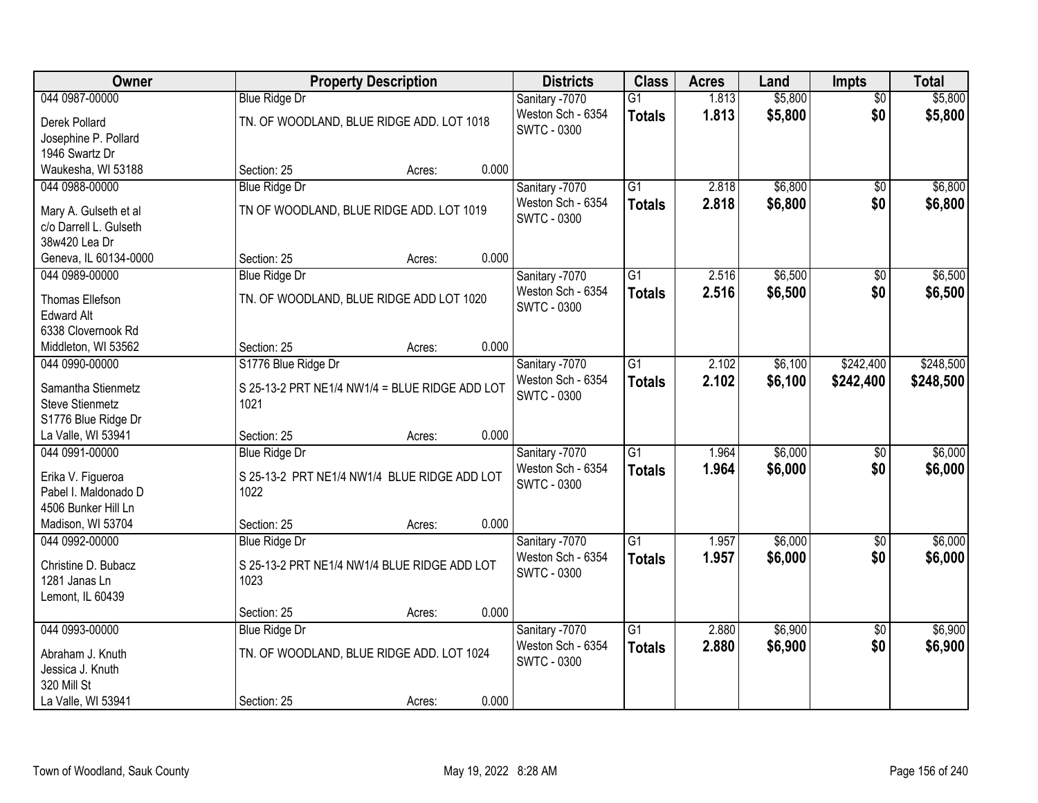| Owner                                   |                                                | <b>Property Description</b> |       | <b>Districts</b>   | <b>Class</b>    | <b>Acres</b> | Land    | <b>Impts</b>    | <b>Total</b> |
|-----------------------------------------|------------------------------------------------|-----------------------------|-------|--------------------|-----------------|--------------|---------|-----------------|--------------|
| 044 0987-00000                          | <b>Blue Ridge Dr</b>                           |                             |       | Sanitary -7070     | $\overline{G1}$ | 1.813        | \$5,800 | $\overline{50}$ | \$5,800      |
| Derek Pollard                           | TN. OF WOODLAND, BLUE RIDGE ADD. LOT 1018      |                             |       | Weston Sch - 6354  | <b>Totals</b>   | 1.813        | \$5,800 | \$0             | \$5,800      |
| Josephine P. Pollard                    |                                                |                             |       | <b>SWTC - 0300</b> |                 |              |         |                 |              |
| 1946 Swartz Dr                          |                                                |                             |       |                    |                 |              |         |                 |              |
| Waukesha, WI 53188                      | Section: 25                                    | Acres:                      | 0.000 |                    |                 |              |         |                 |              |
| 044 0988-00000                          | <b>Blue Ridge Dr</b>                           |                             |       | Sanitary -7070     | $\overline{G1}$ | 2.818        | \$6,800 | $\overline{50}$ | \$6,800      |
|                                         |                                                |                             |       | Weston Sch - 6354  | <b>Totals</b>   | 2.818        | \$6,800 | \$0             | \$6,800      |
| Mary A. Gulseth et al                   | TN OF WOODLAND, BLUE RIDGE ADD. LOT 1019       |                             |       | <b>SWTC - 0300</b> |                 |              |         |                 |              |
| c/o Darrell L. Gulseth<br>38w420 Lea Dr |                                                |                             |       |                    |                 |              |         |                 |              |
| Geneva, IL 60134-0000                   | Section: 25                                    | Acres:                      | 0.000 |                    |                 |              |         |                 |              |
| 044 0989-00000                          | <b>Blue Ridge Dr</b>                           |                             |       | Sanitary -7070     | G1              | 2.516        | \$6,500 | $\sqrt{6}$      | \$6,500      |
|                                         |                                                |                             |       | Weston Sch - 6354  |                 | 2.516        | \$6,500 | \$0             |              |
| Thomas Ellefson                         | TN. OF WOODLAND, BLUE RIDGE ADD LOT 1020       |                             |       | <b>SWTC - 0300</b> | <b>Totals</b>   |              |         |                 | \$6,500      |
| <b>Edward Alt</b>                       |                                                |                             |       |                    |                 |              |         |                 |              |
| 6338 Clovernook Rd                      |                                                |                             |       |                    |                 |              |         |                 |              |
| Middleton, WI 53562                     | Section: 25                                    | Acres:                      | 0.000 |                    |                 |              |         |                 |              |
| 044 0990-00000                          | S1776 Blue Ridge Dr                            |                             |       | Sanitary -7070     | $\overline{G1}$ | 2.102        | \$6,100 | \$242,400       | \$248,500    |
| Samantha Stienmetz                      | S 25-13-2 PRT NE1/4 NW1/4 = BLUE RIDGE ADD LOT |                             |       | Weston Sch - 6354  | <b>Totals</b>   | 2.102        | \$6,100 | \$242,400       | \$248,500    |
| <b>Steve Stienmetz</b>                  | 1021                                           |                             |       | <b>SWTC - 0300</b> |                 |              |         |                 |              |
| S1776 Blue Ridge Dr                     |                                                |                             |       |                    |                 |              |         |                 |              |
| La Valle, WI 53941                      | Section: 25                                    | Acres:                      | 0.000 |                    |                 |              |         |                 |              |
| 044 0991-00000                          | <b>Blue Ridge Dr</b>                           |                             |       | Sanitary -7070     | $\overline{G1}$ | 1.964        | \$6,000 | \$0             | \$6,000      |
|                                         |                                                |                             |       | Weston Sch - 6354  | <b>Totals</b>   | 1.964        | \$6,000 | \$0             | \$6,000      |
| Erika V. Figueroa                       | S 25-13-2 PRT NE1/4 NW1/4 BLUE RIDGE ADD LOT   |                             |       | <b>SWTC - 0300</b> |                 |              |         |                 |              |
| Pabel I. Maldonado D                    | 1022                                           |                             |       |                    |                 |              |         |                 |              |
| 4506 Bunker Hill Ln                     |                                                |                             |       |                    |                 |              |         |                 |              |
| Madison, WI 53704                       | Section: 25                                    | Acres:                      | 0.000 |                    |                 |              |         |                 |              |
| 044 0992-00000                          | <b>Blue Ridge Dr</b>                           |                             |       | Sanitary -7070     | $\overline{G1}$ | 1.957        | \$6,000 | $\overline{60}$ | \$6,000      |
| Christine D. Bubacz                     | S 25-13-2 PRT NE1/4 NW1/4 BLUE RIDGE ADD LOT   |                             |       | Weston Sch - 6354  | <b>Totals</b>   | 1.957        | \$6,000 | \$0             | \$6,000      |
| 1281 Janas Ln                           | 1023                                           |                             |       | <b>SWTC - 0300</b> |                 |              |         |                 |              |
| Lemont, IL 60439                        |                                                |                             |       |                    |                 |              |         |                 |              |
|                                         | Section: 25                                    | Acres:                      | 0.000 |                    |                 |              |         |                 |              |
| 044 0993-00000                          | <b>Blue Ridge Dr</b>                           |                             |       | Sanitary -7070     | $\overline{G1}$ | 2.880        | \$6,900 | $\overline{30}$ | \$6,900      |
| Abraham J. Knuth                        | TN. OF WOODLAND, BLUE RIDGE ADD. LOT 1024      |                             |       | Weston Sch - 6354  | <b>Totals</b>   | 2.880        | \$6,900 | \$0             | \$6,900      |
| Jessica J. Knuth                        |                                                |                             |       | <b>SWTC - 0300</b> |                 |              |         |                 |              |
| 320 Mill St                             |                                                |                             |       |                    |                 |              |         |                 |              |
| La Valle, WI 53941                      | Section: 25                                    | Acres:                      | 0.000 |                    |                 |              |         |                 |              |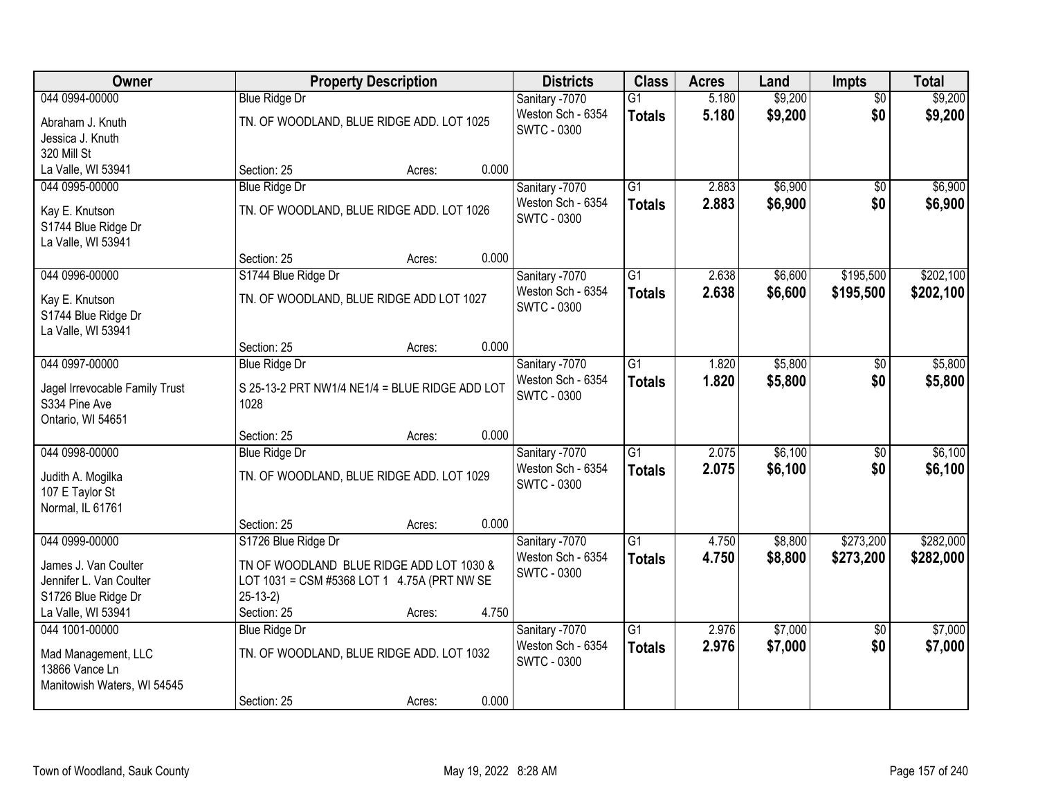| Owner                          |                                                | <b>Property Description</b> |       | <b>Districts</b>   | <b>Class</b>    | <b>Acres</b> | Land    | Impts           | <b>Total</b> |
|--------------------------------|------------------------------------------------|-----------------------------|-------|--------------------|-----------------|--------------|---------|-----------------|--------------|
| 044 0994-00000                 | <b>Blue Ridge Dr</b>                           |                             |       | Sanitary -7070     | G1              | 5.180        | \$9,200 | $\overline{50}$ | \$9,200      |
| Abraham J. Knuth               | TN. OF WOODLAND, BLUE RIDGE ADD. LOT 1025      |                             |       | Weston Sch - 6354  | <b>Totals</b>   | 5.180        | \$9,200 | \$0             | \$9,200      |
| Jessica J. Knuth               |                                                |                             |       | <b>SWTC - 0300</b> |                 |              |         |                 |              |
| 320 Mill St                    |                                                |                             |       |                    |                 |              |         |                 |              |
| La Valle, WI 53941             | Section: 25                                    | Acres:                      | 0.000 |                    |                 |              |         |                 |              |
| 044 0995-00000                 | <b>Blue Ridge Dr</b>                           |                             |       | Sanitary -7070     | $\overline{G1}$ | 2.883        | \$6,900 | \$0             | \$6,900      |
| Kay E. Knutson                 | TN. OF WOODLAND, BLUE RIDGE ADD. LOT 1026      |                             |       | Weston Sch - 6354  | <b>Totals</b>   | 2.883        | \$6,900 | \$0             | \$6,900      |
| S1744 Blue Ridge Dr            |                                                |                             |       | <b>SWTC - 0300</b> |                 |              |         |                 |              |
| La Valle, WI 53941             |                                                |                             |       |                    |                 |              |         |                 |              |
|                                | Section: 25                                    | Acres:                      | 0.000 |                    |                 |              |         |                 |              |
| 044 0996-00000                 | S1744 Blue Ridge Dr                            |                             |       | Sanitary -7070     | G <sub>1</sub>  | 2.638        | \$6,600 | \$195,500       | \$202,100    |
| Kay E. Knutson                 | TN. OF WOODLAND, BLUE RIDGE ADD LOT 1027       |                             |       | Weston Sch - 6354  | <b>Totals</b>   | 2.638        | \$6,600 | \$195,500       | \$202,100    |
| S1744 Blue Ridge Dr            |                                                |                             |       | <b>SWTC - 0300</b> |                 |              |         |                 |              |
| La Valle, WI 53941             |                                                |                             |       |                    |                 |              |         |                 |              |
|                                | Section: 25                                    | Acres:                      | 0.000 |                    |                 |              |         |                 |              |
| 044 0997-00000                 | <b>Blue Ridge Dr</b>                           |                             |       | Sanitary -7070     | $\overline{G1}$ | 1.820        | \$5,800 | $\sqrt[6]{}$    | \$5,800      |
| Jagel Irrevocable Family Trust | S 25-13-2 PRT NW1/4 NE1/4 = BLUE RIDGE ADD LOT |                             |       | Weston Sch - 6354  | <b>Totals</b>   | 1.820        | \$5,800 | \$0             | \$5,800      |
| S334 Pine Ave                  | 1028                                           |                             |       | <b>SWTC - 0300</b> |                 |              |         |                 |              |
| Ontario, WI 54651              |                                                |                             |       |                    |                 |              |         |                 |              |
|                                | Section: 25                                    | Acres:                      | 0.000 |                    |                 |              |         |                 |              |
| 044 0998-00000                 | <b>Blue Ridge Dr</b>                           |                             |       | Sanitary -7070     | $\overline{G1}$ | 2.075        | \$6,100 | $\overline{50}$ | \$6,100      |
| Judith A. Mogilka              | TN. OF WOODLAND, BLUE RIDGE ADD. LOT 1029      |                             |       | Weston Sch - 6354  | <b>Totals</b>   | 2.075        | \$6,100 | \$0             | \$6,100      |
| 107 E Taylor St                |                                                |                             |       | <b>SWTC - 0300</b> |                 |              |         |                 |              |
| Normal, IL 61761               |                                                |                             |       |                    |                 |              |         |                 |              |
|                                | Section: 25                                    | Acres:                      | 0.000 |                    |                 |              |         |                 |              |
| 044 0999-00000                 | S1726 Blue Ridge Dr                            |                             |       | Sanitary -7070     | $\overline{G1}$ | 4.750        | \$8,800 | \$273,200       | \$282,000    |
| James J. Van Coulter           | TN OF WOODLAND BLUE RIDGE ADD LOT 1030 &       |                             |       | Weston Sch - 6354  | <b>Totals</b>   | 4.750        | \$8,800 | \$273,200       | \$282,000    |
| Jennifer L. Van Coulter        | LOT 1031 = CSM #5368 LOT 1 4.75A (PRT NW SE    |                             |       | <b>SWTC - 0300</b> |                 |              |         |                 |              |
| S1726 Blue Ridge Dr            | $25-13-2)$                                     |                             |       |                    |                 |              |         |                 |              |
| La Valle, WI 53941             | Section: 25                                    | Acres:                      | 4.750 |                    |                 |              |         |                 |              |
| 044 1001-00000                 | <b>Blue Ridge Dr</b>                           |                             |       | Sanitary -7070     | $\overline{G1}$ | 2.976        | \$7,000 | $\overline{50}$ | \$7,000      |
| Mad Management, LLC            | TN. OF WOODLAND, BLUE RIDGE ADD. LOT 1032      |                             |       | Weston Sch - 6354  | <b>Totals</b>   | 2.976        | \$7,000 | \$0             | \$7,000      |
| 13866 Vance Ln                 |                                                |                             |       | SWTC - 0300        |                 |              |         |                 |              |
| Manitowish Waters, WI 54545    |                                                |                             |       |                    |                 |              |         |                 |              |
|                                | Section: 25                                    | Acres:                      | 0.000 |                    |                 |              |         |                 |              |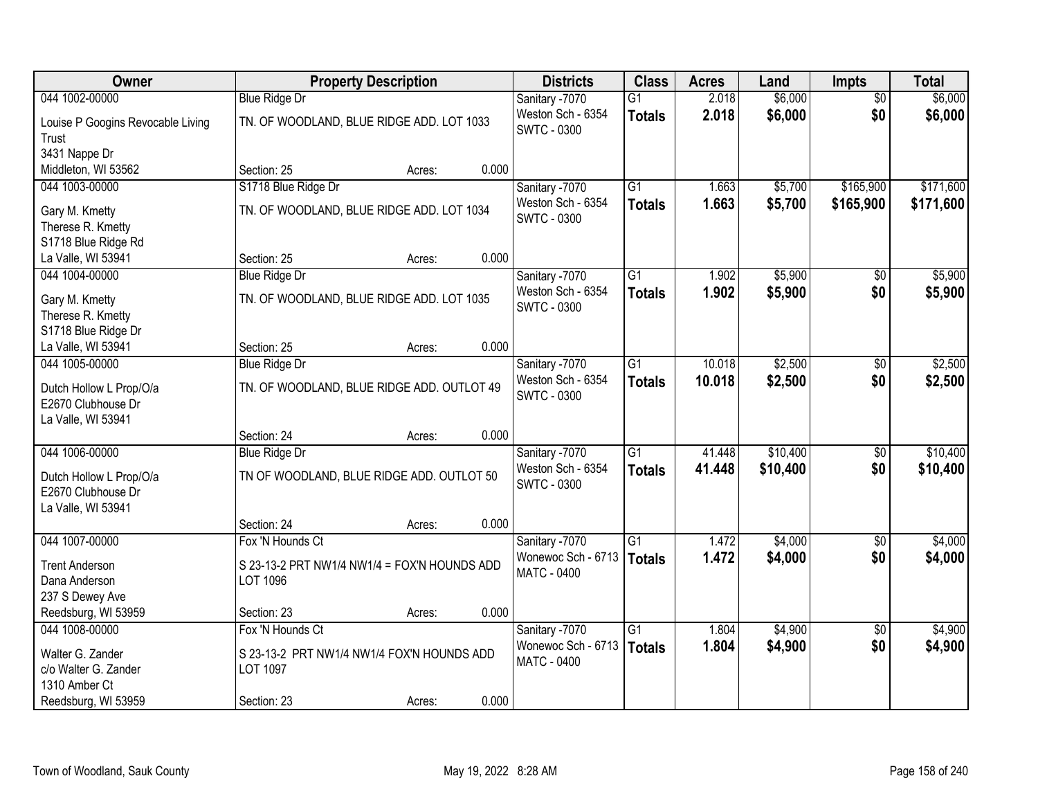| <b>Owner</b>                               |                                              | <b>Property Description</b> |       | <b>Districts</b>                        | <b>Class</b>    | <b>Acres</b> | Land     | <b>Impts</b>    | <b>Total</b> |
|--------------------------------------------|----------------------------------------------|-----------------------------|-------|-----------------------------------------|-----------------|--------------|----------|-----------------|--------------|
| 044 1002-00000                             | <b>Blue Ridge Dr</b>                         |                             |       | Sanitary -7070                          | $\overline{G1}$ | 2.018        | \$6,000  | $\overline{50}$ | \$6,000      |
| Louise P Googins Revocable Living<br>Trust | TN. OF WOODLAND, BLUE RIDGE ADD. LOT 1033    |                             |       | Weston Sch - 6354<br><b>SWTC - 0300</b> | <b>Totals</b>   | 2.018        | \$6,000  | \$0             | \$6,000      |
| 3431 Nappe Dr                              |                                              |                             |       |                                         |                 |              |          |                 |              |
| Middleton, WI 53562                        | Section: 25                                  | Acres:                      | 0.000 |                                         |                 |              |          |                 |              |
| 044 1003-00000                             | S1718 Blue Ridge Dr                          |                             |       | Sanitary -7070                          | $\overline{G1}$ | 1.663        | \$5,700  | \$165,900       | \$171,600    |
|                                            |                                              |                             |       | Weston Sch - 6354                       | <b>Totals</b>   | 1.663        | \$5,700  | \$165,900       | \$171,600    |
| Gary M. Kmetty                             | TN. OF WOODLAND, BLUE RIDGE ADD. LOT 1034    |                             |       | <b>SWTC - 0300</b>                      |                 |              |          |                 |              |
| Therese R. Kmetty                          |                                              |                             |       |                                         |                 |              |          |                 |              |
| S1718 Blue Ridge Rd                        |                                              |                             |       |                                         |                 |              |          |                 |              |
| La Valle, WI 53941                         | Section: 25                                  | Acres:                      | 0.000 |                                         |                 |              |          |                 |              |
| 044 1004-00000                             | <b>Blue Ridge Dr</b>                         |                             |       | Sanitary -7070                          | G1              | 1.902        | \$5,900  | \$0             | \$5,900      |
| Gary M. Kmetty                             | TN. OF WOODLAND, BLUE RIDGE ADD. LOT 1035    |                             |       | Weston Sch - 6354                       | <b>Totals</b>   | 1.902        | \$5,900  | \$0             | \$5,900      |
| Therese R. Kmetty                          |                                              |                             |       | SWTC - 0300                             |                 |              |          |                 |              |
| S1718 Blue Ridge Dr                        |                                              |                             |       |                                         |                 |              |          |                 |              |
| La Valle, WI 53941                         | Section: 25                                  | Acres:                      | 0.000 |                                         |                 |              |          |                 |              |
| 044 1005-00000                             | <b>Blue Ridge Dr</b>                         |                             |       | Sanitary -7070                          | $\overline{G1}$ | 10.018       | \$2,500  | \$0             | \$2,500      |
|                                            |                                              |                             |       | Weston Sch - 6354                       | <b>Totals</b>   | 10.018       | \$2,500  | \$0             | \$2,500      |
| Dutch Hollow L Prop/O/a                    | TN. OF WOODLAND, BLUE RIDGE ADD. OUTLOT 49   |                             |       | <b>SWTC - 0300</b>                      |                 |              |          |                 |              |
| E2670 Clubhouse Dr<br>La Valle, WI 53941   |                                              |                             |       |                                         |                 |              |          |                 |              |
|                                            | Section: 24                                  | Acres:                      | 0.000 |                                         |                 |              |          |                 |              |
| 044 1006-00000                             | <b>Blue Ridge Dr</b>                         |                             |       | Sanitary -7070                          | $\overline{G1}$ | 41.448       | \$10,400 | \$0             | \$10,400     |
|                                            |                                              |                             |       | Weston Sch - 6354                       |                 | 41.448       | \$10,400 | \$0             | \$10,400     |
| Dutch Hollow L Prop/O/a                    | TN OF WOODLAND, BLUE RIDGE ADD. OUTLOT 50    |                             |       | <b>SWTC - 0300</b>                      | <b>Totals</b>   |              |          |                 |              |
| E2670 Clubhouse Dr                         |                                              |                             |       |                                         |                 |              |          |                 |              |
| La Valle, WI 53941                         |                                              |                             |       |                                         |                 |              |          |                 |              |
|                                            | Section: 24                                  | Acres:                      | 0.000 |                                         |                 |              |          |                 |              |
| 044 1007-00000                             | Fox 'N Hounds Ct                             |                             |       | Sanitary -7070                          | $\overline{G1}$ | 1.472        | \$4,000  | \$0             | \$4,000      |
| <b>Trent Anderson</b>                      | S 23-13-2 PRT NW1/4 NW1/4 = FOX'N HOUNDS ADD |                             |       | Wonewoc Sch - 6713                      | <b>Totals</b>   | 1.472        | \$4,000  | \$0             | \$4,000      |
| Dana Anderson                              | LOT 1096                                     |                             |       | MATC - 0400                             |                 |              |          |                 |              |
| 237 S Dewey Ave                            |                                              |                             |       |                                         |                 |              |          |                 |              |
| Reedsburg, WI 53959                        | Section: 23                                  | Acres:                      | 0.000 |                                         |                 |              |          |                 |              |
| 044 1008-00000                             | Fox 'N Hounds Ct                             |                             |       | Sanitary -7070                          | $\overline{G1}$ | 1.804        | \$4,900  | $\overline{30}$ | \$4,900      |
|                                            |                                              |                             |       | Wonewoc Sch - 6713                      | Totals          | 1.804        | \$4,900  | \$0             | \$4,900      |
| Walter G. Zander<br>c/o Walter G. Zander   | S 23-13-2 PRT NW1/4 NW1/4 FOX'N HOUNDS ADD   |                             |       | MATC - 0400                             |                 |              |          |                 |              |
| 1310 Amber Ct                              | LOT 1097                                     |                             |       |                                         |                 |              |          |                 |              |
|                                            | Section: 23                                  |                             | 0.000 |                                         |                 |              |          |                 |              |
| Reedsburg, WI 53959                        |                                              | Acres:                      |       |                                         |                 |              |          |                 |              |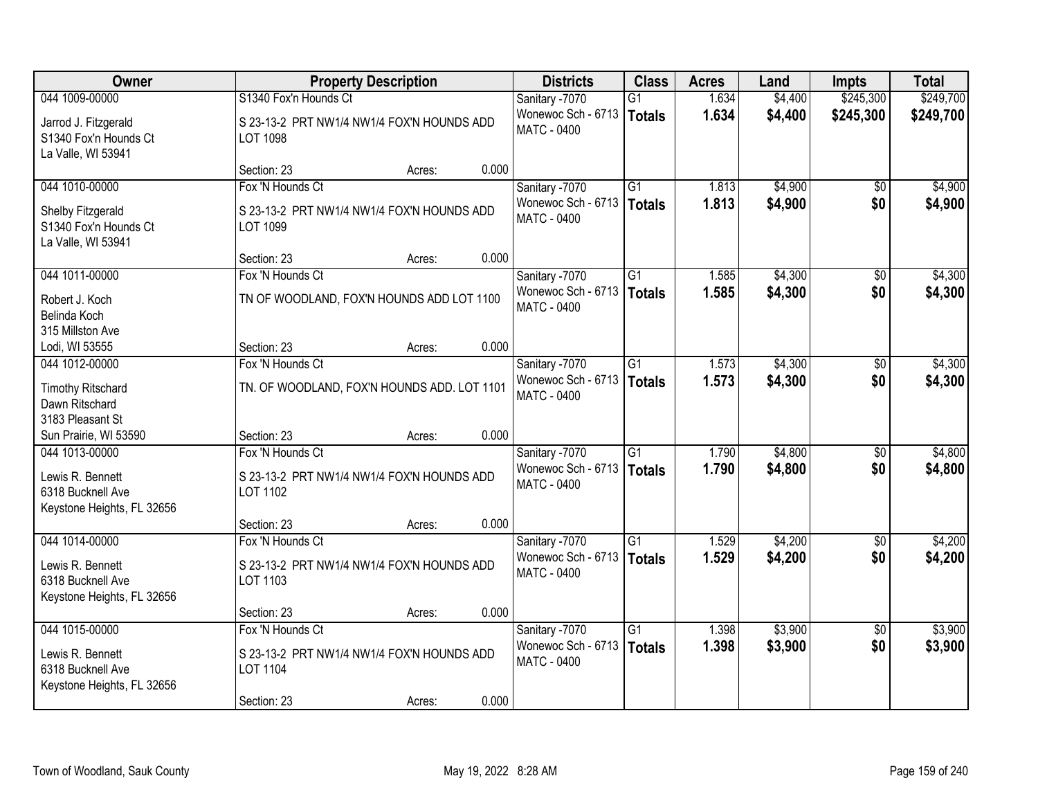| Owner                                                               |                                                        | <b>Property Description</b> |                                          |                 | <b>Acres</b> | Land    | <b>Impts</b>    | <b>Total</b> |
|---------------------------------------------------------------------|--------------------------------------------------------|-----------------------------|------------------------------------------|-----------------|--------------|---------|-----------------|--------------|
| 044 1009-00000                                                      | S1340 Fox'n Hounds Ct                                  |                             | Sanitary -7070                           | G1              | 1.634        | \$4,400 | \$245,300       | \$249,700    |
| Jarrod J. Fitzgerald<br>S1340 Fox'n Hounds Ct<br>La Valle, WI 53941 | S 23-13-2 PRT NW1/4 NW1/4 FOX'N HOUNDS ADD<br>LOT 1098 |                             | Wonewoc Sch - 6713<br><b>MATC - 0400</b> | <b>Totals</b>   | 1.634        | \$4,400 | \$245,300       | \$249,700    |
|                                                                     | Section: 23                                            | 0.000<br>Acres:             |                                          |                 |              |         |                 |              |
| 044 1010-00000                                                      | Fox 'N Hounds Ct                                       |                             | Sanitary -7070                           | $\overline{G1}$ | 1.813        | \$4,900 | $\overline{30}$ | \$4,900      |
| Shelby Fitzgerald<br>S1340 Fox'n Hounds Ct<br>La Valle, WI 53941    | S 23-13-2 PRT NW1/4 NW1/4 FOX'N HOUNDS ADD<br>LOT 1099 |                             | Wonewoc Sch - 6713<br><b>MATC - 0400</b> | <b>Totals</b>   | 1.813        | \$4,900 | \$0             | \$4,900      |
|                                                                     | Section: 23                                            | 0.000<br>Acres:             |                                          |                 |              |         |                 |              |
| 044 1011-00000                                                      | Fox 'N Hounds Ct                                       |                             | Sanitary -7070                           | $\overline{G1}$ | 1.585        | \$4,300 | $\sqrt[6]{}$    | \$4,300      |
| Robert J. Koch<br>Belinda Koch<br>315 Millston Ave                  | TN OF WOODLAND, FOX'N HOUNDS ADD LOT 1100              |                             | Wonewoc Sch - 6713<br>MATC - 0400        | <b>Totals</b>   | 1.585        | \$4,300 | \$0             | \$4,300      |
| Lodi, WI 53555                                                      | Section: 23                                            | 0.000<br>Acres:             |                                          |                 |              |         |                 |              |
| 044 1012-00000                                                      | Fox 'N Hounds Ct                                       |                             | Sanitary -7070                           | $\overline{G1}$ | 1.573        | \$4,300 | \$0             | \$4,300      |
| <b>Timothy Ritschard</b><br>Dawn Ritschard<br>3183 Pleasant St      | TN. OF WOODLAND, FOX'N HOUNDS ADD. LOT 1101            |                             | Wonewoc Sch - 6713<br><b>MATC - 0400</b> | Totals          | 1.573        | \$4,300 | \$0             | \$4,300      |
| Sun Prairie, WI 53590                                               | Section: 23                                            | 0.000<br>Acres:             |                                          |                 |              |         |                 |              |
| 044 1013-00000                                                      | Fox 'N Hounds Ct                                       |                             | Sanitary -7070                           | $\overline{G1}$ | 1.790        | \$4,800 | \$0             | \$4,800      |
| Lewis R. Bennett<br>6318 Bucknell Ave<br>Keystone Heights, FL 32656 | S 23-13-2 PRT NW1/4 NW1/4 FOX'N HOUNDS ADD<br>LOT 1102 |                             | Wonewoc Sch - 6713<br><b>MATC - 0400</b> | Totals          | 1.790        | \$4,800 | \$0             | \$4,800      |
|                                                                     | Section: 23                                            | 0.000<br>Acres:             |                                          |                 |              |         |                 |              |
| 044 1014-00000                                                      | Fox 'N Hounds Ct                                       |                             | Sanitary -7070                           | $\overline{G1}$ | 1.529        | \$4,200 | $\sqrt{6}$      | \$4,200      |
| Lewis R. Bennett<br>6318 Bucknell Ave<br>Keystone Heights, FL 32656 | S 23-13-2 PRT NW1/4 NW1/4 FOX'N HOUNDS ADD<br>LOT 1103 |                             | Wonewoc Sch - 6713<br><b>MATC - 0400</b> | Totals          | 1.529        | \$4,200 | \$0             | \$4,200      |
|                                                                     | Section: 23                                            | 0.000<br>Acres:             |                                          |                 |              |         |                 |              |
| 044 1015-00000                                                      | Fox 'N Hounds Ct                                       |                             | Sanitary -7070                           | $\overline{G1}$ | 1.398        | \$3,900 | $\overline{30}$ | \$3,900      |
| Lewis R. Bennett<br>6318 Bucknell Ave<br>Keystone Heights, FL 32656 | S 23-13-2 PRT NW1/4 NW1/4 FOX'N HOUNDS ADD<br>LOT 1104 |                             | Wonewoc Sch - 6713<br><b>MATC - 0400</b> | Totals          | 1.398        | \$3,900 | \$0             | \$3,900      |
|                                                                     | Section: 23                                            | 0.000<br>Acres:             |                                          |                 |              |         |                 |              |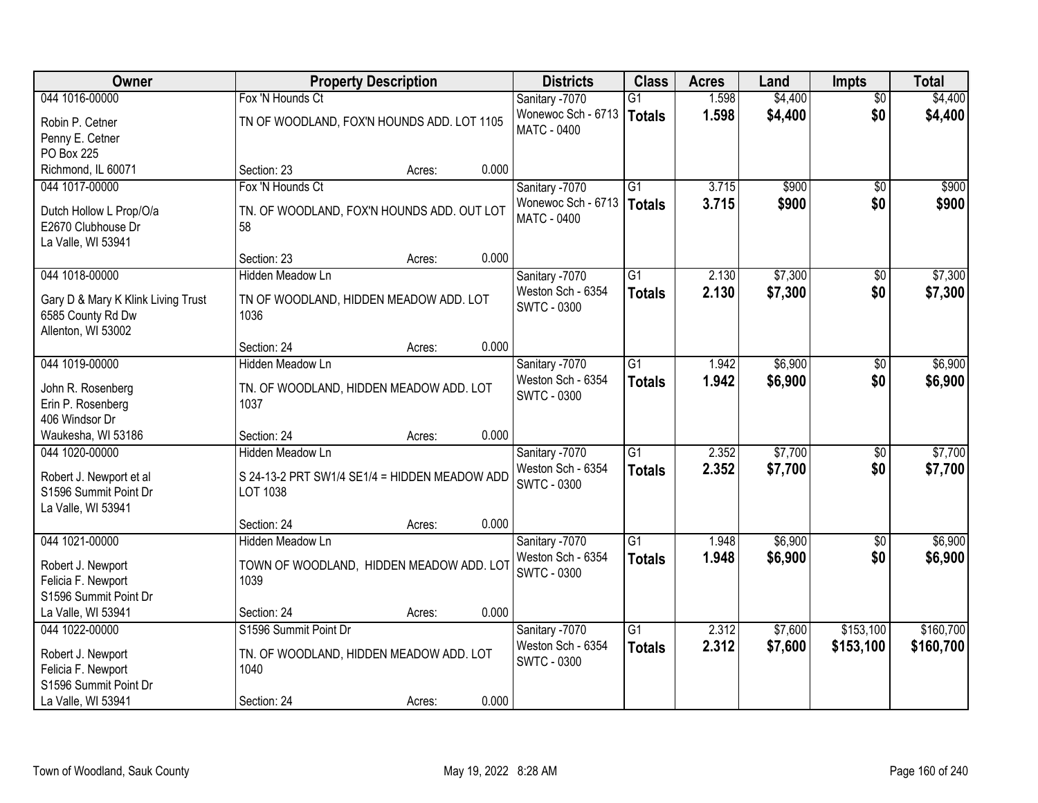| Owner                                  | <b>Property Description</b>                     | <b>Districts</b>   | <b>Class</b>    | <b>Acres</b> | Land    | <b>Impts</b>    | <b>Total</b> |
|----------------------------------------|-------------------------------------------------|--------------------|-----------------|--------------|---------|-----------------|--------------|
| 044 1016-00000                         | Fox 'N Hounds Ct                                | Sanitary -7070     | $\overline{G1}$ | 1.598        | \$4,400 | $\overline{50}$ | \$4,400      |
| Robin P. Cetner                        | TN OF WOODLAND, FOX'N HOUNDS ADD. LOT 1105      | Wonewoc Sch - 6713 | <b>Totals</b>   | 1.598        | \$4,400 | \$0             | \$4,400      |
| Penny E. Cetner                        |                                                 | <b>MATC - 0400</b> |                 |              |         |                 |              |
| PO Box 225                             |                                                 |                    |                 |              |         |                 |              |
| Richmond, IL 60071                     | 0.000<br>Section: 23<br>Acres:                  |                    |                 |              |         |                 |              |
| 044 1017-00000                         | Fox 'N Hounds Ct                                | Sanitary -7070     | $\overline{G1}$ | 3.715        | \$900   | $\overline{50}$ | \$900        |
| Dutch Hollow L Prop/O/a                | TN. OF WOODLAND, FOX'N HOUNDS ADD. OUT LOT      | Wonewoc Sch - 6713 | <b>Totals</b>   | 3.715        | \$900   | \$0             | \$900        |
| E2670 Clubhouse Dr                     | 58                                              | <b>MATC - 0400</b> |                 |              |         |                 |              |
| La Valle, WI 53941                     |                                                 |                    |                 |              |         |                 |              |
|                                        | 0.000<br>Section: 23<br>Acres:                  |                    |                 |              |         |                 |              |
| 044 1018-00000                         | Hidden Meadow Ln                                | Sanitary -7070     | G1              | 2.130        | \$7,300 | $\sqrt{6}$      | \$7,300      |
| Gary D & Mary K Klink Living Trust     | TN OF WOODLAND, HIDDEN MEADOW ADD. LOT          | Weston Sch - 6354  | <b>Totals</b>   | 2.130        | \$7,300 | \$0             | \$7,300      |
| 6585 County Rd Dw                      | 1036                                            | <b>SWTC - 0300</b> |                 |              |         |                 |              |
| Allenton, WI 53002                     |                                                 |                    |                 |              |         |                 |              |
|                                        | 0.000<br>Section: 24<br>Acres:                  |                    |                 |              |         |                 |              |
| 044 1019-00000                         | <b>Hidden Meadow Ln</b>                         | Sanitary -7070     | $\overline{G1}$ | 1.942        | \$6,900 | \$0             | \$6,900      |
|                                        |                                                 | Weston Sch - 6354  | <b>Totals</b>   | 1.942        | \$6,900 | \$0             | \$6,900      |
| John R. Rosenberg<br>Erin P. Rosenberg | TN. OF WOODLAND, HIDDEN MEADOW ADD. LOT<br>1037 | <b>SWTC - 0300</b> |                 |              |         |                 |              |
| 406 Windsor Dr                         |                                                 |                    |                 |              |         |                 |              |
| Waukesha, WI 53186                     | 0.000<br>Section: 24<br>Acres:                  |                    |                 |              |         |                 |              |
| 044 1020-00000                         | Hidden Meadow Ln                                | Sanitary -7070     | $\overline{G1}$ | 2.352        | \$7,700 | \$0             | \$7,700      |
|                                        |                                                 | Weston Sch - 6354  | <b>Totals</b>   | 2.352        | \$7,700 | \$0             | \$7,700      |
| Robert J. Newport et al                | S 24-13-2 PRT SW1/4 SE1/4 = HIDDEN MEADOW ADD   | <b>SWTC - 0300</b> |                 |              |         |                 |              |
| S1596 Summit Point Dr                  | LOT 1038                                        |                    |                 |              |         |                 |              |
| La Valle, WI 53941                     | 0.000                                           |                    |                 |              |         |                 |              |
| 044 1021-00000                         | Section: 24<br>Acres:<br>Hidden Meadow Ln       | Sanitary -7070     | $\overline{G1}$ | 1.948        | \$6,900 | $\overline{60}$ | \$6,900      |
|                                        |                                                 | Weston Sch - 6354  | <b>Totals</b>   | 1.948        | \$6,900 | \$0             | \$6,900      |
| Robert J. Newport                      | TOWN OF WOODLAND, HIDDEN MEADOW ADD. LOT        | <b>SWTC - 0300</b> |                 |              |         |                 |              |
| Felicia F. Newport                     | 1039                                            |                    |                 |              |         |                 |              |
| S1596 Summit Point Dr                  |                                                 |                    |                 |              |         |                 |              |
| La Valle, WI 53941                     | 0.000<br>Section: 24<br>Acres:                  |                    |                 |              |         |                 |              |
| 044 1022-00000                         | S1596 Summit Point Dr                           | Sanitary -7070     | $\overline{G1}$ | 2.312        | \$7,600 | \$153,100       | \$160,700    |
| Robert J. Newport                      | TN. OF WOODLAND, HIDDEN MEADOW ADD. LOT         | Weston Sch - 6354  | <b>Totals</b>   | 2.312        | \$7,600 | \$153,100       | \$160,700    |
| Felicia F. Newport                     | 1040                                            | <b>SWTC - 0300</b> |                 |              |         |                 |              |
| S1596 Summit Point Dr                  |                                                 |                    |                 |              |         |                 |              |
| La Valle, WI 53941                     | 0.000<br>Section: 24<br>Acres:                  |                    |                 |              |         |                 |              |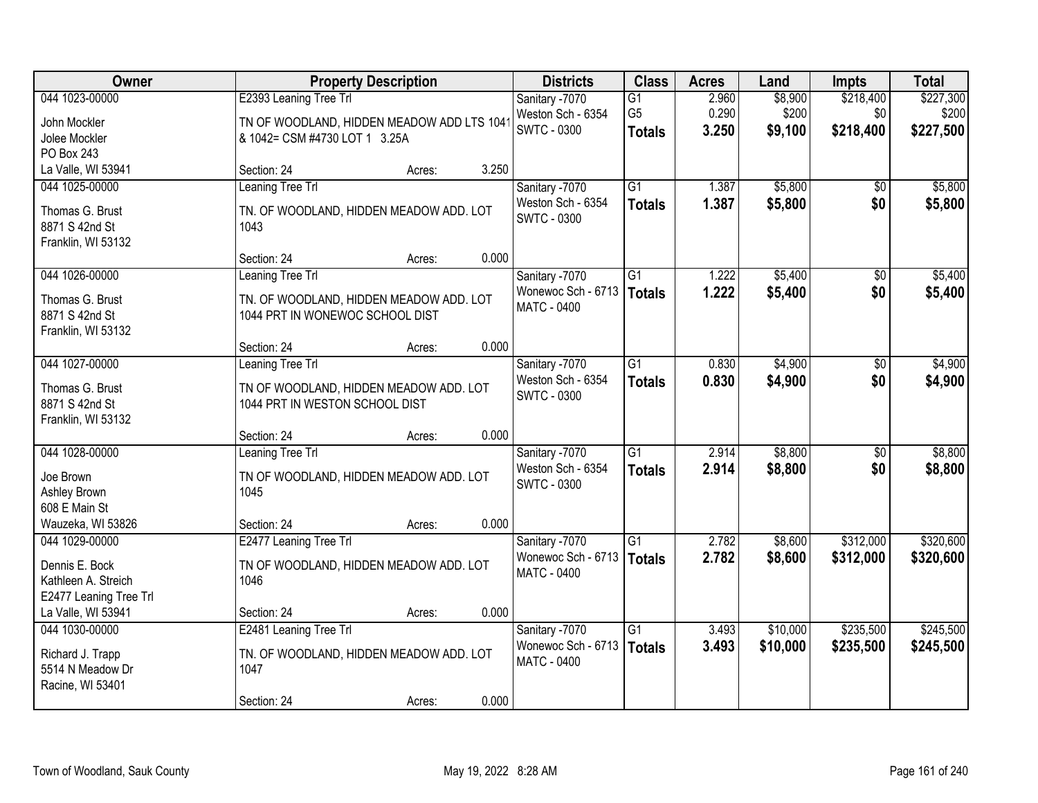| Owner                                 | <b>Property Description</b>                                              |        |       | <b>Districts</b>            | <b>Class</b>    | <b>Acres</b> | Land     | <b>Impts</b>    | <b>Total</b> |
|---------------------------------------|--------------------------------------------------------------------------|--------|-------|-----------------------------|-----------------|--------------|----------|-----------------|--------------|
| 044 1023-00000                        | E2393 Leaning Tree Trl                                                   |        |       | Sanitary -7070              | G1              | 2.960        | \$8,900  | \$218,400       | \$227,300    |
| John Mockler                          | TN OF WOODLAND, HIDDEN MEADOW ADD LTS 104                                |        |       | Weston Sch - 6354           | G <sub>5</sub>  | 0.290        | \$200    | \$0             | \$200        |
| Jolee Mockler                         | & 1042= CSM #4730 LOT 1 3.25A                                            |        |       | <b>SWTC - 0300</b>          | <b>Totals</b>   | 3.250        | \$9,100  | \$218,400       | \$227,500    |
| PO Box 243                            |                                                                          |        |       |                             |                 |              |          |                 |              |
| La Valle, WI 53941                    | Section: 24                                                              | Acres: | 3.250 |                             |                 |              |          |                 |              |
| 044 1025-00000                        | Leaning Tree Trl                                                         |        |       | Sanitary -7070              | $\overline{G1}$ | 1.387        | \$5,800  | \$0             | \$5,800      |
| Thomas G. Brust                       | TN. OF WOODLAND, HIDDEN MEADOW ADD. LOT                                  |        |       | Weston Sch - 6354           | <b>Totals</b>   | 1.387        | \$5,800  | \$0             | \$5,800      |
| 8871 S 42nd St                        | 1043                                                                     |        |       | <b>SWTC - 0300</b>          |                 |              |          |                 |              |
| Franklin, WI 53132                    |                                                                          |        |       |                             |                 |              |          |                 |              |
|                                       | Section: 24                                                              | Acres: | 0.000 |                             |                 |              |          |                 |              |
| 044 1026-00000                        | Leaning Tree Trl                                                         |        |       | Sanitary -7070              | G1              | 1.222        | \$5,400  | \$0             | \$5,400      |
| Thomas G. Brust                       | TN. OF WOODLAND, HIDDEN MEADOW ADD. LOT                                  |        |       | Wonewoc Sch - 6713          | Totals          | 1.222        | \$5,400  | \$0             | \$5,400      |
| 8871 S 42nd St                        | 1044 PRT IN WONEWOC SCHOOL DIST                                          |        |       | MATC - 0400                 |                 |              |          |                 |              |
| Franklin, WI 53132                    |                                                                          |        |       |                             |                 |              |          |                 |              |
|                                       | Section: 24                                                              | Acres: | 0.000 |                             |                 |              |          |                 |              |
| 044 1027-00000                        | Leaning Tree Trl                                                         |        |       | Sanitary -7070              | G1              | 0.830        | \$4,900  | \$0             | \$4,900      |
| Thomas G. Brust                       |                                                                          |        |       | Weston Sch - 6354           | <b>Totals</b>   | 0.830        | \$4,900  | \$0             | \$4,900      |
| 8871 S 42nd St                        | TN OF WOODLAND, HIDDEN MEADOW ADD. LOT<br>1044 PRT IN WESTON SCHOOL DIST |        |       | SWTC - 0300                 |                 |              |          |                 |              |
| Franklin, WI 53132                    |                                                                          |        |       |                             |                 |              |          |                 |              |
|                                       | Section: 24                                                              | Acres: | 0.000 |                             |                 |              |          |                 |              |
| 044 1028-00000                        | Leaning Tree Trl                                                         |        |       | Sanitary -7070              | $\overline{G1}$ | 2.914        | \$8,800  | $\overline{50}$ | \$8,800      |
| Joe Brown                             |                                                                          |        |       | Weston Sch - 6354           | <b>Totals</b>   | 2.914        | \$8,800  | \$0             | \$8,800      |
| Ashley Brown                          | TN OF WOODLAND, HIDDEN MEADOW ADD. LOT<br>1045                           |        |       | <b>SWTC - 0300</b>          |                 |              |          |                 |              |
| 608 E Main St                         |                                                                          |        |       |                             |                 |              |          |                 |              |
| Wauzeka, WI 53826                     | Section: 24                                                              | Acres: | 0.000 |                             |                 |              |          |                 |              |
| 044 1029-00000                        | E2477 Leaning Tree Trl                                                   |        |       | Sanitary -7070              | $\overline{G1}$ | 2.782        | \$8,600  | \$312,000       | \$320,600    |
|                                       |                                                                          |        |       | Wonewoc Sch - 6713   Totals |                 | 2.782        | \$8,600  | \$312,000       | \$320,600    |
| Dennis E. Bock<br>Kathleen A. Streich | TN OF WOODLAND, HIDDEN MEADOW ADD. LOT<br>1046                           |        |       | <b>MATC - 0400</b>          |                 |              |          |                 |              |
| E2477 Leaning Tree Trl                |                                                                          |        |       |                             |                 |              |          |                 |              |
| La Valle, WI 53941                    | Section: 24                                                              | Acres: | 0.000 |                             |                 |              |          |                 |              |
| 044 1030-00000                        | E2481 Leaning Tree Trl                                                   |        |       | Sanitary -7070              | $\overline{G1}$ | 3.493        | \$10,000 | \$235,500       | \$245,500    |
|                                       |                                                                          |        |       | Wonewoc Sch - 6713          | Totals          | 3.493        | \$10,000 | \$235,500       | \$245,500    |
| Richard J. Trapp                      | TN. OF WOODLAND, HIDDEN MEADOW ADD. LOT                                  |        |       | <b>MATC - 0400</b>          |                 |              |          |                 |              |
| 5514 N Meadow Dr<br>Racine, WI 53401  | 1047                                                                     |        |       |                             |                 |              |          |                 |              |
|                                       | Section: 24                                                              | Acres: | 0.000 |                             |                 |              |          |                 |              |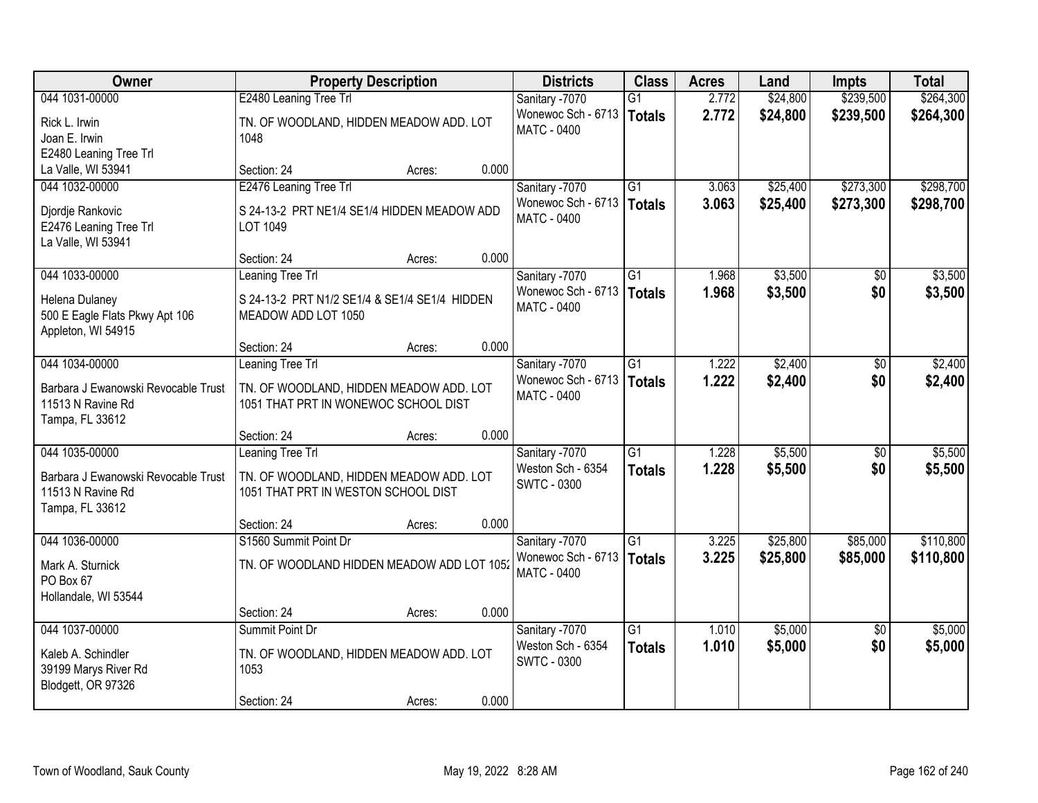| Owner                                                                       | <b>Property Description</b>                                                     |                 | <b>Districts</b>                         | <b>Class</b>    | <b>Acres</b> | Land     | <b>Impts</b>    | <b>Total</b> |
|-----------------------------------------------------------------------------|---------------------------------------------------------------------------------|-----------------|------------------------------------------|-----------------|--------------|----------|-----------------|--------------|
| 044 1031-00000                                                              | E2480 Leaning Tree Trl                                                          |                 | Sanitary -7070                           | G1              | 2.772        | \$24,800 | \$239,500       | \$264,300    |
| Rick L. Irwin<br>Joan E. Irwin                                              | TN. OF WOODLAND, HIDDEN MEADOW ADD. LOT<br>1048                                 |                 | Wonewoc Sch - 6713<br><b>MATC - 0400</b> | <b>Totals</b>   | 2.772        | \$24,800 | \$239,500       | \$264,300    |
| E2480 Leaning Tree Trl                                                      |                                                                                 |                 |                                          |                 |              |          |                 |              |
| La Valle, WI 53941                                                          | Section: 24                                                                     | 0.000<br>Acres: |                                          |                 |              |          |                 |              |
| 044 1032-00000                                                              | E2476 Leaning Tree Trl                                                          |                 | Sanitary -7070                           | $\overline{G1}$ | 3.063        | \$25,400 | \$273,300       | \$298,700    |
| Djordje Rankovic<br>E2476 Leaning Tree Trl<br>La Valle, WI 53941            | S 24-13-2 PRT NE1/4 SE1/4 HIDDEN MEADOW ADD<br>LOT 1049                         |                 | Wonewoc Sch - 6713<br><b>MATC - 0400</b> | <b>Totals</b>   | 3.063        | \$25,400 | \$273,300       | \$298,700    |
|                                                                             | Section: 24                                                                     | 0.000<br>Acres: |                                          |                 |              |          |                 |              |
| 044 1033-00000                                                              | Leaning Tree Trl                                                                |                 | Sanitary -7070                           | $\overline{G1}$ | 1.968        | \$3,500  | \$0             | \$3,500      |
| Helena Dulaney<br>500 E Eagle Flats Pkwy Apt 106<br>Appleton, WI 54915      | S 24-13-2 PRT N1/2 SE1/4 & SE1/4 SE1/4 HIDDEN<br>MEADOW ADD LOT 1050            |                 | Wonewoc Sch - 6713<br>MATC - 0400        | <b>Totals</b>   | 1.968        | \$3,500  | \$0             | \$3,500      |
|                                                                             | Section: 24                                                                     | 0.000<br>Acres: |                                          |                 |              |          |                 |              |
| 044 1034-00000                                                              | <b>Leaning Tree Trl</b>                                                         |                 | Sanitary -7070                           | $\overline{G1}$ | 1.222        | \$2,400  | \$0             | \$2,400      |
| Barbara J Ewanowski Revocable Trust<br>11513 N Ravine Rd<br>Tampa, FL 33612 | TN. OF WOODLAND, HIDDEN MEADOW ADD. LOT<br>1051 THAT PRT IN WONEWOC SCHOOL DIST |                 | Wonewoc Sch - 6713<br><b>MATC - 0400</b> | <b>Totals</b>   | 1.222        | \$2,400  | \$0             | \$2,400      |
|                                                                             | Section: 24                                                                     | 0.000<br>Acres: |                                          |                 |              |          |                 |              |
| 044 1035-00000                                                              | <b>Leaning Tree Trl</b>                                                         |                 | Sanitary -7070                           | $\overline{G1}$ | 1.228        | \$5,500  | \$0             | \$5,500      |
| Barbara J Ewanowski Revocable Trust<br>11513 N Ravine Rd<br>Tampa, FL 33612 | TN. OF WOODLAND, HIDDEN MEADOW ADD. LOT<br>1051 THAT PRT IN WESTON SCHOOL DIST  |                 | Weston Sch - 6354<br><b>SWTC - 0300</b>  | <b>Totals</b>   | 1.228        | \$5,500  | \$0             | \$5,500      |
|                                                                             | Section: 24                                                                     | 0.000<br>Acres: |                                          |                 |              |          |                 |              |
| 044 1036-00000                                                              | S1560 Summit Point Dr                                                           |                 | Sanitary -7070                           | $\overline{G1}$ | 3.225        | \$25,800 | \$85,000        | \$110,800    |
| Mark A. Sturnick<br>PO Box 67<br>Hollandale, WI 53544                       | TN. OF WOODLAND HIDDEN MEADOW ADD LOT 1052                                      |                 | Wonewoc Sch - 6713<br><b>MATC - 0400</b> | <b>Totals</b>   | 3.225        | \$25,800 | \$85,000        | \$110,800    |
|                                                                             | Section: 24                                                                     | 0.000<br>Acres: |                                          |                 |              |          |                 |              |
| 044 1037-00000                                                              | Summit Point Dr                                                                 |                 | Sanitary -7070                           | $\overline{G1}$ | 1.010        | \$5,000  | $\overline{50}$ | \$5,000      |
| Kaleb A. Schindler<br>39199 Marys River Rd<br>Blodgett, OR 97326            | TN. OF WOODLAND, HIDDEN MEADOW ADD. LOT<br>1053                                 |                 | Weston Sch - 6354<br><b>SWTC - 0300</b>  | <b>Totals</b>   | 1.010        | \$5,000  | \$0             | \$5,000      |
|                                                                             | Section: 24                                                                     | 0.000<br>Acres: |                                          |                 |              |          |                 |              |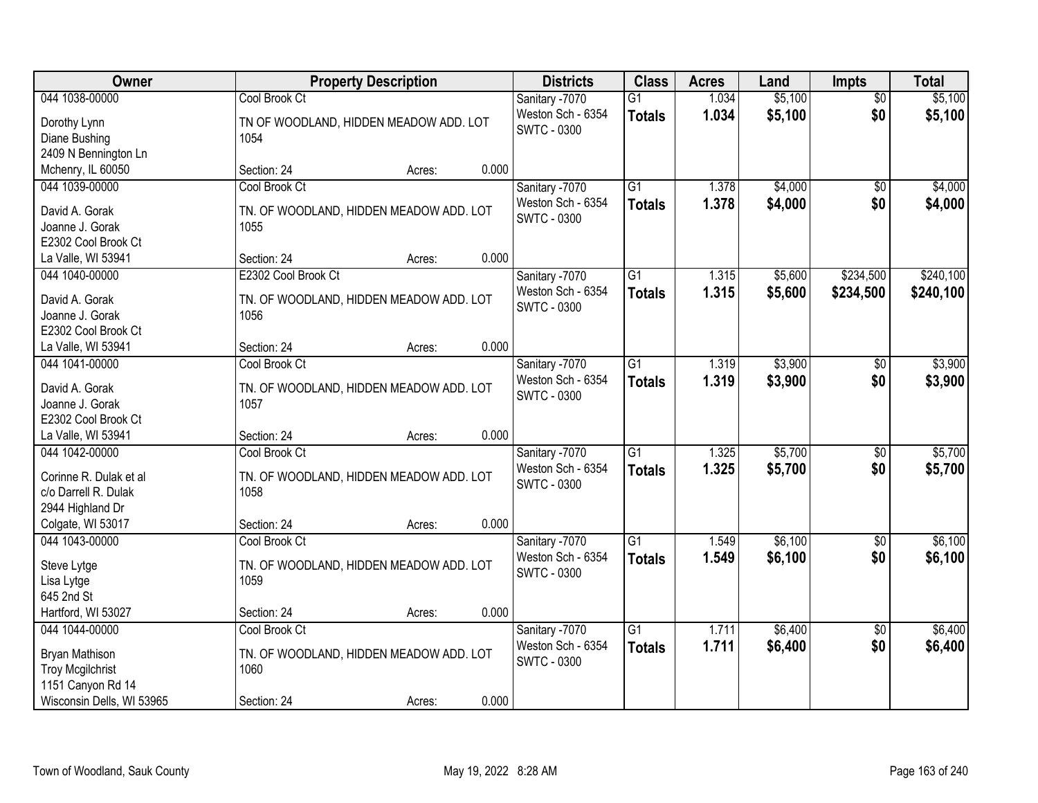| Owner                           | <b>Property Description</b>             |        |       | <b>Districts</b>   | <b>Class</b>    | <b>Acres</b> | Land    | <b>Impts</b>    | <b>Total</b> |
|---------------------------------|-----------------------------------------|--------|-------|--------------------|-----------------|--------------|---------|-----------------|--------------|
| 044 1038-00000                  | Cool Brook Ct                           |        |       | Sanitary -7070     | $\overline{G1}$ | 1.034        | \$5,100 | $\overline{30}$ | \$5,100      |
| Dorothy Lynn                    | TN OF WOODLAND, HIDDEN MEADOW ADD. LOT  |        |       | Weston Sch - 6354  | <b>Totals</b>   | 1.034        | \$5,100 | \$0             | \$5,100      |
| Diane Bushing<br>1054           |                                         |        |       | <b>SWTC - 0300</b> |                 |              |         |                 |              |
| 2409 N Bennington Ln            |                                         |        |       |                    |                 |              |         |                 |              |
| Mchenry, IL 60050               | Section: 24                             | Acres: | 0.000 |                    |                 |              |         |                 |              |
| 044 1039-00000                  | Cool Brook Ct                           |        |       | Sanitary -7070     | $\overline{G1}$ | 1.378        | \$4,000 | $\overline{50}$ | \$4,000      |
| David A. Gorak                  | TN. OF WOODLAND, HIDDEN MEADOW ADD. LOT |        |       | Weston Sch - 6354  | <b>Totals</b>   | 1.378        | \$4,000 | \$0             | \$4,000      |
| Joanne J. Gorak<br>1055         |                                         |        |       | <b>SWTC - 0300</b> |                 |              |         |                 |              |
| E2302 Cool Brook Ct             |                                         |        |       |                    |                 |              |         |                 |              |
| La Valle, WI 53941              | Section: 24                             | Acres: | 0.000 |                    |                 |              |         |                 |              |
| 044 1040-00000                  | E2302 Cool Brook Ct                     |        |       | Sanitary -7070     | $\overline{G1}$ | 1.315        | \$5,600 | \$234,500       | \$240,100    |
|                                 |                                         |        |       | Weston Sch - 6354  | <b>Totals</b>   | 1.315        | \$5,600 | \$234,500       | \$240,100    |
| David A. Gorak                  | TN. OF WOODLAND, HIDDEN MEADOW ADD. LOT |        |       | SWTC - 0300        |                 |              |         |                 |              |
| Joanne J. Gorak<br>1056         |                                         |        |       |                    |                 |              |         |                 |              |
| E2302 Cool Brook Ct             |                                         |        |       |                    |                 |              |         |                 |              |
| La Valle, WI 53941              | Section: 24                             | Acres: | 0.000 |                    |                 |              |         |                 |              |
| 044 1041-00000                  | Cool Brook Ct                           |        |       | Sanitary -7070     | $\overline{G1}$ | 1.319        | \$3,900 | $\sqrt[6]{3}$   | \$3,900      |
| David A. Gorak                  | TN. OF WOODLAND, HIDDEN MEADOW ADD. LOT |        |       | Weston Sch - 6354  | <b>Totals</b>   | 1.319        | \$3,900 | \$0             | \$3,900      |
| Joanne J. Gorak<br>1057         |                                         |        |       | <b>SWTC - 0300</b> |                 |              |         |                 |              |
| E2302 Cool Brook Ct             |                                         |        |       |                    |                 |              |         |                 |              |
| La Valle, WI 53941              | Section: 24                             | Acres: | 0.000 |                    |                 |              |         |                 |              |
| 044 1042-00000                  | Cool Brook Ct                           |        |       | Sanitary -7070     | $\overline{G1}$ | 1.325        | \$5,700 | \$0             | \$5,700      |
|                                 |                                         |        |       | Weston Sch - 6354  | <b>Totals</b>   | 1.325        | \$5,700 | \$0             | \$5,700      |
| Corinne R. Dulak et al          | TN. OF WOODLAND, HIDDEN MEADOW ADD. LOT |        |       | <b>SWTC - 0300</b> |                 |              |         |                 |              |
| c/o Darrell R. Dulak<br>1058    |                                         |        |       |                    |                 |              |         |                 |              |
| 2944 Highland Dr                |                                         |        |       |                    |                 |              |         |                 |              |
| Colgate, WI 53017               | Section: 24                             | Acres: | 0.000 |                    |                 |              |         |                 |              |
| 044 1043-00000                  | Cool Brook Ct                           |        |       | Sanitary -7070     | $\overline{G1}$ | 1.549        | \$6,100 | $\sqrt{$0}$     | \$6,100      |
| Steve Lytge                     | TN. OF WOODLAND, HIDDEN MEADOW ADD. LOT |        |       | Weston Sch - 6354  | <b>Totals</b>   | 1.549        | \$6,100 | \$0             | \$6,100      |
| 1059<br>Lisa Lytge              |                                         |        |       | <b>SWTC - 0300</b> |                 |              |         |                 |              |
| 645 2nd St                      |                                         |        |       |                    |                 |              |         |                 |              |
| Hartford, WI 53027              | Section: 24                             | Acres: | 0.000 |                    |                 |              |         |                 |              |
| 044 1044-00000                  | Cool Brook Ct                           |        |       | Sanitary -7070     | $\overline{G1}$ | 1.711        | \$6,400 | $\overline{50}$ | \$6,400      |
| Bryan Mathison                  | TN. OF WOODLAND, HIDDEN MEADOW ADD. LOT |        |       | Weston Sch - 6354  | <b>Totals</b>   | 1.711        | \$6,400 | \$0             | \$6,400      |
| <b>Troy Mcgilchrist</b><br>1060 |                                         |        |       | <b>SWTC - 0300</b> |                 |              |         |                 |              |
| 1151 Canyon Rd 14               |                                         |        |       |                    |                 |              |         |                 |              |
| Wisconsin Dells, WI 53965       | Section: 24                             | Acres: | 0.000 |                    |                 |              |         |                 |              |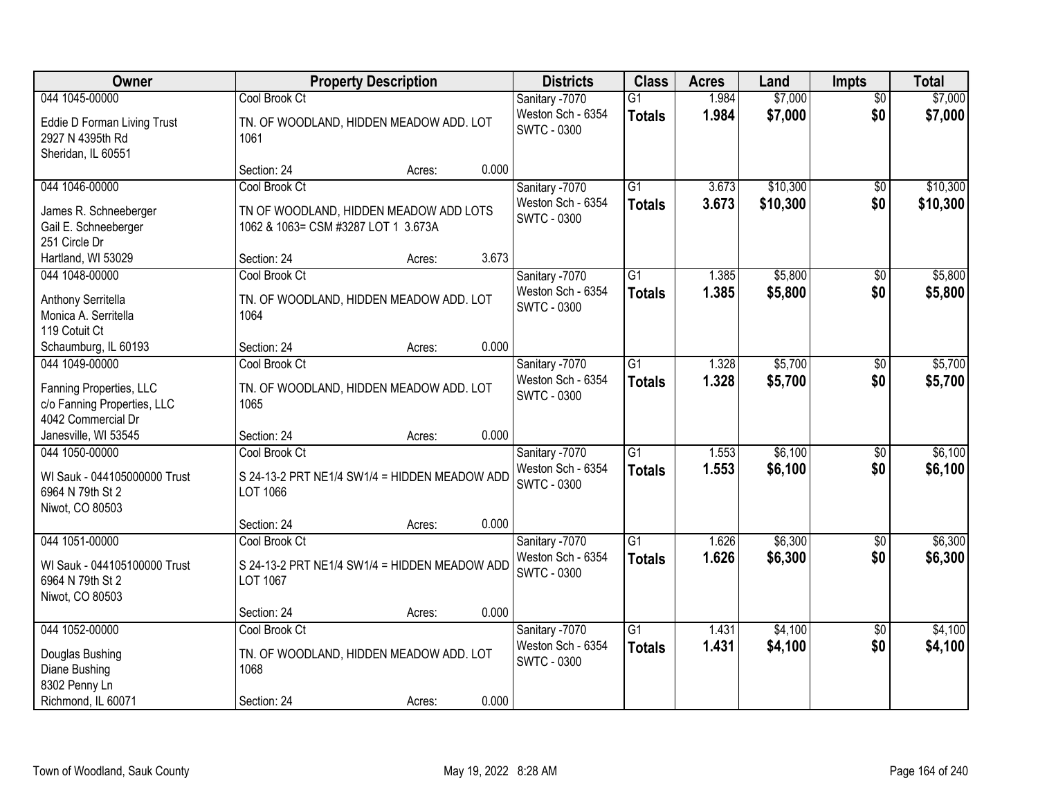| Owner                                                                                          | <b>Property Description</b>                                                                    | <b>Districts</b> | <b>Class</b>                                              | <b>Acres</b>                     | Land           | <b>Impts</b>         | <b>Total</b>           |                      |
|------------------------------------------------------------------------------------------------|------------------------------------------------------------------------------------------------|------------------|-----------------------------------------------------------|----------------------------------|----------------|----------------------|------------------------|----------------------|
| 044 1045-00000<br>Eddie D Forman Living Trust<br>2927 N 4395th Rd                              | Cool Brook Ct<br>TN. OF WOODLAND, HIDDEN MEADOW ADD. LOT<br>1061                               |                  | Sanitary -7070<br>Weston Sch - 6354<br><b>SWTC - 0300</b> | $\overline{G1}$<br><b>Totals</b> | 1.984<br>1.984 | \$7,000<br>\$7,000   | $\overline{30}$<br>\$0 | \$7,000<br>\$7,000   |
| Sheridan, IL 60551                                                                             | Section: 24<br>Acres:                                                                          | 0.000            |                                                           |                                  |                |                      |                        |                      |
| 044 1046-00000<br>James R. Schneeberger<br>Gail E. Schneeberger<br>251 Circle Dr               | Cool Brook Ct<br>TN OF WOODLAND, HIDDEN MEADOW ADD LOTS<br>1062 & 1063= CSM #3287 LOT 1 3.673A |                  | Sanitary -7070<br>Weston Sch - 6354<br><b>SWTC - 0300</b> | $\overline{G1}$<br><b>Totals</b> | 3.673<br>3.673 | \$10,300<br>\$10,300 | \$0<br>\$0             | \$10,300<br>\$10,300 |
| Hartland, WI 53029                                                                             | Section: 24<br>Acres:                                                                          | 3.673            |                                                           |                                  |                |                      |                        |                      |
| 044 1048-00000<br>Anthony Serritella<br>Monica A. Serritella<br>119 Cotuit Ct                  | Cool Brook Ct<br>TN. OF WOODLAND, HIDDEN MEADOW ADD. LOT<br>1064                               |                  | Sanitary -7070<br>Weston Sch - 6354<br><b>SWTC - 0300</b> | $\overline{G1}$<br><b>Totals</b> | 1.385<br>1.385 | \$5,800<br>\$5,800   | \$0<br>\$0             | \$5,800<br>\$5,800   |
| Schaumburg, IL 60193                                                                           | Section: 24<br>Acres:                                                                          | 0.000            |                                                           |                                  |                |                      |                        |                      |
| 044 1049-00000<br>Fanning Properties, LLC<br>c/o Fanning Properties, LLC<br>4042 Commercial Dr | Cool Brook Ct<br>TN. OF WOODLAND, HIDDEN MEADOW ADD. LOT<br>1065                               |                  | Sanitary -7070<br>Weston Sch - 6354<br><b>SWTC - 0300</b> | $\overline{G1}$<br><b>Totals</b> | 1.328<br>1.328 | \$5,700<br>\$5,700   | $\sqrt[6]{}$<br>\$0    | \$5,700<br>\$5,700   |
| Janesville, WI 53545                                                                           | Section: 24<br>Acres:                                                                          | 0.000            |                                                           |                                  |                |                      |                        |                      |
| 044 1050-00000<br>WI Sauk - 044105000000 Trust<br>6964 N 79th St 2<br>Niwot, CO 80503          | Cool Brook Ct<br>S 24-13-2 PRT NE1/4 SW1/4 = HIDDEN MEADOW ADD<br>LOT 1066                     |                  | Sanitary -7070<br>Weston Sch - 6354<br><b>SWTC - 0300</b> | $\overline{G1}$<br><b>Totals</b> | 1.553<br>1.553 | \$6,100<br>\$6,100   | \$0<br>\$0             | \$6,100<br>\$6,100   |
|                                                                                                | Section: 24<br>Acres:                                                                          | 0.000            |                                                           |                                  |                |                      |                        |                      |
| 044 1051-00000<br>WI Sauk - 044105100000 Trust<br>6964 N 79th St 2<br>Niwot, CO 80503          | Cool Brook Ct<br>S 24-13-2 PRT NE1/4 SW1/4 = HIDDEN MEADOW ADD<br>LOT 1067                     |                  | Sanitary -7070<br>Weston Sch - 6354<br><b>SWTC - 0300</b> | $\overline{G1}$<br><b>Totals</b> | 1.626<br>1.626 | \$6,300<br>\$6,300   | $\sqrt{$0}$<br>\$0     | \$6,300<br>\$6,300   |
|                                                                                                | Section: 24<br>Acres:                                                                          | 0.000            |                                                           |                                  |                |                      |                        |                      |
| 044 1052-00000<br>Douglas Bushing<br>Diane Bushing<br>8302 Penny Ln                            | Cool Brook Ct<br>TN. OF WOODLAND, HIDDEN MEADOW ADD. LOT<br>1068                               | 0.000            | Sanitary -7070<br>Weston Sch - 6354<br><b>SWTC - 0300</b> | $\overline{G1}$<br><b>Totals</b> | 1.431<br>1.431 | \$4,100<br>\$4,100   | $\overline{30}$<br>\$0 | \$4,100<br>\$4,100   |
| Richmond, IL 60071                                                                             | Section: 24<br>Acres:                                                                          |                  |                                                           |                                  |                |                      |                        |                      |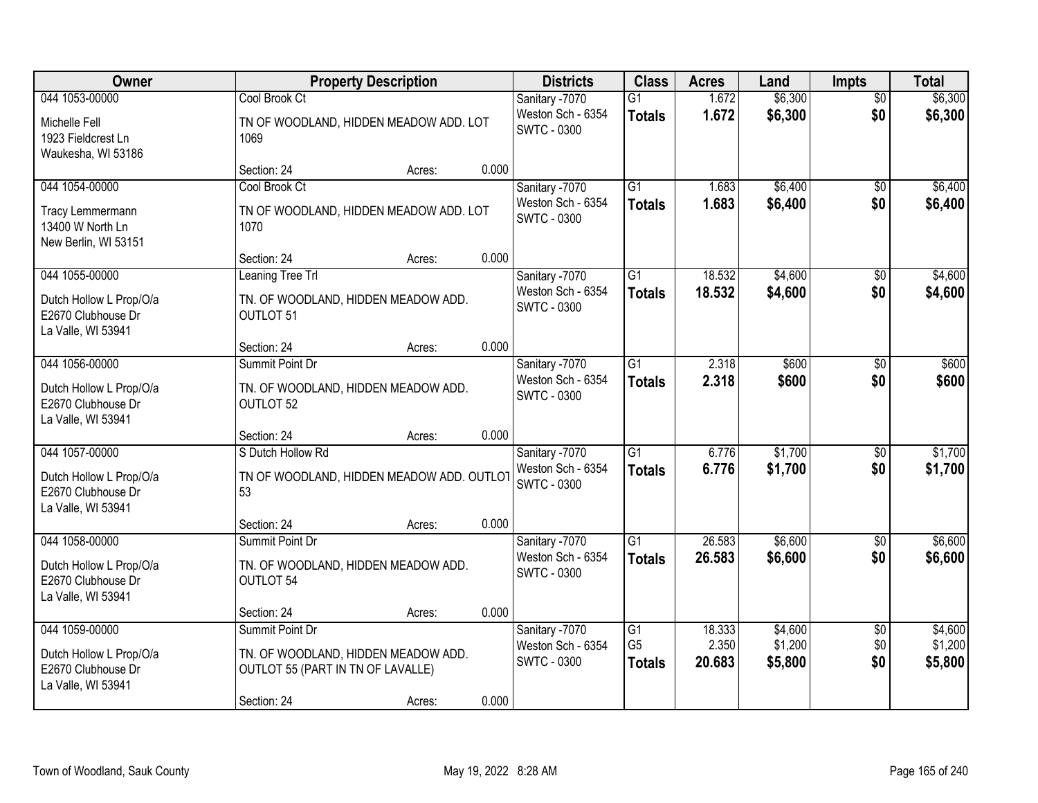| Owner                                                               | <b>Property Description</b>                                              |        |       | <b>Districts</b>                        | <b>Class</b>                    | <b>Acres</b>    | Land               | <b>Impts</b>    | <b>Total</b>       |
|---------------------------------------------------------------------|--------------------------------------------------------------------------|--------|-------|-----------------------------------------|---------------------------------|-----------------|--------------------|-----------------|--------------------|
| 044 1053-00000                                                      | Cool Brook Ct                                                            |        |       | Sanitary -7070                          | $\overline{G1}$                 | 1.672           | \$6,300            | $\overline{50}$ | \$6,300            |
| Michelle Fell<br>1923 Fieldcrest Ln<br>Waukesha, WI 53186           | TN OF WOODLAND, HIDDEN MEADOW ADD. LOT<br>1069                           |        |       | Weston Sch - 6354<br><b>SWTC - 0300</b> | <b>Totals</b>                   | 1.672           | \$6,300            | \$0             | \$6,300            |
|                                                                     | Section: 24                                                              | Acres: | 0.000 |                                         |                                 |                 |                    |                 |                    |
| 044 1054-00000                                                      | Cool Brook Ct                                                            |        |       | Sanitary -7070                          | $\overline{G1}$                 | 1.683           | \$6,400            | $\overline{50}$ | \$6,400            |
| Tracy Lemmermann<br>13400 W North Ln<br>New Berlin, WI 53151        | TN OF WOODLAND, HIDDEN MEADOW ADD. LOT<br>1070                           |        |       | Weston Sch - 6354<br><b>SWTC - 0300</b> | <b>Totals</b>                   | 1.683           | \$6,400            | \$0             | \$6,400            |
|                                                                     | Section: 24                                                              | Acres: | 0.000 |                                         |                                 |                 |                    |                 |                    |
| 044 1055-00000                                                      | <b>Leaning Tree Trl</b>                                                  |        |       | Sanitary -7070                          | $\overline{G1}$                 | 18.532          | \$4,600            | \$0             | \$4,600            |
| Dutch Hollow L Prop/O/a<br>E2670 Clubhouse Dr<br>La Valle, WI 53941 | TN. OF WOODLAND, HIDDEN MEADOW ADD.<br>OUTLOT 51                         |        |       | Weston Sch - 6354<br><b>SWTC - 0300</b> | <b>Totals</b>                   | 18.532          | \$4,600            | \$0             | \$4,600            |
|                                                                     | Section: 24                                                              | Acres: | 0.000 |                                         |                                 |                 |                    |                 |                    |
| 044 1056-00000                                                      | Summit Point Dr                                                          |        |       | Sanitary -7070                          | G1                              | 2.318           | \$600              | $\sqrt[6]{3}$   | \$600              |
| Dutch Hollow L Prop/O/a<br>E2670 Clubhouse Dr<br>La Valle, WI 53941 | TN. OF WOODLAND, HIDDEN MEADOW ADD.<br>OUTLOT 52                         |        |       | Weston Sch - 6354<br><b>SWTC - 0300</b> | <b>Totals</b>                   | 2.318           | \$600              | \$0             | \$600              |
|                                                                     | Section: 24                                                              | Acres: | 0.000 |                                         |                                 |                 |                    |                 |                    |
| 044 1057-00000                                                      | S Dutch Hollow Rd                                                        |        |       | Sanitary -7070                          | $\overline{G1}$                 | 6.776           | \$1,700            | \$0             | \$1,700            |
| Dutch Hollow L Prop/O/a<br>E2670 Clubhouse Dr<br>La Valle, WI 53941 | TN OF WOODLAND, HIDDEN MEADOW ADD. OUTLOT<br>53                          |        |       | Weston Sch - 6354<br><b>SWTC - 0300</b> | <b>Totals</b>                   | 6.776           | \$1,700            | \$0             | \$1,700            |
|                                                                     | Section: 24                                                              | Acres: | 0.000 |                                         |                                 |                 |                    |                 |                    |
| 044 1058-00000                                                      | Summit Point Dr                                                          |        |       | Sanitary -7070                          | $\overline{G1}$                 | 26.583          | \$6,600            | \$0             | \$6,600            |
| Dutch Hollow L Prop/O/a<br>E2670 Clubhouse Dr<br>La Valle, WI 53941 | TN. OF WOODLAND, HIDDEN MEADOW ADD.<br>OUTLOT 54                         |        |       | Weston Sch - 6354<br><b>SWTC - 0300</b> | <b>Totals</b>                   | 26.583          | \$6,600            | \$0             | \$6,600            |
|                                                                     | Section: 24                                                              | Acres: | 0.000 |                                         |                                 |                 |                    |                 |                    |
| 044 1059-00000                                                      | Summit Point Dr                                                          |        |       | Sanitary -7070                          | $\overline{G1}$                 | 18.333          | \$4,600            | $\overline{50}$ | \$4,600            |
| Dutch Hollow L Prop/O/a<br>E2670 Clubhouse Dr<br>La Valle, WI 53941 | TN. OF WOODLAND, HIDDEN MEADOW ADD.<br>OUTLOT 55 (PART IN TN OF LAVALLE) |        |       | Weston Sch - 6354<br><b>SWTC - 0300</b> | G <sub>5</sub><br><b>Totals</b> | 2.350<br>20.683 | \$1,200<br>\$5,800 | \$0<br>\$0      | \$1,200<br>\$5,800 |
|                                                                     | Section: 24                                                              | Acres: | 0.000 |                                         |                                 |                 |                    |                 |                    |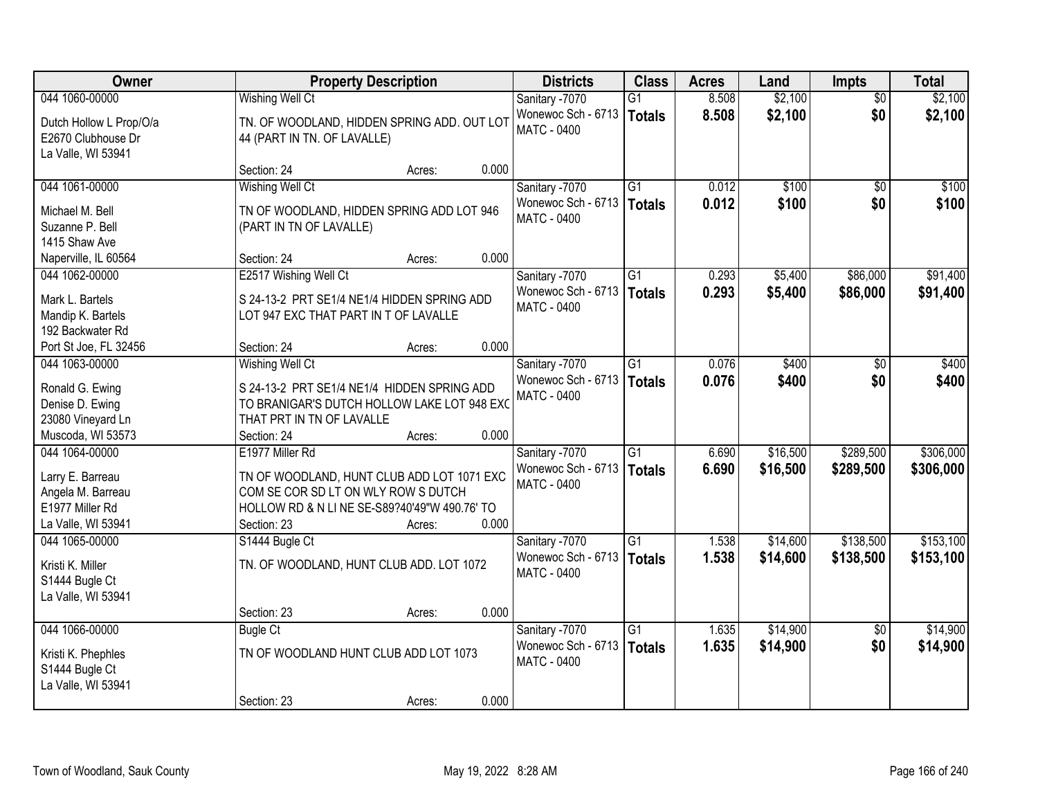| Owner                                                                                            |                                                                                                                                                                      | <b>Property Description</b>              |       |                                                            | <b>Class</b>                     | <b>Acres</b>   | Land                 | Impts                  | <b>Total</b>           |
|--------------------------------------------------------------------------------------------------|----------------------------------------------------------------------------------------------------------------------------------------------------------------------|------------------------------------------|-------|------------------------------------------------------------|----------------------------------|----------------|----------------------|------------------------|------------------------|
| 044 1060-00000                                                                                   | <b>Wishing Well Ct</b>                                                                                                                                               |                                          |       | Sanitary -7070                                             | $\overline{G1}$                  | 8.508          | \$2,100              | $\overline{50}$        | \$2,100                |
| Dutch Hollow L Prop/O/a<br>E2670 Clubhouse Dr<br>La Valle, WI 53941                              | TN. OF WOODLAND, HIDDEN SPRING ADD. OUT LOT<br>44 (PART IN TN. OF LAVALLE)                                                                                           |                                          |       | Wonewoc Sch - 6713<br><b>MATC - 0400</b>                   | <b>Totals</b>                    | 8.508          | \$2,100              | \$0                    | \$2,100                |
|                                                                                                  | Section: 24                                                                                                                                                          | Acres:                                   | 0.000 |                                                            |                                  |                |                      |                        |                        |
| 044 1061-00000                                                                                   | Wishing Well Ct                                                                                                                                                      |                                          |       | Sanitary -7070                                             | $\overline{G1}$                  | 0.012          | \$100                | $\overline{50}$        | \$100                  |
| Michael M. Bell<br>Suzanne P. Bell<br>1415 Shaw Ave                                              | TN OF WOODLAND, HIDDEN SPRING ADD LOT 946<br>(PART IN TN OF LAVALLE)                                                                                                 |                                          |       | Wonewoc Sch - 6713<br><b>MATC - 0400</b>                   | <b>Totals</b>                    | 0.012          | \$100                | \$0                    | \$100                  |
| Naperville, IL 60564                                                                             | Section: 24                                                                                                                                                          | Acres:                                   | 0.000 |                                                            |                                  |                |                      |                        |                        |
| 044 1062-00000                                                                                   | E2517 Wishing Well Ct                                                                                                                                                |                                          |       | Sanitary -7070                                             | G1                               | 0.293          | \$5,400              | \$86,000               | \$91,400               |
| Mark L. Bartels<br>Mandip K. Bartels<br>192 Backwater Rd                                         | S 24-13-2 PRT SE1/4 NE1/4 HIDDEN SPRING ADD<br>LOT 947 EXC THAT PART IN T OF LAVALLE                                                                                 |                                          |       | Wonewoc Sch - 6713<br><b>MATC - 0400</b>                   | <b>Totals</b>                    | 0.293          | \$5,400              | \$86,000               | \$91,400               |
| Port St Joe, FL 32456                                                                            | Section: 24                                                                                                                                                          | Acres:                                   | 0.000 |                                                            |                                  |                |                      |                        |                        |
| 044 1063-00000                                                                                   | Wishing Well Ct                                                                                                                                                      |                                          |       | Sanitary -7070                                             | G1                               | 0.076          | \$400                | \$0                    | \$400                  |
| Ronald G. Ewing<br>Denise D. Ewing<br>23080 Vineyard Ln                                          | S 24-13-2 PRT SE1/4 NE1/4 HIDDEN SPRING ADD<br>TO BRANIGAR'S DUTCH HOLLOW LAKE LOT 948 EXC<br>THAT PRT IN TN OF LAVALLE                                              |                                          |       | Wonewoc Sch - 6713<br><b>MATC - 0400</b>                   | <b>Totals</b>                    | 0.076          | \$400                | \$0                    | \$400                  |
| Muscoda, WI 53573                                                                                | Section: 24                                                                                                                                                          | Acres:                                   | 0.000 |                                                            |                                  |                |                      |                        |                        |
| 044 1064-00000<br>Larry E. Barreau<br>Angela M. Barreau<br>E1977 Miller Rd<br>La Valle, WI 53941 | E1977 Miller Rd<br>TN OF WOODLAND, HUNT CLUB ADD LOT 1071 EXC<br>COM SE COR SD LT ON WLY ROW S DUTCH<br>HOLLOW RD & N LI NE SE-S89?40'49"W 490.76' TO<br>Section: 23 | Acres:                                   | 0.000 | Sanitary -7070<br>Wonewoc Sch - 6713<br><b>MATC - 0400</b> | $\overline{G1}$<br><b>Totals</b> | 6.690<br>6.690 | \$16,500<br>\$16,500 | \$289,500<br>\$289,500 | \$306,000<br>\$306,000 |
| 044 1065-00000                                                                                   | S1444 Bugle Ct                                                                                                                                                       |                                          |       | Sanitary -7070                                             | $\overline{G1}$                  | 1.538          | \$14,600             | \$138,500              | \$153,100              |
| Kristi K. Miller<br>S1444 Bugle Ct<br>La Valle, WI 53941                                         |                                                                                                                                                                      | TN. OF WOODLAND, HUNT CLUB ADD. LOT 1072 |       | Wonewoc Sch - 6713<br>MATC - 0400                          | <b>Totals</b>                    | 1.538          | \$14,600             | \$138,500              | \$153,100              |
|                                                                                                  | Section: 23                                                                                                                                                          | Acres:                                   | 0.000 |                                                            |                                  |                |                      |                        |                        |
| 044 1066-00000                                                                                   | <b>Bugle Ct</b>                                                                                                                                                      |                                          |       | Sanitary -7070                                             | $\overline{G1}$                  | 1.635          | \$14,900             | $\overline{50}$        | \$14,900               |
| Kristi K. Phephles<br>S1444 Bugle Ct<br>La Valle, WI 53941                                       |                                                                                                                                                                      | TN OF WOODLAND HUNT CLUB ADD LOT 1073    |       | Wonewoc Sch - 6713<br><b>MATC - 0400</b>                   | <b>Totals</b>                    | 1.635          | \$14,900             | \$0                    | \$14,900               |
|                                                                                                  | Section: 23                                                                                                                                                          | Acres:                                   | 0.000 |                                                            |                                  |                |                      |                        |                        |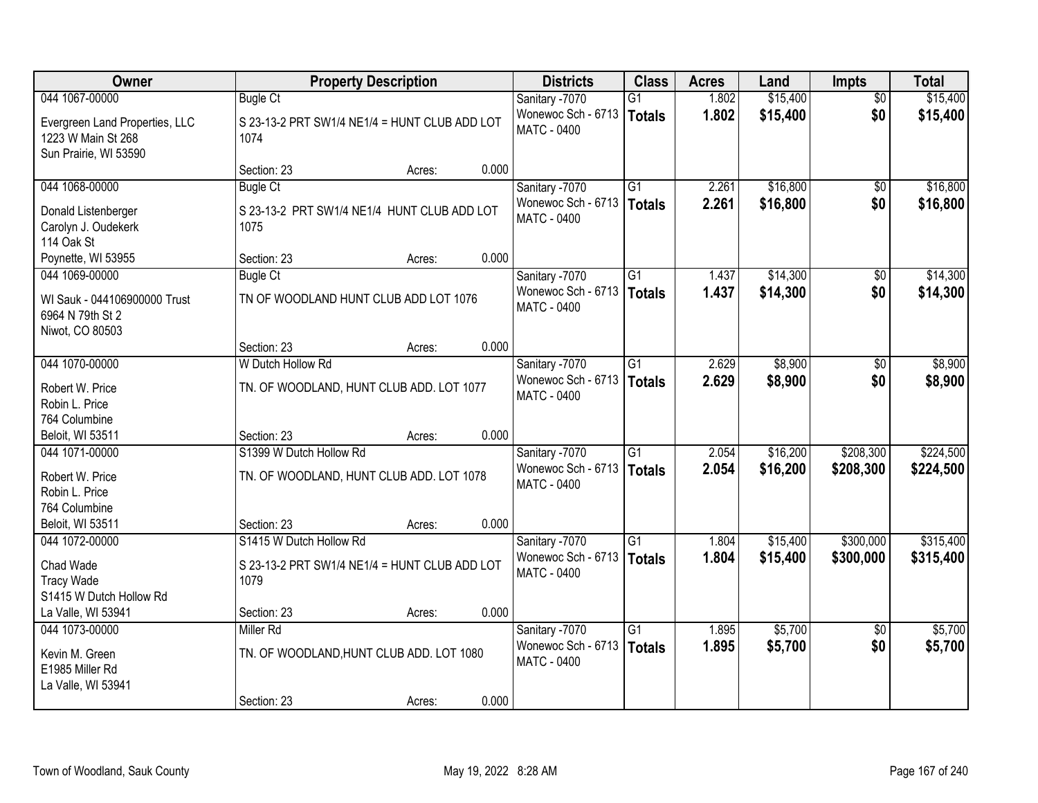| Owner                                                                         |                                                       | <b>Property Description</b> |       | <b>Districts</b>                         | <b>Class</b>    | <b>Acres</b> | Land     | <b>Impts</b>    | <b>Total</b> |
|-------------------------------------------------------------------------------|-------------------------------------------------------|-----------------------------|-------|------------------------------------------|-----------------|--------------|----------|-----------------|--------------|
| 044 1067-00000                                                                | <b>Bugle Ct</b>                                       |                             |       | Sanitary -7070                           | $\overline{G1}$ | 1.802        | \$15,400 | $\overline{50}$ | \$15,400     |
| Evergreen Land Properties, LLC<br>1223 W Main St 268<br>Sun Prairie, WI 53590 | S 23-13-2 PRT SW1/4 NE1/4 = HUNT CLUB ADD LOT<br>1074 |                             |       | Wonewoc Sch - 6713<br><b>MATC - 0400</b> | <b>Totals</b>   | 1.802        | \$15,400 | \$0             | \$15,400     |
|                                                                               | Section: 23                                           | Acres:                      | 0.000 |                                          |                 |              |          |                 |              |
| 044 1068-00000                                                                | <b>Bugle Ct</b>                                       |                             |       | Sanitary -7070                           | $\overline{G1}$ | 2.261        | \$16,800 | \$0             | \$16,800     |
| Donald Listenberger<br>Carolyn J. Oudekerk<br>114 Oak St                      | S 23-13-2 PRT SW1/4 NE1/4 HUNT CLUB ADD LOT<br>1075   |                             |       | Wonewoc Sch - 6713<br><b>MATC - 0400</b> | <b>Totals</b>   | 2.261        | \$16,800 | \$0             | \$16,800     |
| Poynette, WI 53955                                                            | Section: 23                                           | Acres:                      | 0.000 |                                          |                 |              |          |                 |              |
| 044 1069-00000                                                                | <b>Bugle Ct</b>                                       |                             |       | Sanitary -7070                           | G1              | 1.437        | \$14,300 | \$0             | \$14,300     |
| WI Sauk - 044106900000 Trust<br>6964 N 79th St 2<br>Niwot, CO 80503           | TN OF WOODLAND HUNT CLUB ADD LOT 1076                 |                             |       | Wonewoc Sch - 6713<br><b>MATC - 0400</b> | <b>Totals</b>   | 1.437        | \$14,300 | \$0             | \$14,300     |
|                                                                               | Section: 23                                           | Acres:                      | 0.000 |                                          |                 |              |          |                 |              |
| 044 1070-00000                                                                | W Dutch Hollow Rd                                     |                             |       | Sanitary -7070                           | $\overline{G1}$ | 2.629        | \$8,900  | \$0             | \$8,900      |
| Robert W. Price<br>Robin L. Price<br>764 Columbine                            | TN. OF WOODLAND, HUNT CLUB ADD. LOT 1077              |                             |       | Wonewoc Sch - 6713<br>MATC - 0400        | <b>Totals</b>   | 2.629        | \$8,900  | \$0             | \$8,900      |
| Beloit, WI 53511                                                              | Section: 23                                           | Acres:                      | 0.000 |                                          |                 |              |          |                 |              |
| 044 1071-00000                                                                | S1399 W Dutch Hollow Rd                               |                             |       | Sanitary -7070                           | $\overline{G1}$ | 2.054        | \$16,200 | \$208,300       | \$224,500    |
| Robert W. Price<br>Robin L. Price                                             | TN. OF WOODLAND, HUNT CLUB ADD. LOT 1078              |                             |       | Wonewoc Sch - 6713<br><b>MATC - 0400</b> | <b>Totals</b>   | 2.054        | \$16,200 | \$208,300       | \$224,500    |
| 764 Columbine<br>Beloit, WI 53511                                             | Section: 23                                           | Acres:                      | 0.000 |                                          |                 |              |          |                 |              |
| 044 1072-00000                                                                | S1415 W Dutch Hollow Rd                               |                             |       | Sanitary -7070                           | G1              | 1.804        | \$15,400 | \$300,000       | \$315,400    |
| Chad Wade<br><b>Tracy Wade</b><br>S1415 W Dutch Hollow Rd                     | S 23-13-2 PRT SW1/4 NE1/4 = HUNT CLUB ADD LOT<br>1079 |                             |       | Wonewoc Sch - 6713<br>MATC - 0400        | <b>Totals</b>   | 1.804        | \$15,400 | \$300,000       | \$315,400    |
| La Valle, WI 53941                                                            | Section: 23                                           | Acres:                      | 0.000 |                                          |                 |              |          |                 |              |
| 044 1073-00000                                                                | Miller Rd                                             |                             |       | Sanitary -7070                           | $\overline{G1}$ | 1.895        | \$5,700  | $\overline{50}$ | \$5,700      |
| Kevin M. Green<br>E1985 Miller Rd<br>La Valle, WI 53941                       | TN. OF WOODLAND, HUNT CLUB ADD. LOT 1080              |                             |       | Wonewoc Sch - 6713<br><b>MATC - 0400</b> | <b>Totals</b>   | 1.895        | \$5,700  | \$0             | \$5,700      |
|                                                                               | Section: 23                                           | Acres:                      | 0.000 |                                          |                 |              |          |                 |              |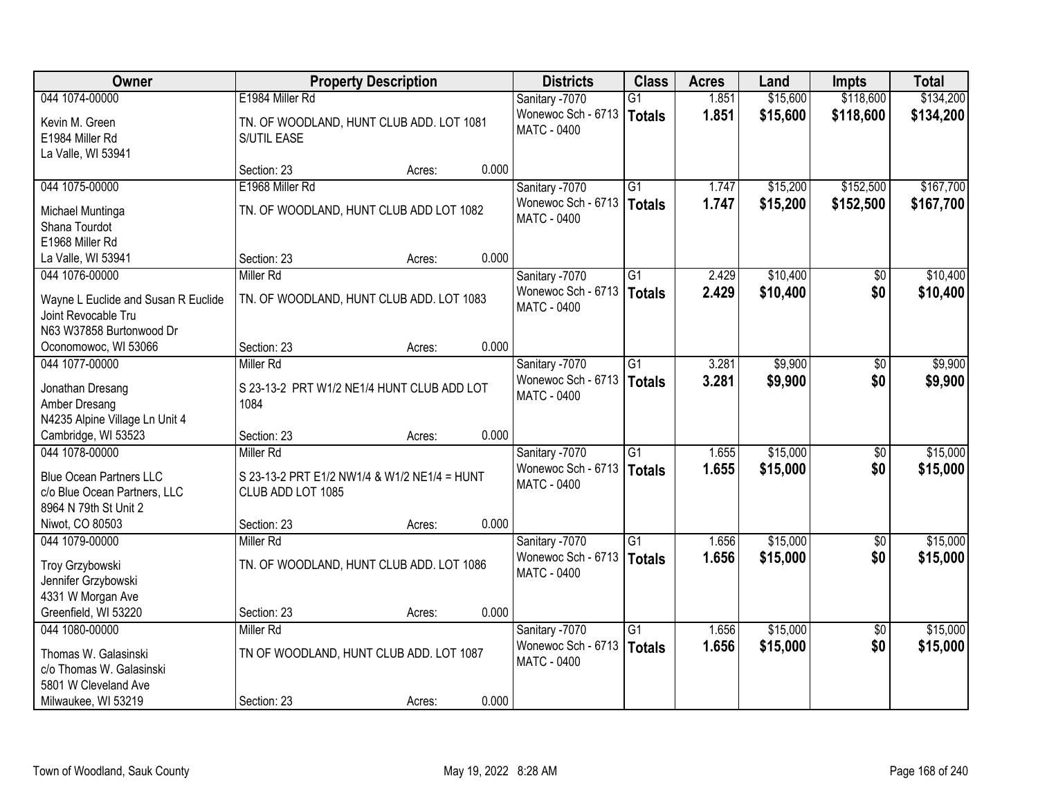| Owner                                                                                                     | <b>Property Description</b>                                                    | <b>Districts</b>                                           | <b>Class</b>                     | <b>Acres</b>   | Land                 | <b>Impts</b>    | <b>Total</b>         |
|-----------------------------------------------------------------------------------------------------------|--------------------------------------------------------------------------------|------------------------------------------------------------|----------------------------------|----------------|----------------------|-----------------|----------------------|
| 044 1074-00000                                                                                            | E1984 Miller Rd                                                                | Sanitary -7070                                             | $\overline{G1}$                  | 1.851          | \$15,600             | \$118,600       | \$134,200            |
| Kevin M. Green<br>E1984 Miller Rd<br>La Valle, WI 53941                                                   | TN. OF WOODLAND, HUNT CLUB ADD. LOT 1081<br>S/UTIL EASE                        | Wonewoc Sch - 6713<br><b>MATC - 0400</b>                   | <b>Totals</b>                    | 1.851          | \$15,600             | \$118,600       | \$134,200            |
|                                                                                                           | 0.000<br>Section: 23<br>Acres:                                                 |                                                            |                                  |                |                      |                 |                      |
| 044 1075-00000                                                                                            | E1968 Miller Rd                                                                | Sanitary -7070                                             | $\overline{G1}$                  | 1.747          | \$15,200             | \$152,500       | \$167,700            |
| Michael Muntinga<br>Shana Tourdot<br>E1968 Miller Rd                                                      | TN. OF WOODLAND, HUNT CLUB ADD LOT 1082                                        | Wonewoc Sch - 6713<br><b>MATC - 0400</b>                   | <b>Totals</b>                    | 1.747          | \$15,200             | \$152,500       | \$167,700            |
| La Valle, WI 53941                                                                                        | 0.000<br>Section: 23<br>Acres:                                                 |                                                            |                                  |                |                      |                 |                      |
| 044 1076-00000                                                                                            | Miller Rd                                                                      | Sanitary -7070                                             | G1                               | 2.429          | \$10,400             | \$0             | \$10,400             |
| Wayne L Euclide and Susan R Euclide<br>Joint Revocable Tru<br>N63 W37858 Burtonwood Dr                    | TN. OF WOODLAND, HUNT CLUB ADD. LOT 1083                                       | Wonewoc Sch - 6713<br>MATC - 0400                          | <b>Totals</b>                    | 2.429          | \$10,400             | \$0             | \$10,400             |
| Oconomowoc, WI 53066                                                                                      | Section: 23<br>0.000<br>Acres:                                                 |                                                            |                                  |                |                      |                 |                      |
| 044 1077-00000                                                                                            | Miller Rd                                                                      | Sanitary -7070                                             | $\overline{G1}$                  | 3.281          | \$9,900              | \$0             | \$9,900              |
| Jonathan Dresang<br>Amber Dresang<br>N4235 Alpine Village Ln Unit 4                                       | S 23-13-2 PRT W1/2 NE1/4 HUNT CLUB ADD LOT<br>1084                             | Wonewoc Sch - 6713<br>MATC - 0400                          | <b>Totals</b>                    | 3.281          | \$9,900              | \$0             | \$9,900              |
| Cambridge, WI 53523                                                                                       | 0.000<br>Section: 23<br>Acres:                                                 |                                                            |                                  |                |                      |                 |                      |
| 044 1078-00000<br><b>Blue Ocean Partners LLC</b><br>c/o Blue Ocean Partners, LLC<br>8964 N 79th St Unit 2 | Miller Rd<br>S 23-13-2 PRT E1/2 NW1/4 & W1/2 NE1/4 = HUNT<br>CLUB ADD LOT 1085 | Sanitary -7070<br>Wonewoc Sch - 6713<br><b>MATC - 0400</b> | $\overline{G1}$<br><b>Totals</b> | 1.655<br>1.655 | \$15,000<br>\$15,000 | \$0<br>\$0      | \$15,000<br>\$15,000 |
| Niwot, CO 80503                                                                                           | 0.000<br>Section: 23<br>Acres:                                                 |                                                            |                                  |                |                      |                 |                      |
| 044 1079-00000                                                                                            | Miller Rd                                                                      | Sanitary -7070                                             | G1                               | 1.656          | \$15,000             | $\sqrt{6}$      | \$15,000             |
| Troy Grzybowski<br>Jennifer Grzybowski<br>4331 W Morgan Ave                                               | TN. OF WOODLAND, HUNT CLUB ADD. LOT 1086                                       | Wonewoc Sch - 6713<br>MATC - 0400                          | <b>Totals</b>                    | 1.656          | \$15,000             | \$0             | \$15,000             |
| Greenfield, WI 53220                                                                                      | 0.000<br>Section: 23<br>Acres:                                                 |                                                            |                                  |                |                      |                 |                      |
| 044 1080-00000                                                                                            | Miller Rd                                                                      | Sanitary -7070                                             | $\overline{G1}$                  | 1.656          | \$15,000             | $\overline{50}$ | \$15,000             |
| Thomas W. Galasinski<br>c/o Thomas W. Galasinski<br>5801 W Cleveland Ave                                  | TN OF WOODLAND, HUNT CLUB ADD. LOT 1087                                        | Wonewoc Sch - 6713<br><b>MATC - 0400</b>                   | <b>Totals</b>                    | 1.656          | \$15,000             | \$0             | \$15,000             |
| Milwaukee, WI 53219                                                                                       | 0.000<br>Section: 23<br>Acres:                                                 |                                                            |                                  |                |                      |                 |                      |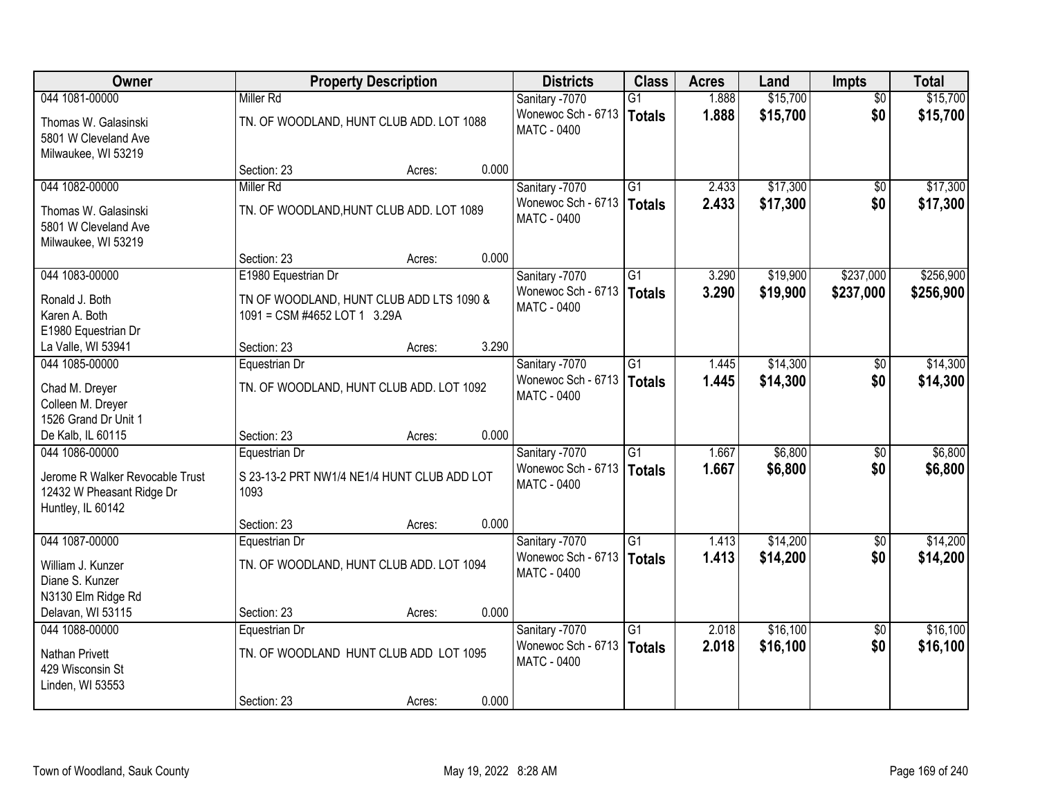| Owner                                                                             |                                                                          | <b>Property Description</b> |       | <b>Districts</b>                                  | <b>Class</b>    | <b>Acres</b> | Land     | <b>Impts</b>    | <b>Total</b> |
|-----------------------------------------------------------------------------------|--------------------------------------------------------------------------|-----------------------------|-------|---------------------------------------------------|-----------------|--------------|----------|-----------------|--------------|
| 044 1081-00000                                                                    | <b>Miller Rd</b>                                                         |                             |       | Sanitary -7070                                    | G1              | 1.888        | \$15,700 | $\overline{50}$ | \$15,700     |
| Thomas W. Galasinski<br>5801 W Cleveland Ave<br>Milwaukee, WI 53219               | TN. OF WOODLAND, HUNT CLUB ADD. LOT 1088                                 |                             |       | Wonewoc Sch - 6713<br>MATC - 0400                 | <b>Totals</b>   | 1.888        | \$15,700 | \$0             | \$15,700     |
|                                                                                   | Section: 23                                                              | Acres:                      | 0.000 |                                                   |                 |              |          |                 |              |
| 044 1082-00000                                                                    | Miller Rd                                                                |                             |       | Sanitary -7070                                    | $\overline{G1}$ | 2.433        | \$17,300 | \$0             | \$17,300     |
| Thomas W. Galasinski<br>5801 W Cleveland Ave<br>Milwaukee, WI 53219               | TN. OF WOODLAND, HUNT CLUB ADD. LOT 1089                                 |                             |       | Wonewoc Sch - 6713<br><b>MATC - 0400</b>          | Totals          | 2.433        | \$17,300 | \$0             | \$17,300     |
|                                                                                   | Section: 23                                                              | Acres:                      | 0.000 |                                                   |                 |              |          |                 |              |
| 044 1083-00000                                                                    | E1980 Equestrian Dr                                                      |                             |       | Sanitary -7070                                    | G1              | 3.290        | \$19,900 | \$237,000       | \$256,900    |
| Ronald J. Both<br>Karen A. Both<br>E1980 Equestrian Dr                            | TN OF WOODLAND, HUNT CLUB ADD LTS 1090 &<br>1091 = CSM #4652 LOT 1 3.29A |                             |       | Wonewoc Sch - 6713<br>MATC - 0400                 | Totals          | 3.290        | \$19,900 | \$237,000       | \$256,900    |
| La Valle, WI 53941                                                                | Section: 23                                                              | Acres:                      | 3.290 |                                                   |                 |              |          |                 |              |
| 044 1085-00000                                                                    | Equestrian Dr                                                            |                             |       | Sanitary -7070                                    | $\overline{G1}$ | 1.445        | \$14,300 | \$0             | \$14,300     |
| Chad M. Dreyer<br>Colleen M. Dreyer<br>1526 Grand Dr Unit 1                       | TN. OF WOODLAND, HUNT CLUB ADD. LOT 1092                                 |                             |       | Wonewoc Sch - 6713<br>MATC - 0400                 | <b>Totals</b>   | 1.445        | \$14,300 | \$0             | \$14,300     |
| De Kalb, IL 60115                                                                 | Section: 23                                                              | Acres:                      | 0.000 |                                                   |                 |              |          |                 |              |
| 044 1086-00000                                                                    | Equestrian Dr                                                            |                             |       | Sanitary -7070                                    | $\overline{G1}$ | 1.667        | \$6,800  | \$0             | \$6,800      |
| Jerome R Walker Revocable Trust<br>12432 W Pheasant Ridge Dr<br>Huntley, IL 60142 | S 23-13-2 PRT NW1/4 NE1/4 HUNT CLUB ADD LOT<br>1093                      |                             |       | Wonewoc Sch - 6713   Totals<br>MATC - 0400        |                 | 1.667        | \$6,800  | \$0             | \$6,800      |
|                                                                                   | Section: 23                                                              | Acres:                      | 0.000 |                                                   |                 |              |          |                 |              |
| 044 1087-00000                                                                    | Equestrian Dr                                                            |                             |       | Sanitary -7070                                    | G1              | 1.413        | \$14,200 | $\sqrt{6}$      | \$14,200     |
| William J. Kunzer<br>Diane S. Kunzer<br>N3130 Elm Ridge Rd                        | TN. OF WOODLAND, HUNT CLUB ADD. LOT 1094                                 |                             |       | Wonewoc Sch - 6713<br><b>MATC - 0400</b>          | <b>Totals</b>   | 1.413        | \$14,200 | \$0             | \$14,200     |
| Delavan, WI 53115                                                                 | Section: 23                                                              | Acres:                      | 0.000 |                                                   |                 |              |          |                 |              |
| 044 1088-00000                                                                    | Equestrian Dr                                                            |                             |       | Sanitary -7070                                    | $\overline{G1}$ | 2.018        | \$16,100 | $\overline{50}$ | \$16,100     |
| Nathan Privett<br>429 Wisconsin St<br>Linden, WI 53553                            | TN. OF WOODLAND HUNT CLUB ADD LOT 1095                                   |                             |       | Wonewoc Sch - 6713   Totals<br><b>MATC - 0400</b> |                 | 2.018        | \$16,100 | \$0             | \$16,100     |
|                                                                                   | Section: 23                                                              | Acres:                      | 0.000 |                                                   |                 |              |          |                 |              |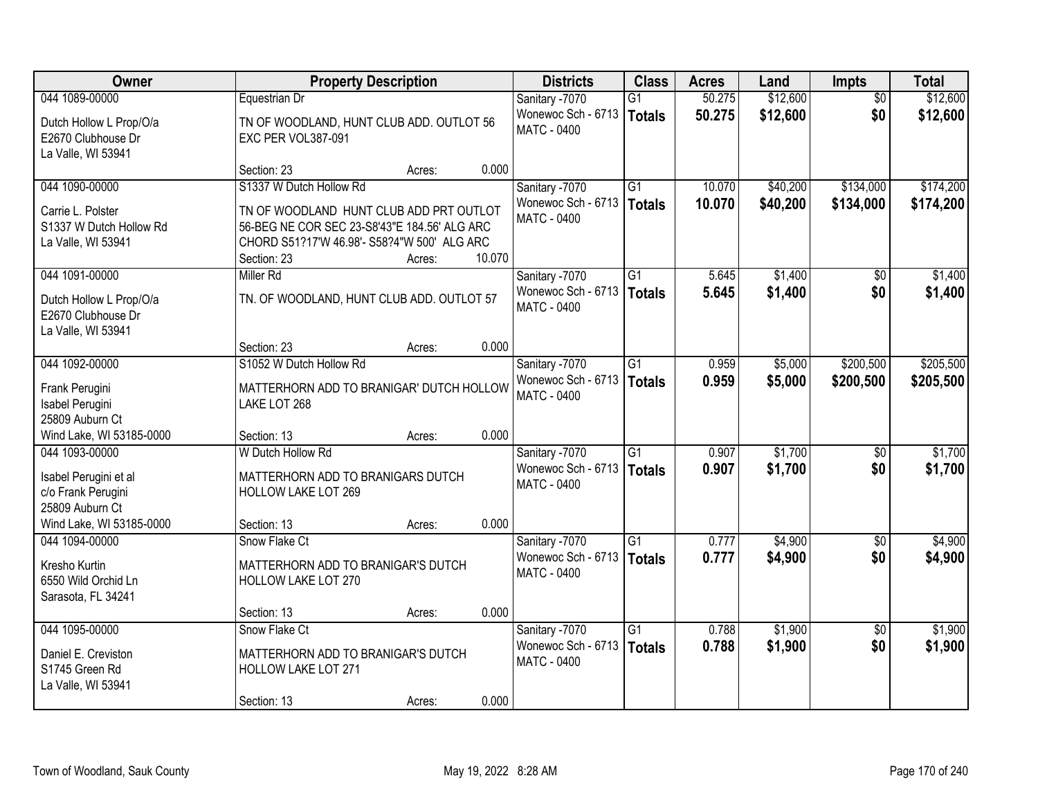| Owner                                                                            |                                                                                                                                                       | <b>Property Description</b> |        | <b>Districts</b>                                    | <b>Class</b>                     | <b>Acres</b>   | Land               | <b>Impts</b>           | <b>Total</b>       |
|----------------------------------------------------------------------------------|-------------------------------------------------------------------------------------------------------------------------------------------------------|-----------------------------|--------|-----------------------------------------------------|----------------------------------|----------------|--------------------|------------------------|--------------------|
| 044 1089-00000                                                                   | Equestrian Dr                                                                                                                                         |                             |        | Sanitary -7070                                      | G1                               | 50.275         | \$12,600           | $\overline{30}$        | \$12,600           |
| Dutch Hollow L Prop/O/a<br>E2670 Clubhouse Dr<br>La Valle, WI 53941              | TN OF WOODLAND, HUNT CLUB ADD. OUTLOT 56<br>EXC PER VOL387-091                                                                                        |                             |        | Wonewoc Sch - 6713<br><b>MATC - 0400</b>            | <b>Totals</b>                    | 50.275         | \$12,600           | \$0                    | \$12,600           |
|                                                                                  | Section: 23                                                                                                                                           | Acres:                      | 0.000  |                                                     |                                  |                |                    |                        |                    |
| 044 1090-00000                                                                   | S1337 W Dutch Hollow Rd                                                                                                                               |                             |        | Sanitary -7070                                      | $\overline{G1}$                  | 10.070         | \$40,200           | \$134,000              | \$174,200          |
| Carrie L. Polster<br>S1337 W Dutch Hollow Rd<br>La Valle, WI 53941               | TN OF WOODLAND HUNT CLUB ADD PRT OUTLOT<br>56-BEG NE COR SEC 23-S8'43"E 184.56' ALG ARC<br>CHORD S51?17'W 46.98'- S58?4"W 500' ALG ARC<br>Section: 23 | Acres:                      | 10.070 | Wonewoc Sch - 6713   Totals<br><b>MATC - 0400</b>   |                                  | 10.070         | \$40,200           | \$134,000              | \$174,200          |
| 044 1091-00000                                                                   | <b>Miller Rd</b>                                                                                                                                      |                             |        | Sanitary -7070                                      | G1                               | 5.645          | \$1,400            | $\sqrt{6}$             | \$1,400            |
| Dutch Hollow L Prop/O/a<br>E2670 Clubhouse Dr<br>La Valle, WI 53941              | TN. OF WOODLAND, HUNT CLUB ADD. OUTLOT 57                                                                                                             |                             |        | Wonewoc Sch - 6713<br><b>MATC - 0400</b>            | <b>Totals</b>                    | 5.645          | \$1,400            | \$0                    | \$1,400            |
|                                                                                  | Section: 23                                                                                                                                           | Acres:                      | 0.000  |                                                     |                                  |                |                    |                        |                    |
| 044 1092-00000                                                                   | S1052 W Dutch Hollow Rd                                                                                                                               |                             |        | Sanitary -7070                                      | $\overline{G1}$                  | 0.959          | \$5,000            | \$200,500              | \$205,500          |
| Frank Perugini<br>Isabel Perugini<br>25809 Auburn Ct                             | MATTERHORN ADD TO BRANIGAR' DUTCH HOLLOW<br>LAKE LOT 268                                                                                              |                             |        | Wonewoc Sch - 6713<br><b>MATC - 0400</b>            | <b>Totals</b>                    | 0.959          | \$5,000            | \$200,500              | \$205,500          |
| Wind Lake, WI 53185-0000                                                         | Section: 13                                                                                                                                           | Acres:                      | 0.000  |                                                     |                                  |                |                    |                        |                    |
| 044 1093-00000<br>Isabel Perugini et al<br>c/o Frank Perugini<br>25809 Auburn Ct | W Dutch Hollow Rd<br>MATTERHORN ADD TO BRANIGARS DUTCH<br><b>HOLLOW LAKE LOT 269</b>                                                                  |                             |        | Sanitary -7070<br>Wonewoc Sch - 6713<br>MATC - 0400 | $\overline{G1}$<br><b>Totals</b> | 0.907<br>0.907 | \$1,700<br>\$1,700 | $\overline{50}$<br>\$0 | \$1,700<br>\$1,700 |
| Wind Lake, WI 53185-0000<br>044 1094-00000                                       | Section: 13<br>Snow Flake Ct                                                                                                                          | Acres:                      | 0.000  | Sanitary -7070                                      | $\overline{G1}$                  | 0.777          | \$4,900            | $\overline{50}$        | \$4,900            |
| Kresho Kurtin<br>6550 Wild Orchid Ln<br>Sarasota, FL 34241                       | MATTERHORN ADD TO BRANIGAR'S DUTCH<br>HOLLOW LAKE LOT 270                                                                                             |                             |        | Wonewoc Sch - 6713<br><b>MATC - 0400</b>            | <b>Totals</b>                    | 0.777          | \$4,900            | \$0                    | \$4,900            |
|                                                                                  | Section: 13                                                                                                                                           | Acres:                      | 0.000  |                                                     |                                  |                |                    |                        |                    |
| 044 1095-00000<br>Daniel E. Creviston<br>S1745 Green Rd<br>La Valle, WI 53941    | Snow Flake Ct<br>MATTERHORN ADD TO BRANIGAR'S DUTCH<br>HOLLOW LAKE LOT 271<br>Section: 13                                                             | Acres:                      | 0.000  | Sanitary -7070<br>Wonewoc Sch - 6713<br>MATC - 0400 | $\overline{G1}$<br>Totals        | 0.788<br>0.788 | \$1,900<br>\$1,900 | $\overline{50}$<br>\$0 | \$1,900<br>\$1,900 |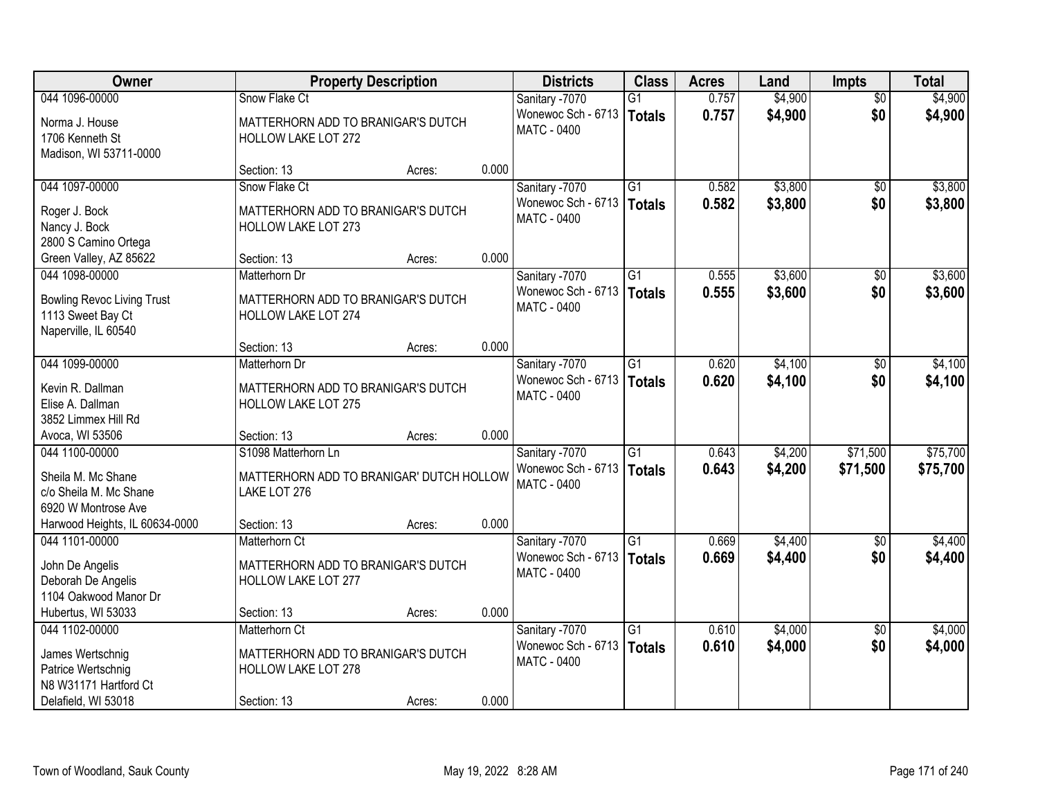| <b>Owner</b>                                           |                                          | <b>Property Description</b> |       | <b>Districts</b>   | <b>Class</b>    | <b>Acres</b> | Land    | <b>Impts</b>    | <b>Total</b> |
|--------------------------------------------------------|------------------------------------------|-----------------------------|-------|--------------------|-----------------|--------------|---------|-----------------|--------------|
| 044 1096-00000                                         | Snow Flake Ct                            |                             |       | Sanitary -7070     | $\overline{G1}$ | 0.757        | \$4,900 | $\overline{50}$ | \$4,900      |
| Norma J. House                                         | MATTERHORN ADD TO BRANIGAR'S DUTCH       |                             |       | Wonewoc Sch - 6713 | Totals          | 0.757        | \$4,900 | \$0             | \$4,900      |
| 1706 Kenneth St                                        | <b>HOLLOW LAKE LOT 272</b>               |                             |       | <b>MATC - 0400</b> |                 |              |         |                 |              |
| Madison, WI 53711-0000                                 |                                          |                             |       |                    |                 |              |         |                 |              |
|                                                        | Section: 13                              | Acres:                      | 0.000 |                    |                 |              |         |                 |              |
| 044 1097-00000                                         | Snow Flake Ct                            |                             |       | Sanitary -7070     | $\overline{G1}$ | 0.582        | \$3,800 | \$0             | \$3,800      |
| Roger J. Bock                                          | MATTERHORN ADD TO BRANIGAR'S DUTCH       |                             |       | Wonewoc Sch - 6713 | Totals          | 0.582        | \$3,800 | \$0             | \$3,800      |
| Nancy J. Bock                                          | <b>HOLLOW LAKE LOT 273</b>               |                             |       | MATC - 0400        |                 |              |         |                 |              |
| 2800 S Camino Ortega                                   |                                          |                             |       |                    |                 |              |         |                 |              |
| Green Valley, AZ 85622                                 | Section: 13                              | Acres:                      | 0.000 |                    |                 |              |         |                 |              |
| 044 1098-00000                                         | Matterhorn Dr                            |                             |       | Sanitary -7070     | G1              | 0.555        | \$3,600 | \$0             | \$3,600      |
|                                                        | MATTERHORN ADD TO BRANIGAR'S DUTCH       |                             |       | Wonewoc Sch - 6713 | <b>Totals</b>   | 0.555        | \$3,600 | \$0             | \$3,600      |
| <b>Bowling Revoc Living Trust</b><br>1113 Sweet Bay Ct | <b>HOLLOW LAKE LOT 274</b>               |                             |       | MATC - 0400        |                 |              |         |                 |              |
| Naperville, IL 60540                                   |                                          |                             |       |                    |                 |              |         |                 |              |
|                                                        | Section: 13                              | Acres:                      | 0.000 |                    |                 |              |         |                 |              |
| 044 1099-00000                                         | Matterhorn Dr                            |                             |       | Sanitary -7070     | G1              | 0.620        | \$4,100 | $\sqrt[6]{}$    | \$4,100      |
|                                                        |                                          |                             |       | Wonewoc Sch - 6713 | <b>Totals</b>   | 0.620        | \$4,100 | \$0             | \$4,100      |
| Kevin R. Dallman<br>Elise A. Dallman                   | MATTERHORN ADD TO BRANIGAR'S DUTCH       |                             |       | <b>MATC - 0400</b> |                 |              |         |                 |              |
| 3852 Limmex Hill Rd                                    | <b>HOLLOW LAKE LOT 275</b>               |                             |       |                    |                 |              |         |                 |              |
| Avoca, WI 53506                                        | Section: 13                              | Acres:                      | 0.000 |                    |                 |              |         |                 |              |
| 044 1100-00000                                         | S1098 Matterhorn Ln                      |                             |       | Sanitary -7070     | $\overline{G1}$ | 0.643        | \$4,200 | \$71,500        | \$75,700     |
|                                                        |                                          |                             |       | Wonewoc Sch - 6713 | Totals          | 0.643        | \$4,200 | \$71,500        | \$75,700     |
| Sheila M. Mc Shane                                     | MATTERHORN ADD TO BRANIGAR' DUTCH HOLLOW |                             |       | MATC - 0400        |                 |              |         |                 |              |
| c/o Sheila M. Mc Shane                                 | LAKE LOT 276                             |                             |       |                    |                 |              |         |                 |              |
| 6920 W Montrose Ave                                    |                                          |                             |       |                    |                 |              |         |                 |              |
| Harwood Heights, IL 60634-0000                         | Section: 13                              | Acres:                      | 0.000 |                    |                 |              |         |                 |              |
| 044 1101-00000                                         | Matterhorn Ct                            |                             |       | Sanitary -7070     | $\overline{G1}$ | 0.669        | \$4,400 | $\overline{30}$ | \$4,400      |
| John De Angelis                                        | MATTERHORN ADD TO BRANIGAR'S DUTCH       |                             |       | Wonewoc Sch - 6713 | <b>Totals</b>   | 0.669        | \$4,400 | \$0             | \$4,400      |
| Deborah De Angelis                                     | HOLLOW LAKE LOT 277                      |                             |       | MATC - 0400        |                 |              |         |                 |              |
| 1104 Oakwood Manor Dr                                  |                                          |                             |       |                    |                 |              |         |                 |              |
| Hubertus, WI 53033                                     | Section: 13                              | Acres:                      | 0.000 |                    |                 |              |         |                 |              |
| 044 1102-00000                                         | Matterhorn Ct                            |                             |       | Sanitary -7070     | $\overline{G1}$ | 0.610        | \$4,000 | $\overline{50}$ | \$4,000      |
| James Wertschnig                                       | MATTERHORN ADD TO BRANIGAR'S DUTCH       |                             |       | Wonewoc Sch - 6713 | Totals          | 0.610        | \$4,000 | \$0             | \$4,000      |
| Patrice Wertschnig                                     | HOLLOW LAKE LOT 278                      |                             |       | <b>MATC - 0400</b> |                 |              |         |                 |              |
| N8 W31171 Hartford Ct                                  |                                          |                             |       |                    |                 |              |         |                 |              |
| Delafield, WI 53018                                    | Section: 13                              | Acres:                      | 0.000 |                    |                 |              |         |                 |              |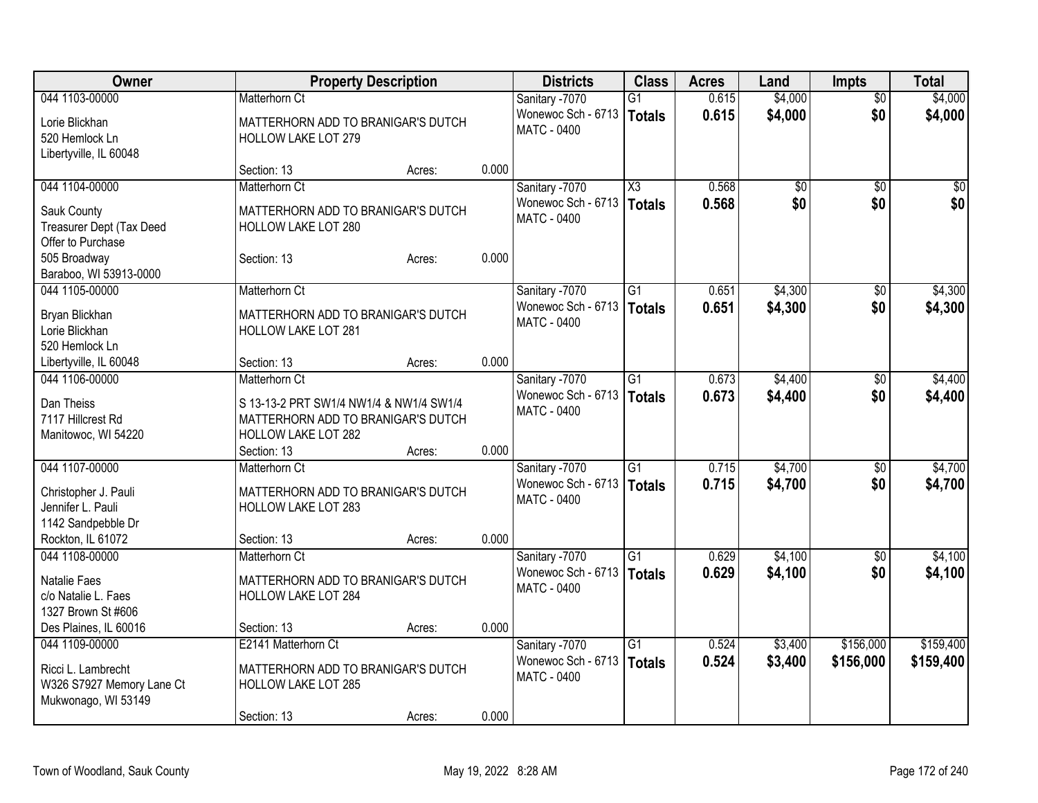| Owner                            |                                         | <b>Property Description</b> |       | <b>Districts</b>   | <b>Class</b>           | <b>Acres</b> | Land    | Impts           | <b>Total</b> |
|----------------------------------|-----------------------------------------|-----------------------------|-------|--------------------|------------------------|--------------|---------|-----------------|--------------|
| 044 1103-00000                   | Matterhorn Ct                           |                             |       | Sanitary -7070     | $\overline{G1}$        | 0.615        | \$4,000 | $\overline{50}$ | \$4,000      |
| Lorie Blickhan                   | MATTERHORN ADD TO BRANIGAR'S DUTCH      |                             |       | Wonewoc Sch - 6713 | <b>Totals</b>          | 0.615        | \$4,000 | \$0             | \$4,000      |
| 520 Hemlock Ln                   | <b>HOLLOW LAKE LOT 279</b>              |                             |       | <b>MATC - 0400</b> |                        |              |         |                 |              |
| Libertyville, IL 60048           |                                         |                             |       |                    |                        |              |         |                 |              |
|                                  | Section: 13                             | Acres:                      | 0.000 |                    |                        |              |         |                 |              |
| 044 1104-00000                   | Matterhorn Ct                           |                             |       | Sanitary -7070     | $\overline{\text{X3}}$ | 0.568        | \$0     | $\sqrt{50}$     | $\sqrt{50}$  |
| Sauk County                      | MATTERHORN ADD TO BRANIGAR'S DUTCH      |                             |       | Wonewoc Sch - 6713 | Totals                 | 0.568        | \$0     | \$0             | \$0          |
| Treasurer Dept (Tax Deed         | HOLLOW LAKE LOT 280                     |                             |       | <b>MATC - 0400</b> |                        |              |         |                 |              |
| Offer to Purchase                |                                         |                             |       |                    |                        |              |         |                 |              |
| 505 Broadway                     | Section: 13                             | Acres:                      | 0.000 |                    |                        |              |         |                 |              |
| Baraboo, WI 53913-0000           |                                         |                             |       |                    |                        |              |         |                 |              |
| 044 1105-00000                   | Matterhorn Ct                           |                             |       | Sanitary -7070     | $\overline{G1}$        | 0.651        | \$4,300 | $\sqrt{50}$     | \$4,300      |
|                                  |                                         |                             |       | Wonewoc Sch - 6713 | Totals                 | 0.651        | \$4,300 | \$0             | \$4,300      |
| Bryan Blickhan                   | MATTERHORN ADD TO BRANIGAR'S DUTCH      |                             |       | <b>MATC - 0400</b> |                        |              |         |                 |              |
| Lorie Blickhan<br>520 Hemlock Ln | <b>HOLLOW LAKE LOT 281</b>              |                             |       |                    |                        |              |         |                 |              |
| Libertyville, IL 60048           | Section: 13                             | Acres:                      | 0.000 |                    |                        |              |         |                 |              |
| 044 1106-00000                   | Matterhorn Ct                           |                             |       | Sanitary -7070     | G1                     | 0.673        | \$4,400 | \$0             | \$4,400      |
|                                  |                                         |                             |       | Wonewoc Sch - 6713 |                        | 0.673        | \$4,400 | \$0             | \$4,400      |
| Dan Theiss                       | S 13-13-2 PRT SW1/4 NW1/4 & NW1/4 SW1/4 |                             |       | <b>MATC - 0400</b> | Totals                 |              |         |                 |              |
| 7117 Hillcrest Rd                | MATTERHORN ADD TO BRANIGAR'S DUTCH      |                             |       |                    |                        |              |         |                 |              |
| Manitowoc, WI 54220              | <b>HOLLOW LAKE LOT 282</b>              |                             |       |                    |                        |              |         |                 |              |
|                                  | Section: 13                             | Acres:                      | 0.000 |                    |                        |              |         |                 |              |
| 044 1107-00000                   | Matterhorn Ct                           |                             |       | Sanitary -7070     | $\overline{G1}$        | 0.715        | \$4,700 | $\sqrt[6]{}$    | \$4,700      |
| Christopher J. Pauli             | MATTERHORN ADD TO BRANIGAR'S DUTCH      |                             |       | Wonewoc Sch - 6713 | Totals                 | 0.715        | \$4,700 | \$0             | \$4,700      |
| Jennifer L. Pauli                | <b>HOLLOW LAKE LOT 283</b>              |                             |       | <b>MATC - 0400</b> |                        |              |         |                 |              |
| 1142 Sandpebble Dr               |                                         |                             |       |                    |                        |              |         |                 |              |
| Rockton, IL 61072                | Section: 13                             | Acres:                      | 0.000 |                    |                        |              |         |                 |              |
| 044 1108-00000                   | Matterhorn Ct                           |                             |       | Sanitary -7070     | $\overline{G1}$        | 0.629        | \$4,100 | $\overline{50}$ | \$4,100      |
| Natalie Faes                     | MATTERHORN ADD TO BRANIGAR'S DUTCH      |                             |       | Wonewoc Sch - 6713 | Totals                 | 0.629        | \$4,100 | \$0             | \$4,100      |
| c/o Natalie L. Faes              | <b>HOLLOW LAKE LOT 284</b>              |                             |       | MATC - 0400        |                        |              |         |                 |              |
| 1327 Brown St #606               |                                         |                             |       |                    |                        |              |         |                 |              |
| Des Plaines, IL 60016            | Section: 13                             | Acres:                      | 0.000 |                    |                        |              |         |                 |              |
| 044 1109-00000                   | E2141 Matterhorn Ct                     |                             |       | Sanitary -7070     | $\overline{G1}$        | 0.524        | \$3,400 | \$156,000       | \$159,400    |
|                                  |                                         |                             |       | Wonewoc Sch - 6713 | Totals                 | 0.524        | \$3,400 | \$156,000       | \$159,400    |
| Ricci L. Lambrecht               | MATTERHORN ADD TO BRANIGAR'S DUTCH      |                             |       | <b>MATC - 0400</b> |                        |              |         |                 |              |
| W326 S7927 Memory Lane Ct        | <b>HOLLOW LAKE LOT 285</b>              |                             |       |                    |                        |              |         |                 |              |
| Mukwonago, WI 53149              | Section: 13                             |                             | 0.000 |                    |                        |              |         |                 |              |
|                                  |                                         | Acres:                      |       |                    |                        |              |         |                 |              |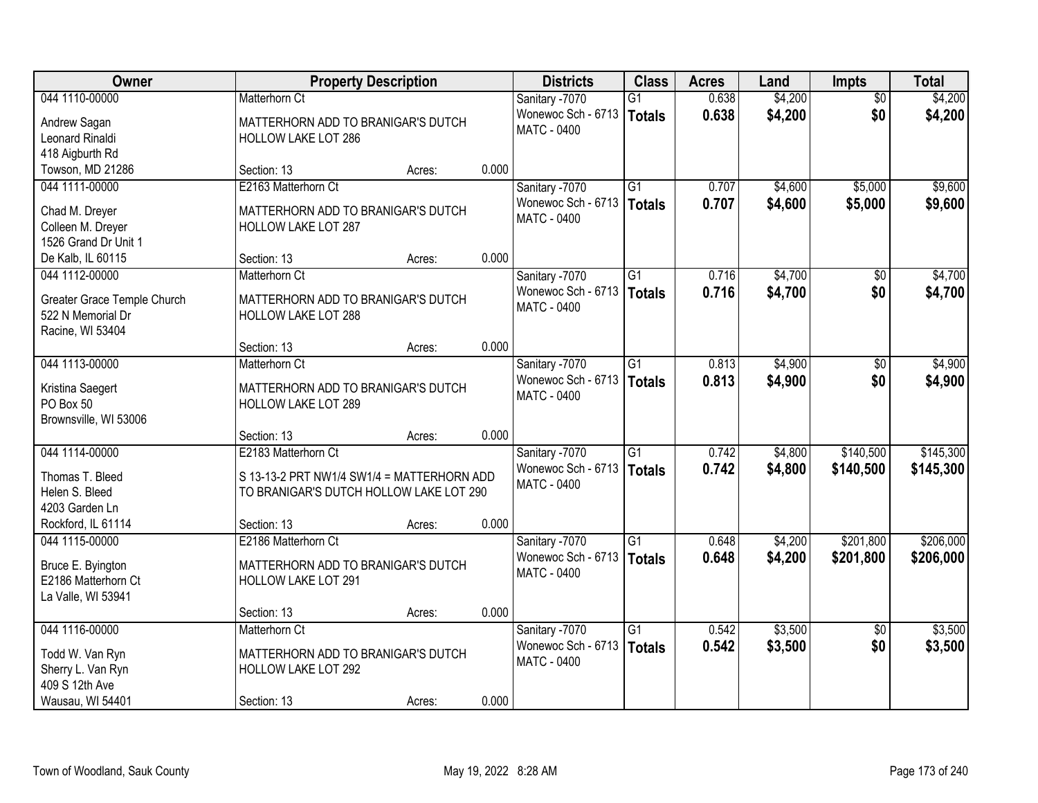| <b>Owner</b>                |                                            | <b>Property Description</b> |       | <b>Districts</b>                     | <b>Class</b>    | <b>Acres</b> | Land    | <b>Impts</b>    | <b>Total</b> |
|-----------------------------|--------------------------------------------|-----------------------------|-------|--------------------------------------|-----------------|--------------|---------|-----------------|--------------|
| 044 1110-00000              | <b>Matterhorn Ct</b>                       |                             |       | Sanitary -7070                       | $\overline{G1}$ | 0.638        | \$4,200 | $\overline{30}$ | \$4,200      |
| Andrew Sagan                | MATTERHORN ADD TO BRANIGAR'S DUTCH         |                             |       | Wonewoc Sch - 6713                   | <b>Totals</b>   | 0.638        | \$4,200 | \$0             | \$4,200      |
| Leonard Rinaldi             | <b>HOLLOW LAKE LOT 286</b>                 |                             |       | <b>MATC - 0400</b>                   |                 |              |         |                 |              |
| 418 Aigburth Rd             |                                            |                             |       |                                      |                 |              |         |                 |              |
| Towson, MD 21286            | Section: 13                                | Acres:                      | 0.000 |                                      |                 |              |         |                 |              |
| 044 1111-00000              | E2163 Matterhorn Ct                        |                             |       | Sanitary -7070                       | $\overline{G1}$ | 0.707        | \$4,600 | \$5,000         | \$9,600      |
| Chad M. Dreyer              | MATTERHORN ADD TO BRANIGAR'S DUTCH         |                             |       | Wonewoc Sch - 6713   Totals          |                 | 0.707        | \$4,600 | \$5,000         | \$9,600      |
| Colleen M. Dreyer           | <b>HOLLOW LAKE LOT 287</b>                 |                             |       | <b>MATC - 0400</b>                   |                 |              |         |                 |              |
| 1526 Grand Dr Unit 1        |                                            |                             |       |                                      |                 |              |         |                 |              |
| De Kalb, IL 60115           | Section: 13                                | Acres:                      | 0.000 |                                      |                 |              |         |                 |              |
| 044 1112-00000              | Matterhorn Ct                              |                             |       | Sanitary -7070                       | $\overline{G1}$ | 0.716        | \$4,700 | \$0             | \$4,700      |
|                             |                                            |                             |       | Wonewoc Sch - 6713                   | <b>Totals</b>   | 0.716        | \$4,700 | \$0             | \$4,700      |
| Greater Grace Temple Church | MATTERHORN ADD TO BRANIGAR'S DUTCH         |                             |       | <b>MATC - 0400</b>                   |                 |              |         |                 |              |
| 522 N Memorial Dr           | HOLLOW LAKE LOT 288                        |                             |       |                                      |                 |              |         |                 |              |
| Racine, WI 53404            |                                            |                             |       |                                      |                 |              |         |                 |              |
|                             | Section: 13<br>Matterhorn Ct               | Acres:                      | 0.000 |                                      | $\overline{G1}$ |              |         |                 |              |
| 044 1113-00000              |                                            |                             |       | Sanitary -7070<br>Wonewoc Sch - 6713 |                 | 0.813        | \$4,900 | \$0             | \$4,900      |
| Kristina Saegert            | MATTERHORN ADD TO BRANIGAR'S DUTCH         |                             |       | <b>MATC - 0400</b>                   | <b>Totals</b>   | 0.813        | \$4,900 | \$0             | \$4,900      |
| PO Box 50                   | HOLLOW LAKE LOT 289                        |                             |       |                                      |                 |              |         |                 |              |
| Brownsville, WI 53006       |                                            |                             |       |                                      |                 |              |         |                 |              |
|                             | Section: 13                                | Acres:                      | 0.000 |                                      |                 |              |         |                 |              |
| 044 1114-00000              | E2183 Matterhorn Ct                        |                             |       | Sanitary -7070                       | $\overline{G1}$ | 0.742        | \$4,800 | \$140,500       | \$145,300    |
| Thomas T. Bleed             | S 13-13-2 PRT NW1/4 SW1/4 = MATTERHORN ADD |                             |       | Wonewoc Sch - 6713                   | <b>Totals</b>   | 0.742        | \$4,800 | \$140,500       | \$145,300    |
| Helen S. Bleed              | TO BRANIGAR'S DUTCH HOLLOW LAKE LOT 290    |                             |       | <b>MATC - 0400</b>                   |                 |              |         |                 |              |
| 4203 Garden Ln              |                                            |                             |       |                                      |                 |              |         |                 |              |
| Rockford, IL 61114          | Section: 13                                | Acres:                      | 0.000 |                                      |                 |              |         |                 |              |
| 044 1115-00000              | E2186 Matterhorn Ct                        |                             |       | Sanitary -7070                       | $\overline{G1}$ | 0.648        | \$4,200 | \$201,800       | \$206,000    |
| Bruce E. Byington           | MATTERHORN ADD TO BRANIGAR'S DUTCH         |                             |       | Wonewoc Sch - 6713                   | <b>Totals</b>   | 0.648        | \$4,200 | \$201,800       | \$206,000    |
| E2186 Matterhorn Ct         | HOLLOW LAKE LOT 291                        |                             |       | MATC - 0400                          |                 |              |         |                 |              |
| La Valle, WI 53941          |                                            |                             |       |                                      |                 |              |         |                 |              |
|                             | Section: 13                                | Acres:                      | 0.000 |                                      |                 |              |         |                 |              |
| 044 1116-00000              | Matterhorn Ct                              |                             |       | Sanitary -7070                       | $\overline{G1}$ | 0.542        | \$3,500 | $\overline{30}$ | \$3,500      |
|                             |                                            |                             |       | Wonewoc Sch - 6713                   | <b>Totals</b>   | 0.542        | \$3,500 | \$0             | \$3,500      |
| Todd W. Van Ryn             | MATTERHORN ADD TO BRANIGAR'S DUTCH         |                             |       | <b>MATC - 0400</b>                   |                 |              |         |                 |              |
| Sherry L. Van Ryn           | HOLLOW LAKE LOT 292                        |                             |       |                                      |                 |              |         |                 |              |
| 409 S 12th Ave              |                                            |                             | 0.000 |                                      |                 |              |         |                 |              |
| Wausau, WI 54401            | Section: 13                                | Acres:                      |       |                                      |                 |              |         |                 |              |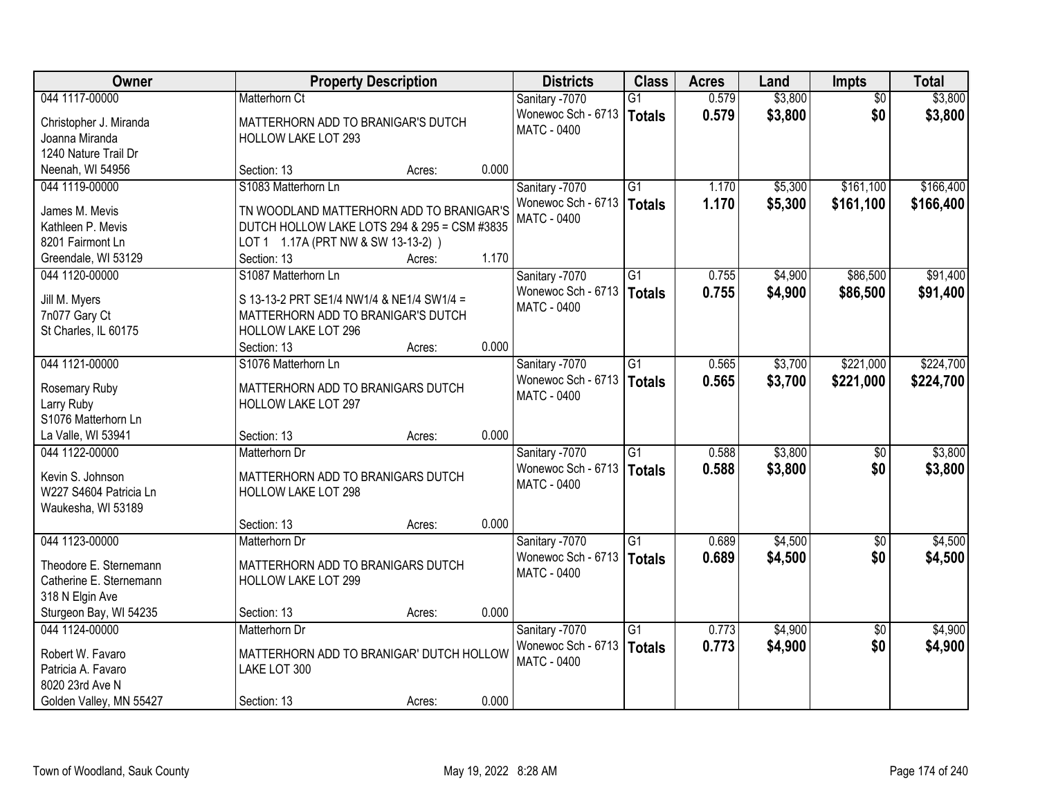| Owner                   |                                                                                          | <b>Property Description</b> |       | <b>Districts</b>            | <b>Class</b>    | <b>Acres</b> | Land    | <b>Impts</b>    | <b>Total</b> |
|-------------------------|------------------------------------------------------------------------------------------|-----------------------------|-------|-----------------------------|-----------------|--------------|---------|-----------------|--------------|
| 044 1117-00000          | <b>Matterhorn Ct</b>                                                                     |                             |       | Sanitary -7070              | G1              | 0.579        | \$3,800 | $\overline{30}$ | \$3,800      |
| Christopher J. Miranda  | MATTERHORN ADD TO BRANIGAR'S DUTCH                                                       |                             |       | Wonewoc Sch - 6713          | <b>Totals</b>   | 0.579        | \$3,800 | \$0             | \$3,800      |
| Joanna Miranda          | <b>HOLLOW LAKE LOT 293</b>                                                               |                             |       | <b>MATC - 0400</b>          |                 |              |         |                 |              |
| 1240 Nature Trail Dr    |                                                                                          |                             |       |                             |                 |              |         |                 |              |
| Neenah, WI 54956        | Section: 13                                                                              | Acres:                      | 0.000 |                             |                 |              |         |                 |              |
| 044 1119-00000          | S1083 Matterhorn Ln                                                                      |                             |       | Sanitary -7070              | $\overline{G1}$ | 1.170        | \$5,300 | \$161,100       | \$166,400    |
| James M. Mevis          |                                                                                          |                             |       | Wonewoc Sch - 6713   Totals |                 | 1.170        | \$5,300 | \$161,100       | \$166,400    |
| Kathleen P. Mevis       | TN WOODLAND MATTERHORN ADD TO BRANIGAR'S<br>DUTCH HOLLOW LAKE LOTS 294 & 295 = CSM #3835 |                             |       | <b>MATC - 0400</b>          |                 |              |         |                 |              |
| 8201 Fairmont Ln        | LOT 1 1.17A (PRT NW & SW 13-13-2))                                                       |                             |       |                             |                 |              |         |                 |              |
| Greendale, WI 53129     | Section: 13                                                                              | Acres:                      | 1.170 |                             |                 |              |         |                 |              |
| 044 1120-00000          | S1087 Matterhorn Ln                                                                      |                             |       | Sanitary -7070              | $\overline{G1}$ | 0.755        | \$4,900 | \$86,500        | \$91,400     |
|                         |                                                                                          |                             |       | Wonewoc Sch - 6713          |                 |              |         |                 |              |
| Jill M. Myers           | S 13-13-2 PRT SE1/4 NW1/4 & NE1/4 SW1/4 =                                                |                             |       | <b>MATC - 0400</b>          | <b>Totals</b>   | 0.755        | \$4,900 | \$86,500        | \$91,400     |
| 7n077 Gary Ct           | MATTERHORN ADD TO BRANIGAR'S DUTCH                                                       |                             |       |                             |                 |              |         |                 |              |
| St Charles, IL 60175    | HOLLOW LAKE LOT 296                                                                      |                             |       |                             |                 |              |         |                 |              |
|                         | Section: 13                                                                              | Acres:                      | 0.000 |                             |                 |              |         |                 |              |
| 044 1121-00000          | S1076 Matterhorn Ln                                                                      |                             |       | Sanitary -7070              | $\overline{G1}$ | 0.565        | \$3,700 | \$221,000       | \$224,700    |
| Rosemary Ruby           | MATTERHORN ADD TO BRANIGARS DUTCH                                                        |                             |       | Wonewoc Sch - 6713          | <b>Totals</b>   | 0.565        | \$3,700 | \$221,000       | \$224,700    |
| Larry Ruby              | HOLLOW LAKE LOT 297                                                                      |                             |       | <b>MATC - 0400</b>          |                 |              |         |                 |              |
| S1076 Matterhorn Ln     |                                                                                          |                             |       |                             |                 |              |         |                 |              |
| La Valle, WI 53941      | Section: 13                                                                              | Acres:                      | 0.000 |                             |                 |              |         |                 |              |
| 044 1122-00000          | Matterhorn Dr                                                                            |                             |       | Sanitary -7070              | $\overline{G1}$ | 0.588        | \$3,800 | $\overline{50}$ | \$3,800      |
|                         |                                                                                          |                             |       | Wonewoc Sch - 6713          | <b>Totals</b>   | 0.588        | \$3,800 | \$0             | \$3,800      |
| Kevin S. Johnson        | MATTERHORN ADD TO BRANIGARS DUTCH                                                        |                             |       | <b>MATC - 0400</b>          |                 |              |         |                 |              |
| W227 S4604 Patricia Ln  | HOLLOW LAKE LOT 298                                                                      |                             |       |                             |                 |              |         |                 |              |
| Waukesha, WI 53189      |                                                                                          |                             |       |                             |                 |              |         |                 |              |
|                         | Section: 13                                                                              | Acres:                      | 0.000 |                             |                 |              |         |                 |              |
| 044 1123-00000          | Matterhorn Dr                                                                            |                             |       | Sanitary -7070              | $\overline{G1}$ | 0.689        | \$4,500 | $\sqrt{$0}$     | \$4,500      |
| Theodore E. Sternemann  | MATTERHORN ADD TO BRANIGARS DUTCH                                                        |                             |       | Wonewoc Sch - 6713          | <b>Totals</b>   | 0.689        | \$4,500 | \$0             | \$4,500      |
| Catherine E. Sternemann | HOLLOW LAKE LOT 299                                                                      |                             |       | <b>MATC - 0400</b>          |                 |              |         |                 |              |
| 318 N Elgin Ave         |                                                                                          |                             |       |                             |                 |              |         |                 |              |
| Sturgeon Bay, WI 54235  | Section: 13                                                                              | Acres:                      | 0.000 |                             |                 |              |         |                 |              |
| 044 1124-00000          | Matterhorn Dr                                                                            |                             |       | Sanitary -7070              | $\overline{G1}$ | 0.773        | \$4,900 | $\overline{30}$ | \$4,900      |
|                         |                                                                                          |                             |       | Wonewoc Sch - 6713          | <b>Totals</b>   | 0.773        | \$4,900 | \$0             | \$4,900      |
| Robert W. Favaro        | MATTERHORN ADD TO BRANIGAR' DUTCH HOLLOW                                                 |                             |       | <b>MATC - 0400</b>          |                 |              |         |                 |              |
| Patricia A. Favaro      | LAKE LOT 300                                                                             |                             |       |                             |                 |              |         |                 |              |
| 8020 23rd Ave N         |                                                                                          |                             |       |                             |                 |              |         |                 |              |
| Golden Valley, MN 55427 | Section: 13                                                                              | Acres:                      | 0.000 |                             |                 |              |         |                 |              |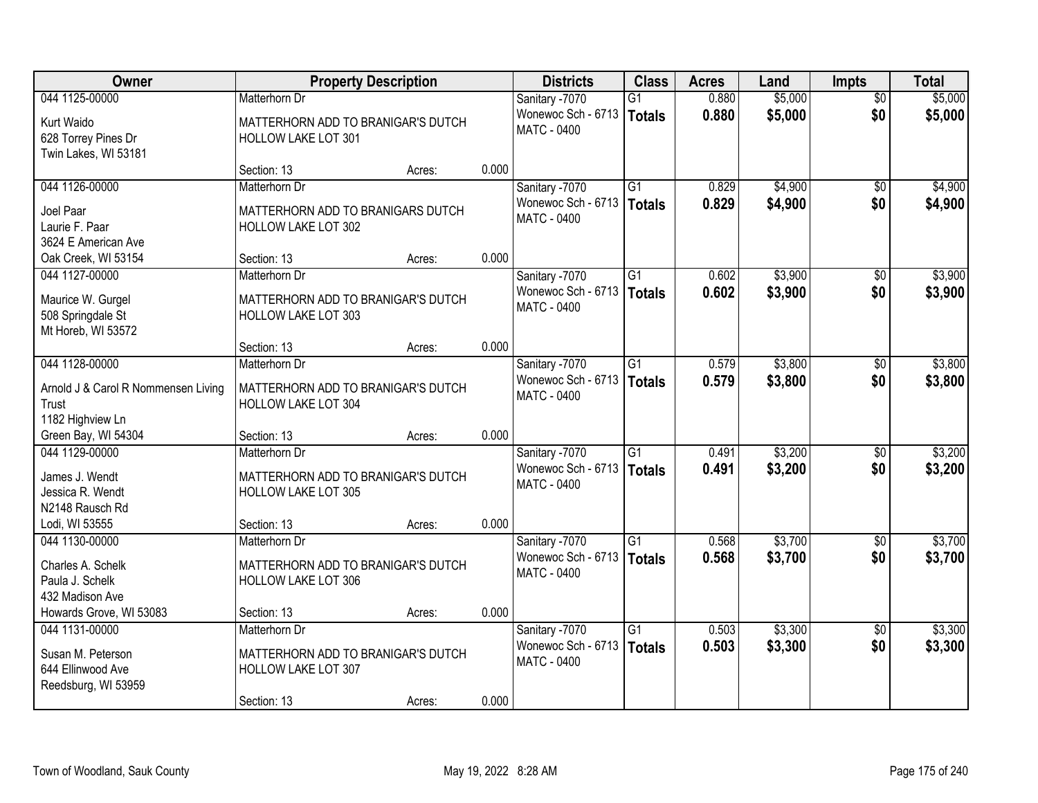| \$5,000<br>044 1125-00000<br>0.880<br>\$5,000<br>Matterhorn Dr<br>Sanitary -7070<br>$\overline{G1}$<br>$\overline{50}$<br>\$5,000<br>\$0<br>Wonewoc Sch - 6713<br>0.880<br>\$5,000<br>Totals<br>Kurt Waido<br>MATTERHORN ADD TO BRANIGAR'S DUTCH<br><b>MATC - 0400</b><br>628 Torrey Pines Dr<br><b>HOLLOW LAKE LOT 301</b><br>Twin Lakes, WI 53181<br>0.000<br>Section: 13<br>Acres:<br>Sanitary -7070<br>$\overline{G1}$<br>\$4,900<br>044 1126-00000<br>0.829<br>Matterhorn Dr<br>\$0<br>Wonewoc Sch - 6713<br>0.829<br>\$4,900<br>\$0<br>Totals<br>Joel Paar<br>MATTERHORN ADD TO BRANIGARS DUTCH<br><b>MATC - 0400</b><br>Laurie F. Paar<br>HOLLOW LAKE LOT 302<br>3624 E American Ave<br>0.000<br>Oak Creek, WI 53154<br>Section: 13<br>Acres:<br>\$3,900<br>044 1127-00000<br>Sanitary -7070<br>G1<br>0.602<br>Matterhorn Dr<br>$\sqrt[6]{3}$<br>\$0<br>Wonewoc Sch - 6713<br>\$3,900<br>0.602<br><b>Totals</b><br>Maurice W. Gurgel<br>MATTERHORN ADD TO BRANIGAR'S DUTCH<br>MATC - 0400<br>508 Springdale St<br><b>HOLLOW LAKE LOT 303</b><br>Mt Horeb, WI 53572<br>0.000<br>Section: 13<br>Acres:<br>\$3,800<br>044 1128-00000<br>Sanitary -7070<br>G1<br>0.579<br>Matterhorn Dr<br>$\sqrt[6]{}$<br>Wonewoc Sch - 6713<br>0.579<br>\$0<br>\$3,800<br>\$3,800<br>Totals<br>MATTERHORN ADD TO BRANIGAR'S DUTCH<br>Arnold J & Carol R Nommensen Living<br><b>MATC - 0400</b><br>Trust<br><b>HOLLOW LAKE LOT 304</b><br>1182 Highview Ln<br>0.000<br>Green Bay, WI 54304<br>Section: 13<br>Acres:<br>\$3,200<br>044 1129-00000<br>$\overline{G1}$<br>0.491<br>Matterhorn Dr<br>Sanitary -7070<br>\$0<br>\$3,200<br>Wonewoc Sch - 6713<br>0.491<br>\$0<br>\$3,200<br>Totals<br>James J. Wendt<br>MATTERHORN ADD TO BRANIGAR'S DUTCH<br>MATC - 0400<br>Jessica R. Wendt<br><b>HOLLOW LAKE LOT 305</b><br>N2148 Rausch Rd<br>0.000<br>Lodi, WI 53555<br>Section: 13<br>Acres:<br>$\overline{G1}$<br>\$3,700<br>044 1130-00000<br>Sanitary -7070<br>0.568<br>Matterhorn Dr<br>$\overline{30}$<br>\$3,700<br>Wonewoc Sch - 6713<br>0.568<br>\$0<br><b>Totals</b><br>Charles A. Schelk<br>MATTERHORN ADD TO BRANIGAR'S DUTCH<br><b>MATC - 0400</b><br>Paula J. Schelk<br><b>HOLLOW LAKE LOT 306</b><br>432 Madison Ave<br>0.000<br>Howards Grove, WI 53083<br>Section: 13<br>Acres:<br>\$3,300<br>044 1131-00000<br>$\overline{G1}$<br>0.503<br>Matterhorn Dr<br>Sanitary -7070<br>$\overline{50}$<br>\$0<br>Wonewoc Sch - 6713<br>0.503<br>\$3,300<br>Totals<br>MATTERHORN ADD TO BRANIGAR'S DUTCH<br>Susan M. Peterson<br>MATC - 0400<br>644 Ellinwood Ave<br>HOLLOW LAKE LOT 307<br>Reedsburg, WI 53959 | Owner | <b>Property Description</b> |       | <b>Districts</b> | <b>Class</b> | <b>Acres</b> | Land | <b>Impts</b> | <b>Total</b> |
|------------------------------------------------------------------------------------------------------------------------------------------------------------------------------------------------------------------------------------------------------------------------------------------------------------------------------------------------------------------------------------------------------------------------------------------------------------------------------------------------------------------------------------------------------------------------------------------------------------------------------------------------------------------------------------------------------------------------------------------------------------------------------------------------------------------------------------------------------------------------------------------------------------------------------------------------------------------------------------------------------------------------------------------------------------------------------------------------------------------------------------------------------------------------------------------------------------------------------------------------------------------------------------------------------------------------------------------------------------------------------------------------------------------------------------------------------------------------------------------------------------------------------------------------------------------------------------------------------------------------------------------------------------------------------------------------------------------------------------------------------------------------------------------------------------------------------------------------------------------------------------------------------------------------------------------------------------------------------------------------------------------------------------------------------------------------------------------------------------------------------------------------------------------------------------------------------------------------------------------------------------------------------------------------------------------------------------------------------------------------------------------------------------------------------------------------------------------------------------------------------------------------------------------------------------------------------------------------------------|-------|-----------------------------|-------|------------------|--------------|--------------|------|--------------|--------------|
|                                                                                                                                                                                                                                                                                                                                                                                                                                                                                                                                                                                                                                                                                                                                                                                                                                                                                                                                                                                                                                                                                                                                                                                                                                                                                                                                                                                                                                                                                                                                                                                                                                                                                                                                                                                                                                                                                                                                                                                                                                                                                                                                                                                                                                                                                                                                                                                                                                                                                                                                                                                                            |       |                             |       |                  |              |              |      |              |              |
|                                                                                                                                                                                                                                                                                                                                                                                                                                                                                                                                                                                                                                                                                                                                                                                                                                                                                                                                                                                                                                                                                                                                                                                                                                                                                                                                                                                                                                                                                                                                                                                                                                                                                                                                                                                                                                                                                                                                                                                                                                                                                                                                                                                                                                                                                                                                                                                                                                                                                                                                                                                                            |       |                             |       |                  |              |              |      |              |              |
| \$4,900<br>\$4,900<br>\$3,900<br>\$3,900                                                                                                                                                                                                                                                                                                                                                                                                                                                                                                                                                                                                                                                                                                                                                                                                                                                                                                                                                                                                                                                                                                                                                                                                                                                                                                                                                                                                                                                                                                                                                                                                                                                                                                                                                                                                                                                                                                                                                                                                                                                                                                                                                                                                                                                                                                                                                                                                                                                                                                                                                                   |       |                             |       |                  |              |              |      |              |              |
|                                                                                                                                                                                                                                                                                                                                                                                                                                                                                                                                                                                                                                                                                                                                                                                                                                                                                                                                                                                                                                                                                                                                                                                                                                                                                                                                                                                                                                                                                                                                                                                                                                                                                                                                                                                                                                                                                                                                                                                                                                                                                                                                                                                                                                                                                                                                                                                                                                                                                                                                                                                                            |       |                             |       |                  |              |              |      |              |              |
|                                                                                                                                                                                                                                                                                                                                                                                                                                                                                                                                                                                                                                                                                                                                                                                                                                                                                                                                                                                                                                                                                                                                                                                                                                                                                                                                                                                                                                                                                                                                                                                                                                                                                                                                                                                                                                                                                                                                                                                                                                                                                                                                                                                                                                                                                                                                                                                                                                                                                                                                                                                                            |       |                             |       |                  |              |              |      |              |              |
|                                                                                                                                                                                                                                                                                                                                                                                                                                                                                                                                                                                                                                                                                                                                                                                                                                                                                                                                                                                                                                                                                                                                                                                                                                                                                                                                                                                                                                                                                                                                                                                                                                                                                                                                                                                                                                                                                                                                                                                                                                                                                                                                                                                                                                                                                                                                                                                                                                                                                                                                                                                                            |       |                             |       |                  |              |              |      |              |              |
|                                                                                                                                                                                                                                                                                                                                                                                                                                                                                                                                                                                                                                                                                                                                                                                                                                                                                                                                                                                                                                                                                                                                                                                                                                                                                                                                                                                                                                                                                                                                                                                                                                                                                                                                                                                                                                                                                                                                                                                                                                                                                                                                                                                                                                                                                                                                                                                                                                                                                                                                                                                                            |       |                             |       |                  |              |              |      |              |              |
|                                                                                                                                                                                                                                                                                                                                                                                                                                                                                                                                                                                                                                                                                                                                                                                                                                                                                                                                                                                                                                                                                                                                                                                                                                                                                                                                                                                                                                                                                                                                                                                                                                                                                                                                                                                                                                                                                                                                                                                                                                                                                                                                                                                                                                                                                                                                                                                                                                                                                                                                                                                                            |       |                             |       |                  |              |              |      |              |              |
|                                                                                                                                                                                                                                                                                                                                                                                                                                                                                                                                                                                                                                                                                                                                                                                                                                                                                                                                                                                                                                                                                                                                                                                                                                                                                                                                                                                                                                                                                                                                                                                                                                                                                                                                                                                                                                                                                                                                                                                                                                                                                                                                                                                                                                                                                                                                                                                                                                                                                                                                                                                                            |       |                             |       |                  |              |              |      |              |              |
|                                                                                                                                                                                                                                                                                                                                                                                                                                                                                                                                                                                                                                                                                                                                                                                                                                                                                                                                                                                                                                                                                                                                                                                                                                                                                                                                                                                                                                                                                                                                                                                                                                                                                                                                                                                                                                                                                                                                                                                                                                                                                                                                                                                                                                                                                                                                                                                                                                                                                                                                                                                                            |       |                             |       |                  |              |              |      |              |              |
|                                                                                                                                                                                                                                                                                                                                                                                                                                                                                                                                                                                                                                                                                                                                                                                                                                                                                                                                                                                                                                                                                                                                                                                                                                                                                                                                                                                                                                                                                                                                                                                                                                                                                                                                                                                                                                                                                                                                                                                                                                                                                                                                                                                                                                                                                                                                                                                                                                                                                                                                                                                                            |       |                             |       |                  |              |              |      |              |              |
|                                                                                                                                                                                                                                                                                                                                                                                                                                                                                                                                                                                                                                                                                                                                                                                                                                                                                                                                                                                                                                                                                                                                                                                                                                                                                                                                                                                                                                                                                                                                                                                                                                                                                                                                                                                                                                                                                                                                                                                                                                                                                                                                                                                                                                                                                                                                                                                                                                                                                                                                                                                                            |       |                             |       |                  |              |              |      |              |              |
|                                                                                                                                                                                                                                                                                                                                                                                                                                                                                                                                                                                                                                                                                                                                                                                                                                                                                                                                                                                                                                                                                                                                                                                                                                                                                                                                                                                                                                                                                                                                                                                                                                                                                                                                                                                                                                                                                                                                                                                                                                                                                                                                                                                                                                                                                                                                                                                                                                                                                                                                                                                                            |       |                             |       |                  |              |              |      |              |              |
|                                                                                                                                                                                                                                                                                                                                                                                                                                                                                                                                                                                                                                                                                                                                                                                                                                                                                                                                                                                                                                                                                                                                                                                                                                                                                                                                                                                                                                                                                                                                                                                                                                                                                                                                                                                                                                                                                                                                                                                                                                                                                                                                                                                                                                                                                                                                                                                                                                                                                                                                                                                                            |       |                             |       |                  |              |              |      |              |              |
| \$3,800<br>\$3,200<br>\$3,700<br>\$3,700<br>\$3,300<br>\$3,300                                                                                                                                                                                                                                                                                                                                                                                                                                                                                                                                                                                                                                                                                                                                                                                                                                                                                                                                                                                                                                                                                                                                                                                                                                                                                                                                                                                                                                                                                                                                                                                                                                                                                                                                                                                                                                                                                                                                                                                                                                                                                                                                                                                                                                                                                                                                                                                                                                                                                                                                             |       |                             |       |                  |              |              |      |              |              |
|                                                                                                                                                                                                                                                                                                                                                                                                                                                                                                                                                                                                                                                                                                                                                                                                                                                                                                                                                                                                                                                                                                                                                                                                                                                                                                                                                                                                                                                                                                                                                                                                                                                                                                                                                                                                                                                                                                                                                                                                                                                                                                                                                                                                                                                                                                                                                                                                                                                                                                                                                                                                            |       |                             |       |                  |              |              |      |              |              |
|                                                                                                                                                                                                                                                                                                                                                                                                                                                                                                                                                                                                                                                                                                                                                                                                                                                                                                                                                                                                                                                                                                                                                                                                                                                                                                                                                                                                                                                                                                                                                                                                                                                                                                                                                                                                                                                                                                                                                                                                                                                                                                                                                                                                                                                                                                                                                                                                                                                                                                                                                                                                            |       |                             |       |                  |              |              |      |              |              |
|                                                                                                                                                                                                                                                                                                                                                                                                                                                                                                                                                                                                                                                                                                                                                                                                                                                                                                                                                                                                                                                                                                                                                                                                                                                                                                                                                                                                                                                                                                                                                                                                                                                                                                                                                                                                                                                                                                                                                                                                                                                                                                                                                                                                                                                                                                                                                                                                                                                                                                                                                                                                            |       |                             |       |                  |              |              |      |              |              |
|                                                                                                                                                                                                                                                                                                                                                                                                                                                                                                                                                                                                                                                                                                                                                                                                                                                                                                                                                                                                                                                                                                                                                                                                                                                                                                                                                                                                                                                                                                                                                                                                                                                                                                                                                                                                                                                                                                                                                                                                                                                                                                                                                                                                                                                                                                                                                                                                                                                                                                                                                                                                            |       |                             |       |                  |              |              |      |              |              |
|                                                                                                                                                                                                                                                                                                                                                                                                                                                                                                                                                                                                                                                                                                                                                                                                                                                                                                                                                                                                                                                                                                                                                                                                                                                                                                                                                                                                                                                                                                                                                                                                                                                                                                                                                                                                                                                                                                                                                                                                                                                                                                                                                                                                                                                                                                                                                                                                                                                                                                                                                                                                            |       |                             |       |                  |              |              |      |              |              |
|                                                                                                                                                                                                                                                                                                                                                                                                                                                                                                                                                                                                                                                                                                                                                                                                                                                                                                                                                                                                                                                                                                                                                                                                                                                                                                                                                                                                                                                                                                                                                                                                                                                                                                                                                                                                                                                                                                                                                                                                                                                                                                                                                                                                                                                                                                                                                                                                                                                                                                                                                                                                            |       |                             |       |                  |              |              |      |              |              |
|                                                                                                                                                                                                                                                                                                                                                                                                                                                                                                                                                                                                                                                                                                                                                                                                                                                                                                                                                                                                                                                                                                                                                                                                                                                                                                                                                                                                                                                                                                                                                                                                                                                                                                                                                                                                                                                                                                                                                                                                                                                                                                                                                                                                                                                                                                                                                                                                                                                                                                                                                                                                            |       |                             |       |                  |              |              |      |              |              |
|                                                                                                                                                                                                                                                                                                                                                                                                                                                                                                                                                                                                                                                                                                                                                                                                                                                                                                                                                                                                                                                                                                                                                                                                                                                                                                                                                                                                                                                                                                                                                                                                                                                                                                                                                                                                                                                                                                                                                                                                                                                                                                                                                                                                                                                                                                                                                                                                                                                                                                                                                                                                            |       |                             |       |                  |              |              |      |              |              |
|                                                                                                                                                                                                                                                                                                                                                                                                                                                                                                                                                                                                                                                                                                                                                                                                                                                                                                                                                                                                                                                                                                                                                                                                                                                                                                                                                                                                                                                                                                                                                                                                                                                                                                                                                                                                                                                                                                                                                                                                                                                                                                                                                                                                                                                                                                                                                                                                                                                                                                                                                                                                            |       |                             |       |                  |              |              |      |              |              |
|                                                                                                                                                                                                                                                                                                                                                                                                                                                                                                                                                                                                                                                                                                                                                                                                                                                                                                                                                                                                                                                                                                                                                                                                                                                                                                                                                                                                                                                                                                                                                                                                                                                                                                                                                                                                                                                                                                                                                                                                                                                                                                                                                                                                                                                                                                                                                                                                                                                                                                                                                                                                            |       |                             |       |                  |              |              |      |              |              |
|                                                                                                                                                                                                                                                                                                                                                                                                                                                                                                                                                                                                                                                                                                                                                                                                                                                                                                                                                                                                                                                                                                                                                                                                                                                                                                                                                                                                                                                                                                                                                                                                                                                                                                                                                                                                                                                                                                                                                                                                                                                                                                                                                                                                                                                                                                                                                                                                                                                                                                                                                                                                            |       |                             |       |                  |              |              |      |              |              |
|                                                                                                                                                                                                                                                                                                                                                                                                                                                                                                                                                                                                                                                                                                                                                                                                                                                                                                                                                                                                                                                                                                                                                                                                                                                                                                                                                                                                                                                                                                                                                                                                                                                                                                                                                                                                                                                                                                                                                                                                                                                                                                                                                                                                                                                                                                                                                                                                                                                                                                                                                                                                            |       |                             |       |                  |              |              |      |              |              |
|                                                                                                                                                                                                                                                                                                                                                                                                                                                                                                                                                                                                                                                                                                                                                                                                                                                                                                                                                                                                                                                                                                                                                                                                                                                                                                                                                                                                                                                                                                                                                                                                                                                                                                                                                                                                                                                                                                                                                                                                                                                                                                                                                                                                                                                                                                                                                                                                                                                                                                                                                                                                            |       |                             |       |                  |              |              |      |              |              |
|                                                                                                                                                                                                                                                                                                                                                                                                                                                                                                                                                                                                                                                                                                                                                                                                                                                                                                                                                                                                                                                                                                                                                                                                                                                                                                                                                                                                                                                                                                                                                                                                                                                                                                                                                                                                                                                                                                                                                                                                                                                                                                                                                                                                                                                                                                                                                                                                                                                                                                                                                                                                            |       |                             |       |                  |              |              |      |              |              |
|                                                                                                                                                                                                                                                                                                                                                                                                                                                                                                                                                                                                                                                                                                                                                                                                                                                                                                                                                                                                                                                                                                                                                                                                                                                                                                                                                                                                                                                                                                                                                                                                                                                                                                                                                                                                                                                                                                                                                                                                                                                                                                                                                                                                                                                                                                                                                                                                                                                                                                                                                                                                            |       |                             |       |                  |              |              |      |              |              |
|                                                                                                                                                                                                                                                                                                                                                                                                                                                                                                                                                                                                                                                                                                                                                                                                                                                                                                                                                                                                                                                                                                                                                                                                                                                                                                                                                                                                                                                                                                                                                                                                                                                                                                                                                                                                                                                                                                                                                                                                                                                                                                                                                                                                                                                                                                                                                                                                                                                                                                                                                                                                            |       |                             |       |                  |              |              |      |              |              |
|                                                                                                                                                                                                                                                                                                                                                                                                                                                                                                                                                                                                                                                                                                                                                                                                                                                                                                                                                                                                                                                                                                                                                                                                                                                                                                                                                                                                                                                                                                                                                                                                                                                                                                                                                                                                                                                                                                                                                                                                                                                                                                                                                                                                                                                                                                                                                                                                                                                                                                                                                                                                            |       |                             |       |                  |              |              |      |              |              |
|                                                                                                                                                                                                                                                                                                                                                                                                                                                                                                                                                                                                                                                                                                                                                                                                                                                                                                                                                                                                                                                                                                                                                                                                                                                                                                                                                                                                                                                                                                                                                                                                                                                                                                                                                                                                                                                                                                                                                                                                                                                                                                                                                                                                                                                                                                                                                                                                                                                                                                                                                                                                            |       |                             |       |                  |              |              |      |              |              |
|                                                                                                                                                                                                                                                                                                                                                                                                                                                                                                                                                                                                                                                                                                                                                                                                                                                                                                                                                                                                                                                                                                                                                                                                                                                                                                                                                                                                                                                                                                                                                                                                                                                                                                                                                                                                                                                                                                                                                                                                                                                                                                                                                                                                                                                                                                                                                                                                                                                                                                                                                                                                            |       |                             |       |                  |              |              |      |              |              |
| Acres:                                                                                                                                                                                                                                                                                                                                                                                                                                                                                                                                                                                                                                                                                                                                                                                                                                                                                                                                                                                                                                                                                                                                                                                                                                                                                                                                                                                                                                                                                                                                                                                                                                                                                                                                                                                                                                                                                                                                                                                                                                                                                                                                                                                                                                                                                                                                                                                                                                                                                                                                                                                                     |       | Section: 13                 | 0.000 |                  |              |              |      |              |              |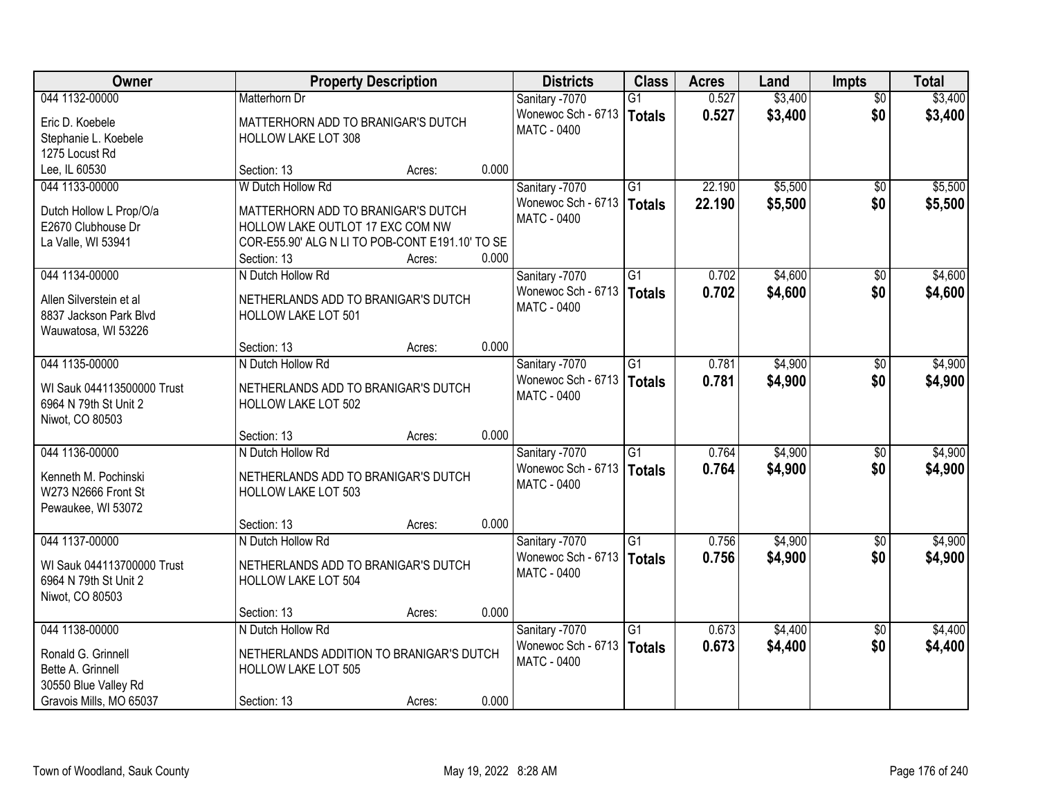| Owner                                             |                                                                   | <b>Property Description</b> |       | <b>Districts</b>                  | <b>Class</b>    | <b>Acres</b> | Land    | <b>Impts</b>    | <b>Total</b> |
|---------------------------------------------------|-------------------------------------------------------------------|-----------------------------|-------|-----------------------------------|-----------------|--------------|---------|-----------------|--------------|
| 044 1132-00000                                    | Matterhorn Dr                                                     |                             |       | Sanitary -7070                    | G1              | 0.527        | \$3,400 | $\overline{30}$ | \$3,400      |
| Eric D. Koebele                                   | MATTERHORN ADD TO BRANIGAR'S DUTCH                                |                             |       | Wonewoc Sch - 6713                | <b>Totals</b>   | 0.527        | \$3,400 | \$0             | \$3,400      |
| Stephanie L. Koebele                              | <b>HOLLOW LAKE LOT 308</b>                                        |                             |       | <b>MATC - 0400</b>                |                 |              |         |                 |              |
| 1275 Locust Rd                                    |                                                                   |                             |       |                                   |                 |              |         |                 |              |
| Lee, IL 60530                                     | Section: 13                                                       | Acres:                      | 0.000 |                                   |                 |              |         |                 |              |
| 044 1133-00000                                    | W Dutch Hollow Rd                                                 |                             |       | Sanitary -7070                    | $\overline{G1}$ | 22.190       | \$5,500 | $\overline{50}$ | \$5,500      |
| Dutch Hollow L Prop/O/a                           | MATTERHORN ADD TO BRANIGAR'S DUTCH                                |                             |       | Wonewoc Sch - 6713   Totals       |                 | 22.190       | \$5,500 | \$0             | \$5,500      |
| E2670 Clubhouse Dr                                | HOLLOW LAKE OUTLOT 17 EXC COM NW                                  |                             |       | MATC - 0400                       |                 |              |         |                 |              |
| La Valle, WI 53941                                | COR-E55.90' ALG N LI TO POB-CONT E191.10' TO SE                   |                             |       |                                   |                 |              |         |                 |              |
|                                                   | Section: 13                                                       | Acres:                      | 0.000 |                                   |                 |              |         |                 |              |
| 044 1134-00000                                    | N Dutch Hollow Rd                                                 |                             |       | Sanitary -7070                    | G1              | 0.702        | \$4,600 | \$0             | \$4,600      |
|                                                   |                                                                   |                             |       | Wonewoc Sch - 6713                | <b>Totals</b>   | 0.702        | \$4,600 | \$0             | \$4,600      |
| Allen Silverstein et al<br>8837 Jackson Park Blvd | NETHERLANDS ADD TO BRANIGAR'S DUTCH<br><b>HOLLOW LAKE LOT 501</b> |                             |       | MATC - 0400                       |                 |              |         |                 |              |
| Wauwatosa, WI 53226                               |                                                                   |                             |       |                                   |                 |              |         |                 |              |
|                                                   | Section: 13                                                       | Acres:                      | 0.000 |                                   |                 |              |         |                 |              |
| 044 1135-00000                                    | N Dutch Hollow Rd                                                 |                             |       | Sanitary -7070                    | $\overline{G1}$ | 0.781        | \$4,900 | $\sqrt{6}$      | \$4,900      |
|                                                   |                                                                   |                             |       | Wonewoc Sch - 6713                | <b>Totals</b>   | 0.781        | \$4,900 | \$0             | \$4,900      |
| WI Sauk 044113500000 Trust                        | NETHERLANDS ADD TO BRANIGAR'S DUTCH                               |                             |       | MATC - 0400                       |                 |              |         |                 |              |
| 6964 N 79th St Unit 2                             | HOLLOW LAKE LOT 502                                               |                             |       |                                   |                 |              |         |                 |              |
| Niwot, CO 80503                                   |                                                                   |                             |       |                                   |                 |              |         |                 |              |
|                                                   | Section: 13                                                       | Acres:                      | 0.000 |                                   |                 |              |         |                 |              |
| 044 1136-00000                                    | N Dutch Hollow Rd                                                 |                             |       | Sanitary -7070                    | $\overline{G1}$ | 0.764        | \$4,900 | $\overline{50}$ | \$4,900      |
| Kenneth M. Pochinski                              | NETHERLANDS ADD TO BRANIGAR'S DUTCH                               |                             |       | Wonewoc Sch - 6713<br>MATC - 0400 | <b>Totals</b>   | 0.764        | \$4,900 | \$0             | \$4,900      |
| W273 N2666 Front St                               | HOLLOW LAKE LOT 503                                               |                             |       |                                   |                 |              |         |                 |              |
| Pewaukee, WI 53072                                |                                                                   |                             |       |                                   |                 |              |         |                 |              |
|                                                   | Section: 13                                                       | Acres:                      | 0.000 |                                   |                 |              |         |                 |              |
| 044 1137-00000                                    | N Dutch Hollow Rd                                                 |                             |       | Sanitary -7070                    | $\overline{G1}$ | 0.756        | \$4,900 | $\sqrt{6}$      | \$4,900      |
| WI Sauk 044113700000 Trust                        | NETHERLANDS ADD TO BRANIGAR'S DUTCH                               |                             |       | Wonewoc Sch - 6713   Totals       |                 | 0.756        | \$4,900 | \$0             | \$4,900      |
| 6964 N 79th St Unit 2                             | <b>HOLLOW LAKE LOT 504</b>                                        |                             |       | <b>MATC - 0400</b>                |                 |              |         |                 |              |
| Niwot, CO 80503                                   |                                                                   |                             |       |                                   |                 |              |         |                 |              |
|                                                   | Section: 13                                                       | Acres:                      | 0.000 |                                   |                 |              |         |                 |              |
| 044 1138-00000                                    | N Dutch Hollow Rd                                                 |                             |       | Sanitary -7070                    | $\overline{G1}$ | 0.673        | \$4,400 | $\overline{50}$ | \$4,400      |
| Ronald G. Grinnell                                | NETHERLANDS ADDITION TO BRANIGAR'S DUTCH                          |                             |       | Wonewoc Sch - 6713                | <b>Totals</b>   | 0.673        | \$4,400 | \$0             | \$4,400      |
| Bette A. Grinnell                                 | HOLLOW LAKE LOT 505                                               |                             |       | <b>MATC - 0400</b>                |                 |              |         |                 |              |
| 30550 Blue Valley Rd                              |                                                                   |                             |       |                                   |                 |              |         |                 |              |
| Gravois Mills, MO 65037                           | Section: 13                                                       | Acres:                      | 0.000 |                                   |                 |              |         |                 |              |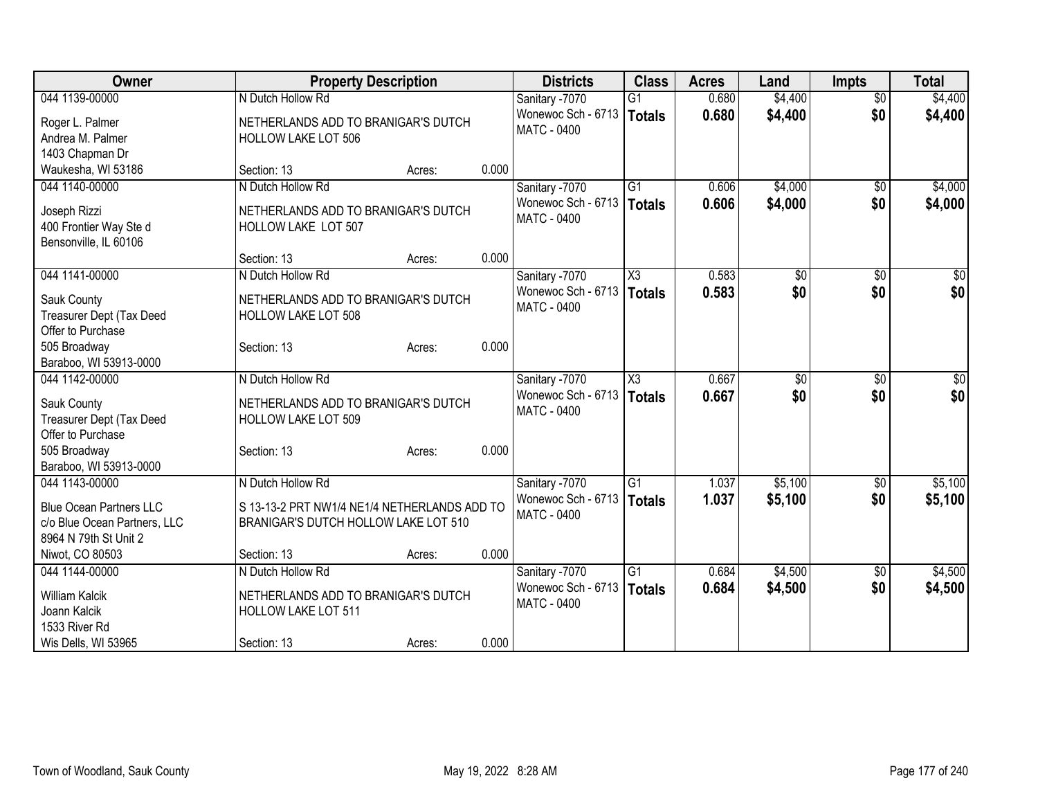| Owner                                           | <b>Property Description</b>                  |        |       | <b>Districts</b>   | <b>Class</b>        | <b>Acres</b> | Land    | Impts           | <b>Total</b> |
|-------------------------------------------------|----------------------------------------------|--------|-------|--------------------|---------------------|--------------|---------|-----------------|--------------|
| 044 1139-00000                                  | N Dutch Hollow Rd                            |        |       | Sanitary -7070     | $\overline{G1}$     | 0.680        | \$4,400 | $\overline{50}$ | \$4,400      |
| Roger L. Palmer                                 | NETHERLANDS ADD TO BRANIGAR'S DUTCH          |        |       | Wonewoc Sch - 6713 | Totals              | 0.680        | \$4,400 | \$0             | \$4,400      |
| Andrea M. Palmer                                | HOLLOW LAKE LOT 506                          |        |       | <b>MATC - 0400</b> |                     |              |         |                 |              |
| 1403 Chapman Dr                                 |                                              |        |       |                    |                     |              |         |                 |              |
| Waukesha, WI 53186                              | Section: 13                                  | Acres: | 0.000 |                    |                     |              |         |                 |              |
| 044 1140-00000                                  | N Dutch Hollow Rd                            |        |       | Sanitary -7070     | $\overline{G1}$     | 0.606        | \$4,000 | $\sqrt{50}$     | \$4,000      |
|                                                 |                                              |        |       | Wonewoc Sch - 6713 | Totals              | 0.606        | \$4,000 | \$0             | \$4,000      |
| Joseph Rizzi                                    | NETHERLANDS ADD TO BRANIGAR'S DUTCH          |        |       | MATC - 0400        |                     |              |         |                 |              |
| 400 Frontier Way Ste d<br>Bensonville, IL 60106 | HOLLOW LAKE LOT 507                          |        |       |                    |                     |              |         |                 |              |
|                                                 | Section: 13                                  | Acres: | 0.000 |                    |                     |              |         |                 |              |
| 044 1141-00000                                  | N Dutch Hollow Rd                            |        |       | Sanitary -7070     | $\overline{\chi_3}$ | 0.583        | \$0     | $\overline{50}$ | \$0          |
|                                                 |                                              |        |       | Wonewoc Sch - 6713 | Totals              | 0.583        | \$0     | \$0             | \$0          |
| Sauk County                                     | NETHERLANDS ADD TO BRANIGAR'S DUTCH          |        |       | <b>MATC - 0400</b> |                     |              |         |                 |              |
| Treasurer Dept (Tax Deed                        | HOLLOW LAKE LOT 508                          |        |       |                    |                     |              |         |                 |              |
| Offer to Purchase                               |                                              |        |       |                    |                     |              |         |                 |              |
| 505 Broadway                                    | Section: 13                                  | Acres: | 0.000 |                    |                     |              |         |                 |              |
| Baraboo, WI 53913-0000                          |                                              |        |       |                    |                     |              |         |                 |              |
| 044 1142-00000                                  | N Dutch Hollow Rd                            |        |       | Sanitary -7070     | X3                  | 0.667        | \$0     | \$0             | \$0          |
| Sauk County                                     | NETHERLANDS ADD TO BRANIGAR'S DUTCH          |        |       | Wonewoc Sch - 6713 | <b>Totals</b>       | 0.667        | \$0     | \$0             | \$0          |
| Treasurer Dept (Tax Deed                        | HOLLOW LAKE LOT 509                          |        |       | <b>MATC - 0400</b> |                     |              |         |                 |              |
| Offer to Purchase                               |                                              |        |       |                    |                     |              |         |                 |              |
| 505 Broadway                                    | Section: 13                                  | Acres: | 0.000 |                    |                     |              |         |                 |              |
| Baraboo, WI 53913-0000                          |                                              |        |       |                    |                     |              |         |                 |              |
| 044 1143-00000                                  | N Dutch Hollow Rd                            |        |       | Sanitary -7070     | $\overline{G1}$     | 1.037        | \$5,100 | \$0             | \$5,100      |
| <b>Blue Ocean Partners LLC</b>                  | S 13-13-2 PRT NW1/4 NE1/4 NETHERLANDS ADD TO |        |       | Wonewoc Sch - 6713 | Totals              | 1.037        | \$5,100 | \$0             | \$5,100      |
| c/o Blue Ocean Partners, LLC                    | BRANIGAR'S DUTCH HOLLOW LAKE LOT 510         |        |       | <b>MATC - 0400</b> |                     |              |         |                 |              |
| 8964 N 79th St Unit 2                           |                                              |        |       |                    |                     |              |         |                 |              |
| Niwot, CO 80503                                 | Section: 13                                  | Acres: | 0.000 |                    |                     |              |         |                 |              |
| 044 1144-00000                                  | N Dutch Hollow Rd                            |        |       | Sanitary -7070     | $\overline{G1}$     | 0.684        | \$4,500 | \$0             | \$4,500      |
|                                                 |                                              |        |       | Wonewoc Sch - 6713 | Totals              | 0.684        | \$4,500 | \$0             | \$4,500      |
| <b>William Kalcik</b>                           | NETHERLANDS ADD TO BRANIGAR'S DUTCH          |        |       | <b>MATC - 0400</b> |                     |              |         |                 |              |
| Joann Kalcik                                    | <b>HOLLOW LAKE LOT 511</b>                   |        |       |                    |                     |              |         |                 |              |
| 1533 River Rd                                   |                                              |        |       |                    |                     |              |         |                 |              |
| Wis Dells, WI 53965                             | Section: 13                                  | Acres: | 0.000 |                    |                     |              |         |                 |              |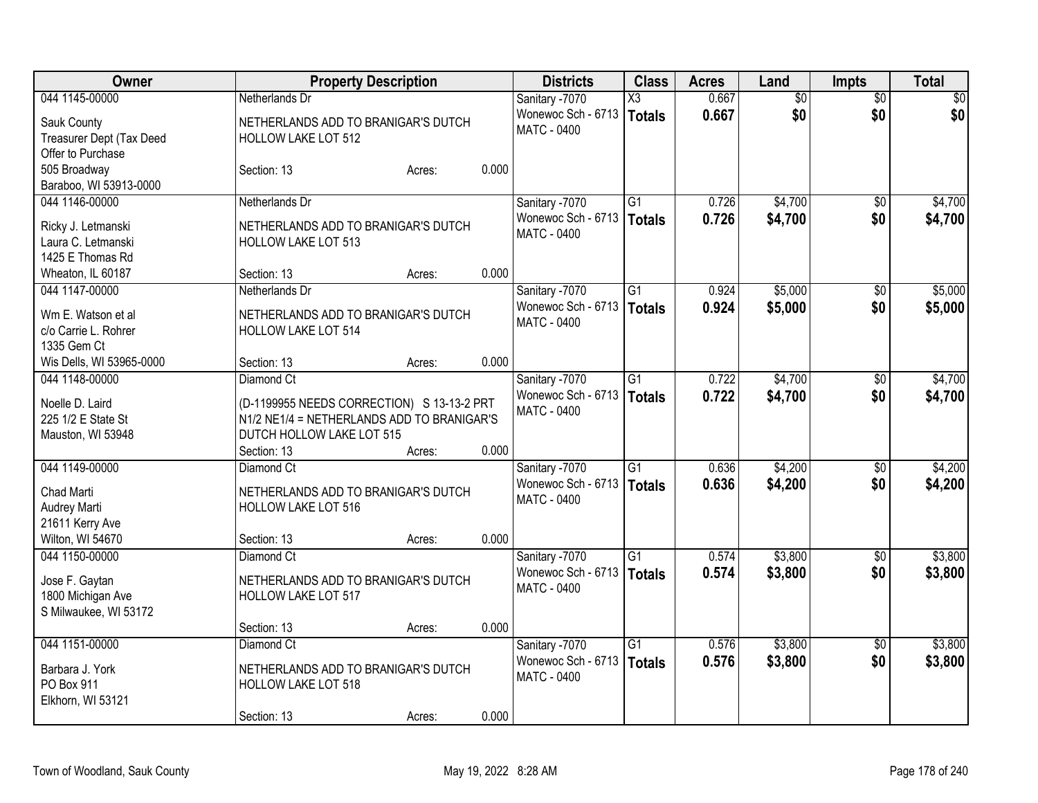| Owner                    |                                            | <b>Property Description</b> |       | <b>Districts</b>   | <b>Class</b>    | <b>Acres</b> | Land            | <b>Impts</b>    | Total           |
|--------------------------|--------------------------------------------|-----------------------------|-------|--------------------|-----------------|--------------|-----------------|-----------------|-----------------|
| 044 1145-00000           | Netherlands Dr                             |                             |       | Sanitary -7070     | X3              | 0.667        | $\overline{50}$ | $\overline{50}$ | $\overline{50}$ |
| Sauk County              | NETHERLANDS ADD TO BRANIGAR'S DUTCH        |                             |       | Wonewoc Sch - 6713 | <b>Totals</b>   | 0.667        | \$0             | \$0             | \$0             |
| Treasurer Dept (Tax Deed | HOLLOW LAKE LOT 512                        |                             |       | <b>MATC - 0400</b> |                 |              |                 |                 |                 |
| Offer to Purchase        |                                            |                             |       |                    |                 |              |                 |                 |                 |
| 505 Broadway             | Section: 13                                | Acres:                      | 0.000 |                    |                 |              |                 |                 |                 |
| Baraboo, WI 53913-0000   |                                            |                             |       |                    |                 |              |                 |                 |                 |
| 044 1146-00000           | Netherlands Dr                             |                             |       | Sanitary -7070     | $\overline{G1}$ | 0.726        | \$4,700         | \$0             | \$4,700         |
| Ricky J. Letmanski       | NETHERLANDS ADD TO BRANIGAR'S DUTCH        |                             |       | Wonewoc Sch - 6713 | <b>Totals</b>   | 0.726        | \$4,700         | \$0             | \$4,700         |
| Laura C. Letmanski       | HOLLOW LAKE LOT 513                        |                             |       | <b>MATC - 0400</b> |                 |              |                 |                 |                 |
| 1425 E Thomas Rd         |                                            |                             |       |                    |                 |              |                 |                 |                 |
| Wheaton, IL 60187        | Section: 13                                | Acres:                      | 0.000 |                    |                 |              |                 |                 |                 |
| 044 1147-00000           | Netherlands Dr                             |                             |       | Sanitary -7070     | $\overline{G1}$ | 0.924        | \$5,000         | \$0             | \$5,000         |
|                          |                                            |                             |       | Wonewoc Sch - 6713 | <b>Totals</b>   | 0.924        | \$5,000         | \$0             | \$5,000         |
| Wm E. Watson et al       | NETHERLANDS ADD TO BRANIGAR'S DUTCH        |                             |       | MATC - 0400        |                 |              |                 |                 |                 |
| c/o Carrie L. Rohrer     | <b>HOLLOW LAKE LOT 514</b>                 |                             |       |                    |                 |              |                 |                 |                 |
| 1335 Gem Ct              |                                            |                             |       |                    |                 |              |                 |                 |                 |
| Wis Dells, WI 53965-0000 | Section: 13                                | Acres:                      | 0.000 |                    |                 |              |                 |                 |                 |
| 044 1148-00000           | Diamond Ct                                 |                             |       | Sanitary -7070     | G1              | 0.722        | \$4,700         | \$0             | \$4,700         |
| Noelle D. Laird          | (D-1199955 NEEDS CORRECTION) S 13-13-2 PRT |                             |       | Wonewoc Sch - 6713 | <b>Totals</b>   | 0.722        | \$4,700         | \$0             | \$4,700         |
| 225 1/2 E State St       | N1/2 NE1/4 = NETHERLANDS ADD TO BRANIGAR'S |                             |       | <b>MATC - 0400</b> |                 |              |                 |                 |                 |
| Mauston, WI 53948        | DUTCH HOLLOW LAKE LOT 515                  |                             |       |                    |                 |              |                 |                 |                 |
|                          | Section: 13                                | Acres:                      | 0.000 |                    |                 |              |                 |                 |                 |
| 044 1149-00000           | Diamond Ct                                 |                             |       | Sanitary -7070     | G1              | 0.636        | \$4,200         | \$0             | \$4,200         |
|                          |                                            |                             |       | Wonewoc Sch - 6713 | <b>Totals</b>   | 0.636        | \$4,200         | \$0             | \$4,200         |
| Chad Marti               | NETHERLANDS ADD TO BRANIGAR'S DUTCH        |                             |       | <b>MATC - 0400</b> |                 |              |                 |                 |                 |
| Audrey Marti             | HOLLOW LAKE LOT 516                        |                             |       |                    |                 |              |                 |                 |                 |
| 21611 Kerry Ave          |                                            |                             |       |                    |                 |              |                 |                 |                 |
| Wilton, WI 54670         | Section: 13                                | Acres:                      | 0.000 |                    |                 |              |                 |                 |                 |
| 044 1150-00000           | Diamond Ct                                 |                             |       | Sanitary -7070     | $\overline{G1}$ | 0.574        | \$3,800         | $\overline{50}$ | \$3,800         |
| Jose F. Gaytan           | NETHERLANDS ADD TO BRANIGAR'S DUTCH        |                             |       | Wonewoc Sch - 6713 | <b>Totals</b>   | 0.574        | \$3,800         | \$0             | \$3,800         |
| 1800 Michigan Ave        | <b>HOLLOW LAKE LOT 517</b>                 |                             |       | <b>MATC - 0400</b> |                 |              |                 |                 |                 |
| S Milwaukee, WI 53172    |                                            |                             |       |                    |                 |              |                 |                 |                 |
|                          | Section: 13                                | Acres:                      | 0.000 |                    |                 |              |                 |                 |                 |
| 044 1151-00000           | Diamond Ct                                 |                             |       | Sanitary -7070     | $\overline{G1}$ | 0.576        | \$3,800         | $\overline{50}$ | \$3,800         |
| Barbara J. York          | NETHERLANDS ADD TO BRANIGAR'S DUTCH        |                             |       | Wonewoc Sch - 6713 | Totals          | 0.576        | \$3,800         | \$0             | \$3,800         |
| PO Box 911               | HOLLOW LAKE LOT 518                        |                             |       | MATC - 0400        |                 |              |                 |                 |                 |
| Elkhorn, WI 53121        |                                            |                             |       |                    |                 |              |                 |                 |                 |
|                          | Section: 13                                |                             | 0.000 |                    |                 |              |                 |                 |                 |
|                          |                                            | Acres:                      |       |                    |                 |              |                 |                 |                 |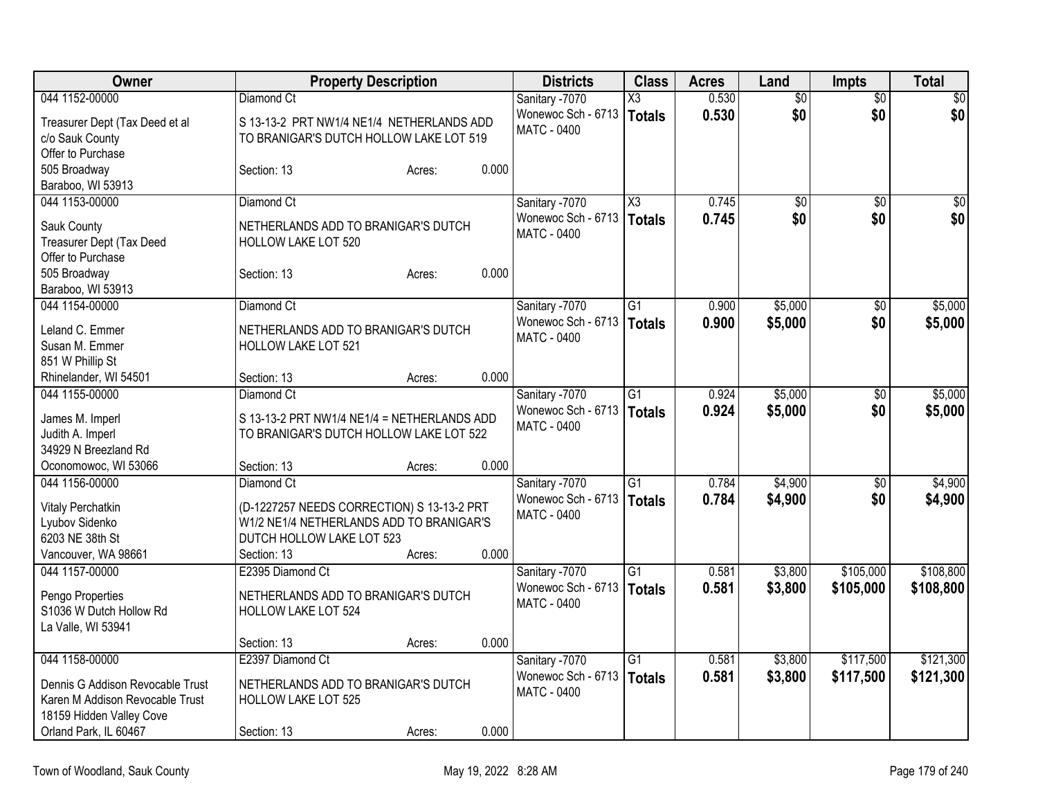| Owner                                       | <b>Property Description</b>                                       |        |       | <b>Districts</b>                     | <b>Class</b>           | <b>Acres</b> | Land            | <b>Impts</b>    | <b>Total</b>    |
|---------------------------------------------|-------------------------------------------------------------------|--------|-------|--------------------------------------|------------------------|--------------|-----------------|-----------------|-----------------|
| 044 1152-00000                              | Diamond Ct                                                        |        |       | Sanitary -7070                       | X3                     | 0.530        | $\overline{50}$ | $\overline{50}$ | $\overline{50}$ |
| Treasurer Dept (Tax Deed et al              | S 13-13-2 PRT NW1/4 NE1/4 NETHERLANDS ADD                         |        |       | Wonewoc Sch - 6713                   | Totals                 | 0.530        | \$0             | \$0             | \$0             |
| c/o Sauk County                             | TO BRANIGAR'S DUTCH HOLLOW LAKE LOT 519                           |        |       | MATC - 0400                          |                        |              |                 |                 |                 |
| Offer to Purchase                           |                                                                   |        |       |                                      |                        |              |                 |                 |                 |
| 505 Broadway                                | Section: 13                                                       | Acres: | 0.000 |                                      |                        |              |                 |                 |                 |
| Baraboo, WI 53913                           |                                                                   |        |       |                                      |                        |              |                 |                 |                 |
| 044 1153-00000                              | Diamond Ct                                                        |        |       | Sanitary -7070                       | $\overline{\text{X3}}$ | 0.745        | $\overline{50}$ | $\overline{30}$ | $\sqrt{50}$     |
| Sauk County                                 | NETHERLANDS ADD TO BRANIGAR'S DUTCH                               |        |       | Wonewoc Sch - 6713                   | <b>Totals</b>          | 0.745        | \$0             | \$0             | \$0             |
| Treasurer Dept (Tax Deed                    | HOLLOW LAKE LOT 520                                               |        |       | MATC - 0400                          |                        |              |                 |                 |                 |
| Offer to Purchase                           |                                                                   |        |       |                                      |                        |              |                 |                 |                 |
| 505 Broadway                                | Section: 13                                                       | Acres: | 0.000 |                                      |                        |              |                 |                 |                 |
| Baraboo, WI 53913                           |                                                                   |        |       |                                      |                        |              |                 |                 |                 |
| 044 1154-00000                              | Diamond Ct                                                        |        |       | Sanitary -7070                       | $\overline{G1}$        | 0.900        | \$5,000         | $\overline{50}$ | \$5,000         |
|                                             |                                                                   |        |       | Wonewoc Sch - 6713                   | <b>Totals</b>          | 0.900        | \$5,000         | \$0             | \$5,000         |
| Leland C. Emmer                             | NETHERLANDS ADD TO BRANIGAR'S DUTCH                               |        |       | MATC - 0400                          |                        |              |                 |                 |                 |
| Susan M. Emmer<br>851 W Phillip St          | <b>HOLLOW LAKE LOT 521</b>                                        |        |       |                                      |                        |              |                 |                 |                 |
| Rhinelander, WI 54501                       | Section: 13                                                       |        | 0.000 |                                      |                        |              |                 |                 |                 |
| 044 1155-00000                              | Diamond Ct                                                        | Acres: |       |                                      | G1                     | 0.924        | \$5,000         |                 | \$5,000         |
|                                             |                                                                   |        |       | Sanitary -7070<br>Wonewoc Sch - 6713 |                        |              |                 | \$0<br>\$0      |                 |
| James M. Imperl                             | S 13-13-2 PRT NW1/4 NE1/4 = NETHERLANDS ADD                       |        |       | <b>MATC - 0400</b>                   | Totals                 | 0.924        | \$5,000         |                 | \$5,000         |
| Judith A. Imperl                            | TO BRANIGAR'S DUTCH HOLLOW LAKE LOT 522                           |        |       |                                      |                        |              |                 |                 |                 |
| 34929 N Breezland Rd                        |                                                                   |        |       |                                      |                        |              |                 |                 |                 |
| Oconomowoc, WI 53066                        | Section: 13                                                       | Acres: | 0.000 |                                      |                        |              |                 |                 |                 |
| 044 1156-00000                              | Diamond Ct                                                        |        |       | Sanitary -7070                       | $\overline{G1}$        | 0.784        | \$4,900         | \$0             | \$4,900         |
| Vitaly Perchatkin                           | (D-1227257 NEEDS CORRECTION) S 13-13-2 PRT                        |        |       | Wonewoc Sch - 6713                   | Totals                 | 0.784        | \$4,900         | \$0             | \$4,900         |
| Lyubov Sidenko                              | W1/2 NE1/4 NETHERLANDS ADD TO BRANIGAR'S                          |        |       | MATC - 0400                          |                        |              |                 |                 |                 |
| 6203 NE 38th St                             | DUTCH HOLLOW LAKE LOT 523                                         |        |       |                                      |                        |              |                 |                 |                 |
| Vancouver, WA 98661                         | Section: 13                                                       | Acres: | 0.000 |                                      |                        |              |                 |                 |                 |
| 044 1157-00000                              | E2395 Diamond Ct                                                  |        |       | Sanitary -7070                       | $\overline{G1}$        | 0.581        | \$3,800         | \$105,000       | \$108,800       |
|                                             |                                                                   |        |       | Wonewoc Sch - 6713                   | Totals                 | 0.581        | \$3,800         | \$105,000       | \$108,800       |
| Pengo Properties<br>S1036 W Dutch Hollow Rd | NETHERLANDS ADD TO BRANIGAR'S DUTCH<br><b>HOLLOW LAKE LOT 524</b> |        |       | MATC - 0400                          |                        |              |                 |                 |                 |
| La Valle, WI 53941                          |                                                                   |        |       |                                      |                        |              |                 |                 |                 |
|                                             | Section: 13                                                       | Acres: | 0.000 |                                      |                        |              |                 |                 |                 |
| 044 1158-00000                              | E2397 Diamond Ct                                                  |        |       | Sanitary -7070                       | $\overline{G1}$        | 0.581        | \$3,800         | \$117,500       | \$121,300       |
|                                             |                                                                   |        |       | Wonewoc Sch - 6713                   | Totals                 | 0.581        | \$3,800         | \$117,500       | \$121,300       |
| Dennis G Addison Revocable Trust            | NETHERLANDS ADD TO BRANIGAR'S DUTCH                               |        |       | <b>MATC - 0400</b>                   |                        |              |                 |                 |                 |
| Karen M Addison Revocable Trust             | <b>HOLLOW LAKE LOT 525</b>                                        |        |       |                                      |                        |              |                 |                 |                 |
| 18159 Hidden Valley Cove                    |                                                                   |        |       |                                      |                        |              |                 |                 |                 |
| Orland Park, IL 60467                       | Section: 13                                                       | Acres: | 0.000 |                                      |                        |              |                 |                 |                 |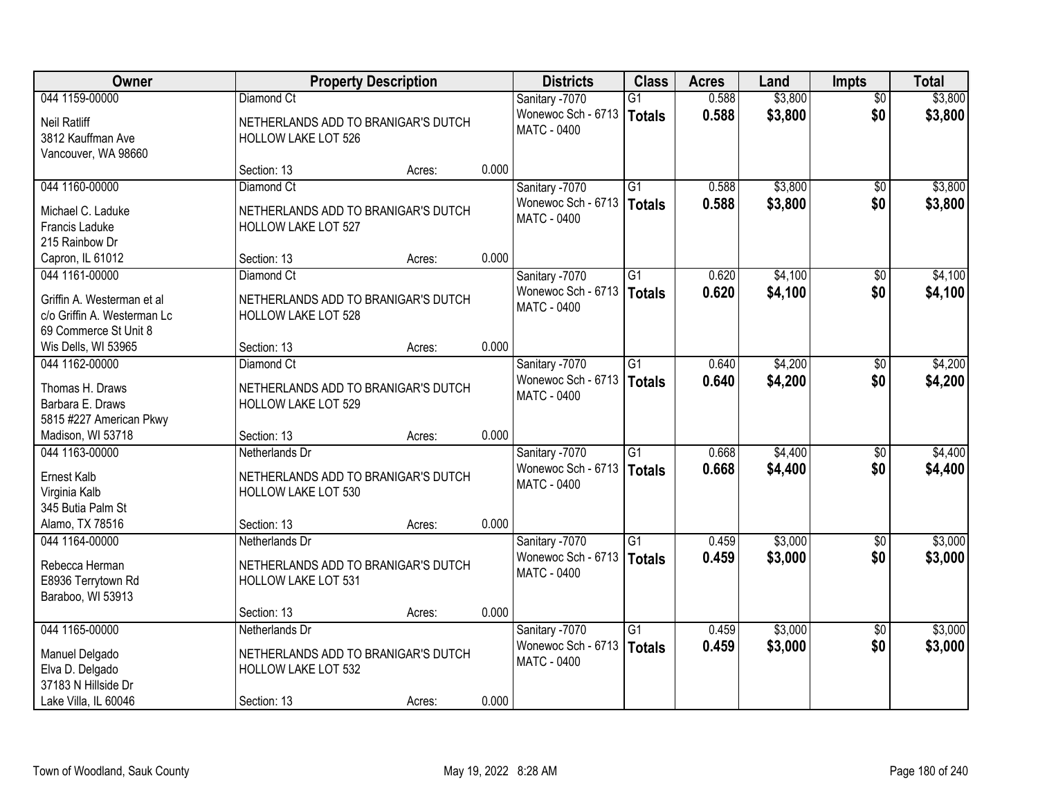| Owner                                    |                                                                   | <b>Property Description</b> |       | <b>Districts</b>                         | <b>Class</b>    | <b>Acres</b> | Land    | <b>Impts</b>           | <b>Total</b> |
|------------------------------------------|-------------------------------------------------------------------|-----------------------------|-------|------------------------------------------|-----------------|--------------|---------|------------------------|--------------|
| 044 1159-00000                           | Diamond Ct                                                        |                             |       | Sanitary -7070                           | $\overline{G1}$ | 0.588        | \$3,800 | $\overline{50}$        | \$3,800      |
| <b>Neil Ratliff</b><br>3812 Kauffman Ave | NETHERLANDS ADD TO BRANIGAR'S DUTCH<br><b>HOLLOW LAKE LOT 526</b> |                             |       | Wonewoc Sch - 6713<br><b>MATC - 0400</b> | Totals          | 0.588        | \$3,800 | \$0                    | \$3,800      |
| Vancouver, WA 98660                      |                                                                   |                             | 0.000 |                                          |                 |              |         |                        |              |
| 044 1160-00000                           | Section: 13<br>Diamond Ct                                         | Acres:                      |       |                                          | $\overline{G1}$ | 0.588        | \$3,800 |                        | \$3,800      |
|                                          |                                                                   |                             |       | Sanitary -7070<br>Wonewoc Sch - 6713     |                 | 0.588        | \$3,800 | $\overline{50}$<br>\$0 |              |
| Michael C. Laduke                        | NETHERLANDS ADD TO BRANIGAR'S DUTCH                               |                             |       | MATC - 0400                              | Totals          |              |         |                        | \$3,800      |
| Francis Laduke                           | HOLLOW LAKE LOT 527                                               |                             |       |                                          |                 |              |         |                        |              |
| 215 Rainbow Dr                           |                                                                   |                             |       |                                          |                 |              |         |                        |              |
| Capron, IL 61012                         | Section: 13                                                       | Acres:                      | 0.000 |                                          |                 |              |         |                        |              |
| 044 1161-00000                           | Diamond Ct                                                        |                             |       | Sanitary -7070                           | $\overline{G1}$ | 0.620        | \$4,100 | \$0                    | \$4,100      |
| Griffin A. Westerman et al               | NETHERLANDS ADD TO BRANIGAR'S DUTCH                               |                             |       | Wonewoc Sch - 6713                       | Totals          | 0.620        | \$4,100 | \$0                    | \$4,100      |
| c/o Griffin A. Westerman Lc              | HOLLOW LAKE LOT 528                                               |                             |       | MATC - 0400                              |                 |              |         |                        |              |
| 69 Commerce St Unit 8                    |                                                                   |                             |       |                                          |                 |              |         |                        |              |
| Wis Dells, WI 53965                      | Section: 13                                                       | Acres:                      | 0.000 |                                          |                 |              |         |                        |              |
| 044 1162-00000                           | Diamond Ct                                                        |                             |       | Sanitary -7070                           | $\overline{G1}$ | 0.640        | \$4,200 | $\sqrt[6]{3}$          | \$4,200      |
| Thomas H. Draws                          | NETHERLANDS ADD TO BRANIGAR'S DUTCH                               |                             |       | Wonewoc Sch - 6713                       | <b>Totals</b>   | 0.640        | \$4,200 | \$0                    | \$4,200      |
| Barbara E. Draws                         | HOLLOW LAKE LOT 529                                               |                             |       | MATC - 0400                              |                 |              |         |                        |              |
| 5815 #227 American Pkwy                  |                                                                   |                             |       |                                          |                 |              |         |                        |              |
| Madison, WI 53718                        | Section: 13                                                       | Acres:                      | 0.000 |                                          |                 |              |         |                        |              |
| 044 1163-00000                           | Netherlands Dr                                                    |                             |       | Sanitary -7070                           | $\overline{G1}$ | 0.668        | \$4,400 | \$0                    | \$4,400      |
|                                          |                                                                   |                             |       | Wonewoc Sch - 6713                       | Totals          | 0.668        | \$4,400 | \$0                    | \$4,400      |
| Ernest Kalb                              | NETHERLANDS ADD TO BRANIGAR'S DUTCH                               |                             |       | MATC - 0400                              |                 |              |         |                        |              |
| Virginia Kalb                            | HOLLOW LAKE LOT 530                                               |                             |       |                                          |                 |              |         |                        |              |
| 345 Butia Palm St                        |                                                                   |                             |       |                                          |                 |              |         |                        |              |
| Alamo, TX 78516                          | Section: 13                                                       | Acres:                      | 0.000 |                                          |                 |              |         |                        |              |
| 044 1164-00000                           | Netherlands Dr                                                    |                             |       | Sanitary -7070                           | $\overline{G1}$ | 0.459        | \$3,000 | $\sqrt{6}$             | \$3,000      |
| Rebecca Herman                           | NETHERLANDS ADD TO BRANIGAR'S DUTCH                               |                             |       | Wonewoc Sch - 6713<br><b>MATC - 0400</b> | Totals          | 0.459        | \$3,000 | \$0                    | \$3,000      |
| E8936 Terrytown Rd                       | <b>HOLLOW LAKE LOT 531</b>                                        |                             |       |                                          |                 |              |         |                        |              |
| Baraboo, WI 53913                        |                                                                   |                             |       |                                          |                 |              |         |                        |              |
|                                          | Section: 13                                                       | Acres:                      | 0.000 |                                          |                 |              |         |                        |              |
| 044 1165-00000                           | Netherlands Dr                                                    |                             |       | Sanitary -7070                           | $\overline{G1}$ | 0.459        | \$3,000 | $\overline{50}$        | \$3,000      |
| Manuel Delgado                           | NETHERLANDS ADD TO BRANIGAR'S DUTCH                               |                             |       | Wonewoc Sch - 6713                       | <b>Totals</b>   | 0.459        | \$3,000 | \$0                    | \$3,000      |
| Elva D. Delgado                          | <b>HOLLOW LAKE LOT 532</b>                                        |                             |       | <b>MATC - 0400</b>                       |                 |              |         |                        |              |
| 37183 N Hillside Dr                      |                                                                   |                             |       |                                          |                 |              |         |                        |              |
| Lake Villa, IL 60046                     | Section: 13                                                       | Acres:                      | 0.000 |                                          |                 |              |         |                        |              |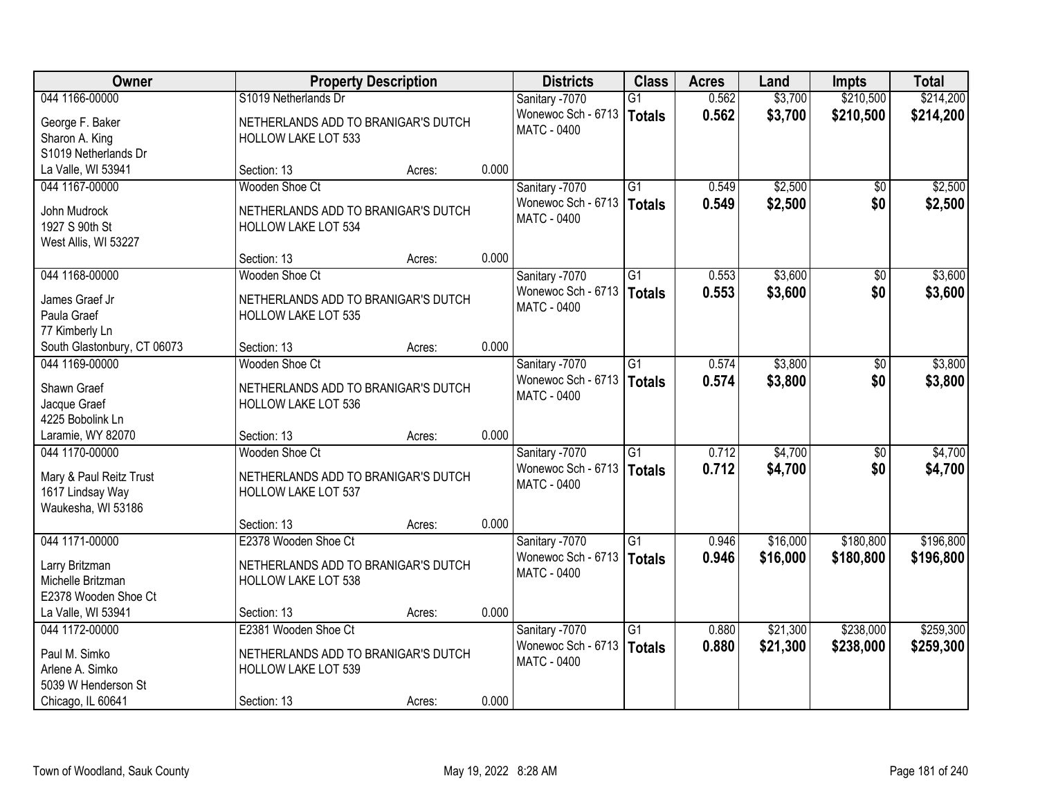| \$214,200<br>044 1166-00000<br>S1019 Netherlands Dr<br>0.562<br>\$3,700<br>\$210,500<br>Sanitary -7070<br>G1<br>Wonewoc Sch - 6713<br>0.562<br>\$3,700<br>\$210,500<br>\$214,200<br>Totals<br>George F. Baker<br>NETHERLANDS ADD TO BRANIGAR'S DUTCH<br>MATC - 0400<br>Sharon A. King<br><b>HOLLOW LAKE LOT 533</b><br>S1019 Netherlands Dr<br>0.000<br>La Valle, WI 53941<br>Section: 13<br>Acres:<br>\$2,500<br>$\overline{G1}$<br>044 1167-00000<br>Wooden Shoe Ct<br>Sanitary -7070<br>0.549<br>\$0<br>0.549<br>\$2,500<br>Wonewoc Sch - 6713<br>\$0<br>Totals<br>John Mudrock<br>NETHERLANDS ADD TO BRANIGAR'S DUTCH<br><b>MATC - 0400</b><br>1927 S 90th St<br><b>HOLLOW LAKE LOT 534</b><br>West Allis, WI 53227<br>0.000<br>Section: 13<br>Acres:<br>\$3,600<br>044 1168-00000<br>Wooden Shoe Ct<br>Sanitary -7070<br>G1<br>0.553<br>\$0<br>\$0<br>Wonewoc Sch - 6713<br>0.553<br>\$3,600<br><b>Totals</b><br>James Graef Jr<br>NETHERLANDS ADD TO BRANIGAR'S DUTCH<br>MATC - 0400<br>Paula Graef<br><b>HOLLOW LAKE LOT 535</b><br>77 Kimberly Ln<br>0.000<br>South Glastonbury, CT 06073<br>Section: 13<br>Acres:<br>\$3,800<br>$\overline{G1}$<br>044 1169-00000<br>Wooden Shoe Ct<br>Sanitary -7070<br>0.574<br>$\sqrt[6]{3}$<br>Wonewoc Sch - 6713<br>\$0<br>0.574<br>\$3,800<br>\$3,800<br>Totals<br>Shawn Graef<br>NETHERLANDS ADD TO BRANIGAR'S DUTCH<br>MATC - 0400<br>Jacque Graef<br>HOLLOW LAKE LOT 536<br>4225 Bobolink Ln<br>0.000<br>Laramie, WY 82070<br>Section: 13<br>Acres:<br>\$4,700<br>044 1170-00000<br>Wooden Shoe Ct<br>$\overline{G1}$<br>0.712<br>$\overline{50}$<br>Sanitary -7070<br>0.712<br>\$4,700<br>Wonewoc Sch - 6713<br>\$0<br>Totals<br>Mary & Paul Reitz Trust<br>NETHERLANDS ADD TO BRANIGAR'S DUTCH<br>MATC - 0400<br>1617 Lindsay Way<br><b>HOLLOW LAKE LOT 537</b><br>Waukesha, WI 53186<br>0.000<br>Section: 13<br>Acres:<br>E2378 Wooden Shoe Ct<br>$\overline{G1}$<br>\$16,000<br>\$180,800<br>044 1171-00000<br>Sanitary -7070<br>0.946<br>Wonewoc Sch - 6713<br>0.946<br>\$16,000<br>\$180,800<br>Totals<br>Larry Britzman<br>NETHERLANDS ADD TO BRANIGAR'S DUTCH<br><b>MATC - 0400</b><br>Michelle Britzman<br><b>HOLLOW LAKE LOT 538</b> | Owner                | <b>Property Description</b> | <b>Districts</b> | <b>Class</b> | <b>Acres</b> | Land | <b>Impts</b> | <b>Total</b> |
|--------------------------------------------------------------------------------------------------------------------------------------------------------------------------------------------------------------------------------------------------------------------------------------------------------------------------------------------------------------------------------------------------------------------------------------------------------------------------------------------------------------------------------------------------------------------------------------------------------------------------------------------------------------------------------------------------------------------------------------------------------------------------------------------------------------------------------------------------------------------------------------------------------------------------------------------------------------------------------------------------------------------------------------------------------------------------------------------------------------------------------------------------------------------------------------------------------------------------------------------------------------------------------------------------------------------------------------------------------------------------------------------------------------------------------------------------------------------------------------------------------------------------------------------------------------------------------------------------------------------------------------------------------------------------------------------------------------------------------------------------------------------------------------------------------------------------------------------------------------------------------------------------------------------------------------------------------------------------------------------------------------------------------------------------------------------------------------------------------------------------------------------------------------------------------------------------|----------------------|-----------------------------|------------------|--------------|--------------|------|--------------|--------------|
|                                                                                                                                                                                                                                                                                                                                                                                                                                                                                                                                                                                                                                                                                                                                                                                                                                                                                                                                                                                                                                                                                                                                                                                                                                                                                                                                                                                                                                                                                                                                                                                                                                                                                                                                                                                                                                                                                                                                                                                                                                                                                                                                                                                                  |                      |                             |                  |              |              |      |              |              |
|                                                                                                                                                                                                                                                                                                                                                                                                                                                                                                                                                                                                                                                                                                                                                                                                                                                                                                                                                                                                                                                                                                                                                                                                                                                                                                                                                                                                                                                                                                                                                                                                                                                                                                                                                                                                                                                                                                                                                                                                                                                                                                                                                                                                  |                      |                             |                  |              |              |      |              |              |
|                                                                                                                                                                                                                                                                                                                                                                                                                                                                                                                                                                                                                                                                                                                                                                                                                                                                                                                                                                                                                                                                                                                                                                                                                                                                                                                                                                                                                                                                                                                                                                                                                                                                                                                                                                                                                                                                                                                                                                                                                                                                                                                                                                                                  |                      |                             |                  |              |              |      |              |              |
|                                                                                                                                                                                                                                                                                                                                                                                                                                                                                                                                                                                                                                                                                                                                                                                                                                                                                                                                                                                                                                                                                                                                                                                                                                                                                                                                                                                                                                                                                                                                                                                                                                                                                                                                                                                                                                                                                                                                                                                                                                                                                                                                                                                                  |                      |                             |                  |              |              |      |              |              |
|                                                                                                                                                                                                                                                                                                                                                                                                                                                                                                                                                                                                                                                                                                                                                                                                                                                                                                                                                                                                                                                                                                                                                                                                                                                                                                                                                                                                                                                                                                                                                                                                                                                                                                                                                                                                                                                                                                                                                                                                                                                                                                                                                                                                  |                      |                             |                  |              |              |      |              |              |
| \$2,500<br>\$3,600<br>\$3,600<br>\$3,800<br>\$4,700<br>\$4,700<br>\$196,800<br>\$196,800                                                                                                                                                                                                                                                                                                                                                                                                                                                                                                                                                                                                                                                                                                                                                                                                                                                                                                                                                                                                                                                                                                                                                                                                                                                                                                                                                                                                                                                                                                                                                                                                                                                                                                                                                                                                                                                                                                                                                                                                                                                                                                         |                      |                             |                  |              |              |      |              | \$2,500      |
|                                                                                                                                                                                                                                                                                                                                                                                                                                                                                                                                                                                                                                                                                                                                                                                                                                                                                                                                                                                                                                                                                                                                                                                                                                                                                                                                                                                                                                                                                                                                                                                                                                                                                                                                                                                                                                                                                                                                                                                                                                                                                                                                                                                                  |                      |                             |                  |              |              |      |              |              |
|                                                                                                                                                                                                                                                                                                                                                                                                                                                                                                                                                                                                                                                                                                                                                                                                                                                                                                                                                                                                                                                                                                                                                                                                                                                                                                                                                                                                                                                                                                                                                                                                                                                                                                                                                                                                                                                                                                                                                                                                                                                                                                                                                                                                  |                      |                             |                  |              |              |      |              |              |
|                                                                                                                                                                                                                                                                                                                                                                                                                                                                                                                                                                                                                                                                                                                                                                                                                                                                                                                                                                                                                                                                                                                                                                                                                                                                                                                                                                                                                                                                                                                                                                                                                                                                                                                                                                                                                                                                                                                                                                                                                                                                                                                                                                                                  |                      |                             |                  |              |              |      |              |              |
|                                                                                                                                                                                                                                                                                                                                                                                                                                                                                                                                                                                                                                                                                                                                                                                                                                                                                                                                                                                                                                                                                                                                                                                                                                                                                                                                                                                                                                                                                                                                                                                                                                                                                                                                                                                                                                                                                                                                                                                                                                                                                                                                                                                                  |                      |                             |                  |              |              |      |              |              |
|                                                                                                                                                                                                                                                                                                                                                                                                                                                                                                                                                                                                                                                                                                                                                                                                                                                                                                                                                                                                                                                                                                                                                                                                                                                                                                                                                                                                                                                                                                                                                                                                                                                                                                                                                                                                                                                                                                                                                                                                                                                                                                                                                                                                  |                      |                             |                  |              |              |      |              |              |
|                                                                                                                                                                                                                                                                                                                                                                                                                                                                                                                                                                                                                                                                                                                                                                                                                                                                                                                                                                                                                                                                                                                                                                                                                                                                                                                                                                                                                                                                                                                                                                                                                                                                                                                                                                                                                                                                                                                                                                                                                                                                                                                                                                                                  |                      |                             |                  |              |              |      |              |              |
|                                                                                                                                                                                                                                                                                                                                                                                                                                                                                                                                                                                                                                                                                                                                                                                                                                                                                                                                                                                                                                                                                                                                                                                                                                                                                                                                                                                                                                                                                                                                                                                                                                                                                                                                                                                                                                                                                                                                                                                                                                                                                                                                                                                                  |                      |                             |                  |              |              |      |              |              |
|                                                                                                                                                                                                                                                                                                                                                                                                                                                                                                                                                                                                                                                                                                                                                                                                                                                                                                                                                                                                                                                                                                                                                                                                                                                                                                                                                                                                                                                                                                                                                                                                                                                                                                                                                                                                                                                                                                                                                                                                                                                                                                                                                                                                  |                      |                             |                  |              |              |      |              |              |
|                                                                                                                                                                                                                                                                                                                                                                                                                                                                                                                                                                                                                                                                                                                                                                                                                                                                                                                                                                                                                                                                                                                                                                                                                                                                                                                                                                                                                                                                                                                                                                                                                                                                                                                                                                                                                                                                                                                                                                                                                                                                                                                                                                                                  |                      |                             |                  |              |              |      |              |              |
|                                                                                                                                                                                                                                                                                                                                                                                                                                                                                                                                                                                                                                                                                                                                                                                                                                                                                                                                                                                                                                                                                                                                                                                                                                                                                                                                                                                                                                                                                                                                                                                                                                                                                                                                                                                                                                                                                                                                                                                                                                                                                                                                                                                                  |                      |                             |                  |              |              |      |              |              |
|                                                                                                                                                                                                                                                                                                                                                                                                                                                                                                                                                                                                                                                                                                                                                                                                                                                                                                                                                                                                                                                                                                                                                                                                                                                                                                                                                                                                                                                                                                                                                                                                                                                                                                                                                                                                                                                                                                                                                                                                                                                                                                                                                                                                  |                      |                             |                  |              |              |      |              |              |
|                                                                                                                                                                                                                                                                                                                                                                                                                                                                                                                                                                                                                                                                                                                                                                                                                                                                                                                                                                                                                                                                                                                                                                                                                                                                                                                                                                                                                                                                                                                                                                                                                                                                                                                                                                                                                                                                                                                                                                                                                                                                                                                                                                                                  |                      |                             |                  |              |              |      |              |              |
|                                                                                                                                                                                                                                                                                                                                                                                                                                                                                                                                                                                                                                                                                                                                                                                                                                                                                                                                                                                                                                                                                                                                                                                                                                                                                                                                                                                                                                                                                                                                                                                                                                                                                                                                                                                                                                                                                                                                                                                                                                                                                                                                                                                                  |                      |                             |                  |              |              |      |              |              |
|                                                                                                                                                                                                                                                                                                                                                                                                                                                                                                                                                                                                                                                                                                                                                                                                                                                                                                                                                                                                                                                                                                                                                                                                                                                                                                                                                                                                                                                                                                                                                                                                                                                                                                                                                                                                                                                                                                                                                                                                                                                                                                                                                                                                  |                      |                             |                  |              |              |      |              |              |
|                                                                                                                                                                                                                                                                                                                                                                                                                                                                                                                                                                                                                                                                                                                                                                                                                                                                                                                                                                                                                                                                                                                                                                                                                                                                                                                                                                                                                                                                                                                                                                                                                                                                                                                                                                                                                                                                                                                                                                                                                                                                                                                                                                                                  |                      |                             |                  |              |              |      |              |              |
|                                                                                                                                                                                                                                                                                                                                                                                                                                                                                                                                                                                                                                                                                                                                                                                                                                                                                                                                                                                                                                                                                                                                                                                                                                                                                                                                                                                                                                                                                                                                                                                                                                                                                                                                                                                                                                                                                                                                                                                                                                                                                                                                                                                                  |                      |                             |                  |              |              |      |              |              |
|                                                                                                                                                                                                                                                                                                                                                                                                                                                                                                                                                                                                                                                                                                                                                                                                                                                                                                                                                                                                                                                                                                                                                                                                                                                                                                                                                                                                                                                                                                                                                                                                                                                                                                                                                                                                                                                                                                                                                                                                                                                                                                                                                                                                  |                      |                             |                  |              |              |      |              |              |
|                                                                                                                                                                                                                                                                                                                                                                                                                                                                                                                                                                                                                                                                                                                                                                                                                                                                                                                                                                                                                                                                                                                                                                                                                                                                                                                                                                                                                                                                                                                                                                                                                                                                                                                                                                                                                                                                                                                                                                                                                                                                                                                                                                                                  |                      |                             |                  |              |              |      |              |              |
|                                                                                                                                                                                                                                                                                                                                                                                                                                                                                                                                                                                                                                                                                                                                                                                                                                                                                                                                                                                                                                                                                                                                                                                                                                                                                                                                                                                                                                                                                                                                                                                                                                                                                                                                                                                                                                                                                                                                                                                                                                                                                                                                                                                                  |                      |                             |                  |              |              |      |              |              |
|                                                                                                                                                                                                                                                                                                                                                                                                                                                                                                                                                                                                                                                                                                                                                                                                                                                                                                                                                                                                                                                                                                                                                                                                                                                                                                                                                                                                                                                                                                                                                                                                                                                                                                                                                                                                                                                                                                                                                                                                                                                                                                                                                                                                  |                      |                             |                  |              |              |      |              |              |
|                                                                                                                                                                                                                                                                                                                                                                                                                                                                                                                                                                                                                                                                                                                                                                                                                                                                                                                                                                                                                                                                                                                                                                                                                                                                                                                                                                                                                                                                                                                                                                                                                                                                                                                                                                                                                                                                                                                                                                                                                                                                                                                                                                                                  |                      |                             |                  |              |              |      |              |              |
|                                                                                                                                                                                                                                                                                                                                                                                                                                                                                                                                                                                                                                                                                                                                                                                                                                                                                                                                                                                                                                                                                                                                                                                                                                                                                                                                                                                                                                                                                                                                                                                                                                                                                                                                                                                                                                                                                                                                                                                                                                                                                                                                                                                                  |                      |                             |                  |              |              |      |              |              |
|                                                                                                                                                                                                                                                                                                                                                                                                                                                                                                                                                                                                                                                                                                                                                                                                                                                                                                                                                                                                                                                                                                                                                                                                                                                                                                                                                                                                                                                                                                                                                                                                                                                                                                                                                                                                                                                                                                                                                                                                                                                                                                                                                                                                  |                      |                             |                  |              |              |      |              |              |
|                                                                                                                                                                                                                                                                                                                                                                                                                                                                                                                                                                                                                                                                                                                                                                                                                                                                                                                                                                                                                                                                                                                                                                                                                                                                                                                                                                                                                                                                                                                                                                                                                                                                                                                                                                                                                                                                                                                                                                                                                                                                                                                                                                                                  | E2378 Wooden Shoe Ct |                             |                  |              |              |      |              |              |
| 0.000<br>La Valle, WI 53941<br>Section: 13<br>Acres:                                                                                                                                                                                                                                                                                                                                                                                                                                                                                                                                                                                                                                                                                                                                                                                                                                                                                                                                                                                                                                                                                                                                                                                                                                                                                                                                                                                                                                                                                                                                                                                                                                                                                                                                                                                                                                                                                                                                                                                                                                                                                                                                             |                      |                             |                  |              |              |      |              |              |
| \$259,300<br>044 1172-00000<br>E2381 Wooden Shoe Ct<br>$\overline{G1}$<br>\$21,300<br>\$238,000<br>Sanitary -7070<br>0.880                                                                                                                                                                                                                                                                                                                                                                                                                                                                                                                                                                                                                                                                                                                                                                                                                                                                                                                                                                                                                                                                                                                                                                                                                                                                                                                                                                                                                                                                                                                                                                                                                                                                                                                                                                                                                                                                                                                                                                                                                                                                       |                      |                             |                  |              |              |      |              |              |
| Wonewoc Sch - 6713<br>0.880<br>\$21,300<br>\$259,300<br>Totals<br>\$238,000<br>Paul M. Simko                                                                                                                                                                                                                                                                                                                                                                                                                                                                                                                                                                                                                                                                                                                                                                                                                                                                                                                                                                                                                                                                                                                                                                                                                                                                                                                                                                                                                                                                                                                                                                                                                                                                                                                                                                                                                                                                                                                                                                                                                                                                                                     |                      |                             |                  |              |              |      |              |              |
| NETHERLANDS ADD TO BRANIGAR'S DUTCH<br>MATC - 0400<br>Arlene A. Simko<br>HOLLOW LAKE LOT 539                                                                                                                                                                                                                                                                                                                                                                                                                                                                                                                                                                                                                                                                                                                                                                                                                                                                                                                                                                                                                                                                                                                                                                                                                                                                                                                                                                                                                                                                                                                                                                                                                                                                                                                                                                                                                                                                                                                                                                                                                                                                                                     |                      |                             |                  |              |              |      |              |              |
| 5039 W Henderson St                                                                                                                                                                                                                                                                                                                                                                                                                                                                                                                                                                                                                                                                                                                                                                                                                                                                                                                                                                                                                                                                                                                                                                                                                                                                                                                                                                                                                                                                                                                                                                                                                                                                                                                                                                                                                                                                                                                                                                                                                                                                                                                                                                              |                      |                             |                  |              |              |      |              |              |
| 0.000<br>Chicago, IL 60641<br>Section: 13<br>Acres:                                                                                                                                                                                                                                                                                                                                                                                                                                                                                                                                                                                                                                                                                                                                                                                                                                                                                                                                                                                                                                                                                                                                                                                                                                                                                                                                                                                                                                                                                                                                                                                                                                                                                                                                                                                                                                                                                                                                                                                                                                                                                                                                              |                      |                             |                  |              |              |      |              |              |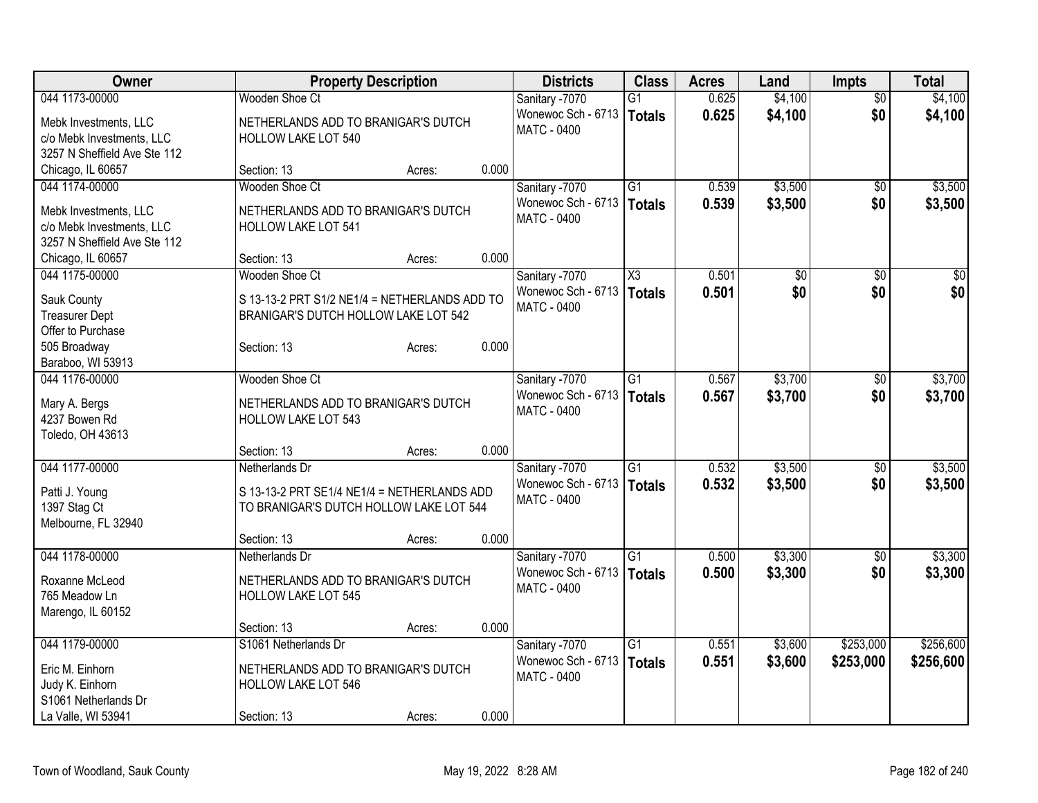| Owner                               |                                               | <b>Property Description</b> |       | <b>Districts</b>                         | <b>Class</b>           | <b>Acres</b> | Land            | <b>Impts</b>    | <b>Total</b> |
|-------------------------------------|-----------------------------------------------|-----------------------------|-------|------------------------------------------|------------------------|--------------|-----------------|-----------------|--------------|
| 044 1173-00000                      | <b>Wooden Shoe Ct</b>                         |                             |       | Sanitary -7070                           | $\overline{G1}$        | 0.625        | \$4,100         | $\overline{50}$ | \$4,100      |
| Mebk Investments, LLC               | NETHERLANDS ADD TO BRANIGAR'S DUTCH           |                             |       | Wonewoc Sch - 6713                       | Totals                 | 0.625        | \$4,100         | \$0             | \$4,100      |
| c/o Mebk Investments, LLC           | <b>HOLLOW LAKE LOT 540</b>                    |                             |       | <b>MATC - 0400</b>                       |                        |              |                 |                 |              |
| 3257 N Sheffield Ave Ste 112        |                                               |                             |       |                                          |                        |              |                 |                 |              |
| Chicago, IL 60657                   | Section: 13                                   | Acres:                      | 0.000 |                                          |                        |              |                 |                 |              |
| 044 1174-00000                      | Wooden Shoe Ct                                |                             |       | Sanitary -7070                           | $\overline{G1}$        | 0.539        | \$3,500         | $\sqrt{6}$      | \$3,500      |
|                                     |                                               |                             |       | Wonewoc Sch - 6713                       | <b>Totals</b>          | 0.539        | \$3,500         | \$0             | \$3,500      |
| Mebk Investments, LLC               | NETHERLANDS ADD TO BRANIGAR'S DUTCH           |                             |       | <b>MATC - 0400</b>                       |                        |              |                 |                 |              |
| c/o Mebk Investments, LLC           | HOLLOW LAKE LOT 541                           |                             |       |                                          |                        |              |                 |                 |              |
| 3257 N Sheffield Ave Ste 112        |                                               |                             | 0.000 |                                          |                        |              |                 |                 |              |
| Chicago, IL 60657<br>044 1175-00000 | Section: 13<br>Wooden Shoe Ct                 | Acres:                      |       |                                          | $\overline{\text{X3}}$ |              |                 |                 |              |
|                                     |                                               |                             |       | Sanitary -7070                           |                        | 0.501        | $\overline{60}$ | \$0             | $\sqrt{50}$  |
| Sauk County                         | S 13-13-2 PRT S1/2 NE1/4 = NETHERLANDS ADD TO |                             |       | Wonewoc Sch - 6713<br><b>MATC - 0400</b> | <b>Totals</b>          | 0.501        | \$0             | \$0             | \$0          |
| <b>Treasurer Dept</b>               | BRANIGAR'S DUTCH HOLLOW LAKE LOT 542          |                             |       |                                          |                        |              |                 |                 |              |
| Offer to Purchase                   |                                               |                             |       |                                          |                        |              |                 |                 |              |
| 505 Broadway                        | Section: 13                                   | Acres:                      | 0.000 |                                          |                        |              |                 |                 |              |
| Baraboo, WI 53913                   |                                               |                             |       |                                          |                        |              |                 |                 |              |
| 044 1176-00000                      | Wooden Shoe Ct                                |                             |       | Sanitary -7070                           | $\overline{G1}$        | 0.567        | \$3,700         | \$0             | \$3,700      |
| Mary A. Bergs                       | NETHERLANDS ADD TO BRANIGAR'S DUTCH           |                             |       | Wonewoc Sch - 6713                       | Totals                 | 0.567        | \$3,700         | \$0             | \$3,700      |
| 4237 Bowen Rd                       | <b>HOLLOW LAKE LOT 543</b>                    |                             |       | <b>MATC - 0400</b>                       |                        |              |                 |                 |              |
| Toledo, OH 43613                    |                                               |                             |       |                                          |                        |              |                 |                 |              |
|                                     | Section: 13                                   | Acres:                      | 0.000 |                                          |                        |              |                 |                 |              |
| 044 1177-00000                      | Netherlands Dr                                |                             |       | Sanitary -7070                           | $\overline{G1}$        | 0.532        | \$3,500         | \$0             | \$3,500      |
|                                     |                                               |                             |       | Wonewoc Sch - 6713                       | <b>Totals</b>          | 0.532        | \$3,500         | \$0             | \$3,500      |
| Patti J. Young                      | S 13-13-2 PRT SE1/4 NE1/4 = NETHERLANDS ADD   |                             |       | <b>MATC - 0400</b>                       |                        |              |                 |                 |              |
| 1397 Stag Ct                        | TO BRANIGAR'S DUTCH HOLLOW LAKE LOT 544       |                             |       |                                          |                        |              |                 |                 |              |
| Melbourne, FL 32940                 |                                               |                             | 0.000 |                                          |                        |              |                 |                 |              |
| 044 1178-00000                      | Section: 13<br>Netherlands Dr                 | Acres:                      |       |                                          | $\overline{G1}$        |              | \$3,300         |                 | \$3,300      |
|                                     |                                               |                             |       | Sanitary -7070<br>Wonewoc Sch - 6713     |                        | 0.500        |                 | $\sqrt{6}$      |              |
| Roxanne McLeod                      | NETHERLANDS ADD TO BRANIGAR'S DUTCH           |                             |       | MATC - 0400                              | <b>Totals</b>          | 0.500        | \$3,300         | \$0             | \$3,300      |
| 765 Meadow Ln                       | <b>HOLLOW LAKE LOT 545</b>                    |                             |       |                                          |                        |              |                 |                 |              |
| Marengo, IL 60152                   |                                               |                             |       |                                          |                        |              |                 |                 |              |
|                                     | Section: 13                                   | Acres:                      | 0.000 |                                          |                        |              |                 |                 |              |
| 044 1179-00000                      | S1061 Netherlands Dr                          |                             |       | Sanitary -7070                           | $\overline{G1}$        | 0.551        | \$3,600         | \$253,000       | \$256,600    |
| Eric M. Einhorn                     | NETHERLANDS ADD TO BRANIGAR'S DUTCH           |                             |       | Wonewoc Sch - 6713                       | Totals                 | 0.551        | \$3,600         | \$253,000       | \$256,600    |
| Judy K. Einhorn                     | HOLLOW LAKE LOT 546                           |                             |       | <b>MATC - 0400</b>                       |                        |              |                 |                 |              |
| S1061 Netherlands Dr                |                                               |                             |       |                                          |                        |              |                 |                 |              |
| La Valle, WI 53941                  | Section: 13                                   | Acres:                      | 0.000 |                                          |                        |              |                 |                 |              |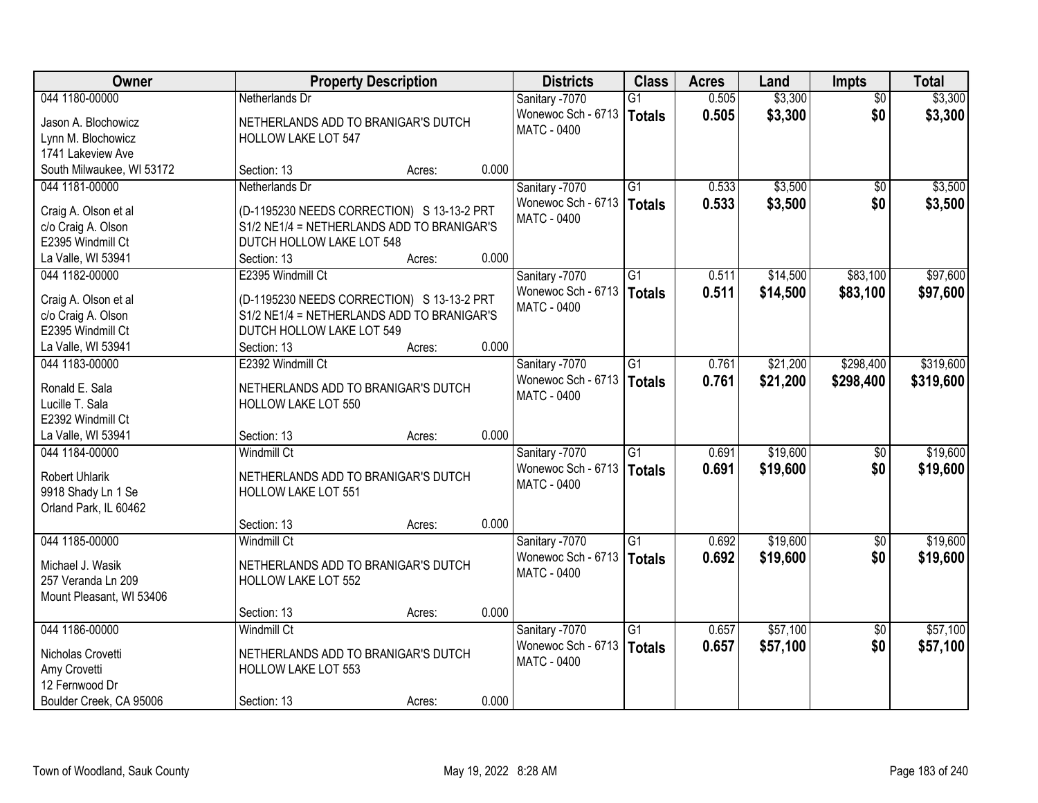| <b>Owner</b>                            | <b>Property Description</b>                                             |        |       | <b>Districts</b>   | <b>Class</b>    | <b>Acres</b> | Land     | <b>Impts</b>    | <b>Total</b> |
|-----------------------------------------|-------------------------------------------------------------------------|--------|-------|--------------------|-----------------|--------------|----------|-----------------|--------------|
| 044 1180-00000                          | Netherlands Dr                                                          |        |       | Sanitary -7070     | G1              | 0.505        | \$3,300  | $\overline{50}$ | \$3,300      |
| Jason A. Blochowicz                     | NETHERLANDS ADD TO BRANIGAR'S DUTCH                                     |        |       | Wonewoc Sch - 6713 | Totals          | 0.505        | \$3,300  | \$0             | \$3,300      |
| Lynn M. Blochowicz                      | <b>HOLLOW LAKE LOT 547</b>                                              |        |       | <b>MATC - 0400</b> |                 |              |          |                 |              |
| 1741 Lakeview Ave                       |                                                                         |        |       |                    |                 |              |          |                 |              |
| South Milwaukee, WI 53172               | Section: 13                                                             | Acres: | 0.000 |                    |                 |              |          |                 |              |
| 044 1181-00000                          | Netherlands Dr                                                          |        |       | Sanitary -7070     | $\overline{G1}$ | 0.533        | \$3,500  | $\overline{50}$ | \$3,500      |
|                                         |                                                                         |        |       | Wonewoc Sch - 6713 | Totals          | 0.533        | \$3,500  | \$0             | \$3,500      |
| Craig A. Olson et al                    | (D-1195230 NEEDS CORRECTION) S 13-13-2 PRT                              |        |       | <b>MATC - 0400</b> |                 |              |          |                 |              |
| c/o Craig A. Olson<br>E2395 Windmill Ct | S1/2 NE1/4 = NETHERLANDS ADD TO BRANIGAR'S<br>DUTCH HOLLOW LAKE LOT 548 |        |       |                    |                 |              |          |                 |              |
| La Valle, WI 53941                      | Section: 13                                                             | Acres: | 0.000 |                    |                 |              |          |                 |              |
| 044 1182-00000                          | E2395 Windmill Ct                                                       |        |       | Sanitary -7070     | G1              | 0.511        | \$14,500 | \$83,100        | \$97,600     |
|                                         |                                                                         |        |       | Wonewoc Sch - 6713 |                 | 0.511        | \$14,500 | \$83,100        |              |
| Craig A. Olson et al                    | (D-1195230 NEEDS CORRECTION) S 13-13-2 PRT                              |        |       | MATC - 0400        | <b>Totals</b>   |              |          |                 | \$97,600     |
| c/o Craig A. Olson                      | S1/2 NE1/4 = NETHERLANDS ADD TO BRANIGAR'S                              |        |       |                    |                 |              |          |                 |              |
| E2395 Windmill Ct                       | DUTCH HOLLOW LAKE LOT 549                                               |        |       |                    |                 |              |          |                 |              |
| La Valle, WI 53941                      | Section: 13                                                             | Acres: | 0.000 |                    |                 |              |          |                 |              |
| 044 1183-00000                          | E2392 Windmill Ct                                                       |        |       | Sanitary -7070     | G1              | 0.761        | \$21,200 | \$298,400       | \$319,600    |
| Ronald E. Sala                          | NETHERLANDS ADD TO BRANIGAR'S DUTCH                                     |        |       | Wonewoc Sch - 6713 | Totals          | 0.761        | \$21,200 | \$298,400       | \$319,600    |
| Lucille T. Sala                         | HOLLOW LAKE LOT 550                                                     |        |       | MATC - 0400        |                 |              |          |                 |              |
| E2392 Windmill Ct                       |                                                                         |        |       |                    |                 |              |          |                 |              |
| La Valle, WI 53941                      | Section: 13                                                             | Acres: | 0.000 |                    |                 |              |          |                 |              |
| 044 1184-00000                          | <b>Windmill Ct</b>                                                      |        |       | Sanitary -7070     | $\overline{G1}$ | 0.691        | \$19,600 | $\overline{60}$ | \$19,600     |
|                                         |                                                                         |        |       | Wonewoc Sch - 6713 | Totals          | 0.691        | \$19,600 | \$0             | \$19,600     |
| <b>Robert Uhlarik</b>                   | NETHERLANDS ADD TO BRANIGAR'S DUTCH                                     |        |       | MATC - 0400        |                 |              |          |                 |              |
| 9918 Shady Ln 1 Se                      | <b>HOLLOW LAKE LOT 551</b>                                              |        |       |                    |                 |              |          |                 |              |
| Orland Park, IL 60462                   |                                                                         |        |       |                    |                 |              |          |                 |              |
|                                         | Section: 13                                                             | Acres: | 0.000 |                    |                 |              |          |                 |              |
| 044 1185-00000                          | <b>Windmill Ct</b>                                                      |        |       | Sanitary -7070     | $\overline{G1}$ | 0.692        | \$19,600 | $\sqrt{6}$      | \$19,600     |
| Michael J. Wasik                        | NETHERLANDS ADD TO BRANIGAR'S DUTCH                                     |        |       | Wonewoc Sch - 6713 | Totals          | 0.692        | \$19,600 | \$0             | \$19,600     |
| 257 Veranda Ln 209                      | <b>HOLLOW LAKE LOT 552</b>                                              |        |       | <b>MATC - 0400</b> |                 |              |          |                 |              |
| Mount Pleasant, WI 53406                |                                                                         |        |       |                    |                 |              |          |                 |              |
|                                         | Section: 13                                                             | Acres: | 0.000 |                    |                 |              |          |                 |              |
| 044 1186-00000                          | <b>Windmill Ct</b>                                                      |        |       | Sanitary -7070     | $\overline{G1}$ | 0.657        | \$57,100 | $\overline{60}$ | \$57,100     |
| Nicholas Crovetti                       | NETHERLANDS ADD TO BRANIGAR'S DUTCH                                     |        |       | Wonewoc Sch - 6713 | Totals          | 0.657        | \$57,100 | \$0             | \$57,100     |
| Amy Crovetti                            | HOLLOW LAKE LOT 553                                                     |        |       | <b>MATC - 0400</b> |                 |              |          |                 |              |
| 12 Fernwood Dr                          |                                                                         |        |       |                    |                 |              |          |                 |              |
| Boulder Creek, CA 95006                 | Section: 13                                                             | Acres: | 0.000 |                    |                 |              |          |                 |              |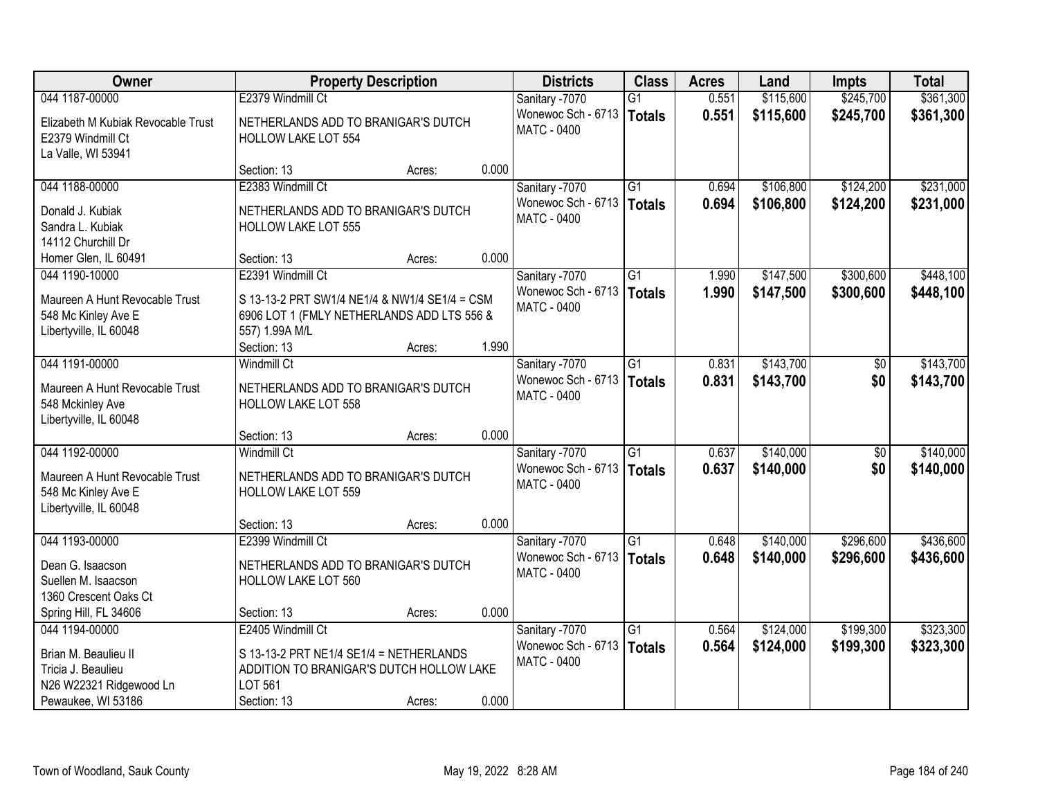| <b>Owner</b>                                                                    |                                                                                                               | <b>Property Description</b> |       | <b>Districts</b>                         | <b>Class</b>    | <b>Acres</b> | Land      | <b>Impts</b>    | <b>Total</b> |
|---------------------------------------------------------------------------------|---------------------------------------------------------------------------------------------------------------|-----------------------------|-------|------------------------------------------|-----------------|--------------|-----------|-----------------|--------------|
| 044 1187-00000                                                                  | E2379 Windmill Ct                                                                                             |                             |       | Sanitary -7070                           | $\overline{G1}$ | 0.551        | \$115,600 | \$245,700       | \$361,300    |
| Elizabeth M Kubiak Revocable Trust<br>E2379 Windmill Ct<br>La Valle, WI 53941   | NETHERLANDS ADD TO BRANIGAR'S DUTCH<br><b>HOLLOW LAKE LOT 554</b>                                             |                             |       | Wonewoc Sch - 6713<br><b>MATC - 0400</b> | <b>Totals</b>   | 0.551        | \$115,600 | \$245,700       | \$361,300    |
|                                                                                 | Section: 13                                                                                                   | Acres:                      | 0.000 |                                          |                 |              |           |                 |              |
| 044 1188-00000                                                                  | E2383 Windmill Ct                                                                                             |                             |       | Sanitary -7070                           | $\overline{G1}$ | 0.694        | \$106,800 | \$124,200       | \$231,000    |
| Donald J. Kubiak<br>Sandra L. Kubiak<br>14112 Churchill Dr                      | NETHERLANDS ADD TO BRANIGAR'S DUTCH<br><b>HOLLOW LAKE LOT 555</b>                                             |                             |       | Wonewoc Sch - 6713<br><b>MATC - 0400</b> | <b>Totals</b>   | 0.694        | \$106,800 | \$124,200       | \$231,000    |
| Homer Glen, IL 60491                                                            | Section: 13                                                                                                   | Acres:                      | 0.000 |                                          |                 |              |           |                 |              |
| 044 1190-10000                                                                  | E2391 Windmill Ct                                                                                             |                             |       | Sanitary -7070                           | G1              | 1.990        | \$147,500 | \$300,600       | \$448,100    |
| Maureen A Hunt Revocable Trust<br>548 Mc Kinley Ave E<br>Libertyville, IL 60048 | S 13-13-2 PRT SW1/4 NE1/4 & NW1/4 SE1/4 = CSM<br>6906 LOT 1 (FMLY NETHERLANDS ADD LTS 556 &<br>557) 1.99A M/L |                             |       | Wonewoc Sch - 6713<br>MATC - 0400        | <b>Totals</b>   | 1.990        | \$147,500 | \$300,600       | \$448,100    |
|                                                                                 | Section: 13                                                                                                   | Acres:                      | 1.990 |                                          |                 |              |           |                 |              |
| 044 1191-00000                                                                  | Windmill Ct                                                                                                   |                             |       | Sanitary -7070                           | G1              | 0.831        | \$143,700 | \$0             | \$143,700    |
| Maureen A Hunt Revocable Trust<br>548 Mckinley Ave<br>Libertyville, IL 60048    | NETHERLANDS ADD TO BRANIGAR'S DUTCH<br>HOLLOW LAKE LOT 558                                                    |                             |       | Wonewoc Sch - 6713<br><b>MATC - 0400</b> | <b>Totals</b>   | 0.831        | \$143,700 | \$0             | \$143,700    |
|                                                                                 | Section: 13                                                                                                   | Acres:                      | 0.000 |                                          |                 |              |           |                 |              |
| 044 1192-00000                                                                  | <b>Windmill Ct</b>                                                                                            |                             |       | Sanitary -7070                           | $\overline{G1}$ | 0.637        | \$140,000 | $\overline{50}$ | \$140,000    |
| Maureen A Hunt Revocable Trust<br>548 Mc Kinley Ave E<br>Libertyville, IL 60048 | NETHERLANDS ADD TO BRANIGAR'S DUTCH<br><b>HOLLOW LAKE LOT 559</b>                                             |                             |       | Wonewoc Sch - 6713<br>MATC - 0400        | <b>Totals</b>   | 0.637        | \$140,000 | \$0             | \$140,000    |
|                                                                                 | Section: 13                                                                                                   | Acres:                      | 0.000 |                                          |                 |              |           |                 |              |
| 044 1193-00000                                                                  | E2399 Windmill Ct                                                                                             |                             |       | Sanitary -7070                           | $\overline{G1}$ | 0.648        | \$140,000 | \$296,600       | \$436,600    |
| Dean G. Isaacson<br>Suellen M. Isaacson<br>1360 Crescent Oaks Ct                | NETHERLANDS ADD TO BRANIGAR'S DUTCH<br><b>HOLLOW LAKE LOT 560</b>                                             |                             |       | Wonewoc Sch - 6713<br><b>MATC - 0400</b> | <b>Totals</b>   | 0.648        | \$140,000 | \$296,600       | \$436,600    |
| Spring Hill, FL 34606                                                           | Section: 13                                                                                                   | Acres:                      | 0.000 |                                          |                 |              |           |                 |              |
| 044 1194-00000                                                                  | E2405 Windmill Ct                                                                                             |                             |       | Sanitary -7070                           | $\overline{G1}$ | 0.564        | \$124,000 | \$199,300       | \$323,300    |
| Brian M. Beaulieu II<br>Tricia J. Beaulieu<br>N26 W22321 Ridgewood Ln           | S 13-13-2 PRT NE1/4 SE1/4 = NETHERLANDS<br>ADDITION TO BRANIGAR'S DUTCH HOLLOW LAKE<br>LOT 561                |                             |       | Wonewoc Sch - 6713<br><b>MATC - 0400</b> | <b>Totals</b>   | 0.564        | \$124,000 | \$199,300       | \$323,300    |
| Pewaukee, WI 53186                                                              | Section: 13                                                                                                   | Acres:                      | 0.000 |                                          |                 |              |           |                 |              |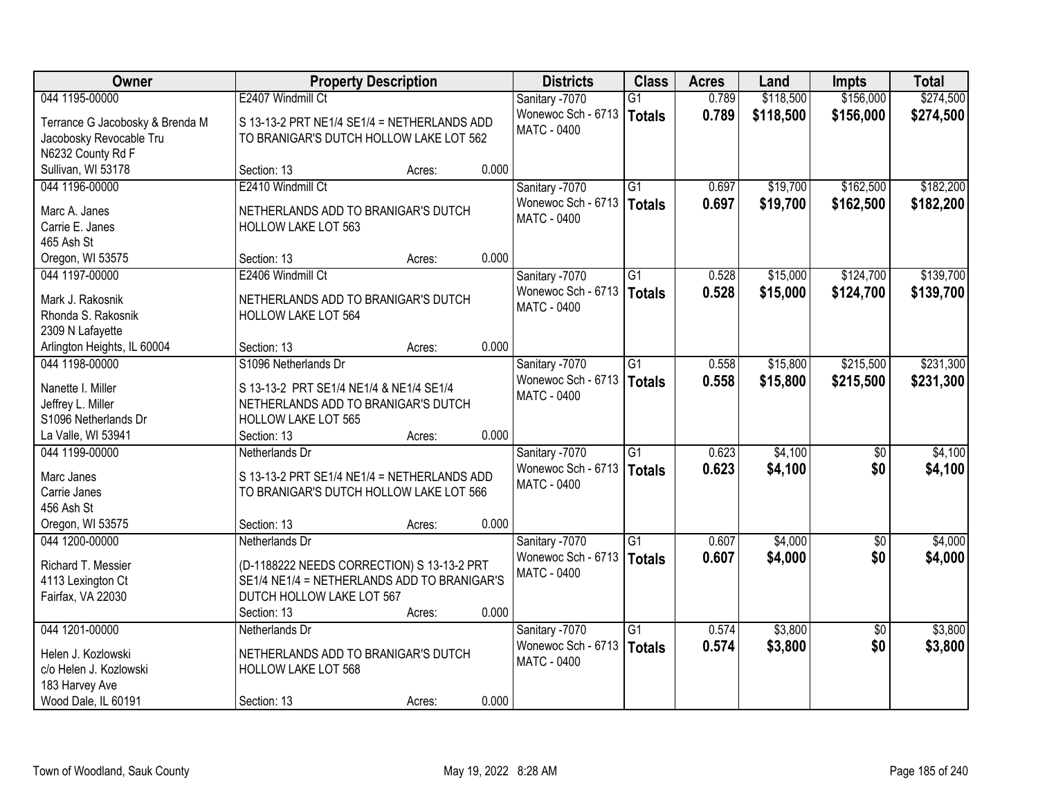| Owner                           | <b>Property Description</b>                 |        |       | <b>Districts</b>   | <b>Class</b>    | <b>Acres</b> | Land      | <b>Impts</b>    | <b>Total</b> |
|---------------------------------|---------------------------------------------|--------|-------|--------------------|-----------------|--------------|-----------|-----------------|--------------|
| 044 1195-00000                  | E2407 Windmill Ct                           |        |       | Sanitary -7070     | $\overline{G1}$ | 0.789        | \$118,500 | \$156,000       | \$274,500    |
| Terrance G Jacobosky & Brenda M | S 13-13-2 PRT NE1/4 SE1/4 = NETHERLANDS ADD |        |       | Wonewoc Sch - 6713 | Totals          | 0.789        | \$118,500 | \$156,000       | \$274,500    |
| Jacobosky Revocable Tru         | TO BRANIGAR'S DUTCH HOLLOW LAKE LOT 562     |        |       | MATC - 0400        |                 |              |           |                 |              |
| N6232 County Rd F               |                                             |        |       |                    |                 |              |           |                 |              |
| Sullivan, WI 53178              | Section: 13                                 | Acres: | 0.000 |                    |                 |              |           |                 |              |
| 044 1196-00000                  | E2410 Windmill Ct                           |        |       | Sanitary -7070     | $\overline{G1}$ | 0.697        | \$19,700  | \$162,500       | \$182,200    |
|                                 |                                             |        |       | Wonewoc Sch - 6713 | Totals          | 0.697        | \$19,700  | \$162,500       | \$182,200    |
| Marc A. Janes                   | NETHERLANDS ADD TO BRANIGAR'S DUTCH         |        |       | <b>MATC - 0400</b> |                 |              |           |                 |              |
| Carrie E. Janes                 | HOLLOW LAKE LOT 563                         |        |       |                    |                 |              |           |                 |              |
| 465 Ash St                      |                                             |        |       |                    |                 |              |           |                 |              |
| Oregon, WI 53575                | Section: 13                                 | Acres: | 0.000 |                    |                 |              |           |                 |              |
| 044 1197-00000                  | E2406 Windmill Ct                           |        |       | Sanitary -7070     | $\overline{G1}$ | 0.528        | \$15,000  | \$124,700       | \$139,700    |
| Mark J. Rakosnik                | NETHERLANDS ADD TO BRANIGAR'S DUTCH         |        |       | Wonewoc Sch - 6713 | Totals          | 0.528        | \$15,000  | \$124,700       | \$139,700    |
| Rhonda S. Rakosnik              | <b>HOLLOW LAKE LOT 564</b>                  |        |       | <b>MATC - 0400</b> |                 |              |           |                 |              |
| 2309 N Lafayette                |                                             |        |       |                    |                 |              |           |                 |              |
| Arlington Heights, IL 60004     | Section: 13                                 | Acres: | 0.000 |                    |                 |              |           |                 |              |
| 044 1198-00000                  | S1096 Netherlands Dr                        |        |       | Sanitary -7070     | $\overline{G1}$ | 0.558        | \$15,800  | \$215,500       | \$231,300    |
|                                 |                                             |        |       | Wonewoc Sch - 6713 | <b>Totals</b>   | 0.558        | \$15,800  | \$215,500       | \$231,300    |
| Nanette I. Miller               | S 13-13-2 PRT SE1/4 NE1/4 & NE1/4 SE1/4     |        |       | MATC - 0400        |                 |              |           |                 |              |
| Jeffrey L. Miller               | NETHERLANDS ADD TO BRANIGAR'S DUTCH         |        |       |                    |                 |              |           |                 |              |
| S1096 Netherlands Dr            | HOLLOW LAKE LOT 565                         |        |       |                    |                 |              |           |                 |              |
| La Valle, WI 53941              | Section: 13                                 | Acres: | 0.000 |                    |                 |              |           |                 |              |
| 044 1199-00000                  | Netherlands Dr                              |        |       | Sanitary -7070     | $\overline{G1}$ | 0.623        | \$4,100   | \$0             | \$4,100      |
| Marc Janes                      | S 13-13-2 PRT SE1/4 NE1/4 = NETHERLANDS ADD |        |       | Wonewoc Sch - 6713 | Totals          | 0.623        | \$4,100   | \$0             | \$4,100      |
| Carrie Janes                    | TO BRANIGAR'S DUTCH HOLLOW LAKE LOT 566     |        |       | MATC - 0400        |                 |              |           |                 |              |
| 456 Ash St                      |                                             |        |       |                    |                 |              |           |                 |              |
| Oregon, WI 53575                | Section: 13                                 | Acres: | 0.000 |                    |                 |              |           |                 |              |
| 044 1200-00000                  | Netherlands Dr                              |        |       | Sanitary -7070     | $\overline{G1}$ | 0.607        | \$4,000   | $\sqrt{6}$      | \$4,000      |
|                                 |                                             |        |       | Wonewoc Sch - 6713 | Totals          | 0.607        | \$4,000   | \$0             | \$4,000      |
| Richard T. Messier              | (D-1188222 NEEDS CORRECTION) S 13-13-2 PRT  |        |       | <b>MATC - 0400</b> |                 |              |           |                 |              |
| 4113 Lexington Ct               | SE1/4 NE1/4 = NETHERLANDS ADD TO BRANIGAR'S |        |       |                    |                 |              |           |                 |              |
| Fairfax, VA 22030               | DUTCH HOLLOW LAKE LOT 567                   |        | 0.000 |                    |                 |              |           |                 |              |
|                                 | Section: 13                                 | Acres: |       |                    |                 |              |           |                 |              |
| 044 1201-00000                  | Netherlands Dr                              |        |       | Sanitary -7070     | $\overline{G1}$ | 0.574        | \$3,800   | $\overline{30}$ | \$3,800      |
| Helen J. Kozlowski              | NETHERLANDS ADD TO BRANIGAR'S DUTCH         |        |       | Wonewoc Sch - 6713 | Totals          | 0.574        | \$3,800   | \$0             | \$3,800      |
| c/o Helen J. Kozlowski          | HOLLOW LAKE LOT 568                         |        |       | MATC - 0400        |                 |              |           |                 |              |
| 183 Harvey Ave                  |                                             |        |       |                    |                 |              |           |                 |              |
| Wood Dale, IL 60191             | Section: 13                                 | Acres: | 0.000 |                    |                 |              |           |                 |              |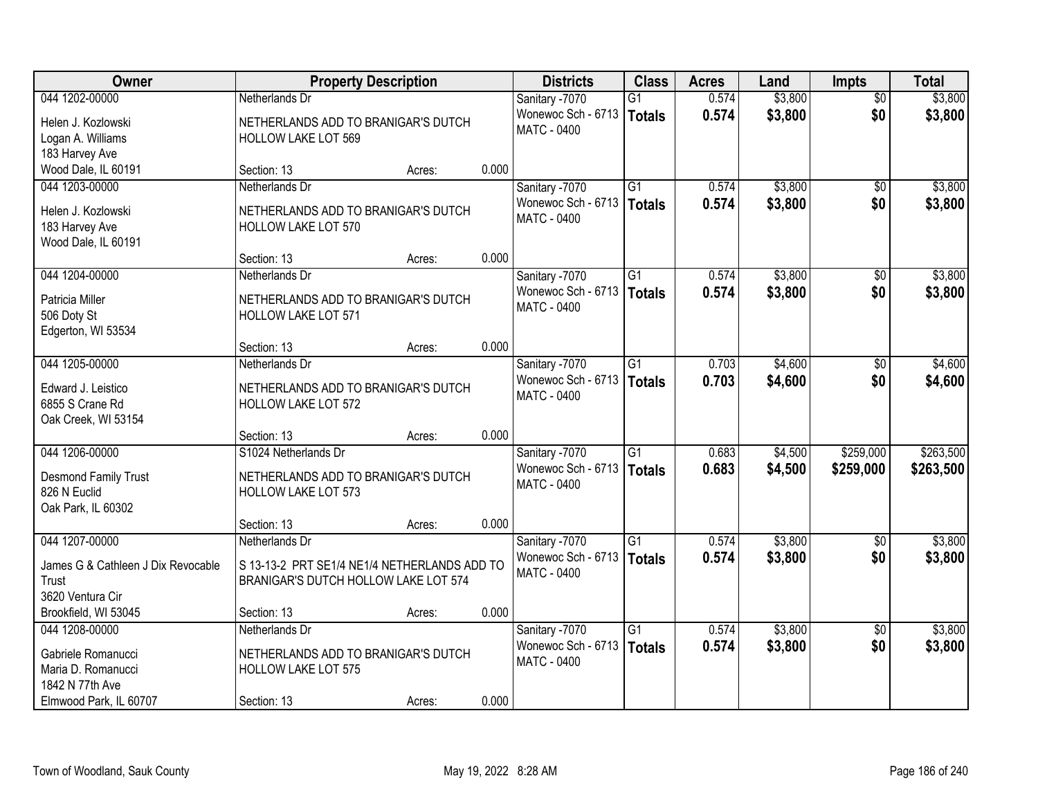| Owner                              |                                              | <b>Property Description</b> |       | <b>Districts</b>   | <b>Class</b>    | <b>Acres</b> | Land    | <b>Impts</b>    | <b>Total</b> |
|------------------------------------|----------------------------------------------|-----------------------------|-------|--------------------|-----------------|--------------|---------|-----------------|--------------|
| 044 1202-00000                     | Netherlands Dr                               |                             |       | Sanitary -7070     | $\overline{G1}$ | 0.574        | \$3,800 | $\overline{50}$ | \$3,800      |
| Helen J. Kozlowski                 | NETHERLANDS ADD TO BRANIGAR'S DUTCH          |                             |       | Wonewoc Sch - 6713 | Totals          | 0.574        | \$3,800 | \$0             | \$3,800      |
| Logan A. Williams                  | <b>HOLLOW LAKE LOT 569</b>                   |                             |       | MATC - 0400        |                 |              |         |                 |              |
| 183 Harvey Ave                     |                                              |                             |       |                    |                 |              |         |                 |              |
| Wood Dale, IL 60191                | Section: 13                                  | Acres:                      | 0.000 |                    |                 |              |         |                 |              |
| 044 1203-00000                     | Netherlands Dr                               |                             |       | Sanitary -7070     | $\overline{G1}$ | 0.574        | \$3,800 | $\overline{50}$ | \$3,800      |
| Helen J. Kozlowski                 | NETHERLANDS ADD TO BRANIGAR'S DUTCH          |                             |       | Wonewoc Sch - 6713 | Totals          | 0.574        | \$3,800 | \$0             | \$3,800      |
| 183 Harvey Ave                     | <b>HOLLOW LAKE LOT 570</b>                   |                             |       | <b>MATC - 0400</b> |                 |              |         |                 |              |
| Wood Dale, IL 60191                |                                              |                             |       |                    |                 |              |         |                 |              |
|                                    | Section: 13                                  | Acres:                      | 0.000 |                    |                 |              |         |                 |              |
| 044 1204-00000                     | Netherlands Dr                               |                             |       | Sanitary -7070     | G1              | 0.574        | \$3,800 | \$0             | \$3,800      |
| Patricia Miller                    | NETHERLANDS ADD TO BRANIGAR'S DUTCH          |                             |       | Wonewoc Sch - 6713 | <b>Totals</b>   | 0.574        | \$3,800 | \$0             | \$3,800      |
| 506 Doty St                        | HOLLOW LAKE LOT 571                          |                             |       | <b>MATC - 0400</b> |                 |              |         |                 |              |
| Edgerton, WI 53534                 |                                              |                             |       |                    |                 |              |         |                 |              |
|                                    | Section: 13                                  | Acres:                      | 0.000 |                    |                 |              |         |                 |              |
| 044 1205-00000                     | Netherlands Dr                               |                             |       | Sanitary -7070     | $\overline{G1}$ | 0.703        | \$4,600 | $\sqrt[6]{3}$   | \$4,600      |
| Edward J. Leistico                 | NETHERLANDS ADD TO BRANIGAR'S DUTCH          |                             |       | Wonewoc Sch - 6713 | <b>Totals</b>   | 0.703        | \$4,600 | \$0             | \$4,600      |
| 6855 S Crane Rd                    | HOLLOW LAKE LOT 572                          |                             |       | MATC - 0400        |                 |              |         |                 |              |
| Oak Creek, WI 53154                |                                              |                             |       |                    |                 |              |         |                 |              |
|                                    | Section: 13                                  | Acres:                      | 0.000 |                    |                 |              |         |                 |              |
| 044 1206-00000                     | S1024 Netherlands Dr                         |                             |       | Sanitary -7070     | $\overline{G1}$ | 0.683        | \$4,500 | \$259,000       | \$263,500    |
| Desmond Family Trust               | NETHERLANDS ADD TO BRANIGAR'S DUTCH          |                             |       | Wonewoc Sch - 6713 | Totals          | 0.683        | \$4,500 | \$259,000       | \$263,500    |
| 826 N Euclid                       | <b>HOLLOW LAKE LOT 573</b>                   |                             |       | MATC - 0400        |                 |              |         |                 |              |
| Oak Park, IL 60302                 |                                              |                             |       |                    |                 |              |         |                 |              |
|                                    | Section: 13                                  | Acres:                      | 0.000 |                    |                 |              |         |                 |              |
| 044 1207-00000                     | Netherlands Dr                               |                             |       | Sanitary -7070     | $\overline{G1}$ | 0.574        | \$3,800 | \$0             | \$3,800      |
| James G & Cathleen J Dix Revocable | S 13-13-2 PRT SE1/4 NE1/4 NETHERLANDS ADD TO |                             |       | Wonewoc Sch - 6713 | Totals          | 0.574        | \$3,800 | \$0             | \$3,800      |
| Trust                              | BRANIGAR'S DUTCH HOLLOW LAKE LOT 574         |                             |       | <b>MATC - 0400</b> |                 |              |         |                 |              |
| 3620 Ventura Cir                   |                                              |                             |       |                    |                 |              |         |                 |              |
| Brookfield, WI 53045               | Section: 13                                  | Acres:                      | 0.000 |                    |                 |              |         |                 |              |
| 044 1208-00000                     | Netherlands Dr                               |                             |       | Sanitary -7070     | $\overline{G1}$ | 0.574        | \$3,800 | $\overline{30}$ | \$3,800      |
| Gabriele Romanucci                 | NETHERLANDS ADD TO BRANIGAR'S DUTCH          |                             |       | Wonewoc Sch - 6713 | Totals          | 0.574        | \$3,800 | \$0             | \$3,800      |
| Maria D. Romanucci                 | HOLLOW LAKE LOT 575                          |                             |       | MATC - 0400        |                 |              |         |                 |              |
| 1842 N 77th Ave                    |                                              |                             |       |                    |                 |              |         |                 |              |
| Elmwood Park, IL 60707             | Section: 13                                  | Acres:                      | 0.000 |                    |                 |              |         |                 |              |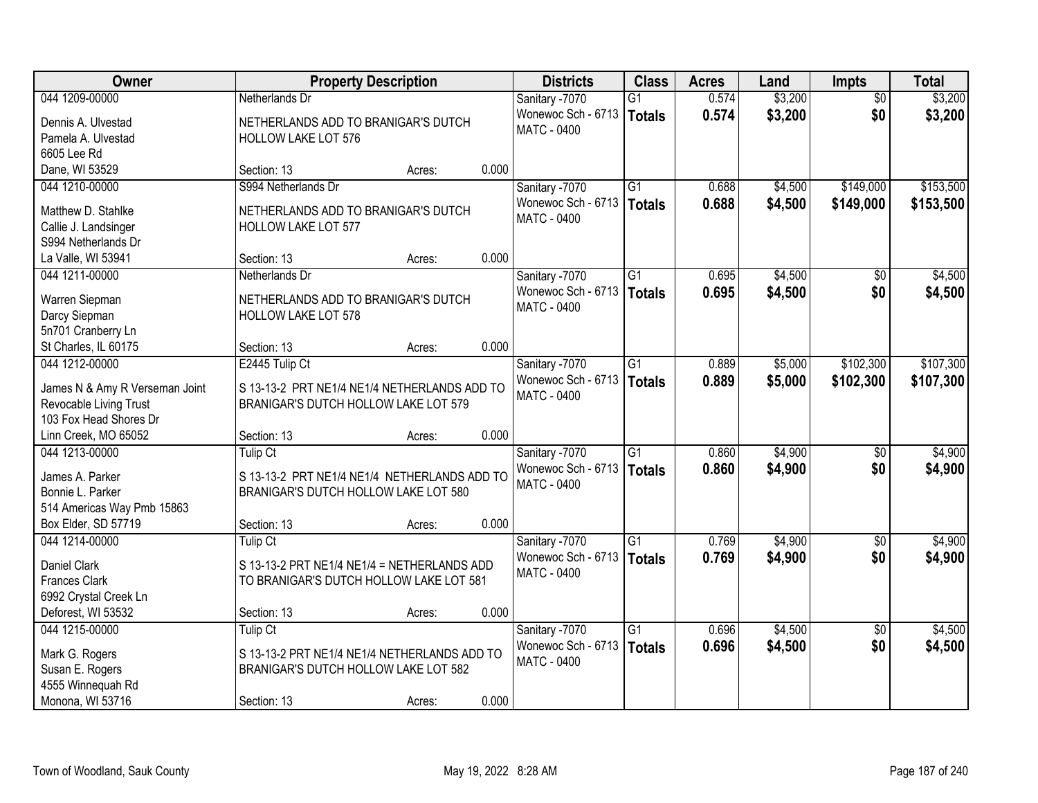| Owner                          |                                              | <b>Property Description</b> |       | <b>Districts</b>                  | <b>Class</b>    | <b>Acres</b> | Land    | <b>Impts</b>    | <b>Total</b> |
|--------------------------------|----------------------------------------------|-----------------------------|-------|-----------------------------------|-----------------|--------------|---------|-----------------|--------------|
| 044 1209-00000                 | Netherlands Dr                               |                             |       | Sanitary -7070                    | $\overline{G1}$ | 0.574        | \$3,200 | $\overline{50}$ | \$3,200      |
| Dennis A. Ulvestad             | NETHERLANDS ADD TO BRANIGAR'S DUTCH          |                             |       | Wonewoc Sch - 6713                | Totals          | 0.574        | \$3,200 | \$0             | \$3,200      |
| Pamela A. Ulvestad             | <b>HOLLOW LAKE LOT 576</b>                   |                             |       | <b>MATC - 0400</b>                |                 |              |         |                 |              |
| 6605 Lee Rd                    |                                              |                             |       |                                   |                 |              |         |                 |              |
| Dane, WI 53529                 | Section: 13                                  | Acres:                      | 0.000 |                                   |                 |              |         |                 |              |
| 044 1210-00000                 | S994 Netherlands Dr                          |                             |       | Sanitary -7070                    | $\overline{G1}$ | 0.688        | \$4,500 | \$149,000       | \$153,500    |
|                                |                                              |                             |       | Wonewoc Sch - 6713                | Totals          | 0.688        | \$4,500 | \$149,000       | \$153,500    |
| Matthew D. Stahlke             | NETHERLANDS ADD TO BRANIGAR'S DUTCH          |                             |       | <b>MATC - 0400</b>                |                 |              |         |                 |              |
| Callie J. Landsinger           | HOLLOW LAKE LOT 577                          |                             |       |                                   |                 |              |         |                 |              |
| S994 Netherlands Dr            | Section: 13                                  |                             | 0.000 |                                   |                 |              |         |                 |              |
| La Valle, WI 53941             |                                              | Acres:                      |       |                                   |                 |              | \$4,500 |                 |              |
| 044 1211-00000                 | Netherlands Dr                               |                             |       | Sanitary -7070                    | $\overline{G1}$ | 0.695        |         | \$0             | \$4,500      |
| Warren Siepman                 | NETHERLANDS ADD TO BRANIGAR'S DUTCH          |                             |       | Wonewoc Sch - 6713<br>MATC - 0400 | Totals          | 0.695        | \$4,500 | \$0             | \$4,500      |
| Darcy Siepman                  | <b>HOLLOW LAKE LOT 578</b>                   |                             |       |                                   |                 |              |         |                 |              |
| 5n701 Cranberry Ln             |                                              |                             |       |                                   |                 |              |         |                 |              |
| St Charles, IL 60175           | Section: 13                                  | Acres:                      | 0.000 |                                   |                 |              |         |                 |              |
| 044 1212-00000                 | E2445 Tulip Ct                               |                             |       | Sanitary -7070                    | $\overline{G1}$ | 0.889        | \$5,000 | \$102,300       | \$107,300    |
| James N & Amy R Verseman Joint | S 13-13-2 PRT NE1/4 NE1/4 NETHERLANDS ADD TO |                             |       | Wonewoc Sch - 6713                | <b>Totals</b>   | 0.889        | \$5,000 | \$102,300       | \$107,300    |
| Revocable Living Trust         | BRANIGAR'S DUTCH HOLLOW LAKE LOT 579         |                             |       | <b>MATC - 0400</b>                |                 |              |         |                 |              |
| 103 Fox Head Shores Dr         |                                              |                             |       |                                   |                 |              |         |                 |              |
| Linn Creek, MO 65052           | Section: 13                                  | Acres:                      | 0.000 |                                   |                 |              |         |                 |              |
| 044 1213-00000                 | <b>Tulip Ct</b>                              |                             |       | Sanitary -7070                    | $\overline{G1}$ | 0.860        | \$4,900 | $\overline{50}$ | \$4,900      |
|                                |                                              |                             |       | Wonewoc Sch - 6713                | Totals          | 0.860        | \$4,900 | \$0             | \$4,900      |
| James A. Parker                | S 13-13-2 PRT NE1/4 NE1/4 NETHERLANDS ADD TO |                             |       | <b>MATC - 0400</b>                |                 |              |         |                 |              |
| Bonnie L. Parker               | BRANIGAR'S DUTCH HOLLOW LAKE LOT 580         |                             |       |                                   |                 |              |         |                 |              |
| 514 Americas Way Pmb 15863     |                                              |                             |       |                                   |                 |              |         |                 |              |
| Box Elder, SD 57719            | Section: 13                                  | Acres:                      | 0.000 |                                   |                 |              |         |                 |              |
| 044 1214-00000                 | <b>Tulip Ct</b>                              |                             |       | Sanitary -7070                    | $\overline{G1}$ | 0.769        | \$4,900 | $\overline{30}$ | \$4,900      |
| Daniel Clark                   | S 13-13-2 PRT NE1/4 NE1/4 = NETHERLANDS ADD  |                             |       | Wonewoc Sch - 6713                | Totals          | 0.769        | \$4,900 | \$0             | \$4,900      |
| <b>Frances Clark</b>           | TO BRANIGAR'S DUTCH HOLLOW LAKE LOT 581      |                             |       | <b>MATC - 0400</b>                |                 |              |         |                 |              |
| 6992 Crystal Creek Ln          |                                              |                             |       |                                   |                 |              |         |                 |              |
| Deforest, WI 53532             | Section: 13                                  | Acres:                      | 0.000 |                                   |                 |              |         |                 |              |
| 044 1215-00000                 | <b>Tulip Ct</b>                              |                             |       | Sanitary -7070                    | $\overline{G1}$ | 0.696        | \$4,500 | $\overline{50}$ | \$4,500      |
|                                |                                              |                             |       | Wonewoc Sch - 6713                | Totals          | 0.696        | \$4,500 | \$0             | \$4,500      |
| Mark G. Rogers                 | S 13-13-2 PRT NE1/4 NE1/4 NETHERLANDS ADD TO |                             |       | <b>MATC - 0400</b>                |                 |              |         |                 |              |
| Susan E. Rogers                | BRANIGAR'S DUTCH HOLLOW LAKE LOT 582         |                             |       |                                   |                 |              |         |                 |              |
| 4555 Winnequah Rd              |                                              |                             |       |                                   |                 |              |         |                 |              |
| Monona, WI 53716               | Section: 13                                  | Acres:                      | 0.000 |                                   |                 |              |         |                 |              |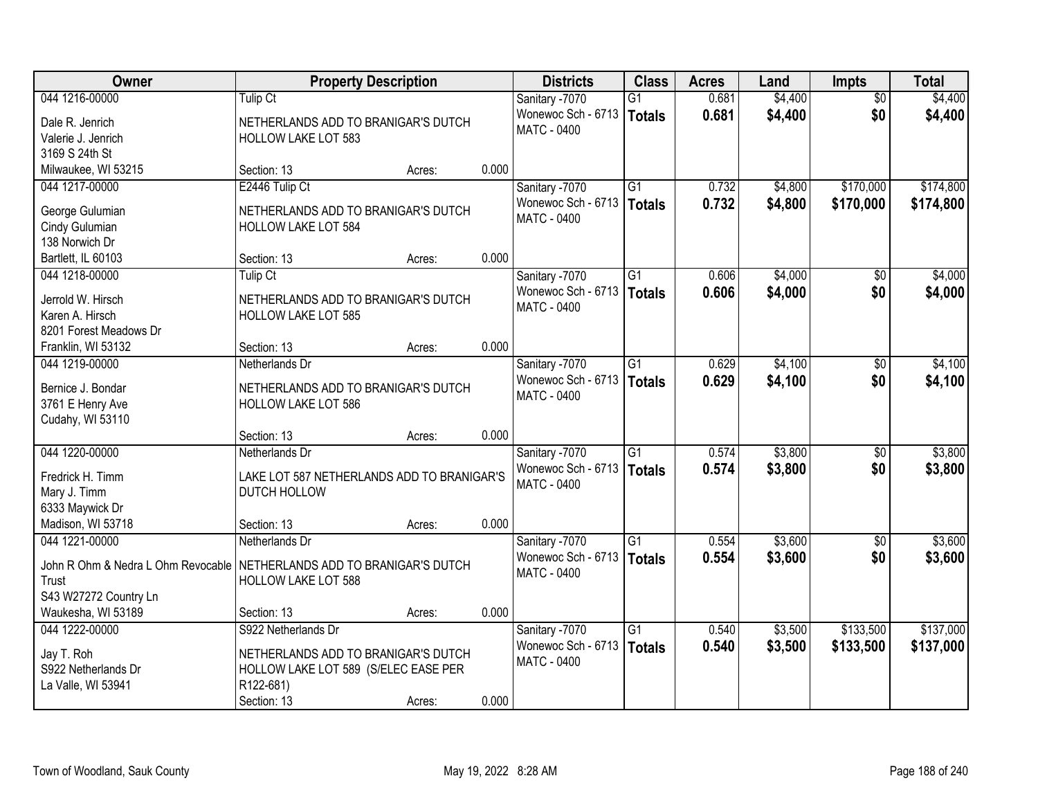| Owner                                                                    | <b>Property Description</b>                |        |       | <b>Districts</b>                         | <b>Class</b>    | <b>Acres</b> | Land    | <b>Impts</b>    | <b>Total</b> |
|--------------------------------------------------------------------------|--------------------------------------------|--------|-------|------------------------------------------|-----------------|--------------|---------|-----------------|--------------|
| 044 1216-00000                                                           | Tulip Ct                                   |        |       | Sanitary -7070                           | G1              | 0.681        | \$4,400 | $\overline{50}$ | \$4,400      |
| Dale R. Jenrich                                                          | NETHERLANDS ADD TO BRANIGAR'S DUTCH        |        |       | Wonewoc Sch - 6713                       | Totals          | 0.681        | \$4,400 | \$0             | \$4,400      |
| Valerie J. Jenrich                                                       | <b>HOLLOW LAKE LOT 583</b>                 |        |       | MATC - 0400                              |                 |              |         |                 |              |
| 3169 S 24th St                                                           |                                            |        |       |                                          |                 |              |         |                 |              |
| Milwaukee, WI 53215                                                      | Section: 13                                | Acres: | 0.000 |                                          |                 |              |         |                 |              |
| 044 1217-00000                                                           | E2446 Tulip Ct                             |        |       | Sanitary -7070                           | $\overline{G1}$ | 0.732        | \$4,800 | \$170,000       | \$174,800    |
| George Gulumian                                                          | NETHERLANDS ADD TO BRANIGAR'S DUTCH        |        |       | Wonewoc Sch - 6713                       | Totals          | 0.732        | \$4,800 | \$170,000       | \$174,800    |
| Cindy Gulumian                                                           | <b>HOLLOW LAKE LOT 584</b>                 |        |       | <b>MATC - 0400</b>                       |                 |              |         |                 |              |
| 138 Norwich Dr                                                           |                                            |        |       |                                          |                 |              |         |                 |              |
| Bartlett, IL 60103                                                       | Section: 13                                | Acres: | 0.000 |                                          |                 |              |         |                 |              |
| 044 1218-00000                                                           | <b>Tulip Ct</b>                            |        |       | Sanitary -7070                           | $\overline{G1}$ | 0.606        | \$4,000 | \$0             | \$4,000      |
| Jerrold W. Hirsch                                                        | NETHERLANDS ADD TO BRANIGAR'S DUTCH        |        |       | Wonewoc Sch - 6713                       | Totals          | 0.606        | \$4,000 | \$0             | \$4,000      |
| Karen A. Hirsch                                                          | <b>HOLLOW LAKE LOT 585</b>                 |        |       | MATC - 0400                              |                 |              |         |                 |              |
| 8201 Forest Meadows Dr                                                   |                                            |        |       |                                          |                 |              |         |                 |              |
| Franklin, WI 53132                                                       | Section: 13                                | Acres: | 0.000 |                                          |                 |              |         |                 |              |
| 044 1219-00000                                                           | Netherlands Dr                             |        |       | Sanitary -7070                           | $\overline{G1}$ | 0.629        | \$4,100 | \$0             | \$4,100      |
|                                                                          |                                            |        |       | Wonewoc Sch - 6713                       | Totals          | 0.629        | \$4,100 | \$0             | \$4,100      |
| Bernice J. Bondar                                                        | NETHERLANDS ADD TO BRANIGAR'S DUTCH        |        |       | <b>MATC - 0400</b>                       |                 |              |         |                 |              |
| 3761 E Henry Ave<br>Cudahy, WI 53110                                     | HOLLOW LAKE LOT 586                        |        |       |                                          |                 |              |         |                 |              |
|                                                                          | Section: 13                                | Acres: | 0.000 |                                          |                 |              |         |                 |              |
| 044 1220-00000                                                           | Netherlands Dr                             |        |       | Sanitary -7070                           | $\overline{G1}$ | 0.574        | \$3,800 | \$0             | \$3,800      |
|                                                                          |                                            |        |       | Wonewoc Sch - 6713                       | Totals          | 0.574        | \$3,800 | \$0             | \$3,800      |
| Fredrick H. Timm                                                         | LAKE LOT 587 NETHERLANDS ADD TO BRANIGAR'S |        |       | <b>MATC - 0400</b>                       |                 |              |         |                 |              |
| Mary J. Timm                                                             | DUTCH HOLLOW                               |        |       |                                          |                 |              |         |                 |              |
| 6333 Maywick Dr<br>Madison, WI 53718                                     | Section: 13                                |        | 0.000 |                                          |                 |              |         |                 |              |
| 044 1221-00000                                                           | Netherlands Dr                             | Acres: |       | Sanitary -7070                           | $\overline{G1}$ | 0.554        | \$3,600 | \$0             | \$3,600      |
|                                                                          |                                            |        |       | Wonewoc Sch - 6713                       | Totals          | 0.554        | \$3,600 | \$0             | \$3,600      |
| John R Ohm & Nedra L Ohm Revocable   NETHERLANDS ADD TO BRANIGAR'S DUTCH |                                            |        |       | <b>MATC - 0400</b>                       |                 |              |         |                 |              |
| Trust                                                                    | <b>HOLLOW LAKE LOT 588</b>                 |        |       |                                          |                 |              |         |                 |              |
| S43 W27272 Country Ln                                                    |                                            |        |       |                                          |                 |              |         |                 |              |
| Waukesha, WI 53189                                                       | Section: 13                                | Acres: | 0.000 |                                          |                 |              |         |                 |              |
| 044 1222-00000                                                           | S922 Netherlands Dr                        |        |       | Sanitary -7070                           | $\overline{G1}$ | 0.540        | \$3,500 | \$133,500       | \$137,000    |
| Jay T. Roh                                                               | NETHERLANDS ADD TO BRANIGAR'S DUTCH        |        |       | Wonewoc Sch - 6713<br><b>MATC - 0400</b> | Totals          | 0.540        | \$3,500 | \$133,500       | \$137,000    |
| S922 Netherlands Dr                                                      | HOLLOW LAKE LOT 589 (S/ELEC EASE PER       |        |       |                                          |                 |              |         |                 |              |
| La Valle, WI 53941                                                       | R122-681)                                  |        |       |                                          |                 |              |         |                 |              |
|                                                                          | Section: 13                                | Acres: | 0.000 |                                          |                 |              |         |                 |              |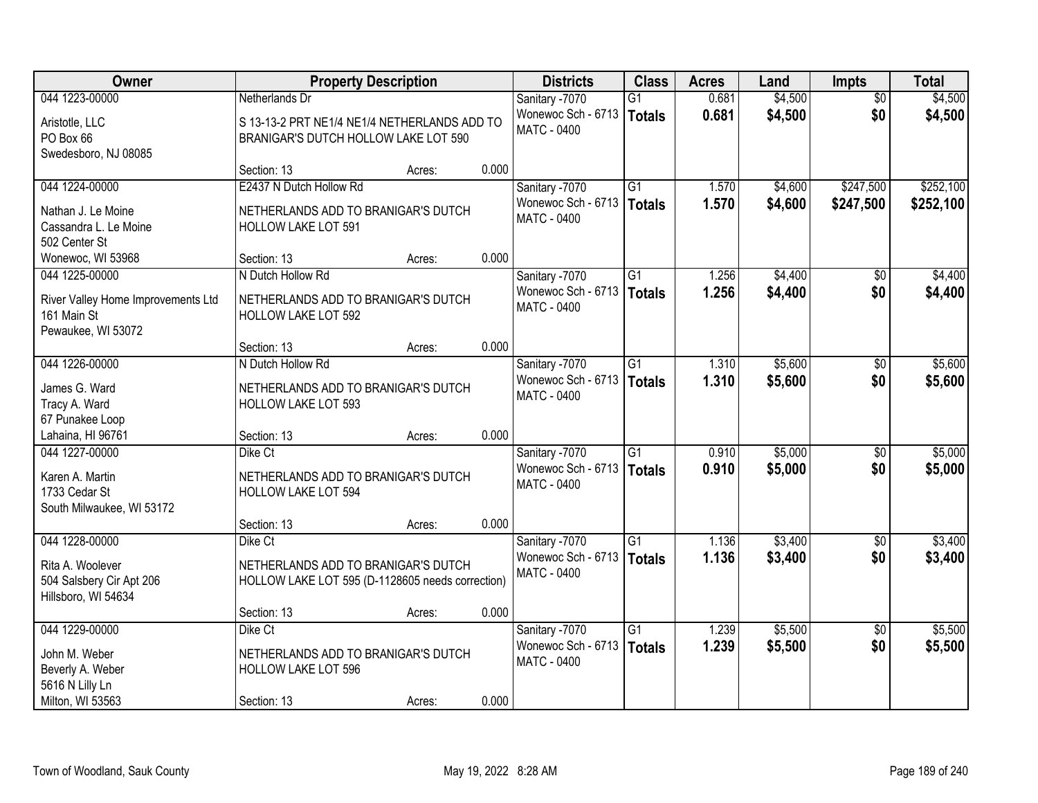| Owner                                                                           | <b>Property Description</b>                                                             |        |       | <b>Districts</b>                                    | <b>Class</b>              | <b>Acres</b>   | Land               | <b>Impts</b>    | <b>Total</b>       |
|---------------------------------------------------------------------------------|-----------------------------------------------------------------------------------------|--------|-------|-----------------------------------------------------|---------------------------|----------------|--------------------|-----------------|--------------------|
| 044 1223-00000                                                                  | Netherlands Dr                                                                          |        |       | Sanitary -7070                                      | G1                        | 0.681          | \$4,500            | $\overline{50}$ | \$4,500            |
| Aristotle, LLC<br>PO Box 66<br>Swedesboro, NJ 08085                             | S 13-13-2 PRT NE1/4 NE1/4 NETHERLANDS ADD TO<br>BRANIGAR'S DUTCH HOLLOW LAKE LOT 590    |        |       | Wonewoc Sch - 6713<br><b>MATC - 0400</b>            | <b>Totals</b>             | 0.681          | \$4,500            | \$0             | \$4,500            |
|                                                                                 | Section: 13                                                                             | Acres: | 0.000 |                                                     |                           |                |                    |                 |                    |
| 044 1224-00000                                                                  | E2437 N Dutch Hollow Rd                                                                 |        |       | Sanitary -7070                                      | $\overline{G1}$           | 1.570          | \$4,600            | \$247,500       | \$252,100          |
| Nathan J. Le Moine<br>Cassandra L. Le Moine<br>502 Center St                    | NETHERLANDS ADD TO BRANIGAR'S DUTCH<br><b>HOLLOW LAKE LOT 591</b>                       |        |       | Wonewoc Sch - 6713   Totals<br><b>MATC - 0400</b>   |                           | 1.570          | \$4,600            | \$247,500       | \$252,100          |
| Wonewoc, WI 53968                                                               | Section: 13                                                                             | Acres: | 0.000 |                                                     |                           |                |                    |                 |                    |
| 044 1225-00000                                                                  | N Dutch Hollow Rd                                                                       |        |       | Sanitary -7070                                      | G <sub>1</sub>            | 1.256          | \$4,400            | \$0             | \$4,400            |
| River Valley Home Improvements Ltd<br>161 Main St<br>Pewaukee, WI 53072         | NETHERLANDS ADD TO BRANIGAR'S DUTCH<br><b>HOLLOW LAKE LOT 592</b>                       |        |       | Wonewoc Sch - 6713<br><b>MATC - 0400</b>            | Totals                    | 1.256          | \$4,400            | \$0             | \$4,400            |
|                                                                                 | Section: 13                                                                             | Acres: | 0.000 |                                                     |                           |                |                    |                 |                    |
| 044 1226-00000                                                                  | N Dutch Hollow Rd                                                                       |        |       | Sanitary -7070                                      | $\overline{G1}$           | 1.310          | \$5,600            | \$0             | \$5,600            |
| James G. Ward<br>Tracy A. Ward<br>67 Punakee Loop                               | NETHERLANDS ADD TO BRANIGAR'S DUTCH<br>HOLLOW LAKE LOT 593                              |        |       | Wonewoc Sch - 6713<br>MATC - 0400                   | <b>Totals</b>             | 1.310          | \$5,600            | \$0             | \$5,600            |
| Lahaina, HI 96761                                                               | Section: 13                                                                             | Acres: | 0.000 |                                                     |                           |                |                    |                 |                    |
| 044 1227-00000<br>Karen A. Martin<br>1733 Cedar St<br>South Milwaukee, WI 53172 | Dike Ct<br>NETHERLANDS ADD TO BRANIGAR'S DUTCH<br><b>HOLLOW LAKE LOT 594</b>            |        |       | Sanitary -7070<br>Wonewoc Sch - 6713<br>MATC - 0400 | $\overline{G1}$<br>Totals | 0.910<br>0.910 | \$5,000<br>\$5,000 | \$0<br>\$0      | \$5,000<br>\$5,000 |
|                                                                                 | Section: 13                                                                             | Acres: | 0.000 |                                                     |                           |                |                    |                 |                    |
| 044 1228-00000                                                                  | Dike Ct                                                                                 |        |       | Sanitary -7070                                      | $\overline{G1}$           | 1.136          | \$3,400            | $\overline{60}$ | \$3,400            |
| Rita A. Woolever<br>504 Salsbery Cir Apt 206<br>Hillsboro, WI 54634             | NETHERLANDS ADD TO BRANIGAR'S DUTCH<br>HOLLOW LAKE LOT 595 (D-1128605 needs correction) |        |       | Wonewoc Sch - 6713   Totals<br><b>MATC - 0400</b>   |                           | 1.136          | \$3,400            | \$0             | \$3,400            |
|                                                                                 | Section: 13                                                                             | Acres: | 0.000 |                                                     |                           |                |                    |                 |                    |
| 044 1229-00000                                                                  | Dike Ct                                                                                 |        |       | Sanitary -7070                                      | G1                        | 1.239          | \$5,500            | $\overline{50}$ | \$5,500            |
| John M. Weber<br>Beverly A. Weber<br>5616 N Lilly Ln                            | NETHERLANDS ADD TO BRANIGAR'S DUTCH<br><b>HOLLOW LAKE LOT 596</b>                       |        |       | Wonewoc Sch - 6713<br>MATC - 0400                   | Totals                    | 1.239          | \$5,500            | \$0             | \$5,500            |
| Milton, WI 53563                                                                | Section: 13                                                                             | Acres: | 0.000 |                                                     |                           |                |                    |                 |                    |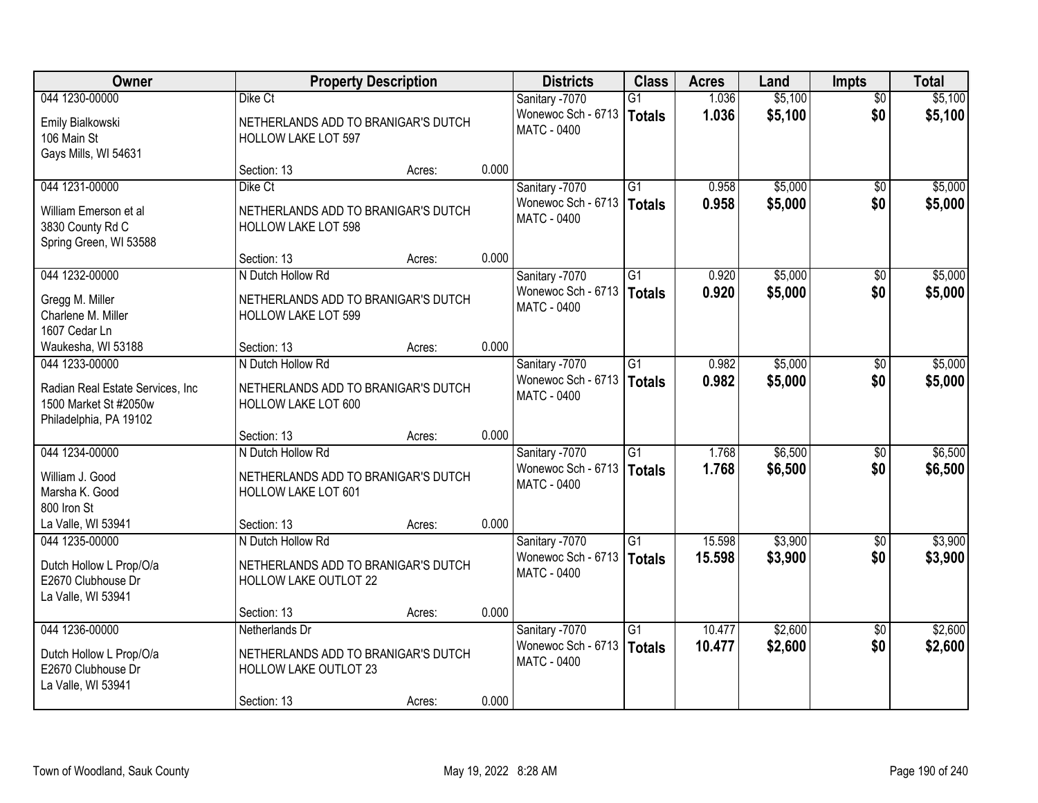| Owner                                                                               | <b>Property Description</b>                                         |        |       | <b>Districts</b>                         | <b>Class</b>    | <b>Acres</b> | Land    | <b>Impts</b>    | <b>Total</b> |
|-------------------------------------------------------------------------------------|---------------------------------------------------------------------|--------|-------|------------------------------------------|-----------------|--------------|---------|-----------------|--------------|
| 044 1230-00000                                                                      | Dike Ct                                                             |        |       | Sanitary -7070                           | G1              | 1.036        | \$5,100 | $\overline{50}$ | \$5,100      |
| Emily Bialkowski<br>106 Main St<br>Gays Mills, WI 54631                             | NETHERLANDS ADD TO BRANIGAR'S DUTCH<br><b>HOLLOW LAKE LOT 597</b>   |        |       | Wonewoc Sch - 6713<br><b>MATC - 0400</b> | Totals          | 1.036        | \$5,100 | \$0             | \$5,100      |
|                                                                                     | Section: 13                                                         | Acres: | 0.000 |                                          |                 |              |         |                 |              |
| 044 1231-00000                                                                      | Dike Ct                                                             |        |       | Sanitary -7070                           | $\overline{G1}$ | 0.958        | \$5,000 | $\overline{50}$ | \$5,000      |
| William Emerson et al<br>3830 County Rd C<br>Spring Green, WI 53588                 | NETHERLANDS ADD TO BRANIGAR'S DUTCH<br><b>HOLLOW LAKE LOT 598</b>   |        |       | Wonewoc Sch - 6713<br><b>MATC - 0400</b> | Totals          | 0.958        | \$5,000 | \$0             | \$5,000      |
|                                                                                     | Section: 13                                                         | Acres: | 0.000 |                                          |                 |              |         |                 |              |
| 044 1232-00000                                                                      | N Dutch Hollow Rd                                                   |        |       | Sanitary -7070                           | G1              | 0.920        | \$5,000 | \$0             | \$5,000      |
| Gregg M. Miller<br>Charlene M. Miller<br>1607 Cedar Ln                              | NETHERLANDS ADD TO BRANIGAR'S DUTCH<br><b>HOLLOW LAKE LOT 599</b>   |        |       | Wonewoc Sch - 6713<br>MATC - 0400        | <b>Totals</b>   | 0.920        | \$5,000 | \$0             | \$5,000      |
| Waukesha, WI 53188                                                                  | Section: 13                                                         | Acres: | 0.000 |                                          |                 |              |         |                 |              |
| 044 1233-00000                                                                      | N Dutch Hollow Rd                                                   |        |       | Sanitary -7070                           | G1              | 0.982        | \$5,000 | $\sqrt[6]{3}$   | \$5,000      |
| Radian Real Estate Services, Inc<br>1500 Market St #2050w<br>Philadelphia, PA 19102 | NETHERLANDS ADD TO BRANIGAR'S DUTCH<br>HOLLOW LAKE LOT 600          |        |       | Wonewoc Sch - 6713<br>MATC - 0400        | Totals          | 0.982        | \$5,000 | \$0             | \$5,000      |
|                                                                                     | Section: 13                                                         | Acres: | 0.000 |                                          |                 |              |         |                 |              |
| 044 1234-00000                                                                      | N Dutch Hollow Rd                                                   |        |       | Sanitary -7070                           | $\overline{G1}$ | 1.768        | \$6,500 | \$0             | \$6,500      |
| William J. Good<br>Marsha K. Good<br>800 Iron St                                    | NETHERLANDS ADD TO BRANIGAR'S DUTCH<br><b>HOLLOW LAKE LOT 601</b>   |        |       | Wonewoc Sch - 6713<br>MATC - 0400        | Totals          | 1.768        | \$6,500 | \$0             | \$6,500      |
| La Valle, WI 53941                                                                  | Section: 13                                                         | Acres: | 0.000 |                                          |                 |              |         |                 |              |
| 044 1235-00000                                                                      | N Dutch Hollow Rd                                                   |        |       | Sanitary -7070                           | $\overline{G1}$ | 15.598       | \$3,900 | $\overline{30}$ | \$3,900      |
| Dutch Hollow L Prop/O/a<br>E2670 Clubhouse Dr<br>La Valle, WI 53941                 | NETHERLANDS ADD TO BRANIGAR'S DUTCH<br>HOLLOW LAKE OUTLOT 22        |        |       | Wonewoc Sch - 6713<br><b>MATC - 0400</b> | Totals          | 15.598       | \$3,900 | \$0             | \$3,900      |
|                                                                                     | Section: 13                                                         | Acres: | 0.000 |                                          |                 |              |         |                 |              |
| 044 1236-00000                                                                      | Netherlands Dr                                                      |        |       | Sanitary -7070                           | $\overline{G1}$ | 10.477       | \$2,600 | $\overline{50}$ | \$2,600      |
| Dutch Hollow L Prop/O/a<br>E2670 Clubhouse Dr<br>La Valle, WI 53941                 | NETHERLANDS ADD TO BRANIGAR'S DUTCH<br><b>HOLLOW LAKE OUTLOT 23</b> |        |       | Wonewoc Sch - 6713<br><b>MATC - 0400</b> | Totals          | 10.477       | \$2,600 | \$0             | \$2,600      |
|                                                                                     | Section: 13                                                         | Acres: | 0.000 |                                          |                 |              |         |                 |              |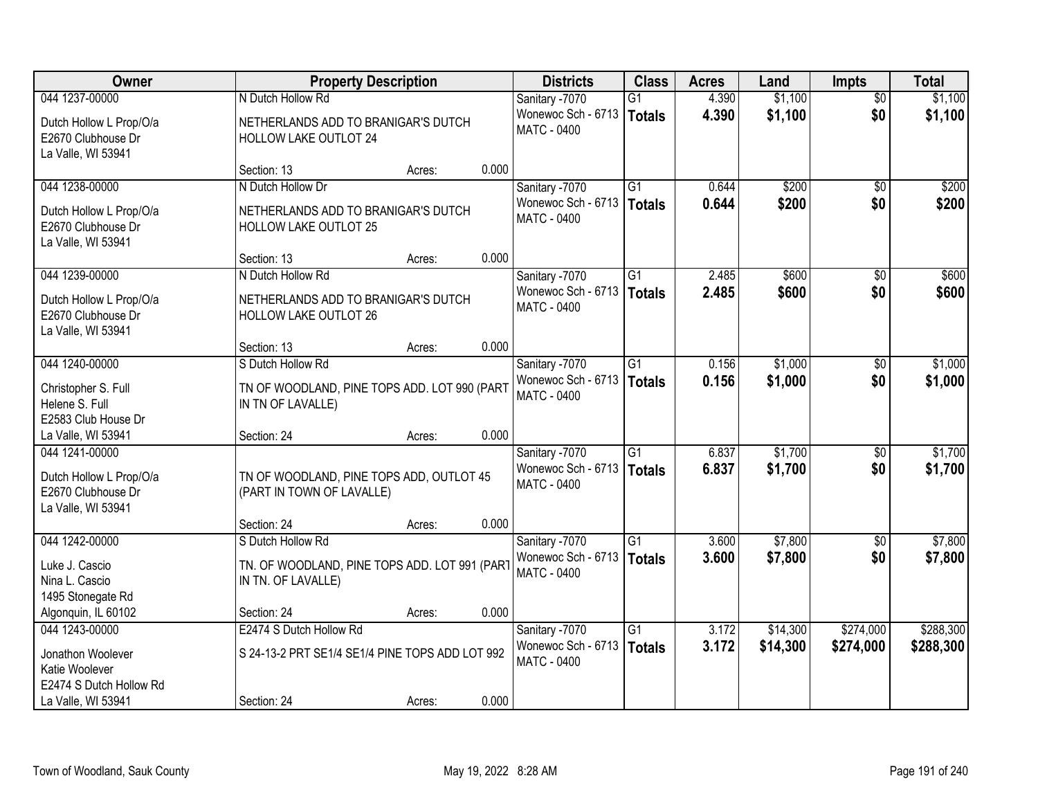| Owner                                                               |                                                                       | <b>Property Description</b> |       | <b>Districts</b>                                  | <b>Class</b>    | <b>Acres</b> | Land     | <b>Impts</b>    | <b>Total</b> |
|---------------------------------------------------------------------|-----------------------------------------------------------------------|-----------------------------|-------|---------------------------------------------------|-----------------|--------------|----------|-----------------|--------------|
| 044 1237-00000                                                      | N Dutch Hollow Rd                                                     |                             |       | Sanitary -7070                                    | $\overline{G1}$ | 4.390        | \$1,100  | $\overline{50}$ | \$1,100      |
| Dutch Hollow L Prop/O/a<br>E2670 Clubhouse Dr<br>La Valle, WI 53941 | NETHERLANDS ADD TO BRANIGAR'S DUTCH<br><b>HOLLOW LAKE OUTLOT 24</b>   |                             |       | Wonewoc Sch - 6713<br><b>MATC - 0400</b>          | <b>Totals</b>   | 4.390        | \$1,100  | \$0             | \$1,100      |
|                                                                     | Section: 13                                                           | Acres:                      | 0.000 |                                                   |                 |              |          |                 |              |
| 044 1238-00000                                                      | N Dutch Hollow Dr                                                     |                             |       | Sanitary -7070                                    | $\overline{G1}$ | 0.644        | \$200    | $\overline{30}$ | \$200        |
| Dutch Hollow L Prop/O/a<br>E2670 Clubhouse Dr<br>La Valle, WI 53941 | NETHERLANDS ADD TO BRANIGAR'S DUTCH<br><b>HOLLOW LAKE OUTLOT 25</b>   |                             |       | Wonewoc Sch - 6713<br>MATC - 0400                 | <b>Totals</b>   | 0.644        | \$200    | \$0             | \$200        |
|                                                                     | Section: 13                                                           | Acres:                      | 0.000 |                                                   |                 |              |          |                 |              |
| 044 1239-00000                                                      | N Dutch Hollow Rd                                                     |                             |       | Sanitary -7070                                    | $\overline{G1}$ | 2.485        | \$600    | \$0             | \$600        |
| Dutch Hollow L Prop/O/a<br>E2670 Clubhouse Dr<br>La Valle, WI 53941 | NETHERLANDS ADD TO BRANIGAR'S DUTCH<br>HOLLOW LAKE OUTLOT 26          |                             |       | Wonewoc Sch - 6713<br>MATC - 0400                 | <b>Totals</b>   | 2.485        | \$600    | \$0             | \$600        |
|                                                                     | Section: 13                                                           | Acres:                      | 0.000 |                                                   |                 |              |          |                 |              |
| 044 1240-00000                                                      | S Dutch Hollow Rd                                                     |                             |       | Sanitary -7070                                    | $\overline{G1}$ | 0.156        | \$1,000  | \$0             | \$1,000      |
| Christopher S. Full<br>Helene S. Full<br>E2583 Club House Dr        | TN OF WOODLAND, PINE TOPS ADD. LOT 990 (PART<br>IN TN OF LAVALLE)     |                             |       | Wonewoc Sch - 6713<br><b>MATC - 0400</b>          | <b>Totals</b>   | 0.156        | \$1,000  | \$0             | \$1,000      |
| La Valle, WI 53941                                                  | Section: 24                                                           | Acres:                      | 0.000 |                                                   |                 |              |          |                 |              |
| 044 1241-00000                                                      |                                                                       |                             |       | Sanitary -7070                                    | $\overline{G1}$ | 6.837        | \$1,700  | \$0             | \$1,700      |
| Dutch Hollow L Prop/O/a<br>E2670 Clubhouse Dr<br>La Valle, WI 53941 | TN OF WOODLAND, PINE TOPS ADD, OUTLOT 45<br>(PART IN TOWN OF LAVALLE) |                             |       | Wonewoc Sch - 6713<br>MATC - 0400                 | <b>Totals</b>   | 6.837        | \$1,700  | \$0             | \$1,700      |
|                                                                     | Section: 24                                                           | Acres:                      | 0.000 |                                                   |                 |              |          |                 |              |
| 044 1242-00000                                                      | S Dutch Hollow Rd                                                     |                             |       | Sanitary -7070                                    | $\overline{G1}$ | 3.600        | \$7,800  | \$0             | \$7,800      |
| Luke J. Cascio<br>Nina L. Cascio<br>1495 Stonegate Rd               | TN. OF WOODLAND, PINE TOPS ADD. LOT 991 (PART<br>IN TN. OF LAVALLE)   |                             |       | Wonewoc Sch - 6713<br>MATC - 0400                 | <b>Totals</b>   | 3.600        | \$7,800  | \$0             | \$7,800      |
| Algonquin, IL 60102                                                 | Section: 24                                                           | Acres:                      | 0.000 |                                                   |                 |              |          |                 |              |
| 044 1243-00000                                                      | E2474 S Dutch Hollow Rd                                               |                             |       | Sanitary -7070                                    | $\overline{G1}$ | 3.172        | \$14,300 | \$274,000       | \$288,300    |
| Jonathon Woolever<br>Katie Woolever<br>E2474 S Dutch Hollow Rd      | S 24-13-2 PRT SE1/4 SE1/4 PINE TOPS ADD LOT 992                       |                             |       | Wonewoc Sch - 6713   Totals<br><b>MATC - 0400</b> |                 | 3.172        | \$14,300 | \$274,000       | \$288,300    |
| La Valle, WI 53941                                                  | Section: 24                                                           | Acres:                      | 0.000 |                                                   |                 |              |          |                 |              |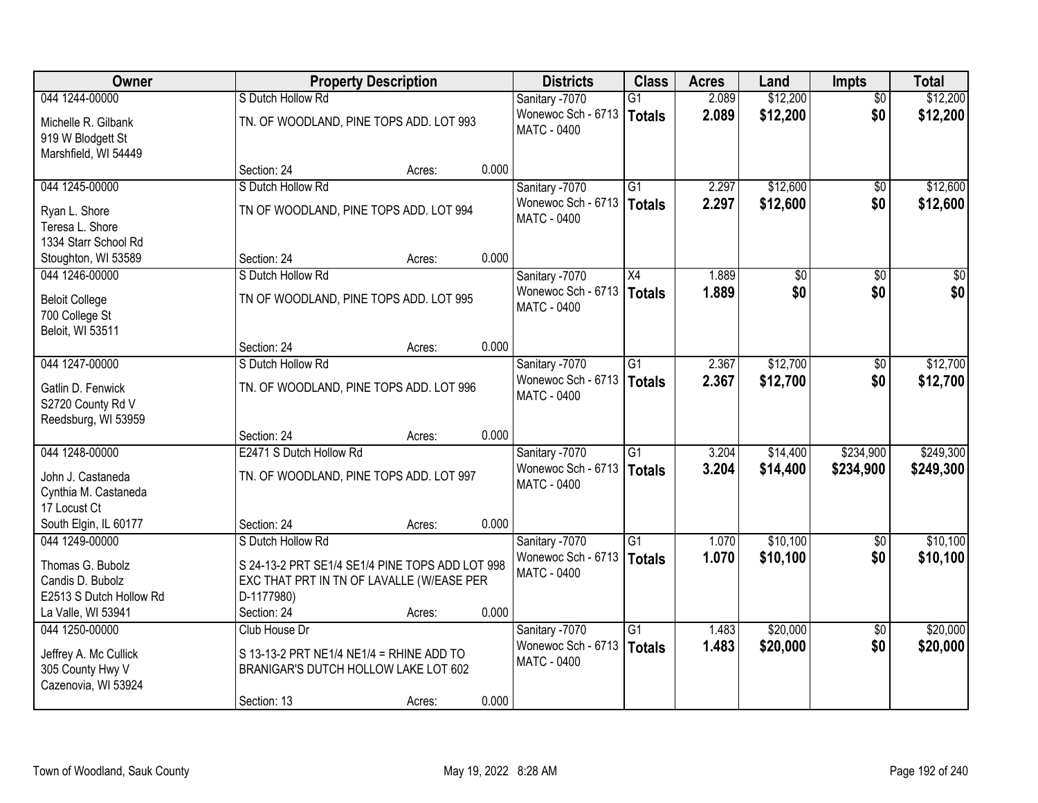| Owner                                                                              | <b>Property Description</b>                                                                                      |        |       | <b>Districts</b>                                           | <b>Class</b>              | <b>Acres</b>   | Land                 | <b>Impts</b>           | <b>Total</b>         |
|------------------------------------------------------------------------------------|------------------------------------------------------------------------------------------------------------------|--------|-------|------------------------------------------------------------|---------------------------|----------------|----------------------|------------------------|----------------------|
| 044 1244-00000                                                                     | S Dutch Hollow Rd                                                                                                |        |       | Sanitary -7070                                             | $\overline{G1}$           | 2.089          | \$12,200             | $\overline{50}$        | \$12,200             |
| Michelle R. Gilbank<br>919 W Blodgett St<br>Marshfield, WI 54449                   | TN. OF WOODLAND, PINE TOPS ADD. LOT 993                                                                          |        |       | Wonewoc Sch - 6713<br>MATC - 0400                          | Totals                    | 2.089          | \$12,200             | \$0                    | \$12,200             |
|                                                                                    | Section: 24                                                                                                      | Acres: | 0.000 |                                                            |                           |                |                      |                        |                      |
| 044 1245-00000                                                                     | S Dutch Hollow Rd                                                                                                |        |       | Sanitary -7070                                             | $\overline{G1}$           | 2.297          | \$12,600             | $\sqrt{6}$             | \$12,600             |
| Ryan L. Shore<br>Teresa L. Shore<br>1334 Starr School Rd                           | TN OF WOODLAND, PINE TOPS ADD. LOT 994                                                                           |        |       | Wonewoc Sch - 6713<br><b>MATC - 0400</b>                   | Totals                    | 2.297          | \$12,600             | \$0                    | \$12,600             |
| Stoughton, WI 53589                                                                | Section: 24                                                                                                      | Acres: | 0.000 |                                                            |                           |                |                      |                        |                      |
| 044 1246-00000                                                                     | S Dutch Hollow Rd                                                                                                |        |       | Sanitary -7070                                             | X4                        | 1.889          | $\overline{50}$      | \$0                    | $\sqrt{50}$          |
| <b>Beloit College</b><br>700 College St<br>Beloit, WI 53511                        | TN OF WOODLAND, PINE TOPS ADD. LOT 995                                                                           |        |       | Wonewoc Sch - 6713<br><b>MATC - 0400</b>                   | Totals                    | 1.889          | \$0                  | \$0                    | \$0                  |
|                                                                                    | Section: 24                                                                                                      | Acres: | 0.000 |                                                            |                           |                |                      |                        |                      |
| 044 1247-00000                                                                     | S Dutch Hollow Rd                                                                                                |        |       | Sanitary -7070                                             | $\overline{G1}$           | 2.367          | \$12,700             | \$0                    | \$12,700             |
| Gatlin D. Fenwick<br>S2720 County Rd V<br>Reedsburg, WI 53959                      | TN. OF WOODLAND, PINE TOPS ADD. LOT 996                                                                          |        |       | Wonewoc Sch - 6713<br><b>MATC - 0400</b>                   | Totals                    | 2.367          | \$12,700             | \$0                    | \$12,700             |
|                                                                                    | Section: 24                                                                                                      | Acres: | 0.000 |                                                            |                           |                |                      |                        |                      |
| 044 1248-00000                                                                     | E2471 S Dutch Hollow Rd                                                                                          |        |       | Sanitary -7070                                             | $\overline{G1}$           | 3.204          | \$14,400             | \$234,900              | \$249,300            |
| John J. Castaneda<br>Cynthia M. Castaneda<br>17 Locust Ct                          | TN. OF WOODLAND, PINE TOPS ADD. LOT 997                                                                          |        |       | Wonewoc Sch - 6713<br><b>MATC - 0400</b>                   | Totals                    | 3.204          | \$14,400             | \$234,900              | \$249,300            |
| South Elgin, IL 60177                                                              | Section: 24                                                                                                      | Acres: | 0.000 |                                                            |                           |                |                      |                        |                      |
| 044 1249-00000                                                                     | S Dutch Hollow Rd                                                                                                |        |       | Sanitary -7070                                             | $\overline{G1}$           | 1.070          | \$10,100             | \$0                    | \$10,100             |
| Thomas G. Bubolz<br>Candis D. Bubolz<br>E2513 S Dutch Hollow Rd                    | S 24-13-2 PRT SE1/4 SE1/4 PINE TOPS ADD LOT 998<br>EXC THAT PRT IN TN OF LAVALLE (W/EASE PER<br>D-1177980)       |        |       | Wonewoc Sch - 6713<br><b>MATC - 0400</b>                   | Totals                    | 1.070          | \$10,100             | \$0                    | \$10,100             |
| La Valle, WI 53941                                                                 | Section: 24                                                                                                      | Acres: | 0.000 |                                                            |                           |                |                      |                        |                      |
| 044 1250-00000<br>Jeffrey A. Mc Cullick<br>305 County Hwy V<br>Cazenovia, WI 53924 | Club House Dr<br>S 13-13-2 PRT NE1/4 NE1/4 = RHINE ADD TO<br>BRANIGAR'S DUTCH HOLLOW LAKE LOT 602<br>Section: 13 | Acres: | 0.000 | Sanitary -7070<br>Wonewoc Sch - 6713<br><b>MATC - 0400</b> | $\overline{G1}$<br>Totals | 1.483<br>1.483 | \$20,000<br>\$20,000 | $\overline{50}$<br>\$0 | \$20,000<br>\$20,000 |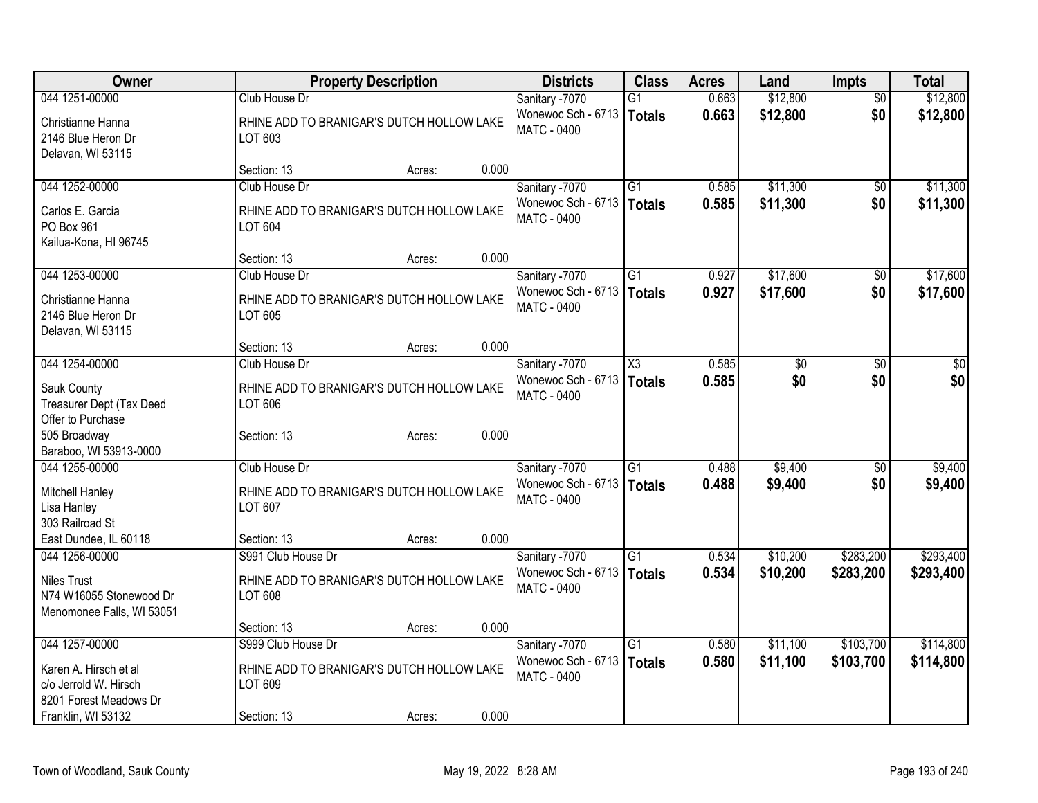| Owner                                                                      | <b>Property Description</b>                          | <b>Districts</b> | <b>Class</b>                                      | <b>Acres</b>           | Land  | Impts           | <b>Total</b>    |                 |
|----------------------------------------------------------------------------|------------------------------------------------------|------------------|---------------------------------------------------|------------------------|-------|-----------------|-----------------|-----------------|
| 044 1251-00000                                                             | Club House Dr                                        |                  | Sanitary -7070                                    | $\overline{G1}$        | 0.663 | \$12,800        | $\overline{50}$ | \$12,800        |
| Christianne Hanna<br>2146 Blue Heron Dr<br>Delavan, WI 53115               | RHINE ADD TO BRANIGAR'S DUTCH HOLLOW LAKE<br>LOT 603 |                  | Wonewoc Sch - 6713<br>MATC - 0400                 | <b>Totals</b>          | 0.663 | \$12,800        | \$0             | \$12,800        |
|                                                                            | Section: 13<br>Acres:                                | 0.000            |                                                   |                        |       |                 |                 |                 |
| 044 1252-00000                                                             | Club House Dr                                        |                  | Sanitary -7070                                    | $\overline{G1}$        | 0.585 | \$11,300        | \$0             | \$11,300        |
| Carlos E. Garcia<br>PO Box 961<br>Kailua-Kona, HI 96745                    | RHINE ADD TO BRANIGAR'S DUTCH HOLLOW LAKE<br>LOT 604 |                  | Wonewoc Sch - 6713<br><b>MATC - 0400</b>          | <b>Totals</b>          | 0.585 | \$11,300        | \$0             | \$11,300        |
|                                                                            | Section: 13<br>Acres:                                | 0.000            |                                                   |                        |       |                 |                 |                 |
| 044 1253-00000                                                             | Club House Dr                                        |                  | Sanitary -7070                                    | G1                     | 0.927 | \$17,600        | \$0             | \$17,600        |
| Christianne Hanna<br>2146 Blue Heron Dr<br>Delavan, WI 53115               | RHINE ADD TO BRANIGAR'S DUTCH HOLLOW LAKE<br>LOT 605 |                  | Wonewoc Sch - 6713<br><b>MATC - 0400</b>          | <b>Totals</b>          | 0.927 | \$17,600        | \$0             | \$17,600        |
|                                                                            | Section: 13<br>Acres:                                | 0.000            |                                                   |                        |       |                 |                 |                 |
| 044 1254-00000                                                             | Club House Dr                                        |                  | Sanitary -7070                                    | $\overline{\text{X3}}$ | 0.585 | $\overline{60}$ | $\overline{50}$ | $\overline{50}$ |
| Sauk County<br>Treasurer Dept (Tax Deed<br>Offer to Purchase               | RHINE ADD TO BRANIGAR'S DUTCH HOLLOW LAKE<br>LOT 606 |                  | Wonewoc Sch - 6713   Totals<br><b>MATC - 0400</b> |                        | 0.585 | \$0             | \$0             | \$0             |
| 505 Broadway<br>Baraboo, WI 53913-0000                                     | Section: 13<br>Acres:                                | 0.000            |                                                   |                        |       |                 |                 |                 |
| 044 1255-00000                                                             | Club House Dr                                        |                  | Sanitary -7070                                    | $\overline{G1}$        | 0.488 | \$9,400         | \$0             | \$9,400         |
| Mitchell Hanley<br>Lisa Hanley<br>303 Railroad St                          | RHINE ADD TO BRANIGAR'S DUTCH HOLLOW LAKE<br>LOT 607 |                  | Wonewoc Sch - 6713<br><b>MATC - 0400</b>          | Totals                 | 0.488 | \$9,400         | \$0             | \$9,400         |
| East Dundee, IL 60118                                                      | Section: 13<br>Acres:                                | 0.000            |                                                   |                        |       |                 |                 |                 |
| 044 1256-00000                                                             | S991 Club House Dr                                   |                  | Sanitary -7070                                    | $\overline{G1}$        | 0.534 | \$10,200        | \$283,200       | \$293,400       |
| <b>Niles Trust</b><br>N74 W16055 Stonewood Dr<br>Menomonee Falls, WI 53051 | RHINE ADD TO BRANIGAR'S DUTCH HOLLOW LAKE<br>LOT 608 |                  | Wonewoc Sch - 6713<br><b>MATC - 0400</b>          | Totals                 | 0.534 | \$10,200        | \$283,200       | \$293,400       |
|                                                                            | Section: 13<br>Acres:                                | 0.000            |                                                   |                        |       |                 |                 |                 |
| 044 1257-00000                                                             | S999 Club House Dr                                   |                  | Sanitary -7070                                    | $\overline{G1}$        | 0.580 | \$11,100        | \$103,700       | \$114,800       |
| Karen A. Hirsch et al<br>c/o Jerrold W. Hirsch<br>8201 Forest Meadows Dr   | RHINE ADD TO BRANIGAR'S DUTCH HOLLOW LAKE<br>LOT 609 |                  | Wonewoc Sch - 6713   Totals<br><b>MATC - 0400</b> |                        | 0.580 | \$11,100        | \$103,700       | \$114,800       |
| Franklin, WI 53132                                                         | Section: 13<br>Acres:                                | 0.000            |                                                   |                        |       |                 |                 |                 |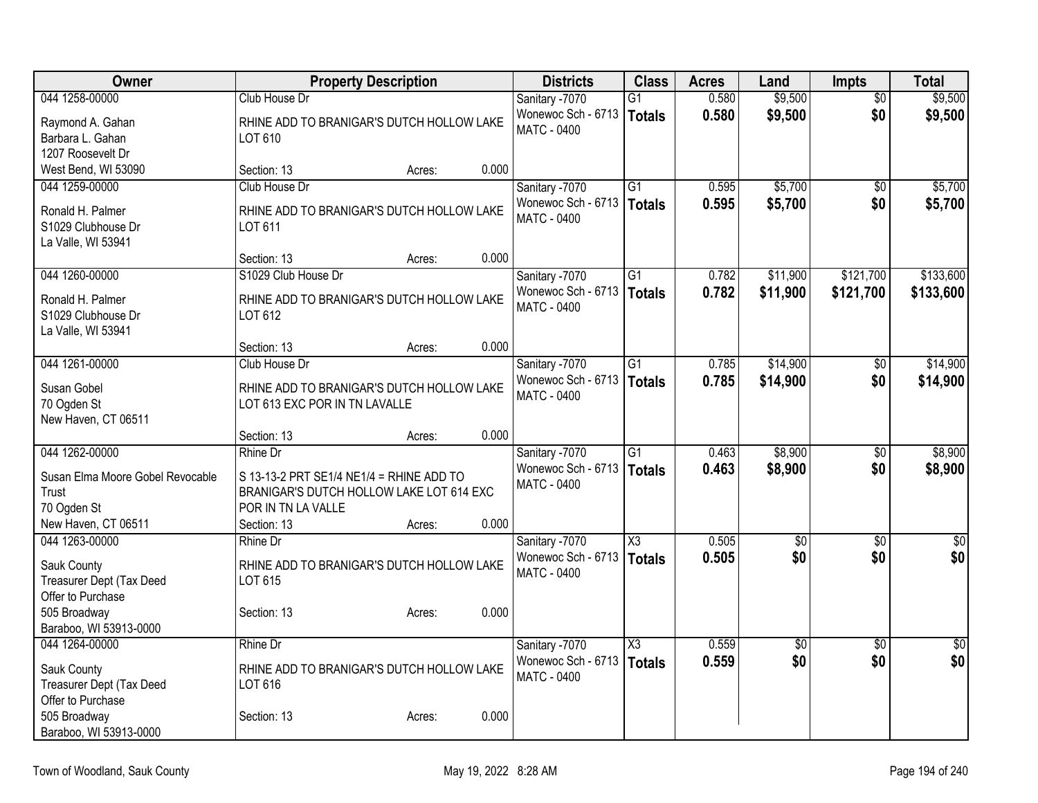| \$9,500<br>044 1258-00000<br>0.580<br>Club House Dr<br>Sanitary -7070<br>$\overline{G1}$<br>$\overline{50}$                             | \$9,500     |
|-----------------------------------------------------------------------------------------------------------------------------------------|-------------|
|                                                                                                                                         |             |
| Wonewoc Sch - 6713<br>0.580<br>\$9,500<br>\$0<br>Totals<br>Raymond A. Gahan<br>RHINE ADD TO BRANIGAR'S DUTCH HOLLOW LAKE                | \$9,500     |
| MATC - 0400<br>Barbara L. Gahan<br>LOT 610                                                                                              |             |
| 1207 Roosevelt Dr                                                                                                                       |             |
| West Bend, WI 53090<br>0.000<br>Section: 13<br>Acres:                                                                                   |             |
| G1<br>\$5,700<br>044 1259-00000<br>Club House Dr<br>Sanitary -7070<br>0.595<br>\$0                                                      | \$5,700     |
| Wonewoc Sch - 6713<br>\$5,700<br>\$0<br>0.595<br>Totals<br>Ronald H. Palmer<br>RHINE ADD TO BRANIGAR'S DUTCH HOLLOW LAKE                | \$5,700     |
| MATC - 0400<br>S1029 Clubhouse Dr<br>LOT 611                                                                                            |             |
| La Valle, WI 53941                                                                                                                      |             |
| 0.000<br>Section: 13<br>Acres:                                                                                                          |             |
| Sanitary -7070<br>$\overline{G1}$<br>\$121,700<br>044 1260-00000<br>S1029 Club House Dr<br>0.782<br>\$11,900                            | \$133,600   |
| Wonewoc Sch - 6713<br>0.782<br>\$11,900<br>\$121,700<br><b>Totals</b>                                                                   | \$133,600   |
| Ronald H. Palmer<br>RHINE ADD TO BRANIGAR'S DUTCH HOLLOW LAKE<br>MATC - 0400                                                            |             |
| LOT 612<br>S1029 Clubhouse Dr                                                                                                           |             |
| La Valle, WI 53941<br>0.000<br>Section: 13<br>Acres:                                                                                    |             |
| 044 1261-00000<br>Club House Dr<br>Sanitary -7070<br>$\overline{G1}$<br>\$14,900<br>0.785<br>\$0                                        | \$14,900    |
| Wonewoc Sch - 6713<br>0.785<br>\$14,900<br>\$0                                                                                          | \$14,900    |
| Totals<br>Susan Gobel<br>RHINE ADD TO BRANIGAR'S DUTCH HOLLOW LAKE<br><b>MATC - 0400</b>                                                |             |
| 70 Ogden St<br>LOT 613 EXC POR IN TN LAVALLE                                                                                            |             |
| New Haven, CT 06511                                                                                                                     |             |
| 0.000<br>Section: 13<br>Acres:                                                                                                          |             |
| \$8,900<br>044 1262-00000<br>$\overline{G1}$<br>0.463<br>Rhine Dr<br>\$0<br>Sanitary -7070                                              | \$8,900     |
| Wonewoc Sch - 6713<br>0.463<br>Totals<br>\$8,900<br>\$0<br>Susan Elma Moore Gobel Revocable<br>S 13-13-2 PRT SE1/4 NE1/4 = RHINE ADD TO | \$8,900     |
| <b>MATC - 0400</b><br>BRANIGAR'S DUTCH HOLLOW LAKE LOT 614 EXC<br>Trust                                                                 |             |
| 70 Ogden St<br>POR IN TN LA VALLE                                                                                                       |             |
| New Haven, CT 06511<br>0.000<br>Section: 13<br>Acres:                                                                                   |             |
| $\overline{\chi_3}$<br>0.505<br>044 1263-00000<br>Sanitary -7070<br>$\overline{50}$<br>$\overline{30}$<br>Rhine Dr                      | $\sqrt{50}$ |
| Totals<br>0.505<br>\$0<br>\$0<br>Wonewoc Sch - 6713<br>Sauk County<br>RHINE ADD TO BRANIGAR'S DUTCH HOLLOW LAKE                         | \$0         |
| <b>MATC - 0400</b><br>Treasurer Dept (Tax Deed<br>LOT 615                                                                               |             |
| Offer to Purchase                                                                                                                       |             |
| 505 Broadway<br>0.000<br>Section: 13<br>Acres:                                                                                          |             |
| Baraboo, WI 53913-0000                                                                                                                  |             |
| 044 1264-00000<br>Rhine Dr<br>$\overline{\text{X3}}$<br>0.559<br>Sanitary -7070<br>$\overline{50}$<br>$\overline{50}$                   | $\sqrt{50}$ |
| \$0<br>\$0<br>Wonewoc Sch - 6713<br>0.559<br>Totals                                                                                     | \$0         |
| Sauk County<br>RHINE ADD TO BRANIGAR'S DUTCH HOLLOW LAKE<br><b>MATC - 0400</b><br>LOT 616                                               |             |
| Treasurer Dept (Tax Deed<br>Offer to Purchase                                                                                           |             |
| 505 Broadway<br>0.000<br>Section: 13<br>Acres:                                                                                          |             |
| Baraboo, WI 53913-0000                                                                                                                  |             |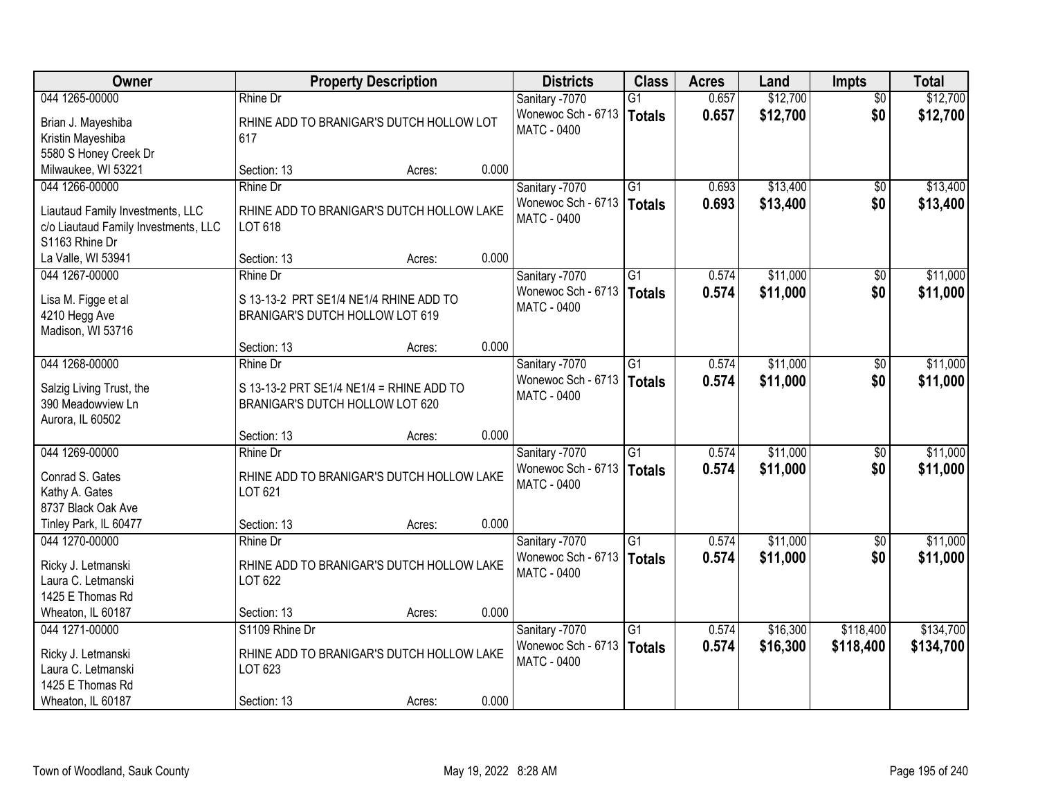| 044 1265-00000<br>\$12,700<br>\$12,700<br>0.657<br><b>Rhine Dr</b><br>Sanitary -7070<br>G1<br>$\overline{30}$<br>0.657<br>\$12,700<br>\$0<br>Wonewoc Sch - 6713<br>\$12,700<br>Totals<br>RHINE ADD TO BRANIGAR'S DUTCH HOLLOW LOT<br>Brian J. Mayeshiba<br><b>MATC - 0400</b><br>Kristin Mayeshiba<br>617<br>5580 S Honey Creek Dr<br>0.000<br>Milwaukee, WI 53221<br>Section: 13<br>Acres:<br>Rhine Dr<br>\$13,400<br>044 1266-00000<br>Sanitary -7070<br>$\overline{G1}$<br>0.693<br>$\overline{50}$<br>\$0<br>Wonewoc Sch - 6713<br>0.693<br>\$13,400<br>\$13,400<br>Totals<br>RHINE ADD TO BRANIGAR'S DUTCH HOLLOW LAKE<br>Liautaud Family Investments, LLC<br>MATC - 0400<br>LOT 618<br>c/o Liautaud Family Investments, LLC<br>S1163 Rhine Dr<br>0.000<br>La Valle, WI 53941<br>Section: 13<br>Acres:<br>044 1267-00000<br>$\overline{G1}$<br>\$11,000<br>Rhine Dr<br>Sanitary -7070<br>0.574<br>\$0<br>Wonewoc Sch - 6713<br>0.574<br>\$11,000<br>\$0<br><b>Totals</b><br>S 13-13-2 PRT SE1/4 NE1/4 RHINE ADD TO<br>Lisa M. Figge et al<br>MATC - 0400<br>4210 Hegg Ave<br>BRANIGAR'S DUTCH HOLLOW LOT 619<br>Madison, WI 53716<br>0.000<br>Section: 13<br>Acres:<br>044 1268-00000<br>\$11,000<br>Sanitary -7070<br>G1<br>0.574<br><b>Rhine Dr</b><br>\$0<br>Wonewoc Sch - 6713<br>0.574<br>\$11,000<br>\$0<br>\$11,000<br>Totals<br>Salzig Living Trust, the<br>S 13-13-2 PRT SE1/4 NE1/4 = RHINE ADD TO<br><b>MATC - 0400</b><br>390 Meadowview Ln<br>BRANIGAR'S DUTCH HOLLOW LOT 620<br>Aurora, IL 60502<br>0.000<br>Section: 13<br>Acres:<br>044 1269-00000<br>$\overline{G1}$<br>\$11,000<br>Rhine Dr<br>0.574<br>$\overline{50}$<br>Sanitary -7070<br>Wonewoc Sch - 6713<br>0.574<br>\$11,000<br>\$0<br><b>Totals</b><br>Conrad S. Gates<br>RHINE ADD TO BRANIGAR'S DUTCH HOLLOW LAKE<br><b>MATC - 0400</b><br>Kathy A. Gates<br>LOT 621<br>8737 Black Oak Ave<br>Tinley Park, IL 60477<br>0.000<br>Section: 13<br>Acres:<br>$\overline{G1}$<br>\$11,000<br>044 1270-00000<br>Sanitary -7070<br>0.574<br>Rhine Dr<br>$\sqrt{6}$<br>Wonewoc Sch - 6713<br>0.574<br>\$11,000<br>\$0<br><b>Totals</b><br>RHINE ADD TO BRANIGAR'S DUTCH HOLLOW LAKE<br>Ricky J. Letmanski<br><b>MATC - 0400</b><br>Laura C. Letmanski<br>LOT 622<br>1425 E Thomas Rd<br>0.000<br>Wheaton, IL 60187<br>Section: 13<br>Acres: | <b>Owner</b>   | <b>Property Description</b> |  | <b>Districts</b> | <b>Class</b>    | <b>Acres</b> | Land     | <b>Impts</b> | <b>Total</b> |
|-----------------------------------------------------------------------------------------------------------------------------------------------------------------------------------------------------------------------------------------------------------------------------------------------------------------------------------------------------------------------------------------------------------------------------------------------------------------------------------------------------------------------------------------------------------------------------------------------------------------------------------------------------------------------------------------------------------------------------------------------------------------------------------------------------------------------------------------------------------------------------------------------------------------------------------------------------------------------------------------------------------------------------------------------------------------------------------------------------------------------------------------------------------------------------------------------------------------------------------------------------------------------------------------------------------------------------------------------------------------------------------------------------------------------------------------------------------------------------------------------------------------------------------------------------------------------------------------------------------------------------------------------------------------------------------------------------------------------------------------------------------------------------------------------------------------------------------------------------------------------------------------------------------------------------------------------------------------------------------------------------------------------------------------------------------------------------------------------------------------------------------------------------------------------------------------------------------------------------------------------------------------------------------------------------------------------|----------------|-----------------------------|--|------------------|-----------------|--------------|----------|--------------|--------------|
|                                                                                                                                                                                                                                                                                                                                                                                                                                                                                                                                                                                                                                                                                                                                                                                                                                                                                                                                                                                                                                                                                                                                                                                                                                                                                                                                                                                                                                                                                                                                                                                                                                                                                                                                                                                                                                                                                                                                                                                                                                                                                                                                                                                                                                                                                                                       |                |                             |  |                  |                 |              |          |              |              |
|                                                                                                                                                                                                                                                                                                                                                                                                                                                                                                                                                                                                                                                                                                                                                                                                                                                                                                                                                                                                                                                                                                                                                                                                                                                                                                                                                                                                                                                                                                                                                                                                                                                                                                                                                                                                                                                                                                                                                                                                                                                                                                                                                                                                                                                                                                                       |                |                             |  |                  |                 |              |          |              |              |
|                                                                                                                                                                                                                                                                                                                                                                                                                                                                                                                                                                                                                                                                                                                                                                                                                                                                                                                                                                                                                                                                                                                                                                                                                                                                                                                                                                                                                                                                                                                                                                                                                                                                                                                                                                                                                                                                                                                                                                                                                                                                                                                                                                                                                                                                                                                       |                |                             |  |                  |                 |              |          |              |              |
|                                                                                                                                                                                                                                                                                                                                                                                                                                                                                                                                                                                                                                                                                                                                                                                                                                                                                                                                                                                                                                                                                                                                                                                                                                                                                                                                                                                                                                                                                                                                                                                                                                                                                                                                                                                                                                                                                                                                                                                                                                                                                                                                                                                                                                                                                                                       |                |                             |  |                  |                 |              |          |              |              |
|                                                                                                                                                                                                                                                                                                                                                                                                                                                                                                                                                                                                                                                                                                                                                                                                                                                                                                                                                                                                                                                                                                                                                                                                                                                                                                                                                                                                                                                                                                                                                                                                                                                                                                                                                                                                                                                                                                                                                                                                                                                                                                                                                                                                                                                                                                                       |                |                             |  |                  |                 |              |          |              |              |
| \$11,000<br>\$11,000<br>\$11,000<br>\$11,000<br>\$11,000<br>\$11,000<br>\$11,000                                                                                                                                                                                                                                                                                                                                                                                                                                                                                                                                                                                                                                                                                                                                                                                                                                                                                                                                                                                                                                                                                                                                                                                                                                                                                                                                                                                                                                                                                                                                                                                                                                                                                                                                                                                                                                                                                                                                                                                                                                                                                                                                                                                                                                      |                |                             |  |                  |                 |              |          |              | \$13,400     |
|                                                                                                                                                                                                                                                                                                                                                                                                                                                                                                                                                                                                                                                                                                                                                                                                                                                                                                                                                                                                                                                                                                                                                                                                                                                                                                                                                                                                                                                                                                                                                                                                                                                                                                                                                                                                                                                                                                                                                                                                                                                                                                                                                                                                                                                                                                                       |                |                             |  |                  |                 |              |          |              |              |
|                                                                                                                                                                                                                                                                                                                                                                                                                                                                                                                                                                                                                                                                                                                                                                                                                                                                                                                                                                                                                                                                                                                                                                                                                                                                                                                                                                                                                                                                                                                                                                                                                                                                                                                                                                                                                                                                                                                                                                                                                                                                                                                                                                                                                                                                                                                       |                |                             |  |                  |                 |              |          |              |              |
|                                                                                                                                                                                                                                                                                                                                                                                                                                                                                                                                                                                                                                                                                                                                                                                                                                                                                                                                                                                                                                                                                                                                                                                                                                                                                                                                                                                                                                                                                                                                                                                                                                                                                                                                                                                                                                                                                                                                                                                                                                                                                                                                                                                                                                                                                                                       |                |                             |  |                  |                 |              |          |              |              |
|                                                                                                                                                                                                                                                                                                                                                                                                                                                                                                                                                                                                                                                                                                                                                                                                                                                                                                                                                                                                                                                                                                                                                                                                                                                                                                                                                                                                                                                                                                                                                                                                                                                                                                                                                                                                                                                                                                                                                                                                                                                                                                                                                                                                                                                                                                                       |                |                             |  |                  |                 |              |          |              |              |
|                                                                                                                                                                                                                                                                                                                                                                                                                                                                                                                                                                                                                                                                                                                                                                                                                                                                                                                                                                                                                                                                                                                                                                                                                                                                                                                                                                                                                                                                                                                                                                                                                                                                                                                                                                                                                                                                                                                                                                                                                                                                                                                                                                                                                                                                                                                       |                |                             |  |                  |                 |              |          |              |              |
|                                                                                                                                                                                                                                                                                                                                                                                                                                                                                                                                                                                                                                                                                                                                                                                                                                                                                                                                                                                                                                                                                                                                                                                                                                                                                                                                                                                                                                                                                                                                                                                                                                                                                                                                                                                                                                                                                                                                                                                                                                                                                                                                                                                                                                                                                                                       |                |                             |  |                  |                 |              |          |              |              |
|                                                                                                                                                                                                                                                                                                                                                                                                                                                                                                                                                                                                                                                                                                                                                                                                                                                                                                                                                                                                                                                                                                                                                                                                                                                                                                                                                                                                                                                                                                                                                                                                                                                                                                                                                                                                                                                                                                                                                                                                                                                                                                                                                                                                                                                                                                                       |                |                             |  |                  |                 |              |          |              |              |
|                                                                                                                                                                                                                                                                                                                                                                                                                                                                                                                                                                                                                                                                                                                                                                                                                                                                                                                                                                                                                                                                                                                                                                                                                                                                                                                                                                                                                                                                                                                                                                                                                                                                                                                                                                                                                                                                                                                                                                                                                                                                                                                                                                                                                                                                                                                       |                |                             |  |                  |                 |              |          |              |              |
|                                                                                                                                                                                                                                                                                                                                                                                                                                                                                                                                                                                                                                                                                                                                                                                                                                                                                                                                                                                                                                                                                                                                                                                                                                                                                                                                                                                                                                                                                                                                                                                                                                                                                                                                                                                                                                                                                                                                                                                                                                                                                                                                                                                                                                                                                                                       |                |                             |  |                  |                 |              |          |              |              |
|                                                                                                                                                                                                                                                                                                                                                                                                                                                                                                                                                                                                                                                                                                                                                                                                                                                                                                                                                                                                                                                                                                                                                                                                                                                                                                                                                                                                                                                                                                                                                                                                                                                                                                                                                                                                                                                                                                                                                                                                                                                                                                                                                                                                                                                                                                                       |                |                             |  |                  |                 |              |          |              |              |
|                                                                                                                                                                                                                                                                                                                                                                                                                                                                                                                                                                                                                                                                                                                                                                                                                                                                                                                                                                                                                                                                                                                                                                                                                                                                                                                                                                                                                                                                                                                                                                                                                                                                                                                                                                                                                                                                                                                                                                                                                                                                                                                                                                                                                                                                                                                       |                |                             |  |                  |                 |              |          |              |              |
|                                                                                                                                                                                                                                                                                                                                                                                                                                                                                                                                                                                                                                                                                                                                                                                                                                                                                                                                                                                                                                                                                                                                                                                                                                                                                                                                                                                                                                                                                                                                                                                                                                                                                                                                                                                                                                                                                                                                                                                                                                                                                                                                                                                                                                                                                                                       |                |                             |  |                  |                 |              |          |              |              |
|                                                                                                                                                                                                                                                                                                                                                                                                                                                                                                                                                                                                                                                                                                                                                                                                                                                                                                                                                                                                                                                                                                                                                                                                                                                                                                                                                                                                                                                                                                                                                                                                                                                                                                                                                                                                                                                                                                                                                                                                                                                                                                                                                                                                                                                                                                                       |                |                             |  |                  |                 |              |          |              |              |
|                                                                                                                                                                                                                                                                                                                                                                                                                                                                                                                                                                                                                                                                                                                                                                                                                                                                                                                                                                                                                                                                                                                                                                                                                                                                                                                                                                                                                                                                                                                                                                                                                                                                                                                                                                                                                                                                                                                                                                                                                                                                                                                                                                                                                                                                                                                       |                |                             |  |                  |                 |              |          |              |              |
|                                                                                                                                                                                                                                                                                                                                                                                                                                                                                                                                                                                                                                                                                                                                                                                                                                                                                                                                                                                                                                                                                                                                                                                                                                                                                                                                                                                                                                                                                                                                                                                                                                                                                                                                                                                                                                                                                                                                                                                                                                                                                                                                                                                                                                                                                                                       |                |                             |  |                  |                 |              |          |              |              |
|                                                                                                                                                                                                                                                                                                                                                                                                                                                                                                                                                                                                                                                                                                                                                                                                                                                                                                                                                                                                                                                                                                                                                                                                                                                                                                                                                                                                                                                                                                                                                                                                                                                                                                                                                                                                                                                                                                                                                                                                                                                                                                                                                                                                                                                                                                                       |                |                             |  |                  |                 |              |          |              |              |
|                                                                                                                                                                                                                                                                                                                                                                                                                                                                                                                                                                                                                                                                                                                                                                                                                                                                                                                                                                                                                                                                                                                                                                                                                                                                                                                                                                                                                                                                                                                                                                                                                                                                                                                                                                                                                                                                                                                                                                                                                                                                                                                                                                                                                                                                                                                       |                |                             |  |                  |                 |              |          |              |              |
|                                                                                                                                                                                                                                                                                                                                                                                                                                                                                                                                                                                                                                                                                                                                                                                                                                                                                                                                                                                                                                                                                                                                                                                                                                                                                                                                                                                                                                                                                                                                                                                                                                                                                                                                                                                                                                                                                                                                                                                                                                                                                                                                                                                                                                                                                                                       |                |                             |  |                  |                 |              |          |              |              |
|                                                                                                                                                                                                                                                                                                                                                                                                                                                                                                                                                                                                                                                                                                                                                                                                                                                                                                                                                                                                                                                                                                                                                                                                                                                                                                                                                                                                                                                                                                                                                                                                                                                                                                                                                                                                                                                                                                                                                                                                                                                                                                                                                                                                                                                                                                                       |                |                             |  |                  |                 |              |          |              |              |
|                                                                                                                                                                                                                                                                                                                                                                                                                                                                                                                                                                                                                                                                                                                                                                                                                                                                                                                                                                                                                                                                                                                                                                                                                                                                                                                                                                                                                                                                                                                                                                                                                                                                                                                                                                                                                                                                                                                                                                                                                                                                                                                                                                                                                                                                                                                       |                |                             |  |                  |                 |              |          |              |              |
|                                                                                                                                                                                                                                                                                                                                                                                                                                                                                                                                                                                                                                                                                                                                                                                                                                                                                                                                                                                                                                                                                                                                                                                                                                                                                                                                                                                                                                                                                                                                                                                                                                                                                                                                                                                                                                                                                                                                                                                                                                                                                                                                                                                                                                                                                                                       |                |                             |  |                  |                 |              |          |              |              |
|                                                                                                                                                                                                                                                                                                                                                                                                                                                                                                                                                                                                                                                                                                                                                                                                                                                                                                                                                                                                                                                                                                                                                                                                                                                                                                                                                                                                                                                                                                                                                                                                                                                                                                                                                                                                                                                                                                                                                                                                                                                                                                                                                                                                                                                                                                                       |                |                             |  |                  |                 |              |          |              |              |
|                                                                                                                                                                                                                                                                                                                                                                                                                                                                                                                                                                                                                                                                                                                                                                                                                                                                                                                                                                                                                                                                                                                                                                                                                                                                                                                                                                                                                                                                                                                                                                                                                                                                                                                                                                                                                                                                                                                                                                                                                                                                                                                                                                                                                                                                                                                       |                |                             |  |                  |                 |              |          |              |              |
|                                                                                                                                                                                                                                                                                                                                                                                                                                                                                                                                                                                                                                                                                                                                                                                                                                                                                                                                                                                                                                                                                                                                                                                                                                                                                                                                                                                                                                                                                                                                                                                                                                                                                                                                                                                                                                                                                                                                                                                                                                                                                                                                                                                                                                                                                                                       |                |                             |  |                  |                 |              |          |              |              |
|                                                                                                                                                                                                                                                                                                                                                                                                                                                                                                                                                                                                                                                                                                                                                                                                                                                                                                                                                                                                                                                                                                                                                                                                                                                                                                                                                                                                                                                                                                                                                                                                                                                                                                                                                                                                                                                                                                                                                                                                                                                                                                                                                                                                                                                                                                                       |                |                             |  |                  |                 |              |          |              |              |
|                                                                                                                                                                                                                                                                                                                                                                                                                                                                                                                                                                                                                                                                                                                                                                                                                                                                                                                                                                                                                                                                                                                                                                                                                                                                                                                                                                                                                                                                                                                                                                                                                                                                                                                                                                                                                                                                                                                                                                                                                                                                                                                                                                                                                                                                                                                       | 044 1271-00000 | S1109 Rhine Dr              |  | Sanitary -7070   | $\overline{G1}$ | 0.574        | \$16,300 | \$118,400    | \$134,700    |
| 0.574<br>\$16,300<br>Wonewoc Sch - 6713<br>\$118,400<br>\$134,700<br>Totals                                                                                                                                                                                                                                                                                                                                                                                                                                                                                                                                                                                                                                                                                                                                                                                                                                                                                                                                                                                                                                                                                                                                                                                                                                                                                                                                                                                                                                                                                                                                                                                                                                                                                                                                                                                                                                                                                                                                                                                                                                                                                                                                                                                                                                           |                |                             |  |                  |                 |              |          |              |              |
| RHINE ADD TO BRANIGAR'S DUTCH HOLLOW LAKE<br>Ricky J. Letmanski<br><b>MATC - 0400</b><br>Laura C. Letmanski                                                                                                                                                                                                                                                                                                                                                                                                                                                                                                                                                                                                                                                                                                                                                                                                                                                                                                                                                                                                                                                                                                                                                                                                                                                                                                                                                                                                                                                                                                                                                                                                                                                                                                                                                                                                                                                                                                                                                                                                                                                                                                                                                                                                           |                |                             |  |                  |                 |              |          |              |              |
| LOT 623<br>1425 E Thomas Rd                                                                                                                                                                                                                                                                                                                                                                                                                                                                                                                                                                                                                                                                                                                                                                                                                                                                                                                                                                                                                                                                                                                                                                                                                                                                                                                                                                                                                                                                                                                                                                                                                                                                                                                                                                                                                                                                                                                                                                                                                                                                                                                                                                                                                                                                                           |                |                             |  |                  |                 |              |          |              |              |
| 0.000<br>Wheaton, IL 60187<br>Section: 13<br>Acres:                                                                                                                                                                                                                                                                                                                                                                                                                                                                                                                                                                                                                                                                                                                                                                                                                                                                                                                                                                                                                                                                                                                                                                                                                                                                                                                                                                                                                                                                                                                                                                                                                                                                                                                                                                                                                                                                                                                                                                                                                                                                                                                                                                                                                                                                   |                |                             |  |                  |                 |              |          |              |              |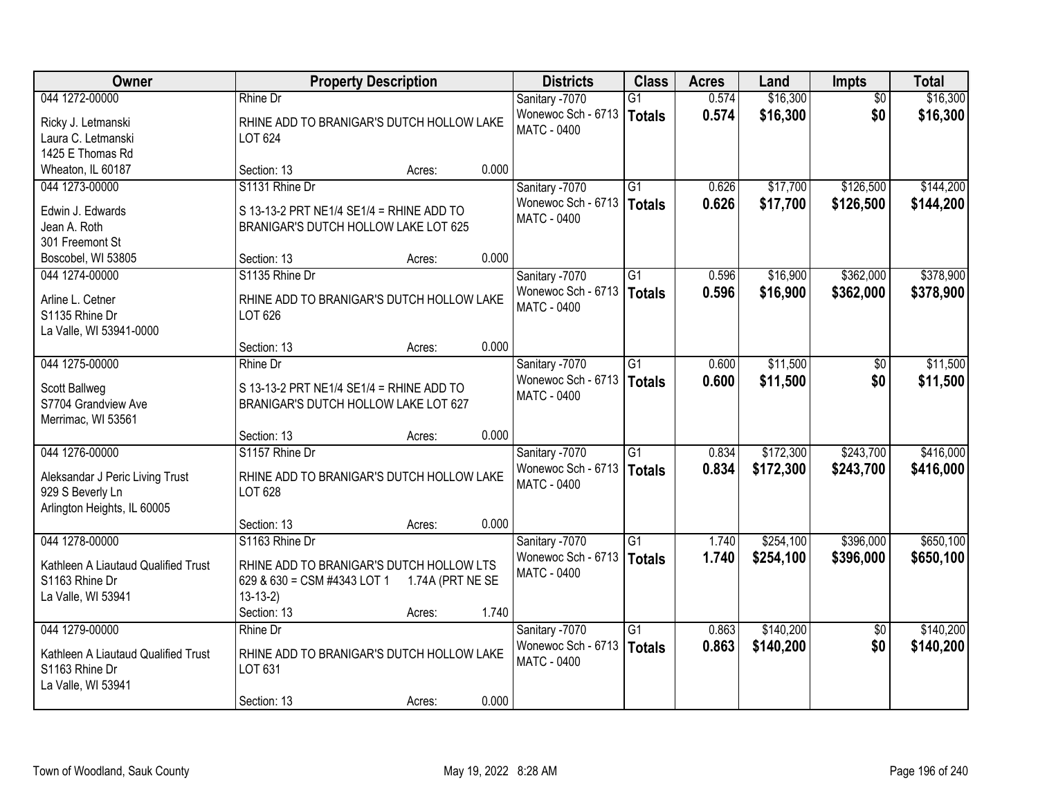| Owner                               | <b>Property Description</b>               |                  |       | <b>Districts</b>   | <b>Class</b>    | <b>Acres</b> | Land      | Impts           | <b>Total</b> |
|-------------------------------------|-------------------------------------------|------------------|-------|--------------------|-----------------|--------------|-----------|-----------------|--------------|
| 044 1272-00000                      | Rhine Dr                                  |                  |       | Sanitary -7070     | G1              | 0.574        | \$16,300  | $\overline{50}$ | \$16,300     |
| Ricky J. Letmanski                  | RHINE ADD TO BRANIGAR'S DUTCH HOLLOW LAKE |                  |       | Wonewoc Sch - 6713 | <b>Totals</b>   | 0.574        | \$16,300  | \$0             | \$16,300     |
| Laura C. Letmanski                  | LOT 624                                   |                  |       | <b>MATC - 0400</b> |                 |              |           |                 |              |
| 1425 E Thomas Rd                    |                                           |                  |       |                    |                 |              |           |                 |              |
| Wheaton, IL 60187                   | Section: 13                               | Acres:           | 0.000 |                    |                 |              |           |                 |              |
| 044 1273-00000                      | S1131 Rhine Dr                            |                  |       | Sanitary -7070     | $\overline{G1}$ | 0.626        | \$17,700  | \$126,500       | \$144,200    |
| Edwin J. Edwards                    | S 13-13-2 PRT NE1/4 SE1/4 = RHINE ADD TO  |                  |       | Wonewoc Sch - 6713 | <b>Totals</b>   | 0.626        | \$17,700  | \$126,500       | \$144,200    |
| Jean A. Roth                        | BRANIGAR'S DUTCH HOLLOW LAKE LOT 625      |                  |       | <b>MATC - 0400</b> |                 |              |           |                 |              |
| 301 Freemont St                     |                                           |                  |       |                    |                 |              |           |                 |              |
| Boscobel, WI 53805                  | Section: 13                               | Acres:           | 0.000 |                    |                 |              |           |                 |              |
| 044 1274-00000                      | S1135 Rhine Dr                            |                  |       | Sanitary -7070     | $\overline{G1}$ | 0.596        | \$16,900  | \$362,000       | \$378,900    |
|                                     |                                           |                  |       | Wonewoc Sch - 6713 | <b>Totals</b>   | 0.596        | \$16,900  | \$362,000       | \$378,900    |
| Arline L. Cetner                    | RHINE ADD TO BRANIGAR'S DUTCH HOLLOW LAKE |                  |       | <b>MATC - 0400</b> |                 |              |           |                 |              |
| S1135 Rhine Dr                      | LOT 626                                   |                  |       |                    |                 |              |           |                 |              |
| La Valle, WI 53941-0000             |                                           |                  |       |                    |                 |              |           |                 |              |
|                                     | Section: 13                               | Acres:           | 0.000 |                    |                 |              |           |                 |              |
| 044 1275-00000                      | Rhine Dr                                  |                  |       | Sanitary -7070     | G1              | 0.600        | \$11,500  | $\sqrt[6]{}$    | \$11,500     |
| Scott Ballweg                       | S 13-13-2 PRT NE1/4 SE1/4 = RHINE ADD TO  |                  |       | Wonewoc Sch - 6713 | <b>Totals</b>   | 0.600        | \$11,500  | \$0             | \$11,500     |
| S7704 Grandview Ave                 | BRANIGAR'S DUTCH HOLLOW LAKE LOT 627      |                  |       | MATC - 0400        |                 |              |           |                 |              |
| Merrimac, WI 53561                  |                                           |                  |       |                    |                 |              |           |                 |              |
|                                     | Section: 13                               | Acres:           | 0.000 |                    |                 |              |           |                 |              |
| 044 1276-00000                      | S1157 Rhine Dr                            |                  |       | Sanitary -7070     | $\overline{G1}$ | 0.834        | \$172,300 | \$243,700       | \$416,000    |
| Aleksandar J Peric Living Trust     | RHINE ADD TO BRANIGAR'S DUTCH HOLLOW LAKE |                  |       | Wonewoc Sch - 6713 | <b>Totals</b>   | 0.834        | \$172,300 | \$243,700       | \$416,000    |
| 929 S Beverly Ln                    | LOT 628                                   |                  |       | <b>MATC - 0400</b> |                 |              |           |                 |              |
| Arlington Heights, IL 60005         |                                           |                  |       |                    |                 |              |           |                 |              |
|                                     | Section: 13                               | Acres:           | 0.000 |                    |                 |              |           |                 |              |
| 044 1278-00000                      | S1163 Rhine Dr                            |                  |       | Sanitary -7070     | $\overline{G1}$ | 1.740        | \$254,100 | \$396,000       | \$650,100    |
|                                     |                                           |                  |       | Wonewoc Sch - 6713 | <b>Totals</b>   | 1.740        | \$254,100 | \$396,000       | \$650,100    |
| Kathleen A Liautaud Qualified Trust | RHINE ADD TO BRANIGAR'S DUTCH HOLLOW LTS  |                  |       | MATC - 0400        |                 |              |           |                 |              |
| S1163 Rhine Dr                      | 629 & 630 = CSM #4343 LOT 1<br>$13-13-2)$ | 1.74A (PRT NE SE |       |                    |                 |              |           |                 |              |
| La Valle, WI 53941                  | Section: 13                               |                  | 1.740 |                    |                 |              |           |                 |              |
| 044 1279-00000                      | Rhine Dr                                  | Acres:           |       | Sanitary -7070     | $\overline{G1}$ | 0.863        | \$140,200 | $\overline{50}$ | \$140,200    |
|                                     |                                           |                  |       | Wonewoc Sch - 6713 |                 | 0.863        | \$140,200 | \$0             |              |
| Kathleen A Liautaud Qualified Trust | RHINE ADD TO BRANIGAR'S DUTCH HOLLOW LAKE |                  |       | <b>MATC - 0400</b> | <b>Totals</b>   |              |           |                 | \$140,200    |
| S1163 Rhine Dr                      | LOT 631                                   |                  |       |                    |                 |              |           |                 |              |
| La Valle, WI 53941                  |                                           |                  |       |                    |                 |              |           |                 |              |
|                                     | Section: 13                               | Acres:           | 0.000 |                    |                 |              |           |                 |              |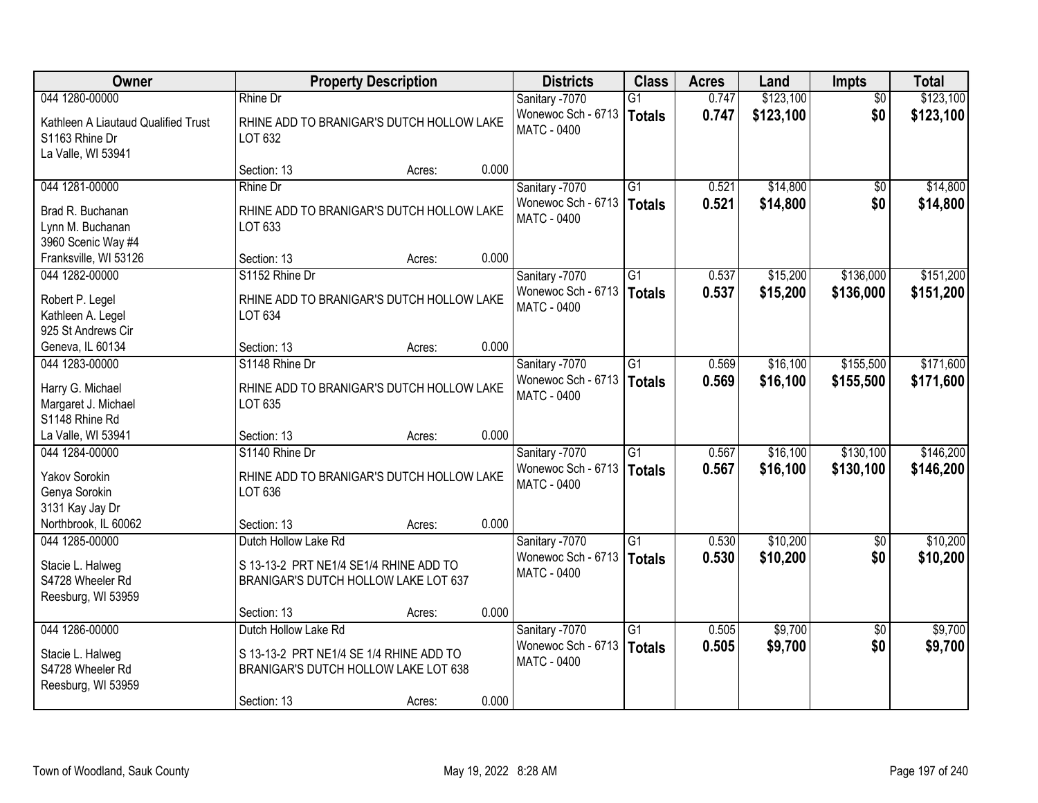| Owner                                                                        |                                                                                                         | <b>Property Description</b> |       | <b>Districts</b>                                           | <b>Class</b>                     | <b>Acres</b>   | Land                 | <b>Impts</b>           | <b>Total</b>           |
|------------------------------------------------------------------------------|---------------------------------------------------------------------------------------------------------|-----------------------------|-------|------------------------------------------------------------|----------------------------------|----------------|----------------------|------------------------|------------------------|
| 044 1280-00000                                                               | <b>Rhine Dr</b>                                                                                         |                             |       | Sanitary -7070                                             | $\overline{G1}$                  | 0.747          | \$123,100            | $\overline{50}$        | \$123,100              |
| Kathleen A Liautaud Qualified Trust<br>S1163 Rhine Dr<br>La Valle, WI 53941  | RHINE ADD TO BRANIGAR'S DUTCH HOLLOW LAKE<br>LOT 632                                                    |                             |       | Wonewoc Sch - 6713<br><b>MATC - 0400</b>                   | <b>Totals</b>                    | 0.747          | \$123,100            | \$0                    | \$123,100              |
|                                                                              | Section: 13                                                                                             | Acres:                      | 0.000 |                                                            |                                  |                |                      |                        |                        |
| 044 1281-00000                                                               | Rhine Dr                                                                                                |                             |       | Sanitary -7070                                             | $\overline{G1}$                  | 0.521          | \$14,800             | \$0                    | \$14,800               |
| Brad R. Buchanan<br>Lynn M. Buchanan<br>3960 Scenic Way #4                   | RHINE ADD TO BRANIGAR'S DUTCH HOLLOW LAKE<br>LOT 633                                                    |                             |       | Wonewoc Sch - 6713<br><b>MATC - 0400</b>                   | <b>Totals</b>                    | 0.521          | \$14,800             | \$0                    | \$14,800               |
| Franksville, WI 53126                                                        | Section: 13                                                                                             | Acres:                      | 0.000 |                                                            |                                  |                |                      |                        |                        |
| 044 1282-00000                                                               | S1152 Rhine Dr                                                                                          |                             |       | Sanitary -7070                                             | G1                               | 0.537          | \$15,200             | \$136,000              | \$151,200              |
| Robert P. Legel<br>Kathleen A. Legel<br>925 St Andrews Cir                   | RHINE ADD TO BRANIGAR'S DUTCH HOLLOW LAKE<br>LOT 634                                                    |                             |       | Wonewoc Sch - 6713<br><b>MATC - 0400</b>                   | <b>Totals</b>                    | 0.537          | \$15,200             | \$136,000              | \$151,200              |
| Geneva, IL 60134                                                             | Section: 13                                                                                             | Acres:                      | 0.000 |                                                            |                                  |                |                      |                        |                        |
| 044 1283-00000                                                               | S1148 Rhine Dr                                                                                          |                             |       | Sanitary -7070                                             | $\overline{G1}$                  | 0.569          | \$16,100             | \$155,500              | \$171,600              |
| Harry G. Michael<br>Margaret J. Michael<br>S1148 Rhine Rd                    | RHINE ADD TO BRANIGAR'S DUTCH HOLLOW LAKE<br>LOT 635                                                    |                             |       | Wonewoc Sch - 6713<br><b>MATC - 0400</b>                   | <b>Totals</b>                    | 0.569          | \$16,100             | \$155,500              | \$171,600              |
| La Valle, WI 53941                                                           | Section: 13                                                                                             | Acres:                      | 0.000 |                                                            |                                  |                |                      |                        |                        |
| 044 1284-00000<br><b>Yakov Sorokin</b><br>Genya Sorokin<br>3131 Kay Jay Dr   | S1140 Rhine Dr<br>RHINE ADD TO BRANIGAR'S DUTCH HOLLOW LAKE<br>LOT 636                                  |                             |       | Sanitary -7070<br>Wonewoc Sch - 6713<br>MATC - 0400        | $\overline{G1}$<br><b>Totals</b> | 0.567<br>0.567 | \$16,100<br>\$16,100 | \$130,100<br>\$130,100 | \$146,200<br>\$146,200 |
| Northbrook, IL 60062                                                         | Section: 13                                                                                             | Acres:                      | 0.000 |                                                            |                                  |                |                      |                        |                        |
| 044 1285-00000                                                               | Dutch Hollow Lake Rd                                                                                    |                             |       | Sanitary -7070                                             | $\overline{G1}$                  | 0.530          | \$10,200             | $\overline{50}$        | \$10,200               |
| Stacie L. Halweg<br>S4728 Wheeler Rd<br>Reesburg, WI 53959                   | S 13-13-2 PRT NE1/4 SE1/4 RHINE ADD TO<br>BRANIGAR'S DUTCH HOLLOW LAKE LOT 637                          |                             |       | Wonewoc Sch - 6713<br><b>MATC - 0400</b>                   | <b>Totals</b>                    | 0.530          | \$10,200             | \$0                    | \$10,200               |
|                                                                              | Section: 13                                                                                             | Acres:                      | 0.000 |                                                            |                                  |                |                      |                        |                        |
| 044 1286-00000<br>Stacie L. Halweg<br>S4728 Wheeler Rd<br>Reesburg, WI 53959 | Dutch Hollow Lake Rd<br>S 13-13-2 PRT NE1/4 SE 1/4 RHINE ADD TO<br>BRANIGAR'S DUTCH HOLLOW LAKE LOT 638 |                             |       | Sanitary -7070<br>Wonewoc Sch - 6713<br><b>MATC - 0400</b> | $\overline{G1}$<br><b>Totals</b> | 0.505<br>0.505 | \$9,700<br>\$9,700   | $\overline{50}$<br>\$0 | \$9,700<br>\$9,700     |
|                                                                              | Section: 13                                                                                             | Acres:                      | 0.000 |                                                            |                                  |                |                      |                        |                        |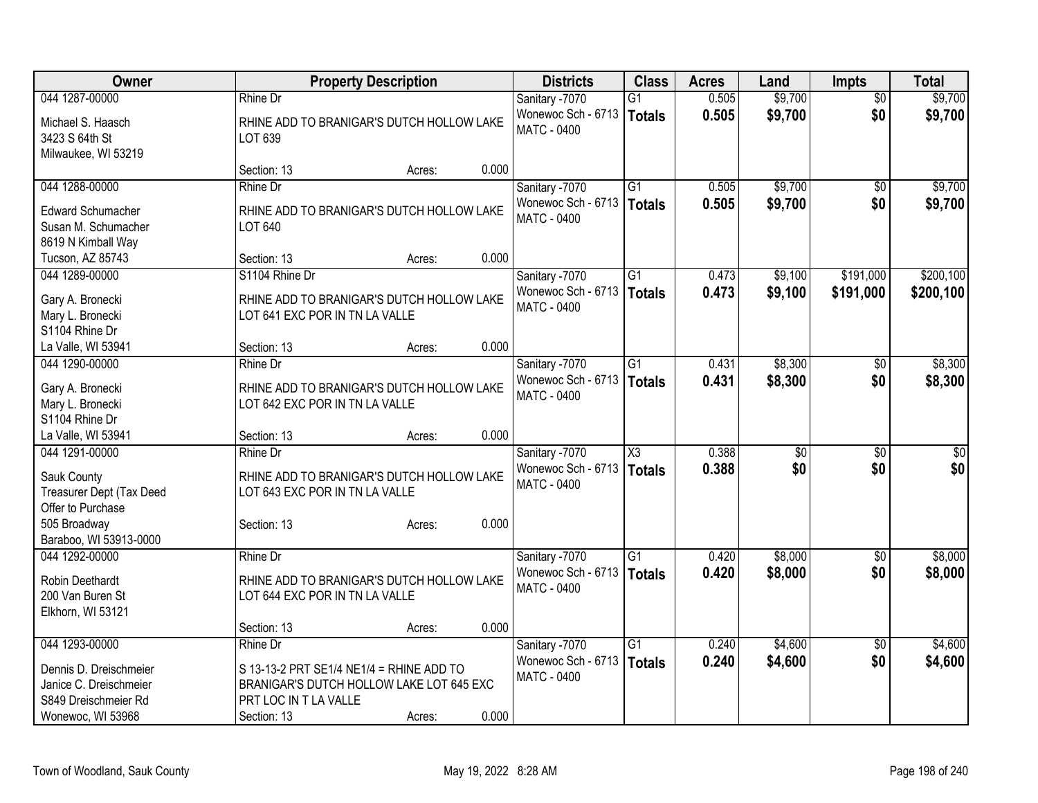| Owner                    | <b>Property Description</b>               | <b>Districts</b> | <b>Class</b>       | <b>Acres</b>           | Land  | <b>Impts</b>    | <b>Total</b>    |             |
|--------------------------|-------------------------------------------|------------------|--------------------|------------------------|-------|-----------------|-----------------|-------------|
| 044 1287-00000           | Rhine Dr                                  |                  | Sanitary -7070     | $\overline{G1}$        | 0.505 | \$9,700         | $\overline{50}$ | \$9,700     |
| Michael S. Haasch        | RHINE ADD TO BRANIGAR'S DUTCH HOLLOW LAKE |                  | Wonewoc Sch - 6713 | Totals                 | 0.505 | \$9,700         | \$0             | \$9,700     |
| 3423 S 64th St           | LOT 639                                   |                  | <b>MATC - 0400</b> |                        |       |                 |                 |             |
| Milwaukee, WI 53219      |                                           |                  |                    |                        |       |                 |                 |             |
|                          | Section: 13                               | Acres:           | 0.000              |                        |       |                 |                 |             |
| 044 1288-00000           | Rhine Dr                                  |                  | Sanitary -7070     | $\overline{G1}$        | 0.505 | \$9,700         | $\sqrt{50}$     | \$9,700     |
| <b>Edward Schumacher</b> | RHINE ADD TO BRANIGAR'S DUTCH HOLLOW LAKE |                  | Wonewoc Sch - 6713 | Totals                 | 0.505 | \$9,700         | \$0             | \$9,700     |
| Susan M. Schumacher      | LOT 640                                   |                  | <b>MATC - 0400</b> |                        |       |                 |                 |             |
| 8619 N Kimball Way       |                                           |                  |                    |                        |       |                 |                 |             |
| Tucson, AZ 85743         | Section: 13                               | Acres:           | 0.000              |                        |       |                 |                 |             |
| 044 1289-00000           | S1104 Rhine Dr                            |                  | Sanitary -7070     | $\overline{G1}$        | 0.473 | \$9,100         | \$191,000       | \$200,100   |
|                          |                                           |                  | Wonewoc Sch - 6713 |                        |       |                 |                 |             |
| Gary A. Bronecki         | RHINE ADD TO BRANIGAR'S DUTCH HOLLOW LAKE |                  | <b>MATC - 0400</b> | Totals                 | 0.473 | \$9,100         | \$191,000       | \$200,100   |
| Mary L. Bronecki         | LOT 641 EXC POR IN TN LA VALLE            |                  |                    |                        |       |                 |                 |             |
| S1104 Rhine Dr           |                                           |                  |                    |                        |       |                 |                 |             |
| La Valle, WI 53941       | Section: 13                               | Acres:           | 0.000              |                        |       |                 |                 |             |
| 044 1290-00000           | Rhine Dr                                  |                  | Sanitary -7070     | $\overline{G1}$        | 0.431 | \$8,300         | \$0             | \$8,300     |
| Gary A. Bronecki         | RHINE ADD TO BRANIGAR'S DUTCH HOLLOW LAKE |                  | Wonewoc Sch - 6713 | Totals                 | 0.431 | \$8,300         | \$0             | \$8,300     |
| Mary L. Bronecki         | LOT 642 EXC POR IN TN LA VALLE            |                  | <b>MATC - 0400</b> |                        |       |                 |                 |             |
| S1104 Rhine Dr           |                                           |                  |                    |                        |       |                 |                 |             |
| La Valle, WI 53941       | Section: 13                               | Acres:           | 0.000              |                        |       |                 |                 |             |
| 044 1291-00000           | Rhine Dr                                  |                  | Sanitary -7070     | $\overline{\text{X3}}$ | 0.388 | $\overline{50}$ | \$0             | $\sqrt{50}$ |
|                          |                                           |                  | Wonewoc Sch - 6713 |                        |       |                 | \$0             |             |
| Sauk County              | RHINE ADD TO BRANIGAR'S DUTCH HOLLOW LAKE |                  | <b>MATC - 0400</b> | Totals                 | 0.388 | \$0             |                 | \$0         |
| Treasurer Dept (Tax Deed | LOT 643 EXC POR IN TN LA VALLE            |                  |                    |                        |       |                 |                 |             |
| Offer to Purchase        |                                           |                  |                    |                        |       |                 |                 |             |
| 505 Broadway             | Section: 13                               | Acres:           | 0.000              |                        |       |                 |                 |             |
| Baraboo, WI 53913-0000   |                                           |                  |                    |                        |       |                 |                 |             |
| 044 1292-00000           | Rhine Dr                                  |                  | Sanitary -7070     | $\overline{G1}$        | 0.420 | \$8,000         | $\sqrt{6}$      | \$8,000     |
| Robin Deethardt          | RHINE ADD TO BRANIGAR'S DUTCH HOLLOW LAKE |                  | Wonewoc Sch - 6713 | Totals                 | 0.420 | \$8,000         | \$0             | \$8,000     |
| 200 Van Buren St         | LOT 644 EXC POR IN TN LA VALLE            |                  | <b>MATC - 0400</b> |                        |       |                 |                 |             |
| Elkhorn, WI 53121        |                                           |                  |                    |                        |       |                 |                 |             |
|                          | Section: 13                               | Acres:           | 0.000              |                        |       |                 |                 |             |
| 044 1293-00000           | <b>Rhine Dr</b>                           |                  | Sanitary -7070     | $\overline{G1}$        | 0.240 | \$4,600         | $\sqrt{6}$      | \$4,600     |
|                          |                                           |                  | Wonewoc Sch - 6713 |                        | 0.240 |                 | \$0             |             |
| Dennis D. Dreischmeier   | S 13-13-2 PRT SE1/4 NE1/4 = RHINE ADD TO  |                  | <b>MATC - 0400</b> | Totals                 |       | \$4,600         |                 | \$4,600     |
| Janice C. Dreischmeier   | BRANIGAR'S DUTCH HOLLOW LAKE LOT 645 EXC  |                  |                    |                        |       |                 |                 |             |
| S849 Dreischmeier Rd     | PRT LOC IN T LA VALLE                     |                  |                    |                        |       |                 |                 |             |
| Wonewoc, WI 53968        | Section: 13                               | Acres:           | 0.000              |                        |       |                 |                 |             |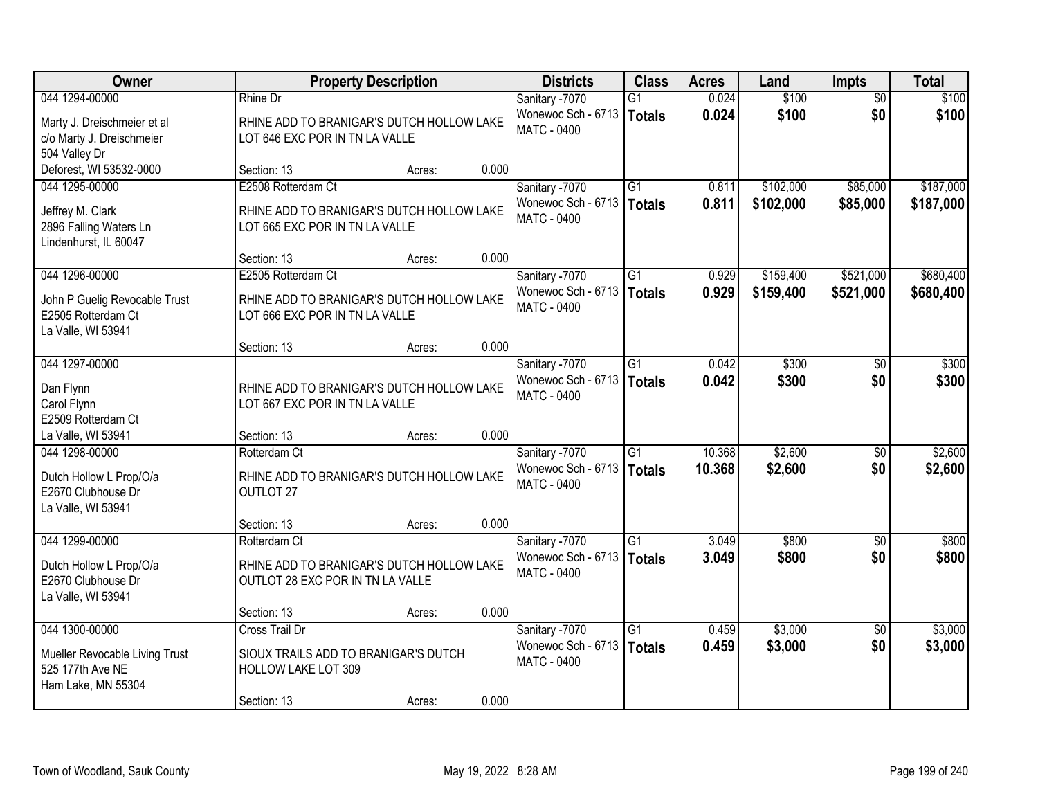| Owner                                         |                                           | <b>Property Description</b> |       |                    | <b>Class</b>    | <b>Acres</b> | Land      | <b>Impts</b>    | <b>Total</b> |
|-----------------------------------------------|-------------------------------------------|-----------------------------|-------|--------------------|-----------------|--------------|-----------|-----------------|--------------|
| 044 1294-00000                                | Rhine Dr                                  |                             |       | Sanitary -7070     | $\overline{G1}$ | 0.024        | \$100     | $\overline{50}$ | \$100        |
| Marty J. Dreischmeier et al                   | RHINE ADD TO BRANIGAR'S DUTCH HOLLOW LAKE |                             |       | Wonewoc Sch - 6713 | Totals          | 0.024        | \$100     | \$0             | \$100        |
| c/o Marty J. Dreischmeier                     | LOT 646 EXC POR IN TN LA VALLE            |                             |       | <b>MATC - 0400</b> |                 |              |           |                 |              |
| 504 Valley Dr                                 |                                           |                             |       |                    |                 |              |           |                 |              |
| Deforest, WI 53532-0000                       | Section: 13                               | Acres:                      | 0.000 |                    |                 |              |           |                 |              |
| 044 1295-00000                                | E2508 Rotterdam Ct                        |                             |       | Sanitary -7070     | $\overline{G1}$ | 0.811        | \$102,000 | \$85,000        | \$187,000    |
| Jeffrey M. Clark                              | RHINE ADD TO BRANIGAR'S DUTCH HOLLOW LAKE |                             |       | Wonewoc Sch - 6713 | <b>Totals</b>   | 0.811        | \$102,000 | \$85,000        | \$187,000    |
| 2896 Falling Waters Ln                        | LOT 665 EXC POR IN TN LA VALLE            |                             |       | <b>MATC - 0400</b> |                 |              |           |                 |              |
| Lindenhurst, IL 60047                         |                                           |                             |       |                    |                 |              |           |                 |              |
|                                               | Section: 13                               | Acres:                      | 0.000 |                    |                 |              |           |                 |              |
| 044 1296-00000                                | E2505 Rotterdam Ct                        |                             |       | Sanitary -7070     | G1              | 0.929        | \$159,400 | \$521,000       | \$680,400    |
| John P Guelig Revocable Trust                 | RHINE ADD TO BRANIGAR'S DUTCH HOLLOW LAKE |                             |       | Wonewoc Sch - 6713 | <b>Totals</b>   | 0.929        | \$159,400 | \$521,000       | \$680,400    |
| E2505 Rotterdam Ct                            | LOT 666 EXC POR IN TN LA VALLE            |                             |       | <b>MATC - 0400</b> |                 |              |           |                 |              |
| La Valle, WI 53941                            |                                           |                             |       |                    |                 |              |           |                 |              |
|                                               | Section: 13                               | Acres:                      | 0.000 |                    |                 |              |           |                 |              |
| 044 1297-00000                                |                                           |                             |       | Sanitary -7070     | G1              | 0.042        | \$300     | \$0             | \$300        |
| Dan Flynn                                     | RHINE ADD TO BRANIGAR'S DUTCH HOLLOW LAKE |                             |       | Wonewoc Sch - 6713 | Totals          | 0.042        | \$300     | \$0             | \$300        |
| Carol Flynn                                   | LOT 667 EXC POR IN TN LA VALLE            |                             |       | <b>MATC - 0400</b> |                 |              |           |                 |              |
| E2509 Rotterdam Ct                            |                                           |                             |       |                    |                 |              |           |                 |              |
| La Valle, WI 53941                            | Section: 13                               | Acres:                      | 0.000 |                    |                 |              |           |                 |              |
| 044 1298-00000                                | Rotterdam Ct                              |                             |       | Sanitary -7070     | $\overline{G1}$ | 10.368       | \$2,600   | $\overline{50}$ | \$2,600      |
|                                               | RHINE ADD TO BRANIGAR'S DUTCH HOLLOW LAKE |                             |       | Wonewoc Sch - 6713 | Totals          | 10.368       | \$2,600   | \$0             | \$2,600      |
| Dutch Hollow L Prop/O/a<br>E2670 Clubhouse Dr | OUTLOT 27                                 |                             |       | MATC - 0400        |                 |              |           |                 |              |
| La Valle, WI 53941                            |                                           |                             |       |                    |                 |              |           |                 |              |
|                                               | Section: 13                               | Acres:                      | 0.000 |                    |                 |              |           |                 |              |
| 044 1299-00000                                | Rotterdam Ct                              |                             |       | Sanitary -7070     | $\overline{G1}$ | 3.049        | \$800     | $\overline{50}$ | \$800        |
| Dutch Hollow L Prop/O/a                       | RHINE ADD TO BRANIGAR'S DUTCH HOLLOW LAKE |                             |       | Wonewoc Sch - 6713 | <b>Totals</b>   | 3.049        | \$800     | \$0             | \$800        |
| E2670 Clubhouse Dr                            | OUTLOT 28 EXC POR IN TN LA VALLE          |                             |       | <b>MATC - 0400</b> |                 |              |           |                 |              |
| La Valle, WI 53941                            |                                           |                             |       |                    |                 |              |           |                 |              |
|                                               | Section: 13                               | Acres:                      | 0.000 |                    |                 |              |           |                 |              |
| 044 1300-00000                                | Cross Trail Dr                            |                             |       | Sanitary -7070     | $\overline{G1}$ | 0.459        | \$3,000   | $\overline{50}$ | \$3,000      |
| Mueller Revocable Living Trust                | SIOUX TRAILS ADD TO BRANIGAR'S DUTCH      |                             |       | Wonewoc Sch - 6713 | Totals          | 0.459        | \$3,000   | \$0             | \$3,000      |
| 525 177th Ave NE                              | HOLLOW LAKE LOT 309                       |                             |       | MATC - 0400        |                 |              |           |                 |              |
| Ham Lake, MN 55304                            |                                           |                             |       |                    |                 |              |           |                 |              |
|                                               | Section: 13                               | Acres:                      | 0.000 |                    |                 |              |           |                 |              |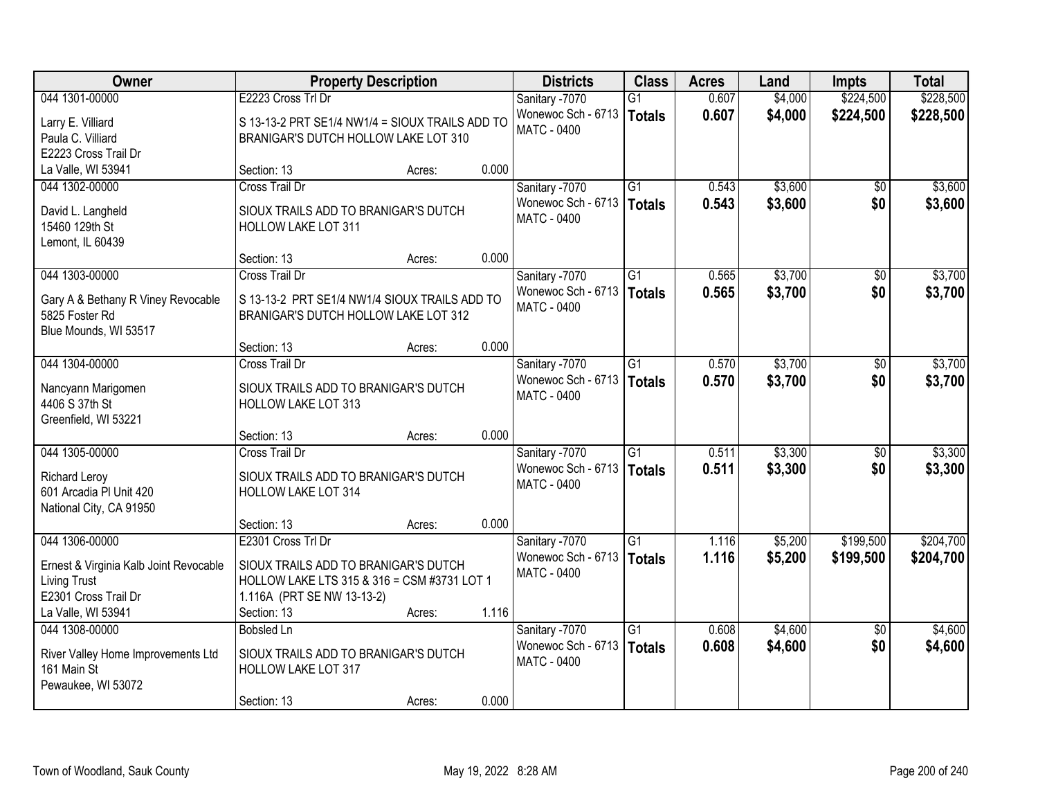| Owner                                                         |                                                 | <b>Property Description</b> |       | <b>Districts</b>   | <b>Class</b>    | <b>Acres</b> | Land    | <b>Impts</b>    | <b>Total</b> |
|---------------------------------------------------------------|-------------------------------------------------|-----------------------------|-------|--------------------|-----------------|--------------|---------|-----------------|--------------|
| 044 1301-00000                                                | E2223 Cross Trl Dr                              |                             |       | Sanitary -7070     | $\overline{G1}$ | 0.607        | \$4,000 | \$224,500       | \$228,500    |
| Larry E. Villiard                                             | S 13-13-2 PRT SE1/4 NW1/4 = SIOUX TRAILS ADD TO |                             |       | Wonewoc Sch - 6713 | <b>Totals</b>   | 0.607        | \$4,000 | \$224,500       | \$228,500    |
| Paula C. Villiard                                             | BRANIGAR'S DUTCH HOLLOW LAKE LOT 310            |                             |       | <b>MATC - 0400</b> |                 |              |         |                 |              |
| E2223 Cross Trail Dr                                          |                                                 |                             |       |                    |                 |              |         |                 |              |
| La Valle, WI 53941                                            | Section: 13                                     | Acres:                      | 0.000 |                    |                 |              |         |                 |              |
| 044 1302-00000                                                | <b>Cross Trail Dr</b>                           |                             |       | Sanitary -7070     | $\overline{G1}$ | 0.543        | \$3,600 | $\overline{50}$ | \$3,600      |
| David L. Langheld                                             | SIOUX TRAILS ADD TO BRANIGAR'S DUTCH            |                             |       | Wonewoc Sch - 6713 | <b>Totals</b>   | 0.543        | \$3,600 | \$0             | \$3,600      |
| 15460 129th St                                                | <b>HOLLOW LAKE LOT 311</b>                      |                             |       | <b>MATC - 0400</b> |                 |              |         |                 |              |
| Lemont, IL 60439                                              |                                                 |                             |       |                    |                 |              |         |                 |              |
|                                                               | Section: 13                                     | Acres:                      | 0.000 |                    |                 |              |         |                 |              |
| 044 1303-00000                                                | Cross Trail Dr                                  |                             |       | Sanitary -7070     | G1              | 0.565        | \$3,700 | \$0             | \$3,700      |
| Gary A & Bethany R Viney Revocable                            | S 13-13-2 PRT SE1/4 NW1/4 SIOUX TRAILS ADD TO   |                             |       | Wonewoc Sch - 6713 | <b>Totals</b>   | 0.565        | \$3,700 | \$0             | \$3,700      |
| 5825 Foster Rd                                                | BRANIGAR'S DUTCH HOLLOW LAKE LOT 312            |                             |       | <b>MATC - 0400</b> |                 |              |         |                 |              |
| Blue Mounds, WI 53517                                         |                                                 |                             |       |                    |                 |              |         |                 |              |
|                                                               | Section: 13                                     | Acres:                      | 0.000 |                    |                 |              |         |                 |              |
| 044 1304-00000                                                | Cross Trail Dr                                  |                             |       | Sanitary -7070     | $\overline{G1}$ | 0.570        | \$3,700 | \$0             | \$3,700      |
| Nancyann Marigomen                                            | SIOUX TRAILS ADD TO BRANIGAR'S DUTCH            |                             |       | Wonewoc Sch - 6713 | <b>Totals</b>   | 0.570        | \$3,700 | \$0             | \$3,700      |
| 4406 S 37th St                                                | <b>HOLLOW LAKE LOT 313</b>                      |                             |       | MATC - 0400        |                 |              |         |                 |              |
| Greenfield, WI 53221                                          |                                                 |                             |       |                    |                 |              |         |                 |              |
|                                                               | Section: 13                                     | Acres:                      | 0.000 |                    |                 |              |         |                 |              |
| 044 1305-00000                                                | <b>Cross Trail Dr</b>                           |                             |       | Sanitary -7070     | $\overline{G1}$ | 0.511        | \$3,300 | \$0             | \$3,300      |
| <b>Richard Leroy</b>                                          | SIOUX TRAILS ADD TO BRANIGAR'S DUTCH            |                             |       | Wonewoc Sch - 6713 | <b>Totals</b>   | 0.511        | \$3,300 | \$0             | \$3,300      |
| 601 Arcadia PI Unit 420                                       | <b>HOLLOW LAKE LOT 314</b>                      |                             |       | MATC - 0400        |                 |              |         |                 |              |
| National City, CA 91950                                       |                                                 |                             |       |                    |                 |              |         |                 |              |
|                                                               | Section: 13                                     | Acres:                      | 0.000 |                    |                 |              |         |                 |              |
| 044 1306-00000                                                | E2301 Cross Trl Dr                              |                             |       | Sanitary -7070     | G1              | 1.116        | \$5,200 | \$199,500       | \$204,700    |
|                                                               | SIOUX TRAILS ADD TO BRANIGAR'S DUTCH            |                             |       | Wonewoc Sch - 6713 | <b>Totals</b>   | 1.116        | \$5,200 | \$199,500       | \$204,700    |
| Ernest & Virginia Kalb Joint Revocable<br><b>Living Trust</b> | HOLLOW LAKE LTS 315 & 316 = CSM #3731 LOT 1     |                             |       | MATC - 0400        |                 |              |         |                 |              |
| E2301 Cross Trail Dr                                          | 1.116A (PRT SE NW 13-13-2)                      |                             |       |                    |                 |              |         |                 |              |
| La Valle, WI 53941                                            | Section: 13                                     | Acres:                      | 1.116 |                    |                 |              |         |                 |              |
| 044 1308-00000                                                | <b>Bobsled Ln</b>                               |                             |       | Sanitary -7070     | $\overline{G1}$ | 0.608        | \$4,600 | $\overline{30}$ | \$4,600      |
|                                                               | SIOUX TRAILS ADD TO BRANIGAR'S DUTCH            |                             |       | Wonewoc Sch - 6713 | <b>Totals</b>   | 0.608        | \$4,600 | \$0             | \$4,600      |
| River Valley Home Improvements Ltd<br>161 Main St             | <b>HOLLOW LAKE LOT 317</b>                      |                             |       | <b>MATC - 0400</b> |                 |              |         |                 |              |
| Pewaukee, WI 53072                                            |                                                 |                             |       |                    |                 |              |         |                 |              |
|                                                               | Section: 13                                     | Acres:                      | 0.000 |                    |                 |              |         |                 |              |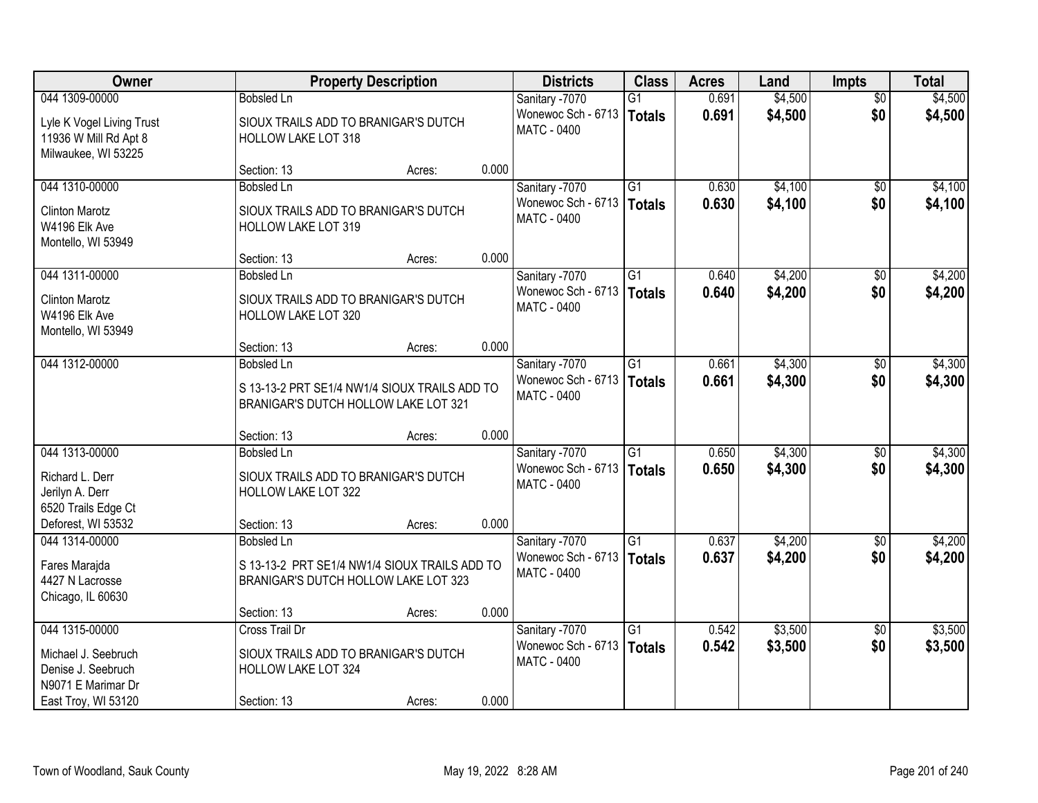| Owner                                                                     |                            | <b>Property Description</b>                                                           |       |                                          | <b>Class</b>    | <b>Acres</b> | Land    | <b>Impts</b>    | <b>Total</b> |
|---------------------------------------------------------------------------|----------------------------|---------------------------------------------------------------------------------------|-------|------------------------------------------|-----------------|--------------|---------|-----------------|--------------|
| 044 1309-00000                                                            | <b>Bobsled Ln</b>          |                                                                                       |       | Sanitary -7070                           | G1              | 0.691        | \$4,500 | $\overline{50}$ | \$4,500      |
| Lyle K Vogel Living Trust<br>11936 W Mill Rd Apt 8<br>Milwaukee, WI 53225 | <b>HOLLOW LAKE LOT 318</b> | SIOUX TRAILS ADD TO BRANIGAR'S DUTCH                                                  |       | Wonewoc Sch - 6713<br>MATC - 0400        | Totals          | 0.691        | \$4,500 | \$0             | \$4,500      |
|                                                                           | Section: 13                | Acres:                                                                                | 0.000 |                                          |                 |              |         |                 |              |
| 044 1310-00000                                                            | <b>Bobsled Ln</b>          |                                                                                       |       | Sanitary -7070                           | $\overline{G1}$ | 0.630        | \$4,100 | $\overline{50}$ | \$4,100      |
| <b>Clinton Marotz</b><br>W4196 Elk Ave<br>Montello, WI 53949              | <b>HOLLOW LAKE LOT 319</b> | SIOUX TRAILS ADD TO BRANIGAR'S DUTCH                                                  |       | Wonewoc Sch - 6713<br>MATC - 0400        | Totals          | 0.630        | \$4,100 | \$0             | \$4,100      |
|                                                                           | Section: 13                | Acres:                                                                                | 0.000 |                                          |                 |              |         |                 |              |
| 044 1311-00000                                                            | <b>Bobsled Ln</b>          |                                                                                       |       | Sanitary -7070                           | $\overline{G1}$ | 0.640        | \$4,200 | \$0             | \$4,200      |
| <b>Clinton Marotz</b><br>W4196 Elk Ave<br>Montello, WI 53949              | HOLLOW LAKE LOT 320        | SIOUX TRAILS ADD TO BRANIGAR'S DUTCH                                                  |       | Wonewoc Sch - 6713<br>MATC - 0400        | Totals          | 0.640        | \$4,200 | \$0             | \$4,200      |
|                                                                           | Section: 13                | Acres:                                                                                | 0.000 |                                          |                 |              |         |                 |              |
| 044 1312-00000                                                            | <b>Bobsled Ln</b>          |                                                                                       |       | Sanitary -7070                           | $\overline{G1}$ | 0.661        | \$4,300 | $\sqrt[6]{3}$   | \$4,300      |
|                                                                           |                            | S 13-13-2 PRT SE1/4 NW1/4 SIOUX TRAILS ADD TO<br>BRANIGAR'S DUTCH HOLLOW LAKE LOT 321 |       | Wonewoc Sch - 6713<br><b>MATC - 0400</b> | Totals          | 0.661        | \$4,300 | \$0             | \$4,300      |
|                                                                           | Section: 13                | Acres:                                                                                | 0.000 |                                          |                 |              |         |                 |              |
| 044 1313-00000                                                            | <b>Bobsled Ln</b>          |                                                                                       |       | Sanitary -7070                           | $\overline{G1}$ | 0.650        | \$4,300 | $\overline{50}$ | \$4,300      |
| Richard L. Derr<br>Jerilyn A. Derr                                        | HOLLOW LAKE LOT 322        | SIOUX TRAILS ADD TO BRANIGAR'S DUTCH                                                  |       | Wonewoc Sch - 6713<br><b>MATC - 0400</b> | Totals          | 0.650        | \$4,300 | \$0             | \$4,300      |
| 6520 Trails Edge Ct                                                       |                            |                                                                                       |       |                                          |                 |              |         |                 |              |
| Deforest, WI 53532                                                        | Section: 13                | Acres:                                                                                | 0.000 |                                          |                 |              |         |                 |              |
| 044 1314-00000                                                            | <b>Bobsled Ln</b>          |                                                                                       |       | Sanitary -7070                           | $\overline{G1}$ | 0.637        | \$4,200 | $\sqrt{6}$      | \$4,200      |
| Fares Marajda<br>4427 N Lacrosse<br>Chicago, IL 60630                     |                            | S 13-13-2 PRT SE1/4 NW1/4 SIOUX TRAILS ADD TO<br>BRANIGAR'S DUTCH HOLLOW LAKE LOT 323 |       | Wonewoc Sch - 6713<br><b>MATC - 0400</b> | Totals          | 0.637        | \$4,200 | \$0             | \$4,200      |
|                                                                           | Section: 13                | Acres:                                                                                | 0.000 |                                          |                 |              |         |                 |              |
| 044 1315-00000                                                            | Cross Trail Dr             |                                                                                       |       | Sanitary -7070                           | $\overline{G1}$ | 0.542        | \$3,500 | $\overline{50}$ | \$3,500      |
| Michael J. Seebruch<br>Denise J. Seebruch<br>N9071 E Marimar Dr           | <b>HOLLOW LAKE LOT 324</b> | SIOUX TRAILS ADD TO BRANIGAR'S DUTCH                                                  |       | Wonewoc Sch - 6713<br><b>MATC - 0400</b> | Totals          | 0.542        | \$3,500 | \$0             | \$3,500      |
| East Troy, WI 53120                                                       | Section: 13                | Acres:                                                                                | 0.000 |                                          |                 |              |         |                 |              |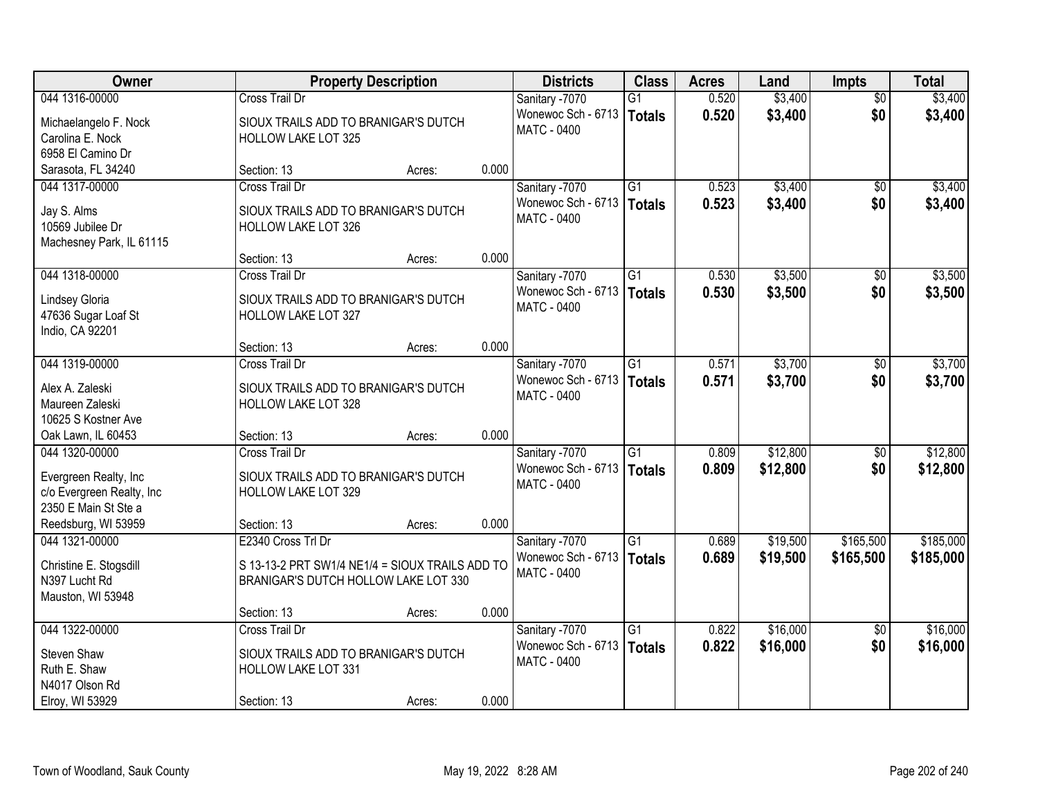| Owner                                 |                                                             | <b>Property Description</b> |       |                                      | <b>Class</b>    | <b>Acres</b> | Land     | <b>Impts</b>    | <b>Total</b> |
|---------------------------------------|-------------------------------------------------------------|-----------------------------|-------|--------------------------------------|-----------------|--------------|----------|-----------------|--------------|
| 044 1316-00000                        | <b>Cross Trail Dr</b>                                       |                             |       | Sanitary -7070                       | G1              | 0.520        | \$3,400  | $\overline{30}$ | \$3,400      |
| Michaelangelo F. Nock                 | SIOUX TRAILS ADD TO BRANIGAR'S DUTCH                        |                             |       | Wonewoc Sch - 6713                   | <b>Totals</b>   | 0.520        | \$3,400  | \$0             | \$3,400      |
| Carolina E. Nock                      | <b>HOLLOW LAKE LOT 325</b>                                  |                             |       | <b>MATC - 0400</b>                   |                 |              |          |                 |              |
| 6958 El Camino Dr                     |                                                             |                             |       |                                      |                 |              |          |                 |              |
| Sarasota, FL 34240                    | Section: 13                                                 | Acres:                      | 0.000 |                                      |                 |              |          |                 |              |
| 044 1317-00000                        | Cross Trail Dr                                              |                             |       | Sanitary -7070                       | $\overline{G1}$ | 0.523        | \$3,400  | $\overline{50}$ | \$3,400      |
| Jay S. Alms                           | SIOUX TRAILS ADD TO BRANIGAR'S DUTCH                        |                             |       | Wonewoc Sch - 6713   Totals          |                 | 0.523        | \$3,400  | \$0             | \$3,400      |
| 10569 Jubilee Dr                      | <b>HOLLOW LAKE LOT 326</b>                                  |                             |       | <b>MATC - 0400</b>                   |                 |              |          |                 |              |
| Machesney Park, IL 61115              |                                                             |                             |       |                                      |                 |              |          |                 |              |
|                                       | Section: 13                                                 | Acres:                      | 0.000 |                                      |                 |              |          |                 |              |
| 044 1318-00000                        | <b>Cross Trail Dr</b>                                       |                             |       | Sanitary -7070                       | $\overline{G1}$ | 0.530        | \$3,500  | \$0             | \$3,500      |
| Lindsey Gloria                        | SIOUX TRAILS ADD TO BRANIGAR'S DUTCH                        |                             |       | Wonewoc Sch - 6713                   | <b>Totals</b>   | 0.530        | \$3,500  | \$0             | \$3,500      |
| 47636 Sugar Loaf St                   | HOLLOW LAKE LOT 327                                         |                             |       | MATC - 0400                          |                 |              |          |                 |              |
| Indio, CA 92201                       |                                                             |                             |       |                                      |                 |              |          |                 |              |
|                                       | Section: 13                                                 | Acres:                      | 0.000 |                                      |                 |              |          |                 |              |
| 044 1319-00000                        | <b>Cross Trail Dr</b>                                       |                             |       | Sanitary -7070                       | G1              | 0.571        | \$3,700  | $\sqrt[6]{}$    | \$3,700      |
| Alex A. Zaleski                       |                                                             |                             |       | Wonewoc Sch - 6713                   | <b>Totals</b>   | 0.571        | \$3,700  | \$0             | \$3,700      |
| Maureen Zaleski                       | SIOUX TRAILS ADD TO BRANIGAR'S DUTCH<br>HOLLOW LAKE LOT 328 |                             |       | <b>MATC - 0400</b>                   |                 |              |          |                 |              |
| 10625 S Kostner Ave                   |                                                             |                             |       |                                      |                 |              |          |                 |              |
| Oak Lawn, IL 60453                    | Section: 13                                                 | Acres:                      | 0.000 |                                      |                 |              |          |                 |              |
| 044 1320-00000                        | <b>Cross Trail Dr</b>                                       |                             |       | Sanitary -7070                       | $\overline{G1}$ | 0.809        | \$12,800 | \$0             | \$12,800     |
|                                       |                                                             |                             |       | Wonewoc Sch - 6713                   | <b>Totals</b>   | 0.809        | \$12,800 | \$0             | \$12,800     |
| Evergreen Realty, Inc                 | SIOUX TRAILS ADD TO BRANIGAR'S DUTCH                        |                             |       | MATC - 0400                          |                 |              |          |                 |              |
| c/o Evergreen Realty, Inc             | <b>HOLLOW LAKE LOT 329</b>                                  |                             |       |                                      |                 |              |          |                 |              |
| 2350 E Main St Ste a                  |                                                             |                             | 0.000 |                                      |                 |              |          |                 |              |
| Reedsburg, WI 53959<br>044 1321-00000 | Section: 13<br>E2340 Cross Trl Dr                           | Acres:                      |       |                                      | $\overline{G1}$ | 0.689        | \$19,500 | \$165,500       | \$185,000    |
|                                       |                                                             |                             |       | Sanitary -7070<br>Wonewoc Sch - 6713 |                 | 0.689        |          |                 |              |
| Christine E. Stogsdill                | S 13-13-2 PRT SW1/4 NE1/4 = SIOUX TRAILS ADD TO             |                             |       | MATC - 0400                          | <b>Totals</b>   |              | \$19,500 | \$165,500       | \$185,000    |
| N397 Lucht Rd                         | BRANIGAR'S DUTCH HOLLOW LAKE LOT 330                        |                             |       |                                      |                 |              |          |                 |              |
| Mauston, WI 53948                     |                                                             |                             |       |                                      |                 |              |          |                 |              |
|                                       | Section: 13                                                 | Acres:                      | 0.000 |                                      |                 |              |          |                 |              |
| 044 1322-00000                        | Cross Trail Dr                                              |                             |       | Sanitary -7070                       | $\overline{G1}$ | 0.822        | \$16,000 | $\overline{50}$ | \$16,000     |
| Steven Shaw                           | SIOUX TRAILS ADD TO BRANIGAR'S DUTCH                        |                             |       | Wonewoc Sch - 6713                   | <b>Totals</b>   | 0.822        | \$16,000 | \$0             | \$16,000     |
| Ruth E. Shaw                          | <b>HOLLOW LAKE LOT 331</b>                                  |                             |       | MATC - 0400                          |                 |              |          |                 |              |
| N4017 Olson Rd                        |                                                             |                             |       |                                      |                 |              |          |                 |              |
| Elroy, WI 53929                       | Section: 13                                                 | Acres:                      | 0.000 |                                      |                 |              |          |                 |              |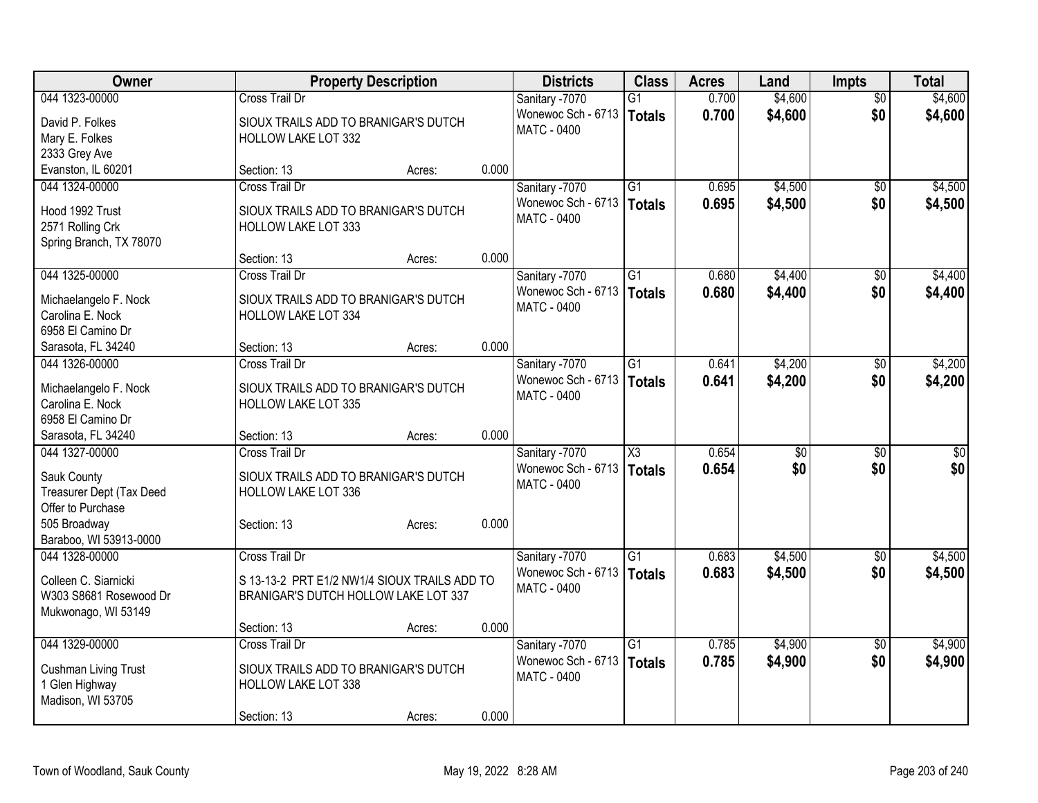| Owner                                   | <b>Property Description</b>                  |        |       | <b>Districts</b>   | <b>Class</b>           | <b>Acres</b> | Land            | <b>Impts</b>    | <b>Total</b> |
|-----------------------------------------|----------------------------------------------|--------|-------|--------------------|------------------------|--------------|-----------------|-----------------|--------------|
| 044 1323-00000                          | <b>Cross Trail Dr</b>                        |        |       | Sanitary -7070     | $\overline{G1}$        | 0.700        | \$4,600         | $\overline{50}$ | \$4,600      |
| David P. Folkes                         | SIOUX TRAILS ADD TO BRANIGAR'S DUTCH         |        |       | Wonewoc Sch - 6713 | Totals                 | 0.700        | \$4,600         | \$0             | \$4,600      |
| Mary E. Folkes                          | <b>HOLLOW LAKE LOT 332</b>                   |        |       | <b>MATC - 0400</b> |                        |              |                 |                 |              |
| 2333 Grey Ave                           |                                              |        |       |                    |                        |              |                 |                 |              |
| Evanston, IL 60201                      | Section: 13                                  | Acres: | 0.000 |                    |                        |              |                 |                 |              |
| 044 1324-00000                          | <b>Cross Trail Dr</b>                        |        |       | Sanitary -7070     | G1                     | 0.695        | \$4,500         | $\sqrt{50}$     | \$4,500      |
| Hood 1992 Trust                         | SIOUX TRAILS ADD TO BRANIGAR'S DUTCH         |        |       | Wonewoc Sch - 6713 | Totals                 | 0.695        | \$4,500         | \$0             | \$4,500      |
| 2571 Rolling Crk                        | <b>HOLLOW LAKE LOT 333</b>                   |        |       | <b>MATC - 0400</b> |                        |              |                 |                 |              |
| Spring Branch, TX 78070                 |                                              |        |       |                    |                        |              |                 |                 |              |
|                                         | Section: 13                                  | Acres: | 0.000 |                    |                        |              |                 |                 |              |
| 044 1325-00000                          | <b>Cross Trail Dr</b>                        |        |       | Sanitary -7070     | $\overline{G1}$        | 0.680        | \$4,400         | $\sqrt{6}$      | \$4,400      |
|                                         |                                              |        |       | Wonewoc Sch - 6713 | Totals                 | 0.680        | \$4,400         | \$0             | \$4,400      |
| Michaelangelo F. Nock                   | SIOUX TRAILS ADD TO BRANIGAR'S DUTCH         |        |       | MATC - 0400        |                        |              |                 |                 |              |
| Carolina E. Nock                        | HOLLOW LAKE LOT 334                          |        |       |                    |                        |              |                 |                 |              |
| 6958 El Camino Dr<br>Sarasota, FL 34240 | Section: 13                                  | Acres: | 0.000 |                    |                        |              |                 |                 |              |
| 044 1326-00000                          | <b>Cross Trail Dr</b>                        |        |       | Sanitary -7070     | $\overline{G1}$        | 0.641        | \$4,200         | \$0             | \$4,200      |
|                                         |                                              |        |       | Wonewoc Sch - 6713 | Totals                 | 0.641        | \$4,200         | \$0             | \$4,200      |
| Michaelangelo F. Nock                   | SIOUX TRAILS ADD TO BRANIGAR'S DUTCH         |        |       | <b>MATC - 0400</b> |                        |              |                 |                 |              |
| Carolina E. Nock                        | <b>HOLLOW LAKE LOT 335</b>                   |        |       |                    |                        |              |                 |                 |              |
| 6958 El Camino Dr                       |                                              |        |       |                    |                        |              |                 |                 |              |
| Sarasota, FL 34240                      | Section: 13                                  | Acres: | 0.000 |                    |                        |              |                 |                 |              |
| 044 1327-00000                          | Cross Trail Dr                               |        |       | Sanitary -7070     | $\overline{\text{X3}}$ | 0.654        | $\overline{50}$ | $\overline{50}$ | $\sqrt{50}$  |
| Sauk County                             | SIOUX TRAILS ADD TO BRANIGAR'S DUTCH         |        |       | Wonewoc Sch - 6713 | Totals                 | 0.654        | \$0             | \$0             | \$0          |
| Treasurer Dept (Tax Deed                | <b>HOLLOW LAKE LOT 336</b>                   |        |       | MATC - 0400        |                        |              |                 |                 |              |
| Offer to Purchase                       |                                              |        |       |                    |                        |              |                 |                 |              |
| 505 Broadway                            | Section: 13                                  | Acres: | 0.000 |                    |                        |              |                 |                 |              |
| Baraboo, WI 53913-0000                  |                                              |        |       |                    |                        |              |                 |                 |              |
| 044 1328-00000                          | <b>Cross Trail Dr</b>                        |        |       | Sanitary -7070     | $\overline{G1}$        | 0.683        | \$4,500         | $\sqrt{6}$      | \$4,500      |
| Colleen C. Siarnicki                    | S 13-13-2 PRT E1/2 NW1/4 SIOUX TRAILS ADD TO |        |       | Wonewoc Sch - 6713 | Totals                 | 0.683        | \$4,500         | \$0             | \$4,500      |
| W303 S8681 Rosewood Dr                  | BRANIGAR'S DUTCH HOLLOW LAKE LOT 337         |        |       | MATC - 0400        |                        |              |                 |                 |              |
| Mukwonago, WI 53149                     |                                              |        |       |                    |                        |              |                 |                 |              |
|                                         | Section: 13                                  | Acres: | 0.000 |                    |                        |              |                 |                 |              |
| 044 1329-00000                          | Cross Trail Dr                               |        |       | Sanitary -7070     | $\overline{G1}$        | 0.785        | \$4,900         | $\overline{50}$ | \$4,900      |
|                                         | SIOUX TRAILS ADD TO BRANIGAR'S DUTCH         |        |       | Wonewoc Sch - 6713 | Totals                 | 0.785        | \$4,900         | \$0             | \$4,900      |
| Cushman Living Trust<br>1 Glen Highway  | <b>HOLLOW LAKE LOT 338</b>                   |        |       | <b>MATC - 0400</b> |                        |              |                 |                 |              |
| Madison, WI 53705                       |                                              |        |       |                    |                        |              |                 |                 |              |
|                                         | Section: 13                                  | Acres: | 0.000 |                    |                        |              |                 |                 |              |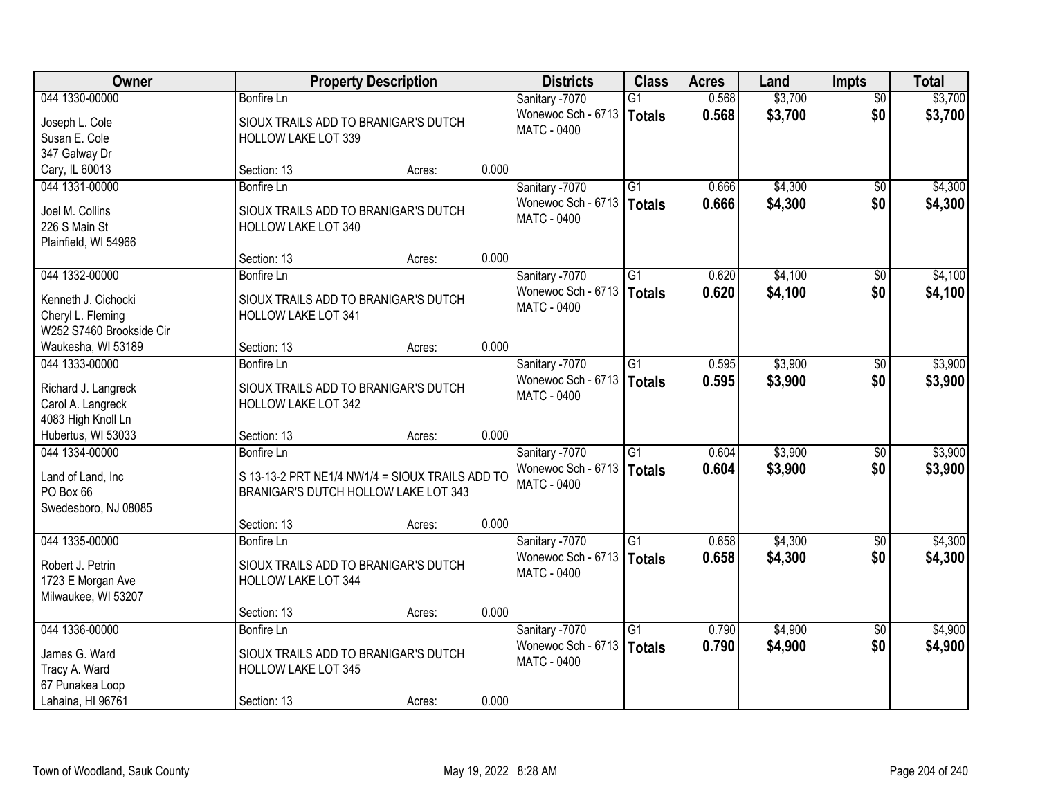| Owner                    | <b>Property Description</b>                     |        |       | <b>Districts</b>   | <b>Class</b>    | <b>Acres</b> | Land    | <b>Impts</b>    | <b>Total</b> |
|--------------------------|-------------------------------------------------|--------|-------|--------------------|-----------------|--------------|---------|-----------------|--------------|
| 044 1330-00000           | <b>Bonfire Ln</b>                               |        |       | Sanitary -7070     | G1              | 0.568        | \$3,700 | $\overline{50}$ | \$3,700      |
| Joseph L. Cole           | SIOUX TRAILS ADD TO BRANIGAR'S DUTCH            |        |       | Wonewoc Sch - 6713 | Totals          | 0.568        | \$3,700 | \$0             | \$3,700      |
| Susan E. Cole            | <b>HOLLOW LAKE LOT 339</b>                      |        |       | <b>MATC - 0400</b> |                 |              |         |                 |              |
| 347 Galway Dr            |                                                 |        |       |                    |                 |              |         |                 |              |
| Cary, IL 60013           | Section: 13                                     | Acres: | 0.000 |                    |                 |              |         |                 |              |
| 044 1331-00000           | <b>Bonfire Ln</b>                               |        |       | Sanitary -7070     | $\overline{G1}$ | 0.666        | \$4,300 | \$0             | \$4,300      |
| Joel M. Collins          | SIOUX TRAILS ADD TO BRANIGAR'S DUTCH            |        |       | Wonewoc Sch - 6713 | Totals          | 0.666        | \$4,300 | \$0             | \$4,300      |
| 226 S Main St            | <b>HOLLOW LAKE LOT 340</b>                      |        |       | <b>MATC - 0400</b> |                 |              |         |                 |              |
| Plainfield, WI 54966     |                                                 |        |       |                    |                 |              |         |                 |              |
|                          | Section: 13                                     | Acres: | 0.000 |                    |                 |              |         |                 |              |
| 044 1332-00000           | <b>Bonfire Ln</b>                               |        |       | Sanitary -7070     | $\overline{G1}$ | 0.620        | \$4,100 | \$0             | \$4,100      |
| Kenneth J. Cichocki      | SIOUX TRAILS ADD TO BRANIGAR'S DUTCH            |        |       | Wonewoc Sch - 6713 | Totals          | 0.620        | \$4,100 | \$0             | \$4,100      |
| Cheryl L. Fleming        | <b>HOLLOW LAKE LOT 341</b>                      |        |       | MATC - 0400        |                 |              |         |                 |              |
| W252 S7460 Brookside Cir |                                                 |        |       |                    |                 |              |         |                 |              |
| Waukesha, WI 53189       | Section: 13                                     | Acres: | 0.000 |                    |                 |              |         |                 |              |
| 044 1333-00000           | Bonfire Ln                                      |        |       | Sanitary -7070     | $\overline{G1}$ | 0.595        | \$3,900 | $\sqrt[6]{3}$   | \$3,900      |
|                          |                                                 |        |       | Wonewoc Sch - 6713 | <b>Totals</b>   | 0.595        | \$3,900 | \$0             | \$3,900      |
| Richard J. Langreck      | SIOUX TRAILS ADD TO BRANIGAR'S DUTCH            |        |       | MATC - 0400        |                 |              |         |                 |              |
| Carol A. Langreck        | HOLLOW LAKE LOT 342                             |        |       |                    |                 |              |         |                 |              |
| 4083 High Knoll Ln       |                                                 |        |       |                    |                 |              |         |                 |              |
| Hubertus, WI 53033       | Section: 13                                     | Acres: | 0.000 |                    |                 |              |         |                 |              |
| 044 1334-00000           | Bonfire Ln                                      |        |       | Sanitary -7070     | $\overline{G1}$ | 0.604        | \$3,900 | $\overline{50}$ | \$3,900      |
| Land of Land, Inc        | S 13-13-2 PRT NE1/4 NW1/4 = SIOUX TRAILS ADD TO |        |       | Wonewoc Sch - 6713 | Totals          | 0.604        | \$3,900 | \$0             | \$3,900      |
| PO Box 66                | BRANIGAR'S DUTCH HOLLOW LAKE LOT 343            |        |       | <b>MATC - 0400</b> |                 |              |         |                 |              |
| Swedesboro, NJ 08085     |                                                 |        |       |                    |                 |              |         |                 |              |
|                          | Section: 13                                     | Acres: | 0.000 |                    |                 |              |         |                 |              |
| 044 1335-00000           | <b>Bonfire Ln</b>                               |        |       | Sanitary -7070     | $\overline{G1}$ | 0.658        | \$4,300 | $\sqrt{6}$      | \$4,300      |
| Robert J. Petrin         | SIOUX TRAILS ADD TO BRANIGAR'S DUTCH            |        |       | Wonewoc Sch - 6713 | Totals          | 0.658        | \$4,300 | \$0             | \$4,300      |
| 1723 E Morgan Ave        | <b>HOLLOW LAKE LOT 344</b>                      |        |       | <b>MATC - 0400</b> |                 |              |         |                 |              |
| Milwaukee, WI 53207      |                                                 |        |       |                    |                 |              |         |                 |              |
|                          | Section: 13                                     | Acres: | 0.000 |                    |                 |              |         |                 |              |
| 044 1336-00000           | <b>Bonfire Ln</b>                               |        |       | Sanitary -7070     | $\overline{G1}$ | 0.790        | \$4,900 | $\overline{50}$ | \$4,900      |
| James G. Ward            | SIOUX TRAILS ADD TO BRANIGAR'S DUTCH            |        |       | Wonewoc Sch - 6713 | Totals          | 0.790        | \$4,900 | \$0             | \$4,900      |
| Tracy A. Ward            | <b>HOLLOW LAKE LOT 345</b>                      |        |       | <b>MATC - 0400</b> |                 |              |         |                 |              |
| 67 Punakea Loop          |                                                 |        |       |                    |                 |              |         |                 |              |
| Lahaina, HI 96761        | Section: 13                                     | Acres: | 0.000 |                    |                 |              |         |                 |              |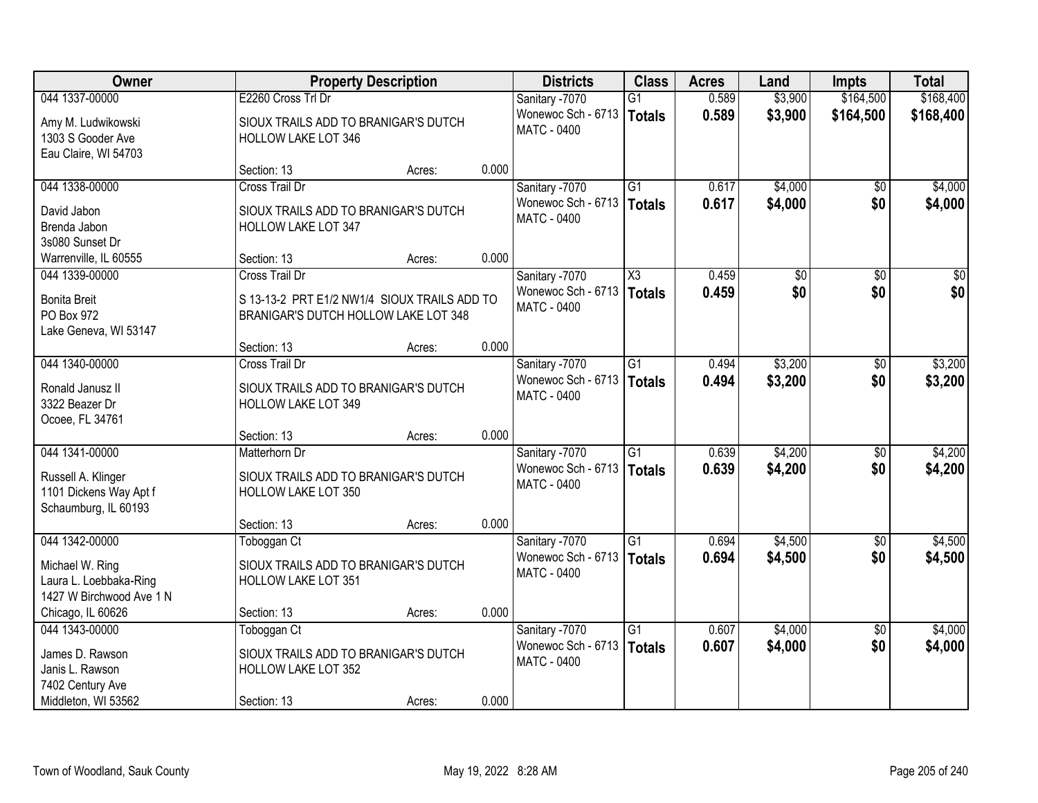| Owner                                                                                  |                                             | <b>Property Description</b>                                                          |       |                                                     | <b>Class</b>                     | <b>Acres</b>   | Land               | <b>Impts</b>           | <b>Total</b>       |
|----------------------------------------------------------------------------------------|---------------------------------------------|--------------------------------------------------------------------------------------|-------|-----------------------------------------------------|----------------------------------|----------------|--------------------|------------------------|--------------------|
| 044 1337-00000                                                                         | E2260 Cross Trl Dr                          |                                                                                      |       | Sanitary -7070                                      | G1                               | 0.589          | \$3,900            | \$164,500              | \$168,400          |
| Amy M. Ludwikowski<br>1303 S Gooder Ave<br>Eau Claire, WI 54703                        | <b>HOLLOW LAKE LOT 346</b>                  | SIOUX TRAILS ADD TO BRANIGAR'S DUTCH                                                 |       | Wonewoc Sch - 6713<br><b>MATC - 0400</b>            | <b>Totals</b>                    | 0.589          | \$3,900            | \$164,500              | \$168,400          |
|                                                                                        | Section: 13                                 | Acres:                                                                               | 0.000 |                                                     |                                  |                |                    |                        |                    |
| 044 1338-00000                                                                         | Cross Trail Dr                              |                                                                                      |       | Sanitary -7070                                      | $\overline{G1}$                  | 0.617          | \$4,000            | $\overline{50}$        | \$4,000            |
| David Jabon<br>Brenda Jabon<br>3s080 Sunset Dr                                         | <b>HOLLOW LAKE LOT 347</b>                  | SIOUX TRAILS ADD TO BRANIGAR'S DUTCH                                                 |       | Wonewoc Sch - 6713   Totals<br><b>MATC - 0400</b>   |                                  | 0.617          | \$4,000            | \$0                    | \$4,000            |
| Warrenville, IL 60555                                                                  | Section: 13                                 | Acres:                                                                               | 0.000 |                                                     |                                  |                |                    |                        |                    |
| 044 1339-00000                                                                         | Cross Trail Dr                              |                                                                                      |       | Sanitary -7070                                      | $\overline{\chi_3}$              | 0.459          | $\overline{50}$    | $\overline{50}$        | $\overline{30}$    |
| <b>Bonita Breit</b><br>PO Box 972<br>Lake Geneva, WI 53147                             |                                             | S 13-13-2 PRT E1/2 NW1/4 SIOUX TRAILS ADD TO<br>BRANIGAR'S DUTCH HOLLOW LAKE LOT 348 |       | Wonewoc Sch - 6713<br><b>MATC - 0400</b>            | <b>Totals</b>                    | 0.459          | \$0                | \$0                    | \$0                |
|                                                                                        | Section: 13                                 | Acres:                                                                               | 0.000 |                                                     |                                  |                |                    |                        |                    |
| 044 1340-00000                                                                         | <b>Cross Trail Dr</b>                       |                                                                                      |       | Sanitary -7070                                      | G1                               | 0.494          | \$3,200            | $\sqrt[6]{}$           | \$3,200            |
| Ronald Janusz II<br>3322 Beazer Dr<br>Ocoee, FL 34761                                  | HOLLOW LAKE LOT 349                         | SIOUX TRAILS ADD TO BRANIGAR'S DUTCH                                                 |       | Wonewoc Sch - 6713<br><b>MATC - 0400</b>            | <b>Totals</b>                    | 0.494          | \$3,200            | \$0                    | \$3,200            |
|                                                                                        | Section: 13                                 | Acres:                                                                               | 0.000 |                                                     |                                  |                |                    |                        |                    |
| 044 1341-00000<br>Russell A. Klinger<br>1101 Dickens Way Apt f<br>Schaumburg, IL 60193 | Matterhorn Dr<br><b>HOLLOW LAKE LOT 350</b> | SIOUX TRAILS ADD TO BRANIGAR'S DUTCH                                                 |       | Sanitary -7070<br>Wonewoc Sch - 6713<br>MATC - 0400 | $\overline{G1}$<br><b>Totals</b> | 0.639<br>0.639 | \$4,200<br>\$4,200 | $\overline{50}$<br>\$0 | \$4,200<br>\$4,200 |
|                                                                                        | Section: 13                                 | Acres:                                                                               | 0.000 |                                                     |                                  |                |                    |                        |                    |
| 044 1342-00000                                                                         | Toboggan Ct                                 |                                                                                      |       | Sanitary -7070                                      | $\overline{G1}$                  | 0.694          | \$4,500            | $\sqrt{$0}$            | \$4,500            |
| Michael W. Ring<br>Laura L. Loebbaka-Ring<br>1427 W Birchwood Ave 1 N                  | HOLLOW LAKE LOT 351                         | SIOUX TRAILS ADD TO BRANIGAR'S DUTCH                                                 |       | Wonewoc Sch - 6713<br>MATC - 0400                   | <b>Totals</b>                    | 0.694          | \$4,500            | \$0                    | \$4,500            |
| Chicago, IL 60626                                                                      | Section: 13                                 | Acres:                                                                               | 0.000 |                                                     |                                  |                |                    |                        |                    |
| 044 1343-00000                                                                         | Toboggan Ct                                 |                                                                                      |       | Sanitary -7070                                      | $\overline{G1}$                  | 0.607          | \$4,000            | $\overline{30}$        | \$4,000            |
| James D. Rawson<br>Janis L. Rawson<br>7402 Century Ave                                 | <b>HOLLOW LAKE LOT 352</b>                  | SIOUX TRAILS ADD TO BRANIGAR'S DUTCH                                                 |       | Wonewoc Sch - 6713<br><b>MATC - 0400</b>            | <b>Totals</b>                    | 0.607          | \$4,000            | \$0                    | \$4,000            |
| Middleton, WI 53562                                                                    | Section: 13                                 | Acres:                                                                               | 0.000 |                                                     |                                  |                |                    |                        |                    |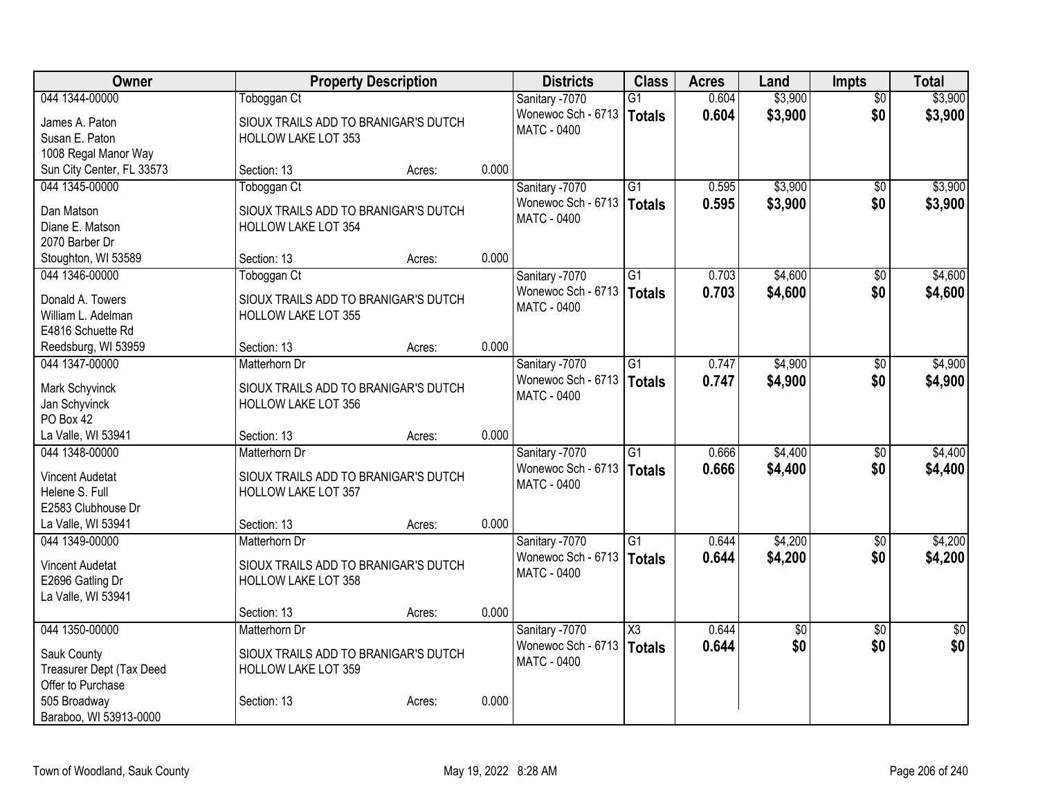| Owner                                         | <b>Property Description</b>          |        |       | <b>Districts</b>                     | <b>Class</b>    | <b>Acres</b> | Land            | <b>Impts</b>    | <b>Total</b> |
|-----------------------------------------------|--------------------------------------|--------|-------|--------------------------------------|-----------------|--------------|-----------------|-----------------|--------------|
| 044 1344-00000                                | Toboggan Ct                          |        |       | Sanitary -7070                       | $\overline{G1}$ | 0.604        | \$3,900         | $\overline{50}$ | \$3,900      |
| James A. Paton                                | SIOUX TRAILS ADD TO BRANIGAR'S DUTCH |        |       | Wonewoc Sch - 6713                   | Totals          | 0.604        | \$3,900         | \$0             | \$3,900      |
| Susan E. Paton                                | <b>HOLLOW LAKE LOT 353</b>           |        |       | <b>MATC - 0400</b>                   |                 |              |                 |                 |              |
| 1008 Regal Manor Way                          |                                      |        |       |                                      |                 |              |                 |                 |              |
| Sun City Center, FL 33573                     | Section: 13                          | Acres: | 0.000 |                                      |                 |              |                 |                 |              |
| 044 1345-00000                                | Toboggan Ct                          |        |       | Sanitary -7070                       | G1              | 0.595        | \$3,900         | $\sqrt{50}$     | \$3,900      |
| Dan Matson                                    | SIOUX TRAILS ADD TO BRANIGAR'S DUTCH |        |       | Wonewoc Sch - 6713                   | Totals          | 0.595        | \$3,900         | \$0             | \$3,900      |
| Diane E. Matson                               | <b>HOLLOW LAKE LOT 354</b>           |        |       | MATC - 0400                          |                 |              |                 |                 |              |
| 2070 Barber Dr                                |                                      |        |       |                                      |                 |              |                 |                 |              |
| Stoughton, WI 53589                           | Section: 13                          | Acres: | 0.000 |                                      |                 |              |                 |                 |              |
| 044 1346-00000                                | Toboggan Ct                          |        |       | Sanitary -7070                       | $\overline{G1}$ | 0.703        | \$4,600         | $\sqrt{6}$      | \$4,600      |
|                                               |                                      |        |       | Wonewoc Sch - 6713                   | Totals          | 0.703        | \$4,600         | \$0             | \$4,600      |
| Donald A. Towers                              | SIOUX TRAILS ADD TO BRANIGAR'S DUTCH |        |       | MATC - 0400                          |                 |              |                 |                 |              |
| William L. Adelman                            | <b>HOLLOW LAKE LOT 355</b>           |        |       |                                      |                 |              |                 |                 |              |
| E4816 Schuette Rd                             | Section: 13                          |        | 0.000 |                                      |                 |              |                 |                 |              |
| Reedsburg, WI 53959<br>044 1347-00000         | Matterhorn Dr                        | Acres: |       |                                      | $\overline{G1}$ | 0.747        | \$4,900         |                 | \$4,900      |
|                                               |                                      |        |       | Sanitary -7070<br>Wonewoc Sch - 6713 |                 |              |                 | \$0             |              |
| Mark Schyvinck                                | SIOUX TRAILS ADD TO BRANIGAR'S DUTCH |        |       | <b>MATC - 0400</b>                   | Totals          | 0.747        | \$4,900         | \$0             | \$4,900      |
| Jan Schyvinck                                 | <b>HOLLOW LAKE LOT 356</b>           |        |       |                                      |                 |              |                 |                 |              |
| PO Box 42                                     |                                      |        |       |                                      |                 |              |                 |                 |              |
| La Valle, WI 53941                            | Section: 13                          | Acres: | 0.000 |                                      |                 |              |                 |                 |              |
| 044 1348-00000                                | Matterhorn Dr                        |        |       | Sanitary -7070                       | $\overline{G1}$ | 0.666        | \$4,400         | $\overline{50}$ | \$4,400      |
| <b>Vincent Audetat</b>                        | SIOUX TRAILS ADD TO BRANIGAR'S DUTCH |        |       | Wonewoc Sch - 6713                   | Totals          | 0.666        | \$4,400         | \$0             | \$4,400      |
| Helene S. Full                                | <b>HOLLOW LAKE LOT 357</b>           |        |       | MATC - 0400                          |                 |              |                 |                 |              |
| E2583 Clubhouse Dr                            |                                      |        |       |                                      |                 |              |                 |                 |              |
| La Valle, WI 53941                            | Section: 13                          | Acres: | 0.000 |                                      |                 |              |                 |                 |              |
| 044 1349-00000                                | Matterhorn Dr                        |        |       | Sanitary -7070                       | $\overline{G1}$ | 0.644        | \$4,200         | $\overline{50}$ | \$4,200      |
| <b>Vincent Audetat</b>                        | SIOUX TRAILS ADD TO BRANIGAR'S DUTCH |        |       | Wonewoc Sch - 6713                   | Totals          | 0.644        | \$4,200         | \$0             | \$4,200      |
| E2696 Gatling Dr                              | <b>HOLLOW LAKE LOT 358</b>           |        |       | <b>MATC - 0400</b>                   |                 |              |                 |                 |              |
| La Valle, WI 53941                            |                                      |        |       |                                      |                 |              |                 |                 |              |
|                                               | Section: 13                          | Acres: | 0.000 |                                      |                 |              |                 |                 |              |
| 044 1350-00000                                | Matterhorn Dr                        |        |       | Sanitary -7070                       | X3              | 0.644        | $\overline{50}$ | $\overline{30}$ | $\sqrt{50}$  |
|                                               |                                      |        |       | Wonewoc Sch - 6713                   | Totals          | 0.644        | \$0             | \$0             | \$0          |
| Sauk County                                   | SIOUX TRAILS ADD TO BRANIGAR'S DUTCH |        |       | <b>MATC - 0400</b>                   |                 |              |                 |                 |              |
| Treasurer Dept (Tax Deed<br>Offer to Purchase | <b>HOLLOW LAKE LOT 359</b>           |        |       |                                      |                 |              |                 |                 |              |
| 505 Broadway                                  | Section: 13                          | Acres: | 0.000 |                                      |                 |              |                 |                 |              |
| Baraboo, WI 53913-0000                        |                                      |        |       |                                      |                 |              |                 |                 |              |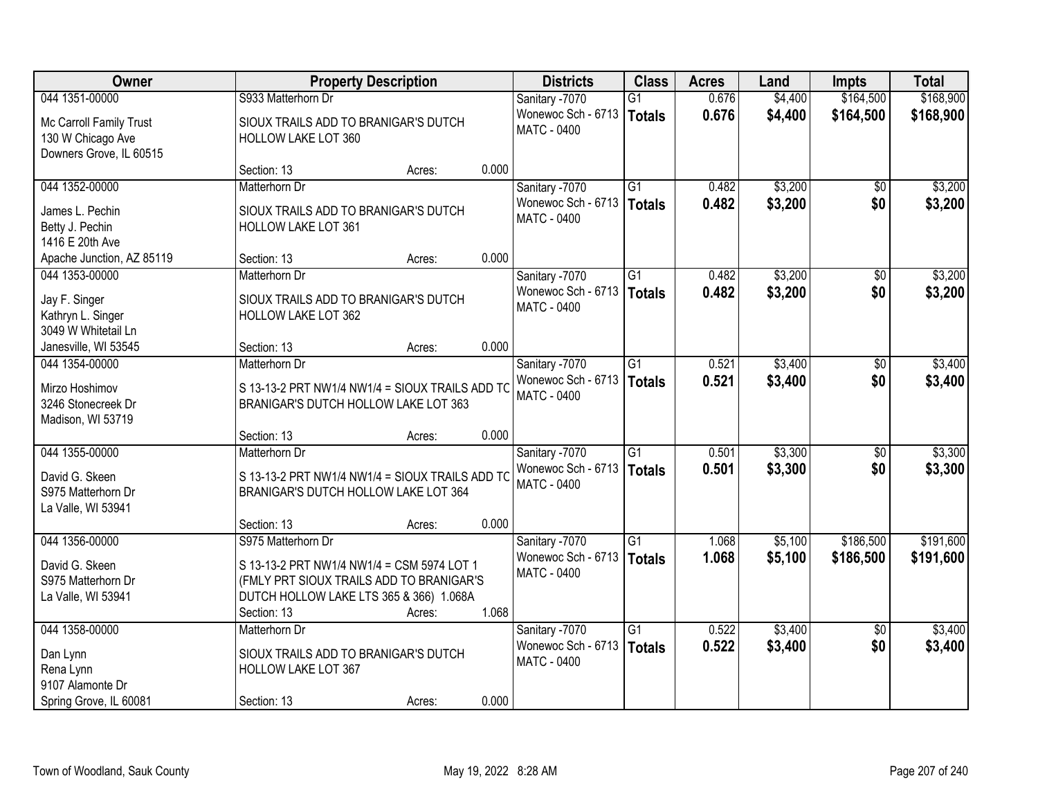| Owner                                        | <b>Property Description</b>                                                             |        |       | <b>Districts</b>                         | <b>Class</b>    | <b>Acres</b> | Land    | <b>Impts</b>    | <b>Total</b> |
|----------------------------------------------|-----------------------------------------------------------------------------------------|--------|-------|------------------------------------------|-----------------|--------------|---------|-----------------|--------------|
| 044 1351-00000                               | S933 Matterhorn Dr                                                                      |        |       | Sanitary -7070                           | $\overline{G1}$ | 0.676        | \$4,400 | \$164,500       | \$168,900    |
| Mc Carroll Family Trust<br>130 W Chicago Ave | SIOUX TRAILS ADD TO BRANIGAR'S DUTCH<br>HOLLOW LAKE LOT 360                             |        |       | Wonewoc Sch - 6713<br><b>MATC - 0400</b> | <b>Totals</b>   | 0.676        | \$4,400 | \$164,500       | \$168,900    |
| Downers Grove, IL 60515                      |                                                                                         |        |       |                                          |                 |              |         |                 |              |
|                                              | Section: 13                                                                             | Acres: | 0.000 |                                          |                 |              |         |                 |              |
| 044 1352-00000                               | Matterhorn Dr                                                                           |        |       | Sanitary -7070                           | $\overline{G1}$ | 0.482        | \$3,200 | \$0             | \$3,200      |
| James L. Pechin                              | SIOUX TRAILS ADD TO BRANIGAR'S DUTCH                                                    |        |       | Wonewoc Sch - 6713                       | <b>Totals</b>   | 0.482        | \$3,200 | \$0             | \$3,200      |
| Betty J. Pechin                              | <b>HOLLOW LAKE LOT 361</b>                                                              |        |       | MATC - 0400                              |                 |              |         |                 |              |
| 1416 E 20th Ave                              |                                                                                         |        |       |                                          |                 |              |         |                 |              |
| Apache Junction, AZ 85119                    | Section: 13                                                                             | Acres: | 0.000 |                                          |                 |              |         |                 |              |
| 044 1353-00000                               | Matterhorn Dr                                                                           |        |       | Sanitary -7070                           | G1              | 0.482        | \$3,200 | \$0             | \$3,200      |
| Jay F. Singer                                | SIOUX TRAILS ADD TO BRANIGAR'S DUTCH                                                    |        |       | Wonewoc Sch - 6713                       | <b>Totals</b>   | 0.482        | \$3,200 | \$0             | \$3,200      |
| Kathryn L. Singer                            | HOLLOW LAKE LOT 362                                                                     |        |       | <b>MATC - 0400</b>                       |                 |              |         |                 |              |
| 3049 W Whitetail Ln                          |                                                                                         |        |       |                                          |                 |              |         |                 |              |
| Janesville, WI 53545                         | Section: 13                                                                             | Acres: | 0.000 |                                          |                 |              |         |                 |              |
| 044 1354-00000                               | Matterhorn Dr                                                                           |        |       | Sanitary -7070                           | G1              | 0.521        | \$3,400 | \$0             | \$3,400      |
|                                              |                                                                                         |        |       | Wonewoc Sch - 6713                       | <b>Totals</b>   | 0.521        | \$3,400 | \$0             | \$3,400      |
| Mirzo Hoshimov<br>3246 Stonecreek Dr         | S 13-13-2 PRT NW1/4 NW1/4 = SIOUX TRAILS ADD TO<br>BRANIGAR'S DUTCH HOLLOW LAKE LOT 363 |        |       | <b>MATC - 0400</b>                       |                 |              |         |                 |              |
| Madison, WI 53719                            |                                                                                         |        |       |                                          |                 |              |         |                 |              |
|                                              | Section: 13                                                                             | Acres: | 0.000 |                                          |                 |              |         |                 |              |
| 044 1355-00000                               | Matterhorn Dr                                                                           |        |       | Sanitary -7070                           | $\overline{G1}$ | 0.501        | \$3,300 | $\overline{50}$ | \$3,300      |
|                                              |                                                                                         |        |       | Wonewoc Sch - 6713                       | <b>Totals</b>   | 0.501        | \$3,300 | \$0             | \$3,300      |
| David G. Skeen                               | S 13-13-2 PRT NW1/4 NW1/4 = SIOUX TRAILS ADD TO                                         |        |       | <b>MATC - 0400</b>                       |                 |              |         |                 |              |
| S975 Matterhorn Dr                           | BRANIGAR'S DUTCH HOLLOW LAKE LOT 364                                                    |        |       |                                          |                 |              |         |                 |              |
| La Valle, WI 53941                           |                                                                                         |        |       |                                          |                 |              |         |                 |              |
| 044 1356-00000                               | Section: 13                                                                             | Acres: | 0.000 |                                          |                 |              |         |                 |              |
|                                              | S975 Matterhorn Dr                                                                      |        |       | Sanitary -7070<br>Wonewoc Sch - 6713     | $\overline{G1}$ | 1.068        | \$5,100 | \$186,500       | \$191,600    |
| David G. Skeen                               | S 13-13-2 PRT NW1/4 NW1/4 = CSM 5974 LOT 1                                              |        |       | MATC - 0400                              | <b>Totals</b>   | 1.068        | \$5,100 | \$186,500       | \$191,600    |
| S975 Matterhorn Dr                           | (FMLY PRT SIOUX TRAILS ADD TO BRANIGAR'S                                                |        |       |                                          |                 |              |         |                 |              |
| La Valle, WI 53941                           | DUTCH HOLLOW LAKE LTS 365 & 366) 1.068A                                                 |        |       |                                          |                 |              |         |                 |              |
|                                              | Section: 13                                                                             | Acres: | 1.068 |                                          |                 |              |         |                 |              |
| 044 1358-00000                               | Matterhorn Dr                                                                           |        |       | Sanitary -7070                           | $\overline{G1}$ | 0.522        | \$3,400 | $\overline{50}$ | \$3,400      |
| Dan Lynn                                     | SIOUX TRAILS ADD TO BRANIGAR'S DUTCH                                                    |        |       | Wonewoc Sch - 6713                       | <b>Totals</b>   | 0.522        | \$3,400 | \$0             | \$3,400      |
| Rena Lynn                                    | HOLLOW LAKE LOT 367                                                                     |        |       | <b>MATC - 0400</b>                       |                 |              |         |                 |              |
| 9107 Alamonte Dr                             |                                                                                         |        |       |                                          |                 |              |         |                 |              |
| Spring Grove, IL 60081                       | Section: 13                                                                             | Acres: | 0.000 |                                          |                 |              |         |                 |              |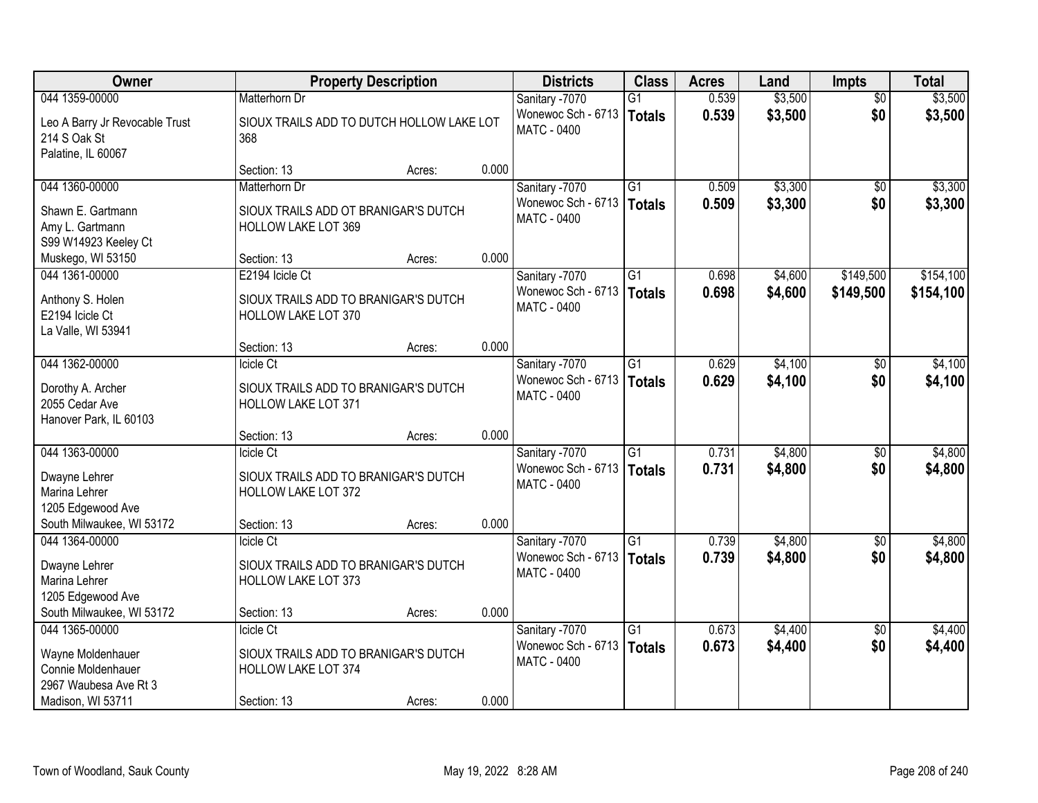| Owner                                                                 | <b>Property Description</b>                                                     |                                           |       | <b>Districts</b>                                           | <b>Class</b>                     | <b>Acres</b>   | Land               | <b>Impts</b>      | <b>Total</b>       |
|-----------------------------------------------------------------------|---------------------------------------------------------------------------------|-------------------------------------------|-------|------------------------------------------------------------|----------------------------------|----------------|--------------------|-------------------|--------------------|
| 044 1359-00000                                                        | Matterhorn Dr                                                                   |                                           |       | Sanitary -7070                                             | $\overline{G1}$                  | 0.539          | \$3,500            | $\overline{30}$   | \$3,500            |
| Leo A Barry Jr Revocable Trust<br>214 S Oak St<br>Palatine, IL 60067  | 368                                                                             | SIOUX TRAILS ADD TO DUTCH HOLLOW LAKE LOT |       | Wonewoc Sch - 6713<br><b>MATC - 0400</b>                   | <b>Totals</b>                    | 0.539          | \$3,500            | \$0               | \$3,500            |
|                                                                       | Section: 13                                                                     | Acres:                                    | 0.000 |                                                            |                                  |                |                    |                   |                    |
| 044 1360-00000                                                        | Matterhorn Dr                                                                   |                                           |       | Sanitary -7070                                             | $\overline{G1}$                  | 0.509          | \$3,300            | $\overline{50}$   | \$3,300            |
| Shawn E. Gartmann<br>Amy L. Gartmann<br>S99 W14923 Keeley Ct          | SIOUX TRAILS ADD OT BRANIGAR'S DUTCH<br><b>HOLLOW LAKE LOT 369</b>              |                                           |       | Wonewoc Sch - 6713<br><b>MATC - 0400</b>                   | Totals                           | 0.509          | \$3,300            | \$0               | \$3,300            |
| Muskego, WI 53150                                                     | Section: 13                                                                     | Acres:                                    | 0.000 |                                                            |                                  |                |                    |                   |                    |
| 044 1361-00000                                                        | E2194 Icicle Ct                                                                 |                                           |       | Sanitary -7070                                             | G1                               | 0.698          | \$4,600            | \$149,500         | \$154,100          |
| Anthony S. Holen<br>E2194 Icicle Ct<br>La Valle, WI 53941             | SIOUX TRAILS ADD TO BRANIGAR'S DUTCH<br>HOLLOW LAKE LOT 370                     |                                           |       | Wonewoc Sch - 6713<br><b>MATC - 0400</b>                   | <b>Totals</b>                    | 0.698          | \$4,600            | \$149,500         | \$154,100          |
|                                                                       | Section: 13                                                                     | Acres:                                    | 0.000 |                                                            |                                  |                |                    |                   |                    |
| 044 1362-00000                                                        | Icicle Ct                                                                       |                                           |       | Sanitary -7070                                             | G1                               | 0.629          | \$4,100            | \$0               | \$4,100            |
| Dorothy A. Archer<br>2055 Cedar Ave<br>Hanover Park, IL 60103         | SIOUX TRAILS ADD TO BRANIGAR'S DUTCH<br>HOLLOW LAKE LOT 371                     |                                           |       | Wonewoc Sch - 6713<br>MATC - 0400                          | <b>Totals</b>                    | 0.629          | \$4,100            | \$0               | \$4,100            |
|                                                                       | Section: 13                                                                     | Acres:                                    | 0.000 |                                                            |                                  |                |                    |                   |                    |
| 044 1363-00000                                                        | Icicle Ct                                                                       |                                           |       | Sanitary -7070                                             | $\overline{G1}$                  | 0.731          | \$4,800            | $\overline{50}$   | \$4,800            |
| Dwayne Lehrer<br>Marina Lehrer<br>1205 Edgewood Ave                   | SIOUX TRAILS ADD TO BRANIGAR'S DUTCH<br><b>HOLLOW LAKE LOT 372</b>              |                                           |       | Wonewoc Sch - 6713<br><b>MATC - 0400</b>                   | <b>Totals</b>                    | 0.731          | \$4,800            | \$0               | \$4,800            |
| South Milwaukee, WI 53172                                             | Section: 13                                                                     | Acres:                                    | 0.000 |                                                            |                                  |                |                    |                   |                    |
| 044 1364-00000<br>Dwayne Lehrer<br>Marina Lehrer<br>1205 Edgewood Ave | Icicle Ct<br>SIOUX TRAILS ADD TO BRANIGAR'S DUTCH<br><b>HOLLOW LAKE LOT 373</b> |                                           |       | Sanitary -7070<br>Wonewoc Sch - 6713<br><b>MATC - 0400</b> | $\overline{G1}$<br><b>Totals</b> | 0.739<br>0.739 | \$4,800<br>\$4,800 | $\sqrt{6}$<br>\$0 | \$4,800<br>\$4,800 |
| South Milwaukee, WI 53172                                             | Section: 13                                                                     | Acres:                                    | 0.000 |                                                            |                                  |                |                    |                   |                    |
| 044 1365-00000                                                        | Icicle Ct                                                                       |                                           |       | Sanitary -7070                                             | $\overline{G1}$                  | 0.673          | \$4,400            | $\overline{50}$   | \$4,400            |
| Wayne Moldenhauer<br>Connie Moldenhauer<br>2967 Waubesa Ave Rt 3      | SIOUX TRAILS ADD TO BRANIGAR'S DUTCH<br>HOLLOW LAKE LOT 374                     |                                           |       | Wonewoc Sch - 6713<br><b>MATC - 0400</b>                   | <b>Totals</b>                    | 0.673          | \$4,400            | \$0               | \$4,400            |
| Madison, WI 53711                                                     | Section: 13                                                                     | Acres:                                    | 0.000 |                                                            |                                  |                |                    |                   |                    |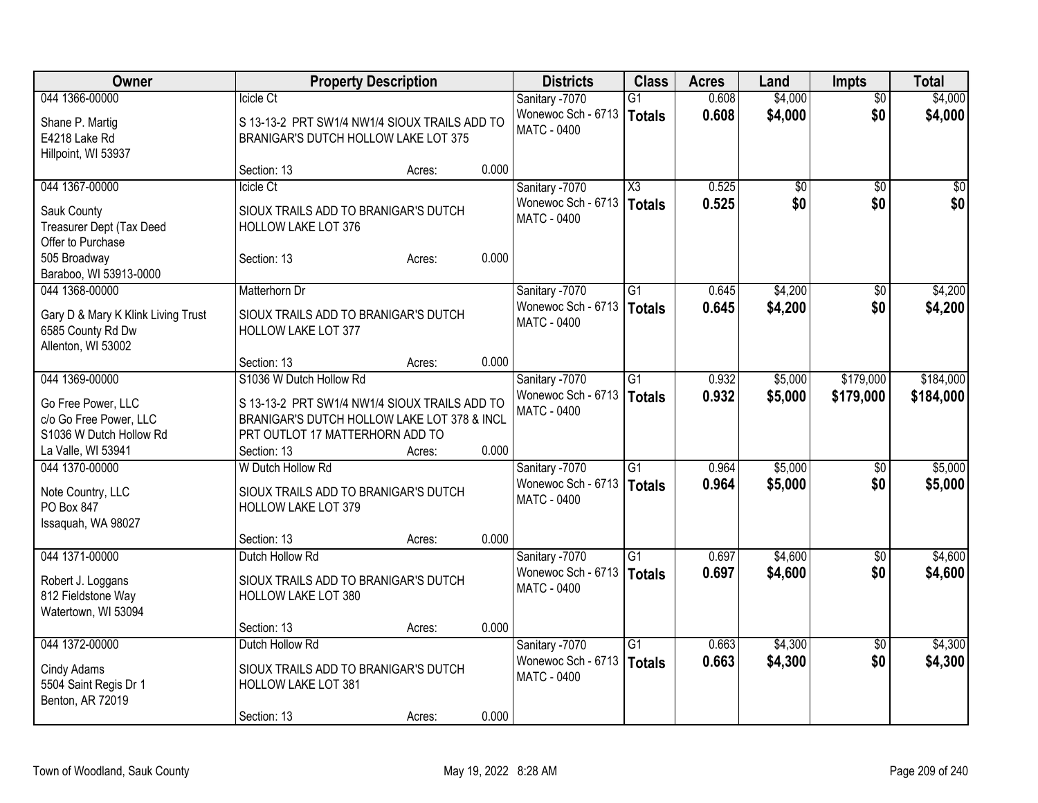| Owner                                         | <b>Property Description</b>                                 |        |       | <b>Districts</b>   | <b>Class</b>           | <b>Acres</b> | Land            | <b>Impts</b>    | <b>Total</b> |
|-----------------------------------------------|-------------------------------------------------------------|--------|-------|--------------------|------------------------|--------------|-----------------|-----------------|--------------|
| 044 1366-00000                                | Icicle Ct                                                   |        |       | Sanitary -7070     | $\overline{G1}$        | 0.608        | \$4,000         | $\overline{50}$ | \$4,000      |
| Shane P. Martig                               | S 13-13-2 PRT SW1/4 NW1/4 SIOUX TRAILS ADD TO               |        |       | Wonewoc Sch - 6713 | Totals                 | 0.608        | \$4,000         | \$0             | \$4,000      |
| E4218 Lake Rd                                 | BRANIGAR'S DUTCH HOLLOW LAKE LOT 375                        |        |       | <b>MATC - 0400</b> |                        |              |                 |                 |              |
| Hillpoint, WI 53937                           |                                                             |        |       |                    |                        |              |                 |                 |              |
|                                               | Section: 13                                                 | Acres: | 0.000 |                    |                        |              |                 |                 |              |
| 044 1367-00000                                | Icicle Ct                                                   |        |       | Sanitary -7070     | $\overline{\text{X3}}$ | 0.525        | $\overline{50}$ | $\overline{50}$ | \$0          |
|                                               |                                                             |        |       | Wonewoc Sch - 6713 | Totals                 | 0.525        | \$0             | \$0             | \$0          |
| Sauk County                                   | SIOUX TRAILS ADD TO BRANIGAR'S DUTCH<br>HOLLOW LAKE LOT 376 |        |       | <b>MATC - 0400</b> |                        |              |                 |                 |              |
| Treasurer Dept (Tax Deed<br>Offer to Purchase |                                                             |        |       |                    |                        |              |                 |                 |              |
| 505 Broadway                                  | Section: 13                                                 | Acres: | 0.000 |                    |                        |              |                 |                 |              |
| Baraboo, WI 53913-0000                        |                                                             |        |       |                    |                        |              |                 |                 |              |
| 044 1368-00000                                | Matterhorn Dr                                               |        |       | Sanitary -7070     | G1                     | 0.645        | \$4,200         | \$0             | \$4,200      |
|                                               |                                                             |        |       | Wonewoc Sch - 6713 |                        | 0.645        | \$4,200         | \$0             |              |
| Gary D & Mary K Klink Living Trust            | SIOUX TRAILS ADD TO BRANIGAR'S DUTCH                        |        |       | MATC - 0400        | <b>Totals</b>          |              |                 |                 | \$4,200      |
| 6585 County Rd Dw                             | <b>HOLLOW LAKE LOT 377</b>                                  |        |       |                    |                        |              |                 |                 |              |
| Allenton, WI 53002                            |                                                             |        |       |                    |                        |              |                 |                 |              |
|                                               | Section: 13                                                 | Acres: | 0.000 |                    |                        |              |                 |                 |              |
| 044 1369-00000                                | S1036 W Dutch Hollow Rd                                     |        |       | Sanitary -7070     | $\overline{G1}$        | 0.932        | \$5,000         | \$179,000       | \$184,000    |
| Go Free Power, LLC                            | S 13-13-2 PRT SW1/4 NW1/4 SIOUX TRAILS ADD TO               |        |       | Wonewoc Sch - 6713 | <b>Totals</b>          | 0.932        | \$5,000         | \$179,000       | \$184,000    |
| c/o Go Free Power, LLC                        | BRANIGAR'S DUTCH HOLLOW LAKE LOT 378 & INCL                 |        |       | MATC - 0400        |                        |              |                 |                 |              |
| S1036 W Dutch Hollow Rd                       | PRT OUTLOT 17 MATTERHORN ADD TO                             |        |       |                    |                        |              |                 |                 |              |
| La Valle, WI 53941                            | Section: 13                                                 | Acres: | 0.000 |                    |                        |              |                 |                 |              |
| 044 1370-00000                                | W Dutch Hollow Rd                                           |        |       | Sanitary -7070     | $\overline{G1}$        | 0.964        | \$5,000         | \$0             | \$5,000      |
|                                               |                                                             |        |       | Wonewoc Sch - 6713 | Totals                 | 0.964        | \$5,000         | \$0             | \$5,000      |
| Note Country, LLC                             | SIOUX TRAILS ADD TO BRANIGAR'S DUTCH                        |        |       | MATC - 0400        |                        |              |                 |                 |              |
| PO Box 847                                    | <b>HOLLOW LAKE LOT 379</b>                                  |        |       |                    |                        |              |                 |                 |              |
| Issaquah, WA 98027                            |                                                             |        |       |                    |                        |              |                 |                 |              |
|                                               | Section: 13                                                 | Acres: | 0.000 |                    |                        |              |                 |                 |              |
| 044 1371-00000                                | Dutch Hollow Rd                                             |        |       | Sanitary -7070     | $\overline{G1}$        | 0.697        | \$4,600         | $\overline{50}$ | \$4,600      |
| Robert J. Loggans                             | SIOUX TRAILS ADD TO BRANIGAR'S DUTCH                        |        |       | Wonewoc Sch - 6713 | Totals                 | 0.697        | \$4,600         | \$0             | \$4,600      |
| 812 Fieldstone Way                            | <b>HOLLOW LAKE LOT 380</b>                                  |        |       | MATC - 0400        |                        |              |                 |                 |              |
| Watertown, WI 53094                           |                                                             |        |       |                    |                        |              |                 |                 |              |
|                                               | Section: 13                                                 | Acres: | 0.000 |                    |                        |              |                 |                 |              |
| 044 1372-00000                                | Dutch Hollow Rd                                             |        |       | Sanitary -7070     | $\overline{G1}$        | 0.663        | \$4,300         | $\overline{50}$ | \$4,300      |
|                                               |                                                             |        |       | Wonewoc Sch - 6713 | Totals                 | 0.663        | \$4,300         | \$0             | \$4,300      |
| Cindy Adams                                   | SIOUX TRAILS ADD TO BRANIGAR'S DUTCH                        |        |       | MATC - 0400        |                        |              |                 |                 |              |
| 5504 Saint Regis Dr 1<br>Benton, AR 72019     | HOLLOW LAKE LOT 381                                         |        |       |                    |                        |              |                 |                 |              |
|                                               | Section: 13                                                 | Acres: | 0.000 |                    |                        |              |                 |                 |              |
|                                               |                                                             |        |       |                    |                        |              |                 |                 |              |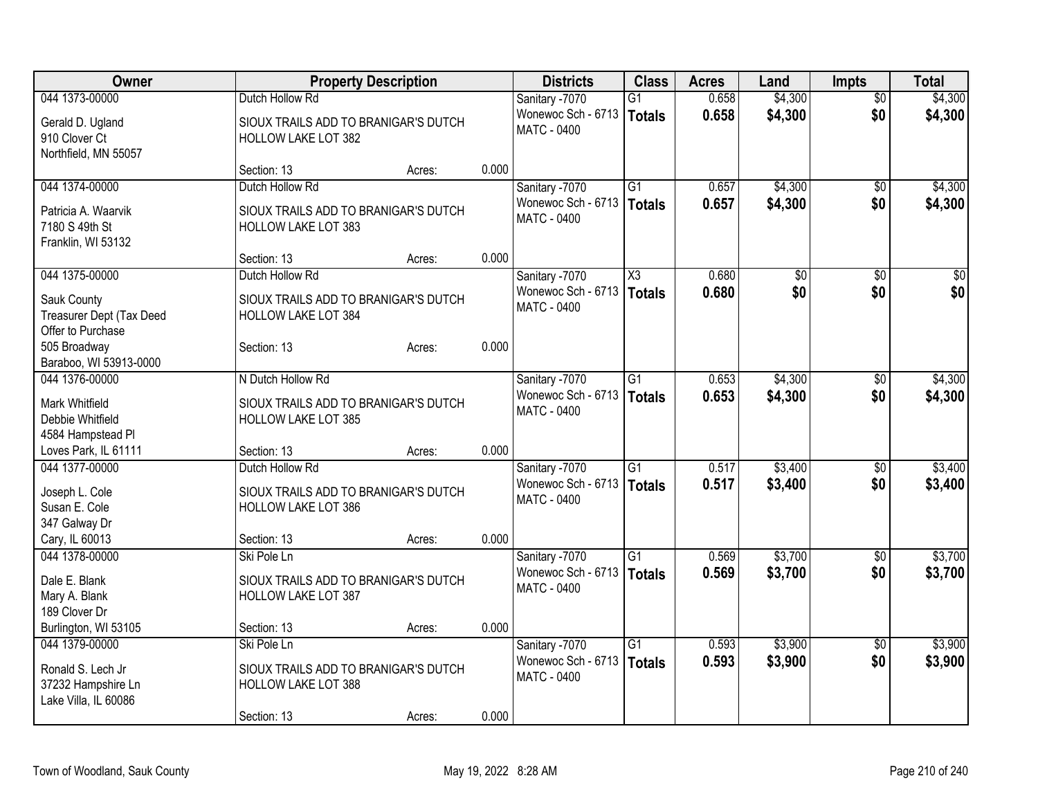| Owner<br><b>Class</b><br><b>Property Description</b><br><b>Districts</b><br><b>Acres</b><br><b>Impts</b><br>Land                       |                 | <b>Total</b> |
|----------------------------------------------------------------------------------------------------------------------------------------|-----------------|--------------|
| \$4,300<br>044 1373-00000<br>0.658<br>Dutch Hollow Rd<br>Sanitary -7070<br>$\overline{G1}$                                             | $\overline{50}$ | \$4,300      |
| Wonewoc Sch - 6713<br>0.658<br>\$4,300<br>Totals<br>SIOUX TRAILS ADD TO BRANIGAR'S DUTCH<br>Gerald D. Ugland                           | \$0             | \$4,300      |
| <b>MATC - 0400</b><br>910 Clover Ct<br><b>HOLLOW LAKE LOT 382</b>                                                                      |                 |              |
| Northfield, MN 55057                                                                                                                   |                 |              |
| 0.000<br>Section: 13<br>Acres:                                                                                                         |                 |              |
| Dutch Hollow Rd<br>044 1374-00000<br>G1<br>\$4,300<br>Sanitary -7070<br>0.657                                                          | $\sqrt{6}$      | \$4,300      |
| Wonewoc Sch - 6713<br>0.657<br>\$4,300<br><b>Totals</b>                                                                                | \$0             | \$4,300      |
| Patricia A. Waarvik<br>SIOUX TRAILS ADD TO BRANIGAR'S DUTCH<br><b>MATC - 0400</b>                                                      |                 |              |
| 7180 S 49th St<br>HOLLOW LAKE LOT 383                                                                                                  |                 |              |
| Franklin, WI 53132<br>0.000                                                                                                            |                 |              |
| Section: 13<br>Acres:<br>044 1375-00000<br>Dutch Hollow Rd<br>$\overline{\text{X3}}$<br>0.680                                          |                 |              |
| Sanitary -7070<br>\$0<br>Wonewoc Sch - 6713                                                                                            | \$0<br>\$0      | $\sqrt{50}$  |
| 0.680<br>\$0<br><b>Totals</b><br>Sauk County<br>SIOUX TRAILS ADD TO BRANIGAR'S DUTCH<br>MATC - 0400                                    |                 | \$0          |
| Treasurer Dept (Tax Deed<br>HOLLOW LAKE LOT 384                                                                                        |                 |              |
| Offer to Purchase                                                                                                                      |                 |              |
| 0.000<br>505 Broadway<br>Section: 13<br>Acres:                                                                                         |                 |              |
| Baraboo, WI 53913-0000                                                                                                                 |                 |              |
| 044 1376-00000<br>N Dutch Hollow Rd<br>\$4,300<br>Sanitary -7070<br>G1<br>0.653                                                        | \$0             | \$4,300      |
| Wonewoc Sch - 6713<br>0.653<br>\$4,300<br><b>Totals</b><br>Mark Whitfield<br>SIOUX TRAILS ADD TO BRANIGAR'S DUTCH                      | \$0             | \$4,300      |
| MATC - 0400<br>Debbie Whitfield<br><b>HOLLOW LAKE LOT 385</b>                                                                          |                 |              |
| 4584 Hampstead Pl                                                                                                                      |                 |              |
| 0.000<br>Loves Park, IL 61111<br>Section: 13<br>Acres:                                                                                 |                 |              |
| Dutch Hollow Rd<br>\$3,400<br>044 1377-00000<br>Sanitary -7070<br>$\overline{G1}$<br>0.517                                             | $\sqrt[6]{}$    | \$3,400      |
| Wonewoc Sch - 6713<br>0.517<br>\$3,400<br><b>Totals</b>                                                                                | \$0             | \$3,400      |
| Joseph L. Cole<br>SIOUX TRAILS ADD TO BRANIGAR'S DUTCH<br>MATC - 0400                                                                  |                 |              |
| Susan E. Cole<br><b>HOLLOW LAKE LOT 386</b>                                                                                            |                 |              |
| 347 Galway Dr<br>0.000                                                                                                                 |                 |              |
| Cary, IL 60013<br>Section: 13<br>Acres:                                                                                                |                 |              |
| \$3,700<br>044 1378-00000<br>Ski Pole Ln<br>$\overline{G1}$<br>0.569<br>Sanitary -7070                                                 | \$0             | \$3,700      |
| 0.569<br>Wonewoc Sch - 6713<br>\$3,700<br><b>Totals</b><br>Dale E. Blank<br>SIOUX TRAILS ADD TO BRANIGAR'S DUTCH<br><b>MATC - 0400</b> | \$0             | \$3,700      |
| Mary A. Blank<br><b>HOLLOW LAKE LOT 387</b>                                                                                            |                 |              |
| 189 Clover Dr                                                                                                                          |                 |              |
| 0.000<br>Burlington, WI 53105<br>Section: 13<br>Acres:                                                                                 |                 |              |
| $\overline{G1}$<br>\$3,900<br>044 1379-00000<br>Ski Pole Ln<br>Sanitary -7070<br>0.593                                                 | $\overline{50}$ | \$3,900      |
| Wonewoc Sch - 6713<br>0.593<br>\$3,900<br>Totals<br>Ronald S. Lech Jr<br>SIOUX TRAILS ADD TO BRANIGAR'S DUTCH                          | \$0             | \$3,900      |
| MATC - 0400<br>37232 Hampshire Ln<br><b>HOLLOW LAKE LOT 388</b>                                                                        |                 |              |
| Lake Villa, IL 60086                                                                                                                   |                 |              |
| 0.000<br>Section: 13<br>Acres:                                                                                                         |                 |              |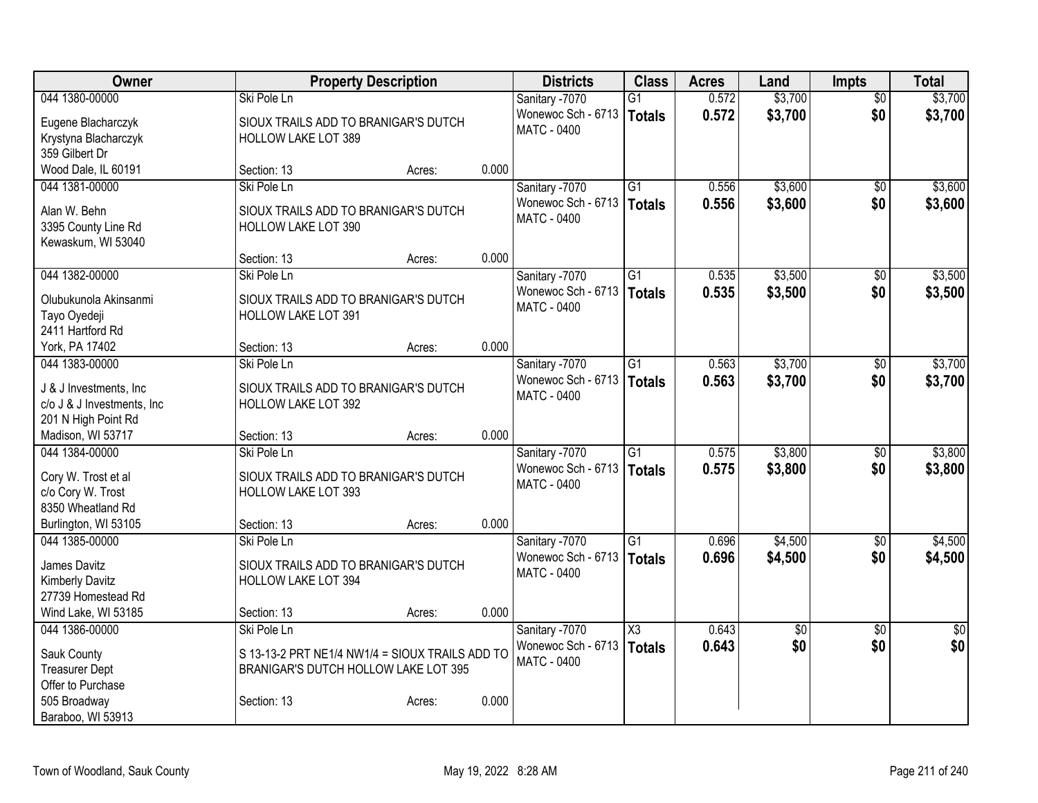| Owner                      | <b>Property Description</b>                     |        |       | <b>Districts</b>                         | <b>Class</b>    | <b>Acres</b> | Land            | <b>Impts</b>    | <b>Total</b> |
|----------------------------|-------------------------------------------------|--------|-------|------------------------------------------|-----------------|--------------|-----------------|-----------------|--------------|
| 044 1380-00000             | Ski Pole Ln                                     |        |       | Sanitary -7070                           | $\overline{G1}$ | 0.572        | \$3,700         | $\overline{50}$ | \$3,700      |
| Eugene Blacharczyk         | SIOUX TRAILS ADD TO BRANIGAR'S DUTCH            |        |       | Wonewoc Sch - 6713                       | Totals          | 0.572        | \$3,700         | \$0             | \$3,700      |
| Krystyna Blacharczyk       | <b>HOLLOW LAKE LOT 389</b>                      |        |       | <b>MATC - 0400</b>                       |                 |              |                 |                 |              |
| 359 Gilbert Dr             |                                                 |        |       |                                          |                 |              |                 |                 |              |
| Wood Dale, IL 60191        | Section: 13                                     | Acres: | 0.000 |                                          |                 |              |                 |                 |              |
| 044 1381-00000             | Ski Pole Ln                                     |        |       | Sanitary -7070                           | $\overline{G1}$ | 0.556        | \$3,600         | $\sqrt{6}$      | \$3,600      |
|                            |                                                 |        |       | Wonewoc Sch - 6713                       | <b>Totals</b>   | 0.556        | \$3,600         | \$0             | \$3,600      |
| Alan W. Behn               | SIOUX TRAILS ADD TO BRANIGAR'S DUTCH            |        |       | <b>MATC - 0400</b>                       |                 |              |                 |                 |              |
| 3395 County Line Rd        | HOLLOW LAKE LOT 390                             |        |       |                                          |                 |              |                 |                 |              |
| Kewaskum, WI 53040         |                                                 |        |       |                                          |                 |              |                 |                 |              |
|                            | Section: 13                                     | Acres: | 0.000 |                                          |                 |              |                 |                 |              |
| 044 1382-00000             | Ski Pole Ln                                     |        |       | Sanitary -7070                           | G1              | 0.535        | \$3,500         | $\overline{50}$ | \$3,500      |
| Olubukunola Akinsanmi      | SIOUX TRAILS ADD TO BRANIGAR'S DUTCH            |        |       | Wonewoc Sch - 6713<br><b>MATC - 0400</b> | <b>Totals</b>   | 0.535        | \$3,500         | \$0             | \$3,500      |
| Tayo Oyedeji               | <b>HOLLOW LAKE LOT 391</b>                      |        |       |                                          |                 |              |                 |                 |              |
| 2411 Hartford Rd           |                                                 |        |       |                                          |                 |              |                 |                 |              |
| York, PA 17402             | Section: 13                                     | Acres: | 0.000 |                                          |                 |              |                 |                 |              |
| 044 1383-00000             | Ski Pole Ln                                     |        |       | Sanitary -7070                           | $\overline{G1}$ | 0.563        | \$3,700         | \$0             | \$3,700      |
| J & J Investments, Inc     | SIOUX TRAILS ADD TO BRANIGAR'S DUTCH            |        |       | Wonewoc Sch - 6713                       | Totals          | 0.563        | \$3,700         | \$0             | \$3,700      |
| c/o J & J Investments, Inc | <b>HOLLOW LAKE LOT 392</b>                      |        |       | MATC - 0400                              |                 |              |                 |                 |              |
| 201 N High Point Rd        |                                                 |        |       |                                          |                 |              |                 |                 |              |
| Madison, WI 53717          | Section: 13                                     | Acres: | 0.000 |                                          |                 |              |                 |                 |              |
| 044 1384-00000             | Ski Pole Ln                                     |        |       | Sanitary -7070                           | $\overline{G1}$ | 0.575        | \$3,800         | $\overline{50}$ | \$3,800      |
|                            |                                                 |        |       | Wonewoc Sch - 6713                       | Totals          | 0.575        | \$3,800         | \$0             | \$3,800      |
| Cory W. Trost et al        | SIOUX TRAILS ADD TO BRANIGAR'S DUTCH            |        |       | <b>MATC - 0400</b>                       |                 |              |                 |                 |              |
| c/o Cory W. Trost          | <b>HOLLOW LAKE LOT 393</b>                      |        |       |                                          |                 |              |                 |                 |              |
| 8350 Wheatland Rd          |                                                 |        |       |                                          |                 |              |                 |                 |              |
| Burlington, WI 53105       | Section: 13                                     | Acres: | 0.000 |                                          |                 |              |                 |                 |              |
| 044 1385-00000             | Ski Pole Ln                                     |        |       | Sanitary -7070                           | $\overline{G1}$ | 0.696        | \$4,500         | $\overline{50}$ | \$4,500      |
| James Davitz               | SIOUX TRAILS ADD TO BRANIGAR'S DUTCH            |        |       | Wonewoc Sch - 6713                       | <b>Totals</b>   | 0.696        | \$4,500         | \$0             | \$4,500      |
| <b>Kimberly Davitz</b>     | <b>HOLLOW LAKE LOT 394</b>                      |        |       | <b>MATC - 0400</b>                       |                 |              |                 |                 |              |
| 27739 Homestead Rd         |                                                 |        |       |                                          |                 |              |                 |                 |              |
| Wind Lake, WI 53185        | Section: 13                                     | Acres: | 0.000 |                                          |                 |              |                 |                 |              |
| 044 1386-00000             | Ski Pole Ln                                     |        |       | Sanitary -7070                           | X3              | 0.643        | $\overline{60}$ | $\overline{50}$ | $\sqrt{50}$  |
| Sauk County                | S 13-13-2 PRT NE1/4 NW1/4 = SIOUX TRAILS ADD TO |        |       | Wonewoc Sch - 6713                       | <b>Totals</b>   | 0.643        | \$0             | \$0             | \$0          |
| <b>Treasurer Dept</b>      | BRANIGAR'S DUTCH HOLLOW LAKE LOT 395            |        |       | MATC - 0400                              |                 |              |                 |                 |              |
| Offer to Purchase          |                                                 |        |       |                                          |                 |              |                 |                 |              |
| 505 Broadway               | Section: 13                                     | Acres: | 0.000 |                                          |                 |              |                 |                 |              |
| Baraboo, WI 53913          |                                                 |        |       |                                          |                 |              |                 |                 |              |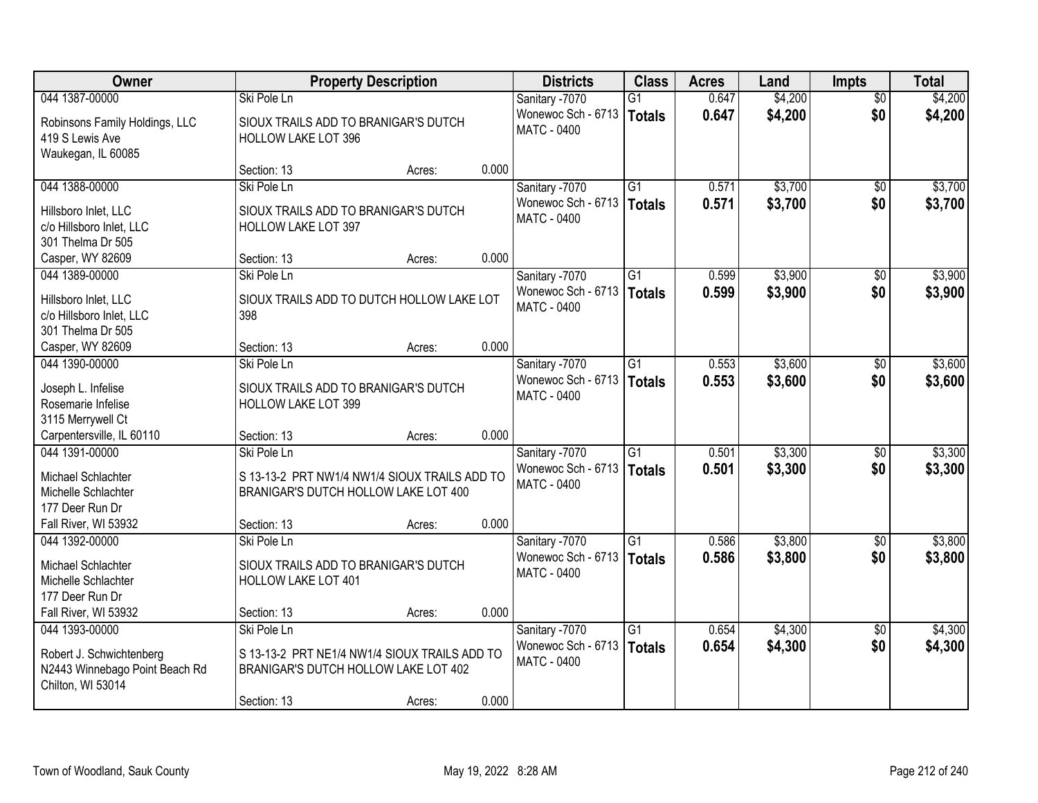| Owner                                    | <b>Property Description</b>                                 |        |       | <b>Districts</b>                     | <b>Class</b>    | <b>Acres</b>   | Land    | <b>Impts</b>           | <b>Total</b> |
|------------------------------------------|-------------------------------------------------------------|--------|-------|--------------------------------------|-----------------|----------------|---------|------------------------|--------------|
| 044 1387-00000                           | Ski Pole Ln                                                 |        |       | Sanitary -7070                       | $\overline{G1}$ | 0.647          | \$4,200 | $\overline{50}$        | \$4,200      |
| Robinsons Family Holdings, LLC           | SIOUX TRAILS ADD TO BRANIGAR'S DUTCH                        |        |       | Wonewoc Sch - 6713                   | <b>Totals</b>   | 0.647          | \$4,200 | \$0                    | \$4,200      |
| 419 S Lewis Ave                          | <b>HOLLOW LAKE LOT 396</b>                                  |        |       | <b>MATC - 0400</b>                   |                 |                |         |                        |              |
| Waukegan, IL 60085                       |                                                             |        |       |                                      |                 |                |         |                        |              |
|                                          | Section: 13                                                 | Acres: | 0.000 |                                      |                 |                |         |                        |              |
| 044 1388-00000                           | Ski Pole Ln                                                 |        |       | Sanitary -7070                       | $\overline{G1}$ | 0.571          | \$3,700 | \$0                    | \$3,700      |
| Hillsboro Inlet, LLC                     | SIOUX TRAILS ADD TO BRANIGAR'S DUTCH                        |        |       | Wonewoc Sch - 6713                   | Totals          | 0.571          | \$3,700 | \$0                    | \$3,700      |
| c/o Hillsboro Inlet, LLC                 | HOLLOW LAKE LOT 397                                         |        |       | MATC - 0400                          |                 |                |         |                        |              |
| 301 Thelma Dr 505                        |                                                             |        |       |                                      |                 |                |         |                        |              |
| Casper, WY 82609                         | Section: 13                                                 | Acres: | 0.000 |                                      |                 |                |         |                        |              |
| 044 1389-00000                           | Ski Pole Ln                                                 |        |       | Sanitary -7070                       | G1              | 0.599          | \$3,900 | \$0                    | \$3,900      |
| Hillsboro Inlet, LLC                     | SIOUX TRAILS ADD TO DUTCH HOLLOW LAKE LOT                   |        |       | Wonewoc Sch - 6713                   | <b>Totals</b>   | 0.599          | \$3,900 | \$0                    | \$3,900      |
| c/o Hillsboro Inlet, LLC                 | 398                                                         |        |       | <b>MATC - 0400</b>                   |                 |                |         |                        |              |
| 301 Thelma Dr 505                        |                                                             |        |       |                                      |                 |                |         |                        |              |
| Casper, WY 82609                         | Section: 13                                                 | Acres: | 0.000 |                                      |                 |                |         |                        |              |
| 044 1390-00000                           | Ski Pole Ln                                                 |        |       | Sanitary -7070                       | G1              | 0.553          | \$3,600 | $\sqrt[6]{3}$          | \$3,600      |
|                                          |                                                             |        |       | Wonewoc Sch - 6713                   | <b>Totals</b>   | 0.553          | \$3,600 | \$0                    | \$3,600      |
| Joseph L. Infelise<br>Rosemarie Infelise | SIOUX TRAILS ADD TO BRANIGAR'S DUTCH<br>HOLLOW LAKE LOT 399 |        |       | <b>MATC - 0400</b>                   |                 |                |         |                        |              |
| 3115 Merrywell Ct                        |                                                             |        |       |                                      |                 |                |         |                        |              |
| Carpentersville, IL 60110                | Section: 13                                                 | Acres: | 0.000 |                                      |                 |                |         |                        |              |
| 044 1391-00000                           | Ski Pole Ln                                                 |        |       | Sanitary -7070                       | $\overline{G1}$ | 0.501          | \$3,300 | \$0                    | \$3,300      |
|                                          |                                                             |        |       | Wonewoc Sch - 6713                   | Totals          | 0.501          | \$3,300 | \$0                    | \$3,300      |
| Michael Schlachter                       | S 13-13-2 PRT NW1/4 NW1/4 SIOUX TRAILS ADD TO               |        |       | <b>MATC - 0400</b>                   |                 |                |         |                        |              |
| Michelle Schlachter<br>177 Deer Run Dr   | BRANIGAR'S DUTCH HOLLOW LAKE LOT 400                        |        |       |                                      |                 |                |         |                        |              |
| Fall River, WI 53932                     | Section: 13                                                 | Acres: | 0.000 |                                      |                 |                |         |                        |              |
| 044 1392-00000                           | Ski Pole Ln                                                 |        |       | Sanitary -7070                       | $\overline{G1}$ | 0.586          | \$3,800 | $\overline{50}$        | \$3,800      |
|                                          |                                                             |        |       | Wonewoc Sch - 6713                   | Totals          | 0.586          | \$3,800 | \$0                    | \$3,800      |
| Michael Schlachter                       | SIOUX TRAILS ADD TO BRANIGAR'S DUTCH                        |        |       | MATC - 0400                          |                 |                |         |                        |              |
| Michelle Schlachter                      | <b>HOLLOW LAKE LOT 401</b>                                  |        |       |                                      |                 |                |         |                        |              |
| 177 Deer Run Dr                          |                                                             |        |       |                                      |                 |                |         |                        |              |
| Fall River, WI 53932                     | Section: 13                                                 | Acres: | 0.000 |                                      |                 |                |         |                        |              |
| 044 1393-00000                           | Ski Pole Ln                                                 |        |       | Sanitary -7070<br>Wonewoc Sch - 6713 | $\overline{G1}$ | 0.654<br>0.654 | \$4,300 | $\overline{50}$<br>\$0 | \$4,300      |
| Robert J. Schwichtenberg                 | S 13-13-2 PRT NE1/4 NW1/4 SIOUX TRAILS ADD TO               |        |       | <b>MATC - 0400</b>                   | Totals          |                | \$4,300 |                        | \$4,300      |
| N2443 Winnebago Point Beach Rd           | BRANIGAR'S DUTCH HOLLOW LAKE LOT 402                        |        |       |                                      |                 |                |         |                        |              |
| Chilton, WI 53014                        |                                                             |        |       |                                      |                 |                |         |                        |              |
|                                          | Section: 13                                                 | Acres: | 0.000 |                                      |                 |                |         |                        |              |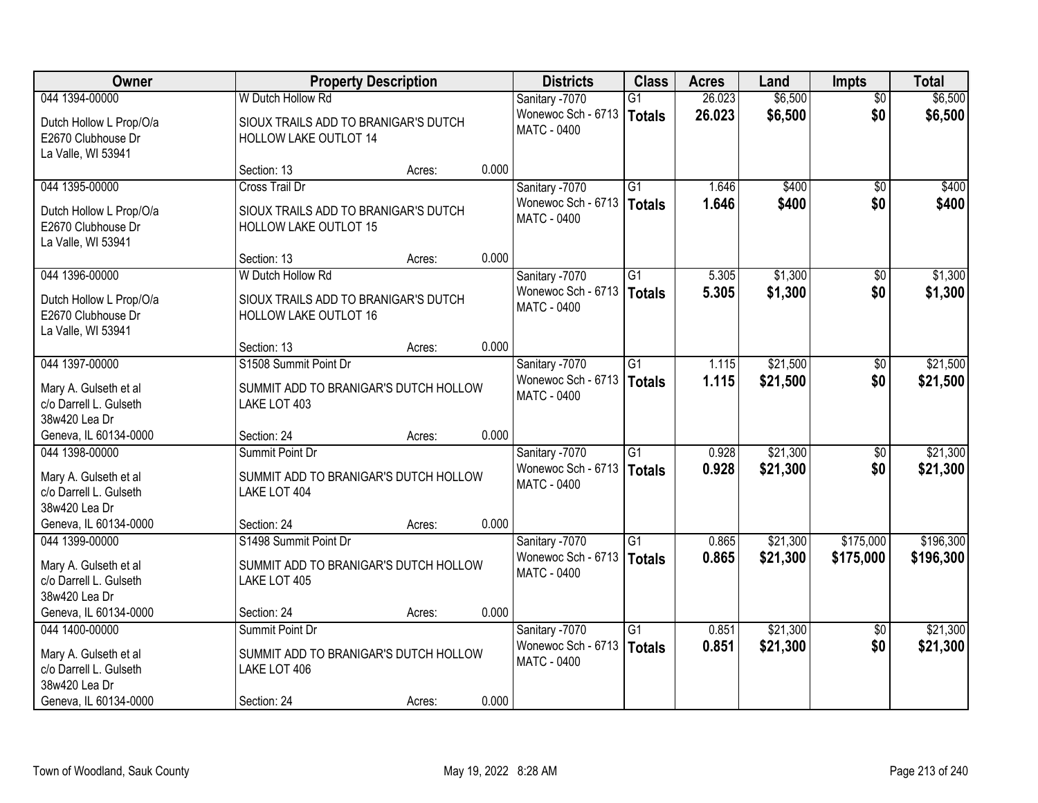| Owner                                                               |                                                                          | <b>Property Description</b> |       |                                                            | <b>Class</b>              | <b>Acres</b>   | Land                 | <b>Impts</b>           | <b>Total</b>         |
|---------------------------------------------------------------------|--------------------------------------------------------------------------|-----------------------------|-------|------------------------------------------------------------|---------------------------|----------------|----------------------|------------------------|----------------------|
| 044 1394-00000                                                      | W Dutch Hollow Rd                                                        |                             |       | Sanitary -7070                                             | G1                        | 26.023         | \$6,500              | $\overline{50}$        | \$6,500              |
| Dutch Hollow L Prop/O/a<br>E2670 Clubhouse Dr<br>La Valle, WI 53941 | SIOUX TRAILS ADD TO BRANIGAR'S DUTCH<br>HOLLOW LAKE OUTLOT 14            |                             |       | Wonewoc Sch - 6713<br><b>MATC - 0400</b>                   | Totals                    | 26.023         | \$6,500              | \$0                    | \$6,500              |
|                                                                     | Section: 13                                                              | Acres:                      | 0.000 |                                                            |                           |                |                      |                        |                      |
| 044 1395-00000                                                      | Cross Trail Dr                                                           |                             |       | Sanitary -7070                                             | $\overline{G1}$           | 1.646          | \$400                | \$0                    | \$400                |
| Dutch Hollow L Prop/O/a<br>E2670 Clubhouse Dr<br>La Valle, WI 53941 | SIOUX TRAILS ADD TO BRANIGAR'S DUTCH<br><b>HOLLOW LAKE OUTLOT 15</b>     |                             |       | Wonewoc Sch - 6713<br><b>MATC - 0400</b>                   | Totals                    | 1.646          | \$400                | \$0                    | \$400                |
|                                                                     | Section: 13                                                              | Acres:                      | 0.000 |                                                            |                           |                |                      |                        |                      |
| 044 1396-00000                                                      | W Dutch Hollow Rd                                                        |                             |       | Sanitary -7070                                             | $\overline{G1}$           | 5.305          | \$1,300              | \$0                    | \$1,300              |
| Dutch Hollow L Prop/O/a<br>E2670 Clubhouse Dr<br>La Valle, WI 53941 | SIOUX TRAILS ADD TO BRANIGAR'S DUTCH<br>HOLLOW LAKE OUTLOT 16            |                             |       | Wonewoc Sch - 6713<br>MATC - 0400                          | Totals                    | 5.305          | \$1,300              | \$0                    | \$1,300              |
|                                                                     | Section: 13                                                              | Acres:                      | 0.000 |                                                            |                           |                |                      |                        |                      |
| 044 1397-00000                                                      | S1508 Summit Point Dr                                                    |                             |       | Sanitary -7070                                             | $\overline{G1}$           | 1.115          | \$21,500             | $\frac{1}{20}$         | \$21,500             |
| Mary A. Gulseth et al<br>c/o Darrell L. Gulseth<br>38w420 Lea Dr    | SUMMIT ADD TO BRANIGAR'S DUTCH HOLLOW<br>LAKE LOT 403                    |                             |       | Wonewoc Sch - 6713<br><b>MATC - 0400</b>                   | Totals                    | 1.115          | \$21,500             | \$0                    | \$21,500             |
| Geneva, IL 60134-0000                                               | Section: 24                                                              | Acres:                      | 0.000 |                                                            |                           |                |                      |                        |                      |
| 044 1398-00000<br>Mary A. Gulseth et al<br>c/o Darrell L. Gulseth   | Summit Point Dr<br>SUMMIT ADD TO BRANIGAR'S DUTCH HOLLOW<br>LAKE LOT 404 |                             |       | Sanitary -7070<br>Wonewoc Sch - 6713<br><b>MATC - 0400</b> | $\overline{G1}$<br>Totals | 0.928<br>0.928 | \$21,300<br>\$21,300 | $\overline{50}$<br>\$0 | \$21,300<br>\$21,300 |
| 38w420 Lea Dr                                                       |                                                                          |                             |       |                                                            |                           |                |                      |                        |                      |
| Geneva, IL 60134-0000                                               | Section: 24                                                              | Acres:                      | 0.000 |                                                            |                           |                |                      |                        |                      |
| 044 1399-00000                                                      | S1498 Summit Point Dr                                                    |                             |       | Sanitary -7070                                             | $\overline{G1}$           | 0.865          | \$21,300             | \$175,000              | \$196,300            |
| Mary A. Gulseth et al<br>c/o Darrell L. Gulseth<br>38w420 Lea Dr    | SUMMIT ADD TO BRANIGAR'S DUTCH HOLLOW<br>LAKE LOT 405                    |                             |       | Wonewoc Sch - 6713<br>MATC - 0400                          | Totals                    | 0.865          | \$21,300             | \$175,000              | \$196,300            |
| Geneva, IL 60134-0000                                               | Section: 24                                                              | Acres:                      | 0.000 |                                                            |                           |                |                      |                        |                      |
| 044 1400-00000                                                      | Summit Point Dr                                                          |                             |       | Sanitary -7070                                             | $\overline{G1}$           | 0.851          | \$21,300             | $\overline{30}$        | \$21,300             |
| Mary A. Gulseth et al<br>c/o Darrell L. Gulseth<br>38w420 Lea Dr    | SUMMIT ADD TO BRANIGAR'S DUTCH HOLLOW<br>LAKE LOT 406                    |                             |       | Wonewoc Sch - 6713<br>MATC - 0400                          | Totals                    | 0.851          | \$21,300             | \$0                    | \$21,300             |
| Geneva, IL 60134-0000                                               | Section: 24                                                              | Acres:                      | 0.000 |                                                            |                           |                |                      |                        |                      |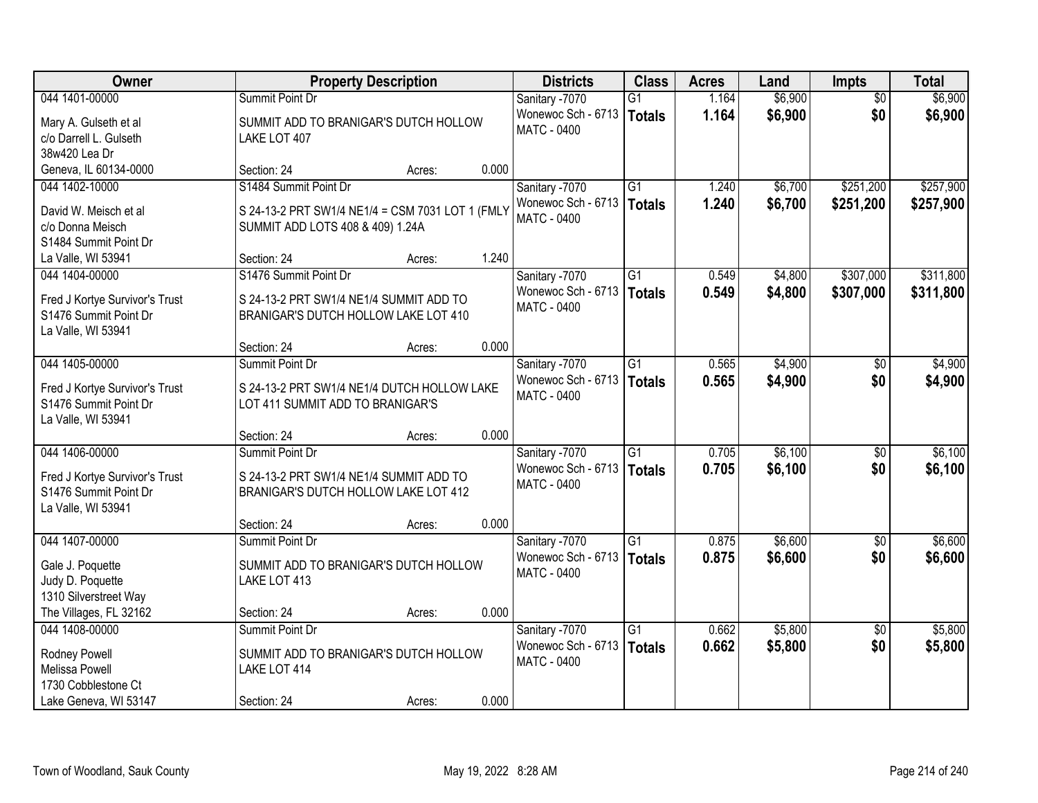| <b>Owner</b>                   | <b>Property Description</b>                      |        |       | <b>Districts</b>   | <b>Class</b>    | <b>Acres</b> | Land    | Impts           | <b>Total</b> |
|--------------------------------|--------------------------------------------------|--------|-------|--------------------|-----------------|--------------|---------|-----------------|--------------|
| 044 1401-00000                 | Summit Point Dr                                  |        |       | Sanitary -7070     | $\overline{G1}$ | 1.164        | \$6,900 | $\overline{50}$ | \$6,900      |
| Mary A. Gulseth et al          | SUMMIT ADD TO BRANIGAR'S DUTCH HOLLOW            |        |       | Wonewoc Sch - 6713 | <b>Totals</b>   | 1.164        | \$6,900 | \$0             | \$6,900      |
| c/o Darrell L. Gulseth         | LAKE LOT 407                                     |        |       | <b>MATC - 0400</b> |                 |              |         |                 |              |
| 38w420 Lea Dr                  |                                                  |        |       |                    |                 |              |         |                 |              |
| Geneva, IL 60134-0000          | Section: 24                                      | Acres: | 0.000 |                    |                 |              |         |                 |              |
| 044 1402-10000                 | S1484 Summit Point Dr                            |        |       | Sanitary -7070     | $\overline{G1}$ | 1.240        | \$6,700 | \$251,200       | \$257,900    |
| David W. Meisch et al          | S 24-13-2 PRT SW1/4 NE1/4 = CSM 7031 LOT 1 (FMLY |        |       | Wonewoc Sch - 6713 | <b>Totals</b>   | 1.240        | \$6,700 | \$251,200       | \$257,900    |
| c/o Donna Meisch               | SUMMIT ADD LOTS 408 & 409) 1.24A                 |        |       | <b>MATC - 0400</b> |                 |              |         |                 |              |
| S1484 Summit Point Dr          |                                                  |        |       |                    |                 |              |         |                 |              |
| La Valle, WI 53941             | Section: 24                                      | Acres: | 1.240 |                    |                 |              |         |                 |              |
| 044 1404-00000                 | S1476 Summit Point Dr                            |        |       | Sanitary -7070     | G1              | 0.549        | \$4,800 | \$307,000       | \$311,800    |
| Fred J Kortye Survivor's Trust | S 24-13-2 PRT SW1/4 NE1/4 SUMMIT ADD TO          |        |       | Wonewoc Sch - 6713 | <b>Totals</b>   | 0.549        | \$4,800 | \$307,000       | \$311,800    |
| S1476 Summit Point Dr          | BRANIGAR'S DUTCH HOLLOW LAKE LOT 410             |        |       | <b>MATC - 0400</b> |                 |              |         |                 |              |
| La Valle, WI 53941             |                                                  |        |       |                    |                 |              |         |                 |              |
|                                | Section: 24                                      | Acres: | 0.000 |                    |                 |              |         |                 |              |
| 044 1405-00000                 | Summit Point Dr                                  |        |       | Sanitary -7070     | G1              | 0.565        | \$4,900 | $\sqrt[6]{}$    | \$4,900      |
| Fred J Kortye Survivor's Trust | S 24-13-2 PRT SW1/4 NE1/4 DUTCH HOLLOW LAKE      |        |       | Wonewoc Sch - 6713 | <b>Totals</b>   | 0.565        | \$4,900 | \$0             | \$4,900      |
| S1476 Summit Point Dr          | LOT 411 SUMMIT ADD TO BRANIGAR'S                 |        |       | <b>MATC - 0400</b> |                 |              |         |                 |              |
| La Valle, WI 53941             |                                                  |        |       |                    |                 |              |         |                 |              |
|                                | Section: 24                                      | Acres: | 0.000 |                    |                 |              |         |                 |              |
| 044 1406-00000                 | Summit Point Dr                                  |        |       | Sanitary -7070     | $\overline{G1}$ | 0.705        | \$6,100 | $\overline{50}$ | \$6,100      |
| Fred J Kortye Survivor's Trust | S 24-13-2 PRT SW1/4 NE1/4 SUMMIT ADD TO          |        |       | Wonewoc Sch - 6713 | <b>Totals</b>   | 0.705        | \$6,100 | \$0             | \$6,100      |
| S1476 Summit Point Dr          | BRANIGAR'S DUTCH HOLLOW LAKE LOT 412             |        |       | <b>MATC - 0400</b> |                 |              |         |                 |              |
| La Valle, WI 53941             |                                                  |        |       |                    |                 |              |         |                 |              |
|                                | Section: 24                                      | Acres: | 0.000 |                    |                 |              |         |                 |              |
| 044 1407-00000                 | Summit Point Dr                                  |        |       | Sanitary -7070     | G1              | 0.875        | \$6,600 | $\sqrt{6}$      | \$6,600      |
| Gale J. Poquette               | SUMMIT ADD TO BRANIGAR'S DUTCH HOLLOW            |        |       | Wonewoc Sch - 6713 | <b>Totals</b>   | 0.875        | \$6,600 | \$0             | \$6,600      |
| Judy D. Poquette               | LAKE LOT 413                                     |        |       | <b>MATC - 0400</b> |                 |              |         |                 |              |
| 1310 Silverstreet Way          |                                                  |        |       |                    |                 |              |         |                 |              |
| The Villages, FL 32162         | Section: 24                                      | Acres: | 0.000 |                    |                 |              |         |                 |              |
| 044 1408-00000                 | Summit Point Dr                                  |        |       | Sanitary -7070     | $\overline{G1}$ | 0.662        | \$5,800 | $\overline{30}$ | \$5,800      |
| Rodney Powell                  | SUMMIT ADD TO BRANIGAR'S DUTCH HOLLOW            |        |       | Wonewoc Sch - 6713 | <b>Totals</b>   | 0.662        | \$5,800 | \$0             | \$5,800      |
| Melissa Powell                 | LAKE LOT 414                                     |        |       | <b>MATC - 0400</b> |                 |              |         |                 |              |
| 1730 Cobblestone Ct            |                                                  |        |       |                    |                 |              |         |                 |              |
| Lake Geneva, WI 53147          | Section: 24                                      | Acres: | 0.000 |                    |                 |              |         |                 |              |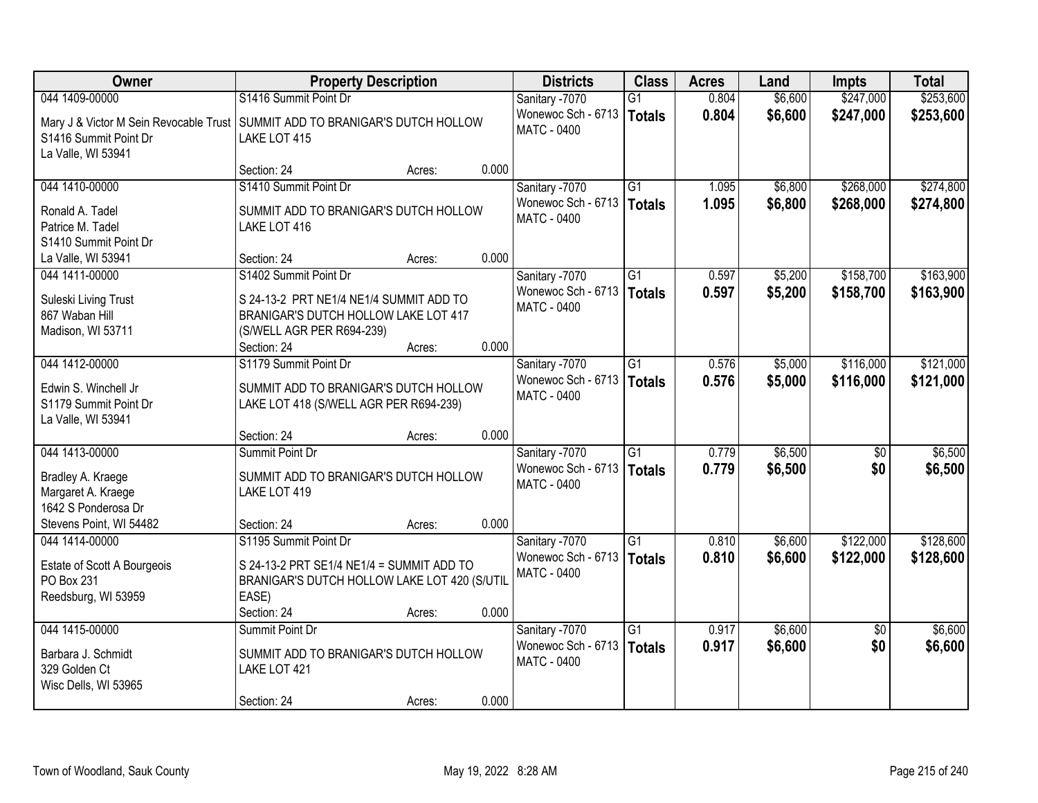| Owner                                                               | <b>Property Description</b>                                                                                                          | <b>Districts</b>                         | <b>Class</b>              | <b>Acres</b>   | Land               | <b>Impts</b>           | <b>Total</b>       |
|---------------------------------------------------------------------|--------------------------------------------------------------------------------------------------------------------------------------|------------------------------------------|---------------------------|----------------|--------------------|------------------------|--------------------|
| 044 1409-00000                                                      | S1416 Summit Point Dr                                                                                                                | Sanitary -7070                           | $\overline{G1}$           | 0.804          | \$6,600            | \$247,000              | \$253,600          |
| S1416 Summit Point Dr<br>La Valle, WI 53941                         | Mary J & Victor M Sein Revocable Trust   SUMMIT ADD TO BRANIGAR'S DUTCH HOLLOW<br>LAKE LOT 415                                       | Wonewoc Sch - 6713<br><b>MATC - 0400</b> | <b>Totals</b>             | 0.804          | \$6,600            | \$247,000              | \$253,600          |
|                                                                     | 0.000<br>Section: 24<br>Acres:                                                                                                       |                                          |                           |                |                    |                        |                    |
| 044 1410-00000                                                      | S1410 Summit Point Dr                                                                                                                | Sanitary -7070                           | $\overline{G1}$           | 1.095          | \$6,800            | \$268,000              | \$274,800          |
| Ronald A. Tadel<br>Patrice M. Tadel<br>S1410 Summit Point Dr        | SUMMIT ADD TO BRANIGAR'S DUTCH HOLLOW<br>LAKE LOT 416                                                                                | Wonewoc Sch - 6713<br>MATC - 0400        | <b>Totals</b>             | 1.095          | \$6,800            | \$268,000              | \$274,800          |
| La Valle, WI 53941                                                  | 0.000<br>Section: 24<br>Acres:                                                                                                       |                                          |                           |                |                    |                        |                    |
| 044 1411-00000                                                      | S1402 Summit Point Dr                                                                                                                | Sanitary -7070                           | $\overline{G1}$           | 0.597          | \$5,200            | \$158,700              | \$163,900          |
| Suleski Living Trust<br>867 Waban Hill<br>Madison, WI 53711         | S 24-13-2 PRT NE1/4 NE1/4 SUMMIT ADD TO<br>BRANIGAR'S DUTCH HOLLOW LAKE LOT 417<br>(S/WELL AGR PER R694-239)                         | Wonewoc Sch - 6713<br>MATC - 0400        | <b>Totals</b>             | 0.597          | \$5,200            | \$158,700              | \$163,900          |
|                                                                     | 0.000<br>Section: 24<br>Acres:                                                                                                       |                                          |                           |                |                    |                        |                    |
| 044 1412-00000                                                      | S1179 Summit Point Dr                                                                                                                | Sanitary -7070                           | G1                        | 0.576          | \$5,000            | \$116,000              | \$121,000          |
| Edwin S. Winchell Jr<br>S1179 Summit Point Dr<br>La Valle, WI 53941 | SUMMIT ADD TO BRANIGAR'S DUTCH HOLLOW<br>LAKE LOT 418 (S/WELL AGR PER R694-239)                                                      | Wonewoc Sch - 6713<br>MATC - 0400        | <b>Totals</b>             | 0.576          | \$5,000            | \$116,000              | \$121,000          |
|                                                                     | 0.000<br>Section: 24<br>Acres:                                                                                                       |                                          |                           |                |                    |                        |                    |
| 044 1413-00000                                                      | Summit Point Dr                                                                                                                      | Sanitary -7070<br>Wonewoc Sch - 6713     | $\overline{G1}$<br>Totals | 0.779<br>0.779 | \$6,500<br>\$6,500 | $\overline{50}$<br>\$0 | \$6,500<br>\$6,500 |
| Bradley A. Kraege<br>Margaret A. Kraege<br>1642 S Ponderosa Dr      | SUMMIT ADD TO BRANIGAR'S DUTCH HOLLOW<br>LAKE LOT 419                                                                                | <b>MATC - 0400</b>                       |                           |                |                    |                        |                    |
| Stevens Point, WI 54482                                             | 0.000<br>Section: 24<br>Acres:                                                                                                       |                                          |                           |                |                    |                        |                    |
| 044 1414-00000                                                      | S1195 Summit Point Dr                                                                                                                | Sanitary -7070                           | $\overline{G1}$           | 0.810          | \$6,600            | \$122,000              | \$128,600          |
| Estate of Scott A Bourgeois<br>PO Box 231<br>Reedsburg, WI 53959    | S 24-13-2 PRT SE1/4 NE1/4 = SUMMIT ADD TO<br>BRANIGAR'S DUTCH HOLLOW LAKE LOT 420 (S/UTIL<br>EASE)<br>0.000<br>Section: 24<br>Acres: | Wonewoc Sch - 6713<br>MATC - 0400        | <b>Totals</b>             | 0.810          | \$6,600            | \$122,000              | \$128,600          |
| 044 1415-00000                                                      | Summit Point Dr                                                                                                                      | Sanitary -7070                           | $\overline{G1}$           | 0.917          | \$6,600            | $\overline{50}$        | \$6,600            |
| Barbara J. Schmidt<br>329 Golden Ct<br>Wisc Dells, WI 53965         | SUMMIT ADD TO BRANIGAR'S DUTCH HOLLOW<br>LAKE LOT 421                                                                                | Wonewoc Sch - 6713<br>MATC - 0400        | <b>Totals</b>             | 0.917          | \$6,600            | \$0                    | \$6,600            |
|                                                                     | 0.000<br>Section: 24<br>Acres:                                                                                                       |                                          |                           |                |                    |                        |                    |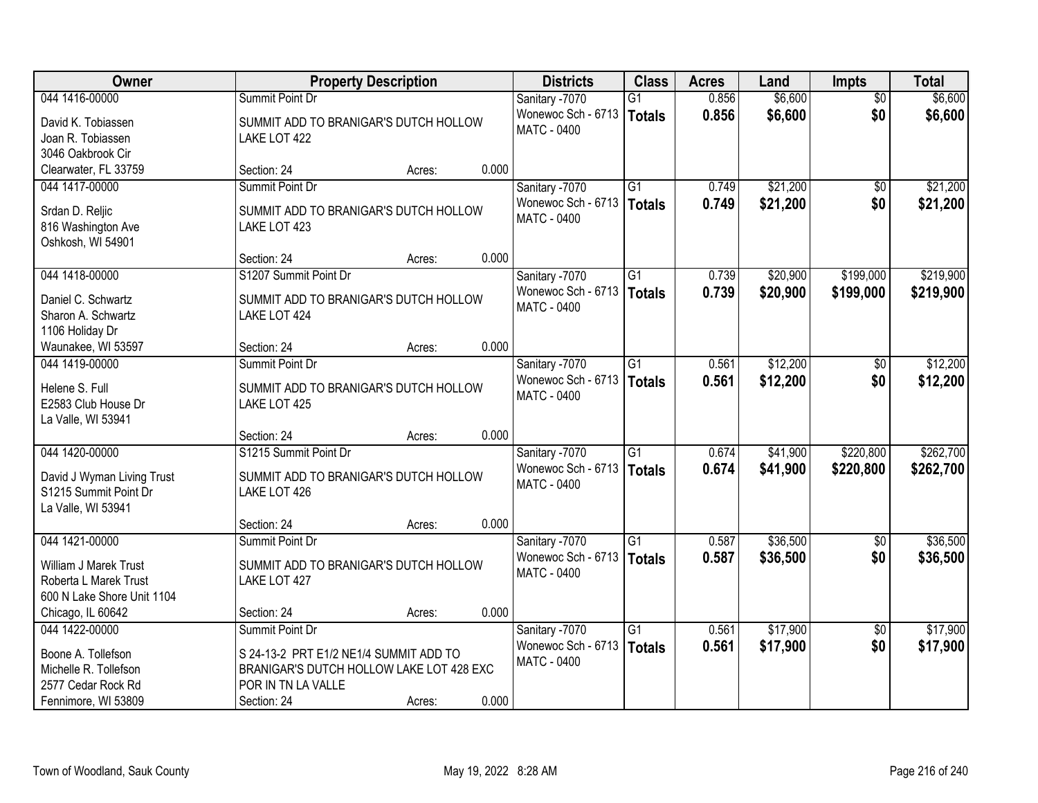| Owner                      |                                          | <b>Property Description</b> |       |                                   | <b>Class</b>    | <b>Acres</b> | Land     | <b>Impts</b>    | <b>Total</b> |
|----------------------------|------------------------------------------|-----------------------------|-------|-----------------------------------|-----------------|--------------|----------|-----------------|--------------|
| 044 1416-00000             | Summit Point Dr                          |                             |       | Sanitary -7070                    | $\overline{G1}$ | 0.856        | \$6,600  | $\overline{30}$ | \$6,600      |
| David K. Tobiassen         | SUMMIT ADD TO BRANIGAR'S DUTCH HOLLOW    |                             |       | Wonewoc Sch - 6713                | <b>Totals</b>   | 0.856        | \$6,600  | \$0             | \$6,600      |
| Joan R. Tobiassen          | LAKE LOT 422                             |                             |       | <b>MATC - 0400</b>                |                 |              |          |                 |              |
| 3046 Oakbrook Cir          |                                          |                             |       |                                   |                 |              |          |                 |              |
| Clearwater, FL 33759       | Section: 24                              | Acres:                      | 0.000 |                                   |                 |              |          |                 |              |
| 044 1417-00000             | Summit Point Dr                          |                             |       | Sanitary -7070                    | $\overline{G1}$ | 0.749        | \$21,200 | $\overline{50}$ | \$21,200     |
| Srdan D. Reljic            | SUMMIT ADD TO BRANIGAR'S DUTCH HOLLOW    |                             |       | Wonewoc Sch - 6713   Totals       |                 | 0.749        | \$21,200 | \$0             | \$21,200     |
| 816 Washington Ave         | LAKE LOT 423                             |                             |       | <b>MATC - 0400</b>                |                 |              |          |                 |              |
| Oshkosh, WI 54901          |                                          |                             |       |                                   |                 |              |          |                 |              |
|                            | Section: 24                              | Acres:                      | 0.000 |                                   |                 |              |          |                 |              |
| 044 1418-00000             | S1207 Summit Point Dr                    |                             |       | Sanitary -7070                    | $\overline{G1}$ | 0.739        | \$20,900 | \$199,000       | \$219,900    |
| Daniel C. Schwartz         | SUMMIT ADD TO BRANIGAR'S DUTCH HOLLOW    |                             |       | Wonewoc Sch - 6713                | <b>Totals</b>   | 0.739        | \$20,900 | \$199,000       | \$219,900    |
| Sharon A. Schwartz         | LAKE LOT 424                             |                             |       | <b>MATC - 0400</b>                |                 |              |          |                 |              |
| 1106 Holiday Dr            |                                          |                             |       |                                   |                 |              |          |                 |              |
| Waunakee, WI 53597         | Section: 24                              | Acres:                      | 0.000 |                                   |                 |              |          |                 |              |
| 044 1419-00000             | Summit Point Dr                          |                             |       | Sanitary -7070                    | G1              | 0.561        | \$12,200 | $\sqrt[6]{}$    | \$12,200     |
|                            |                                          |                             |       | Wonewoc Sch - 6713                | <b>Totals</b>   | 0.561        | \$12,200 | \$0             | \$12,200     |
| Helene S. Full             | SUMMIT ADD TO BRANIGAR'S DUTCH HOLLOW    |                             |       | <b>MATC - 0400</b>                |                 |              |          |                 |              |
| E2583 Club House Dr        | LAKE LOT 425                             |                             |       |                                   |                 |              |          |                 |              |
| La Valle, WI 53941         | Section: 24                              | Acres:                      | 0.000 |                                   |                 |              |          |                 |              |
| 044 1420-00000             | S1215 Summit Point Dr                    |                             |       | Sanitary -7070                    | $\overline{G1}$ | 0.674        | \$41,900 | \$220,800       | \$262,700    |
|                            |                                          |                             |       | Wonewoc Sch - 6713                | <b>Totals</b>   | 0.674        | \$41,900 | \$220,800       | \$262,700    |
| David J Wyman Living Trust | SUMMIT ADD TO BRANIGAR'S DUTCH HOLLOW    |                             |       | MATC - 0400                       |                 |              |          |                 |              |
| S1215 Summit Point Dr      | LAKE LOT 426                             |                             |       |                                   |                 |              |          |                 |              |
| La Valle, WI 53941         |                                          |                             |       |                                   |                 |              |          |                 |              |
|                            | Section: 24                              | Acres:                      | 0.000 |                                   |                 |              |          |                 |              |
| 044 1421-00000             | Summit Point Dr                          |                             |       | Sanitary -7070                    | $\overline{G1}$ | 0.587        | \$36,500 | $\sqrt{$0}$     | \$36,500     |
| William J Marek Trust      | SUMMIT ADD TO BRANIGAR'S DUTCH HOLLOW    |                             |       | Wonewoc Sch - 6713<br>MATC - 0400 | <b>Totals</b>   | 0.587        | \$36,500 | \$0             | \$36,500     |
| Roberta L Marek Trust      | LAKE LOT 427                             |                             |       |                                   |                 |              |          |                 |              |
| 600 N Lake Shore Unit 1104 |                                          |                             |       |                                   |                 |              |          |                 |              |
| Chicago, IL 60642          | Section: 24                              | Acres:                      | 0.000 |                                   |                 |              |          |                 |              |
| 044 1422-00000             | Summit Point Dr                          |                             |       | Sanitary -7070                    | $\overline{G1}$ | 0.561        | \$17,900 | $\overline{50}$ | \$17,900     |
| Boone A. Tollefson         | S 24-13-2 PRT E1/2 NE1/4 SUMMIT ADD TO   |                             |       | Wonewoc Sch - 6713                | <b>Totals</b>   | 0.561        | \$17,900 | \$0             | \$17,900     |
| Michelle R. Tollefson      | BRANIGAR'S DUTCH HOLLOW LAKE LOT 428 EXC |                             |       | <b>MATC - 0400</b>                |                 |              |          |                 |              |
| 2577 Cedar Rock Rd         | POR IN TN LA VALLE                       |                             |       |                                   |                 |              |          |                 |              |
| Fennimore, WI 53809        | Section: 24                              | Acres:                      | 0.000 |                                   |                 |              |          |                 |              |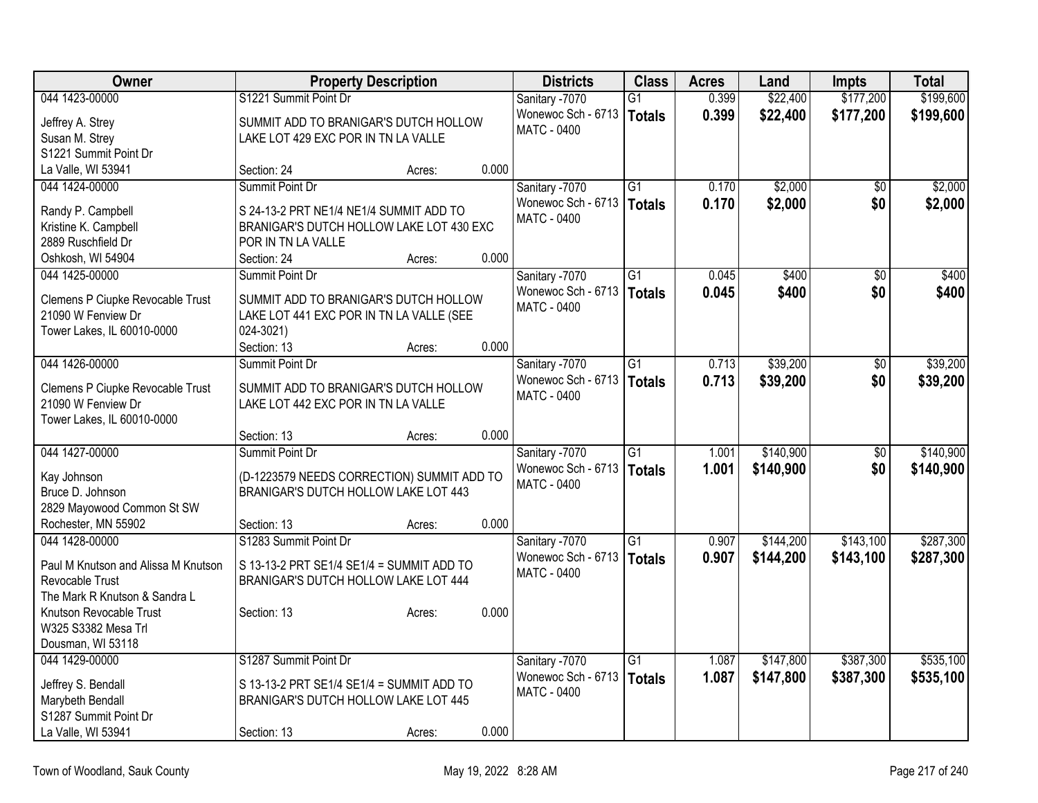| Owner                                                  | <b>Property Description</b>                |        |       | <b>Districts</b>   | <b>Class</b>    | <b>Acres</b> | Land      | <b>Impts</b>    | <b>Total</b> |
|--------------------------------------------------------|--------------------------------------------|--------|-------|--------------------|-----------------|--------------|-----------|-----------------|--------------|
| 044 1423-00000                                         | S1221 Summit Point Dr                      |        |       | Sanitary -7070     | $\overline{G1}$ | 0.399        | \$22,400  | \$177,200       | \$199,600    |
| Jeffrey A. Strey                                       | SUMMIT ADD TO BRANIGAR'S DUTCH HOLLOW      |        |       | Wonewoc Sch - 6713 | <b>Totals</b>   | 0.399        | \$22,400  | \$177,200       | \$199,600    |
| Susan M. Strey                                         | LAKE LOT 429 EXC POR IN TN LA VALLE        |        |       | <b>MATC - 0400</b> |                 |              |           |                 |              |
| S1221 Summit Point Dr                                  |                                            |        |       |                    |                 |              |           |                 |              |
| La Valle, WI 53941                                     | Section: 24                                | Acres: | 0.000 |                    |                 |              |           |                 |              |
| 044 1424-00000                                         | Summit Point Dr                            |        |       | Sanitary -7070     | G1              | 0.170        | \$2,000   | \$0             | \$2,000      |
| Randy P. Campbell                                      | S 24-13-2 PRT NE1/4 NE1/4 SUMMIT ADD TO    |        |       | Wonewoc Sch - 6713 | <b>Totals</b>   | 0.170        | \$2,000   | \$0             | \$2,000      |
| Kristine K. Campbell                                   | BRANIGAR'S DUTCH HOLLOW LAKE LOT 430 EXC   |        |       | MATC - 0400        |                 |              |           |                 |              |
| 2889 Ruschfield Dr                                     | POR IN TN LA VALLE                         |        |       |                    |                 |              |           |                 |              |
| Oshkosh, WI 54904                                      | Section: 24                                | Acres: | 0.000 |                    |                 |              |           |                 |              |
| 044 1425-00000                                         | Summit Point Dr                            |        |       | Sanitary -7070     | $\overline{G1}$ | 0.045        | \$400     | $\overline{50}$ | \$400        |
|                                                        |                                            |        |       | Wonewoc Sch - 6713 | <b>Totals</b>   | 0.045        | \$400     | \$0             | \$400        |
| Clemens P Ciupke Revocable Trust                       | SUMMIT ADD TO BRANIGAR'S DUTCH HOLLOW      |        |       | <b>MATC - 0400</b> |                 |              |           |                 |              |
| 21090 W Fenview Dr                                     | LAKE LOT 441 EXC POR IN TN LA VALLE (SEE   |        |       |                    |                 |              |           |                 |              |
| Tower Lakes, IL 60010-0000                             | 024-3021)<br>Section: 13                   |        | 0.000 |                    |                 |              |           |                 |              |
| 044 1426-00000                                         | Summit Point Dr                            | Acres: |       | Sanitary -7070     | $\overline{G1}$ | 0.713        | \$39,200  | $\overline{50}$ | \$39,200     |
|                                                        |                                            |        |       | Wonewoc Sch - 6713 |                 | 0.713        |           |                 |              |
| Clemens P Ciupke Revocable Trust                       | SUMMIT ADD TO BRANIGAR'S DUTCH HOLLOW      |        |       | MATC - 0400        | <b>Totals</b>   |              | \$39,200  | \$0             | \$39,200     |
| 21090 W Fenview Dr                                     | LAKE LOT 442 EXC POR IN TN LA VALLE        |        |       |                    |                 |              |           |                 |              |
| Tower Lakes, IL 60010-0000                             |                                            |        |       |                    |                 |              |           |                 |              |
|                                                        | Section: 13                                | Acres: | 0.000 |                    |                 |              |           |                 |              |
| 044 1427-00000                                         | Summit Point Dr                            |        |       | Sanitary -7070     | $\overline{G1}$ | 1.001        | \$140,900 | $\overline{50}$ | \$140,900    |
| Kay Johnson                                            | (D-1223579 NEEDS CORRECTION) SUMMIT ADD TO |        |       | Wonewoc Sch - 6713 | <b>Totals</b>   | 1.001        | \$140,900 | \$0             | \$140,900    |
| Bruce D. Johnson                                       | BRANIGAR'S DUTCH HOLLOW LAKE LOT 443       |        |       | <b>MATC - 0400</b> |                 |              |           |                 |              |
| 2829 Mayowood Common St SW                             |                                            |        |       |                    |                 |              |           |                 |              |
| Rochester, MN 55902                                    | Section: 13                                | Acres: | 0.000 |                    |                 |              |           |                 |              |
| 044 1428-00000                                         | S1283 Summit Point Dr                      |        |       | Sanitary -7070     | $\overline{G1}$ | 0.907        | \$144,200 | \$143,100       | \$287,300    |
|                                                        |                                            |        |       | Wonewoc Sch - 6713 | <b>Totals</b>   | 0.907        | \$144,200 | \$143,100       | \$287,300    |
| Paul M Knutson and Alissa M Knutson<br>Revocable Trust | S 13-13-2 PRT SE1/4 SE1/4 = SUMMIT ADD TO  |        |       | <b>MATC - 0400</b> |                 |              |           |                 |              |
| The Mark R Knutson & Sandra L                          | BRANIGAR'S DUTCH HOLLOW LAKE LOT 444       |        |       |                    |                 |              |           |                 |              |
| Knutson Revocable Trust                                | Section: 13                                | Acres: | 0.000 |                    |                 |              |           |                 |              |
| W325 S3382 Mesa Trl                                    |                                            |        |       |                    |                 |              |           |                 |              |
| Dousman, WI 53118                                      |                                            |        |       |                    |                 |              |           |                 |              |
| 044 1429-00000                                         | S1287 Summit Point Dr                      |        |       | Sanitary -7070     | $\overline{G1}$ | 1.087        | \$147,800 | \$387,300       | \$535,100    |
|                                                        |                                            |        |       | Wonewoc Sch - 6713 | <b>Totals</b>   | 1.087        | \$147,800 | \$387,300       | \$535,100    |
| Jeffrey S. Bendall                                     | S 13-13-2 PRT SE1/4 SE1/4 = SUMMIT ADD TO  |        |       | <b>MATC - 0400</b> |                 |              |           |                 |              |
| Marybeth Bendall                                       | BRANIGAR'S DUTCH HOLLOW LAKE LOT 445       |        |       |                    |                 |              |           |                 |              |
| S1287 Summit Point Dr                                  |                                            |        |       |                    |                 |              |           |                 |              |
| La Valle, WI 53941                                     | Section: 13                                | Acres: | 0.000 |                    |                 |              |           |                 |              |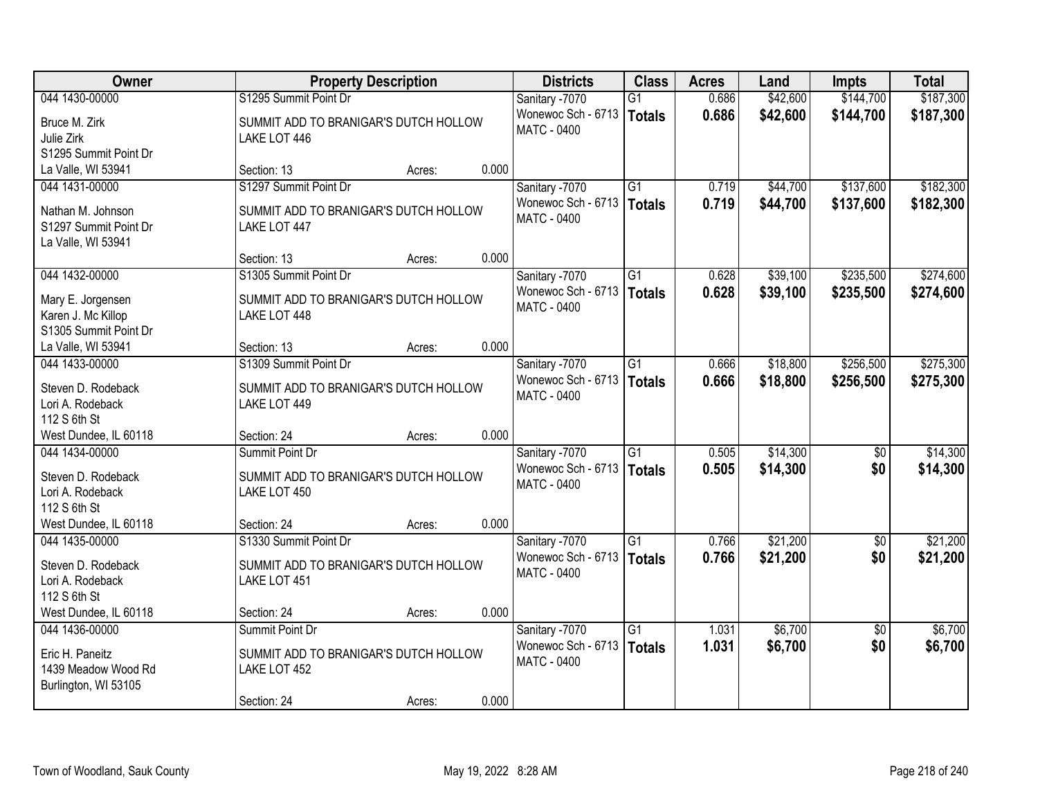| Owner                       | <b>Property Description</b>                           |       | <b>Districts</b>                         | <b>Class</b>    | <b>Acres</b> | Land     | <b>Impts</b>    | <b>Total</b> |
|-----------------------------|-------------------------------------------------------|-------|------------------------------------------|-----------------|--------------|----------|-----------------|--------------|
| 044 1430-00000              | S1295 Summit Point Dr                                 |       | Sanitary -7070                           | $\overline{G1}$ | 0.686        | \$42,600 | \$144,700       | \$187,300    |
| Bruce M. Zirk<br>Julie Zirk | SUMMIT ADD TO BRANIGAR'S DUTCH HOLLOW<br>LAKE LOT 446 |       | Wonewoc Sch - 6713<br><b>MATC - 0400</b> | <b>Totals</b>   | 0.686        | \$42,600 | \$144,700       | \$187,300    |
| S1295 Summit Point Dr       |                                                       |       |                                          |                 |              |          |                 |              |
| La Valle, WI 53941          | Section: 13<br>Acres:                                 | 0.000 |                                          |                 |              |          |                 |              |
| 044 1431-00000              | S1297 Summit Point Dr                                 |       | Sanitary -7070                           | $\overline{G1}$ | 0.719        | \$44,700 | \$137,600       | \$182,300    |
|                             |                                                       |       | Wonewoc Sch - 6713                       | Totals          | 0.719        | \$44,700 | \$137,600       | \$182,300    |
| Nathan M. Johnson           | SUMMIT ADD TO BRANIGAR'S DUTCH HOLLOW                 |       | <b>MATC - 0400</b>                       |                 |              |          |                 |              |
| S1297 Summit Point Dr       | LAKE LOT 447                                          |       |                                          |                 |              |          |                 |              |
| La Valle, WI 53941          | Section: 13<br>Acres:                                 | 0.000 |                                          |                 |              |          |                 |              |
| 044 1432-00000              | S1305 Summit Point Dr                                 |       | Sanitary -7070                           | $\overline{G1}$ | 0.628        | \$39,100 | \$235,500       | \$274,600    |
|                             |                                                       |       | Wonewoc Sch - 6713                       | <b>Totals</b>   | 0.628        | \$39,100 | \$235,500       | \$274,600    |
| Mary E. Jorgensen           | SUMMIT ADD TO BRANIGAR'S DUTCH HOLLOW                 |       | MATC - 0400                              |                 |              |          |                 |              |
| Karen J. Mc Killop          | LAKE LOT 448                                          |       |                                          |                 |              |          |                 |              |
| S1305 Summit Point Dr       |                                                       |       |                                          |                 |              |          |                 |              |
| La Valle, WI 53941          | Section: 13<br>Acres:                                 | 0.000 |                                          |                 |              |          |                 |              |
| 044 1433-00000              | S1309 Summit Point Dr                                 |       | Sanitary -7070                           | G1              | 0.666        | \$18,800 | \$256,500       | \$275,300    |
| Steven D. Rodeback          | SUMMIT ADD TO BRANIGAR'S DUTCH HOLLOW                 |       | Wonewoc Sch - 6713                       | Totals          | 0.666        | \$18,800 | \$256,500       | \$275,300    |
| Lori A. Rodeback            | LAKE LOT 449                                          |       | MATC - 0400                              |                 |              |          |                 |              |
| 112 S 6th St                |                                                       |       |                                          |                 |              |          |                 |              |
| West Dundee, IL 60118       | Section: 24<br>Acres:                                 | 0.000 |                                          |                 |              |          |                 |              |
| 044 1434-00000              | Summit Point Dr                                       |       | Sanitary -7070                           | $\overline{G1}$ | 0.505        | \$14,300 | $\overline{30}$ | \$14,300     |
| Steven D. Rodeback          | SUMMIT ADD TO BRANIGAR'S DUTCH HOLLOW                 |       | Wonewoc Sch - 6713                       | Totals          | 0.505        | \$14,300 | \$0             | \$14,300     |
| Lori A. Rodeback            | LAKE LOT 450                                          |       | <b>MATC - 0400</b>                       |                 |              |          |                 |              |
| 112 S 6th St                |                                                       |       |                                          |                 |              |          |                 |              |
| West Dundee, IL 60118       | Section: 24<br>Acres:                                 | 0.000 |                                          |                 |              |          |                 |              |
| 044 1435-00000              | S1330 Summit Point Dr                                 |       | Sanitary -7070                           | G1              | 0.766        | \$21,200 | $\sqrt{6}$      | \$21,200     |
|                             |                                                       |       | Wonewoc Sch - 6713                       | Totals          | 0.766        | \$21,200 | \$0             | \$21,200     |
| Steven D. Rodeback          | SUMMIT ADD TO BRANIGAR'S DUTCH HOLLOW                 |       | <b>MATC - 0400</b>                       |                 |              |          |                 |              |
| Lori A. Rodeback            | LAKE LOT 451                                          |       |                                          |                 |              |          |                 |              |
| 112 S 6th St                |                                                       |       |                                          |                 |              |          |                 |              |
| West Dundee, IL 60118       | Section: 24<br>Acres:                                 | 0.000 |                                          |                 |              |          |                 |              |
| 044 1436-00000              | Summit Point Dr                                       |       | Sanitary -7070                           | $\overline{G1}$ | 1.031        | \$6,700  | $\overline{50}$ | \$6,700      |
| Eric H. Paneitz             | SUMMIT ADD TO BRANIGAR'S DUTCH HOLLOW                 |       | Wonewoc Sch - 6713                       | Totals          | 1.031        | \$6,700  | \$0             | \$6,700      |
| 1439 Meadow Wood Rd         | LAKE LOT 452                                          |       | MATC - 0400                              |                 |              |          |                 |              |
| Burlington, WI 53105        |                                                       |       |                                          |                 |              |          |                 |              |
|                             | Section: 24<br>Acres:                                 | 0.000 |                                          |                 |              |          |                 |              |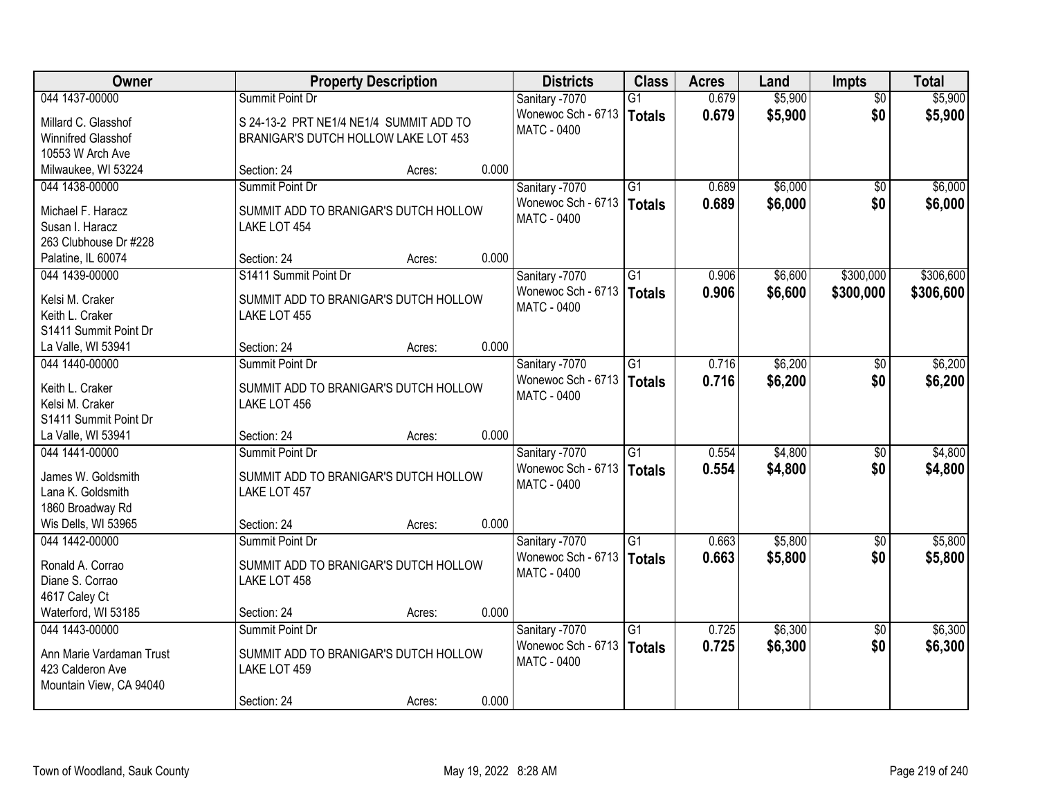| Owner                                    |                                         | <b>Property Description</b> |       | <b>Districts</b>   | <b>Class</b>    | <b>Acres</b> | Land    | <b>Impts</b>    | <b>Total</b> |
|------------------------------------------|-----------------------------------------|-----------------------------|-------|--------------------|-----------------|--------------|---------|-----------------|--------------|
| 044 1437-00000                           | Summit Point Dr                         |                             |       | Sanitary -7070     | $\overline{G1}$ | 0.679        | \$5,900 | $\overline{50}$ | \$5,900      |
| Millard C. Glasshof                      | S 24-13-2 PRT NE1/4 NE1/4 SUMMIT ADD TO |                             |       | Wonewoc Sch - 6713 | Totals          | 0.679        | \$5,900 | \$0             | \$5,900      |
| Winnifred Glasshof                       | BRANIGAR'S DUTCH HOLLOW LAKE LOT 453    |                             |       | MATC - 0400        |                 |              |         |                 |              |
| 10553 W Arch Ave                         |                                         |                             |       |                    |                 |              |         |                 |              |
| Milwaukee, WI 53224                      | Section: 24                             | Acres:                      | 0.000 |                    |                 |              |         |                 |              |
| 044 1438-00000                           | Summit Point Dr                         |                             |       | Sanitary -7070     | $\overline{G1}$ | 0.689        | \$6,000 | \$0             | \$6,000      |
| Michael F. Haracz                        | SUMMIT ADD TO BRANIGAR'S DUTCH HOLLOW   |                             |       | Wonewoc Sch - 6713 | Totals          | 0.689        | \$6,000 | \$0             | \$6,000      |
| Susan I. Haracz                          | LAKE LOT 454                            |                             |       | <b>MATC - 0400</b> |                 |              |         |                 |              |
| 263 Clubhouse Dr #228                    |                                         |                             |       |                    |                 |              |         |                 |              |
| Palatine, IL 60074                       | Section: 24                             | Acres:                      | 0.000 |                    |                 |              |         |                 |              |
| 044 1439-00000                           | S1411 Summit Point Dr                   |                             |       | Sanitary -7070     | G1              | 0.906        | \$6,600 | \$300,000       | \$306,600    |
|                                          |                                         |                             |       | Wonewoc Sch - 6713 | <b>Totals</b>   | 0.906        | \$6,600 | \$300,000       | \$306,600    |
| Kelsi M. Craker                          | SUMMIT ADD TO BRANIGAR'S DUTCH HOLLOW   |                             |       | <b>MATC - 0400</b> |                 |              |         |                 |              |
| Keith L. Craker<br>S1411 Summit Point Dr | LAKE LOT 455                            |                             |       |                    |                 |              |         |                 |              |
| La Valle, WI 53941                       | Section: 24                             | Acres:                      | 0.000 |                    |                 |              |         |                 |              |
| 044 1440-00000                           | Summit Point Dr                         |                             |       | Sanitary -7070     | G1              | 0.716        | \$6,200 | $\sqrt[6]{3}$   | \$6,200      |
|                                          |                                         |                             |       | Wonewoc Sch - 6713 | Totals          | 0.716        | \$6,200 | \$0             | \$6,200      |
| Keith L. Craker                          | SUMMIT ADD TO BRANIGAR'S DUTCH HOLLOW   |                             |       | MATC - 0400        |                 |              |         |                 |              |
| Kelsi M. Craker                          | LAKE LOT 456                            |                             |       |                    |                 |              |         |                 |              |
| S1411 Summit Point Dr                    |                                         |                             |       |                    |                 |              |         |                 |              |
| La Valle, WI 53941                       | Section: 24                             | Acres:                      | 0.000 |                    |                 |              |         |                 |              |
| 044 1441-00000                           | Summit Point Dr                         |                             |       | Sanitary -7070     | $\overline{G1}$ | 0.554        | \$4,800 | \$0             | \$4,800      |
| James W. Goldsmith                       | SUMMIT ADD TO BRANIGAR'S DUTCH HOLLOW   |                             |       | Wonewoc Sch - 6713 | Totals          | 0.554        | \$4,800 | \$0             | \$4,800      |
| Lana K. Goldsmith                        | LAKE LOT 457                            |                             |       | MATC - 0400        |                 |              |         |                 |              |
| 1860 Broadway Rd                         |                                         |                             |       |                    |                 |              |         |                 |              |
| Wis Dells, WI 53965                      | Section: 24                             | Acres:                      | 0.000 |                    |                 |              |         |                 |              |
| 044 1442-00000                           | Summit Point Dr                         |                             |       | Sanitary -7070     | $\overline{G1}$ | 0.663        | \$5,800 | $\overline{30}$ | \$5,800      |
| Ronald A. Corrao                         | SUMMIT ADD TO BRANIGAR'S DUTCH HOLLOW   |                             |       | Wonewoc Sch - 6713 | <b>Totals</b>   | 0.663        | \$5,800 | \$0             | \$5,800      |
| Diane S. Corrao                          | LAKE LOT 458                            |                             |       | MATC - 0400        |                 |              |         |                 |              |
| 4617 Caley Ct                            |                                         |                             |       |                    |                 |              |         |                 |              |
| Waterford, WI 53185                      | Section: 24                             | Acres:                      | 0.000 |                    |                 |              |         |                 |              |
| 044 1443-00000                           | Summit Point Dr                         |                             |       | Sanitary -7070     | $\overline{G1}$ | 0.725        | \$6,300 | $\overline{50}$ | \$6,300      |
|                                          |                                         |                             |       | Wonewoc Sch - 6713 | Totals          | 0.725        | \$6,300 | \$0             | \$6,300      |
| Ann Marie Vardaman Trust                 | SUMMIT ADD TO BRANIGAR'S DUTCH HOLLOW   |                             |       | MATC - 0400        |                 |              |         |                 |              |
| 423 Calderon Ave                         | LAKE LOT 459                            |                             |       |                    |                 |              |         |                 |              |
| Mountain View, CA 94040                  | Section: 24                             |                             | 0.000 |                    |                 |              |         |                 |              |
|                                          |                                         | Acres:                      |       |                    |                 |              |         |                 |              |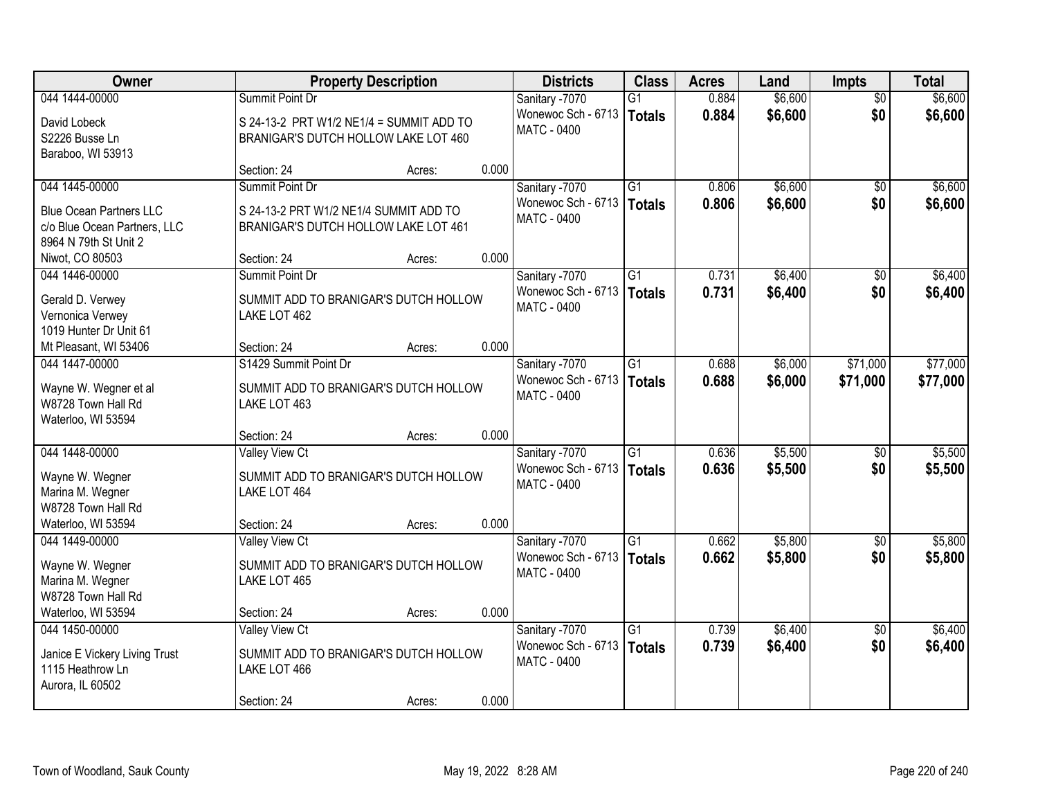| Owner                          |                                          | <b>Property Description</b> |       | <b>Districts</b>   | <b>Class</b>    | <b>Acres</b> | Land    | <b>Impts</b>    | <b>Total</b> |
|--------------------------------|------------------------------------------|-----------------------------|-------|--------------------|-----------------|--------------|---------|-----------------|--------------|
| 044 1444-00000                 | Summit Point Dr                          |                             |       | Sanitary -7070     | $\overline{G1}$ | 0.884        | \$6,600 | $\overline{50}$ | \$6,600      |
| David Lobeck                   | S 24-13-2 PRT W1/2 NE1/4 = SUMMIT ADD TO |                             |       | Wonewoc Sch - 6713 | Totals          | 0.884        | \$6,600 | \$0             | \$6,600      |
| S2226 Busse Ln                 | BRANIGAR'S DUTCH HOLLOW LAKE LOT 460     |                             |       | <b>MATC - 0400</b> |                 |              |         |                 |              |
| Baraboo, WI 53913              |                                          |                             |       |                    |                 |              |         |                 |              |
|                                | Section: 24                              | Acres:                      | 0.000 |                    |                 |              |         |                 |              |
| 044 1445-00000                 | Summit Point Dr                          |                             |       | Sanitary -7070     | $\overline{G1}$ | 0.806        | \$6,600 | \$0             | \$6,600      |
| <b>Blue Ocean Partners LLC</b> | S 24-13-2 PRT W1/2 NE1/4 SUMMIT ADD TO   |                             |       | Wonewoc Sch - 6713 | Totals          | 0.806        | \$6,600 | \$0             | \$6,600      |
| c/o Blue Ocean Partners, LLC   | BRANIGAR'S DUTCH HOLLOW LAKE LOT 461     |                             |       | <b>MATC - 0400</b> |                 |              |         |                 |              |
| 8964 N 79th St Unit 2          |                                          |                             |       |                    |                 |              |         |                 |              |
| Niwot, CO 80503                | Section: 24                              | Acres:                      | 0.000 |                    |                 |              |         |                 |              |
| 044 1446-00000                 | Summit Point Dr                          |                             |       | Sanitary -7070     | $\overline{G1}$ | 0.731        | \$6,400 | \$0             | \$6,400      |
| Gerald D. Verwey               | SUMMIT ADD TO BRANIGAR'S DUTCH HOLLOW    |                             |       | Wonewoc Sch - 6713 | Totals          | 0.731        | \$6,400 | \$0             | \$6,400      |
| Vernonica Verwey               | LAKE LOT 462                             |                             |       | <b>MATC - 0400</b> |                 |              |         |                 |              |
| 1019 Hunter Dr Unit 61         |                                          |                             |       |                    |                 |              |         |                 |              |
| Mt Pleasant, WI 53406          | Section: 24                              | Acres:                      | 0.000 |                    |                 |              |         |                 |              |
| 044 1447-00000                 | S1429 Summit Point Dr                    |                             |       | Sanitary -7070     | $\overline{G1}$ | 0.688        | \$6,000 | \$71,000        | \$77,000     |
| Wayne W. Wegner et al          | SUMMIT ADD TO BRANIGAR'S DUTCH HOLLOW    |                             |       | Wonewoc Sch - 6713 | <b>Totals</b>   | 0.688        | \$6,000 | \$71,000        | \$77,000     |
| W8728 Town Hall Rd             | LAKE LOT 463                             |                             |       | <b>MATC - 0400</b> |                 |              |         |                 |              |
| Waterloo, WI 53594             |                                          |                             |       |                    |                 |              |         |                 |              |
|                                | Section: 24                              | Acres:                      | 0.000 |                    |                 |              |         |                 |              |
| 044 1448-00000                 | <b>Valley View Ct</b>                    |                             |       | Sanitary -7070     | $\overline{G1}$ | 0.636        | \$5,500 | \$0             | \$5,500      |
| Wayne W. Wegner                | SUMMIT ADD TO BRANIGAR'S DUTCH HOLLOW    |                             |       | Wonewoc Sch - 6713 | <b>Totals</b>   | 0.636        | \$5,500 | \$0             | \$5,500      |
| Marina M. Wegner               | LAKE LOT 464                             |                             |       | MATC - 0400        |                 |              |         |                 |              |
| W8728 Town Hall Rd             |                                          |                             |       |                    |                 |              |         |                 |              |
| Waterloo, WI 53594             | Section: 24                              | Acres:                      | 0.000 |                    |                 |              |         |                 |              |
| 044 1449-00000                 | Valley View Ct                           |                             |       | Sanitary -7070     | $\overline{G1}$ | 0.662        | \$5,800 | \$0             | \$5,800      |
| Wayne W. Wegner                | SUMMIT ADD TO BRANIGAR'S DUTCH HOLLOW    |                             |       | Wonewoc Sch - 6713 | Totals          | 0.662        | \$5,800 | \$0             | \$5,800      |
| Marina M. Wegner               | LAKE LOT 465                             |                             |       | MATC - 0400        |                 |              |         |                 |              |
| W8728 Town Hall Rd             |                                          |                             |       |                    |                 |              |         |                 |              |
| Waterloo, WI 53594             | Section: 24                              | Acres:                      | 0.000 |                    |                 |              |         |                 |              |
| 044 1450-00000                 | Valley View Ct                           |                             |       | Sanitary -7070     | $\overline{G1}$ | 0.739        | \$6,400 | $\overline{30}$ | \$6,400      |
| Janice E Vickery Living Trust  | SUMMIT ADD TO BRANIGAR'S DUTCH HOLLOW    |                             |       | Wonewoc Sch - 6713 | Totals          | 0.739        | \$6,400 | \$0             | \$6,400      |
| 1115 Heathrow Ln               | LAKE LOT 466                             |                             |       | MATC - 0400        |                 |              |         |                 |              |
| Aurora, IL 60502               |                                          |                             |       |                    |                 |              |         |                 |              |
|                                | Section: 24                              | Acres:                      | 0.000 |                    |                 |              |         |                 |              |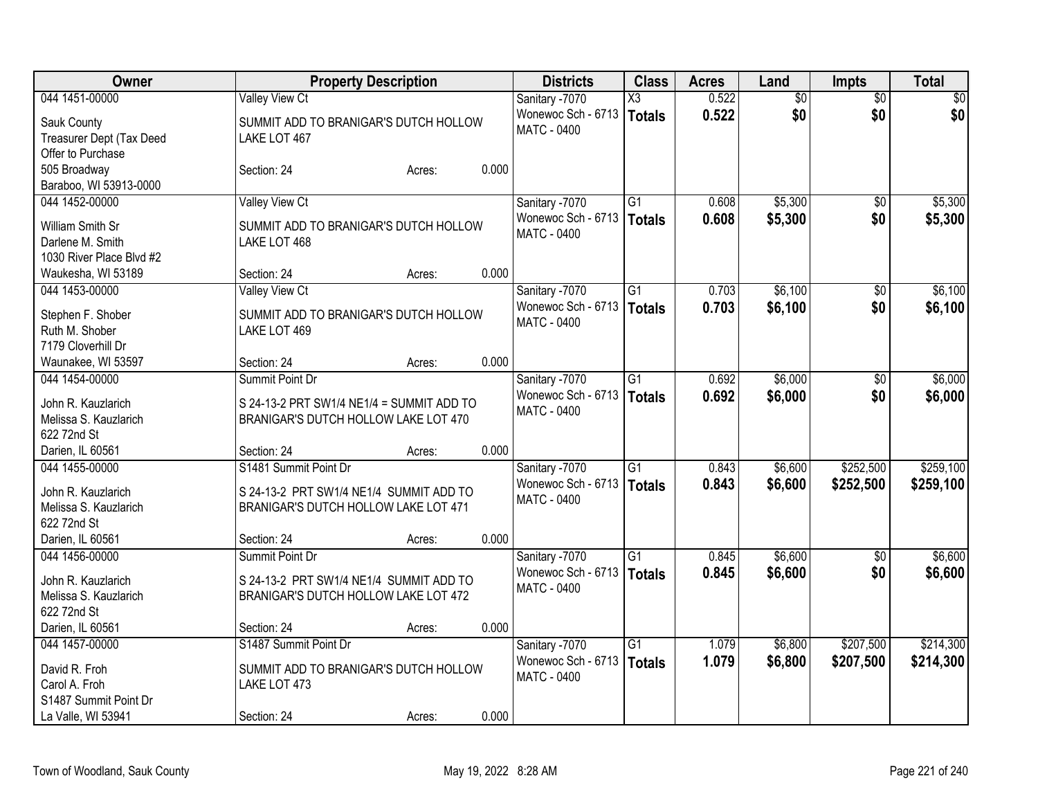| Owner                                | <b>Property Description</b>               |        |       | <b>Districts</b>   | <b>Class</b>    | <b>Acres</b> | Land            | <b>Impts</b>    | <b>Total</b> |
|--------------------------------------|-------------------------------------------|--------|-------|--------------------|-----------------|--------------|-----------------|-----------------|--------------|
| 044 1451-00000                       | <b>Valley View Ct</b>                     |        |       | Sanitary -7070     | X3              | 0.522        | $\overline{50}$ | $\overline{30}$ | $\sqrt{50}$  |
| Sauk County                          | SUMMIT ADD TO BRANIGAR'S DUTCH HOLLOW     |        |       | Wonewoc Sch - 6713 | <b>Totals</b>   | 0.522        | \$0             | \$0             | \$0          |
| Treasurer Dept (Tax Deed             | LAKE LOT 467                              |        |       | <b>MATC - 0400</b> |                 |              |                 |                 |              |
| Offer to Purchase                    |                                           |        |       |                    |                 |              |                 |                 |              |
| 505 Broadway                         | Section: 24                               | Acres: | 0.000 |                    |                 |              |                 |                 |              |
| Baraboo, WI 53913-0000               |                                           |        |       |                    |                 |              |                 |                 |              |
| 044 1452-00000                       | Valley View Ct                            |        |       | Sanitary -7070     | G1              | 0.608        | \$5,300         | $\sqrt{6}$      | \$5,300      |
| William Smith Sr                     | SUMMIT ADD TO BRANIGAR'S DUTCH HOLLOW     |        |       | Wonewoc Sch - 6713 | <b>Totals</b>   | 0.608        | \$5,300         | \$0             | \$5,300      |
| Darlene M. Smith                     | LAKE LOT 468                              |        |       | <b>MATC - 0400</b> |                 |              |                 |                 |              |
| 1030 River Place Blvd #2             |                                           |        |       |                    |                 |              |                 |                 |              |
| Waukesha, WI 53189                   | Section: 24                               | Acres: | 0.000 |                    |                 |              |                 |                 |              |
| 044 1453-00000                       | <b>Valley View Ct</b>                     |        |       | Sanitary -7070     | $\overline{G1}$ | 0.703        | \$6,100         | \$0             | \$6,100      |
|                                      |                                           |        |       | Wonewoc Sch - 6713 | <b>Totals</b>   | 0.703        | \$6,100         | \$0             | \$6,100      |
| Stephen F. Shober                    | SUMMIT ADD TO BRANIGAR'S DUTCH HOLLOW     |        |       | <b>MATC - 0400</b> |                 |              |                 |                 |              |
| Ruth M. Shober                       | LAKE LOT 469                              |        |       |                    |                 |              |                 |                 |              |
| 7179 Cloverhill Dr                   |                                           |        |       |                    |                 |              |                 |                 |              |
| Waunakee, WI 53597                   | Section: 24                               | Acres: | 0.000 |                    |                 |              |                 |                 |              |
| 044 1454-00000                       | Summit Point Dr                           |        |       | Sanitary -7070     | $\overline{G1}$ | 0.692        | \$6,000         | \$0             | \$6,000      |
| John R. Kauzlarich                   | S 24-13-2 PRT SW1/4 NE1/4 = SUMMIT ADD TO |        |       | Wonewoc Sch - 6713 | <b>Totals</b>   | 0.692        | \$6,000         | \$0             | \$6,000      |
| Melissa S. Kauzlarich                | BRANIGAR'S DUTCH HOLLOW LAKE LOT 470      |        |       | <b>MATC - 0400</b> |                 |              |                 |                 |              |
| 622 72nd St                          |                                           |        |       |                    |                 |              |                 |                 |              |
| Darien, IL 60561                     | Section: 24                               | Acres: | 0.000 |                    |                 |              |                 |                 |              |
| 044 1455-00000                       | S1481 Summit Point Dr                     |        |       | Sanitary -7070     | $\overline{G1}$ | 0.843        | \$6,600         | \$252,500       | \$259,100    |
|                                      |                                           |        |       | Wonewoc Sch - 6713 | <b>Totals</b>   | 0.843        | \$6,600         | \$252,500       | \$259,100    |
| John R. Kauzlarich                   | S 24-13-2 PRT SW1/4 NE1/4 SUMMIT ADD TO   |        |       | <b>MATC - 0400</b> |                 |              |                 |                 |              |
| Melissa S. Kauzlarich<br>622 72nd St | BRANIGAR'S DUTCH HOLLOW LAKE LOT 471      |        |       |                    |                 |              |                 |                 |              |
| Darien, IL 60561                     | Section: 24                               | Acres: | 0.000 |                    |                 |              |                 |                 |              |
| 044 1456-00000                       | Summit Point Dr                           |        |       | Sanitary -7070     | $\overline{G1}$ | 0.845        | \$6,600         | \$0             | \$6,600      |
|                                      |                                           |        |       | Wonewoc Sch - 6713 | <b>Totals</b>   | 0.845        | \$6,600         | \$0             | \$6,600      |
| John R. Kauzlarich                   | S 24-13-2 PRT SW1/4 NE1/4 SUMMIT ADD TO   |        |       | <b>MATC - 0400</b> |                 |              |                 |                 |              |
| Melissa S. Kauzlarich                | BRANIGAR'S DUTCH HOLLOW LAKE LOT 472      |        |       |                    |                 |              |                 |                 |              |
| 622 72nd St                          |                                           |        |       |                    |                 |              |                 |                 |              |
| Darien, IL 60561                     | Section: 24                               | Acres: | 0.000 |                    |                 |              |                 |                 |              |
| 044 1457-00000                       | S1487 Summit Point Dr                     |        |       | Sanitary -7070     | $\overline{G1}$ | 1.079        | \$6,800         | \$207,500       | \$214,300    |
| David R. Froh                        | SUMMIT ADD TO BRANIGAR'S DUTCH HOLLOW     |        |       | Wonewoc Sch - 6713 | <b>Totals</b>   | 1.079        | \$6,800         | \$207,500       | \$214,300    |
| Carol A. Froh                        | LAKE LOT 473                              |        |       | <b>MATC - 0400</b> |                 |              |                 |                 |              |
| S1487 Summit Point Dr                |                                           |        |       |                    |                 |              |                 |                 |              |
| La Valle, WI 53941                   | Section: 24                               | Acres: | 0.000 |                    |                 |              |                 |                 |              |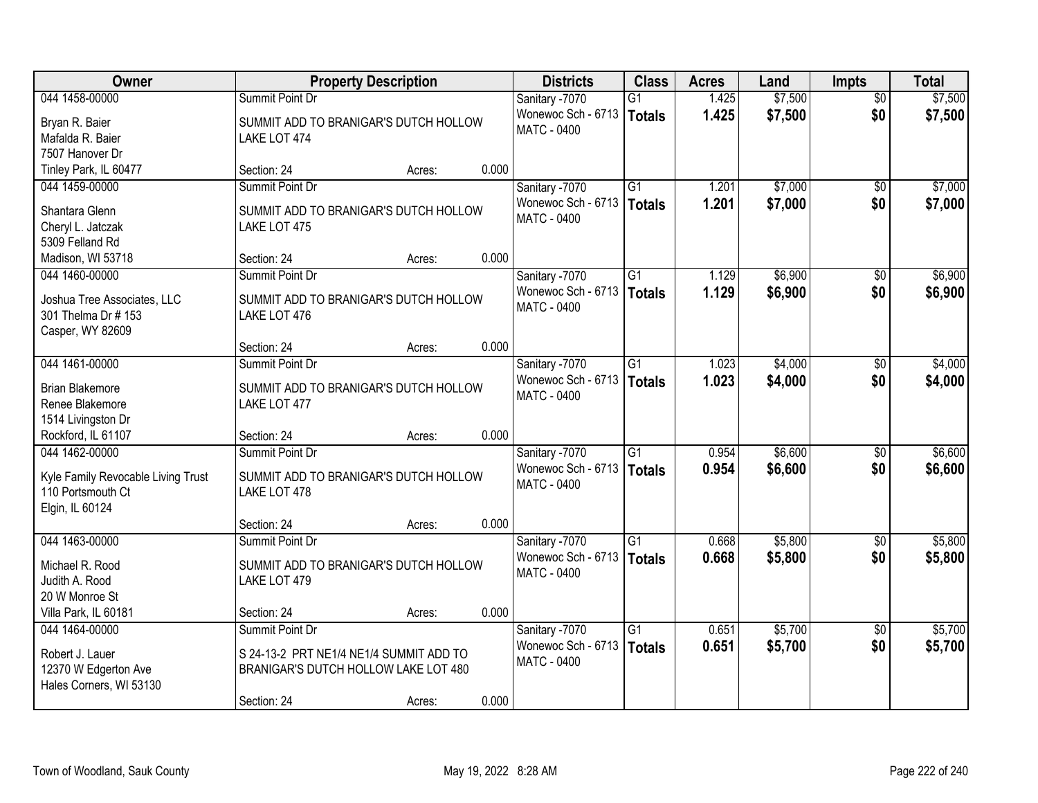| Owner                                                                     | <b>Property Description</b>                                                     |       | <b>Districts</b>                                    | <b>Class</b>                     | <b>Acres</b>   | Land               | <b>Impts</b>           | <b>Total</b>       |
|---------------------------------------------------------------------------|---------------------------------------------------------------------------------|-------|-----------------------------------------------------|----------------------------------|----------------|--------------------|------------------------|--------------------|
| 044 1458-00000                                                            | Summit Point Dr                                                                 |       | Sanitary -7070                                      | $\overline{G1}$                  | 1.425          | \$7,500            | $\overline{50}$        | \$7,500            |
| Bryan R. Baier<br>Mafalda R. Baier<br>7507 Hanover Dr                     | SUMMIT ADD TO BRANIGAR'S DUTCH HOLLOW<br>LAKE LOT 474                           |       | Wonewoc Sch - 6713<br><b>MATC - 0400</b>            | <b>Totals</b>                    | 1.425          | \$7,500            | \$0                    | \$7,500            |
| Tinley Park, IL 60477                                                     | Section: 24<br>Acres:                                                           | 0.000 |                                                     |                                  |                |                    |                        |                    |
| 044 1459-00000<br>Shantara Glenn                                          | Summit Point Dr<br>SUMMIT ADD TO BRANIGAR'S DUTCH HOLLOW                        |       | Sanitary -7070<br>Wonewoc Sch - 6713<br>MATC - 0400 | G1<br><b>Totals</b>              | 1.201<br>1.201 | \$7,000<br>\$7,000 | $\overline{30}$<br>\$0 | \$7,000<br>\$7,000 |
| Cheryl L. Jatczak<br>5309 Felland Rd<br>Madison, WI 53718                 | LAKE LOT 475<br>Section: 24<br>Acres:                                           | 0.000 |                                                     |                                  |                |                    |                        |                    |
| 044 1460-00000                                                            | Summit Point Dr                                                                 |       | Sanitary -7070                                      | G1                               | 1.129          | \$6,900            | \$0                    | \$6,900            |
| Joshua Tree Associates, LLC<br>301 Thelma Dr # 153<br>Casper, WY 82609    | SUMMIT ADD TO BRANIGAR'S DUTCH HOLLOW<br>LAKE LOT 476                           |       | Wonewoc Sch - 6713<br>MATC - 0400                   | <b>Totals</b>                    | 1.129          | \$6,900            | \$0                    | \$6,900            |
|                                                                           | Section: 24<br>Acres:                                                           | 0.000 |                                                     |                                  |                |                    |                        |                    |
| 044 1461-00000                                                            | Summit Point Dr                                                                 |       | Sanitary -7070                                      | $\overline{G1}$                  | 1.023          | \$4,000            | \$0                    | \$4,000            |
| <b>Brian Blakemore</b><br>Renee Blakemore<br>1514 Livingston Dr           | SUMMIT ADD TO BRANIGAR'S DUTCH HOLLOW<br>LAKE LOT 477                           |       | Wonewoc Sch - 6713<br>MATC - 0400                   | <b>Totals</b>                    | 1.023          | \$4,000            | \$0                    | \$4,000            |
| Rockford, IL 61107                                                        | Section: 24<br>Acres:                                                           | 0.000 |                                                     |                                  |                |                    |                        |                    |
| 044 1462-00000<br>Kyle Family Revocable Living Trust<br>110 Portsmouth Ct | Summit Point Dr<br>SUMMIT ADD TO BRANIGAR'S DUTCH HOLLOW<br>LAKE LOT 478        |       | Sanitary -7070<br>Wonewoc Sch - 6713<br>MATC - 0400 | $\overline{G1}$<br><b>Totals</b> | 0.954<br>0.954 | \$6,600<br>\$6,600 | \$0<br>\$0             | \$6,600<br>\$6,600 |
| Elgin, IL 60124                                                           |                                                                                 |       |                                                     |                                  |                |                    |                        |                    |
|                                                                           | Section: 24<br>Acres:                                                           | 0.000 |                                                     |                                  |                |                    |                        |                    |
| 044 1463-00000                                                            | Summit Point Dr                                                                 |       | Sanitary -7070                                      | $\overline{G1}$                  | 0.668          | \$5,800            | $\sqrt{6}$             | \$5,800            |
| Michael R. Rood<br>Judith A. Rood<br>20 W Monroe St                       | SUMMIT ADD TO BRANIGAR'S DUTCH HOLLOW<br>LAKE LOT 479                           |       | Wonewoc Sch - 6713<br><b>MATC - 0400</b>            | <b>Totals</b>                    | 0.668          | \$5,800            | \$0                    | \$5,800            |
| Villa Park, IL 60181                                                      | Section: 24<br>Acres:                                                           | 0.000 |                                                     |                                  |                |                    |                        |                    |
| 044 1464-00000                                                            | Summit Point Dr                                                                 |       | Sanitary -7070                                      | $\overline{G1}$                  | 0.651          | \$5,700            | $\overline{50}$        | \$5,700            |
| Robert J. Lauer<br>12370 W Edgerton Ave<br>Hales Corners, WI 53130        | S 24-13-2 PRT NE1/4 NE1/4 SUMMIT ADD TO<br>BRANIGAR'S DUTCH HOLLOW LAKE LOT 480 |       | Wonewoc Sch - 6713   Totals<br><b>MATC - 0400</b>   |                                  | 0.651          | \$5,700            | \$0                    | \$5,700            |
|                                                                           | Section: 24<br>Acres:                                                           | 0.000 |                                                     |                                  |                |                    |                        |                    |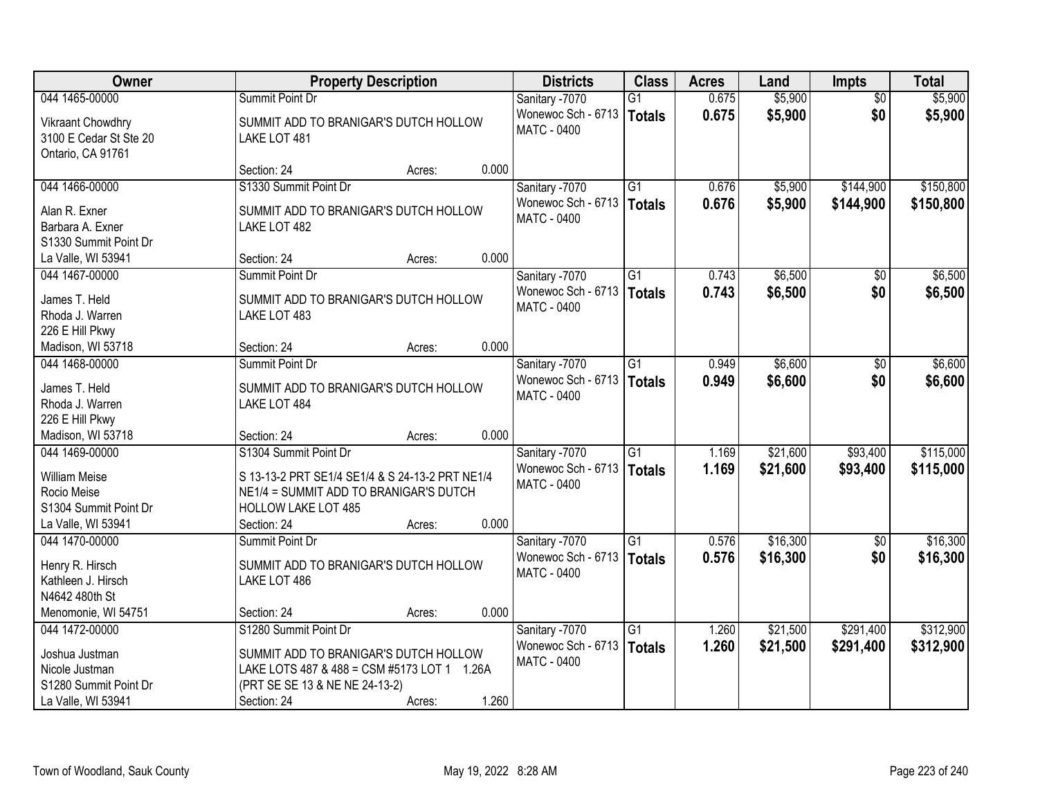| Owner                                                            |                                                       | <b>Property Description</b> |       |                                      | <b>Class</b>    | <b>Acres</b> | Land     | Impts           | <b>Total</b> |
|------------------------------------------------------------------|-------------------------------------------------------|-----------------------------|-------|--------------------------------------|-----------------|--------------|----------|-----------------|--------------|
| 044 1465-00000                                                   | Summit Point Dr                                       |                             |       | Sanitary -7070                       | $\overline{G1}$ | 0.675        | \$5,900  | $\overline{50}$ | \$5,900      |
| Vikraant Chowdhry<br>3100 E Cedar St Ste 20<br>Ontario, CA 91761 | SUMMIT ADD TO BRANIGAR'S DUTCH HOLLOW<br>LAKE LOT 481 |                             |       | Wonewoc Sch - 6713<br>MATC - 0400    | Totals          | 0.675        | \$5,900  | \$0             | \$5,900      |
|                                                                  | Section: 24                                           | Acres:                      | 0.000 |                                      |                 |              |          |                 |              |
| 044 1466-00000                                                   | S1330 Summit Point Dr                                 |                             |       | Sanitary -7070                       | $\overline{G1}$ | 0.676        | \$5,900  | \$144,900       | \$150,800    |
| Alan R. Exner                                                    | SUMMIT ADD TO BRANIGAR'S DUTCH HOLLOW                 |                             |       | Wonewoc Sch - 6713                   | Totals          | 0.676        | \$5,900  | \$144,900       | \$150,800    |
| Barbara A. Exner                                                 | LAKE LOT 482                                          |                             |       | <b>MATC - 0400</b>                   |                 |              |          |                 |              |
| S1330 Summit Point Dr                                            |                                                       |                             |       |                                      |                 |              |          |                 |              |
| La Valle, WI 53941                                               | Section: 24                                           | Acres:                      | 0.000 |                                      |                 |              |          |                 |              |
| 044 1467-00000                                                   | Summit Point Dr                                       |                             |       | Sanitary -7070                       | G1              | 0.743        | \$6,500  | \$0             | \$6,500      |
| James T. Held                                                    | SUMMIT ADD TO BRANIGAR'S DUTCH HOLLOW                 |                             |       | Wonewoc Sch - 6713                   | Totals          | 0.743        | \$6,500  | \$0             | \$6,500      |
| Rhoda J. Warren                                                  | LAKE LOT 483                                          |                             |       | MATC - 0400                          |                 |              |          |                 |              |
| 226 E Hill Pkwy                                                  |                                                       |                             |       |                                      |                 |              |          |                 |              |
| Madison, WI 53718                                                | Section: 24                                           | Acres:                      | 0.000 |                                      |                 |              |          |                 |              |
| 044 1468-00000                                                   | Summit Point Dr                                       |                             |       | Sanitary -7070                       | $\overline{G1}$ | 0.949        | \$6,600  | $\sqrt[6]{}$    | \$6,600      |
|                                                                  |                                                       |                             |       | Wonewoc Sch - 6713                   | <b>Totals</b>   | 0.949        | \$6,600  | \$0             | \$6,600      |
| James T. Held                                                    | SUMMIT ADD TO BRANIGAR'S DUTCH HOLLOW                 |                             |       | MATC - 0400                          |                 |              |          |                 |              |
| Rhoda J. Warren<br>226 E Hill Pkwy                               | LAKE LOT 484                                          |                             |       |                                      |                 |              |          |                 |              |
| Madison, WI 53718                                                | Section: 24                                           | Acres:                      | 0.000 |                                      |                 |              |          |                 |              |
| 044 1469-00000                                                   | S1304 Summit Point Dr                                 |                             |       | Sanitary -7070                       | $\overline{G1}$ | 1.169        | \$21,600 | \$93,400        | \$115,000    |
|                                                                  |                                                       |                             |       | Wonewoc Sch - 6713                   | Totals          | 1.169        | \$21,600 | \$93,400        | \$115,000    |
| <b>William Meise</b>                                             | S 13-13-2 PRT SE1/4 SE1/4 & S 24-13-2 PRT NE1/4       |                             |       | MATC - 0400                          |                 |              |          |                 |              |
| Rocio Meise                                                      | NE1/4 = SUMMIT ADD TO BRANIGAR'S DUTCH                |                             |       |                                      |                 |              |          |                 |              |
| S1304 Summit Point Dr                                            | <b>HOLLOW LAKE LOT 485</b>                            |                             |       |                                      |                 |              |          |                 |              |
| La Valle, WI 53941                                               | Section: 24                                           | Acres:                      | 0.000 |                                      |                 |              |          |                 |              |
| 044 1470-00000                                                   | Summit Point Dr                                       |                             |       | Sanitary -7070<br>Wonewoc Sch - 6713 | $\overline{G1}$ | 0.576        | \$16,300 | $\sqrt{6}$      | \$16,300     |
| Henry R. Hirsch                                                  | SUMMIT ADD TO BRANIGAR'S DUTCH HOLLOW                 |                             |       | <b>MATC - 0400</b>                   | Totals          | 0.576        | \$16,300 | \$0             | \$16,300     |
| Kathleen J. Hirsch                                               | LAKE LOT 486                                          |                             |       |                                      |                 |              |          |                 |              |
| N4642 480th St                                                   |                                                       |                             |       |                                      |                 |              |          |                 |              |
| Menomonie, WI 54751                                              | Section: 24                                           | Acres:                      | 0.000 |                                      |                 |              |          |                 |              |
| 044 1472-00000                                                   | S1280 Summit Point Dr                                 |                             |       | Sanitary -7070                       | $\overline{G1}$ | 1.260        | \$21,500 | \$291,400       | \$312,900    |
| Joshua Justman                                                   | SUMMIT ADD TO BRANIGAR'S DUTCH HOLLOW                 |                             |       | Wonewoc Sch - 6713                   | Totals          | 1.260        | \$21,500 | \$291,400       | \$312,900    |
| Nicole Justman                                                   | LAKE LOTS 487 & 488 = CSM #5173 LOT 1 1.26A           |                             |       | <b>MATC - 0400</b>                   |                 |              |          |                 |              |
| S1280 Summit Point Dr                                            | (PRT SE SE 13 & NE NE 24-13-2)                        |                             |       |                                      |                 |              |          |                 |              |
| La Valle, WI 53941                                               | Section: 24                                           | Acres:                      | 1.260 |                                      |                 |              |          |                 |              |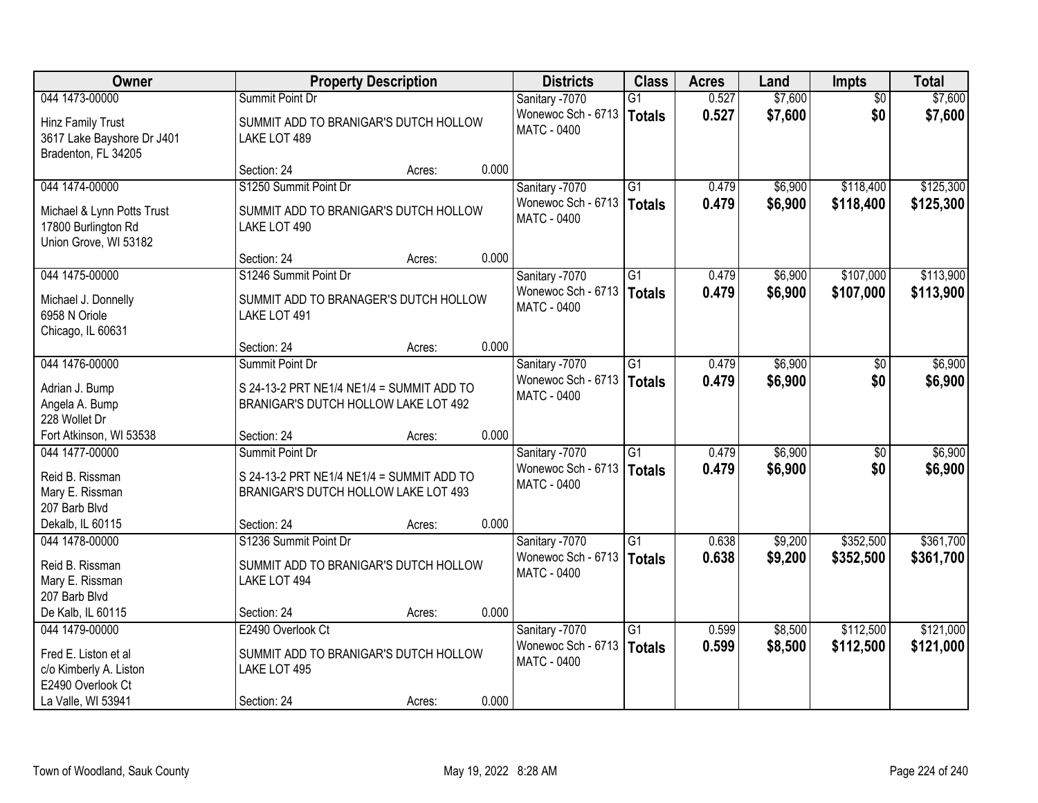| Owner                                                                      |                                                                                                  | <b>Property Description</b> |       |                                                   | <b>Class</b>    | <b>Acres</b> | Land    | <b>Impts</b>    | <b>Total</b> |
|----------------------------------------------------------------------------|--------------------------------------------------------------------------------------------------|-----------------------------|-------|---------------------------------------------------|-----------------|--------------|---------|-----------------|--------------|
| 044 1473-00000                                                             | Summit Point Dr                                                                                  |                             |       | Sanitary -7070                                    | $\overline{G1}$ | 0.527        | \$7,600 | $\overline{50}$ | \$7,600      |
| Hinz Family Trust<br>3617 Lake Bayshore Dr J401<br>Bradenton, FL 34205     | SUMMIT ADD TO BRANIGAR'S DUTCH HOLLOW<br>LAKE LOT 489                                            |                             |       | Wonewoc Sch - 6713<br><b>MATC - 0400</b>          | <b>Totals</b>   | 0.527        | \$7,600 | \$0             | \$7,600      |
|                                                                            | Section: 24                                                                                      | Acres:                      | 0.000 |                                                   |                 |              |         |                 |              |
| 044 1474-00000                                                             | S1250 Summit Point Dr                                                                            |                             |       | Sanitary -7070                                    | $\overline{G1}$ | 0.479        | \$6,900 | \$118,400       | \$125,300    |
| Michael & Lynn Potts Trust<br>17800 Burlington Rd<br>Union Grove, WI 53182 | SUMMIT ADD TO BRANIGAR'S DUTCH HOLLOW<br>LAKE LOT 490                                            |                             |       | Wonewoc Sch - 6713   Totals<br><b>MATC - 0400</b> |                 | 0.479        | \$6,900 | \$118,400       | \$125,300    |
|                                                                            | Section: 24                                                                                      | Acres:                      | 0.000 |                                                   |                 |              |         |                 |              |
| 044 1475-00000                                                             | S1246 Summit Point Dr                                                                            |                             |       | Sanitary -7070                                    | $\overline{G1}$ | 0.479        | \$6,900 | \$107,000       | \$113,900    |
| Michael J. Donnelly<br>6958 N Oriole<br>Chicago, IL 60631                  | SUMMIT ADD TO BRANAGER'S DUTCH HOLLOW<br>LAKE LOT 491                                            |                             |       | Wonewoc Sch - 6713<br><b>MATC - 0400</b>          | <b>Totals</b>   | 0.479        | \$6,900 | \$107,000       | \$113,900    |
|                                                                            | Section: 24                                                                                      | Acres:                      | 0.000 |                                                   |                 |              |         |                 |              |
| 044 1476-00000                                                             | Summit Point Dr                                                                                  |                             |       | Sanitary -7070                                    | G1              | 0.479        | \$6,900 | \$0             | \$6,900      |
| Adrian J. Bump<br>Angela A. Bump<br>228 Wollet Dr                          | S 24-13-2 PRT NE1/4 NE1/4 = SUMMIT ADD TO<br>BRANIGAR'S DUTCH HOLLOW LAKE LOT 492                |                             |       | Wonewoc Sch - 6713<br>MATC - 0400                 | <b>Totals</b>   | 0.479        | \$6,900 | \$0             | \$6,900      |
| Fort Atkinson, WI 53538                                                    | Section: 24                                                                                      | Acres:                      | 0.000 |                                                   |                 |              |         |                 |              |
| 044 1477-00000                                                             | Summit Point Dr                                                                                  |                             |       | Sanitary -7070                                    | $\overline{G1}$ | 0.479        | \$6,900 | \$0             | \$6,900      |
| Reid B. Rissman<br>Mary E. Rissman<br>207 Barb Blvd<br>Dekalb, IL 60115    | S 24-13-2 PRT NE1/4 NE1/4 = SUMMIT ADD TO<br>BRANIGAR'S DUTCH HOLLOW LAKE LOT 493<br>Section: 24 | Acres:                      | 0.000 | Wonewoc Sch - 6713<br>MATC - 0400                 | <b>Totals</b>   | 0.479        | \$6,900 | \$0             | \$6,900      |
| 044 1478-00000                                                             | S1236 Summit Point Dr                                                                            |                             |       | Sanitary -7070                                    | $\overline{G1}$ | 0.638        | \$9,200 | \$352,500       | \$361,700    |
| Reid B. Rissman<br>Mary E. Rissman<br>207 Barb Blvd                        | SUMMIT ADD TO BRANIGAR'S DUTCH HOLLOW<br>LAKE LOT 494                                            |                             |       | Wonewoc Sch - 6713<br>MATC - 0400                 | <b>Totals</b>   | 0.638        | \$9,200 | \$352,500       | \$361,700    |
| De Kalb, IL 60115                                                          | Section: 24                                                                                      | Acres:                      | 0.000 |                                                   |                 |              |         |                 |              |
| 044 1479-00000                                                             | E2490 Overlook Ct                                                                                |                             |       | Sanitary -7070                                    | $\overline{G1}$ | 0.599        | \$8,500 | \$112,500       | \$121,000    |
| Fred E. Liston et al<br>c/o Kimberly A. Liston<br>E2490 Overlook Ct        | SUMMIT ADD TO BRANIGAR'S DUTCH HOLLOW<br>LAKE LOT 495                                            |                             |       | Wonewoc Sch - 6713<br><b>MATC - 0400</b>          | <b>Totals</b>   | 0.599        | \$8,500 | \$112,500       | \$121,000    |
| La Valle, WI 53941                                                         | Section: 24                                                                                      | Acres:                      | 0.000 |                                                   |                 |              |         |                 |              |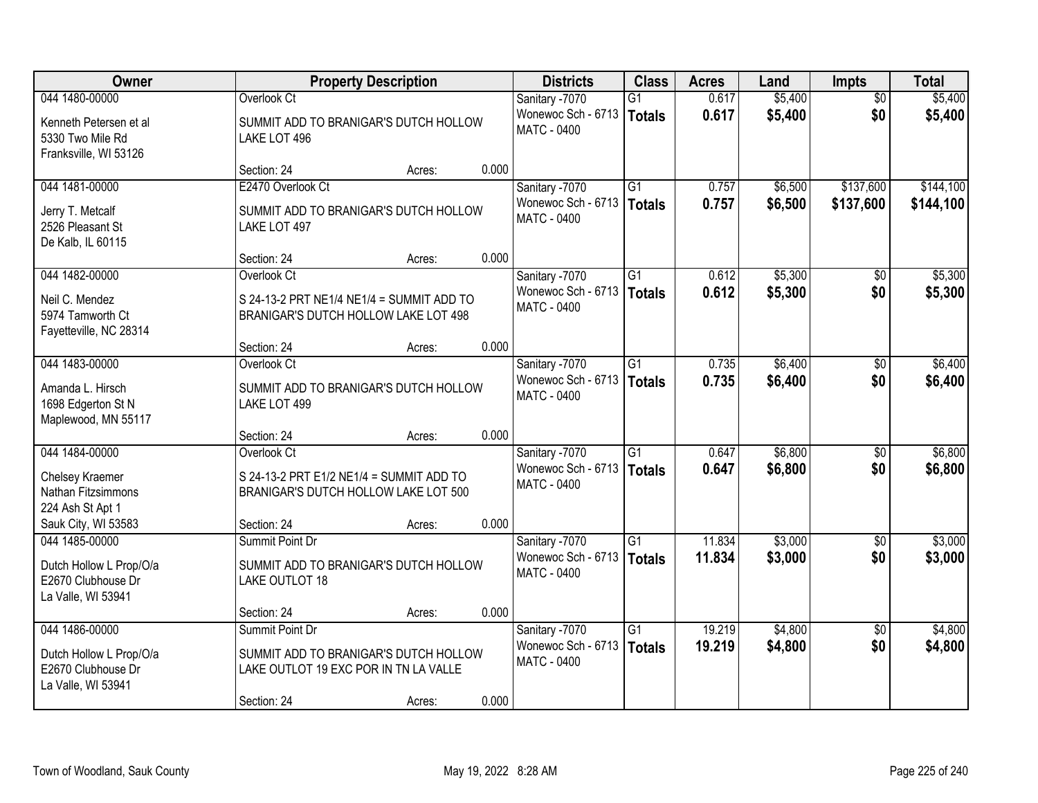| Owner                                                               | <b>Property Description</b>                                                       |        |       | <b>Districts</b>                                           | <b>Class</b>    | <b>Acres</b> | Land    | <b>Impts</b>      | <b>Total</b> |
|---------------------------------------------------------------------|-----------------------------------------------------------------------------------|--------|-------|------------------------------------------------------------|-----------------|--------------|---------|-------------------|--------------|
| 044 1480-00000                                                      | Overlook Ct                                                                       |        |       | Sanitary -7070                                             | $\overline{G1}$ | 0.617        | \$5,400 | $\overline{50}$   | \$5,400      |
| Kenneth Petersen et al<br>5330 Two Mile Rd<br>Franksville, WI 53126 | SUMMIT ADD TO BRANIGAR'S DUTCH HOLLOW<br>LAKE LOT 496                             |        |       | Wonewoc Sch - 6713<br><b>MATC - 0400</b>                   | <b>Totals</b>   | 0.617        | \$5,400 | \$0               | \$5,400      |
|                                                                     | Section: 24                                                                       | Acres: | 0.000 |                                                            |                 |              |         |                   |              |
| 044 1481-00000                                                      | E2470 Overlook Ct                                                                 |        |       | Sanitary -7070                                             | $\overline{G1}$ | 0.757        | \$6,500 | \$137,600         | \$144,100    |
| Jerry T. Metcalf<br>2526 Pleasant St<br>De Kalb, IL 60115           | SUMMIT ADD TO BRANIGAR'S DUTCH HOLLOW<br>LAKE LOT 497                             |        |       | Wonewoc Sch - 6713<br><b>MATC - 0400</b>                   | <b>Totals</b>   | 0.757        | \$6,500 | \$137,600         | \$144,100    |
|                                                                     | Section: 24                                                                       | Acres: | 0.000 |                                                            |                 |              |         |                   |              |
| 044 1482-00000                                                      | Overlook Ct                                                                       |        |       | Sanitary -7070                                             | $\overline{G1}$ | 0.612        | \$5,300 | \$0               | \$5,300      |
| Neil C. Mendez<br>5974 Tamworth Ct<br>Fayetteville, NC 28314        | S 24-13-2 PRT NE1/4 NE1/4 = SUMMIT ADD TO<br>BRANIGAR'S DUTCH HOLLOW LAKE LOT 498 |        |       | Wonewoc Sch - 6713<br>MATC - 0400                          | <b>Totals</b>   | 0.612        | \$5,300 | \$0               | \$5,300      |
|                                                                     | Section: 24                                                                       | Acres: | 0.000 |                                                            |                 |              |         |                   |              |
| 044 1483-00000                                                      | Overlook Ct                                                                       |        |       | Sanitary -7070                                             | G1              | 0.735        | \$6,400 | \$0               | \$6,400      |
| Amanda L. Hirsch<br>1698 Edgerton St N<br>Maplewood, MN 55117       | SUMMIT ADD TO BRANIGAR'S DUTCH HOLLOW<br>LAKE LOT 499                             |        |       | Wonewoc Sch - 6713<br><b>MATC - 0400</b>                   | <b>Totals</b>   | 0.735        | \$6,400 | \$0               | \$6,400      |
|                                                                     | Section: 24                                                                       | Acres: | 0.000 |                                                            |                 |              |         |                   |              |
| 044 1484-00000                                                      | Overlook Ct                                                                       |        |       | Sanitary -7070                                             | $\overline{G1}$ | 0.647        | \$6,800 | $\overline{30}$   | \$6,800      |
| Chelsey Kraemer<br>Nathan Fitzsimmons<br>224 Ash St Apt 1           | S 24-13-2 PRT E1/2 NE1/4 = SUMMIT ADD TO<br>BRANIGAR'S DUTCH HOLLOW LAKE LOT 500  |        |       | Wonewoc Sch - 6713<br>MATC - 0400                          | <b>Totals</b>   | 0.647        | \$6,800 | \$0               | \$6,800      |
| Sauk City, WI 53583<br>044 1485-00000                               | Section: 24                                                                       | Acres: | 0.000 |                                                            | $\overline{G1}$ | 11.834       | \$3,000 |                   | \$3,000      |
| Dutch Hollow L Prop/O/a<br>E2670 Clubhouse Dr<br>La Valle, WI 53941 | Summit Point Dr<br>SUMMIT ADD TO BRANIGAR'S DUTCH HOLLOW<br>LAKE OUTLOT 18        |        |       | Sanitary -7070<br>Wonewoc Sch - 6713<br><b>MATC - 0400</b> | <b>Totals</b>   | 11.834       | \$3,000 | $\sqrt{6}$<br>\$0 | \$3,000      |
|                                                                     | Section: 24                                                                       | Acres: | 0.000 |                                                            |                 |              |         |                   |              |
| 044 1486-00000                                                      | Summit Point Dr                                                                   |        |       | Sanitary -7070                                             | $\overline{G1}$ | 19.219       | \$4,800 | $\overline{50}$   | \$4,800      |
| Dutch Hollow L Prop/O/a<br>E2670 Clubhouse Dr<br>La Valle, WI 53941 | SUMMIT ADD TO BRANIGAR'S DUTCH HOLLOW<br>LAKE OUTLOT 19 EXC POR IN TN LA VALLE    |        |       | Wonewoc Sch - 6713<br><b>MATC - 0400</b>                   | <b>Totals</b>   | 19.219       | \$4,800 | \$0               | \$4,800      |
|                                                                     | Section: 24                                                                       | Acres: | 0.000 |                                                            |                 |              |         |                   |              |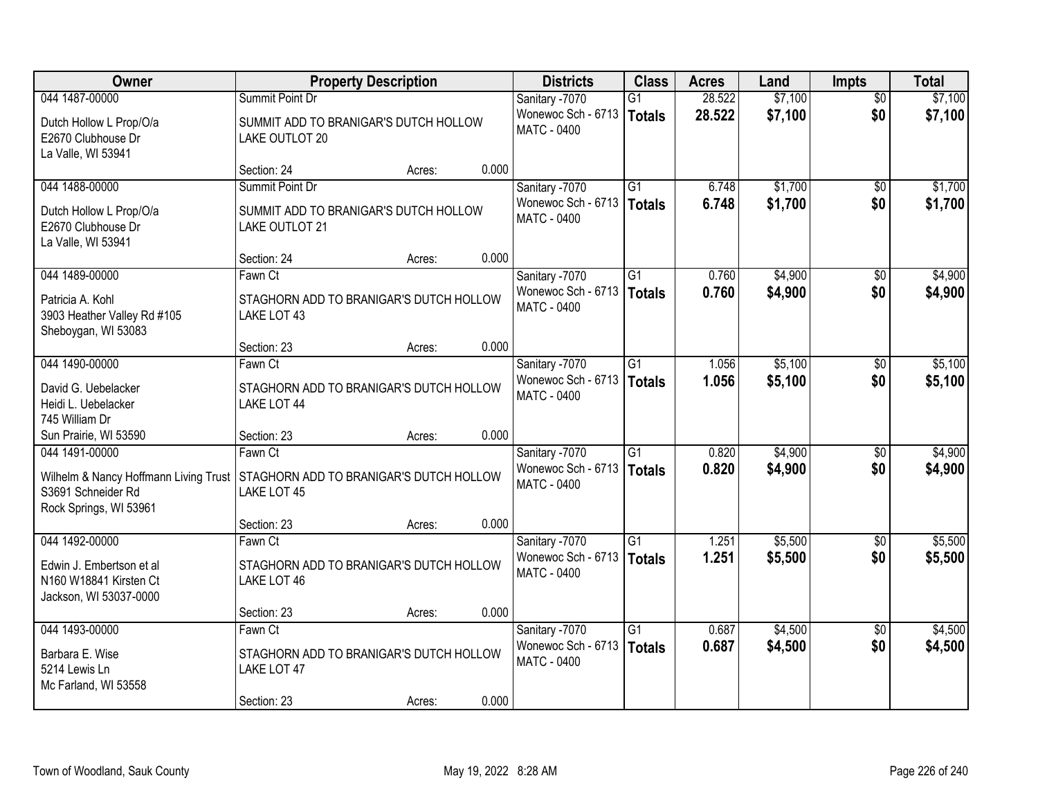| Owner                                                                                 | <b>Property Description</b>                             |       | <b>Districts</b>                         | <b>Class</b>    | <b>Acres</b> | Land    | <b>Impts</b>    | <b>Total</b> |
|---------------------------------------------------------------------------------------|---------------------------------------------------------|-------|------------------------------------------|-----------------|--------------|---------|-----------------|--------------|
| 044 1487-00000                                                                        | Summit Point Dr                                         |       | Sanitary -7070                           | $\overline{G1}$ | 28.522       | \$7,100 | $\overline{50}$ | \$7,100      |
| Dutch Hollow L Prop/O/a<br>E2670 Clubhouse Dr<br>La Valle, WI 53941                   | SUMMIT ADD TO BRANIGAR'S DUTCH HOLLOW<br>LAKE OUTLOT 20 |       | Wonewoc Sch - 6713<br><b>MATC - 0400</b> | <b>Totals</b>   | 28.522       | \$7,100 | \$0             | \$7,100      |
|                                                                                       | Section: 24<br>Acres:                                   | 0.000 |                                          |                 |              |         |                 |              |
| 044 1488-00000                                                                        | Summit Point Dr                                         |       | Sanitary -7070                           | $\overline{G1}$ | 6.748        | \$1,700 | $\overline{50}$ | \$1,700      |
| Dutch Hollow L Prop/O/a<br>E2670 Clubhouse Dr<br>La Valle, WI 53941                   | SUMMIT ADD TO BRANIGAR'S DUTCH HOLLOW<br>LAKE OUTLOT 21 |       | Wonewoc Sch - 6713<br><b>MATC - 0400</b> | <b>Totals</b>   | 6.748        | \$1,700 | \$0             | \$1,700      |
|                                                                                       | Section: 24<br>Acres:                                   | 0.000 |                                          |                 |              |         |                 |              |
| 044 1489-00000                                                                        | Fawn Ct                                                 |       | Sanitary -7070                           | $\overline{G1}$ | 0.760        | \$4,900 | \$0             | \$4,900      |
| Patricia A. Kohl<br>3903 Heather Valley Rd #105<br>Sheboygan, WI 53083                | STAGHORN ADD TO BRANIGAR'S DUTCH HOLLOW<br>LAKE LOT 43  |       | Wonewoc Sch - 6713<br>MATC - 0400        | <b>Totals</b>   | 0.760        | \$4,900 | \$0             | \$4,900      |
|                                                                                       | Section: 23<br>Acres:                                   | 0.000 |                                          |                 |              |         |                 |              |
| 044 1490-00000                                                                        | Fawn Ct                                                 |       | Sanitary -7070                           | G1              | 1.056        | \$5,100 | \$0             | \$5,100      |
| David G. Uebelacker<br>Heidi L. Uebelacker<br>745 William Dr                          | STAGHORN ADD TO BRANIGAR'S DUTCH HOLLOW<br>LAKE LOT 44  |       | Wonewoc Sch - 6713<br><b>MATC - 0400</b> | <b>Totals</b>   | 1.056        | \$5,100 | \$0             | \$5,100      |
| Sun Prairie, WI 53590                                                                 | Section: 23<br>Acres:                                   | 0.000 |                                          |                 |              |         |                 |              |
| 044 1491-00000                                                                        | Fawn Ct                                                 |       | Sanitary -7070                           | $\overline{G1}$ | 0.820        | \$4,900 | $\overline{50}$ | \$4,900      |
| Wilhelm & Nancy Hoffmann Living Trust<br>S3691 Schneider Rd<br>Rock Springs, WI 53961 | STAGHORN ADD TO BRANIGAR'S DUTCH HOLLOW<br>LAKE LOT 45  |       | Wonewoc Sch - 6713<br>MATC - 0400        | <b>Totals</b>   | 0.820        | \$4,900 | \$0             | \$4,900      |
|                                                                                       | Section: 23<br>Acres:                                   | 0.000 |                                          |                 |              |         |                 |              |
| 044 1492-00000                                                                        | Fawn Ct                                                 |       | Sanitary -7070                           | $\overline{G1}$ | 1.251        | \$5,500 | $\sqrt{6}$      | \$5,500      |
| Edwin J. Embertson et al.<br>N160 W18841 Kirsten Ct<br>Jackson, WI 53037-0000         | STAGHORN ADD TO BRANIGAR'S DUTCH HOLLOW<br>LAKE LOT 46  |       | Wonewoc Sch - 6713<br><b>MATC - 0400</b> | <b>Totals</b>   | 1.251        | \$5,500 | \$0             | \$5,500      |
|                                                                                       | Section: 23<br>Acres:                                   | 0.000 |                                          |                 |              |         |                 |              |
| 044 1493-00000                                                                        | Fawn Ct                                                 |       | Sanitary -7070                           | $\overline{G1}$ | 0.687        | \$4,500 | $\overline{50}$ | \$4,500      |
| Barbara E. Wise<br>5214 Lewis Ln<br>Mc Farland, WI 53558                              | STAGHORN ADD TO BRANIGAR'S DUTCH HOLLOW<br>LAKE LOT 47  |       | Wonewoc Sch - 6713<br><b>MATC - 0400</b> | <b>Totals</b>   | 0.687        | \$4,500 | \$0             | \$4,500      |
|                                                                                       | Section: 23<br>Acres:                                   | 0.000 |                                          |                 |              |         |                 |              |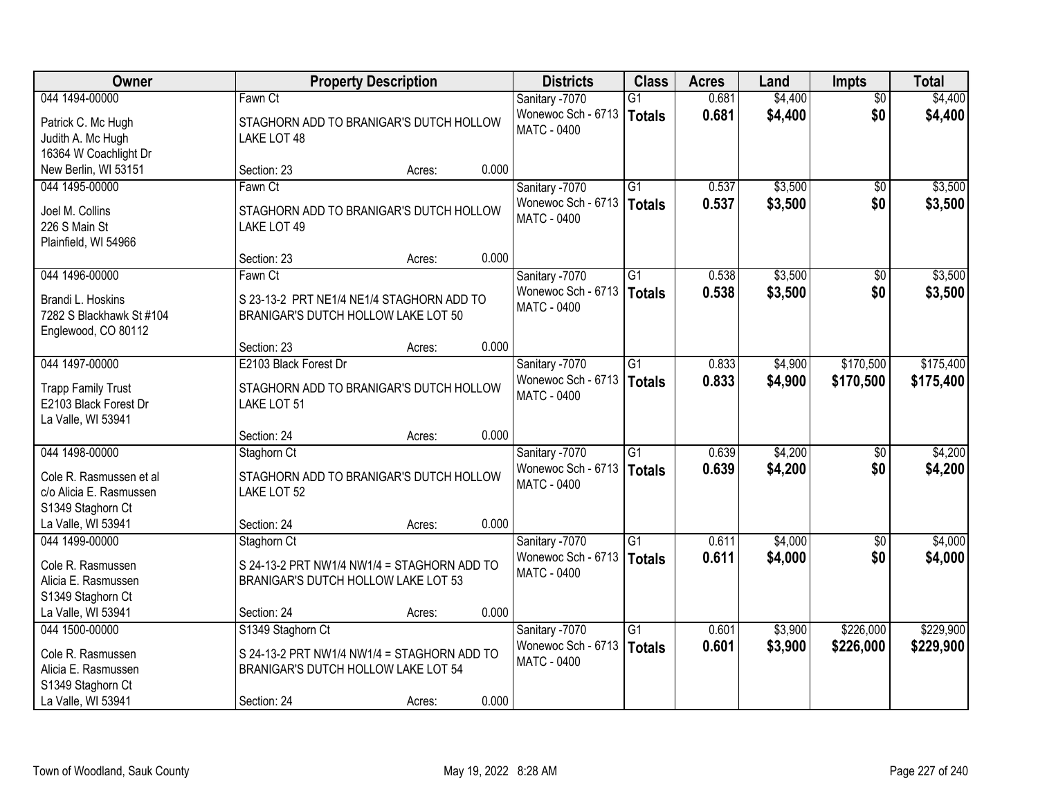| Owner                     |                                             | <b>Property Description</b> |       | <b>Districts</b>   | <b>Class</b>    | <b>Acres</b> | Land    | <b>Impts</b>    | <b>Total</b> |
|---------------------------|---------------------------------------------|-----------------------------|-------|--------------------|-----------------|--------------|---------|-----------------|--------------|
| 044 1494-00000            | Fawn Ct                                     |                             |       | Sanitary -7070     | $\overline{G1}$ | 0.681        | \$4,400 | $\overline{50}$ | \$4,400      |
| Patrick C. Mc Hugh        | STAGHORN ADD TO BRANIGAR'S DUTCH HOLLOW     |                             |       | Wonewoc Sch - 6713 | Totals          | 0.681        | \$4,400 | \$0             | \$4,400      |
| Judith A. Mc Hugh         | LAKE LOT 48                                 |                             |       | MATC - 0400        |                 |              |         |                 |              |
| 16364 W Coachlight Dr     |                                             |                             |       |                    |                 |              |         |                 |              |
| New Berlin, WI 53151      | Section: 23                                 | Acres:                      | 0.000 |                    |                 |              |         |                 |              |
| 044 1495-00000            | Fawn Ct                                     |                             |       | Sanitary -7070     | $\overline{G1}$ | 0.537        | \$3,500 | $\overline{50}$ | \$3,500      |
| Joel M. Collins           | STAGHORN ADD TO BRANIGAR'S DUTCH HOLLOW     |                             |       | Wonewoc Sch - 6713 | Totals          | 0.537        | \$3,500 | \$0             | \$3,500      |
| 226 S Main St             | LAKE LOT 49                                 |                             |       | <b>MATC - 0400</b> |                 |              |         |                 |              |
| Plainfield, WI 54966      |                                             |                             |       |                    |                 |              |         |                 |              |
|                           | Section: 23                                 | Acres:                      | 0.000 |                    |                 |              |         |                 |              |
| 044 1496-00000            | Fawn Ct                                     |                             |       | Sanitary -7070     | G1              | 0.538        | \$3,500 | \$0             | \$3,500      |
| Brandi L. Hoskins         | S 23-13-2 PRT NE1/4 NE1/4 STAGHORN ADD TO   |                             |       | Wonewoc Sch - 6713 | Totals          | 0.538        | \$3,500 | \$0             | \$3,500      |
| 7282 S Blackhawk St #104  | BRANIGAR'S DUTCH HOLLOW LAKE LOT 50         |                             |       | <b>MATC - 0400</b> |                 |              |         |                 |              |
| Englewood, CO 80112       |                                             |                             |       |                    |                 |              |         |                 |              |
|                           | Section: 23                                 | Acres:                      | 0.000 |                    |                 |              |         |                 |              |
| 044 1497-00000            | E2103 Black Forest Dr                       |                             |       | Sanitary -7070     | $\overline{G1}$ | 0.833        | \$4,900 | \$170,500       | \$175,400    |
| <b>Trapp Family Trust</b> | STAGHORN ADD TO BRANIGAR'S DUTCH HOLLOW     |                             |       | Wonewoc Sch - 6713 | <b>Totals</b>   | 0.833        | \$4,900 | \$170,500       | \$175,400    |
| E2103 Black Forest Dr     | LAKE LOT 51                                 |                             |       | MATC - 0400        |                 |              |         |                 |              |
| La Valle, WI 53941        |                                             |                             |       |                    |                 |              |         |                 |              |
|                           | Section: 24                                 | Acres:                      | 0.000 |                    |                 |              |         |                 |              |
| 044 1498-00000            | Staghorn Ct                                 |                             |       | Sanitary -7070     | $\overline{G1}$ | 0.639        | \$4,200 | \$0             | \$4,200      |
| Cole R. Rasmussen et al   | STAGHORN ADD TO BRANIGAR'S DUTCH HOLLOW     |                             |       | Wonewoc Sch - 6713 | Totals          | 0.639        | \$4,200 | \$0             | \$4,200      |
| c/o Alicia E. Rasmussen   | LAKE LOT 52                                 |                             |       | <b>MATC - 0400</b> |                 |              |         |                 |              |
| S1349 Staghorn Ct         |                                             |                             |       |                    |                 |              |         |                 |              |
| La Valle, WI 53941        | Section: 24                                 | Acres:                      | 0.000 |                    |                 |              |         |                 |              |
| 044 1499-00000            | Staghorn Ct                                 |                             |       | Sanitary -7070     | $\overline{G1}$ | 0.611        | \$4,000 | \$0             | \$4,000      |
| Cole R. Rasmussen         | S 24-13-2 PRT NW1/4 NW1/4 = STAGHORN ADD TO |                             |       | Wonewoc Sch - 6713 | Totals          | 0.611        | \$4,000 | \$0             | \$4,000      |
| Alicia E. Rasmussen       | BRANIGAR'S DUTCH HOLLOW LAKE LOT 53         |                             |       | <b>MATC - 0400</b> |                 |              |         |                 |              |
| S1349 Staghorn Ct         |                                             |                             |       |                    |                 |              |         |                 |              |
| La Valle, WI 53941        | Section: 24                                 | Acres:                      | 0.000 |                    |                 |              |         |                 |              |
| 044 1500-00000            | S1349 Staghorn Ct                           |                             |       | Sanitary -7070     | $\overline{G1}$ | 0.601        | \$3,900 | \$226,000       | \$229,900    |
| Cole R. Rasmussen         | S 24-13-2 PRT NW1/4 NW1/4 = STAGHORN ADD TO |                             |       | Wonewoc Sch - 6713 | Totals          | 0.601        | \$3,900 | \$226,000       | \$229,900    |
| Alicia E. Rasmussen       | BRANIGAR'S DUTCH HOLLOW LAKE LOT 54         |                             |       | MATC - 0400        |                 |              |         |                 |              |
| S1349 Staghorn Ct         |                                             |                             |       |                    |                 |              |         |                 |              |
| La Valle, WI 53941        | Section: 24                                 | Acres:                      | 0.000 |                    |                 |              |         |                 |              |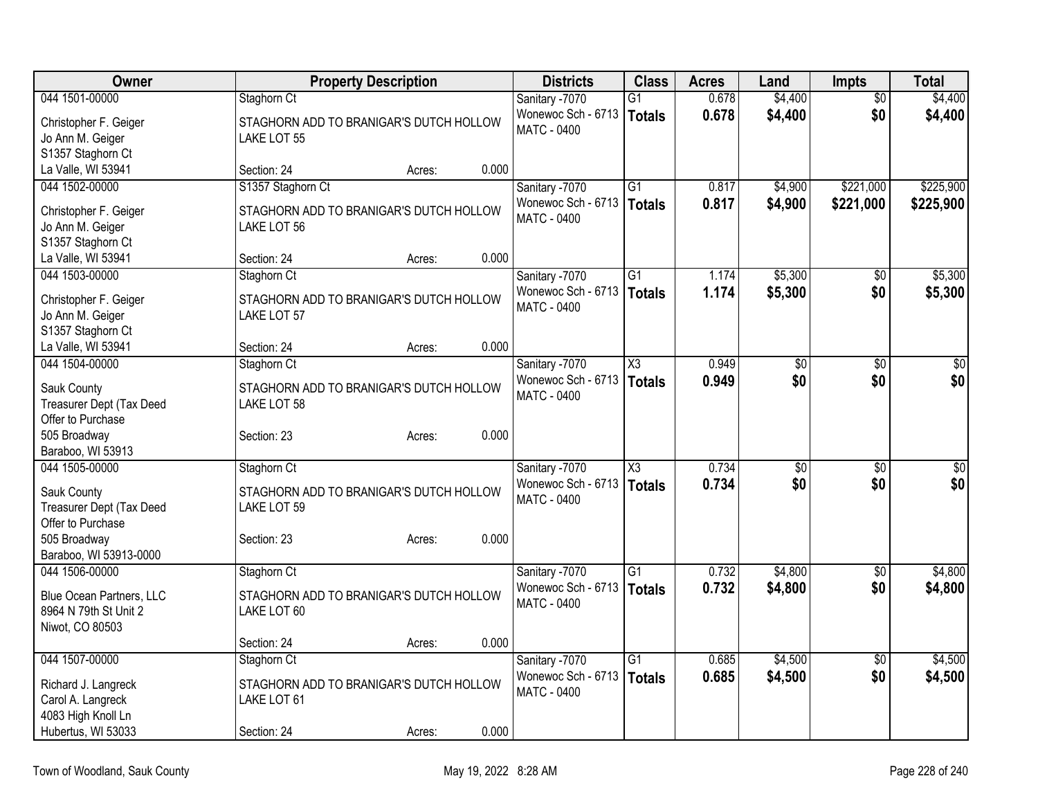| Owner<br><b>Districts</b><br><b>Class</b><br><b>Acres</b><br><b>Property Description</b><br>Land                          | <b>Impts</b>                       | <b>Total</b>    |
|---------------------------------------------------------------------------------------------------------------------------|------------------------------------|-----------------|
| 0.678<br>\$4,400<br>044 1501-00000<br>Staghorn Ct<br>Sanitary -7070<br>$\overline{G1}$                                    | $\overline{50}$                    | \$4,400         |
| Wonewoc Sch - 6713<br>0.678<br>\$4,400<br>Totals<br>Christopher F. Geiger<br>STAGHORN ADD TO BRANIGAR'S DUTCH HOLLOW      | \$0                                | \$4,400         |
| MATC - 0400<br>Jo Ann M. Geiger<br>LAKE LOT 55                                                                            |                                    |                 |
| S1357 Staghorn Ct                                                                                                         |                                    |                 |
| La Valle, WI 53941<br>0.000<br>Section: 24<br>Acres:                                                                      |                                    |                 |
| 044 1502-00000<br>Sanitary -7070<br>$\overline{G1}$<br>\$4,900<br>S1357 Staghorn Ct<br>0.817                              | \$221,000                          | \$225,900       |
| Wonewoc Sch - 6713<br>0.817<br>\$4,900<br>Totals<br>Christopher F. Geiger<br>STAGHORN ADD TO BRANIGAR'S DUTCH HOLLOW      | \$221,000                          | \$225,900       |
| MATC - 0400<br>Jo Ann M. Geiger<br>LAKE LOT 56                                                                            |                                    |                 |
| S1357 Staghorn Ct                                                                                                         |                                    |                 |
| 0.000<br>La Valle, WI 53941<br>Section: 24<br>Acres:                                                                      |                                    |                 |
| Sanitary -7070<br>$\overline{G1}$<br>\$5,300<br>044 1503-00000<br>1.174<br>Staghorn Ct                                    | \$0                                | \$5,300         |
| Wonewoc Sch - 6713<br>1.174<br>\$5,300<br>Totals                                                                          | \$0                                | \$5,300         |
| Christopher F. Geiger<br>STAGHORN ADD TO BRANIGAR'S DUTCH HOLLOW<br>MATC - 0400                                           |                                    |                 |
| Jo Ann M. Geiger<br>LAKE LOT 57                                                                                           |                                    |                 |
| S1357 Staghorn Ct                                                                                                         |                                    |                 |
| 0.000<br>La Valle, WI 53941<br>Section: 24<br>Acres:                                                                      |                                    |                 |
| 044 1504-00000<br>X3<br>0.949<br>Staghorn Ct<br>Sanitary -7070                                                            | $\overline{50}$<br>$\overline{30}$ | $\overline{30}$ |
| Wonewoc Sch - 6713<br>0.949<br><b>Totals</b><br>Sauk County<br>STAGHORN ADD TO BRANIGAR'S DUTCH HOLLOW                    | \$0<br>\$0                         | \$0             |
| MATC - 0400<br>Treasurer Dept (Tax Deed<br>LAKE LOT 58                                                                    |                                    |                 |
| Offer to Purchase                                                                                                         |                                    |                 |
| 0.000<br>505 Broadway<br>Section: 23<br>Acres:                                                                            |                                    |                 |
| Baraboo, WI 53913                                                                                                         |                                    |                 |
| 0.734<br>044 1505-00000<br>Staghorn Ct<br>Sanitary -7070<br>$\overline{\text{X3}}$                                        | $\overline{50}$<br>\$0             | \$0             |
| Wonewoc Sch - 6713<br>0.734<br>Totals                                                                                     | \$0<br>\$0                         | \$0             |
| Sauk County<br>STAGHORN ADD TO BRANIGAR'S DUTCH HOLLOW<br><b>MATC - 0400</b><br>LAKE LOT 59                               |                                    |                 |
| Treasurer Dept (Tax Deed<br>Offer to Purchase                                                                             |                                    |                 |
| 505 Broadway<br>0.000                                                                                                     |                                    |                 |
| Section: 23<br>Acres:<br>Baraboo, WI 53913-0000                                                                           |                                    |                 |
| \$4,800<br>044 1506-00000<br>Staghorn Ct<br>Sanitary -7070<br>$\overline{G1}$<br>0.732                                    | \$0                                | \$4,800         |
| Wonewoc Sch - 6713<br>0.732<br>\$4,800                                                                                    | \$0                                |                 |
| Totals<br><b>Blue Ocean Partners, LLC</b><br>STAGHORN ADD TO BRANIGAR'S DUTCH HOLLOW<br>MATC - 0400                       |                                    | \$4,800         |
| 8964 N 79th St Unit 2<br>LAKE LOT 60                                                                                      |                                    |                 |
| Niwot, CO 80503                                                                                                           |                                    |                 |
| 0.000<br>Section: 24<br>Acres:                                                                                            |                                    |                 |
| 044 1507-00000<br>Staghorn Ct<br>Sanitary -7070<br>$\overline{G1}$<br>\$4,500<br>0.685                                    | $\overline{50}$                    | \$4,500         |
| Wonewoc Sch - 6713<br>0.685<br>\$4,500<br><b>Totals</b><br>Richard J. Langreck<br>STAGHORN ADD TO BRANIGAR'S DUTCH HOLLOW | \$0                                | \$4,500         |
| <b>MATC - 0400</b><br>Carol A. Langreck<br>LAKE LOT 61                                                                    |                                    |                 |
| 4083 High Knoll Ln                                                                                                        |                                    |                 |
| 0.000<br>Hubertus, WI 53033<br>Section: 24<br>Acres:                                                                      |                                    |                 |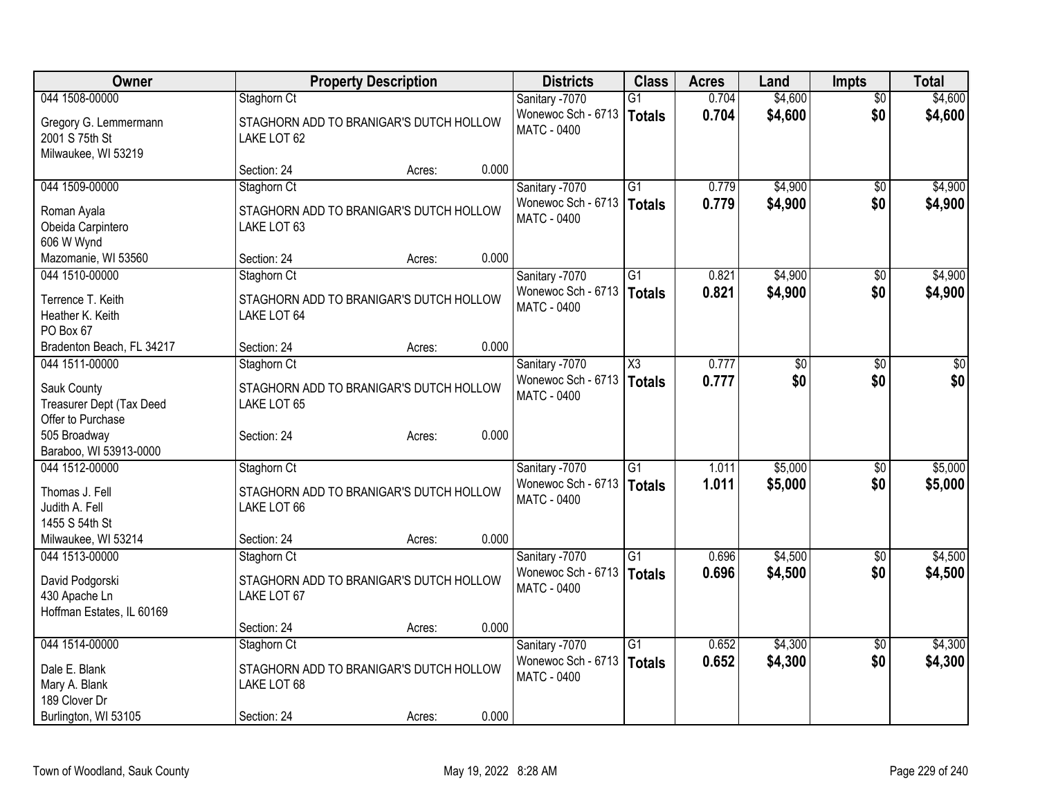| <b>Owner</b>                                  |                                                        | <b>Property Description</b> |       | <b>Districts</b>   | <b>Class</b>        | <b>Acres</b> | Land            | <b>Impts</b>    | <b>Total</b> |
|-----------------------------------------------|--------------------------------------------------------|-----------------------------|-------|--------------------|---------------------|--------------|-----------------|-----------------|--------------|
| 044 1508-00000                                | Staghorn Ct                                            |                             |       | Sanitary -7070     | $\overline{G1}$     | 0.704        | \$4,600         | $\overline{50}$ | \$4,600      |
| Gregory G. Lemmermann                         | STAGHORN ADD TO BRANIGAR'S DUTCH HOLLOW                |                             |       | Wonewoc Sch - 6713 | Totals              | 0.704        | \$4,600         | \$0             | \$4,600      |
| 2001 S 75th St                                | LAKE LOT 62                                            |                             |       | <b>MATC - 0400</b> |                     |              |                 |                 |              |
| Milwaukee, WI 53219                           |                                                        |                             |       |                    |                     |              |                 |                 |              |
|                                               | Section: 24                                            | Acres:                      | 0.000 |                    |                     |              |                 |                 |              |
| 044 1509-00000                                | Staghorn Ct                                            |                             |       | Sanitary -7070     | $\overline{G1}$     | 0.779        | \$4,900         | $\overline{30}$ | \$4,900      |
| Roman Ayala                                   | STAGHORN ADD TO BRANIGAR'S DUTCH HOLLOW                |                             |       | Wonewoc Sch - 6713 | Totals              | 0.779        | \$4,900         | \$0             | \$4,900      |
| Obeida Carpintero                             | LAKE LOT 63                                            |                             |       | <b>MATC - 0400</b> |                     |              |                 |                 |              |
| 606 W Wynd                                    |                                                        |                             |       |                    |                     |              |                 |                 |              |
| Mazomanie, WI 53560                           | Section: 24                                            | Acres:                      | 0.000 |                    |                     |              |                 |                 |              |
| 044 1510-00000                                | Staghorn Ct                                            |                             |       | Sanitary -7070     | $\overline{G1}$     | 0.821        | \$4,900         | \$0             | \$4,900      |
| Terrence T. Keith                             | STAGHORN ADD TO BRANIGAR'S DUTCH HOLLOW                |                             |       | Wonewoc Sch - 6713 | Totals              | 0.821        | \$4,900         | \$0             | \$4,900      |
| Heather K. Keith                              | LAKE LOT 64                                            |                             |       | MATC - 0400        |                     |              |                 |                 |              |
| PO Box 67                                     |                                                        |                             |       |                    |                     |              |                 |                 |              |
| Bradenton Beach, FL 34217                     | Section: 24                                            | Acres:                      | 0.000 |                    |                     |              |                 |                 |              |
| 044 1511-00000                                | Staghorn Ct                                            |                             |       | Sanitary -7070     | $\overline{\chi_3}$ | 0.777        | $\overline{50}$ | \$0             | $\sqrt{50}$  |
|                                               |                                                        |                             |       | Wonewoc Sch - 6713 | Totals              | 0.777        | \$0             | \$0             | \$0          |
| Sauk County                                   | STAGHORN ADD TO BRANIGAR'S DUTCH HOLLOW                |                             |       | <b>MATC - 0400</b> |                     |              |                 |                 |              |
| Treasurer Dept (Tax Deed<br>Offer to Purchase | LAKE LOT 65                                            |                             |       |                    |                     |              |                 |                 |              |
| 505 Broadway                                  | Section: 24                                            | Acres:                      | 0.000 |                    |                     |              |                 |                 |              |
| Baraboo, WI 53913-0000                        |                                                        |                             |       |                    |                     |              |                 |                 |              |
| 044 1512-00000                                | Staghorn Ct                                            |                             |       | Sanitary -7070     | $\overline{G1}$     | 1.011        | \$5,000         | $\sqrt{6}$      | \$5,000      |
|                                               |                                                        |                             |       | Wonewoc Sch - 6713 | Totals              | 1.011        | \$5,000         | \$0             | \$5,000      |
| Thomas J. Fell<br>Judith A. Fell              | STAGHORN ADD TO BRANIGAR'S DUTCH HOLLOW<br>LAKE LOT 66 |                             |       | MATC - 0400        |                     |              |                 |                 |              |
| 1455 S 54th St                                |                                                        |                             |       |                    |                     |              |                 |                 |              |
| Milwaukee, WI 53214                           | Section: 24                                            | Acres:                      | 0.000 |                    |                     |              |                 |                 |              |
| 044 1513-00000                                | Staghorn Ct                                            |                             |       | Sanitary -7070     | $\overline{G1}$     | 0.696        | \$4,500         | $\overline{30}$ | \$4,500      |
|                                               |                                                        |                             |       | Wonewoc Sch - 6713 | Totals              | 0.696        | \$4,500         | \$0             | \$4,500      |
| David Podgorski                               | STAGHORN ADD TO BRANIGAR'S DUTCH HOLLOW                |                             |       | MATC - 0400        |                     |              |                 |                 |              |
| 430 Apache Ln                                 | LAKE LOT 67                                            |                             |       |                    |                     |              |                 |                 |              |
| Hoffman Estates, IL 60169                     | Section: 24                                            | Acres:                      | 0.000 |                    |                     |              |                 |                 |              |
| 044 1514-00000                                | Staghorn Ct                                            |                             |       | Sanitary -7070     | $\overline{G1}$     | 0.652        | \$4,300         | $\overline{50}$ | \$4,300      |
|                                               |                                                        |                             |       | Wonewoc Sch - 6713 | Totals              | 0.652        | \$4,300         | \$0             | \$4,300      |
| Dale E. Blank                                 | STAGHORN ADD TO BRANIGAR'S DUTCH HOLLOW                |                             |       | <b>MATC - 0400</b> |                     |              |                 |                 |              |
| Mary A. Blank                                 | LAKE LOT 68                                            |                             |       |                    |                     |              |                 |                 |              |
| 189 Clover Dr                                 |                                                        |                             |       |                    |                     |              |                 |                 |              |
| Burlington, WI 53105                          | Section: 24                                            | Acres:                      | 0.000 |                    |                     |              |                 |                 |              |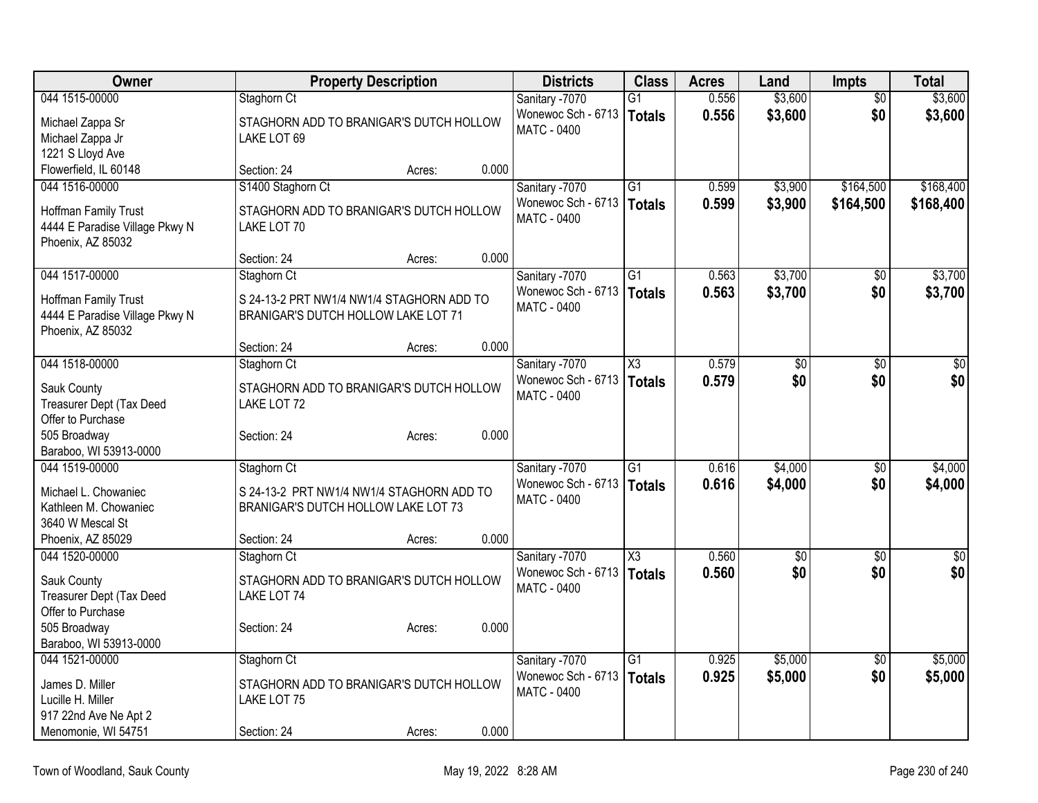| <b>Owner</b>                   | <b>Property Description</b>               |       | <b>Districts</b>   | <b>Class</b>        | <b>Acres</b> | Land        | Impts           | <b>Total</b> |
|--------------------------------|-------------------------------------------|-------|--------------------|---------------------|--------------|-------------|-----------------|--------------|
| 044 1515-00000                 | Staghorn Ct                               |       | Sanitary -7070     | G1                  | 0.556        | \$3,600     | $\overline{50}$ | \$3,600      |
| Michael Zappa Sr               | STAGHORN ADD TO BRANIGAR'S DUTCH HOLLOW   |       | Wonewoc Sch - 6713 | Totals              | 0.556        | \$3,600     | \$0             | \$3,600      |
| Michael Zappa Jr               | LAKE LOT 69                               |       | MATC - 0400        |                     |              |             |                 |              |
| 1221 S Lloyd Ave               |                                           |       |                    |                     |              |             |                 |              |
| Flowerfield, IL 60148          | Section: 24<br>Acres:                     | 0.000 |                    |                     |              |             |                 |              |
| 044 1516-00000                 | S1400 Staghorn Ct                         |       | Sanitary -7070     | G <sub>1</sub>      | 0.599        | \$3,900     | \$164,500       | \$168,400    |
| Hoffman Family Trust           | STAGHORN ADD TO BRANIGAR'S DUTCH HOLLOW   |       | Wonewoc Sch - 6713 | Totals              | 0.599        | \$3,900     | \$164,500       | \$168,400    |
| 4444 E Paradise Village Pkwy N | LAKE LOT 70                               |       | MATC - 0400        |                     |              |             |                 |              |
| Phoenix, AZ 85032              |                                           |       |                    |                     |              |             |                 |              |
|                                | Section: 24<br>Acres:                     | 0.000 |                    |                     |              |             |                 |              |
| 044 1517-00000                 | Staghorn Ct                               |       | Sanitary -7070     | $\overline{G1}$     | 0.563        | \$3,700     | \$0             | \$3,700      |
| Hoffman Family Trust           | S 24-13-2 PRT NW1/4 NW1/4 STAGHORN ADD TO |       | Wonewoc Sch - 6713 | Totals              | 0.563        | \$3,700     | \$0             | \$3,700      |
| 4444 E Paradise Village Pkwy N | BRANIGAR'S DUTCH HOLLOW LAKE LOT 71       |       | MATC - 0400        |                     |              |             |                 |              |
| Phoenix, AZ 85032              |                                           |       |                    |                     |              |             |                 |              |
|                                | Section: 24<br>Acres:                     | 0.000 |                    |                     |              |             |                 |              |
| 044 1518-00000                 | Staghorn Ct                               |       | Sanitary -7070     | $\overline{\chi_3}$ | 0.579        | \$0         | $\overline{50}$ | $\sqrt{50}$  |
| Sauk County                    | STAGHORN ADD TO BRANIGAR'S DUTCH HOLLOW   |       | Wonewoc Sch - 6713 | Totals              | 0.579        | \$0         | \$0             | \$0          |
| Treasurer Dept (Tax Deed       | LAKE LOT 72                               |       | MATC - 0400        |                     |              |             |                 |              |
| Offer to Purchase              |                                           |       |                    |                     |              |             |                 |              |
| 505 Broadway                   | Section: 24<br>Acres:                     | 0.000 |                    |                     |              |             |                 |              |
| Baraboo, WI 53913-0000         |                                           |       |                    |                     |              |             |                 |              |
| 044 1519-00000                 | Staghorn Ct                               |       | Sanitary -7070     | $\overline{G1}$     | 0.616        | \$4,000     | $\sqrt{6}$      | \$4,000      |
| Michael L. Chowaniec           | S 24-13-2 PRT NW1/4 NW1/4 STAGHORN ADD TO |       | Wonewoc Sch - 6713 | Totals              | 0.616        | \$4,000     | \$0             | \$4,000      |
| Kathleen M. Chowaniec          | BRANIGAR'S DUTCH HOLLOW LAKE LOT 73       |       | <b>MATC - 0400</b> |                     |              |             |                 |              |
| 3640 W Mescal St               |                                           |       |                    |                     |              |             |                 |              |
| Phoenix, AZ 85029              | Section: 24<br>Acres:                     | 0.000 |                    |                     |              |             |                 |              |
| 044 1520-00000                 | Staghorn Ct                               |       | Sanitary -7070     | X3                  | 0.560        | $\sqrt{$0}$ | \$0             | $\sqrt{50}$  |
| Sauk County                    | STAGHORN ADD TO BRANIGAR'S DUTCH HOLLOW   |       | Wonewoc Sch - 6713 | Totals              | 0.560        | \$0         | \$0             | \$0          |
| Treasurer Dept (Tax Deed       | LAKE LOT 74                               |       | MATC - 0400        |                     |              |             |                 |              |
| Offer to Purchase              |                                           |       |                    |                     |              |             |                 |              |
| 505 Broadway                   | Section: 24<br>Acres:                     | 0.000 |                    |                     |              |             |                 |              |
| Baraboo, WI 53913-0000         |                                           |       |                    |                     |              |             |                 |              |
| 044 1521-00000                 | Staghorn Ct                               |       | Sanitary -7070     | $\overline{G1}$     | 0.925        | \$5,000     | $\overline{50}$ | \$5,000      |
| James D. Miller                | STAGHORN ADD TO BRANIGAR'S DUTCH HOLLOW   |       | Wonewoc Sch - 6713 | Totals              | 0.925        | \$5,000     | \$0             | \$5,000      |
| Lucille H. Miller              | LAKE LOT 75                               |       | MATC - 0400        |                     |              |             |                 |              |
| 917 22nd Ave Ne Apt 2          |                                           |       |                    |                     |              |             |                 |              |
| Menomonie, WI 54751            | Section: 24<br>Acres:                     | 0.000 |                    |                     |              |             |                 |              |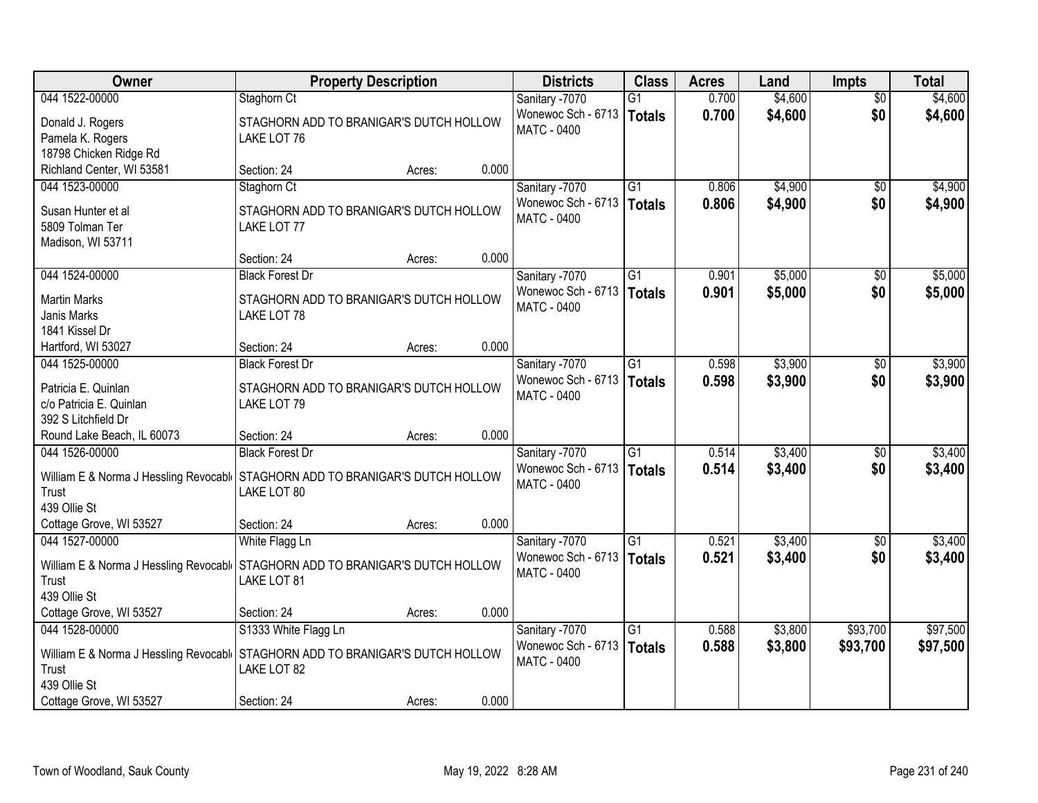| Owner                                                                            | <b>Property Description</b>                                                                    | <b>Districts</b>                                           | <b>Class</b>              | <b>Acres</b>   | Land               | <b>Impts</b>    | <b>Total</b>       |
|----------------------------------------------------------------------------------|------------------------------------------------------------------------------------------------|------------------------------------------------------------|---------------------------|----------------|--------------------|-----------------|--------------------|
| 044 1522-00000                                                                   | Staghorn Ct                                                                                    | Sanitary -7070                                             | $\overline{G1}$           | 0.700          | \$4,600            | $\overline{50}$ | \$4,600            |
| Donald J. Rogers<br>Pamela K. Rogers                                             | STAGHORN ADD TO BRANIGAR'S DUTCH HOLLOW<br>LAKE LOT 76                                         | Wonewoc Sch - 6713<br>MATC - 0400                          | Totals                    | 0.700          | \$4,600            | \$0             | \$4,600            |
| 18798 Chicken Ridge Rd                                                           |                                                                                                |                                                            |                           |                |                    |                 |                    |
| Richland Center, WI 53581<br>044 1523-00000                                      | 0.000<br>Section: 24<br>Acres:<br>Staghorn Ct                                                  |                                                            | $\overline{G1}$           | 0.806          | \$4,900            | $\overline{50}$ | \$4,900            |
|                                                                                  |                                                                                                | Sanitary -7070<br>Wonewoc Sch - 6713                       |                           | 0.806          | \$4,900            | \$0             | \$4,900            |
| Susan Hunter et al<br>5809 Tolman Ter<br>Madison, WI 53711                       | STAGHORN ADD TO BRANIGAR'S DUTCH HOLLOW<br>LAKE LOT 77                                         | MATC - 0400                                                | Totals                    |                |                    |                 |                    |
|                                                                                  | 0.000<br>Section: 24<br>Acres:                                                                 |                                                            |                           |                |                    |                 |                    |
| 044 1524-00000                                                                   | <b>Black Forest Dr</b>                                                                         | Sanitary -7070                                             | $\overline{G1}$           | 0.901          | \$5,000            | \$0             | \$5,000            |
| <b>Martin Marks</b><br>Janis Marks<br>1841 Kissel Dr                             | STAGHORN ADD TO BRANIGAR'S DUTCH HOLLOW<br>LAKE LOT 78                                         | Wonewoc Sch - 6713<br>MATC - 0400                          | Totals                    | 0.901          | \$5,000            | \$0             | \$5,000            |
| Hartford, WI 53027                                                               | 0.000<br>Section: 24<br>Acres:                                                                 |                                                            |                           |                |                    |                 |                    |
| 044 1525-00000                                                                   | <b>Black Forest Dr</b>                                                                         | Sanitary -7070                                             | $\overline{G1}$           | 0.598          | \$3,900            | \$0             | \$3,900            |
| Patricia E. Quinlan<br>c/o Patricia E. Quinlan<br>392 S Litchfield Dr            | STAGHORN ADD TO BRANIGAR'S DUTCH HOLLOW<br>LAKE LOT 79                                         | Wonewoc Sch - 6713<br>MATC - 0400                          | Totals                    | 0.598          | \$3,900            | \$0             | \$3,900            |
| Round Lake Beach, IL 60073                                                       | 0.000<br>Section: 24<br>Acres:                                                                 |                                                            |                           |                |                    |                 |                    |
| 044 1526-00000<br>William E & Norma J Hessling Revocabl<br>Trust<br>439 Ollie St | <b>Black Forest Dr</b><br>STAGHORN ADD TO BRANIGAR'S DUTCH HOLLOW<br>LAKE LOT 80               | Sanitary -7070<br>Wonewoc Sch - 6713<br><b>MATC - 0400</b> | $\overline{G1}$<br>Totals | 0.514<br>0.514 | \$3,400<br>\$3,400 | \$0<br>\$0      | \$3,400<br>\$3,400 |
| Cottage Grove, WI 53527                                                          | 0.000<br>Section: 24<br>Acres:                                                                 |                                                            |                           |                |                    |                 |                    |
| 044 1527-00000                                                                   | White Flagg Ln                                                                                 | Sanitary -7070                                             | $\overline{G1}$           | 0.521          | \$3,400            | \$0             | \$3,400            |
| Trust<br>439 Ollie St                                                            | William E & Norma J Hessling Revocabl   STAGHORN ADD TO BRANIGAR'S DUTCH HOLLOW<br>LAKE LOT 81 | Wonewoc Sch - 6713<br><b>MATC - 0400</b>                   | Totals                    | 0.521          | \$3,400            | \$0             | \$3,400            |
| Cottage Grove, WI 53527                                                          | 0.000<br>Section: 24<br>Acres:                                                                 |                                                            |                           |                |                    |                 |                    |
| 044 1528-00000                                                                   | S1333 White Flagg Ln                                                                           | Sanitary -7070                                             | $\overline{G1}$           | 0.588          | \$3,800            | \$93,700        | \$97,500           |
| Trust<br>439 Ollie St                                                            | William E & Norma J Hessling Revocabl STAGHORN ADD TO BRANIGAR'S DUTCH HOLLOW<br>LAKE LOT 82   | Wonewoc Sch - 6713<br><b>MATC - 0400</b>                   | Totals                    | 0.588          | \$3,800            | \$93,700        | \$97,500           |
| Cottage Grove, WI 53527                                                          | 0.000<br>Section: 24<br>Acres:                                                                 |                                                            |                           |                |                    |                 |                    |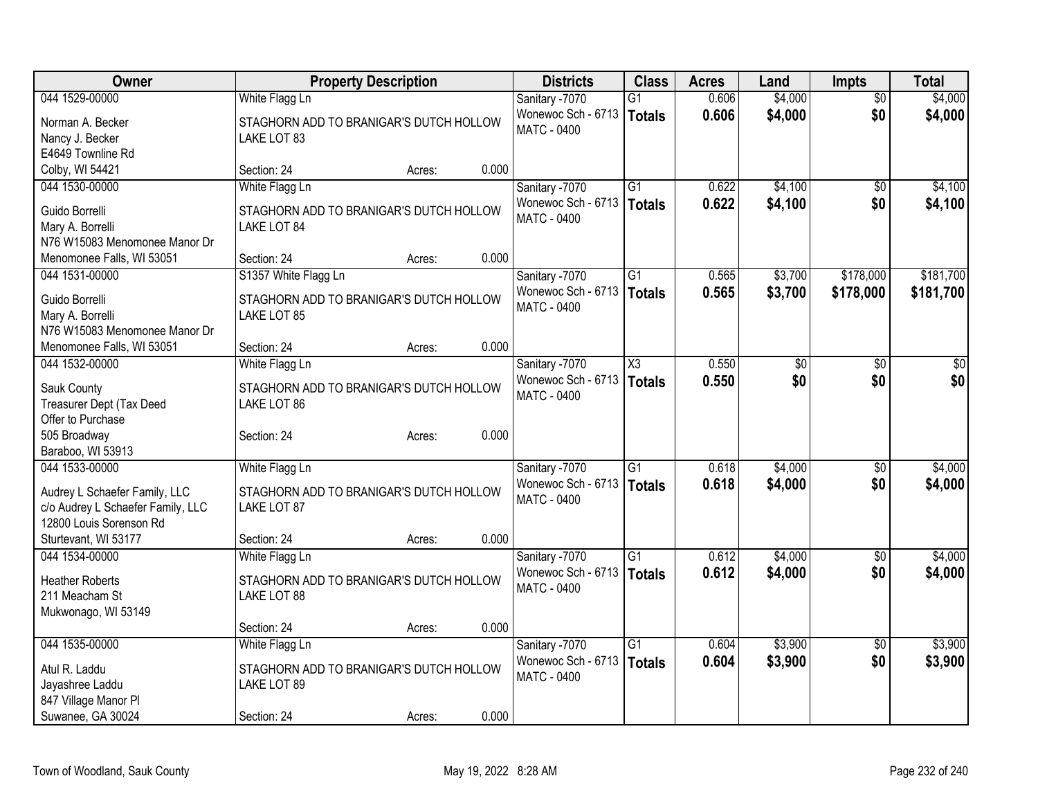| Owner<br><b>Class</b><br><b>Property Description</b><br><b>Districts</b><br><b>Acres</b><br>Land<br><b>Impts</b>                                          | <b>Total</b>    |
|-----------------------------------------------------------------------------------------------------------------------------------------------------------|-----------------|
| 0.606<br>\$4,000<br>044 1529-00000<br>White Flagg Ln<br>Sanitary -7070<br>$\overline{G1}$<br>$\overline{50}$                                              | \$4,000         |
| Wonewoc Sch - 6713<br>0.606<br>\$4,000<br>\$0<br>Totals<br>Norman A. Becker<br>STAGHORN ADD TO BRANIGAR'S DUTCH HOLLOW                                    | \$4,000         |
| <b>MATC - 0400</b><br>Nancy J. Becker<br>LAKE LOT 83                                                                                                      |                 |
| E4649 Townline Rd                                                                                                                                         |                 |
| Colby, WI 54421<br>0.000<br>Section: 24<br>Acres:                                                                                                         |                 |
| 044 1530-00000<br>White Flagg Ln<br>$\overline{G1}$<br>0.622<br>\$4,100<br>Sanitary -7070<br>$\overline{30}$                                              | \$4,100         |
| Wonewoc Sch - 6713<br>0.622<br>\$4,100<br>\$0<br>Totals<br>Guido Borrelli<br>STAGHORN ADD TO BRANIGAR'S DUTCH HOLLOW                                      | \$4,100         |
| <b>MATC - 0400</b><br>Mary A. Borrelli<br>LAKE LOT 84                                                                                                     |                 |
| N76 W15083 Menomonee Manor Dr                                                                                                                             |                 |
| 0.000<br>Menomonee Falls, WI 53051<br>Section: 24<br>Acres:                                                                                               |                 |
| S1357 White Flagg Ln<br>\$3,700<br>\$178,000<br>044 1531-00000<br>Sanitary -7070<br>G1<br>0.565                                                           | \$181,700       |
| Wonewoc Sch - 6713<br>0.565<br>\$3,700<br>\$178,000<br>Totals                                                                                             | \$181,700       |
| Guido Borrelli<br>STAGHORN ADD TO BRANIGAR'S DUTCH HOLLOW<br>MATC - 0400                                                                                  |                 |
| Mary A. Borrelli<br>LAKE LOT 85<br>N76 W15083 Menomonee Manor Dr                                                                                          |                 |
| 0.000<br>Menomonee Falls, WI 53051<br>Section: 24<br>Acres:                                                                                               |                 |
| 0.550<br>044 1532-00000<br>White Flagg Ln<br>Sanitary -7070<br>$\overline{\chi_3}$<br>$\overline{50}$<br>$\overline{30}$                                  | $\overline{50}$ |
| Wonewoc Sch - 6713<br>0.550<br>\$0<br>\$0<br>Totals                                                                                                       | \$0             |
| STAGHORN ADD TO BRANIGAR'S DUTCH HOLLOW<br>Sauk County<br><b>MATC - 0400</b>                                                                              |                 |
| Treasurer Dept (Tax Deed<br>LAKE LOT 86                                                                                                                   |                 |
| Offer to Purchase                                                                                                                                         |                 |
| 505 Broadway<br>0.000<br>Section: 24<br>Acres:                                                                                                            |                 |
| Baraboo, WI 53913                                                                                                                                         |                 |
| 044 1533-00000<br>$\overline{G1}$<br>0.618<br>\$4,000<br>White Flagg Ln<br>Sanitary -7070<br>\$0                                                          | \$4,000         |
| Wonewoc Sch - 6713<br>\$4,000<br>\$0<br>0.618<br>Totals<br>STAGHORN ADD TO BRANIGAR'S DUTCH HOLLOW<br>Audrey L Schaefer Family, LLC<br><b>MATC - 0400</b> | \$4,000         |
| c/o Audrey L Schaefer Family, LLC<br>LAKE LOT 87                                                                                                          |                 |
| 12800 Louis Sorenson Rd                                                                                                                                   |                 |
| 0.000<br>Sturtevant, WI 53177<br>Section: 24<br>Acres:                                                                                                    |                 |
| \$4,000<br>$\overline{G1}$<br>0.612<br>044 1534-00000<br>White Flagg Ln<br>Sanitary -7070<br>\$0                                                          | \$4,000         |
| 0.612<br>\$4,000<br>\$0<br>Wonewoc Sch - 6713<br>Totals<br><b>Heather Roberts</b><br>STAGHORN ADD TO BRANIGAR'S DUTCH HOLLOW                              | \$4,000         |
| <b>MATC - 0400</b><br>211 Meacham St<br>LAKE LOT 88                                                                                                       |                 |
| Mukwonago, WI 53149                                                                                                                                       |                 |
| 0.000<br>Section: 24<br>Acres:                                                                                                                            |                 |
| \$3,900<br>044 1535-00000<br>$\overline{G1}$<br>0.604<br>White Flagg Ln<br>Sanitary -7070<br>$\overline{50}$                                              | \$3,900         |
| \$0<br>Wonewoc Sch - 6713<br>0.604<br>\$3,900<br><b>Totals</b><br>Atul R. Laddu<br>STAGHORN ADD TO BRANIGAR'S DUTCH HOLLOW                                | \$3,900         |
| MATC - 0400<br>LAKE LOT 89<br>Jayashree Laddu                                                                                                             |                 |
| 847 Village Manor Pl                                                                                                                                      |                 |
| Suwanee, GA 30024<br>0.000<br>Section: 24<br>Acres:                                                                                                       |                 |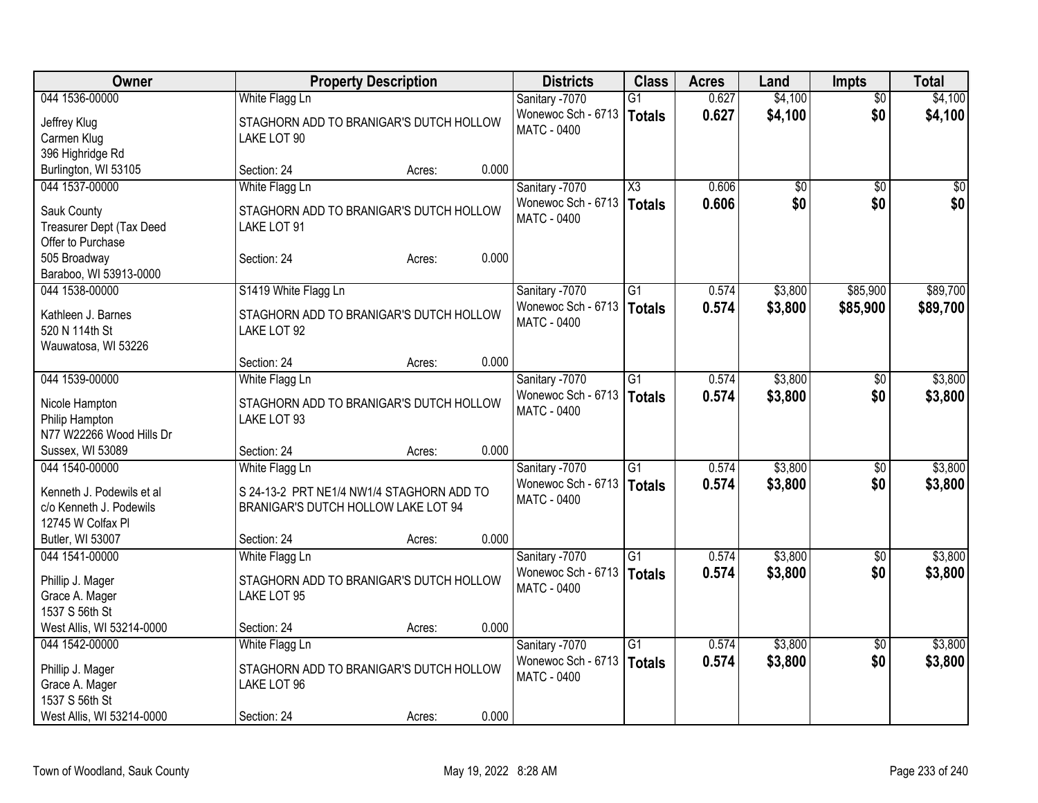| Owner                     | <b>Property Description</b>               | <b>Districts</b>   | <b>Class</b>        | <b>Acres</b> | Land    | Impts           | <b>Total</b> |
|---------------------------|-------------------------------------------|--------------------|---------------------|--------------|---------|-----------------|--------------|
| 044 1536-00000            | White Flagg Ln                            | Sanitary -7070     | $\overline{G1}$     | 0.627        | \$4,100 | $\overline{50}$ | \$4,100      |
| Jeffrey Klug              | STAGHORN ADD TO BRANIGAR'S DUTCH HOLLOW   | Wonewoc Sch - 6713 | <b>Totals</b>       | 0.627        | \$4,100 | \$0             | \$4,100      |
| Carmen Klug               | LAKE LOT 90                               | <b>MATC - 0400</b> |                     |              |         |                 |              |
| 396 Highridge Rd          |                                           |                    |                     |              |         |                 |              |
| Burlington, WI 53105      | 0.000<br>Section: 24<br>Acres:            |                    |                     |              |         |                 |              |
| 044 1537-00000            | White Flagg Ln                            | Sanitary -7070     | $\overline{\chi_3}$ | 0.606        | \$0     | \$0             | \$0          |
| Sauk County               | STAGHORN ADD TO BRANIGAR'S DUTCH HOLLOW   | Wonewoc Sch - 6713 | <b>Totals</b>       | 0.606        | \$0     | \$0             | \$0          |
| Treasurer Dept (Tax Deed  | LAKE LOT 91                               | <b>MATC - 0400</b> |                     |              |         |                 |              |
| Offer to Purchase         |                                           |                    |                     |              |         |                 |              |
| 505 Broadway              | 0.000<br>Section: 24<br>Acres:            |                    |                     |              |         |                 |              |
| Baraboo, WI 53913-0000    |                                           |                    |                     |              |         |                 |              |
| 044 1538-00000            | S1419 White Flagg Ln                      | Sanitary -7070     | G1                  | 0.574        | \$3,800 | \$85,900        | \$89,700     |
|                           |                                           | Wonewoc Sch - 6713 | <b>Totals</b>       | 0.574        | \$3,800 | \$85,900        | \$89,700     |
| Kathleen J. Barnes        | STAGHORN ADD TO BRANIGAR'S DUTCH HOLLOW   | <b>MATC - 0400</b> |                     |              |         |                 |              |
| 520 N 114th St            | LAKE LOT 92                               |                    |                     |              |         |                 |              |
| Wauwatosa, WI 53226       |                                           |                    |                     |              |         |                 |              |
|                           | 0.000<br>Section: 24<br>Acres:            |                    |                     |              |         |                 |              |
| 044 1539-00000            | White Flagg Ln                            | Sanitary -7070     | $\overline{G1}$     | 0.574        | \$3,800 | \$0             | \$3,800      |
| Nicole Hampton            | STAGHORN ADD TO BRANIGAR'S DUTCH HOLLOW   | Wonewoc Sch - 6713 | <b>Totals</b>       | 0.574        | \$3,800 | \$0             | \$3,800      |
| Philip Hampton            | LAKE LOT 93                               | <b>MATC - 0400</b> |                     |              |         |                 |              |
| N77 W22266 Wood Hills Dr  |                                           |                    |                     |              |         |                 |              |
| Sussex, WI 53089          | 0.000<br>Section: 24<br>Acres:            |                    |                     |              |         |                 |              |
| 044 1540-00000            | White Flagg Ln                            | Sanitary -7070     | $\overline{G1}$     | 0.574        | \$3,800 | \$0             | \$3,800      |
| Kenneth J. Podewils et al | S 24-13-2 PRT NE1/4 NW1/4 STAGHORN ADD TO | Wonewoc Sch - 6713 | <b>Totals</b>       | 0.574        | \$3,800 | \$0             | \$3,800      |
| c/o Kenneth J. Podewils   | BRANIGAR'S DUTCH HOLLOW LAKE LOT 94       | <b>MATC - 0400</b> |                     |              |         |                 |              |
| 12745 W Colfax Pl         |                                           |                    |                     |              |         |                 |              |
| Butler, WI 53007          | 0.000<br>Section: 24<br>Acres:            |                    |                     |              |         |                 |              |
| 044 1541-00000            | White Flagg Ln                            | Sanitary -7070     | $\overline{G1}$     | 0.574        | \$3,800 | $\overline{50}$ | \$3,800      |
|                           |                                           | Wonewoc Sch - 6713 | <b>Totals</b>       | 0.574        | \$3,800 | \$0             | \$3,800      |
| Phillip J. Mager          | STAGHORN ADD TO BRANIGAR'S DUTCH HOLLOW   | <b>MATC - 0400</b> |                     |              |         |                 |              |
| Grace A. Mager            | LAKE LOT 95                               |                    |                     |              |         |                 |              |
| 1537 S 56th St            |                                           |                    |                     |              |         |                 |              |
| West Allis, WI 53214-0000 | 0.000<br>Section: 24<br>Acres:            |                    |                     |              |         |                 |              |
| 044 1542-00000            | White Flagg Ln                            | Sanitary -7070     | $\overline{G1}$     | 0.574        | \$3,800 | $\overline{50}$ | \$3,800      |
| Phillip J. Mager          | STAGHORN ADD TO BRANIGAR'S DUTCH HOLLOW   | Wonewoc Sch - 6713 | <b>Totals</b>       | 0.574        | \$3,800 | \$0             | \$3,800      |
| Grace A. Mager            | LAKE LOT 96                               | <b>MATC - 0400</b> |                     |              |         |                 |              |
| 1537 S 56th St            |                                           |                    |                     |              |         |                 |              |
| West Allis, WI 53214-0000 | 0.000<br>Section: 24<br>Acres:            |                    |                     |              |         |                 |              |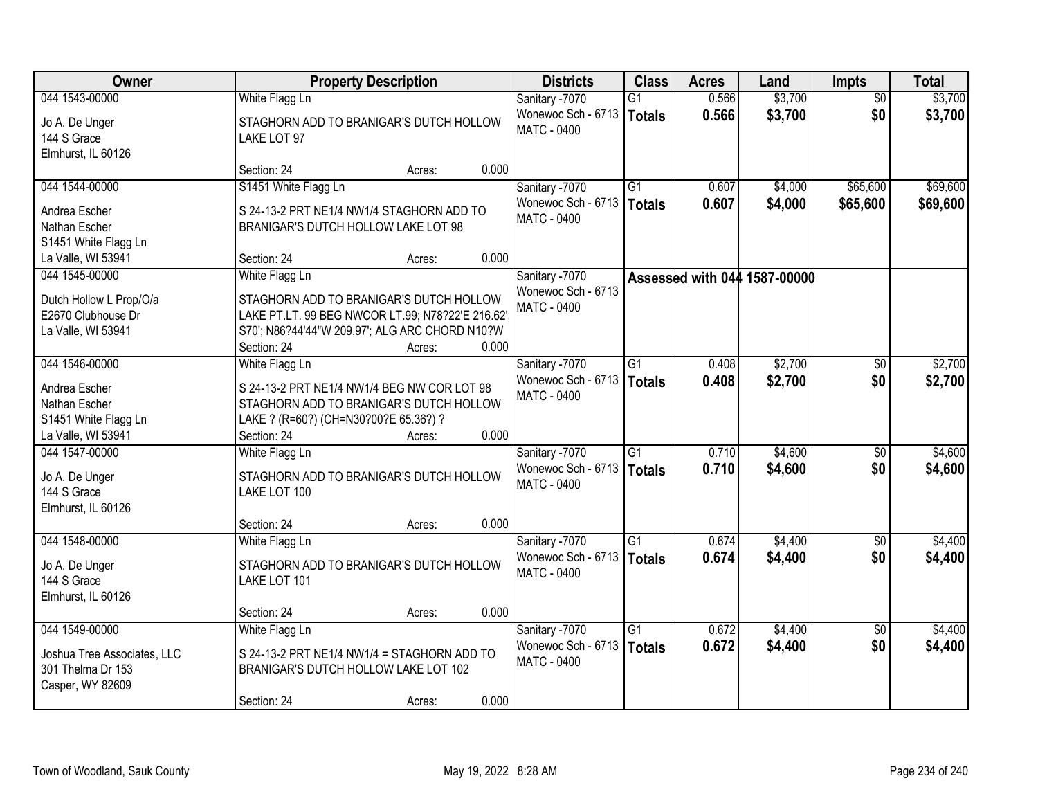| <b>Owner</b>                                                                           | <b>Property Description</b>                                                                                                                                                                        | <b>Districts</b>                                           | <b>Class</b>                     | <b>Acres</b>   | Land                         | <b>Impts</b>           | <b>Total</b>       |
|----------------------------------------------------------------------------------------|----------------------------------------------------------------------------------------------------------------------------------------------------------------------------------------------------|------------------------------------------------------------|----------------------------------|----------------|------------------------------|------------------------|--------------------|
| 044 1543-00000                                                                         | White Flagg Ln                                                                                                                                                                                     | Sanitary -7070                                             | G1                               | 0.566          | \$3,700                      | $\overline{50}$        | \$3,700            |
| Jo A. De Unger<br>144 S Grace<br>Elmhurst, IL 60126                                    | STAGHORN ADD TO BRANIGAR'S DUTCH HOLLOW<br>LAKE LOT 97                                                                                                                                             | Wonewoc Sch - 6713<br><b>MATC - 0400</b>                   | Totals                           | 0.566          | \$3,700                      | \$0                    | \$3,700            |
|                                                                                        | 0.000<br>Section: 24<br>Acres:                                                                                                                                                                     |                                                            |                                  |                |                              |                        |                    |
| 044 1544-00000                                                                         | S1451 White Flagg Ln                                                                                                                                                                               | Sanitary -7070                                             | $\overline{G1}$                  | 0.607          | \$4,000                      | \$65,600               | \$69,600           |
| Andrea Escher<br>Nathan Escher<br>S1451 White Flagg Ln                                 | S 24-13-2 PRT NE1/4 NW1/4 STAGHORN ADD TO<br>BRANIGAR'S DUTCH HOLLOW LAKE LOT 98                                                                                                                   | Wonewoc Sch - 6713<br><b>MATC - 0400</b>                   | Totals                           | 0.607          | \$4,000                      | \$65,600               | \$69,600           |
| La Valle, WI 53941                                                                     | 0.000<br>Section: 24<br>Acres:                                                                                                                                                                     |                                                            |                                  |                |                              |                        |                    |
| 044 1545-00000<br>Dutch Hollow L Prop/O/a<br>E2670 Clubhouse Dr<br>La Valle, WI 53941  | White Flagg Ln<br>STAGHORN ADD TO BRANIGAR'S DUTCH HOLLOW<br>LAKE PT.LT. 99 BEG NWCOR LT.99; N78?22'E 216.62'.<br>S70'; N86?44'44"W 209.97'; ALG ARC CHORD N10?W<br>0.000<br>Section: 24<br>Acres: | Sanitary -7070<br>Wonewoc Sch - 6713<br><b>MATC - 0400</b> |                                  |                | Assessed with 044 1587-00000 |                        |                    |
| 044 1546-00000                                                                         | White Flagg Ln                                                                                                                                                                                     | Sanitary -7070                                             | $\overline{G1}$                  | 0.408          | \$2,700                      | $\sqrt[6]{}$           | \$2,700            |
| Andrea Escher<br>Nathan Escher<br>S1451 White Flagg Ln<br>La Valle, WI 53941           | S 24-13-2 PRT NE1/4 NW1/4 BEG NW COR LOT 98<br>STAGHORN ADD TO BRANIGAR'S DUTCH HOLLOW<br>LAKE ? (R=60?) (CH=N30?00?E 65.36?) ?<br>0.000<br>Section: 24<br>Acres:                                  | Wonewoc Sch - 6713<br>MATC - 0400                          | Totals                           | 0.408          | \$2,700                      | \$0                    | \$2,700            |
| 044 1547-00000                                                                         | White Flagg Ln                                                                                                                                                                                     | Sanitary -7070                                             | $\overline{G1}$                  | 0.710          | \$4,600                      | $\overline{60}$        | \$4,600            |
| Jo A. De Unger<br>144 S Grace<br>Elmhurst, IL 60126                                    | STAGHORN ADD TO BRANIGAR'S DUTCH HOLLOW<br>LAKE LOT 100                                                                                                                                            | Wonewoc Sch - 6713<br>MATC - 0400                          | Totals                           | 0.710          | \$4,600                      | \$0                    | \$4,600            |
|                                                                                        | 0.000<br>Section: 24<br>Acres:                                                                                                                                                                     |                                                            |                                  |                |                              |                        |                    |
| 044 1548-00000<br>Jo A. De Unger<br>144 S Grace<br>Elmhurst, IL 60126                  | White Flagg Ln<br>STAGHORN ADD TO BRANIGAR'S DUTCH HOLLOW<br>LAKE LOT 101                                                                                                                          | Sanitary -7070<br>Wonewoc Sch - 6713<br><b>MATC - 0400</b> | $\overline{G1}$<br><b>Totals</b> | 0.674<br>0.674 | \$4,400<br>\$4,400           | \$0<br>\$0             | \$4,400<br>\$4,400 |
|                                                                                        | 0.000<br>Section: 24<br>Acres:                                                                                                                                                                     |                                                            |                                  |                |                              |                        |                    |
| 044 1549-00000<br>Joshua Tree Associates, LLC<br>301 Thelma Dr 153<br>Casper, WY 82609 | White Flagg Ln<br>S 24-13-2 PRT NE1/4 NW1/4 = STAGHORN ADD TO<br>BRANIGAR'S DUTCH HOLLOW LAKE LOT 102<br>0.000<br>Section: 24<br>Acres:                                                            | Sanitary -7070<br>Wonewoc Sch - 6713<br><b>MATC - 0400</b> | $\overline{G1}$<br>Totals        | 0.672<br>0.672 | \$4,400<br>\$4,400           | $\overline{50}$<br>\$0 | \$4,400<br>\$4,400 |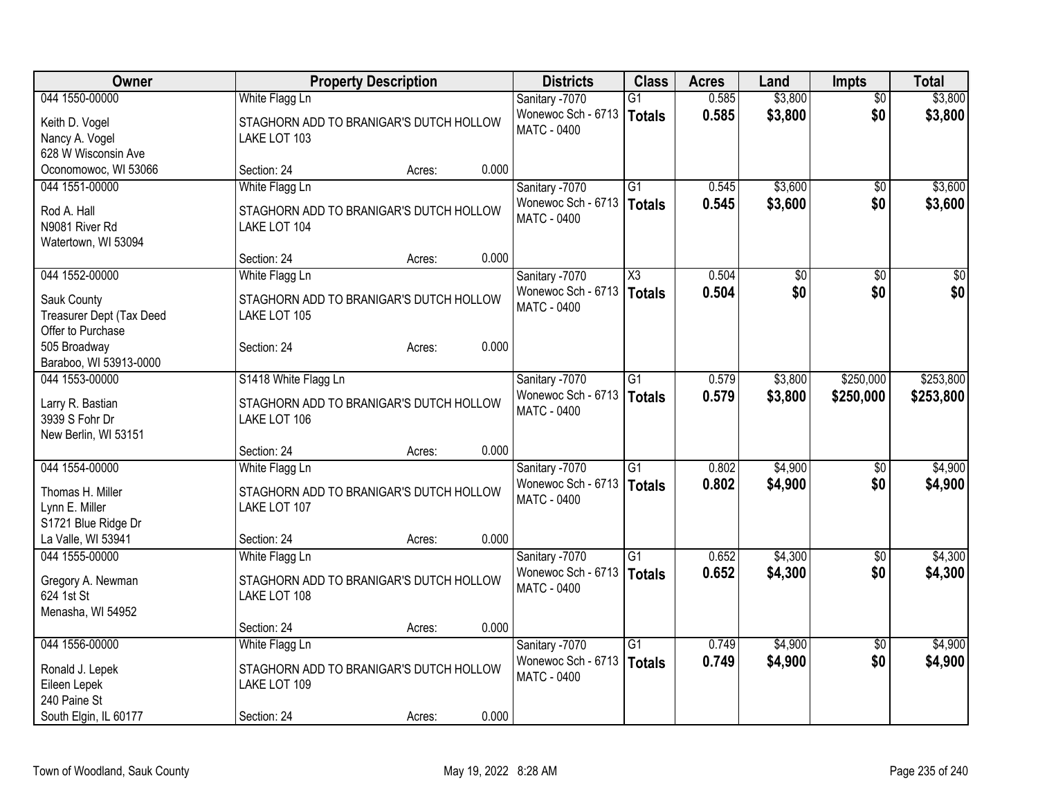| Owner                                   | <b>Property Description</b>                             |       | <b>Districts</b>   | <b>Class</b>           | <b>Acres</b> | Land            | <b>Impts</b>    | <b>Total</b> |
|-----------------------------------------|---------------------------------------------------------|-------|--------------------|------------------------|--------------|-----------------|-----------------|--------------|
| 044 1550-00000                          | White Flagg Ln                                          |       | Sanitary -7070     | $\overline{G1}$        | 0.585        | \$3,800         | $\overline{50}$ | \$3,800      |
| Keith D. Vogel                          | STAGHORN ADD TO BRANIGAR'S DUTCH HOLLOW                 |       | Wonewoc Sch - 6713 | Totals                 | 0.585        | \$3,800         | \$0             | \$3,800      |
| Nancy A. Vogel                          | LAKE LOT 103                                            |       | <b>MATC - 0400</b> |                        |              |                 |                 |              |
| 628 W Wisconsin Ave                     |                                                         |       |                    |                        |              |                 |                 |              |
| Oconomowoc, WI 53066                    | Section: 24<br>Acres:                                   | 0.000 |                    |                        |              |                 |                 |              |
| 044 1551-00000                          | White Flagg Ln                                          |       | Sanitary -7070     | $\overline{G1}$        | 0.545        | \$3,600         | $\overline{30}$ | \$3,600      |
| Rod A. Hall                             | STAGHORN ADD TO BRANIGAR'S DUTCH HOLLOW                 |       | Wonewoc Sch - 6713 | Totals                 | 0.545        | \$3,600         | \$0             | \$3,600      |
| N9081 River Rd                          | LAKE LOT 104                                            |       | <b>MATC - 0400</b> |                        |              |                 |                 |              |
| Watertown, WI 53094                     |                                                         |       |                    |                        |              |                 |                 |              |
|                                         | Section: 24<br>Acres:                                   | 0.000 |                    |                        |              |                 |                 |              |
| 044 1552-00000                          | White Flagg Ln                                          |       | Sanitary -7070     | $\overline{\text{X3}}$ | 0.504        | $\overline{50}$ | \$0             | $\sqrt{50}$  |
|                                         |                                                         |       | Wonewoc Sch - 6713 | Totals                 | 0.504        | \$0             | \$0             | \$0          |
| Sauk County<br>Treasurer Dept (Tax Deed | STAGHORN ADD TO BRANIGAR'S DUTCH HOLLOW<br>LAKE LOT 105 |       | <b>MATC - 0400</b> |                        |              |                 |                 |              |
| Offer to Purchase                       |                                                         |       |                    |                        |              |                 |                 |              |
| 505 Broadway                            | Section: 24<br>Acres:                                   | 0.000 |                    |                        |              |                 |                 |              |
| Baraboo, WI 53913-0000                  |                                                         |       |                    |                        |              |                 |                 |              |
| 044 1553-00000                          | S1418 White Flagg Ln                                    |       | Sanitary -7070     | $\overline{G1}$        | 0.579        | \$3,800         | \$250,000       | \$253,800    |
|                                         |                                                         |       | Wonewoc Sch - 6713 | Totals                 | 0.579        | \$3,800         | \$250,000       | \$253,800    |
| Larry R. Bastian                        | STAGHORN ADD TO BRANIGAR'S DUTCH HOLLOW                 |       | <b>MATC - 0400</b> |                        |              |                 |                 |              |
| 3939 S Fohr Dr                          | LAKE LOT 106                                            |       |                    |                        |              |                 |                 |              |
| New Berlin, WI 53151                    | Section: 24                                             | 0.000 |                    |                        |              |                 |                 |              |
| 044 1554-00000                          | Acres:<br>White Flagg Ln                                |       | Sanitary -7070     | $\overline{G1}$        | 0.802        | \$4,900         | \$0             | \$4,900      |
|                                         |                                                         |       | Wonewoc Sch - 6713 | Totals                 | 0.802        | \$4,900         | \$0             | \$4,900      |
| Thomas H. Miller                        | STAGHORN ADD TO BRANIGAR'S DUTCH HOLLOW                 |       | MATC - 0400        |                        |              |                 |                 |              |
| Lynn E. Miller                          | LAKE LOT 107                                            |       |                    |                        |              |                 |                 |              |
| S1721 Blue Ridge Dr                     |                                                         |       |                    |                        |              |                 |                 |              |
| La Valle, WI 53941                      | Section: 24<br>Acres:                                   | 0.000 |                    |                        |              |                 |                 |              |
| 044 1555-00000                          | White Flagg Ln                                          |       | Sanitary -7070     | $\overline{G1}$        | 0.652        | \$4,300         | $\overline{30}$ | \$4,300      |
| Gregory A. Newman                       | STAGHORN ADD TO BRANIGAR'S DUTCH HOLLOW                 |       | Wonewoc Sch - 6713 | Totals                 | 0.652        | \$4,300         | \$0             | \$4,300      |
| 624 1st St                              | LAKE LOT 108                                            |       | <b>MATC - 0400</b> |                        |              |                 |                 |              |
| Menasha, WI 54952                       |                                                         |       |                    |                        |              |                 |                 |              |
|                                         | Section: 24<br>Acres:                                   | 0.000 |                    |                        |              |                 |                 |              |
| 044 1556-00000                          | White Flagg Ln                                          |       | Sanitary -7070     | $\overline{G1}$        | 0.749        | \$4,900         | $\overline{50}$ | \$4,900      |
| Ronald J. Lepek                         | STAGHORN ADD TO BRANIGAR'S DUTCH HOLLOW                 |       | Wonewoc Sch - 6713 | Totals                 | 0.749        | \$4,900         | \$0             | \$4,900      |
| Eileen Lepek                            | LAKE LOT 109                                            |       | <b>MATC - 0400</b> |                        |              |                 |                 |              |
| 240 Paine St                            |                                                         |       |                    |                        |              |                 |                 |              |
| South Elgin, IL 60177                   | Section: 24<br>Acres:                                   | 0.000 |                    |                        |              |                 |                 |              |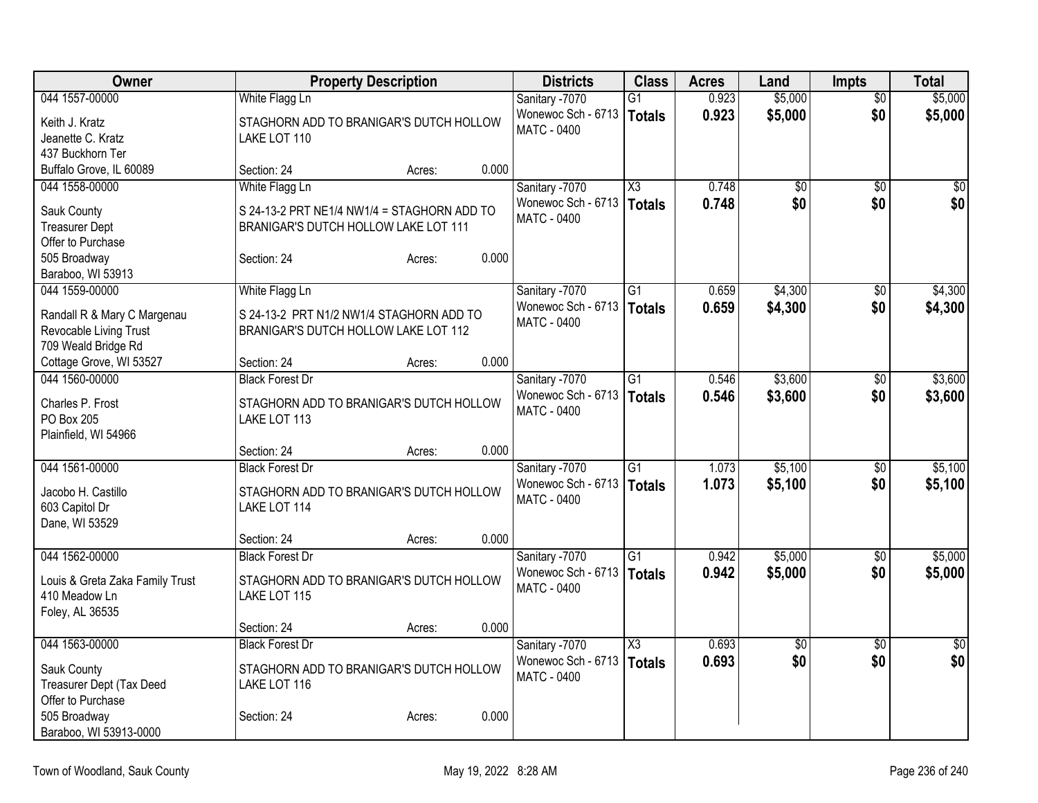| Owner                                     | <b>Property Description</b>                              | <b>Districts</b>                         | <b>Class</b>    | <b>Acres</b>   | Land                   | <b>Impts</b>           | <b>Total</b>    |
|-------------------------------------------|----------------------------------------------------------|------------------------------------------|-----------------|----------------|------------------------|------------------------|-----------------|
| 044 1557-00000                            | White Flagg Ln                                           | Sanitary -7070                           | $\overline{G1}$ | 0.923          | \$5,000                | $\overline{50}$        | \$5,000         |
| Keith J. Kratz                            | STAGHORN ADD TO BRANIGAR'S DUTCH HOLLOW                  | Wonewoc Sch - 6713                       | <b>Totals</b>   | 0.923          | \$5,000                | \$0                    | \$5,000         |
| Jeanette C. Kratz                         | LAKE LOT 110                                             | MATC - 0400                              |                 |                |                        |                        |                 |
| 437 Buckhorn Ter                          |                                                          |                                          |                 |                |                        |                        |                 |
| Buffalo Grove, IL 60089                   | 0.000<br>Section: 24<br>Acres:                           |                                          |                 |                |                        |                        |                 |
| 044 1558-00000                            | White Flagg Ln                                           | Sanitary -7070                           | X3              | 0.748          | \$0                    | \$0                    | \$0             |
| Sauk County                               | S 24-13-2 PRT NE1/4 NW1/4 = STAGHORN ADD TO              | Wonewoc Sch - 6713<br><b>MATC - 0400</b> | <b>Totals</b>   | 0.748          | \$0                    | \$0                    | \$0             |
| <b>Treasurer Dept</b>                     | BRANIGAR'S DUTCH HOLLOW LAKE LOT 111                     |                                          |                 |                |                        |                        |                 |
| Offer to Purchase                         |                                                          |                                          |                 |                |                        |                        |                 |
| 505 Broadway                              | 0.000<br>Section: 24<br>Acres:                           |                                          |                 |                |                        |                        |                 |
| Baraboo, WI 53913<br>044 1559-00000       |                                                          |                                          | $\overline{G1}$ | 0.659          | \$4,300                |                        | \$4,300         |
|                                           | White Flagg Ln                                           | Sanitary -7070<br>Wonewoc Sch - 6713     |                 | 0.659          |                        | $\overline{50}$<br>\$0 |                 |
| Randall R & Mary C Margenau               | S 24-13-2 PRT N1/2 NW1/4 STAGHORN ADD TO                 | <b>MATC - 0400</b>                       | <b>Totals</b>   |                | \$4,300                |                        | \$4,300         |
| Revocable Living Trust                    | BRANIGAR'S DUTCH HOLLOW LAKE LOT 112                     |                                          |                 |                |                        |                        |                 |
| 709 Weald Bridge Rd                       |                                                          |                                          |                 |                |                        |                        |                 |
| Cottage Grove, WI 53527<br>044 1560-00000 | 0.000<br>Section: 24<br>Acres:<br><b>Black Forest Dr</b> |                                          | G1              | 0.546          | \$3,600                |                        | \$3,600         |
|                                           |                                                          | Sanitary -7070<br>Wonewoc Sch - 6713     | <b>Totals</b>   | 0.546          | \$3,600                | \$0<br>\$0             | \$3,600         |
| Charles P. Frost                          | STAGHORN ADD TO BRANIGAR'S DUTCH HOLLOW                  | <b>MATC - 0400</b>                       |                 |                |                        |                        |                 |
| PO Box 205                                | LAKE LOT 113                                             |                                          |                 |                |                        |                        |                 |
| Plainfield, WI 54966                      |                                                          |                                          |                 |                |                        |                        |                 |
| 044 1561-00000                            | 0.000<br>Section: 24<br>Acres:<br><b>Black Forest Dr</b> |                                          | $\overline{G1}$ |                |                        |                        |                 |
|                                           |                                                          | Sanitary -7070<br>Wonewoc Sch - 6713     |                 | 1.073<br>1.073 | \$5,100                | $\sqrt{6}$<br>\$0      | \$5,100         |
| Jacobo H. Castillo                        | STAGHORN ADD TO BRANIGAR'S DUTCH HOLLOW                  | MATC - 0400                              | <b>Totals</b>   |                | \$5,100                |                        | \$5,100         |
| 603 Capitol Dr                            | LAKE LOT 114                                             |                                          |                 |                |                        |                        |                 |
| Dane, WI 53529                            |                                                          |                                          |                 |                |                        |                        |                 |
| 044 1562-00000                            | 0.000<br>Section: 24<br>Acres:                           |                                          |                 |                |                        |                        |                 |
|                                           | <b>Black Forest Dr</b>                                   | Sanitary -7070<br>Wonewoc Sch - 6713     | $\overline{G1}$ | 0.942<br>0.942 | \$5,000<br>\$5,000     | \$0<br>\$0             | \$5,000         |
| Louis & Greta Zaka Family Trust           | STAGHORN ADD TO BRANIGAR'S DUTCH HOLLOW                  | <b>MATC - 0400</b>                       | Totals          |                |                        |                        | \$5,000         |
| 410 Meadow Ln                             | LAKE LOT 115                                             |                                          |                 |                |                        |                        |                 |
| Foley, AL 36535                           |                                                          |                                          |                 |                |                        |                        |                 |
| 044 1563-00000                            | 0.000<br>Section: 24<br>Acres:                           |                                          |                 | 0.693          |                        |                        | $\overline{30}$ |
|                                           | <b>Black Forest Dr</b>                                   | Sanitary -7070<br>Wonewoc Sch - 6713     | X3              | 0.693          | $\overline{60}$<br>\$0 | $\overline{50}$<br>\$0 | \$0             |
| Sauk County                               | STAGHORN ADD TO BRANIGAR'S DUTCH HOLLOW                  | <b>MATC - 0400</b>                       | <b>Totals</b>   |                |                        |                        |                 |
| Treasurer Dept (Tax Deed                  | LAKE LOT 116                                             |                                          |                 |                |                        |                        |                 |
| Offer to Purchase                         |                                                          |                                          |                 |                |                        |                        |                 |
| 505 Broadway<br>Baraboo, WI 53913-0000    | 0.000<br>Section: 24<br>Acres:                           |                                          |                 |                |                        |                        |                 |
|                                           |                                                          |                                          |                 |                |                        |                        |                 |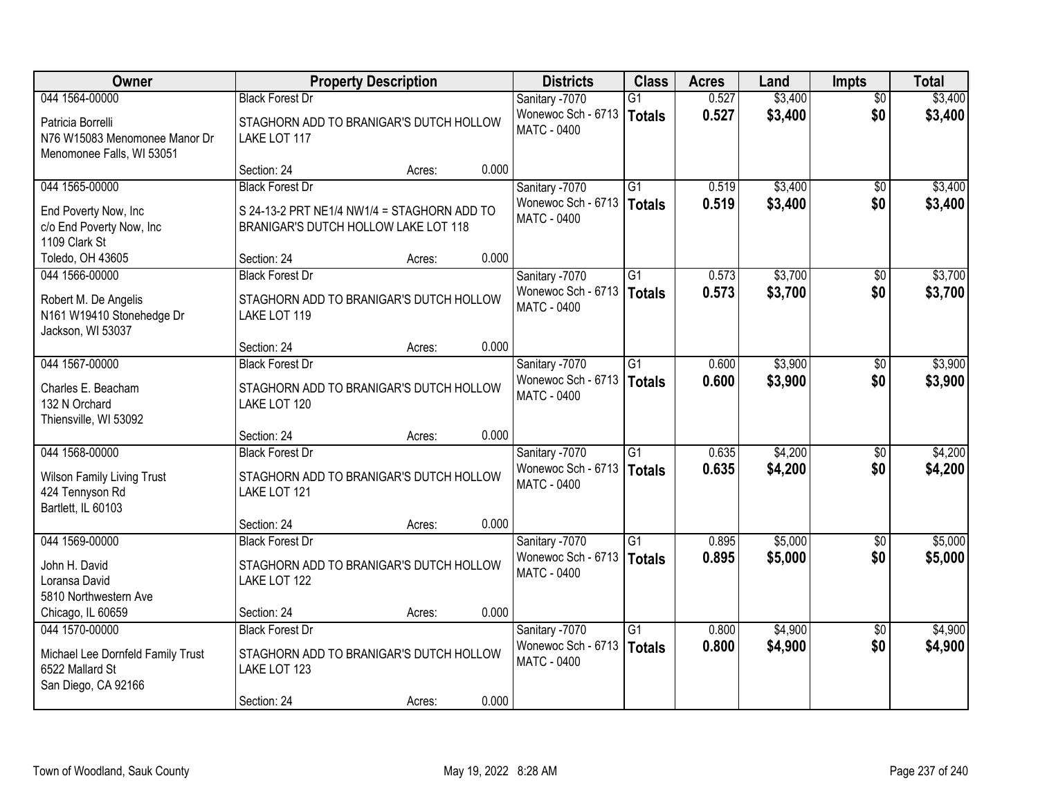| Owner                                                                           |                                                                                     | <b>Property Description</b> |       | <b>Districts</b>                         | <b>Class</b>    | <b>Acres</b> | Land    | <b>Impts</b>    | <b>Total</b> |
|---------------------------------------------------------------------------------|-------------------------------------------------------------------------------------|-----------------------------|-------|------------------------------------------|-----------------|--------------|---------|-----------------|--------------|
| 044 1564-00000                                                                  | <b>Black Forest Dr</b>                                                              |                             |       | Sanitary -7070                           | $\overline{G1}$ | 0.527        | \$3,400 | $\overline{50}$ | \$3,400      |
| Patricia Borrelli<br>N76 W15083 Menomonee Manor Dr<br>Menomonee Falls, WI 53051 | STAGHORN ADD TO BRANIGAR'S DUTCH HOLLOW<br>LAKE LOT 117                             |                             |       | Wonewoc Sch - 6713<br><b>MATC - 0400</b> | <b>Totals</b>   | 0.527        | \$3,400 | \$0             | \$3,400      |
|                                                                                 | Section: 24                                                                         | Acres:                      | 0.000 |                                          |                 |              |         |                 |              |
| 044 1565-00000                                                                  | <b>Black Forest Dr</b>                                                              |                             |       | Sanitary -7070                           | $\overline{G1}$ | 0.519        | \$3,400 | $\overline{50}$ | \$3,400      |
| End Poverty Now, Inc<br>c/o End Poverty Now, Inc<br>1109 Clark St               | S 24-13-2 PRT NE1/4 NW1/4 = STAGHORN ADD TO<br>BRANIGAR'S DUTCH HOLLOW LAKE LOT 118 |                             |       | Wonewoc Sch - 6713<br><b>MATC - 0400</b> | <b>Totals</b>   | 0.519        | \$3,400 | \$0             | \$3,400      |
| Toledo, OH 43605                                                                | Section: 24                                                                         | Acres:                      | 0.000 |                                          |                 |              |         |                 |              |
| 044 1566-00000                                                                  | <b>Black Forest Dr</b>                                                              |                             |       | Sanitary -7070                           | G1              | 0.573        | \$3,700 | $\sqrt{6}$      | \$3,700      |
| Robert M. De Angelis<br>N161 W19410 Stonehedge Dr<br>Jackson, WI 53037          | STAGHORN ADD TO BRANIGAR'S DUTCH HOLLOW<br>LAKE LOT 119                             |                             |       | Wonewoc Sch - 6713<br><b>MATC - 0400</b> | <b>Totals</b>   | 0.573        | \$3,700 | \$0             | \$3,700      |
|                                                                                 | Section: 24                                                                         | Acres:                      | 0.000 |                                          |                 |              |         |                 |              |
| 044 1567-00000                                                                  | <b>Black Forest Dr</b>                                                              |                             |       | Sanitary -7070                           | $\overline{G1}$ | 0.600        | \$3,900 | $\sqrt[6]{}$    | \$3,900      |
| Charles E. Beacham<br>132 N Orchard<br>Thiensville, WI 53092                    | STAGHORN ADD TO BRANIGAR'S DUTCH HOLLOW<br>LAKE LOT 120                             |                             |       | Wonewoc Sch - 6713<br><b>MATC - 0400</b> | <b>Totals</b>   | 0.600        | \$3,900 | \$0             | \$3,900      |
|                                                                                 | Section: 24                                                                         | Acres:                      | 0.000 |                                          |                 |              |         |                 |              |
| 044 1568-00000                                                                  | <b>Black Forest Dr</b>                                                              |                             |       | Sanitary -7070                           | $\overline{G1}$ | 0.635        | \$4,200 | \$0             | \$4,200      |
| <b>Wilson Family Living Trust</b><br>424 Tennyson Rd<br>Bartlett, IL 60103      | STAGHORN ADD TO BRANIGAR'S DUTCH HOLLOW<br>LAKE LOT 121                             |                             |       | Wonewoc Sch - 6713<br><b>MATC - 0400</b> | <b>Totals</b>   | 0.635        | \$4,200 | \$0             | \$4,200      |
|                                                                                 | Section: 24                                                                         | Acres:                      | 0.000 |                                          |                 |              |         |                 |              |
| 044 1569-00000                                                                  | <b>Black Forest Dr</b>                                                              |                             |       | Sanitary -7070                           | $\overline{G1}$ | 0.895        | \$5,000 | $\overline{60}$ | \$5,000      |
| John H. David<br>Loransa David<br>5810 Northwestern Ave                         | STAGHORN ADD TO BRANIGAR'S DUTCH HOLLOW<br>LAKE LOT 122                             |                             |       | Wonewoc Sch - 6713<br><b>MATC - 0400</b> | <b>Totals</b>   | 0.895        | \$5,000 | \$0             | \$5,000      |
| Chicago, IL 60659                                                               | Section: 24                                                                         | Acres:                      | 0.000 |                                          |                 |              |         |                 |              |
| 044 1570-00000                                                                  | <b>Black Forest Dr</b>                                                              |                             |       | Sanitary -7070                           | $\overline{G1}$ | 0.800        | \$4,900 | $\overline{50}$ | \$4,900      |
| Michael Lee Dornfeld Family Trust<br>6522 Mallard St<br>San Diego, CA 92166     | STAGHORN ADD TO BRANIGAR'S DUTCH HOLLOW<br>LAKE LOT 123                             |                             |       | Wonewoc Sch - 6713<br><b>MATC - 0400</b> | <b>Totals</b>   | 0.800        | \$4,900 | \$0             | \$4,900      |
|                                                                                 | Section: 24                                                                         | Acres:                      | 0.000 |                                          |                 |              |         |                 |              |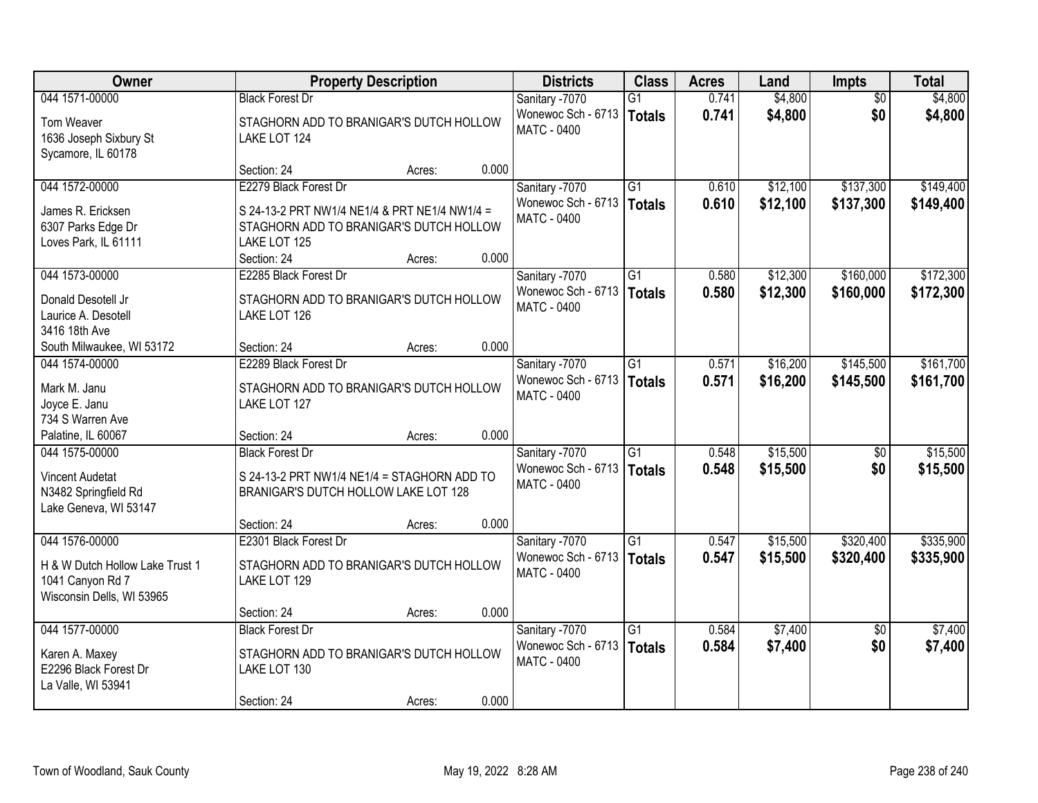| Owner                                | <b>Property Description</b>                             |        |       | <b>Districts</b>                         | <b>Class</b>    | <b>Acres</b> | Land     | <b>Impts</b>    | <b>Total</b> |
|--------------------------------------|---------------------------------------------------------|--------|-------|------------------------------------------|-----------------|--------------|----------|-----------------|--------------|
| 044 1571-00000                       | <b>Black Forest Dr</b>                                  |        |       | Sanitary -7070                           | $\overline{G1}$ | 0.741        | \$4,800  | $\overline{50}$ | \$4,800      |
| Tom Weaver<br>1636 Joseph Sixbury St | STAGHORN ADD TO BRANIGAR'S DUTCH HOLLOW<br>LAKE LOT 124 |        |       | Wonewoc Sch - 6713<br><b>MATC - 0400</b> | <b>Totals</b>   | 0.741        | \$4,800  | \$0             | \$4,800      |
| Sycamore, IL 60178                   |                                                         |        |       |                                          |                 |              |          |                 |              |
|                                      | Section: 24                                             | Acres: | 0.000 |                                          |                 |              |          |                 |              |
| 044 1572-00000                       | E2279 Black Forest Dr                                   |        |       | Sanitary -7070                           | $\overline{G1}$ | 0.610        | \$12,100 | \$137,300       | \$149,400    |
| James R. Ericksen                    | S 24-13-2 PRT NW1/4 NE1/4 & PRT NE1/4 NW1/4 =           |        |       | Wonewoc Sch - 6713                       | <b>Totals</b>   | 0.610        | \$12,100 | \$137,300       | \$149,400    |
| 6307 Parks Edge Dr                   | STAGHORN ADD TO BRANIGAR'S DUTCH HOLLOW                 |        |       | <b>MATC - 0400</b>                       |                 |              |          |                 |              |
| Loves Park, IL 61111                 | LAKE LOT 125                                            |        |       |                                          |                 |              |          |                 |              |
|                                      | Section: 24                                             | Acres: | 0.000 |                                          |                 |              |          |                 |              |
| 044 1573-00000                       | E2285 Black Forest Dr                                   |        |       | Sanitary -7070                           | G1              | 0.580        | \$12,300 | \$160,000       | \$172,300    |
| Donald Desotell Jr                   | STAGHORN ADD TO BRANIGAR'S DUTCH HOLLOW                 |        |       | Wonewoc Sch - 6713                       | <b>Totals</b>   | 0.580        | \$12,300 | \$160,000       | \$172,300    |
| Laurice A. Desotell                  | LAKE LOT 126                                            |        |       | <b>MATC - 0400</b>                       |                 |              |          |                 |              |
| 3416 18th Ave                        |                                                         |        |       |                                          |                 |              |          |                 |              |
| South Milwaukee, WI 53172            | Section: 24                                             | Acres: | 0.000 |                                          |                 |              |          |                 |              |
| 044 1574-00000                       | E2289 Black Forest Dr                                   |        |       | Sanitary -7070                           | $\overline{G1}$ | 0.571        | \$16,200 | \$145,500       | \$161,700    |
| Mark M. Janu                         | STAGHORN ADD TO BRANIGAR'S DUTCH HOLLOW                 |        |       | Wonewoc Sch - 6713                       | <b>Totals</b>   | 0.571        | \$16,200 | \$145,500       | \$161,700    |
| Joyce E. Janu                        | LAKE LOT 127                                            |        |       | <b>MATC - 0400</b>                       |                 |              |          |                 |              |
| 734 S Warren Ave                     |                                                         |        |       |                                          |                 |              |          |                 |              |
| Palatine, IL 60067                   | Section: 24                                             | Acres: | 0.000 |                                          |                 |              |          |                 |              |
| 044 1575-00000                       | <b>Black Forest Dr</b>                                  |        |       | Sanitary -7070                           | $\overline{G1}$ | 0.548        | \$15,500 | $\overline{50}$ | \$15,500     |
| <b>Vincent Audetat</b>               | S 24-13-2 PRT NW1/4 NE1/4 = STAGHORN ADD TO             |        |       | Wonewoc Sch - 6713                       | <b>Totals</b>   | 0.548        | \$15,500 | \$0             | \$15,500     |
| N3482 Springfield Rd                 | BRANIGAR'S DUTCH HOLLOW LAKE LOT 128                    |        |       | MATC - 0400                              |                 |              |          |                 |              |
| Lake Geneva, WI 53147                |                                                         |        |       |                                          |                 |              |          |                 |              |
|                                      | Section: 24                                             | Acres: | 0.000 |                                          |                 |              |          |                 |              |
| 044 1576-00000                       | E2301 Black Forest Dr                                   |        |       | Sanitary -7070                           | $\overline{G1}$ | 0.547        | \$15,500 | \$320,400       | \$335,900    |
| H & W Dutch Hollow Lake Trust 1      | STAGHORN ADD TO BRANIGAR'S DUTCH HOLLOW                 |        |       | Wonewoc Sch - 6713                       | <b>Totals</b>   | 0.547        | \$15,500 | \$320,400       | \$335,900    |
| 1041 Canyon Rd 7                     | LAKE LOT 129                                            |        |       | MATC - 0400                              |                 |              |          |                 |              |
| Wisconsin Dells, WI 53965            |                                                         |        |       |                                          |                 |              |          |                 |              |
|                                      | Section: 24                                             | Acres: | 0.000 |                                          |                 |              |          |                 |              |
| 044 1577-00000                       | <b>Black Forest Dr</b>                                  |        |       | Sanitary -7070                           | $\overline{G1}$ | 0.584        | \$7,400  | $\overline{50}$ | \$7,400      |
| Karen A. Maxey                       | STAGHORN ADD TO BRANIGAR'S DUTCH HOLLOW                 |        |       | Wonewoc Sch - 6713                       | <b>Totals</b>   | 0.584        | \$7,400  | \$0             | \$7,400      |
| E2296 Black Forest Dr                | LAKE LOT 130                                            |        |       | <b>MATC - 0400</b>                       |                 |              |          |                 |              |
| La Valle, WI 53941                   |                                                         |        |       |                                          |                 |              |          |                 |              |
|                                      | Section: 24                                             | Acres: | 0.000 |                                          |                 |              |          |                 |              |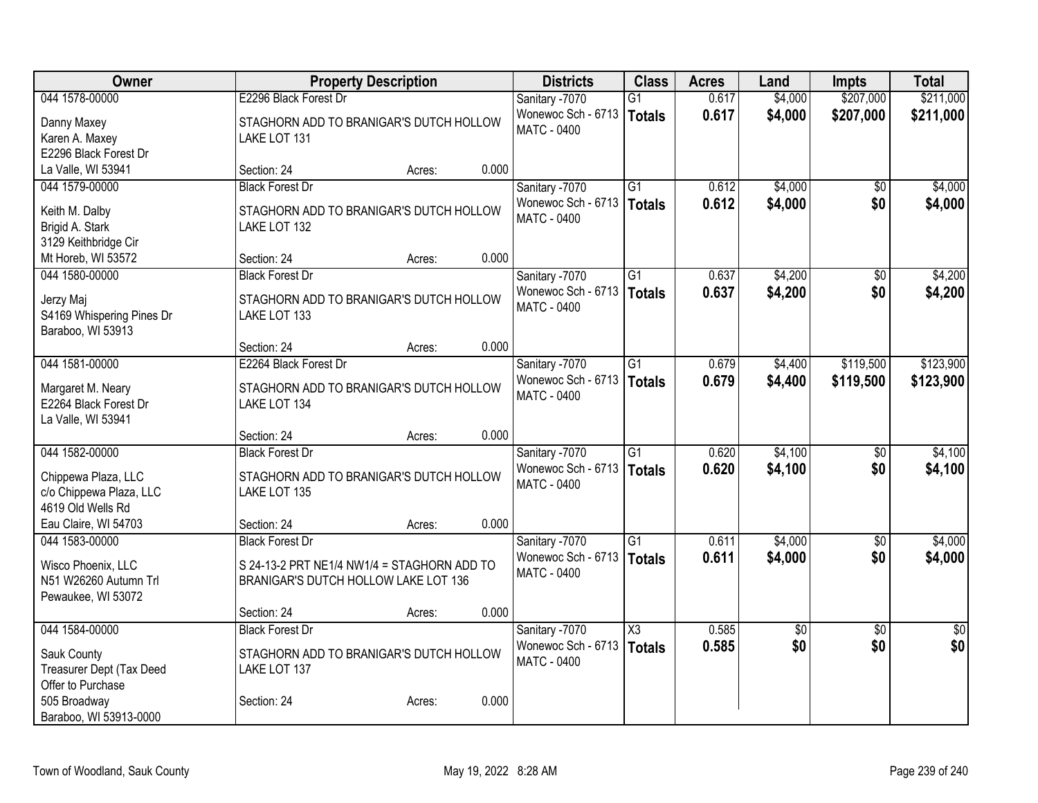| <b>Owner</b>              | <b>Property Description</b>                 |        |       | <b>Districts</b>            | <b>Class</b>        | <b>Acres</b> | Land        | Impts           | <b>Total</b>    |
|---------------------------|---------------------------------------------|--------|-------|-----------------------------|---------------------|--------------|-------------|-----------------|-----------------|
| 044 1578-00000            | E2296 Black Forest Dr                       |        |       | Sanitary -7070              | G1                  | 0.617        | \$4,000     | \$207,000       | \$211,000       |
| Danny Maxey               | STAGHORN ADD TO BRANIGAR'S DUTCH HOLLOW     |        |       | Wonewoc Sch - 6713          | <b>Totals</b>       | 0.617        | \$4,000     | \$207,000       | \$211,000       |
| Karen A. Maxey            | LAKE LOT 131                                |        |       | <b>MATC - 0400</b>          |                     |              |             |                 |                 |
| E2296 Black Forest Dr     |                                             |        |       |                             |                     |              |             |                 |                 |
| La Valle, WI 53941        | Section: 24                                 | Acres: | 0.000 |                             |                     |              |             |                 |                 |
| 044 1579-00000            | <b>Black Forest Dr</b>                      |        |       | Sanitary -7070              | G1                  | 0.612        | \$4,000     | $\overline{50}$ | \$4,000         |
| Keith M. Dalby            | STAGHORN ADD TO BRANIGAR'S DUTCH HOLLOW     |        |       | Wonewoc Sch - 6713          | Totals              | 0.612        | \$4,000     | \$0             | \$4,000         |
| Brigid A. Stark           | LAKE LOT 132                                |        |       | <b>MATC - 0400</b>          |                     |              |             |                 |                 |
| 3129 Keithbridge Cir      |                                             |        |       |                             |                     |              |             |                 |                 |
| Mt Horeb, WI 53572        | Section: 24                                 | Acres: | 0.000 |                             |                     |              |             |                 |                 |
| 044 1580-00000            | <b>Black Forest Dr</b>                      |        |       | Sanitary -7070              | $\overline{G1}$     | 0.637        | \$4,200     | $\overline{50}$ | \$4,200         |
|                           |                                             |        |       | Wonewoc Sch - 6713          | Totals              | 0.637        | \$4,200     | \$0             | \$4,200         |
| Jerzy Maj                 | STAGHORN ADD TO BRANIGAR'S DUTCH HOLLOW     |        |       | <b>MATC - 0400</b>          |                     |              |             |                 |                 |
| S4169 Whispering Pines Dr | LAKE LOT 133                                |        |       |                             |                     |              |             |                 |                 |
| Baraboo, WI 53913         | Section: 24                                 | Acres: | 0.000 |                             |                     |              |             |                 |                 |
| 044 1581-00000            | E2264 Black Forest Dr                       |        |       | Sanitary -7070              | $\overline{G1}$     | 0.679        | \$4,400     | \$119,500       | \$123,900       |
|                           |                                             |        |       | Wonewoc Sch - 6713   Totals |                     | 0.679        |             | \$119,500       |                 |
| Margaret M. Neary         | STAGHORN ADD TO BRANIGAR'S DUTCH HOLLOW     |        |       | <b>MATC - 0400</b>          |                     |              | \$4,400     |                 | \$123,900       |
| E2264 Black Forest Dr     | LAKE LOT 134                                |        |       |                             |                     |              |             |                 |                 |
| La Valle, WI 53941        |                                             |        |       |                             |                     |              |             |                 |                 |
|                           | Section: 24                                 | Acres: | 0.000 |                             |                     |              |             |                 |                 |
| 044 1582-00000            | <b>Black Forest Dr</b>                      |        |       | Sanitary -7070              | $\overline{G1}$     | 0.620        | \$4,100     | \$0             | \$4,100         |
| Chippewa Plaza, LLC       | STAGHORN ADD TO BRANIGAR'S DUTCH HOLLOW     |        |       | Wonewoc Sch - 6713   Totals |                     | 0.620        | \$4,100     | \$0             | \$4,100         |
| c/o Chippewa Plaza, LLC   | LAKE LOT 135                                |        |       | <b>MATC - 0400</b>          |                     |              |             |                 |                 |
| 4619 Old Wells Rd         |                                             |        |       |                             |                     |              |             |                 |                 |
| Eau Claire, WI 54703      | Section: 24                                 | Acres: | 0.000 |                             |                     |              |             |                 |                 |
| 044 1583-00000            | <b>Black Forest Dr</b>                      |        |       | Sanitary -7070              | G1                  | 0.611        | \$4,000     | $\sqrt{6}$      | \$4,000         |
| Wisco Phoenix, LLC        | S 24-13-2 PRT NE1/4 NW1/4 = STAGHORN ADD TO |        |       | Wonewoc Sch - 6713   Totals |                     | 0.611        | \$4,000     | \$0             | \$4,000         |
| N51 W26260 Autumn Trl     | BRANIGAR'S DUTCH HOLLOW LAKE LOT 136        |        |       | MATC - 0400                 |                     |              |             |                 |                 |
| Pewaukee, WI 53072        |                                             |        |       |                             |                     |              |             |                 |                 |
|                           | Section: 24                                 | Acres: | 0.000 |                             |                     |              |             |                 |                 |
| 044 1584-00000            | <b>Black Forest Dr</b>                      |        |       | Sanitary -7070              | $\overline{\chi_3}$ | 0.585        | $\sqrt{$0}$ | $\overline{50}$ | $\overline{50}$ |
| Sauk County               | STAGHORN ADD TO BRANIGAR'S DUTCH HOLLOW     |        |       | Wonewoc Sch - 6713          | Totals              | 0.585        | \$0         | \$0             | \$0             |
| Treasurer Dept (Tax Deed  | LAKE LOT 137                                |        |       | <b>MATC - 0400</b>          |                     |              |             |                 |                 |
| Offer to Purchase         |                                             |        |       |                             |                     |              |             |                 |                 |
| 505 Broadway              | Section: 24                                 | Acres: | 0.000 |                             |                     |              |             |                 |                 |
| Baraboo, WI 53913-0000    |                                             |        |       |                             |                     |              |             |                 |                 |